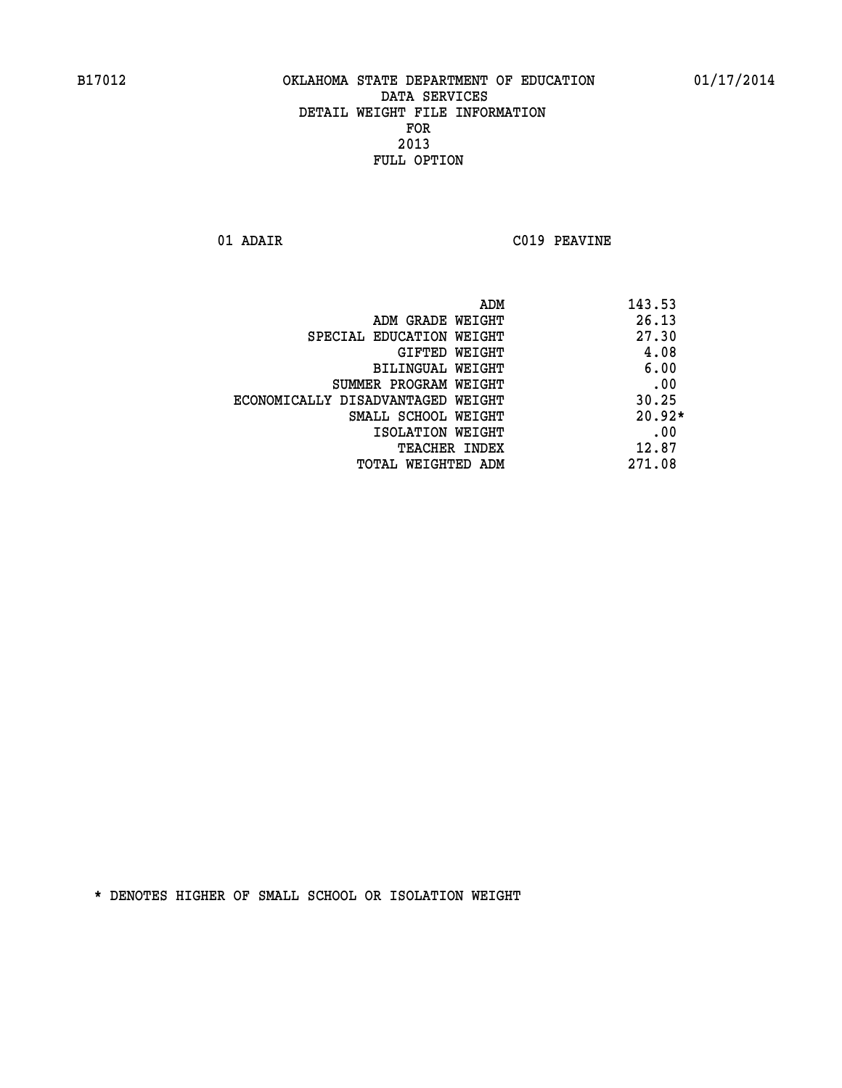**01 ADAIR C019 PEAVINE** 

|                                   | ADM | 143.53   |
|-----------------------------------|-----|----------|
| ADM GRADE WEIGHT                  |     | 26.13    |
| SPECIAL EDUCATION WEIGHT          |     | 27.30    |
| GIFTED WEIGHT                     |     | 4.08     |
| BILINGUAL WEIGHT                  |     | 6.00     |
| SUMMER PROGRAM WEIGHT             |     | .00      |
| ECONOMICALLY DISADVANTAGED WEIGHT |     | 30.25    |
| SMALL SCHOOL WEIGHT               |     | $20.92*$ |
| ISOLATION WEIGHT                  |     | .00      |
| TEACHER INDEX                     |     | 12.87    |
| TOTAL WEIGHTED ADM                |     | 271.08   |
|                                   |     |          |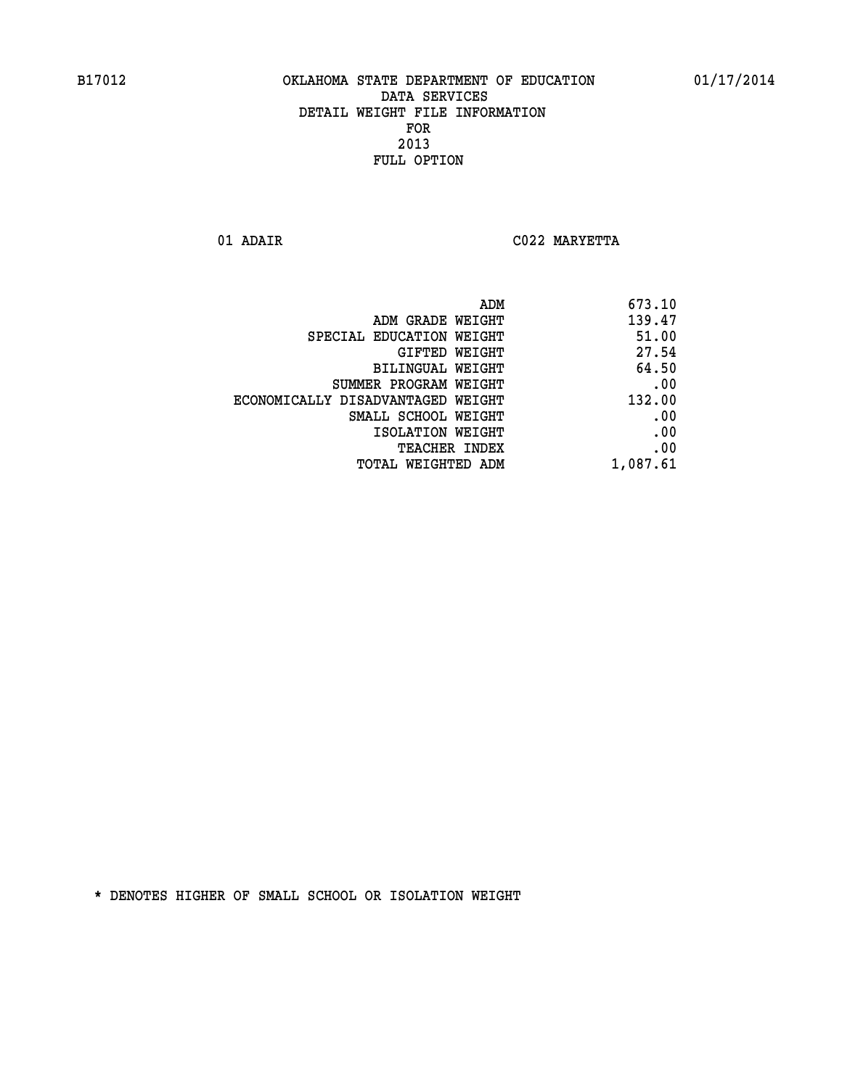**01 ADAIR C022 MARYETTA** 

| ADM<br>673.10                               |
|---------------------------------------------|
| 139.47<br>ADM GRADE WEIGHT                  |
| 51.00<br>SPECIAL EDUCATION WEIGHT           |
| 27.54<br>GIFTED WEIGHT                      |
| 64.50<br>BILINGUAL WEIGHT                   |
| .00<br>SUMMER PROGRAM WEIGHT                |
| 132.00<br>ECONOMICALLY DISADVANTAGED WEIGHT |
| .00<br>SMALL SCHOOL WEIGHT                  |
| .00<br>ISOLATION WEIGHT                     |
| .00<br>TEACHER INDEX                        |
| 1,087.61<br>TOTAL WEIGHTED ADM              |
|                                             |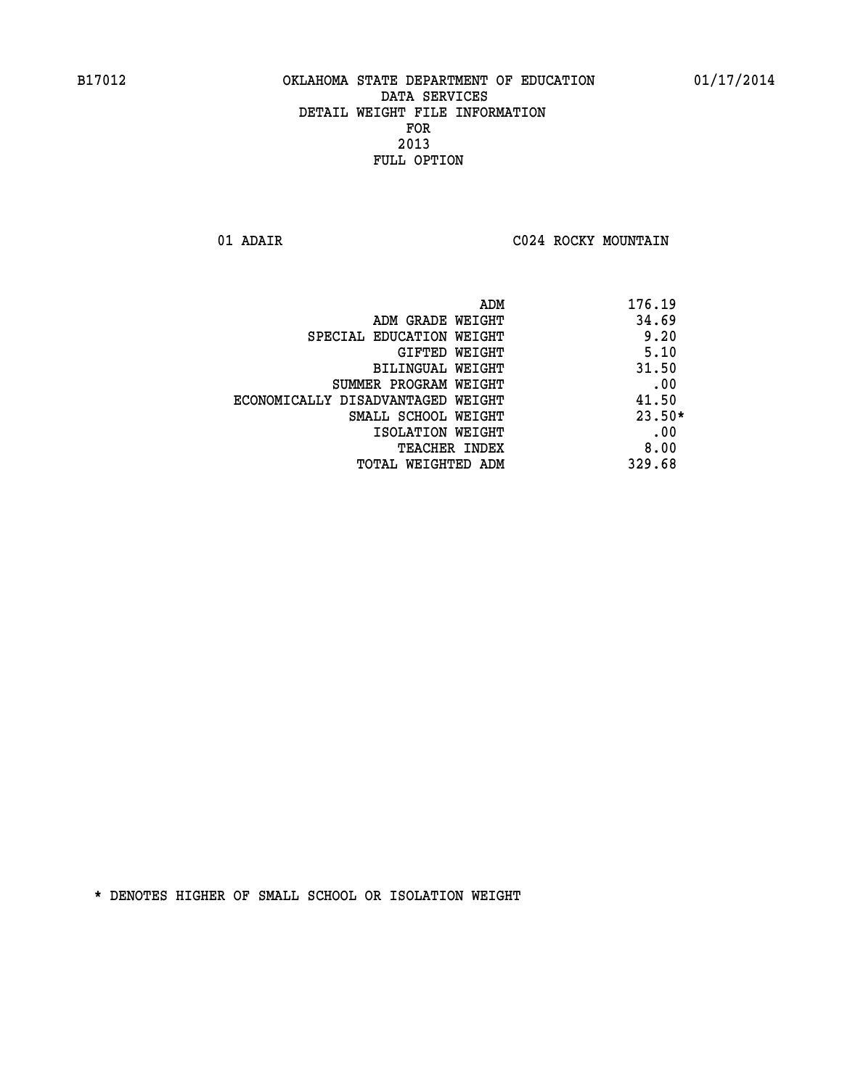**01 ADAIR C024 ROCKY MOUNTAIN** 

|                                   | 176.19<br>ADM |      |
|-----------------------------------|---------------|------|
| ADM GRADE WEIGHT                  | 34.69         |      |
| SPECIAL EDUCATION WEIGHT          | 9.20          |      |
| GIFTED WEIGHT                     | 5.10          |      |
| BILINGUAL WEIGHT                  | 31.50         |      |
| SUMMER PROGRAM WEIGHT             |               | .00  |
| ECONOMICALLY DISADVANTAGED WEIGHT | 41.50         |      |
| SMALL SCHOOL WEIGHT               | $23.50*$      |      |
| ISOLATION WEIGHT                  |               | .00  |
| <b>TEACHER INDEX</b>              |               | 8.00 |
| TOTAL WEIGHTED ADM                | 329.68        |      |
|                                   |               |      |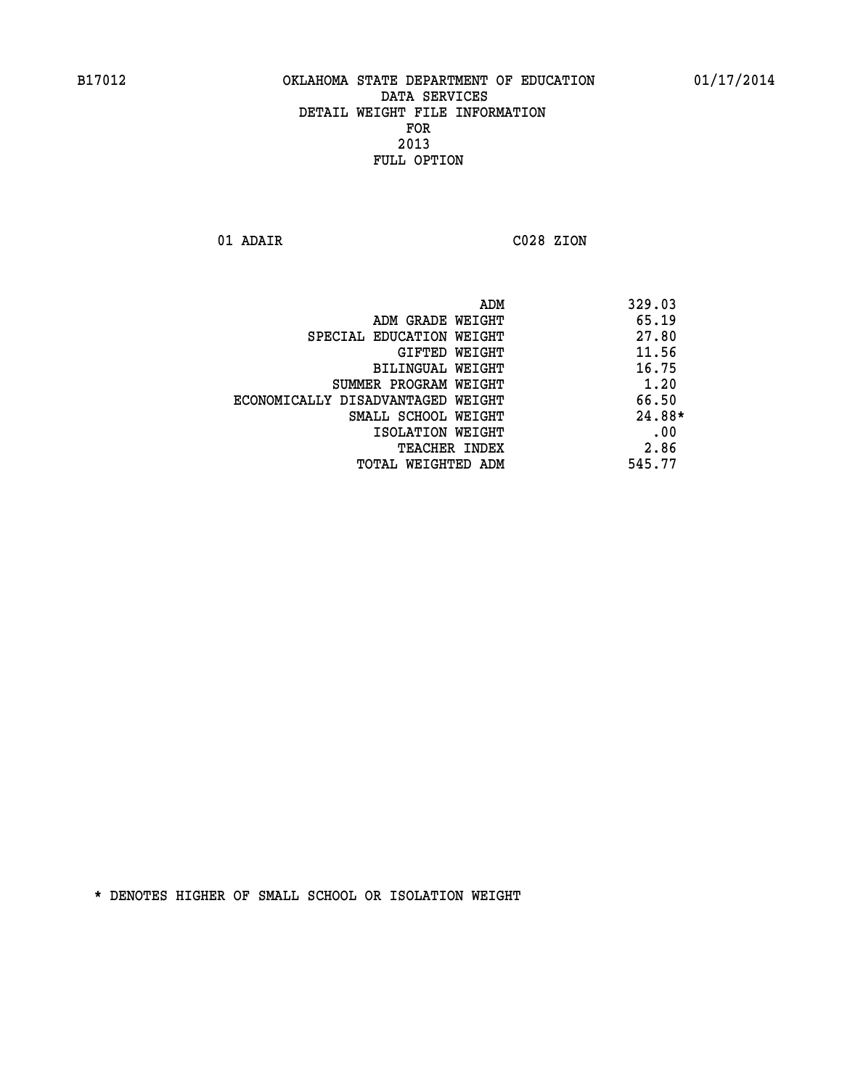**01 ADAIR C028 ZION** 

|                                   | ADM | 329.03   |
|-----------------------------------|-----|----------|
| ADM GRADE WEIGHT                  |     | 65.19    |
| SPECIAL EDUCATION WEIGHT          |     | 27.80    |
| GIFTED WEIGHT                     |     | 11.56    |
| BILINGUAL WEIGHT                  |     | 16.75    |
| SUMMER PROGRAM WEIGHT             |     | 1.20     |
| ECONOMICALLY DISADVANTAGED WEIGHT |     | 66.50    |
| SMALL SCHOOL WEIGHT               |     | $24.88*$ |
| ISOLATION WEIGHT                  |     | .00      |
| <b>TEACHER INDEX</b>              |     | 2.86     |
| TOTAL WEIGHTED ADM                |     | 545.77   |
|                                   |     |          |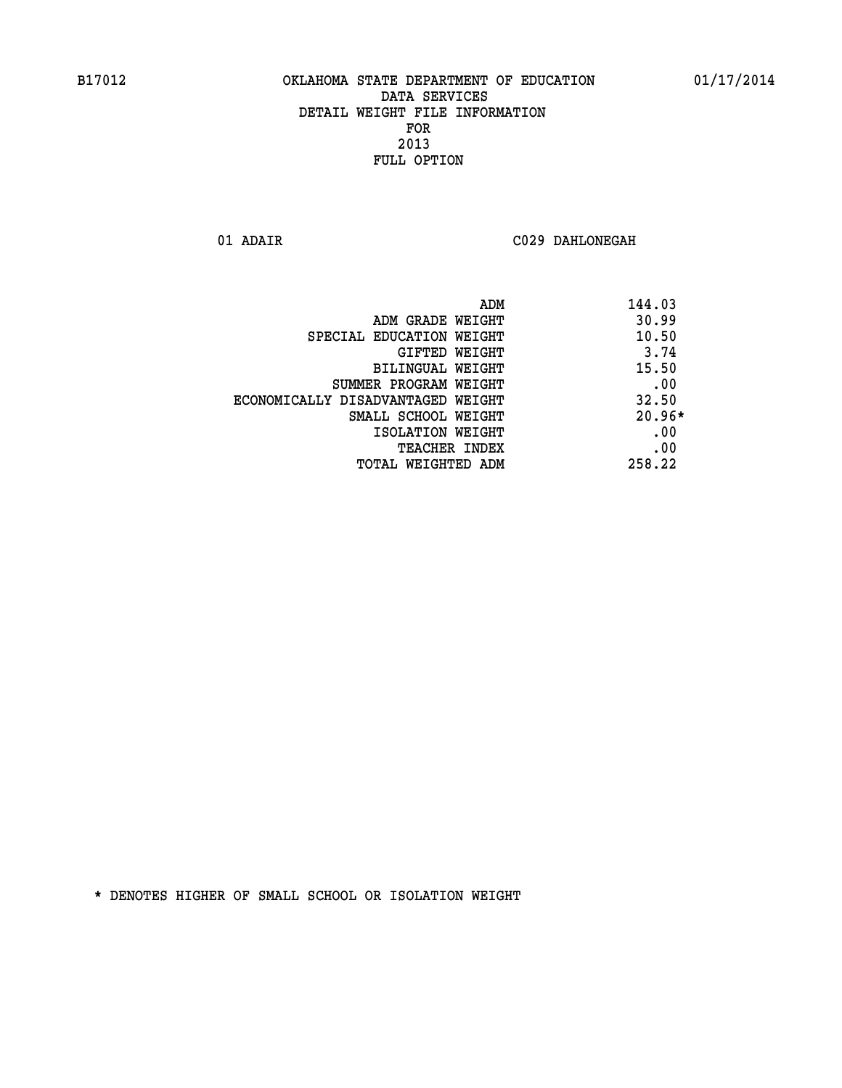**01 ADAIR C029 DAHLONEGAH** 

| ADM                               | 144.03   |
|-----------------------------------|----------|
| ADM GRADE WEIGHT                  | 30.99    |
| SPECIAL EDUCATION WEIGHT          | 10.50    |
| <b>GIFTED WEIGHT</b>              | 3.74     |
| BILINGUAL WEIGHT                  | 15.50    |
| SUMMER PROGRAM WEIGHT             | .00      |
| ECONOMICALLY DISADVANTAGED WEIGHT | 32.50    |
| SMALL SCHOOL WEIGHT               | $20.96*$ |
| ISOLATION WEIGHT                  | .00      |
| <b>TEACHER INDEX</b>              | .00      |
| TOTAL WEIGHTED ADM                | 258.22   |
|                                   |          |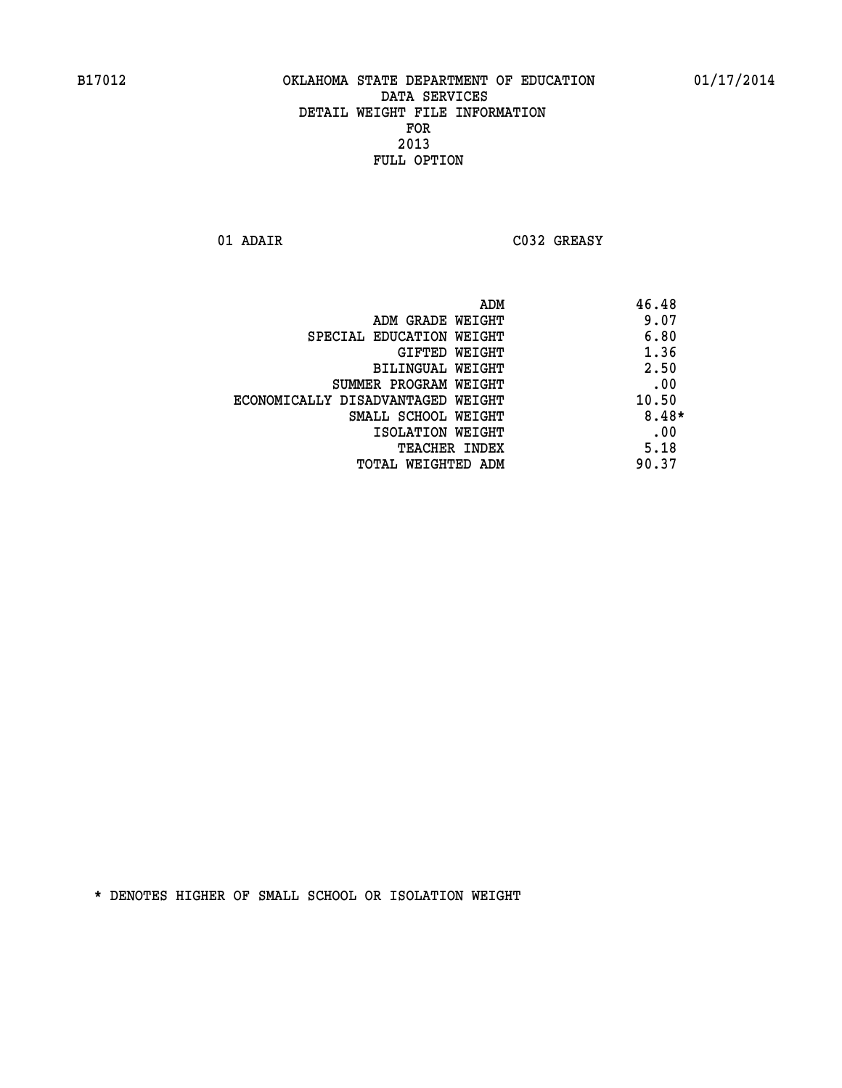**01 ADAIR C032 GREASY** 

|                                   | ADM | 46.48 |
|-----------------------------------|-----|-------|
| ADM GRADE WEIGHT                  |     | 9.07  |
| SPECIAL EDUCATION WEIGHT          |     | 6.80  |
| <b>GIFTED WEIGHT</b>              |     | 1.36  |
| BILINGUAL WEIGHT                  |     | 2.50  |
| SUMMER PROGRAM WEIGHT             |     | .00   |
| ECONOMICALLY DISADVANTAGED WEIGHT |     | 10.50 |
| SMALL SCHOOL WEIGHT               |     | 8.48* |
| ISOLATION WEIGHT                  |     | .00   |
| TEACHER INDEX                     |     | 5.18  |
| TOTAL WEIGHTED ADM                |     | 90.37 |
|                                   |     |       |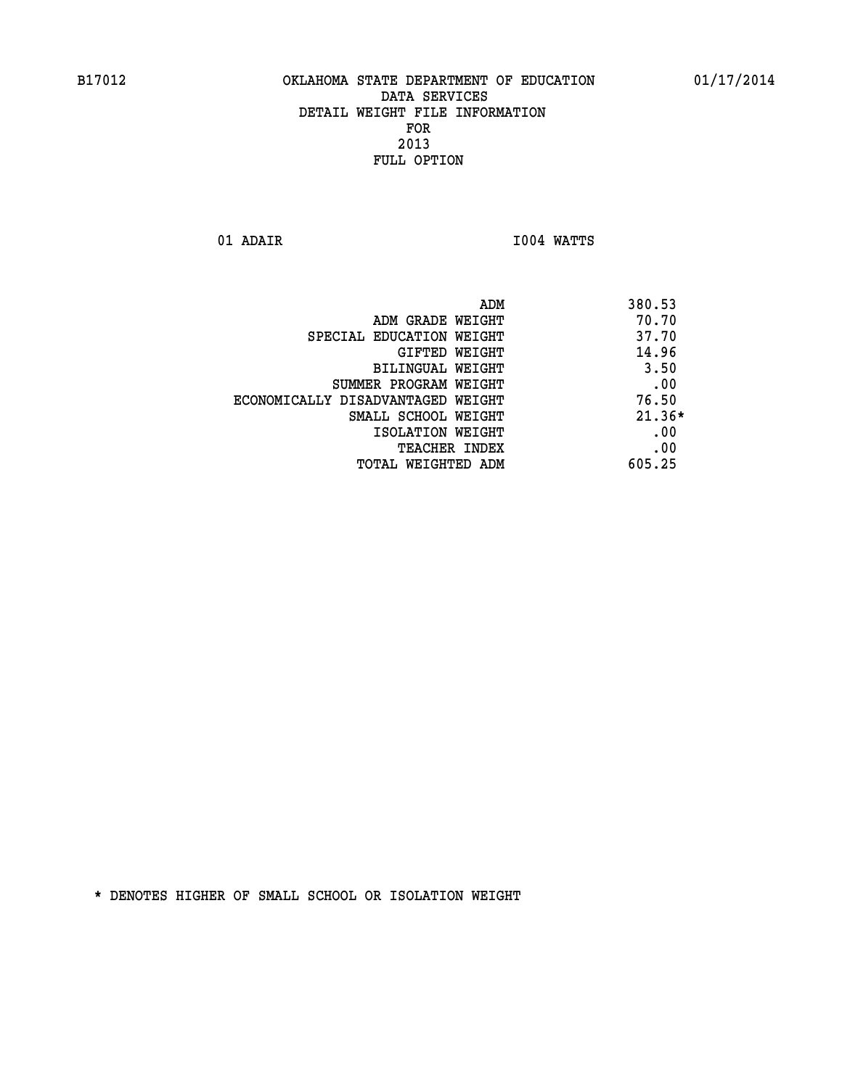**01 ADAIR I004 WATTS** 

|                                   | 380.53<br>ADM |
|-----------------------------------|---------------|
| ADM GRADE WEIGHT                  | 70.70         |
| SPECIAL EDUCATION WEIGHT          | 37.70         |
| GIFTED WEIGHT                     | 14.96         |
| BILINGUAL WEIGHT                  | 3.50          |
| SUMMER PROGRAM WEIGHT             | .00           |
| ECONOMICALLY DISADVANTAGED WEIGHT | 76.50         |
| SMALL SCHOOL WEIGHT               | $21.36*$      |
| ISOLATION WEIGHT                  | .00           |
| <b>TEACHER INDEX</b>              | .00           |
| TOTAL WEIGHTED ADM                | 605.25        |
|                                   |               |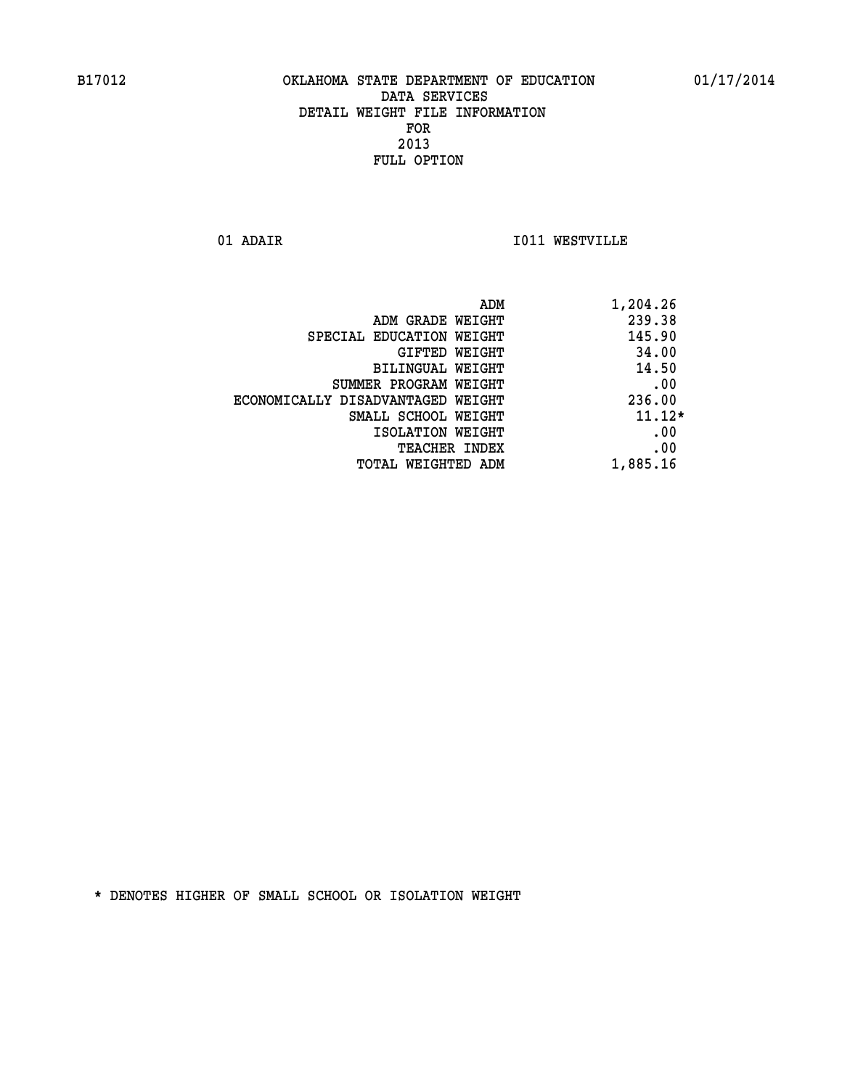**01 ADAIR I011 WESTVILLE** 

|                                   | 1,204.26<br>ADM |
|-----------------------------------|-----------------|
| ADM GRADE WEIGHT                  | 239.38          |
| SPECIAL EDUCATION WEIGHT          | 145.90          |
| GIFTED WEIGHT                     | 34.00           |
| BILINGUAL WEIGHT                  | 14.50           |
| SUMMER PROGRAM WEIGHT             | .00             |
| ECONOMICALLY DISADVANTAGED WEIGHT | 236.00          |
| SMALL SCHOOL WEIGHT               | $11.12*$        |
| ISOLATION WEIGHT                  | .00             |
| <b>TEACHER INDEX</b>              | .00             |
| TOTAL WEIGHTED ADM                | 1,885.16        |
|                                   |                 |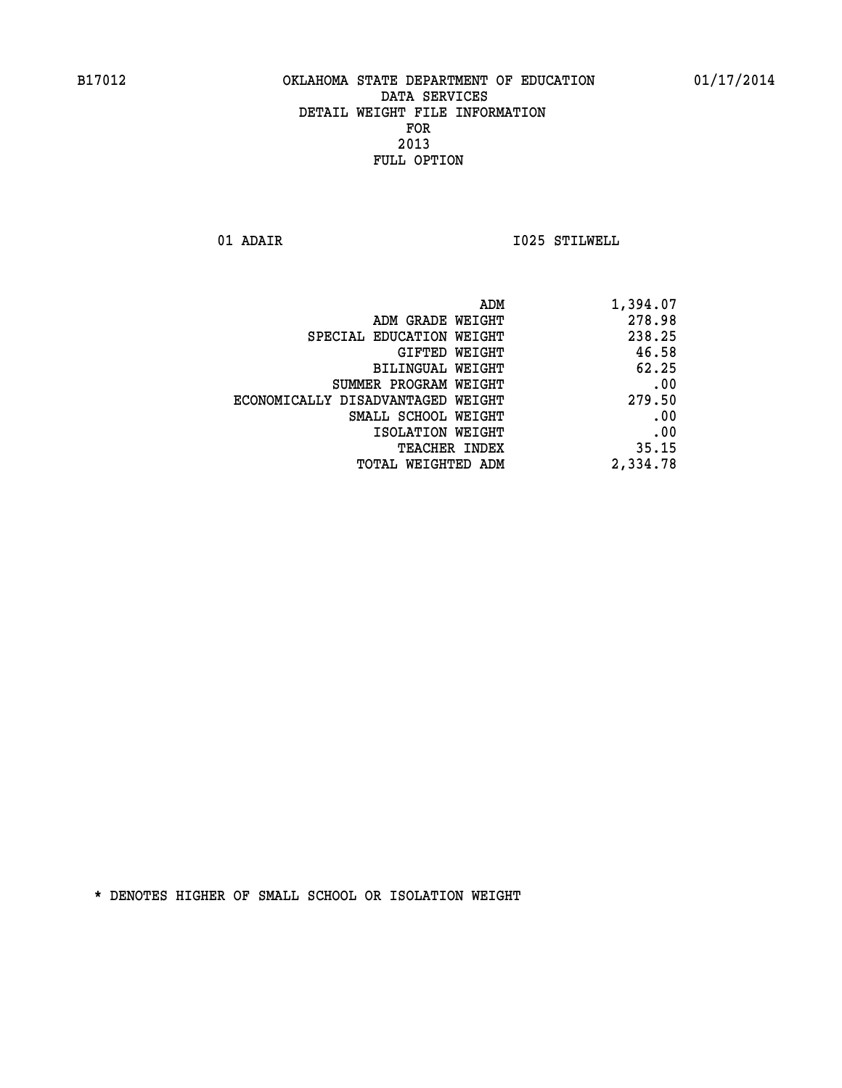**01 ADAIR I025 STILWELL** 

| 1,394.07 |
|----------|
| 278.98   |
| 238.25   |
| 46.58    |
| 62.25    |
| .00      |
| 279.50   |
| .00      |
| .00      |
| 35.15    |
| 2,334.78 |
|          |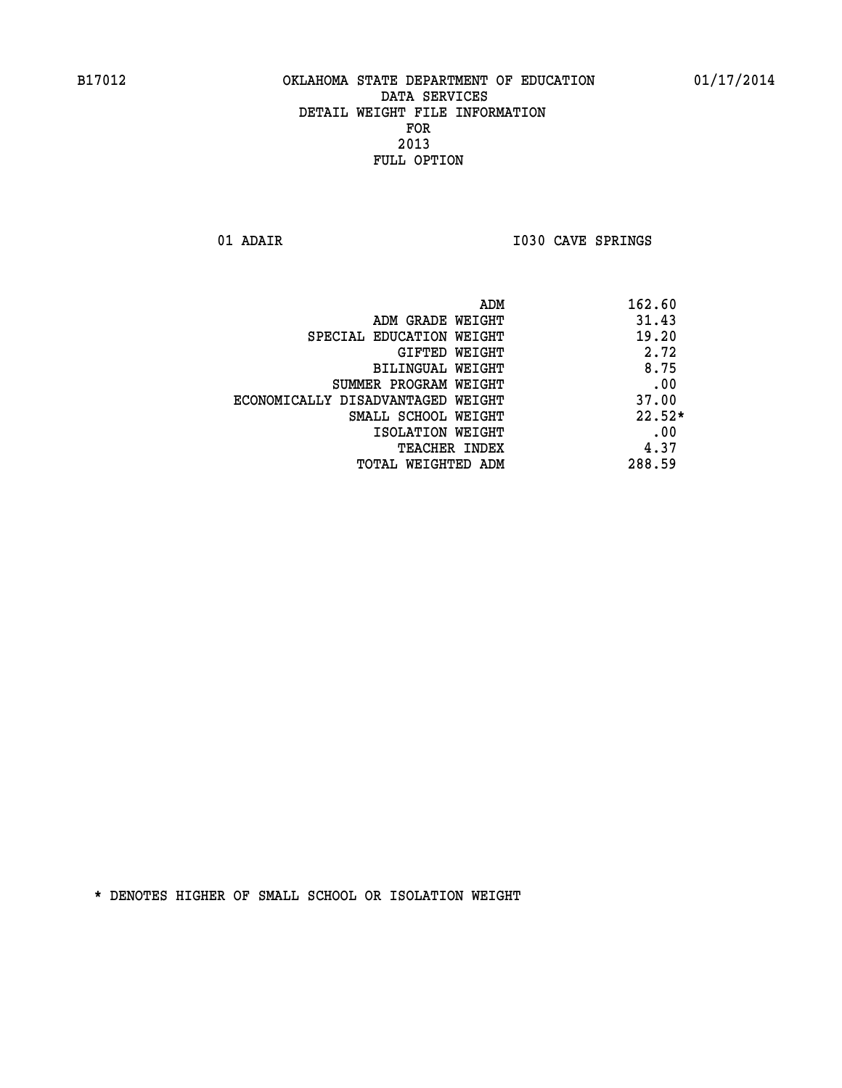**01 ADAIR I030 CAVE SPRINGS** 

| ADM                               | 162.60   |
|-----------------------------------|----------|
| ADM GRADE WEIGHT                  | 31.43    |
| SPECIAL EDUCATION WEIGHT          | 19.20    |
| GIFTED WEIGHT                     | 2.72     |
| BILINGUAL WEIGHT                  | 8.75     |
| SUMMER PROGRAM WEIGHT             | .00      |
| ECONOMICALLY DISADVANTAGED WEIGHT | 37.00    |
| SMALL SCHOOL WEIGHT               | $22.52*$ |
| ISOLATION WEIGHT                  | .00      |
| <b>TEACHER INDEX</b>              | 4.37     |
| TOTAL WEIGHTED ADM                | 288.59   |
|                                   |          |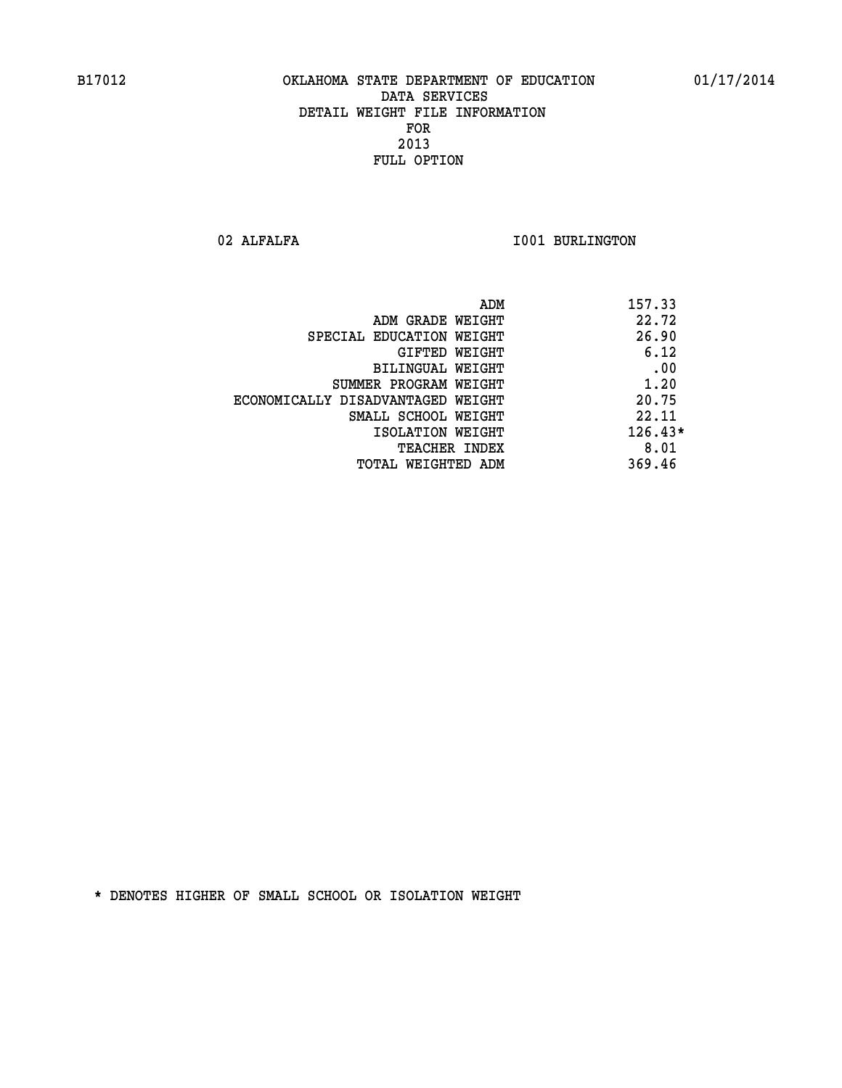02 ALFALFA **I001 BURLINGTON** 

| ADM                               | 157.33    |
|-----------------------------------|-----------|
| ADM GRADE WEIGHT                  | 22.72     |
| SPECIAL EDUCATION WEIGHT          | 26.90     |
| GIFTED WEIGHT                     | 6.12      |
| BILINGUAL WEIGHT                  | .00       |
| SUMMER PROGRAM WEIGHT             | 1.20      |
| ECONOMICALLY DISADVANTAGED WEIGHT | 20.75     |
| SMALL SCHOOL WEIGHT               | 22.11     |
| ISOLATION WEIGHT                  | $126.43*$ |
| <b>TEACHER INDEX</b>              | 8.01      |
| TOTAL WEIGHTED ADM                | 369.46    |
|                                   |           |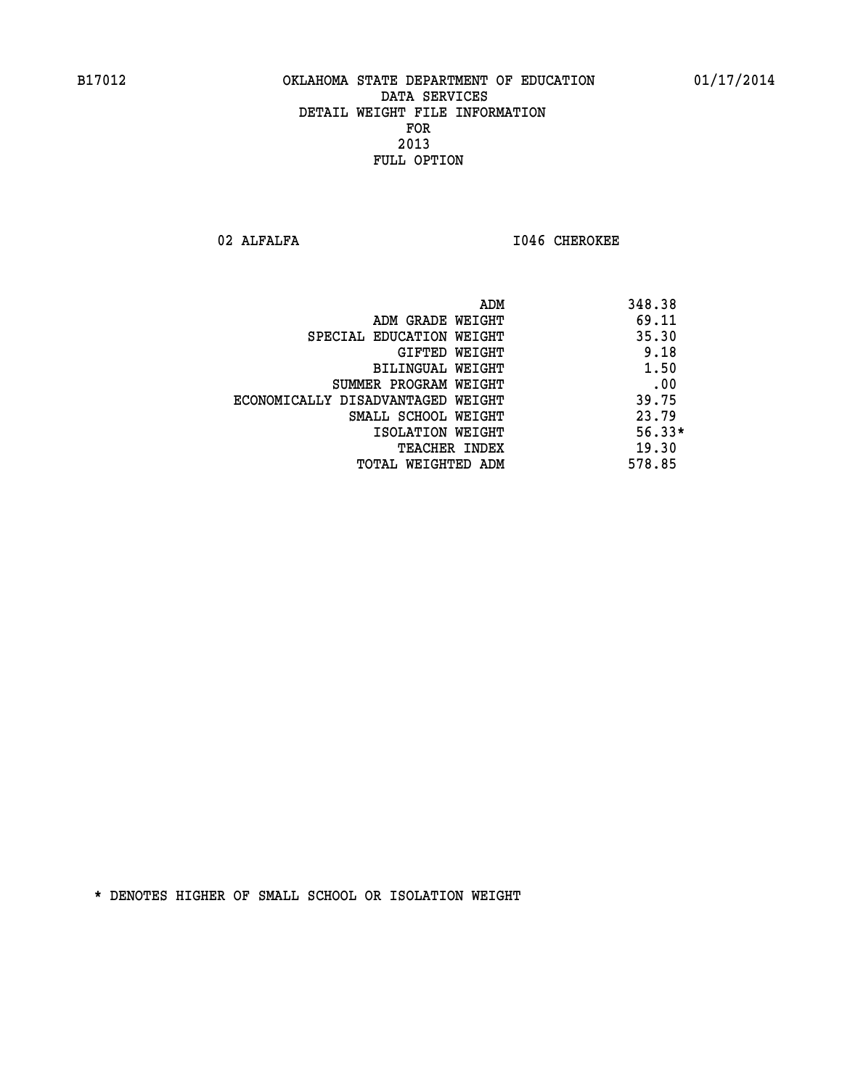02 ALFALFA **I046 CHEROKEE** 

|                                   | 348.38<br>ADM |
|-----------------------------------|---------------|
| ADM GRADE WEIGHT                  | 69.11         |
| SPECIAL EDUCATION WEIGHT          | 35.30         |
| GIFTED WEIGHT                     | 9.18          |
| BILINGUAL WEIGHT                  | 1.50          |
| SUMMER PROGRAM WEIGHT             | .00           |
| ECONOMICALLY DISADVANTAGED WEIGHT | 39.75         |
| SMALL SCHOOL WEIGHT               | 23.79         |
| ISOLATION WEIGHT                  | $56.33*$      |
| TEACHER INDEX                     | 19.30         |
| TOTAL WEIGHTED ADM                | 578.85        |
|                                   |               |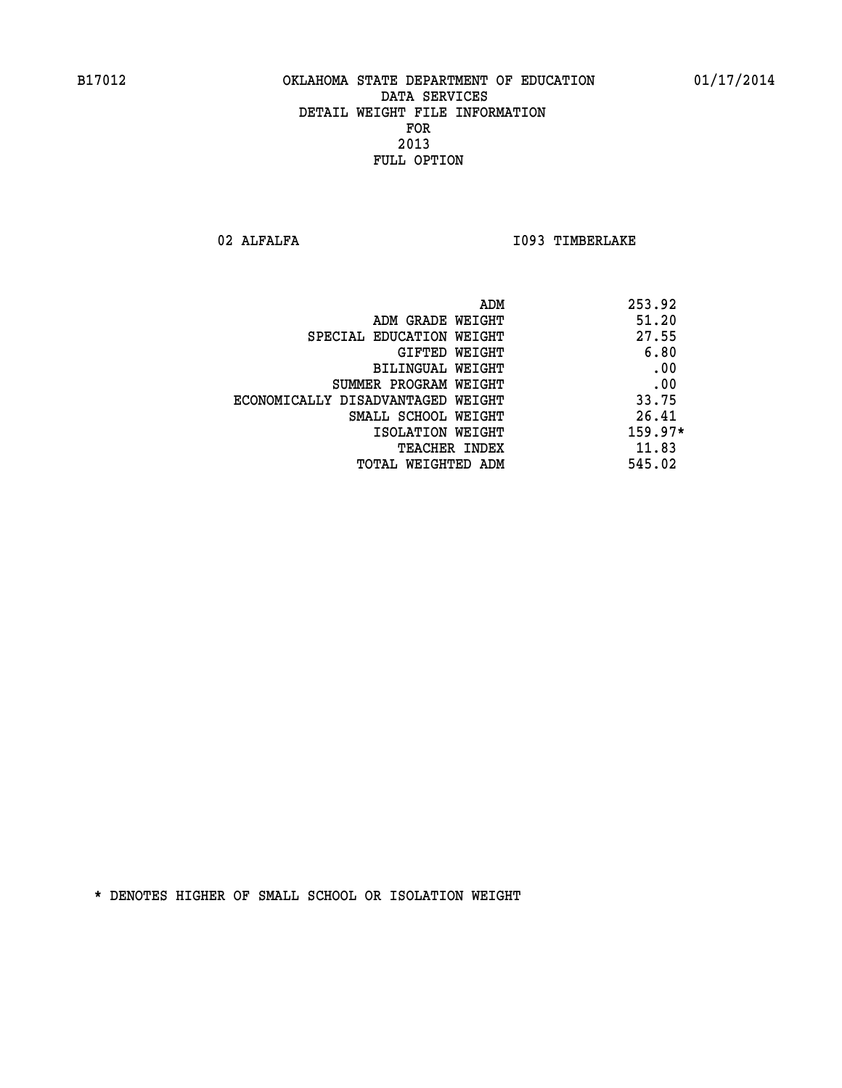02 ALFALFA **I093 TIMBERLAKE** 

| 253.92<br>ADM                              |  |
|--------------------------------------------|--|
| 51.20<br>ADM GRADE WEIGHT                  |  |
| 27.55<br>SPECIAL EDUCATION WEIGHT          |  |
| 6.80<br>GIFTED WEIGHT                      |  |
| .00<br>BILINGUAL WEIGHT                    |  |
| .00<br>SUMMER PROGRAM WEIGHT               |  |
| 33.75<br>ECONOMICALLY DISADVANTAGED WEIGHT |  |
| 26.41<br>SMALL SCHOOL WEIGHT               |  |
| $159.97*$<br>ISOLATION WEIGHT              |  |
| 11.83<br><b>TEACHER INDEX</b>              |  |
| 545.02<br>TOTAL WEIGHTED ADM               |  |
|                                            |  |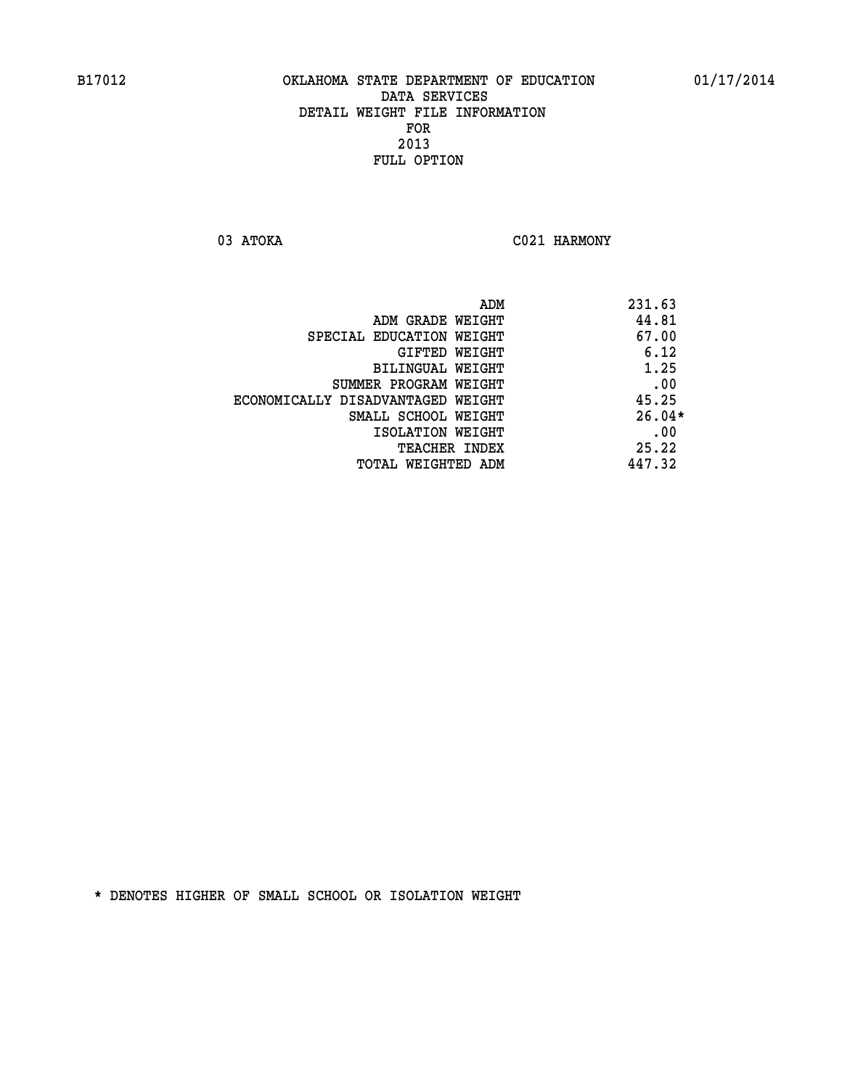03 ATOKA C021 HARMONY

|                                   | 231.63<br>ADM |
|-----------------------------------|---------------|
| ADM GRADE WEIGHT                  | 44.81         |
| SPECIAL EDUCATION WEIGHT          | 67.00         |
| GIFTED WEIGHT                     | 6.12          |
| BILINGUAL WEIGHT                  | 1.25          |
| SUMMER PROGRAM WEIGHT             | .00           |
| ECONOMICALLY DISADVANTAGED WEIGHT | 45.25         |
| SMALL SCHOOL WEIGHT               | $26.04*$      |
| ISOLATION WEIGHT                  | .00           |
| <b>TEACHER INDEX</b>              | 25.22         |
| TOTAL WEIGHTED ADM                | 447.32        |
|                                   |               |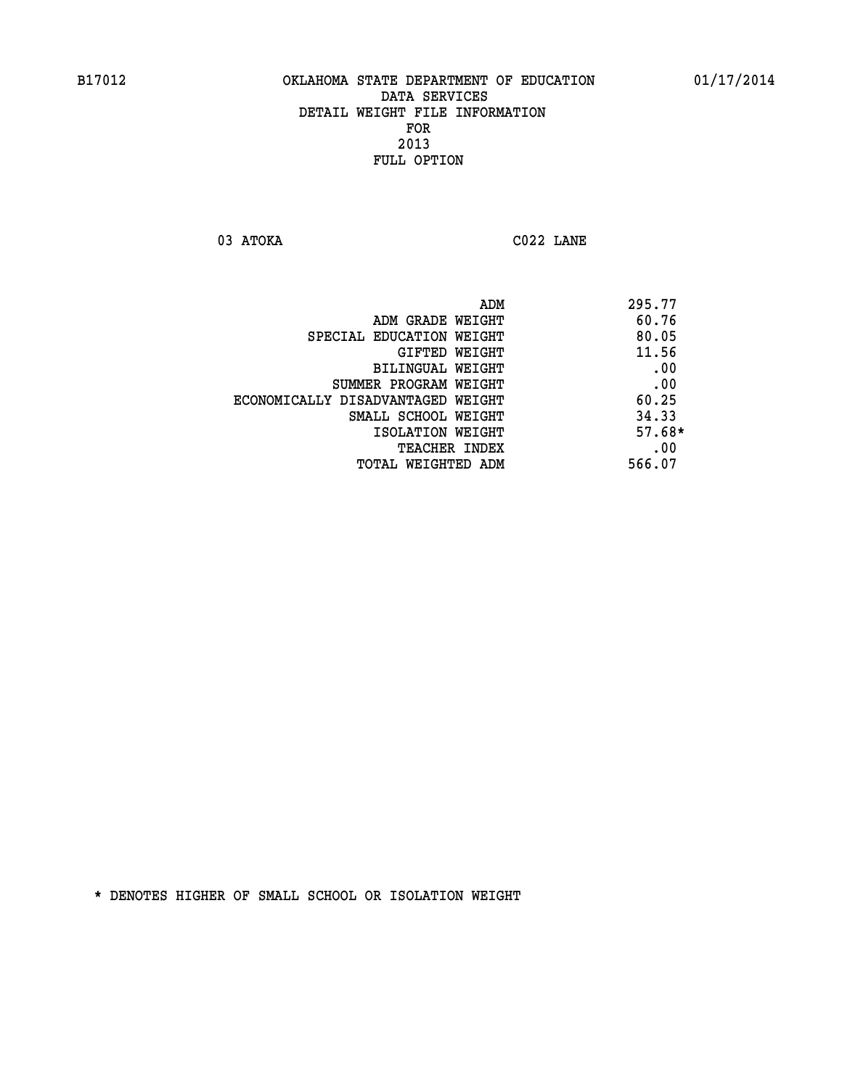**03 ATOKA C022 LANE** 

| 60.76<br>ADM GRADE WEIGHT<br>SPECIAL EDUCATION WEIGHT<br>GIFTED WEIGHT<br>BILINGUAL WEIGHT<br>SUMMER PROGRAM WEIGHT<br>ECONOMICALLY DISADVANTAGED WEIGHT<br>SMALL SCHOOL WEIGHT<br>ISOLATION WEIGHT | 295.77   |
|-----------------------------------------------------------------------------------------------------------------------------------------------------------------------------------------------------|----------|
|                                                                                                                                                                                                     |          |
|                                                                                                                                                                                                     | 80.05    |
|                                                                                                                                                                                                     | 11.56    |
|                                                                                                                                                                                                     | .00      |
|                                                                                                                                                                                                     | .00      |
|                                                                                                                                                                                                     | 60.25    |
|                                                                                                                                                                                                     | 34.33    |
|                                                                                                                                                                                                     | $57.68*$ |
| <b>TEACHER INDEX</b>                                                                                                                                                                                | .00      |
| 566.07<br>TOTAL WEIGHTED ADM                                                                                                                                                                        |          |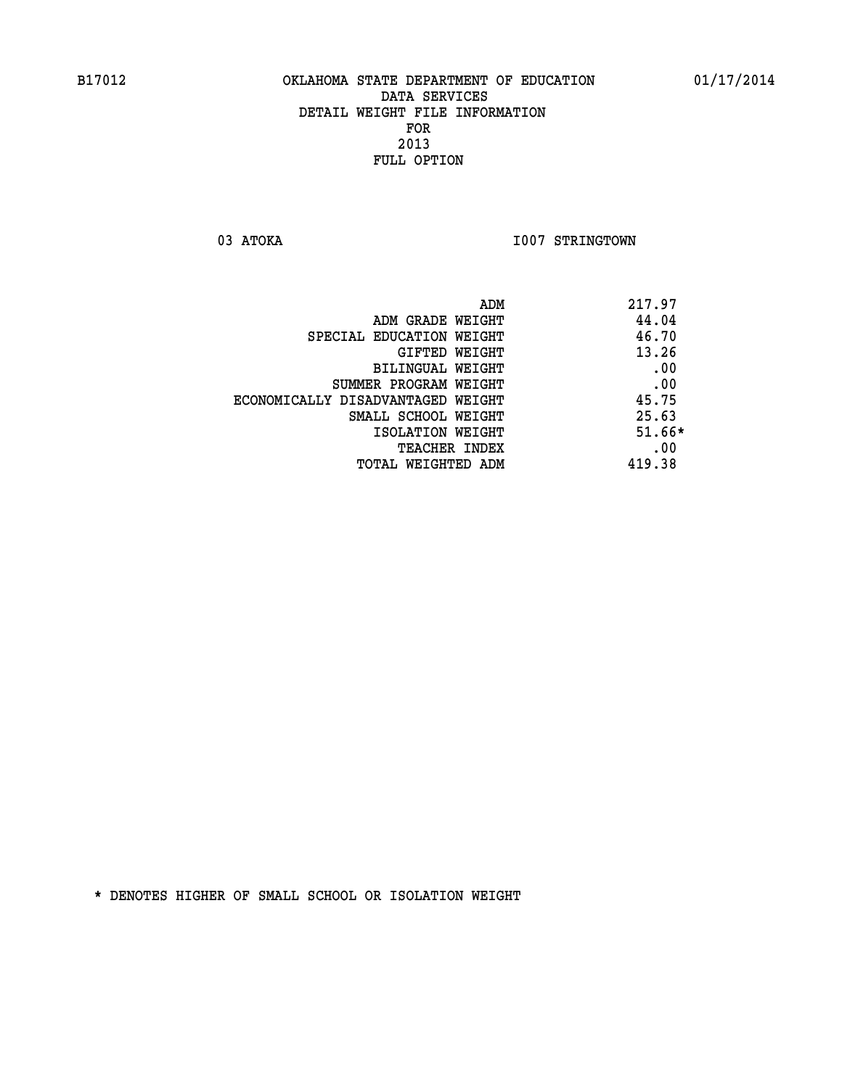03 ATOKA **I007 STRINGTOWN** 

| ADM<br>217.97                              |  |
|--------------------------------------------|--|
| 44.04<br>ADM GRADE WEIGHT                  |  |
| 46.70<br>SPECIAL EDUCATION WEIGHT          |  |
| 13.26<br>GIFTED WEIGHT                     |  |
| .00<br><b>BILINGUAL WEIGHT</b>             |  |
| .00<br>SUMMER PROGRAM WEIGHT               |  |
| 45.75<br>ECONOMICALLY DISADVANTAGED WEIGHT |  |
| 25.63<br>SMALL SCHOOL WEIGHT               |  |
| $51.66*$<br>ISOLATION WEIGHT               |  |
| .00<br><b>TEACHER INDEX</b>                |  |
| 419.38<br>TOTAL WEIGHTED ADM               |  |
|                                            |  |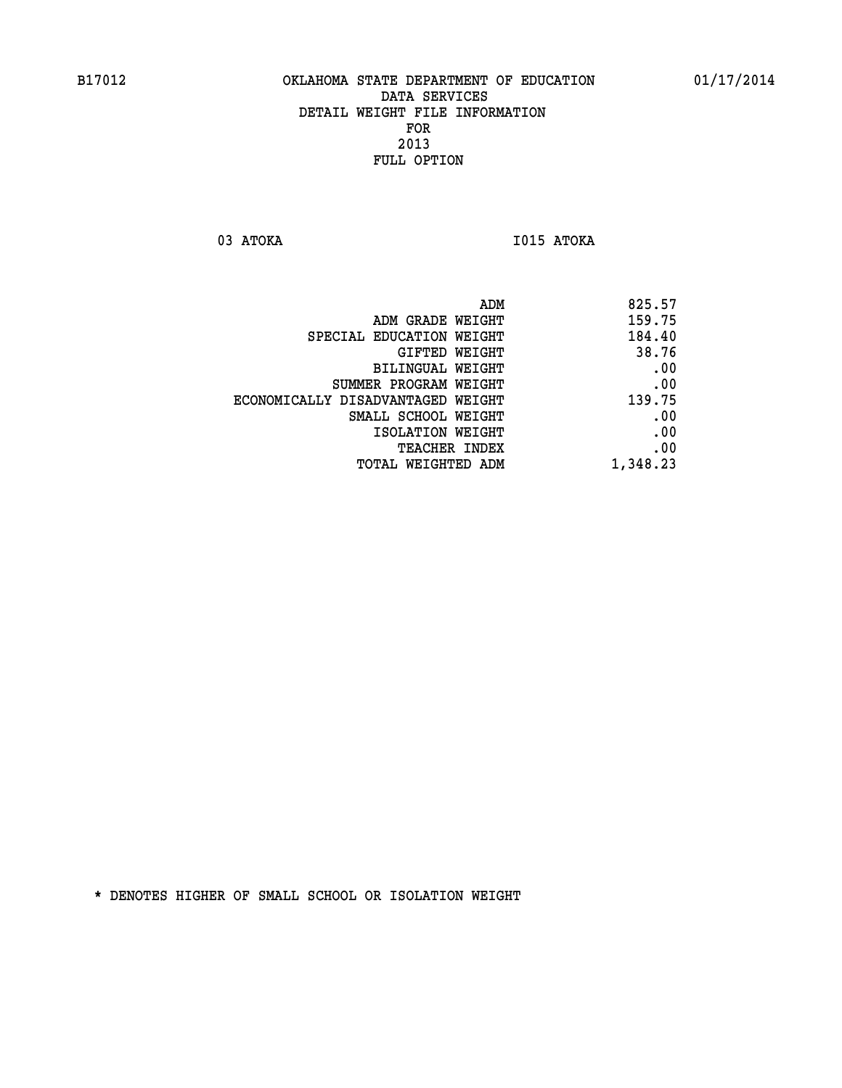**03 ATOKA I015 ATOKA** 

| 825.57<br>ADM                               |  |
|---------------------------------------------|--|
| 159.75<br>ADM GRADE WEIGHT                  |  |
| 184.40<br>SPECIAL EDUCATION WEIGHT          |  |
| 38.76<br>GIFTED WEIGHT                      |  |
| .00<br>BILINGUAL WEIGHT                     |  |
| .00<br>SUMMER PROGRAM WEIGHT                |  |
| 139.75<br>ECONOMICALLY DISADVANTAGED WEIGHT |  |
| .00<br>SMALL SCHOOL WEIGHT                  |  |
| .00<br>ISOLATION WEIGHT                     |  |
| .00<br><b>TEACHER INDEX</b>                 |  |
| 1,348.23<br>TOTAL WEIGHTED ADM              |  |
|                                             |  |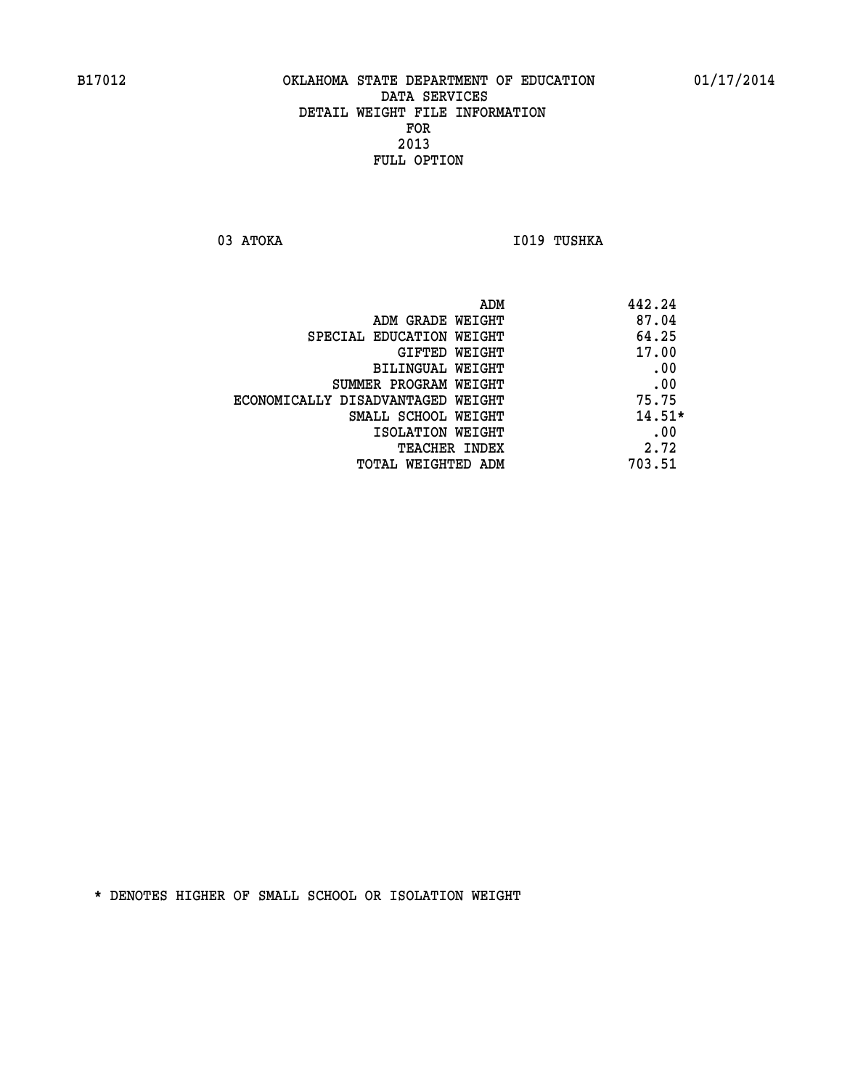03 ATOKA **I019 TUSHKA** 

| ADM<br>442.24                              |  |
|--------------------------------------------|--|
| 87.04<br>ADM GRADE WEIGHT                  |  |
| 64.25<br>SPECIAL EDUCATION WEIGHT          |  |
| 17.00<br>GIFTED WEIGHT                     |  |
| .00<br>BILINGUAL WEIGHT                    |  |
| .00<br>SUMMER PROGRAM WEIGHT               |  |
| 75.75<br>ECONOMICALLY DISADVANTAGED WEIGHT |  |
| $14.51*$<br>SMALL SCHOOL WEIGHT            |  |
| .00<br>ISOLATION WEIGHT                    |  |
| 2.72<br><b>TEACHER INDEX</b>               |  |
| 703.51<br>TOTAL WEIGHTED ADM               |  |
|                                            |  |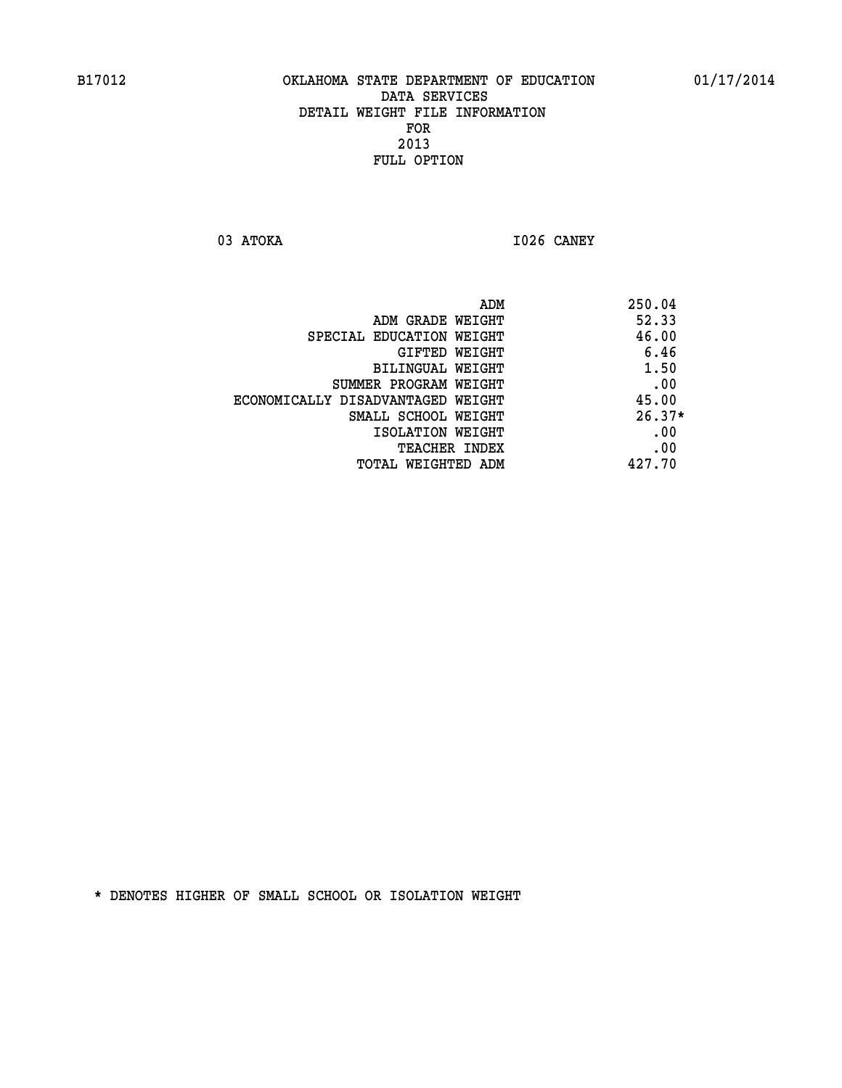**03 ATOKA I026 CANEY** 

|                                   | ADM | 250.04   |
|-----------------------------------|-----|----------|
| ADM GRADE WEIGHT                  |     | 52.33    |
| SPECIAL EDUCATION WEIGHT          |     | 46.00    |
| GIFTED WEIGHT                     |     | 6.46     |
| BILINGUAL WEIGHT                  |     | 1.50     |
| SUMMER PROGRAM WEIGHT             |     | .00      |
| ECONOMICALLY DISADVANTAGED WEIGHT |     | 45.00    |
| SMALL SCHOOL WEIGHT               |     | $26.37*$ |
| ISOLATION WEIGHT                  |     | .00      |
| <b>TEACHER INDEX</b>              |     | .00      |
| TOTAL WEIGHTED ADM                |     | 427.70   |
|                                   |     |          |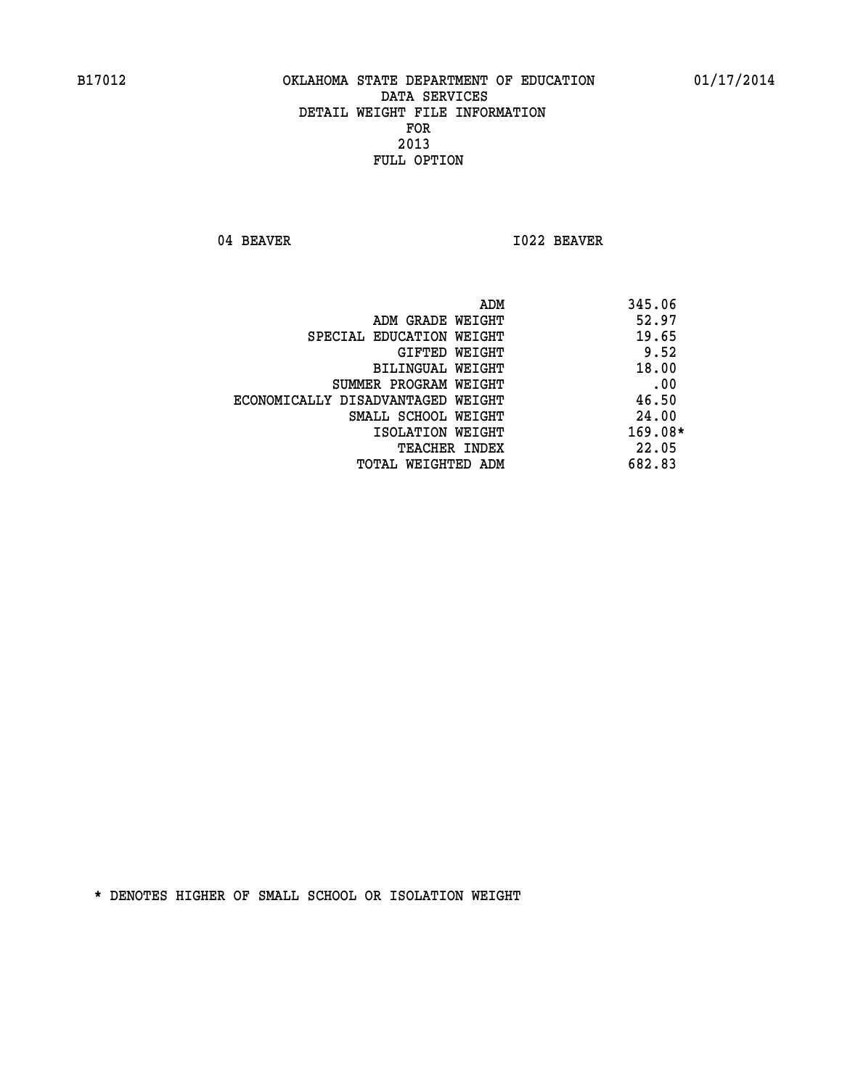04 BEAVER 1022 BEAVER

| 345.06<br>ADM                     |           |
|-----------------------------------|-----------|
| ADM GRADE WEIGHT                  | 52.97     |
| SPECIAL EDUCATION WEIGHT          | 19.65     |
| GIFTED WEIGHT                     | 9.52      |
| BILINGUAL WEIGHT                  | 18.00     |
| SUMMER PROGRAM WEIGHT             | .00       |
| ECONOMICALLY DISADVANTAGED WEIGHT | 46.50     |
| SMALL SCHOOL WEIGHT               | 24.00     |
| ISOLATION WEIGHT                  | $169.08*$ |
| TEACHER INDEX                     | 22.05     |
| 682.83<br>TOTAL WEIGHTED ADM      |           |
|                                   |           |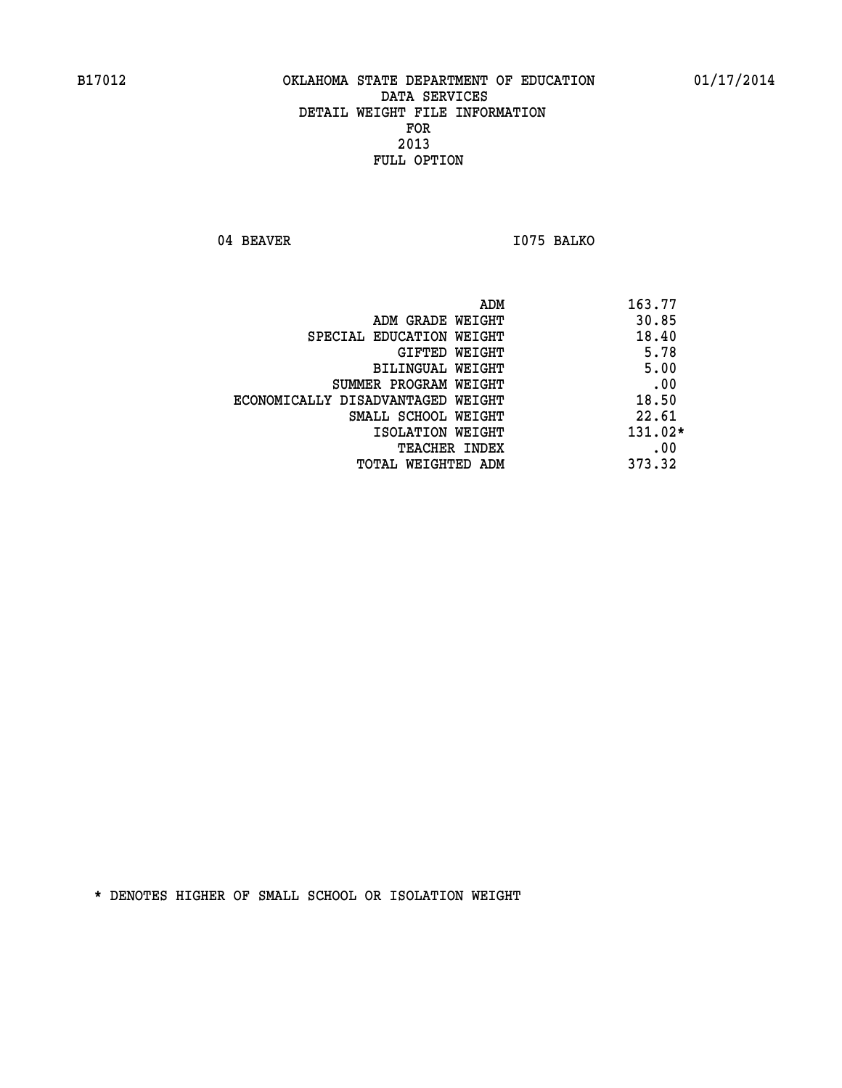04 BEAVER 1075 BALKO

| ADM                               | 163.77    |
|-----------------------------------|-----------|
| ADM GRADE WEIGHT                  | 30.85     |
| SPECIAL EDUCATION WEIGHT          | 18.40     |
| GIFTED WEIGHT                     | 5.78      |
| BILINGUAL WEIGHT                  | 5.00      |
| SUMMER PROGRAM WEIGHT             | .00       |
| ECONOMICALLY DISADVANTAGED WEIGHT | 18.50     |
| SMALL SCHOOL WEIGHT               | 22.61     |
| ISOLATION WEIGHT                  | $131.02*$ |
| <b>TEACHER INDEX</b>              | .00       |
| TOTAL WEIGHTED ADM                | 373.32    |
|                                   |           |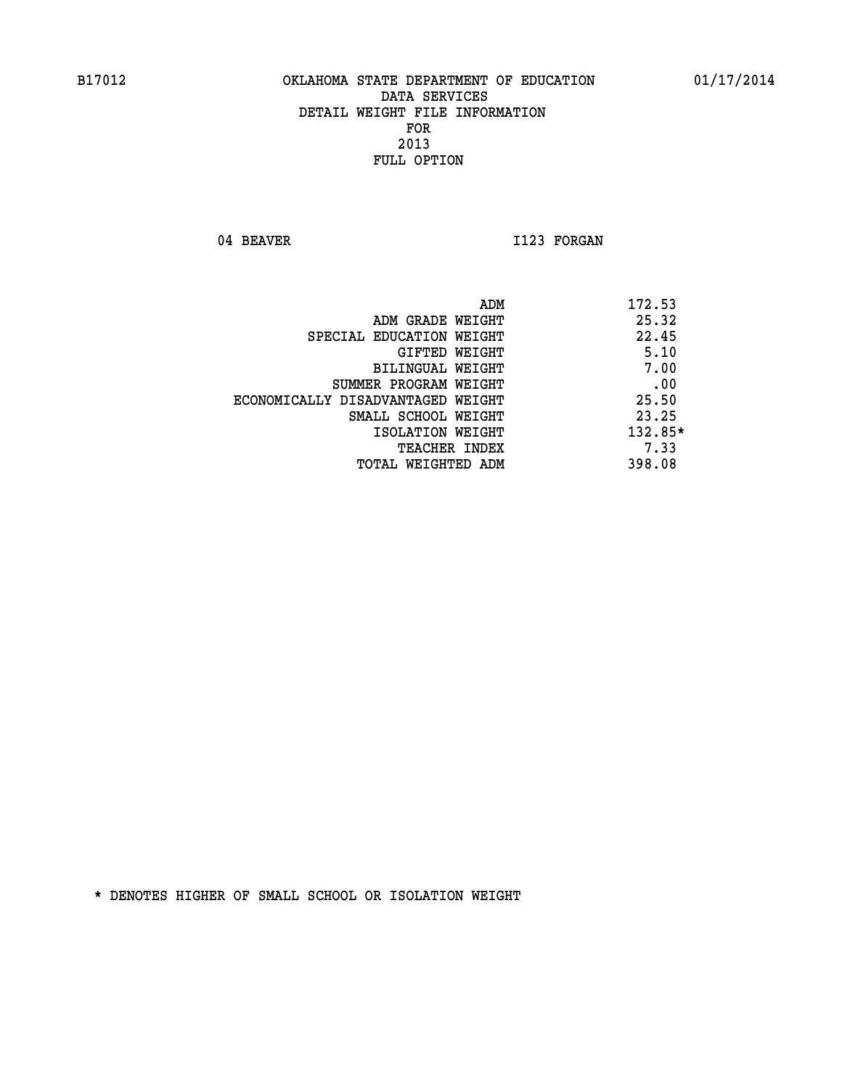04 BEAVER 1123 FORGAN

|                                   | ADM | 172.53    |
|-----------------------------------|-----|-----------|
| ADM GRADE WEIGHT                  |     | 25.32     |
| SPECIAL EDUCATION WEIGHT          |     | 22.45     |
| GIFTED WEIGHT                     |     | 5.10      |
| BILINGUAL WEIGHT                  |     | 7.00      |
| SUMMER PROGRAM WEIGHT             |     | .00       |
| ECONOMICALLY DISADVANTAGED WEIGHT |     | 25.50     |
| SMALL SCHOOL WEIGHT               |     | 23.25     |
| ISOLATION WEIGHT                  |     | $132.85*$ |
| TEACHER INDEX                     |     | 7.33      |
| TOTAL WEIGHTED ADM                |     | 398.08    |
|                                   |     |           |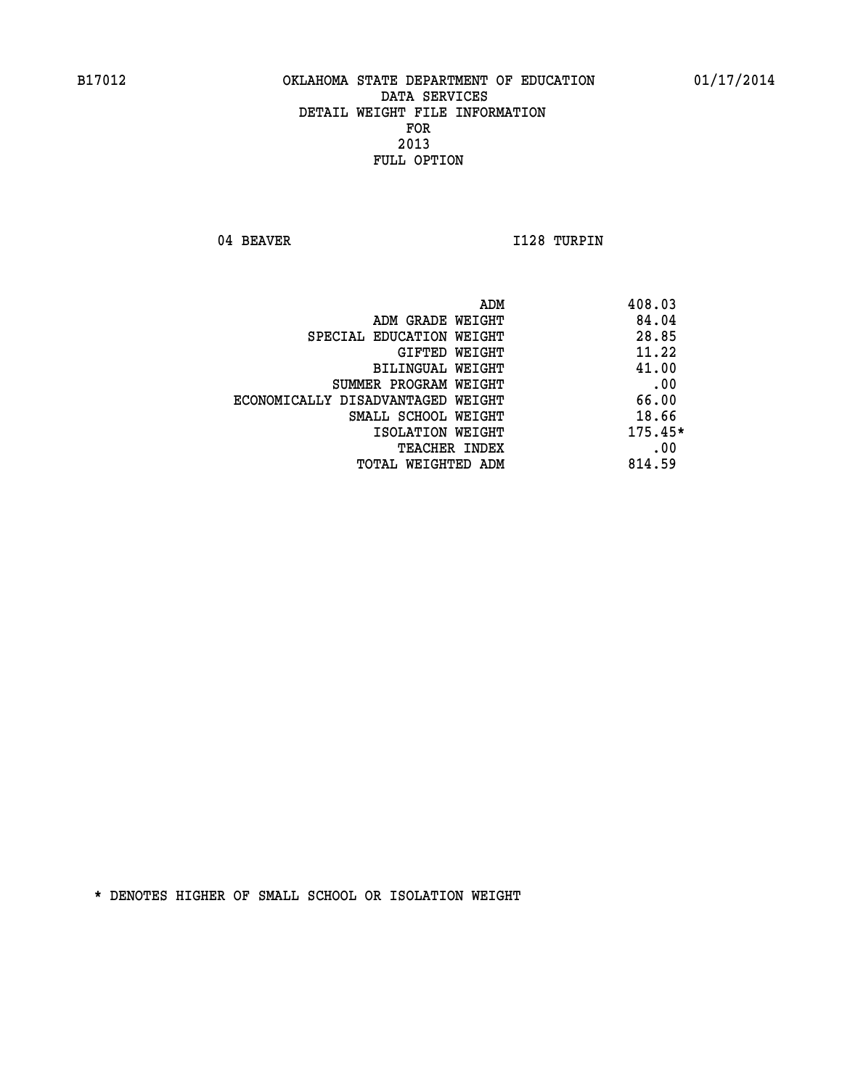04 BEAVER 1128 TURPIN

| ADM<br>408.03                              |  |
|--------------------------------------------|--|
| 84.04<br>ADM GRADE WEIGHT                  |  |
| 28.85<br>SPECIAL EDUCATION WEIGHT          |  |
| 11.22<br>GIFTED WEIGHT                     |  |
| 41.00<br>BILINGUAL WEIGHT                  |  |
| .00<br>SUMMER PROGRAM WEIGHT               |  |
| 66.00<br>ECONOMICALLY DISADVANTAGED WEIGHT |  |
| 18.66<br>SMALL SCHOOL WEIGHT               |  |
| $175.45*$<br>ISOLATION WEIGHT              |  |
| .00<br><b>TEACHER INDEX</b>                |  |
| 814.59<br>TOTAL WEIGHTED ADM               |  |
|                                            |  |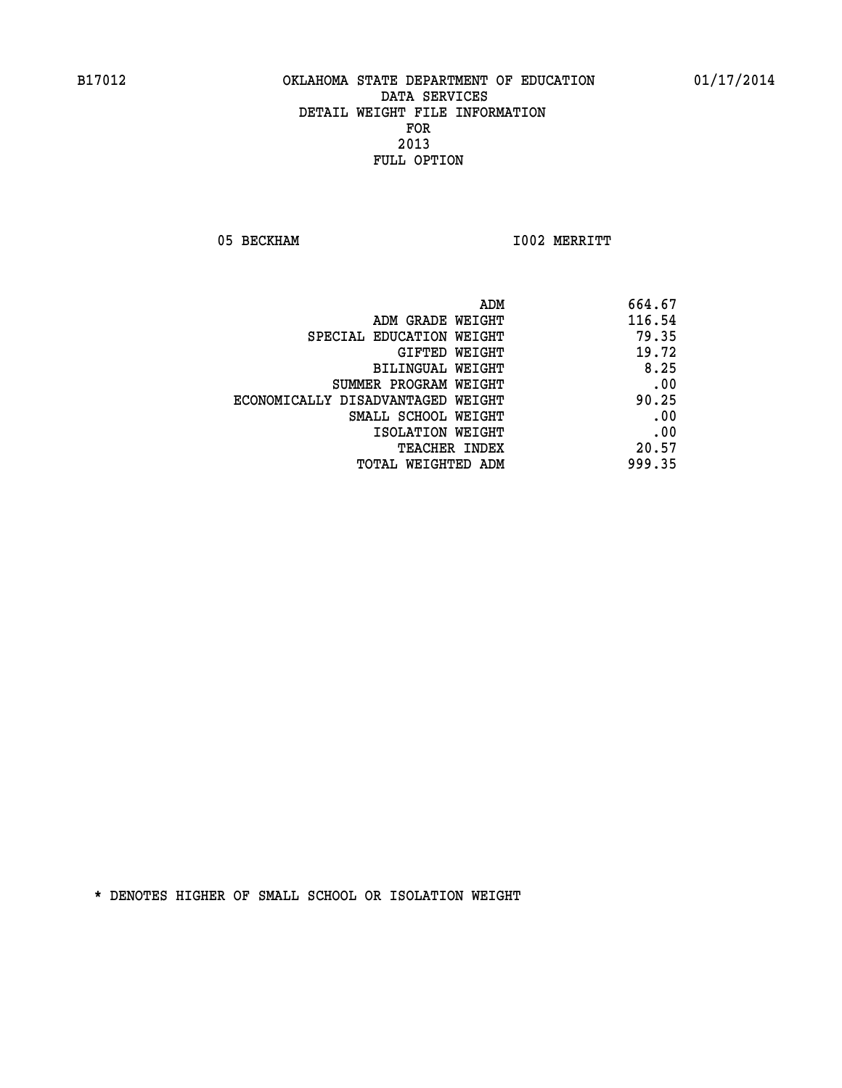05 BECKHAM 1002 MERRITT

|                                   | ADM<br>664.67 |
|-----------------------------------|---------------|
| ADM GRADE WEIGHT                  | 116.54        |
| SPECIAL EDUCATION WEIGHT          | 79.35         |
| GIFTED WEIGHT                     | 19.72         |
| BILINGUAL WEIGHT                  | 8.25          |
| SUMMER PROGRAM WEIGHT             | .00           |
| ECONOMICALLY DISADVANTAGED WEIGHT | 90.25         |
| SMALL SCHOOL WEIGHT               | .00           |
| ISOLATION WEIGHT                  | .00           |
| TEACHER INDEX                     | 20.57         |
| TOTAL WEIGHTED ADM                | 999.35        |
|                                   |               |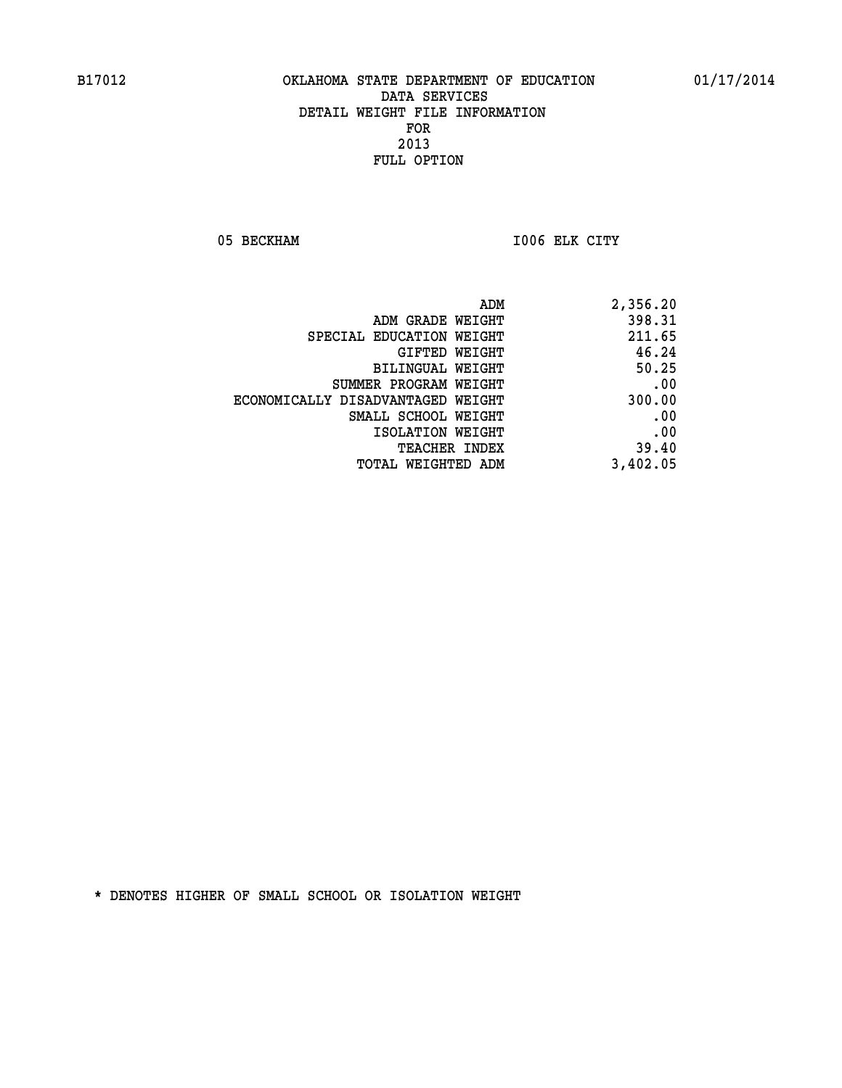05 BECKHAM 1006 ELK CITY

| 2,356.20 |
|----------|
| 398.31   |
| 211.65   |
| 46.24    |
| 50.25    |
| .00      |
| 300.00   |
| .00      |
| .00      |
| 39.40    |
| 3,402.05 |
|          |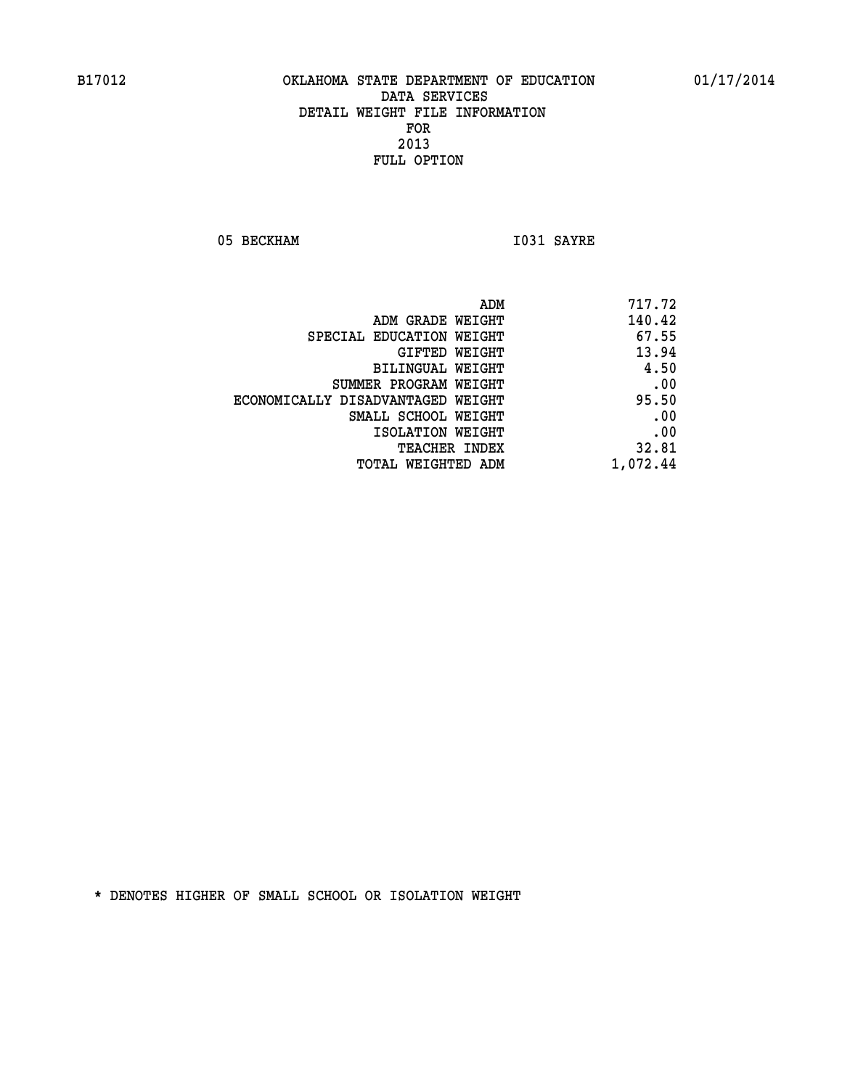05 BECKHAM 1031 SAYRE

| ADM                               | 717.72   |
|-----------------------------------|----------|
| ADM GRADE WEIGHT                  | 140.42   |
| SPECIAL EDUCATION WEIGHT          | 67.55    |
| GIFTED WEIGHT                     | 13.94    |
| BILINGUAL WEIGHT                  | 4.50     |
| SUMMER PROGRAM WEIGHT             | .00      |
| ECONOMICALLY DISADVANTAGED WEIGHT | 95.50    |
| SMALL SCHOOL WEIGHT               | .00      |
| ISOLATION WEIGHT                  | .00      |
| <b>TEACHER INDEX</b>              | 32.81    |
| TOTAL WEIGHTED ADM                | 1,072.44 |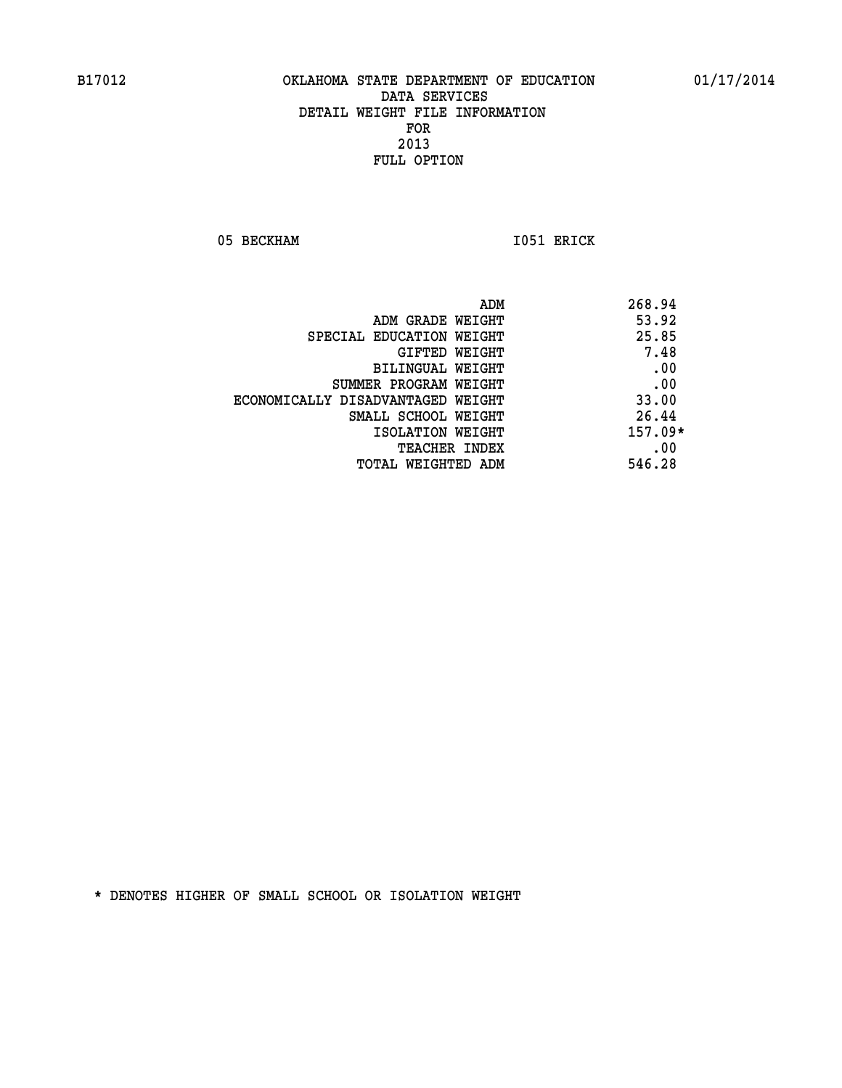05 BECKHAM 1051 ERICK

|                                   | ADM | 268.94    |
|-----------------------------------|-----|-----------|
| ADM GRADE WEIGHT                  |     | 53.92     |
| SPECIAL EDUCATION WEIGHT          |     | 25.85     |
| GIFTED WEIGHT                     |     | 7.48      |
| BILINGUAL WEIGHT                  |     | .00       |
| SUMMER PROGRAM WEIGHT             |     | .00       |
| ECONOMICALLY DISADVANTAGED WEIGHT |     | 33.00     |
| SMALL SCHOOL WEIGHT               |     | 26.44     |
| ISOLATION WEIGHT                  |     | $157.09*$ |
| TEACHER INDEX                     |     | .00       |
| TOTAL WEIGHTED ADM                |     | 546.28    |
|                                   |     |           |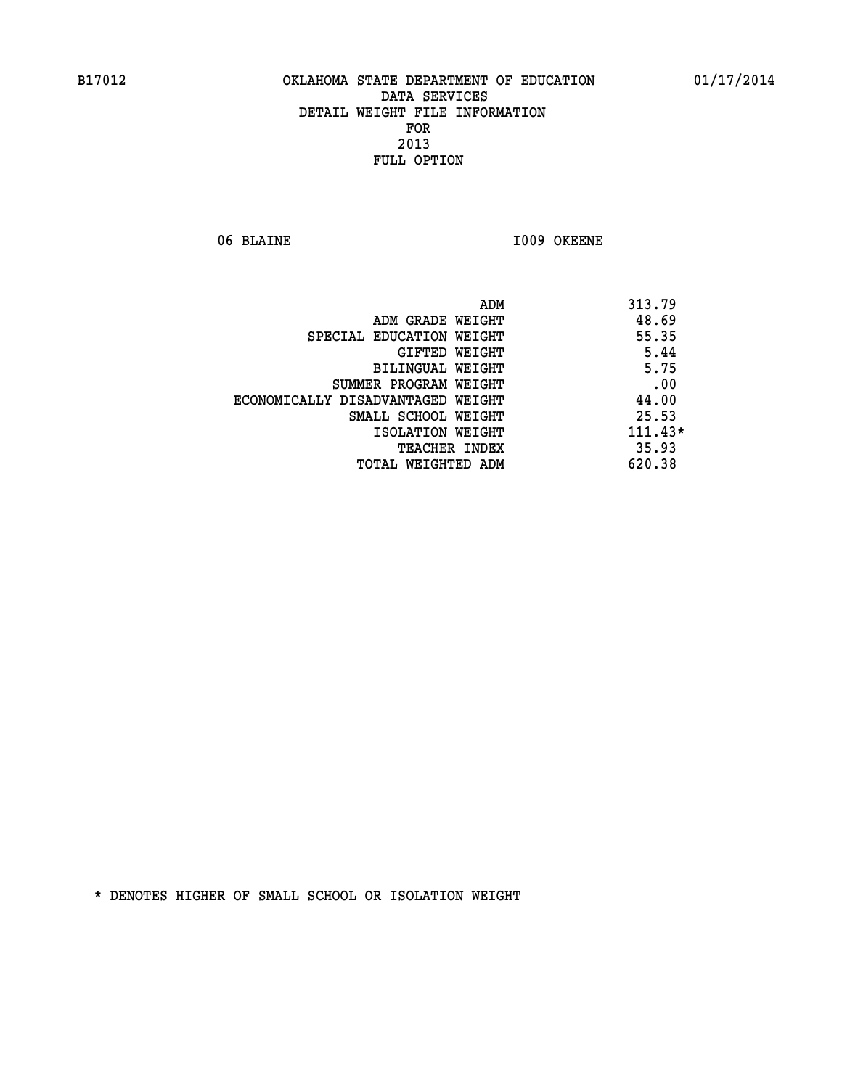06 BLAINE 1009 OKEENE

|                                   | ADM | 313.79    |
|-----------------------------------|-----|-----------|
| ADM GRADE WEIGHT                  |     | 48.69     |
| SPECIAL EDUCATION WEIGHT          |     | 55.35     |
| GIFTED WEIGHT                     |     | 5.44      |
| BILINGUAL WEIGHT                  |     | 5.75      |
| SUMMER PROGRAM WEIGHT             |     | .00       |
| ECONOMICALLY DISADVANTAGED WEIGHT |     | 44.00     |
| SMALL SCHOOL WEIGHT               |     | 25.53     |
| ISOLATION WEIGHT                  |     | $111.43*$ |
| <b>TEACHER INDEX</b>              |     | 35.93     |
| TOTAL WEIGHTED ADM                |     | 620.38    |
|                                   |     |           |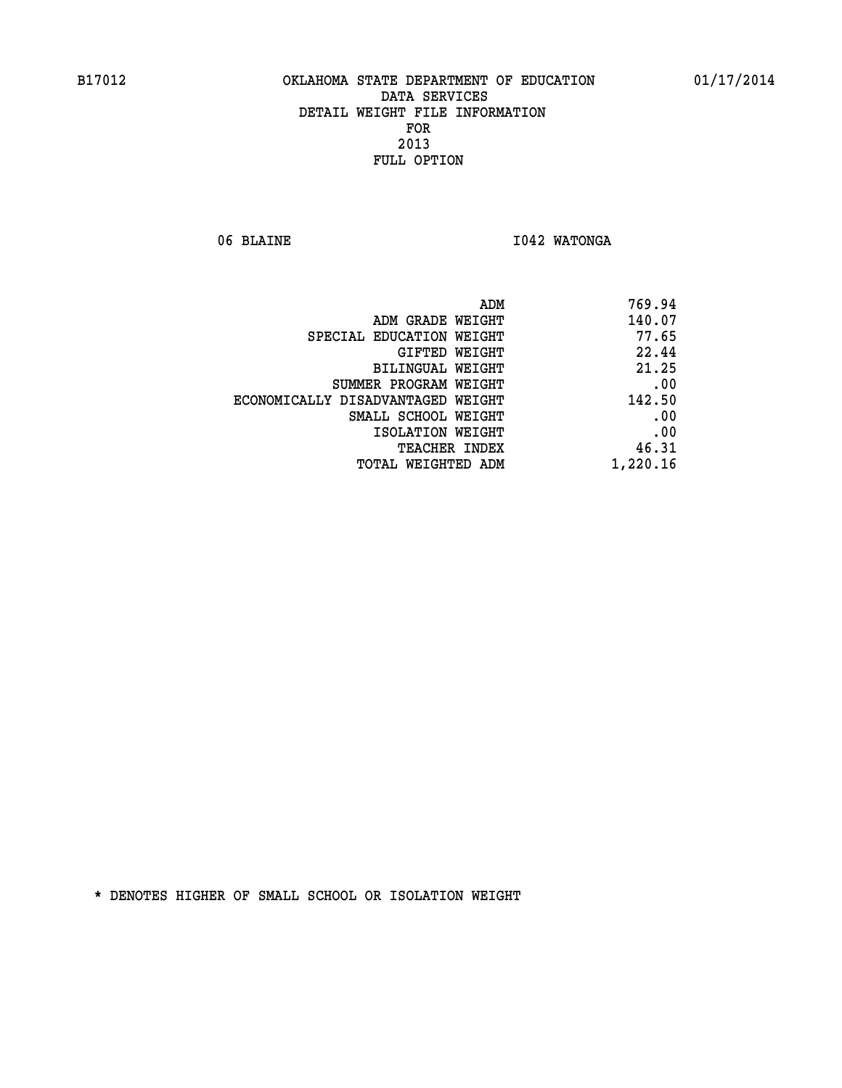06 BLAINE **I042 WATONGA** 

| 769.94   |
|----------|
| 140.07   |
| 77.65    |
| 22.44    |
| 21.25    |
| .00      |
| 142.50   |
| .00      |
| .00      |
| 46.31    |
| 1,220.16 |
|          |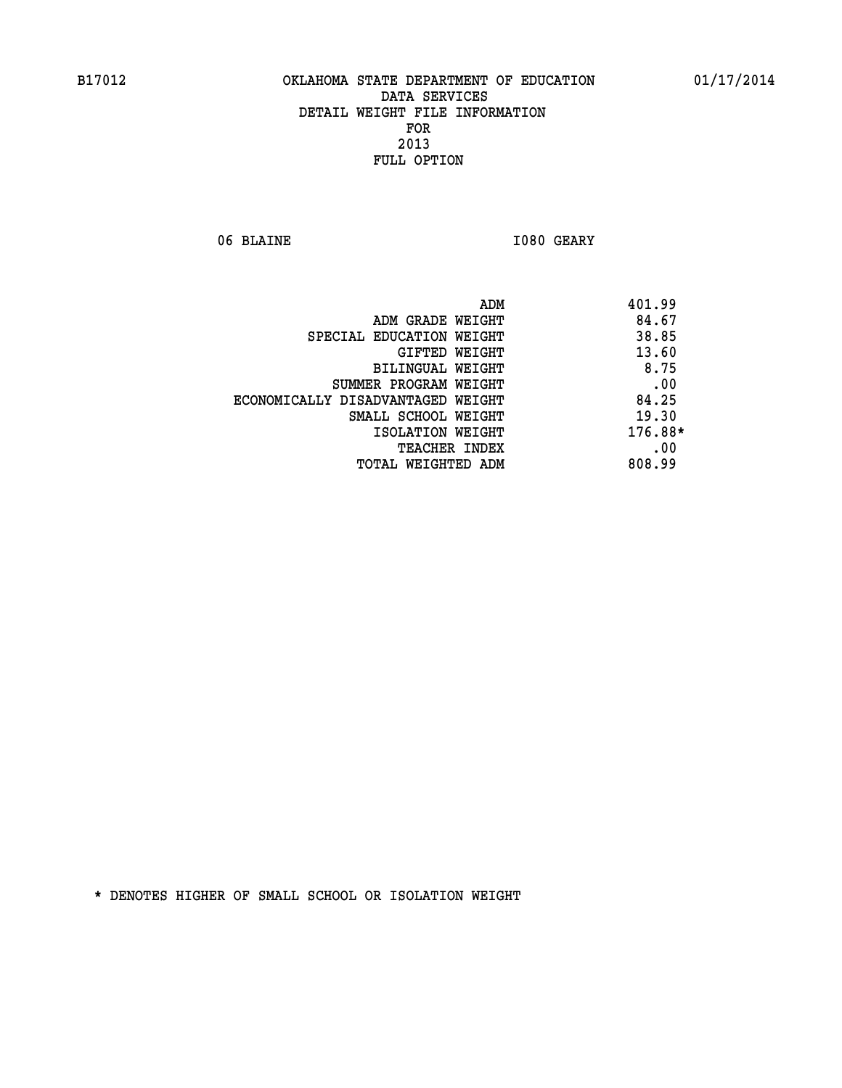06 BLAINE **I080 GEARY** 

| ADM                               | 401.99  |
|-----------------------------------|---------|
| ADM GRADE WEIGHT                  | 84.67   |
| SPECIAL EDUCATION WEIGHT          | 38.85   |
| GIFTED WEIGHT                     | 13.60   |
| BILINGUAL WEIGHT                  | 8.75    |
| SUMMER PROGRAM WEIGHT             | .00     |
| ECONOMICALLY DISADVANTAGED WEIGHT | 84.25   |
| SMALL SCHOOL WEIGHT               | 19.30   |
| ISOLATION WEIGHT                  | 176.88* |
| <b>TEACHER INDEX</b>              | .00     |
| TOTAL WEIGHTED ADM                | 808.99  |
|                                   |         |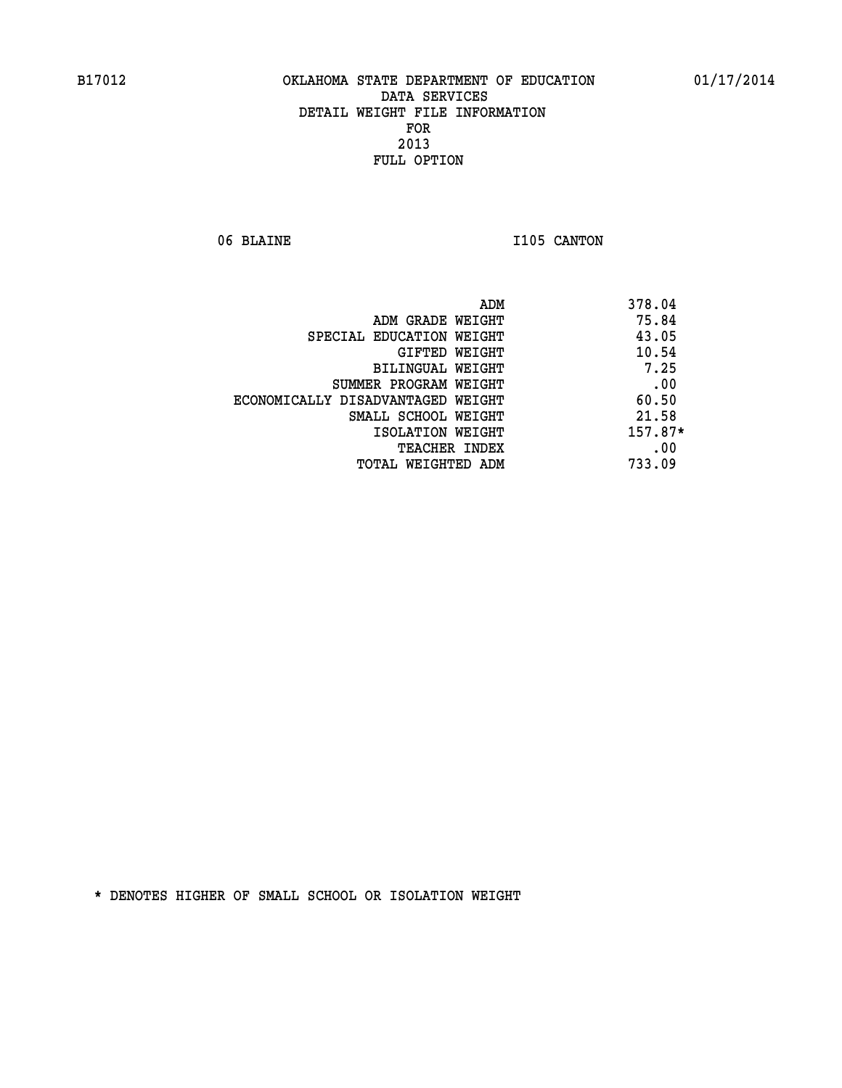06 BLAINE 1105 CANTON

| ADM<br>378.04 |                                   |
|---------------|-----------------------------------|
| 75.84         | ADM GRADE WEIGHT                  |
| 43.05         | SPECIAL EDUCATION WEIGHT          |
| 10.54         | GIFTED WEIGHT                     |
| 7.25          | <b>BILINGUAL WEIGHT</b>           |
| .00           | SUMMER PROGRAM WEIGHT             |
| 60.50         | ECONOMICALLY DISADVANTAGED WEIGHT |
| 21.58         | SMALL SCHOOL WEIGHT               |
| 157.87*       | ISOLATION WEIGHT                  |
| .00           | <b>TEACHER INDEX</b>              |
| 733.09        | TOTAL WEIGHTED ADM                |
|               |                                   |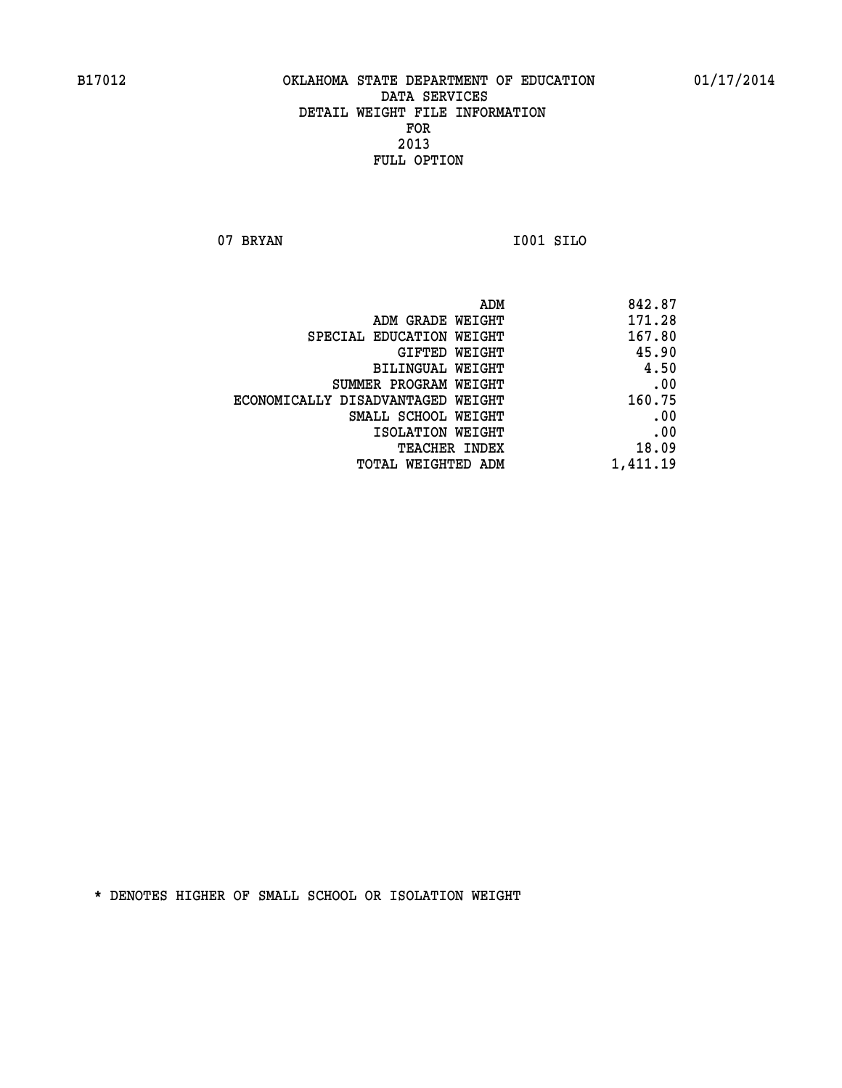**07 BRYAN I001 SILO** 

| 842.87                                                                                                                                                                                                                                   |
|------------------------------------------------------------------------------------------------------------------------------------------------------------------------------------------------------------------------------------------|
| 171.28                                                                                                                                                                                                                                   |
| 167.80                                                                                                                                                                                                                                   |
| 45.90                                                                                                                                                                                                                                    |
| 4.50                                                                                                                                                                                                                                     |
| .00                                                                                                                                                                                                                                      |
| 160.75                                                                                                                                                                                                                                   |
| .00                                                                                                                                                                                                                                      |
| .00                                                                                                                                                                                                                                      |
| 18.09                                                                                                                                                                                                                                    |
| 1,411.19                                                                                                                                                                                                                                 |
| ADM GRADE WEIGHT<br>SPECIAL EDUCATION WEIGHT<br>GIFTED WEIGHT<br>BILINGUAL WEIGHT<br>SUMMER PROGRAM WEIGHT<br>ECONOMICALLY DISADVANTAGED WEIGHT<br>SMALL SCHOOL WEIGHT<br>ISOLATION WEIGHT<br><b>TEACHER INDEX</b><br>TOTAL WEIGHTED ADM |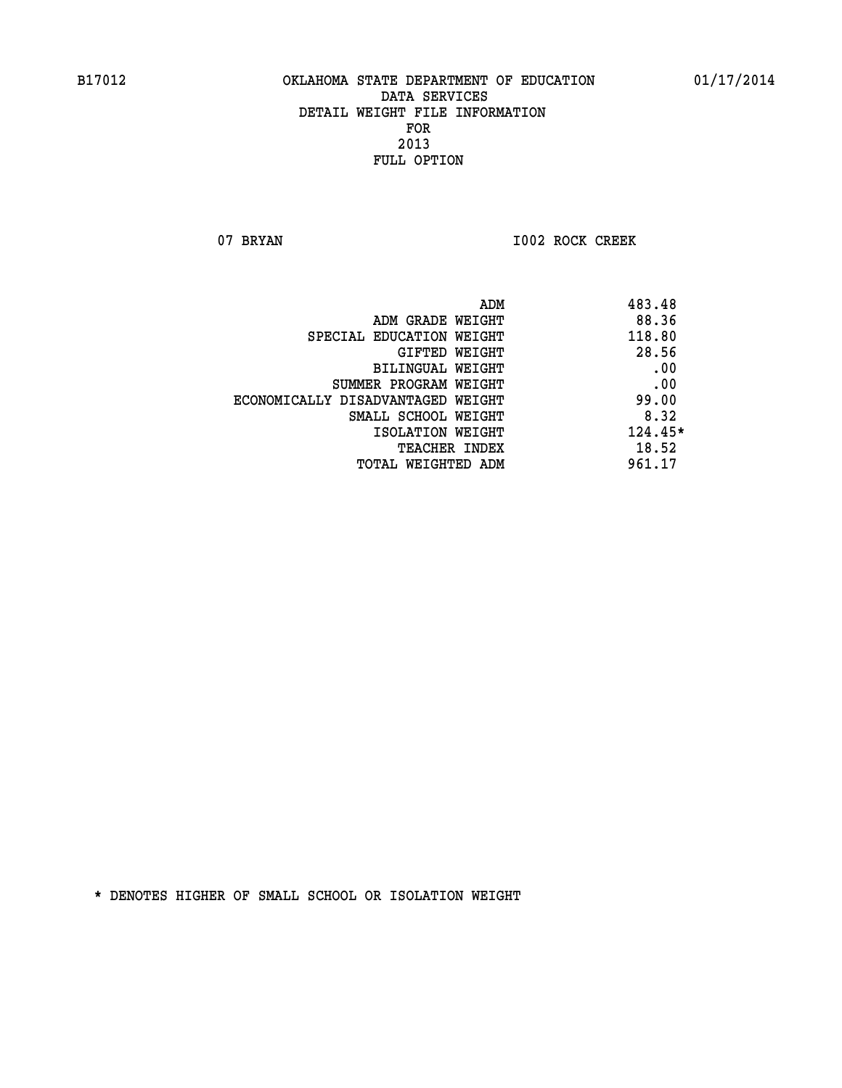07 BRYAN 1002 ROCK CREEK

|                                   | ADM | 483.48  |
|-----------------------------------|-----|---------|
| ADM GRADE WEIGHT                  |     | 88.36   |
| SPECIAL EDUCATION WEIGHT          |     | 118.80  |
| GIFTED WEIGHT                     |     | 28.56   |
| BILINGUAL WEIGHT                  |     | .00     |
| SUMMER PROGRAM WEIGHT             |     | .00     |
| ECONOMICALLY DISADVANTAGED WEIGHT |     | 99.00   |
| SMALL SCHOOL WEIGHT               |     | 8.32    |
| ISOLATION WEIGHT                  |     | 124.45* |
| TEACHER INDEX                     |     | 18.52   |
| TOTAL WEIGHTED ADM                |     | 961.17  |
|                                   |     |         |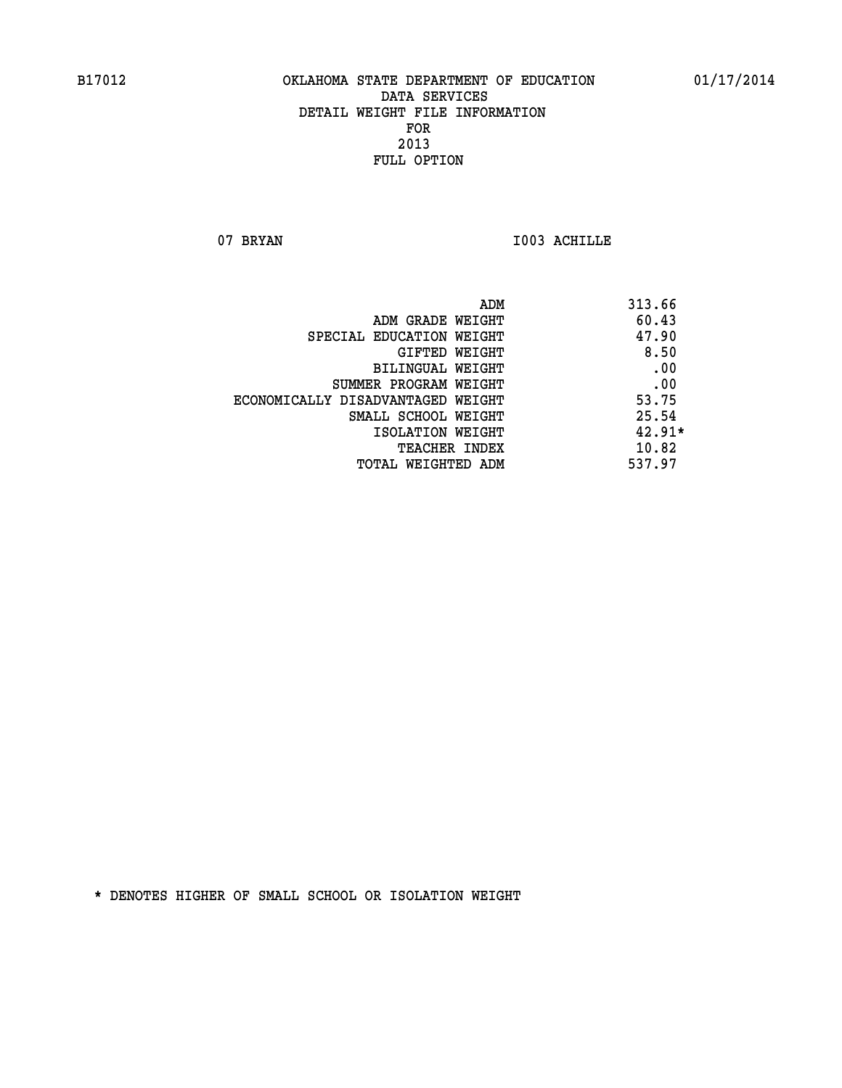07 BRYAN 1003 ACHILLE

|                                   | ADM | 313.66   |
|-----------------------------------|-----|----------|
| ADM GRADE WEIGHT                  |     | 60.43    |
| SPECIAL EDUCATION WEIGHT          |     | 47.90    |
| GIFTED WEIGHT                     |     | 8.50     |
| BILINGUAL WEIGHT                  |     | .00      |
| SUMMER PROGRAM WEIGHT             |     | .00      |
| ECONOMICALLY DISADVANTAGED WEIGHT |     | 53.75    |
| SMALL SCHOOL WEIGHT               |     | 25.54    |
| ISOLATION WEIGHT                  |     | $42.91*$ |
| <b>TEACHER INDEX</b>              |     | 10.82    |
| TOTAL WEIGHTED ADM                |     | 537.97   |
|                                   |     |          |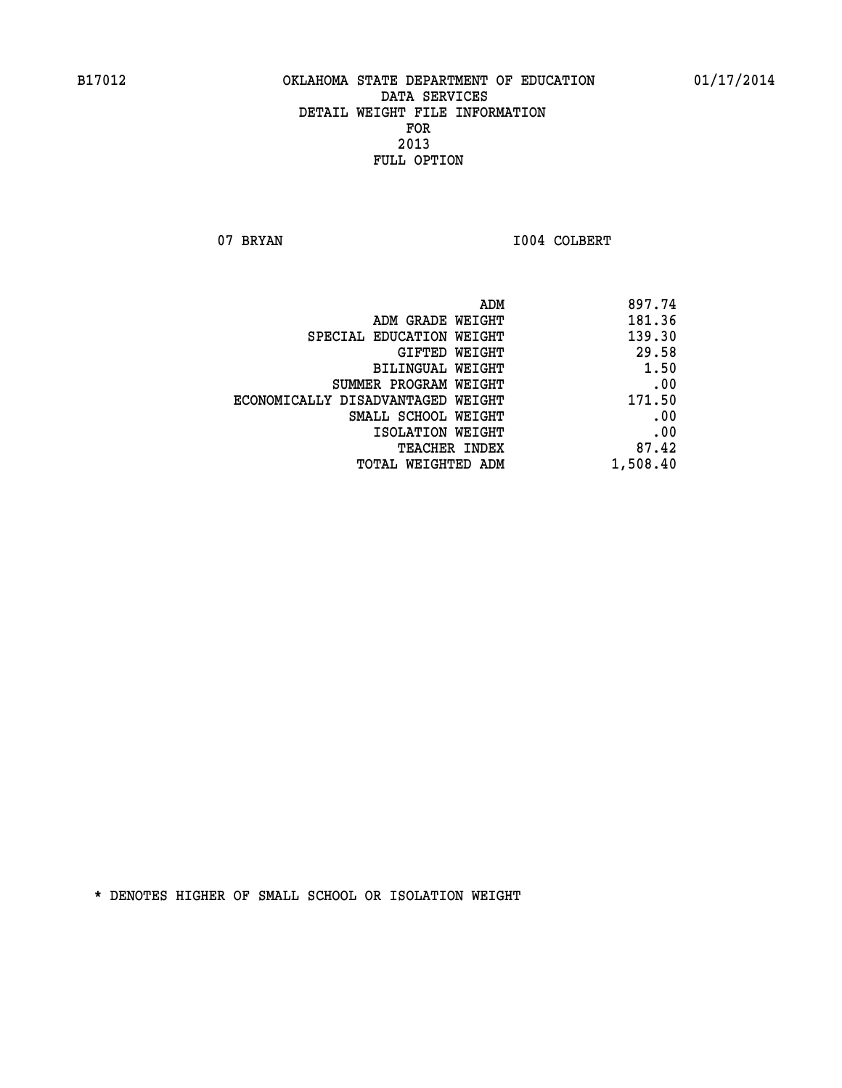07 BRYAN 1004 COLBERT

|                                   | ADM | 897.74   |
|-----------------------------------|-----|----------|
| ADM GRADE WEIGHT                  |     | 181.36   |
| SPECIAL EDUCATION WEIGHT          |     | 139.30   |
| GIFTED WEIGHT                     |     | 29.58    |
| BILINGUAL WEIGHT                  |     | 1.50     |
| SUMMER PROGRAM WEIGHT             |     | .00      |
| ECONOMICALLY DISADVANTAGED WEIGHT |     | 171.50   |
| SMALL SCHOOL WEIGHT               |     | .00      |
| ISOLATION WEIGHT                  |     | .00      |
| TEACHER INDEX                     |     | 87.42    |
| TOTAL WEIGHTED ADM                |     | 1,508.40 |
|                                   |     |          |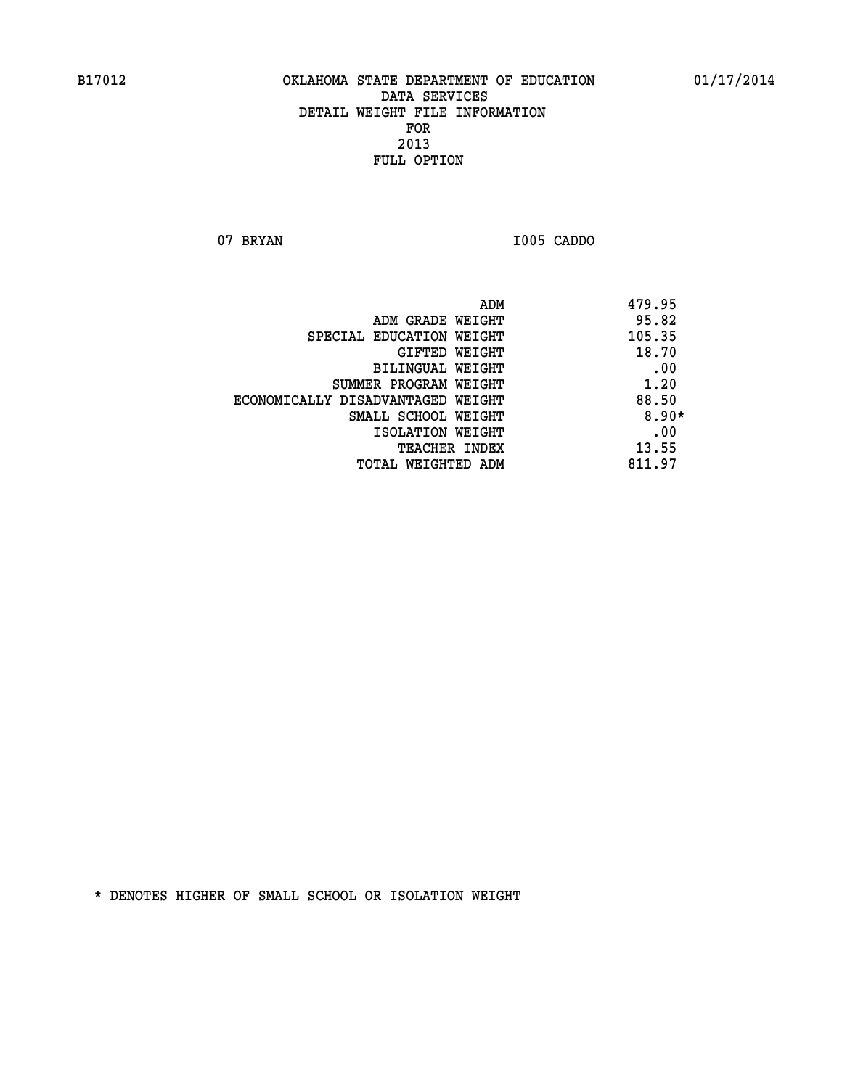**07 BRYAN I005 CADDO** 

| ADM<br>479.95                              |
|--------------------------------------------|
| 95.82<br>ADM GRADE WEIGHT                  |
| 105.35<br>SPECIAL EDUCATION WEIGHT         |
| 18.70<br>GIFTED WEIGHT                     |
| .00<br>BILINGUAL WEIGHT                    |
| 1.20<br>SUMMER PROGRAM WEIGHT              |
| 88.50<br>ECONOMICALLY DISADVANTAGED WEIGHT |
| $8.90*$<br>SMALL SCHOOL WEIGHT             |
| .00<br>ISOLATION WEIGHT                    |
| 13.55<br><b>TEACHER INDEX</b>              |
| 811.97<br>TOTAL WEIGHTED ADM               |
|                                            |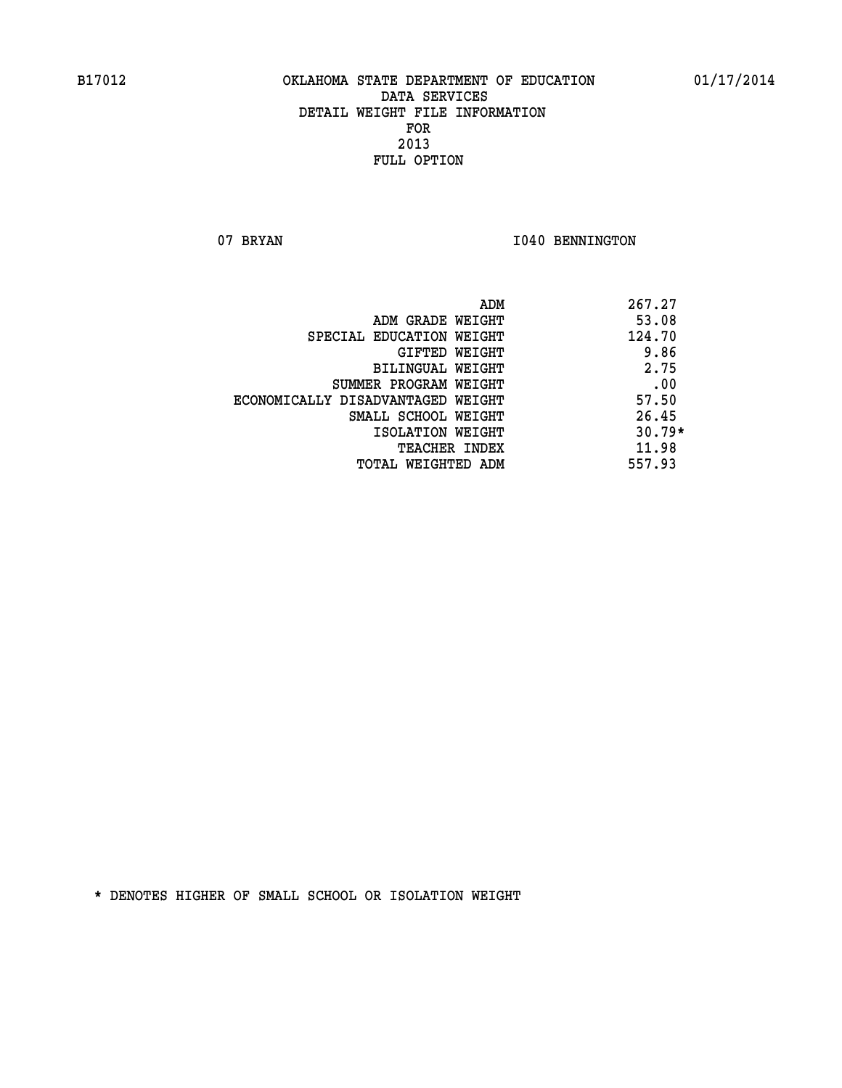07 BRYAN 1040 BENNINGTON

|                                   | ADM<br>267.27 |  |
|-----------------------------------|---------------|--|
| ADM GRADE WEIGHT                  | 53.08         |  |
| SPECIAL EDUCATION WEIGHT          | 124.70        |  |
| GIFTED WEIGHT                     | 9.86          |  |
| BILINGUAL WEIGHT                  | 2.75          |  |
| SUMMER PROGRAM WEIGHT             | .00           |  |
| ECONOMICALLY DISADVANTAGED WEIGHT | 57.50         |  |
| SMALL SCHOOL WEIGHT               | 26.45         |  |
| ISOLATION WEIGHT                  | $30.79*$      |  |
| <b>TEACHER INDEX</b>              | 11.98         |  |
| TOTAL WEIGHTED ADM                | 557.93        |  |
|                                   |               |  |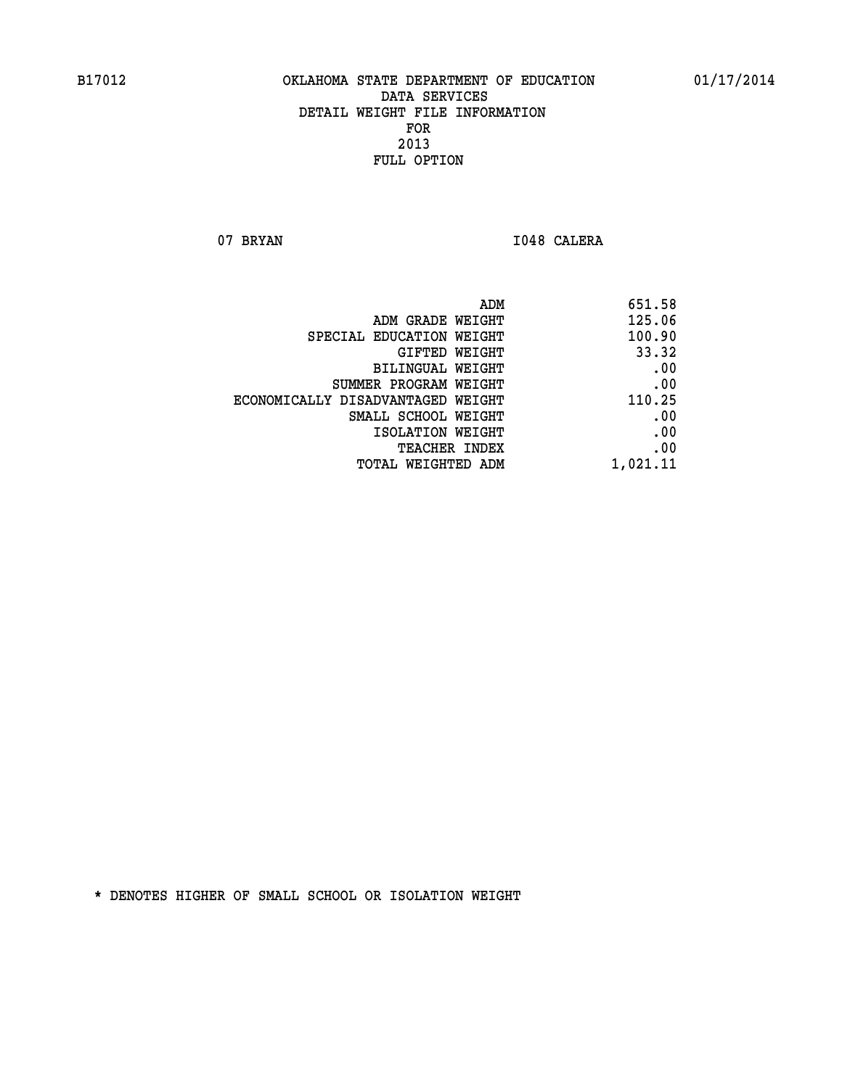07 BRYAN 1048 CALERA

| 651.58   |
|----------|
| 125.06   |
| 100.90   |
| 33.32    |
| .00      |
| .00      |
| 110.25   |
| .00      |
| .00      |
| .00      |
| 1,021.11 |
|          |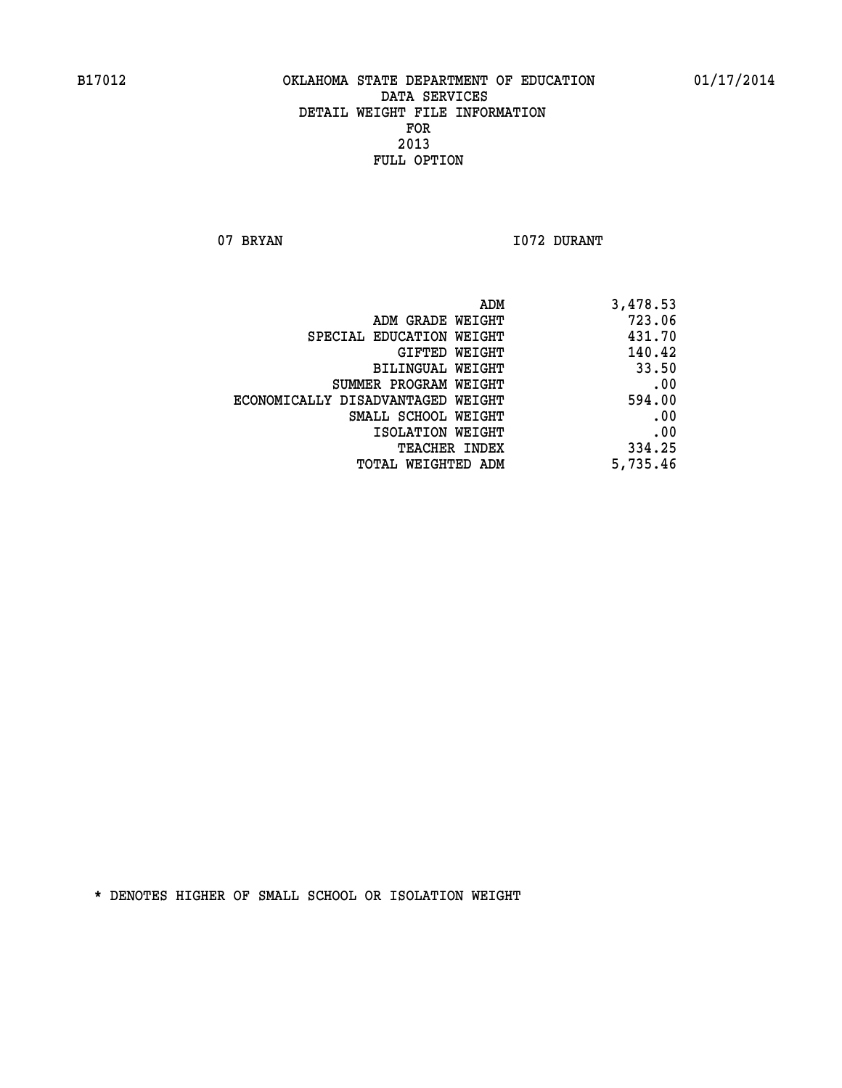07 BRYAN 1072 DURANT

| 3,478.53 |
|----------|
| 723.06   |
| 431.70   |
| 140.42   |
| 33.50    |
| .00      |
| 594.00   |
| .00      |
| .00      |
| 334.25   |
| 5,735.46 |
|          |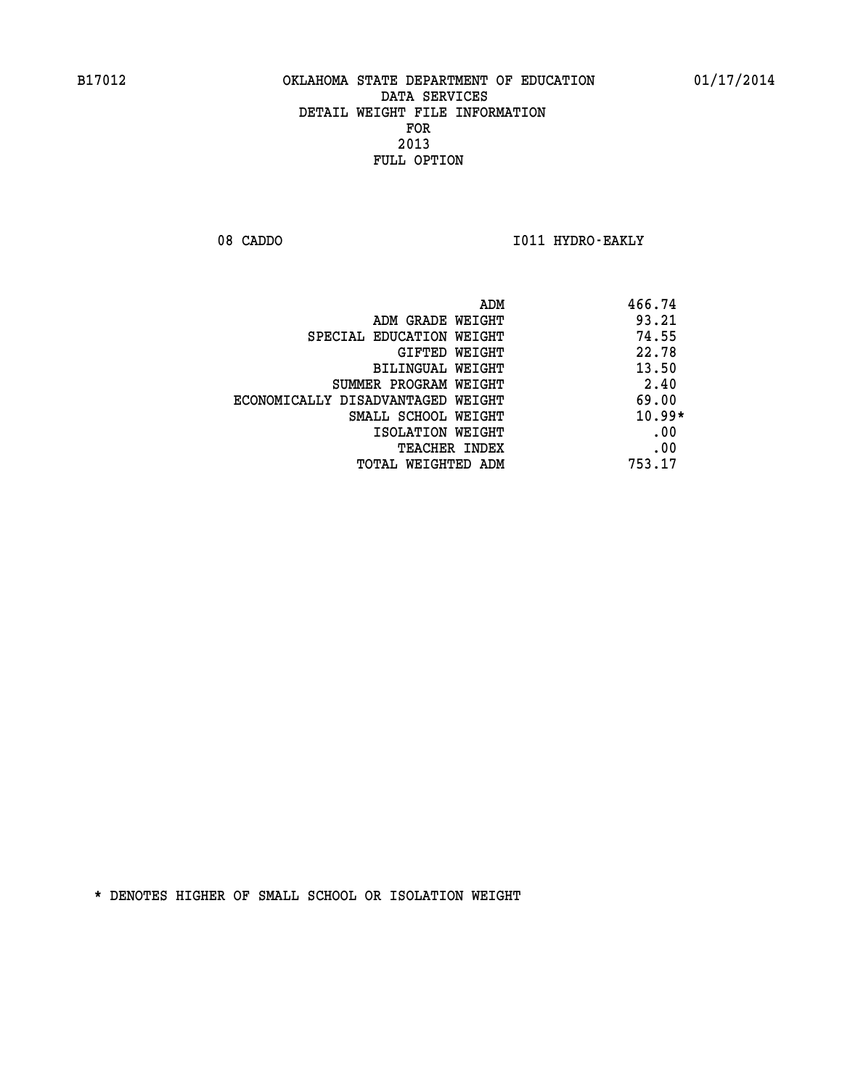08 CADDO **I011 HYDRO-EAKLY** 

|                                   | 466.74<br>ADM |
|-----------------------------------|---------------|
| ADM GRADE WEIGHT                  | 93.21         |
| SPECIAL EDUCATION WEIGHT          | 74.55         |
| GIFTED WEIGHT                     | 22.78         |
| <b>BILINGUAL WEIGHT</b>           | 13.50         |
| SUMMER PROGRAM WEIGHT             | 2.40          |
| ECONOMICALLY DISADVANTAGED WEIGHT | 69.00         |
| SMALL SCHOOL WEIGHT               | $10.99*$      |
| ISOLATION WEIGHT                  | .00           |
| <b>TEACHER INDEX</b>              | .00           |
| TOTAL WEIGHTED ADM                | 753.17        |
|                                   |               |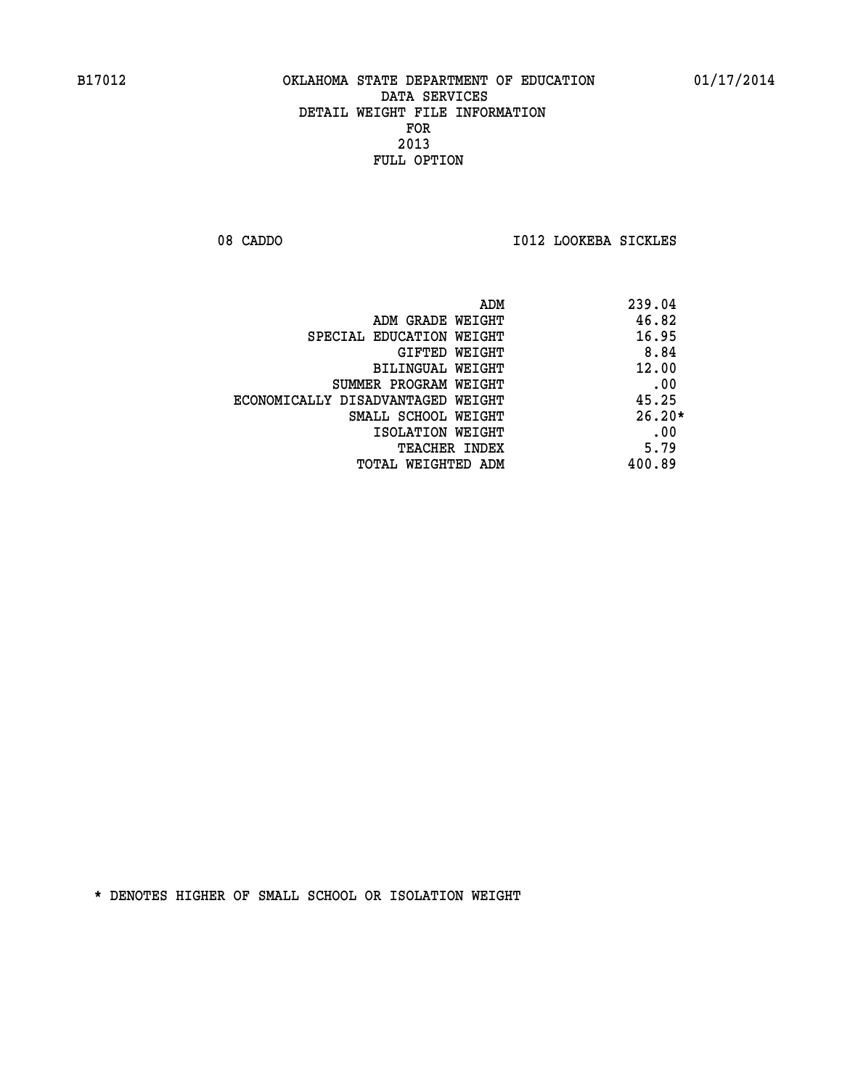08 CADDO **I012 LOOKEBA SICKLES** 

|                                   | ADM | 239.04   |
|-----------------------------------|-----|----------|
| ADM GRADE WEIGHT                  |     | 46.82    |
| SPECIAL EDUCATION WEIGHT          |     | 16.95    |
| GIFTED WEIGHT                     |     | 8.84     |
| BILINGUAL WEIGHT                  |     | 12.00    |
| SUMMER PROGRAM WEIGHT             |     | .00      |
| ECONOMICALLY DISADVANTAGED WEIGHT |     | 45.25    |
| SMALL SCHOOL WEIGHT               |     | $26.20*$ |
| ISOLATION WEIGHT                  |     | .00      |
| <b>TEACHER INDEX</b>              |     | 5.79     |
| TOTAL WEIGHTED ADM                |     | 400.89   |
|                                   |     |          |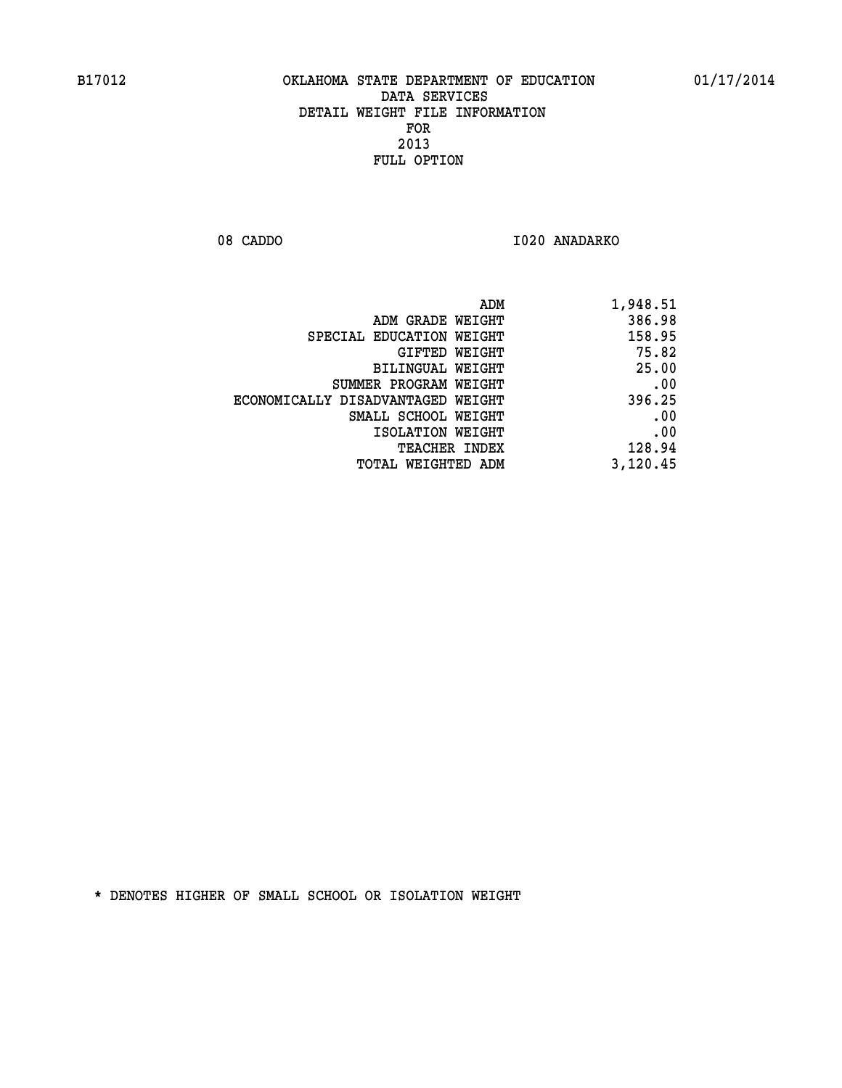08 CADDO 1020 ANADARKO

| 1,948.51 |
|----------|
| 386.98   |
| 158.95   |
| 75.82    |
| 25.00    |
| .00      |
| 396.25   |
| .00      |
| .00      |
| 128.94   |
| 3,120.45 |
|          |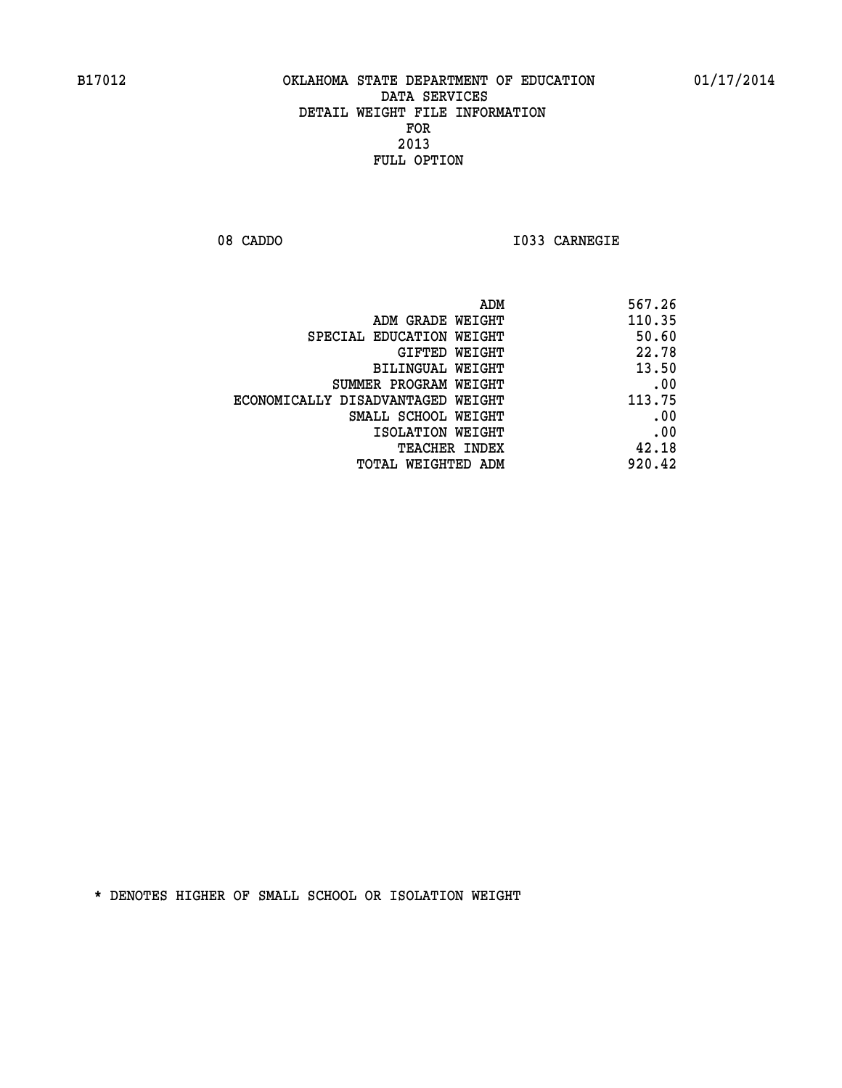**08 CADDO I033 CARNEGIE** 

| ADM                               | 567.26 |
|-----------------------------------|--------|
| ADM GRADE WEIGHT                  | 110.35 |
| SPECIAL EDUCATION WEIGHT          | 50.60  |
| GIFTED WEIGHT                     | 22.78  |
| BILINGUAL WEIGHT                  | 13.50  |
| SUMMER PROGRAM WEIGHT             | .00    |
| ECONOMICALLY DISADVANTAGED WEIGHT | 113.75 |
| SMALL SCHOOL WEIGHT               | .00    |
| ISOLATION WEIGHT                  | .00    |
| TEACHER INDEX                     | 42.18  |
| TOTAL WEIGHTED ADM                | 920.42 |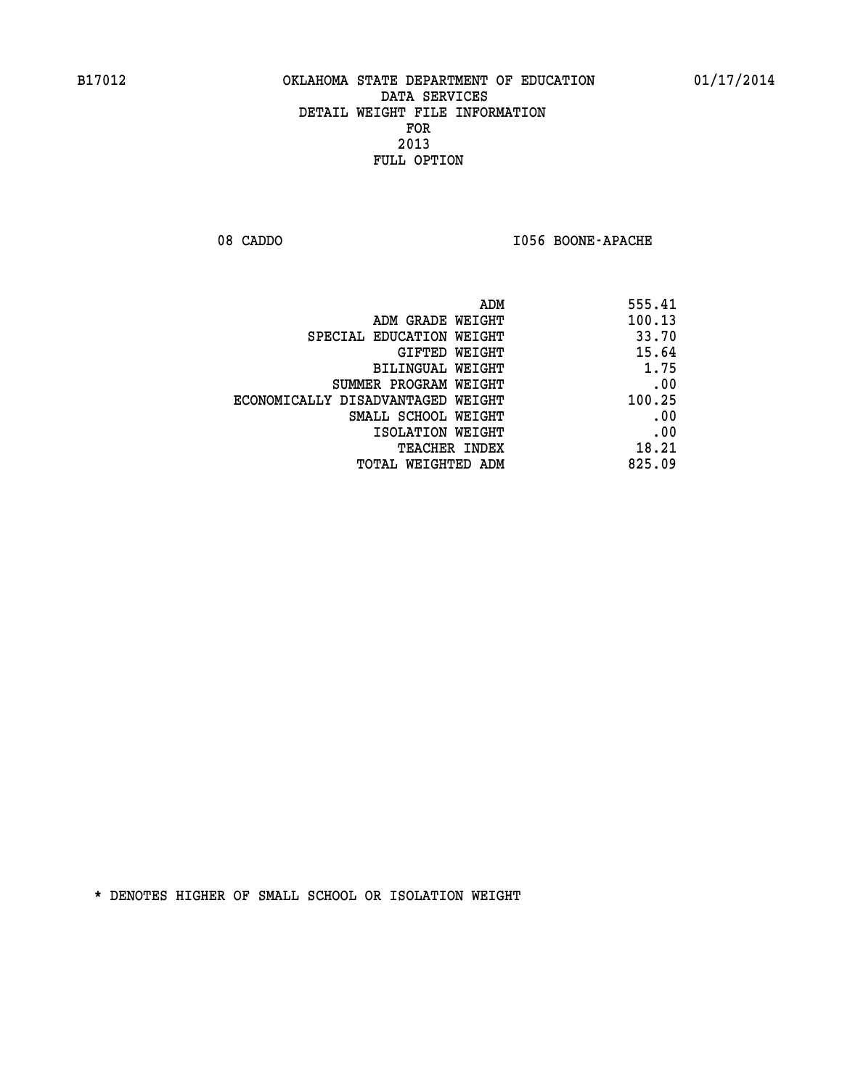08 CADDO **I056 BOONE-APACHE** 

| 555.41 |
|--------|
| 100.13 |
| 33.70  |
| 15.64  |
| 1.75   |
| .00    |
| 100.25 |
| .00    |
| .00    |
| 18.21  |
| 825.09 |
|        |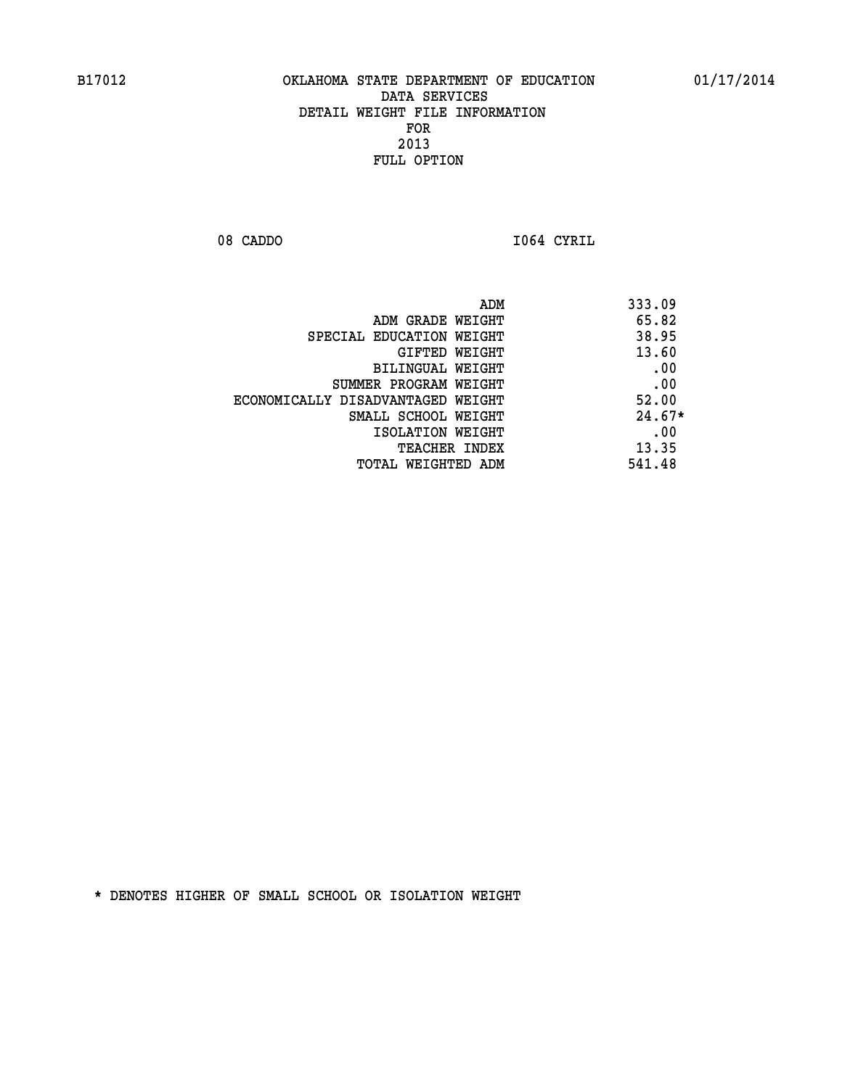08 CADDO **I064 CYRIL** 

 **ADM 333.09 ADM GRADE WEIGHT 65.82 SPECIAL EDUCATION WEIGHT 38.95 GIFTED WEIGHT 43.60 BILINGUAL WEIGHT .00 SUMMER PROGRAM WEIGHT .00 ECONOMICALLY DISADVANTAGED WEIGHT 52.00 SMALL SCHOOL WEIGHT 24.67\* EXECUTED ISOLATION WEIGHT AND RESOLATION WEIGHT TEACHER INDEX** 13.35  **TOTAL WEIGHTED ADM 541.48**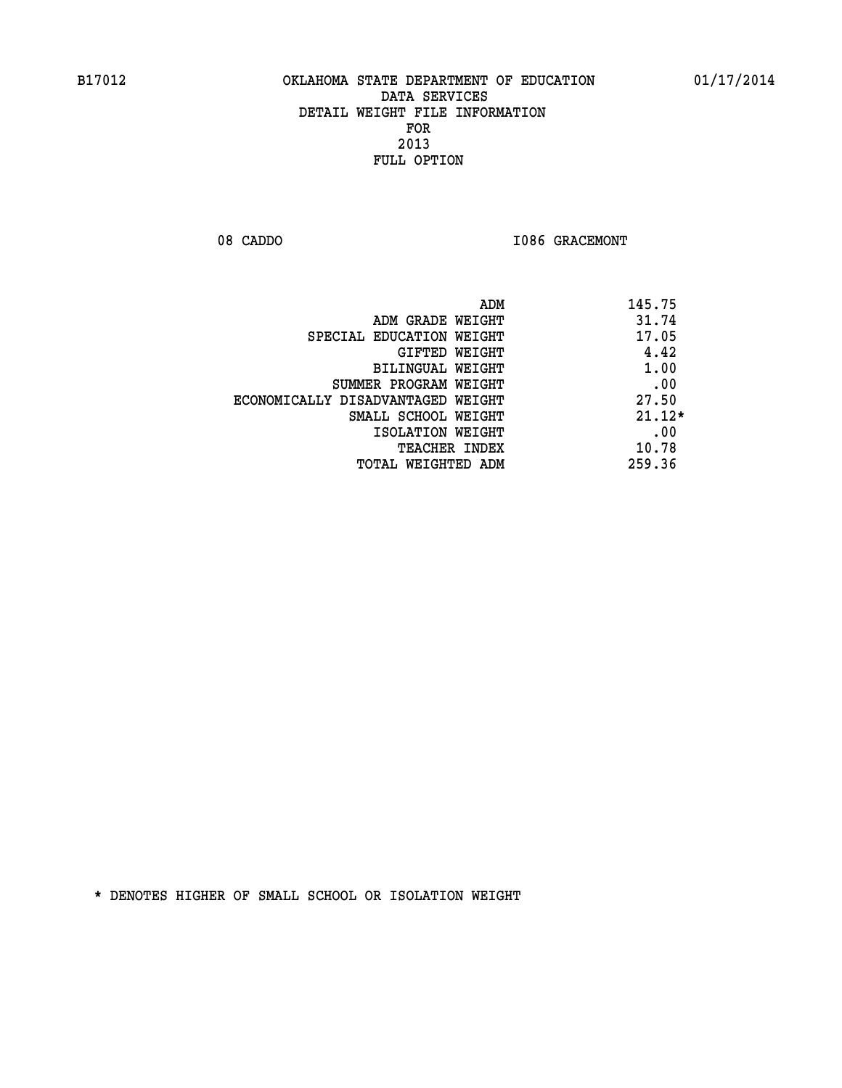08 CADDO **I086 GRACEMONT** 

| ADM                               | 145.75   |
|-----------------------------------|----------|
| ADM GRADE WEIGHT                  | 31.74    |
| SPECIAL EDUCATION WEIGHT          | 17.05    |
| GIFTED WEIGHT                     | 4.42     |
| BILINGUAL WEIGHT                  | 1.00     |
| SUMMER PROGRAM WEIGHT             | .00      |
| ECONOMICALLY DISADVANTAGED WEIGHT | 27.50    |
| SMALL SCHOOL WEIGHT               | $21.12*$ |
| ISOLATION WEIGHT                  | .00      |
| <b>TEACHER INDEX</b>              | 10.78    |
| TOTAL WEIGHTED ADM                | 259.36   |
|                                   |          |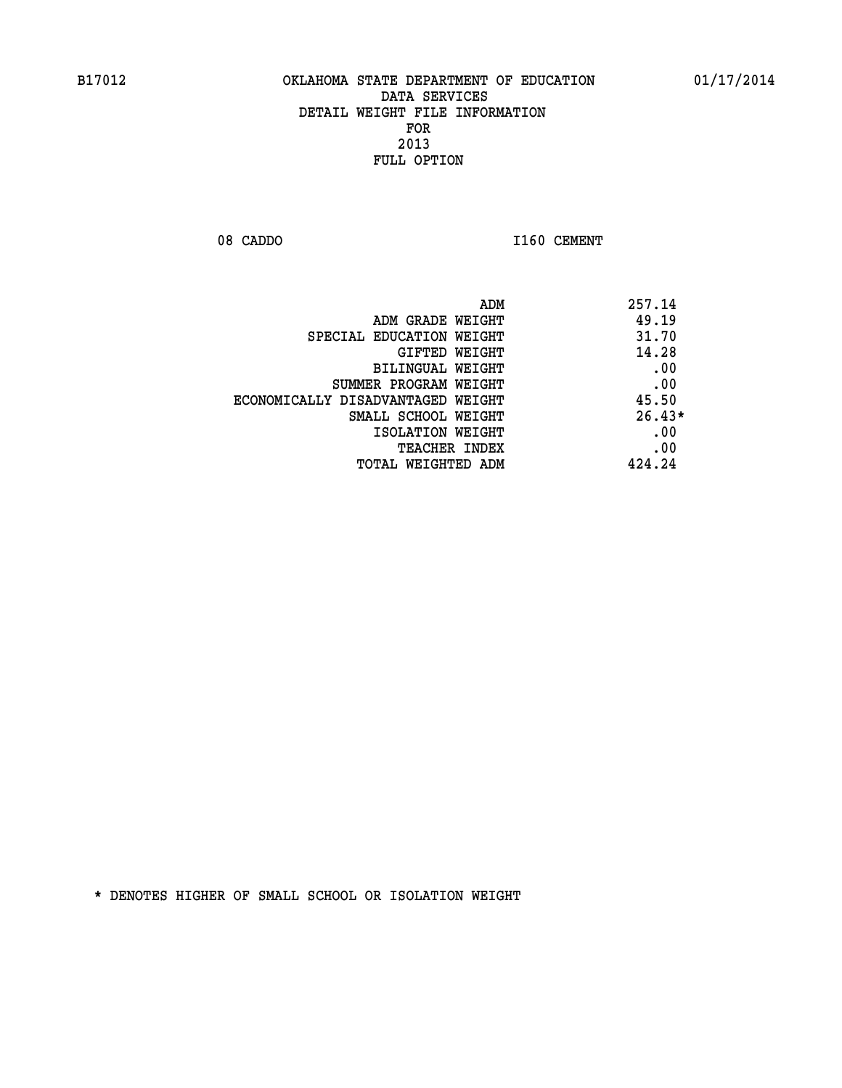08 CADDO 1160 CEMENT

| ADM<br>257.14                              |  |
|--------------------------------------------|--|
| 49.19<br>ADM GRADE WEIGHT                  |  |
| 31.70<br>SPECIAL EDUCATION WEIGHT          |  |
| 14.28<br>GIFTED WEIGHT                     |  |
| .00<br>BILINGUAL WEIGHT                    |  |
| .00<br>SUMMER PROGRAM WEIGHT               |  |
| 45.50<br>ECONOMICALLY DISADVANTAGED WEIGHT |  |
| $26.43*$<br>SMALL SCHOOL WEIGHT            |  |
| .00<br>ISOLATION WEIGHT                    |  |
| .00<br><b>TEACHER INDEX</b>                |  |
| 424.24<br>TOTAL WEIGHTED ADM               |  |
|                                            |  |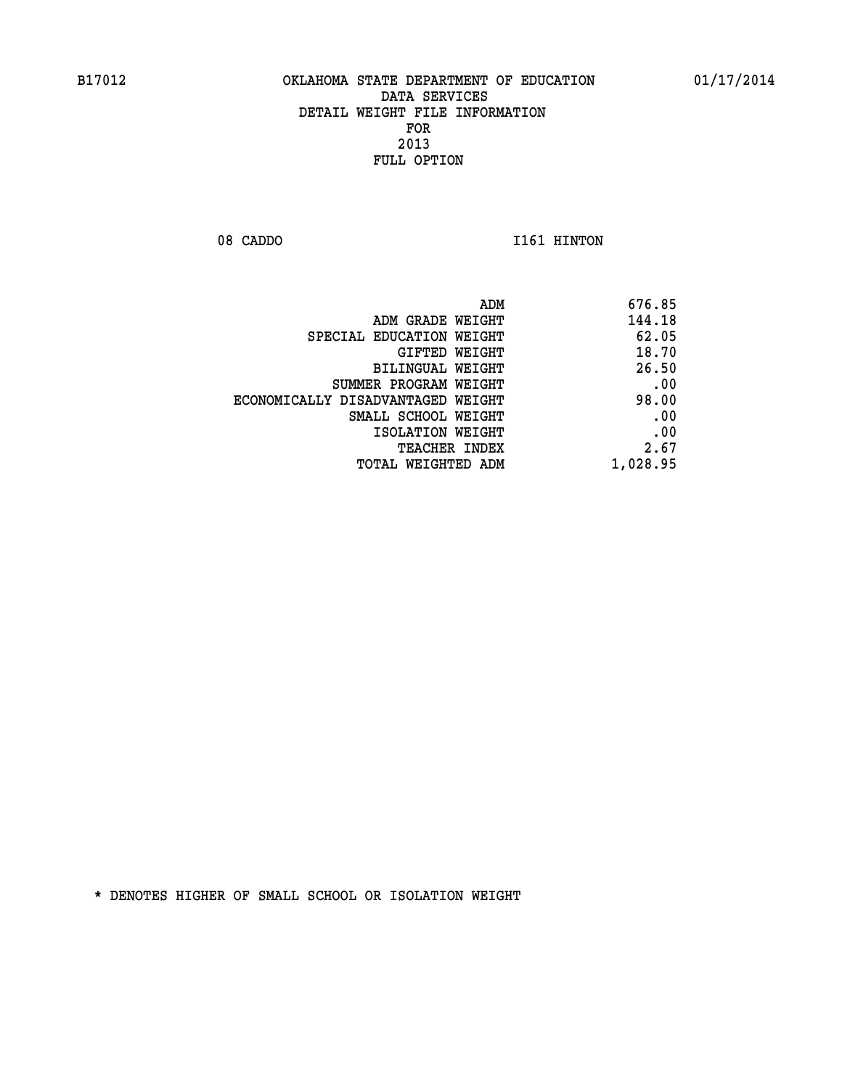08 CADDO 1161 HINTON

| ADM                               | 676.85   |
|-----------------------------------|----------|
| ADM GRADE WEIGHT                  | 144.18   |
| SPECIAL EDUCATION WEIGHT          | 62.05    |
| GIFTED WEIGHT                     | 18.70    |
| BILINGUAL WEIGHT                  | 26.50    |
| SUMMER PROGRAM WEIGHT             | .00      |
| ECONOMICALLY DISADVANTAGED WEIGHT | 98.00    |
| SMALL SCHOOL WEIGHT               | .00      |
| ISOLATION WEIGHT                  | .00      |
| TEACHER INDEX                     | 2.67     |
| TOTAL WEIGHTED ADM                | 1,028.95 |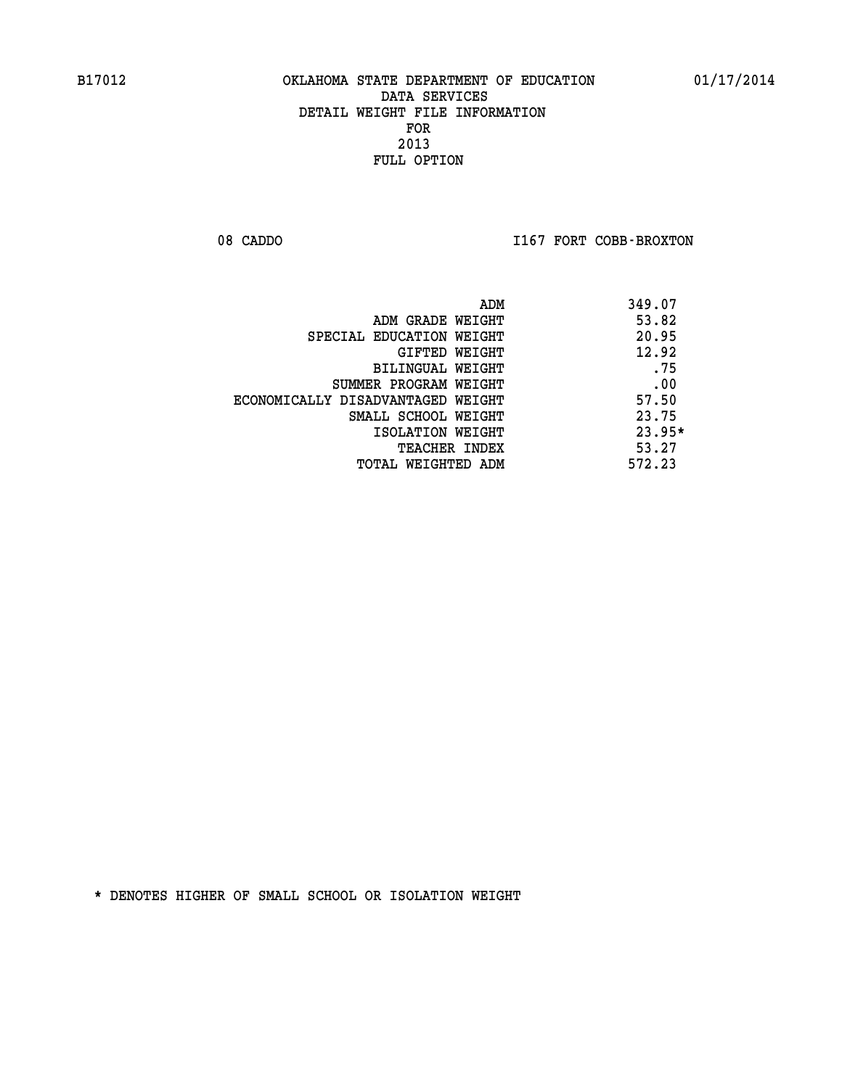08 CADDO **I167 FORT COBB-BROXTON** 

| ADM                               | 349.07   |
|-----------------------------------|----------|
| ADM GRADE WEIGHT                  | 53.82    |
| SPECIAL EDUCATION WEIGHT          | 20.95    |
| GIFTED WEIGHT                     | 12.92    |
| BILINGUAL WEIGHT                  | .75      |
| SUMMER PROGRAM WEIGHT             | .00      |
| ECONOMICALLY DISADVANTAGED WEIGHT | 57.50    |
| SMALL SCHOOL WEIGHT               | 23.75    |
| ISOLATION WEIGHT                  | $23.95*$ |
| TEACHER INDEX                     | 53.27    |
| TOTAL WEIGHTED ADM                | 572.23   |
|                                   |          |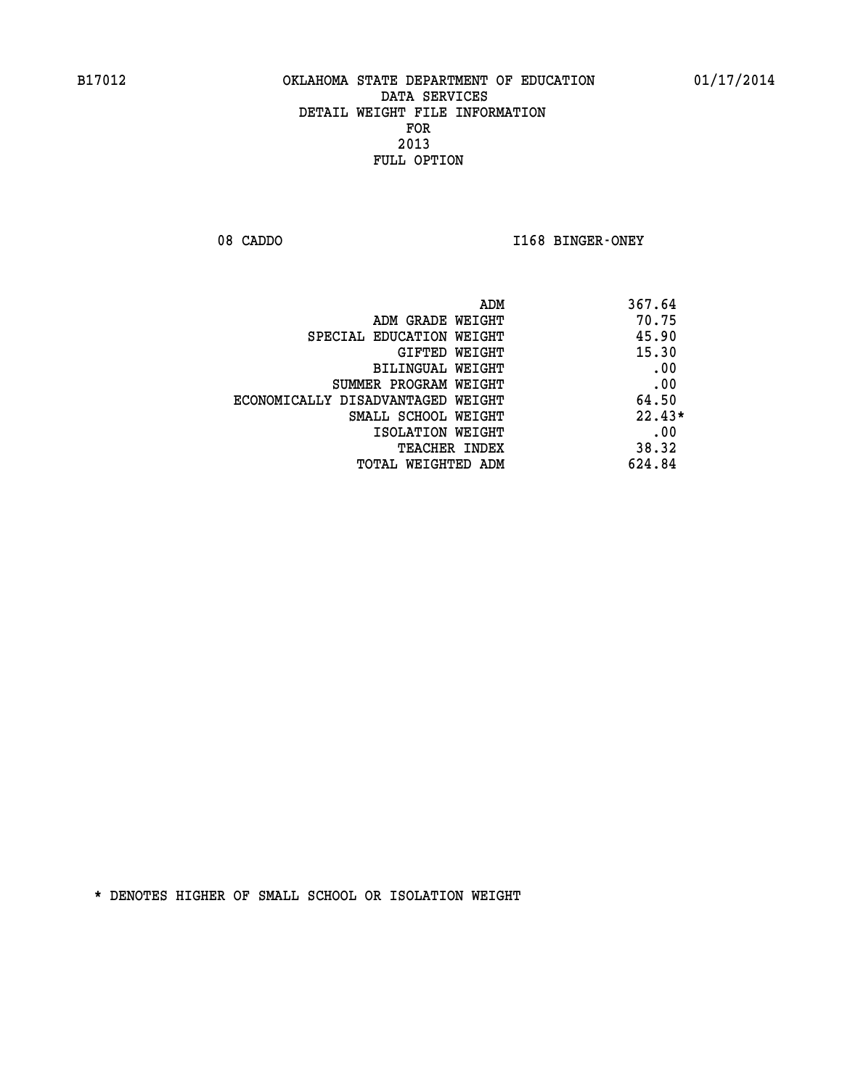08 CADDO **I168 BINGER-ONEY** 

| ADM                               | 367.64   |
|-----------------------------------|----------|
| ADM GRADE WEIGHT                  | 70.75    |
| SPECIAL EDUCATION WEIGHT          | 45.90    |
| GIFTED WEIGHT                     | 15.30    |
| <b>BILINGUAL WEIGHT</b>           | .00      |
| SUMMER PROGRAM WEIGHT             | .00      |
| ECONOMICALLY DISADVANTAGED WEIGHT | 64.50    |
| SMALL SCHOOL WEIGHT               | $22.43*$ |
| ISOLATION WEIGHT                  | .00      |
| <b>TEACHER INDEX</b>              | 38.32    |
| TOTAL WEIGHTED ADM                | 624.84   |
|                                   |          |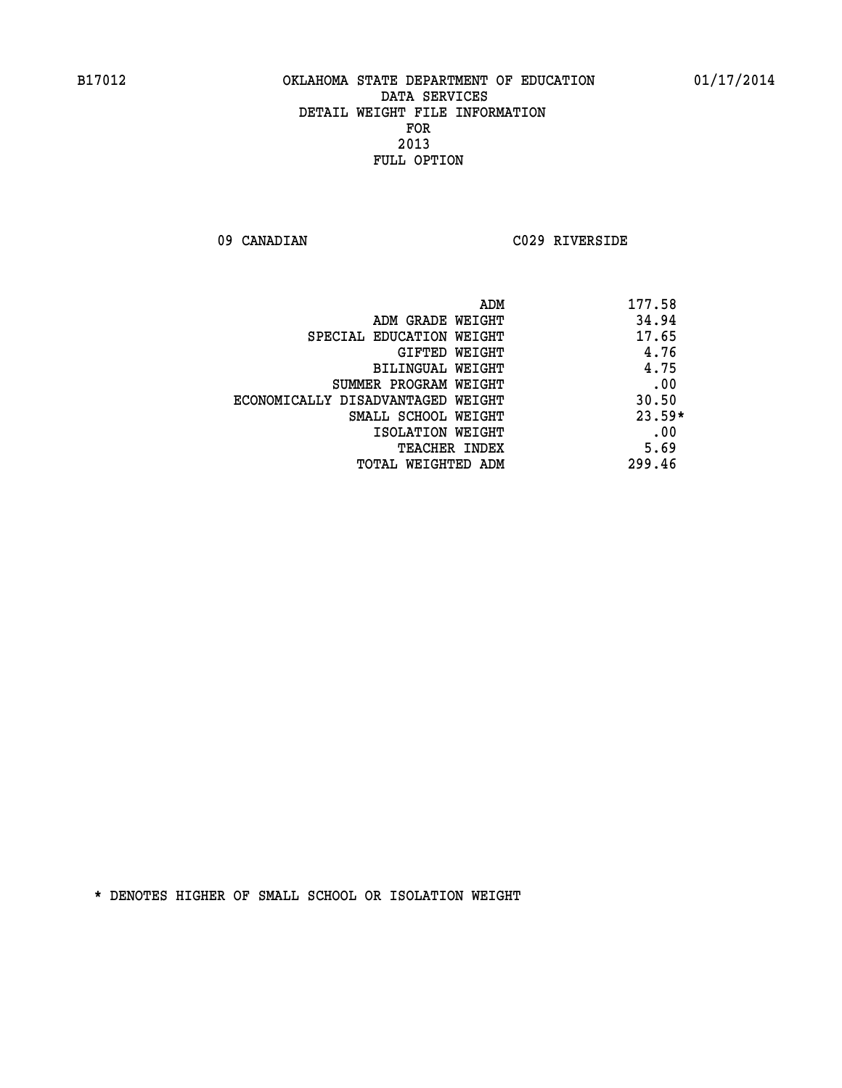**09 CANADIAN C029 RIVERSIDE** 

| ADM                               | 177.58   |
|-----------------------------------|----------|
| ADM GRADE WEIGHT                  | 34.94    |
| SPECIAL EDUCATION WEIGHT          | 17.65    |
| GIFTED WEIGHT                     | 4.76     |
| BILINGUAL WEIGHT                  | 4.75     |
| SUMMER PROGRAM WEIGHT             | .00      |
| ECONOMICALLY DISADVANTAGED WEIGHT | 30.50    |
| SMALL SCHOOL WEIGHT               | $23.59*$ |
| ISOLATION WEIGHT                  | .00      |
| <b>TEACHER INDEX</b>              | 5.69     |
| TOTAL WEIGHTED ADM                | 299.46   |
|                                   |          |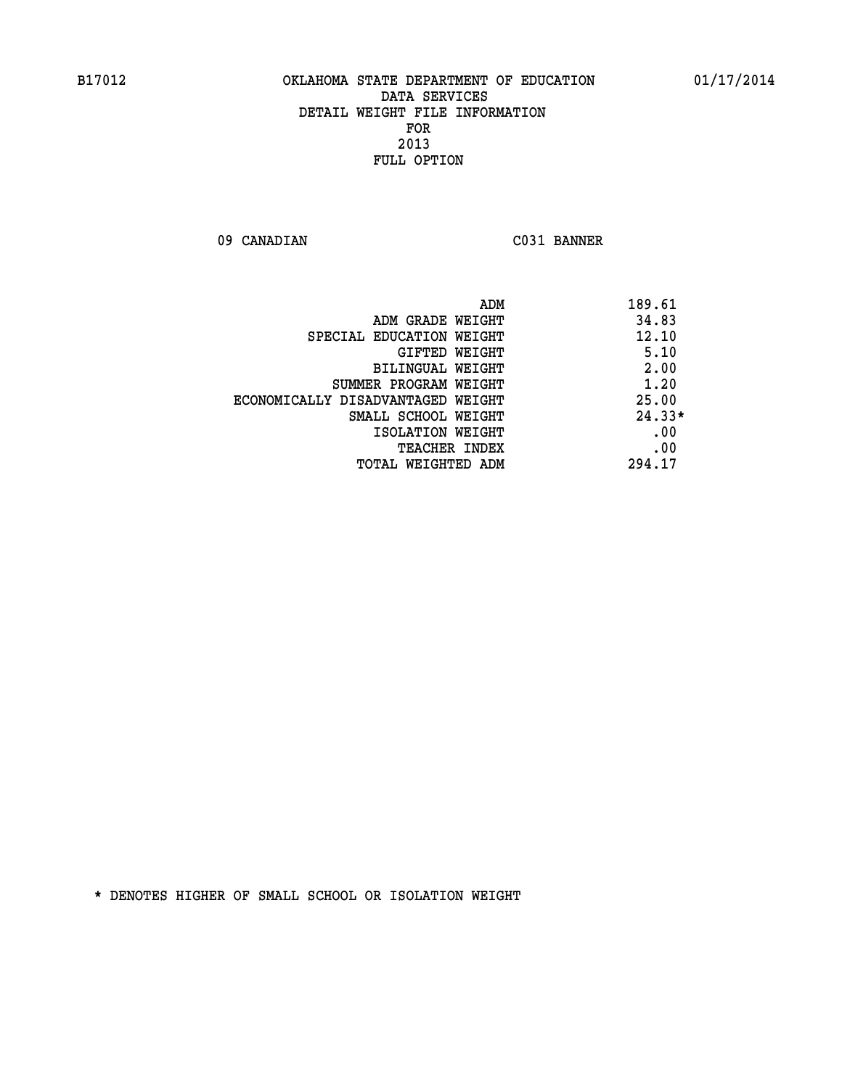**09 CANADIAN C031 BANNER** 

| ADM                               | 189.61   |
|-----------------------------------|----------|
| ADM GRADE WEIGHT                  | 34.83    |
| SPECIAL EDUCATION WEIGHT          | 12.10    |
| GIFTED WEIGHT                     | 5.10     |
| <b>BILINGUAL WEIGHT</b>           | 2.00     |
| SUMMER PROGRAM WEIGHT             | 1.20     |
| ECONOMICALLY DISADVANTAGED WEIGHT | 25.00    |
| SMALL SCHOOL WEIGHT               | $24.33*$ |
| ISOLATION WEIGHT                  | .00      |
| <b>TEACHER INDEX</b>              | .00      |
| TOTAL WEIGHTED ADM                | 294.17   |
|                                   |          |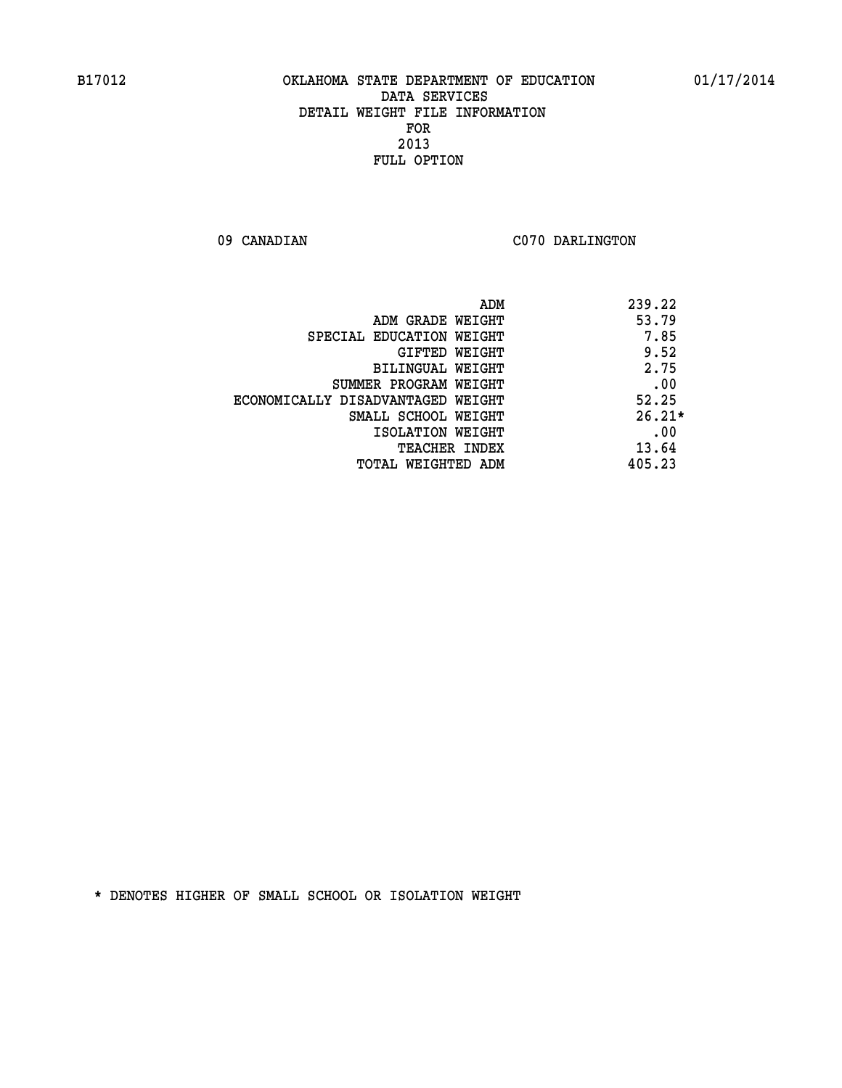09 CANADIAN C070 DARLINGTON

|                                   | ADM | 239.22   |
|-----------------------------------|-----|----------|
| ADM GRADE WEIGHT                  |     | 53.79    |
| SPECIAL EDUCATION WEIGHT          |     | 7.85     |
| GIFTED WEIGHT                     |     | 9.52     |
| BILINGUAL WEIGHT                  |     | 2.75     |
| SUMMER PROGRAM WEIGHT             |     | .00      |
| ECONOMICALLY DISADVANTAGED WEIGHT |     | 52.25    |
| SMALL SCHOOL WEIGHT               |     | $26.21*$ |
| ISOLATION WEIGHT                  |     | .00      |
| <b>TEACHER INDEX</b>              |     | 13.64    |
| TOTAL WEIGHTED ADM                |     | 405.23   |
|                                   |     |          |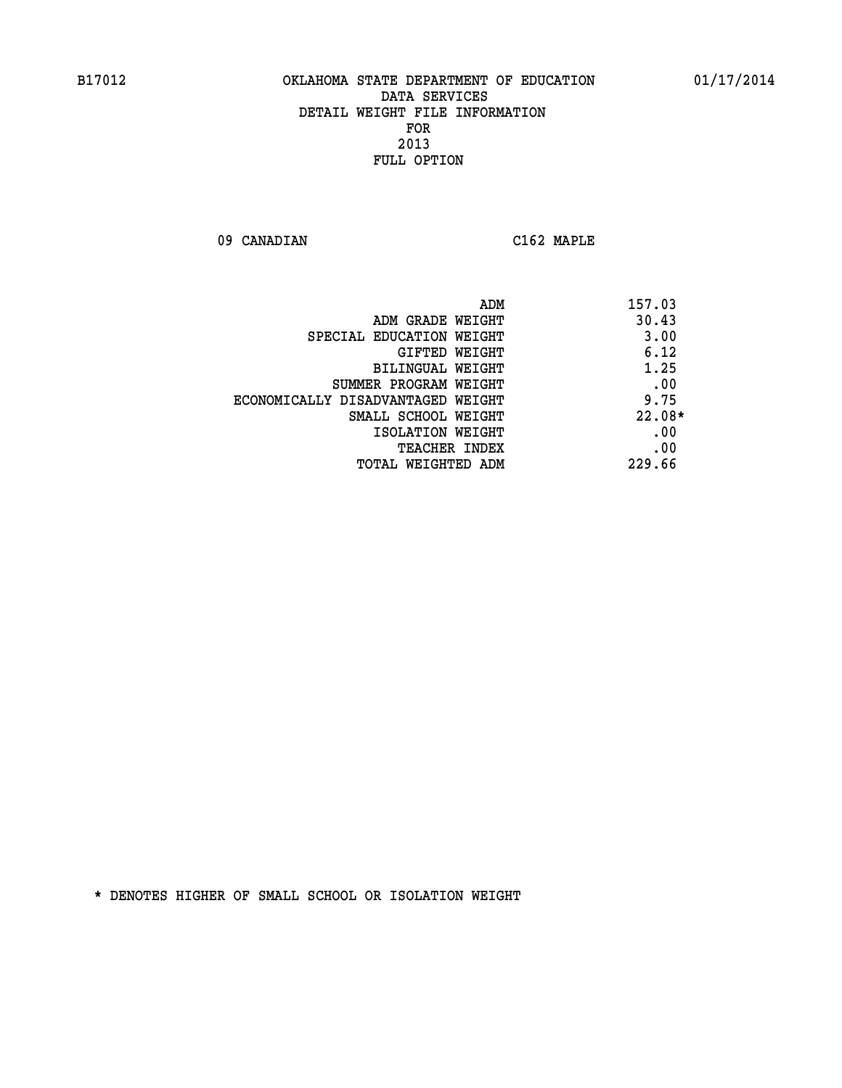**09 CANADIAN C162 MAPLE** 

| ADM                               | 157.03   |
|-----------------------------------|----------|
| ADM GRADE WEIGHT                  | 30.43    |
| SPECIAL EDUCATION WEIGHT          | 3.00     |
| GIFTED WEIGHT                     | 6.12     |
| BILINGUAL WEIGHT                  | 1.25     |
| SUMMER PROGRAM WEIGHT             | .00      |
| ECONOMICALLY DISADVANTAGED WEIGHT | 9.75     |
| SMALL SCHOOL WEIGHT               | $22.08*$ |
| ISOLATION WEIGHT                  | .00      |
| <b>TEACHER INDEX</b>              | .00      |
| TOTAL WEIGHTED ADM                | 229.66   |
|                                   |          |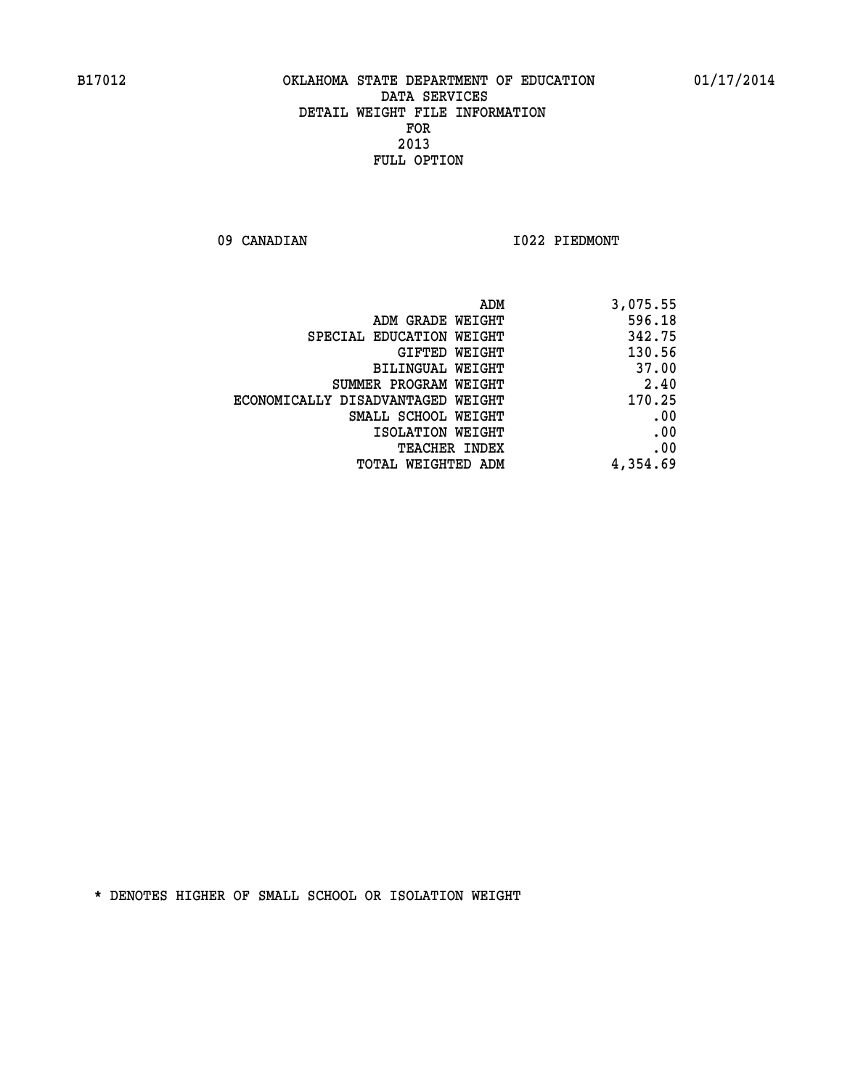09 CANADIAN 1022 PIEDMONT

| ADM                               | 3,075.55 |
|-----------------------------------|----------|
| ADM GRADE WEIGHT                  | 596.18   |
| SPECIAL EDUCATION WEIGHT          | 342.75   |
| GIFTED WEIGHT                     | 130.56   |
| BILINGUAL WEIGHT                  | 37.00    |
| SUMMER PROGRAM WEIGHT             | 2.40     |
| ECONOMICALLY DISADVANTAGED WEIGHT | 170.25   |
| SMALL SCHOOL WEIGHT               | .00      |
| ISOLATION WEIGHT                  | .00      |
| <b>TEACHER INDEX</b>              | .00      |
| <b>TOTAL WEIGHTED ADM</b>         | 4,354.69 |
|                                   |          |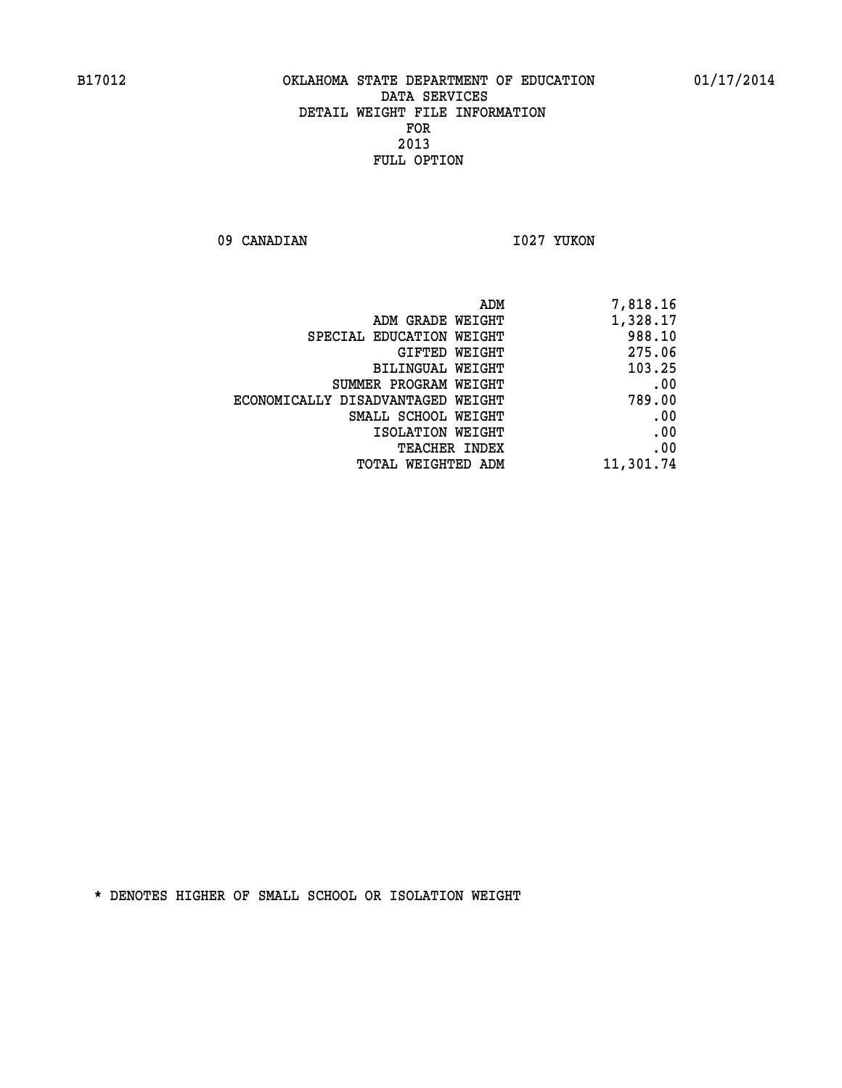09 CANADIAN 1027 YUKON

| ADM                               | 7,818.16  |
|-----------------------------------|-----------|
| ADM GRADE WEIGHT                  | 1,328.17  |
| SPECIAL EDUCATION WEIGHT          | 988.10    |
| GIFTED WEIGHT                     | 275.06    |
| BILINGUAL WEIGHT                  | 103.25    |
| SUMMER PROGRAM WEIGHT             | .00       |
| ECONOMICALLY DISADVANTAGED WEIGHT | 789.00    |
| SMALL SCHOOL WEIGHT               | .00       |
| ISOLATION WEIGHT                  | .00       |
| <b>TEACHER INDEX</b>              | .00       |
| <b>TOTAL WEIGHTED ADM</b>         | 11,301.74 |
|                                   |           |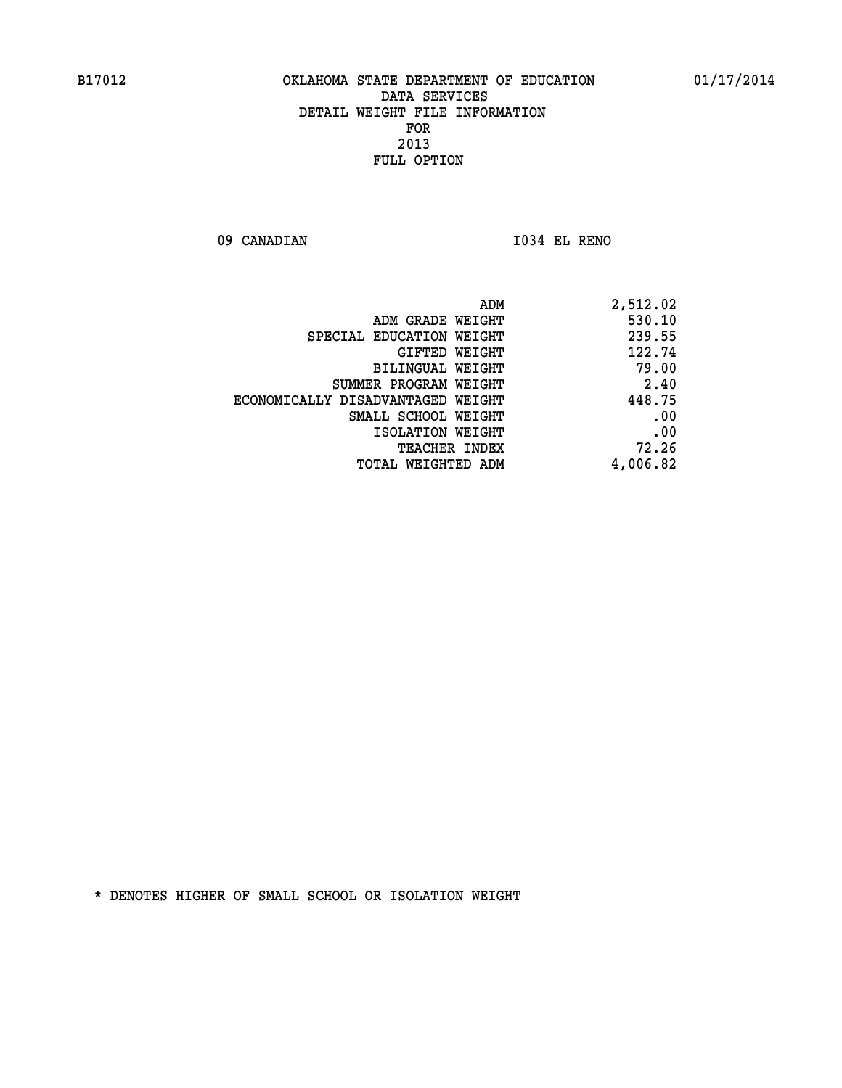**09 CANADIAN I034 EL RENO** 

| 2,512.02 |
|----------|
| 530.10   |
| 239.55   |
| 122.74   |
| 79.00    |
| 2.40     |
| 448.75   |
| .00      |
| .00      |
| 72.26    |
| 4,006.82 |
|          |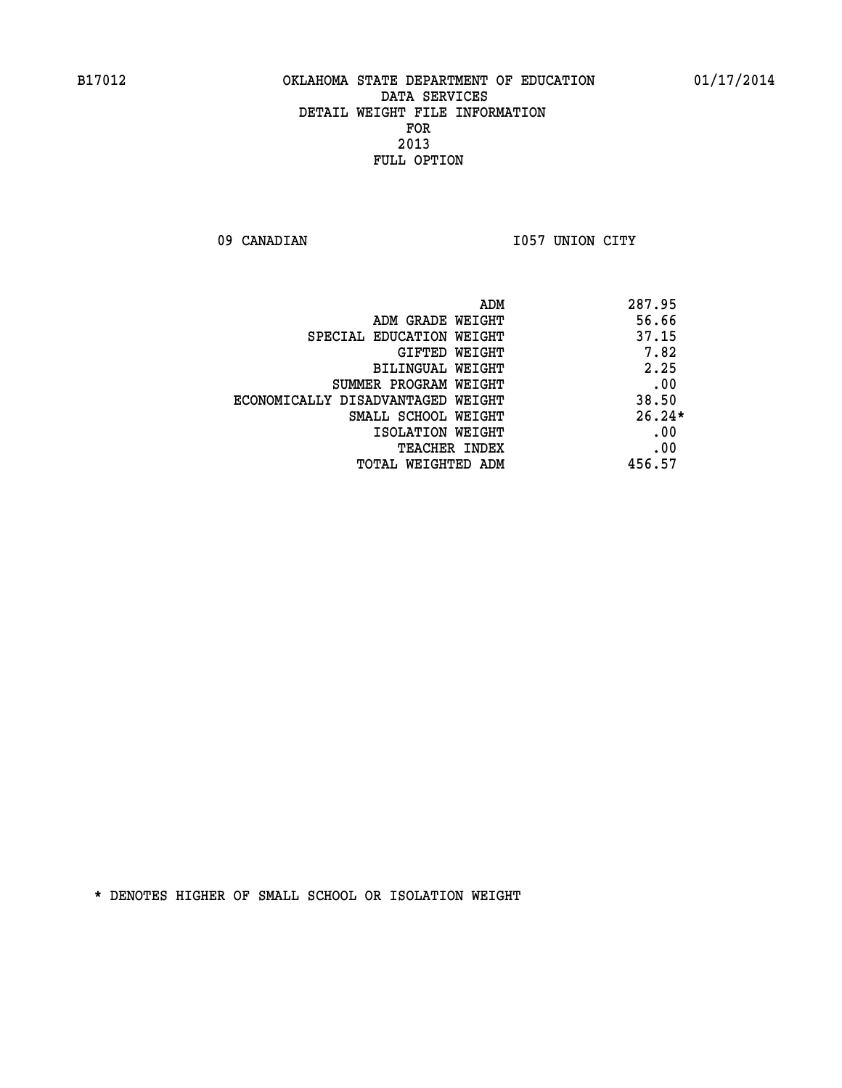09 CANADIAN 1057 UNION CITY

| ADM                               | 287.95   |
|-----------------------------------|----------|
| ADM GRADE WEIGHT                  | 56.66    |
| SPECIAL EDUCATION WEIGHT          | 37.15    |
| GIFTED WEIGHT                     | 7.82     |
| BILINGUAL WEIGHT                  | 2.25     |
| SUMMER PROGRAM WEIGHT             | .00      |
| ECONOMICALLY DISADVANTAGED WEIGHT | 38.50    |
| SMALL SCHOOL WEIGHT               | $26.24*$ |
| ISOLATION WEIGHT                  | .00      |
| <b>TEACHER INDEX</b>              | .00      |
| TOTAL WEIGHTED ADM                | 456.57   |
|                                   |          |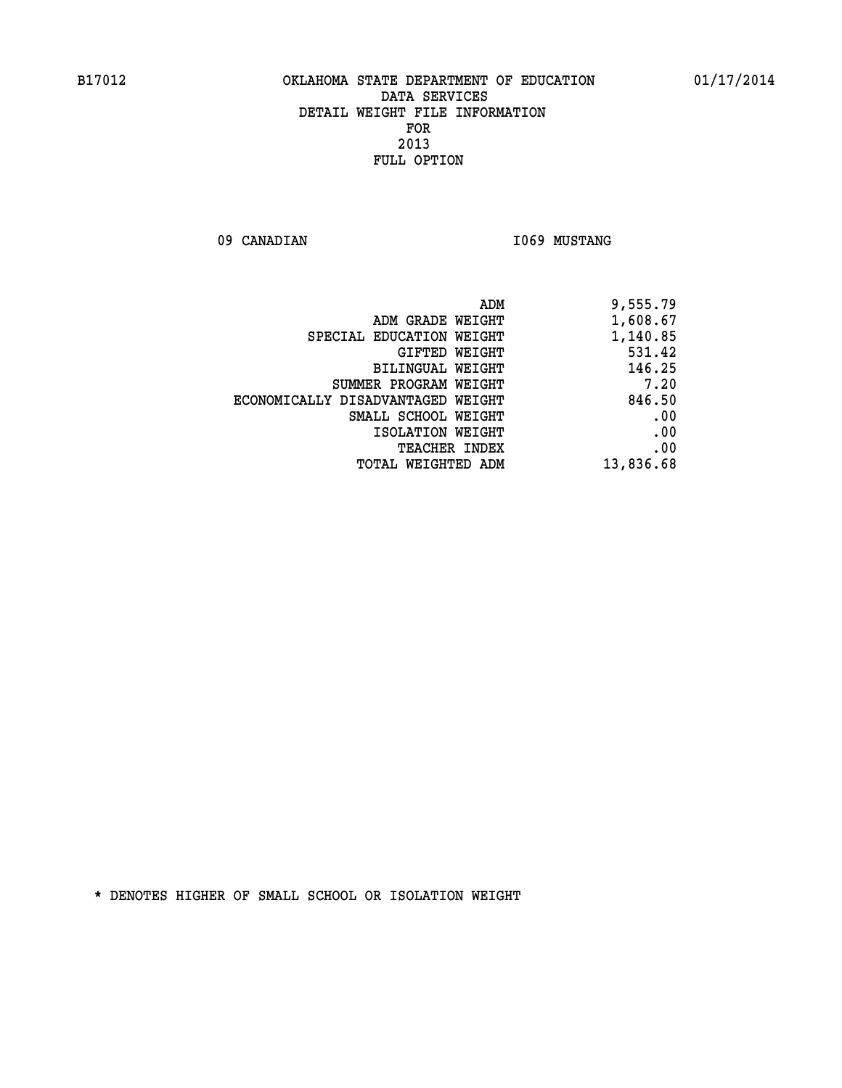09 CANADIAN 1069 MUSTANG

|                                   | ADM<br>9,555.79 |
|-----------------------------------|-----------------|
| ADM GRADE WEIGHT                  | 1,608.67        |
| SPECIAL EDUCATION WEIGHT          | 1,140.85        |
| <b>GIFTED WEIGHT</b>              | 531.42          |
| BILINGUAL WEIGHT                  | 146.25          |
| SUMMER PROGRAM WEIGHT             | 7.20            |
| ECONOMICALLY DISADVANTAGED WEIGHT | 846.50          |
| SMALL SCHOOL WEIGHT               | .00             |
| ISOLATION WEIGHT                  | .00             |
| <b>TEACHER INDEX</b>              | .00             |
| TOTAL WEIGHTED ADM                | 13,836.68       |
|                                   |                 |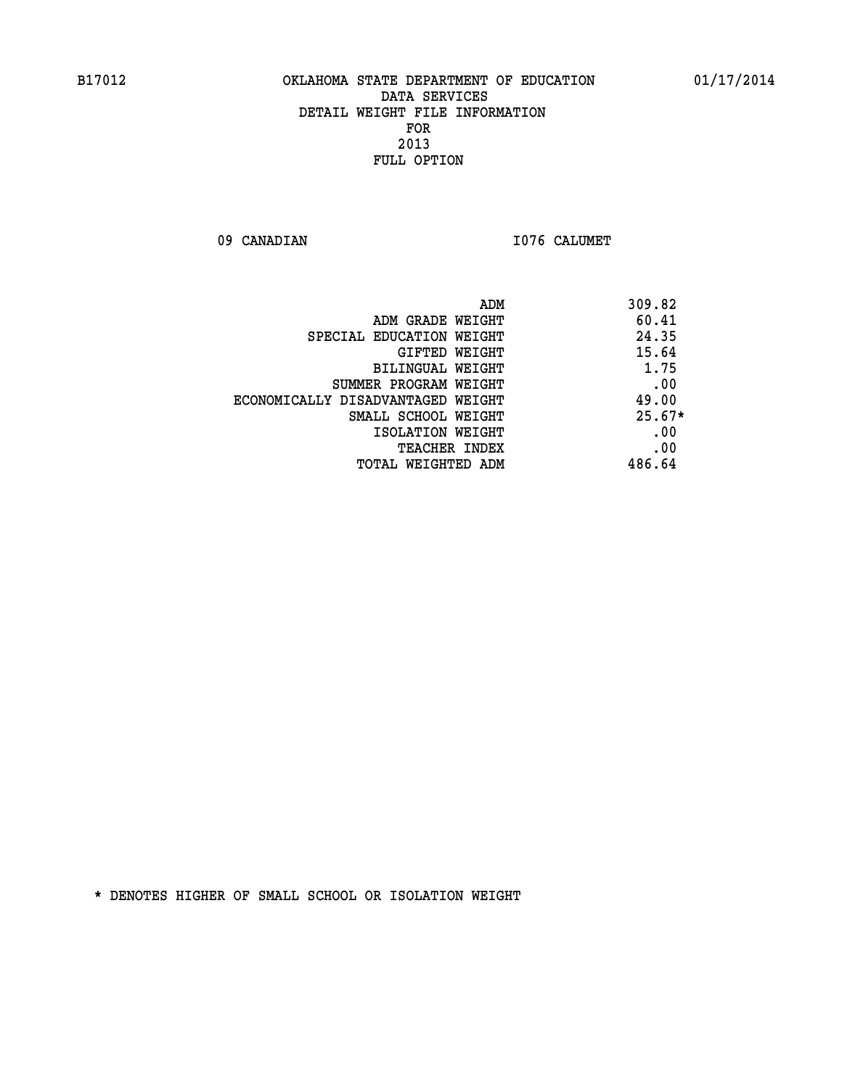09 CANADIAN 1076 CALUMET

|                                   | ADM<br>309.82 |
|-----------------------------------|---------------|
| ADM GRADE WEIGHT                  | 60.41         |
| SPECIAL EDUCATION WEIGHT          | 24.35         |
| GIFTED WEIGHT                     | 15.64         |
| BILINGUAL WEIGHT                  | 1.75          |
| SUMMER PROGRAM WEIGHT             | .00           |
| ECONOMICALLY DISADVANTAGED WEIGHT | 49.00         |
| SMALL SCHOOL WEIGHT               | $25.67*$      |
| ISOLATION WEIGHT                  | .00           |
| <b>TEACHER INDEX</b>              | .00           |
| TOTAL WEIGHTED ADM                | 486.64        |
|                                   |               |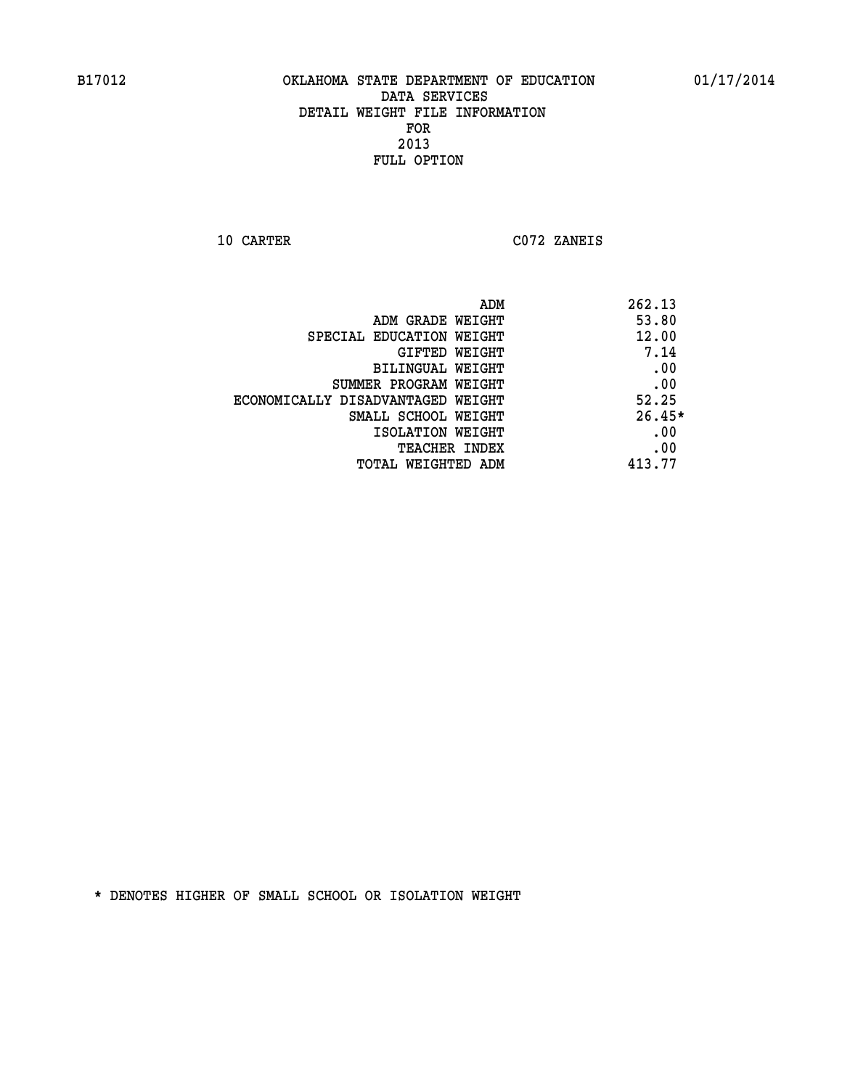**10 CARTER C072 ZANEIS** 

| ADM                               | 262.13   |
|-----------------------------------|----------|
| ADM GRADE WEIGHT                  | 53.80    |
| SPECIAL EDUCATION WEIGHT          | 12.00    |
| GIFTED WEIGHT                     | 7.14     |
| BILINGUAL WEIGHT                  | .00      |
| SUMMER PROGRAM WEIGHT             | .00      |
| ECONOMICALLY DISADVANTAGED WEIGHT | 52.25    |
| SMALL SCHOOL WEIGHT               | $26.45*$ |
| ISOLATION WEIGHT                  | .00      |
| <b>TEACHER INDEX</b>              | .00      |
| TOTAL WEIGHTED ADM                | 413.77   |
|                                   |          |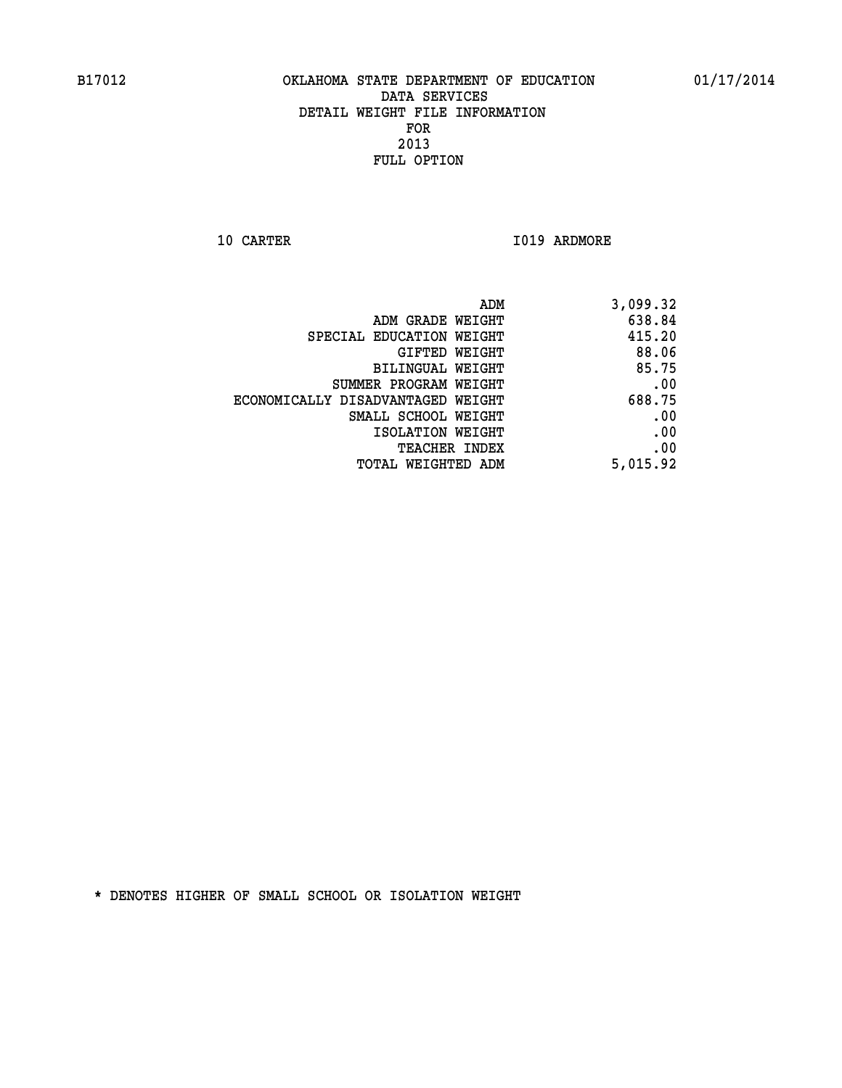**10 CARTER 1019 ARDMORE** 

|                                   | ADM<br>3,099.32 |
|-----------------------------------|-----------------|
| ADM GRADE WEIGHT                  | 638.84          |
| SPECIAL EDUCATION WEIGHT          | 415.20          |
| GIFTED WEIGHT                     | 88.06           |
| <b>BILINGUAL WEIGHT</b>           | 85.75           |
| SUMMER PROGRAM WEIGHT             | .00             |
| ECONOMICALLY DISADVANTAGED WEIGHT | 688.75          |
| SMALL SCHOOL WEIGHT               | .00             |
| ISOLATION WEIGHT                  | .00             |
| TEACHER INDEX                     | .00             |
| TOTAL WEIGHTED ADM                | 5,015.92        |
|                                   |                 |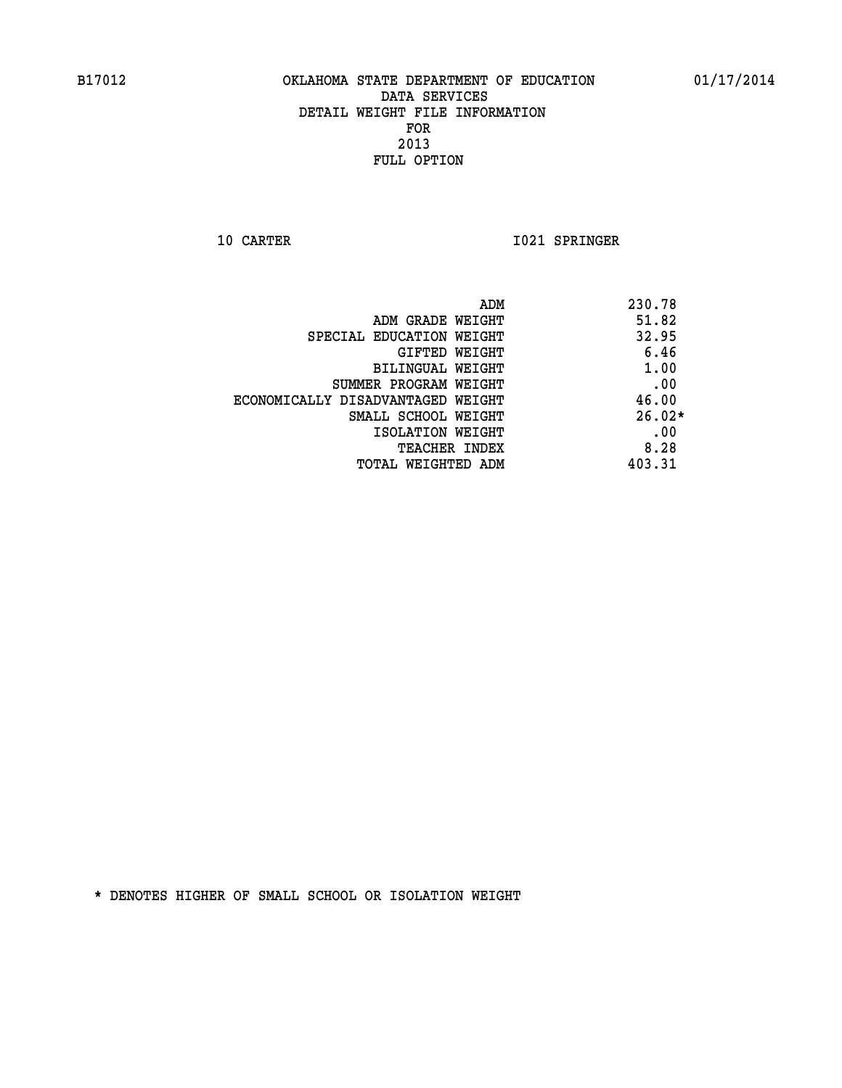**10 CARTER 1021 SPRINGER** 

| ADM                               | 230.78   |
|-----------------------------------|----------|
| ADM GRADE WEIGHT                  | 51.82    |
| SPECIAL EDUCATION WEIGHT          | 32.95    |
| GIFTED WEIGHT                     | 6.46     |
| BILINGUAL WEIGHT                  | 1.00     |
| SUMMER PROGRAM WEIGHT             | .00      |
| ECONOMICALLY DISADVANTAGED WEIGHT | 46.00    |
| SMALL SCHOOL WEIGHT               | $26.02*$ |
| ISOLATION WEIGHT                  | .00      |
| <b>TEACHER INDEX</b>              | 8.28     |
| TOTAL WEIGHTED ADM                | 403.31   |
|                                   |          |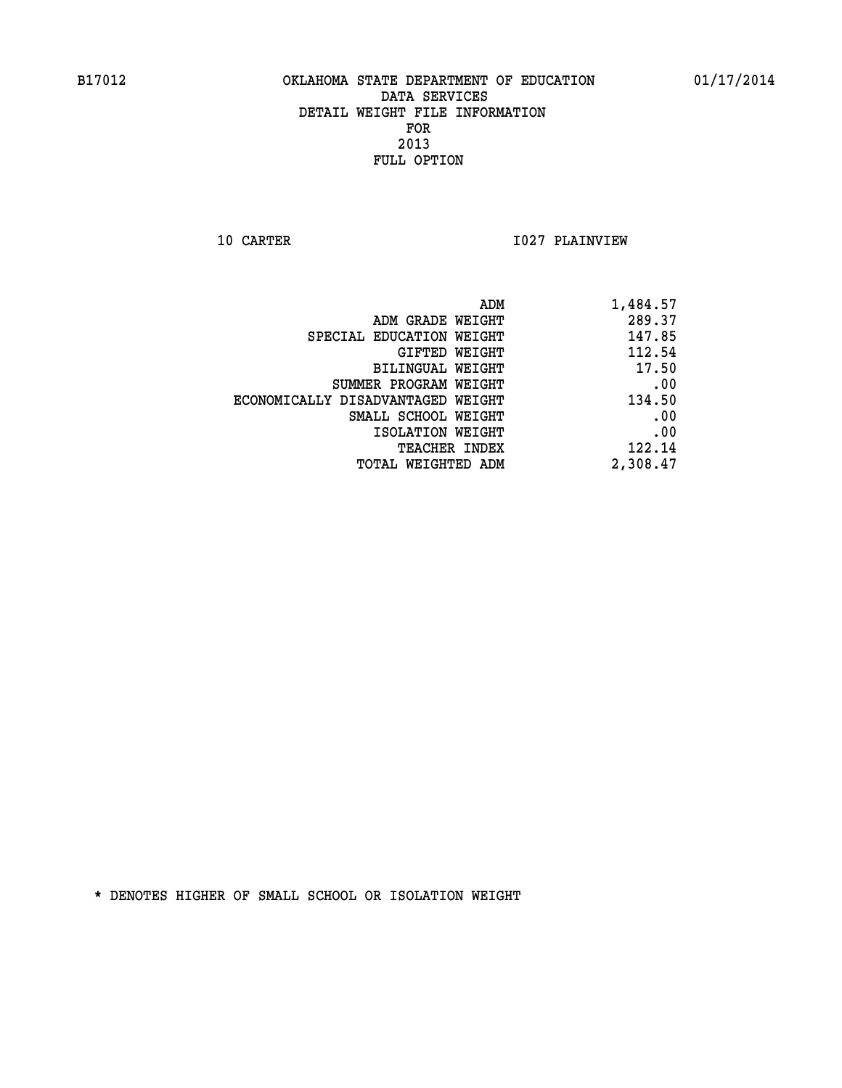**10 CARTER 1027 PLAINVIEW** 

| ADM GRADE WEIGHT<br>SPECIAL EDUCATION WEIGHT<br><b>GIFTED WEIGHT</b><br><b>BILINGUAL WEIGHT</b><br>SUMMER PROGRAM WEIGHT<br>ECONOMICALLY DISADVANTAGED WEIGHT<br>SMALL SCHOOL WEIGHT<br>ISOLATION WEIGHT<br>TEACHER INDEX | ADM                | 1,484.57 |
|---------------------------------------------------------------------------------------------------------------------------------------------------------------------------------------------------------------------------|--------------------|----------|
|                                                                                                                                                                                                                           |                    | 289.37   |
|                                                                                                                                                                                                                           |                    | 147.85   |
|                                                                                                                                                                                                                           |                    | 112.54   |
|                                                                                                                                                                                                                           |                    | 17.50    |
|                                                                                                                                                                                                                           |                    | .00      |
|                                                                                                                                                                                                                           |                    | 134.50   |
|                                                                                                                                                                                                                           |                    | .00      |
|                                                                                                                                                                                                                           |                    | .00      |
|                                                                                                                                                                                                                           |                    | 122.14   |
|                                                                                                                                                                                                                           | TOTAL WEIGHTED ADM | 2,308.47 |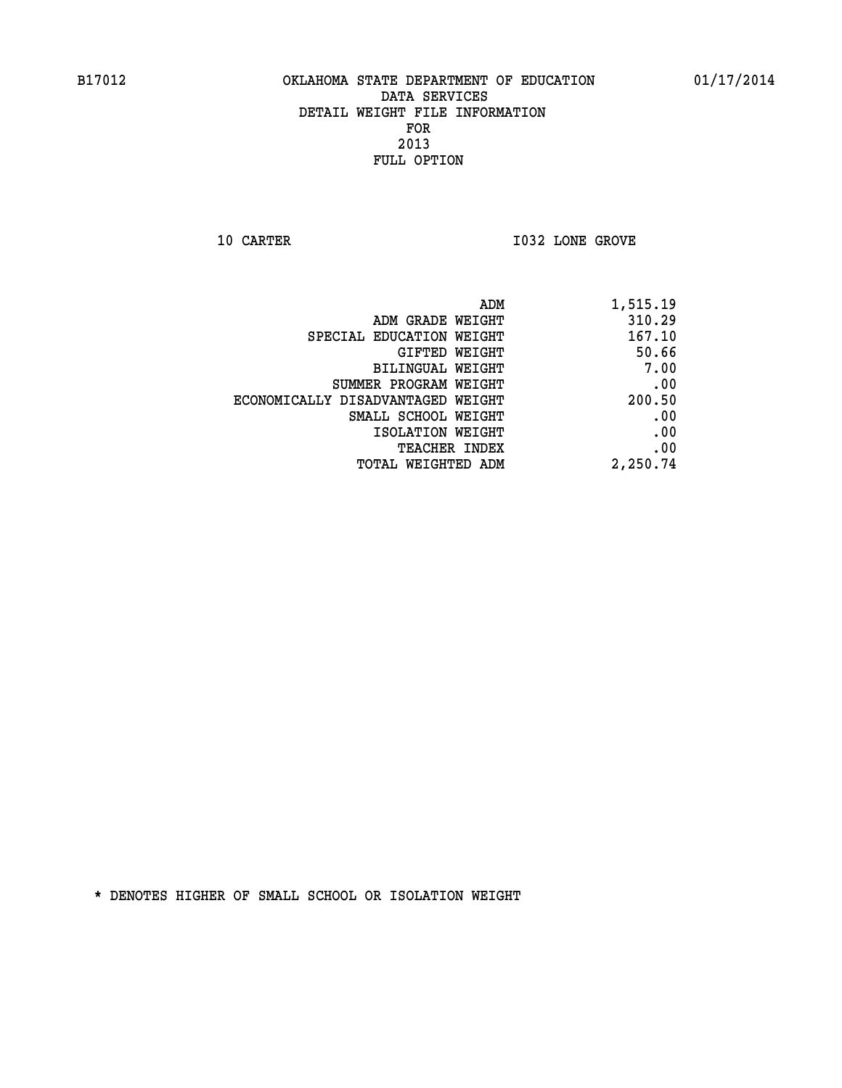**10 CARTER 10 CARTER 1032 LONE GROVE** 

| ADM<br>1,515.19                             |  |
|---------------------------------------------|--|
| 310.29<br>ADM GRADE WEIGHT                  |  |
| 167.10<br>SPECIAL EDUCATION WEIGHT          |  |
| 50.66<br>GIFTED WEIGHT                      |  |
| 7.00<br>BILINGUAL WEIGHT                    |  |
| .00<br>SUMMER PROGRAM WEIGHT                |  |
| 200.50<br>ECONOMICALLY DISADVANTAGED WEIGHT |  |
| .00<br>SMALL SCHOOL WEIGHT                  |  |
| .00<br>ISOLATION WEIGHT                     |  |
| .00<br><b>TEACHER INDEX</b>                 |  |
| 2,250.74<br><b>TOTAL WEIGHTED ADM</b>       |  |
|                                             |  |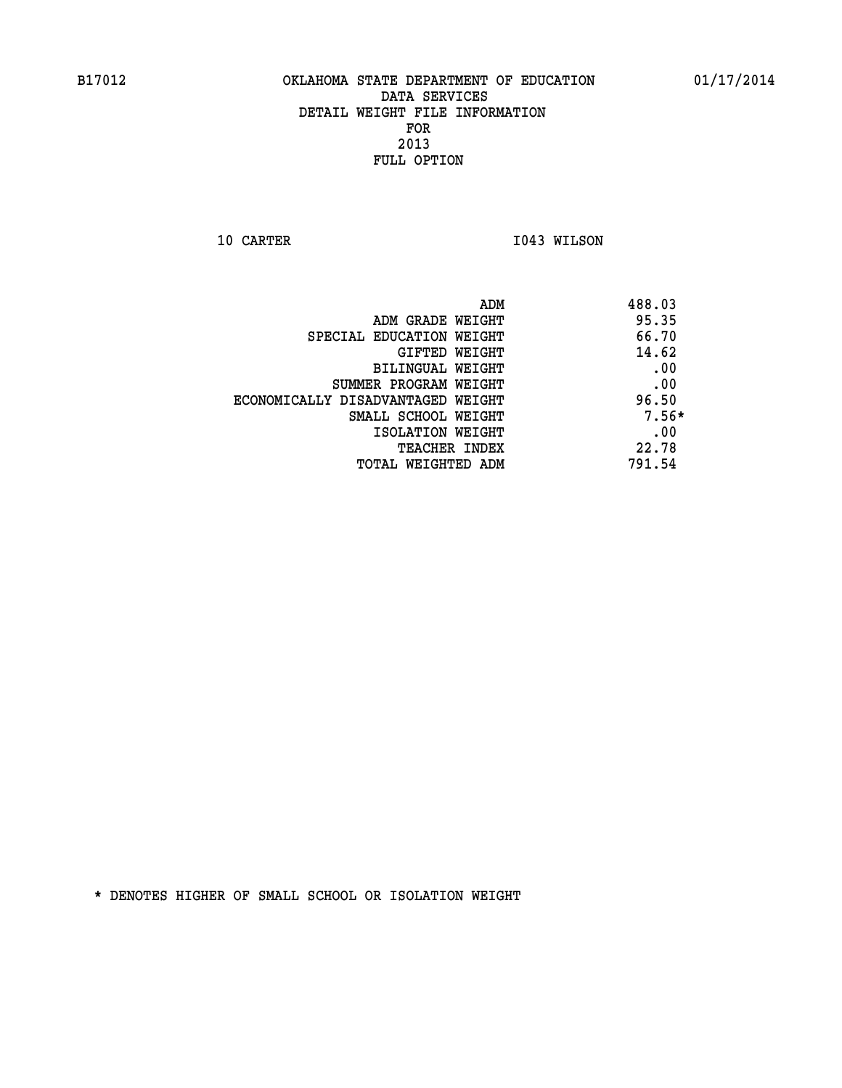**10 CARTER 1043 WILSON** 

| ADM GRADE WEIGHT<br>SPECIAL EDUCATION WEIGHT<br>GIFTED WEIGHT | 488.03  |
|---------------------------------------------------------------|---------|
|                                                               | 95.35   |
|                                                               | 66.70   |
|                                                               | 14.62   |
| BILINGUAL WEIGHT                                              | .00     |
| SUMMER PROGRAM WEIGHT                                         | .00     |
| ECONOMICALLY DISADVANTAGED WEIGHT                             | 96.50   |
| SMALL SCHOOL WEIGHT                                           | $7.56*$ |
| ISOLATION WEIGHT                                              | .00     |
| <b>TEACHER INDEX</b>                                          | 22.78   |
| TOTAL WEIGHTED ADM                                            | 791.54  |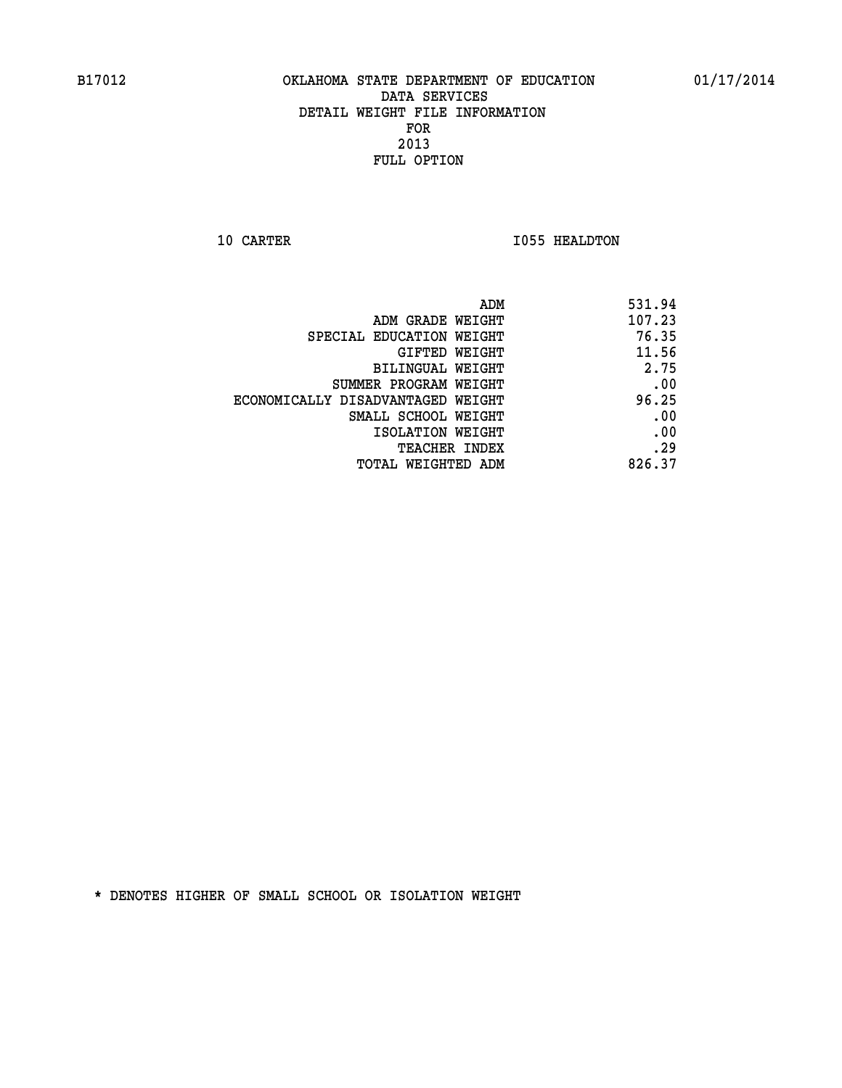**10 CARTER 1055 HEALDTON** 

| 531.94 |
|--------|
| 107.23 |
| 76.35  |
| 11.56  |
| 2.75   |
| .00    |
| 96.25  |
| .00    |
| .00    |
| .29    |
| 826.37 |
|        |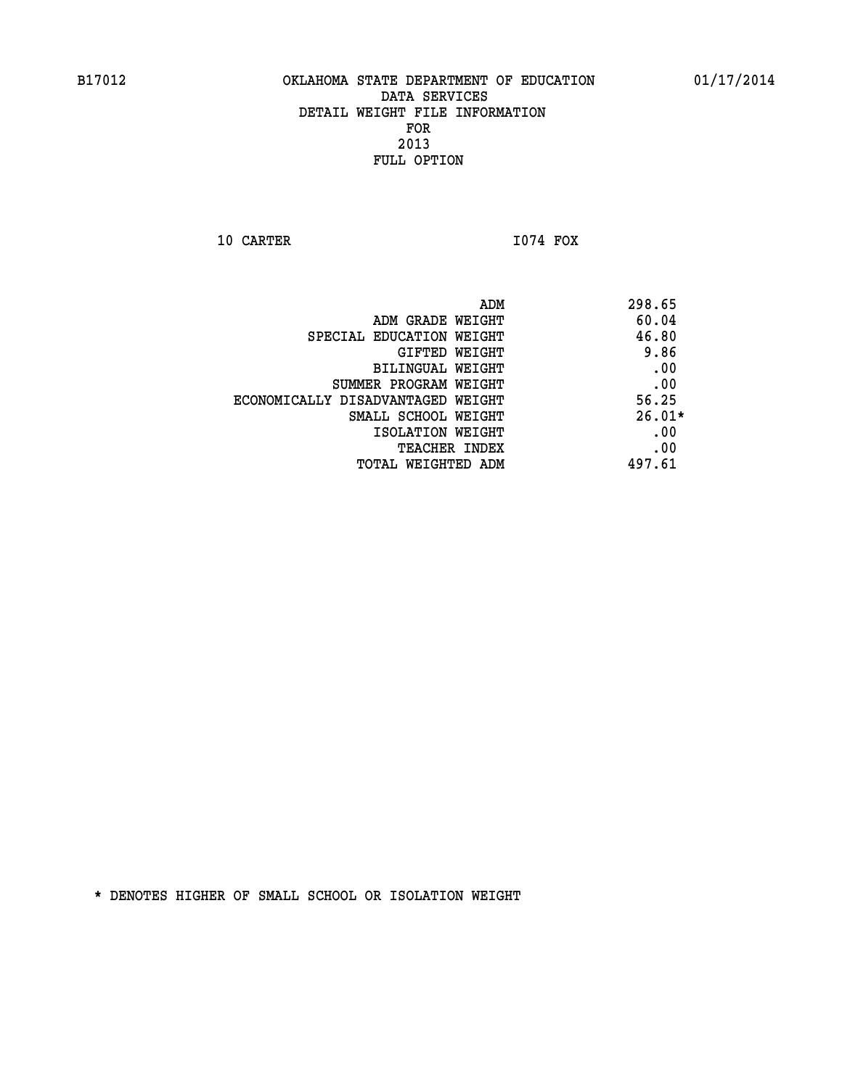**10 CARTER I074 FOX** 

| ADM                               | 298.65   |
|-----------------------------------|----------|
| ADM GRADE WEIGHT                  | 60.04    |
| SPECIAL EDUCATION WEIGHT          | 46.80    |
| <b>GIFTED WEIGHT</b>              | 9.86     |
| BILINGUAL WEIGHT                  | .00      |
| SUMMER PROGRAM WEIGHT             | .00      |
| ECONOMICALLY DISADVANTAGED WEIGHT | 56.25    |
| SMALL SCHOOL WEIGHT               | $26.01*$ |
| ISOLATION WEIGHT                  | .00      |
| TEACHER INDEX                     | .00      |
| TOTAL WEIGHTED ADM                | 497.61   |
|                                   |          |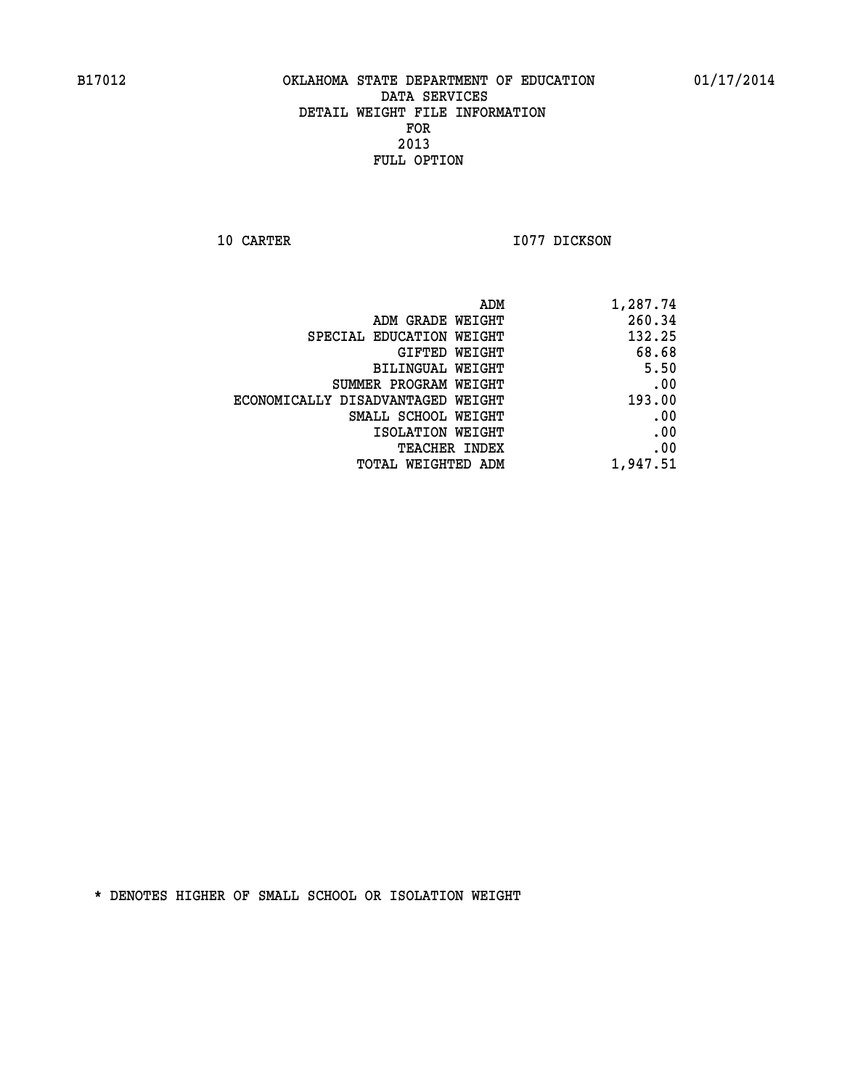**10 CARTER 1077 DICKSON** 

|                                   | ADM<br>1,287.74 |
|-----------------------------------|-----------------|
| ADM GRADE WEIGHT                  | 260.34          |
| SPECIAL EDUCATION WEIGHT          | 132.25          |
| GIFTED WEIGHT                     | 68.68           |
| <b>BILINGUAL WEIGHT</b>           | 5.50            |
| SUMMER PROGRAM WEIGHT             | .00             |
| ECONOMICALLY DISADVANTAGED WEIGHT | 193.00          |
| SMALL SCHOOL WEIGHT               | .00             |
| ISOLATION WEIGHT                  | .00             |
| TEACHER INDEX                     | .00             |
| TOTAL WEIGHTED ADM                | 1,947.51        |
|                                   |                 |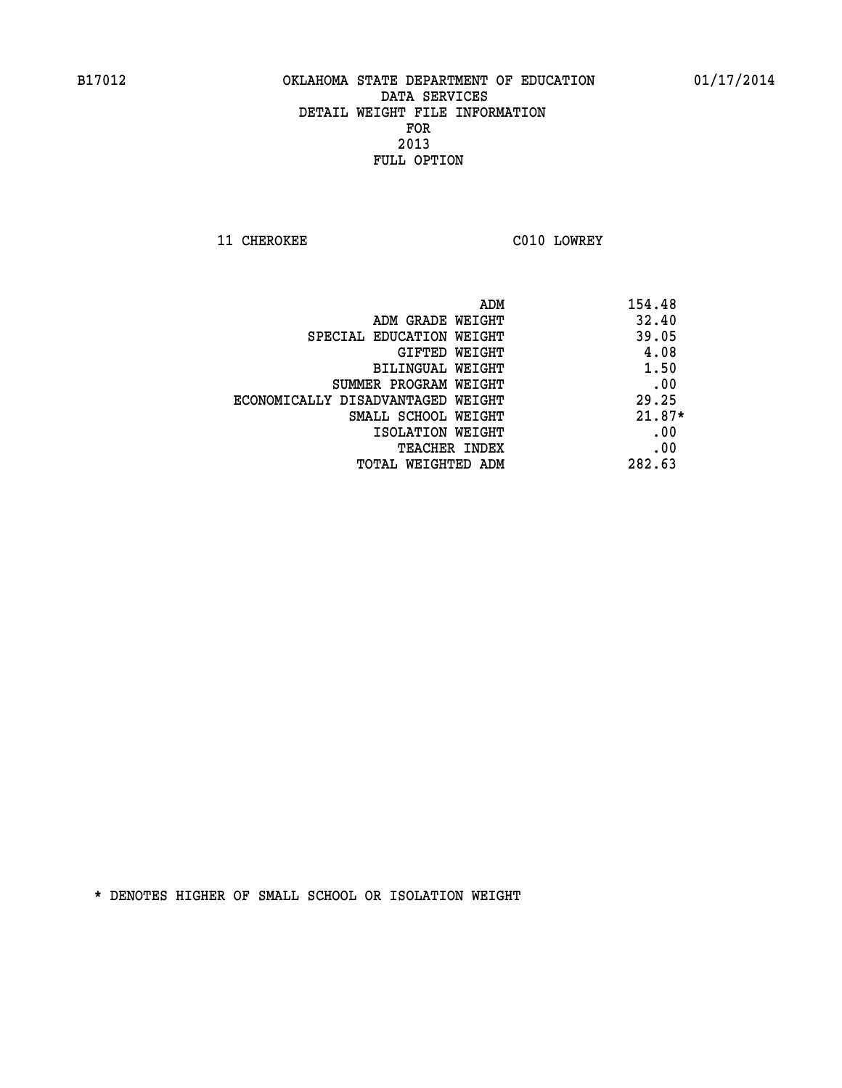**11 CHEROKEE C010 LOWREY** 

|                                   | ADM<br>154.48 |
|-----------------------------------|---------------|
| ADM GRADE WEIGHT                  | 32.40         |
| SPECIAL EDUCATION WEIGHT          | 39.05         |
| GIFTED WEIGHT                     | 4.08          |
| BILINGUAL WEIGHT                  | 1.50          |
| SUMMER PROGRAM WEIGHT             | .00           |
| ECONOMICALLY DISADVANTAGED WEIGHT | 29.25         |
| SMALL SCHOOL WEIGHT               | $21.87*$      |
| ISOLATION WEIGHT                  | .00           |
| <b>TEACHER INDEX</b>              | .00           |
| TOTAL WEIGHTED ADM                | 282.63        |
|                                   |               |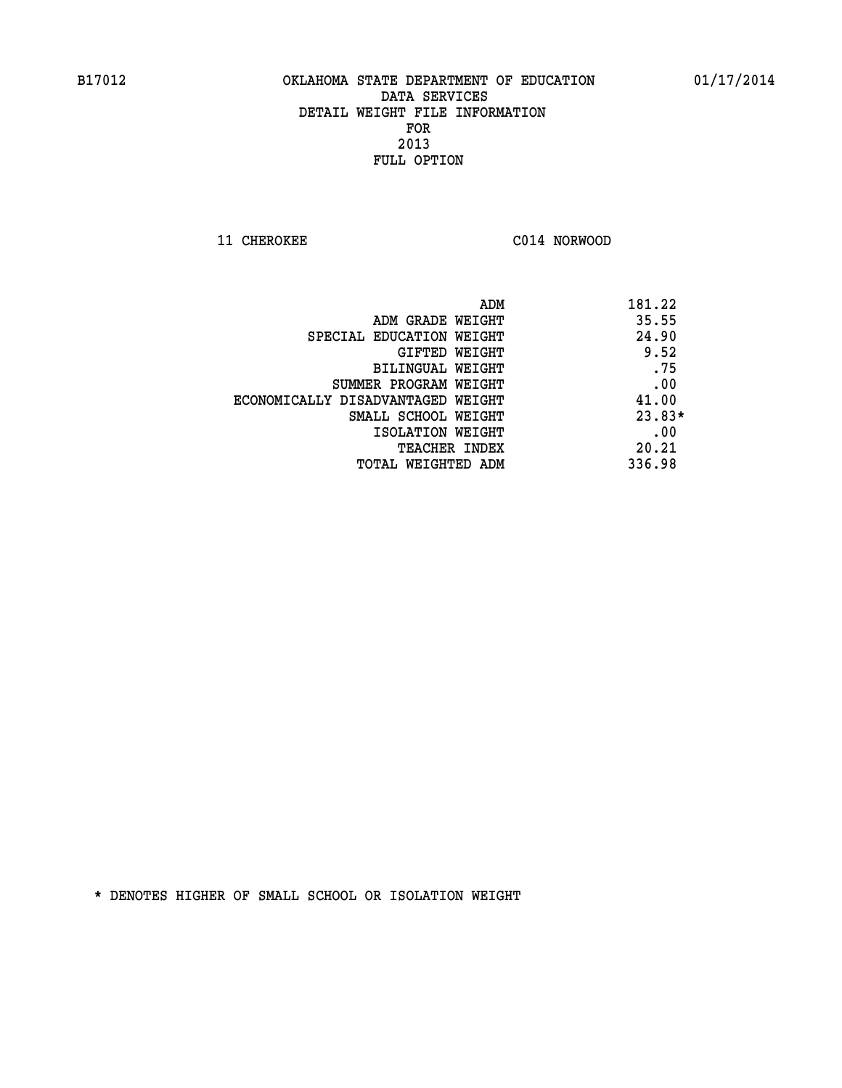**11 CHEROKEE C014 NORWOOD** 

|                                   | 181.22<br>ADM |
|-----------------------------------|---------------|
| ADM GRADE WEIGHT                  | 35.55         |
| SPECIAL EDUCATION WEIGHT          | 24.90         |
| GIFTED WEIGHT                     | 9.52          |
| BILINGUAL WEIGHT                  | .75           |
| SUMMER PROGRAM WEIGHT             | .00           |
| ECONOMICALLY DISADVANTAGED WEIGHT | 41.00         |
| SMALL SCHOOL WEIGHT               | $23.83*$      |
| ISOLATION WEIGHT                  | .00           |
| <b>TEACHER INDEX</b>              | 20.21         |
| TOTAL WEIGHTED ADM                | 336.98        |
|                                   |               |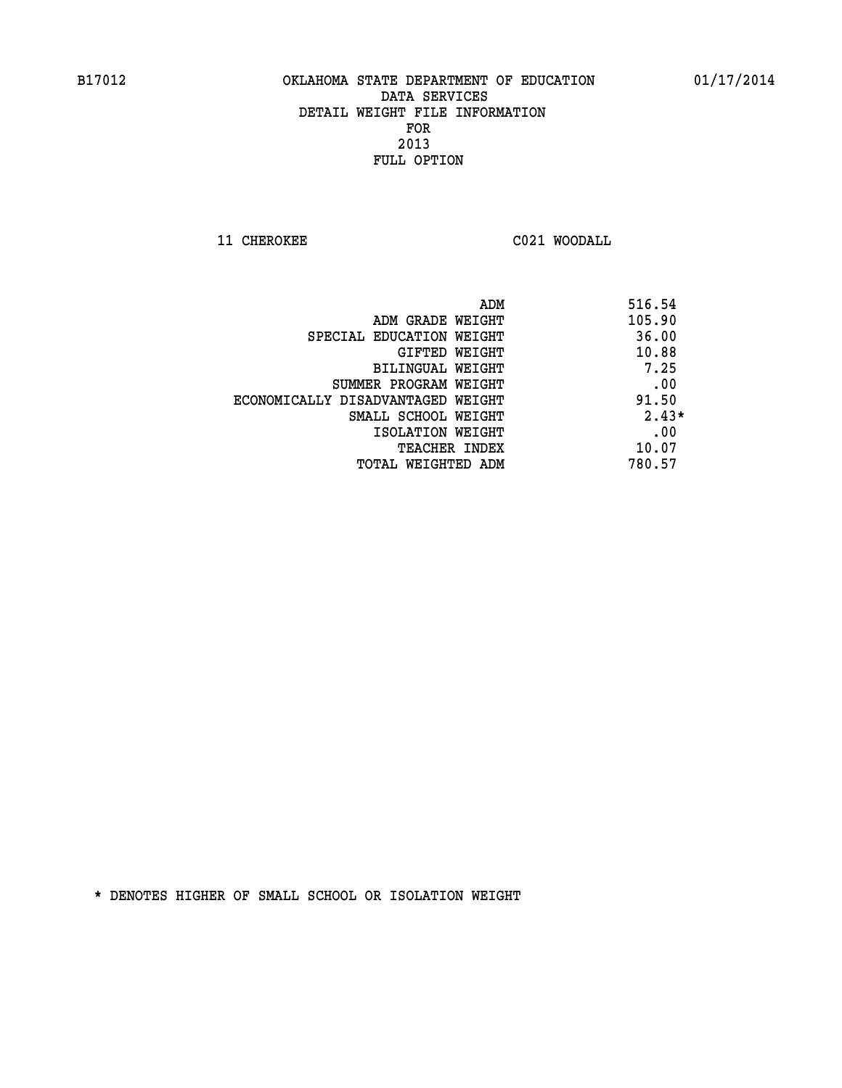**11 CHEROKEE C021 WOODALL** 

| ADM                               | 516.54  |
|-----------------------------------|---------|
| ADM GRADE WEIGHT                  | 105.90  |
| SPECIAL EDUCATION WEIGHT          | 36.00   |
| GIFTED WEIGHT                     | 10.88   |
| BILINGUAL WEIGHT                  | 7.25    |
| SUMMER PROGRAM WEIGHT             | .00     |
| ECONOMICALLY DISADVANTAGED WEIGHT | 91.50   |
| SMALL SCHOOL WEIGHT               | $2.43*$ |
| ISOLATION WEIGHT                  | .00     |
| <b>TEACHER INDEX</b>              | 10.07   |
| TOTAL WEIGHTED ADM                | 780.57  |
|                                   |         |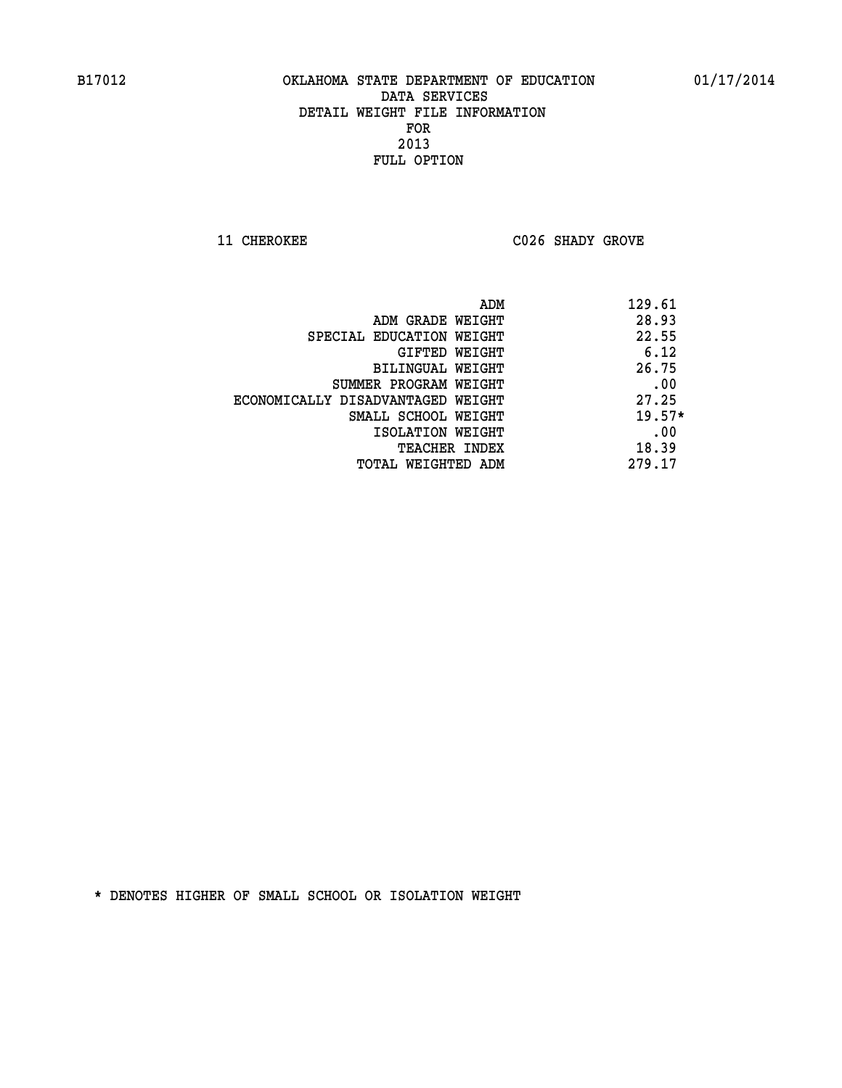**11 CHEROKEE C026 SHADY GROVE** 

|                                   | 129.61<br>ADM |
|-----------------------------------|---------------|
| ADM GRADE WEIGHT                  | 28.93         |
| SPECIAL EDUCATION WEIGHT          | 22.55         |
| GIFTED WEIGHT                     | 6.12          |
| BILINGUAL WEIGHT                  | 26.75         |
| SUMMER PROGRAM WEIGHT             | .00           |
| ECONOMICALLY DISADVANTAGED WEIGHT | 27.25         |
| SMALL SCHOOL WEIGHT               | $19.57*$      |
| ISOLATION WEIGHT                  | .00           |
| TEACHER INDEX                     | 18.39         |
| TOTAL WEIGHTED ADM                | 279.17        |
|                                   |               |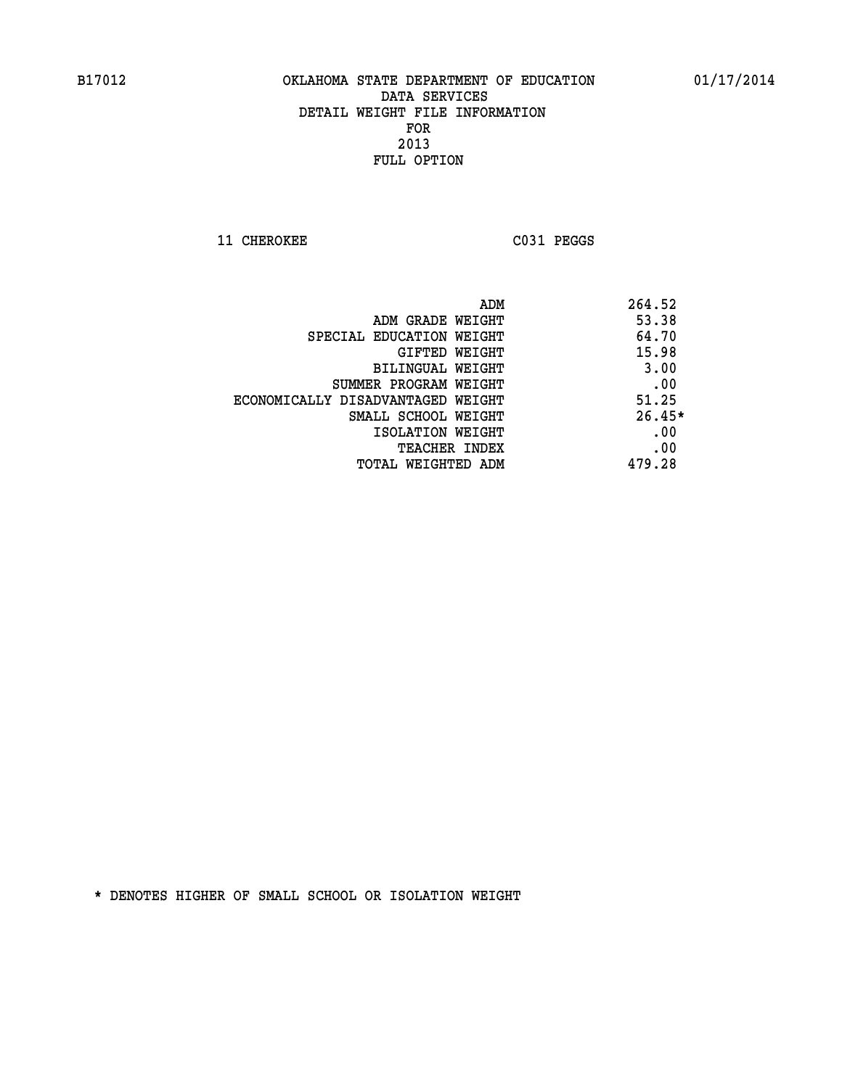**11 CHEROKEE C031 PEGGS** 

| 264.52   |
|----------|
| 53.38    |
| 64.70    |
| 15.98    |
| 3.00     |
| .00      |
| 51.25    |
| $26.45*$ |
| .00      |
| .00      |
| 479.28   |
|          |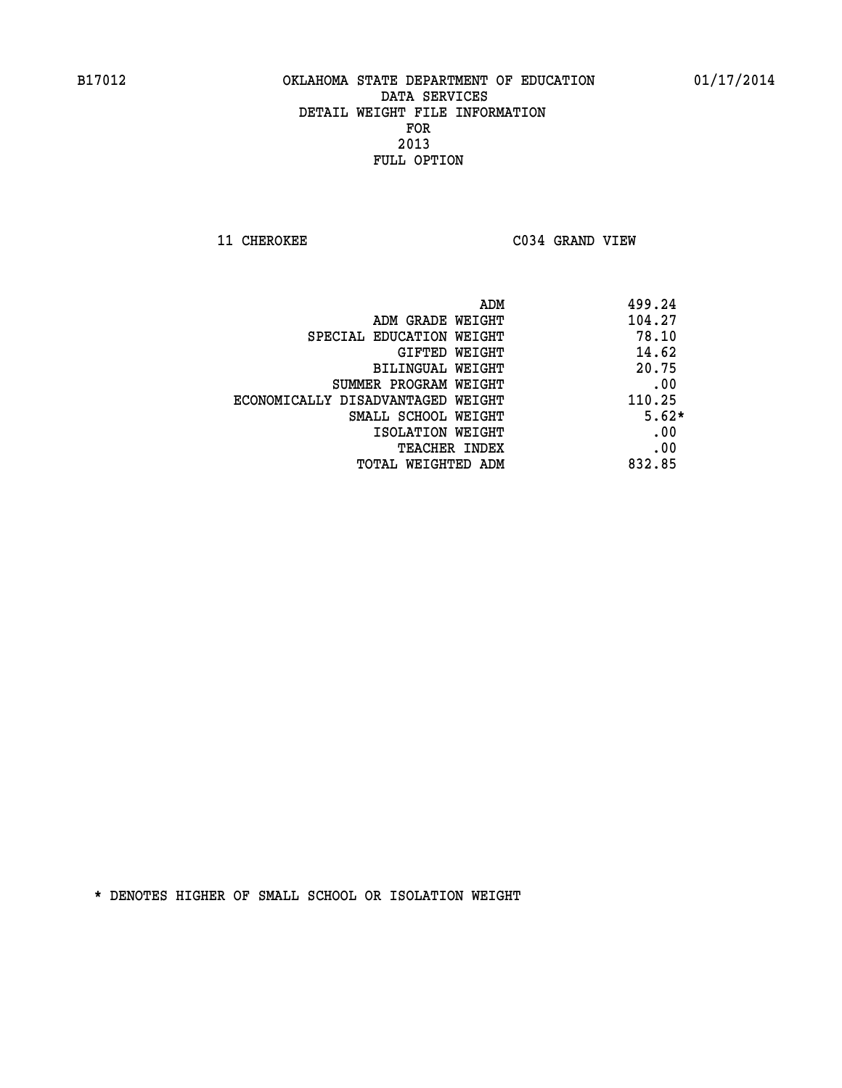**11 CHEROKEE C034 GRAND VIEW** 

| ADM                               | 499.24  |
|-----------------------------------|---------|
| ADM GRADE WEIGHT                  | 104.27  |
| SPECIAL EDUCATION WEIGHT          | 78.10   |
| GIFTED WEIGHT                     | 14.62   |
| BILINGUAL WEIGHT                  | 20.75   |
| SUMMER PROGRAM WEIGHT             | .00     |
| ECONOMICALLY DISADVANTAGED WEIGHT | 110.25  |
| SMALL SCHOOL WEIGHT               | $5.62*$ |
| ISOLATION WEIGHT                  | .00     |
| <b>TEACHER INDEX</b>              | .00     |
| TOTAL WEIGHTED ADM                | 832.85  |
|                                   |         |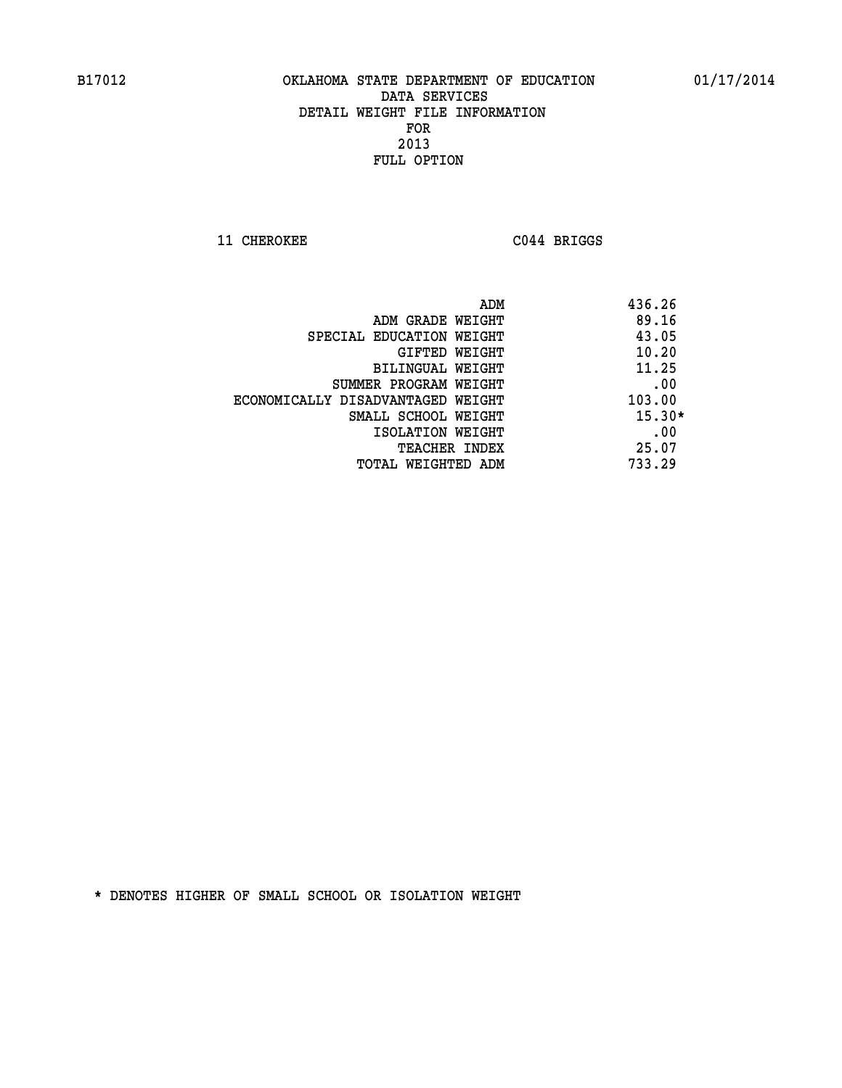**11 CHEROKEE C044 BRIGGS** 

|                                   | ADM | 436.26   |
|-----------------------------------|-----|----------|
| ADM GRADE WEIGHT                  |     | 89.16    |
| SPECIAL EDUCATION WEIGHT          |     | 43.05    |
| GIFTED WEIGHT                     |     | 10.20    |
| BILINGUAL WEIGHT                  |     | 11.25    |
| SUMMER PROGRAM WEIGHT             |     | .00      |
| ECONOMICALLY DISADVANTAGED WEIGHT |     | 103.00   |
| SMALL SCHOOL WEIGHT               |     | $15.30*$ |
| ISOLATION WEIGHT                  |     | .00      |
| TEACHER INDEX                     |     | 25.07    |
| TOTAL WEIGHTED ADM                |     | 733.29   |
|                                   |     |          |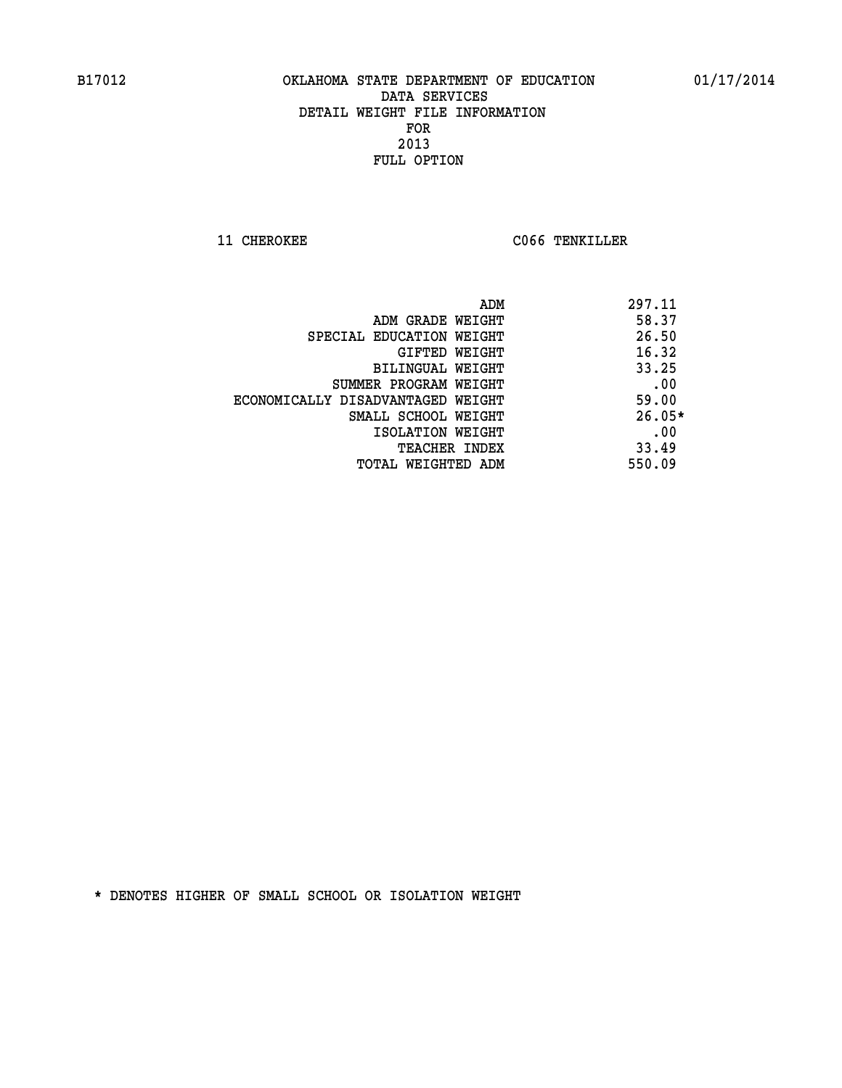**11 CHEROKEE CO66 TENKILLER** 

|                                   | ADM | 297.11   |
|-----------------------------------|-----|----------|
| ADM GRADE WEIGHT                  |     | 58.37    |
| SPECIAL EDUCATION WEIGHT          |     | 26.50    |
| GIFTED WEIGHT                     |     | 16.32    |
| BILINGUAL WEIGHT                  |     | 33.25    |
| SUMMER PROGRAM WEIGHT             |     | .00      |
| ECONOMICALLY DISADVANTAGED WEIGHT |     | 59.00    |
| SMALL SCHOOL WEIGHT               |     | $26.05*$ |
| ISOLATION WEIGHT                  |     | .00      |
| <b>TEACHER INDEX</b>              |     | 33.49    |
| TOTAL WEIGHTED ADM                |     | 550.09   |
|                                   |     |          |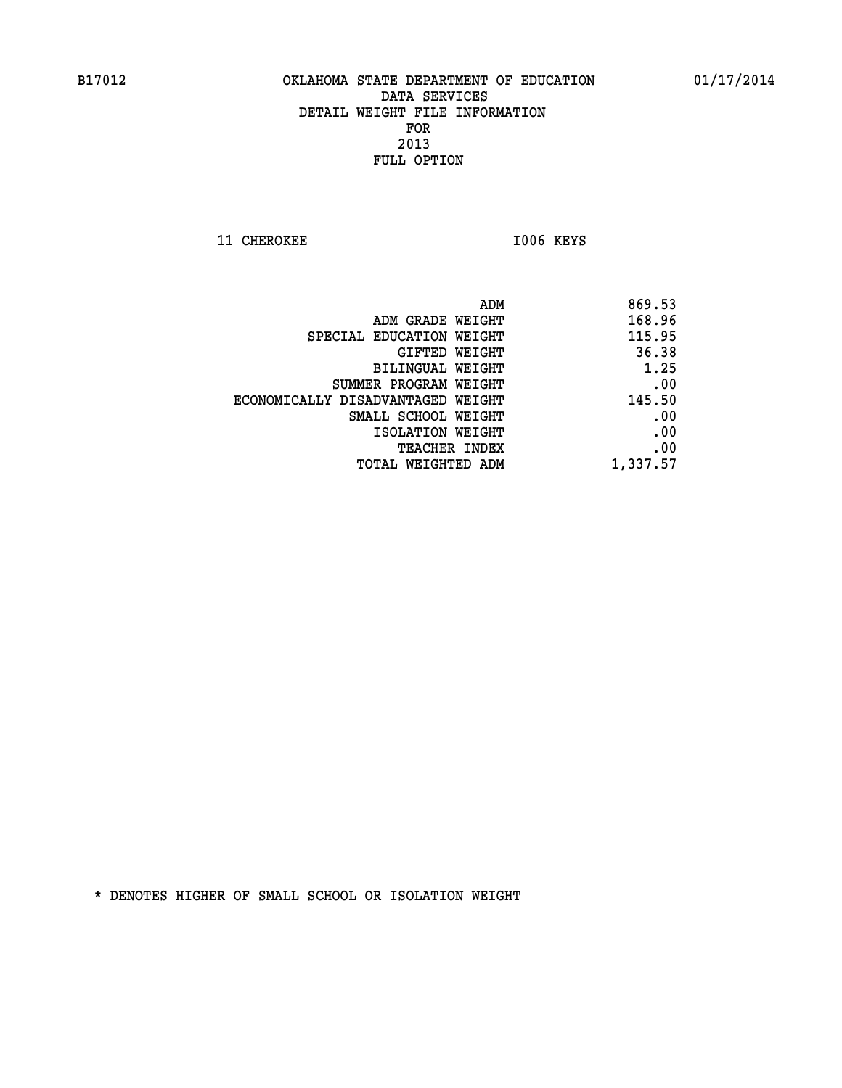11 CHEROKEE 1006 KEYS

| ADM                               | 869.53   |
|-----------------------------------|----------|
| ADM GRADE WEIGHT                  | 168.96   |
| SPECIAL EDUCATION WEIGHT          | 115.95   |
| GIFTED WEIGHT                     | 36.38    |
| BILINGUAL WEIGHT                  | 1.25     |
| SUMMER PROGRAM WEIGHT             | .00      |
| ECONOMICALLY DISADVANTAGED WEIGHT | 145.50   |
| SMALL SCHOOL WEIGHT               | .00      |
| ISOLATION WEIGHT                  | .00      |
| TEACHER INDEX                     | .00      |
| TOTAL WEIGHTED ADM                | 1,337.57 |
|                                   |          |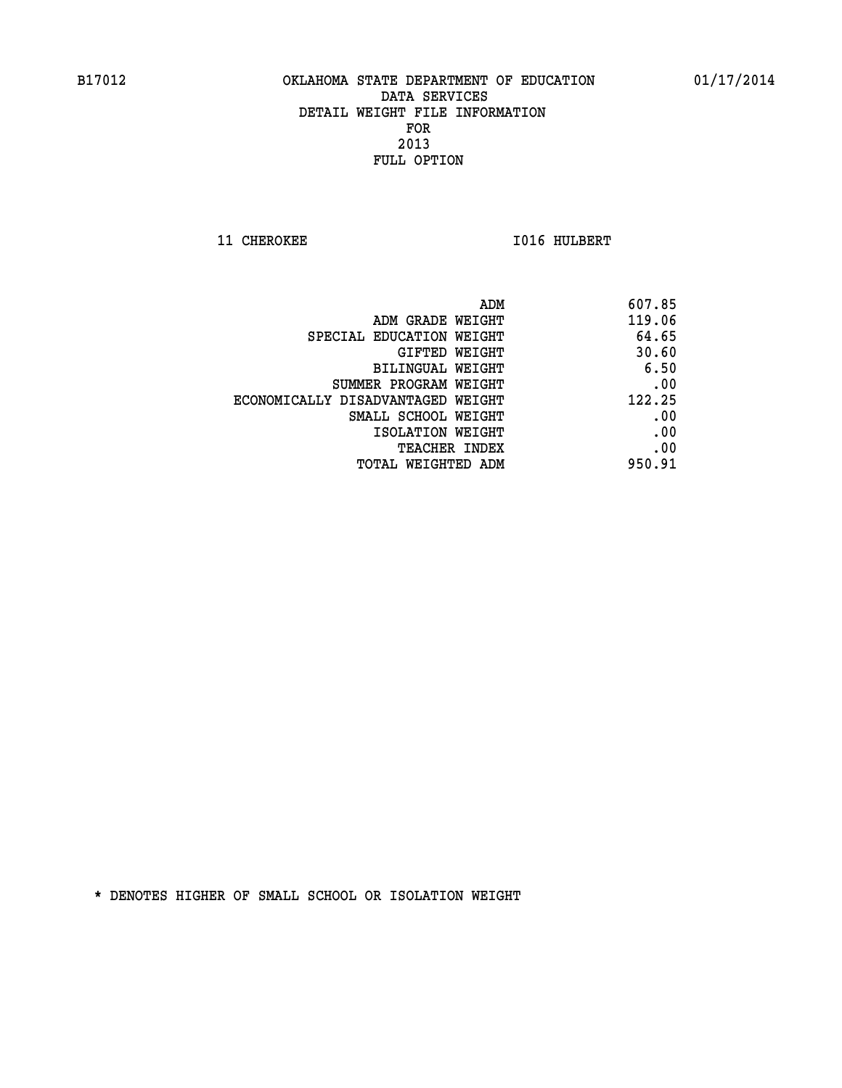**11 CHEROKEE 1016 HULBERT** 

| ADM                               | 607.85 |
|-----------------------------------|--------|
| ADM GRADE WEIGHT                  | 119.06 |
| SPECIAL EDUCATION WEIGHT          | 64.65  |
| GIFTED WEIGHT                     | 30.60  |
| BILINGUAL WEIGHT                  | 6.50   |
| SUMMER PROGRAM WEIGHT             | .00    |
| ECONOMICALLY DISADVANTAGED WEIGHT | 122.25 |
| SMALL SCHOOL WEIGHT               | .00    |
| ISOLATION WEIGHT                  | .00    |
| TEACHER INDEX                     | .00    |
| TOTAL WEIGHTED ADM                | 950.91 |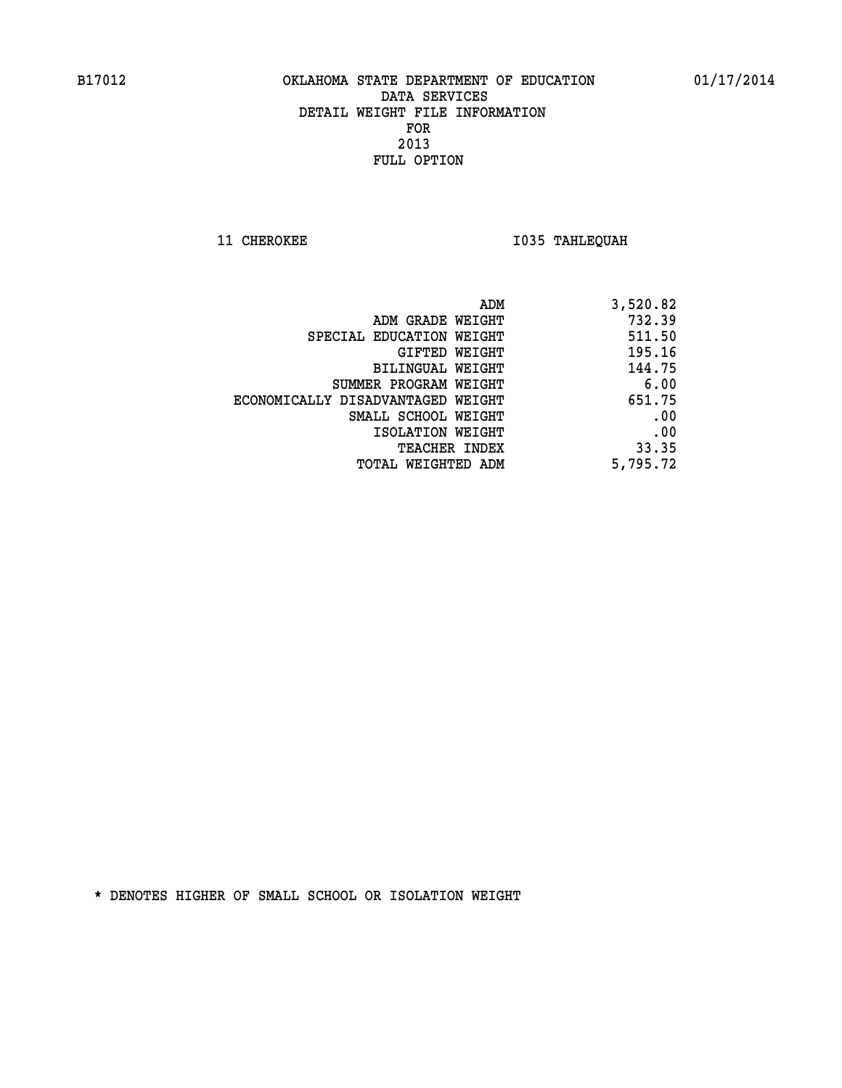**11 CHEROKEE 1035 TAHLEQUAH** 

| ADM                               | 3,520.82 |
|-----------------------------------|----------|
| ADM GRADE WEIGHT                  | 732.39   |
| SPECIAL EDUCATION WEIGHT          | 511.50   |
| GIFTED WEIGHT                     | 195.16   |
| BILINGUAL WEIGHT                  | 144.75   |
| SUMMER PROGRAM WEIGHT             | 6.00     |
| ECONOMICALLY DISADVANTAGED WEIGHT | 651.75   |
| SMALL SCHOOL WEIGHT               | .00      |
| ISOLATION WEIGHT                  | .00      |
| TEACHER INDEX                     | 33.35    |
| TOTAL WEIGHTED ADM                | 5,795.72 |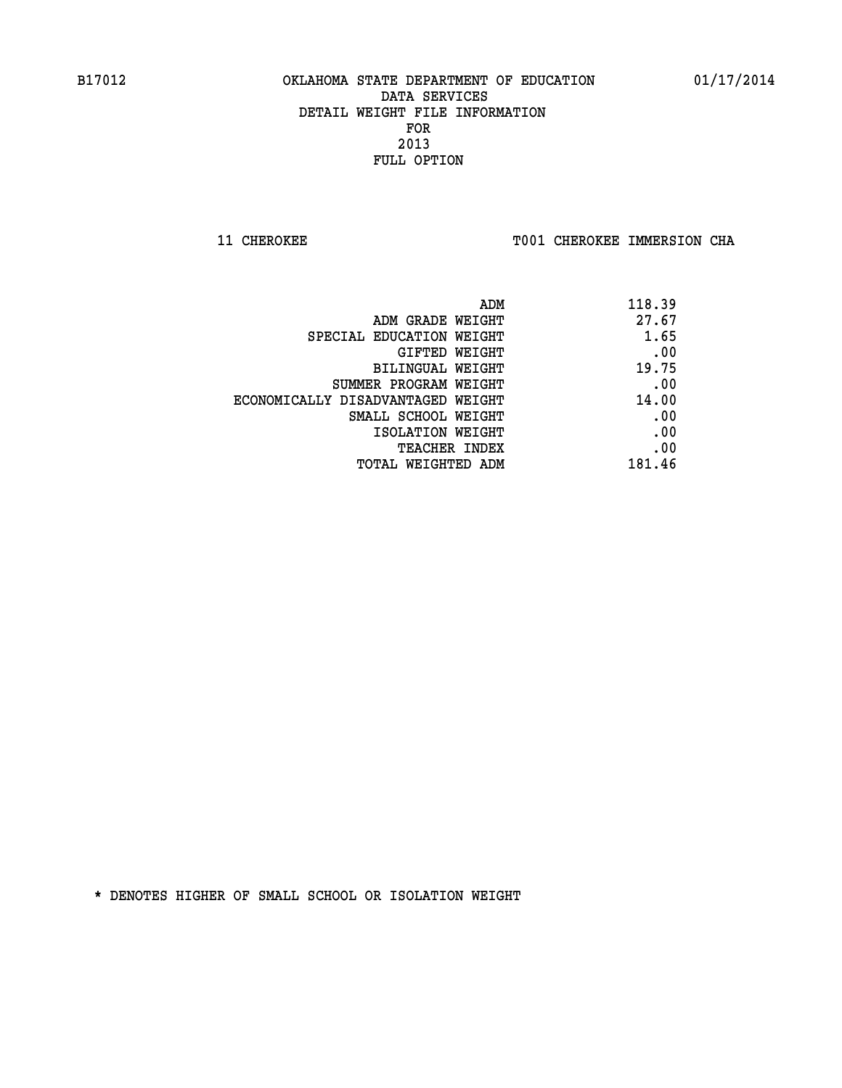**11 CHEROKEE TOO1 CHEROKEE IMMERSION CHA** 

| ADM                               | 118.39 |
|-----------------------------------|--------|
| ADM GRADE WEIGHT                  | 27.67  |
| SPECIAL EDUCATION WEIGHT          | 1.65   |
| GIFTED WEIGHT                     | .00    |
| BILINGUAL WEIGHT                  | 19.75  |
| SUMMER PROGRAM WEIGHT             | .00    |
| ECONOMICALLY DISADVANTAGED WEIGHT | 14.00  |
| SMALL SCHOOL WEIGHT               | .00    |
| ISOLATION WEIGHT                  | .00    |
| <b>TEACHER INDEX</b>              | .00    |
| TOTAL WEIGHTED ADM                | 181.46 |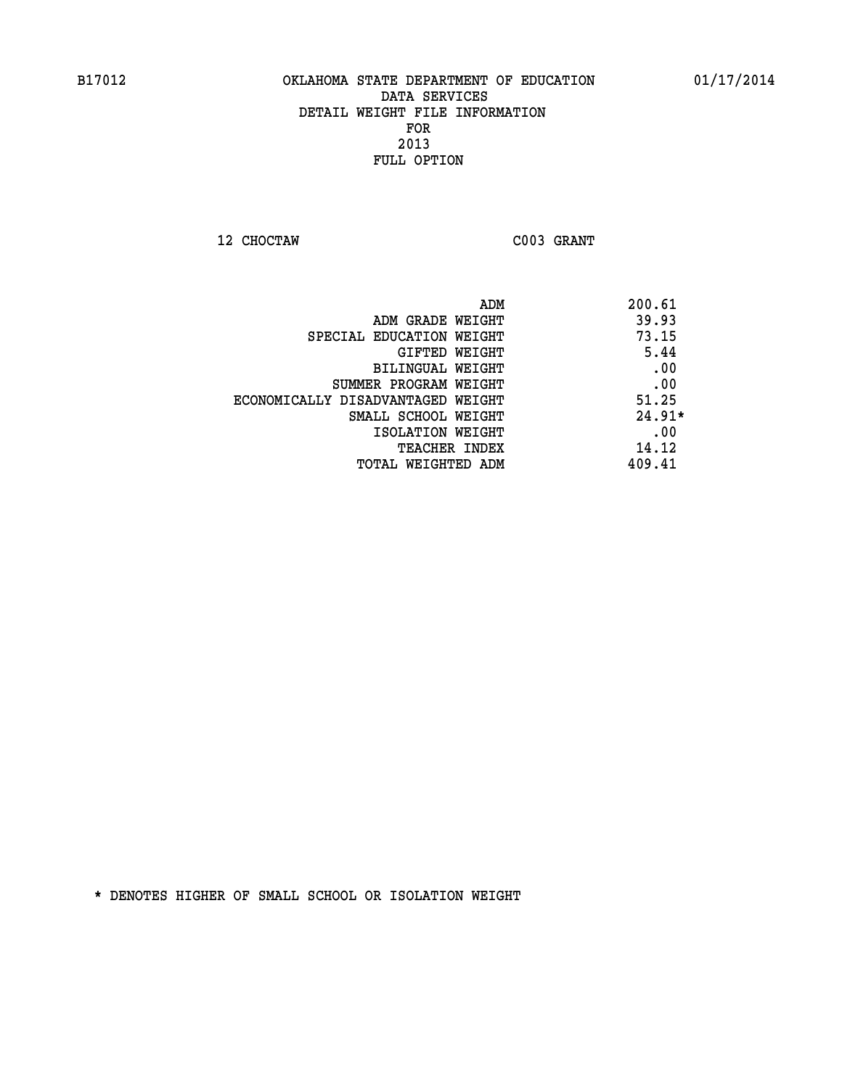**12 CHOCTAW C003 GRANT** 

|                                   | ADM | 200.61   |
|-----------------------------------|-----|----------|
| ADM GRADE WEIGHT                  |     | 39.93    |
| SPECIAL EDUCATION WEIGHT          |     | 73.15    |
| GIFTED WEIGHT                     |     | 5.44     |
| BILINGUAL WEIGHT                  |     | .00      |
| SUMMER PROGRAM WEIGHT             |     | .00      |
| ECONOMICALLY DISADVANTAGED WEIGHT |     | 51.25    |
| SMALL SCHOOL WEIGHT               |     | $24.91*$ |
| ISOLATION WEIGHT                  |     | .00      |
| <b>TEACHER INDEX</b>              |     | 14.12    |
| TOTAL WEIGHTED ADM                |     | 409.41   |
|                                   |     |          |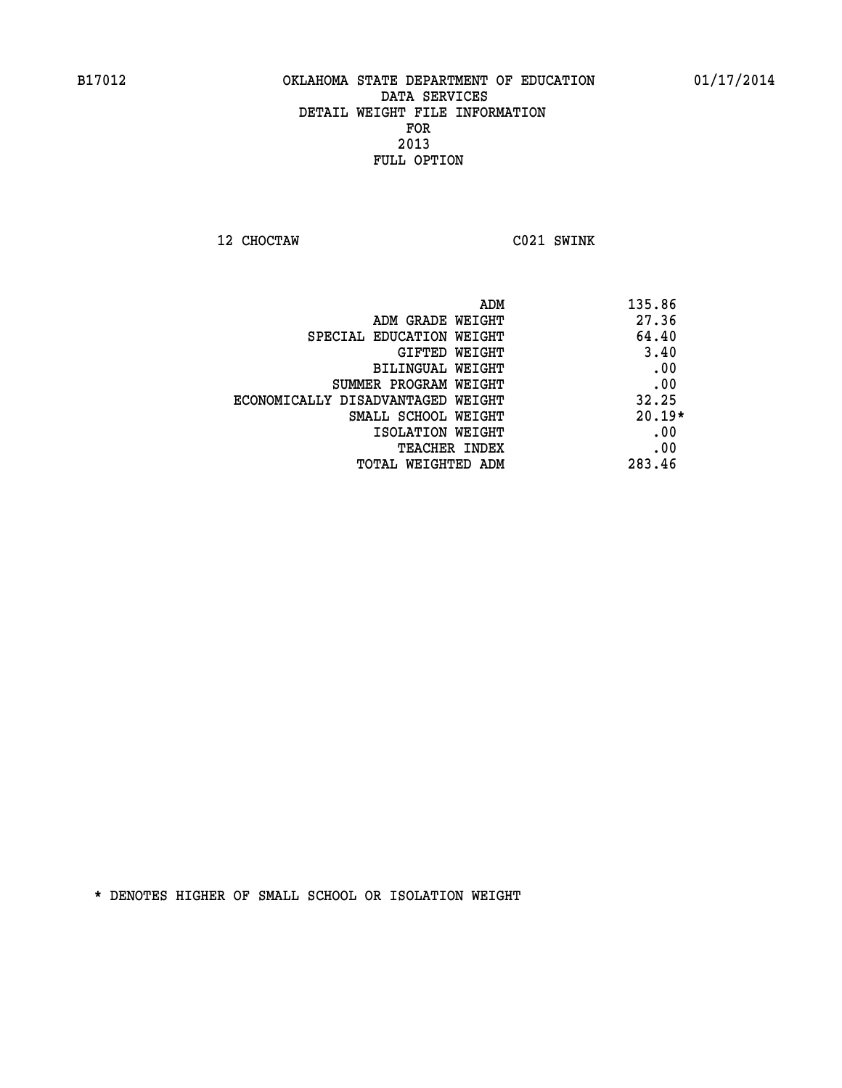**12 CHOCTAW C021 SWINK** 

| ADM                               | 135.86   |
|-----------------------------------|----------|
| ADM GRADE WEIGHT                  | 27.36    |
| SPECIAL EDUCATION WEIGHT          | 64.40    |
| <b>GIFTED WEIGHT</b>              | 3.40     |
| BILINGUAL WEIGHT                  | .00      |
| SUMMER PROGRAM WEIGHT             | .00      |
| ECONOMICALLY DISADVANTAGED WEIGHT | 32.25    |
| SMALL SCHOOL WEIGHT               | $20.19*$ |
| ISOLATION WEIGHT                  | .00      |
| <b>TEACHER INDEX</b>              | .00      |
| TOTAL WEIGHTED ADM                | 283.46   |
|                                   |          |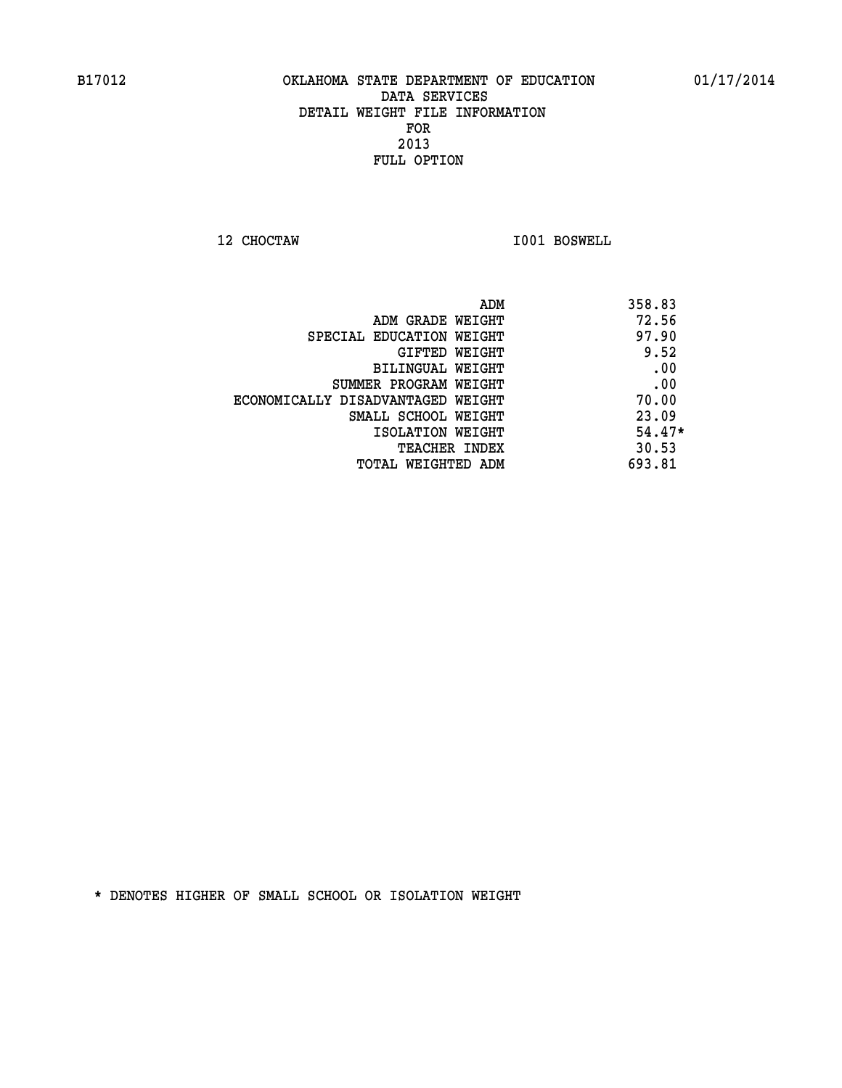**12 CHOCTAW I001 BOSWELL** 

|                                   | ADM | 358.83   |
|-----------------------------------|-----|----------|
| ADM GRADE WEIGHT                  |     | 72.56    |
| SPECIAL EDUCATION WEIGHT          |     | 97.90    |
| GIFTED WEIGHT                     |     | 9.52     |
| BILINGUAL WEIGHT                  |     | .00      |
| SUMMER PROGRAM WEIGHT             |     | .00      |
| ECONOMICALLY DISADVANTAGED WEIGHT |     | 70.00    |
| SMALL SCHOOL WEIGHT               |     | 23.09    |
| ISOLATION WEIGHT                  |     | $54.47*$ |
| <b>TEACHER INDEX</b>              |     | 30.53    |
| TOTAL WEIGHTED ADM                |     | 693.81   |
|                                   |     |          |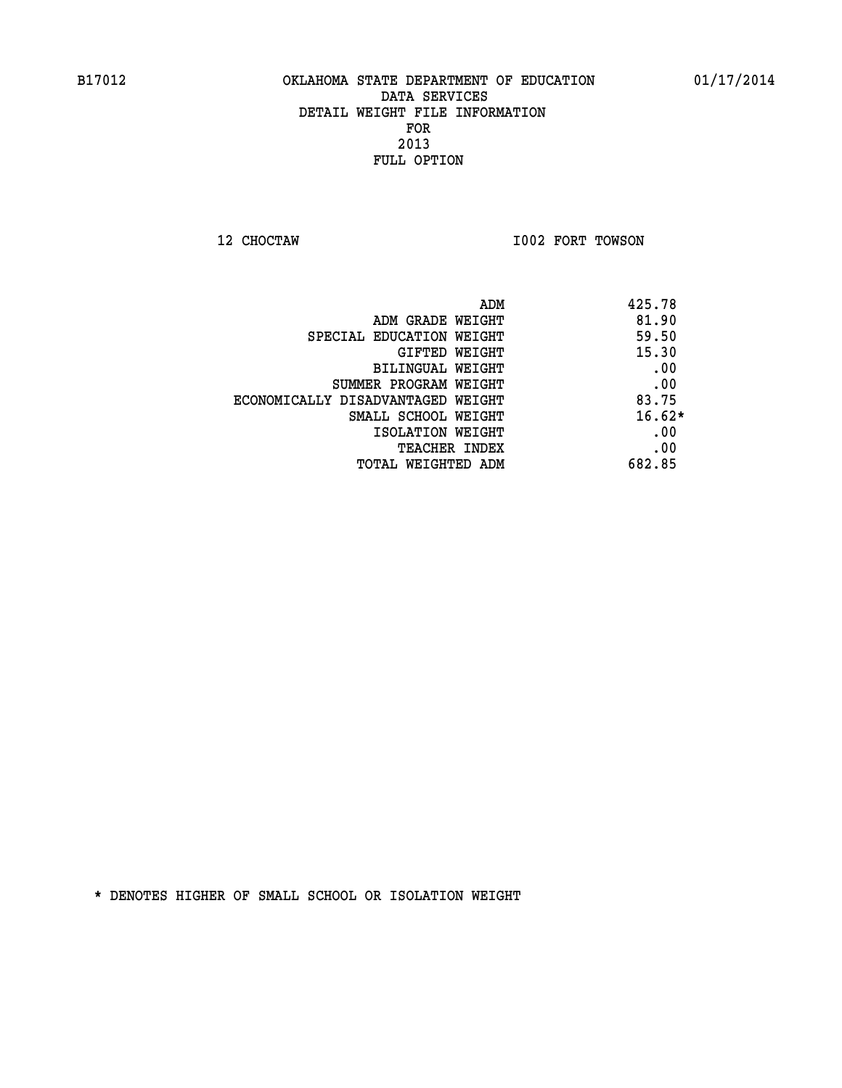**12 CHOCTAW I002 FORT TOWSON** 

| ADM                               | 425.78   |
|-----------------------------------|----------|
| ADM GRADE WEIGHT                  | 81.90    |
| SPECIAL EDUCATION WEIGHT          | 59.50    |
| <b>GIFTED WEIGHT</b>              | 15.30    |
| BILINGUAL WEIGHT                  | .00      |
| SUMMER PROGRAM WEIGHT             | .00      |
| ECONOMICALLY DISADVANTAGED WEIGHT | 83.75    |
| SMALL SCHOOL WEIGHT               | $16.62*$ |
| ISOLATION WEIGHT                  | .00      |
| <b>TEACHER INDEX</b>              | .00      |
| TOTAL WEIGHTED ADM                | 682.85   |
|                                   |          |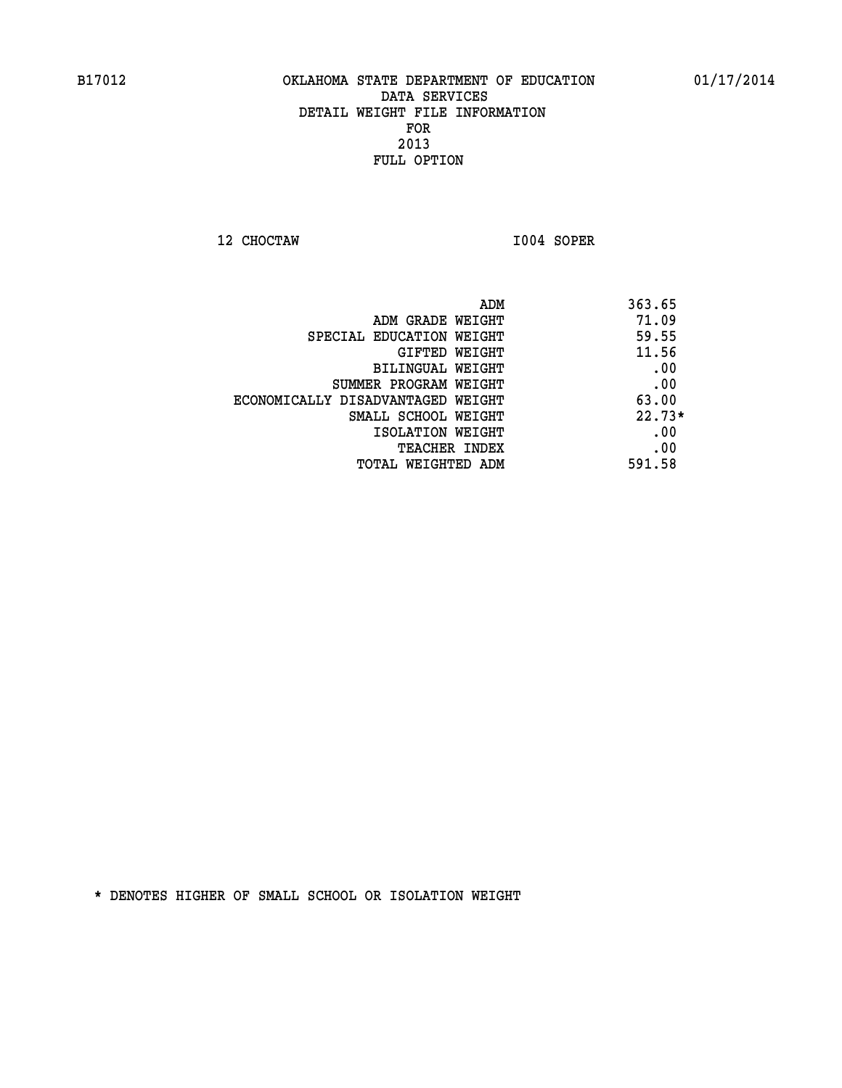**12 CHOCTAW I004 SOPER** 

| ADM                               | 363.65   |
|-----------------------------------|----------|
| ADM GRADE WEIGHT                  | 71.09    |
| SPECIAL EDUCATION WEIGHT          | 59.55    |
| GIFTED WEIGHT                     | 11.56    |
| BILINGUAL WEIGHT                  | .00      |
| SUMMER PROGRAM WEIGHT             | .00      |
| ECONOMICALLY DISADVANTAGED WEIGHT | 63.00    |
| SMALL SCHOOL WEIGHT               | $22.73*$ |
| ISOLATION WEIGHT                  | .00      |
| TEACHER INDEX                     | .00      |
| TOTAL WEIGHTED ADM                | 591.58   |
|                                   |          |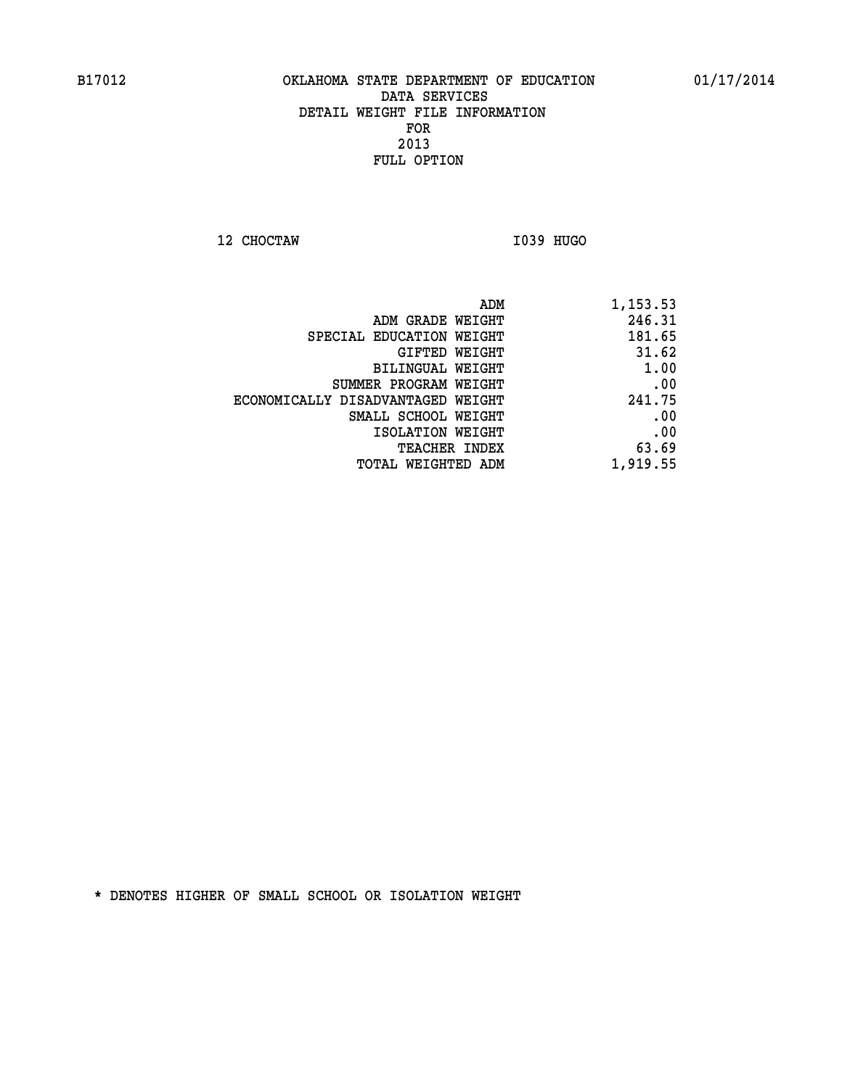**12 CHOCTAW I039 HUGO** 

| 1,153.53 | ADM                               |
|----------|-----------------------------------|
| 246.31   | ADM GRADE WEIGHT                  |
| 181.65   | SPECIAL EDUCATION WEIGHT          |
| 31.62    | GIFTED WEIGHT                     |
| 1.00     | BILINGUAL WEIGHT                  |
| .00      | SUMMER PROGRAM WEIGHT             |
| 241.75   | ECONOMICALLY DISADVANTAGED WEIGHT |
| .00      | SMALL SCHOOL WEIGHT               |
| .00      | ISOLATION WEIGHT                  |
| 63.69    | <b>TEACHER INDEX</b>              |
| 1,919.55 | TOTAL WEIGHTED ADM                |
|          |                                   |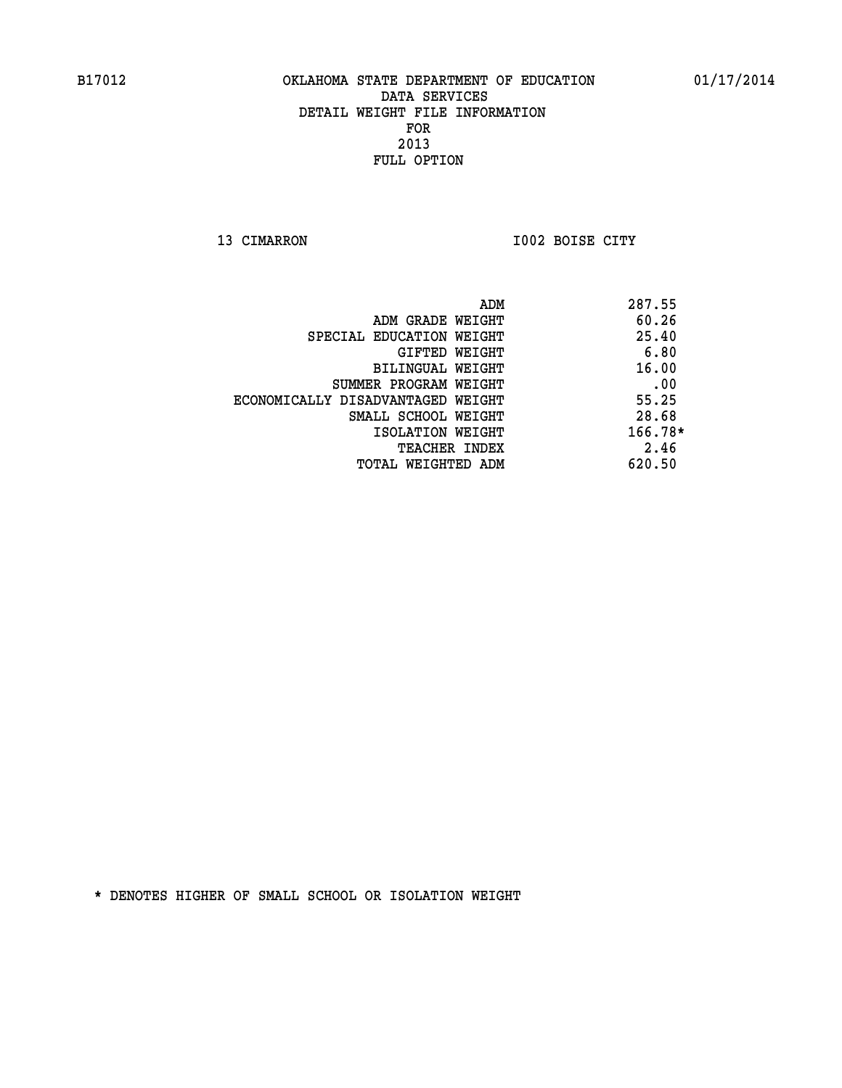**13 CIMARRON I002 BOISE CITY** 

|                                   | ADM | 287.55    |
|-----------------------------------|-----|-----------|
| ADM GRADE WEIGHT                  |     | 60.26     |
| SPECIAL EDUCATION WEIGHT          |     | 25.40     |
| GIFTED WEIGHT                     |     | 6.80      |
| BILINGUAL WEIGHT                  |     | 16.00     |
| SUMMER PROGRAM WEIGHT             |     | .00       |
| ECONOMICALLY DISADVANTAGED WEIGHT |     | 55.25     |
| SMALL SCHOOL WEIGHT               |     | 28.68     |
| ISOLATION WEIGHT                  |     | $166.78*$ |
| TEACHER INDEX                     |     | 2.46      |
| TOTAL WEIGHTED ADM                |     | 620.50    |
|                                   |     |           |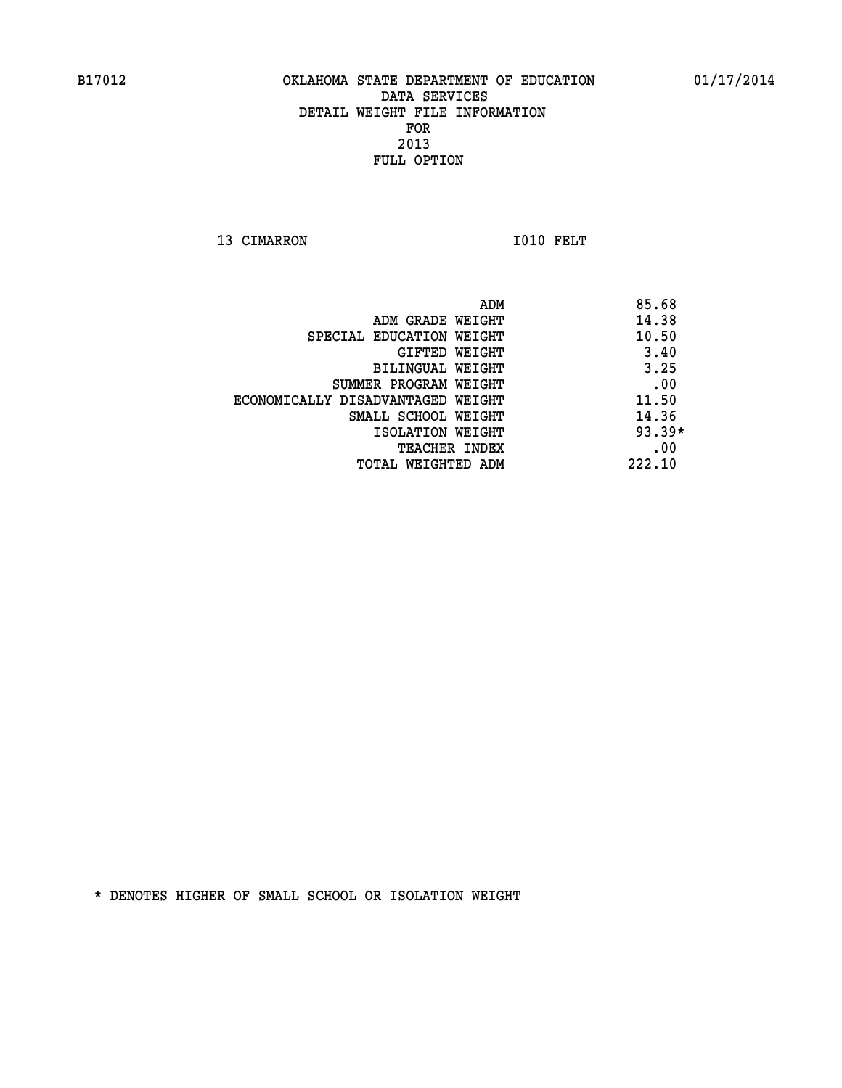13 CIMARRON 1010 FELT

| ADM                               | 85.68    |
|-----------------------------------|----------|
| ADM GRADE WEIGHT                  | 14.38    |
| SPECIAL EDUCATION WEIGHT          | 10.50    |
| <b>GIFTED WEIGHT</b>              | 3.40     |
| <b>BILINGUAL WEIGHT</b>           | 3.25     |
| SUMMER PROGRAM WEIGHT             | .00      |
| ECONOMICALLY DISADVANTAGED WEIGHT | 11.50    |
| SMALL SCHOOL WEIGHT               | 14.36    |
| ISOLATION WEIGHT                  | $93.39*$ |
| <b>TEACHER INDEX</b>              | .00      |
| TOTAL WEIGHTED ADM                | 222.10   |
|                                   |          |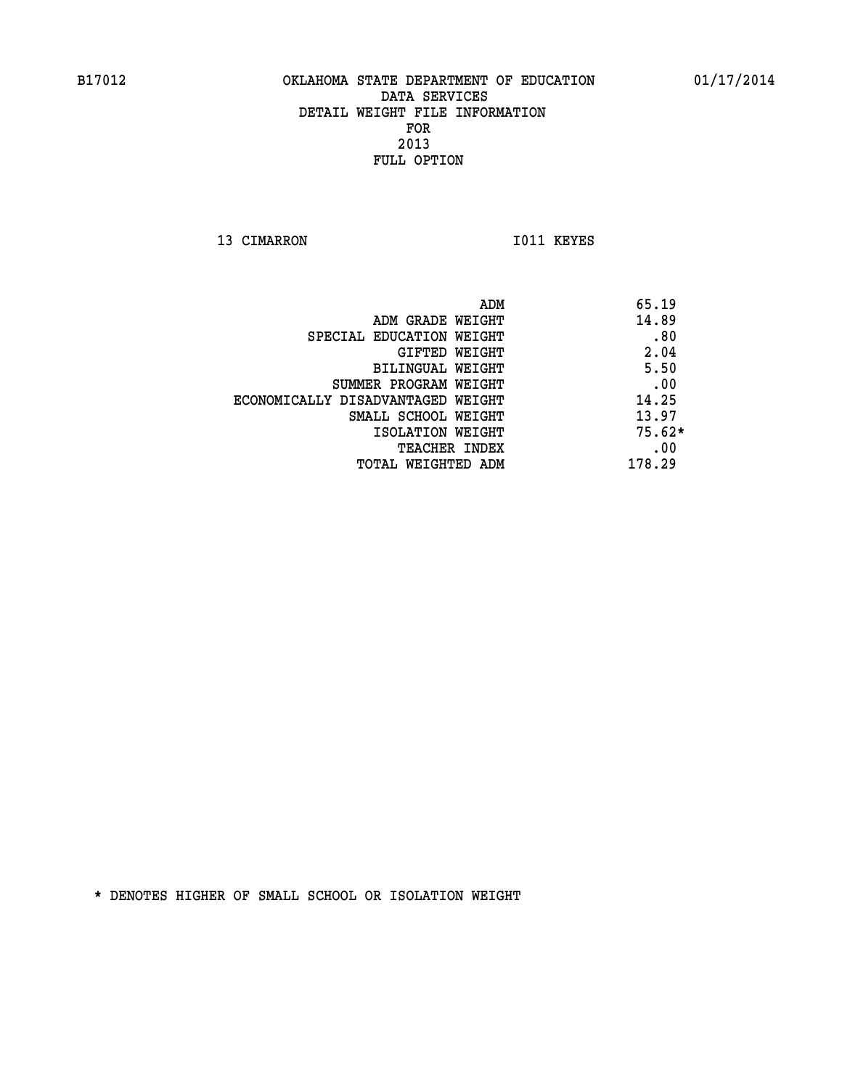13 CIMARRON 1011 KEYES

|                                   | 65.19<br>ADM |
|-----------------------------------|--------------|
| ADM GRADE WEIGHT                  | 14.89        |
| SPECIAL EDUCATION WEIGHT          | .80          |
| GIFTED WEIGHT                     | 2.04         |
| BILINGUAL WEIGHT                  | 5.50         |
| SUMMER PROGRAM WEIGHT             | .00          |
| ECONOMICALLY DISADVANTAGED WEIGHT | 14.25        |
| SMALL SCHOOL WEIGHT               | 13.97        |
| ISOLATION WEIGHT                  | $75.62*$     |
| TEACHER INDEX                     | .00          |
| TOTAL WEIGHTED ADM                | 178.29       |
|                                   |              |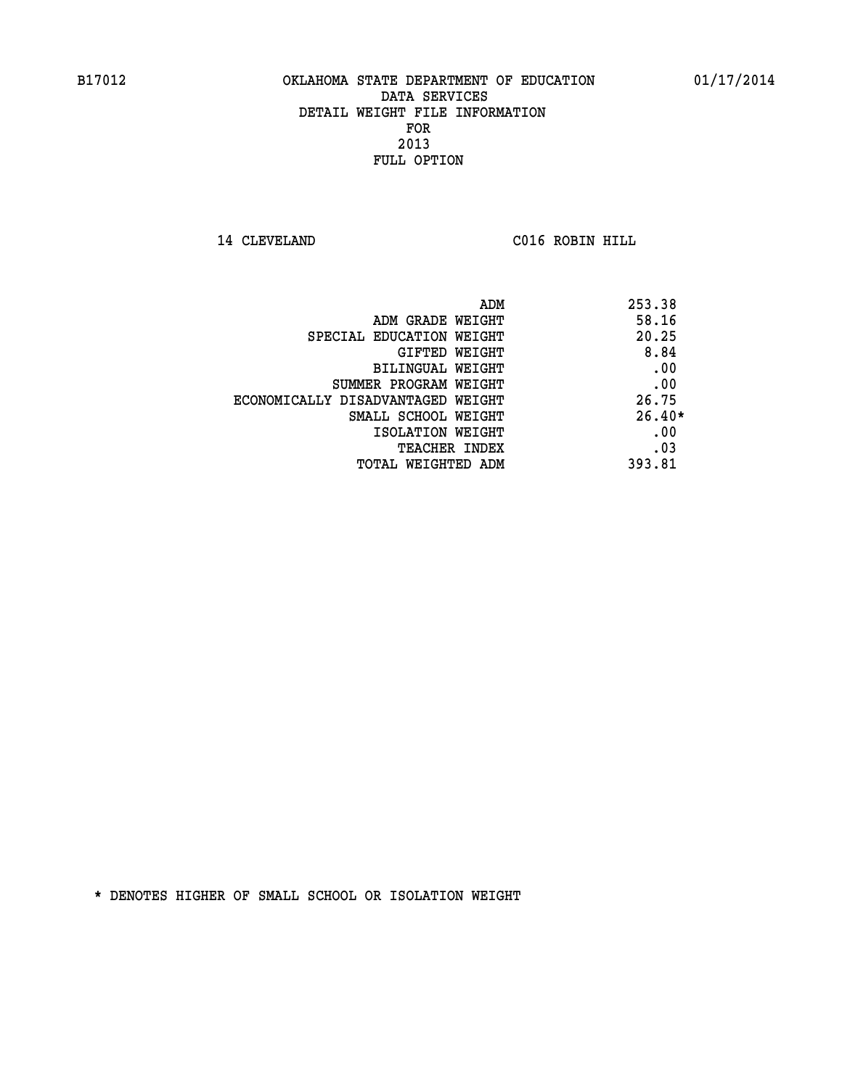**14 CLEVELAND C016 ROBIN HILL** 

| ADM                               | 253.38   |
|-----------------------------------|----------|
| ADM GRADE WEIGHT                  | 58.16    |
| SPECIAL EDUCATION WEIGHT          | 20.25    |
| <b>GIFTED WEIGHT</b>              | 8.84     |
| BILINGUAL WEIGHT                  | .00      |
| SUMMER PROGRAM WEIGHT             | .00      |
| ECONOMICALLY DISADVANTAGED WEIGHT | 26.75    |
| SMALL SCHOOL WEIGHT               | $26.40*$ |
| ISOLATION WEIGHT                  | .00      |
| TEACHER INDEX                     | .03      |
| TOTAL WEIGHTED ADM                | 393.81   |
|                                   |          |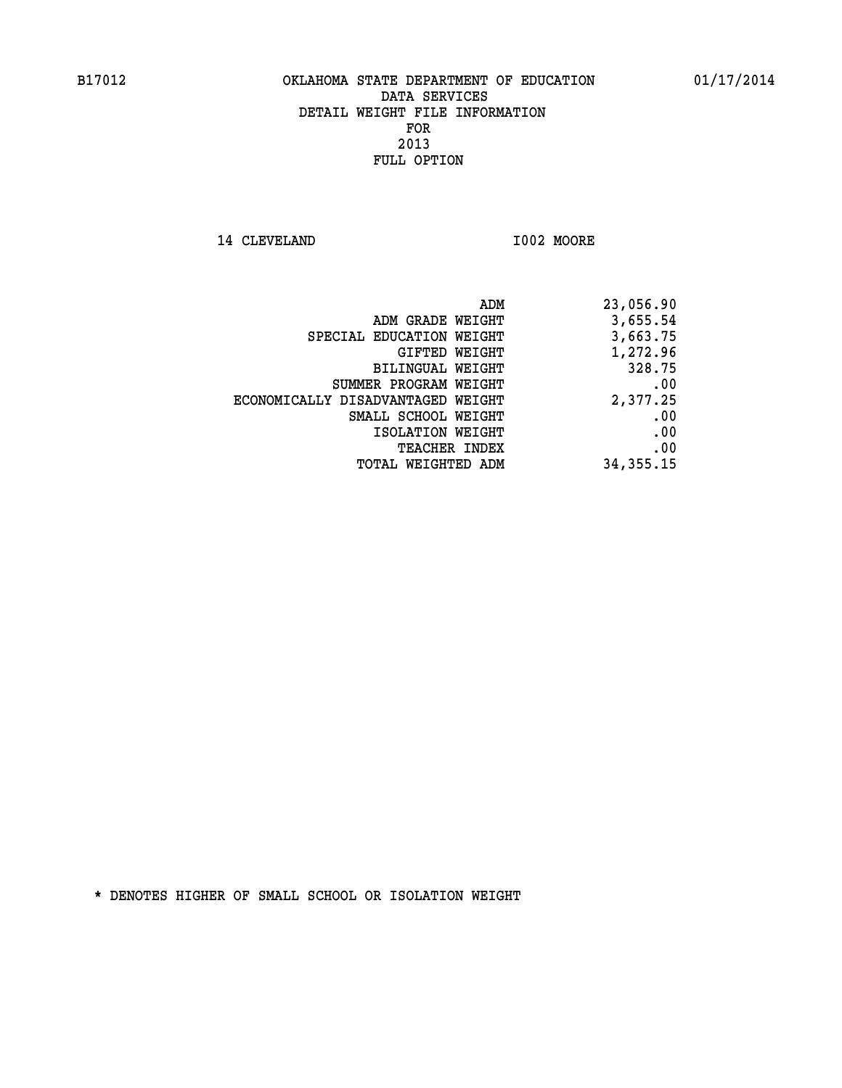14 CLEVELAND 1002 MOORE

|                                   | 23,056.90<br>ADM |
|-----------------------------------|------------------|
| ADM GRADE WEIGHT                  | 3,655.54         |
| SPECIAL EDUCATION WEIGHT          | 3,663.75         |
| GIFTED WEIGHT                     | 1,272.96         |
| BILINGUAL WEIGHT                  | 328.75           |
| SUMMER PROGRAM WEIGHT             | .00              |
| ECONOMICALLY DISADVANTAGED WEIGHT | 2,377.25         |
| SMALL SCHOOL WEIGHT               | .00              |
| ISOLATION WEIGHT                  | .00              |
| <b>TEACHER INDEX</b>              | .00              |
| WEIGHTED ADM<br>TOTAL             | 34, 355. 15      |
|                                   |                  |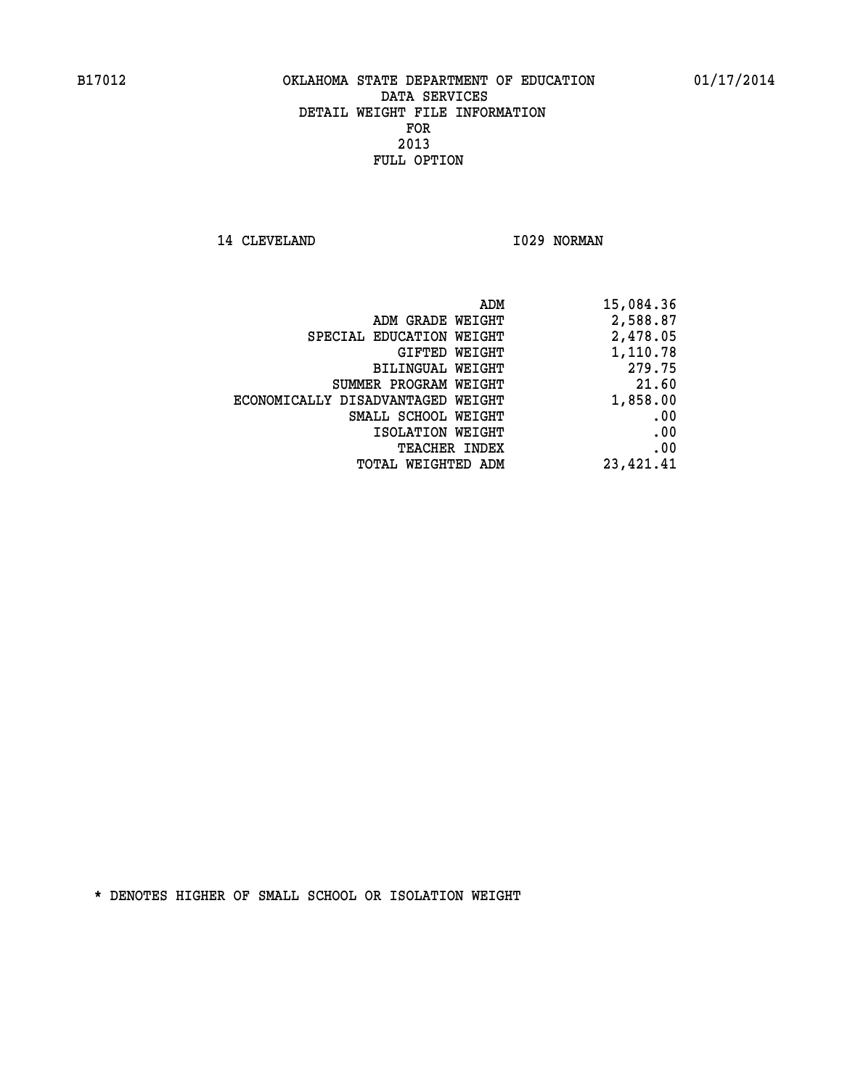14 CLEVELAND 1029 NORMAN

|                                   | ADM<br>15,084.36 |
|-----------------------------------|------------------|
| ADM GRADE WEIGHT                  | 2,588.87         |
| SPECIAL EDUCATION WEIGHT          | 2,478.05         |
| GIFTED WEIGHT                     | 1,110.78         |
| <b>BILINGUAL WEIGHT</b>           | 279.75           |
| SUMMER PROGRAM WEIGHT             | 21.60            |
| ECONOMICALLY DISADVANTAGED WEIGHT | 1,858.00         |
| SMALL SCHOOL WEIGHT               | .00              |
| ISOLATION WEIGHT                  | .00              |
| TEACHER INDEX                     | .00              |
| TOTAL WEIGHTED ADM                | 23,421.41        |
|                                   |                  |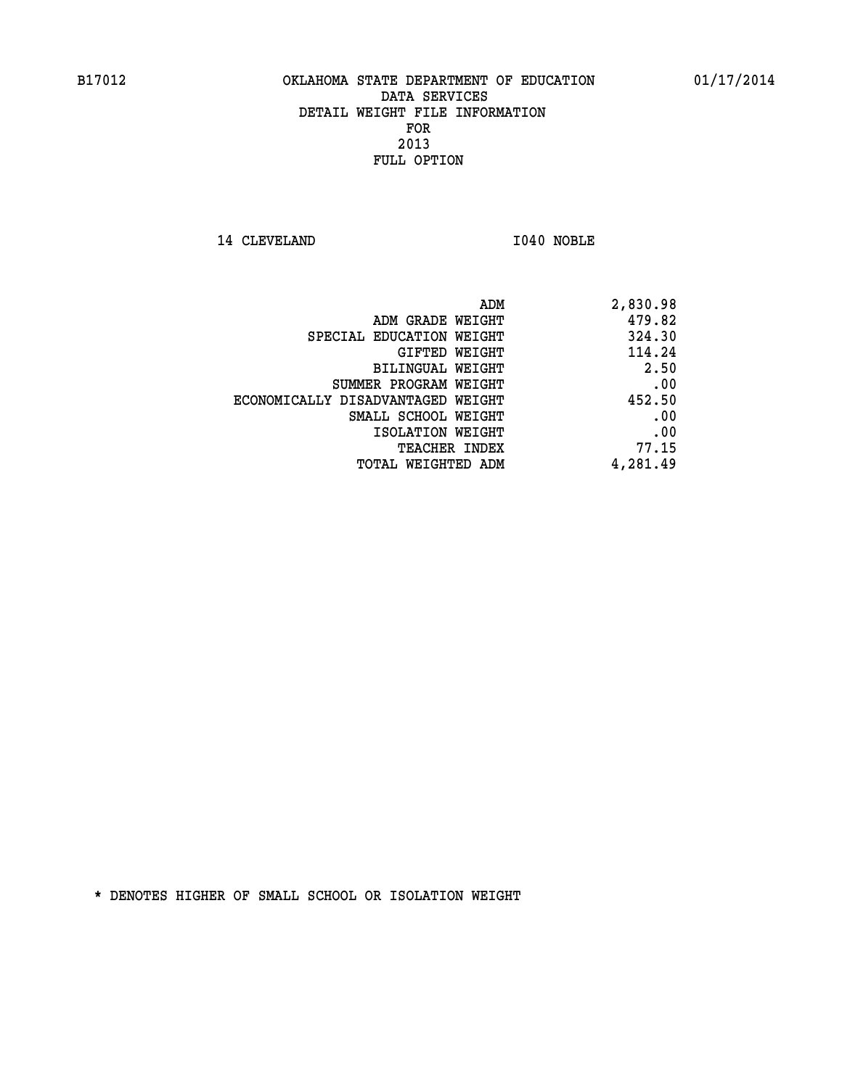14 CLEVELAND 1040 NOBLE

|                                   | 2,830.98<br>ADM |
|-----------------------------------|-----------------|
| ADM GRADE WEIGHT                  | 479.82          |
| SPECIAL EDUCATION WEIGHT          | 324.30          |
| <b>GIFTED WEIGHT</b>              | 114.24          |
| BILINGUAL WEIGHT                  | 2.50            |
| SUMMER PROGRAM WEIGHT             | .00             |
| ECONOMICALLY DISADVANTAGED WEIGHT | 452.50          |
| SMALL SCHOOL WEIGHT               | .00             |
| ISOLATION WEIGHT                  | .00             |
| <b>TEACHER INDEX</b>              | 77.15           |
| TOTAL WEIGHTED ADM                | 4,281.49        |
|                                   |                 |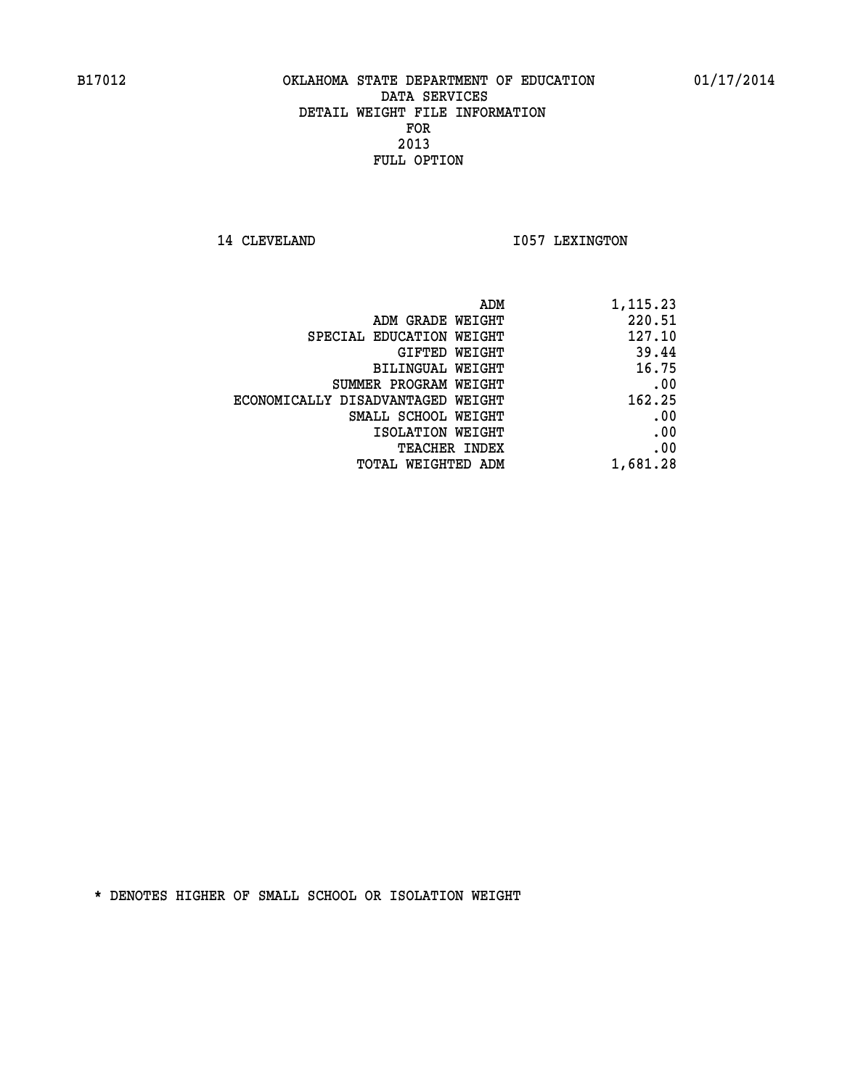14 CLEVELAND 1057 LEXINGTON

|                                   | ADM<br>1,115.23 |
|-----------------------------------|-----------------|
| ADM GRADE WEIGHT                  | 220.51          |
| SPECIAL EDUCATION WEIGHT          | 127.10          |
| GIFTED WEIGHT                     | 39.44           |
| <b>BILINGUAL WEIGHT</b>           | 16.75           |
| SUMMER PROGRAM WEIGHT             | .00             |
| ECONOMICALLY DISADVANTAGED WEIGHT | 162.25          |
| SMALL SCHOOL WEIGHT               | .00             |
| ISOLATION WEIGHT                  | .00             |
| TEACHER INDEX                     | .00             |
| TOTAL WEIGHTED ADM                | 1,681.28        |
|                                   |                 |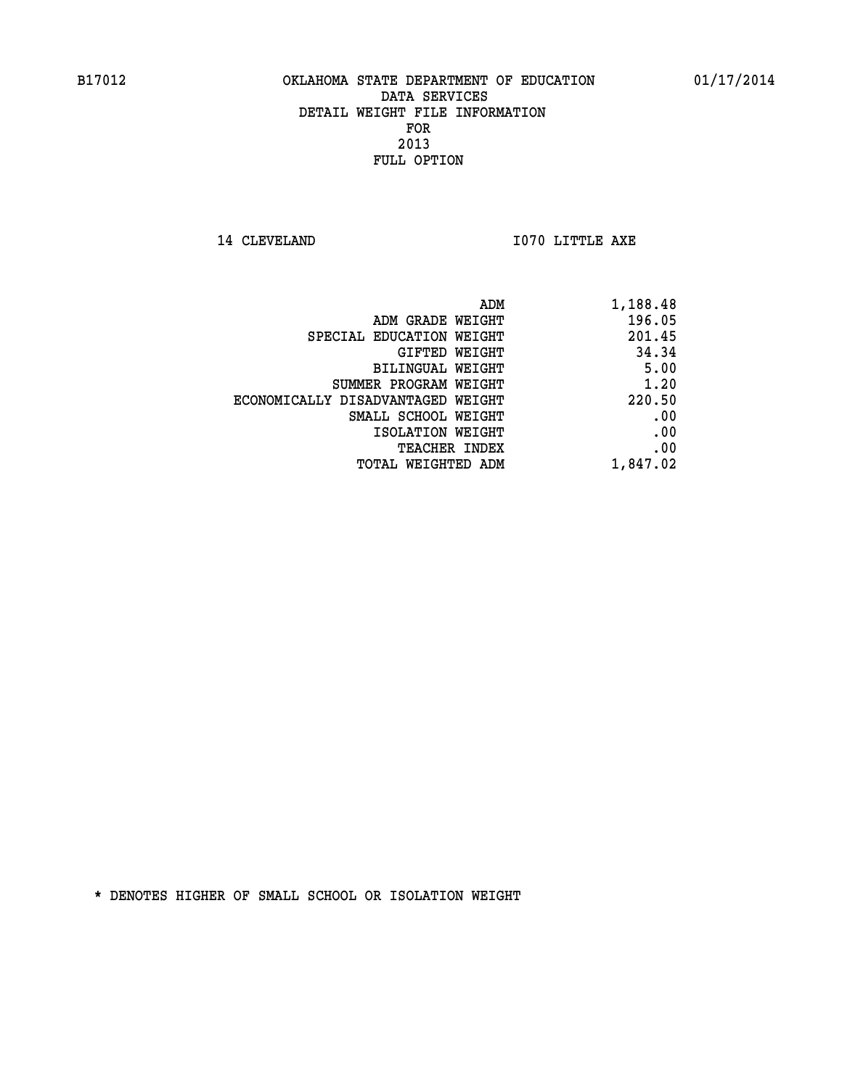**14 CLEVELAND 1070 LITTLE AXE** 

| ADM                               | 1,188.48 |
|-----------------------------------|----------|
| ADM GRADE WEIGHT                  | 196.05   |
| SPECIAL EDUCATION WEIGHT          | 201.45   |
| GIFTED WEIGHT                     | 34.34    |
| BILINGUAL WEIGHT                  | 5.00     |
| SUMMER PROGRAM WEIGHT             | 1.20     |
| ECONOMICALLY DISADVANTAGED WEIGHT | 220.50   |
| SMALL SCHOOL WEIGHT               | .00      |
| ISOLATION WEIGHT                  | .00      |
| <b>TEACHER INDEX</b>              | .00      |
| <b>TOTAL WEIGHTED ADM</b>         | 1,847.02 |
|                                   |          |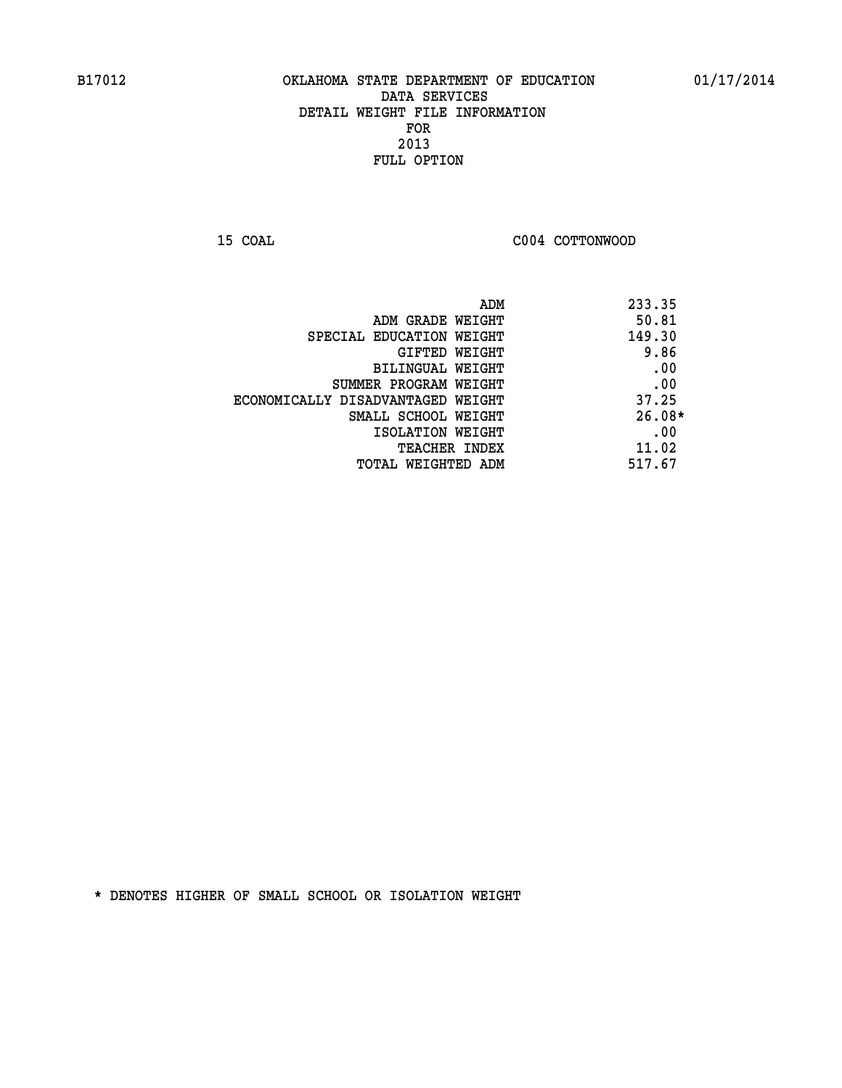**15 COAL COAL COAL COAL COAL COTTONWOOD** 

| ADM                               | 233.35   |
|-----------------------------------|----------|
| ADM GRADE WEIGHT                  | 50.81    |
| SPECIAL EDUCATION WEIGHT          | 149.30   |
| GIFTED WEIGHT                     | 9.86     |
| BILINGUAL WEIGHT                  | .00      |
| SUMMER PROGRAM WEIGHT             | .00      |
| ECONOMICALLY DISADVANTAGED WEIGHT | 37.25    |
| SMALL SCHOOL WEIGHT               | $26.08*$ |
| ISOLATION WEIGHT                  | .00      |
| TEACHER INDEX                     | 11.02    |
| TOTAL WEIGHTED ADM                | 517.67   |
|                                   |          |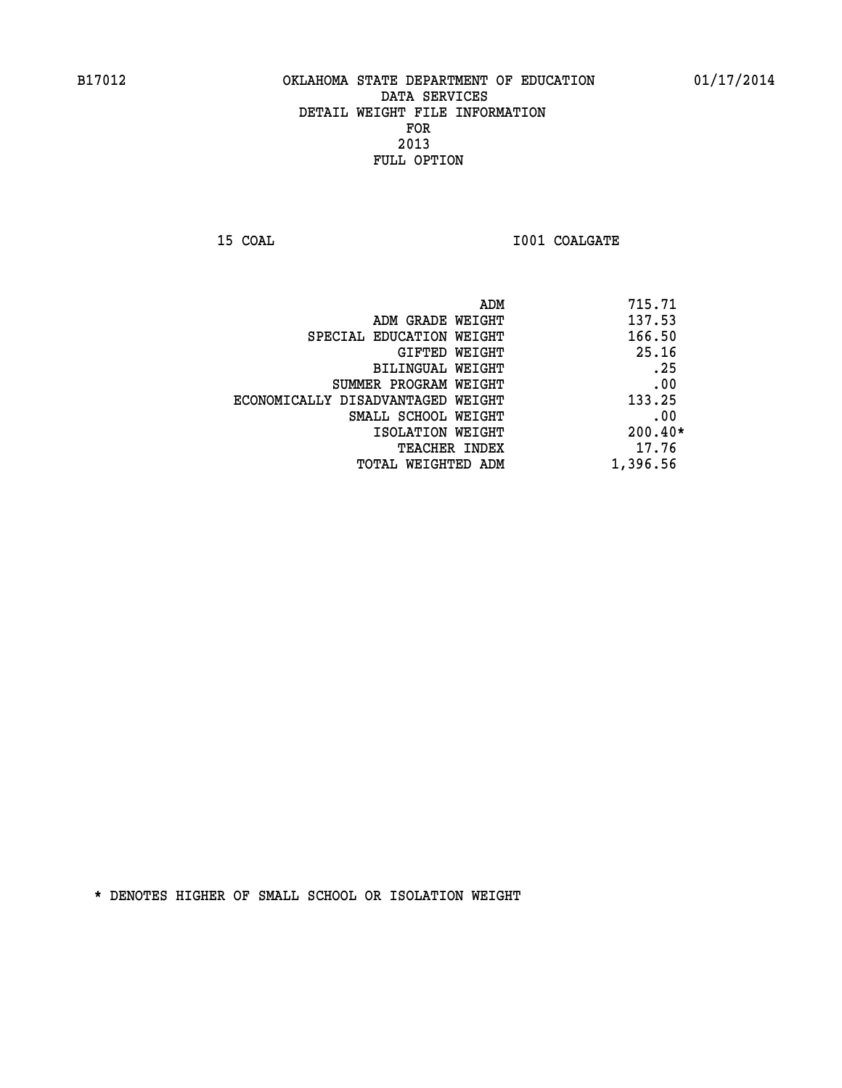**15 COAL 15 COAL I001 COALGATE** 

| 715.71<br>ADM                 |                                   |
|-------------------------------|-----------------------------------|
| 137.53                        | ADM GRADE WEIGHT                  |
| 166.50                        | SPECIAL EDUCATION WEIGHT          |
| 25.16<br>GIFTED WEIGHT        |                                   |
| .25                           | BILINGUAL WEIGHT                  |
| .00                           | SUMMER PROGRAM WEIGHT             |
| 133.25                        | ECONOMICALLY DISADVANTAGED WEIGHT |
| .00                           | SMALL SCHOOL WEIGHT               |
| $200.40*$                     | ISOLATION WEIGHT                  |
| 17.76<br><b>TEACHER INDEX</b> |                                   |
| 1,396.56                      | TOTAL WEIGHTED ADM                |
|                               |                                   |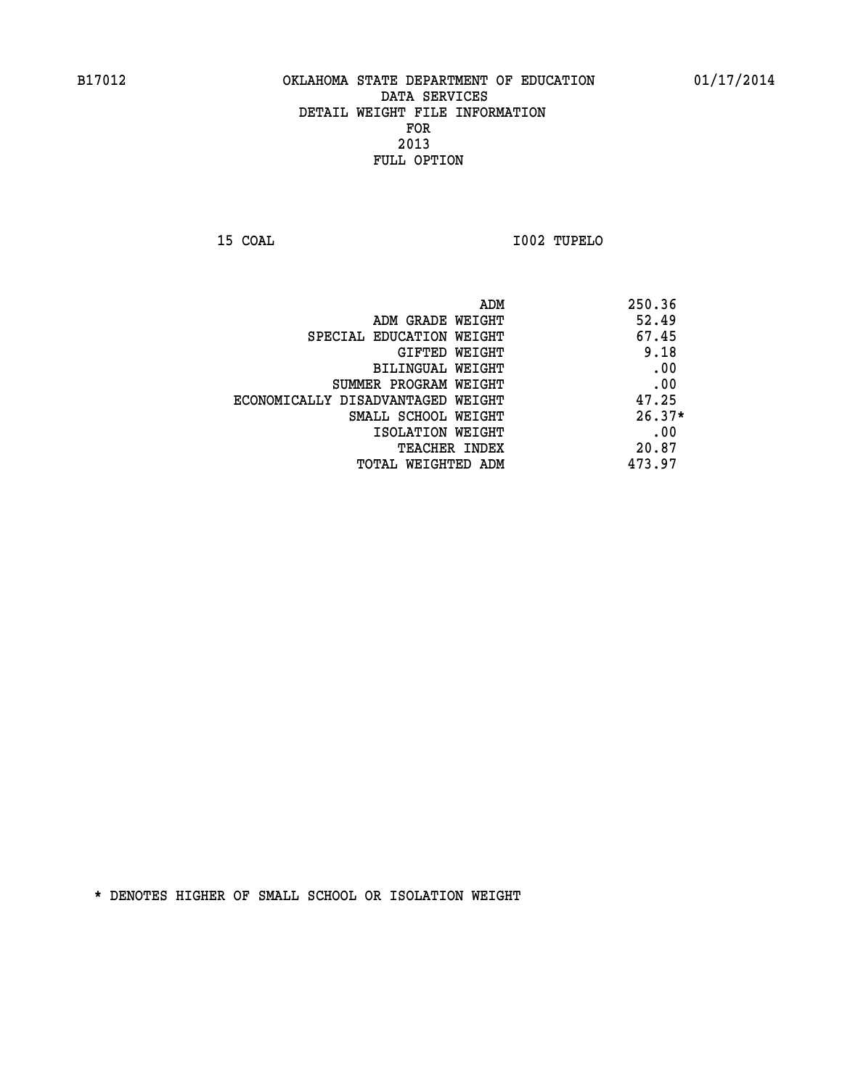**15 COAL I002 TUPELO** 

| ADM                               | 250.36   |
|-----------------------------------|----------|
| ADM GRADE WEIGHT                  | 52.49    |
| SPECIAL EDUCATION WEIGHT          | 67.45    |
| GIFTED WEIGHT                     | 9.18     |
| BILINGUAL WEIGHT                  | .00      |
| SUMMER PROGRAM WEIGHT             | .00      |
| ECONOMICALLY DISADVANTAGED WEIGHT | 47.25    |
| SMALL SCHOOL WEIGHT               | $26.37*$ |
| ISOLATION WEIGHT                  | .00      |
| TEACHER INDEX                     | 20.87    |
| TOTAL WEIGHTED ADM                | 473.97   |
|                                   |          |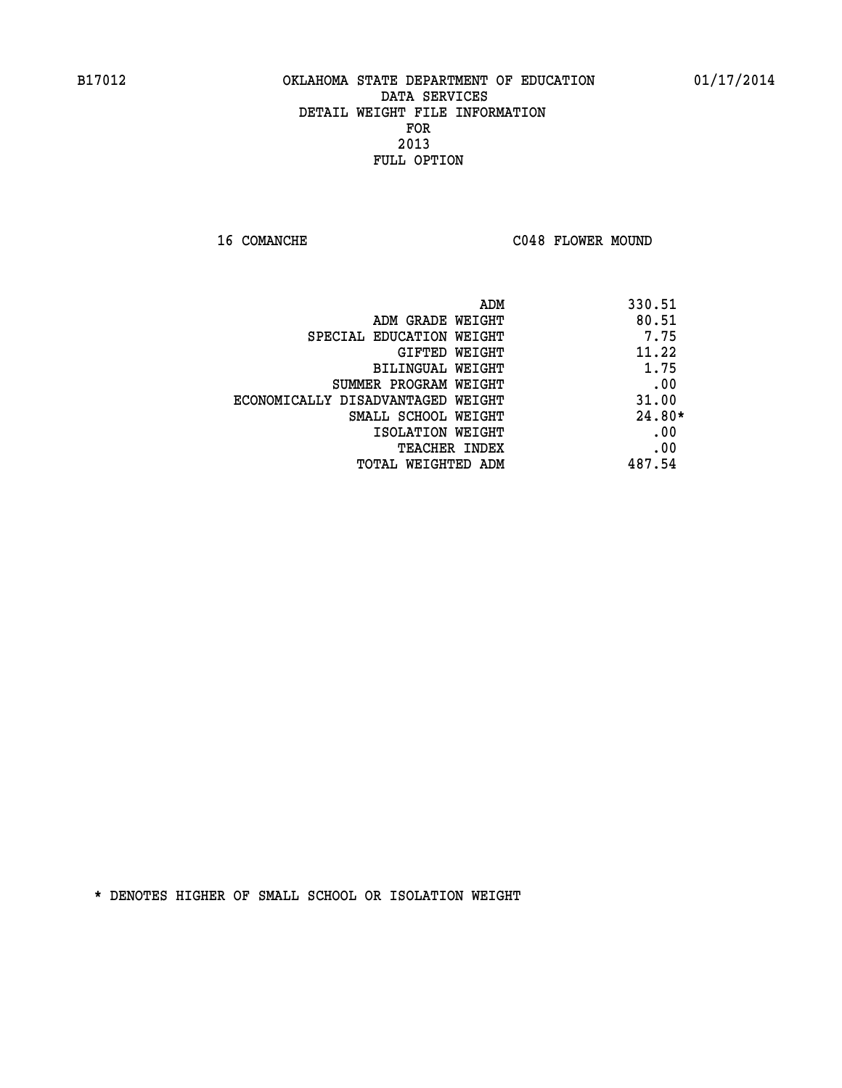16 COMANCHE C048 FLOWER MOUND

|                                   | 330.51<br>ADM |
|-----------------------------------|---------------|
| ADM GRADE WEIGHT                  | 80.51         |
| SPECIAL EDUCATION WEIGHT          | 7.75          |
| GIFTED WEIGHT                     | 11.22         |
| BILINGUAL WEIGHT                  | 1.75          |
| SUMMER PROGRAM WEIGHT             | .00           |
| ECONOMICALLY DISADVANTAGED WEIGHT | 31.00         |
| SMALL SCHOOL WEIGHT               | $24.80*$      |
| ISOLATION WEIGHT                  | .00           |
| <b>TEACHER INDEX</b>              | .00           |
| TOTAL WEIGHTED ADM                | 487.54        |
|                                   |               |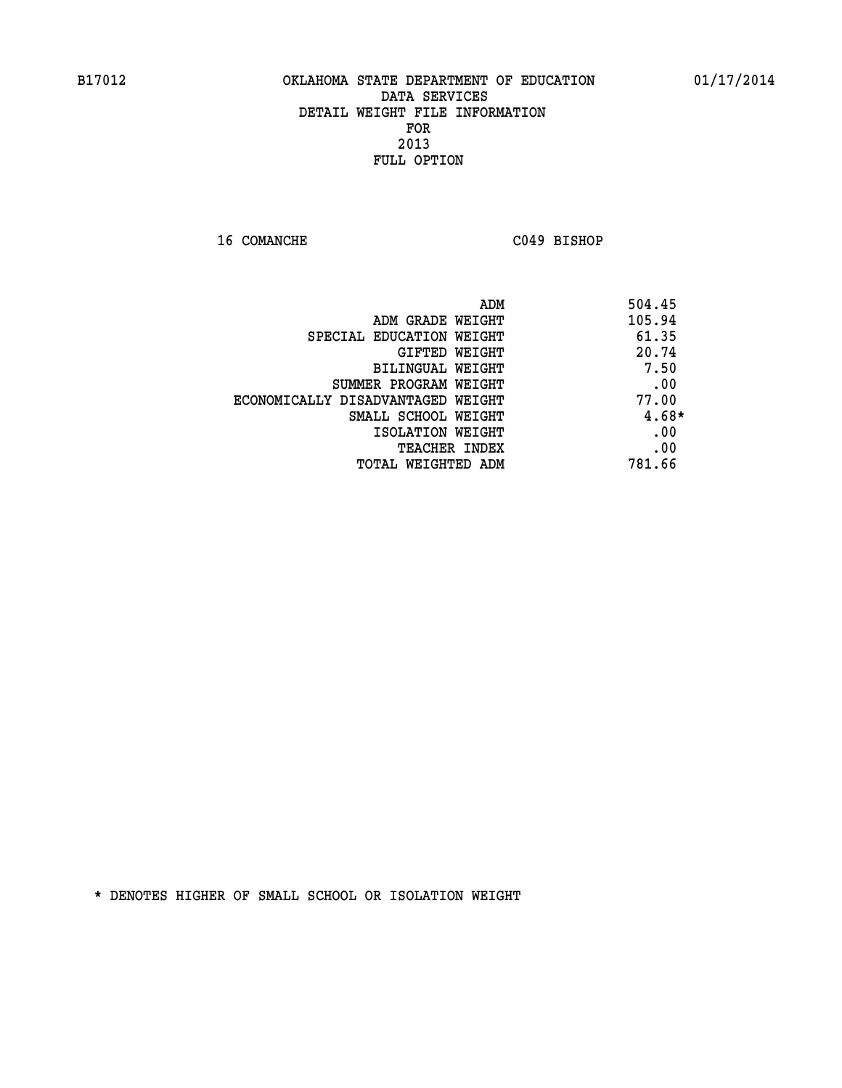**16 COMANCHE C049 BISHOP** 

| ADM                               | 504.45 |
|-----------------------------------|--------|
| ADM GRADE WEIGHT                  | 105.94 |
| SPECIAL EDUCATION WEIGHT          | 61.35  |
| <b>GIFTED WEIGHT</b>              | 20.74  |
| BILINGUAL WEIGHT                  | 7.50   |
| SUMMER PROGRAM WEIGHT             | .00    |
| ECONOMICALLY DISADVANTAGED WEIGHT | 77.00  |
| SMALL SCHOOL WEIGHT               | 4.68*  |
| ISOLATION WEIGHT                  | .00    |
| <b>TEACHER INDEX</b>              | .00    |
| TOTAL WEIGHTED ADM                | 781.66 |
|                                   |        |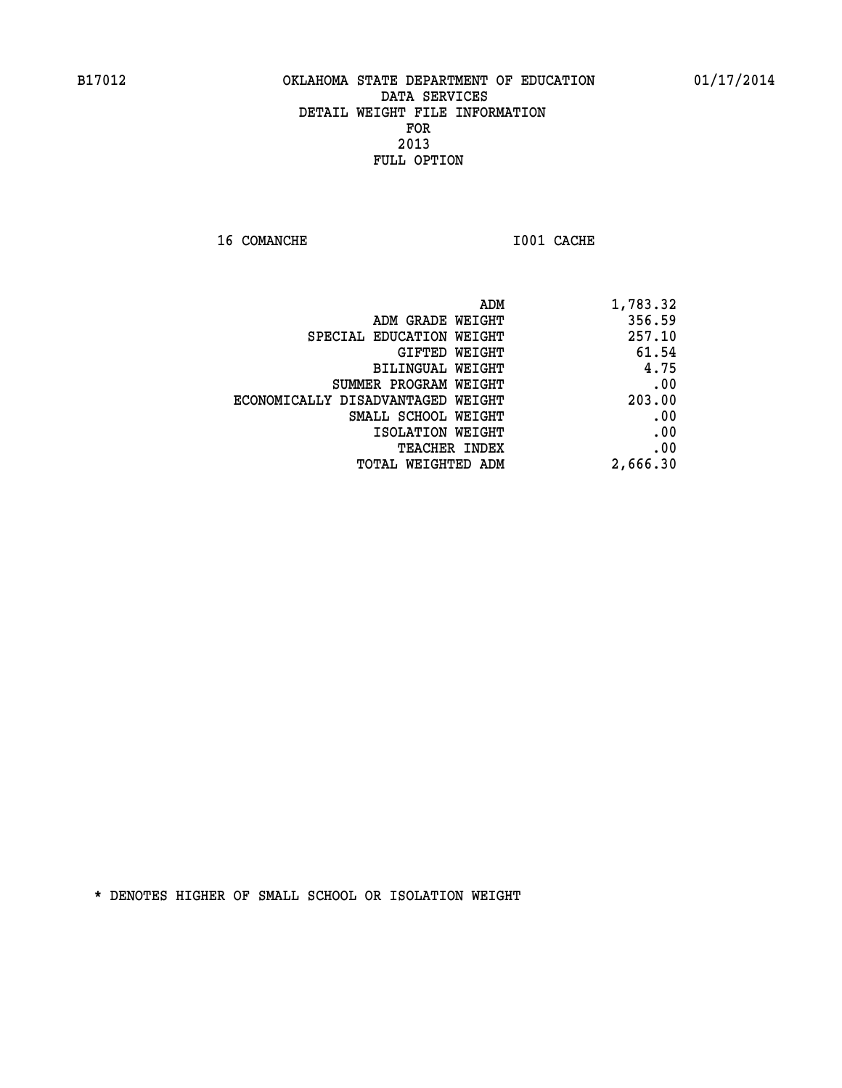**16 COMANCHE 1001 CACHE** 

| ADM                               | 1,783.32 |
|-----------------------------------|----------|
| ADM GRADE WEIGHT                  | 356.59   |
| SPECIAL EDUCATION WEIGHT          | 257.10   |
| <b>GIFTED WEIGHT</b>              | 61.54    |
| BILINGUAL WEIGHT                  | 4.75     |
| SUMMER PROGRAM WEIGHT             | .00      |
| ECONOMICALLY DISADVANTAGED WEIGHT | 203.00   |
| SMALL SCHOOL WEIGHT               | .00      |
| ISOLATION WEIGHT                  | .00      |
| <b>TEACHER INDEX</b>              | .00      |
| <b>TOTAL WEIGHTED ADM</b>         | 2,666.30 |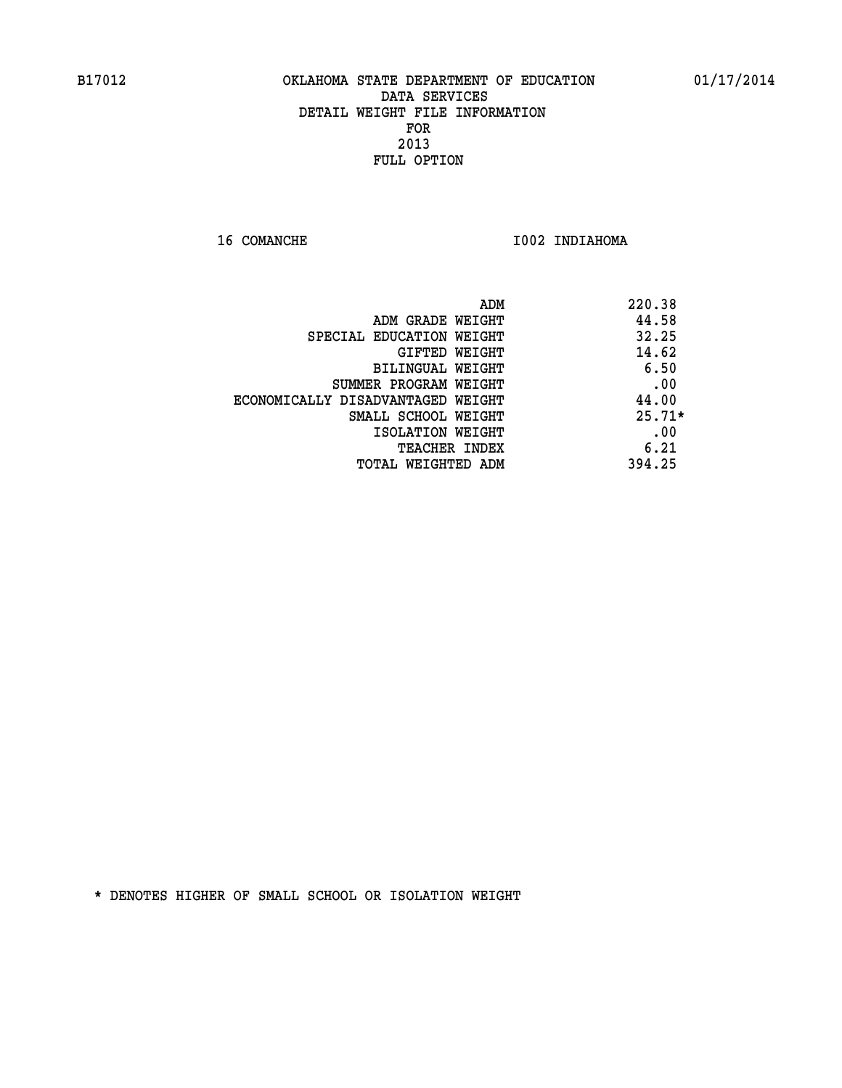**16 COMANCHE 1002 INDIAHOMA** 

|                                   | ADM | 220.38   |
|-----------------------------------|-----|----------|
| ADM GRADE WEIGHT                  |     | 44.58    |
| SPECIAL EDUCATION WEIGHT          |     | 32.25    |
| GIFTED WEIGHT                     |     | 14.62    |
| BILINGUAL WEIGHT                  |     | 6.50     |
| SUMMER PROGRAM WEIGHT             |     | .00      |
| ECONOMICALLY DISADVANTAGED WEIGHT |     | 44.00    |
| SMALL SCHOOL WEIGHT               |     | $25.71*$ |
| ISOLATION WEIGHT                  |     | .00      |
| TEACHER INDEX                     |     | 6.21     |
| TOTAL WEIGHTED ADM                |     | 394.25   |
|                                   |     |          |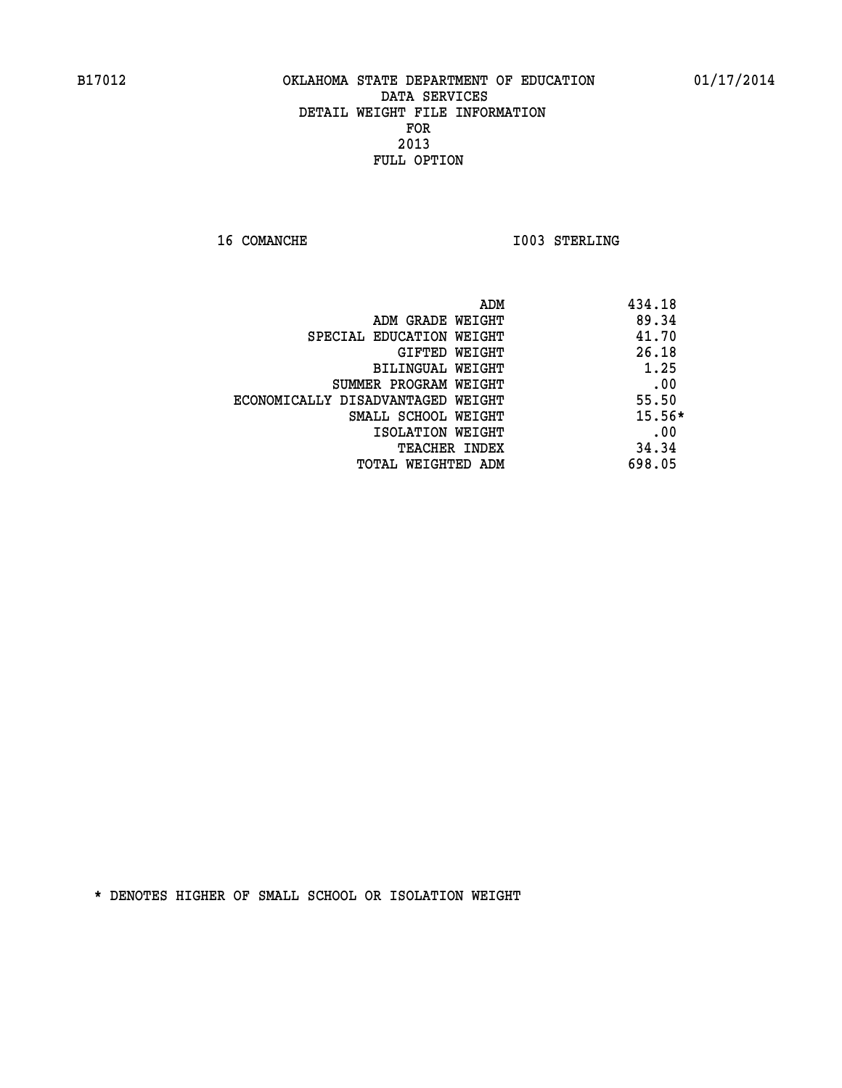**16 COMANCHE 1003 STERLING** 

| ADM                               | 434.18   |
|-----------------------------------|----------|
| ADM GRADE WEIGHT                  | 89.34    |
| SPECIAL EDUCATION WEIGHT          | 41.70    |
| GIFTED WEIGHT                     | 26.18    |
| BILINGUAL WEIGHT                  | 1.25     |
| SUMMER PROGRAM WEIGHT             | .00      |
| ECONOMICALLY DISADVANTAGED WEIGHT | 55.50    |
| SMALL SCHOOL WEIGHT               | $15.56*$ |
| ISOLATION WEIGHT                  | .00      |
| <b>TEACHER INDEX</b>              | 34.34    |
| TOTAL WEIGHTED ADM                | 698.05   |
|                                   |          |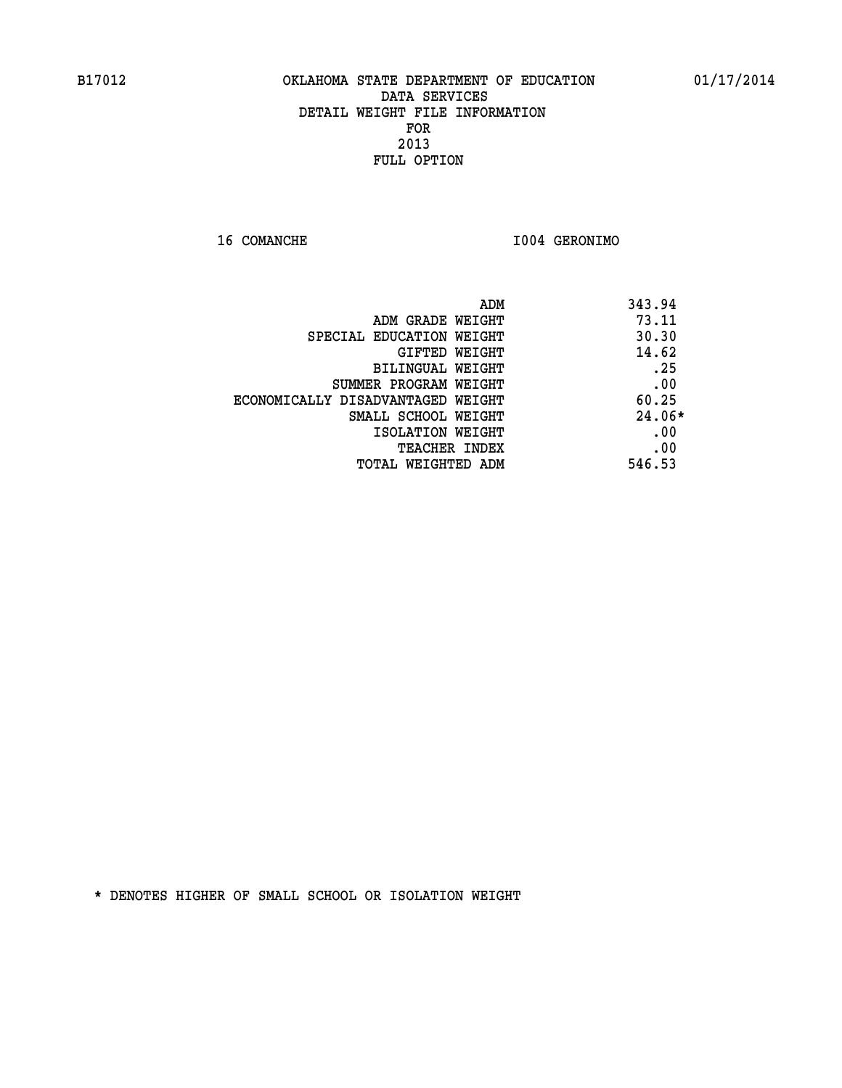**16 COMANCHE I004 GERONIMO** 

| ADM<br>343.94                              |  |
|--------------------------------------------|--|
| 73.11<br>ADM GRADE WEIGHT                  |  |
| 30.30<br>SPECIAL EDUCATION WEIGHT          |  |
| 14.62<br><b>GIFTED WEIGHT</b>              |  |
| .25<br><b>BILINGUAL WEIGHT</b>             |  |
| .00<br>SUMMER PROGRAM WEIGHT               |  |
| 60.25<br>ECONOMICALLY DISADVANTAGED WEIGHT |  |
| $24.06*$<br>SMALL SCHOOL WEIGHT            |  |
| .00<br>ISOLATION WEIGHT                    |  |
| .00<br><b>TEACHER INDEX</b>                |  |
| 546.53<br>TOTAL WEIGHTED ADM               |  |
|                                            |  |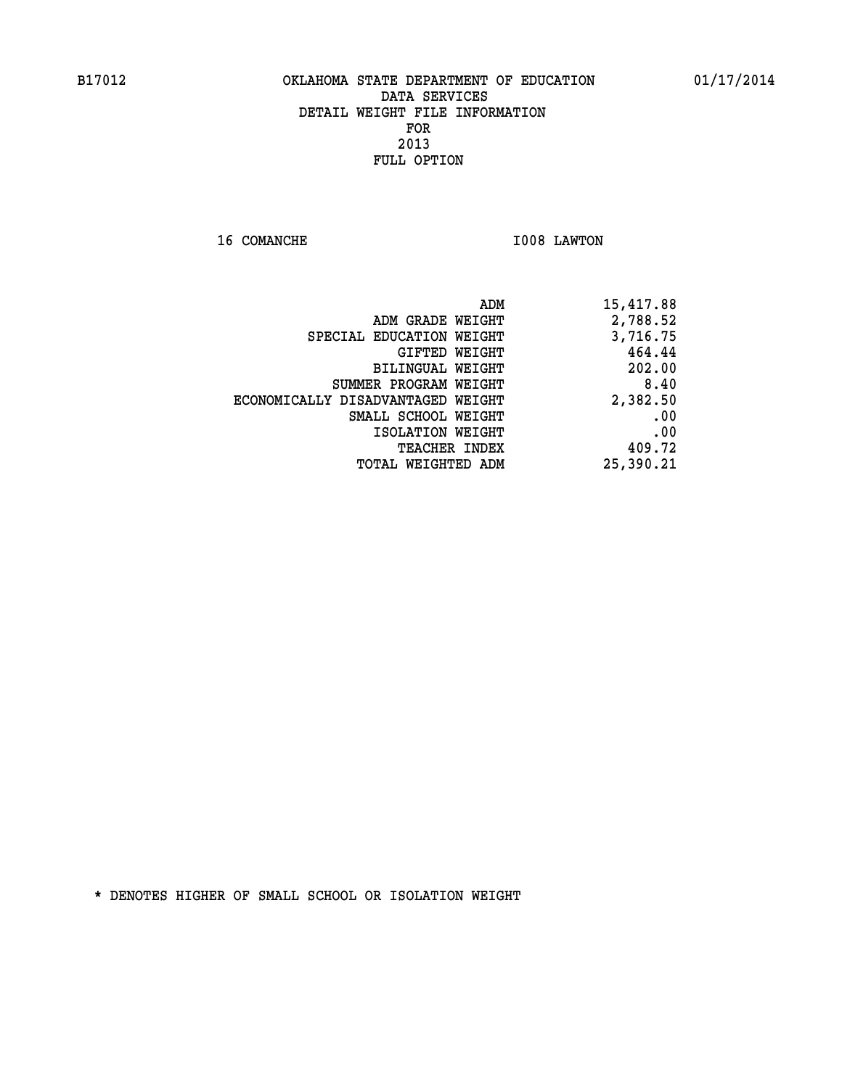**16 COMANCHE 1008 LAWTON** 

|                                   | 15,417.88<br>ADM |
|-----------------------------------|------------------|
| ADM GRADE WEIGHT                  | 2,788.52         |
| SPECIAL EDUCATION WEIGHT          | 3,716.75         |
| <b>GIFTED WEIGHT</b>              | 464.44           |
| BILINGUAL WEIGHT                  | 202.00           |
| SUMMER PROGRAM WEIGHT             | 8.40             |
| ECONOMICALLY DISADVANTAGED WEIGHT | 2,382.50         |
| SMALL SCHOOL WEIGHT               | .00              |
| ISOLATION WEIGHT                  | .00              |
| <b>TEACHER INDEX</b>              | 409.72           |
| TOTAL WEIGHTED ADM                | 25,390.21        |
|                                   |                  |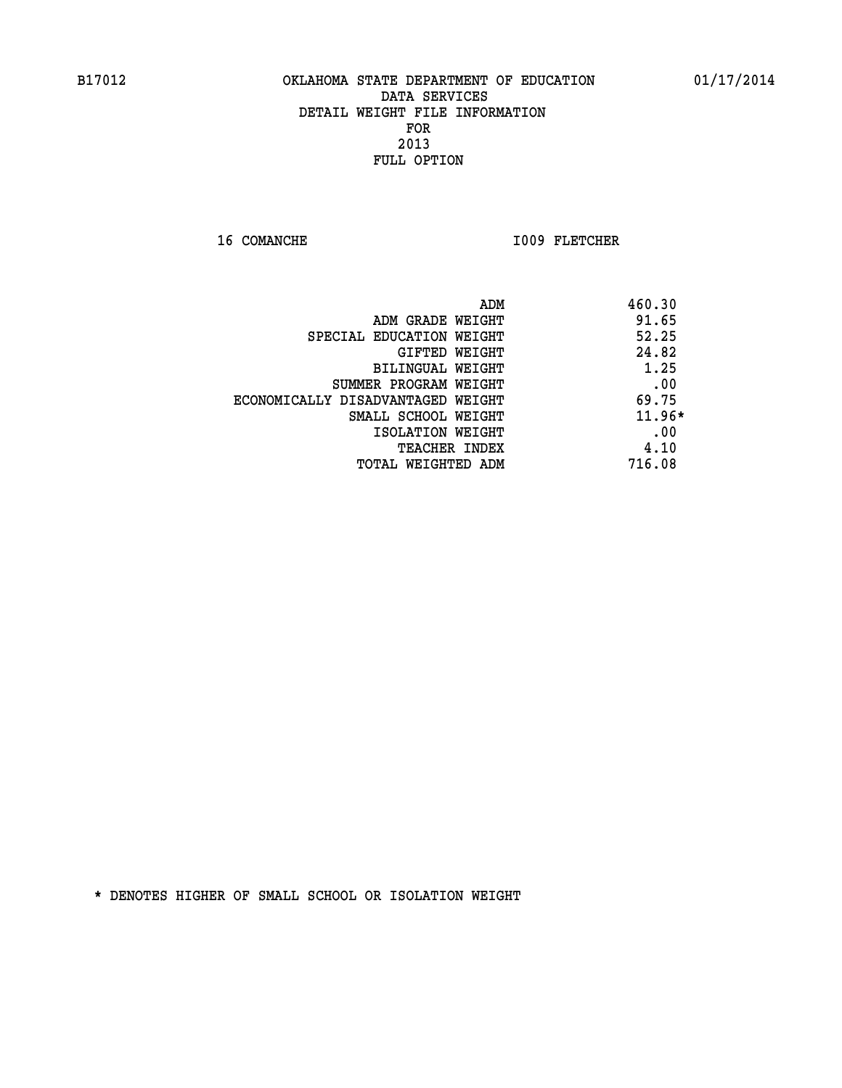16 COMANCHE 1009 FLETCHER

|                                   | 460.30<br>ADM |
|-----------------------------------|---------------|
| ADM GRADE WEIGHT                  | 91.65         |
| SPECIAL EDUCATION WEIGHT          | 52.25         |
| GIFTED WEIGHT                     | 24.82         |
| BILINGUAL WEIGHT                  | 1.25          |
| SUMMER PROGRAM WEIGHT             | .00           |
| ECONOMICALLY DISADVANTAGED WEIGHT | 69.75         |
| SMALL SCHOOL WEIGHT               | $11.96*$      |
| ISOLATION WEIGHT                  | .00           |
| <b>TEACHER INDEX</b>              | 4.10          |
| TOTAL WEIGHTED ADM                | 716.08        |
|                                   |               |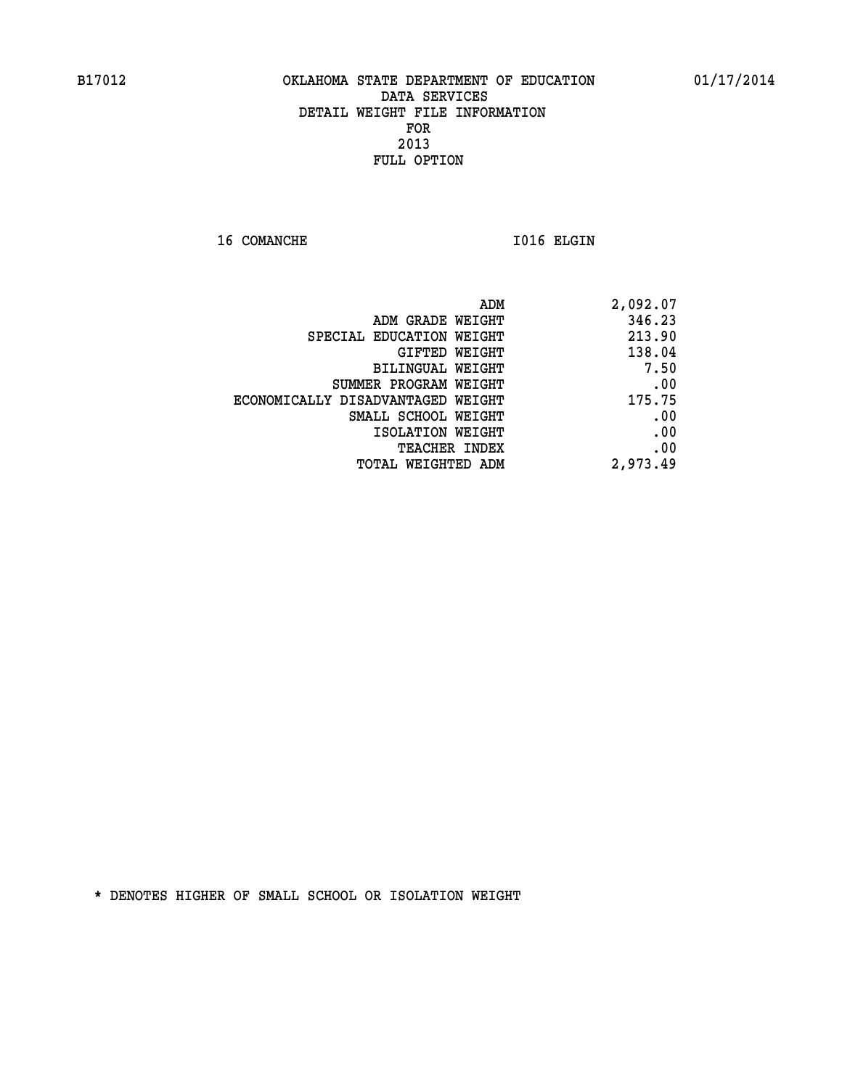16 COMANCHE 1016 ELGIN

| ADM                               | 2,092.07 |
|-----------------------------------|----------|
| ADM GRADE WEIGHT                  | 346.23   |
| SPECIAL EDUCATION WEIGHT          | 213.90   |
| GIFTED WEIGHT                     | 138.04   |
| BILINGUAL WEIGHT                  | 7.50     |
| SUMMER PROGRAM WEIGHT             | .00      |
| ECONOMICALLY DISADVANTAGED WEIGHT | 175.75   |
| SMALL SCHOOL WEIGHT               | .00      |
| ISOLATION WEIGHT                  | .00      |
| <b>TEACHER INDEX</b>              | .00      |
| <b>TOTAL WEIGHTED ADM</b>         | 2,973.49 |
|                                   |          |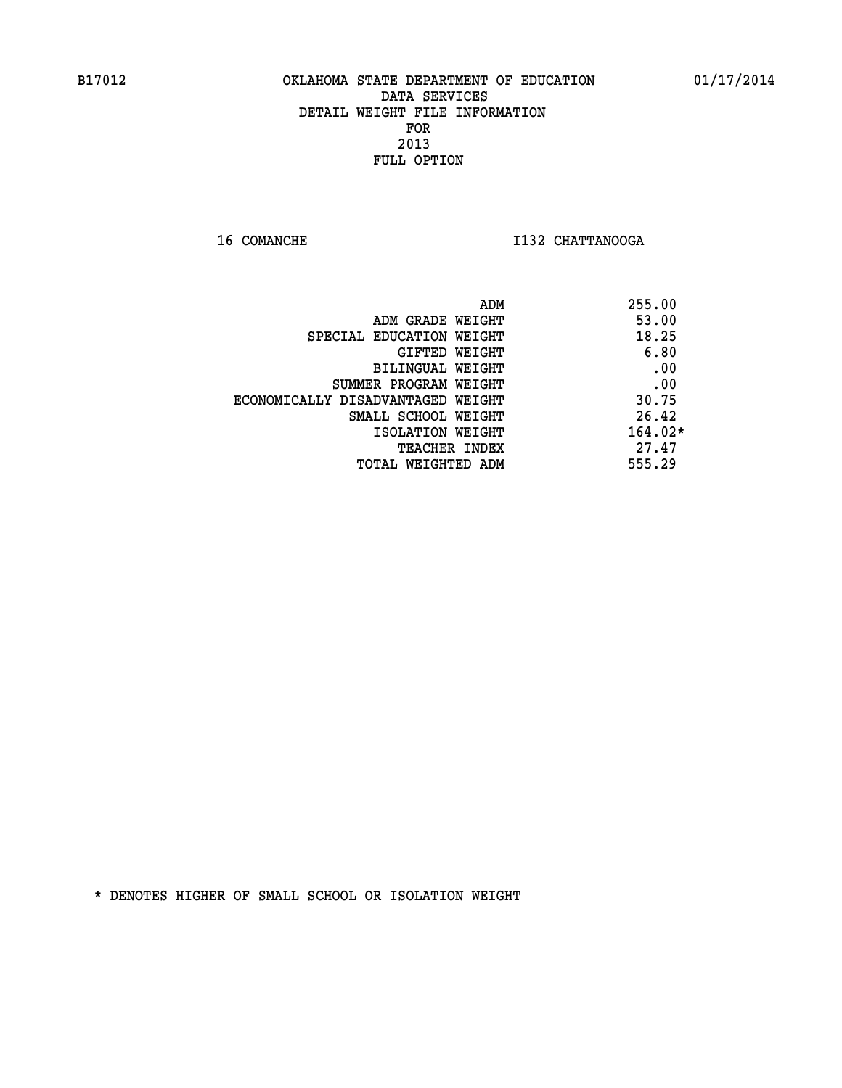**16 COMANCHE I132 CHATTANOOGA** 

| 53.00     |
|-----------|
|           |
| 18.25     |
| 6.80      |
| .00       |
| .00       |
| 30.75     |
| 26.42     |
| $164.02*$ |
| 27.47     |
| 555.29    |
|           |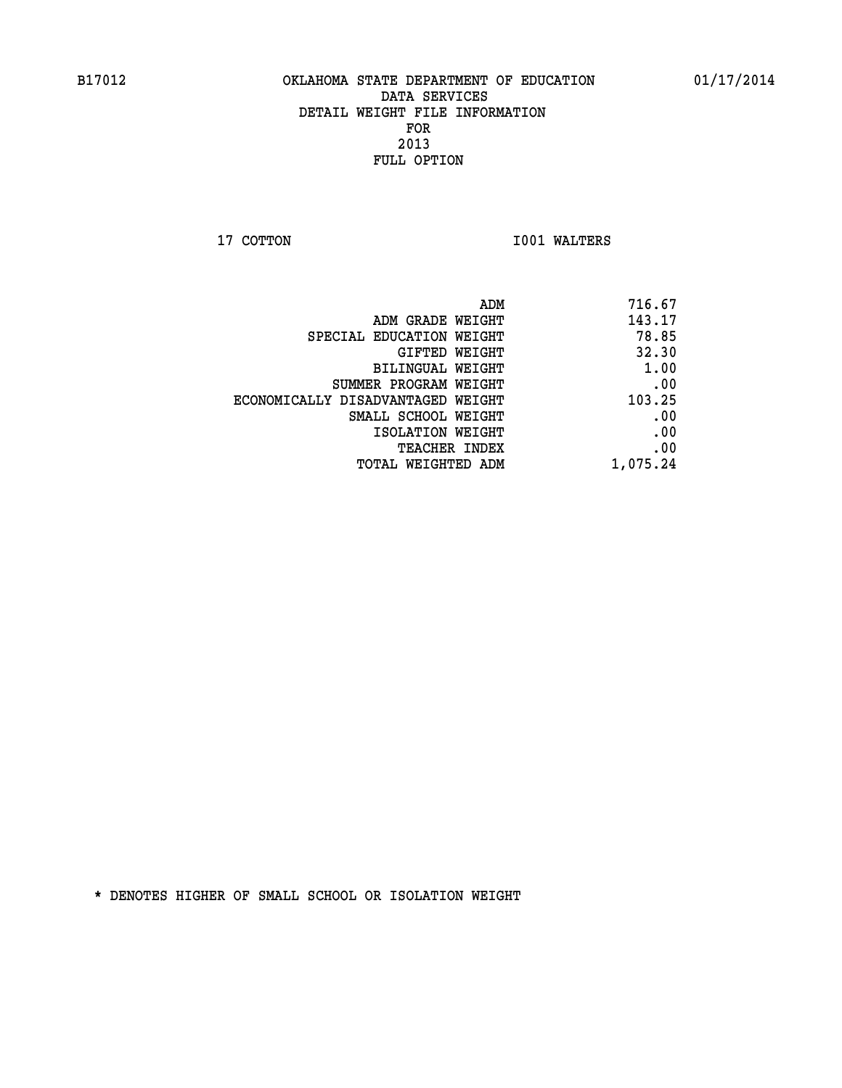**17 COTTON 1001 WALTERS** 

| 716.67   |
|----------|
| 143.17   |
| 78.85    |
| 32.30    |
| 1.00     |
| .00      |
| 103.25   |
| .00      |
| .00      |
| .00      |
| 1,075.24 |
|          |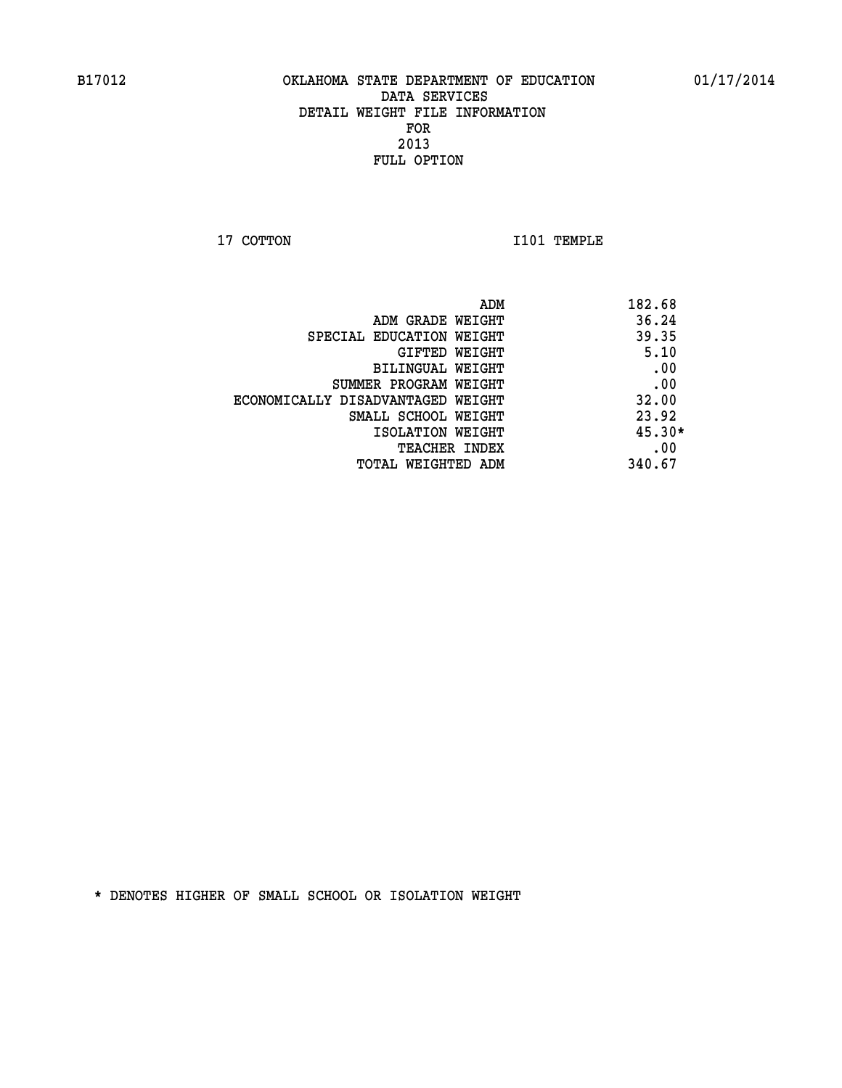**17 COTTON 1101 TEMPLE** 

| ADM                               | 182.68   |
|-----------------------------------|----------|
| ADM GRADE WEIGHT                  | 36.24    |
| SPECIAL EDUCATION WEIGHT          | 39.35    |
| GIFTED WEIGHT                     | 5.10     |
| BILINGUAL WEIGHT                  | .00      |
| SUMMER PROGRAM WEIGHT             | .00      |
| ECONOMICALLY DISADVANTAGED WEIGHT | 32.00    |
| SMALL SCHOOL WEIGHT               | 23.92    |
| ISOLATION WEIGHT                  | $45.30*$ |
| <b>TEACHER INDEX</b>              | .00      |
| TOTAL WEIGHTED ADM                | 340.67   |
|                                   |          |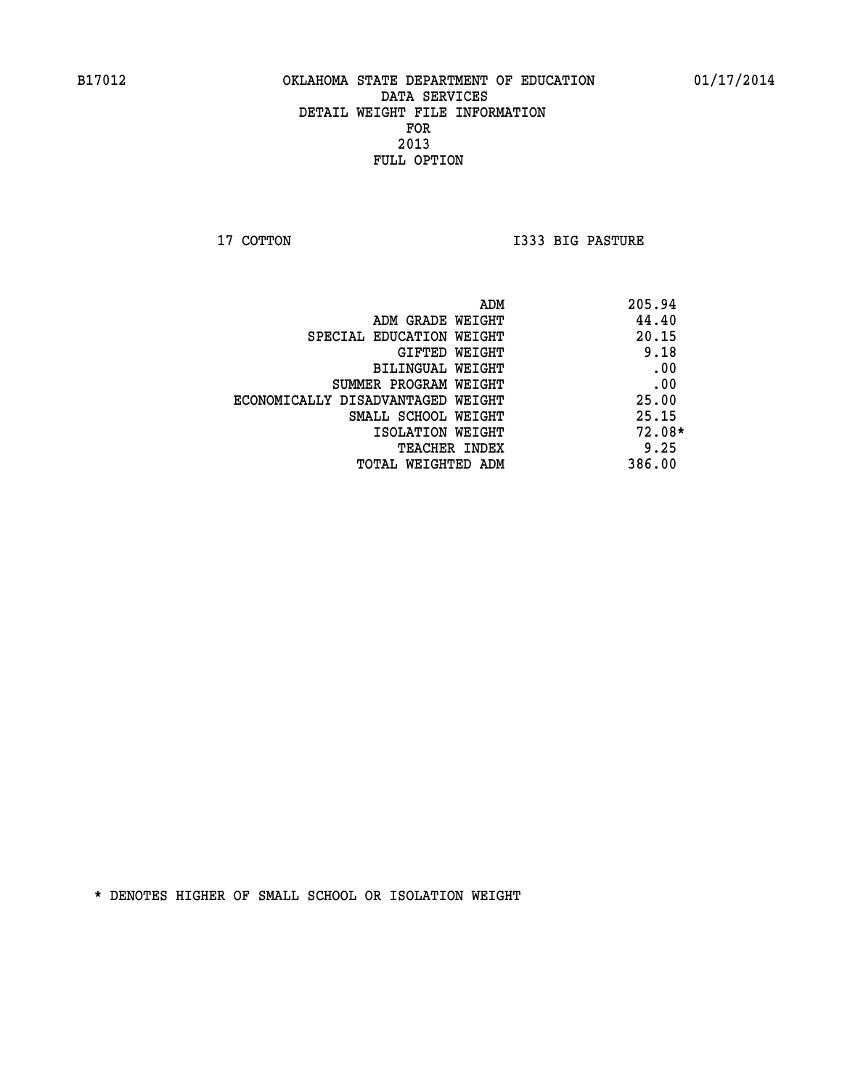**17 COTTON I333 BIG PASTURE** 

| ADM                               | 205.94   |
|-----------------------------------|----------|
| ADM GRADE WEIGHT                  | 44.40    |
| SPECIAL EDUCATION WEIGHT          | 20.15    |
| GIFTED WEIGHT                     | 9.18     |
| BILINGUAL WEIGHT                  | .00      |
| SUMMER PROGRAM WEIGHT             | .00      |
| ECONOMICALLY DISADVANTAGED WEIGHT | 25.00    |
| SMALL SCHOOL WEIGHT               | 25.15    |
| ISOLATION WEIGHT                  | $72.08*$ |
| TEACHER INDEX                     | 9.25     |
| TOTAL WEIGHTED ADM                | 386.00   |
|                                   |          |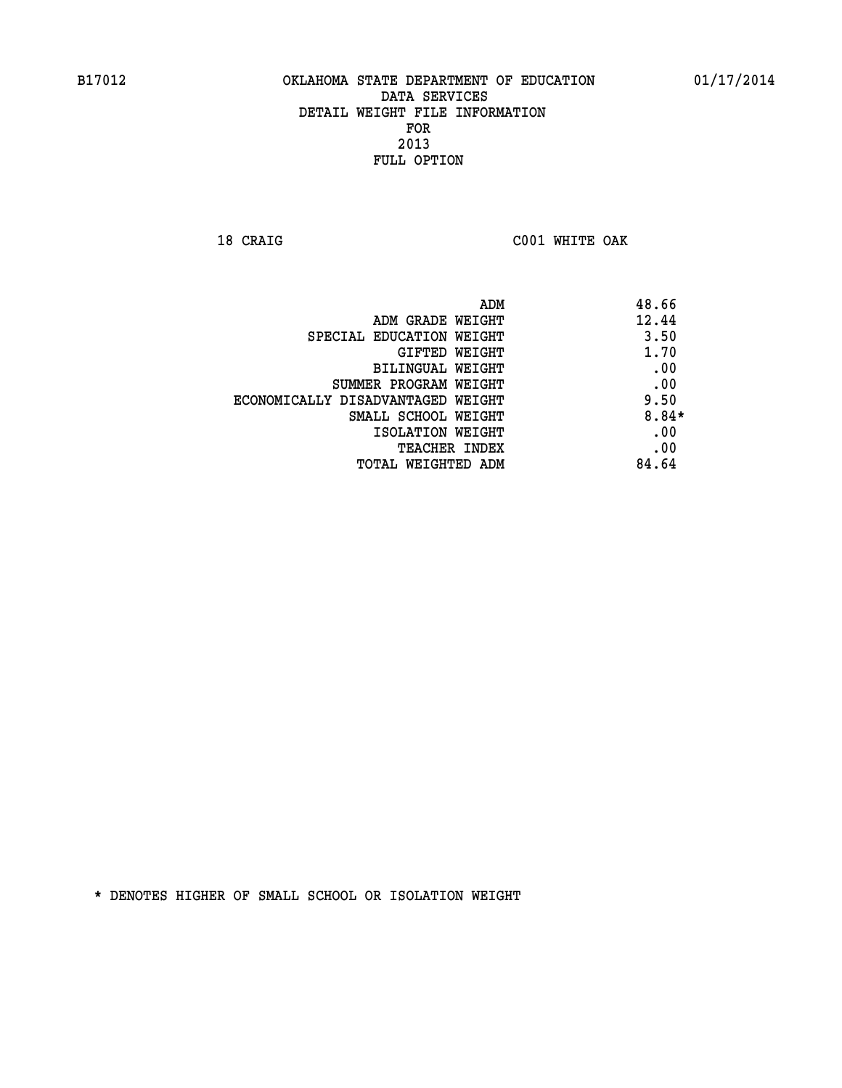**18 CRAIG C001 WHITE OAK** 

| ADM                               | 48.66   |
|-----------------------------------|---------|
| ADM GRADE WEIGHT                  | 12.44   |
| SPECIAL EDUCATION WEIGHT          | 3.50    |
| GIFTED WEIGHT                     | 1.70    |
| BILINGUAL WEIGHT                  | .00     |
| SUMMER PROGRAM WEIGHT             | .00     |
| ECONOMICALLY DISADVANTAGED WEIGHT | 9.50    |
| SMALL SCHOOL WEIGHT               | $8.84*$ |
| ISOLATION WEIGHT                  | .00     |
| <b>TEACHER INDEX</b>              | .00     |
| TOTAL WEIGHTED ADM                | 84.64   |
|                                   |         |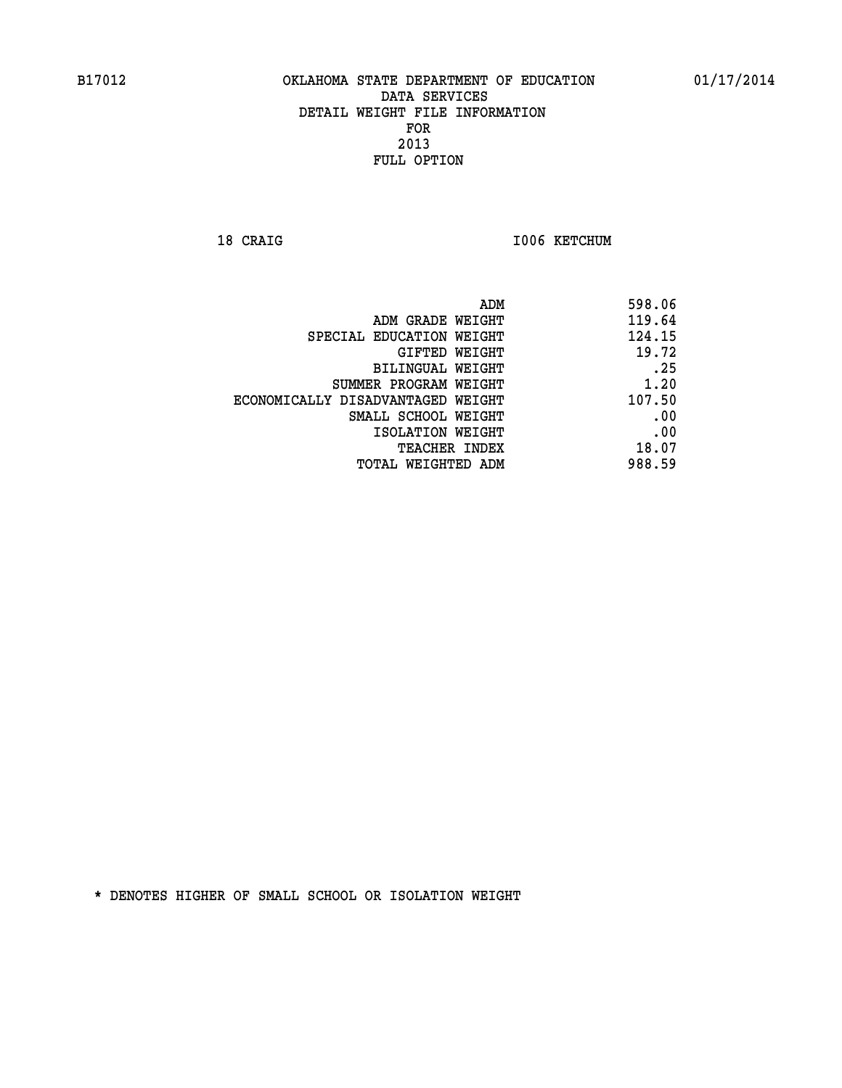18 CRAIG **I006 KETCHUM**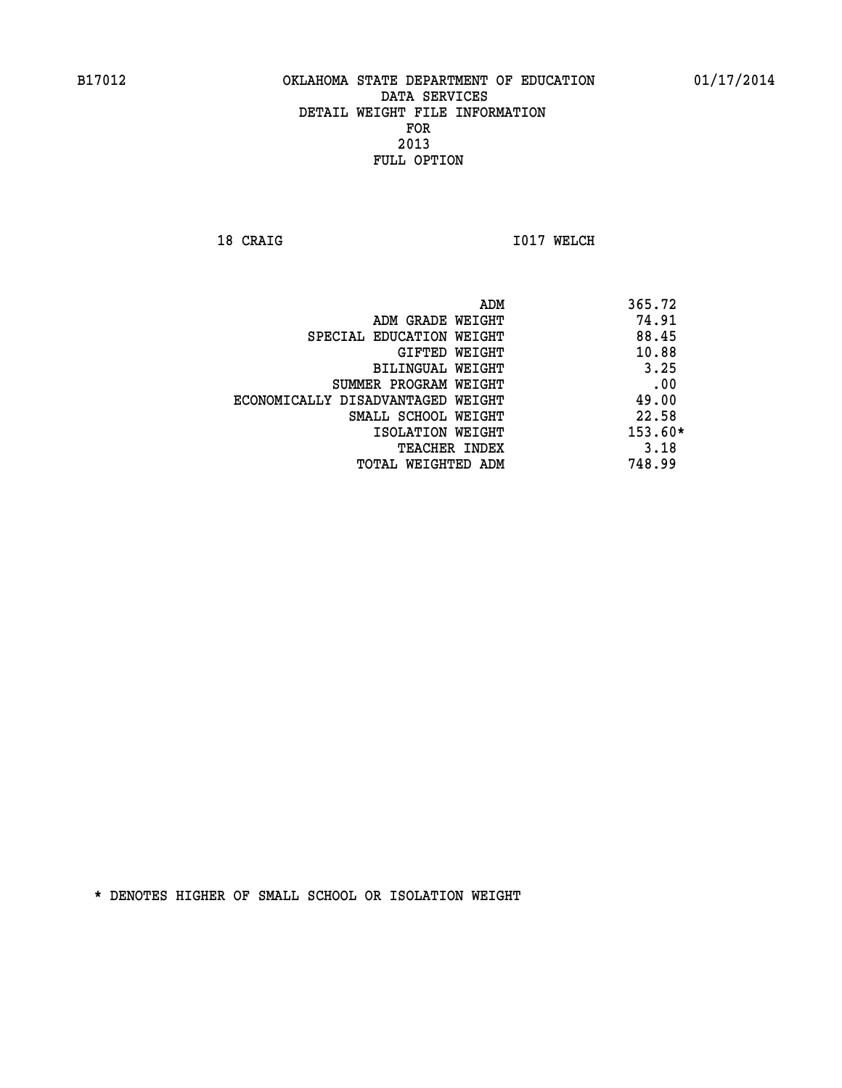**18 CRAIG 1017 WELCH** 

|                                   | ADM | 365.72    |
|-----------------------------------|-----|-----------|
| ADM GRADE WEIGHT                  |     | 74.91     |
| SPECIAL EDUCATION WEIGHT          |     | 88.45     |
| GIFTED WEIGHT                     |     | 10.88     |
| BILINGUAL WEIGHT                  |     | 3.25      |
| SUMMER PROGRAM WEIGHT             |     | .00       |
| ECONOMICALLY DISADVANTAGED WEIGHT |     | 49.00     |
| SMALL SCHOOL WEIGHT               |     | 22.58     |
| ISOLATION WEIGHT                  |     | $153.60*$ |
| TEACHER INDEX                     |     | 3.18      |
| TOTAL WEIGHTED ADM                |     | 748.99    |
|                                   |     |           |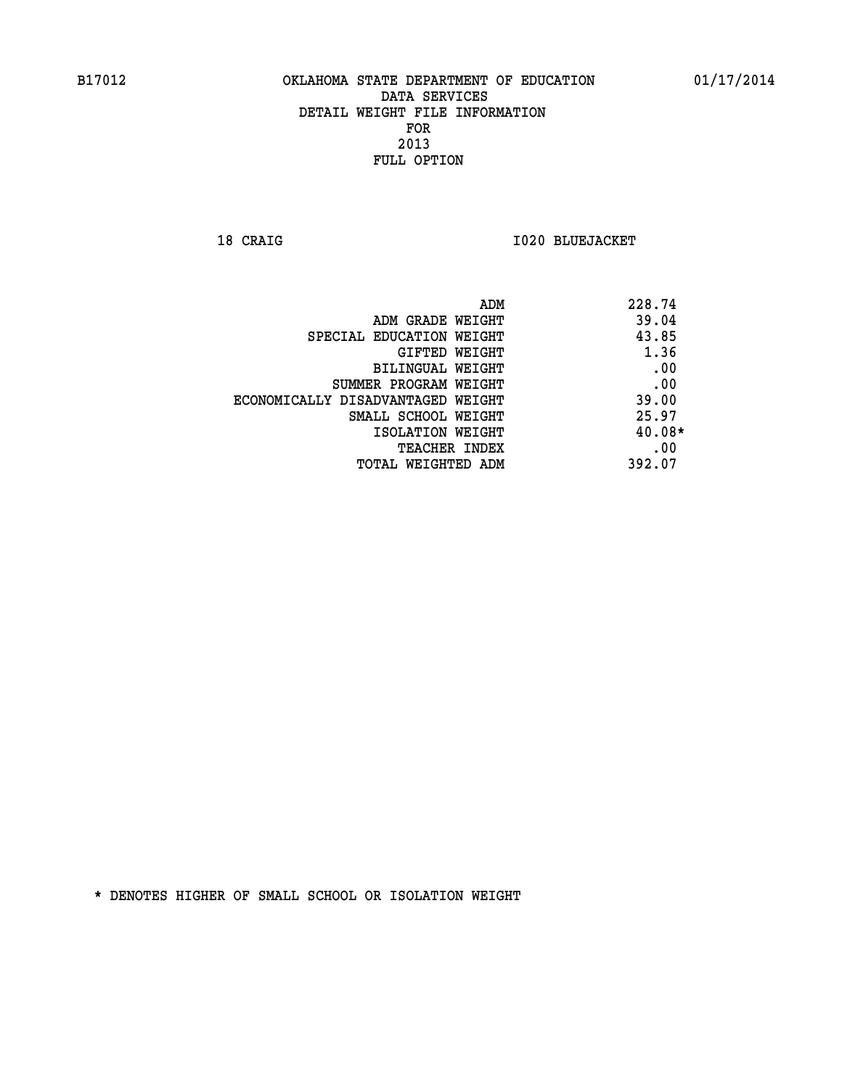**18 CRAIG I020 BLUEJACKET** 

| ADM                               | 228.74   |
|-----------------------------------|----------|
| ADM GRADE WEIGHT                  | 39.04    |
| SPECIAL EDUCATION WEIGHT          | 43.85    |
| GIFTED WEIGHT                     | 1.36     |
| BILINGUAL WEIGHT                  | .00      |
| SUMMER PROGRAM WEIGHT             | .00      |
| ECONOMICALLY DISADVANTAGED WEIGHT | 39.00    |
| SMALL SCHOOL WEIGHT               | 25.97    |
| ISOLATION WEIGHT                  | $40.08*$ |
| <b>TEACHER INDEX</b>              | .00      |
| TOTAL WEIGHTED ADM                | 392.07   |
|                                   |          |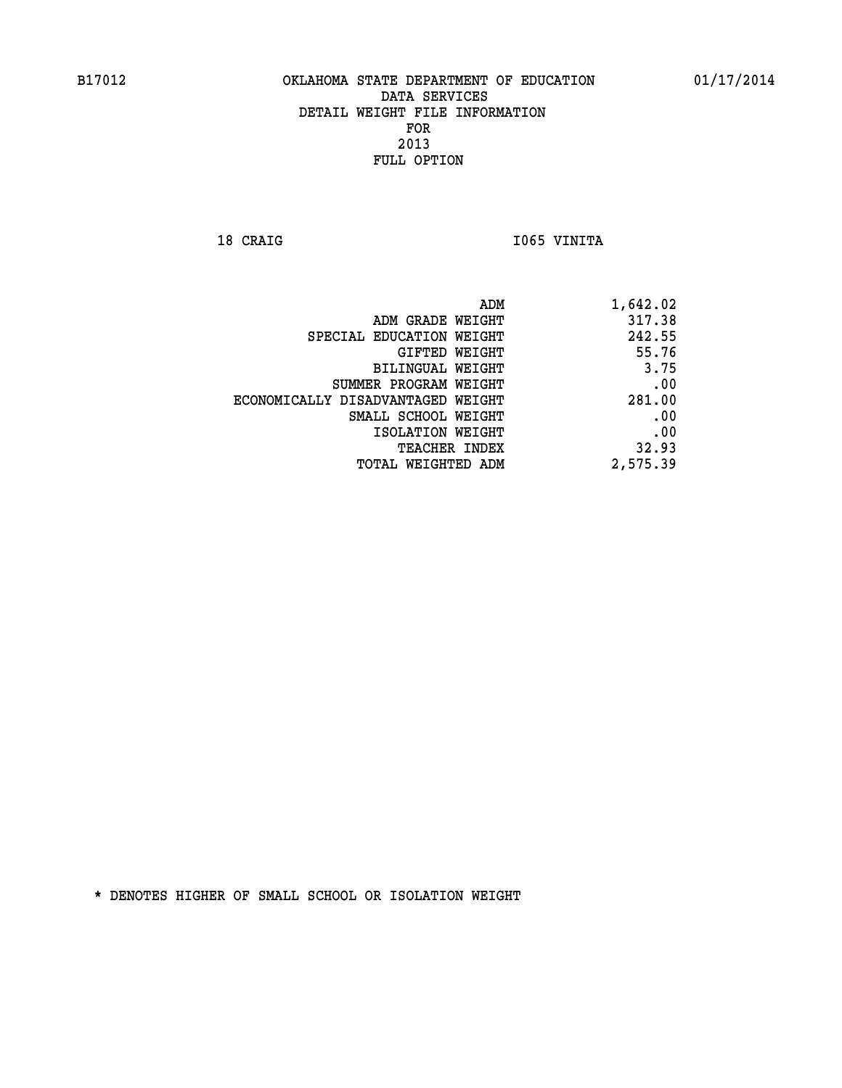18 CRAIG **I**065 VINITA

| 1,642.02 |
|----------|
| 317.38   |
| 242.55   |
| 55.76    |
| 3.75     |
| .00      |
| 281.00   |
| .00      |
| .00      |
| 32.93    |
| 2,575.39 |
|          |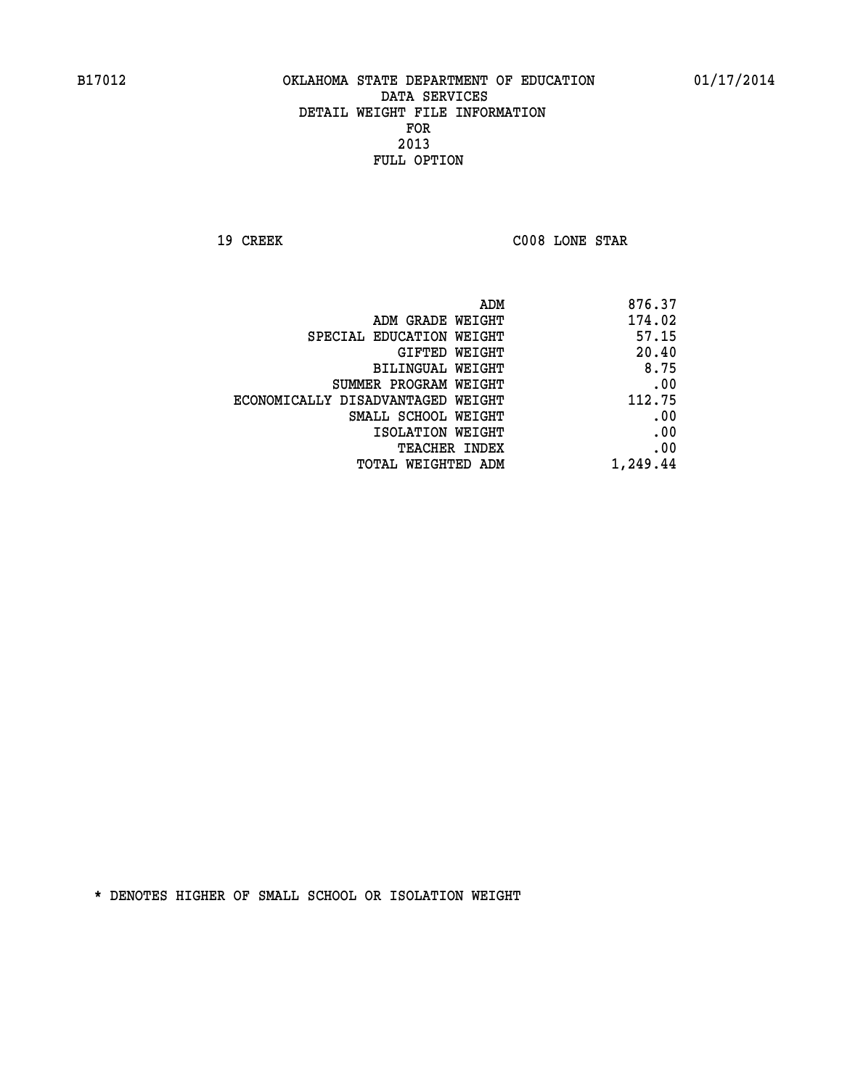**19 CREEK C008 LONE STAR** 

| ADM                               | 876.37   |
|-----------------------------------|----------|
| ADM GRADE WEIGHT                  | 174.02   |
| SPECIAL EDUCATION WEIGHT          | 57.15    |
| GIFTED WEIGHT                     | 20.40    |
| BILINGUAL WEIGHT                  | 8.75     |
| SUMMER PROGRAM WEIGHT             | .00      |
| ECONOMICALLY DISADVANTAGED WEIGHT | 112.75   |
| SMALL SCHOOL WEIGHT               | .00      |
| ISOLATION WEIGHT                  | .00      |
| TEACHER INDEX                     | .00      |
| TOTAL WEIGHTED ADM                | 1,249.44 |
|                                   |          |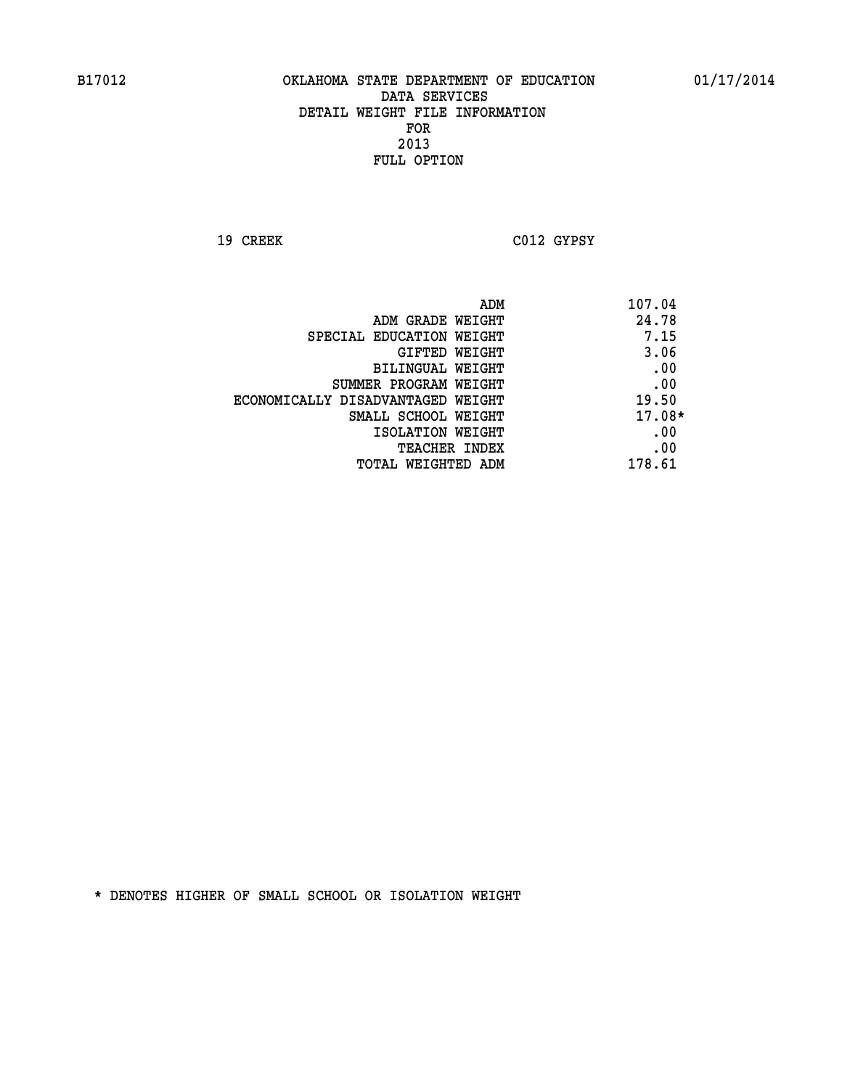**19 CREEK C012 GYPSY** 

|                                   | ADM | 107.04   |
|-----------------------------------|-----|----------|
| ADM GRADE WEIGHT                  |     | 24.78    |
| SPECIAL EDUCATION WEIGHT          |     | 7.15     |
| GIFTED WEIGHT                     |     | 3.06     |
| BILINGUAL WEIGHT                  |     | .00      |
| SUMMER PROGRAM WEIGHT             |     | .00      |
| ECONOMICALLY DISADVANTAGED WEIGHT |     | 19.50    |
| SMALL SCHOOL WEIGHT               |     | $17.08*$ |
| ISOLATION WEIGHT                  |     | .00      |
| TEACHER INDEX                     |     | .00      |
| TOTAL WEIGHTED ADM                |     | 178.61   |
|                                   |     |          |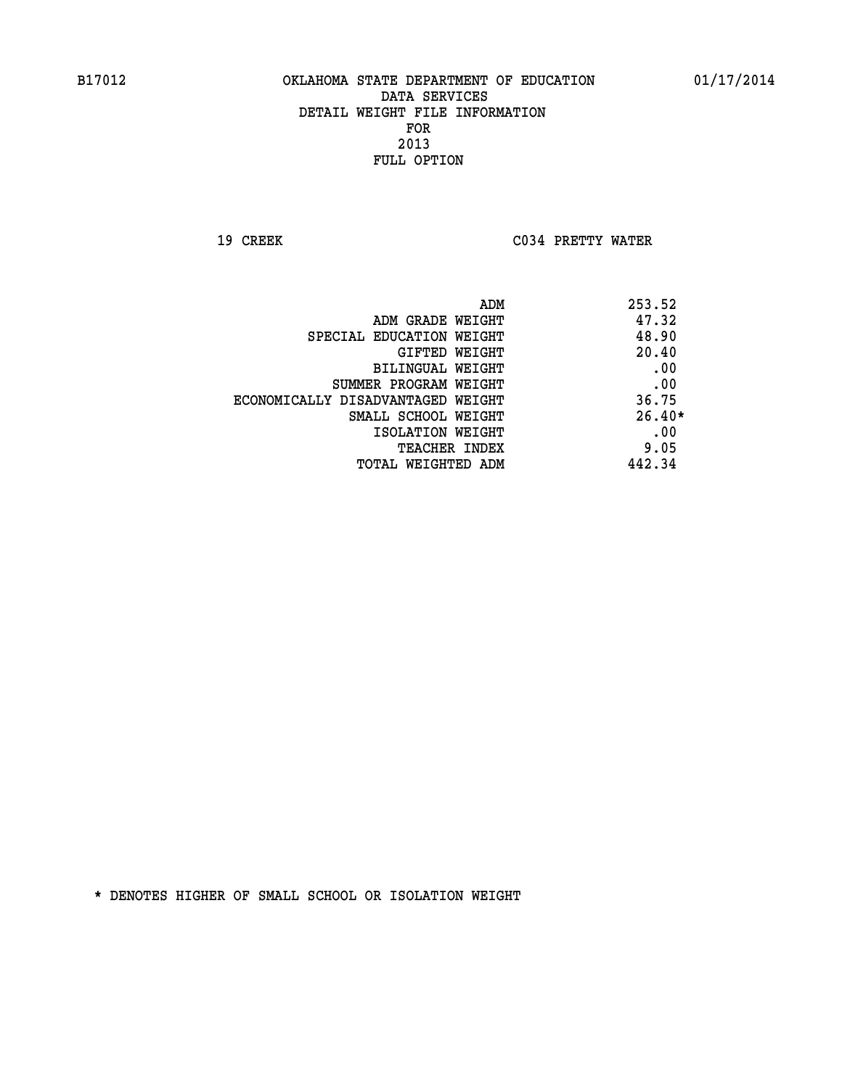**19 CREEK C034 PRETTY WATER** 

| ADM                               | 253.52   |
|-----------------------------------|----------|
| ADM GRADE WEIGHT                  | 47.32    |
| SPECIAL EDUCATION WEIGHT          | 48.90    |
| GIFTED WEIGHT                     | 20.40    |
| <b>BILINGUAL WEIGHT</b>           | .00      |
| SUMMER PROGRAM WEIGHT             | .00      |
| ECONOMICALLY DISADVANTAGED WEIGHT | 36.75    |
| SMALL SCHOOL WEIGHT               | $26.40*$ |
| ISOLATION WEIGHT                  | .00      |
| <b>TEACHER INDEX</b>              | 9.05     |
| TOTAL WEIGHTED ADM                | 442.34   |
|                                   |          |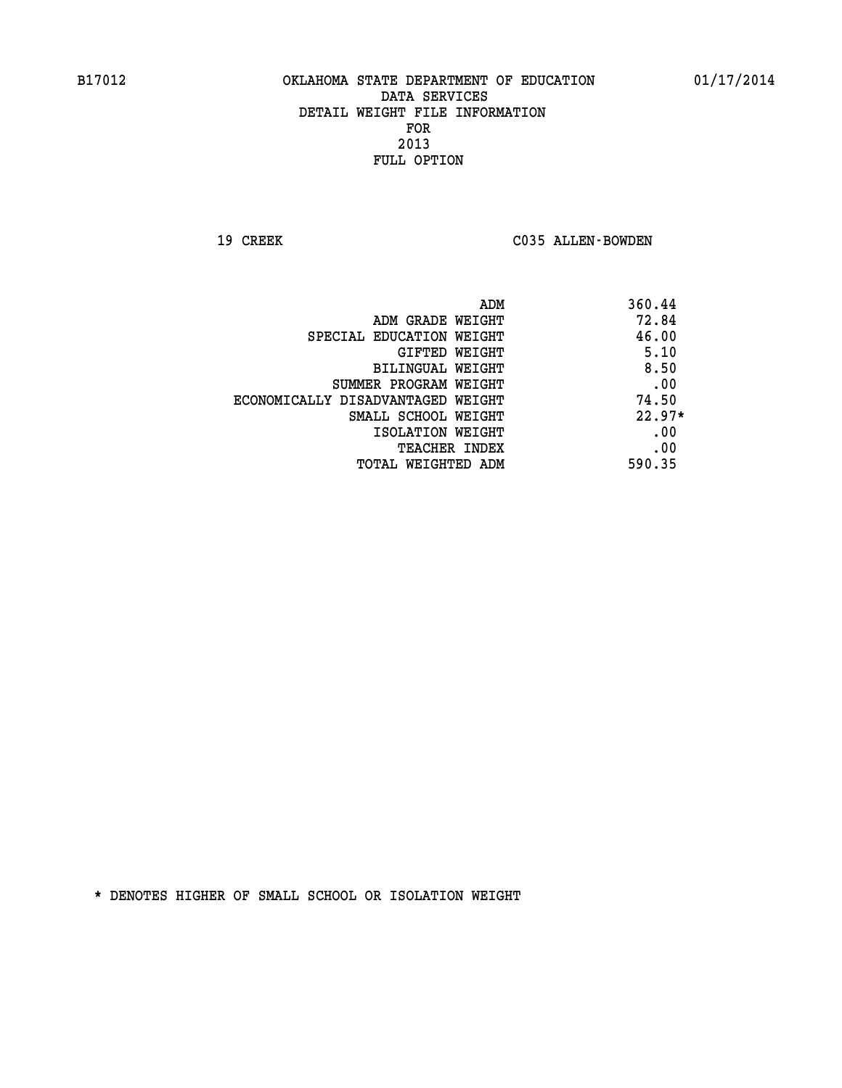19 CREEK C035 ALLEN-BOWDEN

| ADM                               | 360.44   |
|-----------------------------------|----------|
| ADM GRADE WEIGHT                  | 72.84    |
| SPECIAL EDUCATION WEIGHT          | 46.00    |
| GIFTED WEIGHT                     | 5.10     |
| BILINGUAL WEIGHT                  | 8.50     |
| SUMMER PROGRAM WEIGHT             | .00      |
| ECONOMICALLY DISADVANTAGED WEIGHT | 74.50    |
| SMALL SCHOOL WEIGHT               | $22.97*$ |
| ISOLATION WEIGHT                  | .00      |
| <b>TEACHER INDEX</b>              | .00      |
| TOTAL WEIGHTED ADM                | 590.35   |
|                                   |          |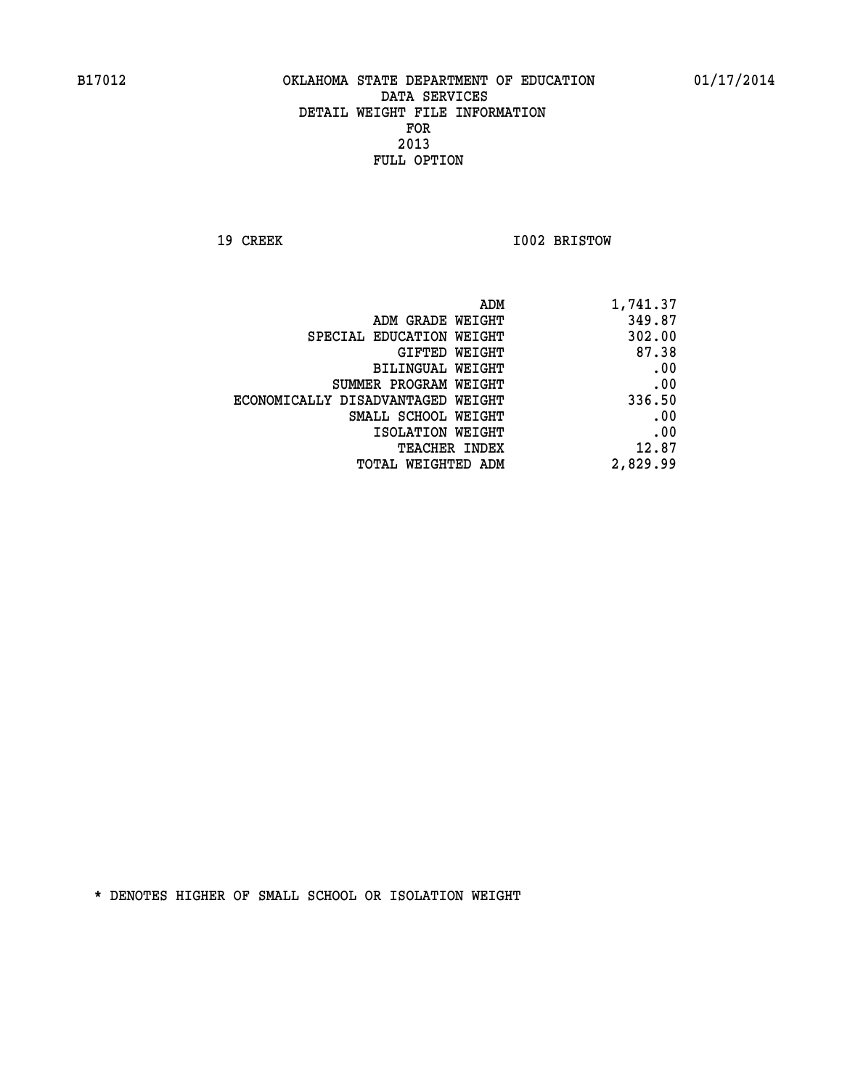**19 CREEK 1002 BRISTOW** 

| 1,741.37 |
|----------|
| 349.87   |
| 302.00   |
| 87.38    |
| .00      |
| .00      |
| 336.50   |
| .00      |
| .00      |
| 12.87    |
| 2,829.99 |
|          |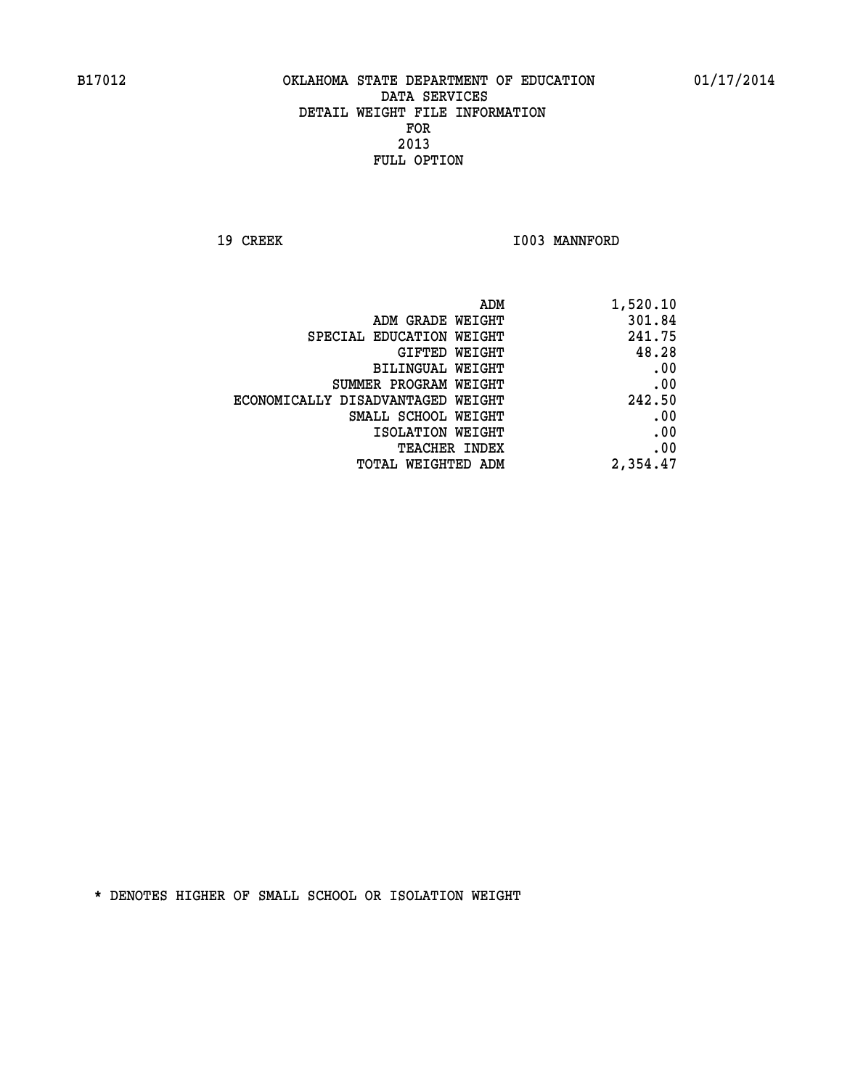19 CREEK 1003 MANNFORD

| 1,520.10 |
|----------|
| 301.84   |
| 241.75   |
| 48.28    |
| .00      |
| .00      |
| 242.50   |
| .00      |
| .00      |
| .00      |
| 2,354.47 |
|          |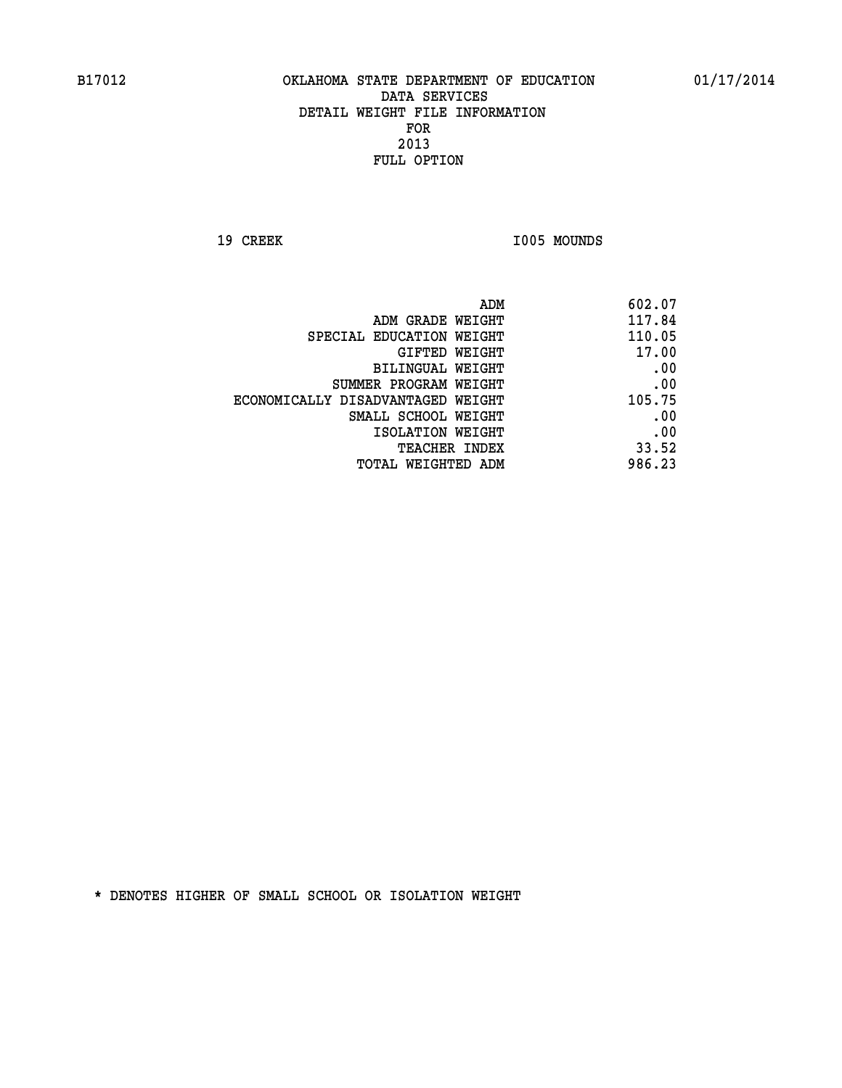19 CREEK 1005 MOUNDS

| ADM                               | 602.07 |
|-----------------------------------|--------|
| ADM GRADE WEIGHT                  | 117.84 |
| SPECIAL EDUCATION WEIGHT          | 110.05 |
| GIFTED WEIGHT                     | 17.00  |
| BILINGUAL WEIGHT                  | .00    |
| SUMMER PROGRAM WEIGHT             | .00    |
| ECONOMICALLY DISADVANTAGED WEIGHT | 105.75 |
| SMALL SCHOOL WEIGHT               | .00    |
| ISOLATION WEIGHT                  | .00    |
| <b>TEACHER INDEX</b>              | 33.52  |
| TOTAL WEIGHTED ADM                | 986.23 |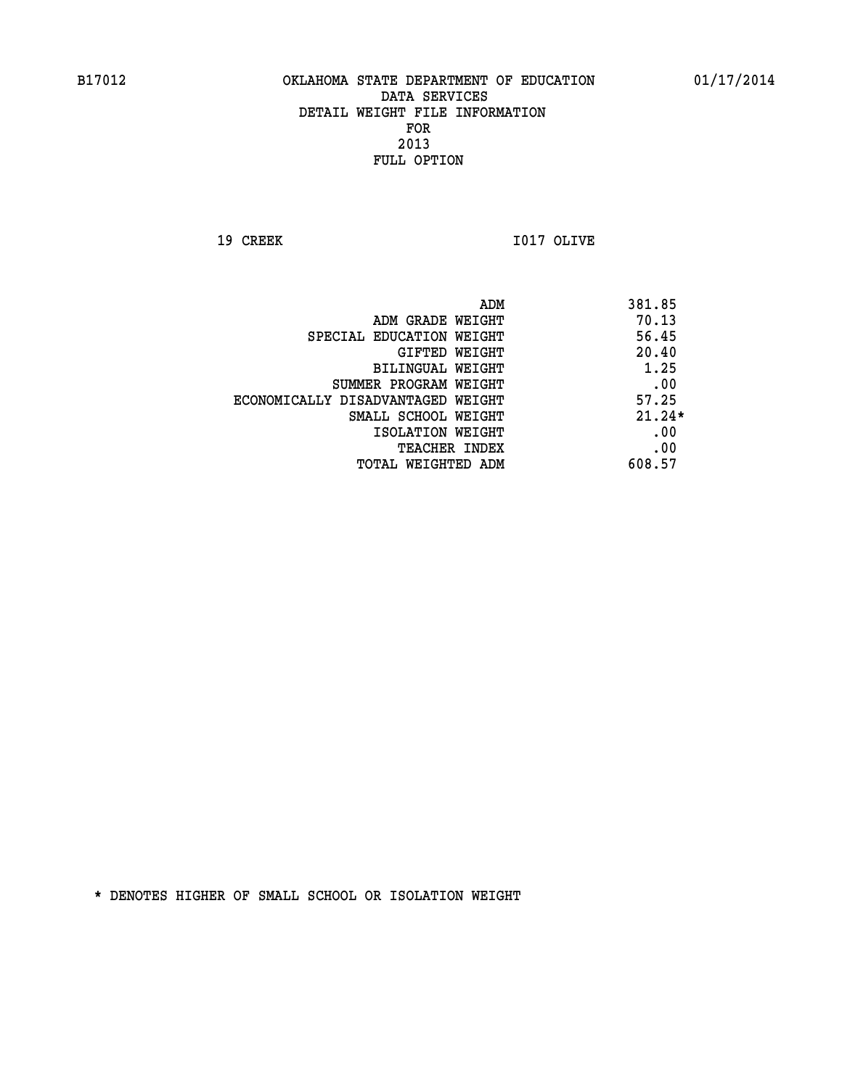**19 CREEK I017 OLIVE** 

|                                   | ADM | 381.85   |
|-----------------------------------|-----|----------|
| ADM GRADE WEIGHT                  |     | 70.13    |
| SPECIAL EDUCATION WEIGHT          |     | 56.45    |
| GIFTED WEIGHT                     |     | 20.40    |
| BILINGUAL WEIGHT                  |     | 1.25     |
| SUMMER PROGRAM WEIGHT             |     | .00      |
| ECONOMICALLY DISADVANTAGED WEIGHT |     | 57.25    |
| SMALL SCHOOL WEIGHT               |     | $21.24*$ |
| ISOLATION WEIGHT                  |     | .00      |
| TEACHER INDEX                     |     | .00      |
| TOTAL WEIGHTED ADM                |     | 608.57   |
|                                   |     |          |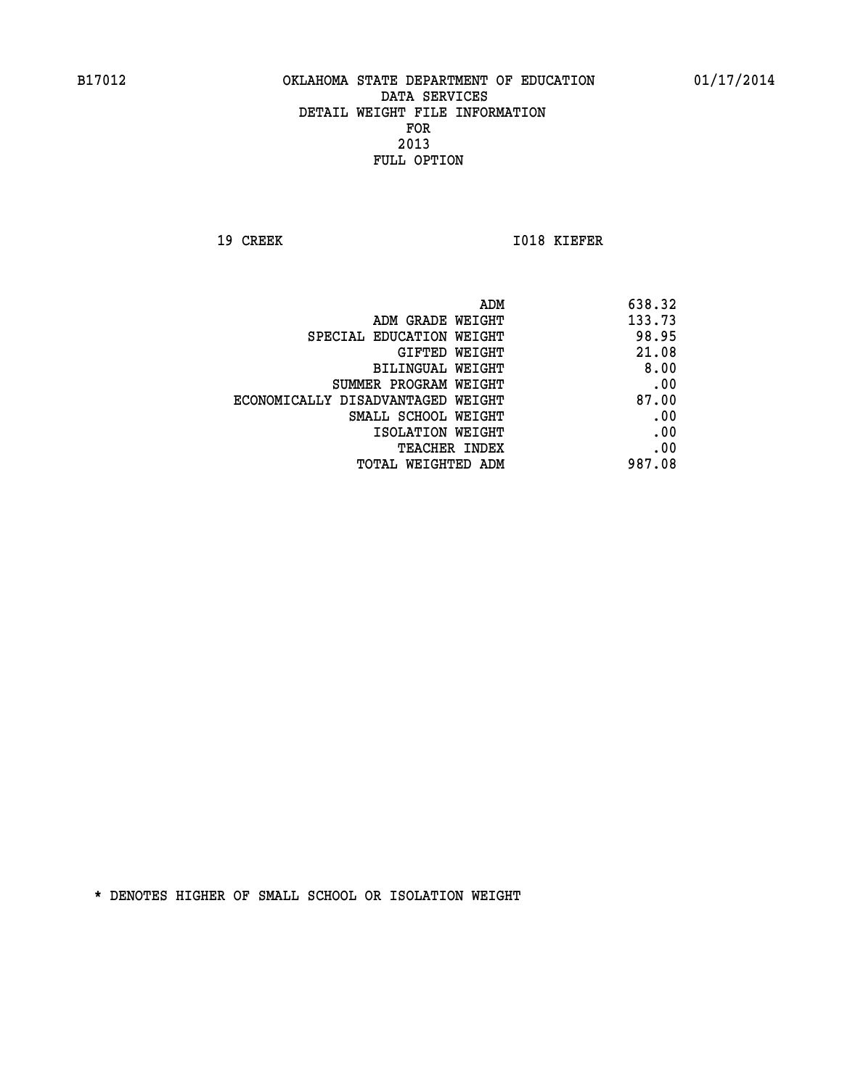**19 CREEK 1018 KIEFER** 

|                                   | 638.32<br>ADM |
|-----------------------------------|---------------|
| ADM GRADE WEIGHT                  | 133.73        |
| SPECIAL EDUCATION WEIGHT          | 98.95         |
| GIFTED WEIGHT                     | 21.08         |
| BILINGUAL WEIGHT                  | 8.00          |
| SUMMER PROGRAM WEIGHT             | .00           |
| ECONOMICALLY DISADVANTAGED WEIGHT | 87.00         |
| SMALL SCHOOL WEIGHT               | .00           |
| ISOLATION WEIGHT                  | .00           |
| TEACHER INDEX                     | .00           |
| TOTAL WEIGHTED ADM                | 987.08        |
|                                   |               |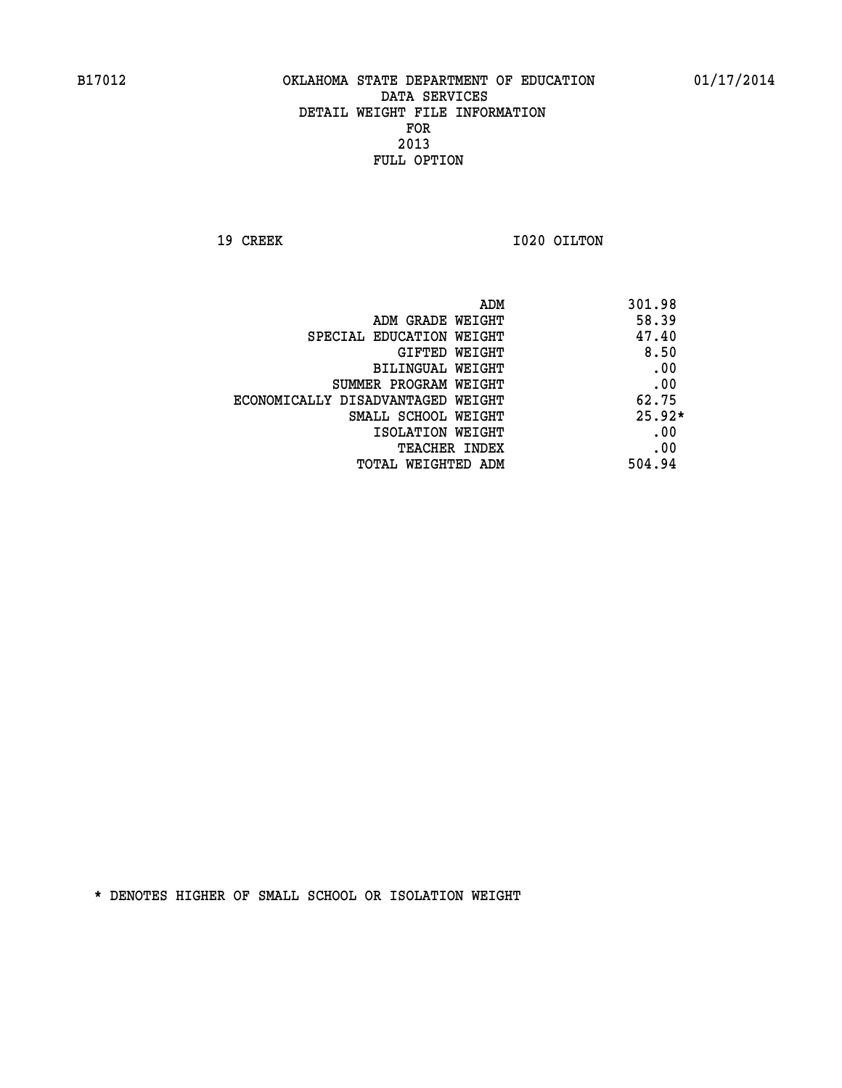**19 CREEK 1020 OILTON** 

|                                   | ADM | 301.98   |
|-----------------------------------|-----|----------|
| ADM GRADE WEIGHT                  |     | 58.39    |
| SPECIAL EDUCATION WEIGHT          |     | 47.40    |
| GIFTED WEIGHT                     |     | 8.50     |
| BILINGUAL WEIGHT                  |     | .00      |
| SUMMER PROGRAM WEIGHT             |     | .00      |
| ECONOMICALLY DISADVANTAGED WEIGHT |     | 62.75    |
| SMALL SCHOOL WEIGHT               |     | $25.92*$ |
| ISOLATION WEIGHT                  |     | .00      |
| TEACHER INDEX                     |     | .00      |
| TOTAL WEIGHTED ADM                |     | 504.94   |
|                                   |     |          |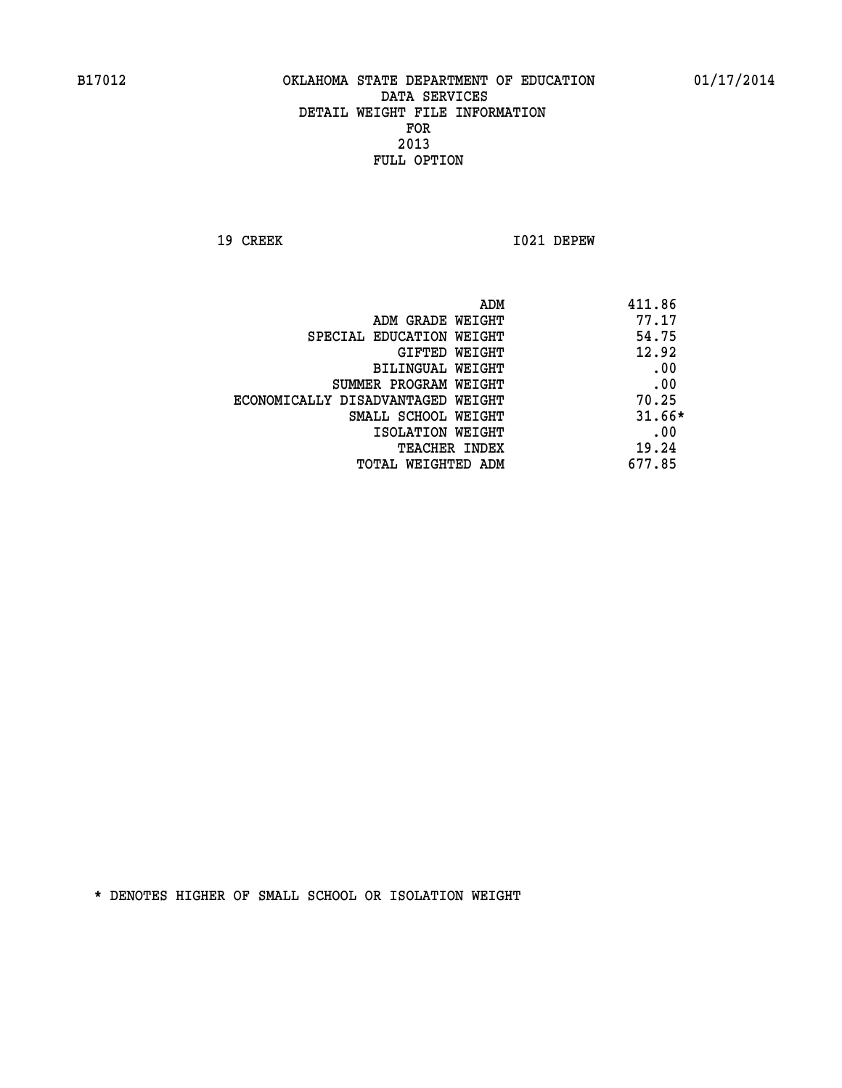**19 CREEK I021 DEPEW** 

| ADM                               | 411.86   |
|-----------------------------------|----------|
| ADM GRADE WEIGHT                  | 77.17    |
| SPECIAL EDUCATION WEIGHT          | 54.75    |
| GIFTED WEIGHT                     | 12.92    |
| BILINGUAL WEIGHT                  | .00      |
| SUMMER PROGRAM WEIGHT             | .00      |
| ECONOMICALLY DISADVANTAGED WEIGHT | 70.25    |
| SMALL SCHOOL WEIGHT               | $31.66*$ |
| ISOLATION WEIGHT                  | .00      |
| <b>TEACHER INDEX</b>              | 19.24    |
| TOTAL WEIGHTED ADM                | 677.85   |
|                                   |          |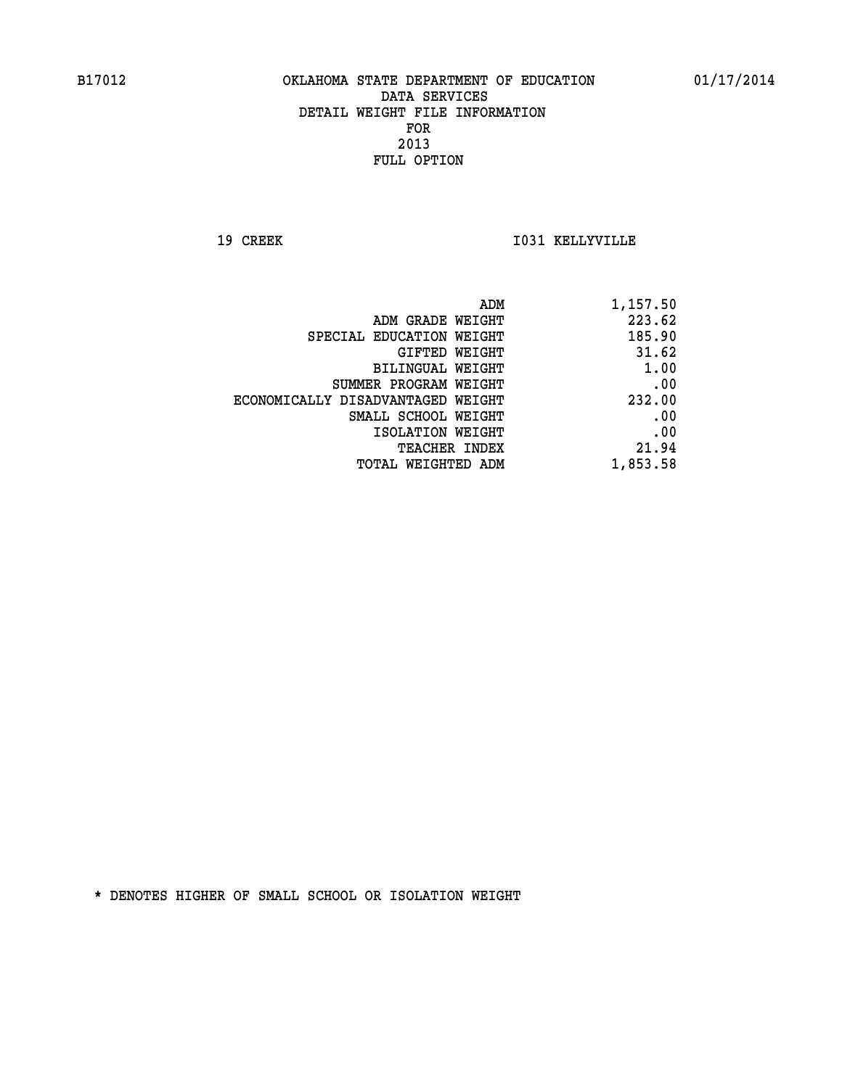**19 CREEK I031 KELLYVILLE** 

| 1,157.50 |
|----------|
| 223.62   |
| 185.90   |
| 31.62    |
| 1.00     |
| .00      |
| 232.00   |
| .00      |
| .00      |
| 21.94    |
| 1,853.58 |
|          |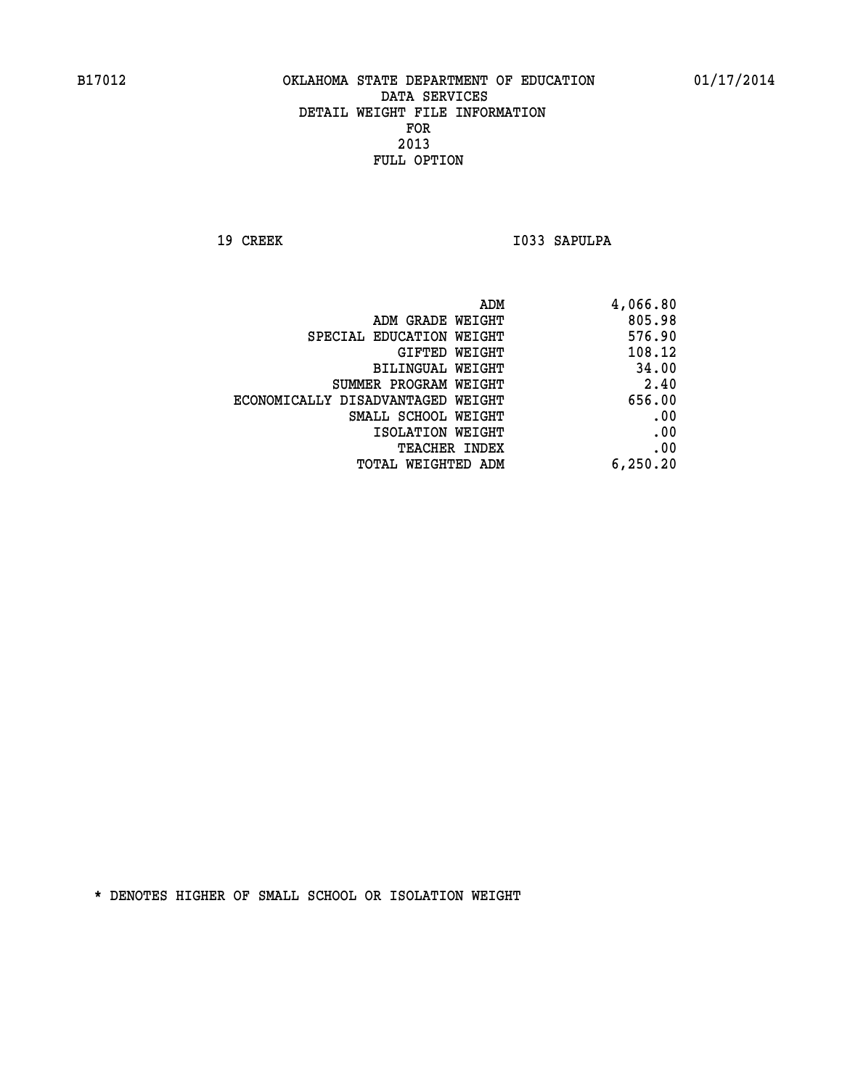19 CREEK 1033 SAPULPA

| 4,066.80 |
|----------|
| 805.98   |
| 576.90   |
| 108.12   |
| 34.00    |
| 2.40     |
| 656.00   |
| .00      |
| .00      |
| .00      |
| 6,250.20 |
|          |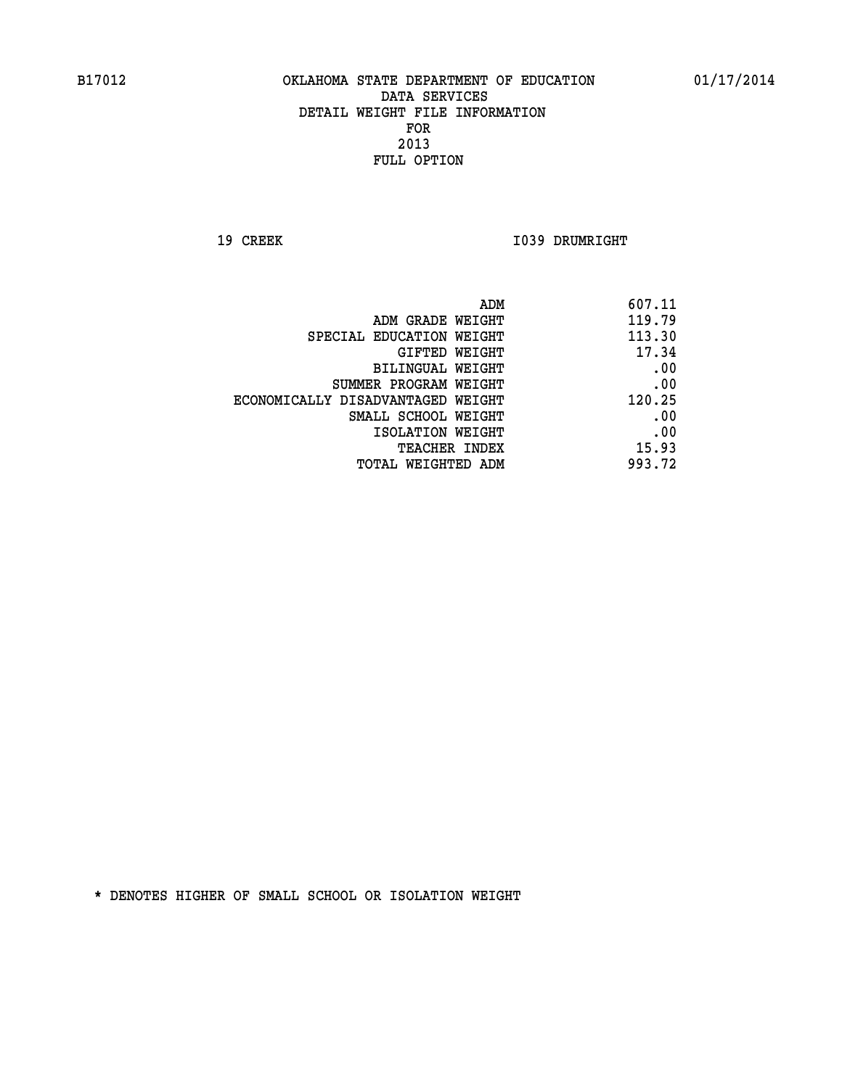**19 CREEK 1039 DRUMRIGHT** 

| 607.11 |
|--------|
| 119.79 |
| 113.30 |
| 17.34  |
| .00    |
| .00    |
| 120.25 |
| .00    |
| .00    |
| 15.93  |
| 993.72 |
|        |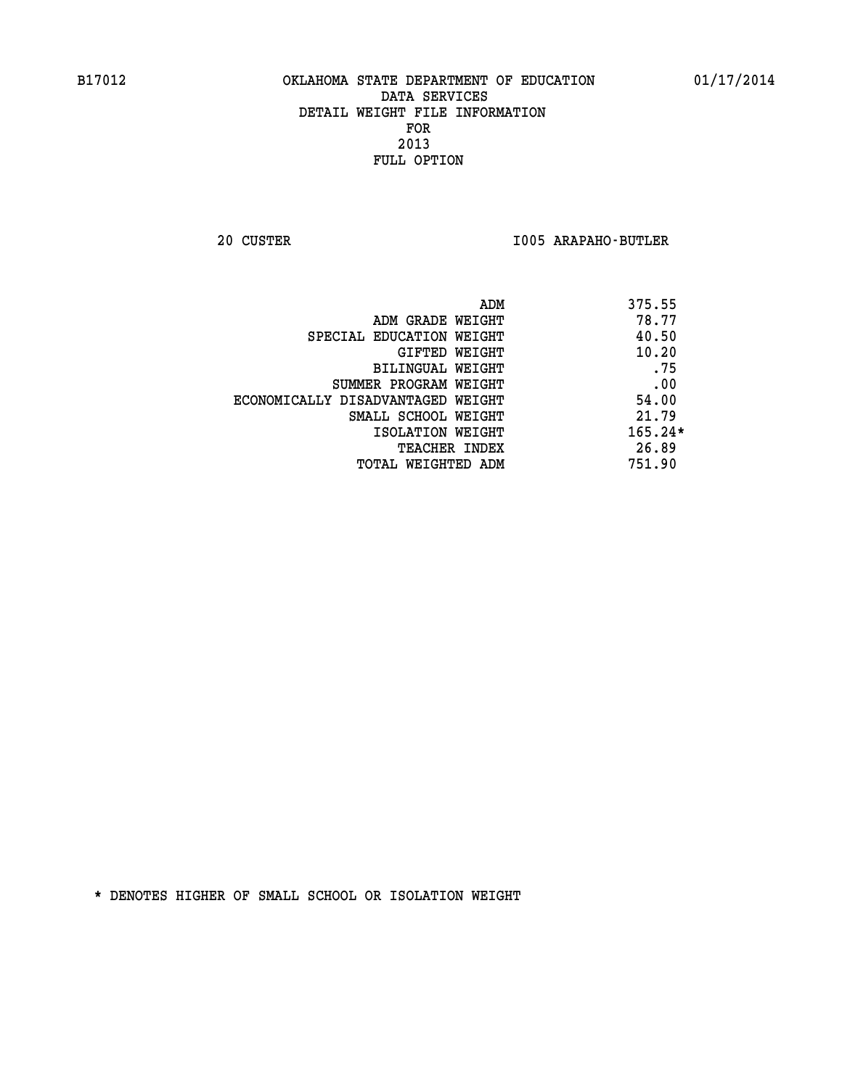**20 CUSTER I005 ARAPAHO-BUTLER** 

| ADM                               | 375.55    |
|-----------------------------------|-----------|
| ADM GRADE WEIGHT                  | 78.77     |
| SPECIAL EDUCATION WEIGHT          | 40.50     |
| GIFTED WEIGHT                     | 10.20     |
| BILINGUAL WEIGHT                  | .75       |
| SUMMER PROGRAM WEIGHT             | .00       |
| ECONOMICALLY DISADVANTAGED WEIGHT | 54.00     |
| SMALL SCHOOL WEIGHT               | 21.79     |
| ISOLATION WEIGHT                  | $165.24*$ |
| <b>TEACHER INDEX</b>              | 26.89     |
| TOTAL WEIGHTED ADM                | 751.90    |
|                                   |           |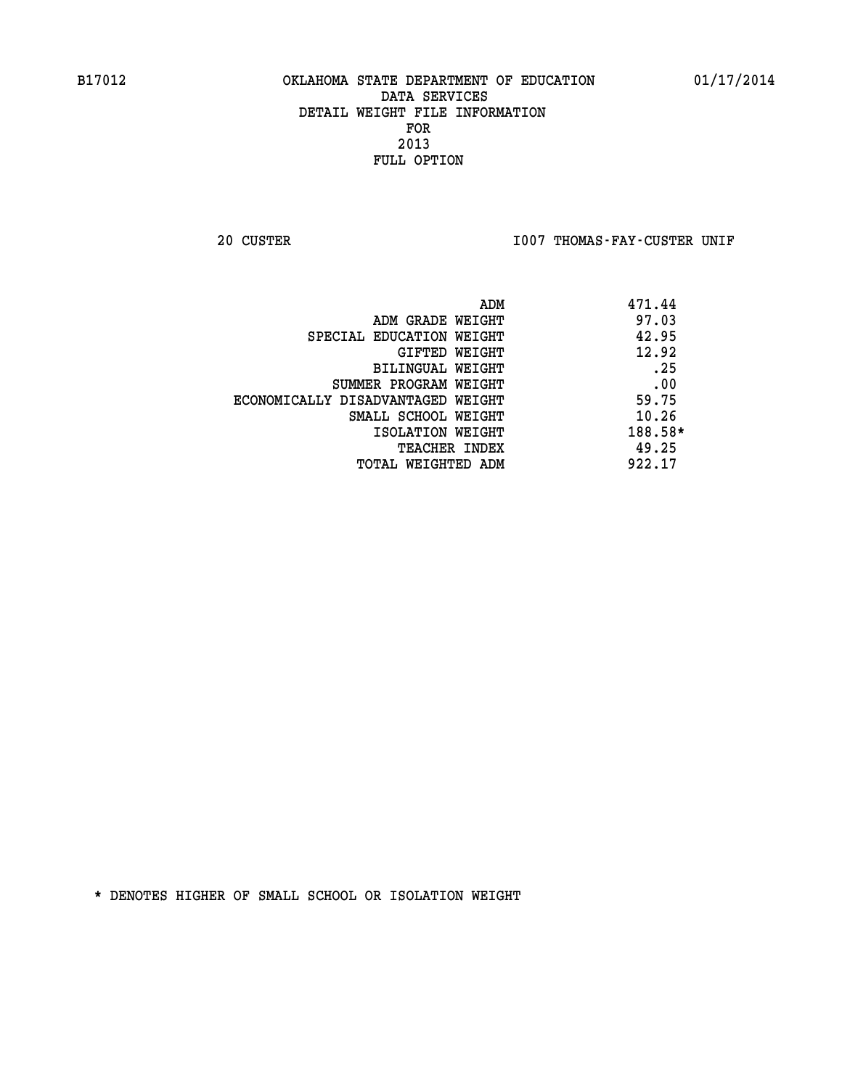20 CUSTER **IOO7 THOMAS-FAY-CUSTER UNIF** 

|                                   | ADM | 471.44  |
|-----------------------------------|-----|---------|
| ADM GRADE WEIGHT                  |     | 97.03   |
| SPECIAL EDUCATION WEIGHT          |     | 42.95   |
| GIFTED WEIGHT                     |     | 12.92   |
| BILINGUAL WEIGHT                  |     | .25     |
| SUMMER PROGRAM WEIGHT             |     | .00     |
| ECONOMICALLY DISADVANTAGED WEIGHT |     | 59.75   |
| SMALL SCHOOL WEIGHT               |     | 10.26   |
| ISOLATION WEIGHT                  |     | 188.58* |
| TEACHER INDEX                     |     | 49.25   |
| TOTAL WEIGHTED ADM                |     | 922.17  |
|                                   |     |         |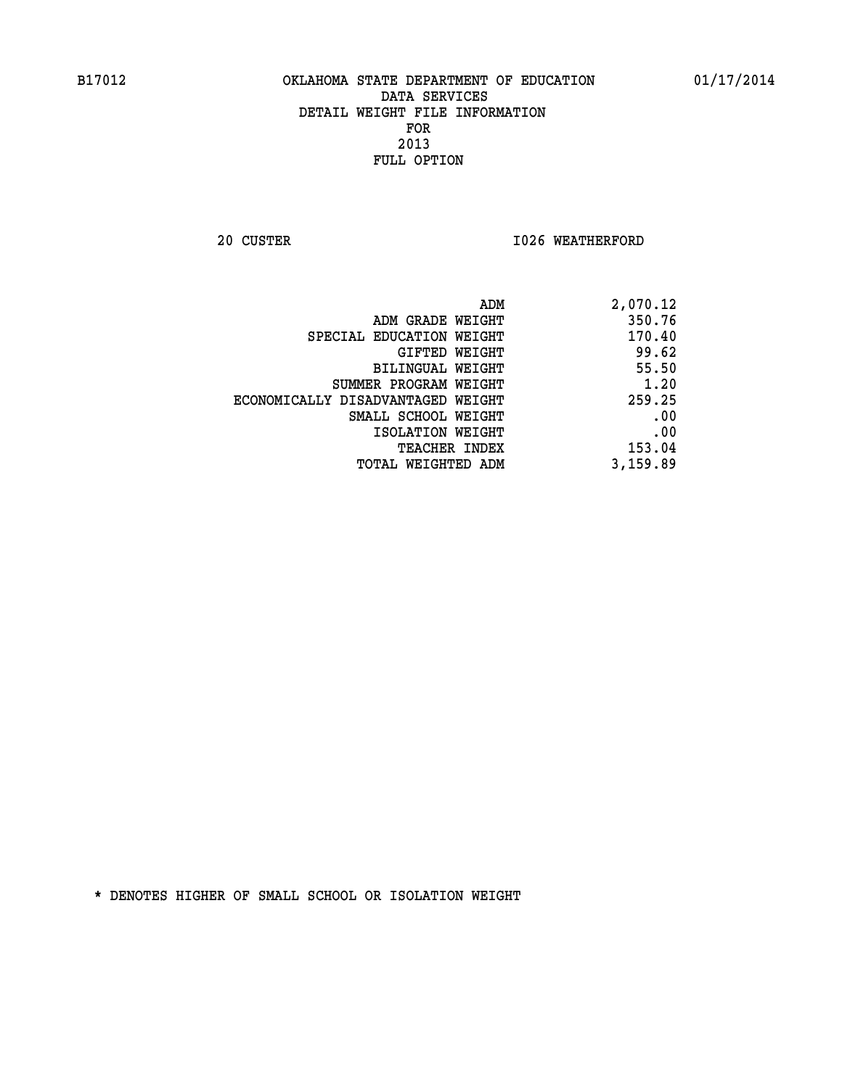**20 CUSTER 1026 WEATHERFORD** 

| 2,070.12 |
|----------|
| 350.76   |
| 170.40   |
| 99.62    |
| 55.50    |
| 1.20     |
| 259.25   |
| .00      |
| .00      |
| 153.04   |
| 3,159.89 |
|          |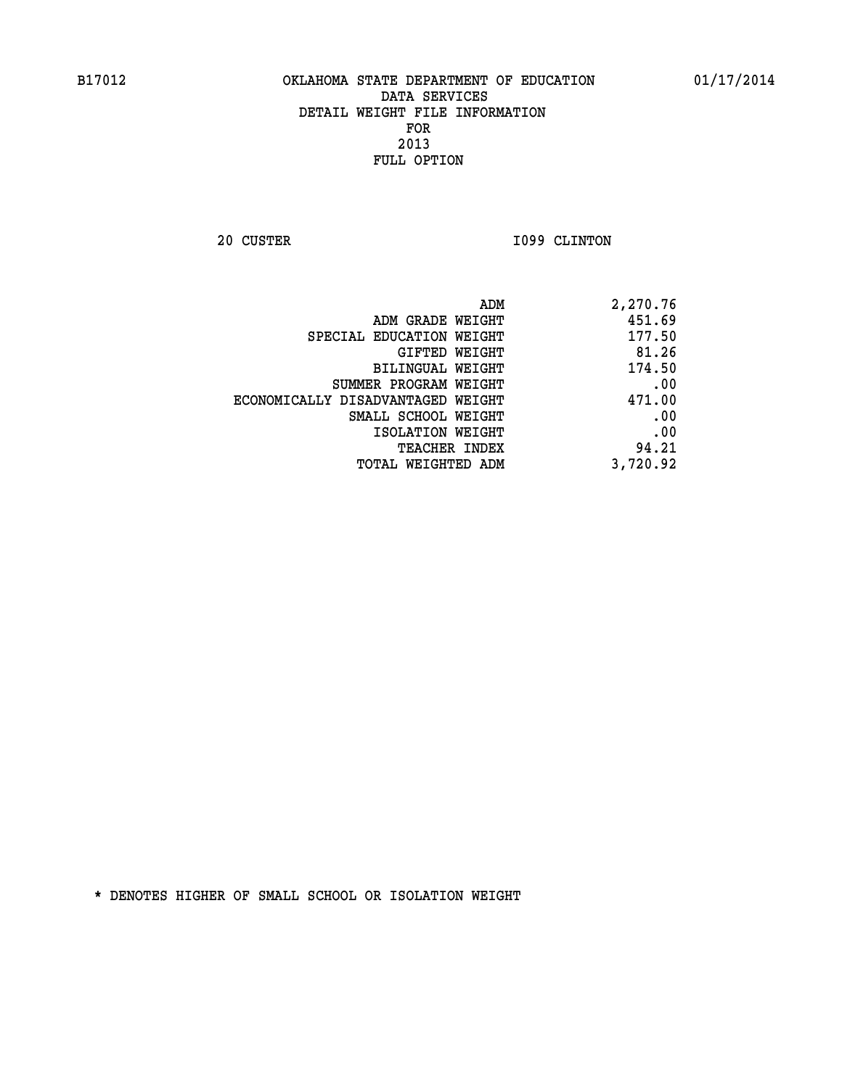**20 CUSTER 1099 CLINTON** 

| 2,270.76 |
|----------|
| 451.69   |
| 177.50   |
| 81.26    |
| 174.50   |
| .00      |
| 471.00   |
| .00      |
| .00      |
| 94.21    |
| 3,720.92 |
|          |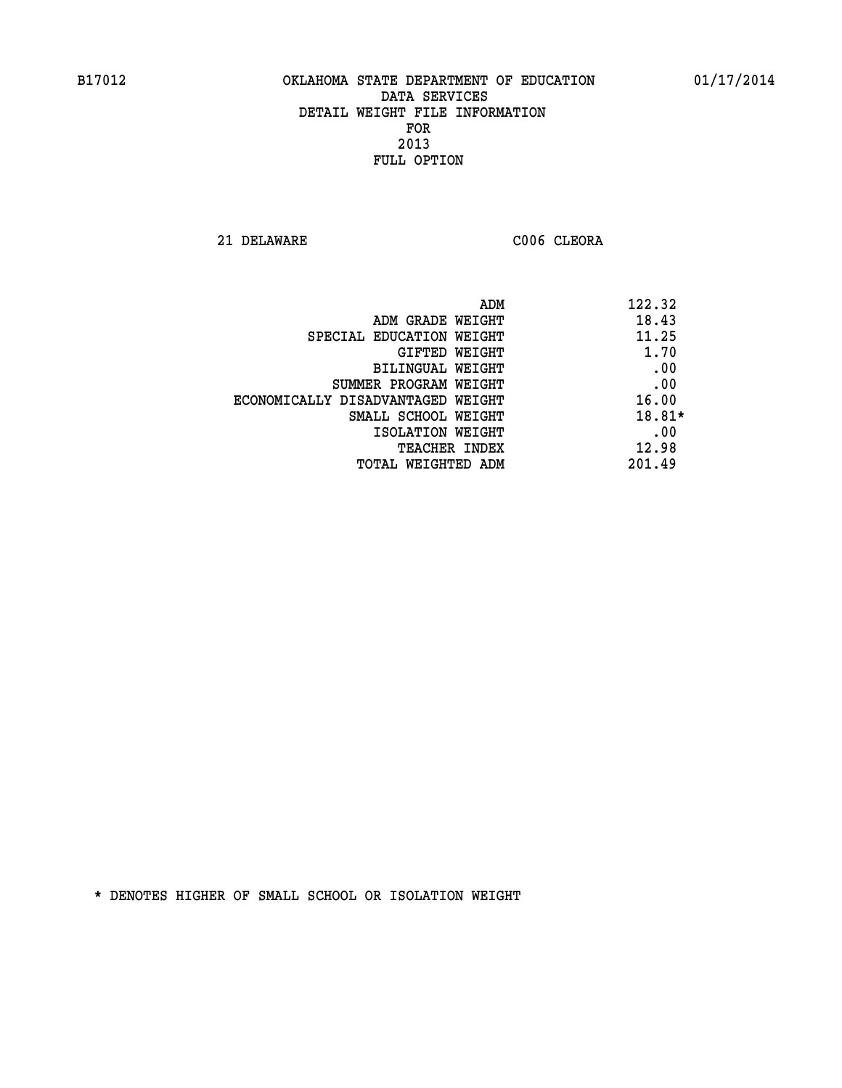**21 DELAWARE C006 CLEORA** 

| ADM                               | 122.32 |
|-----------------------------------|--------|
| ADM GRADE WEIGHT                  | 18.43  |
| SPECIAL EDUCATION WEIGHT          | 11.25  |
| GIFTED WEIGHT                     | 1.70   |
| BILINGUAL WEIGHT                  | .00    |
| SUMMER PROGRAM WEIGHT             | .00    |
| ECONOMICALLY DISADVANTAGED WEIGHT | 16.00  |
| SMALL SCHOOL WEIGHT               | 18.81* |
| ISOLATION WEIGHT                  | .00    |
| <b>TEACHER INDEX</b>              | 12.98  |
| TOTAL WEIGHTED ADM                | 201.49 |
|                                   |        |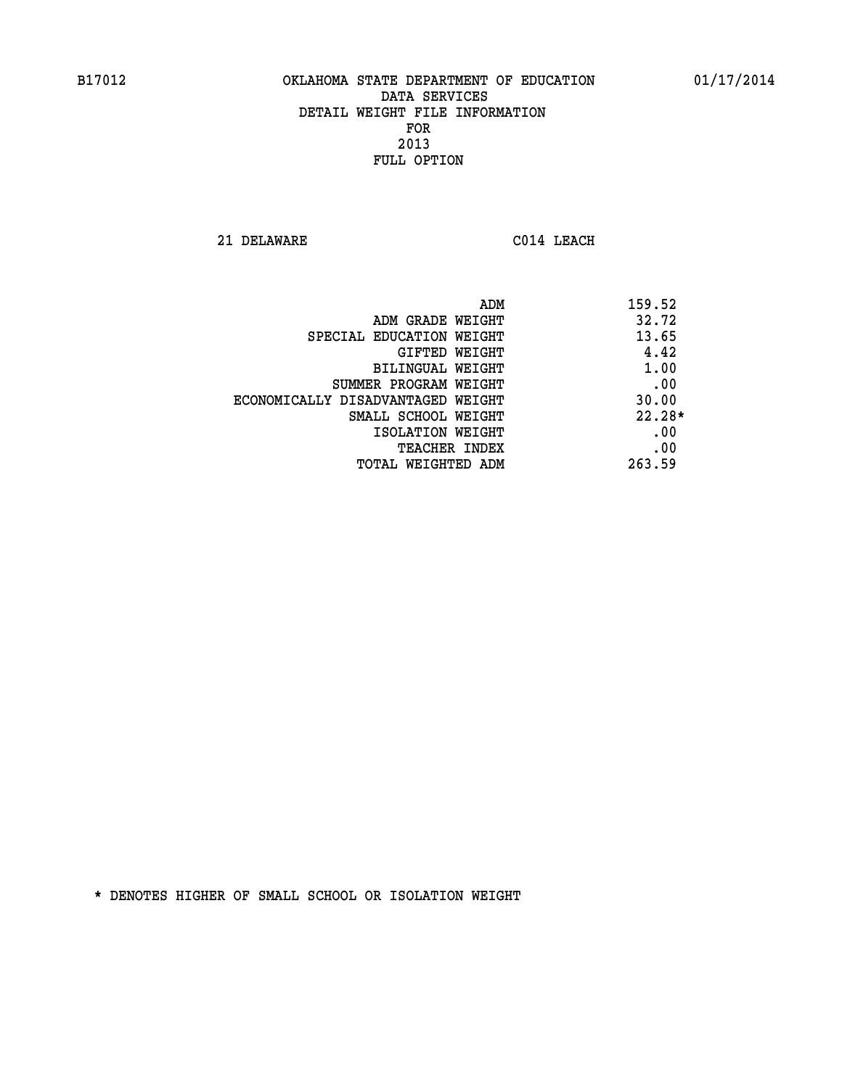**21 DELAWARE C014 LEACH** 

| ADM                               | 159.52   |
|-----------------------------------|----------|
| ADM GRADE WEIGHT                  | 32.72    |
| SPECIAL EDUCATION WEIGHT          | 13.65    |
| <b>GIFTED WEIGHT</b>              | 4.42     |
| BILINGUAL WEIGHT                  | 1.00     |
| SUMMER PROGRAM WEIGHT             | .00      |
| ECONOMICALLY DISADVANTAGED WEIGHT | 30.00    |
| SMALL SCHOOL WEIGHT               | $22.28*$ |
| ISOLATION WEIGHT                  | .00      |
| <b>TEACHER INDEX</b>              | .00      |
| TOTAL WEIGHTED ADM                | 263.59   |
|                                   |          |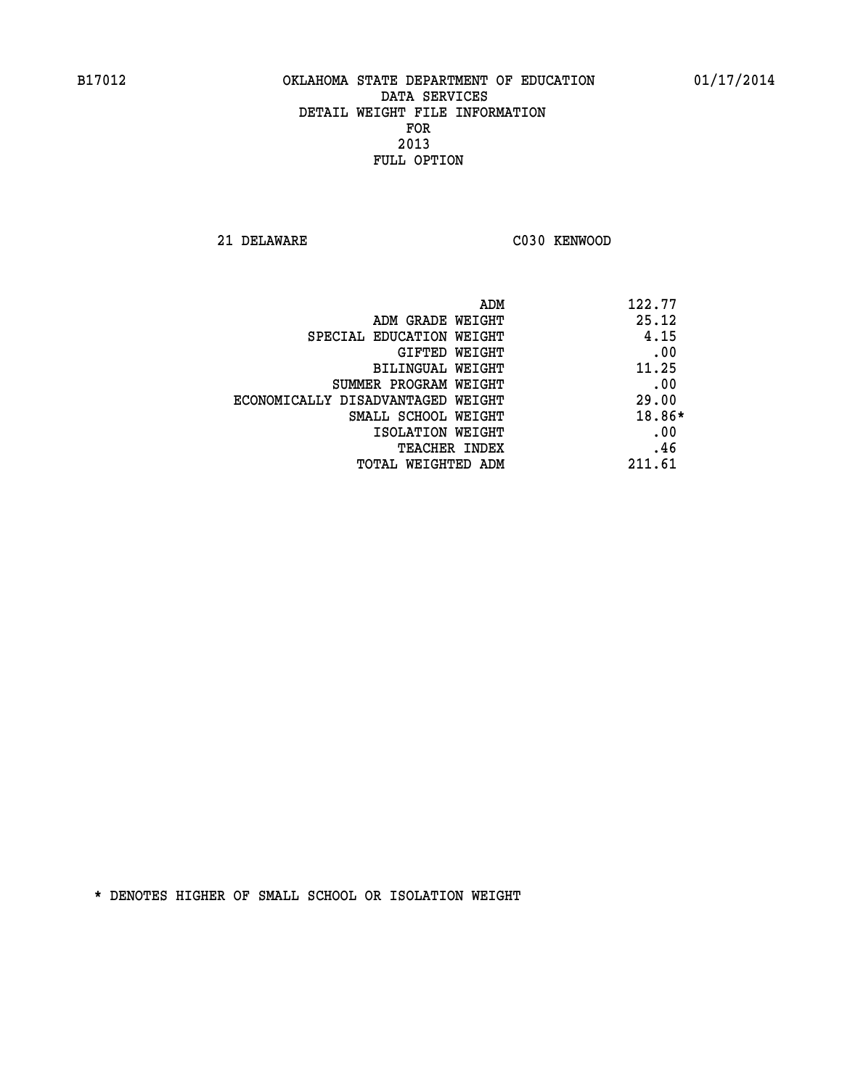**21 DELAWARE C030 KENWOOD** 

| ADM                               | 122.77 |
|-----------------------------------|--------|
| ADM GRADE WEIGHT                  | 25.12  |
| SPECIAL EDUCATION WEIGHT          | 4.15   |
| GIFTED WEIGHT                     | .00    |
| BILINGUAL WEIGHT                  | 11.25  |
| SUMMER PROGRAM WEIGHT             | .00    |
| ECONOMICALLY DISADVANTAGED WEIGHT | 29.00  |
| SMALL SCHOOL WEIGHT               | 18.86* |
| ISOLATION WEIGHT                  | .00    |
| <b>TEACHER INDEX</b>              | .46    |
| TOTAL WEIGHTED ADM                | 211.61 |
|                                   |        |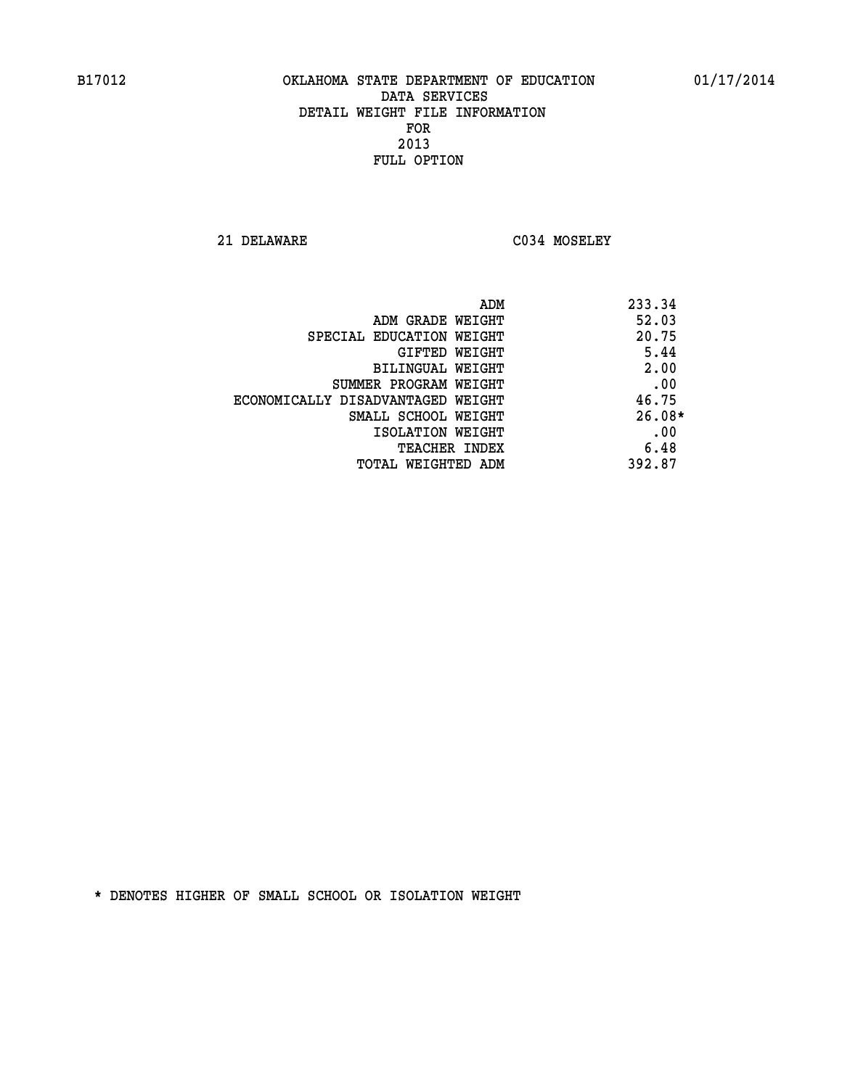**21 DELAWARE C034 MOSELEY** 

|                                   | ADM | 233.34   |
|-----------------------------------|-----|----------|
| ADM GRADE WEIGHT                  |     | 52.03    |
| SPECIAL EDUCATION WEIGHT          |     | 20.75    |
| GIFTED WEIGHT                     |     | 5.44     |
| BILINGUAL WEIGHT                  |     | 2.00     |
| SUMMER PROGRAM WEIGHT             |     | .00      |
| ECONOMICALLY DISADVANTAGED WEIGHT |     | 46.75    |
| SMALL SCHOOL WEIGHT               |     | $26.08*$ |
| ISOLATION WEIGHT                  |     | .00      |
| TEACHER INDEX                     |     | 6.48     |
| TOTAL WEIGHTED ADM                |     | 392.87   |
|                                   |     |          |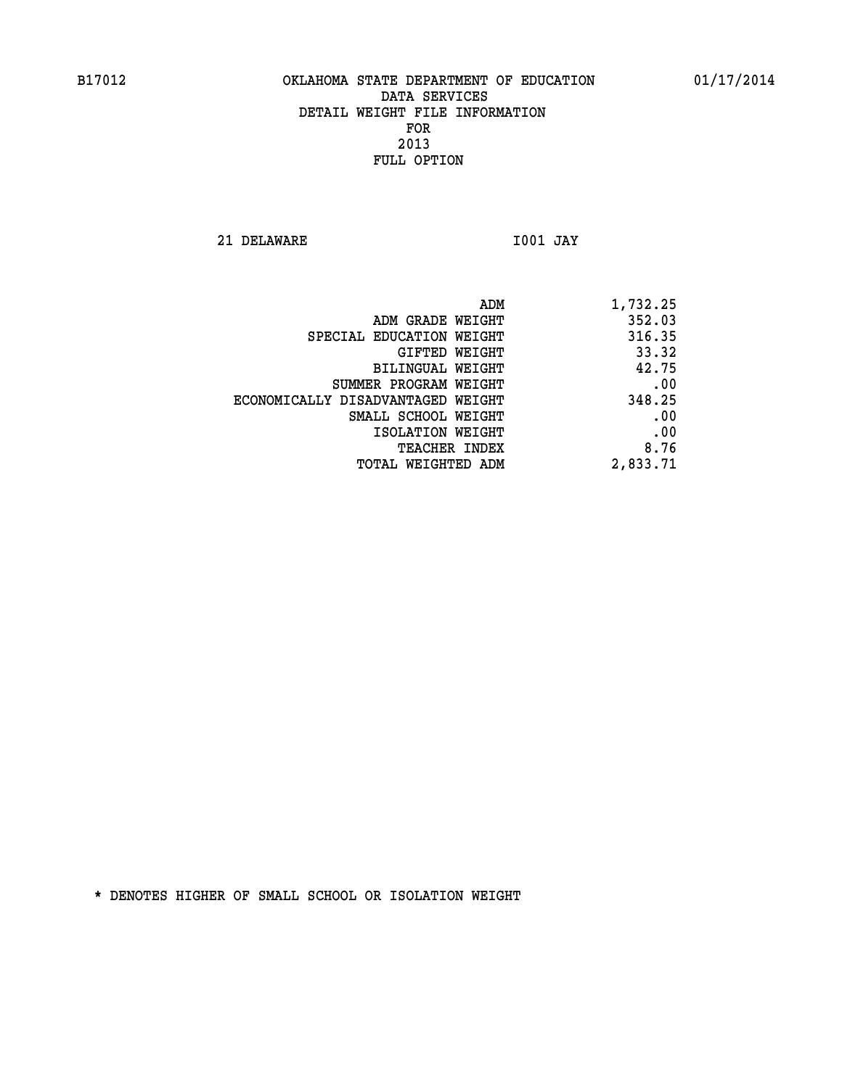**21 DELAWARE I001 JAY** 

| 1,732.25 | ADM                               |  |
|----------|-----------------------------------|--|
| 352.03   | ADM GRADE WEIGHT                  |  |
| 316.35   | SPECIAL EDUCATION WEIGHT          |  |
| 33.32    | <b>GIFTED WEIGHT</b>              |  |
| 42.75    | BILINGUAL WEIGHT                  |  |
| .00      | SUMMER PROGRAM WEIGHT             |  |
| 348.25   | ECONOMICALLY DISADVANTAGED WEIGHT |  |
| .00      | SMALL SCHOOL WEIGHT               |  |
| .00      | ISOLATION WEIGHT                  |  |
| 8.76     | <b>TEACHER INDEX</b>              |  |
| 2,833.71 | TOTAL WEIGHTED ADM                |  |
|          |                                   |  |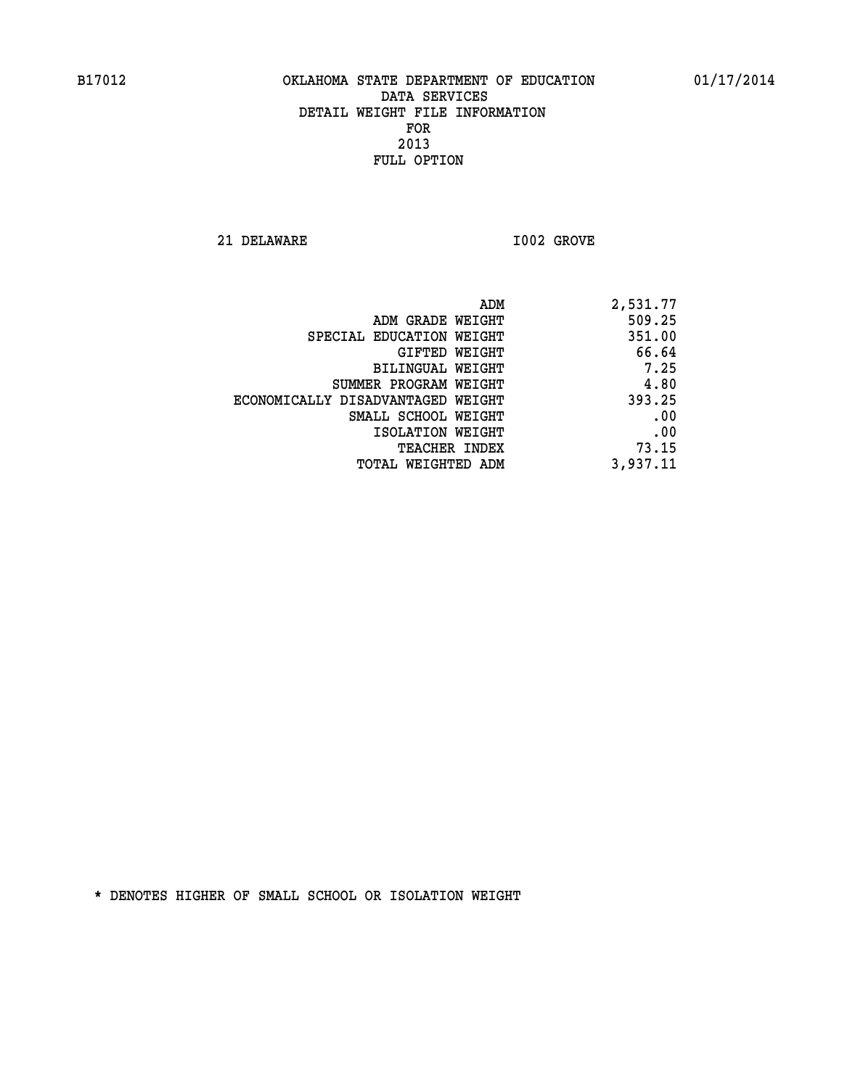**21 DELAWARE I002 GROVE** 

| 2,531.77 |
|----------|
| 509.25   |
| 351.00   |
| 66.64    |
| 7.25     |
| 4.80     |
| 393.25   |
| .00      |
| .00      |
| 73.15    |
| 3,937.11 |
|          |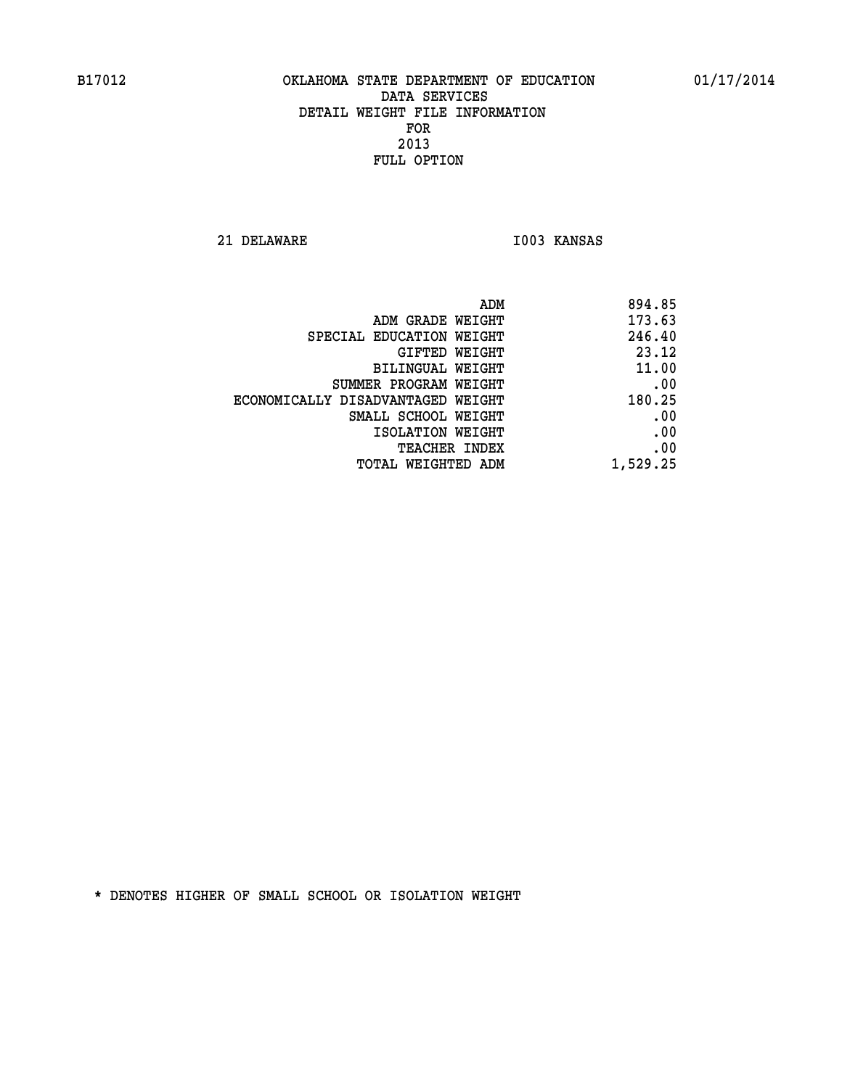**21 DELAWARE I003 KANSAS** 

|                                   | 894.85<br>ADM |
|-----------------------------------|---------------|
| ADM GRADE WEIGHT                  | 173.63        |
| SPECIAL EDUCATION WEIGHT          | 246.40        |
| GIFTED WEIGHT                     | 23.12         |
| BILINGUAL WEIGHT                  | 11.00         |
| SUMMER PROGRAM WEIGHT             | .00           |
| ECONOMICALLY DISADVANTAGED WEIGHT | 180.25        |
| SMALL SCHOOL WEIGHT               | .00           |
| ISOLATION WEIGHT                  | .00           |
| TEACHER INDEX                     | .00           |
| TOTAL WEIGHTED ADM                | 1,529.25      |
|                                   |               |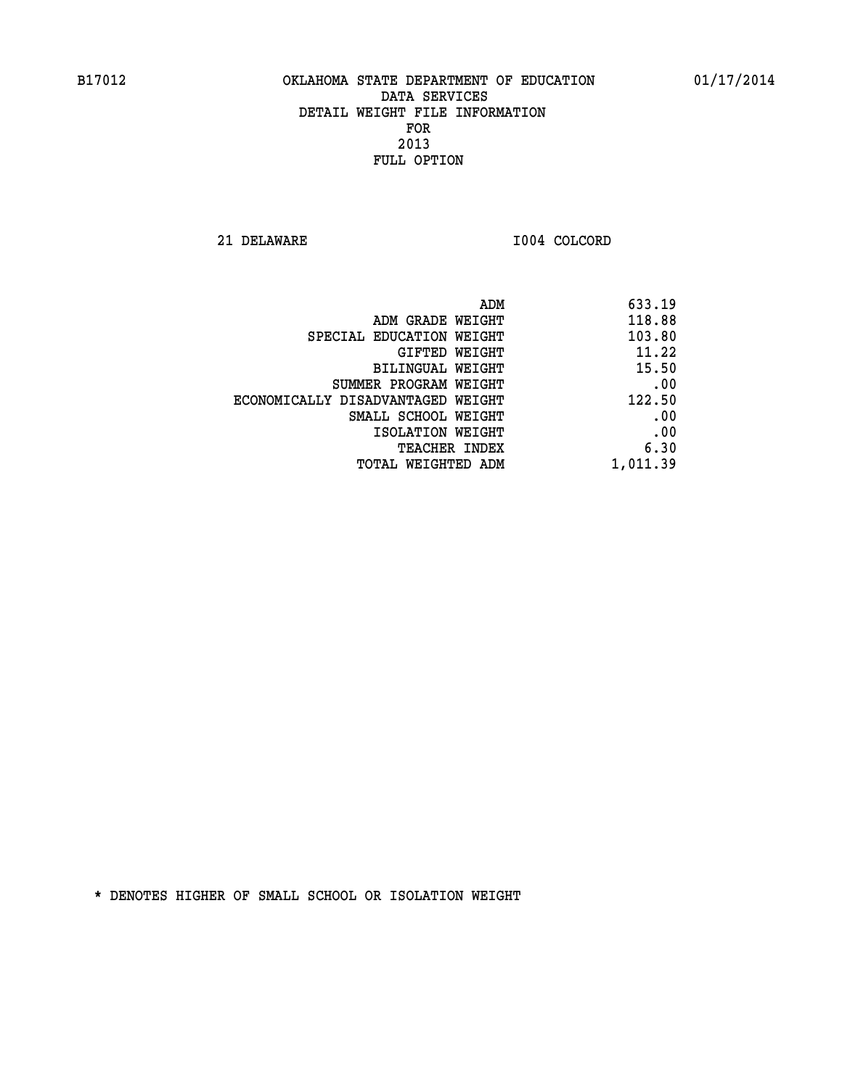**21 DELAWARE I004 COLCORD** 

| 633.19   |
|----------|
| 118.88   |
| 103.80   |
| 11.22    |
| 15.50    |
| .00      |
| 122.50   |
| .00      |
| .00      |
| 6.30     |
| 1,011.39 |
|          |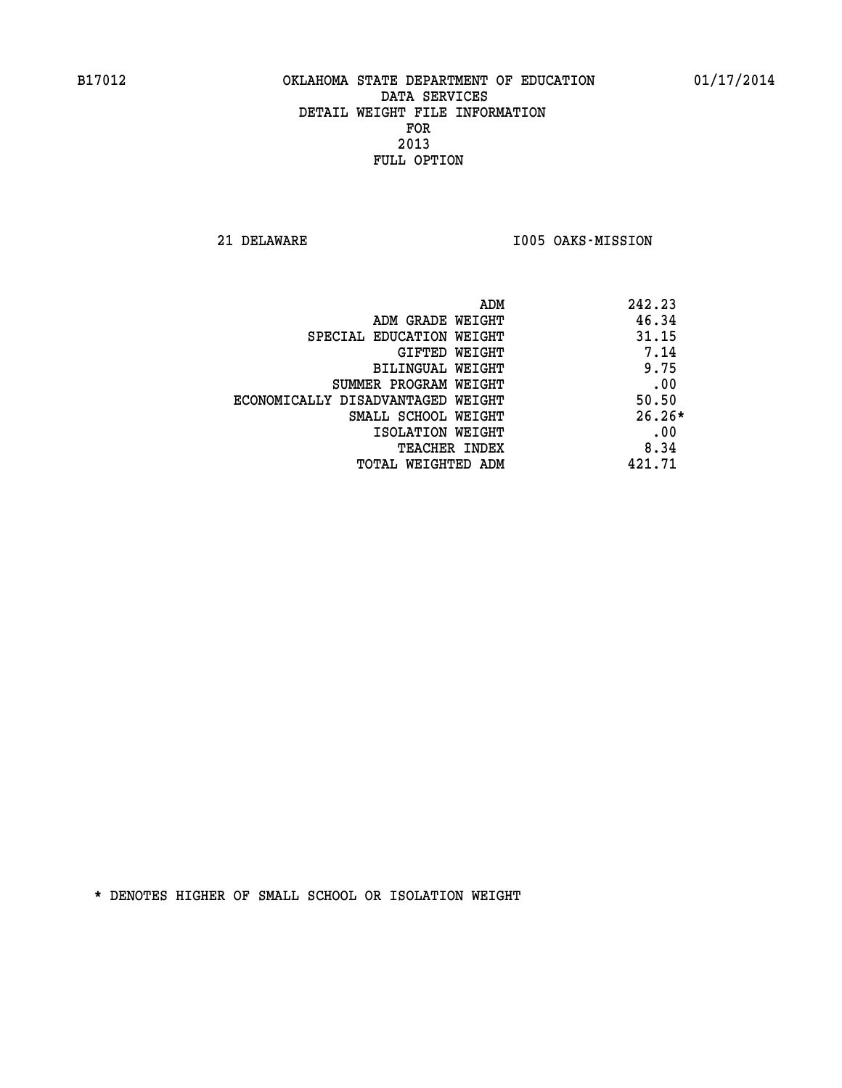**21 DELAWARE I005 OAKS-MISSION** 

| ADM                               | 242.23   |
|-----------------------------------|----------|
| ADM GRADE WEIGHT                  | 46.34    |
| SPECIAL EDUCATION WEIGHT          | 31.15    |
| GIFTED WEIGHT                     | 7.14     |
| BILINGUAL WEIGHT                  | 9.75     |
| SUMMER PROGRAM WEIGHT             | .00      |
| ECONOMICALLY DISADVANTAGED WEIGHT | 50.50    |
| SMALL SCHOOL WEIGHT               | $26.26*$ |
| ISOLATION WEIGHT                  | .00      |
| <b>TEACHER INDEX</b>              | 8.34     |
| TOTAL WEIGHTED ADM                | 421.71   |
|                                   |          |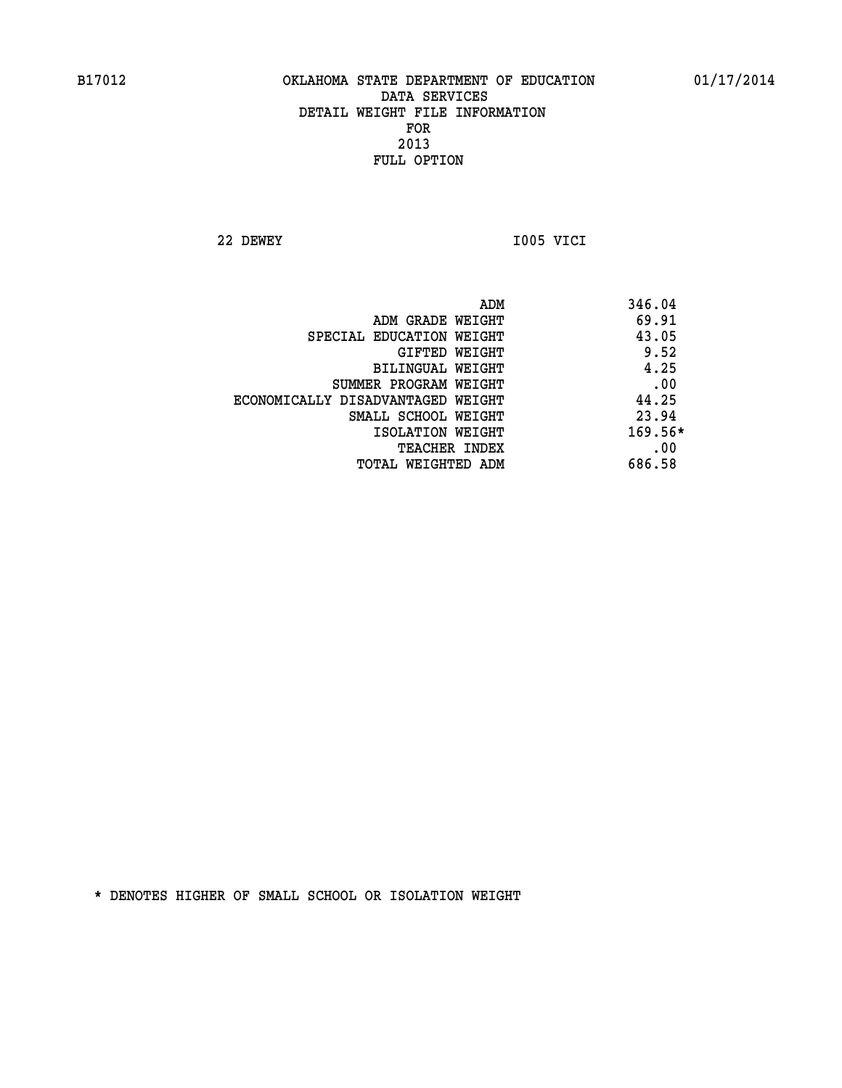**22 DEWEY I005 VICI** 

| ADM                               | 346.04  |
|-----------------------------------|---------|
| ADM GRADE WEIGHT                  | 69.91   |
| SPECIAL EDUCATION WEIGHT          | 43.05   |
| <b>GIFTED WEIGHT</b>              | 9.52    |
| BILINGUAL WEIGHT                  | 4.25    |
| SUMMER PROGRAM WEIGHT             | .00     |
| ECONOMICALLY DISADVANTAGED WEIGHT | 44.25   |
| SMALL SCHOOL WEIGHT               | 23.94   |
| ISOLATION WEIGHT                  | 169.56* |
| <b>TEACHER INDEX</b>              | .00     |
| TOTAL WEIGHTED ADM                | 686.58  |
|                                   |         |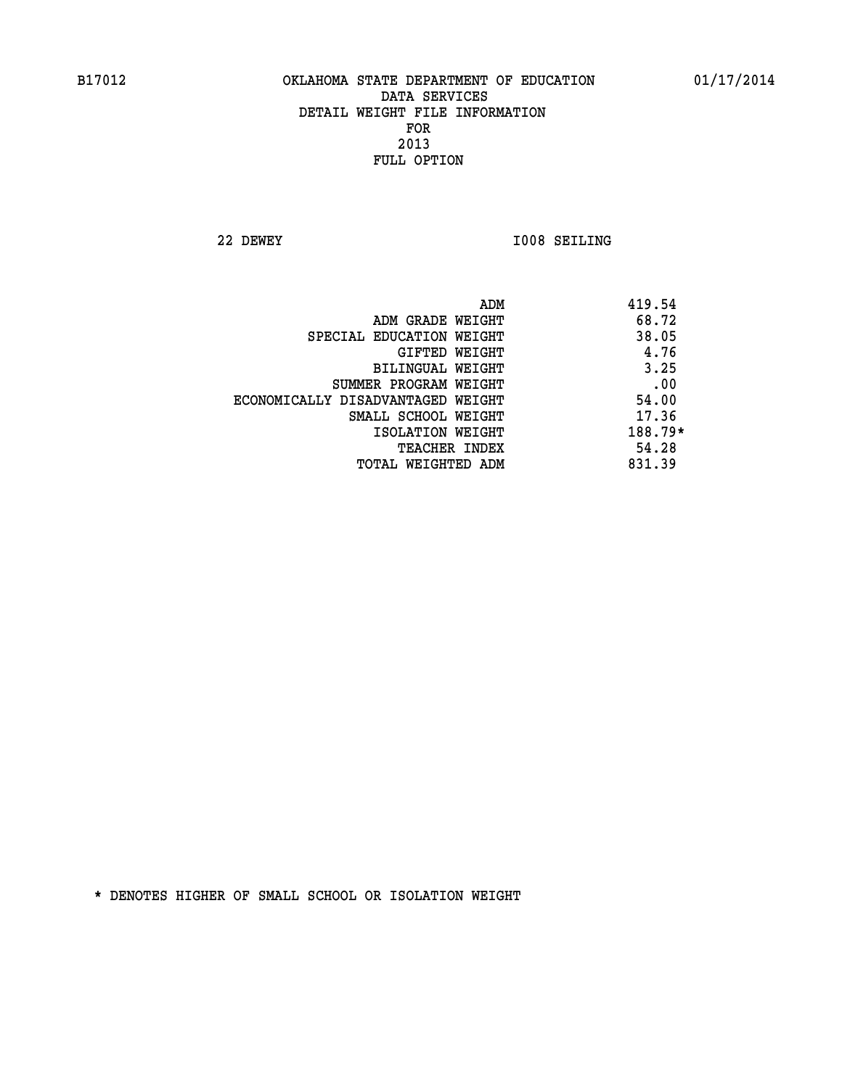**22 DEWEY I008 SEILING** 

|                                   | ADM | 419.54    |
|-----------------------------------|-----|-----------|
| ADM GRADE WEIGHT                  |     | 68.72     |
| SPECIAL EDUCATION WEIGHT          |     | 38.05     |
| GIFTED WEIGHT                     |     | 4.76      |
| BILINGUAL WEIGHT                  |     | 3.25      |
| SUMMER PROGRAM WEIGHT             |     | .00       |
| ECONOMICALLY DISADVANTAGED WEIGHT |     | 54.00     |
| SMALL SCHOOL WEIGHT               |     | 17.36     |
| ISOLATION WEIGHT                  |     | $188.79*$ |
| TEACHER INDEX                     |     | 54.28     |
| TOTAL WEIGHTED ADM                |     | 831.39    |
|                                   |     |           |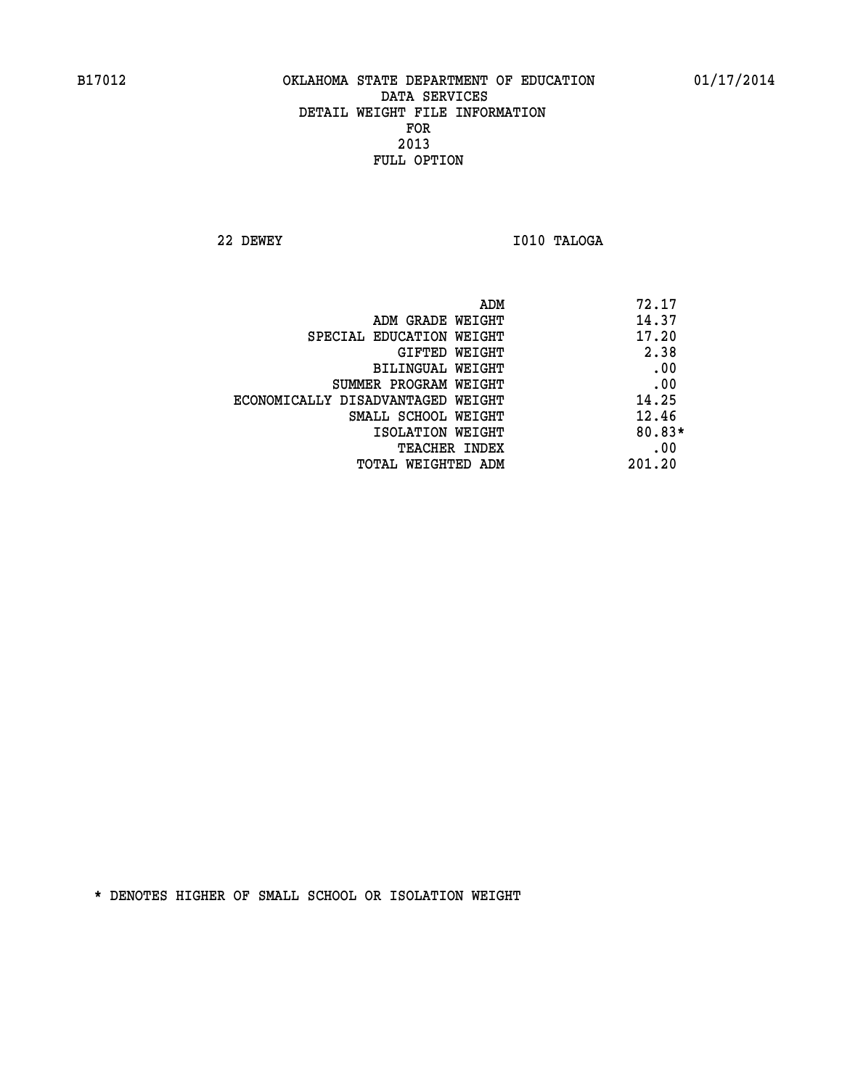**22 DEWEY I010 TALOGA** 

|                                   | ADM | 72.17    |
|-----------------------------------|-----|----------|
| ADM GRADE WEIGHT                  |     | 14.37    |
| SPECIAL EDUCATION WEIGHT          |     | 17.20    |
| GIFTED WEIGHT                     |     | 2.38     |
| BILINGUAL WEIGHT                  |     | .00      |
| SUMMER PROGRAM WEIGHT             |     | .00      |
| ECONOMICALLY DISADVANTAGED WEIGHT |     | 14.25    |
| SMALL SCHOOL WEIGHT               |     | 12.46    |
| ISOLATION WEIGHT                  |     | $80.83*$ |
| <b>TEACHER INDEX</b>              |     | .00      |
| TOTAL WEIGHTED ADM                |     | 201.20   |
|                                   |     |          |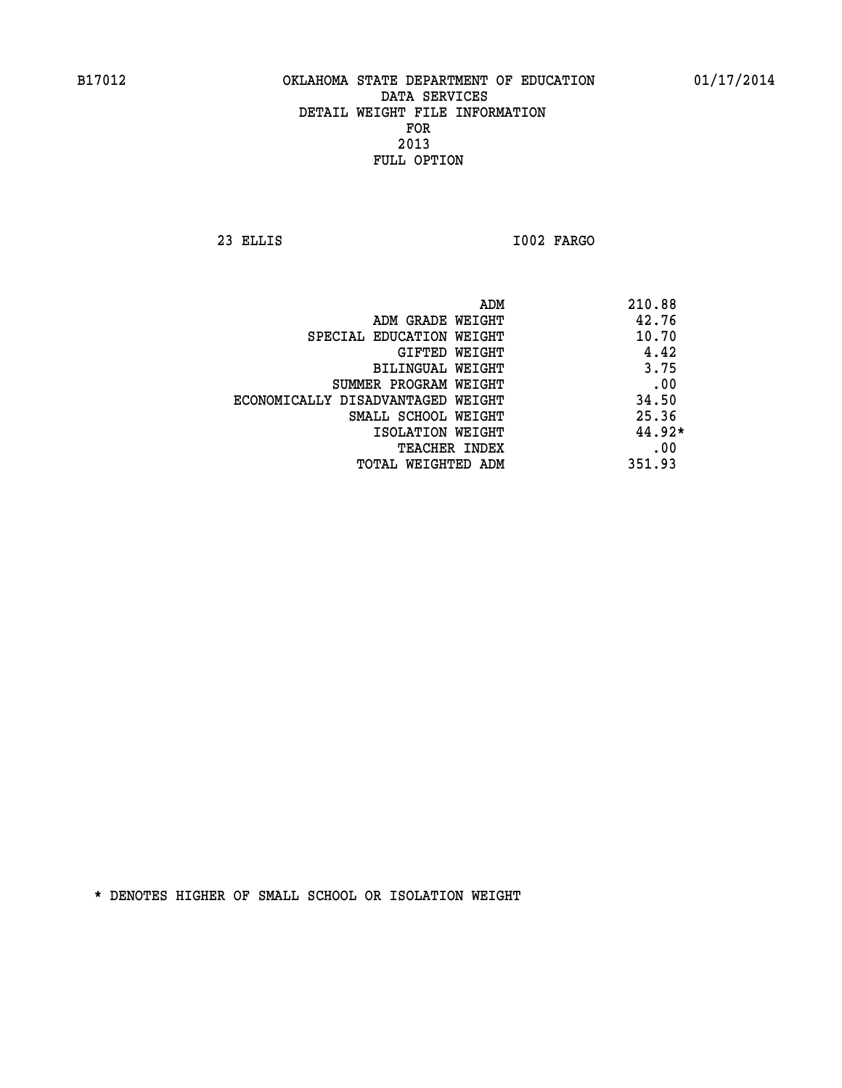**23 ELLIS I002 FARGO** 

| ADM                               | 210.88   |
|-----------------------------------|----------|
| ADM GRADE WEIGHT                  | 42.76    |
| SPECIAL EDUCATION WEIGHT          | 10.70    |
| GIFTED WEIGHT                     | 4.42     |
| BILINGUAL WEIGHT                  | 3.75     |
| SUMMER PROGRAM WEIGHT             | .00      |
| ECONOMICALLY DISADVANTAGED WEIGHT | 34.50    |
| SMALL SCHOOL WEIGHT               | 25.36    |
| ISOLATION WEIGHT                  | $44.92*$ |
| <b>TEACHER INDEX</b>              | .00      |
| TOTAL WEIGHTED ADM                | 351.93   |
|                                   |          |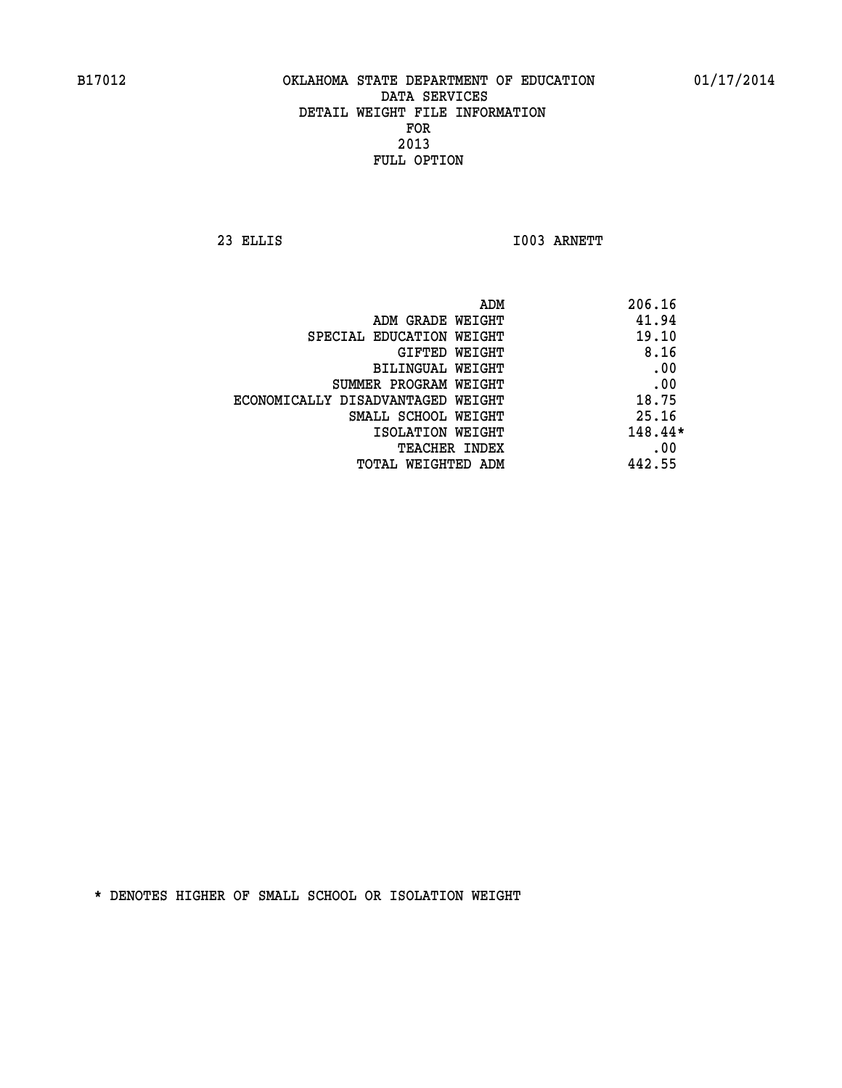**23 ELLIS I003 ARNETT** 

|                                   | 206.16<br>ADM |         |
|-----------------------------------|---------------|---------|
| ADM GRADE WEIGHT                  |               | 41.94   |
| SPECIAL EDUCATION WEIGHT          |               | 19.10   |
| GIFTED WEIGHT                     |               | 8.16    |
| BILINGUAL WEIGHT                  |               | .00     |
| SUMMER PROGRAM WEIGHT             |               | .00     |
| ECONOMICALLY DISADVANTAGED WEIGHT |               | 18.75   |
| SMALL SCHOOL WEIGHT               |               | 25.16   |
| ISOLATION WEIGHT                  |               | 148.44* |
| <b>TEACHER INDEX</b>              |               | .00     |
| TOTAL WEIGHTED ADM                | 442.55        |         |
|                                   |               |         |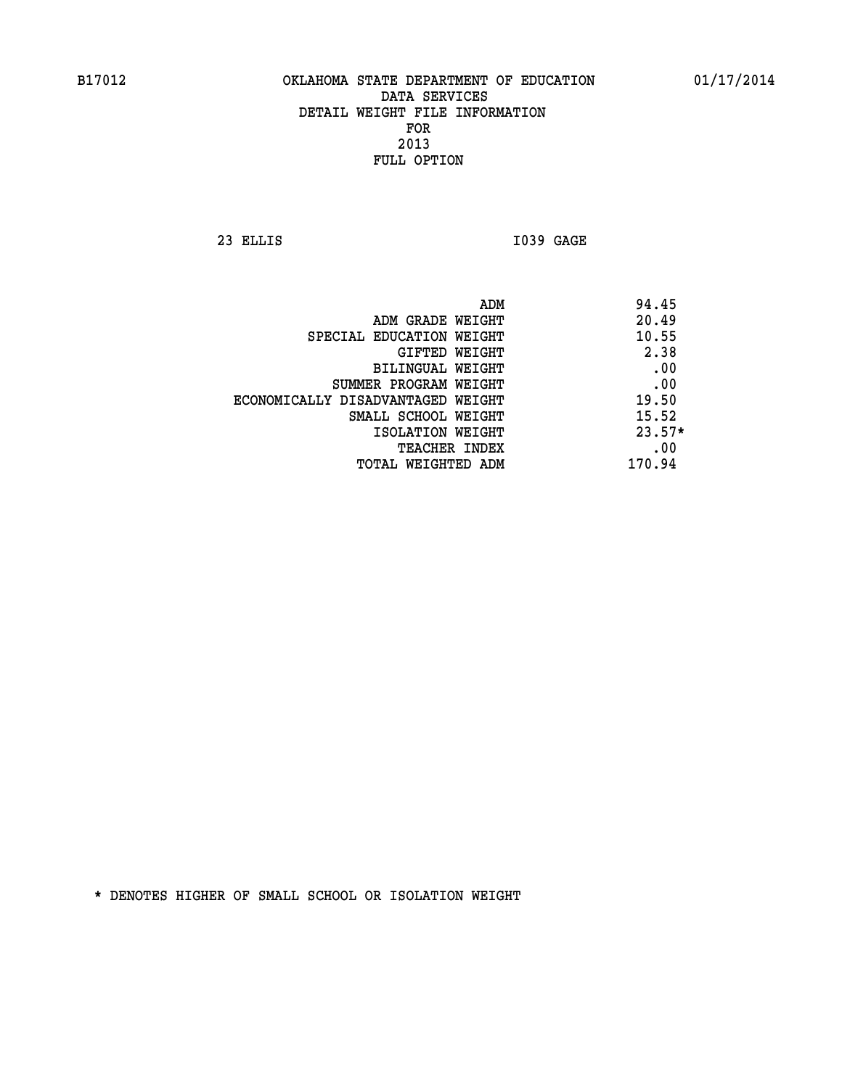**23 ELLIS I039 GAGE** 

|                                   | ADM | 94.45    |
|-----------------------------------|-----|----------|
| ADM GRADE WEIGHT                  |     | 20.49    |
| SPECIAL EDUCATION WEIGHT          |     | 10.55    |
| GIFTED WEIGHT                     |     | 2.38     |
| BILINGUAL WEIGHT                  |     | .00      |
| SUMMER PROGRAM WEIGHT             |     | .00      |
| ECONOMICALLY DISADVANTAGED WEIGHT |     | 19.50    |
| SMALL SCHOOL WEIGHT               |     | 15.52    |
| ISOLATION WEIGHT                  |     | $23.57*$ |
| <b>TEACHER INDEX</b>              |     | .00      |
| TOTAL WEIGHTED ADM                |     | 170.94   |
|                                   |     |          |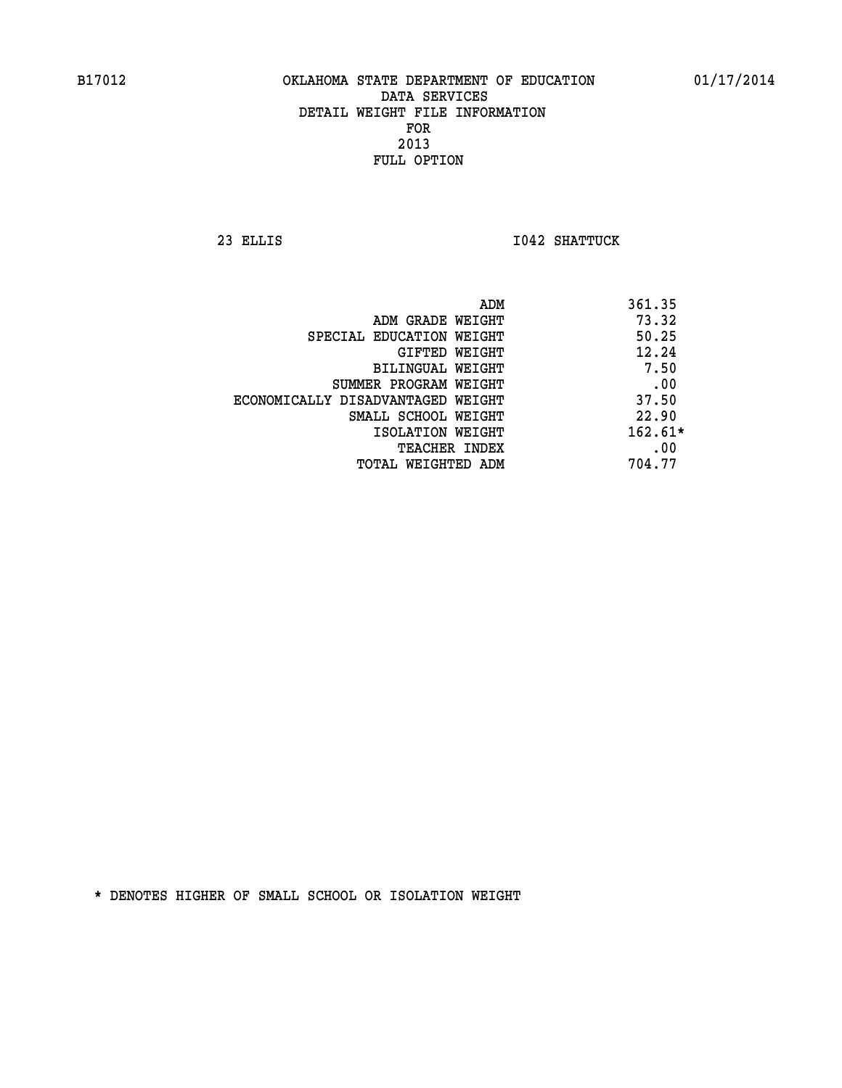**23 ELLIS I042 SHATTUCK** 

|                                   | ADM | 361.35    |
|-----------------------------------|-----|-----------|
| ADM GRADE WEIGHT                  |     | 73.32     |
| SPECIAL EDUCATION WEIGHT          |     | 50.25     |
| GIFTED WEIGHT                     |     | 12.24     |
| BILINGUAL WEIGHT                  |     | 7.50      |
| SUMMER PROGRAM WEIGHT             |     | .00       |
| ECONOMICALLY DISADVANTAGED WEIGHT |     | 37.50     |
| SMALL SCHOOL WEIGHT               |     | 22.90     |
| ISOLATION WEIGHT                  |     | $162.61*$ |
| TEACHER INDEX                     |     | .00       |
| TOTAL WEIGHTED ADM                |     | 704.77    |
|                                   |     |           |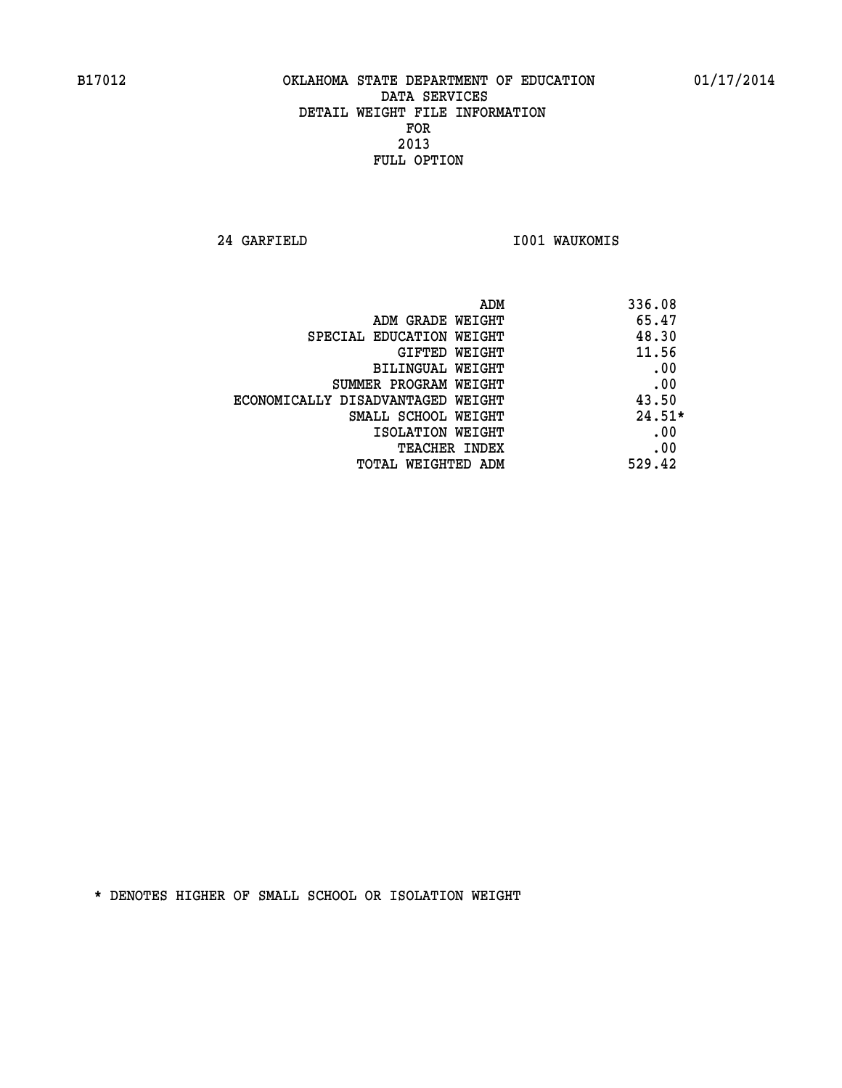**24 GARFIELD I001 WAUKOMIS** 

| ADM                               | 336.08   |
|-----------------------------------|----------|
| ADM GRADE WEIGHT                  | 65.47    |
| SPECIAL EDUCATION WEIGHT          | 48.30    |
| <b>GIFTED WEIGHT</b>              | 11.56    |
| BILINGUAL WEIGHT                  | .00      |
| SUMMER PROGRAM WEIGHT             | .00      |
| ECONOMICALLY DISADVANTAGED WEIGHT | 43.50    |
| SMALL SCHOOL WEIGHT               | $24.51*$ |
| ISOLATION WEIGHT                  | .00      |
| <b>TEACHER INDEX</b>              | .00      |
| TOTAL WEIGHTED ADM                | 529.42   |
|                                   |          |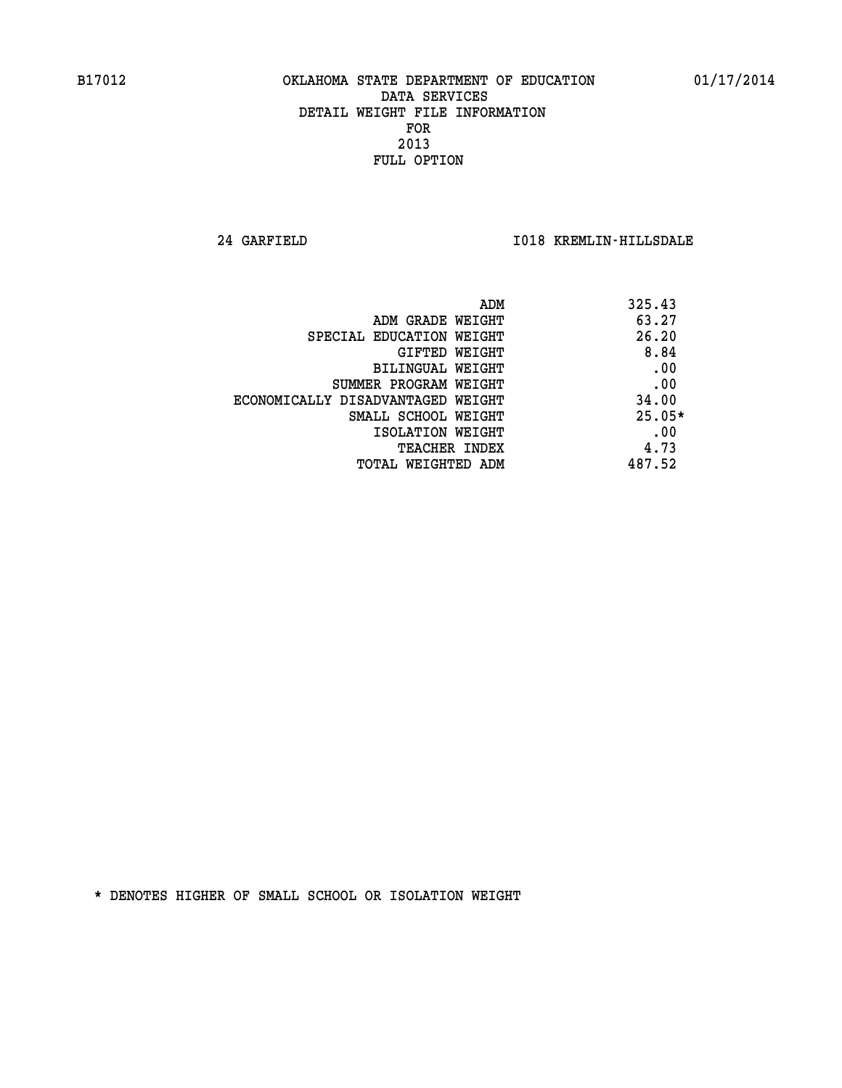**24 GARFIELD I018 KREMLIN-HILLSDALE** 

| 325.43<br>ADM                              |  |
|--------------------------------------------|--|
| 63.27<br>ADM GRADE WEIGHT                  |  |
| 26.20<br>SPECIAL EDUCATION WEIGHT          |  |
| 8.84<br>GIFTED WEIGHT                      |  |
| .00<br>BILINGUAL WEIGHT                    |  |
| .00<br>SUMMER PROGRAM WEIGHT               |  |
| 34.00<br>ECONOMICALLY DISADVANTAGED WEIGHT |  |
| $25.05*$<br>SMALL SCHOOL WEIGHT            |  |
| .00<br>ISOLATION WEIGHT                    |  |
| 4.73<br><b>TEACHER INDEX</b>               |  |
| 487.52<br>TOTAL WEIGHTED ADM               |  |
|                                            |  |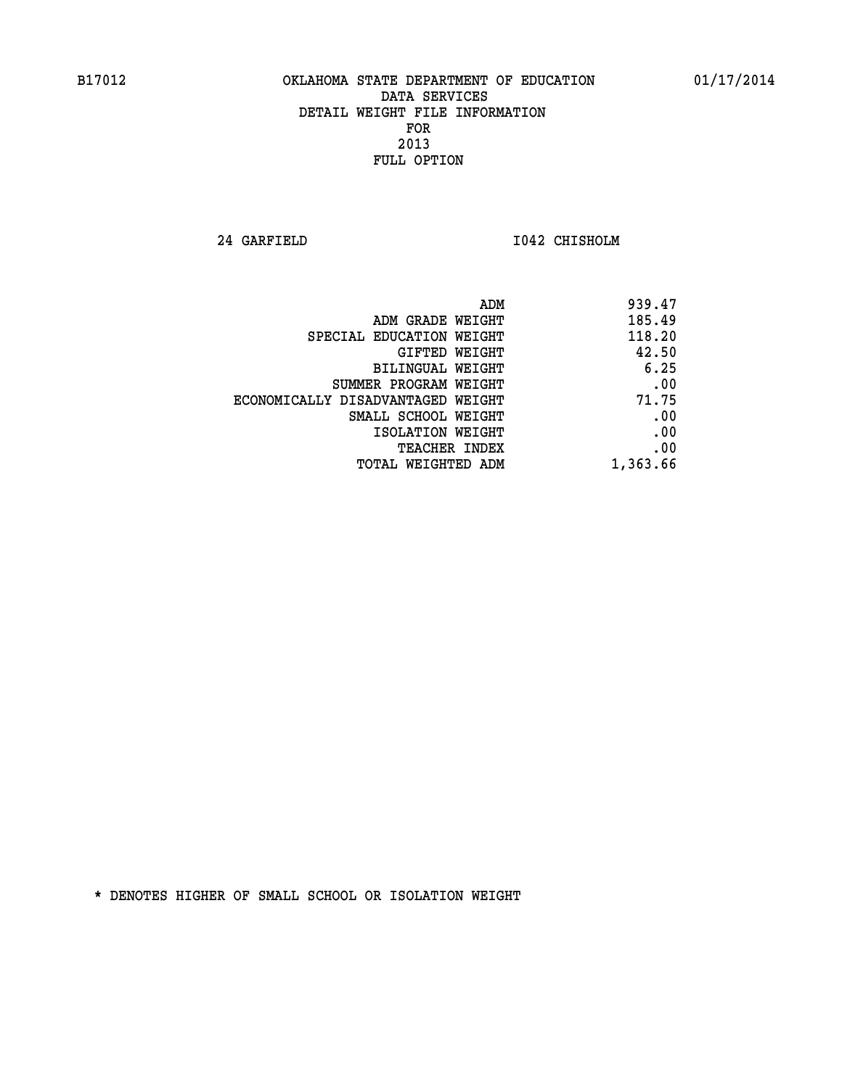**24 GARFIELD I042 CHISHOLM** 

| ADM                               | 939.47   |
|-----------------------------------|----------|
| ADM GRADE WEIGHT                  | 185.49   |
| SPECIAL EDUCATION WEIGHT          | 118.20   |
| GIFTED WEIGHT                     | 42.50    |
| <b>BILINGUAL WEIGHT</b>           | 6.25     |
| SUMMER PROGRAM WEIGHT             | .00      |
| ECONOMICALLY DISADVANTAGED WEIGHT | 71.75    |
| SMALL SCHOOL WEIGHT               | .00      |
| ISOLATION WEIGHT                  | .00      |
| <b>TEACHER INDEX</b>              | .00      |
| TOTAL WEIGHTED ADM                | 1,363.66 |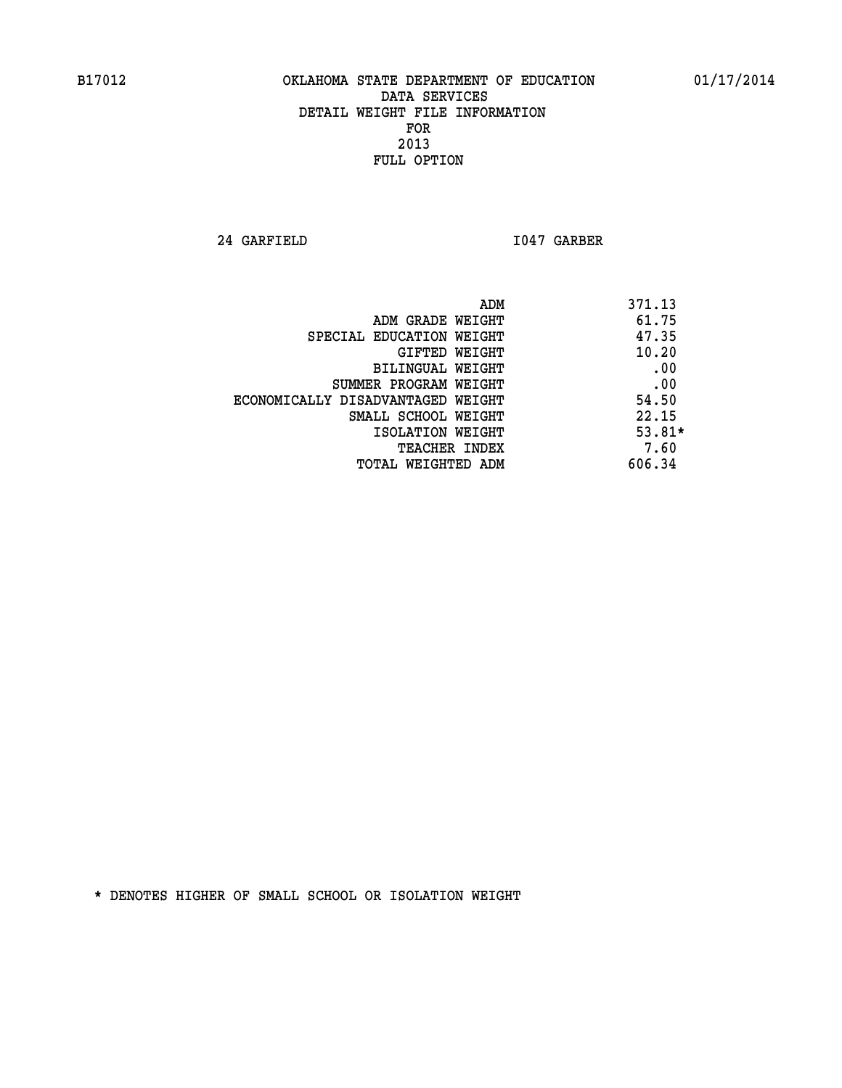**24 GARFIELD I047 GARBER** 

| ADM                               | 371.13   |
|-----------------------------------|----------|
| ADM GRADE WEIGHT                  | 61.75    |
| SPECIAL EDUCATION WEIGHT          | 47.35    |
| GIFTED WEIGHT                     | 10.20    |
| BILINGUAL WEIGHT                  | .00      |
| SUMMER PROGRAM WEIGHT             | .00      |
| ECONOMICALLY DISADVANTAGED WEIGHT | 54.50    |
| SMALL SCHOOL WEIGHT               | 22.15    |
| ISOLATION WEIGHT                  | $53.81*$ |
| <b>TEACHER INDEX</b>              | 7.60     |
| TOTAL WEIGHTED ADM                | 606.34   |
|                                   |          |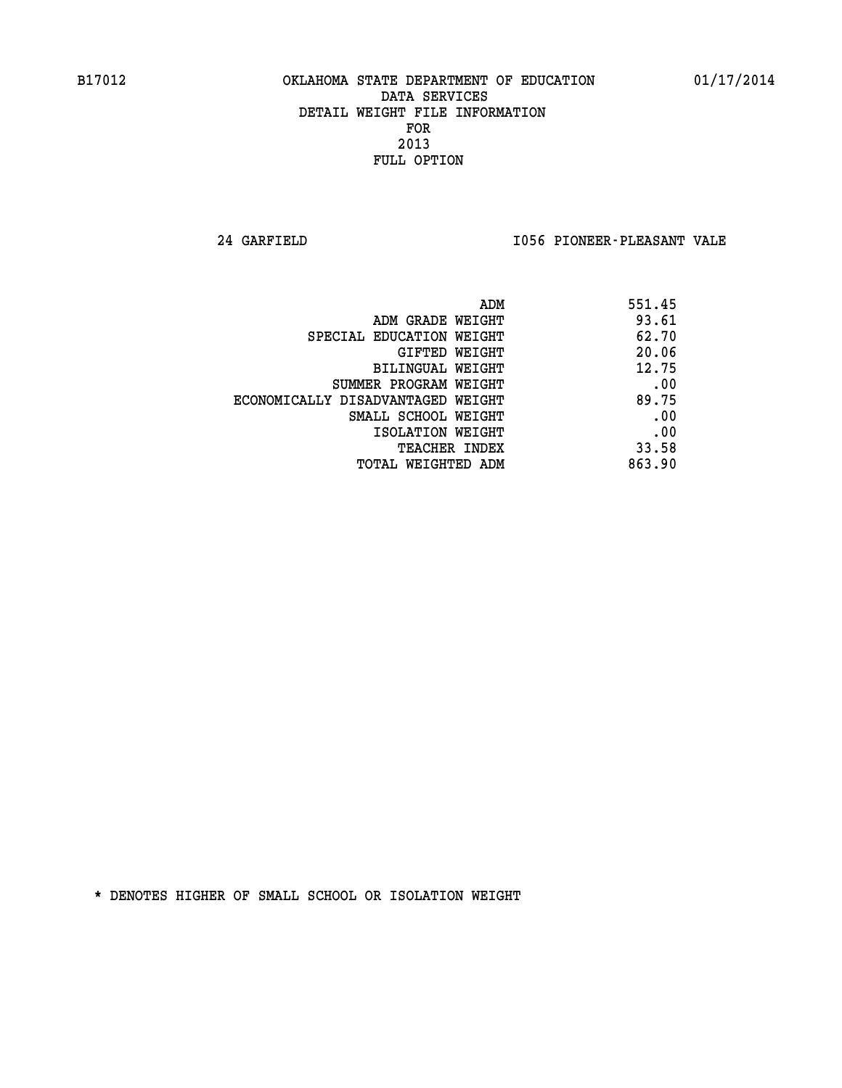**24 GARFIELD I056 PIONEER-PLEASANT VALE** 

| ADM                               | 551.45 |
|-----------------------------------|--------|
| ADM GRADE WEIGHT                  | 93.61  |
| SPECIAL EDUCATION WEIGHT          | 62.70  |
| GIFTED WEIGHT                     | 20.06  |
| BILINGUAL WEIGHT                  | 12.75  |
| SUMMER PROGRAM WEIGHT             | .00    |
| ECONOMICALLY DISADVANTAGED WEIGHT | 89.75  |
| SMALL SCHOOL WEIGHT               | .00    |
| ISOLATION WEIGHT                  | .00    |
| <b>TEACHER INDEX</b>              | 33.58  |
| TOTAL WEIGHTED ADM                | 863.90 |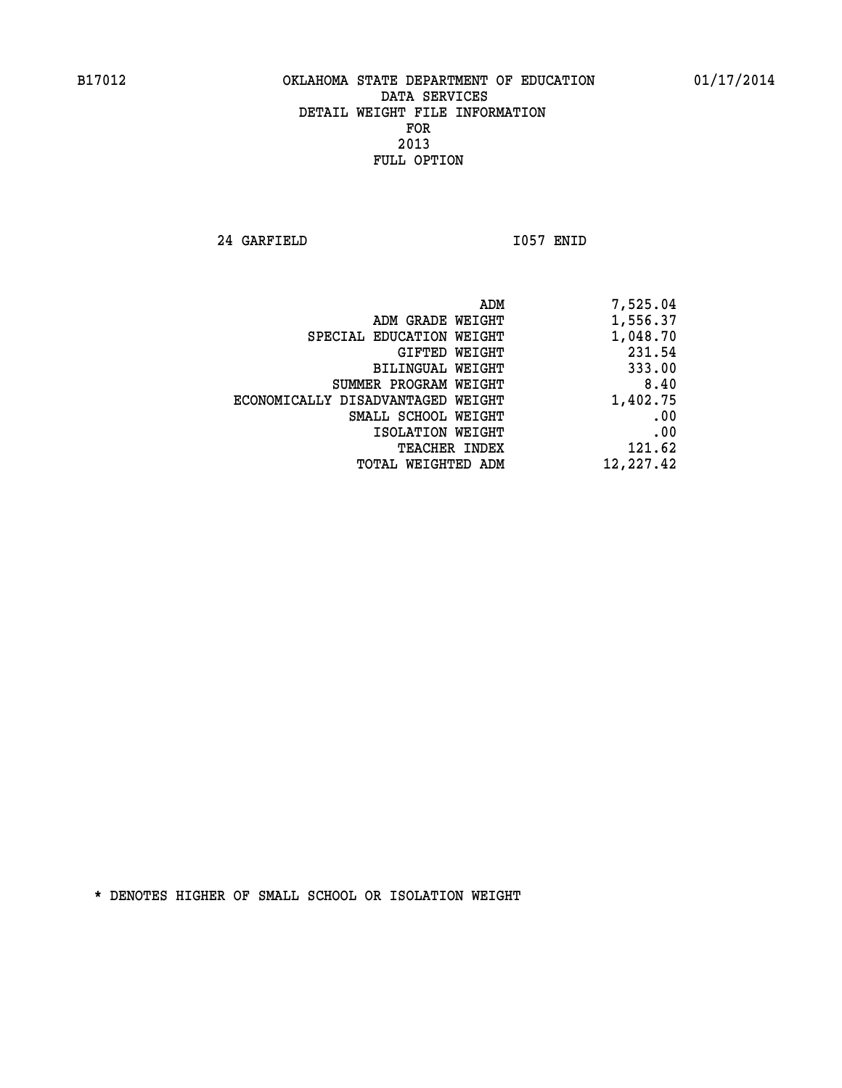**24 GARFIELD I057 ENID** 

|                                   | 7,525.04<br>ADM |
|-----------------------------------|-----------------|
| ADM GRADE WEIGHT                  | 1,556.37        |
| SPECIAL EDUCATION WEIGHT          | 1,048.70        |
| GIFTED WEIGHT                     | 231.54          |
| <b>BILINGUAL WEIGHT</b>           | 333.00          |
| SUMMER PROGRAM WEIGHT             | 8.40            |
| ECONOMICALLY DISADVANTAGED WEIGHT | 1,402.75        |
| SMALL SCHOOL WEIGHT               | .00             |
| ISOLATION WEIGHT                  | .00             |
| TEACHER INDEX                     | 121.62          |
| TOTAL WEIGHTED ADM                | 12,227.42       |
|                                   |                 |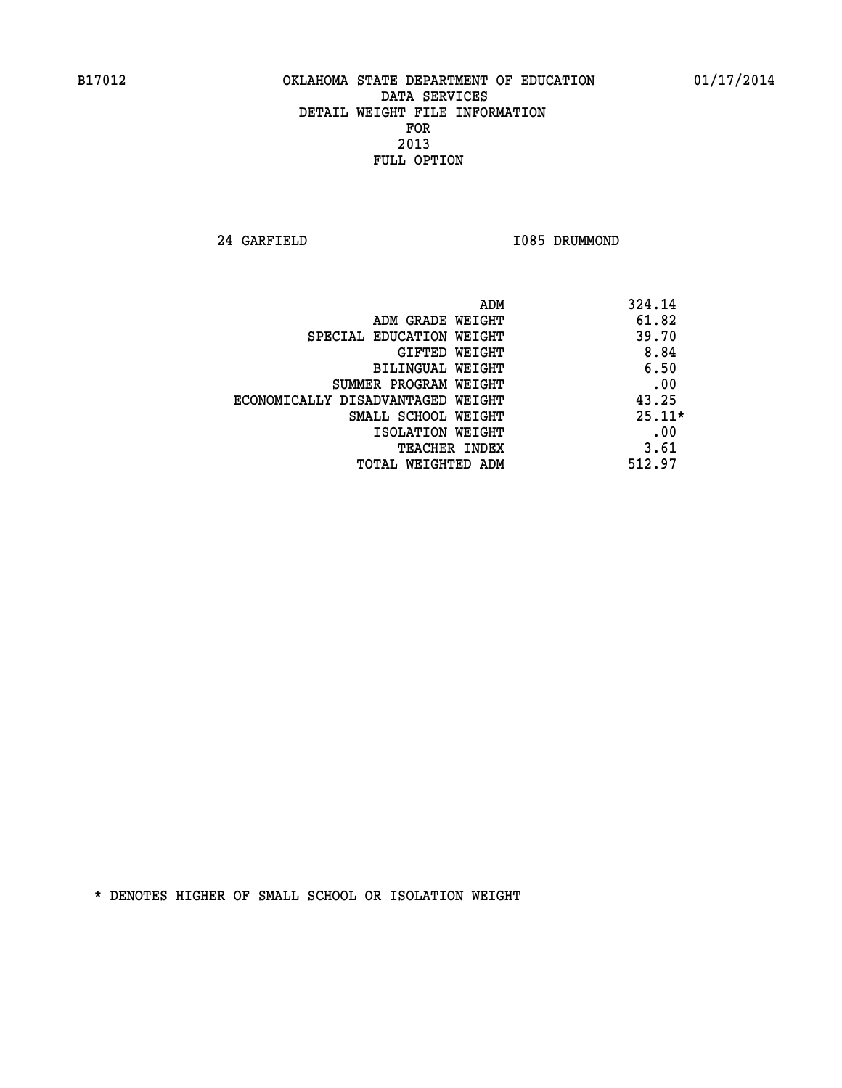**24 GARFIELD I085 DRUMMOND** 

| ADM                               | 324.14   |
|-----------------------------------|----------|
| ADM GRADE WEIGHT                  | 61.82    |
| SPECIAL EDUCATION WEIGHT          | 39.70    |
| GIFTED WEIGHT                     | 8.84     |
| BILINGUAL WEIGHT                  | 6.50     |
| SUMMER PROGRAM WEIGHT             | .00      |
| ECONOMICALLY DISADVANTAGED WEIGHT | 43.25    |
| SMALL SCHOOL WEIGHT               | $25.11*$ |
| ISOLATION WEIGHT                  | .00      |
| <b>TEACHER INDEX</b>              | 3.61     |
| TOTAL WEIGHTED ADM                | 512.97   |
|                                   |          |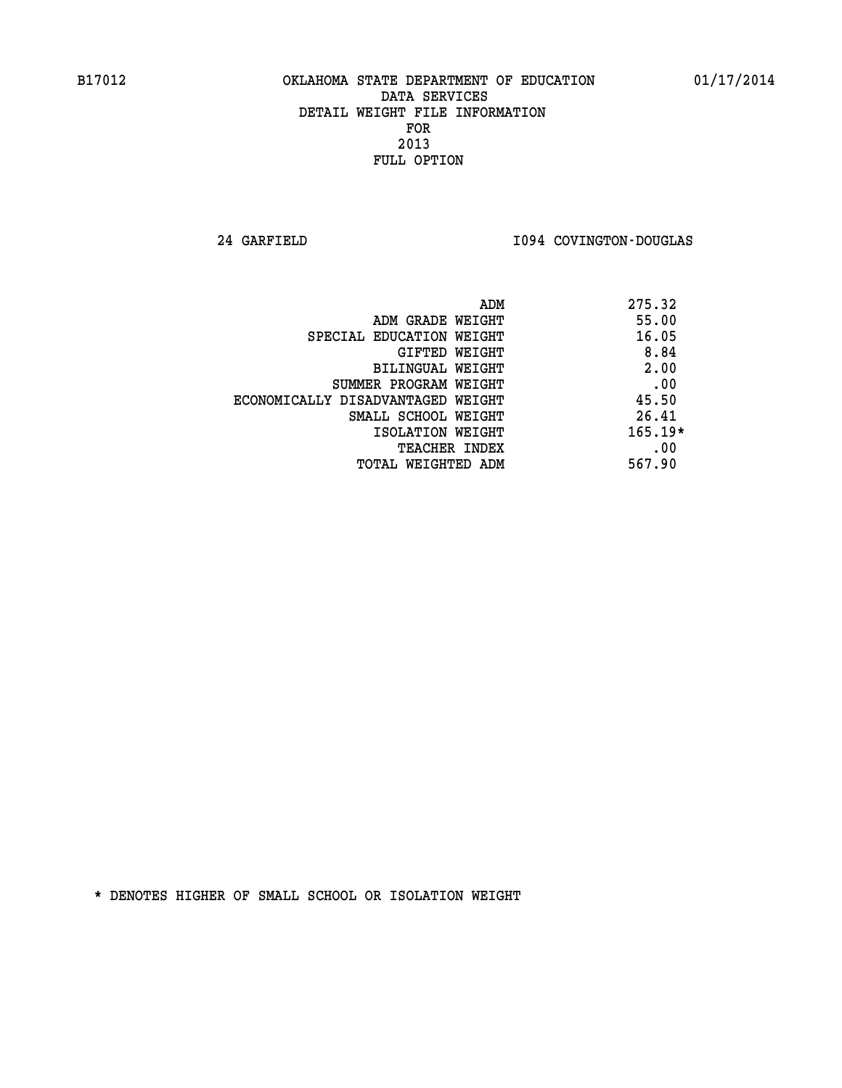**24 GARFIELD I094 COVINGTON-DOUGLAS** 

| 275.32<br>ADM                              |  |
|--------------------------------------------|--|
| 55.00<br>ADM GRADE WEIGHT                  |  |
| 16.05<br>SPECIAL EDUCATION WEIGHT          |  |
| 8.84<br>GIFTED WEIGHT                      |  |
| 2.00<br>BILINGUAL WEIGHT                   |  |
| .00<br>SUMMER PROGRAM WEIGHT               |  |
| 45.50<br>ECONOMICALLY DISADVANTAGED WEIGHT |  |
| 26.41<br>SMALL SCHOOL WEIGHT               |  |
| $165.19*$<br>ISOLATION WEIGHT              |  |
| .00<br><b>TEACHER INDEX</b>                |  |
| 567.90<br>TOTAL WEIGHTED ADM               |  |
|                                            |  |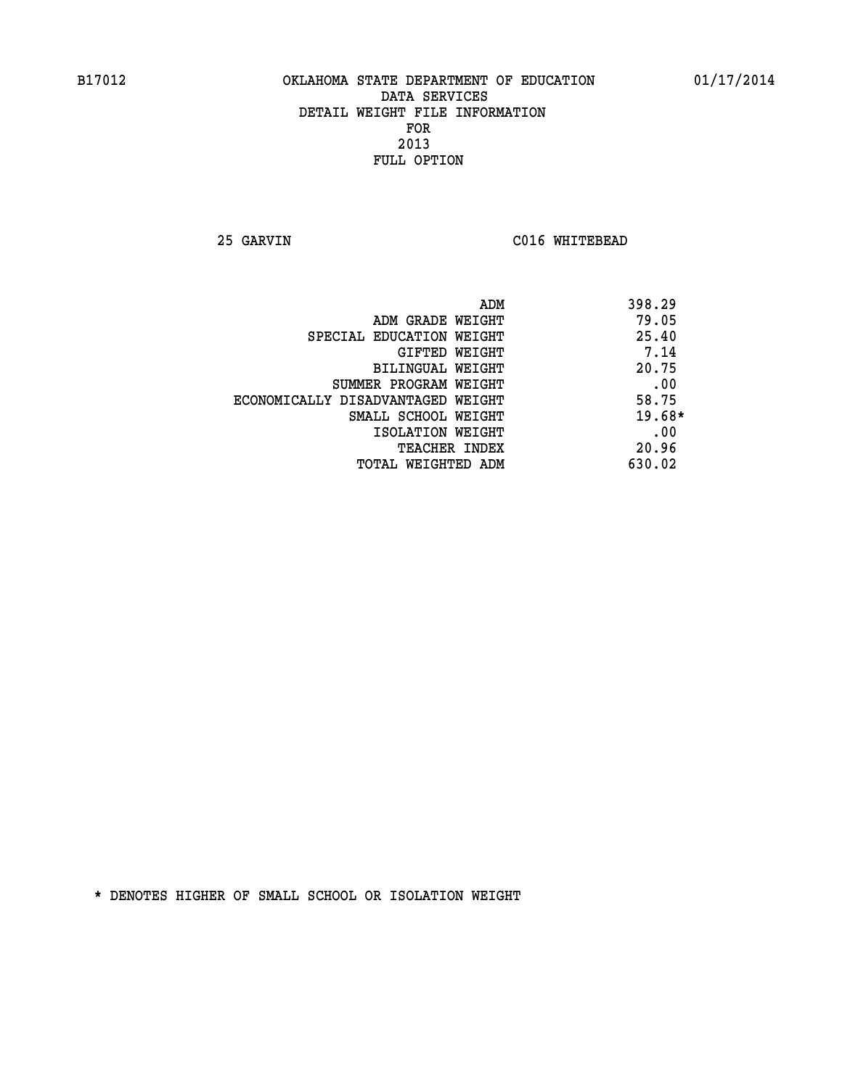**25 GARVIN C016 WHITEBEAD** 

|                                   | 398.29<br>ADM |
|-----------------------------------|---------------|
| ADM GRADE WEIGHT                  | 79.05         |
| SPECIAL EDUCATION WEIGHT          | 25.40         |
| GIFTED WEIGHT                     | 7.14          |
| BILINGUAL WEIGHT                  | 20.75         |
| SUMMER PROGRAM WEIGHT             | .00           |
| ECONOMICALLY DISADVANTAGED WEIGHT | 58.75         |
| SMALL SCHOOL WEIGHT               | $19.68*$      |
| ISOLATION WEIGHT                  | .00           |
| <b>TEACHER INDEX</b>              | 20.96         |
| TOTAL WEIGHTED ADM                | 630.02        |
|                                   |               |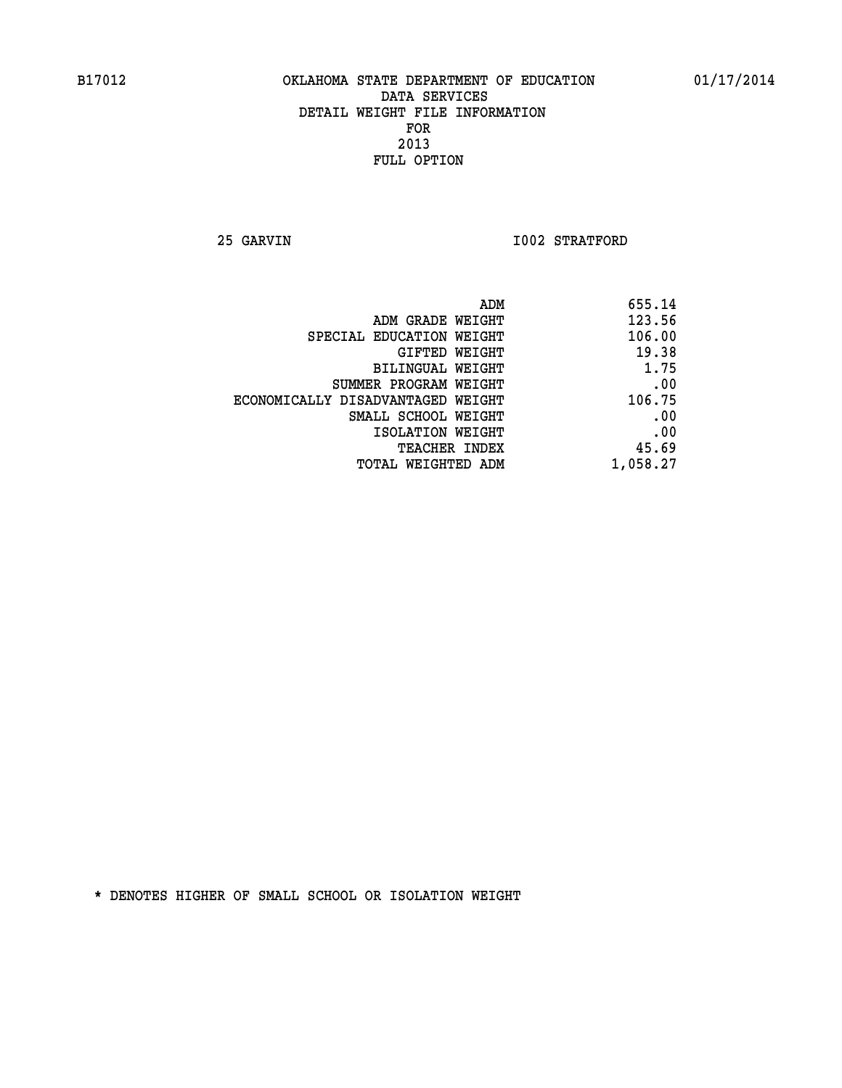**25 GARVIN 1002 STRATFORD** 

| 655.14   |
|----------|
| 123.56   |
| 106.00   |
| 19.38    |
| 1.75     |
| .00      |
| 106.75   |
| .00      |
| .00      |
| 45.69    |
| 1,058.27 |
|          |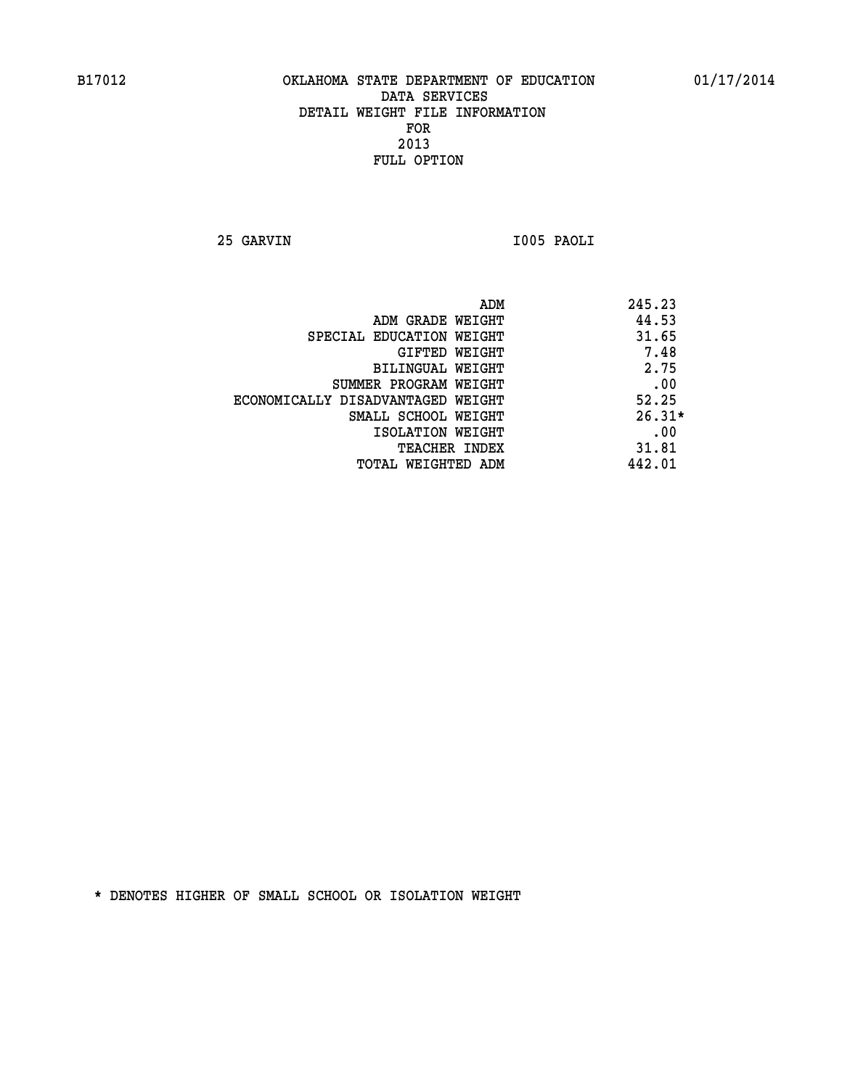**25 GARVIN I005 PAOLI** 

|                                   | 245.23<br>ADM |  |
|-----------------------------------|---------------|--|
| ADM GRADE WEIGHT                  | 44.53         |  |
| SPECIAL EDUCATION WEIGHT          | 31.65         |  |
| GIFTED WEIGHT                     | 7.48          |  |
| BILINGUAL WEIGHT                  | 2.75          |  |
| SUMMER PROGRAM WEIGHT             | .00           |  |
| ECONOMICALLY DISADVANTAGED WEIGHT | 52.25         |  |
| SMALL SCHOOL WEIGHT               | $26.31*$      |  |
| ISOLATION WEIGHT                  | .00           |  |
| <b>TEACHER INDEX</b>              | 31.81         |  |
| TOTAL WEIGHTED ADM                | 442.01        |  |
|                                   |               |  |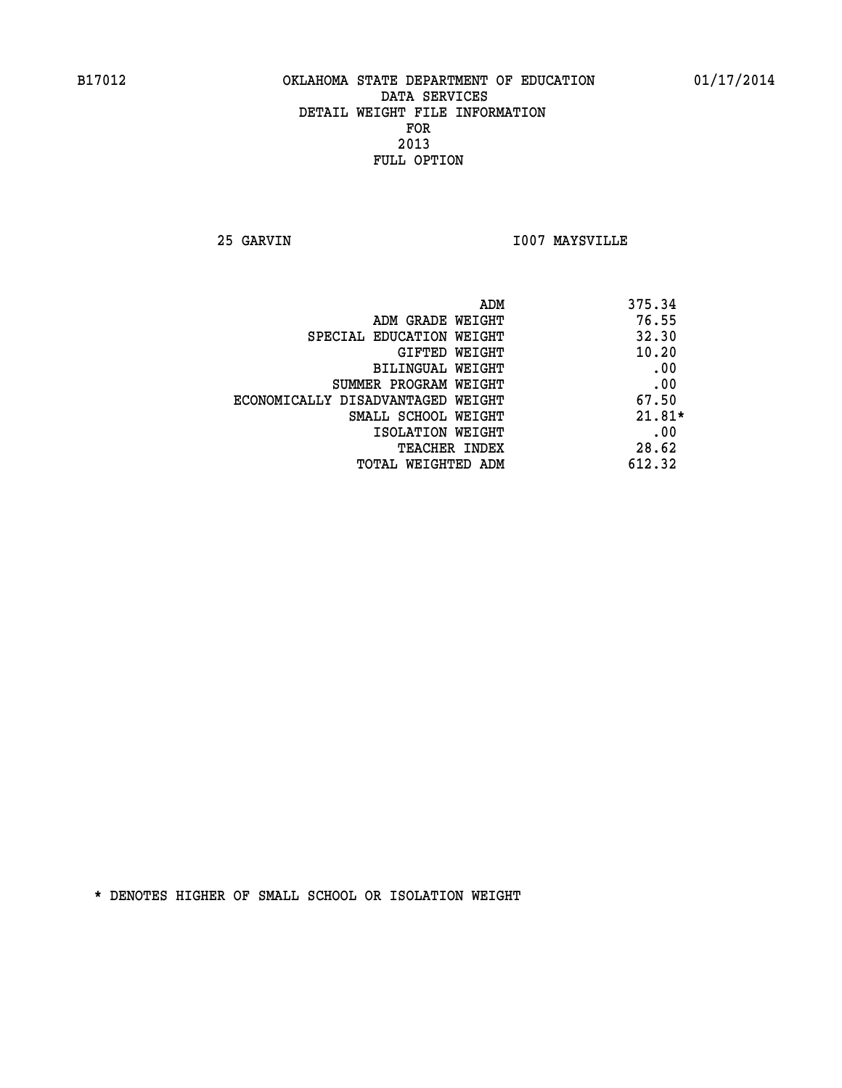**25 GARVIN I007 MAYSVILLE** 

| ADM                               | 375.34   |
|-----------------------------------|----------|
| ADM GRADE WEIGHT                  | 76.55    |
| SPECIAL EDUCATION WEIGHT          | 32.30    |
| GIFTED WEIGHT                     | 10.20    |
| BILINGUAL WEIGHT                  | .00      |
| SUMMER PROGRAM WEIGHT             | .00      |
| ECONOMICALLY DISADVANTAGED WEIGHT | 67.50    |
| SMALL SCHOOL WEIGHT               | $21.81*$ |
| ISOLATION WEIGHT                  | .00      |
| <b>TEACHER INDEX</b>              | 28.62    |
| TOTAL WEIGHTED ADM                | 612.32   |
|                                   |          |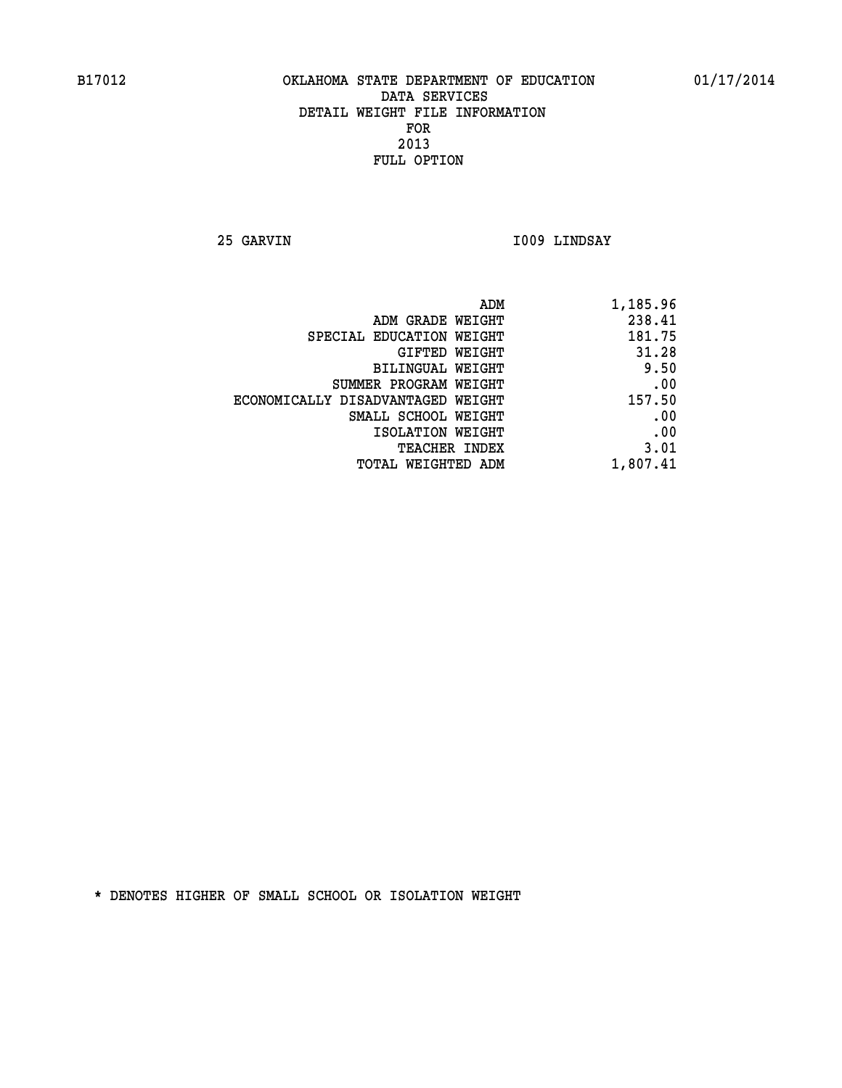**25 GARVIN I009 LINDSAY** 

| ADM                               | 1,185.96 |
|-----------------------------------|----------|
| ADM GRADE WEIGHT                  | 238.41   |
| SPECIAL EDUCATION WEIGHT          | 181.75   |
| GIFTED WEIGHT                     | 31.28    |
| BILINGUAL WEIGHT                  | 9.50     |
| SUMMER PROGRAM WEIGHT             | .00      |
| ECONOMICALLY DISADVANTAGED WEIGHT | 157.50   |
| SMALL SCHOOL WEIGHT               | .00      |
| ISOLATION WEIGHT                  | .00      |
| <b>TEACHER INDEX</b>              | 3.01     |
| <b>TOTAL WEIGHTED ADM</b>         | 1,807.41 |
|                                   |          |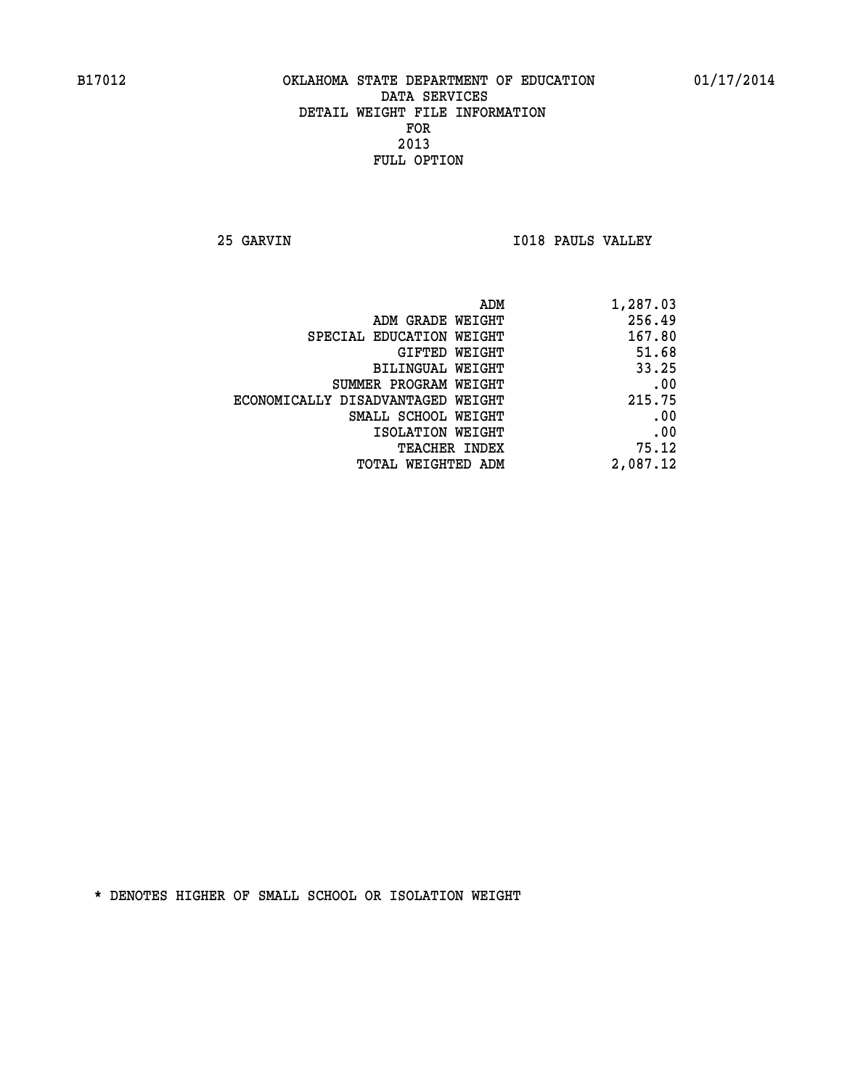**25 GARVIN I018 PAULS VALLEY** 

| ADM                               | 1,287.03 |
|-----------------------------------|----------|
| ADM GRADE WEIGHT                  | 256.49   |
| SPECIAL EDUCATION WEIGHT          | 167.80   |
| GIFTED WEIGHT                     | 51.68    |
| BILINGUAL WEIGHT                  | 33.25    |
| SUMMER PROGRAM WEIGHT             | .00      |
| ECONOMICALLY DISADVANTAGED WEIGHT | 215.75   |
| SMALL SCHOOL WEIGHT               | .00      |
| ISOLATION WEIGHT                  | .00      |
| <b>TEACHER INDEX</b>              | 75.12    |
| <b>TOTAL WEIGHTED ADM</b>         | 2,087.12 |
|                                   |          |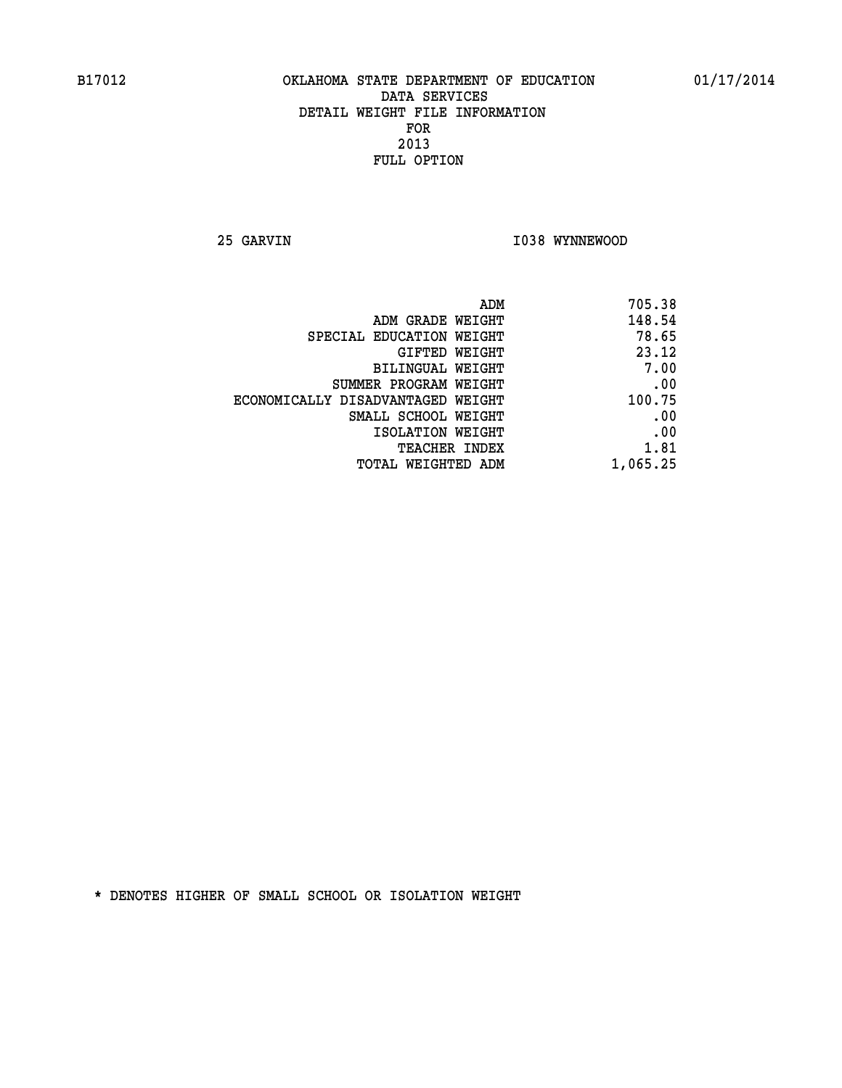**25 GARVIN 1038 WYNNEWOOD** 

| 705.38   |
|----------|
| 148.54   |
| 78.65    |
| 23.12    |
| 7.00     |
| .00      |
| 100.75   |
| .00      |
| .00      |
| 1.81     |
| 1,065.25 |
|          |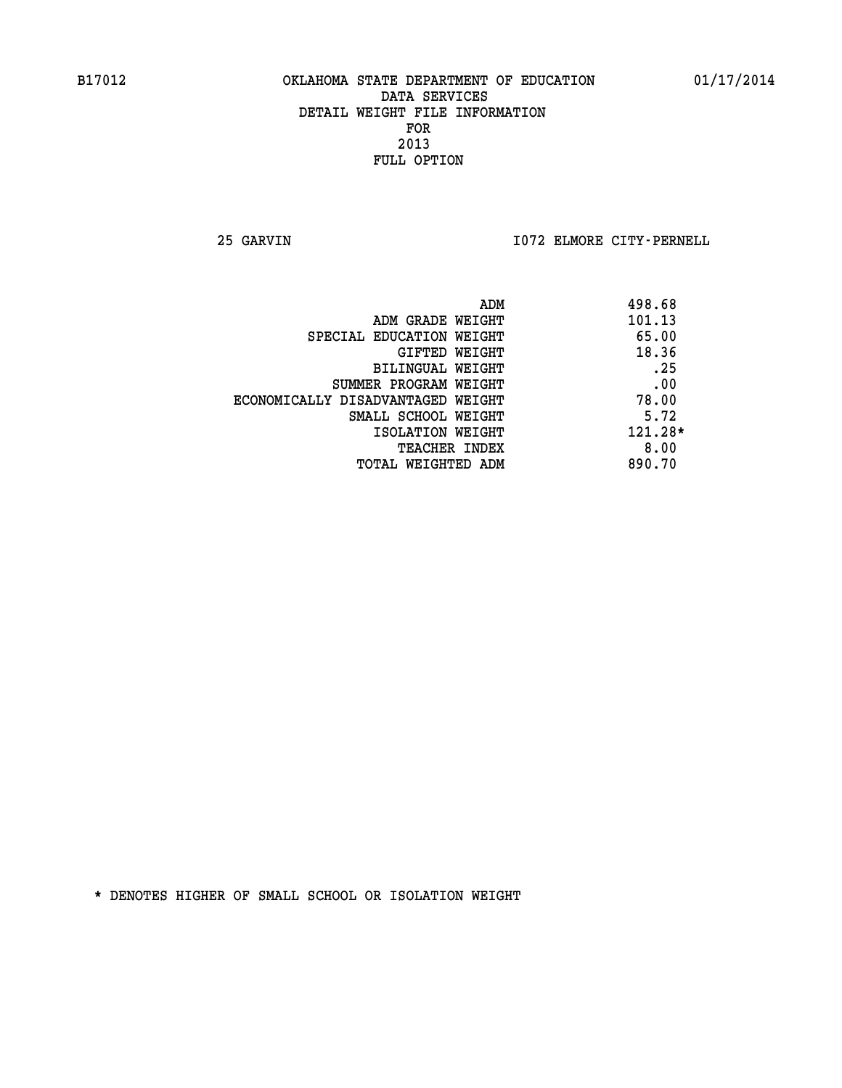**25 GARVIN I072 ELMORE CITY-PERNELL** 

|                                   | ADM | 498.68    |
|-----------------------------------|-----|-----------|
| ADM GRADE WEIGHT                  |     | 101.13    |
| SPECIAL EDUCATION WEIGHT          |     | 65.00     |
| GIFTED WEIGHT                     |     | 18.36     |
| BILINGUAL WEIGHT                  |     | .25       |
| SUMMER PROGRAM WEIGHT             |     | .00       |
| ECONOMICALLY DISADVANTAGED WEIGHT |     | 78.00     |
| SMALL SCHOOL WEIGHT               |     | 5.72      |
| ISOLATION WEIGHT                  |     | $121.28*$ |
| TEACHER INDEX                     |     | 8.00      |
| TOTAL WEIGHTED ADM                |     | 890.70    |
|                                   |     |           |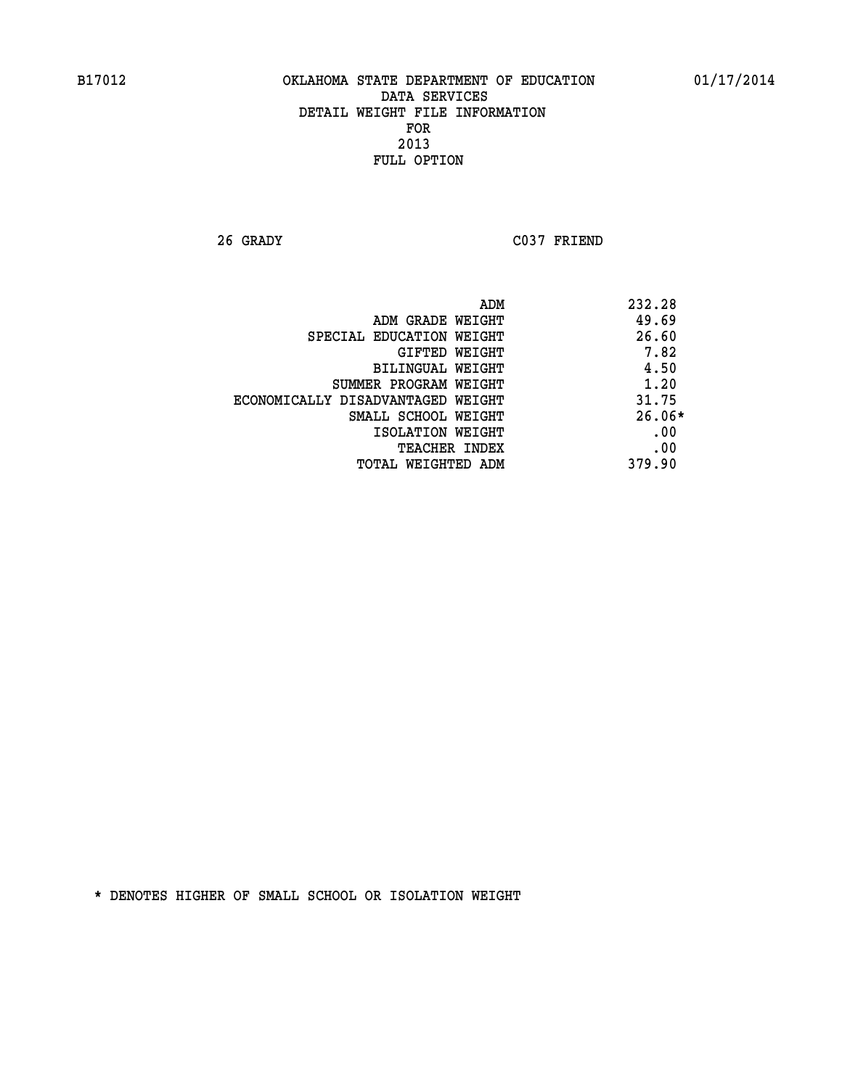**26 GRADY C037 FRIEND** 

|                                   | 232.28<br>ADM |
|-----------------------------------|---------------|
| ADM GRADE WEIGHT                  | 49.69         |
| SPECIAL EDUCATION WEIGHT          | 26.60         |
| GIFTED WEIGHT                     | 7.82          |
| <b>BILINGUAL WEIGHT</b>           | 4.50          |
| SUMMER PROGRAM WEIGHT             | 1.20          |
| ECONOMICALLY DISADVANTAGED WEIGHT | 31.75         |
| SMALL SCHOOL WEIGHT               | $26.06*$      |
| ISOLATION WEIGHT                  | .00           |
| <b>TEACHER INDEX</b>              | .00           |
| TOTAL WEIGHTED ADM                | 379.90        |
|                                   |               |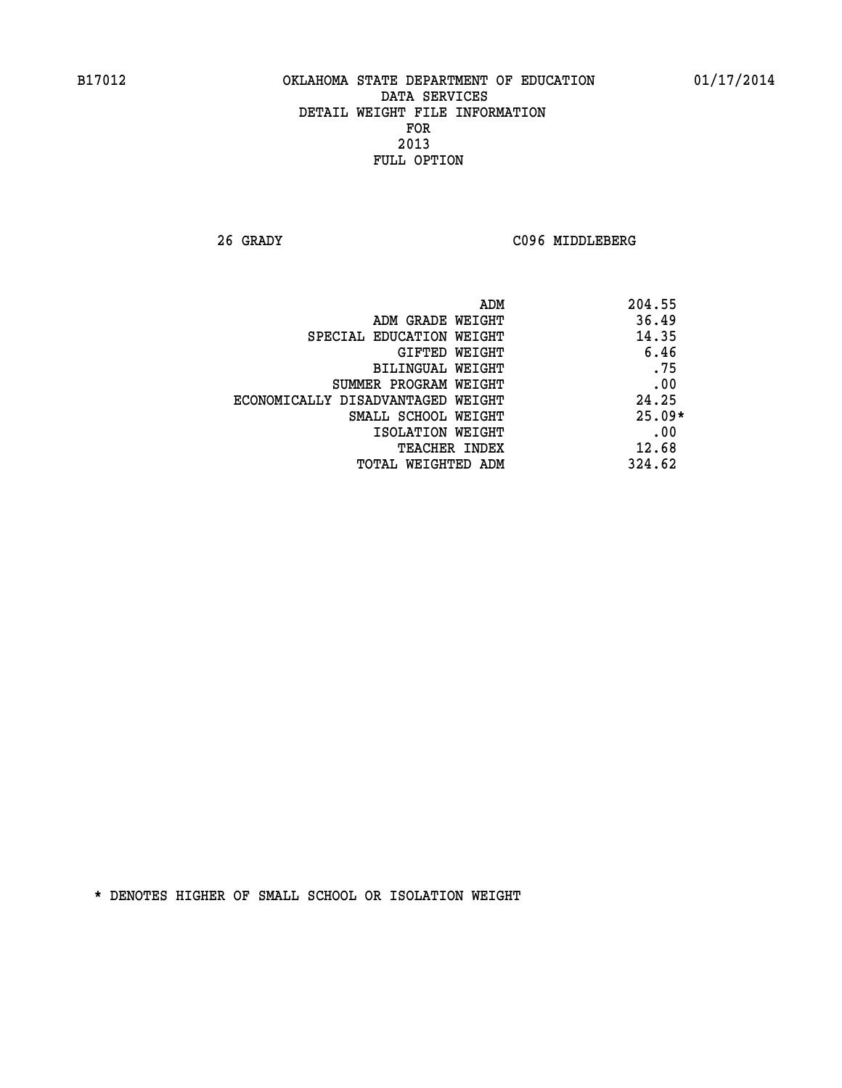**26 GRADY C096 MIDDLEBERG** 

| ADM                               | 204.55   |
|-----------------------------------|----------|
| ADM GRADE WEIGHT                  | 36.49    |
| SPECIAL EDUCATION WEIGHT          | 14.35    |
| GIFTED WEIGHT                     | 6.46     |
| BILINGUAL WEIGHT                  | .75      |
| SUMMER PROGRAM WEIGHT             | .00      |
| ECONOMICALLY DISADVANTAGED WEIGHT | 24.25    |
| SMALL SCHOOL WEIGHT               | $25.09*$ |
| ISOLATION WEIGHT                  | .00      |
| <b>TEACHER INDEX</b>              | 12.68    |
| TOTAL WEIGHTED ADM                | 324.62   |
|                                   |          |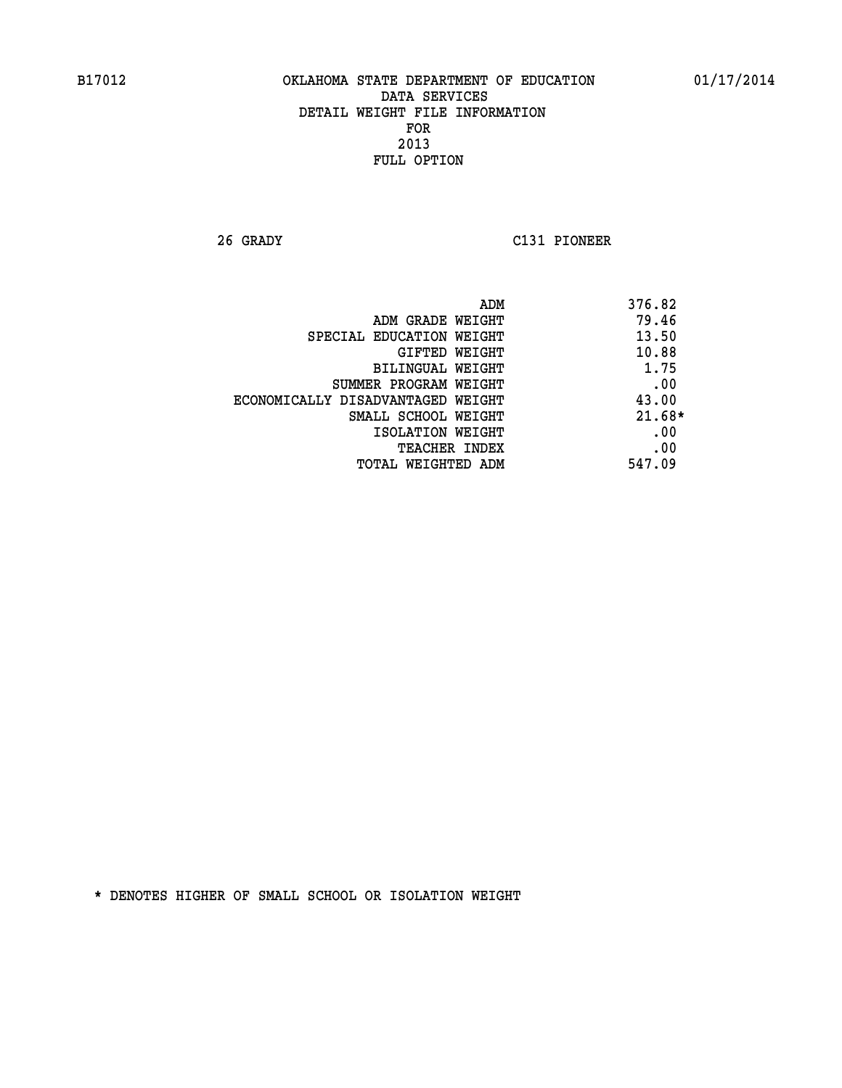**26 GRADY C131 PIONEER** 

| ADM                               | 376.82   |
|-----------------------------------|----------|
| ADM GRADE WEIGHT                  | 79.46    |
| SPECIAL EDUCATION WEIGHT          | 13.50    |
| GIFTED WEIGHT                     | 10.88    |
| BILINGUAL WEIGHT                  | 1.75     |
| SUMMER PROGRAM WEIGHT             | .00      |
| ECONOMICALLY DISADVANTAGED WEIGHT | 43.00    |
| SMALL SCHOOL WEIGHT               | $21.68*$ |
| ISOLATION WEIGHT                  | .00      |
| <b>TEACHER INDEX</b>              | .00      |
| TOTAL WEIGHTED ADM                | 547.09   |
|                                   |          |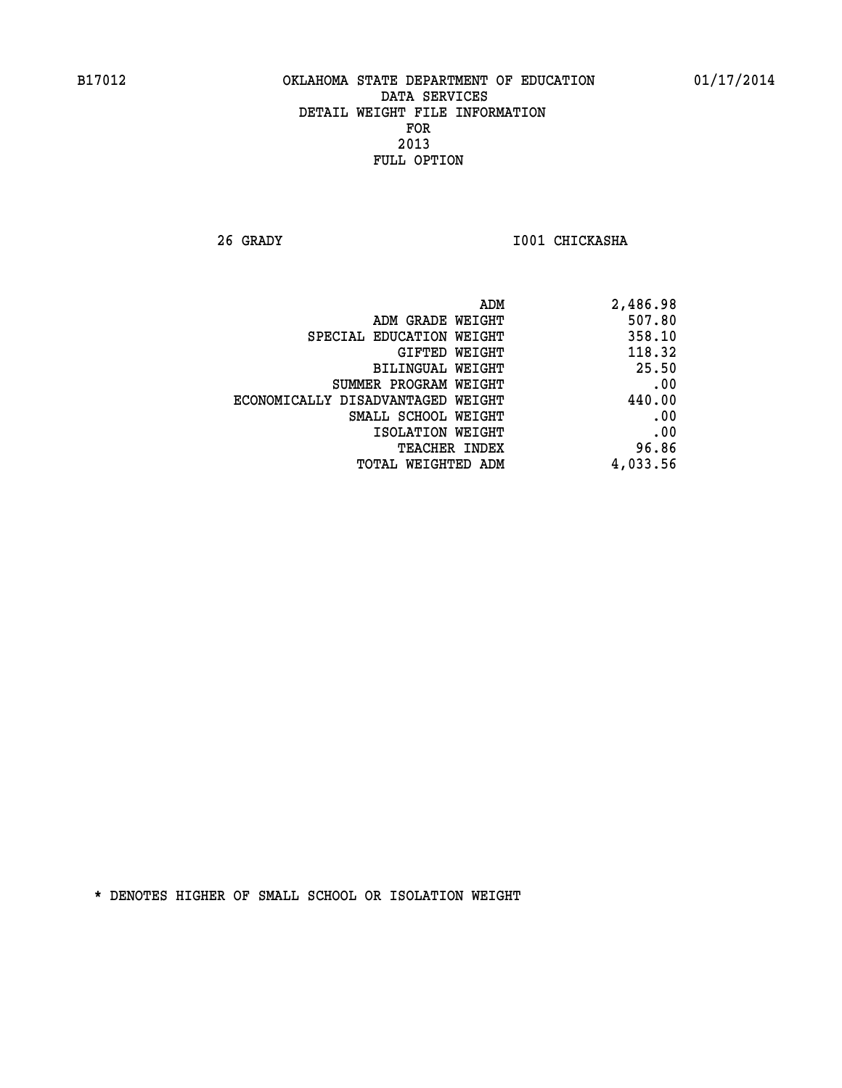**26 GRADY I001 CHICKASHA** 

| 2,486.98 |
|----------|
| 507.80   |
| 358.10   |
| 118.32   |
| 25.50    |
| .00      |
| 440.00   |
| .00      |
| .00      |
| 96.86    |
| 4,033.56 |
|          |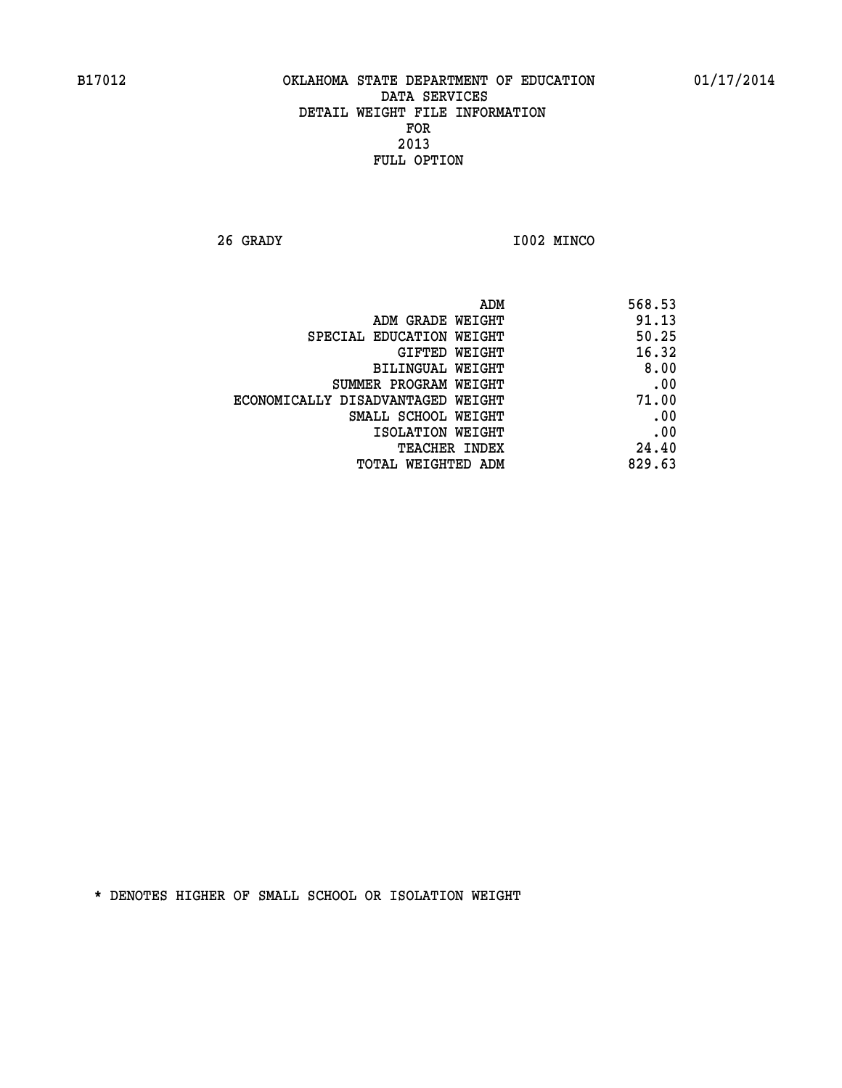**26 GRADY I002 MINCO** 

| ADM<br>568.53                              |
|--------------------------------------------|
| 91.13<br>ADM GRADE WEIGHT                  |
| 50.25<br>SPECIAL EDUCATION WEIGHT          |
| 16.32<br>GIFTED WEIGHT                     |
| 8.00<br>BILINGUAL WEIGHT                   |
| .00<br>SUMMER PROGRAM WEIGHT               |
| 71.00<br>ECONOMICALLY DISADVANTAGED WEIGHT |
| .00<br>SMALL SCHOOL WEIGHT                 |
| .00<br>ISOLATION WEIGHT                    |
| 24.40<br>TEACHER INDEX                     |
| 829.63<br>TOTAL WEIGHTED ADM               |
|                                            |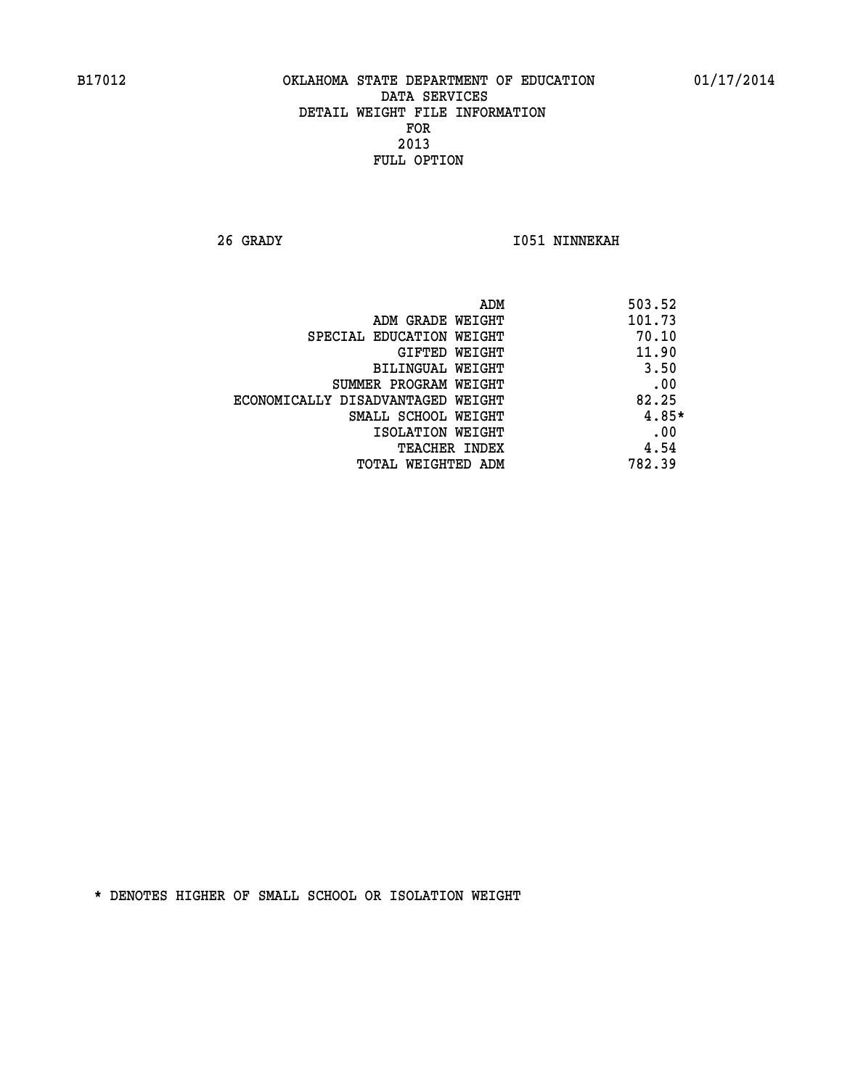**26 GRADY I051 NINNEKAH** 

| ADM                               | 503.52 |
|-----------------------------------|--------|
| ADM GRADE WEIGHT                  | 101.73 |
| SPECIAL EDUCATION WEIGHT          | 70.10  |
| <b>GIFTED WEIGHT</b>              | 11.90  |
| BILINGUAL WEIGHT                  | 3.50   |
| SUMMER PROGRAM WEIGHT             | .00    |
| ECONOMICALLY DISADVANTAGED WEIGHT | 82.25  |
| SMALL SCHOOL WEIGHT               | 4.85*  |
| ISOLATION WEIGHT                  | .00    |
| <b>TEACHER INDEX</b>              | 4.54   |
| TOTAL WEIGHTED ADM                | 782.39 |
|                                   |        |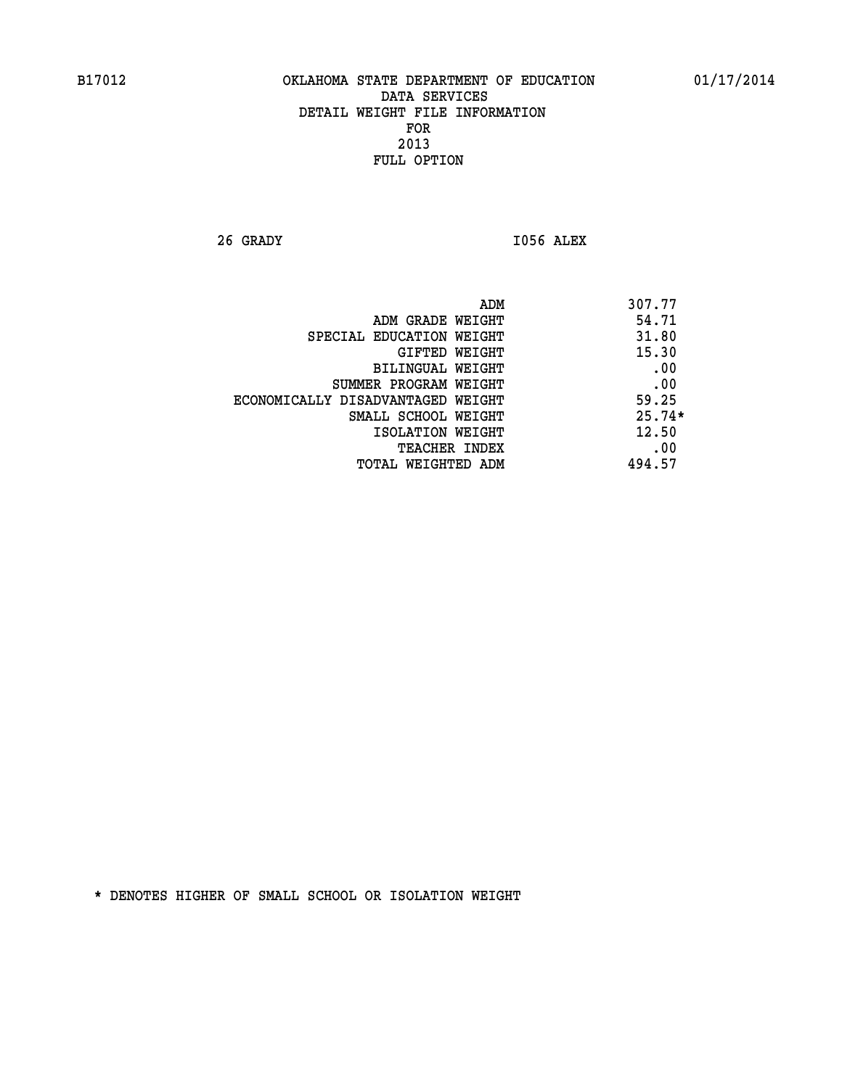**26 GRADY I056 ALEX** 

|                                   | ADM | 307.77   |
|-----------------------------------|-----|----------|
| ADM GRADE WEIGHT                  |     | 54.71    |
| SPECIAL EDUCATION WEIGHT          |     | 31.80    |
| GIFTED WEIGHT                     |     | 15.30    |
| BILINGUAL WEIGHT                  |     | .00      |
| SUMMER PROGRAM WEIGHT             |     | .00      |
| ECONOMICALLY DISADVANTAGED WEIGHT |     | 59.25    |
| SMALL SCHOOL WEIGHT               |     | $25.74*$ |
| ISOLATION WEIGHT                  |     | 12.50    |
| TEACHER INDEX                     |     | .00      |
| TOTAL WEIGHTED ADM                |     | 494.57   |
|                                   |     |          |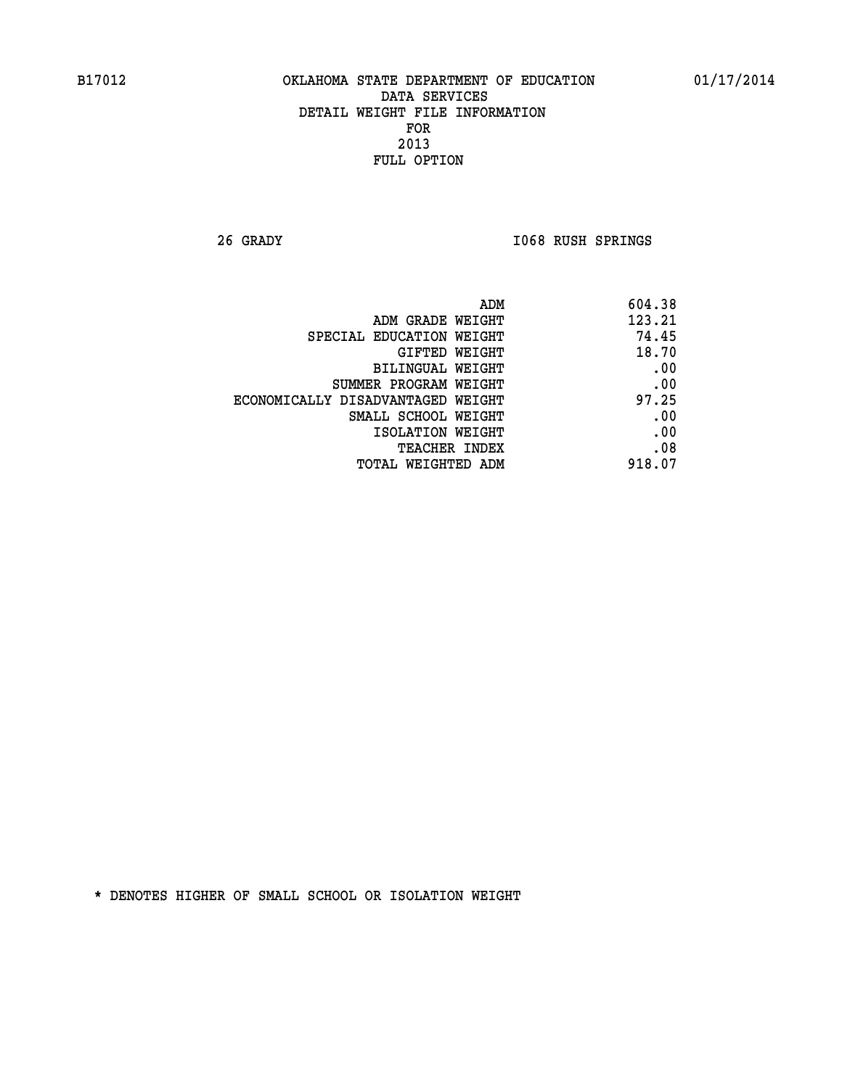**26 GRADY I068 RUSH SPRINGS** 

| 604.38 |
|--------|
| 123.21 |
| 74.45  |
| 18.70  |
| .00    |
| .00    |
| 97.25  |
| .00    |
| .00    |
| .08    |
| 918.07 |
|        |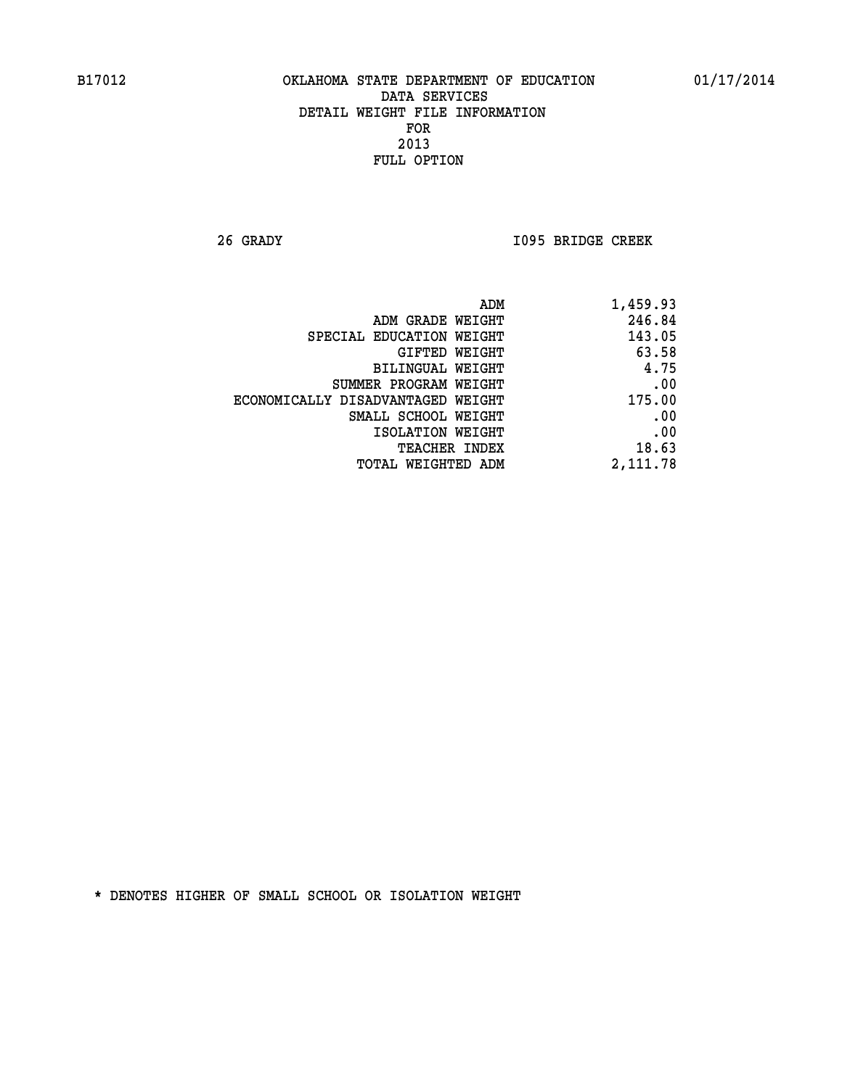**26 GRADY I095 BRIDGE CREEK** 

| 1,459.93 |
|----------|
| 246.84   |
| 143.05   |
| 63.58    |
| 4.75     |
| .00      |
| 175.00   |
| .00      |
| .00      |
| 18.63    |
| 2,111.78 |
|          |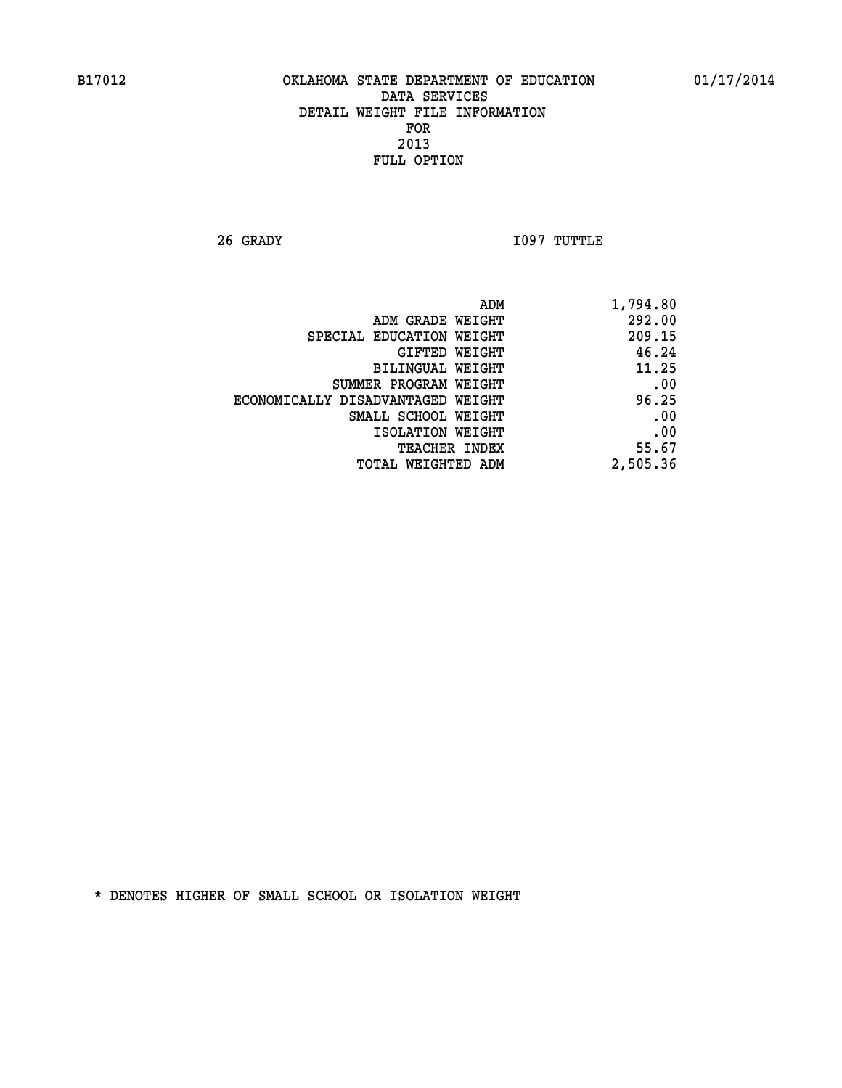**26 GRADY I097 TUTTLE** 

| 1,794.80 |
|----------|
| 292.00   |
| 209.15   |
| 46.24    |
| 11.25    |
| .00      |
| 96.25    |
| .00      |
| .00      |
| 55.67    |
| 2,505.36 |
|          |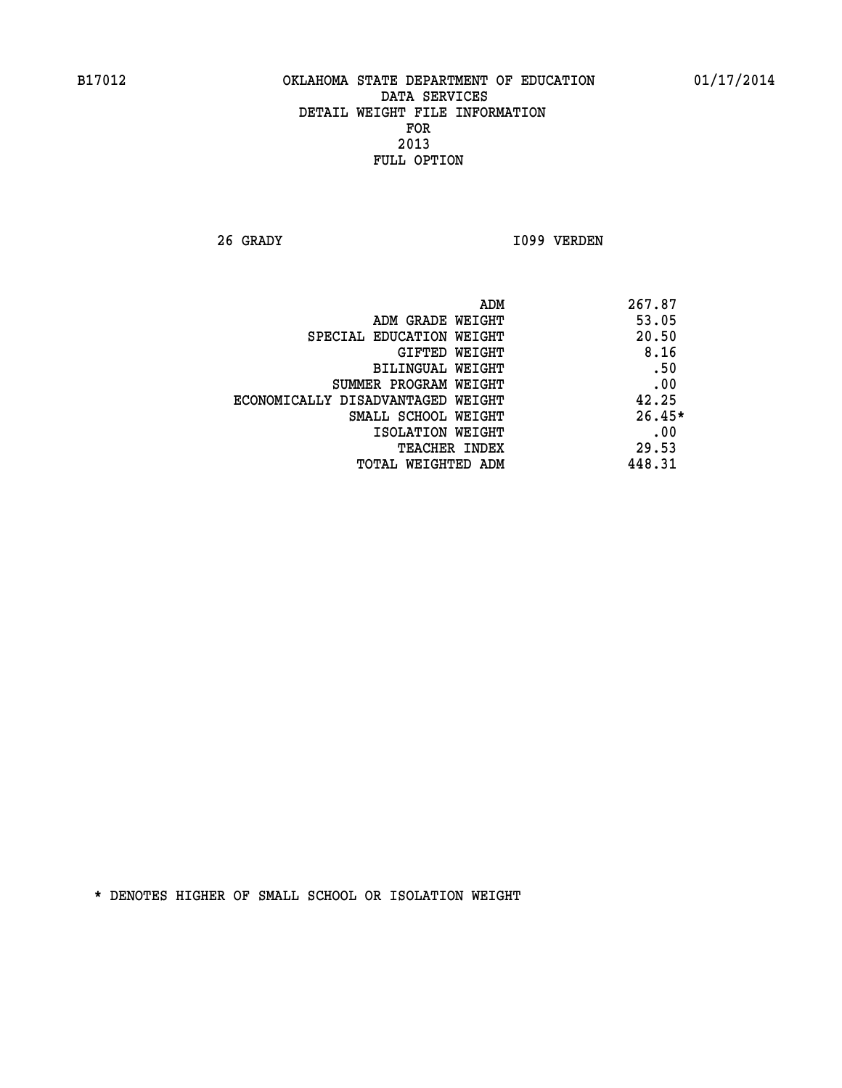**26 GRADY I099 VERDEN** 

| ADM<br>267.87                     |          |
|-----------------------------------|----------|
| ADM GRADE WEIGHT                  | 53.05    |
| SPECIAL EDUCATION WEIGHT          | 20.50    |
| GIFTED WEIGHT                     | 8.16     |
| BILINGUAL WEIGHT                  | .50      |
| SUMMER PROGRAM WEIGHT             | .00      |
| ECONOMICALLY DISADVANTAGED WEIGHT | 42.25    |
| SMALL SCHOOL WEIGHT               | $26.45*$ |
| ISOLATION WEIGHT                  | .00      |
| <b>TEACHER INDEX</b>              | 29.53    |
| 448.31<br>TOTAL WEIGHTED ADM      |          |
|                                   |          |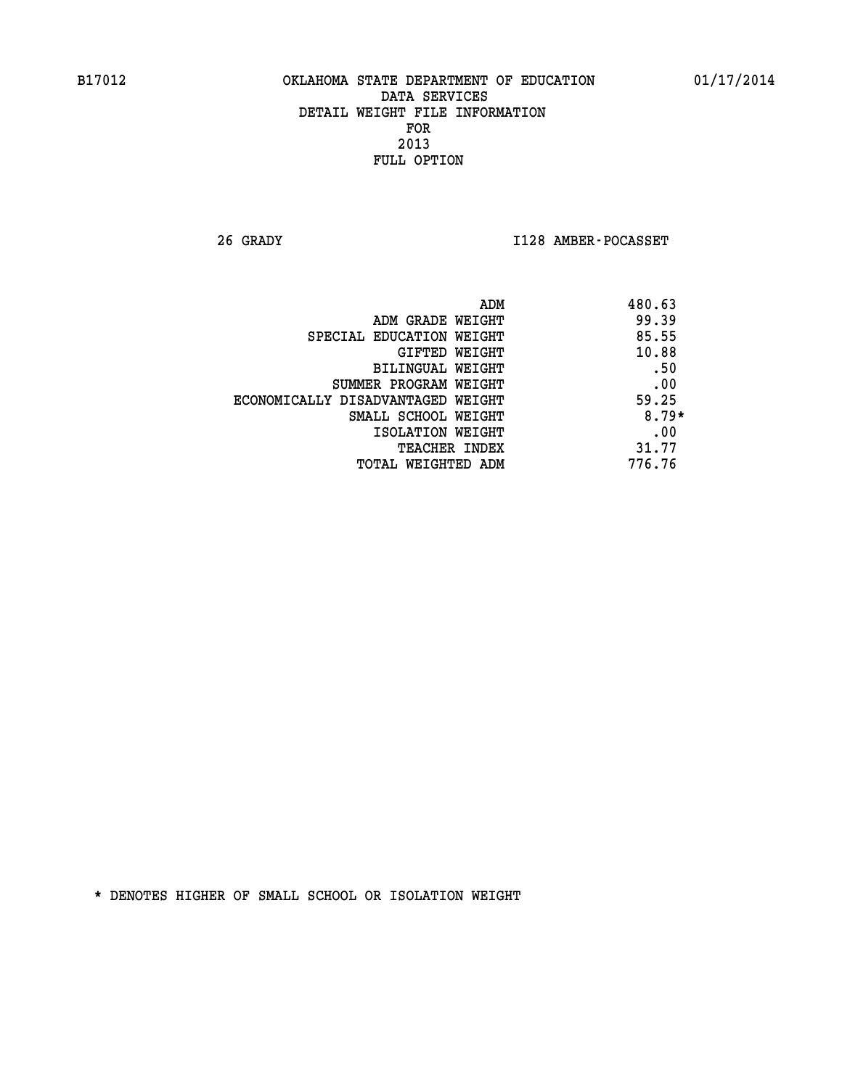**26 GRADY I128 AMBER-POCASSET** 

|                                   | 480.63<br>ADM |
|-----------------------------------|---------------|
| ADM GRADE WEIGHT                  | 99.39         |
| SPECIAL EDUCATION WEIGHT          | 85.55         |
| GIFTED WEIGHT                     | 10.88         |
| BILINGUAL WEIGHT                  | .50           |
| SUMMER PROGRAM WEIGHT             | .00           |
| ECONOMICALLY DISADVANTAGED WEIGHT | 59.25         |
| SMALL SCHOOL WEIGHT               | $8.79*$       |
| ISOLATION WEIGHT                  | .00           |
| <b>TEACHER INDEX</b>              | 31.77         |
| TOTAL WEIGHTED ADM                | 776.76        |
|                                   |               |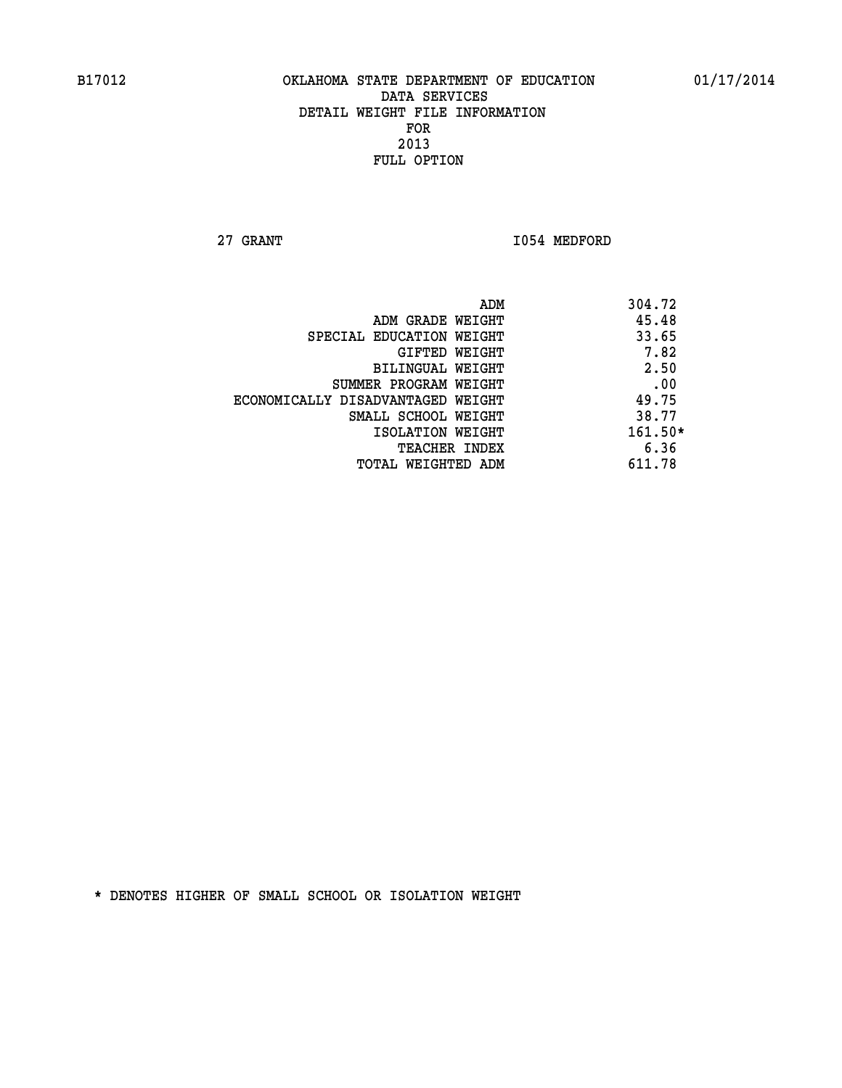**27 GRANT 1054 MEDFORD** 

|                                   | ADM | 304.72    |
|-----------------------------------|-----|-----------|
| ADM GRADE WEIGHT                  |     | 45.48     |
| SPECIAL EDUCATION WEIGHT          |     | 33.65     |
| GIFTED WEIGHT                     |     | 7.82      |
| BILINGUAL WEIGHT                  |     | 2.50      |
| SUMMER PROGRAM WEIGHT             |     | .00       |
| ECONOMICALLY DISADVANTAGED WEIGHT |     | 49.75     |
| SMALL SCHOOL WEIGHT               |     | 38.77     |
| ISOLATION WEIGHT                  |     | $161.50*$ |
| TEACHER INDEX                     |     | 6.36      |
| TOTAL WEIGHTED ADM                |     | 611.78    |
|                                   |     |           |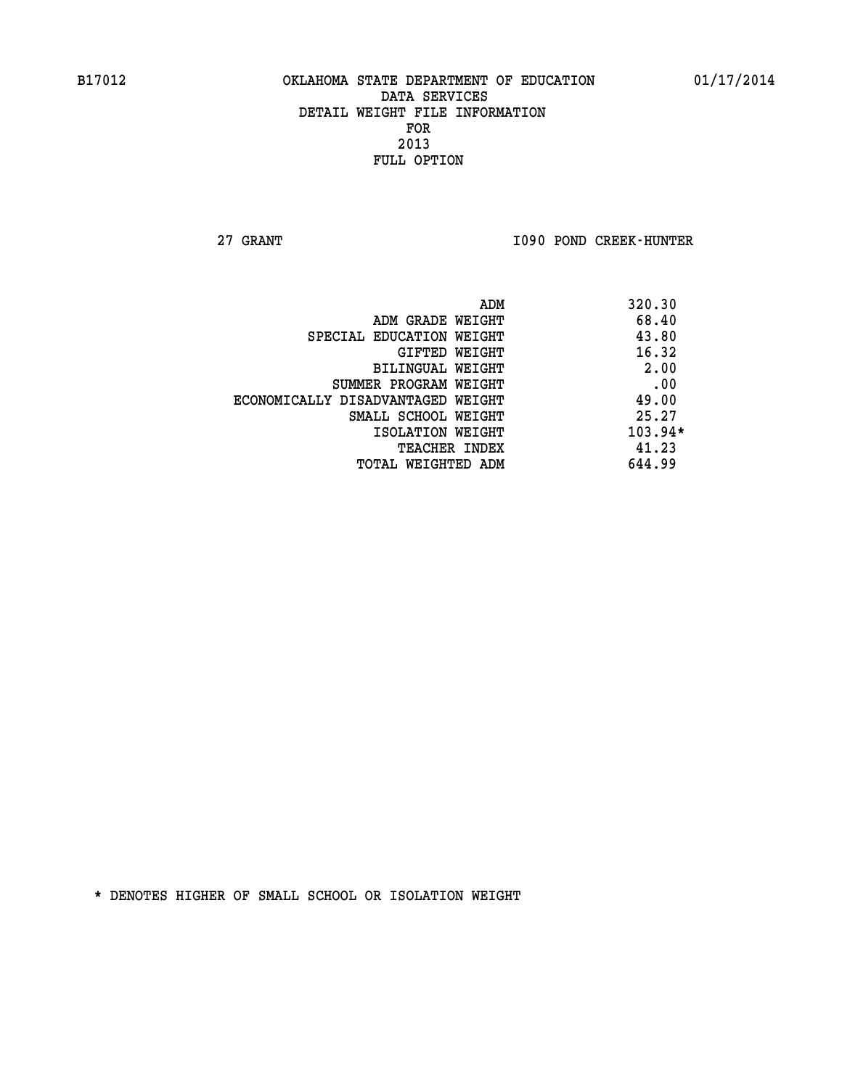**27 GRANT I090 POND CREEK-HUNTER** 

| ADM                               | 320.30    |
|-----------------------------------|-----------|
| ADM GRADE WEIGHT                  | 68.40     |
| SPECIAL EDUCATION WEIGHT          | 43.80     |
| GIFTED WEIGHT                     | 16.32     |
| BILINGUAL WEIGHT                  | 2.00      |
| SUMMER PROGRAM WEIGHT             | .00       |
| ECONOMICALLY DISADVANTAGED WEIGHT | 49.00     |
| SMALL SCHOOL WEIGHT               | 25.27     |
| ISOLATION WEIGHT                  | $103.94*$ |
| <b>TEACHER INDEX</b>              | 41.23     |
| TOTAL WEIGHTED ADM                | 644.99    |
|                                   |           |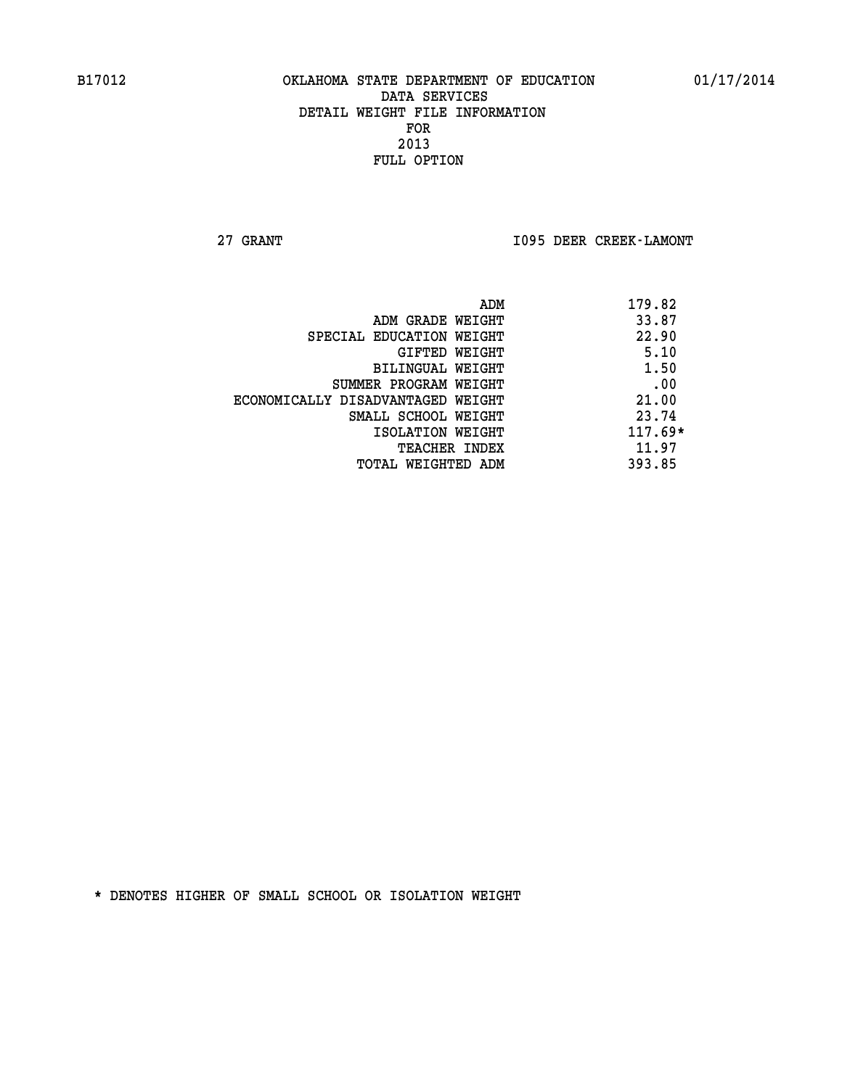**27 GRANT I095 DEER CREEK-LAMONT** 

| ADM                               | 179.82    |
|-----------------------------------|-----------|
| ADM GRADE WEIGHT                  | 33.87     |
| SPECIAL EDUCATION WEIGHT          | 22.90     |
| GIFTED WEIGHT                     | 5.10      |
| BILINGUAL WEIGHT                  | 1.50      |
| SUMMER PROGRAM WEIGHT             | .00       |
| ECONOMICALLY DISADVANTAGED WEIGHT | 21.00     |
| SMALL SCHOOL WEIGHT               | 23.74     |
| ISOLATION WEIGHT                  | $117.69*$ |
| <b>TEACHER INDEX</b>              | 11.97     |
| TOTAL WEIGHTED ADM                | 393.85    |
|                                   |           |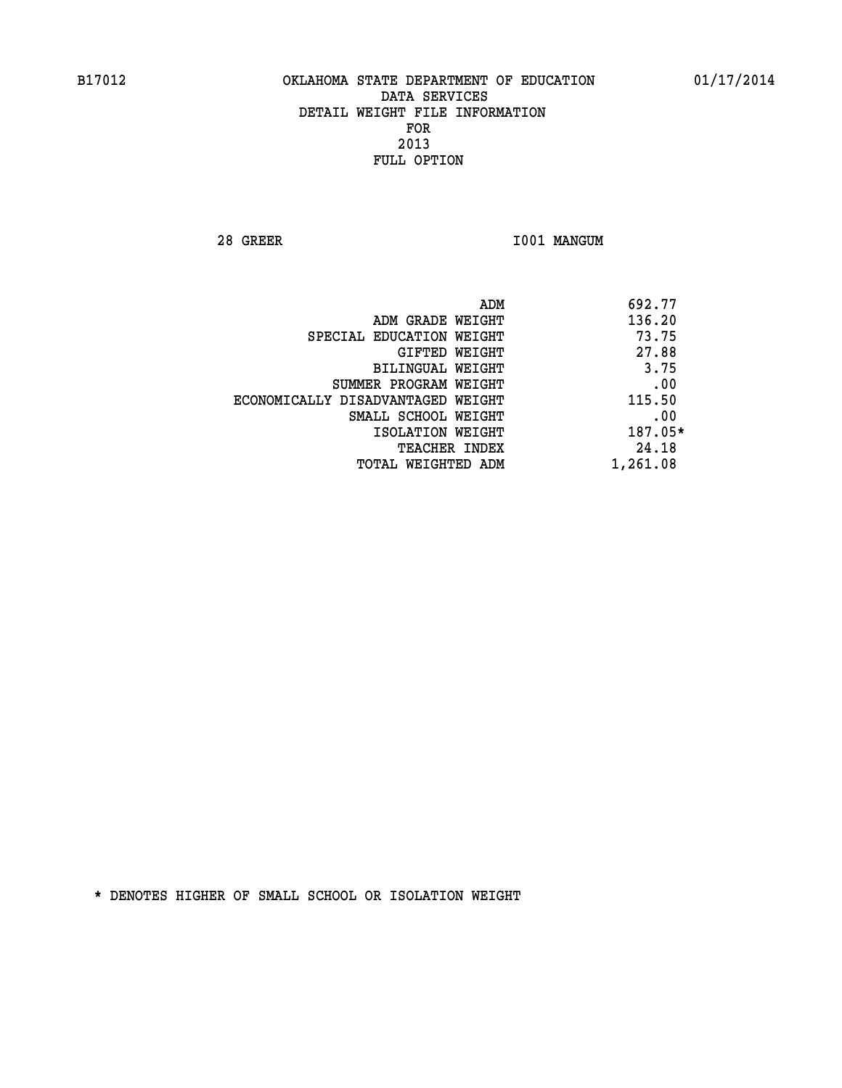**28 GREER I001 MANGUM** 

|                                   | ADM | 692.77   |
|-----------------------------------|-----|----------|
| ADM GRADE WEIGHT                  |     | 136.20   |
| SPECIAL EDUCATION WEIGHT          |     | 73.75    |
| GIFTED WEIGHT                     |     | 27.88    |
| BILINGUAL WEIGHT                  |     | 3.75     |
| SUMMER PROGRAM WEIGHT             |     | .00      |
| ECONOMICALLY DISADVANTAGED WEIGHT |     | 115.50   |
| SMALL SCHOOL WEIGHT               |     | .00      |
| ISOLATION WEIGHT                  |     | 187.05*  |
| TEACHER INDEX                     |     | 24.18    |
| TOTAL WEIGHTED ADM                |     | 1,261.08 |
|                                   |     |          |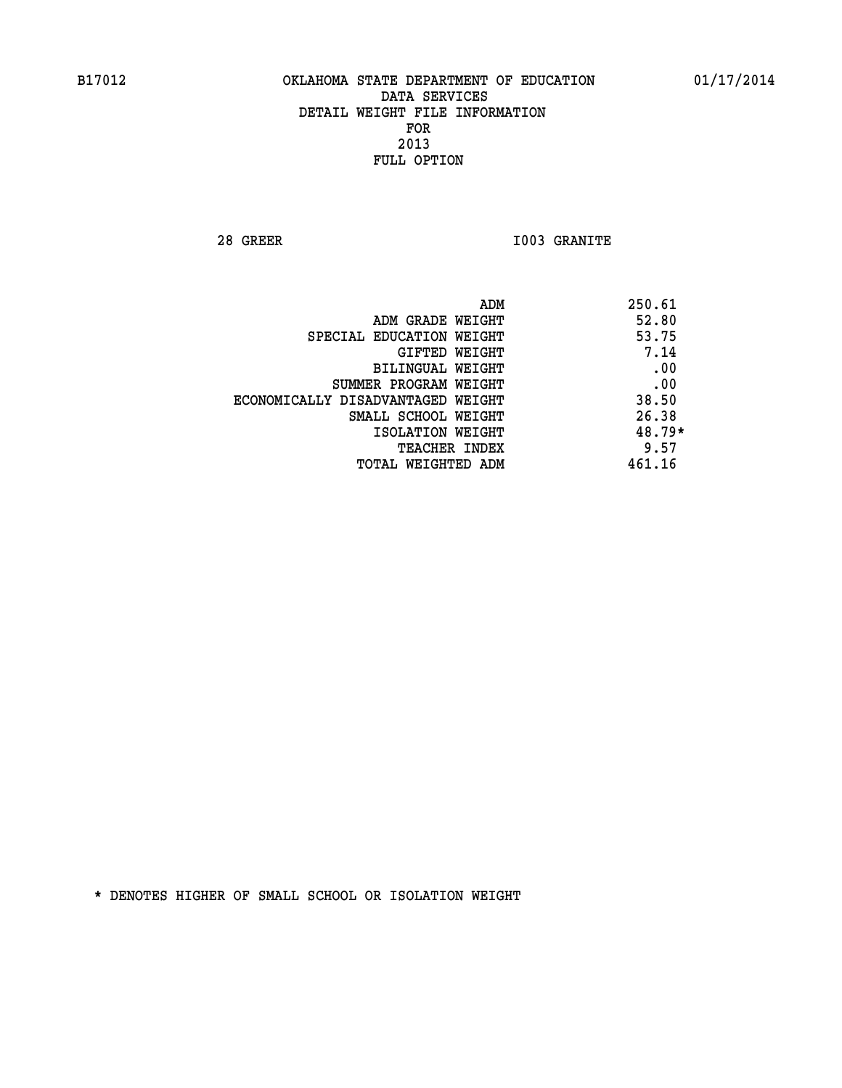**28 GREER I003 GRANITE** 

| ADM                               | 250.61   |
|-----------------------------------|----------|
| ADM GRADE WEIGHT                  | 52.80    |
| SPECIAL EDUCATION WEIGHT          | 53.75    |
| GIFTED WEIGHT                     | 7.14     |
| BILINGUAL WEIGHT                  | .00      |
| SUMMER PROGRAM WEIGHT             | .00      |
| ECONOMICALLY DISADVANTAGED WEIGHT | 38.50    |
| SMALL SCHOOL WEIGHT               | 26.38    |
| ISOLATION WEIGHT                  | $48.79*$ |
| TEACHER INDEX                     | 9.57     |
| TOTAL WEIGHTED ADM                | 461.16   |
|                                   |          |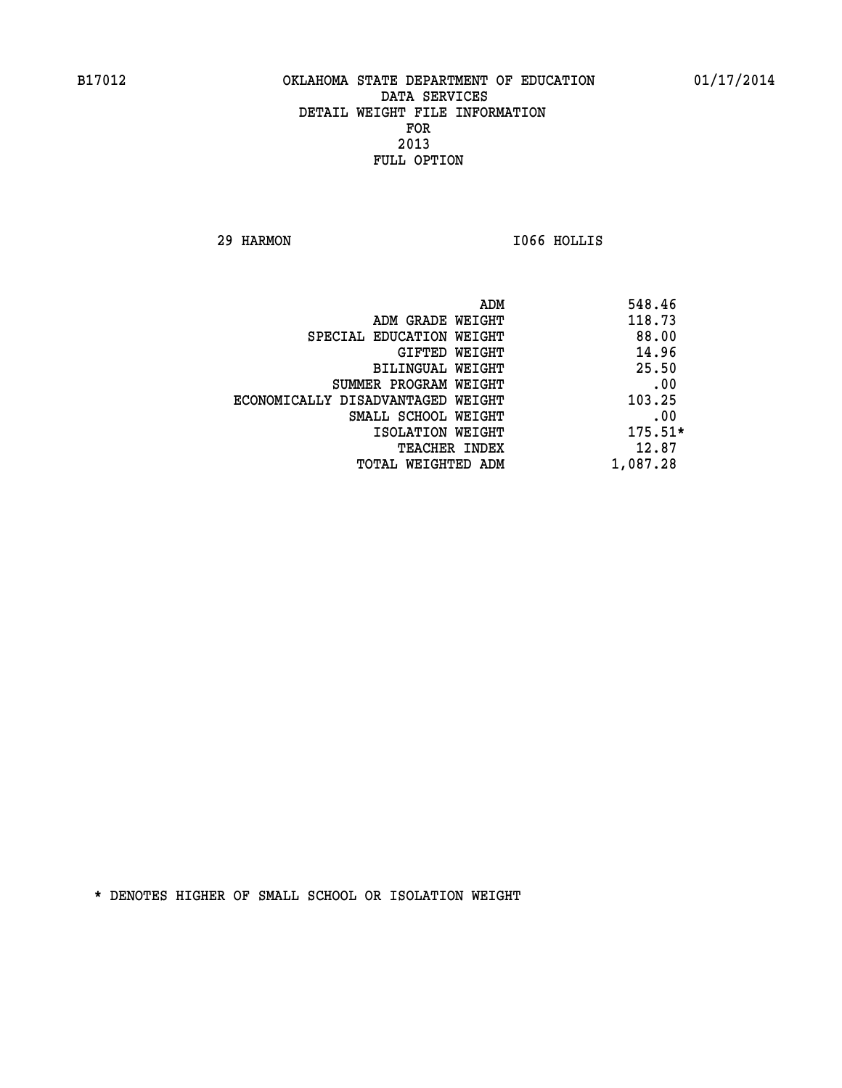**29 HARMON I066 HOLLIS** 

| ADM                               | 548.46    |
|-----------------------------------|-----------|
| ADM GRADE WEIGHT                  | 118.73    |
| SPECIAL EDUCATION WEIGHT          | 88.00     |
| GIFTED WEIGHT                     | 14.96     |
| BILINGUAL WEIGHT                  | 25.50     |
| SUMMER PROGRAM WEIGHT             | .00       |
| ECONOMICALLY DISADVANTAGED WEIGHT | 103.25    |
| SMALL SCHOOL WEIGHT               | .00       |
| ISOLATION WEIGHT                  | $175.51*$ |
| <b>TEACHER INDEX</b>              | 12.87     |
| TOTAL WEIGHTED ADM                | 1,087.28  |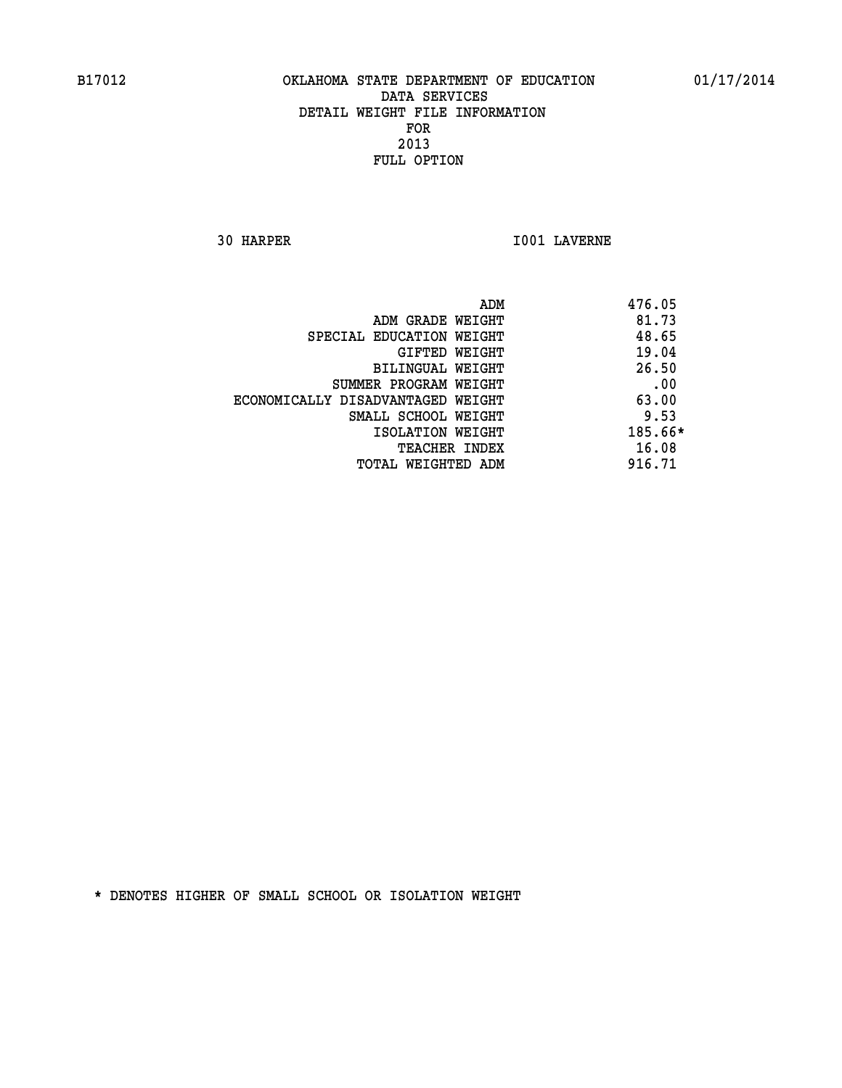**30 HARPER I001 LAVERNE** 

|                                   | ADM | 476.05  |
|-----------------------------------|-----|---------|
| ADM GRADE WEIGHT                  |     | 81.73   |
| SPECIAL EDUCATION WEIGHT          |     | 48.65   |
| GIFTED WEIGHT                     |     | 19.04   |
| BILINGUAL WEIGHT                  |     | 26.50   |
| SUMMER PROGRAM WEIGHT             |     | .00     |
| ECONOMICALLY DISADVANTAGED WEIGHT |     | 63.00   |
| SMALL SCHOOL WEIGHT               |     | 9.53    |
| ISOLATION WEIGHT                  |     | 185.66* |
| TEACHER INDEX                     |     | 16.08   |
| TOTAL WEIGHTED ADM                |     | 916.71  |
|                                   |     |         |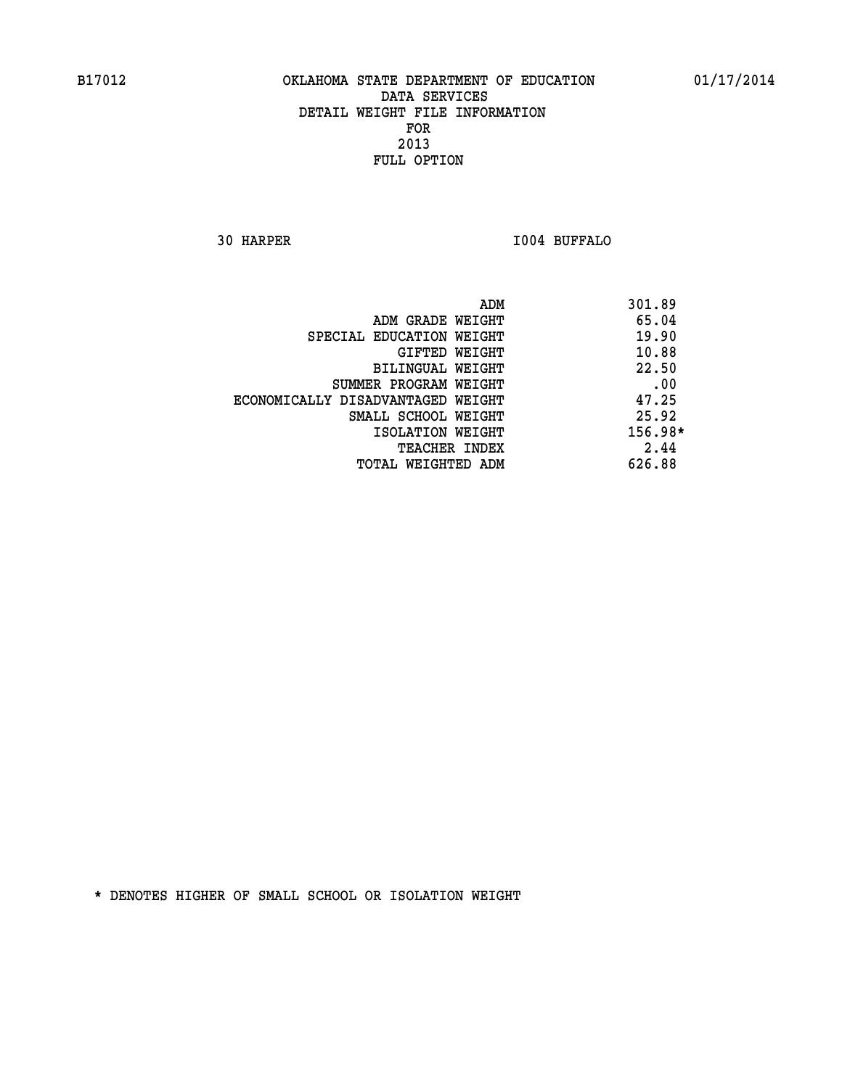**30 HARPER I004 BUFFALO** 

|                                   | 301.89<br>ADM |
|-----------------------------------|---------------|
| ADM GRADE WEIGHT                  | 65.04         |
| SPECIAL EDUCATION WEIGHT          | 19.90         |
| GIFTED WEIGHT                     | 10.88         |
| BILINGUAL WEIGHT                  | 22.50         |
| SUMMER PROGRAM WEIGHT             | .00           |
| ECONOMICALLY DISADVANTAGED WEIGHT | 47.25         |
| SMALL SCHOOL WEIGHT               | 25.92         |
| ISOLATION WEIGHT                  | 156.98*       |
| TEACHER INDEX                     | 2.44          |
| TOTAL WEIGHTED ADM                | 626.88        |
|                                   |               |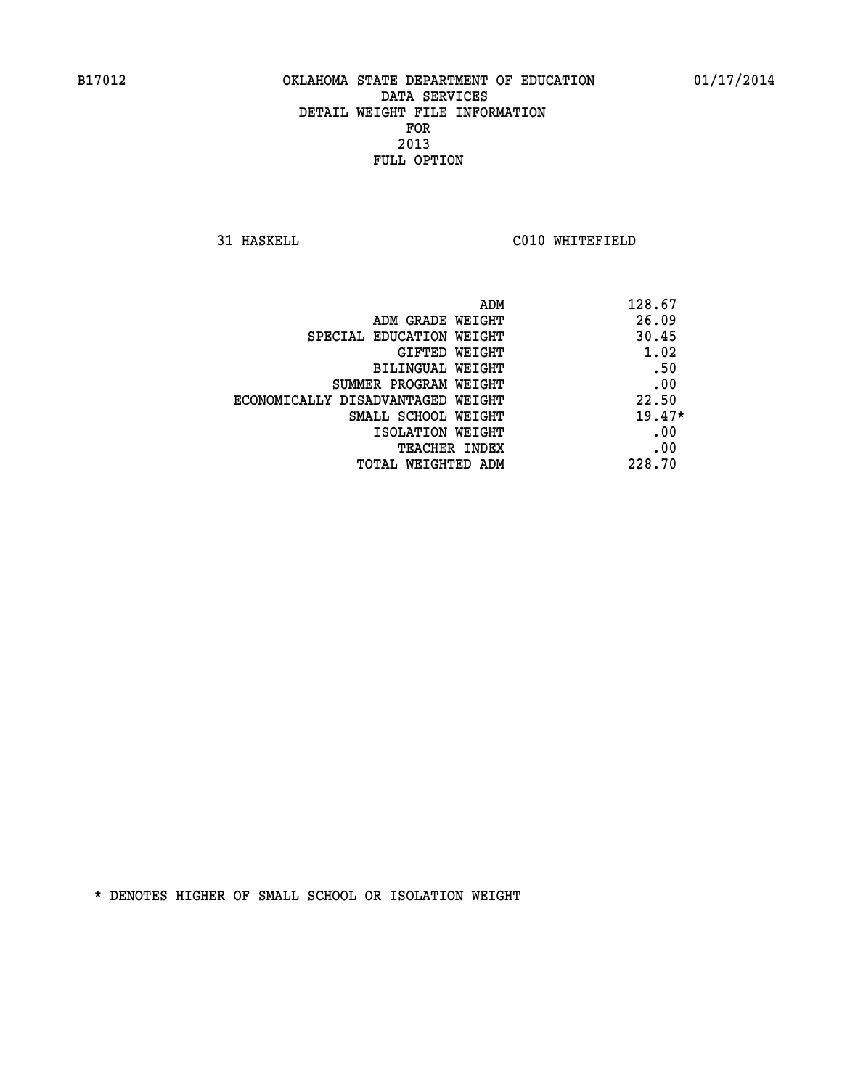**31 HASKELL C010 WHITEFIELD** 

| ADM                               | 128.67   |
|-----------------------------------|----------|
| ADM GRADE WEIGHT                  | 26.09    |
| SPECIAL EDUCATION WEIGHT          | 30.45    |
| GIFTED WEIGHT                     | 1.02     |
| BILINGUAL WEIGHT                  | .50      |
| SUMMER PROGRAM WEIGHT             | .00      |
| ECONOMICALLY DISADVANTAGED WEIGHT | 22.50    |
| SMALL SCHOOL WEIGHT               | $19.47*$ |
| ISOLATION WEIGHT                  | .00      |
| <b>TEACHER INDEX</b>              | .00      |
| TOTAL WEIGHTED ADM                | 228.70   |
|                                   |          |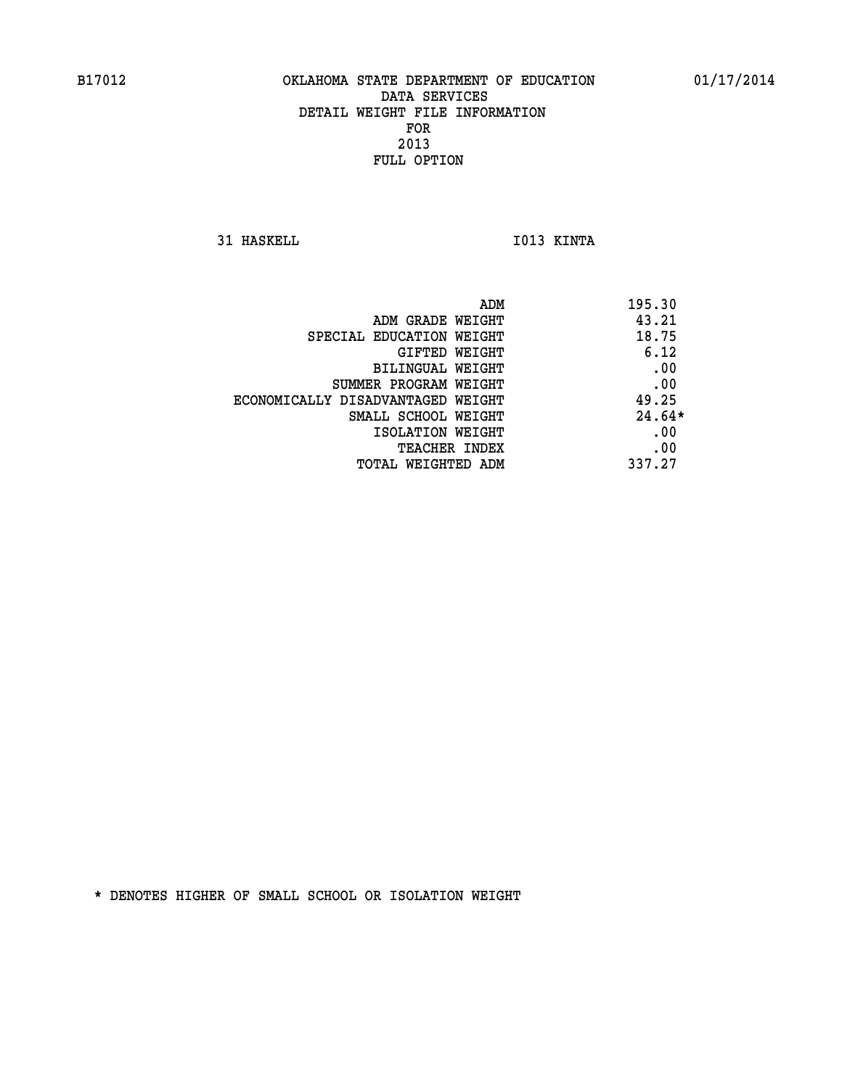**31 HASKELL IO13 KINTA** 

|                                   | 195.30<br>ADM |
|-----------------------------------|---------------|
| ADM GRADE WEIGHT                  | 43.21         |
| SPECIAL EDUCATION WEIGHT          | 18.75         |
| GIFTED WEIGHT                     | 6.12          |
| BILINGUAL WEIGHT                  | .00           |
| SUMMER PROGRAM WEIGHT             | .00           |
| ECONOMICALLY DISADVANTAGED WEIGHT | 49.25         |
| SMALL SCHOOL WEIGHT               | $24.64*$      |
| ISOLATION WEIGHT                  | .00           |
| <b>TEACHER INDEX</b>              | .00           |
| TOTAL WEIGHTED ADM                | 337.27        |
|                                   |               |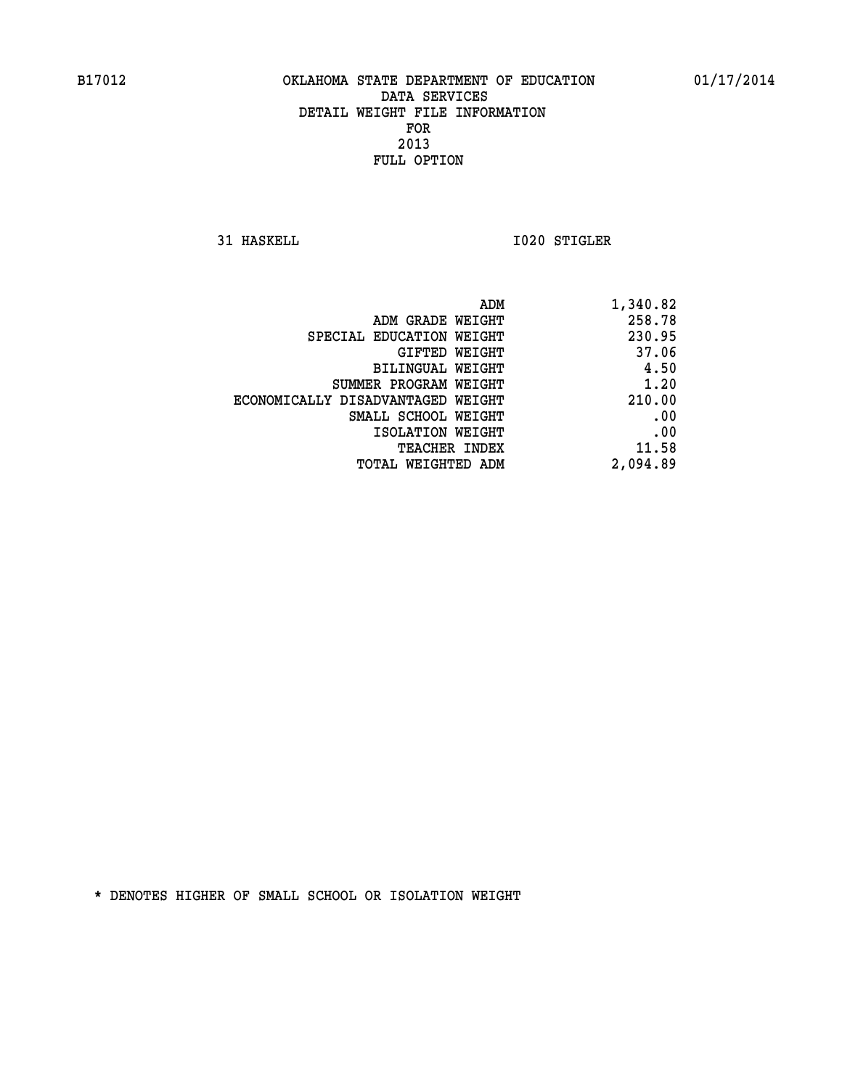**31 HASKELL 1020 STIGLER** 

| 1,340.82 |
|----------|
| 258.78   |
| 230.95   |
| 37.06    |
| 4.50     |
| 1.20     |
| 210.00   |
| .00      |
| .00      |
| 11.58    |
| 2,094.89 |
|          |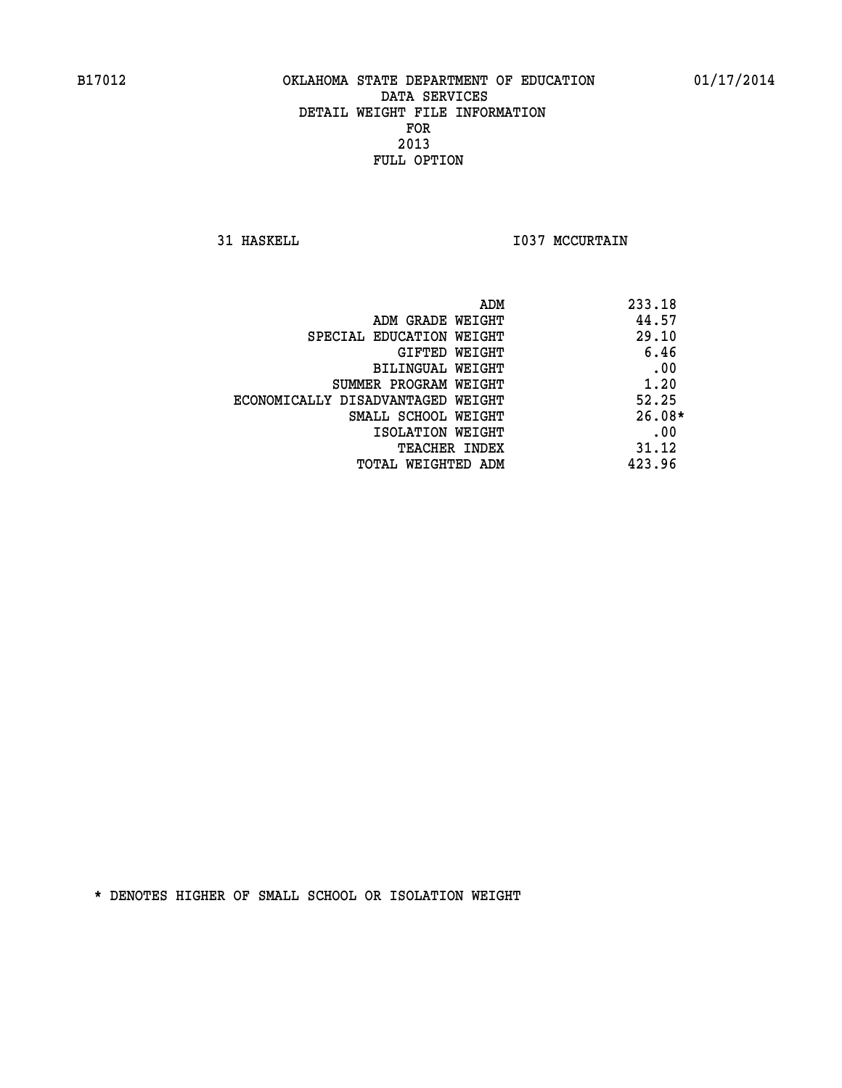**31 HASKELL 1037 MCCURTAIN** 

|                                   | 233.18<br>ADM |
|-----------------------------------|---------------|
| ADM GRADE WEIGHT                  | 44.57         |
| SPECIAL EDUCATION WEIGHT          | 29.10         |
| GIFTED WEIGHT                     | 6.46          |
| BILINGUAL WEIGHT                  | .00           |
| SUMMER PROGRAM WEIGHT             | 1.20          |
| ECONOMICALLY DISADVANTAGED WEIGHT | 52.25         |
| SMALL SCHOOL WEIGHT               | $26.08*$      |
| ISOLATION WEIGHT                  | .00           |
| TEACHER INDEX                     | 31.12         |
| TOTAL WEIGHTED ADM                | 423.96        |
|                                   |               |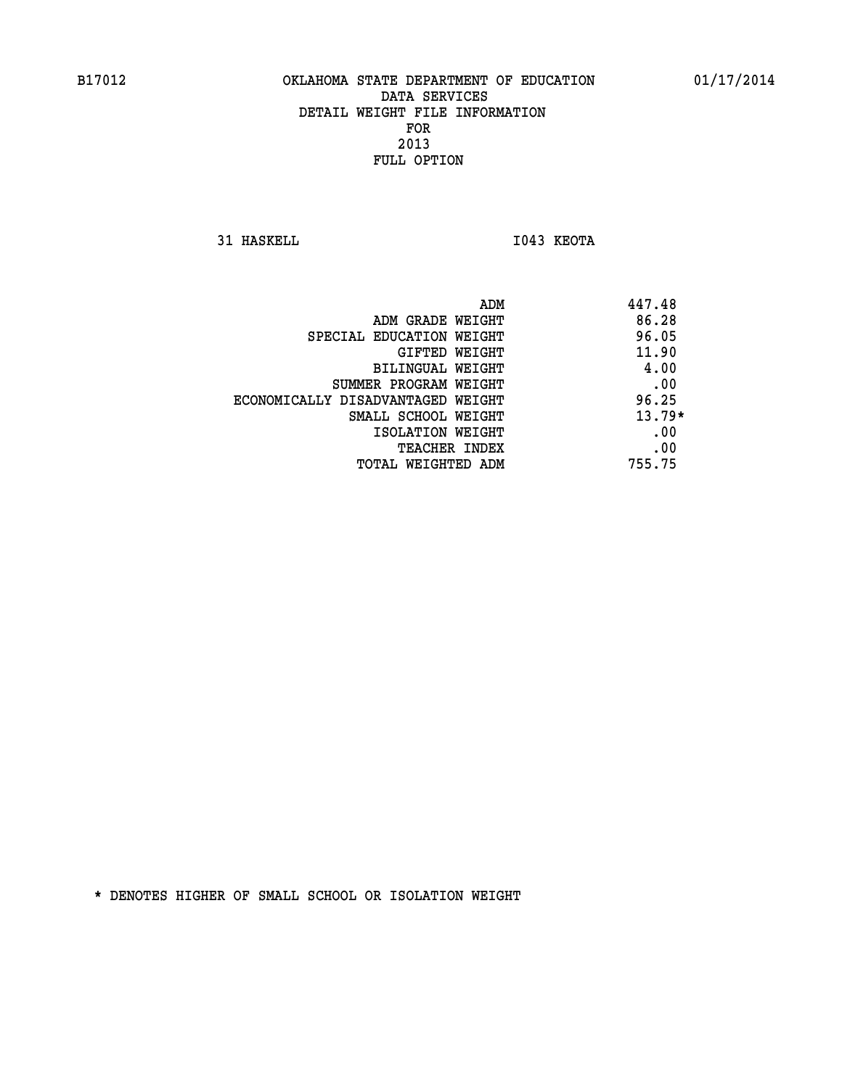**31 HASKELL I043 KEOTA** 

|                                   | 447.48<br>ADM |          |
|-----------------------------------|---------------|----------|
| ADM GRADE WEIGHT                  |               | 86.28    |
| SPECIAL EDUCATION WEIGHT          |               | 96.05    |
| GIFTED WEIGHT                     |               | 11.90    |
| BILINGUAL WEIGHT                  |               | 4.00     |
| SUMMER PROGRAM WEIGHT             |               | .00      |
| ECONOMICALLY DISADVANTAGED WEIGHT |               | 96.25    |
| SMALL SCHOOL WEIGHT               |               | $13.79*$ |
| ISOLATION WEIGHT                  |               | .00      |
| <b>TEACHER INDEX</b>              |               | .00      |
| TOTAL WEIGHTED ADM                | 755.75        |          |
|                                   |               |          |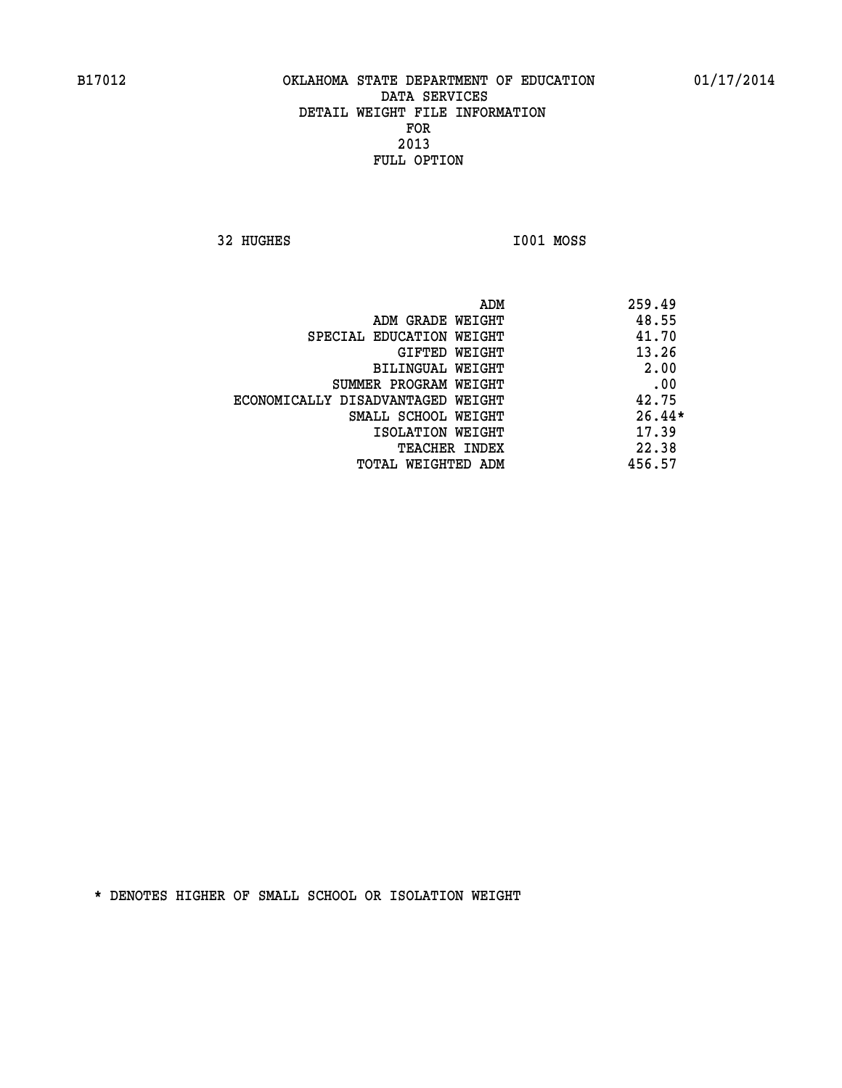**32 HUGHES I001 MOSS** 

| ADM                               | 259.49   |
|-----------------------------------|----------|
| ADM GRADE WEIGHT                  | 48.55    |
| SPECIAL EDUCATION WEIGHT          | 41.70    |
| GIFTED WEIGHT                     | 13.26    |
| BILINGUAL WEIGHT                  | 2.00     |
| SUMMER PROGRAM WEIGHT             | .00      |
| ECONOMICALLY DISADVANTAGED WEIGHT | 42.75    |
| SMALL SCHOOL WEIGHT               | $26.44*$ |
| ISOLATION WEIGHT                  | 17.39    |
| <b>TEACHER INDEX</b>              | 22.38    |
| TOTAL WEIGHTED ADM                | 456.57   |
|                                   |          |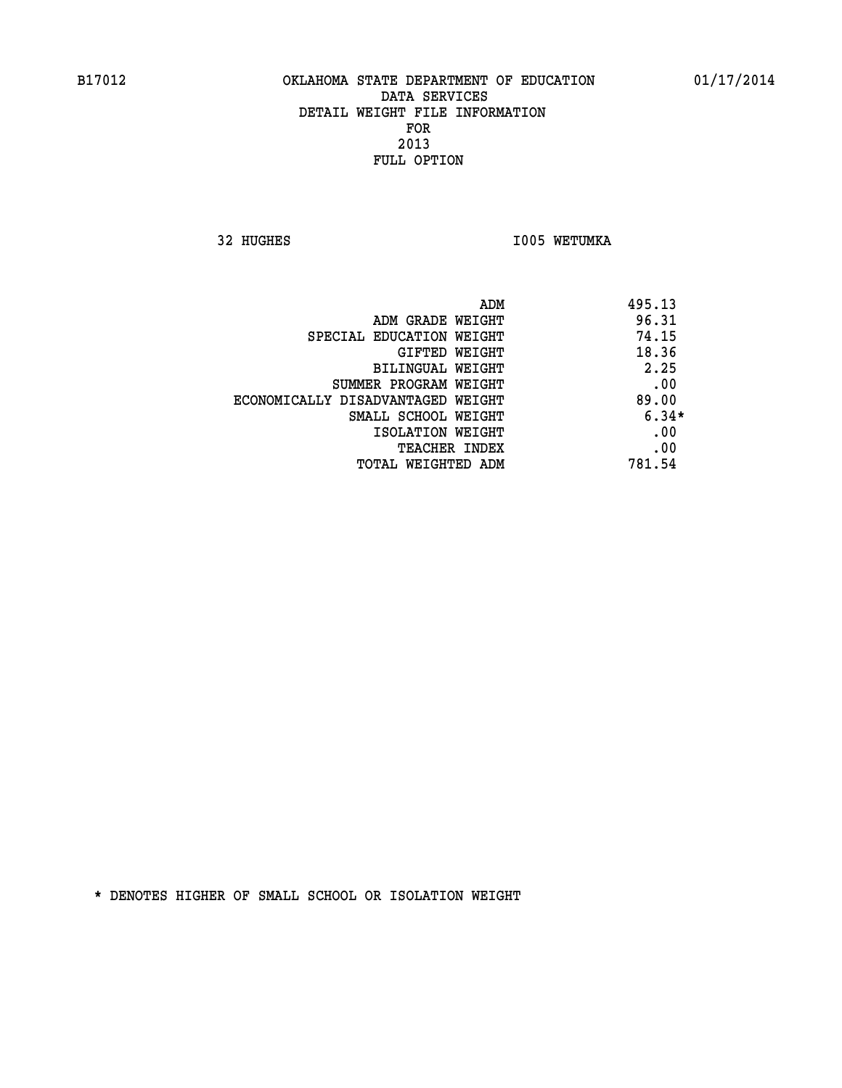**32 HUGHES 1005 WETUMKA** 

|                                   | ADM<br>495.13 |  |
|-----------------------------------|---------------|--|
| ADM GRADE WEIGHT                  | 96.31         |  |
| SPECIAL EDUCATION WEIGHT          | 74.15         |  |
| GIFTED WEIGHT                     | 18.36         |  |
| BILINGUAL WEIGHT                  | 2.25          |  |
| SUMMER PROGRAM WEIGHT             | .00           |  |
| ECONOMICALLY DISADVANTAGED WEIGHT | 89.00         |  |
| SMALL SCHOOL WEIGHT               | $6.34*$       |  |
| ISOLATION WEIGHT                  | .00           |  |
| <b>TEACHER INDEX</b>              | .00           |  |
| TOTAL WEIGHTED ADM                | 781.54        |  |
|                                   |               |  |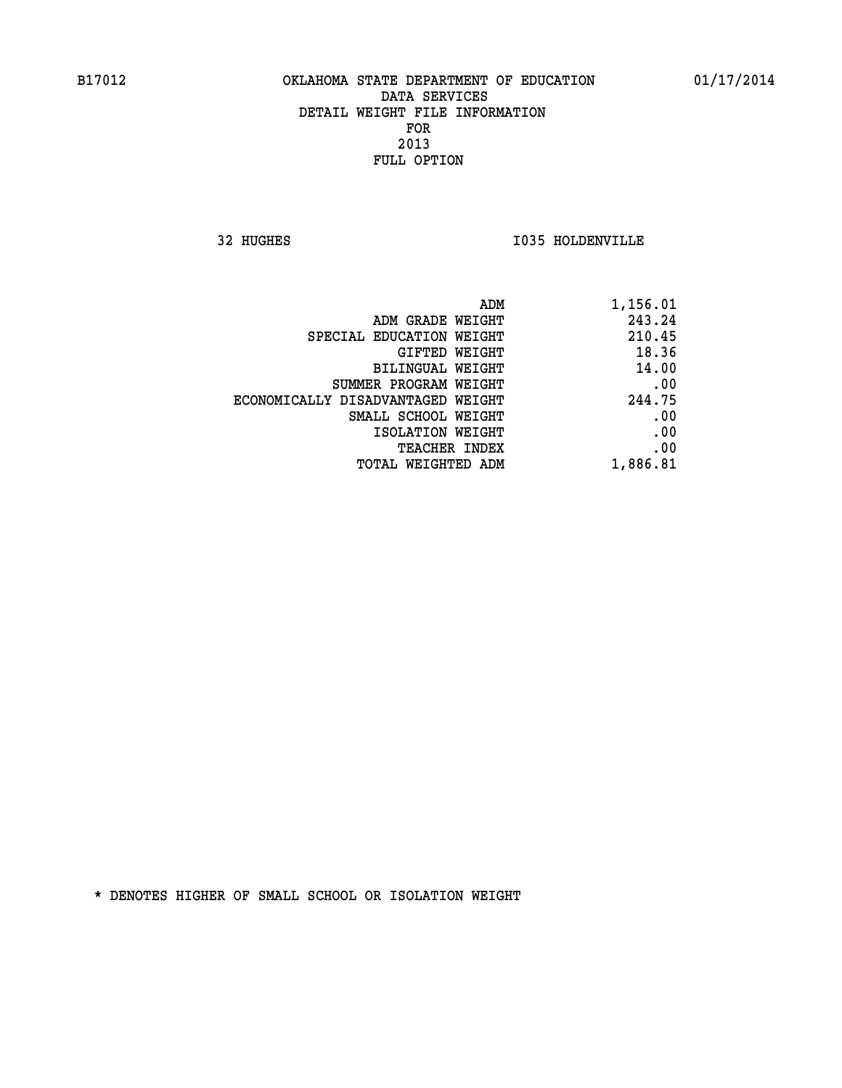**32 HUGHES I035 HOLDENVILLE** 

| 1,156.01 |
|----------|
| 243.24   |
| 210.45   |
| 18.36    |
| 14.00    |
| .00      |
| 244.75   |
| .00      |
| .00      |
| .00      |
| 1,886.81 |
|          |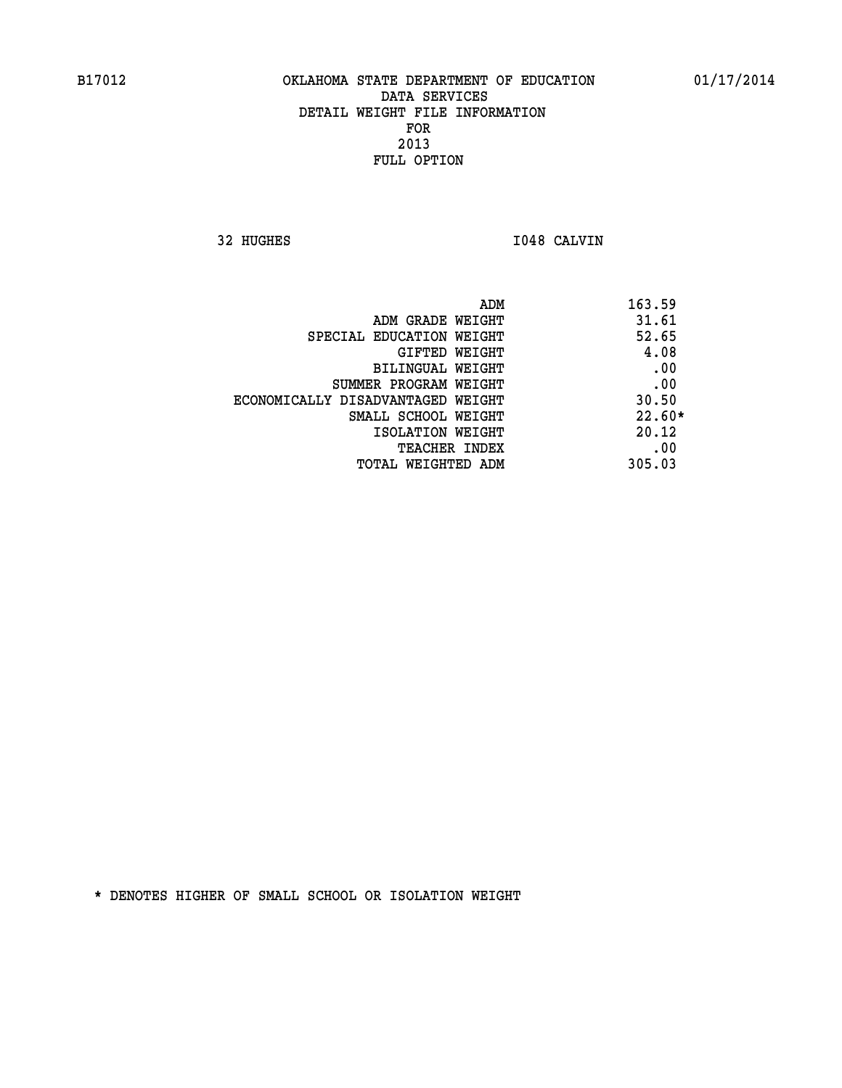**32 HUGHES I048 CALVIN** 

|                                   | ADM | 163.59   |
|-----------------------------------|-----|----------|
| ADM GRADE WEIGHT                  |     | 31.61    |
| SPECIAL EDUCATION WEIGHT          |     | 52.65    |
| <b>GIFTED WEIGHT</b>              |     | 4.08     |
| BILINGUAL WEIGHT                  |     | .00      |
| SUMMER PROGRAM WEIGHT             |     | .00      |
| ECONOMICALLY DISADVANTAGED WEIGHT |     | 30.50    |
| SMALL SCHOOL WEIGHT               |     | $22.60*$ |
| ISOLATION WEIGHT                  |     | 20.12    |
| TEACHER INDEX                     |     | .00      |
| TOTAL WEIGHTED ADM                |     | 305.03   |
|                                   |     |          |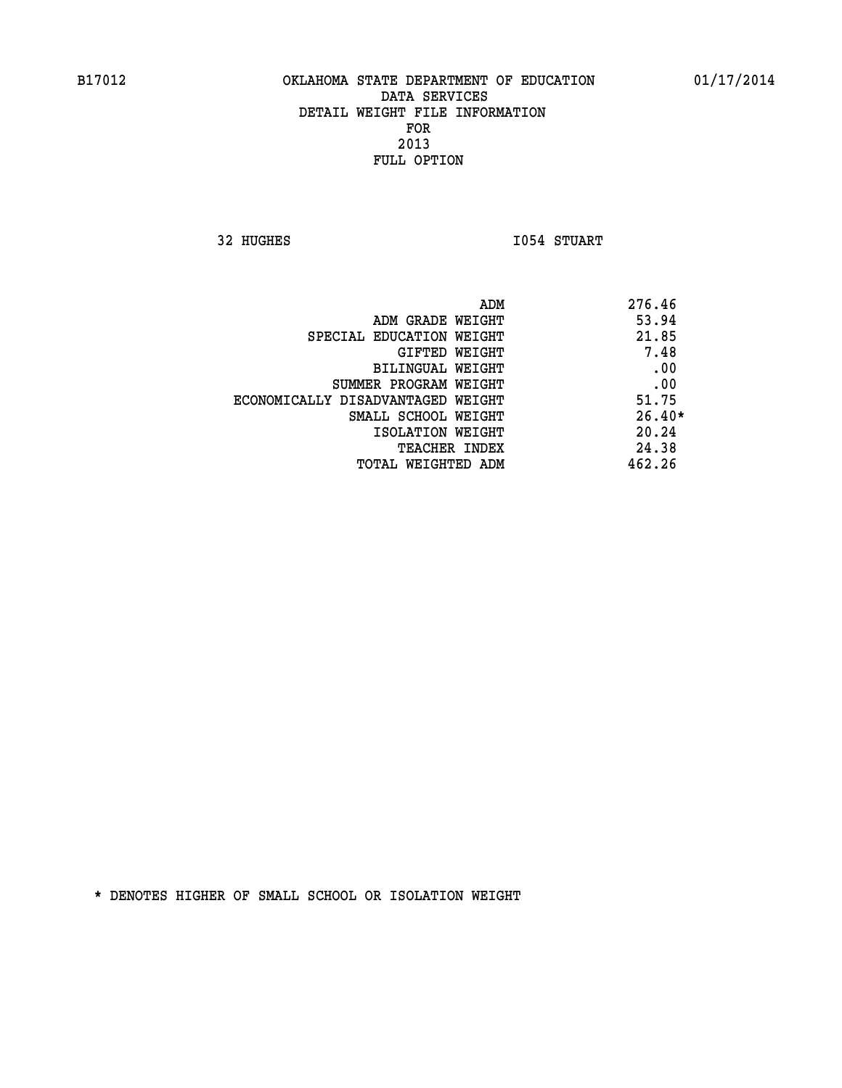**32 HUGHES I054 STUART** 

 **ADM 276.46 ADM GRADE WEIGHT 53.94 SPECIAL EDUCATION WEIGHT 21.85 GIFTED WEIGHT 7.48 BILINGUAL WEIGHT .00 SUMMER PROGRAM WEIGHT .00 ECONOMICALLY DISADVANTAGED WEIGHT 51.75 SMALL SCHOOL WEIGHT 26.40\* ISOLATION WEIGHT 20.24 TEACHER INDEX** 24.38  **TOTAL WEIGHTED ADM 462.26**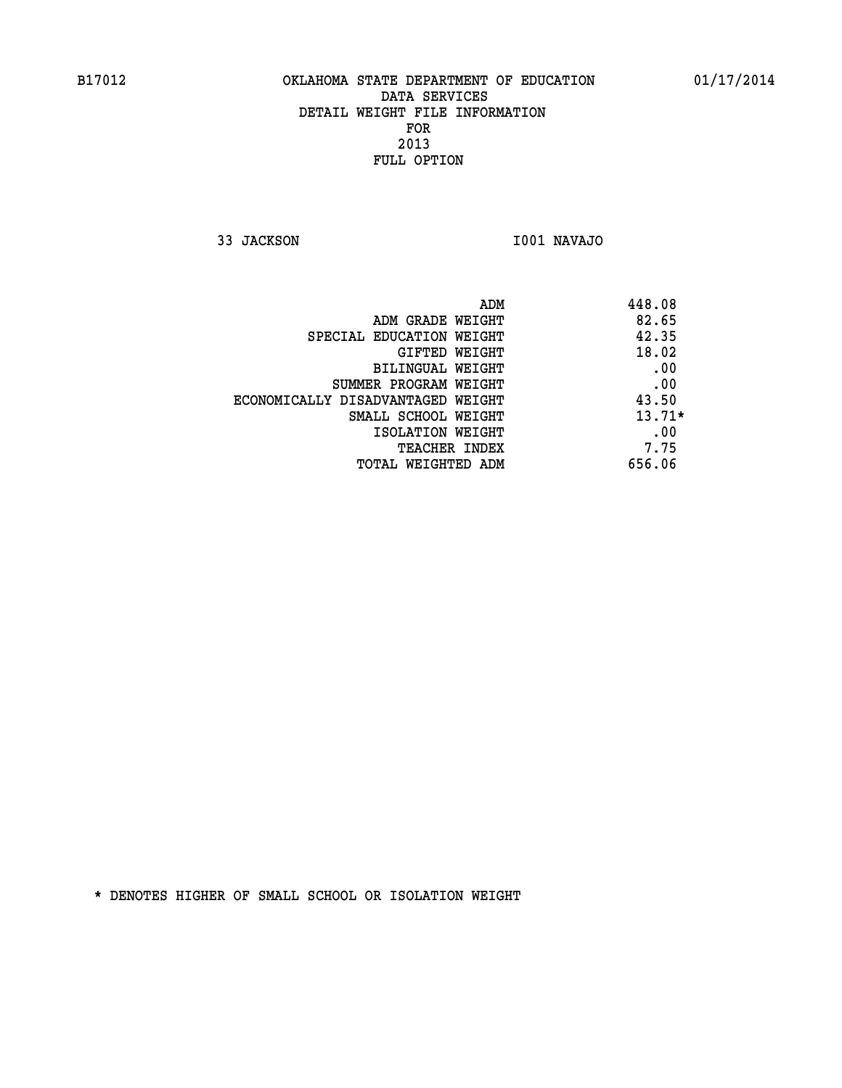**33 JACKSON I001 NAVAJO** 

| ADM                               | 448.08   |
|-----------------------------------|----------|
| ADM GRADE WEIGHT                  | 82.65    |
| SPECIAL EDUCATION WEIGHT          | 42.35    |
| GIFTED WEIGHT                     | 18.02    |
| BILINGUAL WEIGHT                  | .00      |
| SUMMER PROGRAM WEIGHT             | .00      |
| ECONOMICALLY DISADVANTAGED WEIGHT | 43.50    |
| SMALL SCHOOL WEIGHT               | $13.71*$ |
| ISOLATION WEIGHT                  | .00      |
| <b>TEACHER INDEX</b>              | 7.75     |
| TOTAL WEIGHTED ADM                | 656.06   |
|                                   |          |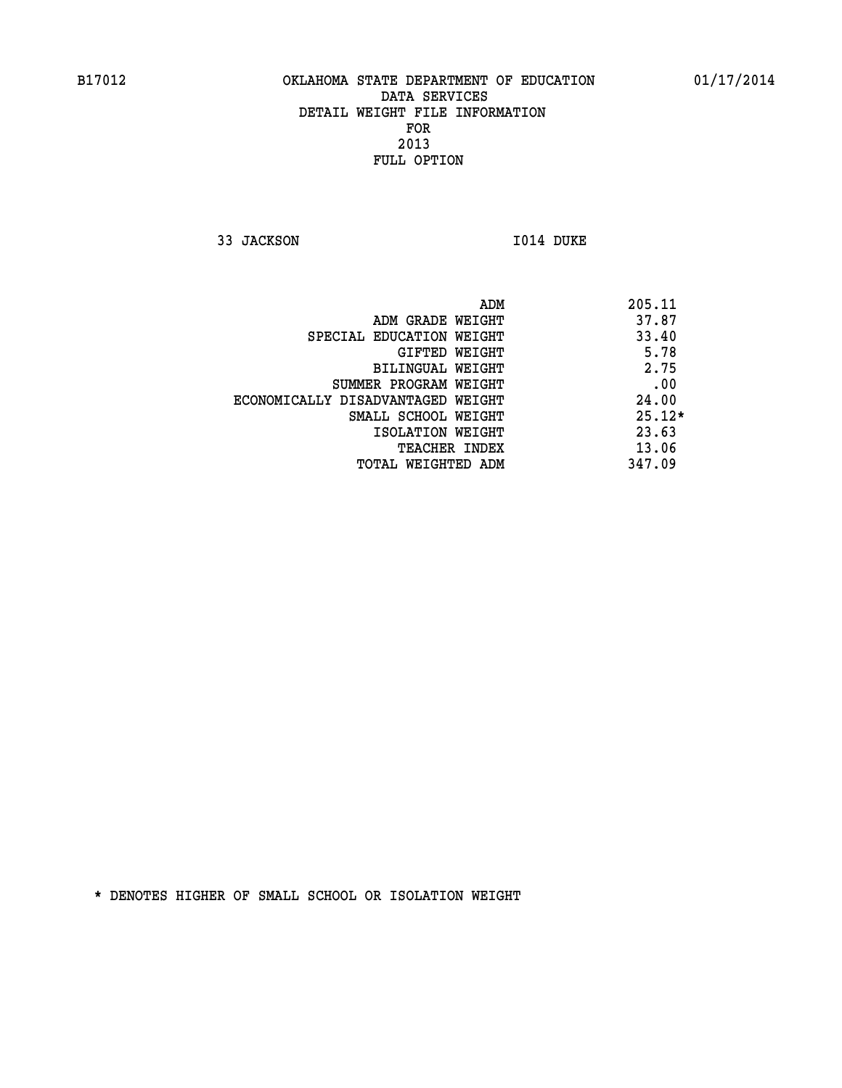**33 JACKSON 1014 DUKE** 

|                                   | 205.11<br>ADM |
|-----------------------------------|---------------|
| ADM GRADE WEIGHT                  | 37.87         |
| SPECIAL EDUCATION WEIGHT          | 33.40         |
| GIFTED WEIGHT                     | 5.78          |
| BILINGUAL WEIGHT                  | 2.75          |
| SUMMER PROGRAM WEIGHT             | .00           |
| ECONOMICALLY DISADVANTAGED WEIGHT | 24.00         |
| SMALL SCHOOL WEIGHT               | $25.12*$      |
| ISOLATION WEIGHT                  | 23.63         |
| <b>TEACHER INDEX</b>              | 13.06         |
| TOTAL WEIGHTED ADM                | 347.09        |
|                                   |               |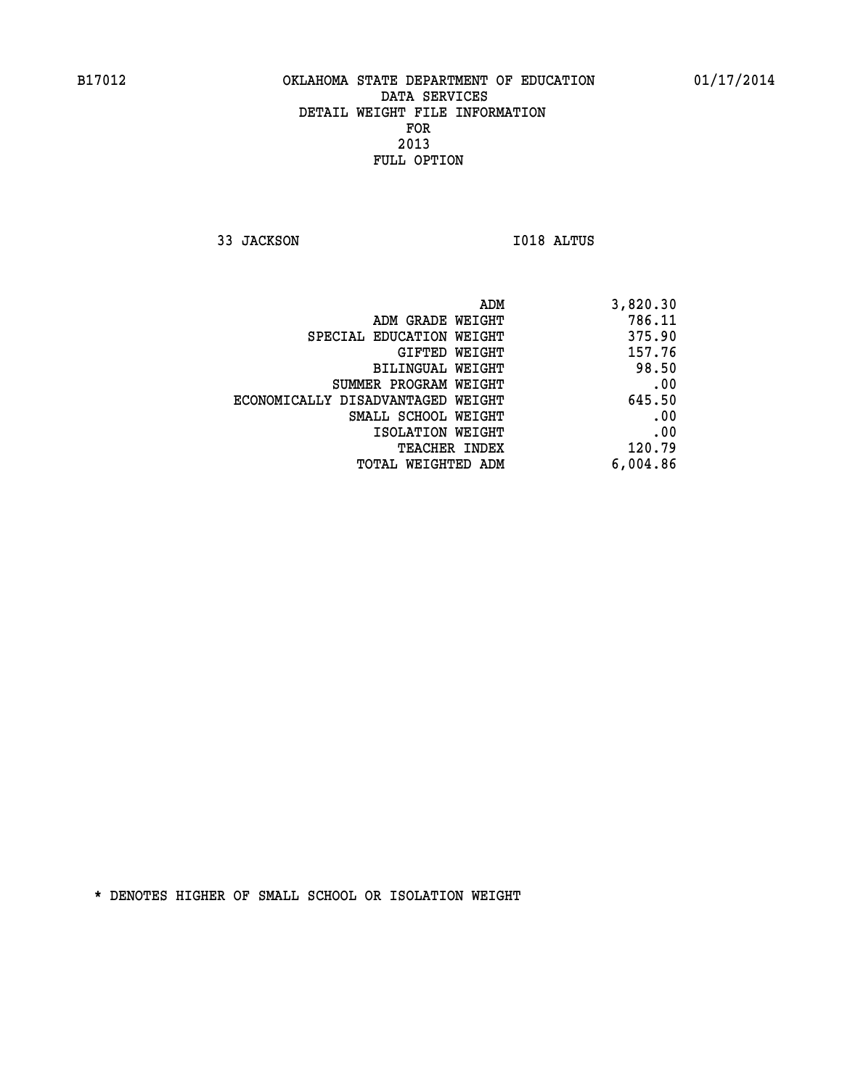**33 JACKSON I018 ALTUS** 

| ADM                               | 3,820.30 |
|-----------------------------------|----------|
| ADM GRADE WEIGHT                  | 786.11   |
| SPECIAL EDUCATION WEIGHT          | 375.90   |
| GIFTED WEIGHT                     | 157.76   |
| BILINGUAL WEIGHT                  | 98.50    |
| SUMMER PROGRAM WEIGHT             | .00      |
| ECONOMICALLY DISADVANTAGED WEIGHT | 645.50   |
| SMALL SCHOOL WEIGHT               | .00      |
| ISOLATION WEIGHT                  | .00      |
| TEACHER INDEX                     | 120.79   |
| TOTAL WEIGHTED ADM                | 6,004.86 |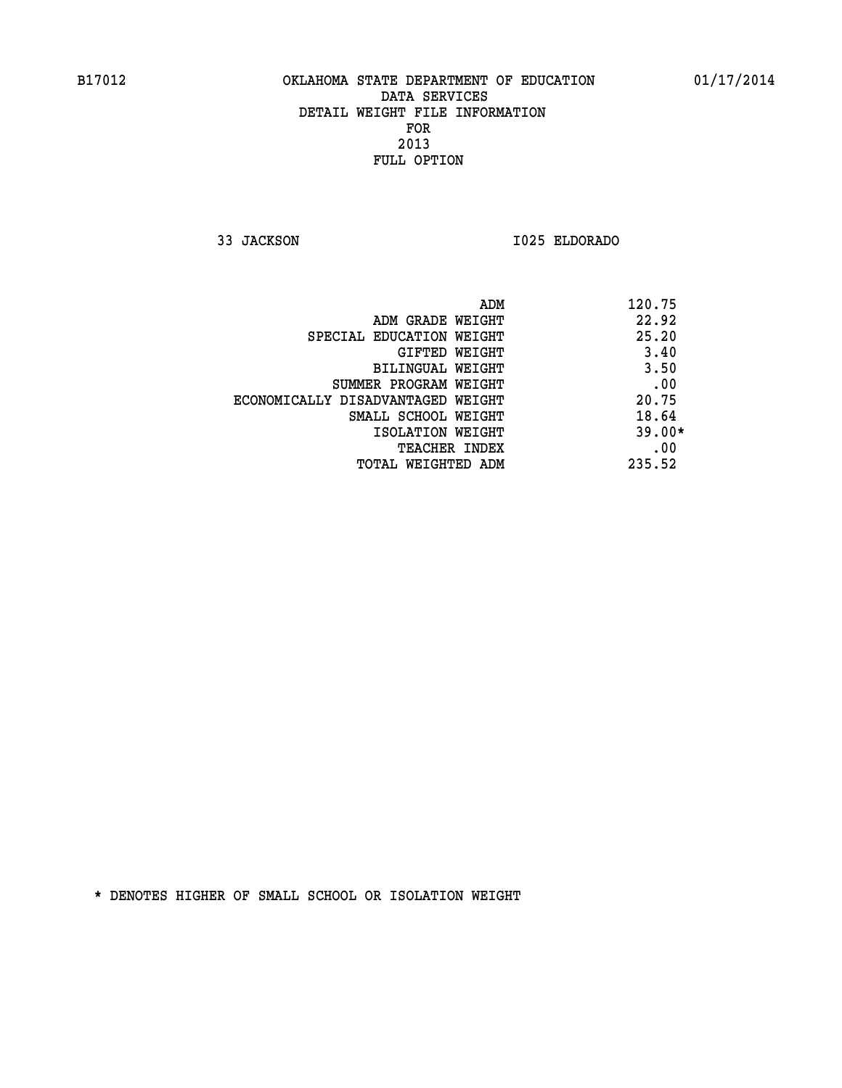**33 JACKSON I025 ELDORADO** 

|                                   | ADM | 120.75   |
|-----------------------------------|-----|----------|
| ADM GRADE WEIGHT                  |     | 22.92    |
| SPECIAL EDUCATION WEIGHT          |     | 25.20    |
| GIFTED WEIGHT                     |     | 3.40     |
| BILINGUAL WEIGHT                  |     | 3.50     |
| SUMMER PROGRAM WEIGHT             |     | .00      |
| ECONOMICALLY DISADVANTAGED WEIGHT |     | 20.75    |
| SMALL SCHOOL WEIGHT               |     | 18.64    |
| ISOLATION WEIGHT                  |     | $39.00*$ |
| TEACHER INDEX                     |     | .00      |
| TOTAL WEIGHTED ADM                |     | 235.52   |
|                                   |     |          |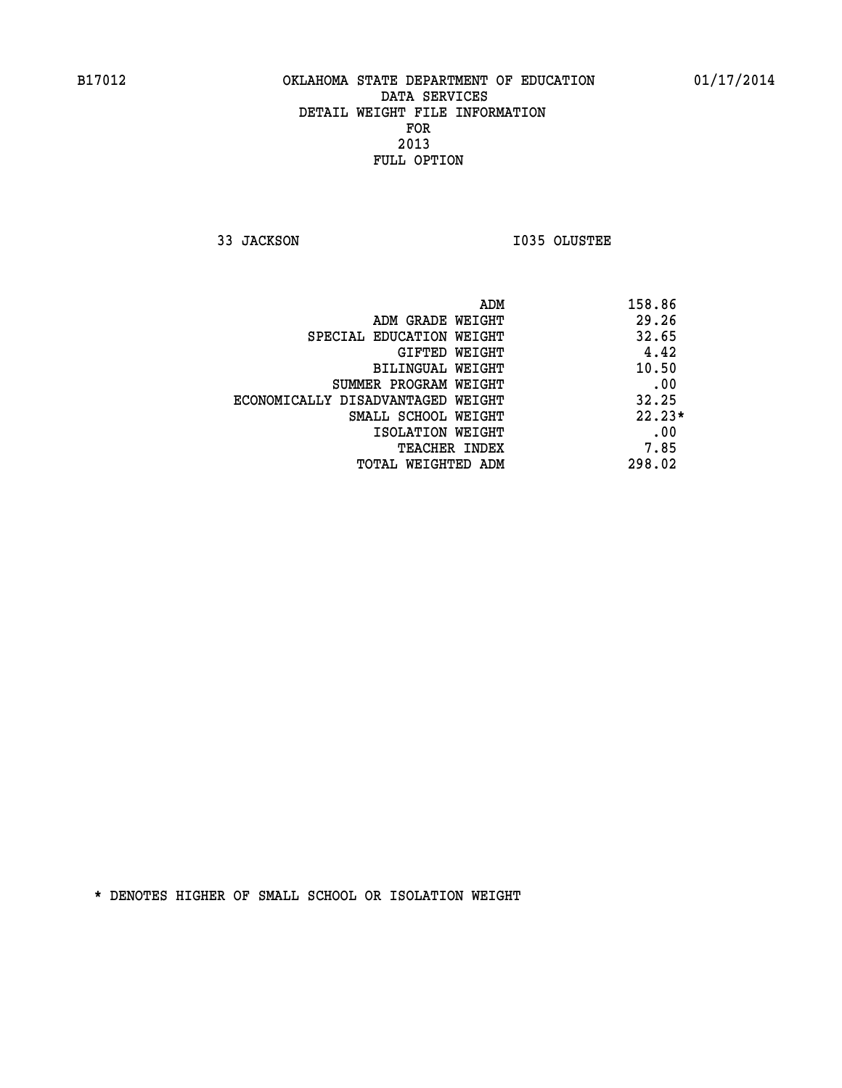**33 JACKSON I035 OLUSTEE** 

| ADM<br>158.86                              |  |
|--------------------------------------------|--|
| 29.26<br>ADM GRADE WEIGHT                  |  |
| 32.65<br>SPECIAL EDUCATION WEIGHT          |  |
| 4.42<br><b>GIFTED WEIGHT</b>               |  |
| 10.50<br>BILINGUAL WEIGHT                  |  |
| .00<br>SUMMER PROGRAM WEIGHT               |  |
| 32.25<br>ECONOMICALLY DISADVANTAGED WEIGHT |  |
| $22.23*$<br>SMALL SCHOOL WEIGHT            |  |
| .00<br>ISOLATION WEIGHT                    |  |
| 7.85<br><b>TEACHER INDEX</b>               |  |
| 298.02<br>TOTAL WEIGHTED ADM               |  |
|                                            |  |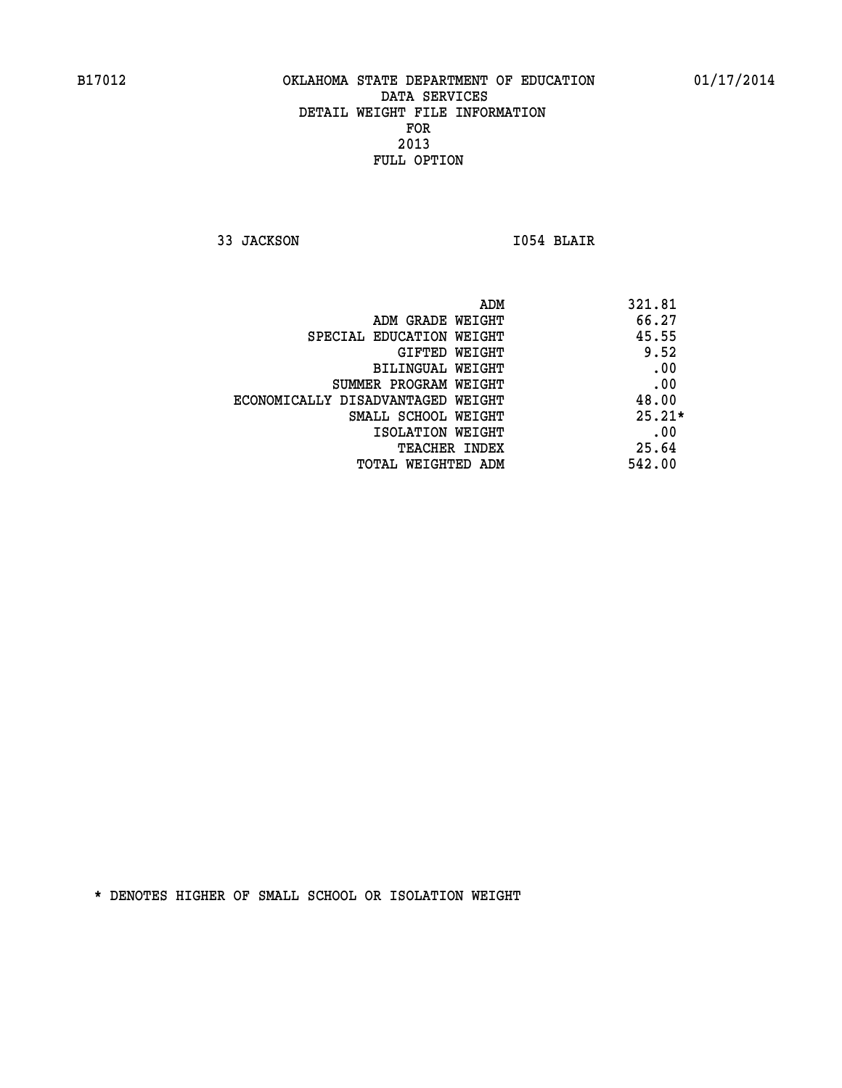**33 JACKSON I054 BLAIR** 

|                                   | 321.81<br>ADM |  |
|-----------------------------------|---------------|--|
| ADM GRADE WEIGHT                  | 66.27         |  |
| SPECIAL EDUCATION WEIGHT          | 45.55         |  |
| GIFTED WEIGHT                     | 9.52          |  |
| BILINGUAL WEIGHT                  | .00           |  |
| SUMMER PROGRAM WEIGHT             | .00           |  |
| ECONOMICALLY DISADVANTAGED WEIGHT | 48.00         |  |
| SMALL SCHOOL WEIGHT               | $25.21*$      |  |
| ISOLATION WEIGHT                  | .00           |  |
| <b>TEACHER INDEX</b>              | 25.64         |  |
| TOTAL WEIGHTED ADM                | 542.00        |  |
|                                   |               |  |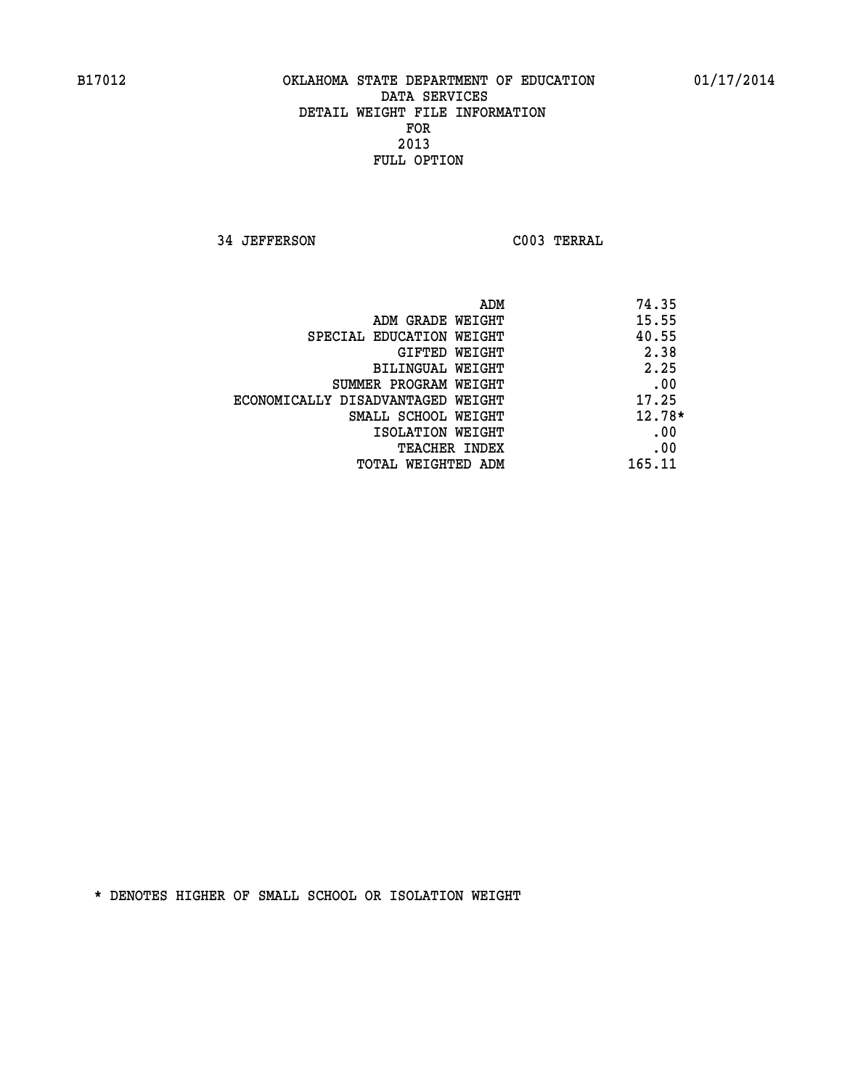**34 JEFFERSON C003 TERRAL** 

|                                   | 74.35<br>ADM |
|-----------------------------------|--------------|
| ADM GRADE WEIGHT                  | 15.55        |
| SPECIAL EDUCATION WEIGHT          | 40.55        |
| GIFTED WEIGHT                     | 2.38         |
| BILINGUAL WEIGHT                  | 2.25         |
| SUMMER PROGRAM WEIGHT             | .00          |
| ECONOMICALLY DISADVANTAGED WEIGHT | 17.25        |
| SMALL SCHOOL WEIGHT               | $12.78*$     |
| ISOLATION WEIGHT                  | .00          |
| <b>TEACHER INDEX</b>              | .00          |
| TOTAL WEIGHTED ADM                | 165.11       |
|                                   |              |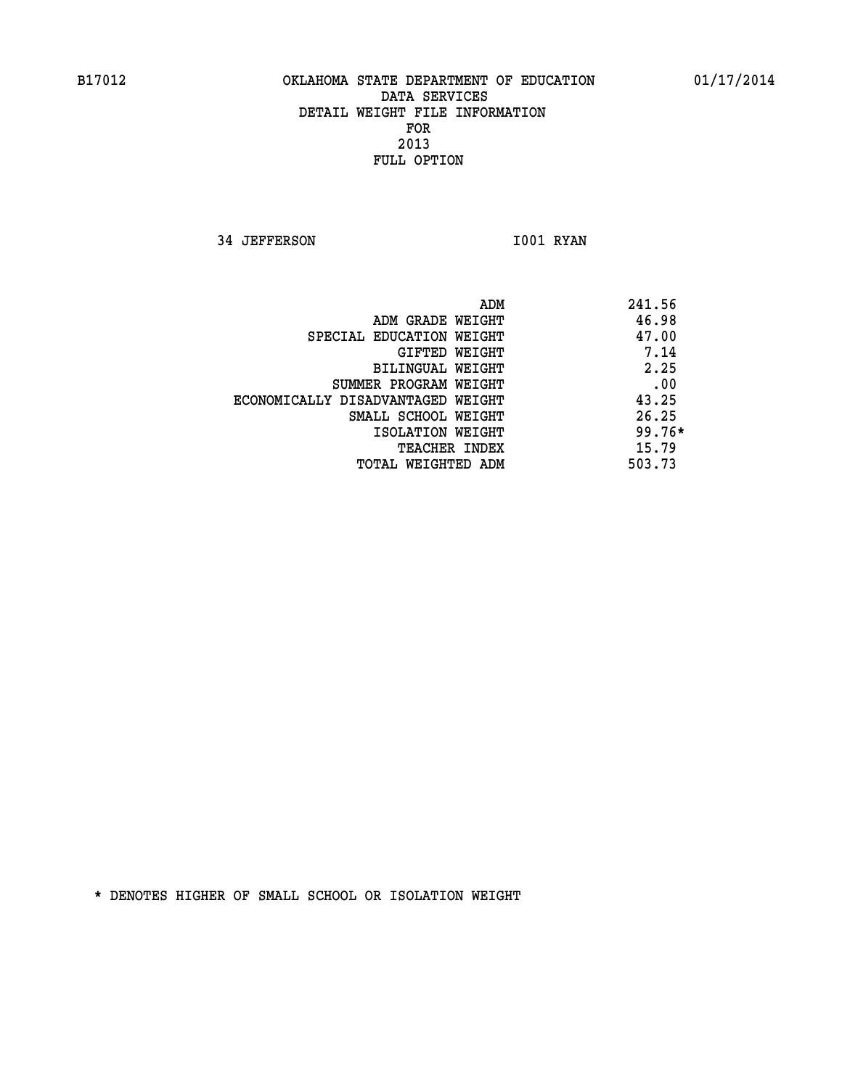**34 JEFFERSON 1001 RYAN** 

|                                   | ADM | 241.56   |
|-----------------------------------|-----|----------|
| ADM GRADE WEIGHT                  |     | 46.98    |
| SPECIAL EDUCATION WEIGHT          |     | 47.00    |
| GIFTED WEIGHT                     |     | 7.14     |
| BILINGUAL WEIGHT                  |     | 2.25     |
| SUMMER PROGRAM WEIGHT             |     | .00      |
| ECONOMICALLY DISADVANTAGED WEIGHT |     | 43.25    |
| SMALL SCHOOL WEIGHT               |     | 26.25    |
| ISOLATION WEIGHT                  |     | $99.76*$ |
| TEACHER INDEX                     |     | 15.79    |
| TOTAL WEIGHTED ADM                |     | 503.73   |
|                                   |     |          |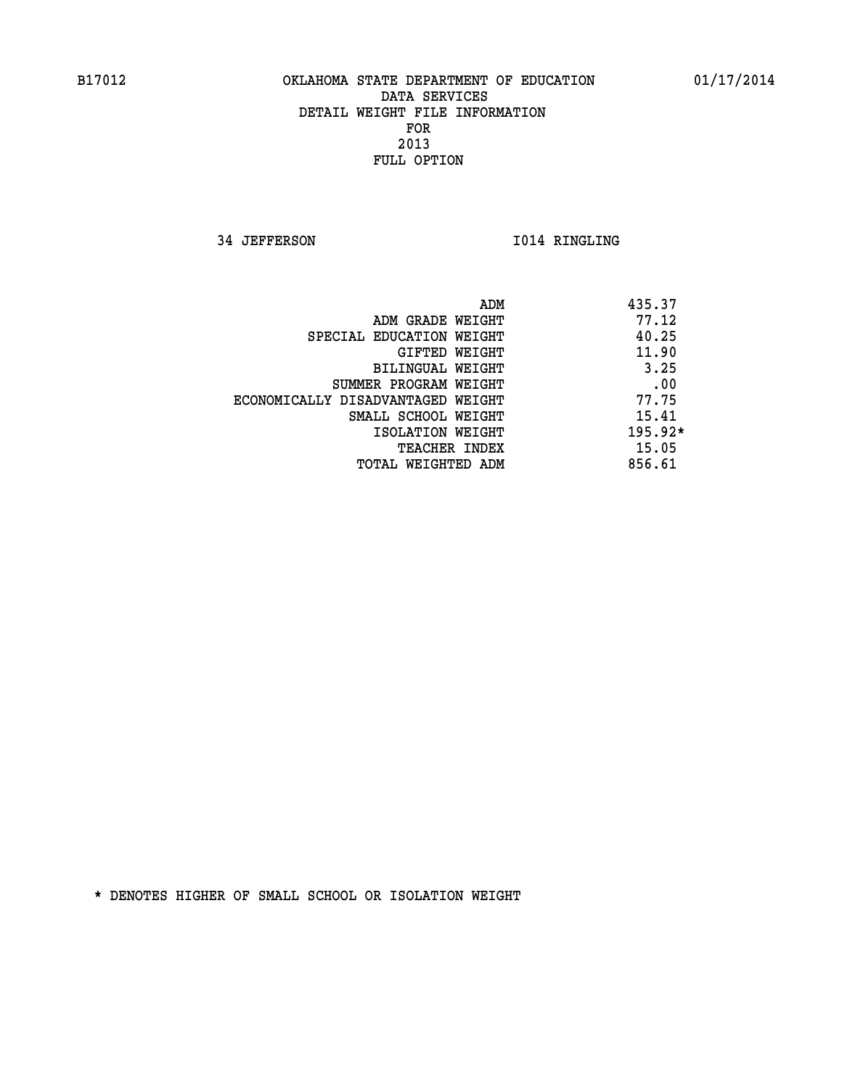**34 JEFFERSON 1014 RINGLING** 

|                                   | ADM | 435.37    |
|-----------------------------------|-----|-----------|
| ADM GRADE WEIGHT                  |     | 77.12     |
| SPECIAL EDUCATION WEIGHT          |     | 40.25     |
| GIFTED WEIGHT                     |     | 11.90     |
| BILINGUAL WEIGHT                  |     | 3.25      |
| SUMMER PROGRAM WEIGHT             |     | .00       |
| ECONOMICALLY DISADVANTAGED WEIGHT |     | 77.75     |
| SMALL SCHOOL WEIGHT               |     | 15.41     |
| ISOLATION WEIGHT                  |     | $195.92*$ |
| <b>TEACHER INDEX</b>              |     | 15.05     |
| TOTAL WEIGHTED ADM                |     | 856.61    |
|                                   |     |           |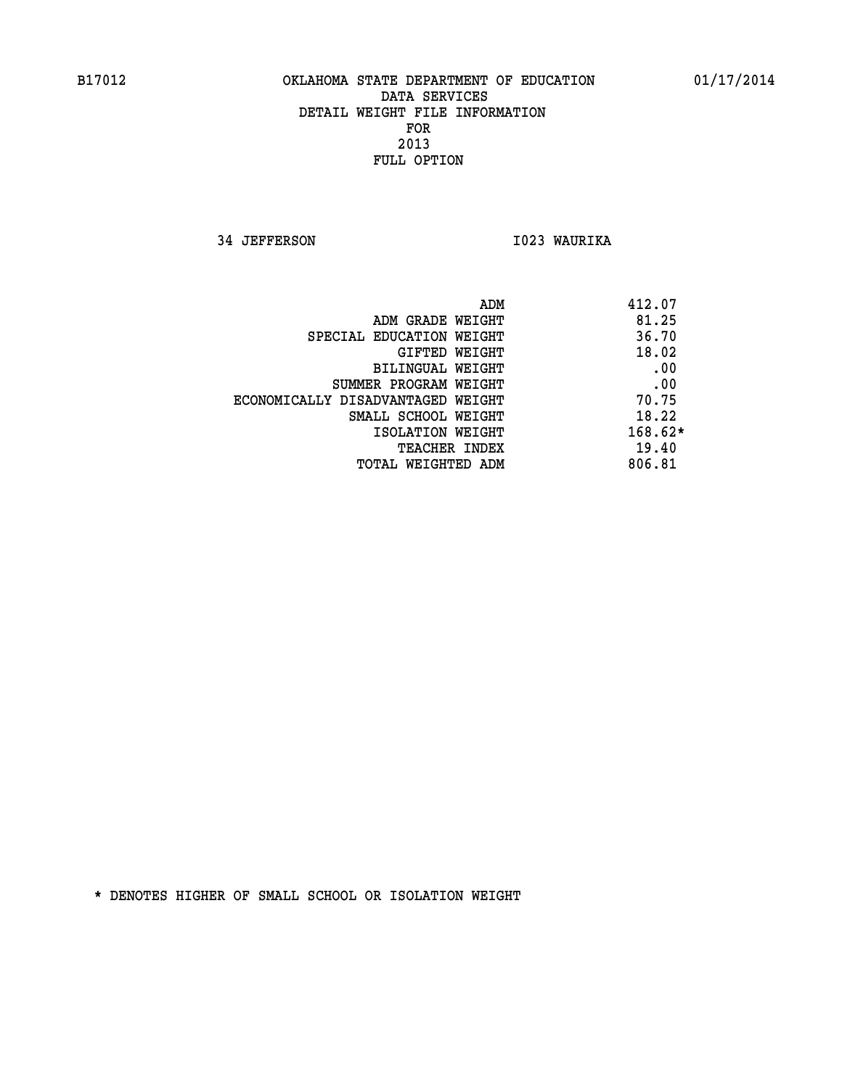**34 JEFFERSON I023 WAURIKA** 

| 412.07    |
|-----------|
| 81.25     |
| 36.70     |
| 18.02     |
| .00       |
| .00       |
| 70.75     |
| 18.22     |
| $168.62*$ |
| 19.40     |
| 806.81    |
|           |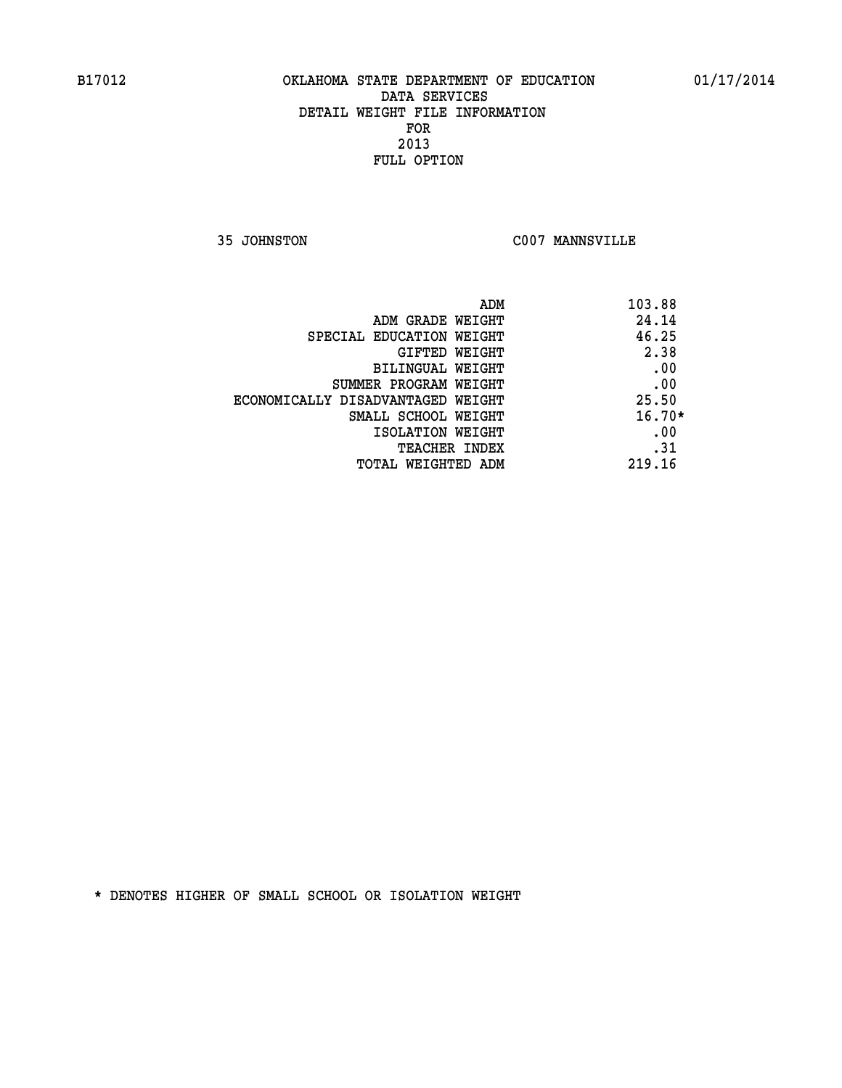**35 JOHNSTON C007 MANNSVILLE** 

| ADM<br>103.88                              |  |
|--------------------------------------------|--|
| 24.14<br>ADM GRADE WEIGHT                  |  |
| 46.25<br>SPECIAL EDUCATION WEIGHT          |  |
| 2.38<br>GIFTED WEIGHT                      |  |
| .00<br>BILINGUAL WEIGHT                    |  |
| .00<br>SUMMER PROGRAM WEIGHT               |  |
| 25.50<br>ECONOMICALLY DISADVANTAGED WEIGHT |  |
| $16.70*$<br>SMALL SCHOOL WEIGHT            |  |
| .00<br>ISOLATION WEIGHT                    |  |
| .31<br><b>TEACHER INDEX</b>                |  |
| 219.16<br>TOTAL WEIGHTED ADM               |  |
|                                            |  |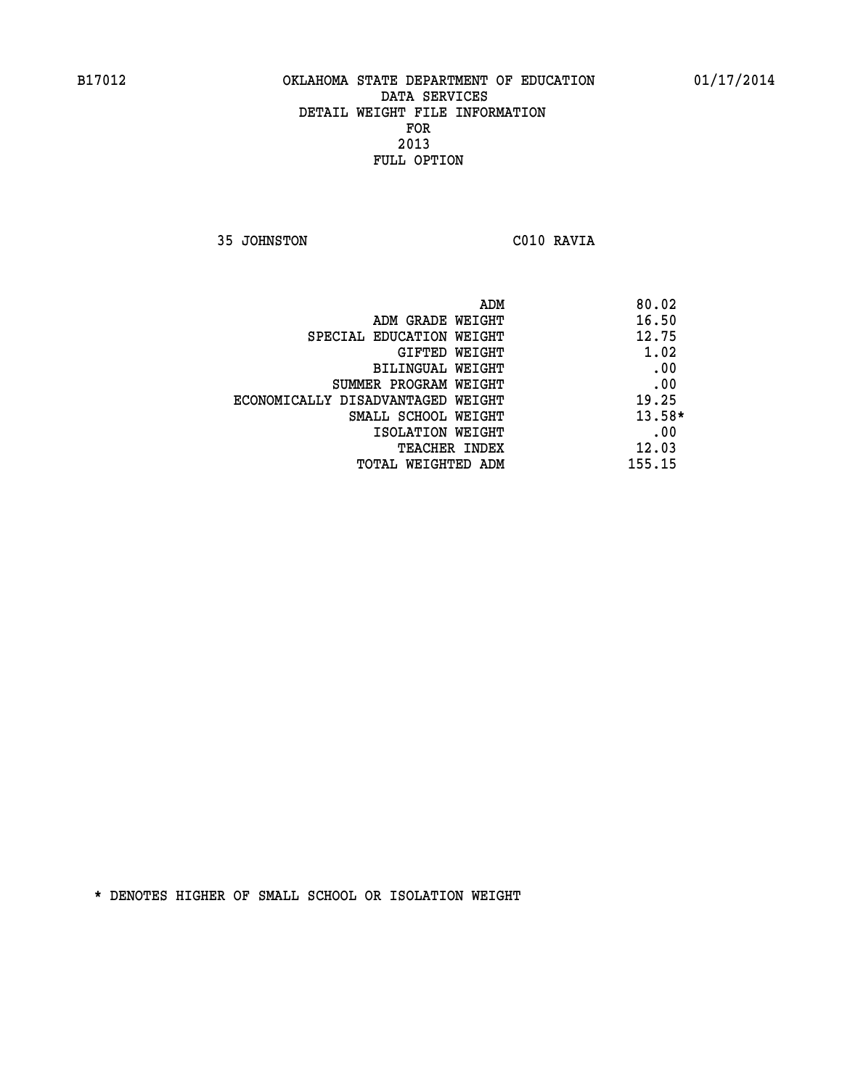**35 JOHNSTON C010 RAVIA** 

| ADM                               | 80.02    |
|-----------------------------------|----------|
| ADM GRADE WEIGHT                  | 16.50    |
| SPECIAL EDUCATION WEIGHT          | 12.75    |
| GIFTED WEIGHT                     | 1.02     |
| BILINGUAL WEIGHT                  | .00      |
| SUMMER PROGRAM WEIGHT             | .00      |
| ECONOMICALLY DISADVANTAGED WEIGHT | 19.25    |
| SMALL SCHOOL WEIGHT               | $13.58*$ |
| ISOLATION WEIGHT                  | .00      |
| <b>TEACHER INDEX</b>              | 12.03    |
| TOTAL WEIGHTED ADM                | 155.15   |
|                                   |          |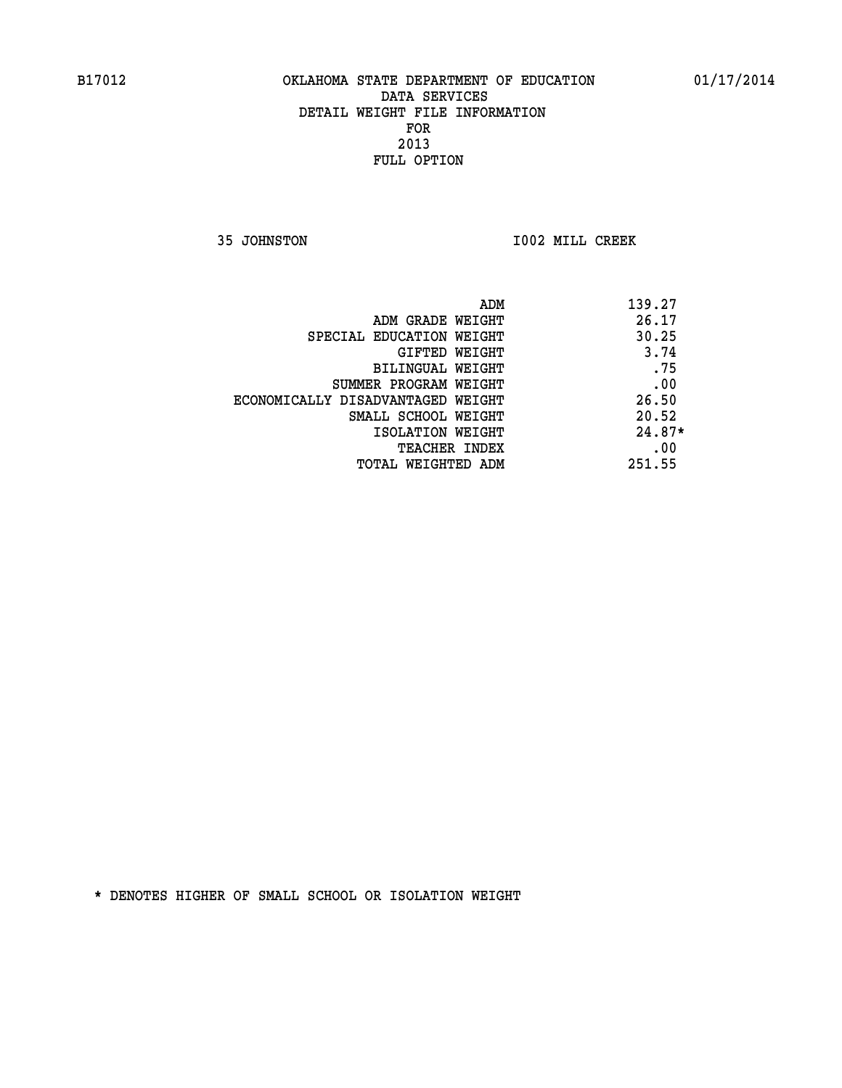**35 JOHNSTON I002 MILL CREEK** 

|                                   | ADM | 139.27   |
|-----------------------------------|-----|----------|
| ADM GRADE WEIGHT                  |     | 26.17    |
| SPECIAL EDUCATION WEIGHT          |     | 30.25    |
| GIFTED WEIGHT                     |     | 3.74     |
| BILINGUAL WEIGHT                  |     | .75      |
| SUMMER PROGRAM WEIGHT             |     | .00      |
| ECONOMICALLY DISADVANTAGED WEIGHT |     | 26.50    |
| SMALL SCHOOL WEIGHT               |     | 20.52    |
| ISOLATION WEIGHT                  |     | $24.87*$ |
| TEACHER INDEX                     |     | .00      |
| TOTAL WEIGHTED ADM                |     | 251.55   |
|                                   |     |          |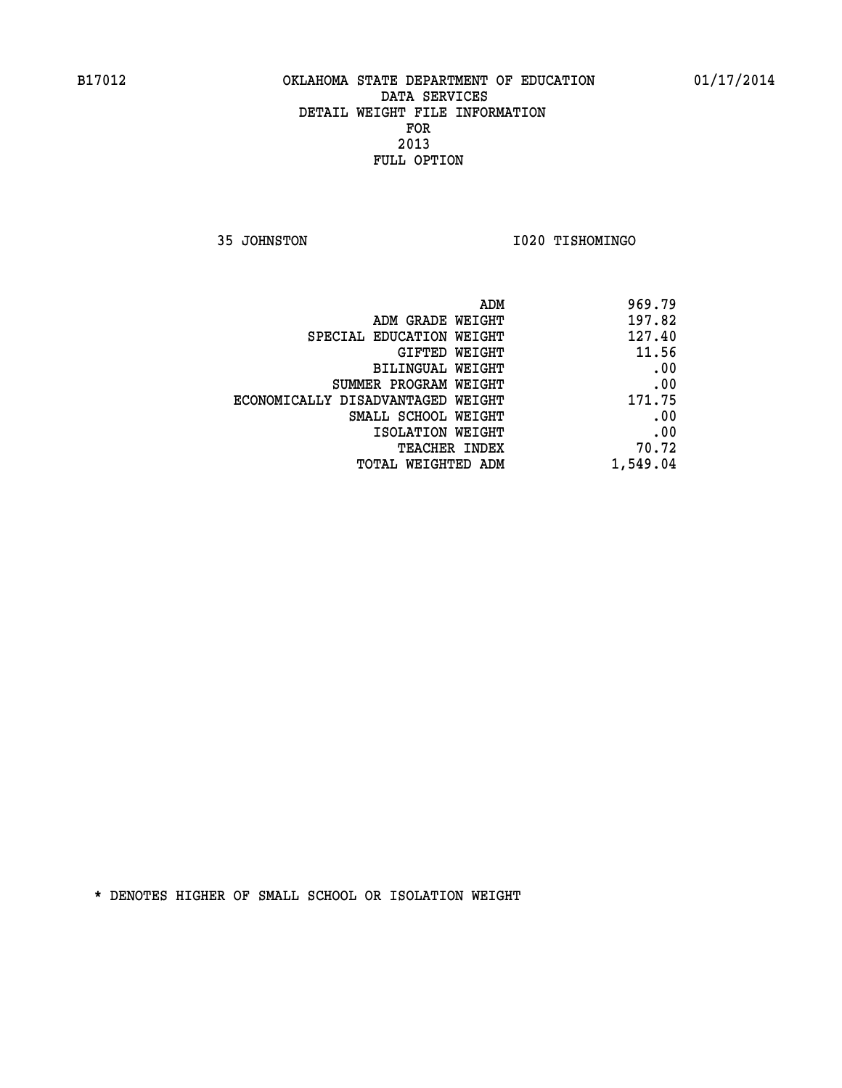**35 JOHNSTON I020 TISHOMINGO** 

| 969.79   |
|----------|
| 197.82   |
| 127.40   |
| 11.56    |
| .00      |
| .00      |
| 171.75   |
| .00      |
| .00      |
| 70.72    |
| 1,549.04 |
|          |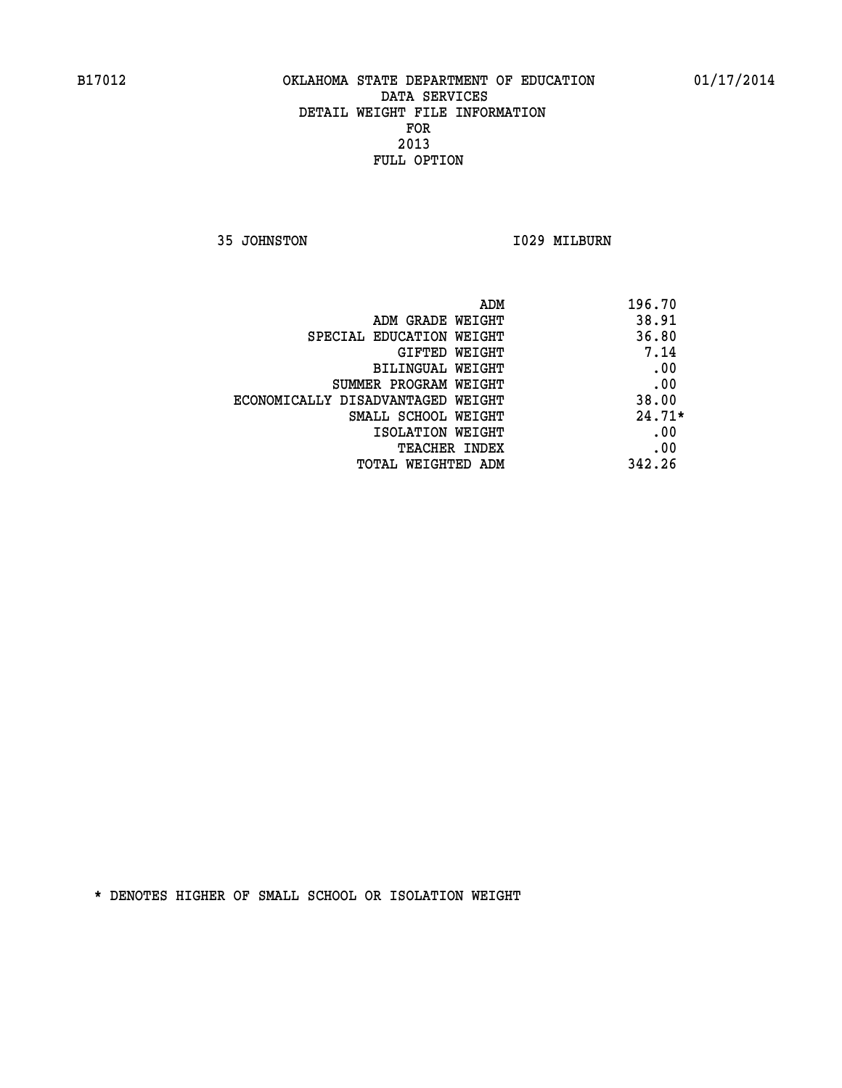**35 JOHNSTON 1029 MILBURN** 

| ADM                               | 196.70   |
|-----------------------------------|----------|
| ADM GRADE WEIGHT                  | 38.91    |
| SPECIAL EDUCATION WEIGHT          | 36.80    |
| <b>GIFTED WEIGHT</b>              | 7.14     |
| BILINGUAL WEIGHT                  | .00      |
| SUMMER PROGRAM WEIGHT             | .00      |
| ECONOMICALLY DISADVANTAGED WEIGHT | 38.00    |
| SMALL SCHOOL WEIGHT               | $24.71*$ |
| ISOLATION WEIGHT                  | .00      |
| <b>TEACHER INDEX</b>              | .00      |
| TOTAL WEIGHTED ADM                | 342.26   |
|                                   |          |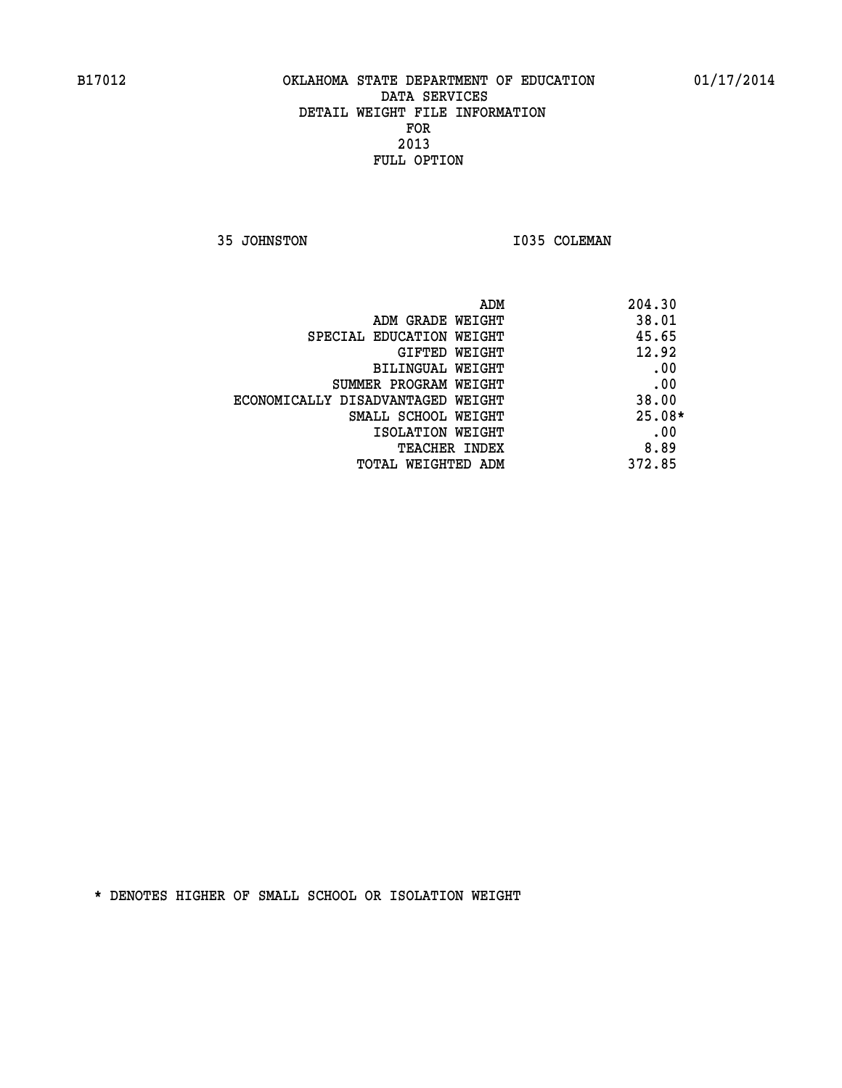**35 JOHNSTON 1035 COLEMAN** 

| ADM                               | 204.30   |
|-----------------------------------|----------|
| ADM GRADE WEIGHT                  | 38.01    |
| SPECIAL EDUCATION WEIGHT          | 45.65    |
| GIFTED WEIGHT                     | 12.92    |
| BILINGUAL WEIGHT                  | .00      |
| SUMMER PROGRAM WEIGHT             | .00      |
| ECONOMICALLY DISADVANTAGED WEIGHT | 38.00    |
| SMALL SCHOOL WEIGHT               | $25.08*$ |
| ISOLATION WEIGHT                  | .00      |
| <b>TEACHER INDEX</b>              | 8.89     |
| TOTAL WEIGHTED ADM                | 372.85   |
|                                   |          |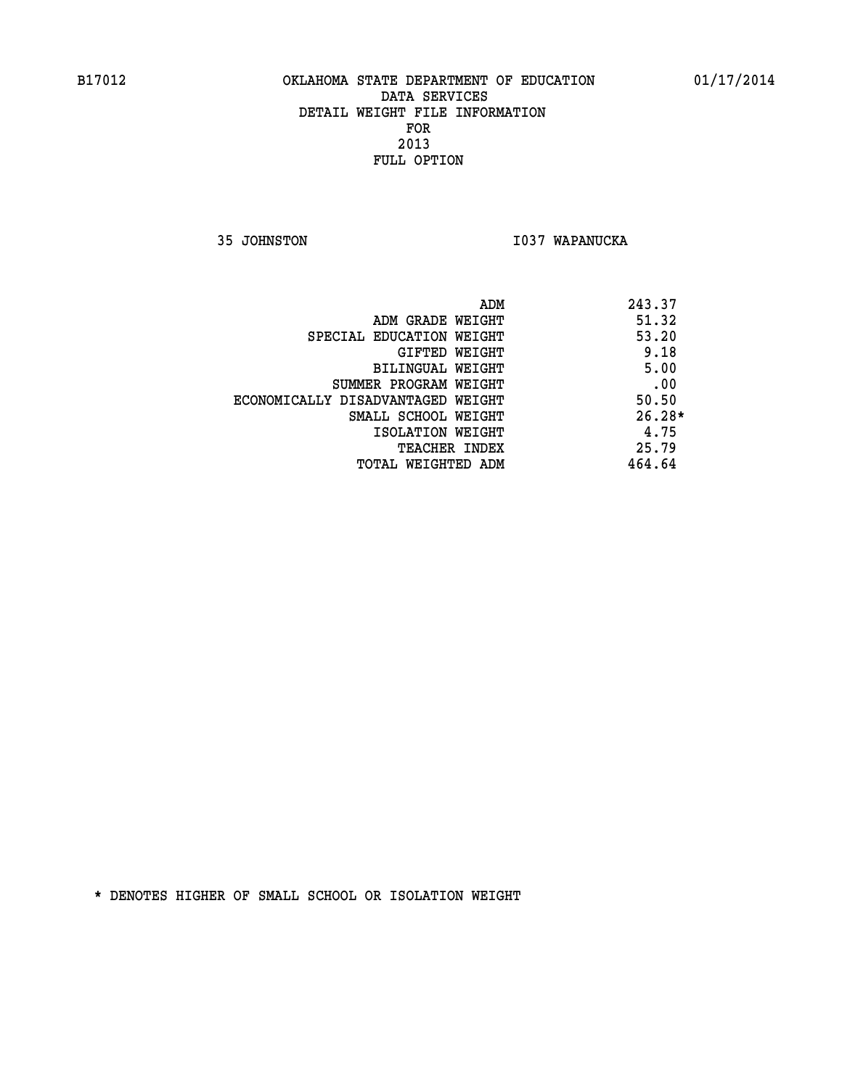**35 JOHNSTON I037 WAPANUCKA** 

| ADM                               | 243.37   |
|-----------------------------------|----------|
| ADM GRADE WEIGHT                  | 51.32    |
| SPECIAL EDUCATION WEIGHT          | 53.20    |
| GIFTED WEIGHT                     | 9.18     |
| <b>BILINGUAL WEIGHT</b>           | 5.00     |
| SUMMER PROGRAM WEIGHT             | .00      |
| ECONOMICALLY DISADVANTAGED WEIGHT | 50.50    |
| SMALL SCHOOL WEIGHT               | $26.28*$ |
| ISOLATION WEIGHT                  | 4.75     |
| <b>TEACHER INDEX</b>              | 25.79    |
| TOTAL WEIGHTED ADM                | 464.64   |
|                                   |          |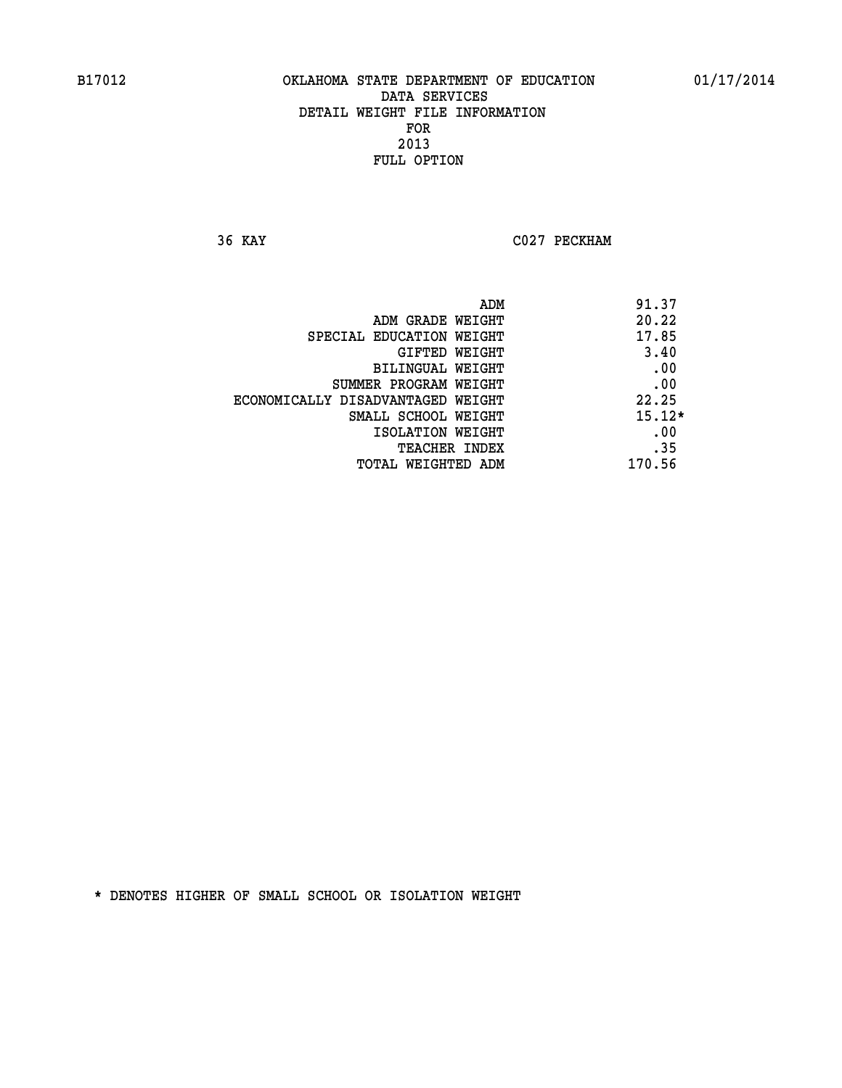**36 KAY C027 PECKHAM** 

|                                   | ADM | 91.37    |
|-----------------------------------|-----|----------|
| ADM GRADE WEIGHT                  |     | 20.22    |
| SPECIAL EDUCATION WEIGHT          |     | 17.85    |
| GIFTED WEIGHT                     |     | 3.40     |
| BILINGUAL WEIGHT                  |     | .00      |
| SUMMER PROGRAM WEIGHT             |     | .00      |
| ECONOMICALLY DISADVANTAGED WEIGHT |     | 22.25    |
| SMALL SCHOOL WEIGHT               |     | $15.12*$ |
| ISOLATION WEIGHT                  |     | .00      |
| TEACHER INDEX                     |     | .35      |
| TOTAL WEIGHTED ADM                |     | 170.56   |
|                                   |     |          |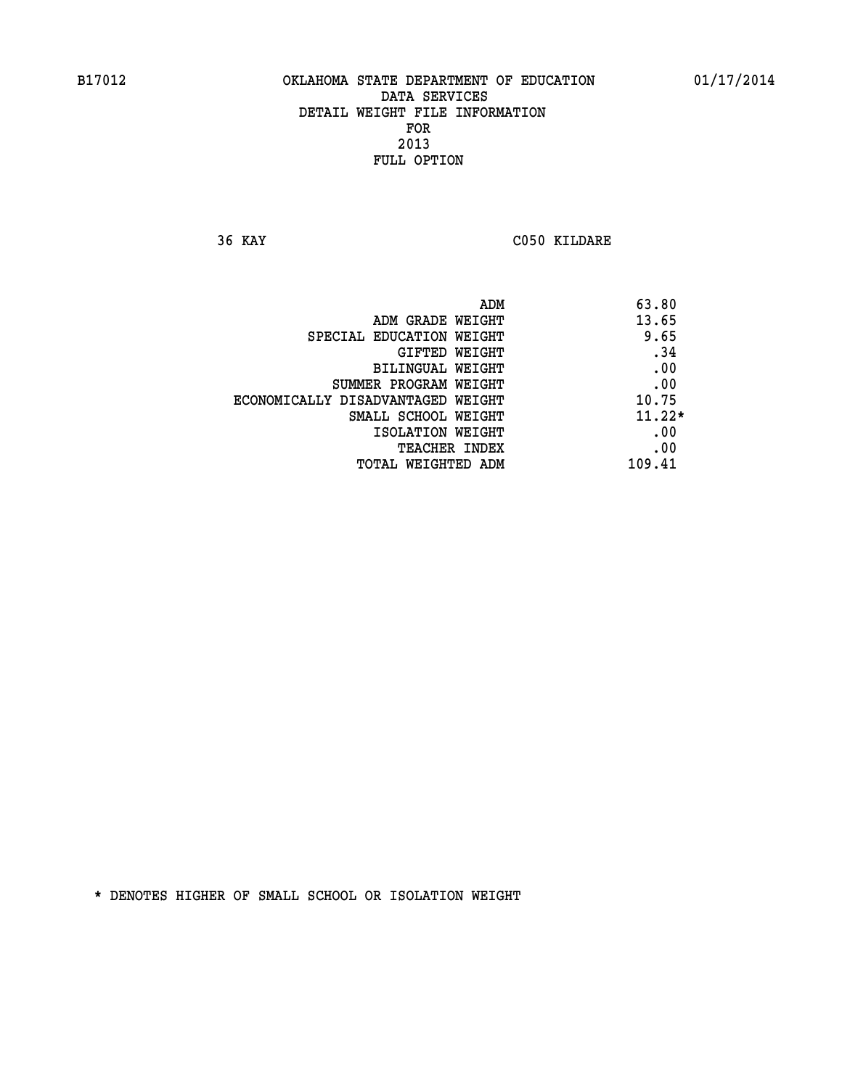**36 KAY C050 KILDARE** 

|                                   | 63.80<br>ADM |
|-----------------------------------|--------------|
| ADM GRADE WEIGHT                  | 13.65        |
| SPECIAL EDUCATION WEIGHT          | 9.65         |
| GIFTED WEIGHT                     | .34          |
| BILINGUAL WEIGHT                  | .00          |
| SUMMER PROGRAM WEIGHT             | .00          |
| ECONOMICALLY DISADVANTAGED WEIGHT | 10.75        |
| SMALL SCHOOL WEIGHT               | $11.22*$     |
| ISOLATION WEIGHT                  | .00          |
| TEACHER INDEX                     | .00          |
| TOTAL WEIGHTED ADM                | 109.41       |
|                                   |              |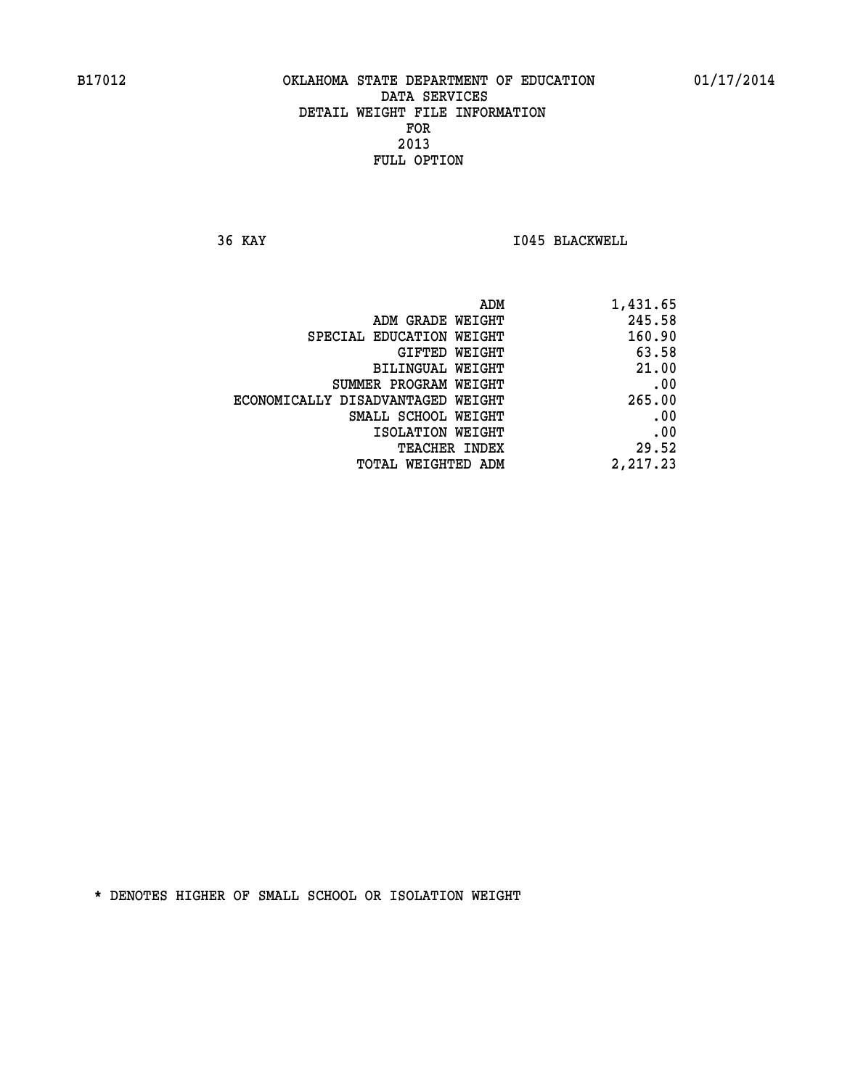**36 KAY I045 BLACKWELL** 

| 1,431.65 |
|----------|
| 245.58   |
| 160.90   |
| 63.58    |
| 21.00    |
| .00      |
| 265.00   |
| .00      |
| .00      |
| 29.52    |
| 2,217.23 |
|          |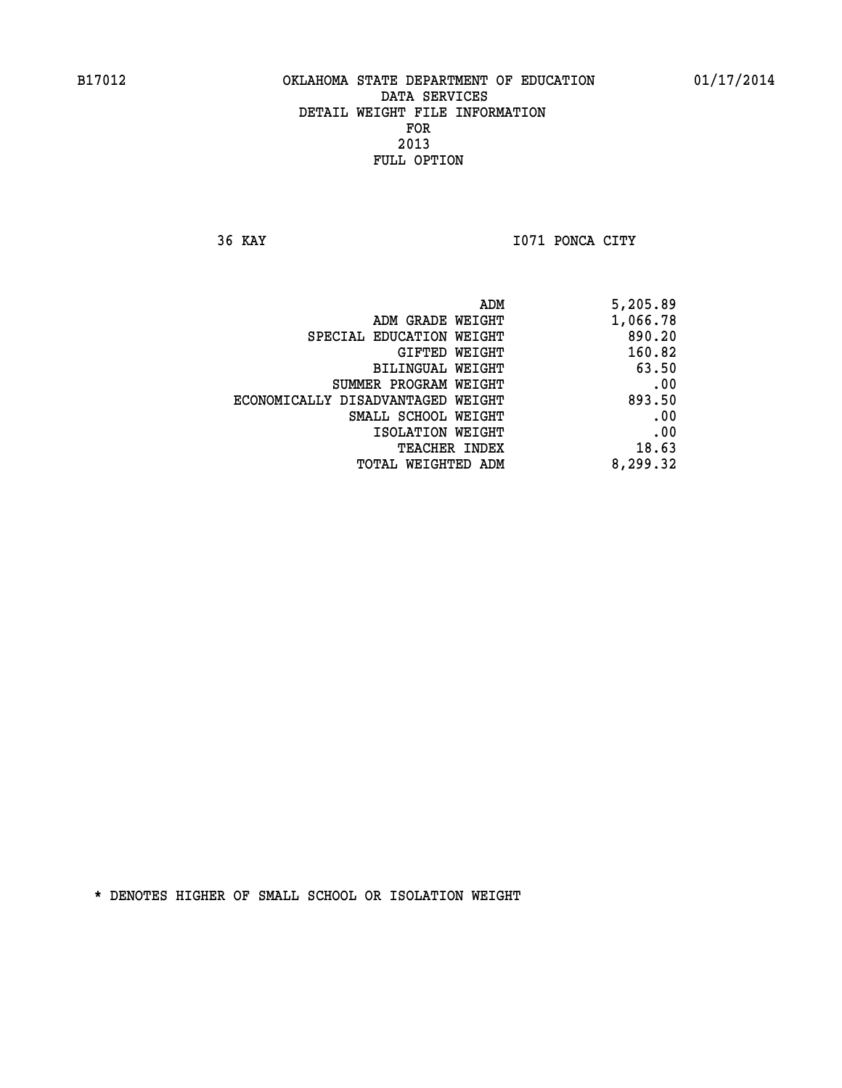**36 KAY I071 PONCA CITY** 

| ADM                               | 5,205.89 |
|-----------------------------------|----------|
| ADM GRADE WEIGHT                  | 1,066.78 |
| SPECIAL EDUCATION WEIGHT          | 890.20   |
| GIFTED WEIGHT                     | 160.82   |
| BILINGUAL WEIGHT                  | 63.50    |
| SUMMER PROGRAM WEIGHT             | .00      |
| ECONOMICALLY DISADVANTAGED WEIGHT | 893.50   |
| SMALL SCHOOL WEIGHT               | .00      |
| ISOLATION WEIGHT                  | .00      |
| <b>TEACHER INDEX</b>              | 18.63    |
| TOTAL WEIGHTED ADM                | 8,299.32 |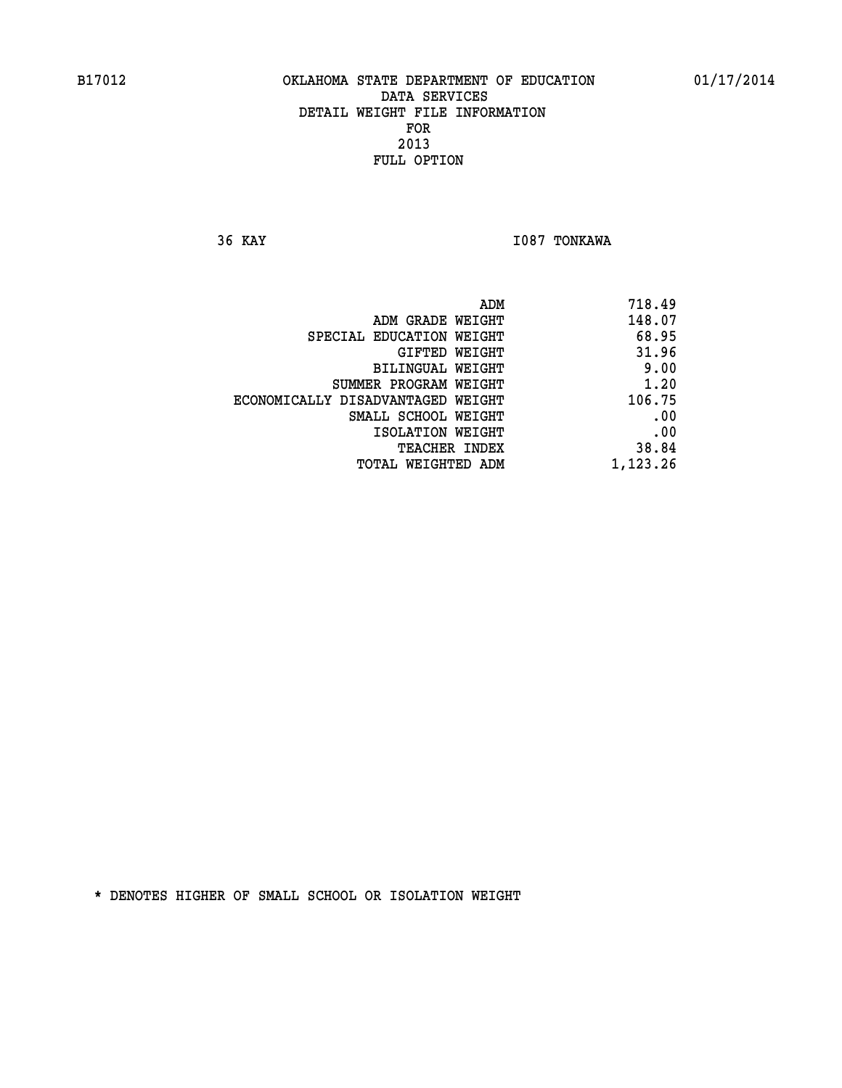**36 KAY I087 TONKAWA** 

| 718.49   |
|----------|
| 148.07   |
| 68.95    |
| 31.96    |
| 9.00     |
| 1.20     |
| 106.75   |
| .00      |
| .00      |
| 38.84    |
| 1,123.26 |
|          |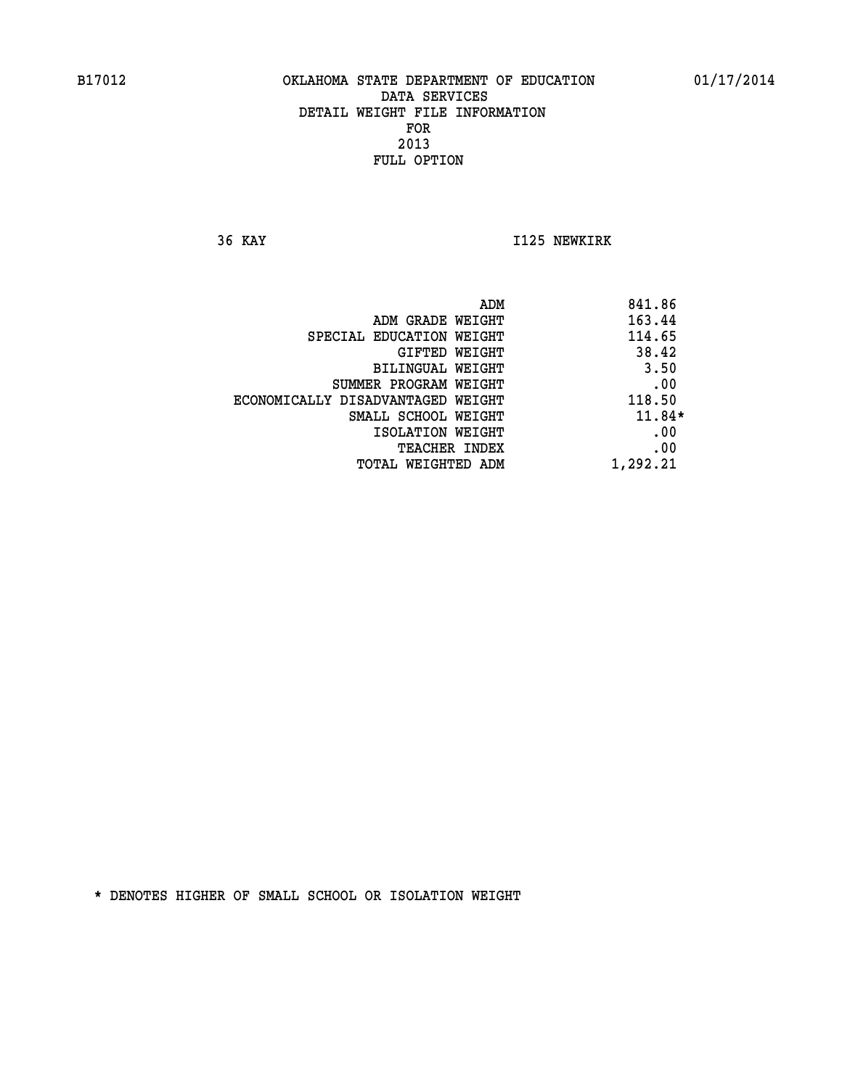**36 KAY I125 NEWKIRK** 

|                                   | ADM | 841.86   |
|-----------------------------------|-----|----------|
| ADM GRADE WEIGHT                  |     | 163.44   |
| SPECIAL EDUCATION WEIGHT          |     | 114.65   |
| GIFTED WEIGHT                     |     | 38.42    |
| BILINGUAL WEIGHT                  |     | 3.50     |
| SUMMER PROGRAM WEIGHT             |     | .00      |
| ECONOMICALLY DISADVANTAGED WEIGHT |     | 118.50   |
| SMALL SCHOOL WEIGHT               |     | $11.84*$ |
| ISOLATION WEIGHT                  |     | .00      |
| TEACHER INDEX                     |     | .00      |
| TOTAL WEIGHTED ADM                |     | 1,292.21 |
|                                   |     |          |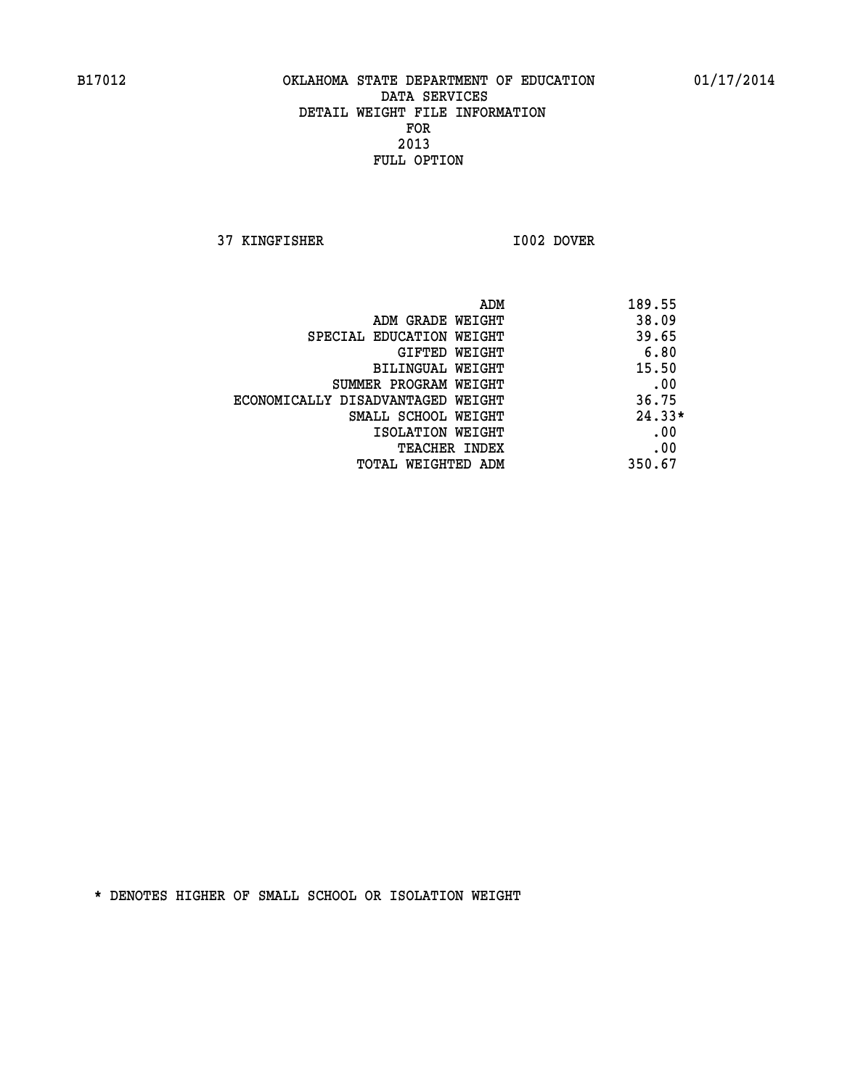**37 KINGFISHER I002 DOVER** 

|                                   | ADM | 189.55   |
|-----------------------------------|-----|----------|
| ADM GRADE WEIGHT                  |     | 38.09    |
| SPECIAL EDUCATION WEIGHT          |     | 39.65    |
| GIFTED WEIGHT                     |     | 6.80     |
| BILINGUAL WEIGHT                  |     | 15.50    |
| SUMMER PROGRAM WEIGHT             |     | .00      |
| ECONOMICALLY DISADVANTAGED WEIGHT |     | 36.75    |
| SMALL SCHOOL WEIGHT               |     | $24.33*$ |
| ISOLATION WEIGHT                  |     | .00      |
| <b>TEACHER INDEX</b>              |     | .00      |
| TOTAL WEIGHTED ADM                |     | 350.67   |
|                                   |     |          |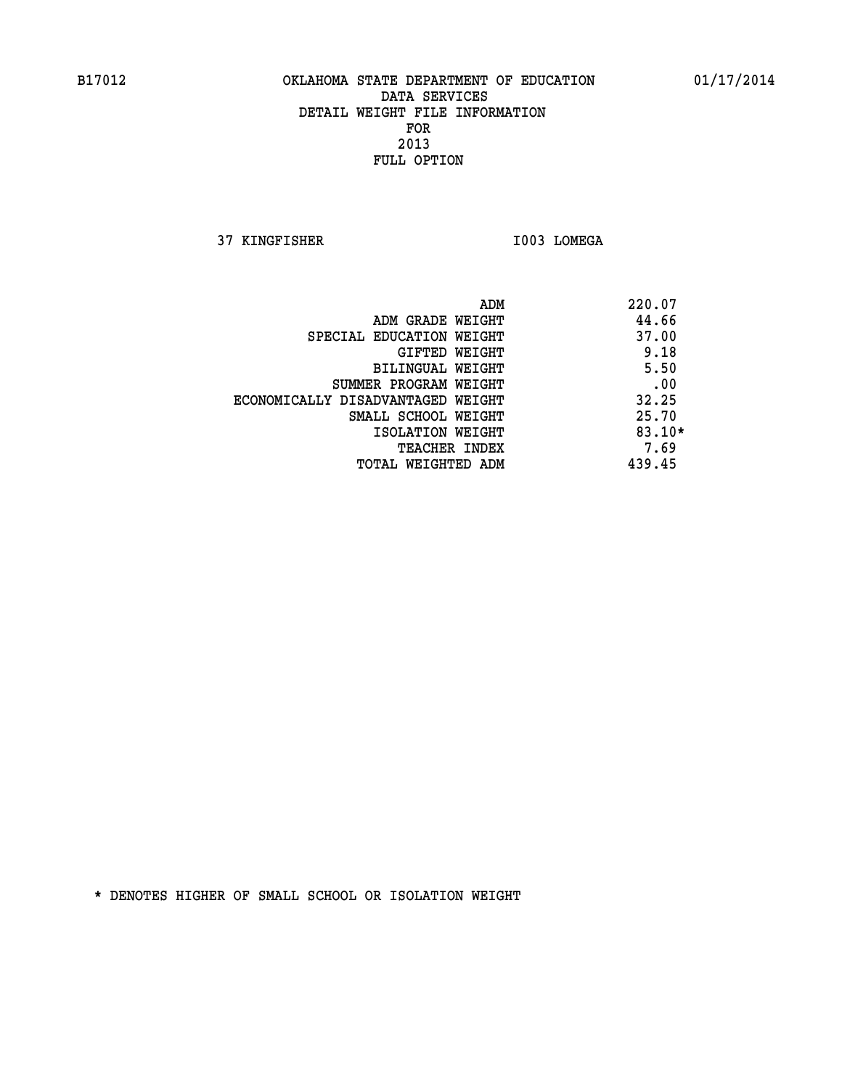**37 KINGFISHER I003 LOMEGA** 

|                                   | ADM | 220.07   |
|-----------------------------------|-----|----------|
| ADM GRADE WEIGHT                  |     | 44.66    |
| SPECIAL EDUCATION WEIGHT          |     | 37.00    |
| GIFTED WEIGHT                     |     | 9.18     |
| BILINGUAL WEIGHT                  |     | 5.50     |
| SUMMER PROGRAM WEIGHT             |     | .00      |
| ECONOMICALLY DISADVANTAGED WEIGHT |     | 32.25    |
| SMALL SCHOOL WEIGHT               |     | 25.70    |
| ISOLATION WEIGHT                  |     | $83.10*$ |
| <b>TEACHER INDEX</b>              |     | 7.69     |
| TOTAL WEIGHTED ADM                |     | 439.45   |
|                                   |     |          |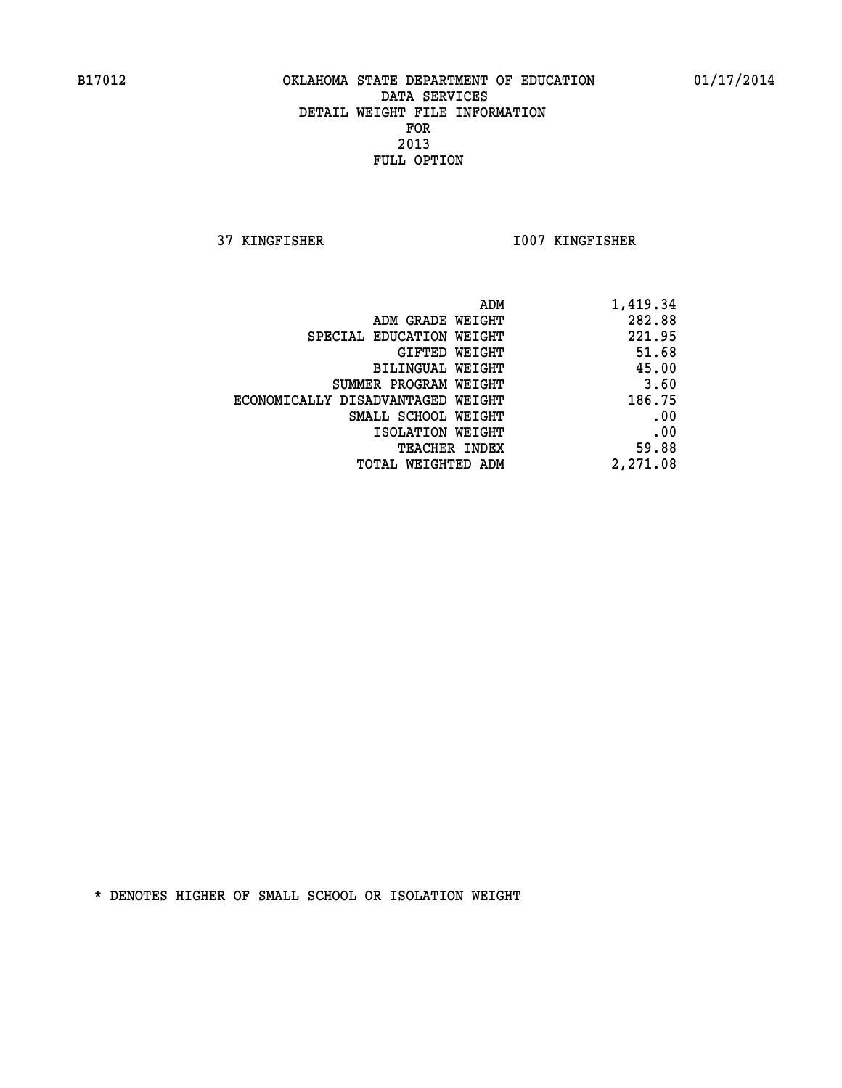**37 KINGFISHER I007 KINGFISHER** 

| 1,419.34 |
|----------|
| 282.88   |
| 221.95   |
| 51.68    |
| 45.00    |
| 3.60     |
| 186.75   |
| .00      |
| .00      |
| 59.88    |
| 2,271.08 |
|          |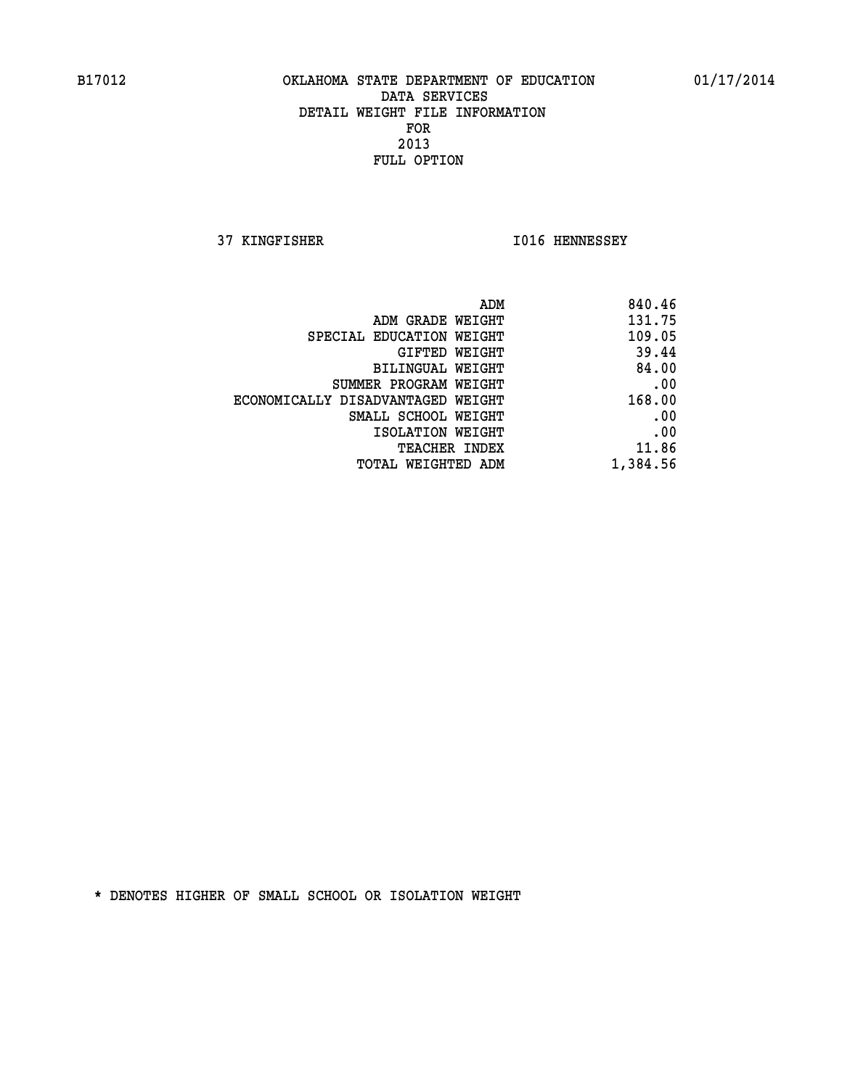**37 KINGFISHER I016 HENNESSEY** 

| 840.46   |
|----------|
| 131.75   |
| 109.05   |
| 39.44    |
| 84.00    |
| .00      |
| 168.00   |
| .00      |
| .00      |
| 11.86    |
| 1,384.56 |
|          |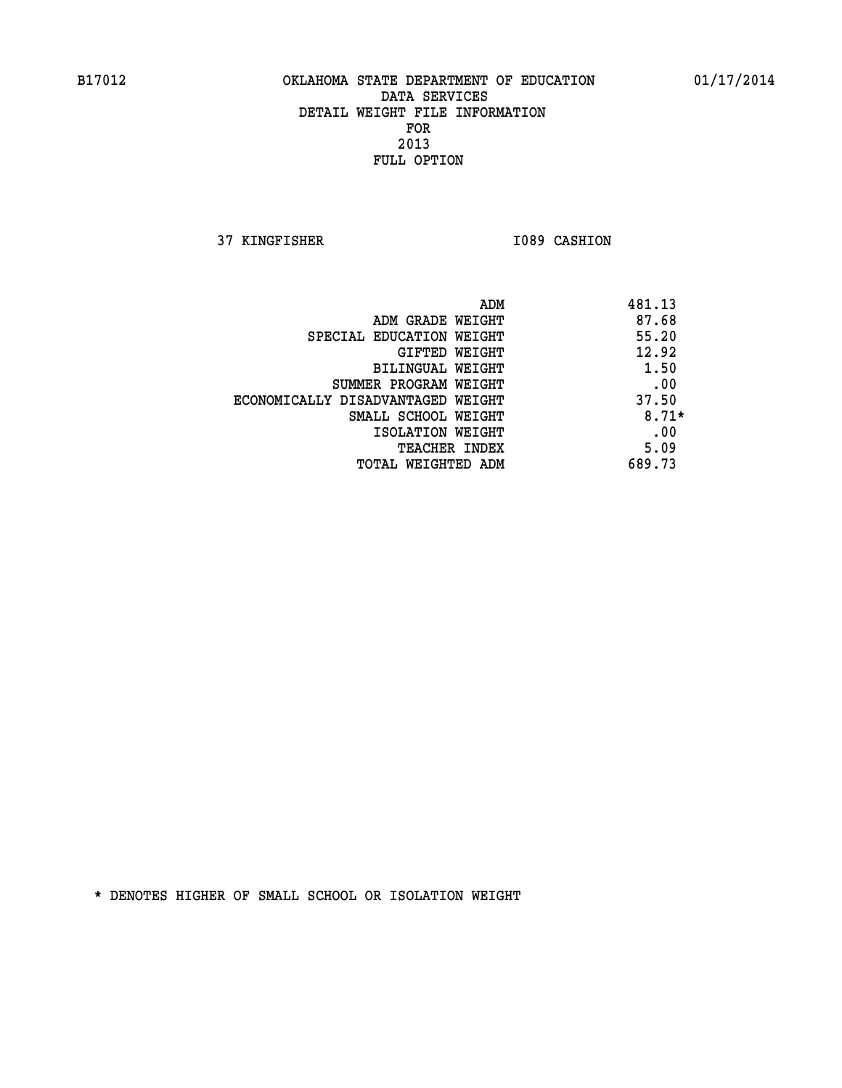**37 KINGFISHER 1089 CASHION** 

|                                   | ADM | 481.13  |
|-----------------------------------|-----|---------|
| ADM GRADE WEIGHT                  |     | 87.68   |
| SPECIAL EDUCATION WEIGHT          |     | 55.20   |
| GIFTED WEIGHT                     |     | 12.92   |
| BILINGUAL WEIGHT                  |     | 1.50    |
| SUMMER PROGRAM WEIGHT             |     | .00     |
| ECONOMICALLY DISADVANTAGED WEIGHT |     | 37.50   |
| SMALL SCHOOL WEIGHT               |     | $8.71*$ |
| ISOLATION WEIGHT                  |     | .00     |
| TEACHER INDEX                     |     | 5.09    |
| TOTAL WEIGHTED ADM                |     | 689.73  |
|                                   |     |         |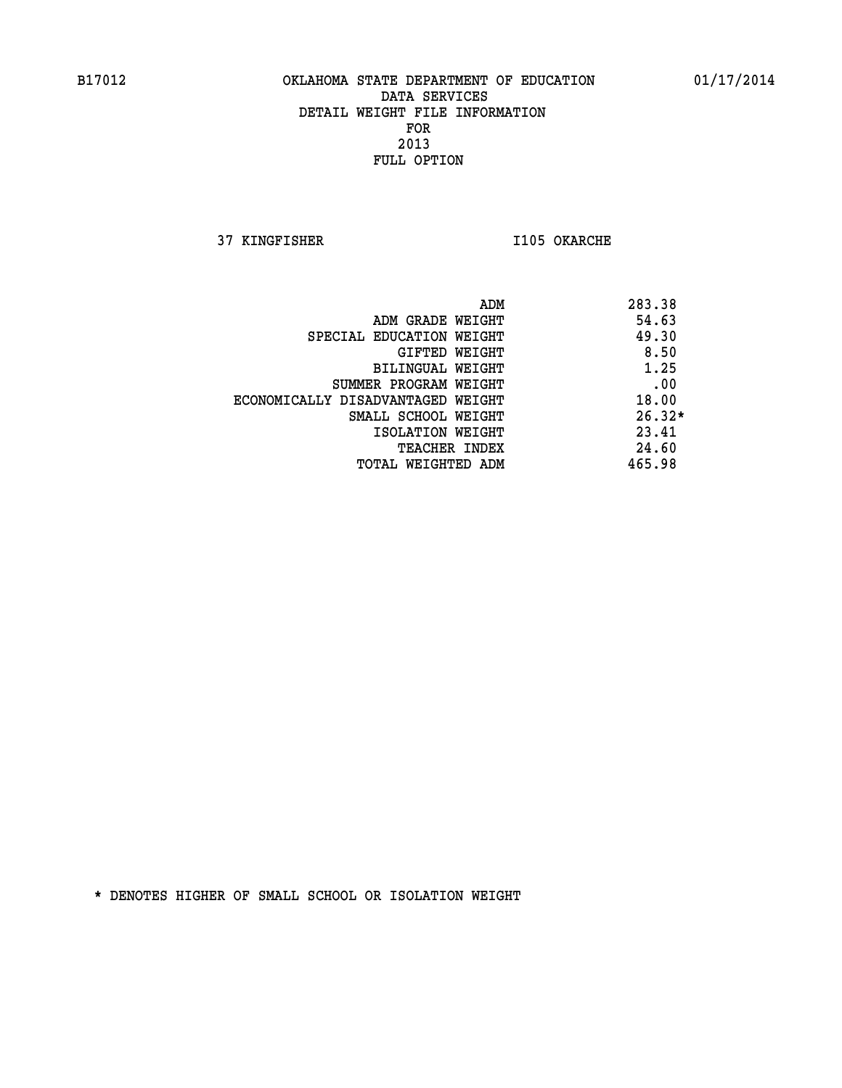**37 KINGFISHER I105 OKARCHE** 

|                                   | ADM | 283.38   |
|-----------------------------------|-----|----------|
| ADM GRADE WEIGHT                  |     | 54.63    |
| SPECIAL EDUCATION WEIGHT          |     | 49.30    |
| GIFTED WEIGHT                     |     | 8.50     |
| BILINGUAL WEIGHT                  |     | 1.25     |
| SUMMER PROGRAM WEIGHT             |     | .00      |
| ECONOMICALLY DISADVANTAGED WEIGHT |     | 18.00    |
| SMALL SCHOOL WEIGHT               |     | $26.32*$ |
| ISOLATION WEIGHT                  |     | 23.41    |
| TEACHER INDEX                     |     | 24.60    |
| TOTAL WEIGHTED ADM                |     | 465.98   |
|                                   |     |          |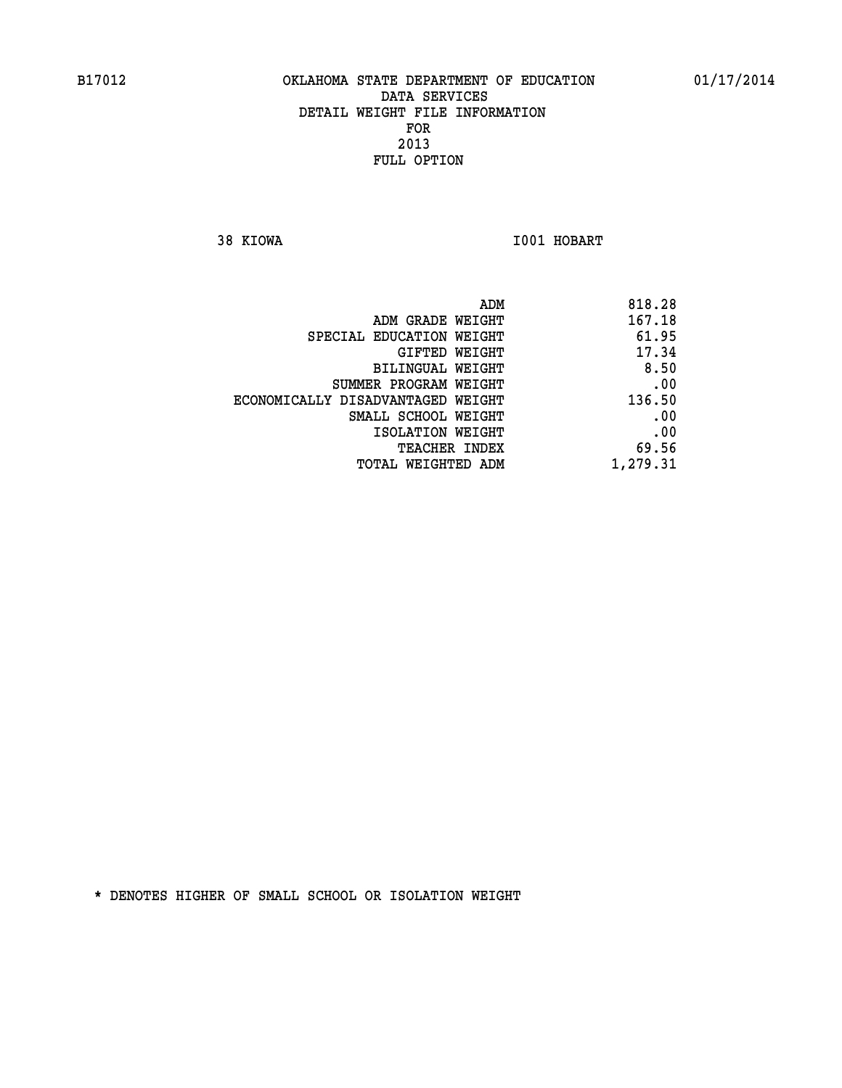**38 KIOWA I001 HOBART** 

| 818.28                                                                                                                                                                                                                            |
|-----------------------------------------------------------------------------------------------------------------------------------------------------------------------------------------------------------------------------------|
| 167.18                                                                                                                                                                                                                            |
| 61.95                                                                                                                                                                                                                             |
| 17.34                                                                                                                                                                                                                             |
| 8.50                                                                                                                                                                                                                              |
| .00                                                                                                                                                                                                                               |
| 136.50                                                                                                                                                                                                                            |
| .00                                                                                                                                                                                                                               |
| .00                                                                                                                                                                                                                               |
| 69.56                                                                                                                                                                                                                             |
| 1,279.31                                                                                                                                                                                                                          |
| ADM GRADE WEIGHT<br>SPECIAL EDUCATION WEIGHT<br>GIFTED WEIGHT<br>BILINGUAL WEIGHT<br>SUMMER PROGRAM WEIGHT<br>ECONOMICALLY DISADVANTAGED WEIGHT<br>SMALL SCHOOL WEIGHT<br>ISOLATION WEIGHT<br>TEACHER INDEX<br>TOTAL WEIGHTED ADM |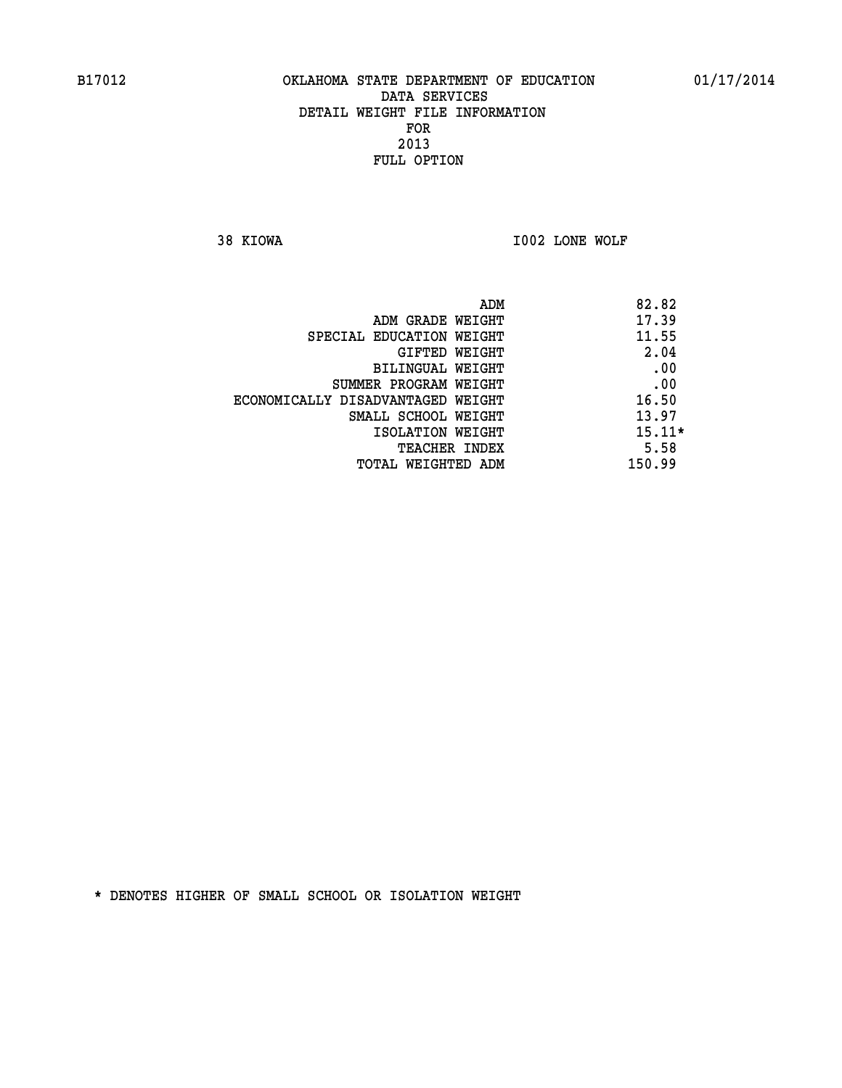**38 KIOWA I002 LONE WOLF** 

|                                   | ADM | 82.82    |
|-----------------------------------|-----|----------|
| ADM GRADE WEIGHT                  |     | 17.39    |
| SPECIAL EDUCATION WEIGHT          |     | 11.55    |
| GIFTED WEIGHT                     |     | 2.04     |
| BILINGUAL WEIGHT                  |     | .00      |
| SUMMER PROGRAM WEIGHT             |     | .00      |
| ECONOMICALLY DISADVANTAGED WEIGHT |     | 16.50    |
| SMALL SCHOOL WEIGHT               |     | 13.97    |
| ISOLATION WEIGHT                  |     | $15.11*$ |
| TEACHER INDEX                     |     | 5.58     |
| TOTAL WEIGHTED ADM                |     | 150.99   |
|                                   |     |          |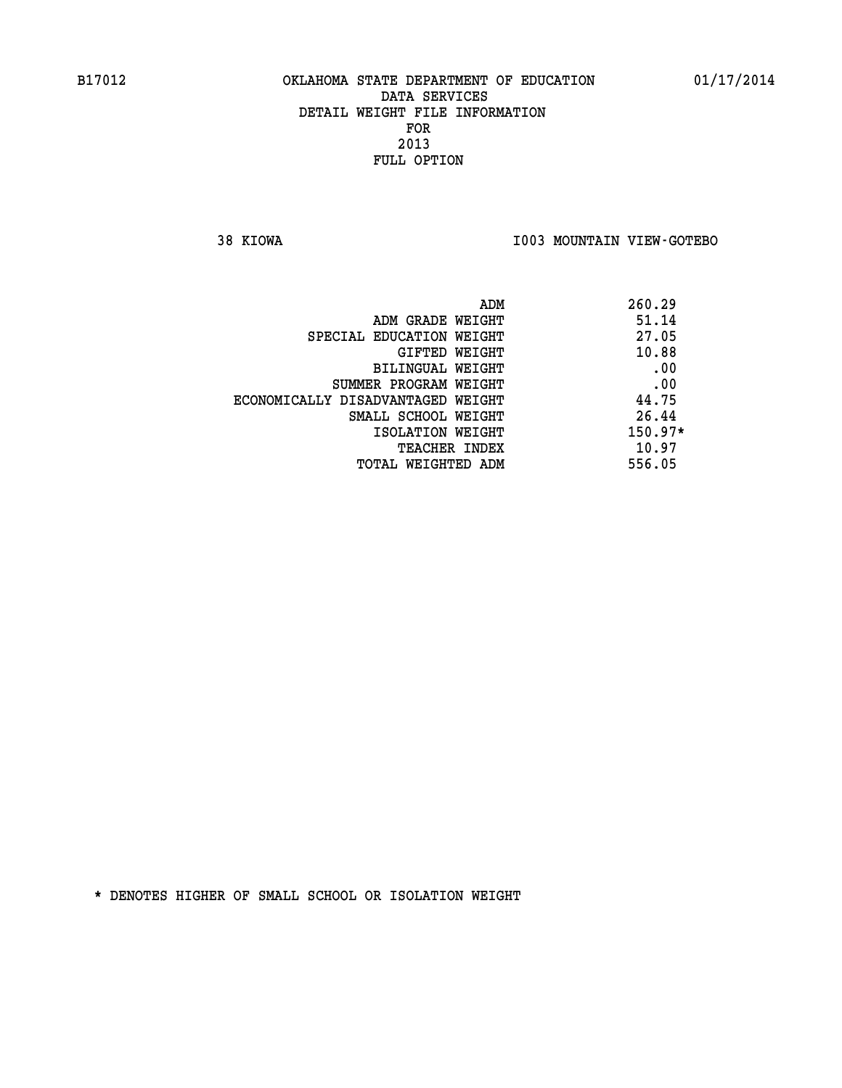**38 KIOWA I003 MOUNTAIN VIEW-GOTEBO** 

|                                   | 260.29<br>ADM |
|-----------------------------------|---------------|
| ADM GRADE WEIGHT                  | 51.14         |
| SPECIAL EDUCATION WEIGHT          | 27.05         |
| GIFTED WEIGHT                     | 10.88         |
| BILINGUAL WEIGHT                  | .00           |
| SUMMER PROGRAM WEIGHT             | .00           |
| ECONOMICALLY DISADVANTAGED WEIGHT | 44.75         |
| SMALL SCHOOL WEIGHT               | 26.44         |
| ISOLATION WEIGHT                  | $150.97*$     |
| <b>TEACHER INDEX</b>              | 10.97         |
| TOTAL WEIGHTED ADM                | 556.05        |
|                                   |               |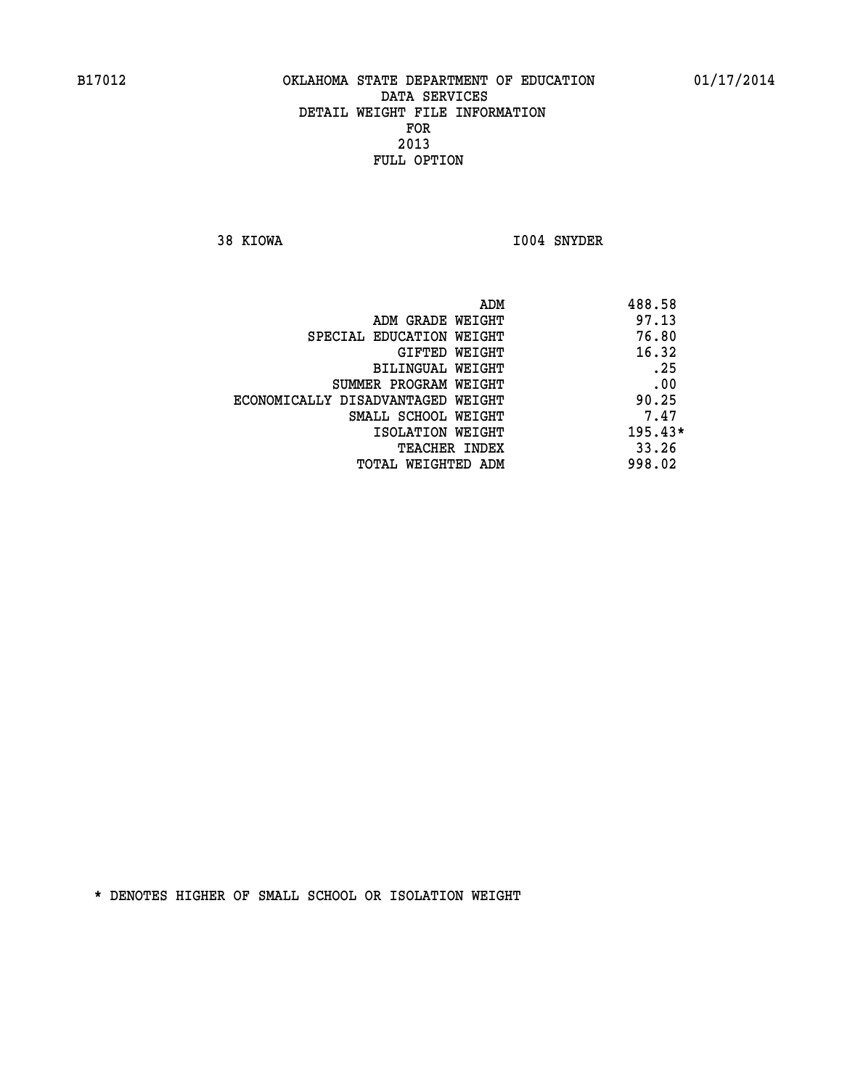**38 KIOWA I004 SNYDER** 

|                                   | ADM | 488.58    |
|-----------------------------------|-----|-----------|
| ADM GRADE WEIGHT                  |     | 97.13     |
| SPECIAL EDUCATION WEIGHT          |     | 76.80     |
| GIFTED WEIGHT                     |     | 16.32     |
| BILINGUAL WEIGHT                  |     | .25       |
| SUMMER PROGRAM WEIGHT             |     | .00       |
| ECONOMICALLY DISADVANTAGED WEIGHT |     | 90.25     |
| SMALL SCHOOL WEIGHT               |     | 7.47      |
| ISOLATION WEIGHT                  |     | $195.43*$ |
| <b>TEACHER INDEX</b>              |     | 33.26     |
| TOTAL WEIGHTED ADM                |     | 998.02    |
|                                   |     |           |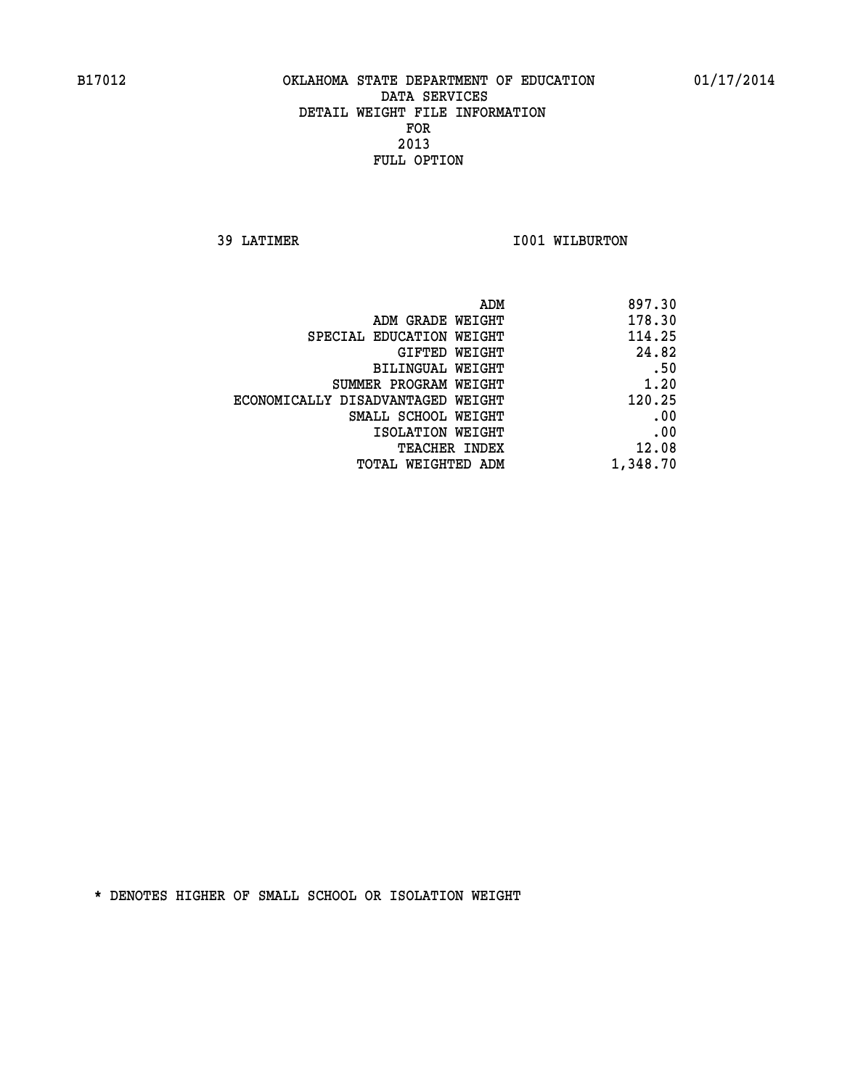**39 LATIMER 1001 WILBURTON** 

| 897.30   |
|----------|
| 178.30   |
| 114.25   |
| 24.82    |
| .50      |
| 1.20     |
| 120.25   |
| .00      |
| .00      |
| 12.08    |
| 1,348.70 |
|          |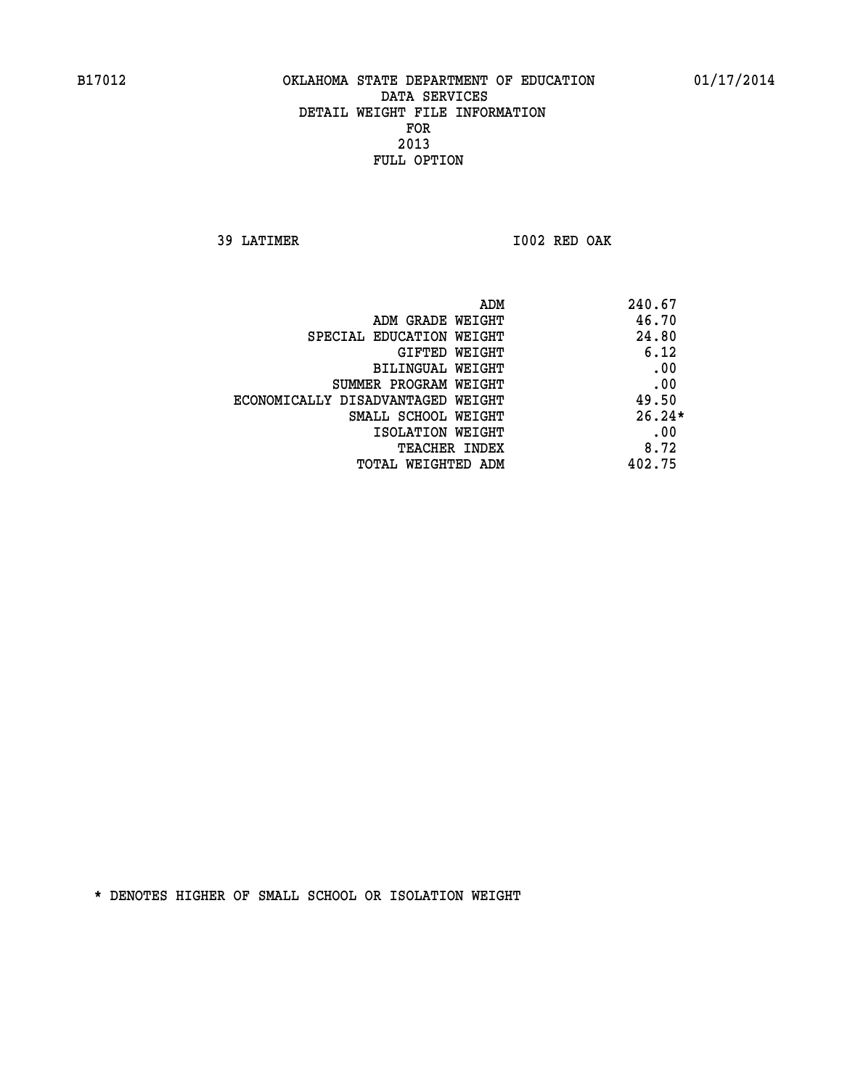**39 LATIMER I002 RED OAK** 

| ADM                               | 240.67   |
|-----------------------------------|----------|
| ADM GRADE WEIGHT                  | 46.70    |
| SPECIAL EDUCATION WEIGHT          | 24.80    |
| <b>GIFTED WEIGHT</b>              | 6.12     |
| BILINGUAL WEIGHT                  | .00      |
| SUMMER PROGRAM WEIGHT             | .00      |
| ECONOMICALLY DISADVANTAGED WEIGHT | 49.50    |
| SMALL SCHOOL WEIGHT               | $26.24*$ |
| ISOLATION WEIGHT                  | .00      |
| <b>TEACHER INDEX</b>              | 8.72     |
| TOTAL WEIGHTED ADM                | 402.75   |
|                                   |          |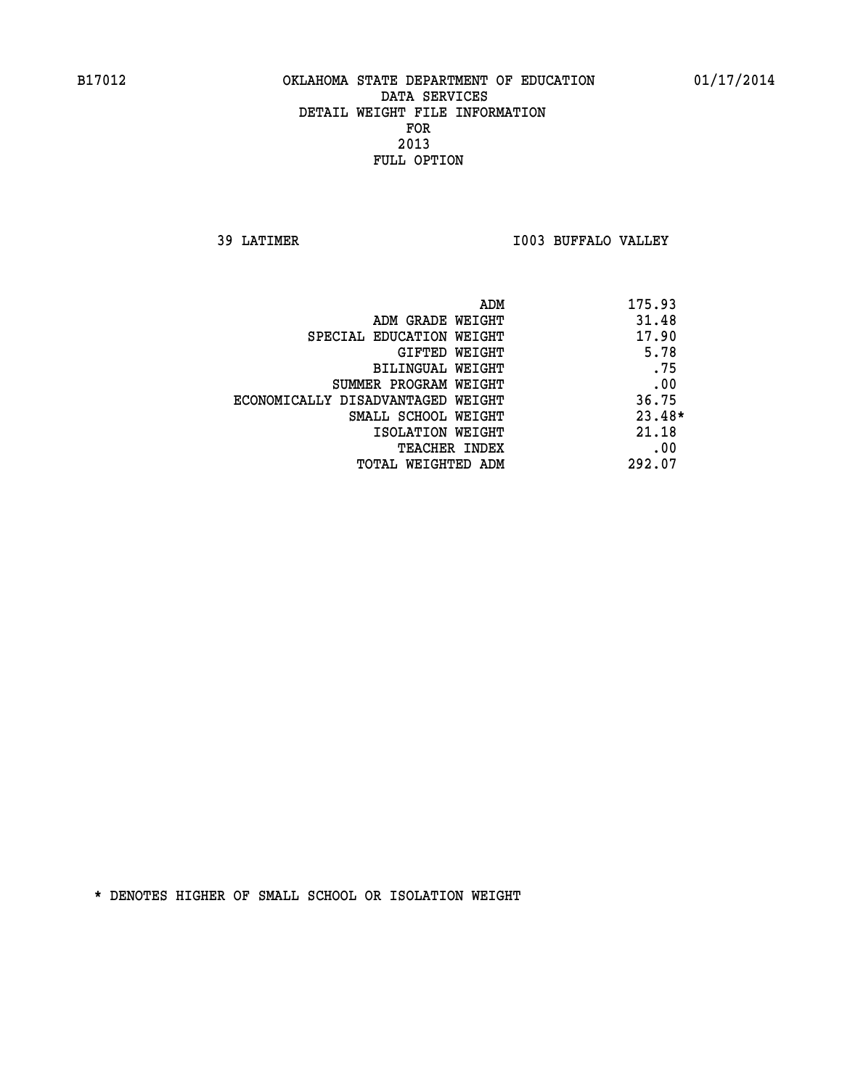**39 LATIMER I003 BUFFALO VALLEY** 

| ADM                               | 175.93   |
|-----------------------------------|----------|
| ADM GRADE WEIGHT                  | 31.48    |
| SPECIAL EDUCATION WEIGHT          | 17.90    |
| GIFTED WEIGHT                     | 5.78     |
| BILINGUAL WEIGHT                  | .75      |
| SUMMER PROGRAM WEIGHT             | .00      |
| ECONOMICALLY DISADVANTAGED WEIGHT | 36.75    |
| SMALL SCHOOL WEIGHT               | $23.48*$ |
| ISOLATION WEIGHT                  | 21.18    |
| <b>TEACHER INDEX</b>              | .00      |
| TOTAL WEIGHTED ADM                | 292.07   |
|                                   |          |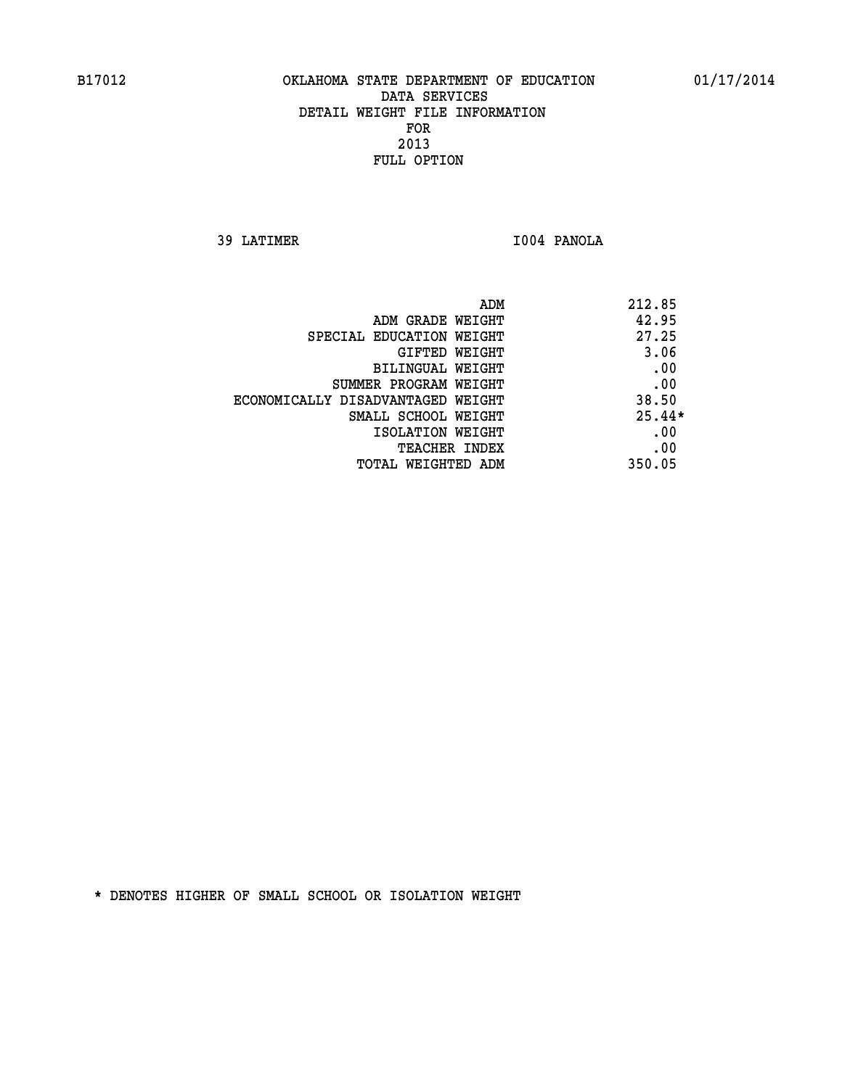**39 LATIMER I004 PANOLA** 

| ADM                               | 212.85   |
|-----------------------------------|----------|
| ADM GRADE WEIGHT                  | 42.95    |
| SPECIAL EDUCATION WEIGHT          | 27.25    |
| GIFTED WEIGHT                     | 3.06     |
| BILINGUAL WEIGHT                  | .00      |
| SUMMER PROGRAM WEIGHT             | .00      |
| ECONOMICALLY DISADVANTAGED WEIGHT | 38.50    |
| SMALL SCHOOL WEIGHT               | $25.44*$ |
| ISOLATION WEIGHT                  | .00      |
| <b>TEACHER INDEX</b>              | .00      |
| TOTAL WEIGHTED ADM                | 350.05   |
|                                   |          |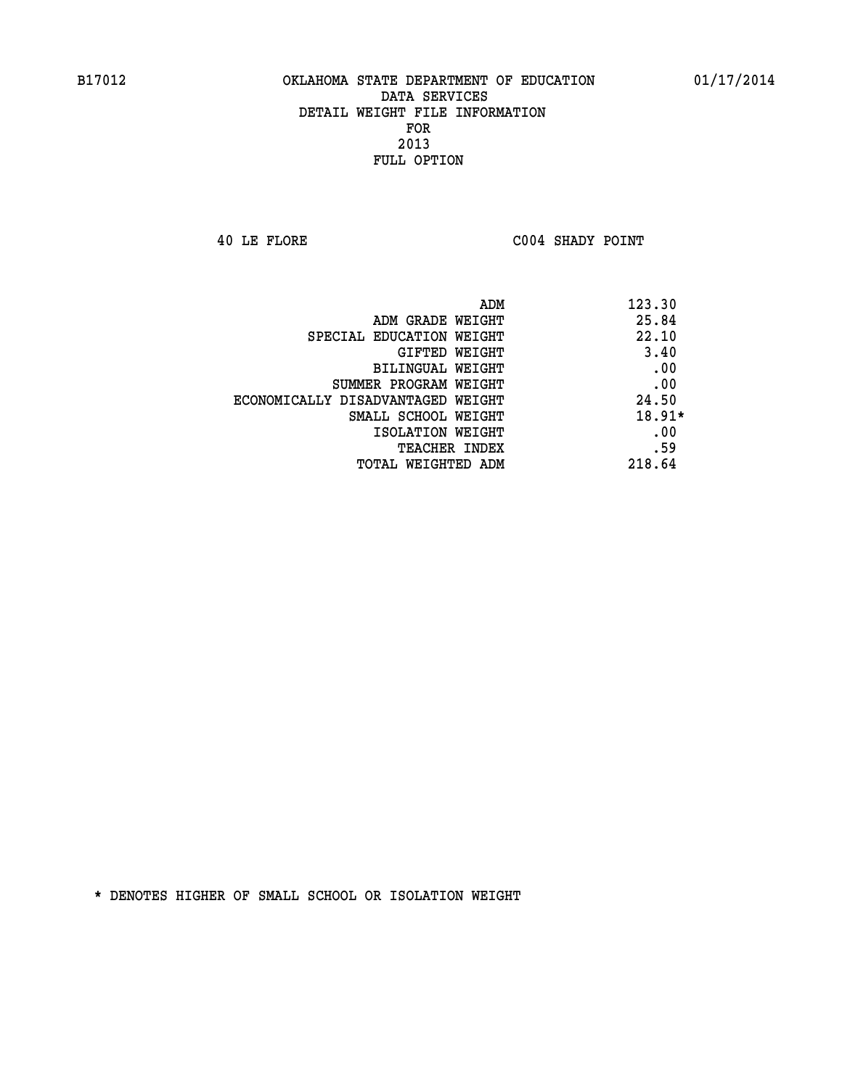**40 LE FLORE C004 SHADY POINT** 

| ADM                               | 123.30   |
|-----------------------------------|----------|
| ADM GRADE WEIGHT                  | 25.84    |
| SPECIAL EDUCATION WEIGHT          | 22.10    |
| GIFTED WEIGHT                     | 3.40     |
| BILINGUAL WEIGHT                  | .00      |
| SUMMER PROGRAM WEIGHT             | .00      |
| ECONOMICALLY DISADVANTAGED WEIGHT | 24.50    |
| SMALL SCHOOL WEIGHT               | $18.91*$ |
| ISOLATION WEIGHT                  | .00      |
| <b>TEACHER INDEX</b>              | .59      |
| TOTAL WEIGHTED ADM                | 218.64   |
|                                   |          |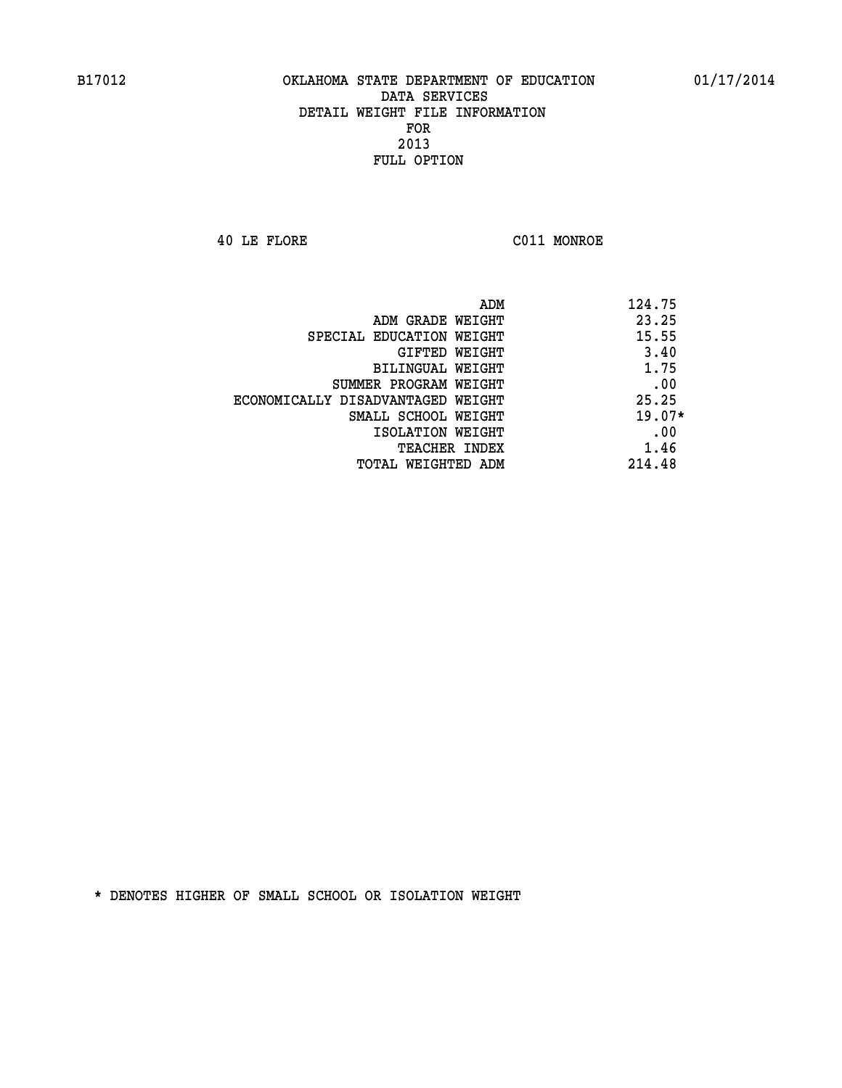**40 LE FLORE C011 MONROE** 

| ADM                               | 124.75   |
|-----------------------------------|----------|
| ADM GRADE WEIGHT                  | 23.25    |
| SPECIAL EDUCATION WEIGHT          | 15.55    |
| GIFTED WEIGHT                     | 3.40     |
| BILINGUAL WEIGHT                  | 1.75     |
| SUMMER PROGRAM WEIGHT             | .00      |
| ECONOMICALLY DISADVANTAGED WEIGHT | 25.25    |
| SMALL SCHOOL WEIGHT               | $19.07*$ |
| ISOLATION WEIGHT                  | .00      |
| <b>TEACHER INDEX</b>              | 1.46     |
| TOTAL WEIGHTED ADM                | 214.48   |
|                                   |          |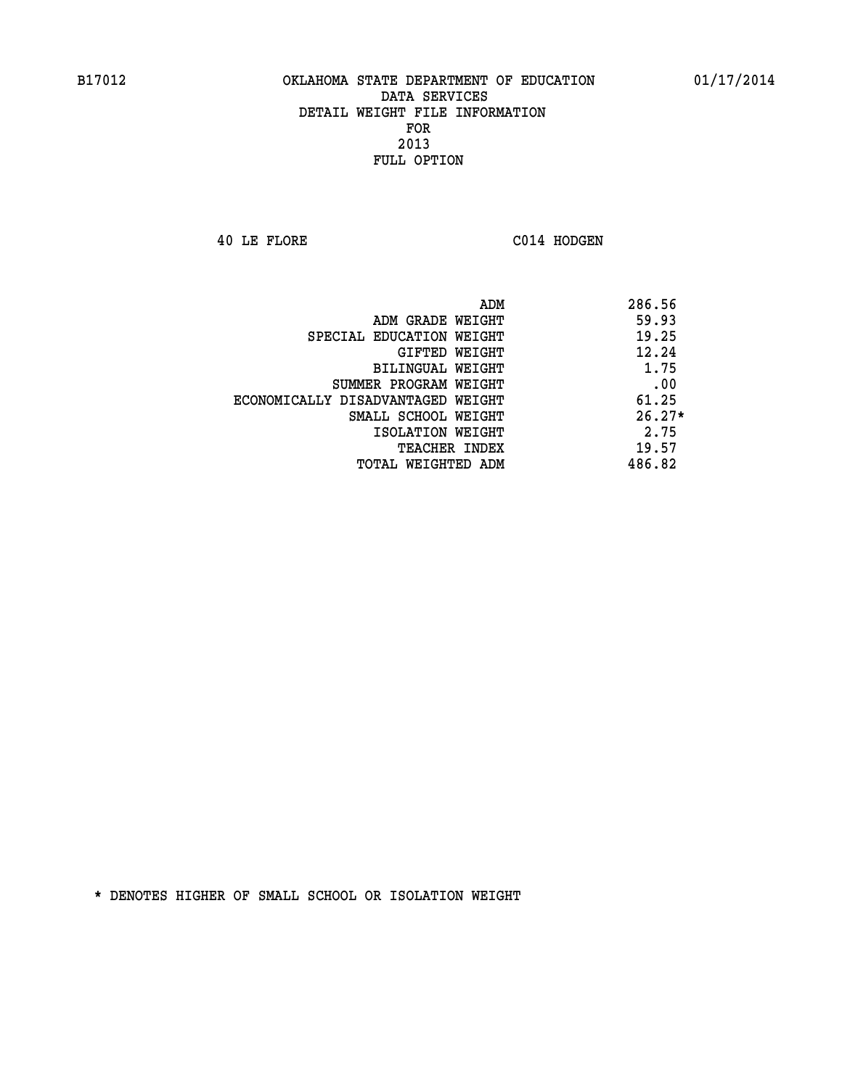**40 LE FLORE C014 HODGEN** 

| ADM                               | 286.56   |
|-----------------------------------|----------|
| ADM GRADE WEIGHT                  | 59.93    |
| SPECIAL EDUCATION WEIGHT          | 19.25    |
| GIFTED WEIGHT                     | 12.24    |
| <b>BILINGUAL WEIGHT</b>           | 1.75     |
| SUMMER PROGRAM WEIGHT             | .00      |
| ECONOMICALLY DISADVANTAGED WEIGHT | 61.25    |
| SMALL SCHOOL WEIGHT               | $26.27*$ |
| ISOLATION WEIGHT                  | 2.75     |
| <b>TEACHER INDEX</b>              | 19.57    |
| TOTAL WEIGHTED ADM                | 486.82   |
|                                   |          |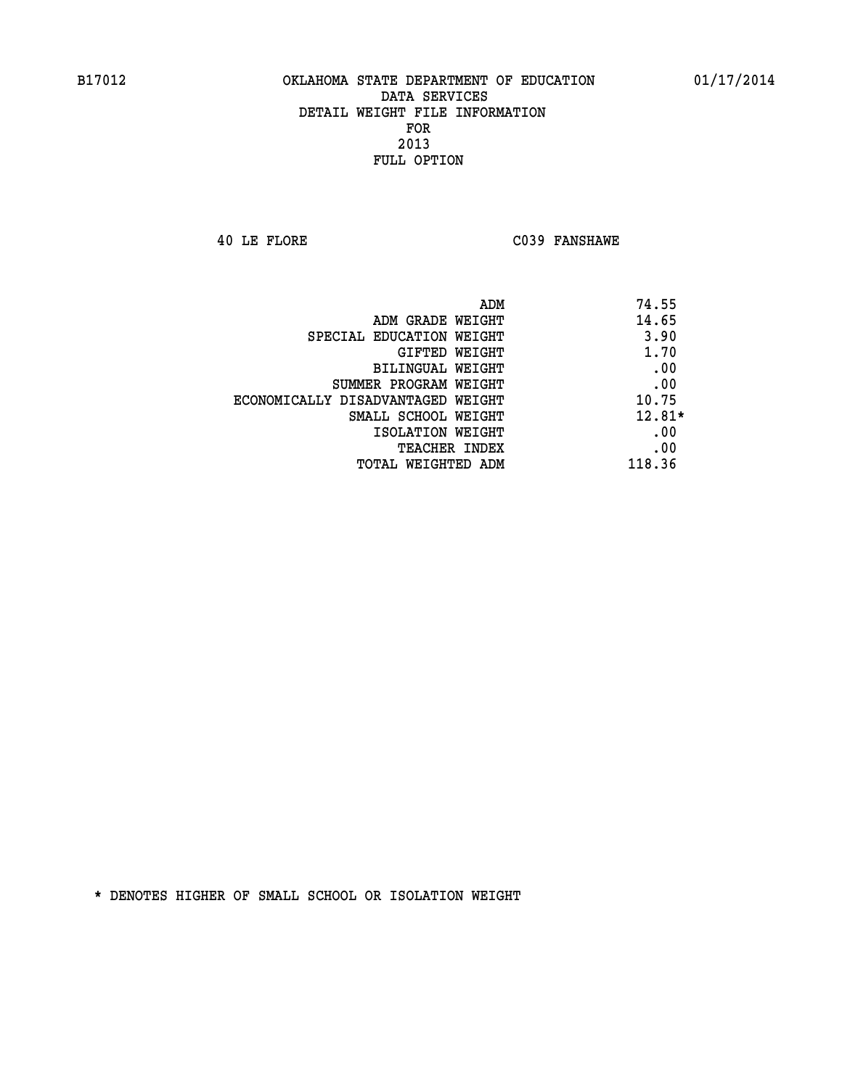**40 LE FLORE C039 FANSHAWE** 

| ADM                               | 74.55    |
|-----------------------------------|----------|
| ADM GRADE WEIGHT                  | 14.65    |
| SPECIAL EDUCATION WEIGHT          | 3.90     |
| GIFTED WEIGHT                     | 1.70     |
| BILINGUAL WEIGHT                  | .00      |
| SUMMER PROGRAM WEIGHT             | .00      |
| ECONOMICALLY DISADVANTAGED WEIGHT | 10.75    |
| SMALL SCHOOL WEIGHT               | $12.81*$ |
| ISOLATION WEIGHT                  | .00      |
| <b>TEACHER INDEX</b>              | .00      |
| TOTAL WEIGHTED ADM                | 118.36   |
|                                   |          |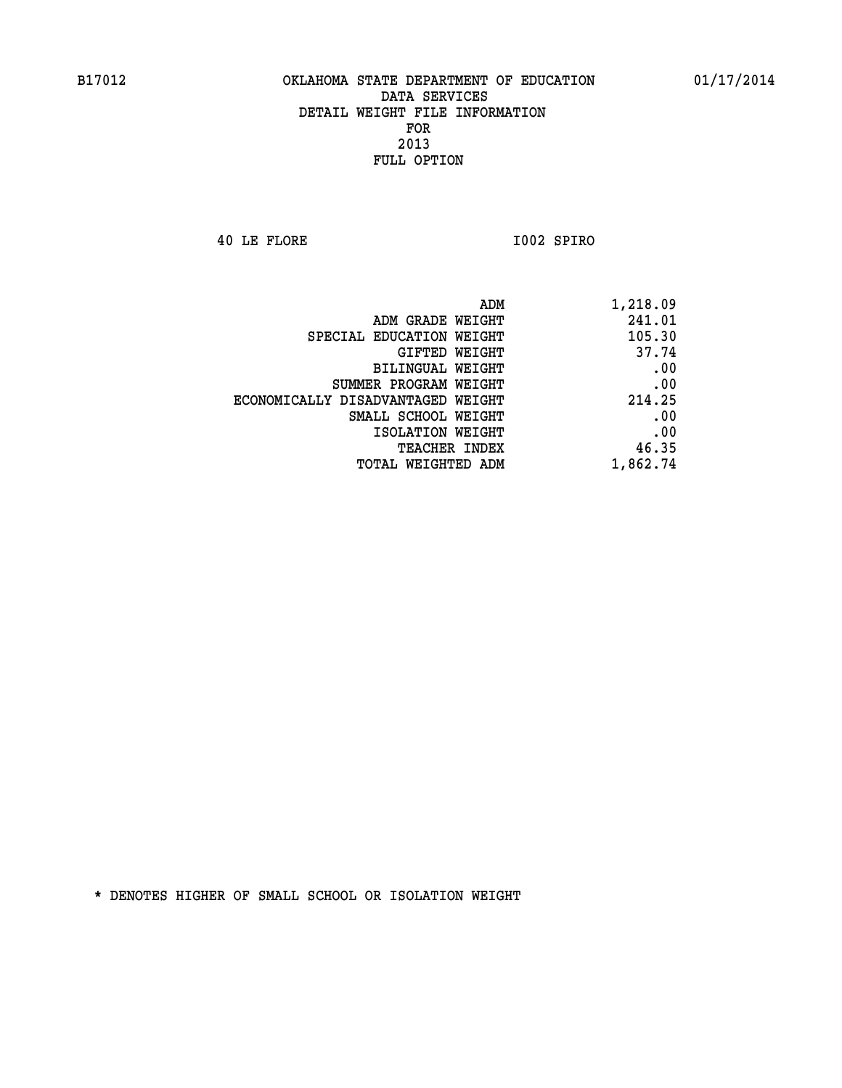**40 LE FLORE I002 SPIRO** 

|                                   | ADM<br>1,218.09 |     |
|-----------------------------------|-----------------|-----|
| ADM GRADE WEIGHT                  | 241.01          |     |
| SPECIAL EDUCATION WEIGHT          | 105.30          |     |
| GIFTED WEIGHT                     | 37.74           |     |
| <b>BILINGUAL WEIGHT</b>           |                 | .00 |
| SUMMER PROGRAM WEIGHT             |                 | .00 |
| ECONOMICALLY DISADVANTAGED WEIGHT | 214.25          |     |
| SMALL SCHOOL WEIGHT               |                 | .00 |
| ISOLATION WEIGHT                  |                 | .00 |
| TEACHER INDEX                     | 46.35           |     |
| TOTAL WEIGHTED ADM                | 1,862.74        |     |
|                                   |                 |     |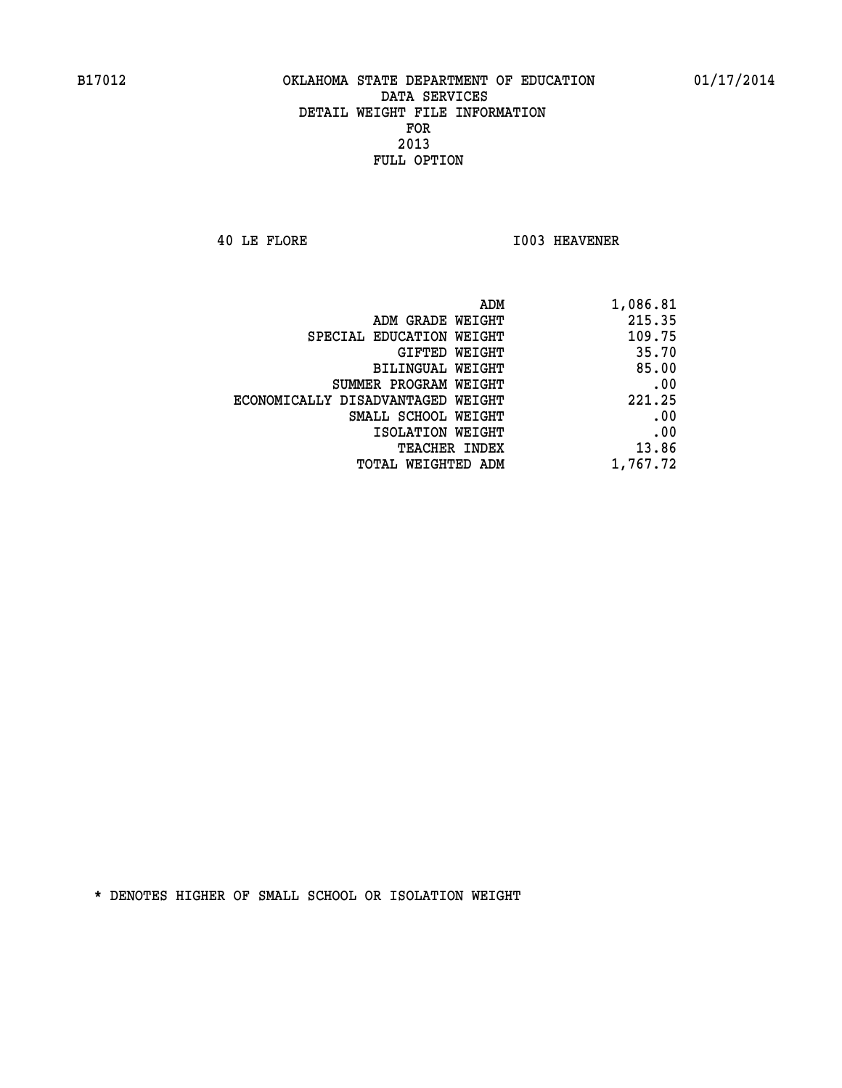**40 LE FLORE I003 HEAVENER** 

| ADM                               | 1,086.81 |
|-----------------------------------|----------|
| ADM GRADE WEIGHT                  | 215.35   |
| SPECIAL EDUCATION WEIGHT          | 109.75   |
| GIFTED WEIGHT                     | 35.70    |
| BILINGUAL WEIGHT                  | 85.00    |
| SUMMER PROGRAM WEIGHT             | .00      |
| ECONOMICALLY DISADVANTAGED WEIGHT | 221.25   |
| SMALL SCHOOL WEIGHT               | .00      |
| ISOLATION WEIGHT                  | .00      |
| <b>TEACHER INDEX</b>              | 13.86    |
| <b>TOTAL WEIGHTED ADM</b>         | 1,767.72 |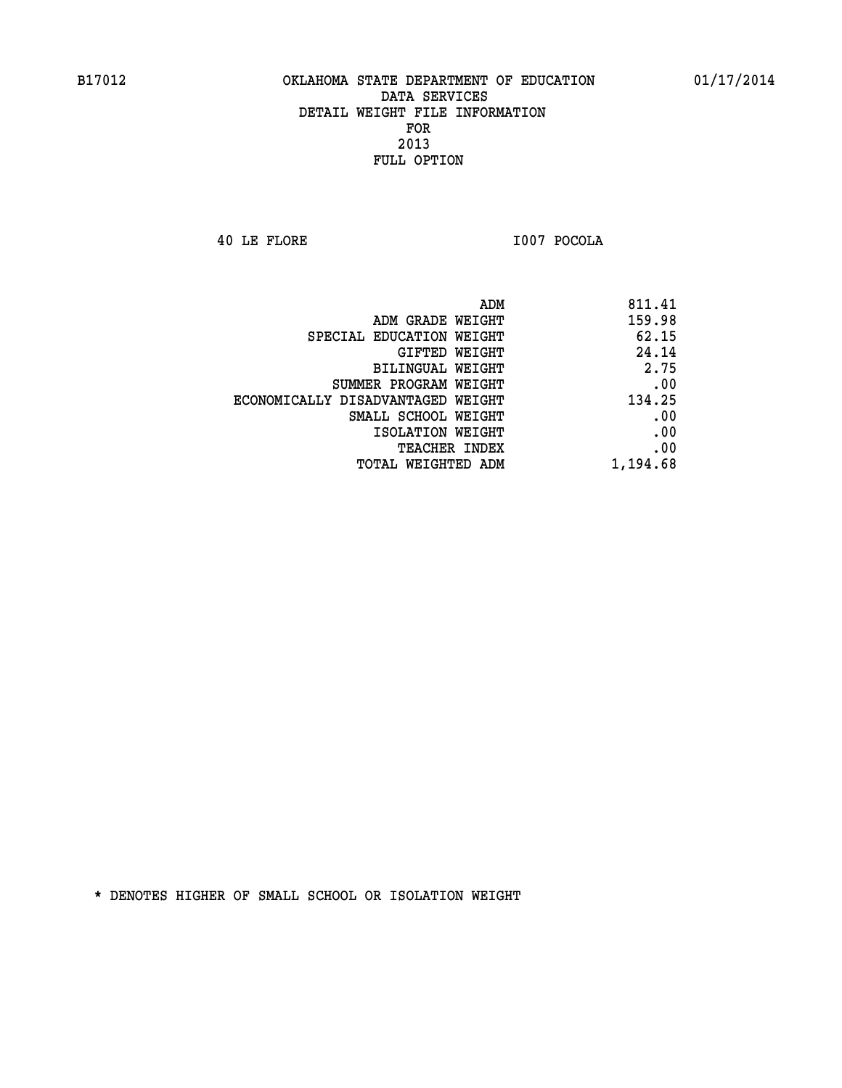**40 LE FLORE I007 POCOLA** 

| 811.41   |
|----------|
| 159.98   |
| 62.15    |
| 24.14    |
| 2.75     |
| .00      |
| 134.25   |
| .00      |
| .00      |
| .00      |
| 1,194.68 |
|          |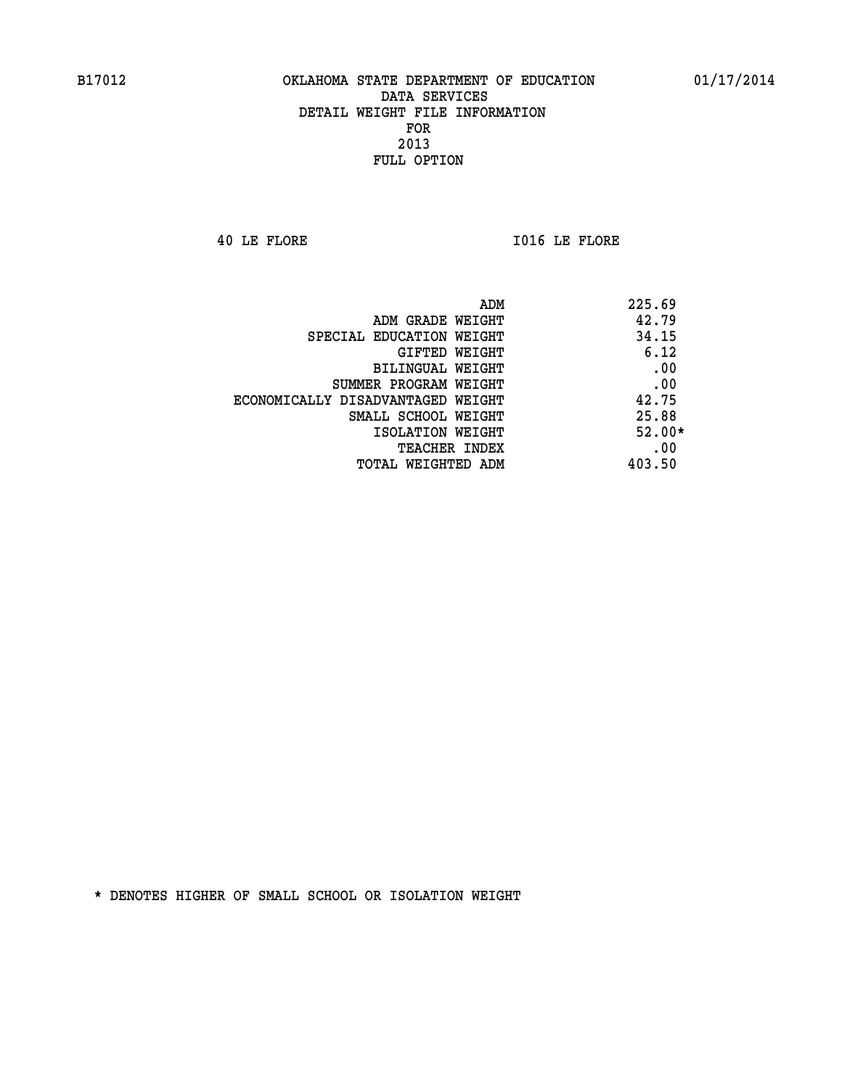**40 LE FLORE I016 LE FLORE** 

| ADM<br>225.69                              |  |
|--------------------------------------------|--|
| 42.79<br>ADM GRADE WEIGHT                  |  |
| 34.15<br>SPECIAL EDUCATION WEIGHT          |  |
| 6.12<br><b>GIFTED WEIGHT</b>               |  |
| .00<br>BILINGUAL WEIGHT                    |  |
| .00<br>SUMMER PROGRAM WEIGHT               |  |
| 42.75<br>ECONOMICALLY DISADVANTAGED WEIGHT |  |
| 25.88<br>SMALL SCHOOL WEIGHT               |  |
| $52.00*$<br>ISOLATION WEIGHT               |  |
| .00<br><b>TEACHER INDEX</b>                |  |
| 403.50<br>TOTAL WEIGHTED ADM               |  |
|                                            |  |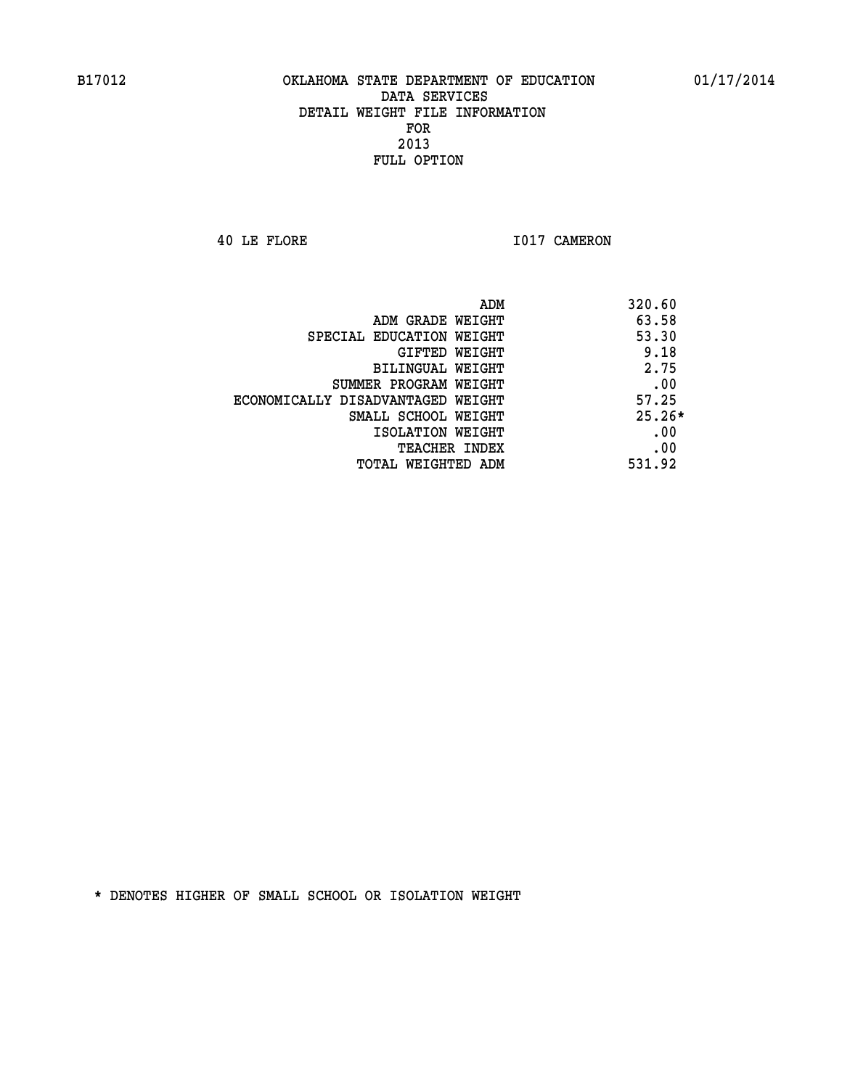**40 LE FLORE 1017 CAMERON** 

|                                   | ADM | 320.60   |
|-----------------------------------|-----|----------|
| ADM GRADE WEIGHT                  |     | 63.58    |
| SPECIAL EDUCATION WEIGHT          |     | 53.30    |
| GIFTED WEIGHT                     |     | 9.18     |
| BILINGUAL WEIGHT                  |     | 2.75     |
| SUMMER PROGRAM WEIGHT             |     | .00      |
| ECONOMICALLY DISADVANTAGED WEIGHT |     | 57.25    |
| SMALL SCHOOL WEIGHT               |     | $25.26*$ |
| ISOLATION WEIGHT                  |     | .00      |
| <b>TEACHER INDEX</b>              |     | .00      |
| TOTAL WEIGHTED ADM                |     | 531.92   |
|                                   |     |          |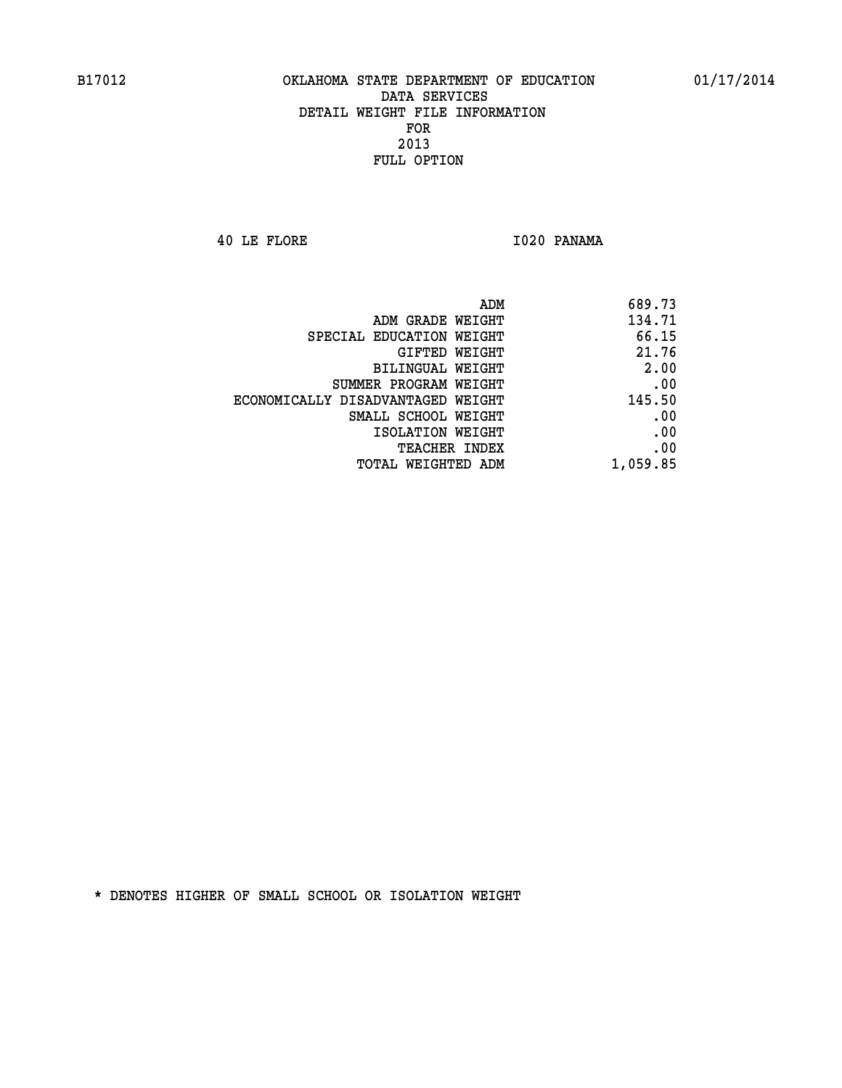**40 LE FLORE I020 PANAMA** 

| ADM                               | 689.73   |
|-----------------------------------|----------|
| ADM GRADE WEIGHT                  | 134.71   |
| SPECIAL EDUCATION WEIGHT          | 66.15    |
| GIFTED WEIGHT                     | 21.76    |
| BILINGUAL WEIGHT                  | 2.00     |
| SUMMER PROGRAM WEIGHT             | .00      |
| ECONOMICALLY DISADVANTAGED WEIGHT | 145.50   |
| SMALL SCHOOL WEIGHT               | .00      |
| ISOLATION WEIGHT                  | .00      |
| <b>TEACHER INDEX</b>              | .00      |
| TOTAL WEIGHTED ADM                | 1,059.85 |
|                                   |          |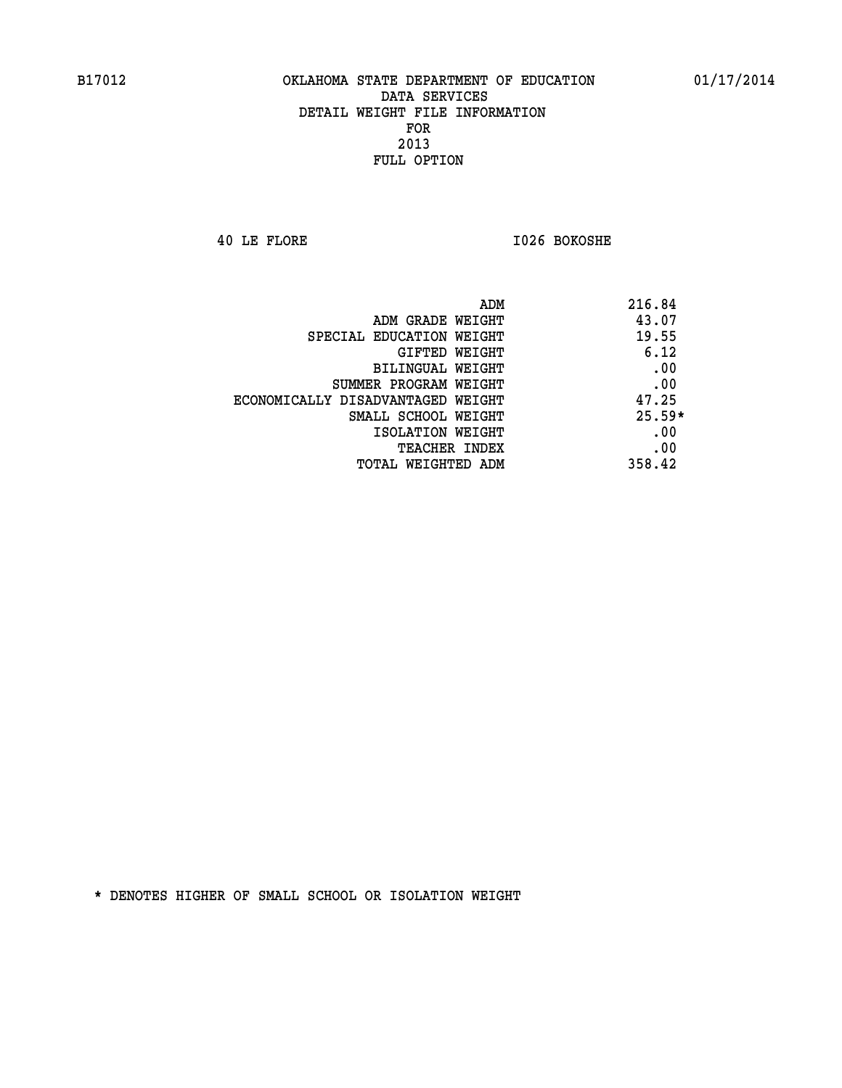**40 LE FLORE I026 BOKOSHE** 

| ADM                               | 216.84   |
|-----------------------------------|----------|
| ADM GRADE WEIGHT                  | 43.07    |
| SPECIAL EDUCATION WEIGHT          | 19.55    |
| <b>GIFTED WEIGHT</b>              | 6.12     |
| BILINGUAL WEIGHT                  | .00      |
| SUMMER PROGRAM WEIGHT             | .00      |
| ECONOMICALLY DISADVANTAGED WEIGHT | 47.25    |
| SMALL SCHOOL WEIGHT               | $25.59*$ |
| ISOLATION WEIGHT                  | .00      |
| <b>TEACHER INDEX</b>              | .00      |
| TOTAL WEIGHTED ADM                | 358.42   |
|                                   |          |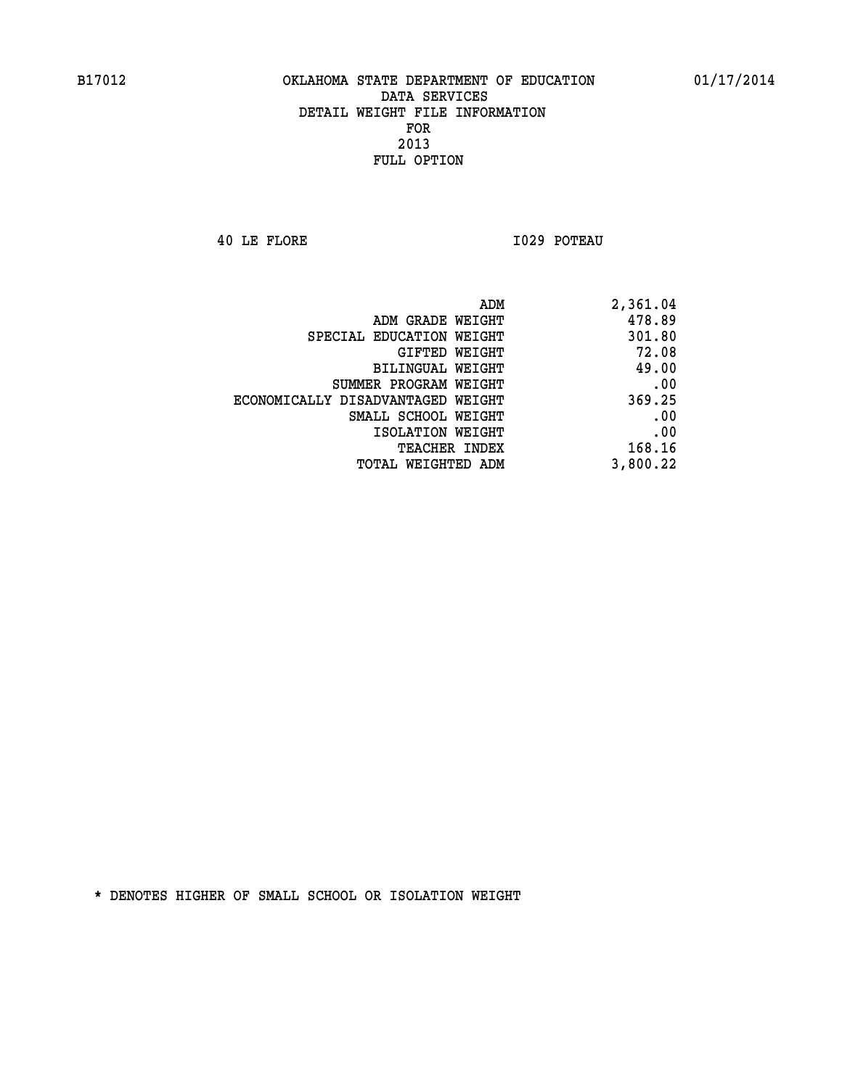**40 LE FLORE I029 POTEAU** 

| 2,361.04 |
|----------|
| 478.89   |
| 301.80   |
| 72.08    |
| 49.00    |
| .00      |
| 369.25   |
| .00      |
| .00      |
| 168.16   |
| 3,800.22 |
|          |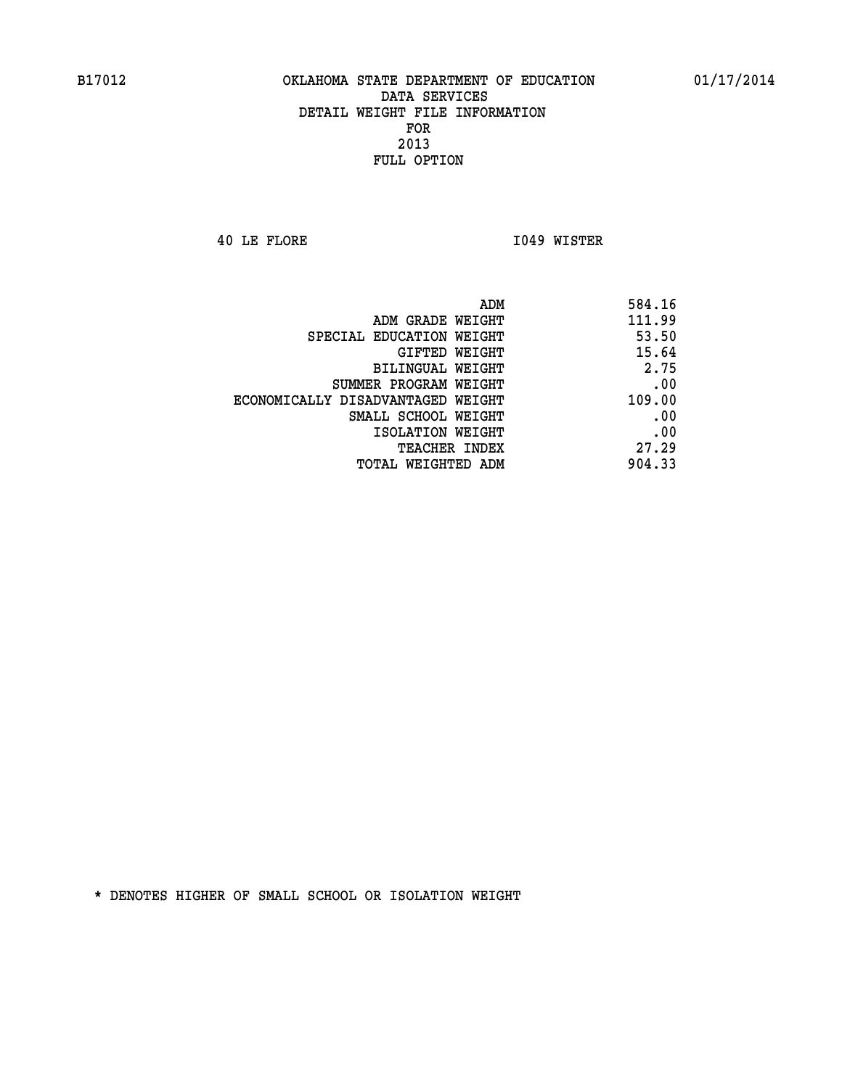**40 LE FLORE I049 WISTER** 

| 584.16 |
|--------|
| 111.99 |
| 53.50  |
| 15.64  |
| 2.75   |
| .00    |
| 109.00 |
| .00    |
| .00    |
| 27.29  |
| 904.33 |
|        |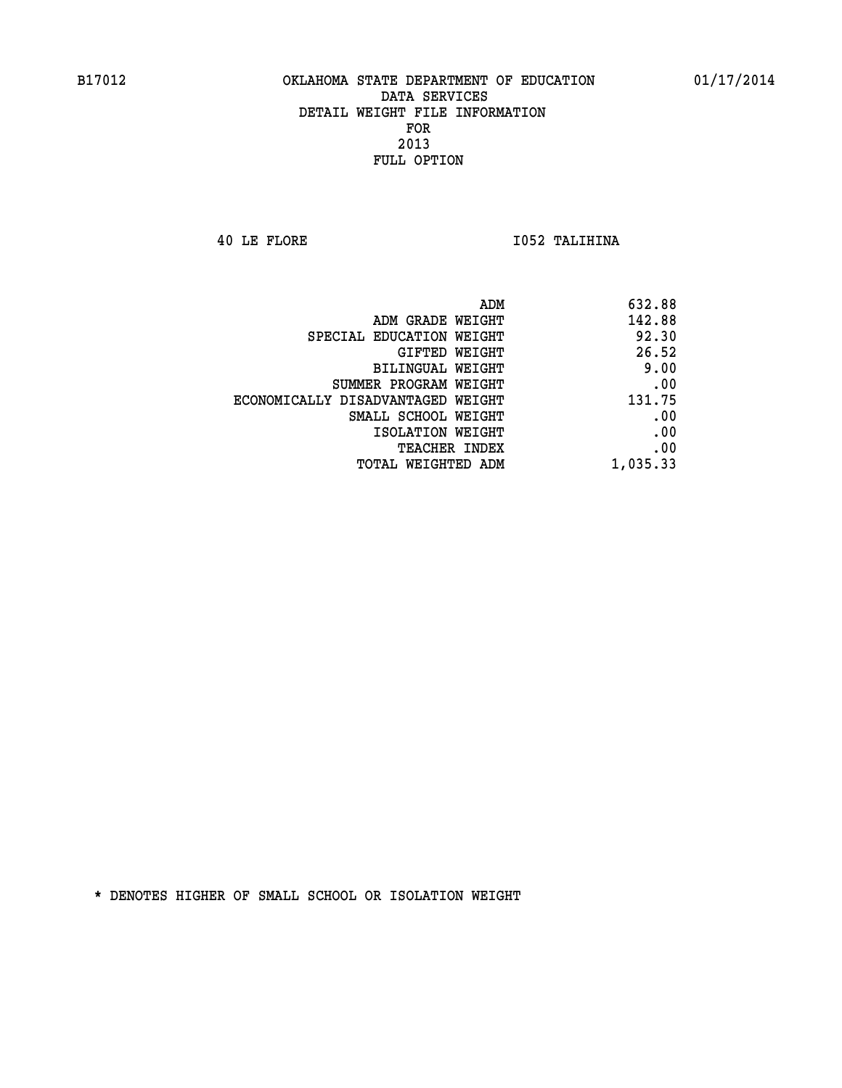**40 LE FLORE I052 TALIHINA** 

| ADM                               | 632.88   |
|-----------------------------------|----------|
| ADM GRADE WEIGHT                  | 142.88   |
| SPECIAL EDUCATION WEIGHT          | 92.30    |
| GIFTED WEIGHT                     | 26.52    |
| <b>BILINGUAL WEIGHT</b>           | 9.00     |
| SUMMER PROGRAM WEIGHT             | .00      |
| ECONOMICALLY DISADVANTAGED WEIGHT | 131.75   |
| SMALL SCHOOL WEIGHT               | .00      |
| ISOLATION WEIGHT                  | .00      |
| TEACHER INDEX                     | .00      |
| TOTAL WEIGHTED ADM                | 1,035.33 |
|                                   |          |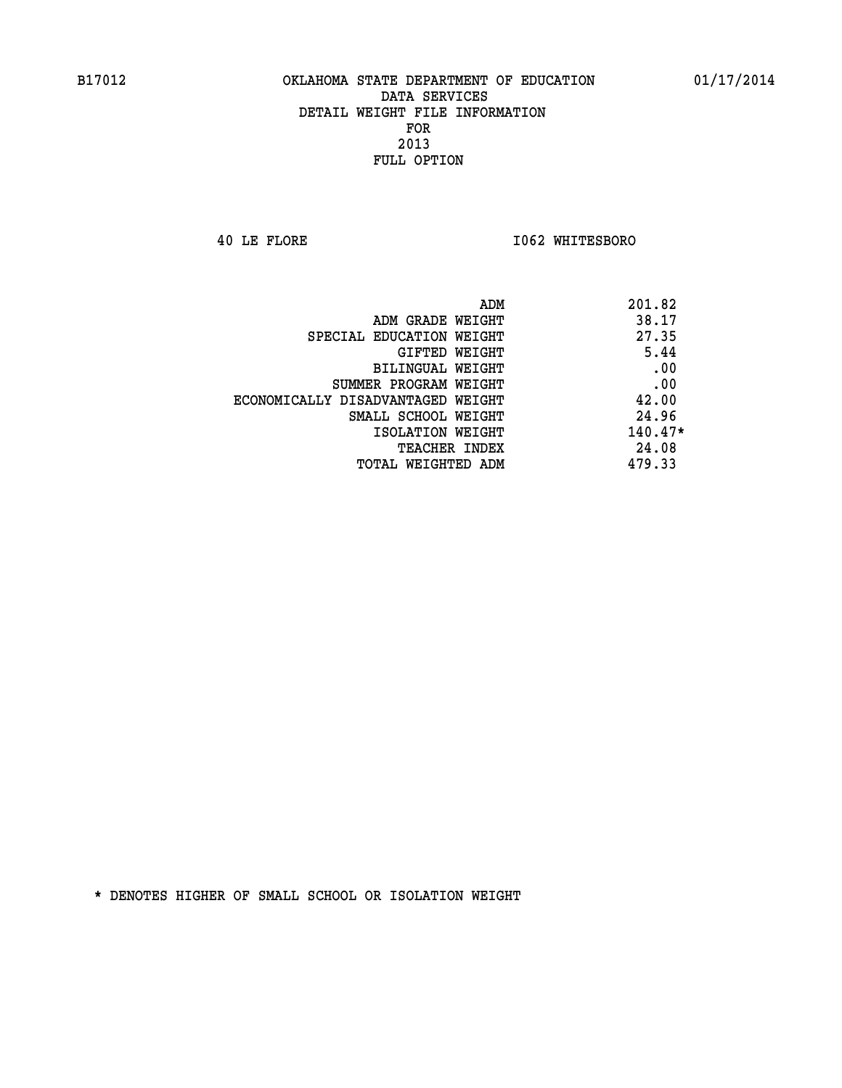**40 LE FLORE I062 WHITESBORO** 

| ADM<br>201.82                              |  |
|--------------------------------------------|--|
| 38.17<br>ADM GRADE WEIGHT                  |  |
| 27.35<br>SPECIAL EDUCATION WEIGHT          |  |
| 5.44<br>GIFTED WEIGHT                      |  |
| .00<br>BILINGUAL WEIGHT                    |  |
| .00<br>SUMMER PROGRAM WEIGHT               |  |
| 42.00<br>ECONOMICALLY DISADVANTAGED WEIGHT |  |
| 24.96<br>SMALL SCHOOL WEIGHT               |  |
| $140.47*$<br>ISOLATION WEIGHT              |  |
| 24.08<br><b>TEACHER INDEX</b>              |  |
| 479.33<br>TOTAL WEIGHTED ADM               |  |
|                                            |  |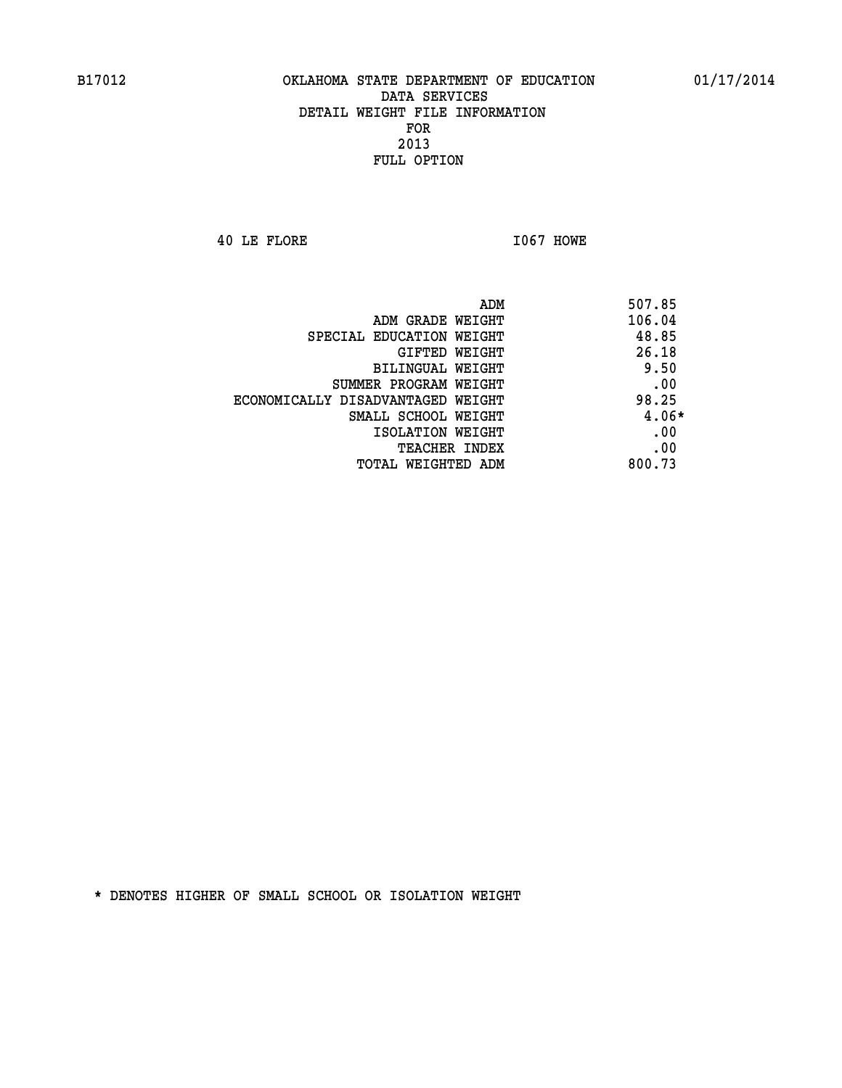**40 LE FLORE I067 HOWE** 

| ADM                               | 507.85  |  |
|-----------------------------------|---------|--|
| ADM GRADE WEIGHT                  | 106.04  |  |
| SPECIAL EDUCATION WEIGHT          | 48.85   |  |
| <b>GIFTED WEIGHT</b>              | 26.18   |  |
| BILINGUAL WEIGHT                  | 9.50    |  |
| SUMMER PROGRAM WEIGHT             | .00     |  |
| ECONOMICALLY DISADVANTAGED WEIGHT | 98.25   |  |
| SMALL SCHOOL WEIGHT               | $4.06*$ |  |
| ISOLATION WEIGHT                  | .00     |  |
| <b>TEACHER INDEX</b>              | .00     |  |
| TOTAL WEIGHTED ADM                | 800.73  |  |
|                                   |         |  |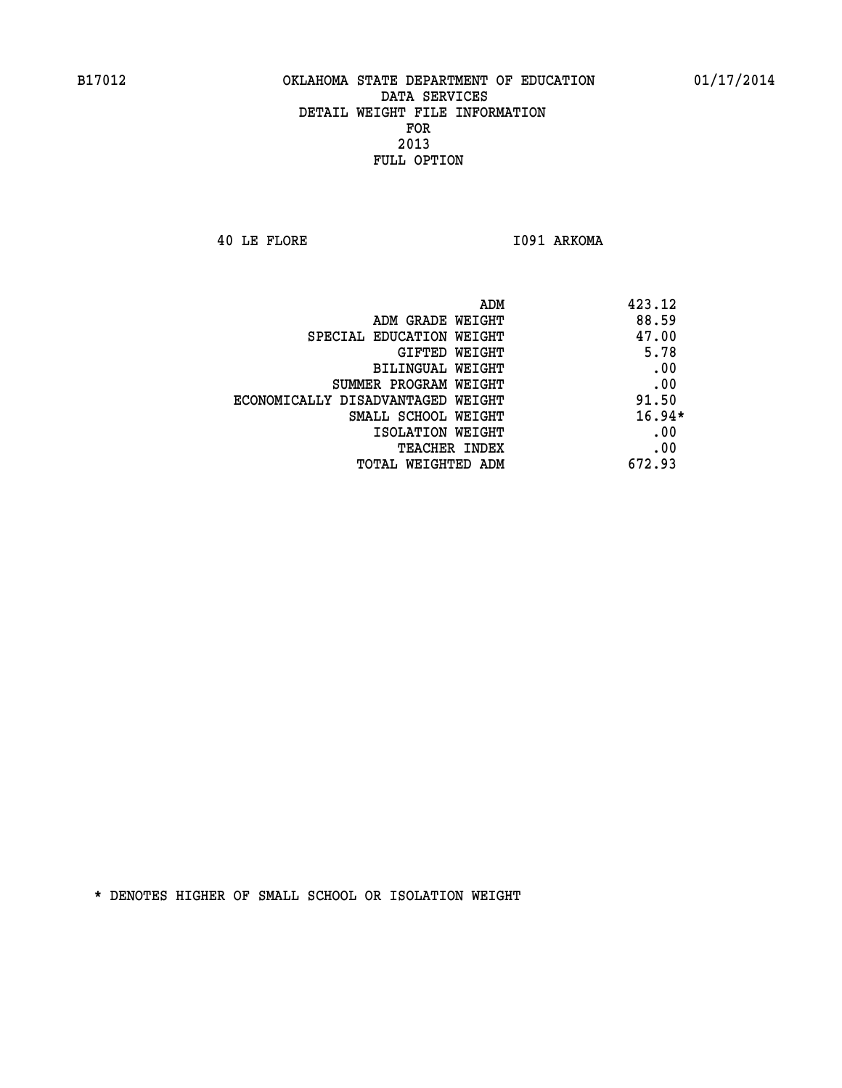**40 LE FLORE I091 ARKOMA** 

| ADM                               | 423.12   |
|-----------------------------------|----------|
| ADM GRADE WEIGHT                  | 88.59    |
| SPECIAL EDUCATION WEIGHT          | 47.00    |
| <b>GIFTED WEIGHT</b>              | 5.78     |
| BILINGUAL WEIGHT                  | .00      |
| SUMMER PROGRAM WEIGHT             | .00      |
| ECONOMICALLY DISADVANTAGED WEIGHT | 91.50    |
| SMALL SCHOOL WEIGHT               | $16.94*$ |
| ISOLATION WEIGHT                  | .00      |
| <b>TEACHER INDEX</b>              | .00      |
| TOTAL WEIGHTED ADM                | 672.93   |
|                                   |          |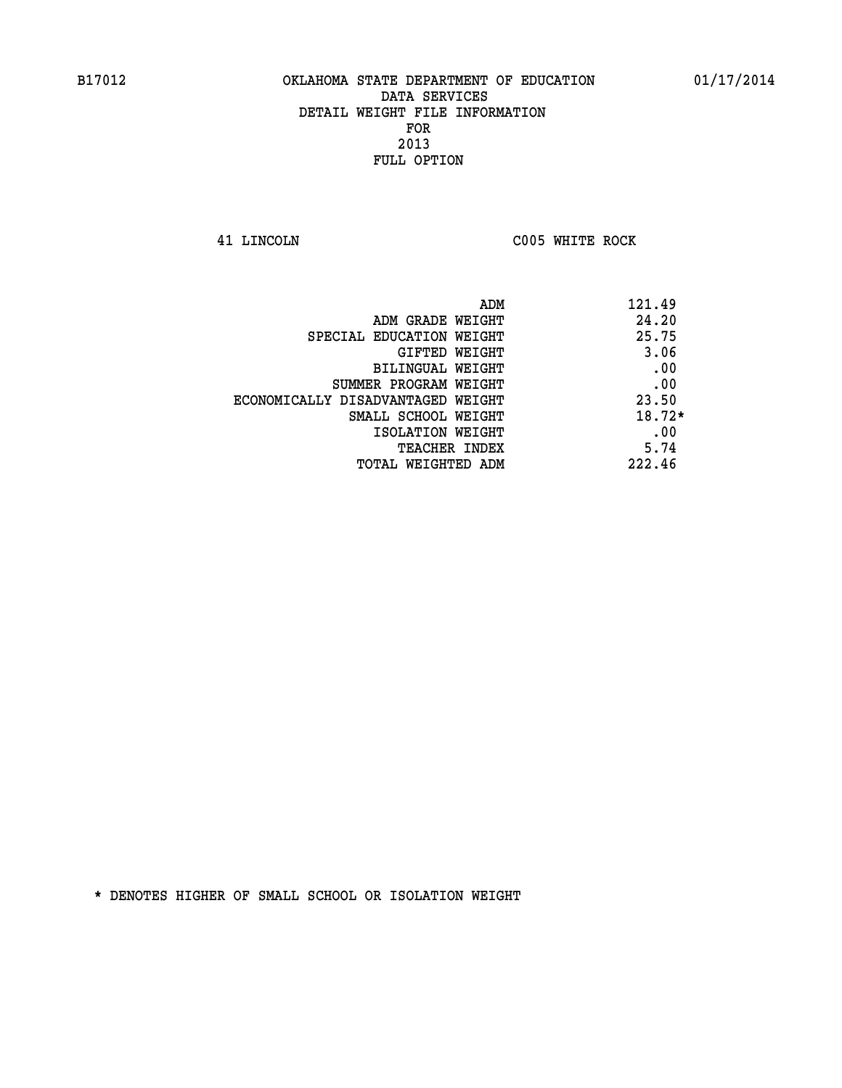**41 LINCOLN C005 WHITE ROCK** 

| ADM                               | 121.49   |
|-----------------------------------|----------|
| ADM GRADE WEIGHT                  | 24.20    |
| SPECIAL EDUCATION WEIGHT          | 25.75    |
| GIFTED WEIGHT                     | 3.06     |
| BILINGUAL WEIGHT                  | .00      |
| SUMMER PROGRAM WEIGHT             | .00      |
| ECONOMICALLY DISADVANTAGED WEIGHT | 23.50    |
| SMALL SCHOOL WEIGHT               | $18.72*$ |
| ISOLATION WEIGHT                  | .00      |
| <b>TEACHER INDEX</b>              | 5.74     |
| TOTAL WEIGHTED ADM                | 222.46   |
|                                   |          |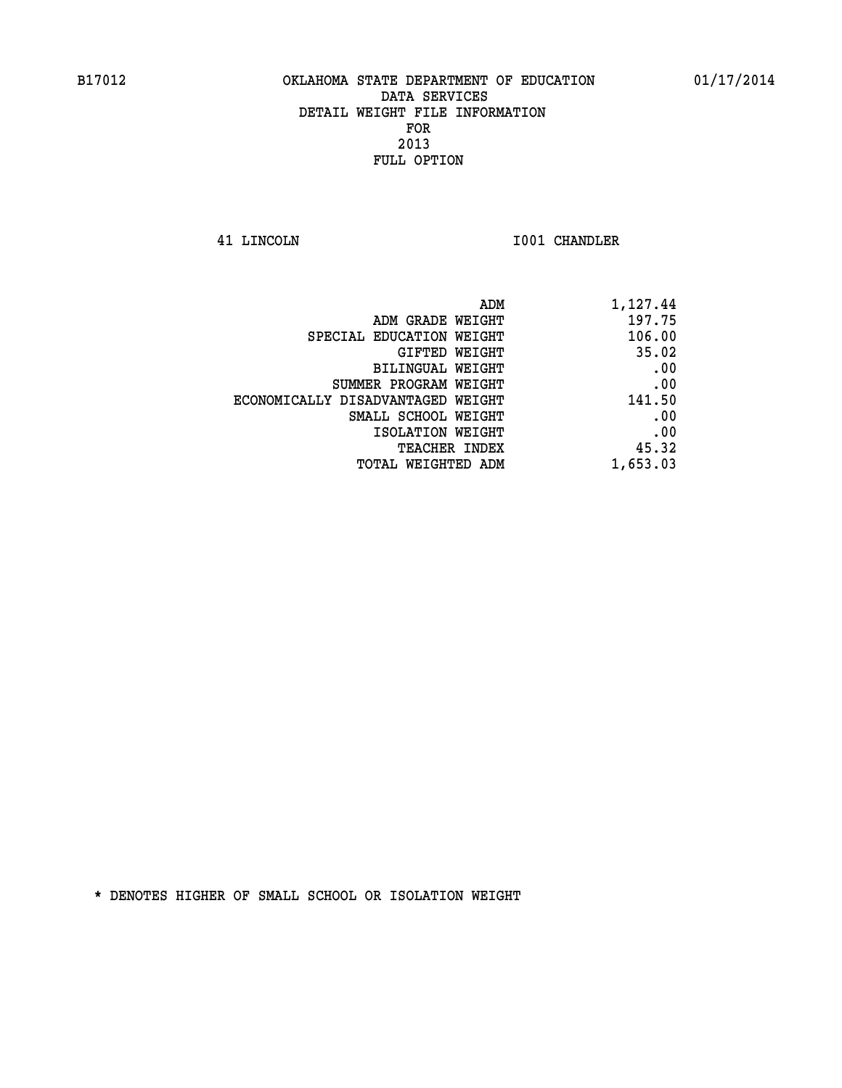**41 LINCOLN I001 CHANDLER** 

| 1,127.44 |
|----------|
| 197.75   |
| 106.00   |
| 35.02    |
| .00      |
| .00      |
| 141.50   |
| .00      |
| .00      |
| 45.32    |
| 1,653.03 |
|          |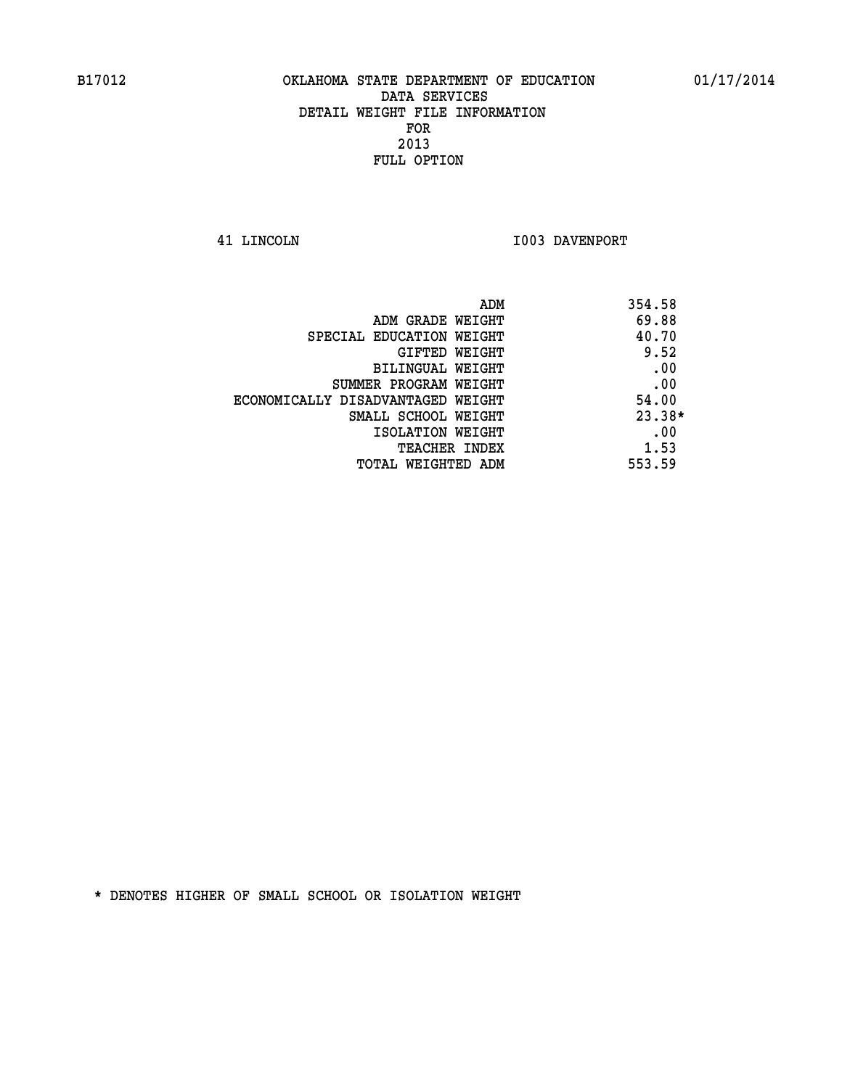**41 LINCOLN I003 DAVENPORT** 

| ADM                               | 354.58   |
|-----------------------------------|----------|
| ADM GRADE WEIGHT                  | 69.88    |
| SPECIAL EDUCATION WEIGHT          | 40.70    |
| GIFTED WEIGHT                     | 9.52     |
| BILINGUAL WEIGHT                  | .00      |
| SUMMER PROGRAM WEIGHT             | .00      |
| ECONOMICALLY DISADVANTAGED WEIGHT | 54.00    |
| SMALL SCHOOL WEIGHT               | $23.38*$ |
| ISOLATION WEIGHT                  | .00      |
| <b>TEACHER INDEX</b>              | 1.53     |
| TOTAL WEIGHTED ADM                | 553.59   |
|                                   |          |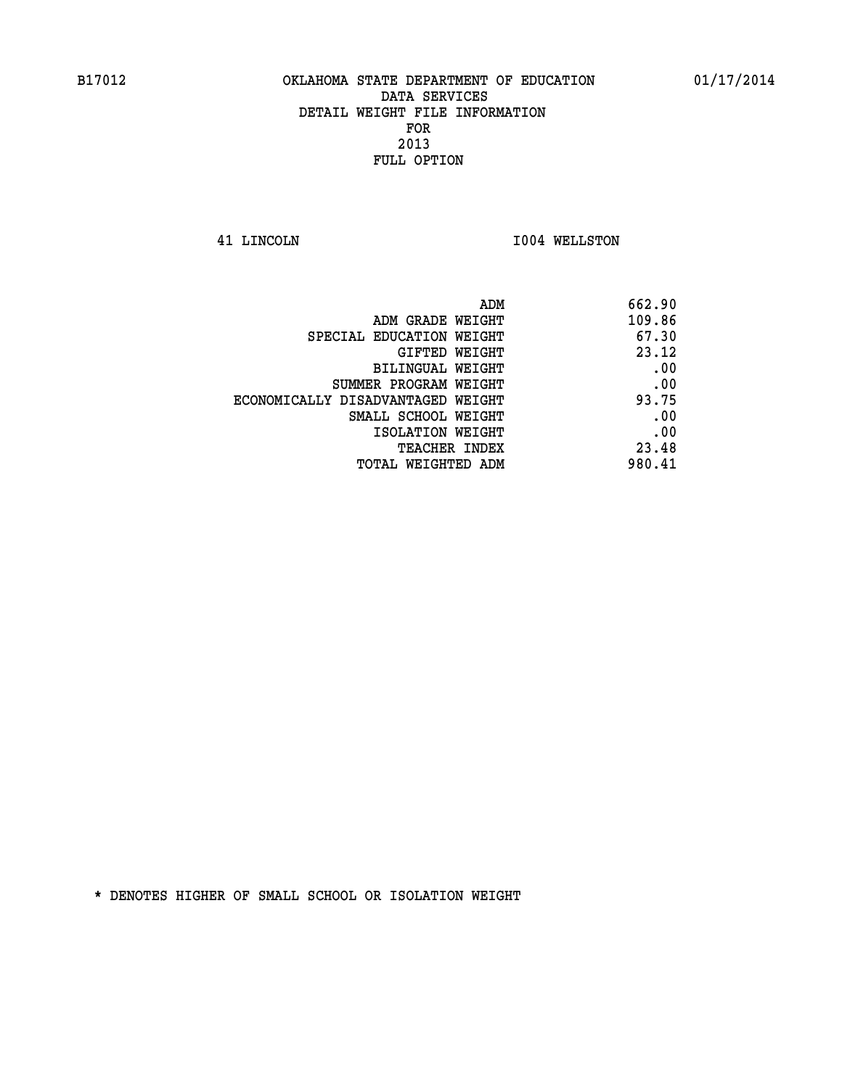**41 LINCOLN I004 WELLSTON** 

| 662.90 |
|--------|
| 109.86 |
| 67.30  |
| 23.12  |
| .00    |
| .00    |
| 93.75  |
| .00    |
| .00    |
| 23.48  |
| 980.41 |
|        |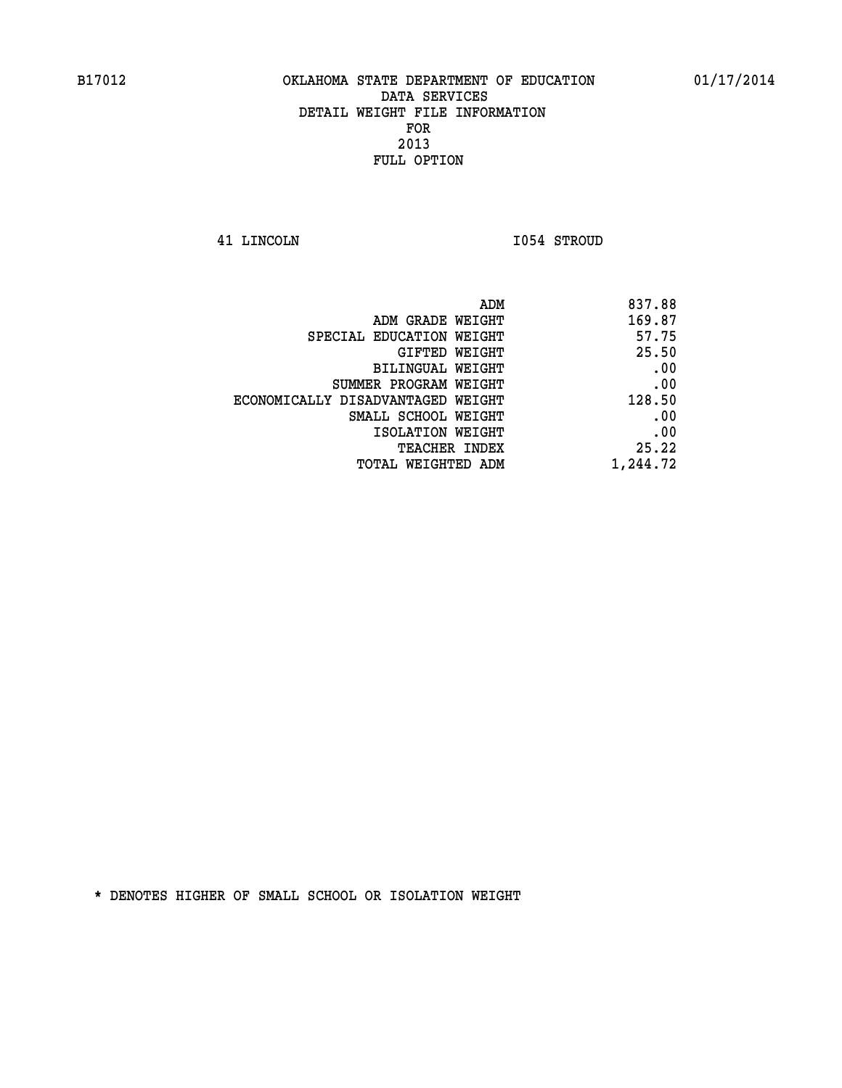**41 LINCOLN I054 STROUD** 

| 837.88                                                                                                                                                                                                                            |
|-----------------------------------------------------------------------------------------------------------------------------------------------------------------------------------------------------------------------------------|
| 169.87                                                                                                                                                                                                                            |
| 57.75                                                                                                                                                                                                                             |
| 25.50                                                                                                                                                                                                                             |
| .00                                                                                                                                                                                                                               |
| .00                                                                                                                                                                                                                               |
| 128.50                                                                                                                                                                                                                            |
| .00                                                                                                                                                                                                                               |
| .00                                                                                                                                                                                                                               |
| 25.22                                                                                                                                                                                                                             |
| 1,244.72                                                                                                                                                                                                                          |
| ADM GRADE WEIGHT<br>SPECIAL EDUCATION WEIGHT<br>GIFTED WEIGHT<br>BILINGUAL WEIGHT<br>SUMMER PROGRAM WEIGHT<br>ECONOMICALLY DISADVANTAGED WEIGHT<br>SMALL SCHOOL WEIGHT<br>ISOLATION WEIGHT<br>TEACHER INDEX<br>TOTAL WEIGHTED ADM |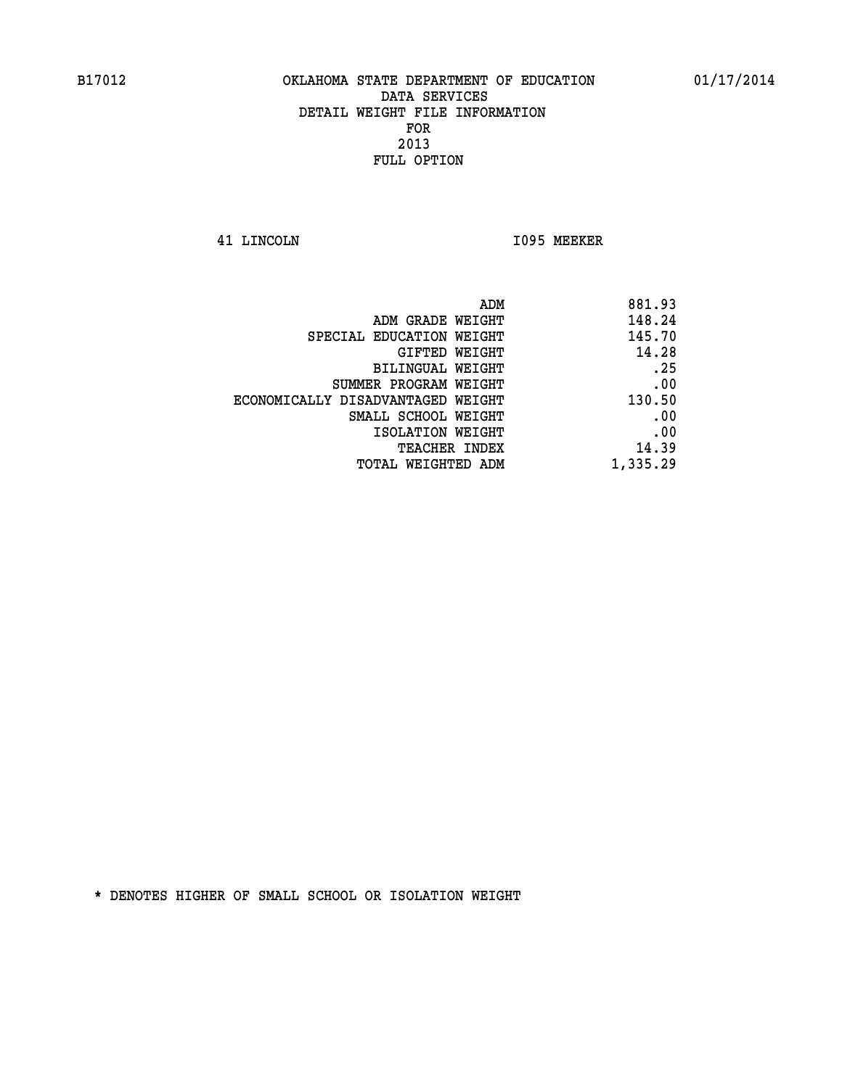**41 LINCOLN I095 MEEKER** 

|                                   | ADM      | 881.93 |
|-----------------------------------|----------|--------|
| ADM GRADE WEIGHT                  |          | 148.24 |
| SPECIAL EDUCATION WEIGHT          |          | 145.70 |
| GIFTED WEIGHT                     |          | 14.28  |
| BILINGUAL WEIGHT                  |          | .25    |
| SUMMER PROGRAM WEIGHT             |          | .00    |
| ECONOMICALLY DISADVANTAGED WEIGHT |          | 130.50 |
| SMALL SCHOOL WEIGHT               |          | .00    |
| ISOLATION WEIGHT                  |          | .00    |
| TEACHER INDEX                     |          | 14.39  |
| TOTAL WEIGHTED ADM                | 1,335.29 |        |
|                                   |          |        |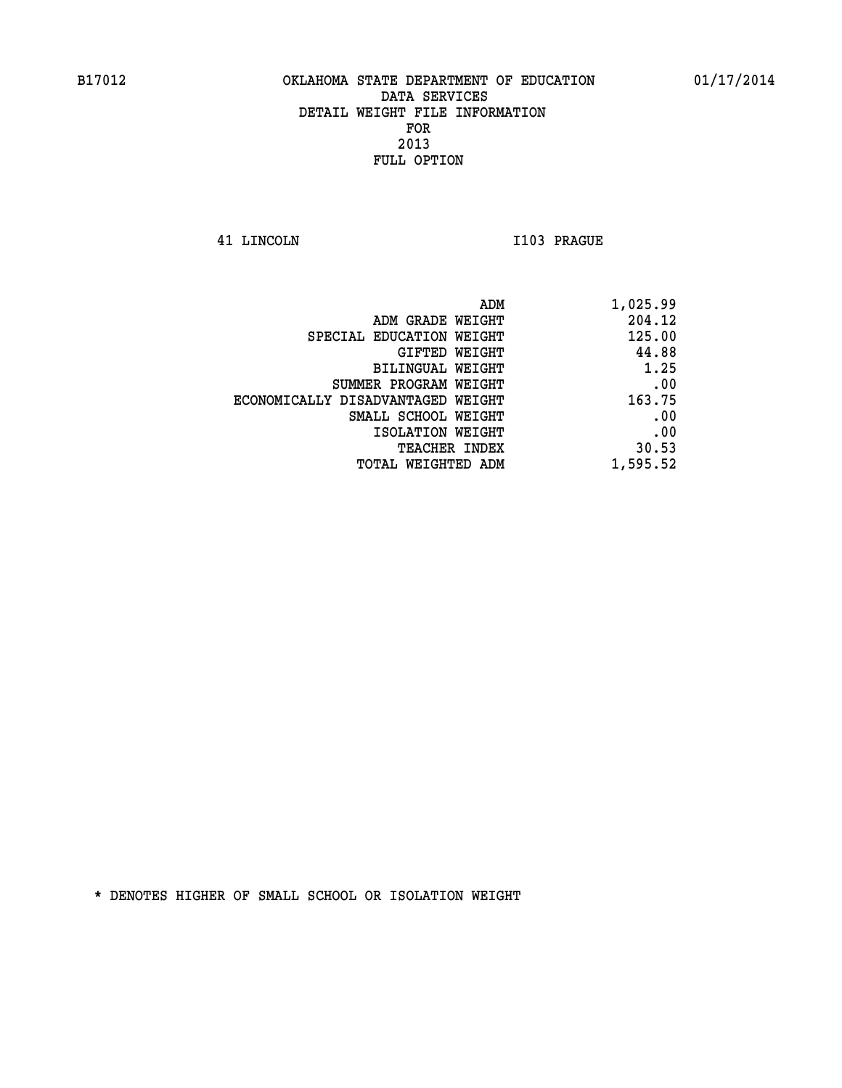**41 LINCOLN I103 PRAGUE** 

| 1,025.99 |
|----------|
| 204.12   |
| 125.00   |
| 44.88    |
| 1.25     |
| .00      |
| 163.75   |
| .00      |
| .00      |
| 30.53    |
| 1,595.52 |
|          |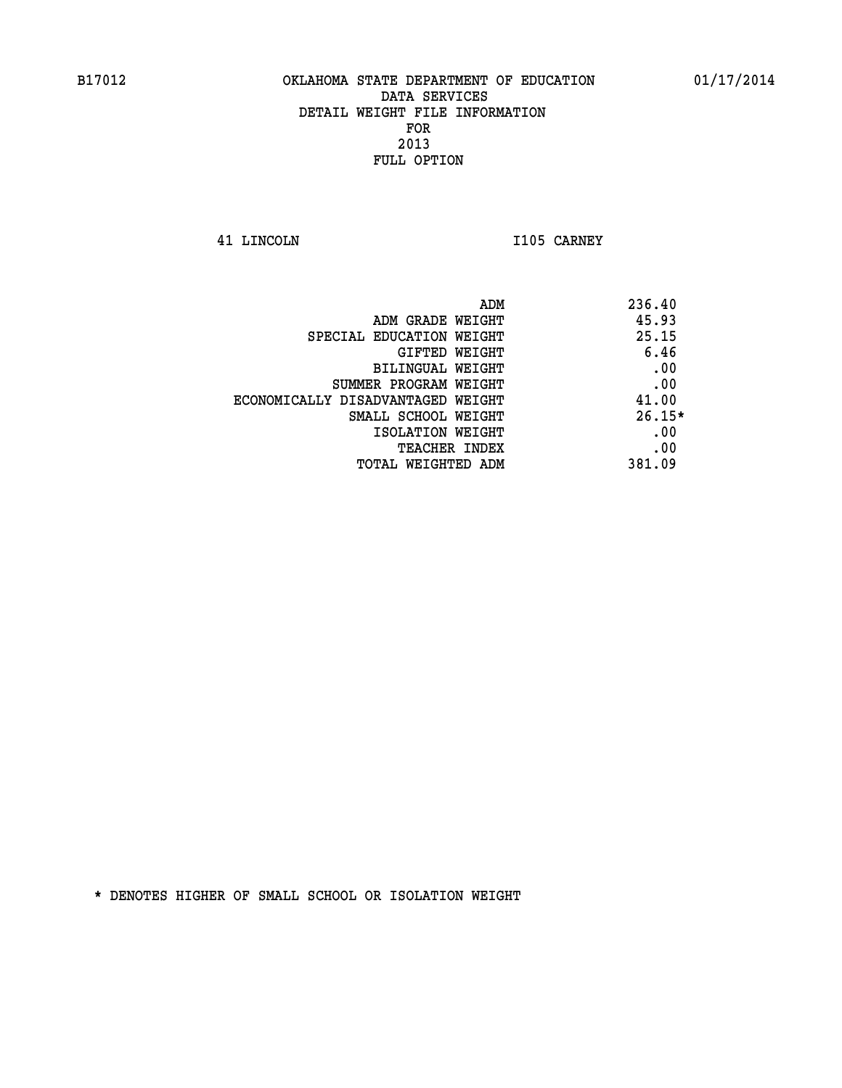**41 LINCOLN I105 CARNEY** 

| 236.40<br>ADM                              |  |
|--------------------------------------------|--|
| 45.93<br>ADM GRADE WEIGHT                  |  |
| 25.15<br>SPECIAL EDUCATION WEIGHT          |  |
| 6.46<br>GIFTED WEIGHT                      |  |
| .00<br>BILINGUAL WEIGHT                    |  |
| .00<br>SUMMER PROGRAM WEIGHT               |  |
| 41.00<br>ECONOMICALLY DISADVANTAGED WEIGHT |  |
| $26.15*$<br>SMALL SCHOOL WEIGHT            |  |
| .00<br>ISOLATION WEIGHT                    |  |
| .00<br><b>TEACHER INDEX</b>                |  |
| 381.09<br>TOTAL WEIGHTED ADM               |  |
|                                            |  |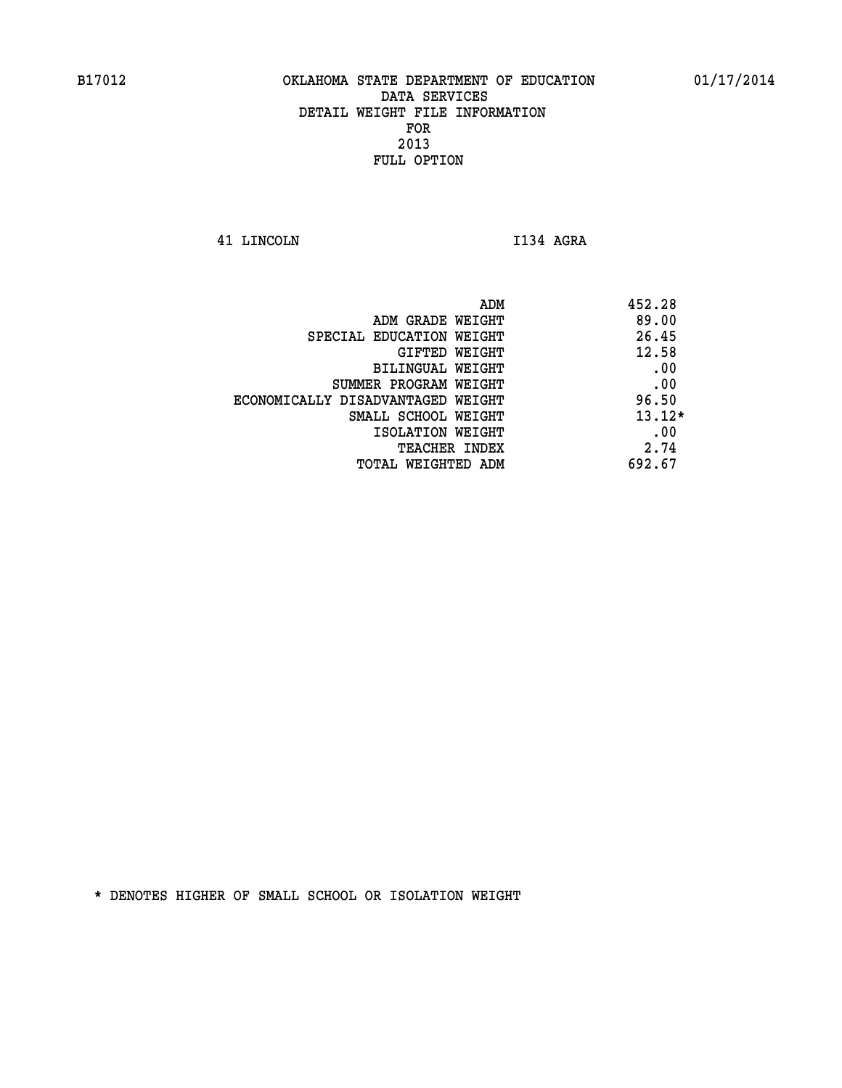**41 LINCOLN I134 AGRA** 

| ADM                               | 452.28   |
|-----------------------------------|----------|
| ADM GRADE WEIGHT                  | 89.00    |
| SPECIAL EDUCATION WEIGHT          | 26.45    |
| GIFTED WEIGHT                     | 12.58    |
| BILINGUAL WEIGHT                  | .00      |
| SUMMER PROGRAM WEIGHT             | .00      |
| ECONOMICALLY DISADVANTAGED WEIGHT | 96.50    |
| SMALL SCHOOL WEIGHT               | $13.12*$ |
| ISOLATION WEIGHT                  | .00      |
| <b>TEACHER INDEX</b>              | 2.74     |
| TOTAL WEIGHTED ADM                | 692.67   |
|                                   |          |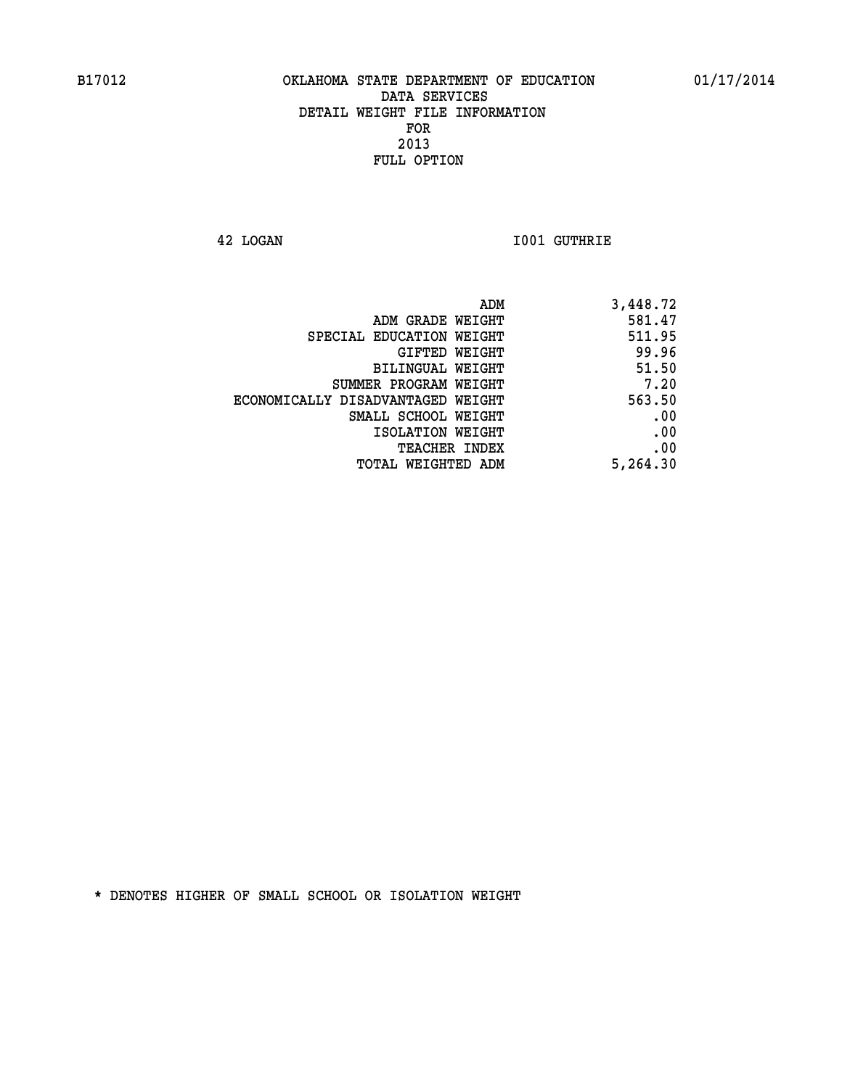**42 LOGAN I001 GUTHRIE** 

| 3,448.72 |
|----------|
| 581.47   |
| 511.95   |
| 99.96    |
| 51.50    |
| 7.20     |
| 563.50   |
| .00      |
| .00      |
| .00      |
| 5,264.30 |
|          |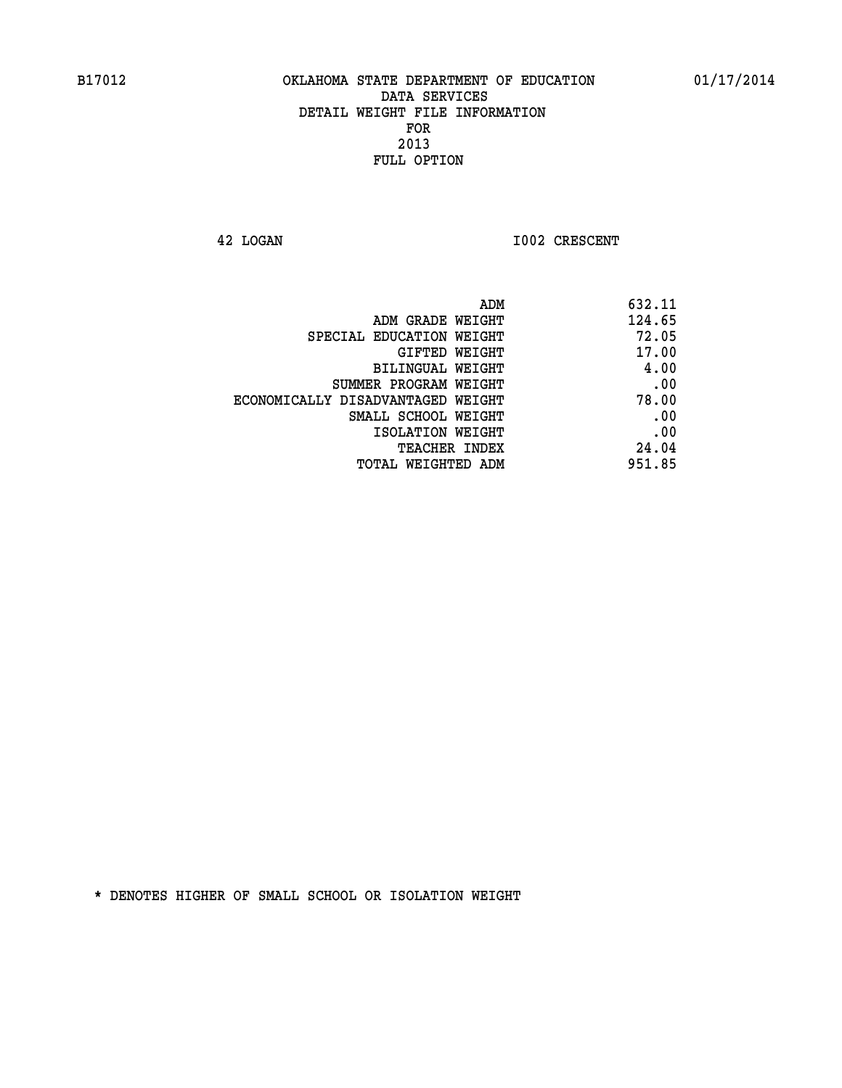**42 LOGAN 1002 CRESCENT** 

| 632.11 |
|--------|
| 124.65 |
| 72.05  |
| 17.00  |
| 4.00   |
| .00    |
| 78.00  |
| .00    |
| .00    |
| 24.04  |
| 951.85 |
|        |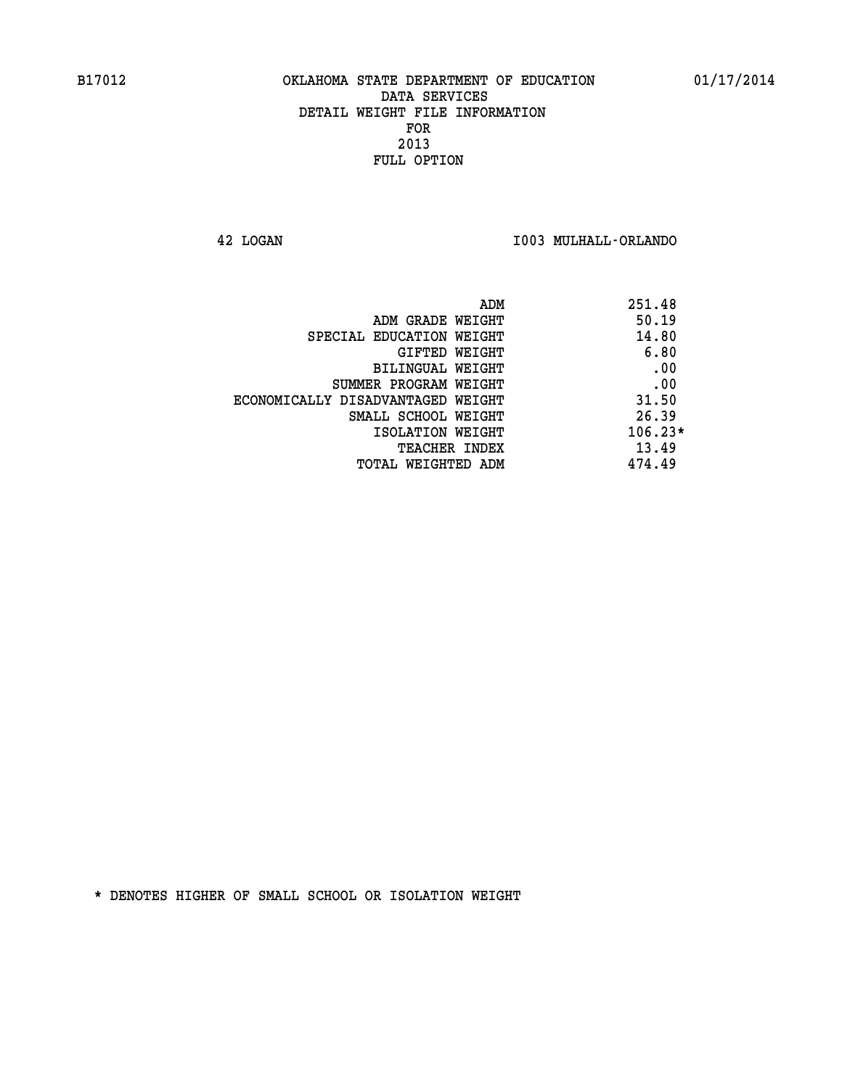**42 LOGAN I003 MULHALL-ORLANDO** 

| ADM<br>251.48 |                                   |
|---------------|-----------------------------------|
| 50.19         | ADM GRADE WEIGHT                  |
| 14.80         | SPECIAL EDUCATION WEIGHT          |
| 6.80          | <b>GIFTED WEIGHT</b>              |
| .00           | BILINGUAL WEIGHT                  |
| .00           | SUMMER PROGRAM WEIGHT             |
| 31.50         | ECONOMICALLY DISADVANTAGED WEIGHT |
| 26.39         | SMALL SCHOOL WEIGHT               |
| $106.23*$     | ISOLATION WEIGHT                  |
| 13.49         | <b>TEACHER INDEX</b>              |
| 474.49        | TOTAL WEIGHTED ADM                |
|               |                                   |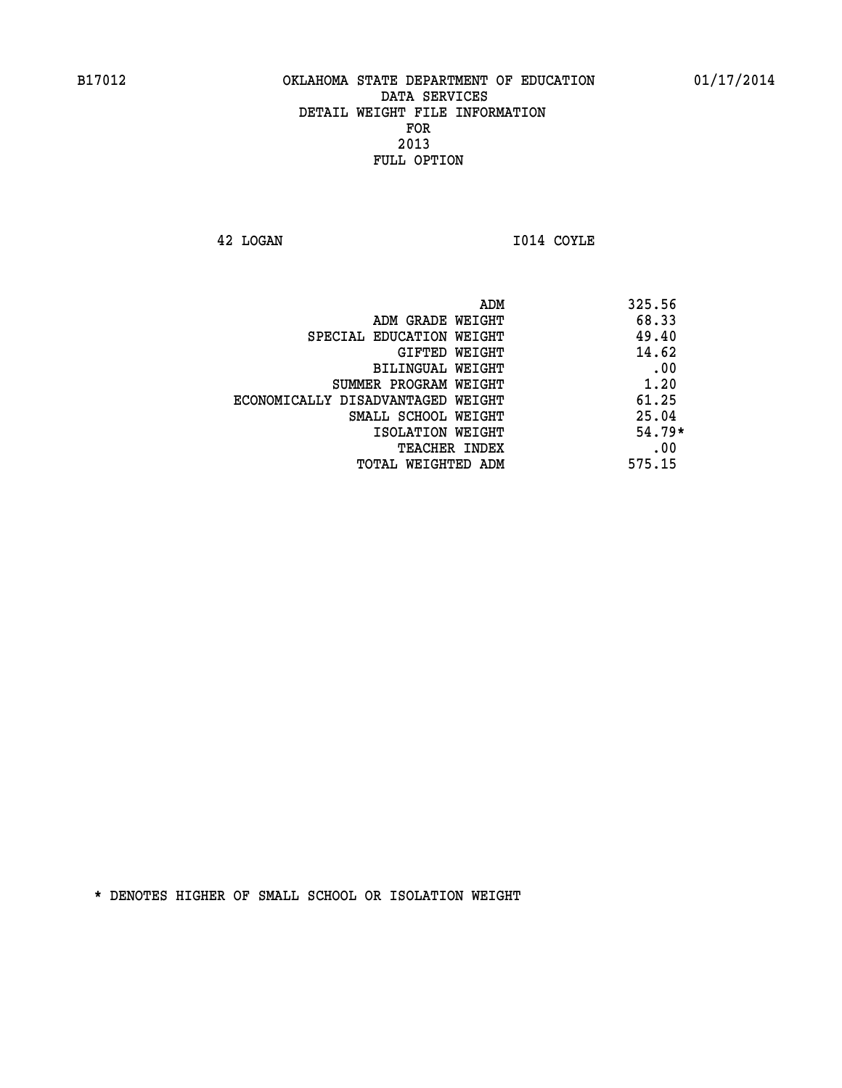**42 LOGAN I014 COYLE** 

| ADM                               | 325.56   |
|-----------------------------------|----------|
| ADM GRADE WEIGHT                  | 68.33    |
| SPECIAL EDUCATION WEIGHT          | 49.40    |
| GIFTED WEIGHT                     | 14.62    |
| BILINGUAL WEIGHT                  | .00      |
| SUMMER PROGRAM WEIGHT             | 1.20     |
| ECONOMICALLY DISADVANTAGED WEIGHT | 61.25    |
| SMALL SCHOOL WEIGHT               | 25.04    |
| ISOLATION WEIGHT                  | $54.79*$ |
| <b>TEACHER INDEX</b>              | .00      |
| TOTAL WEIGHTED ADM                | 575.15   |
|                                   |          |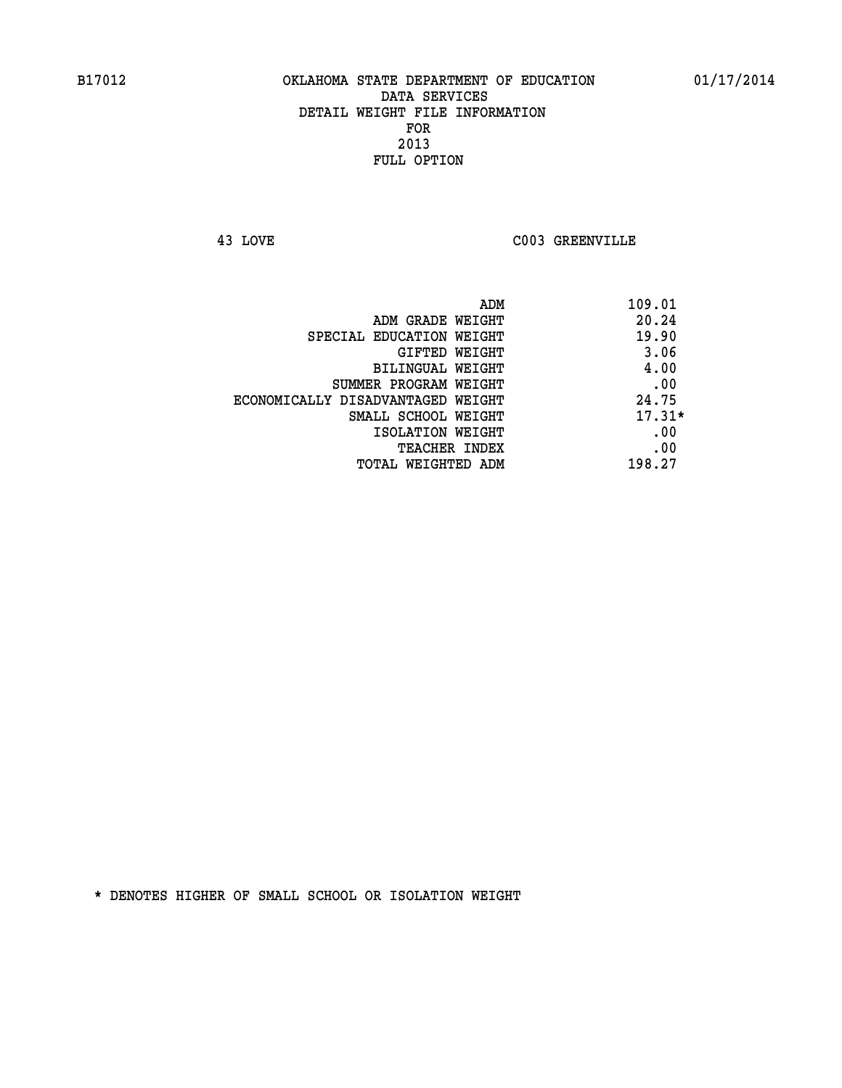**43 LOVE C003 GREENVILLE** 

|                                   | ADM<br>109.01 |
|-----------------------------------|---------------|
| ADM GRADE WEIGHT                  | 20.24         |
| SPECIAL EDUCATION WEIGHT          | 19.90         |
| GIFTED WEIGHT                     | 3.06          |
| BILINGUAL WEIGHT                  | 4.00          |
| SUMMER PROGRAM WEIGHT             | .00           |
| ECONOMICALLY DISADVANTAGED WEIGHT | 24.75         |
| SMALL SCHOOL WEIGHT               | $17.31*$      |
| ISOLATION WEIGHT                  | .00           |
| <b>TEACHER INDEX</b>              | .00           |
| TOTAL WEIGHTED ADM                | 198.27        |
|                                   |               |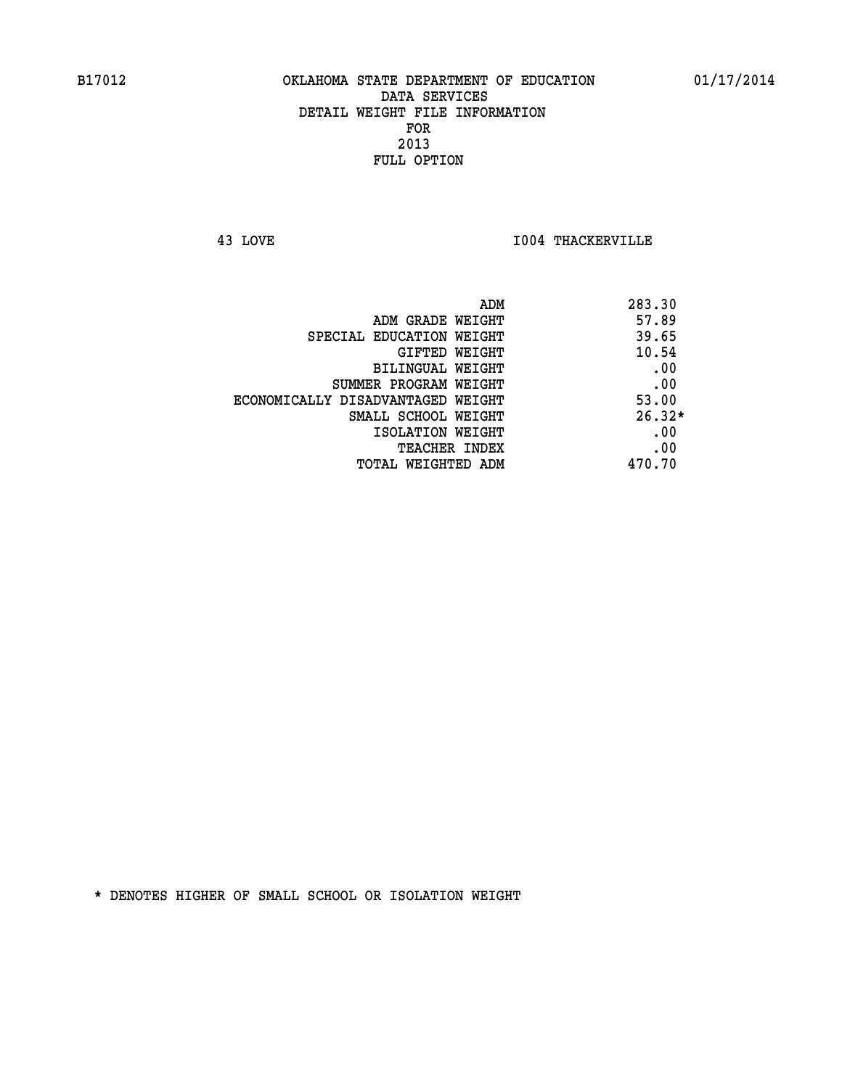**43 LOVE I004 THACKERVILLE** 

| ADM                               | 283.30   |
|-----------------------------------|----------|
| ADM GRADE WEIGHT                  | 57.89    |
| SPECIAL EDUCATION WEIGHT          | 39.65    |
| <b>GIFTED WEIGHT</b>              | 10.54    |
| BILINGUAL WEIGHT                  | .00      |
| SUMMER PROGRAM WEIGHT             | .00      |
| ECONOMICALLY DISADVANTAGED WEIGHT | 53.00    |
| SMALL SCHOOL WEIGHT               | $26.32*$ |
| ISOLATION WEIGHT                  | .00      |
| <b>TEACHER INDEX</b>              | .00      |
| TOTAL WEIGHTED ADM                | 470.70   |
|                                   |          |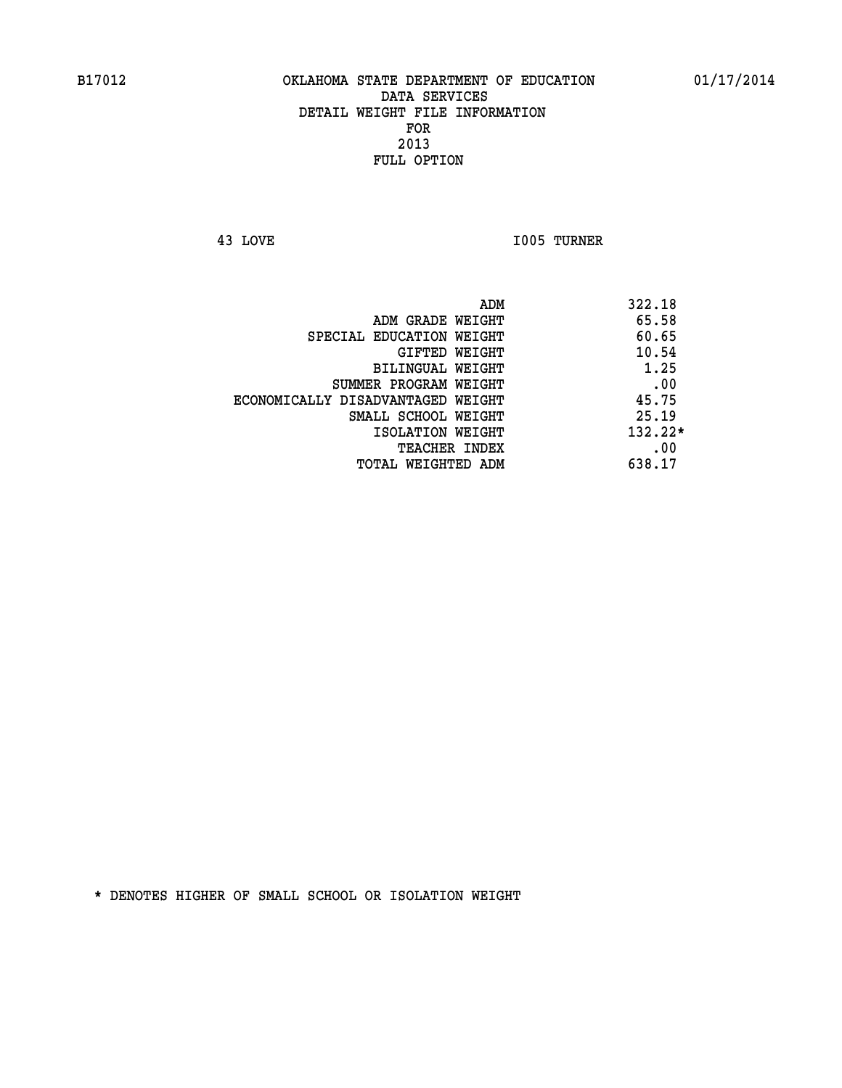**43 LOVE I005 TURNER** 

|                                   | ADM | 322.18    |
|-----------------------------------|-----|-----------|
| ADM GRADE WEIGHT                  |     | 65.58     |
| SPECIAL EDUCATION WEIGHT          |     | 60.65     |
| GIFTED WEIGHT                     |     | 10.54     |
| BILINGUAL WEIGHT                  |     | 1.25      |
| SUMMER PROGRAM WEIGHT             |     | .00       |
| ECONOMICALLY DISADVANTAGED WEIGHT |     | 45.75     |
| SMALL SCHOOL WEIGHT               |     | 25.19     |
| ISOLATION WEIGHT                  |     | $132.22*$ |
| TEACHER INDEX                     |     | .00       |
| TOTAL WEIGHTED ADM                |     | 638.17    |
|                                   |     |           |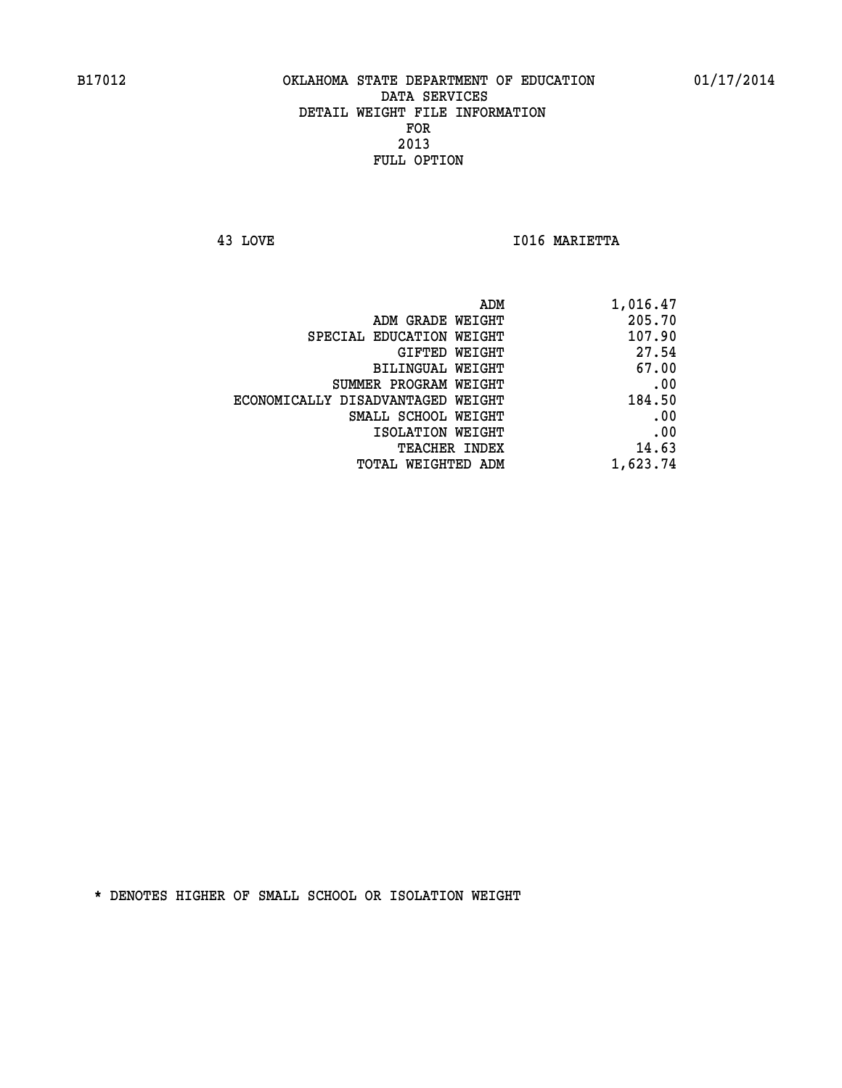**43 LOVE I016 MARIETTA** 

| ADM                               | 1,016.47 |
|-----------------------------------|----------|
| ADM GRADE WEIGHT                  | 205.70   |
| SPECIAL EDUCATION WEIGHT          | 107.90   |
| GIFTED WEIGHT                     | 27.54    |
| BILINGUAL WEIGHT                  | 67.00    |
| SUMMER PROGRAM WEIGHT             | .00      |
| ECONOMICALLY DISADVANTAGED WEIGHT | 184.50   |
| SMALL SCHOOL WEIGHT               | .00      |
| ISOLATION WEIGHT                  | .00      |
| TEACHER INDEX                     | 14.63    |
| TOTAL WEIGHTED ADM                | 1,623.74 |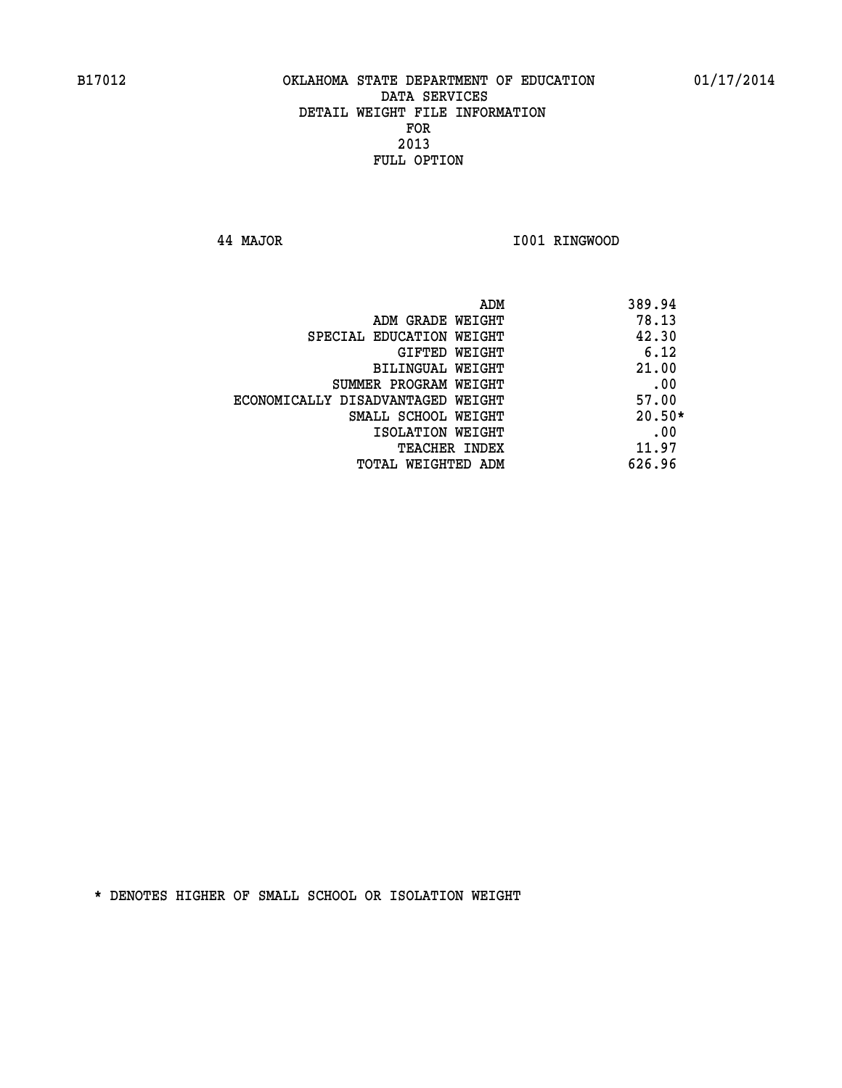**44 MAJOR I001 RINGWOOD** 

|                                   | ADM<br>389.94 |
|-----------------------------------|---------------|
| ADM GRADE WEIGHT                  | 78.13         |
| SPECIAL EDUCATION WEIGHT          | 42.30         |
| GIFTED WEIGHT                     | 6.12          |
| BILINGUAL WEIGHT                  | 21.00         |
| SUMMER PROGRAM WEIGHT             | .00           |
| ECONOMICALLY DISADVANTAGED WEIGHT | 57.00         |
| SMALL SCHOOL WEIGHT               | $20.50*$      |
| ISOLATION WEIGHT                  | .00           |
| <b>TEACHER INDEX</b>              | 11.97         |
| TOTAL WEIGHTED ADM                | 626.96        |
|                                   |               |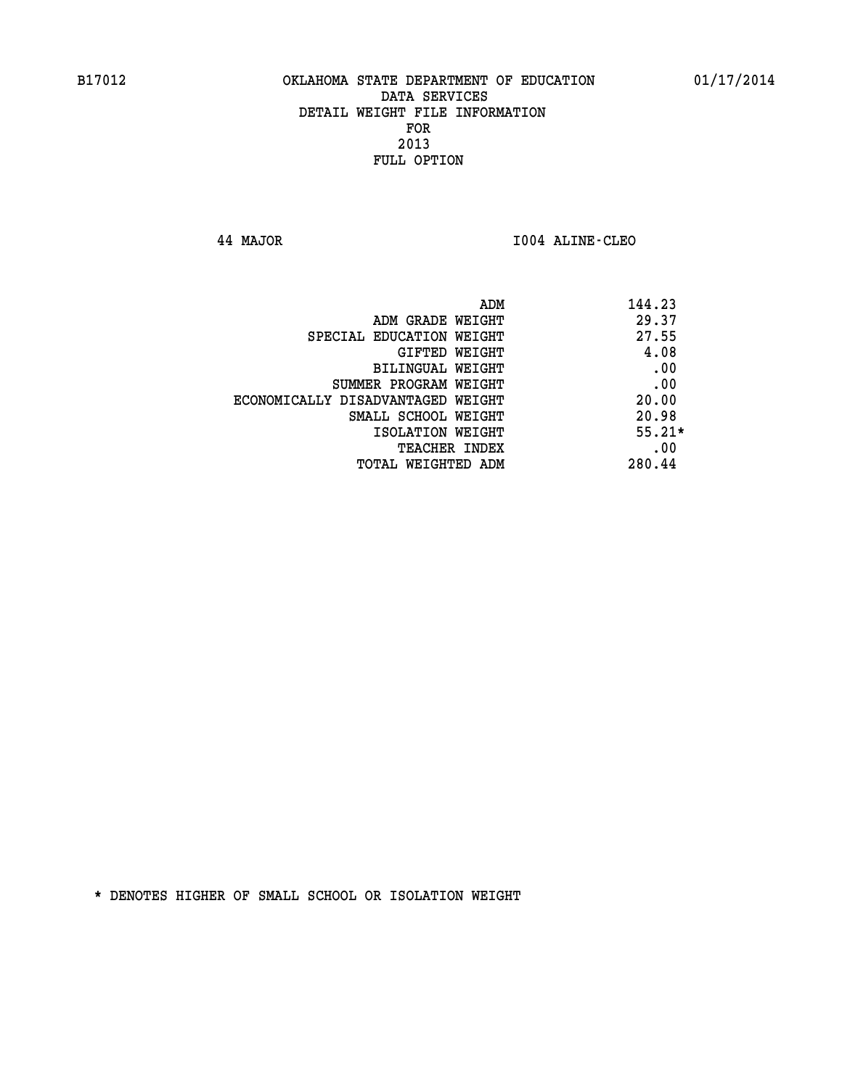**44 MAJOR I004 ALINE-CLEO** 

| 144.23<br>ADM                              |  |
|--------------------------------------------|--|
| 29.37<br>ADM GRADE WEIGHT                  |  |
| 27.55<br>SPECIAL EDUCATION WEIGHT          |  |
| 4.08<br>GIFTED WEIGHT                      |  |
| .00<br><b>BILINGUAL WEIGHT</b>             |  |
| .00<br>SUMMER PROGRAM WEIGHT               |  |
| 20.00<br>ECONOMICALLY DISADVANTAGED WEIGHT |  |
| 20.98<br>SMALL SCHOOL WEIGHT               |  |
| $55.21*$<br>ISOLATION WEIGHT               |  |
| .00<br><b>TEACHER INDEX</b>                |  |
| 280.44<br>TOTAL WEIGHTED ADM               |  |
|                                            |  |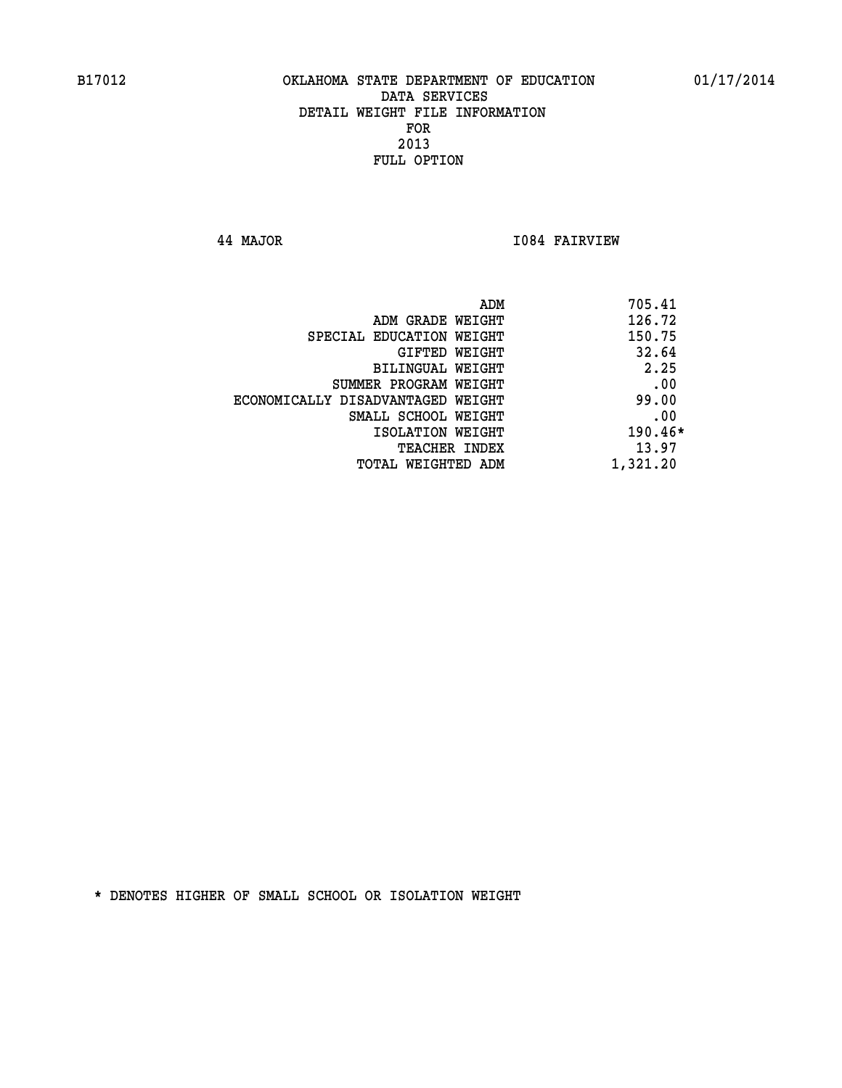**44 MAJOR I084 FAIRVIEW** 

|                                   | ADM | 705.41   |
|-----------------------------------|-----|----------|
| ADM GRADE WEIGHT                  |     | 126.72   |
| SPECIAL EDUCATION WEIGHT          |     | 150.75   |
| GIFTED WEIGHT                     |     | 32.64    |
| BILINGUAL WEIGHT                  |     | 2.25     |
| SUMMER PROGRAM WEIGHT             |     | .00      |
| ECONOMICALLY DISADVANTAGED WEIGHT |     | 99.00    |
| SMALL SCHOOL WEIGHT               |     | .00      |
| ISOLATION WEIGHT                  |     | 190.46*  |
| TEACHER INDEX                     |     | 13.97    |
| TOTAL WEIGHTED ADM                |     | 1,321.20 |
|                                   |     |          |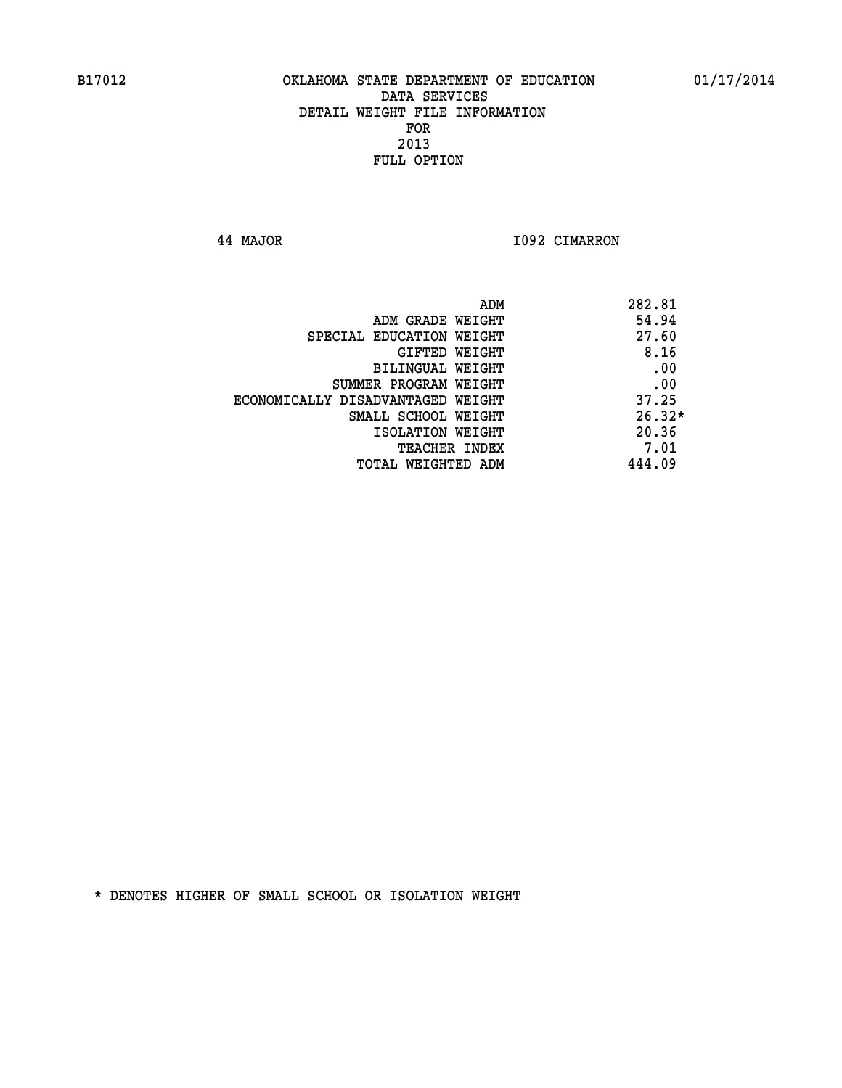**44 MAJOR I092 CIMARRON** 

| ADM                               | 282.81   |
|-----------------------------------|----------|
| ADM GRADE WEIGHT                  | 54.94    |
| SPECIAL EDUCATION WEIGHT          | 27.60    |
| GIFTED WEIGHT                     | 8.16     |
| BILINGUAL WEIGHT                  | .00      |
| SUMMER PROGRAM WEIGHT             | .00      |
| ECONOMICALLY DISADVANTAGED WEIGHT | 37.25    |
| SMALL SCHOOL WEIGHT               | $26.32*$ |
| ISOLATION WEIGHT                  | 20.36    |
| TEACHER INDEX                     | 7.01     |
| TOTAL WEIGHTED ADM                | 444.09   |
|                                   |          |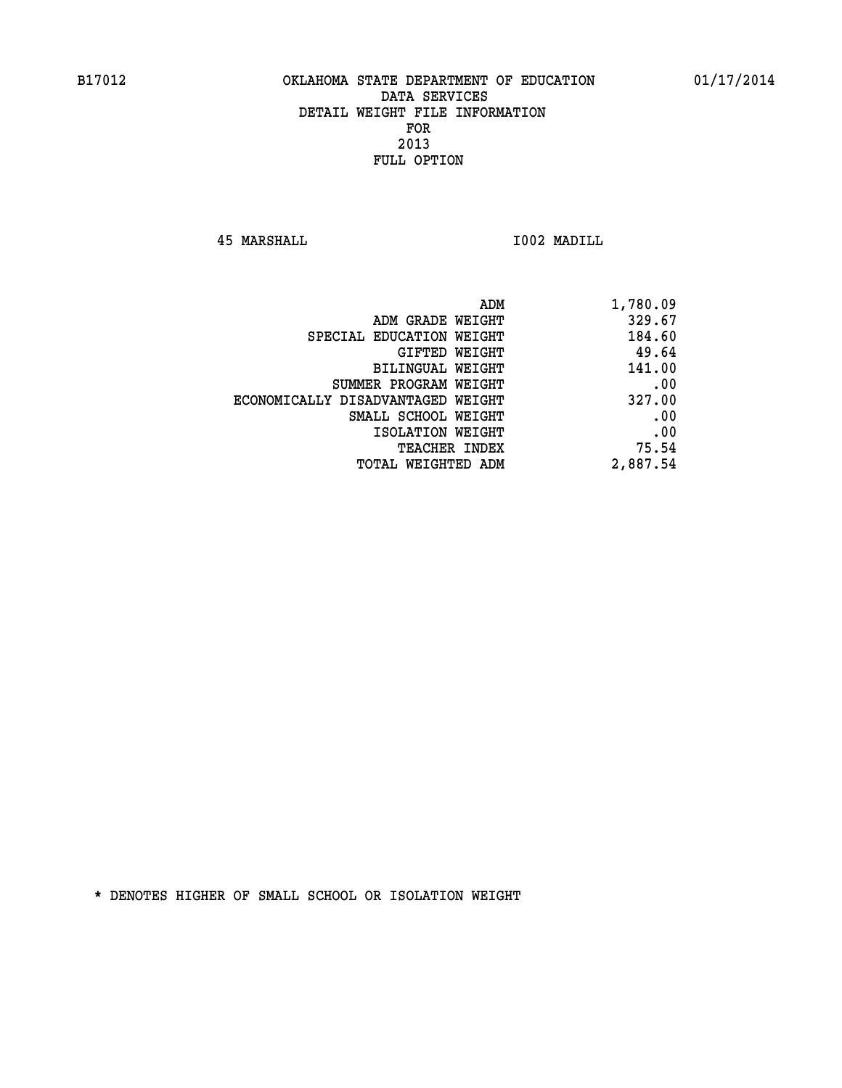**45 MARSHALL I002 MADILL** 

| ADM                               | 1,780.09 |
|-----------------------------------|----------|
| ADM GRADE WEIGHT                  | 329.67   |
| SPECIAL EDUCATION WEIGHT          | 184.60   |
| GIFTED WEIGHT                     | 49.64    |
| BILINGUAL WEIGHT                  | 141.00   |
| SUMMER PROGRAM WEIGHT             | .00      |
| ECONOMICALLY DISADVANTAGED WEIGHT | 327.00   |
| SMALL SCHOOL WEIGHT               | .00      |
| ISOLATION WEIGHT                  | .00      |
| <b>TEACHER INDEX</b>              | 75.54    |
| TOTAL WEIGHTED ADM                | 2,887.54 |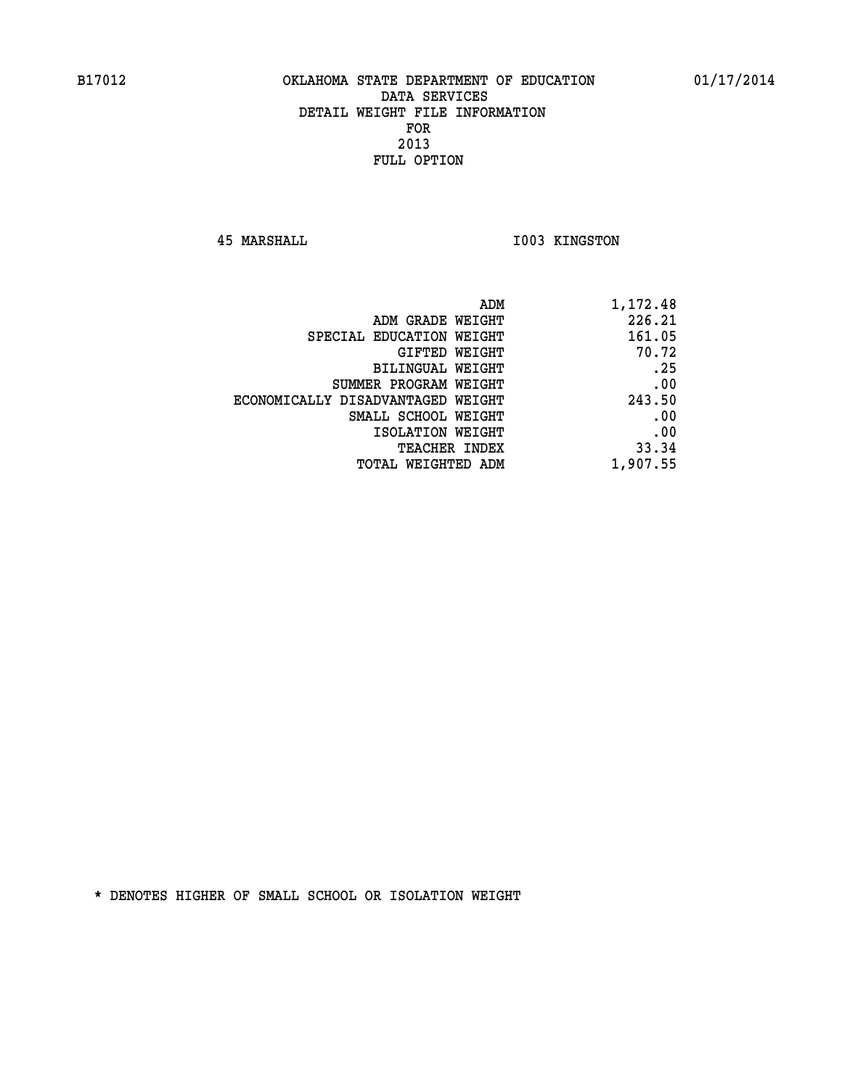**45 MARSHALL I003 KINGSTON** 

| 1,172.48 |
|----------|
| 226.21   |
| 161.05   |
| 70.72    |
| .25      |
| .00      |
| 243.50   |
| .00      |
| .00      |
| 33.34    |
| 1,907.55 |
|          |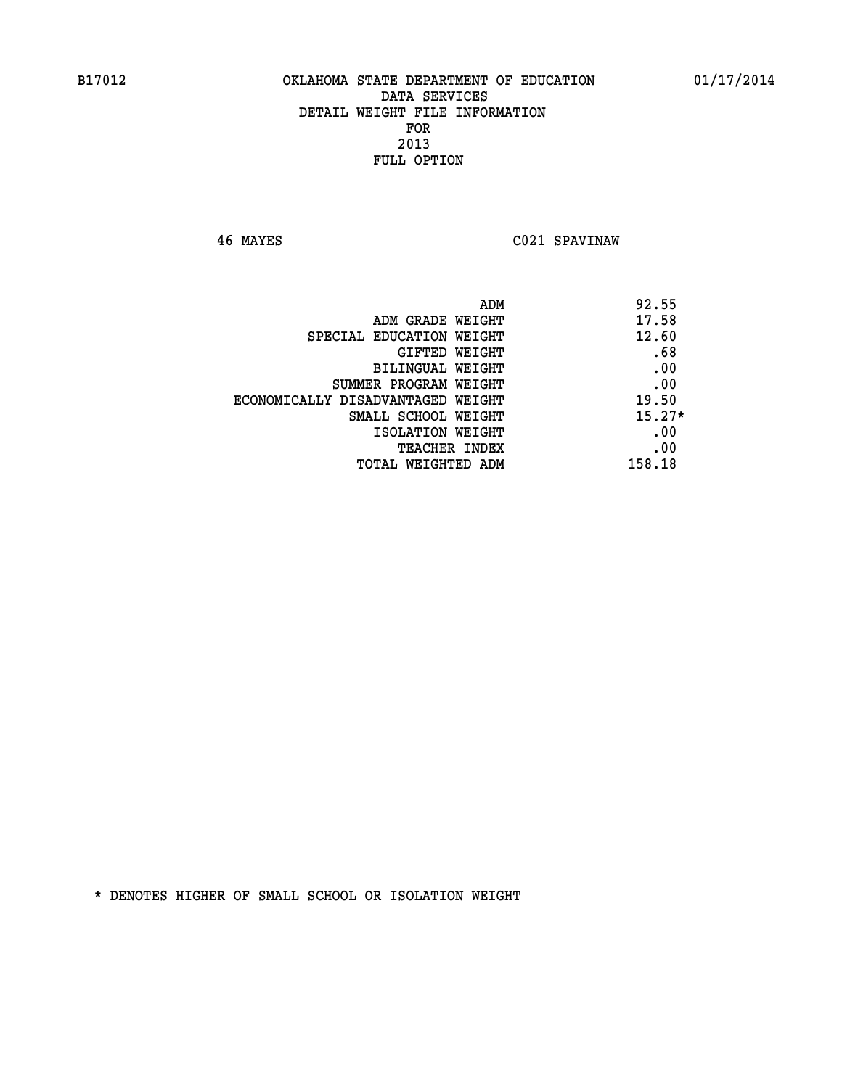**46 MAYES C021 SPAVINAW** 

|                                   | ADM<br>92.55 |
|-----------------------------------|--------------|
| ADM GRADE WEIGHT                  | 17.58        |
| SPECIAL EDUCATION WEIGHT          | 12.60        |
| GIFTED WEIGHT                     | .68          |
| <b>BILINGUAL WEIGHT</b>           | .00          |
| SUMMER PROGRAM WEIGHT             | .00          |
| ECONOMICALLY DISADVANTAGED WEIGHT | 19.50        |
| SMALL SCHOOL WEIGHT               | $15.27*$     |
| ISOLATION WEIGHT                  | .00          |
| <b>TEACHER INDEX</b>              | .00          |
| TOTAL WEIGHTED ADM                | 158.18       |
|                                   |              |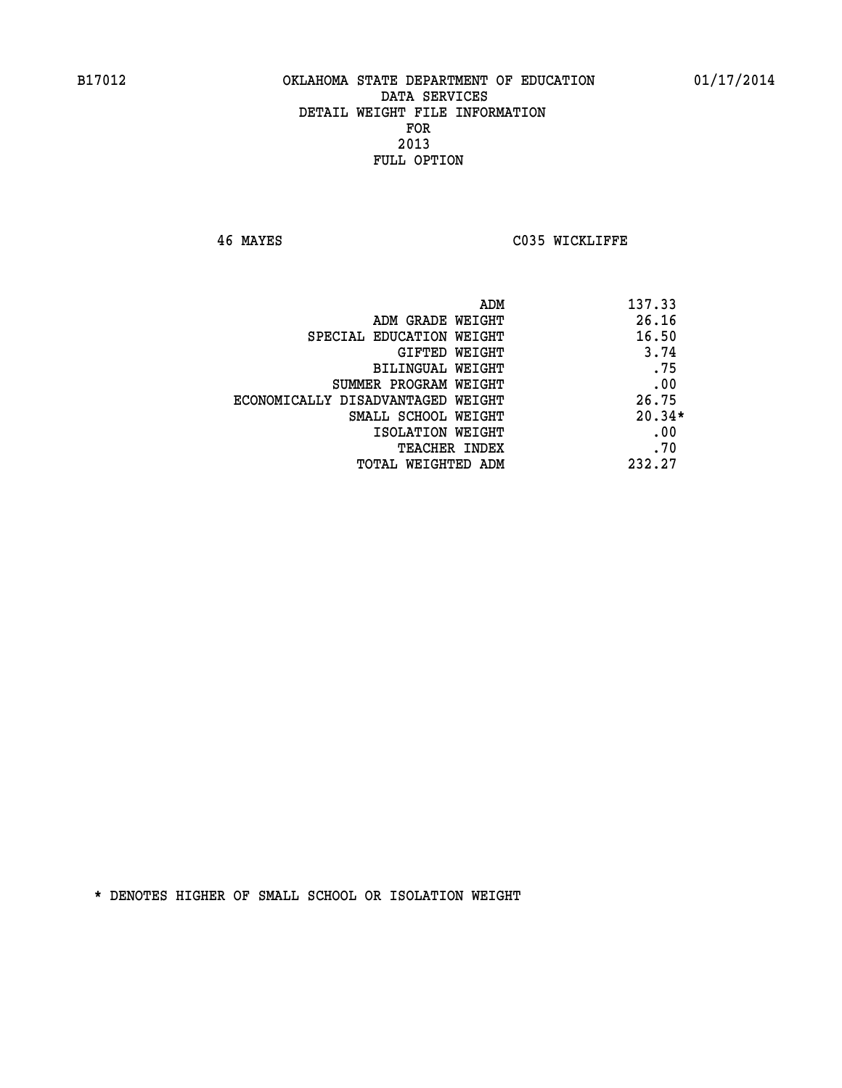**46 MAYES C035 WICKLIFFE** 

| ADM                               | 137.33   |
|-----------------------------------|----------|
| ADM GRADE WEIGHT                  | 26.16    |
| SPECIAL EDUCATION WEIGHT          | 16.50    |
| GIFTED WEIGHT                     | 3.74     |
| BILINGUAL WEIGHT                  | .75      |
| SUMMER PROGRAM WEIGHT             | .00      |
| ECONOMICALLY DISADVANTAGED WEIGHT | 26.75    |
| SMALL SCHOOL WEIGHT               | $20.34*$ |
| ISOLATION WEIGHT                  | .00      |
| <b>TEACHER INDEX</b>              | .70      |
| TOTAL WEIGHTED ADM                | 232.27   |
|                                   |          |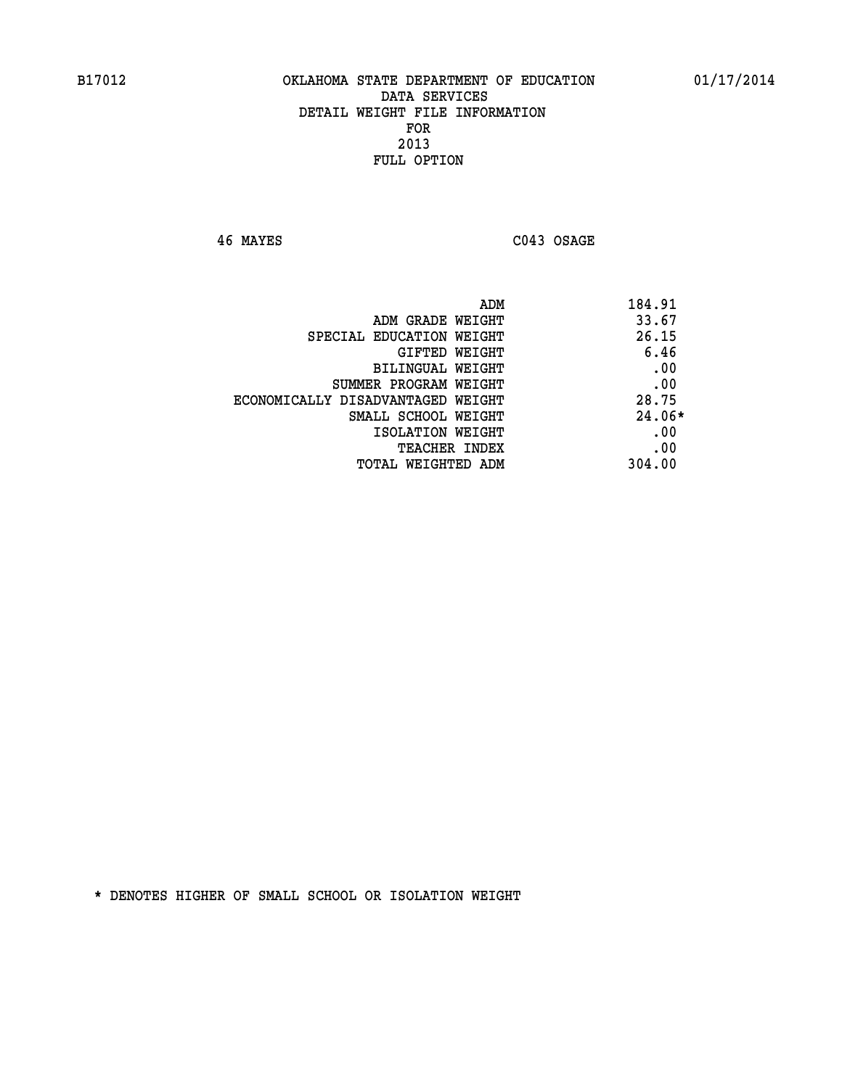**46 MAYES C043 OSAGE** 

| 184.91<br>ADM                              |  |
|--------------------------------------------|--|
| 33.67<br>ADM GRADE WEIGHT                  |  |
| 26.15<br>SPECIAL EDUCATION WEIGHT          |  |
| 6.46<br>GIFTED WEIGHT                      |  |
| .00<br>BILINGUAL WEIGHT                    |  |
| .00<br>SUMMER PROGRAM WEIGHT               |  |
| 28.75<br>ECONOMICALLY DISADVANTAGED WEIGHT |  |
| $24.06*$<br>SMALL SCHOOL WEIGHT            |  |
| .00<br>ISOLATION WEIGHT                    |  |
| .00<br><b>TEACHER INDEX</b>                |  |
| 304.00<br>TOTAL WEIGHTED ADM               |  |
|                                            |  |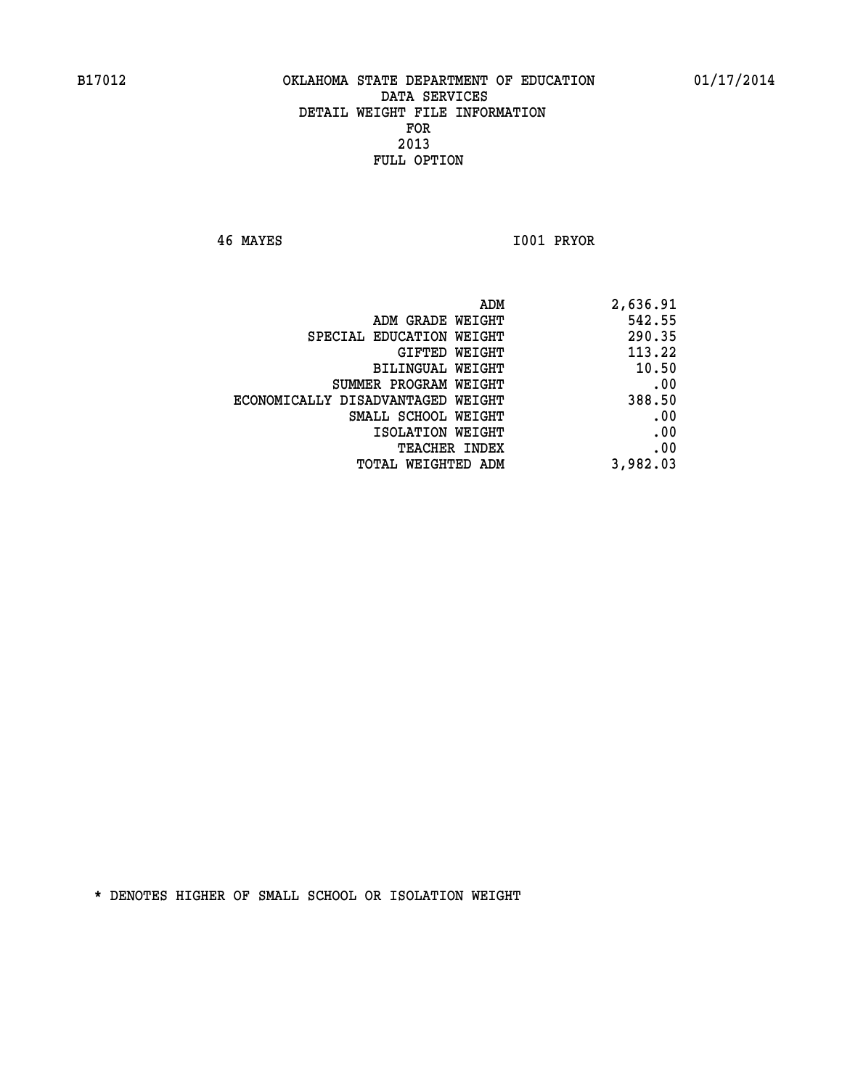**46 MAYES I001 PRYOR** 

| 2,636.91 |
|----------|
| 542.55   |
| 290.35   |
| 113.22   |
| 10.50    |
| .00      |
| 388.50   |
| .00      |
| .00      |
| .00      |
| 3,982.03 |
|          |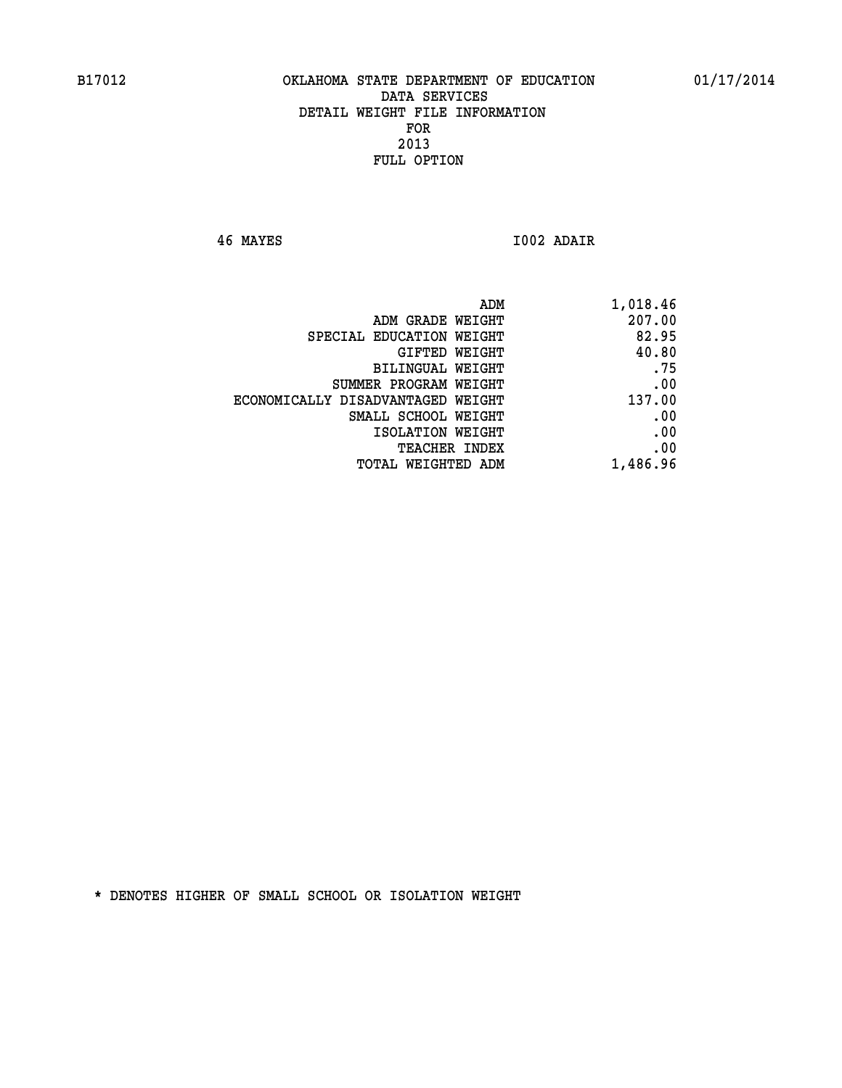**46 MAYES I002 ADAIR** 

| 1,018.46 |
|----------|
| 207.00   |
| 82.95    |
| 40.80    |
| .75      |
| .00      |
| 137.00   |
| .00      |
| .00      |
| .00      |
| 1,486.96 |
|          |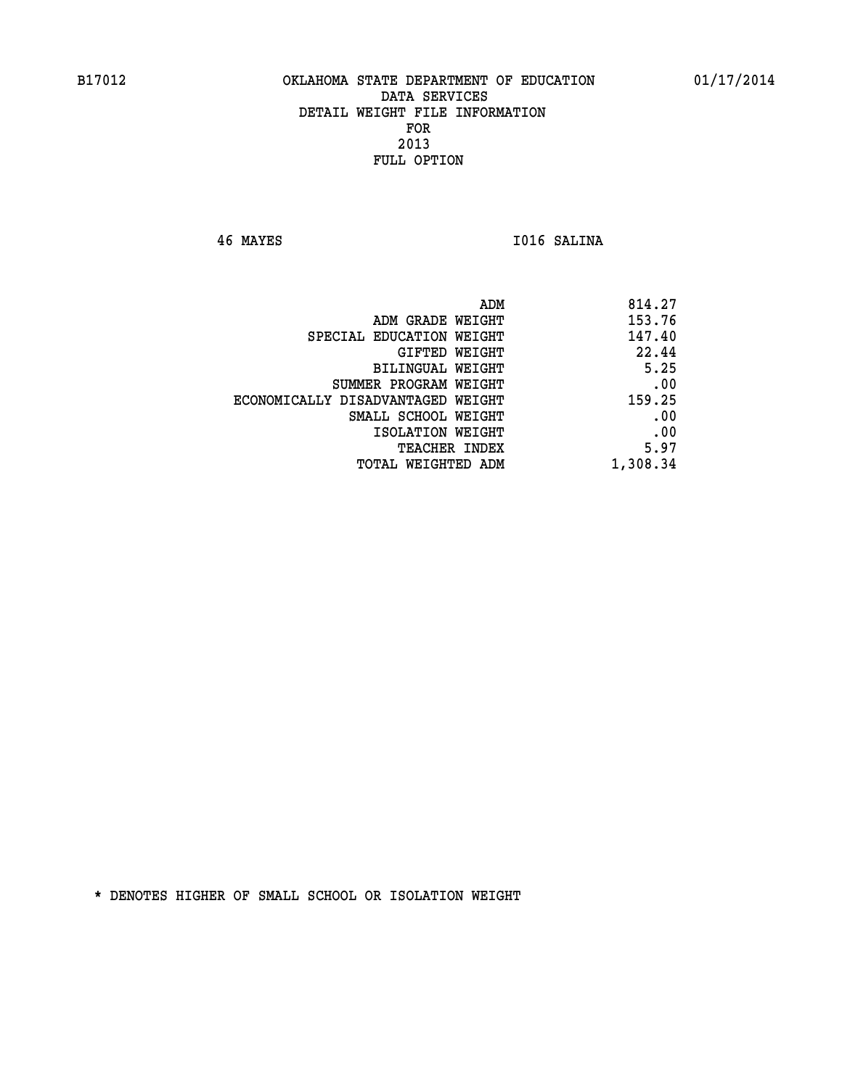**46 MAYES I016 SALINA** 

|                                   | 814.27<br>ADM |
|-----------------------------------|---------------|
| ADM GRADE WEIGHT                  | 153.76        |
| SPECIAL EDUCATION WEIGHT          | 147.40        |
| GIFTED WEIGHT                     | 22.44         |
| BILINGUAL WEIGHT                  | 5.25          |
| SUMMER PROGRAM WEIGHT             | .00           |
| ECONOMICALLY DISADVANTAGED WEIGHT | 159.25        |
| SMALL SCHOOL WEIGHT               | .00           |
| ISOLATION WEIGHT                  | .00           |
| TEACHER INDEX                     | 5.97          |
| TOTAL WEIGHTED ADM                | 1,308.34      |
|                                   |               |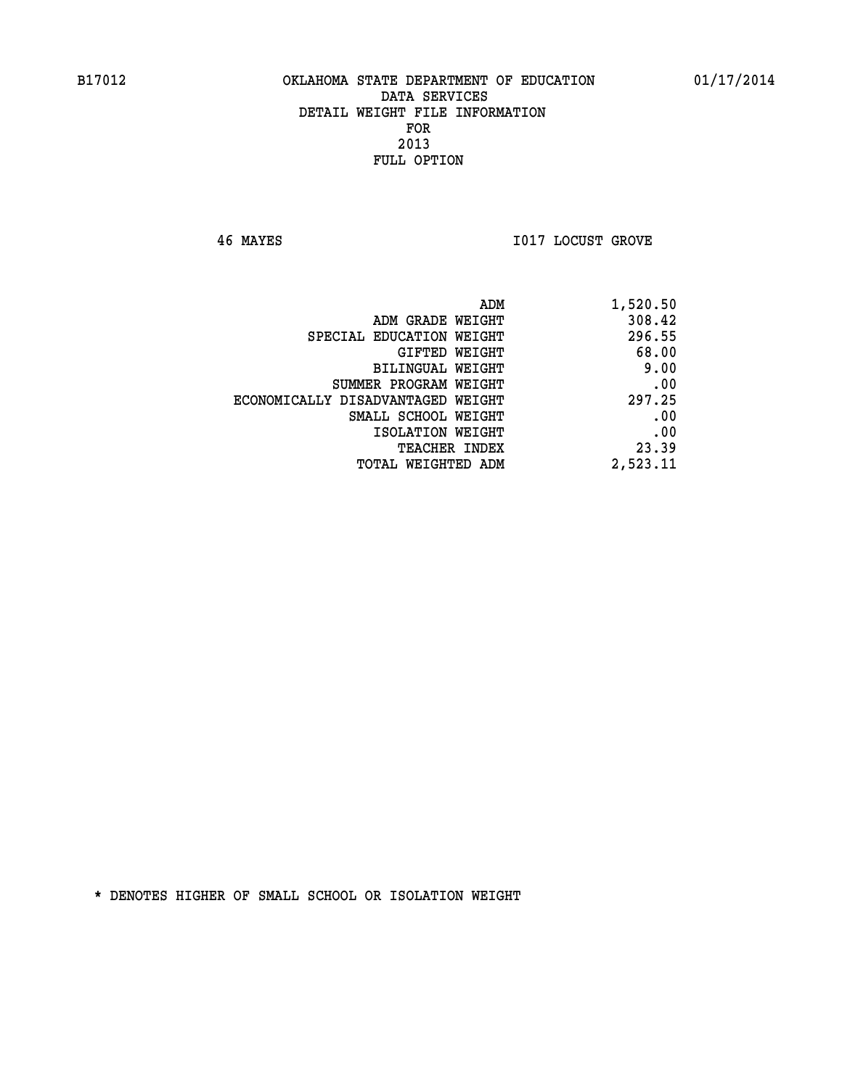**46 MAYES I017 LOCUST GROVE** 

| 1,520.50 | ADM                               |  |
|----------|-----------------------------------|--|
| 308.42   | ADM GRADE WEIGHT                  |  |
| 296.55   | SPECIAL EDUCATION WEIGHT          |  |
| 68.00    | GIFTED WEIGHT                     |  |
| 9.00     | BILINGUAL WEIGHT                  |  |
| .00      | SUMMER PROGRAM WEIGHT             |  |
| 297.25   | ECONOMICALLY DISADVANTAGED WEIGHT |  |
| .00      | SMALL SCHOOL WEIGHT               |  |
| .00      | ISOLATION WEIGHT                  |  |
| 23.39    | <b>TEACHER INDEX</b>              |  |
| 2,523.11 | <b>TOTAL WEIGHTED ADM</b>         |  |
|          |                                   |  |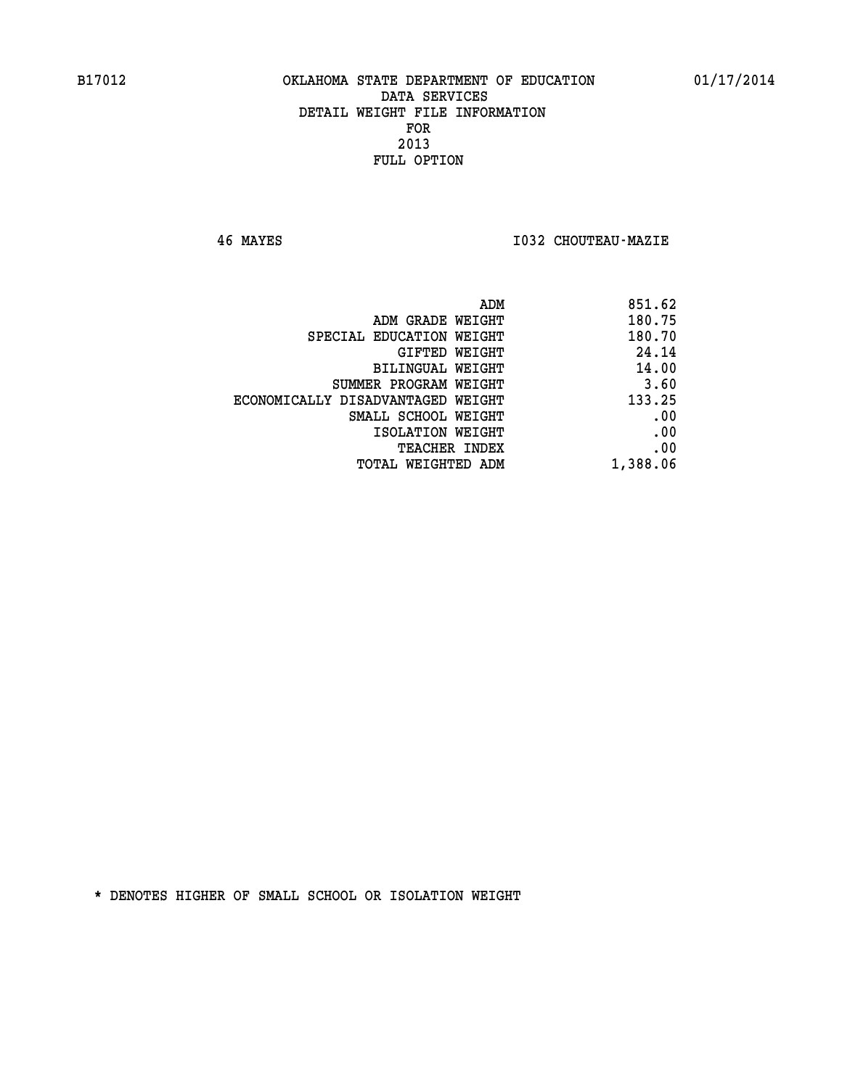**46 MAYES I032 CHOUTEAU-MAZIE** 

| 851.62   |
|----------|
| 180.75   |
| 180.70   |
| 24.14    |
| 14.00    |
| 3.60     |
| 133.25   |
| .00      |
| .00      |
| .00      |
| 1,388.06 |
|          |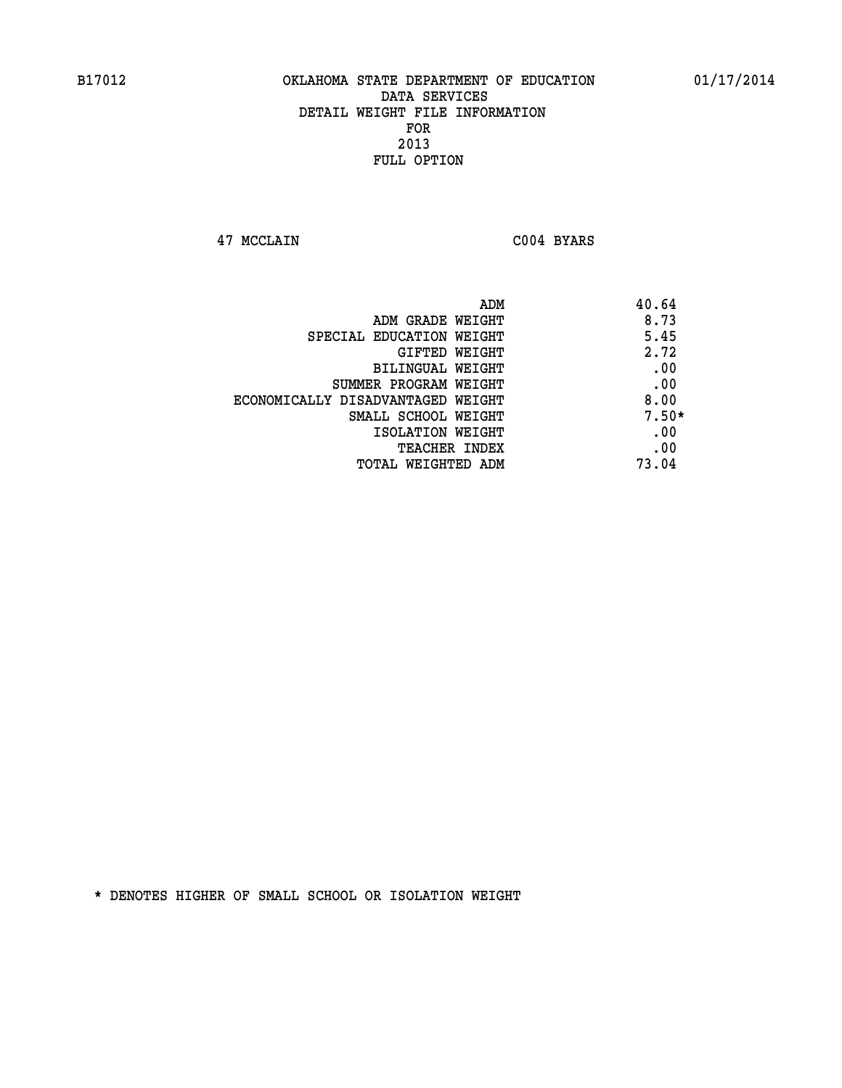**47 MCCLAIN C004 BYARS** 

| ADM                               | 40.64   |
|-----------------------------------|---------|
| ADM GRADE WEIGHT                  | 8.73    |
| SPECIAL EDUCATION WEIGHT          | 5.45    |
| GIFTED WEIGHT                     | 2.72    |
| BILINGUAL WEIGHT                  | .00     |
| SUMMER PROGRAM WEIGHT             | .00     |
| ECONOMICALLY DISADVANTAGED WEIGHT | 8.00    |
| SMALL SCHOOL WEIGHT               | $7.50*$ |
| ISOLATION WEIGHT                  | .00     |
| TEACHER INDEX                     | .00     |
| TOTAL WEIGHTED ADM                | 73.04   |
|                                   |         |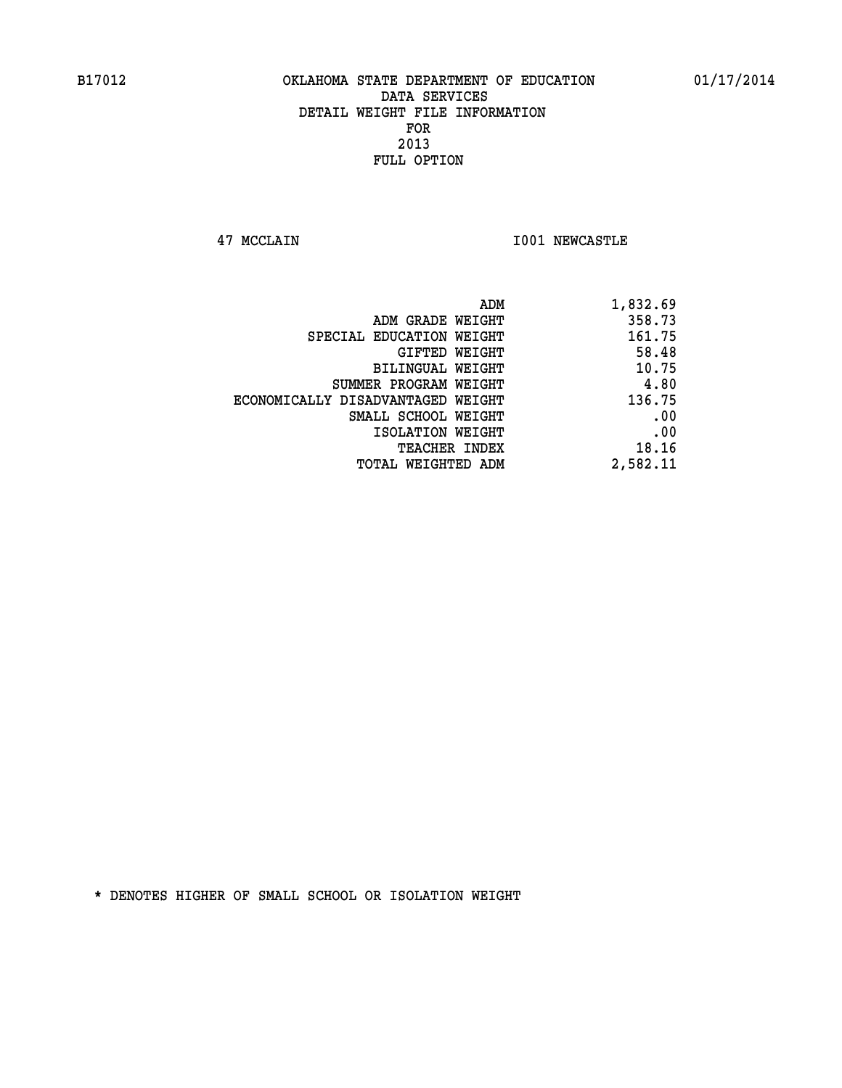**47 MCCLAIN I001 NEWCASTLE** 

| ADM GRADE WEIGHT<br>SPECIAL EDUCATION WEIGHT | 358.73<br>161.75<br>58.48<br>10.75 |
|----------------------------------------------|------------------------------------|
|                                              |                                    |
|                                              |                                    |
| GIFTED WEIGHT                                |                                    |
| <b>BILINGUAL WEIGHT</b>                      |                                    |
| SUMMER PROGRAM WEIGHT                        | 4.80                               |
| ECONOMICALLY DISADVANTAGED WEIGHT            | 136.75                             |
| SMALL SCHOOL WEIGHT                          | .00                                |
| ISOLATION WEIGHT                             | .00                                |
| TEACHER INDEX                                | 18.16                              |
| TOTAL WEIGHTED ADM                           | 2,582.11                           |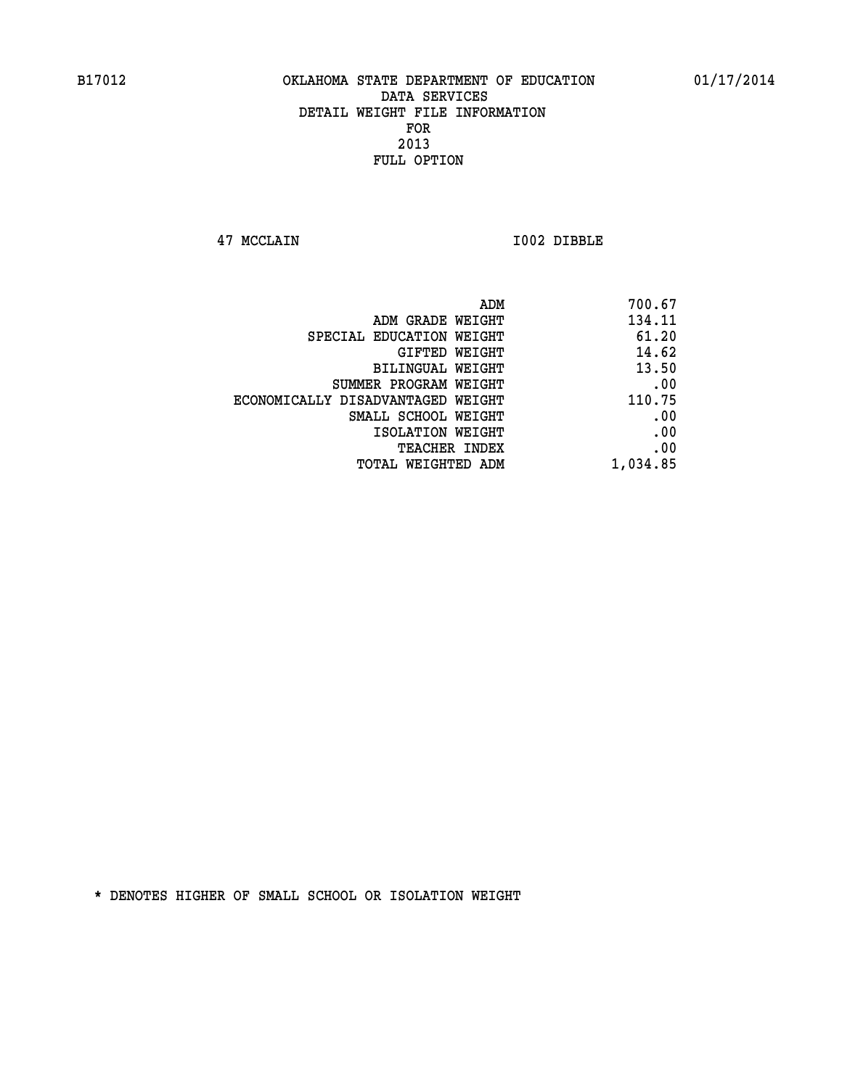**47 MCCLAIN I002 DIBBLE** 

|                                   | 700.67<br>ADM |
|-----------------------------------|---------------|
| ADM GRADE WEIGHT                  | 134.11        |
| SPECIAL EDUCATION WEIGHT          | 61.20         |
| GIFTED WEIGHT                     | 14.62         |
| BILINGUAL WEIGHT                  | 13.50         |
| SUMMER PROGRAM WEIGHT             | .00           |
| ECONOMICALLY DISADVANTAGED WEIGHT | 110.75        |
| SMALL SCHOOL WEIGHT               | .00           |
| ISOLATION WEIGHT                  | .00           |
| TEACHER INDEX                     | .00           |
| TOTAL WEIGHTED ADM                | 1,034.85      |
|                                   |               |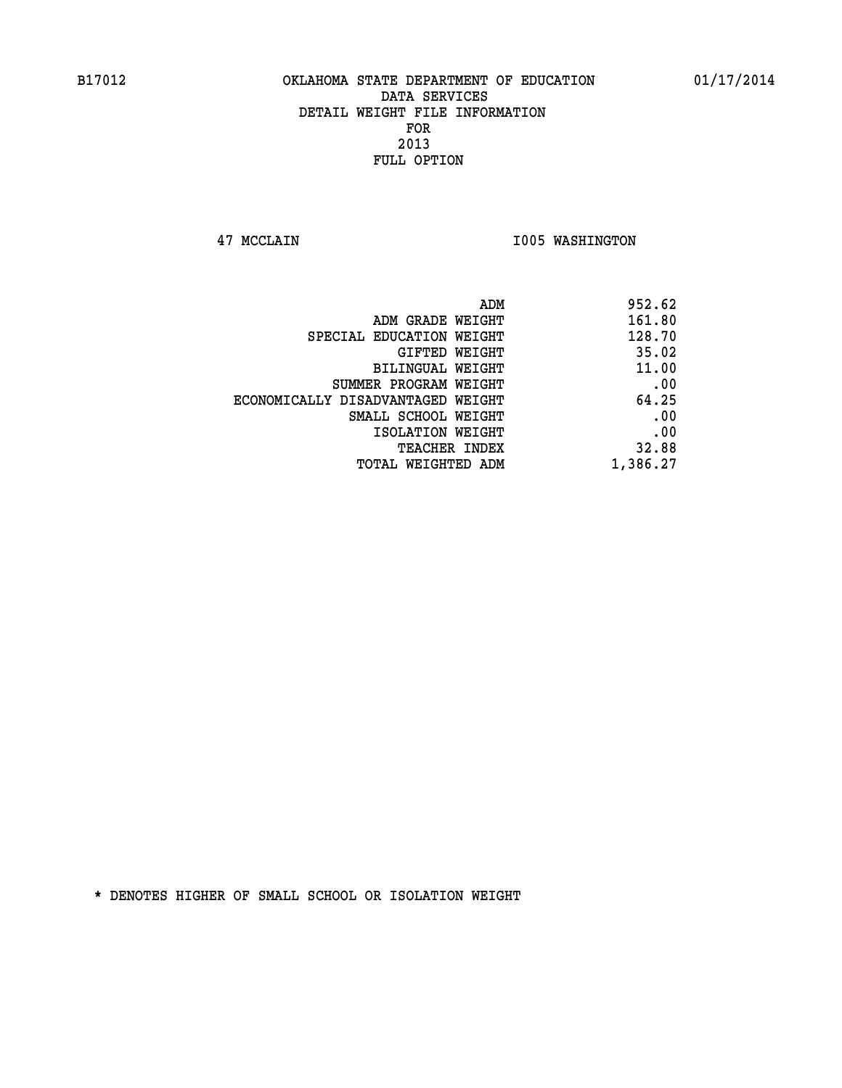**47 MCCLAIN I005 WASHINGTON** 

| 952.62   |
|----------|
| 161.80   |
| 128.70   |
| 35.02    |
| 11.00    |
| .00      |
| 64.25    |
| .00      |
| .00      |
| 32.88    |
| 1,386.27 |
|          |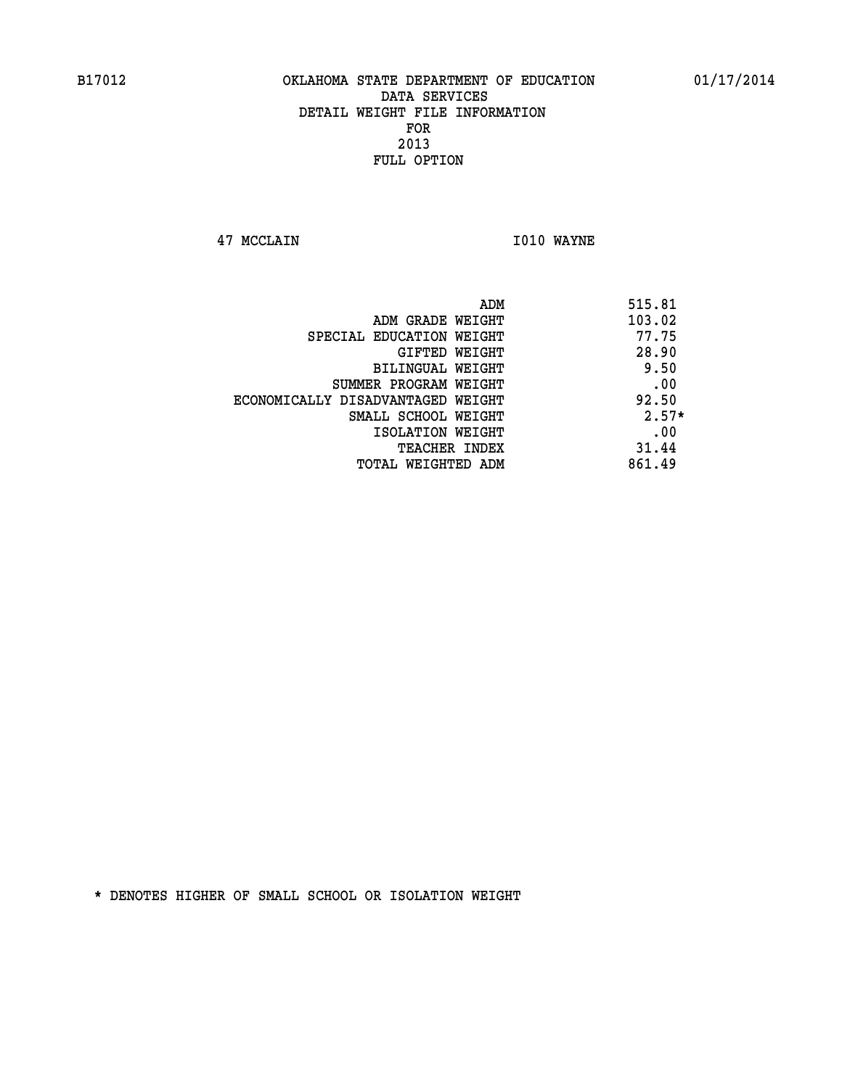**47 MCCLAIN I010 WAYNE** 

| ADM                               | 515.81  |
|-----------------------------------|---------|
| ADM GRADE WEIGHT                  | 103.02  |
| SPECIAL EDUCATION WEIGHT          | 77.75   |
| GIFTED WEIGHT                     | 28.90   |
| BILINGUAL WEIGHT                  | 9.50    |
| SUMMER PROGRAM WEIGHT             | .00     |
| ECONOMICALLY DISADVANTAGED WEIGHT | 92.50   |
| SMALL SCHOOL WEIGHT               | $2.57*$ |
| ISOLATION WEIGHT                  | .00     |
| <b>TEACHER INDEX</b>              | 31.44   |
| TOTAL WEIGHTED ADM                | 861.49  |
|                                   |         |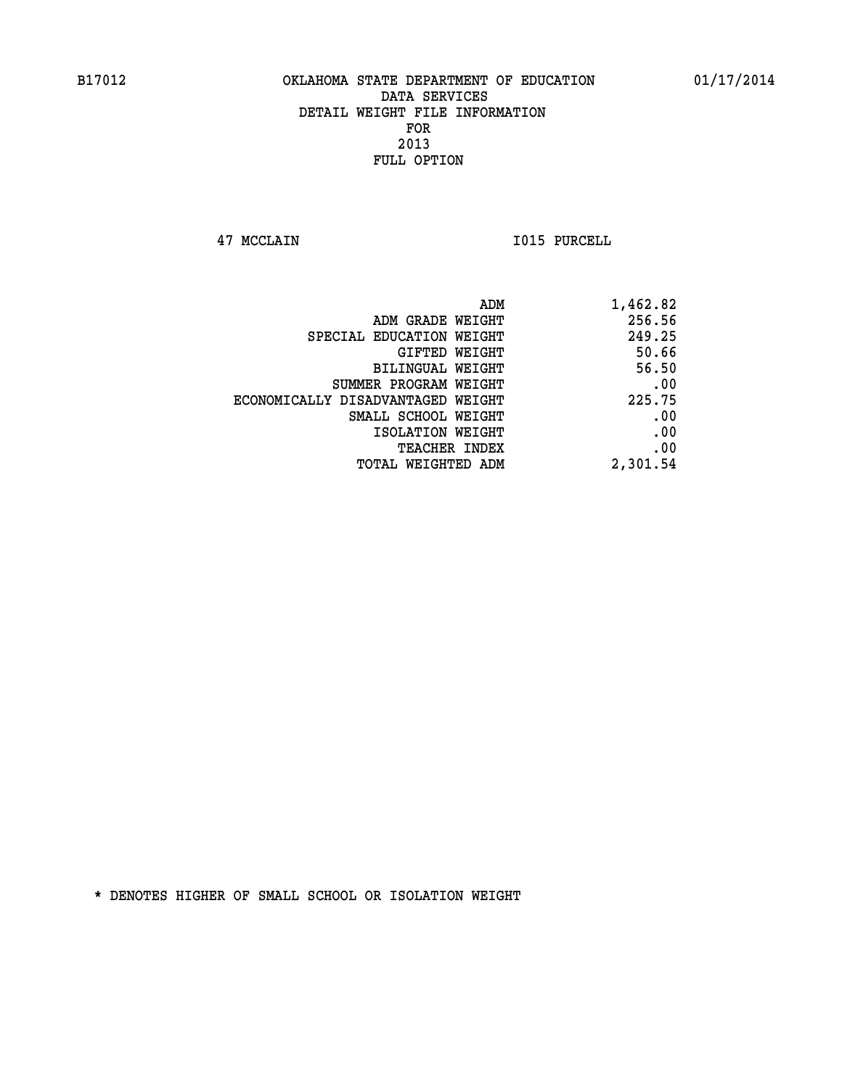**47 MCCLAIN I015 PURCELL** 

|                                   | ADM<br>1,462.82 |
|-----------------------------------|-----------------|
| ADM GRADE WEIGHT                  | 256.56          |
| SPECIAL EDUCATION WEIGHT          | 249.25          |
| GIFTED WEIGHT                     | 50.66           |
| <b>BILINGUAL WEIGHT</b>           | 56.50           |
| SUMMER PROGRAM WEIGHT             | .00             |
| ECONOMICALLY DISADVANTAGED WEIGHT | 225.75          |
| SMALL SCHOOL WEIGHT               | .00             |
| ISOLATION WEIGHT                  | .00             |
| TEACHER INDEX                     | .00             |
| TOTAL WEIGHTED ADM                | 2,301.54        |
|                                   |                 |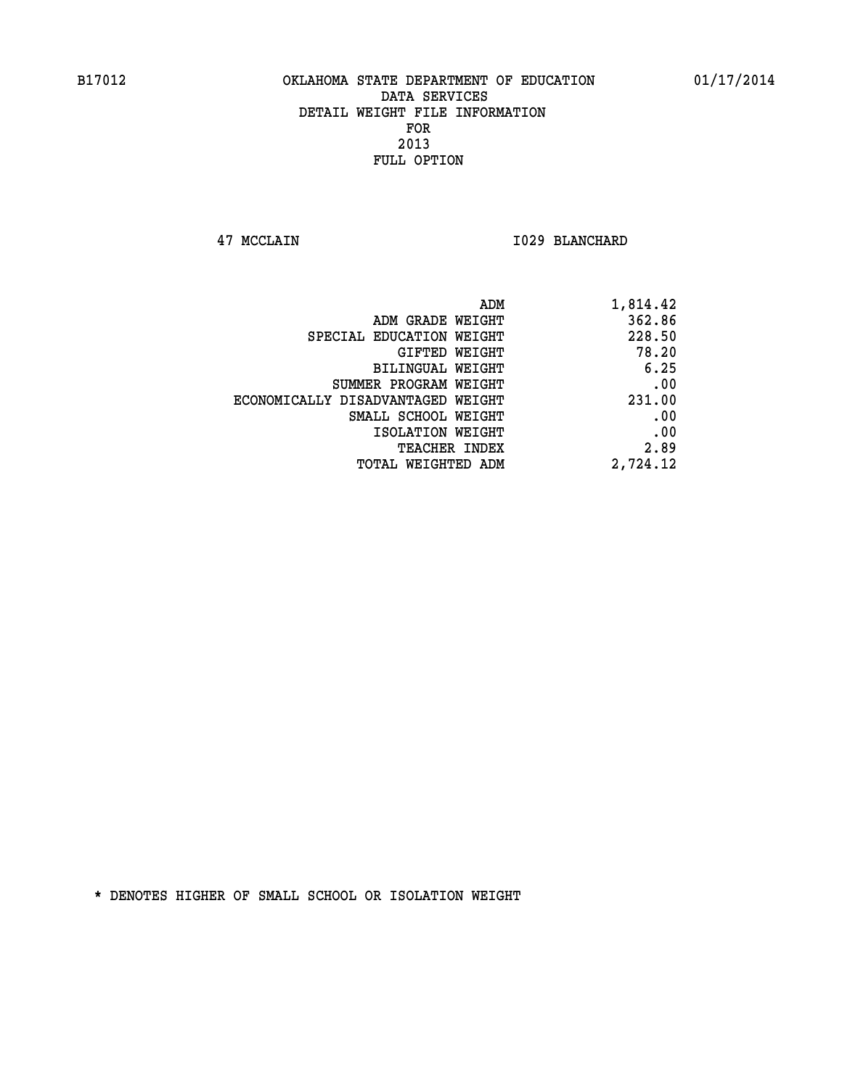**47 MCCLAIN I029 BLANCHARD** 

| 1,814.42 |
|----------|
| 362.86   |
| 228.50   |
| 78.20    |
| 6.25     |
| .00      |
| 231.00   |
| .00      |
| .00      |
| 2.89     |
| 2,724.12 |
|          |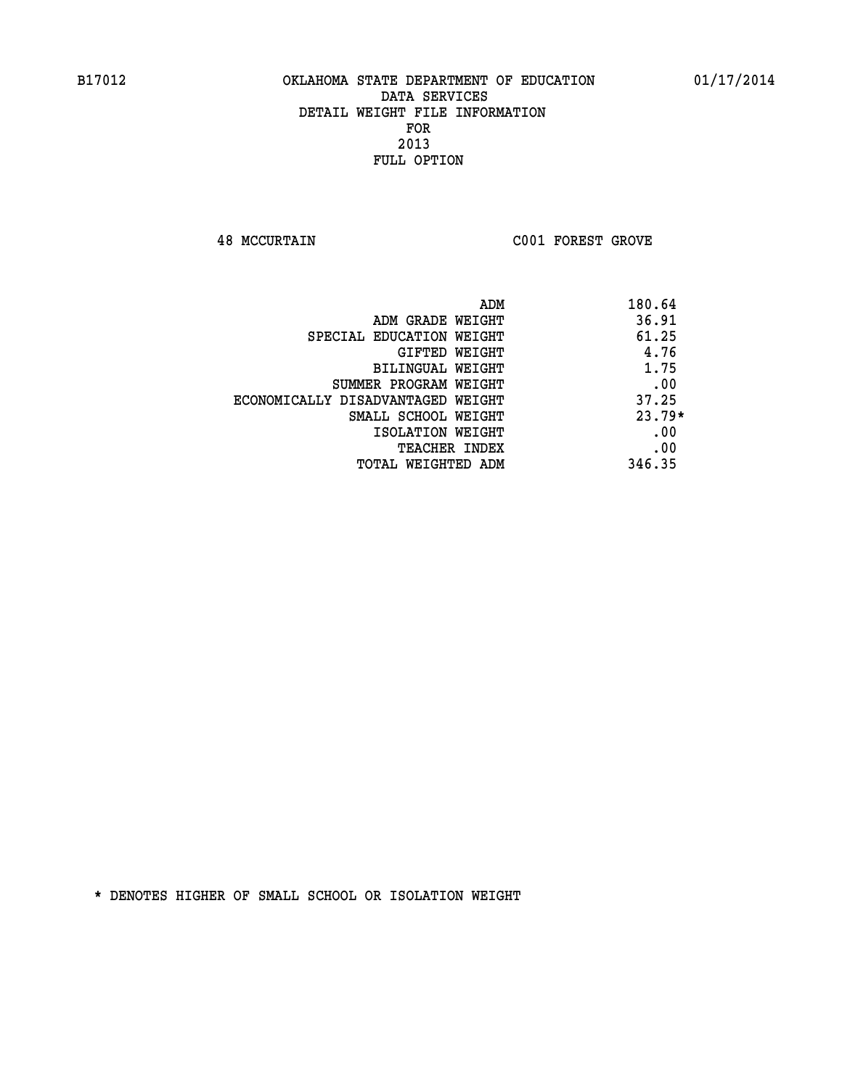**48 MCCURTAIN C001 FOREST GROVE** 

| ADM                               | 180.64   |
|-----------------------------------|----------|
| ADM GRADE WEIGHT                  | 36.91    |
| SPECIAL EDUCATION WEIGHT          | 61.25    |
| <b>GIFTED WEIGHT</b>              | 4.76     |
| BILINGUAL WEIGHT                  | 1.75     |
| SUMMER PROGRAM WEIGHT             | .00      |
| ECONOMICALLY DISADVANTAGED WEIGHT | 37.25    |
| SMALL SCHOOL WEIGHT               | $23.79*$ |
| ISOLATION WEIGHT                  | .00      |
| <b>TEACHER INDEX</b>              | .00      |
| TOTAL WEIGHTED ADM                | 346.35   |
|                                   |          |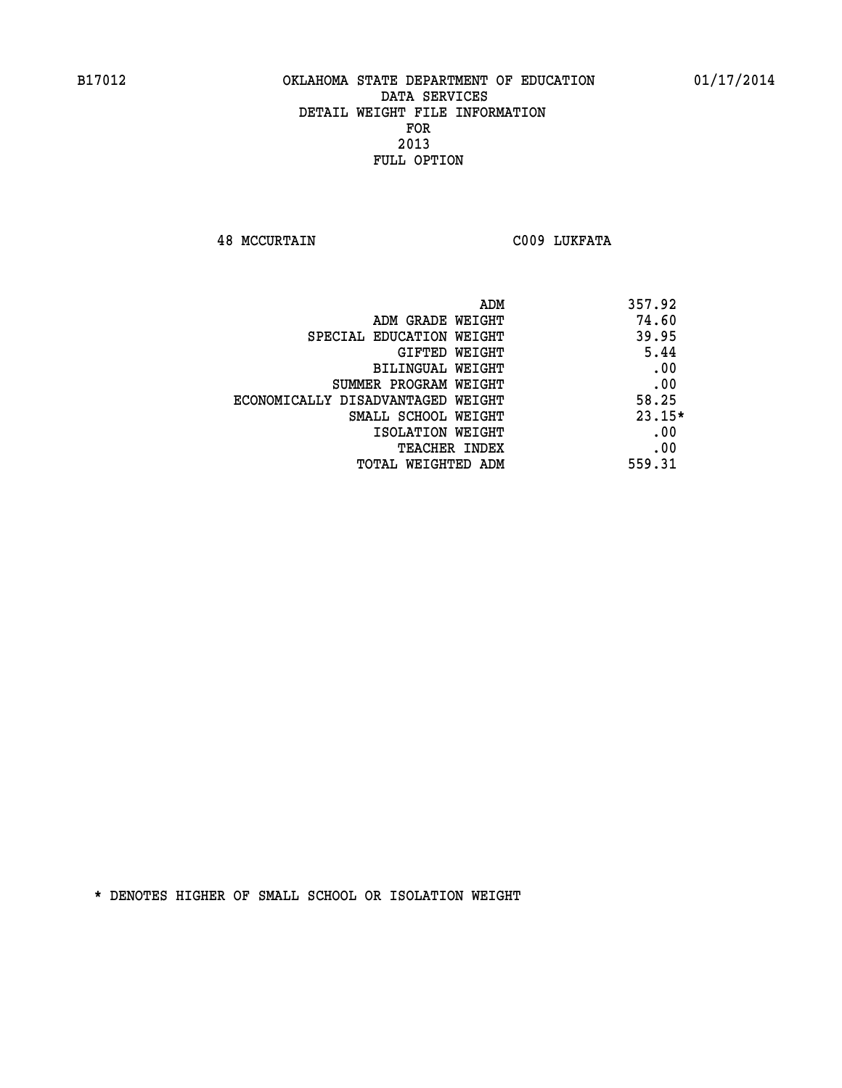**48 MCCURTAIN C009 LUKFATA** 

| ADM                               | 357.92   |
|-----------------------------------|----------|
| ADM GRADE WEIGHT                  | 74.60    |
| SPECIAL EDUCATION WEIGHT          | 39.95    |
| <b>GIFTED WEIGHT</b>              | 5.44     |
| BILINGUAL WEIGHT                  | .00      |
| SUMMER PROGRAM WEIGHT             | .00      |
| ECONOMICALLY DISADVANTAGED WEIGHT | 58.25    |
| SMALL SCHOOL WEIGHT               | $23.15*$ |
| ISOLATION WEIGHT                  | .00      |
| <b>TEACHER INDEX</b>              | .00      |
| TOTAL WEIGHTED ADM                | 559.31   |
|                                   |          |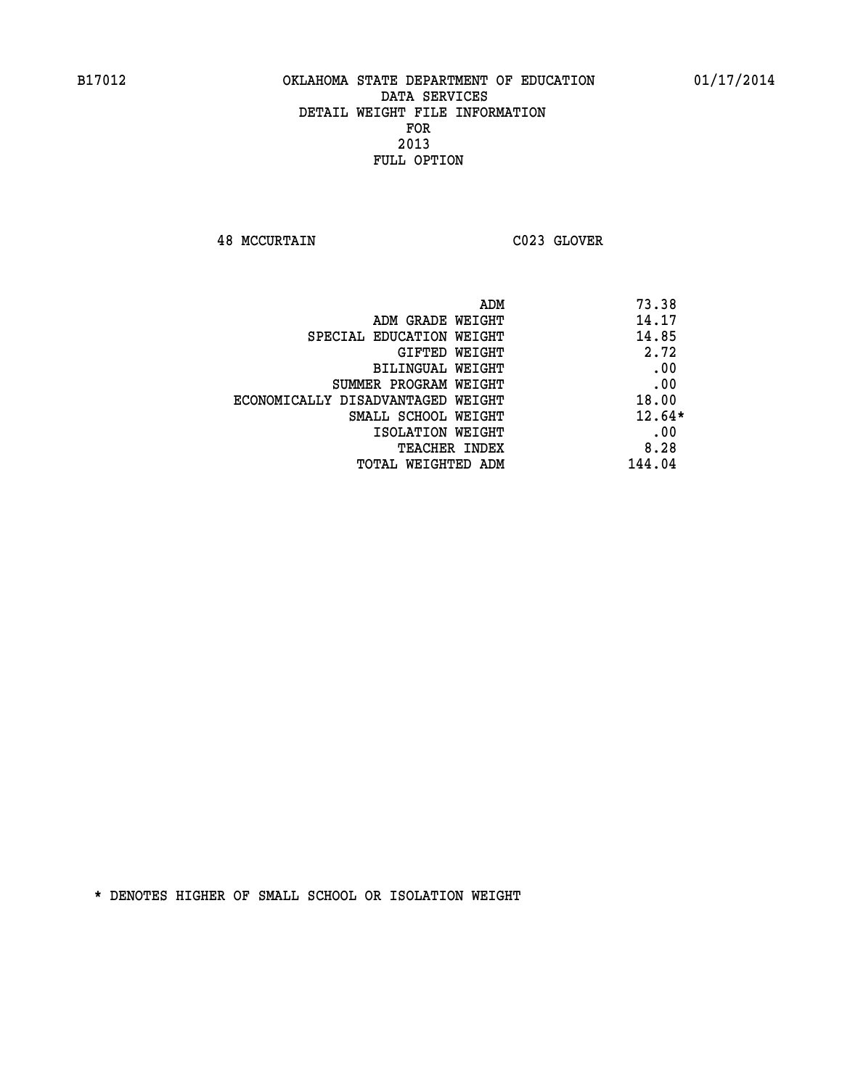**48 MCCURTAIN C023 GLOVER** 

|                                   | ADM | 73.38    |
|-----------------------------------|-----|----------|
| ADM GRADE WEIGHT                  |     | 14.17    |
| SPECIAL EDUCATION WEIGHT          |     | 14.85    |
| GIFTED WEIGHT                     |     | 2.72     |
| BILINGUAL WEIGHT                  |     | .00      |
| SUMMER PROGRAM WEIGHT             |     | .00      |
| ECONOMICALLY DISADVANTAGED WEIGHT |     | 18.00    |
| SMALL SCHOOL WEIGHT               |     | $12.64*$ |
| ISOLATION WEIGHT                  |     | .00      |
| TEACHER INDEX                     |     | 8.28     |
| TOTAL WEIGHTED ADM                |     | 144.04   |
|                                   |     |          |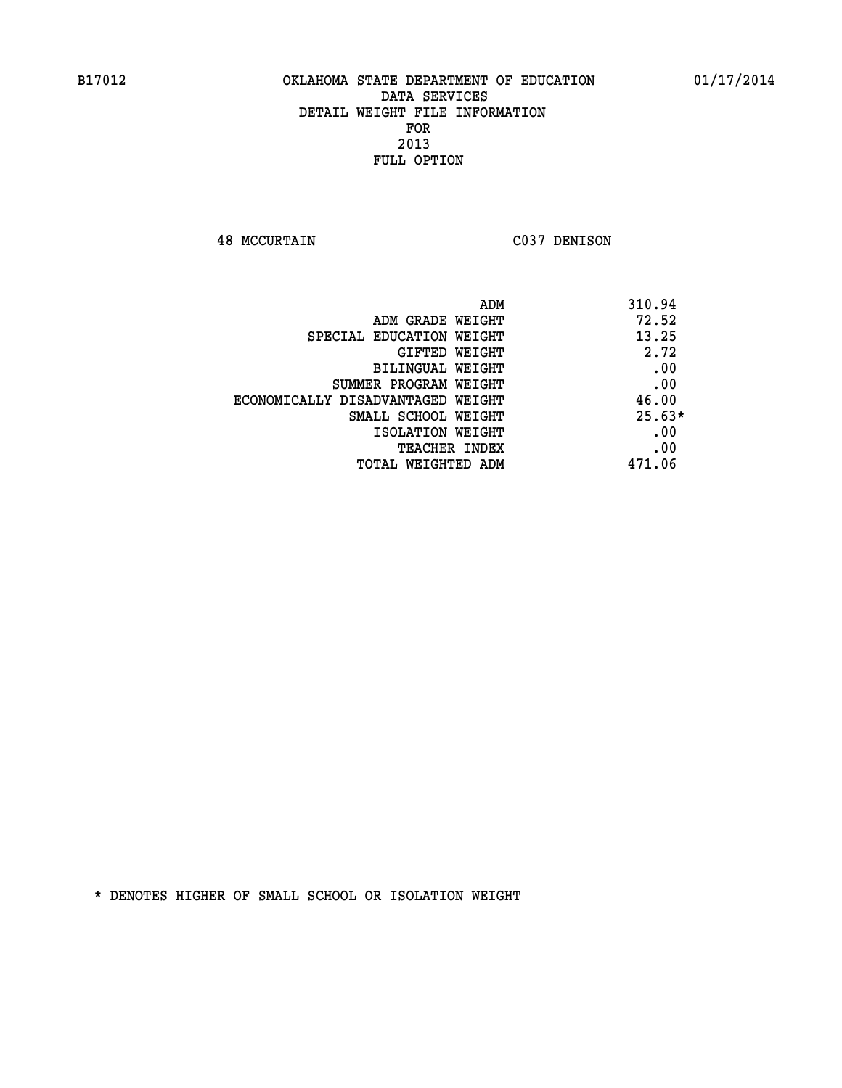**48 MCCURTAIN C037 DENISON** 

| ADM                               | 310.94   |
|-----------------------------------|----------|
| ADM GRADE WEIGHT                  | 72.52    |
| SPECIAL EDUCATION WEIGHT          | 13.25    |
| GIFTED WEIGHT                     | 2.72     |
| BILINGUAL WEIGHT                  | .00      |
| SUMMER PROGRAM WEIGHT             | .00      |
| ECONOMICALLY DISADVANTAGED WEIGHT | 46.00    |
| SMALL SCHOOL WEIGHT               | $25.63*$ |
| ISOLATION WEIGHT                  | .00      |
| <b>TEACHER INDEX</b>              | .00      |
| TOTAL WEIGHTED ADM                | 471.06   |
|                                   |          |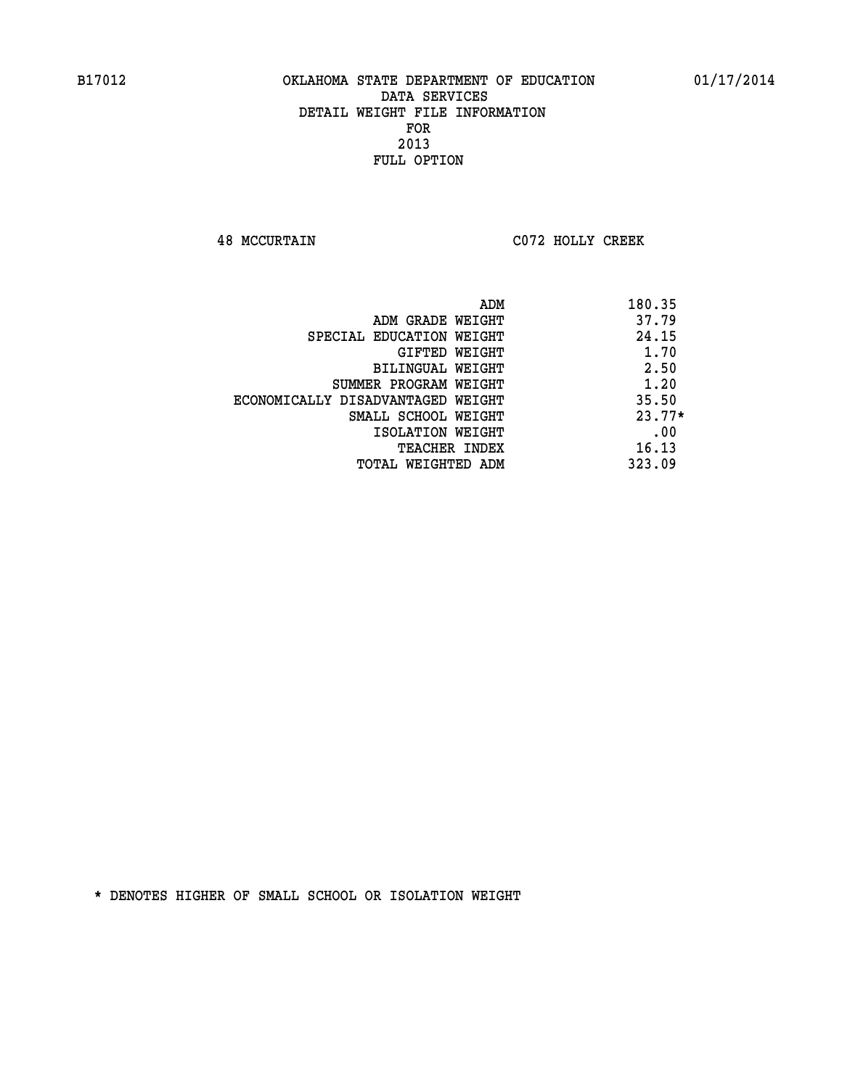**48 MCCURTAIN C072 HOLLY CREEK** 

| ADM                               | 180.35   |
|-----------------------------------|----------|
| ADM GRADE WEIGHT                  | 37.79    |
| SPECIAL EDUCATION WEIGHT          | 24.15    |
| GIFTED WEIGHT                     | 1.70     |
| BILINGUAL WEIGHT                  | 2.50     |
| SUMMER PROGRAM WEIGHT             | 1.20     |
| ECONOMICALLY DISADVANTAGED WEIGHT | 35.50    |
| SMALL SCHOOL WEIGHT               | $23.77*$ |
| ISOLATION WEIGHT                  | .00      |
| <b>TEACHER INDEX</b>              | 16.13    |
| TOTAL WEIGHTED ADM                | 323.09   |
|                                   |          |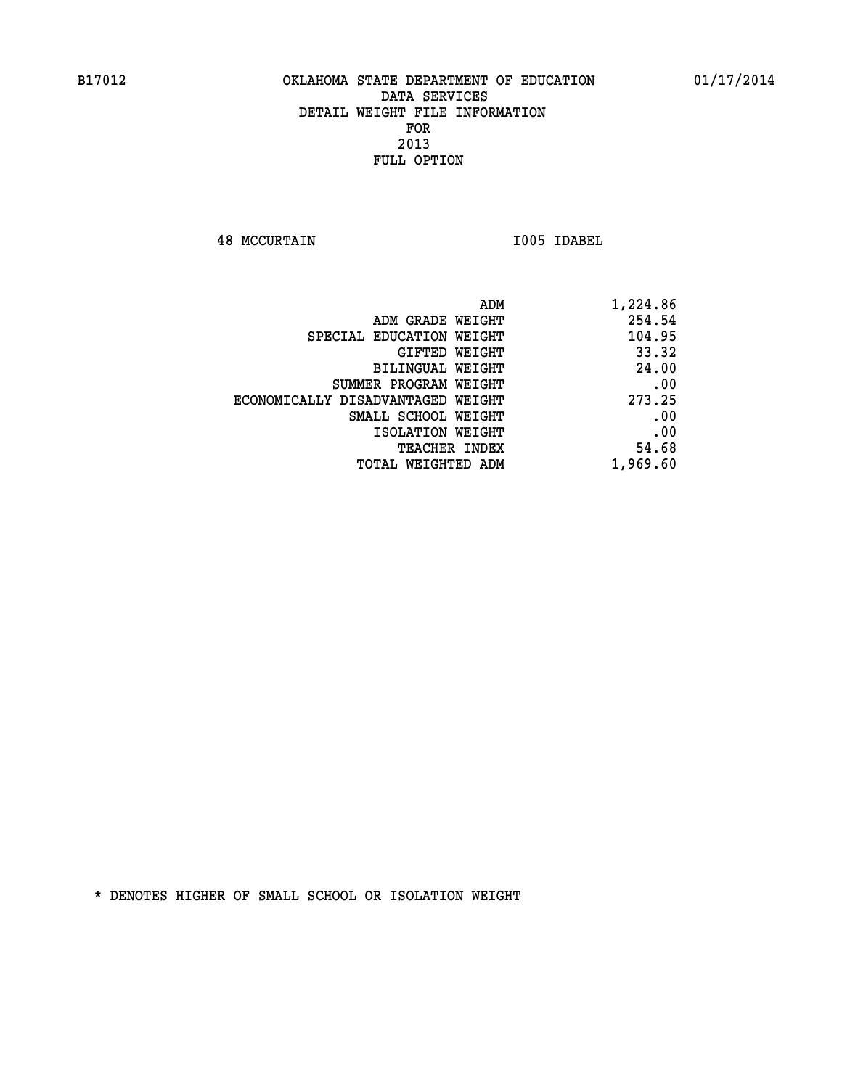**48 MCCURTAIN I005 IDABEL** 

| ADM                               | 1,224.86 |
|-----------------------------------|----------|
| ADM GRADE WEIGHT                  | 254.54   |
| SPECIAL EDUCATION WEIGHT          | 104.95   |
| GIFTED WEIGHT                     | 33.32    |
| BILINGUAL WEIGHT                  | 24.00    |
| SUMMER PROGRAM WEIGHT             | .00      |
| ECONOMICALLY DISADVANTAGED WEIGHT | 273.25   |
| SMALL SCHOOL WEIGHT               | .00      |
| ISOLATION WEIGHT                  | .00      |
| TEACHER INDEX                     | 54.68    |
| TOTAL WEIGHTED ADM                | 1,969.60 |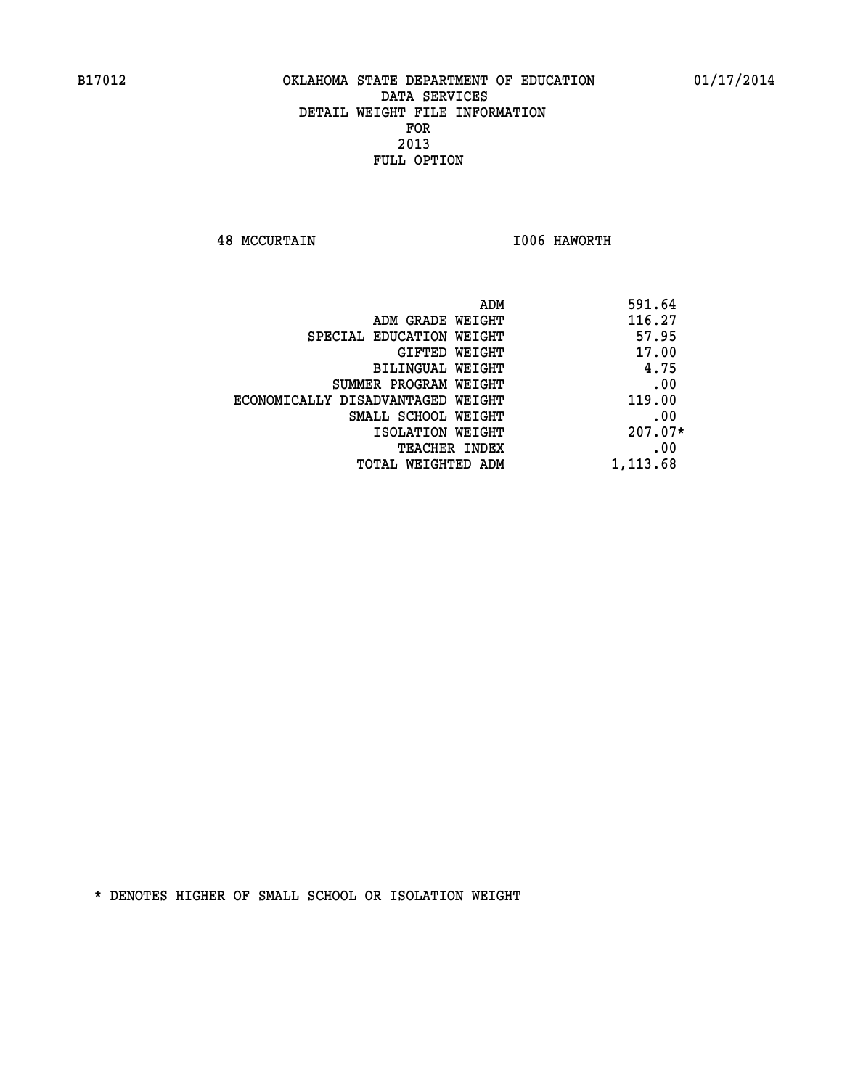**48 MCCURTAIN I006 HAWORTH** 

| 591.64    | ADM                               |
|-----------|-----------------------------------|
| 116.27    | ADM GRADE WEIGHT                  |
| 57.95     | SPECIAL EDUCATION WEIGHT          |
| 17.00     | <b>GIFTED WEIGHT</b>              |
| 4.75      | <b>BILINGUAL WEIGHT</b>           |
| .00       | SUMMER PROGRAM WEIGHT             |
| 119.00    | ECONOMICALLY DISADVANTAGED WEIGHT |
| .00       | SMALL SCHOOL WEIGHT               |
| $207.07*$ | ISOLATION WEIGHT                  |
| .00       | <b>TEACHER INDEX</b>              |
| 1,113.68  | TOTAL WEIGHTED ADM                |
|           |                                   |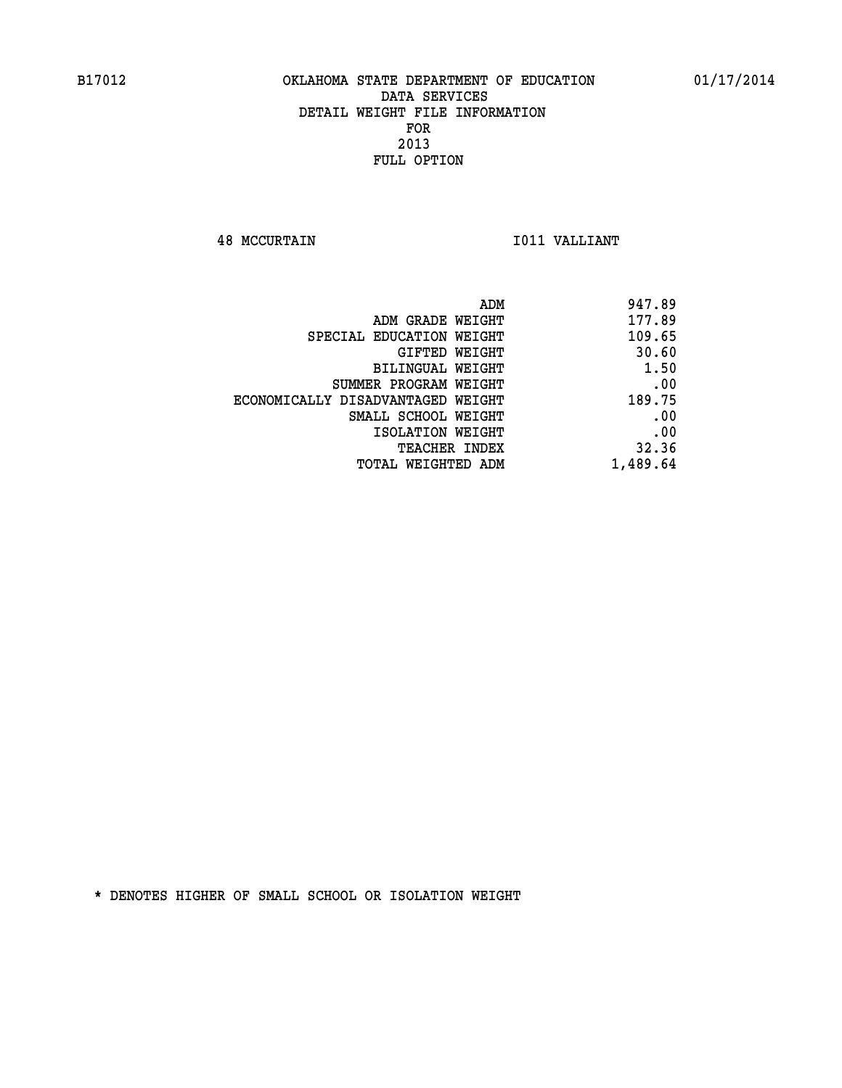**48 MCCURTAIN I011 VALLIANT** 

| ADM                               | 947.89   |
|-----------------------------------|----------|
| ADM GRADE WEIGHT                  | 177.89   |
| SPECIAL EDUCATION WEIGHT          | 109.65   |
| GIFTED WEIGHT                     | 30.60    |
| BILINGUAL WEIGHT                  | 1.50     |
| SUMMER PROGRAM WEIGHT             | .00      |
| ECONOMICALLY DISADVANTAGED WEIGHT | 189.75   |
| SMALL SCHOOL WEIGHT               | .00      |
| ISOLATION WEIGHT                  | .00      |
| TEACHER INDEX                     | 32.36    |
| TOTAL WEIGHTED ADM                | 1,489.64 |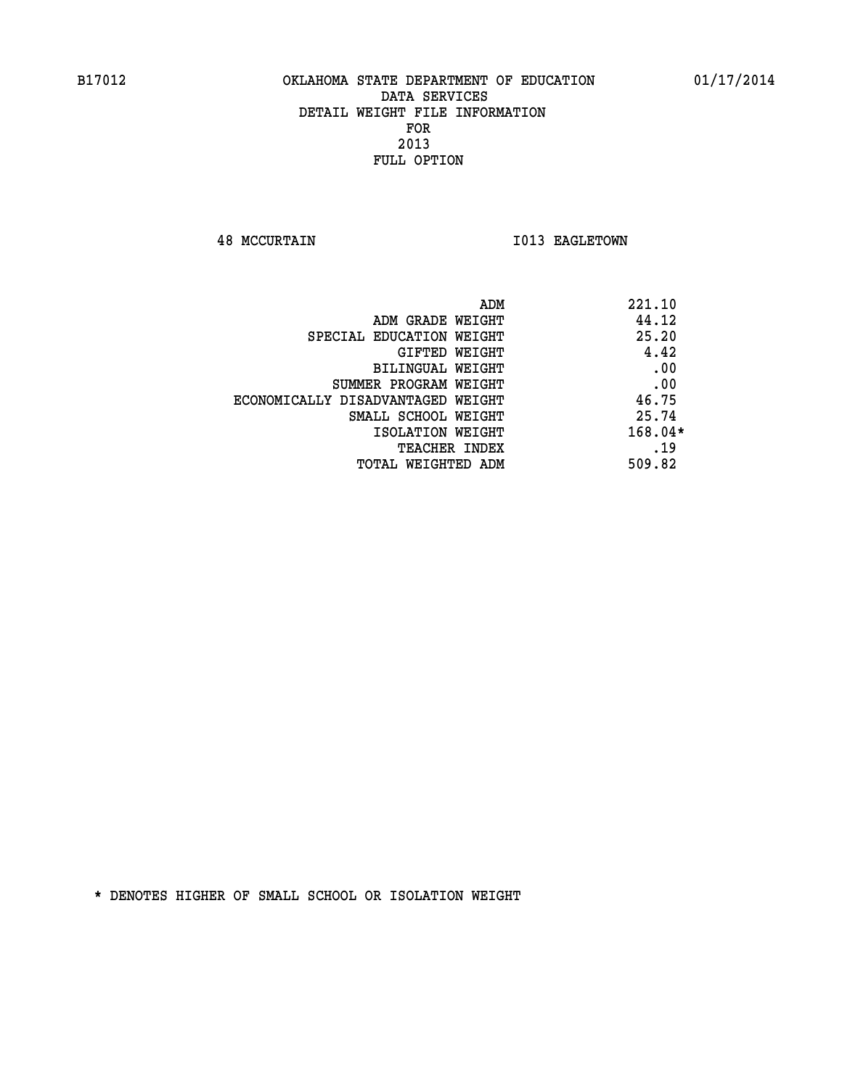**48 MCCURTAIN 1013 EAGLETOWN** 

|                                   | ADM<br>221.10 |
|-----------------------------------|---------------|
| ADM GRADE WEIGHT                  | 44.12         |
| SPECIAL EDUCATION WEIGHT          | 25.20         |
| <b>GIFTED WEIGHT</b>              | 4.42          |
| BILINGUAL WEIGHT                  | .00           |
| SUMMER PROGRAM WEIGHT             | .00           |
| ECONOMICALLY DISADVANTAGED WEIGHT | 46.75         |
| SMALL SCHOOL WEIGHT               | 25.74         |
| ISOLATION WEIGHT                  | $168.04*$     |
| TEACHER INDEX                     | .19           |
| TOTAL WEIGHTED ADM                | 509.82        |
|                                   |               |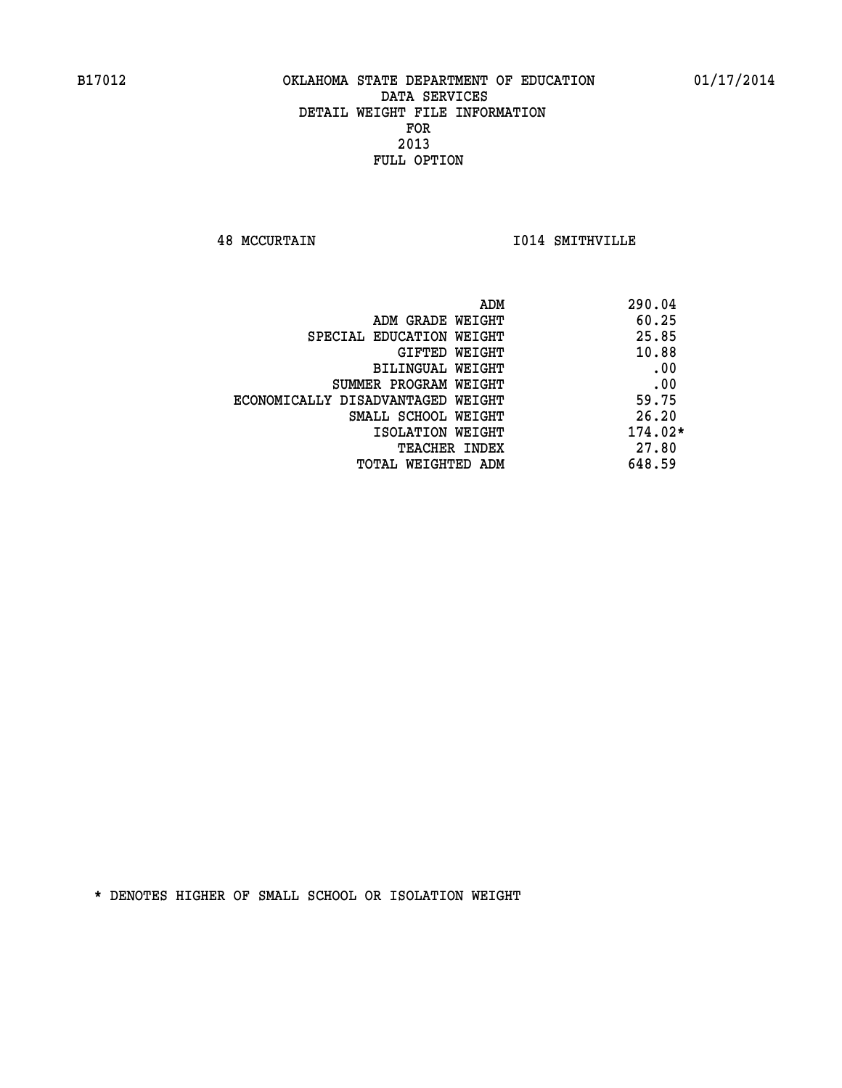**48 MCCURTAIN I014 SMITHVILLE** 

|                                   | ADM | 290.04    |
|-----------------------------------|-----|-----------|
| ADM GRADE WEIGHT                  |     | 60.25     |
| SPECIAL EDUCATION WEIGHT          |     | 25.85     |
| GIFTED WEIGHT                     |     | 10.88     |
| BILINGUAL WEIGHT                  |     | .00       |
| SUMMER PROGRAM WEIGHT             |     | .00       |
| ECONOMICALLY DISADVANTAGED WEIGHT |     | 59.75     |
| SMALL SCHOOL WEIGHT               |     | 26.20     |
| ISOLATION WEIGHT                  |     | $174.02*$ |
| TEACHER INDEX                     |     | 27.80     |
| TOTAL WEIGHTED ADM                |     | 648.59    |
|                                   |     |           |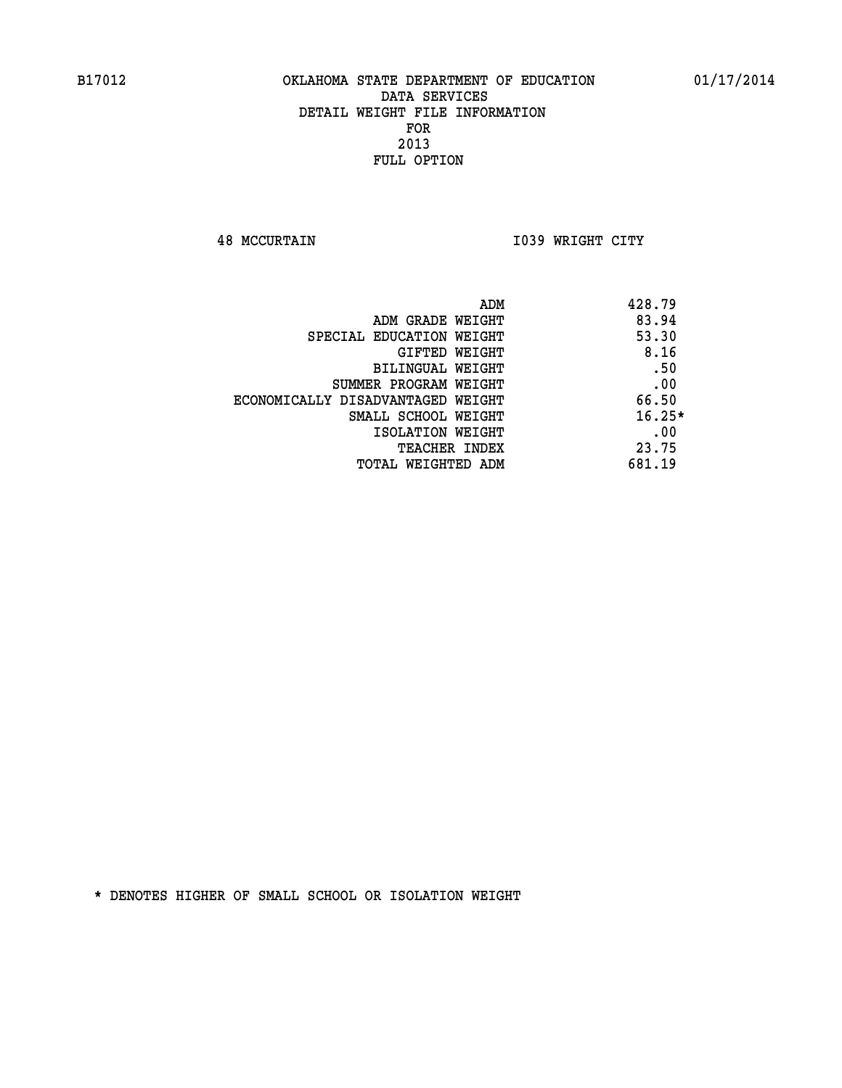**48 MCCURTAIN I039 WRIGHT CITY** 

| ADM<br>428.79                              |  |
|--------------------------------------------|--|
| 83.94<br>ADM GRADE WEIGHT                  |  |
| 53.30<br>SPECIAL EDUCATION WEIGHT          |  |
| 8.16<br>GIFTED WEIGHT                      |  |
| .50<br>BILINGUAL WEIGHT                    |  |
| .00<br>SUMMER PROGRAM WEIGHT               |  |
| 66.50<br>ECONOMICALLY DISADVANTAGED WEIGHT |  |
| $16.25*$<br>SMALL SCHOOL WEIGHT            |  |
| .00<br>ISOLATION WEIGHT                    |  |
| 23.75<br><b>TEACHER INDEX</b>              |  |
| 681.19<br>TOTAL WEIGHTED ADM               |  |
|                                            |  |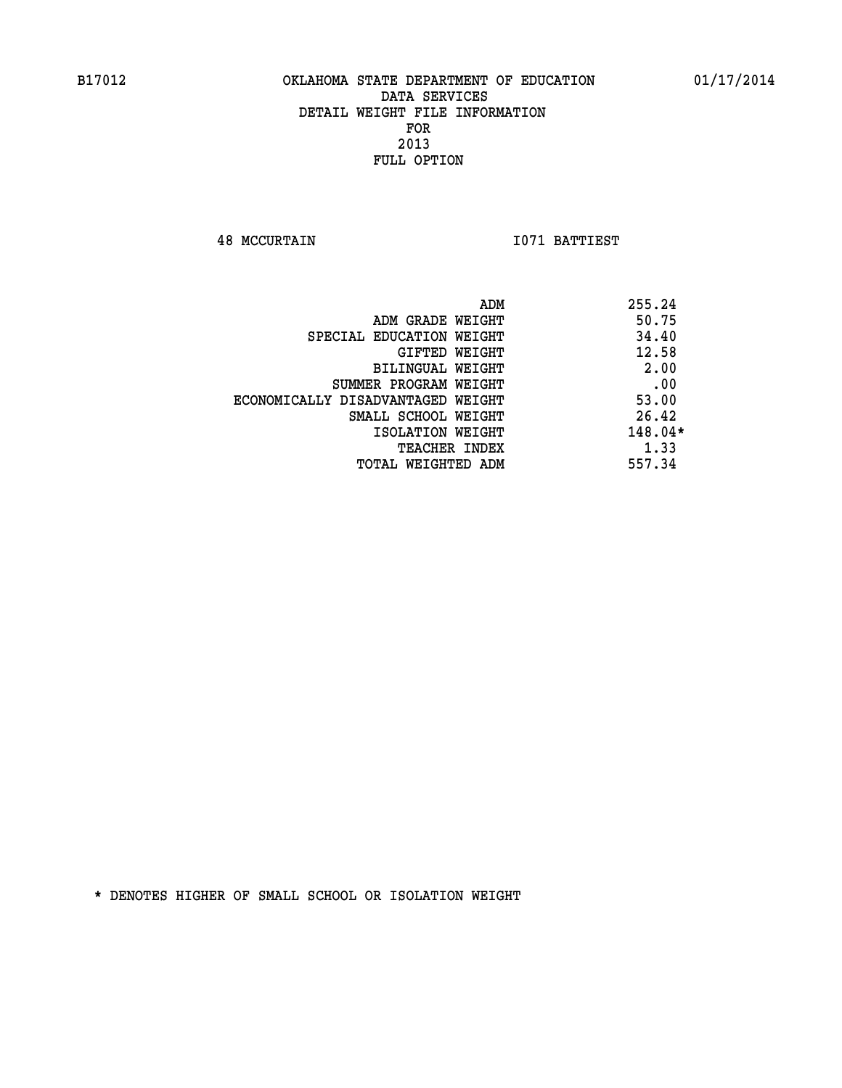**48 MCCURTAIN I071 BATTIEST** 

|                                   | 255.24<br>ADM |
|-----------------------------------|---------------|
| ADM GRADE WEIGHT                  | 50.75         |
| SPECIAL EDUCATION WEIGHT          | 34.40         |
| <b>GIFTED WEIGHT</b>              | 12.58         |
| BILINGUAL WEIGHT                  | 2.00          |
| SUMMER PROGRAM WEIGHT             | .00           |
| ECONOMICALLY DISADVANTAGED WEIGHT | 53.00         |
| SMALL SCHOOL WEIGHT               | 26.42         |
| ISOLATION WEIGHT                  | $148.04*$     |
| <b>TEACHER INDEX</b>              | 1.33          |
| TOTAL WEIGHTED ADM                | 557.34        |
|                                   |               |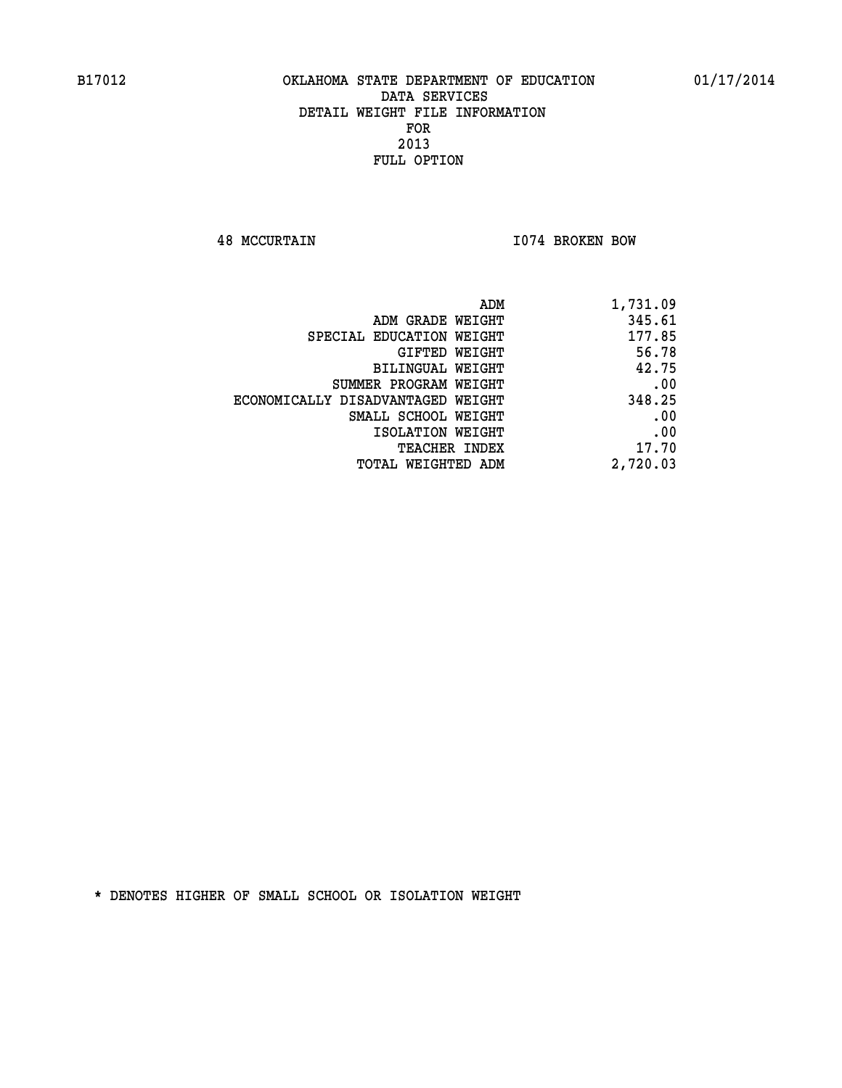**48 MCCURTAIN I074 BROKEN BOW** 

| 1,731.09 |
|----------|
| 345.61   |
| 177.85   |
| 56.78    |
| 42.75    |
| .00      |
| 348.25   |
| .00      |
| .00      |
| 17.70    |
| 2,720.03 |
|          |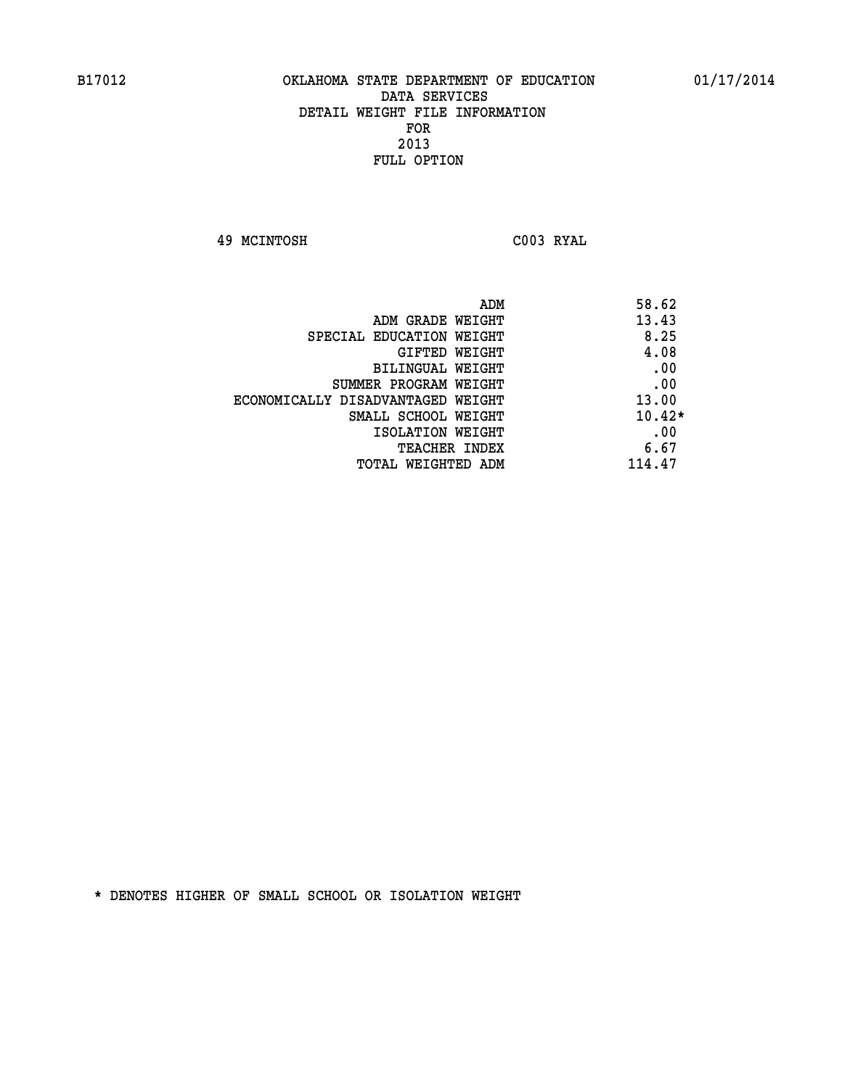**49 MCINTOSH C003 RYAL** 

| ADM<br>58.62                               |  |
|--------------------------------------------|--|
| 13.43<br>ADM GRADE WEIGHT                  |  |
| 8.25<br>SPECIAL EDUCATION WEIGHT           |  |
| 4.08<br>GIFTED WEIGHT                      |  |
| .00<br><b>BILINGUAL WEIGHT</b>             |  |
| .00<br>SUMMER PROGRAM WEIGHT               |  |
| 13.00<br>ECONOMICALLY DISADVANTAGED WEIGHT |  |
| $10.42*$<br>SMALL SCHOOL WEIGHT            |  |
| .00<br>ISOLATION WEIGHT                    |  |
| 6.67<br><b>TEACHER INDEX</b>               |  |
| 114.47<br>TOTAL WEIGHTED ADM               |  |
|                                            |  |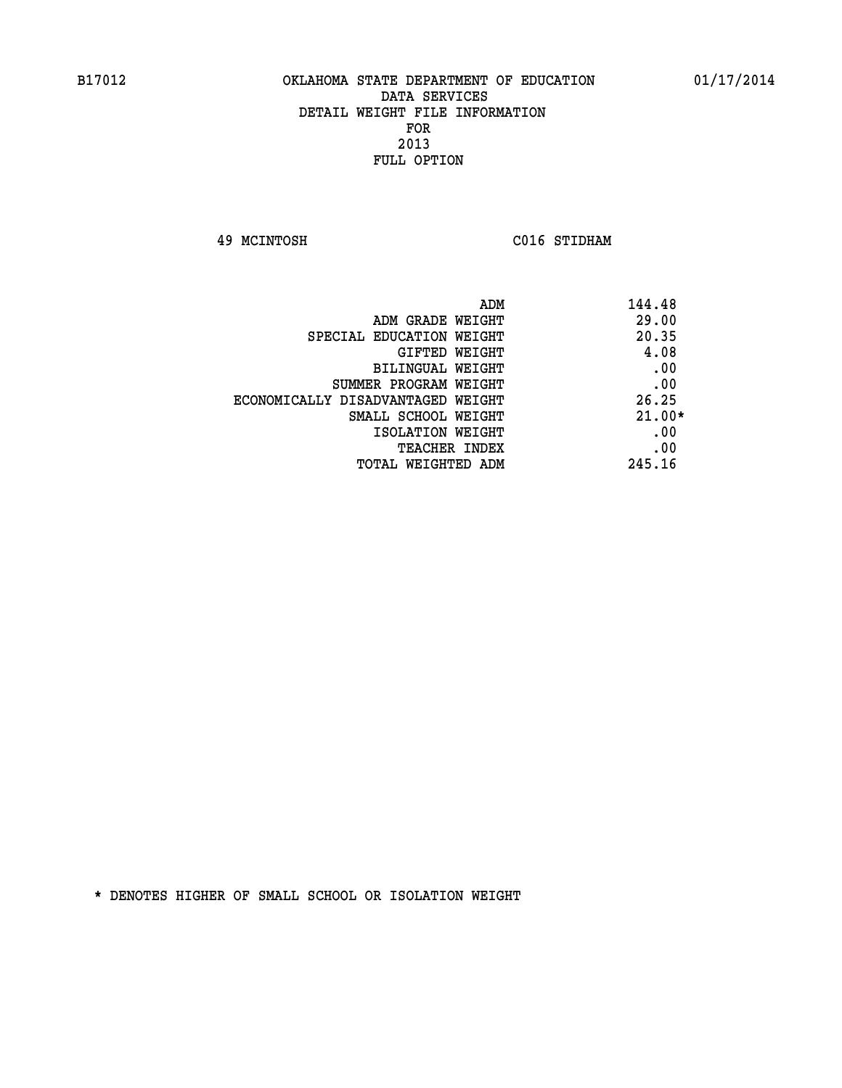**49 MCINTOSH C016 STIDHAM** 

| ADM                               | 144.48   |
|-----------------------------------|----------|
| ADM GRADE WEIGHT                  | 29.00    |
| SPECIAL EDUCATION WEIGHT          | 20.35    |
| GIFTED WEIGHT                     | 4.08     |
| BILINGUAL WEIGHT                  | .00      |
| SUMMER PROGRAM WEIGHT             | .00      |
| ECONOMICALLY DISADVANTAGED WEIGHT | 26.25    |
| SMALL SCHOOL WEIGHT               | $21.00*$ |
| ISOLATION WEIGHT                  | .00      |
| <b>TEACHER INDEX</b>              | .00      |
| TOTAL WEIGHTED ADM                | 245.16   |
|                                   |          |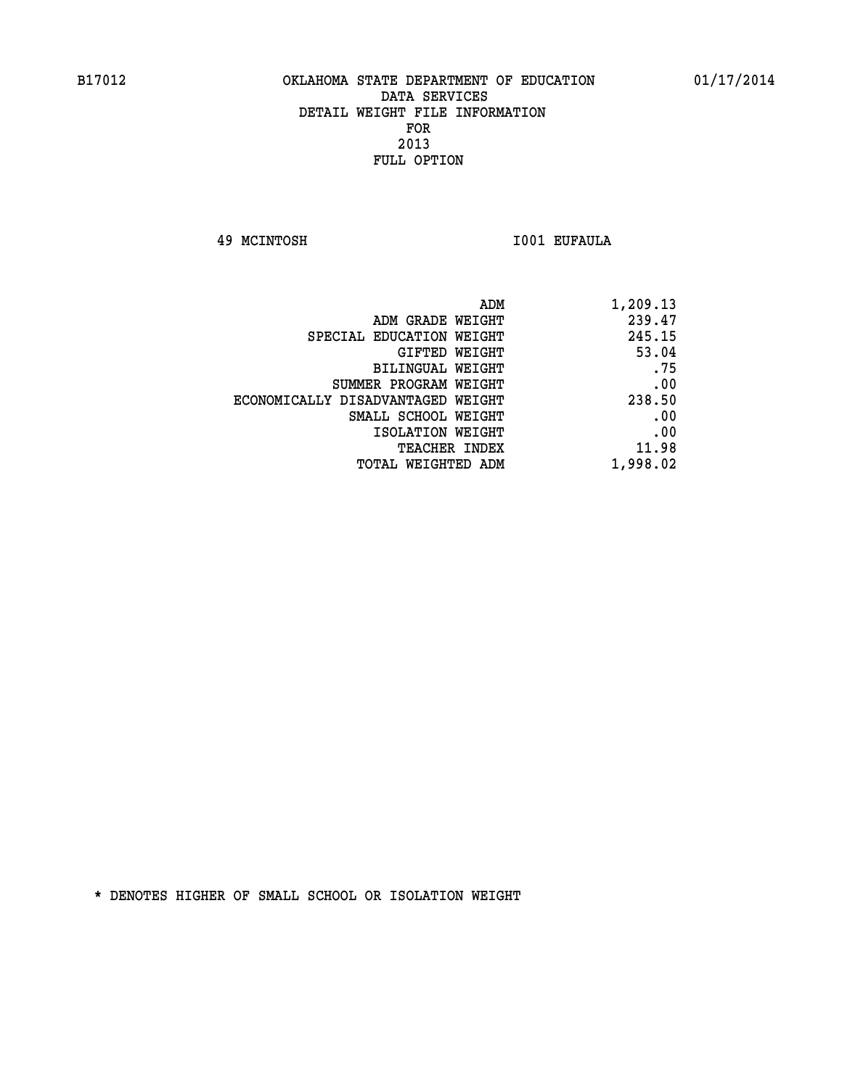**49 MCINTOSH I001 EUFAULA** 

| ADM                               | 1,209.13 |
|-----------------------------------|----------|
| ADM GRADE WEIGHT                  | 239.47   |
| SPECIAL EDUCATION WEIGHT          | 245.15   |
| GIFTED WEIGHT                     | 53.04    |
| <b>BILINGUAL WEIGHT</b>           | .75      |
| SUMMER PROGRAM WEIGHT             | .00      |
| ECONOMICALLY DISADVANTAGED WEIGHT | 238.50   |
| SMALL SCHOOL WEIGHT               | .00      |
| ISOLATION WEIGHT                  | .00      |
| <b>TEACHER INDEX</b>              | 11.98    |
| TOTAL WEIGHTED ADM                | 1,998.02 |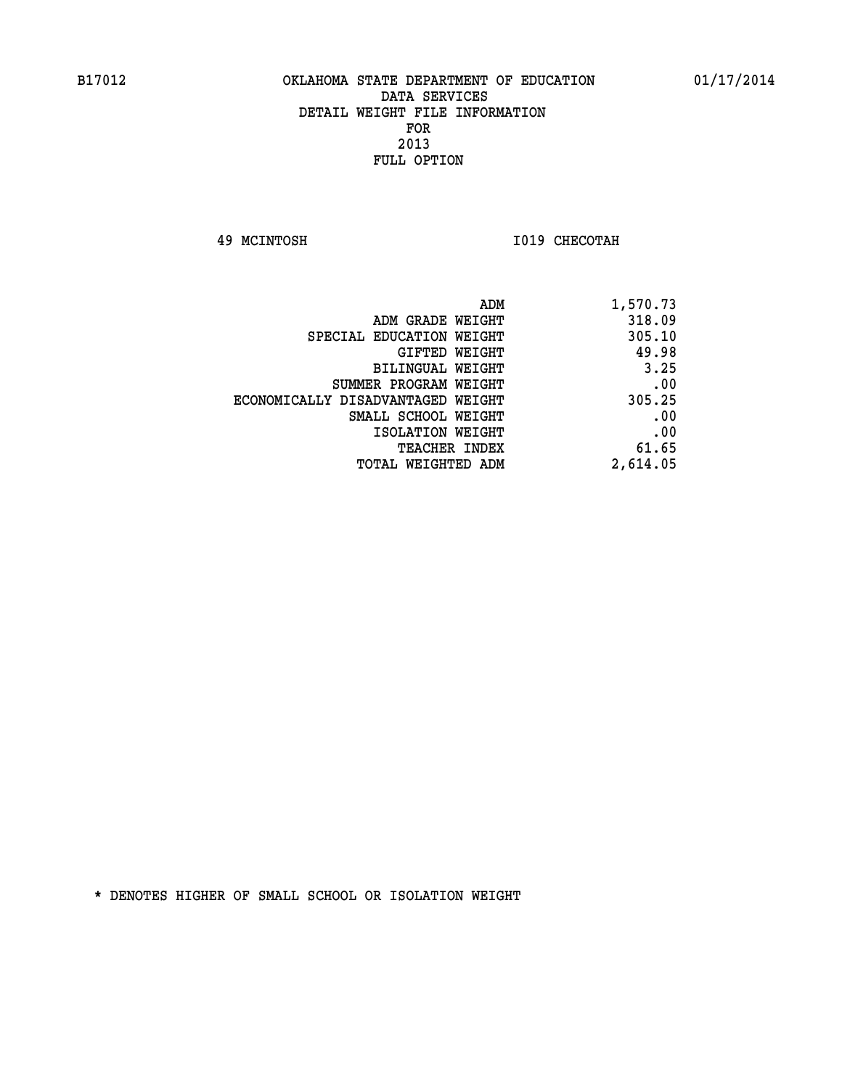**49 MCINTOSH I019 CHECOTAH** 

| 1,570.73 |
|----------|
| 318.09   |
| 305.10   |
| 49.98    |
| 3.25     |
| .00      |
| 305.25   |
| .00      |
| .00      |
| 61.65    |
| 2,614.05 |
|          |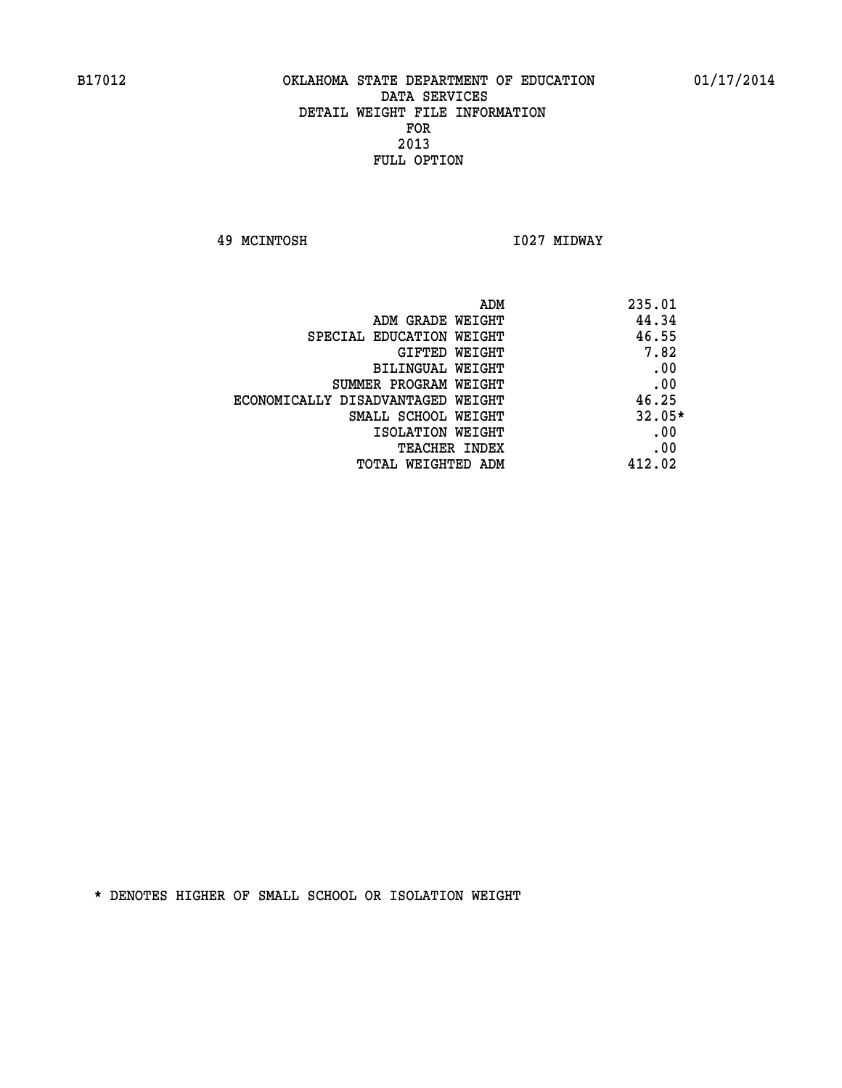**49 MCINTOSH I027 MIDWAY** 

| ADM                               | 235.01   |
|-----------------------------------|----------|
| ADM GRADE WEIGHT                  | 44.34    |
| SPECIAL EDUCATION WEIGHT          | 46.55    |
| GIFTED WEIGHT                     | 7.82     |
| BILINGUAL WEIGHT                  | .00      |
| SUMMER PROGRAM WEIGHT             | .00      |
| ECONOMICALLY DISADVANTAGED WEIGHT | 46.25    |
| SMALL SCHOOL WEIGHT               | $32.05*$ |
| ISOLATION WEIGHT                  | .00      |
| <b>TEACHER INDEX</b>              | .00      |
| TOTAL WEIGHTED ADM                | 412.02   |
|                                   |          |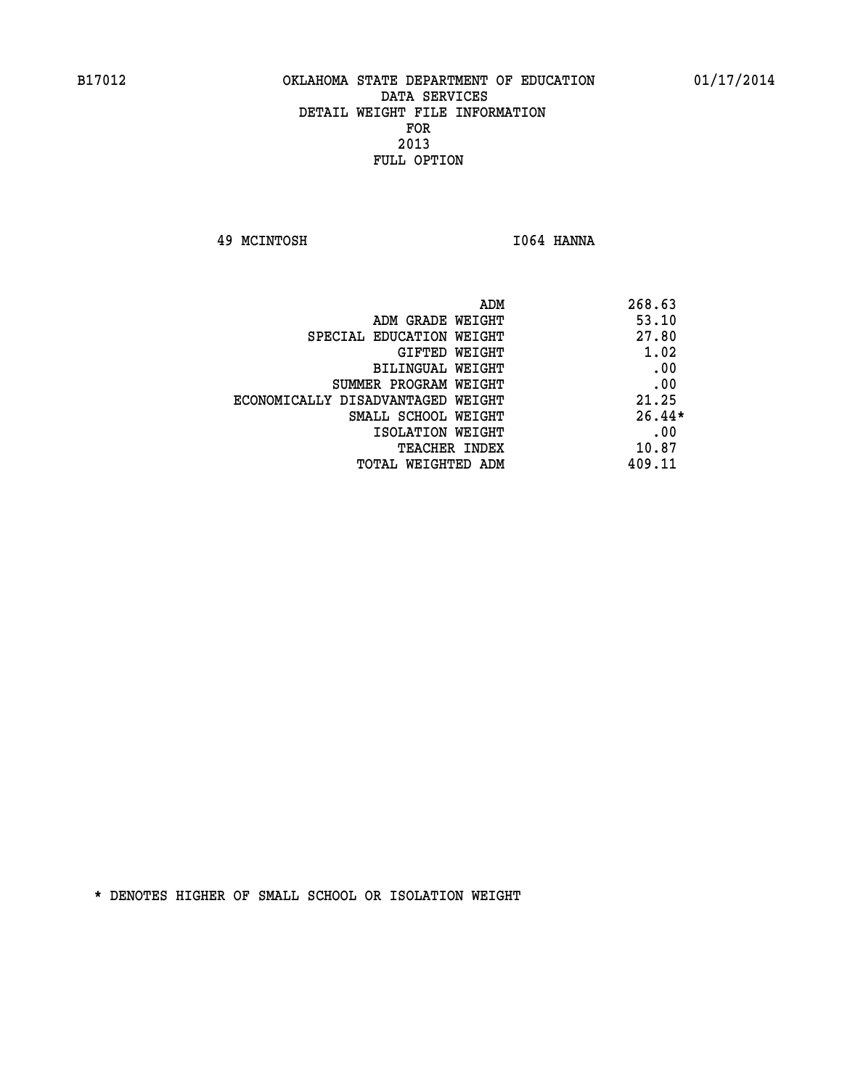**49 MCINTOSH I064 HANNA** 

| ADM                               | 268.63   |
|-----------------------------------|----------|
| ADM GRADE WEIGHT                  | 53.10    |
| SPECIAL EDUCATION WEIGHT          | 27.80    |
| GIFTED WEIGHT                     | 1.02     |
| BILINGUAL WEIGHT                  | .00      |
| SUMMER PROGRAM WEIGHT             | .00      |
| ECONOMICALLY DISADVANTAGED WEIGHT | 21.25    |
| SMALL SCHOOL WEIGHT               | $26.44*$ |
| ISOLATION WEIGHT                  | .00      |
| <b>TEACHER INDEX</b>              | 10.87    |
| TOTAL WEIGHTED ADM                | 409.11   |
|                                   |          |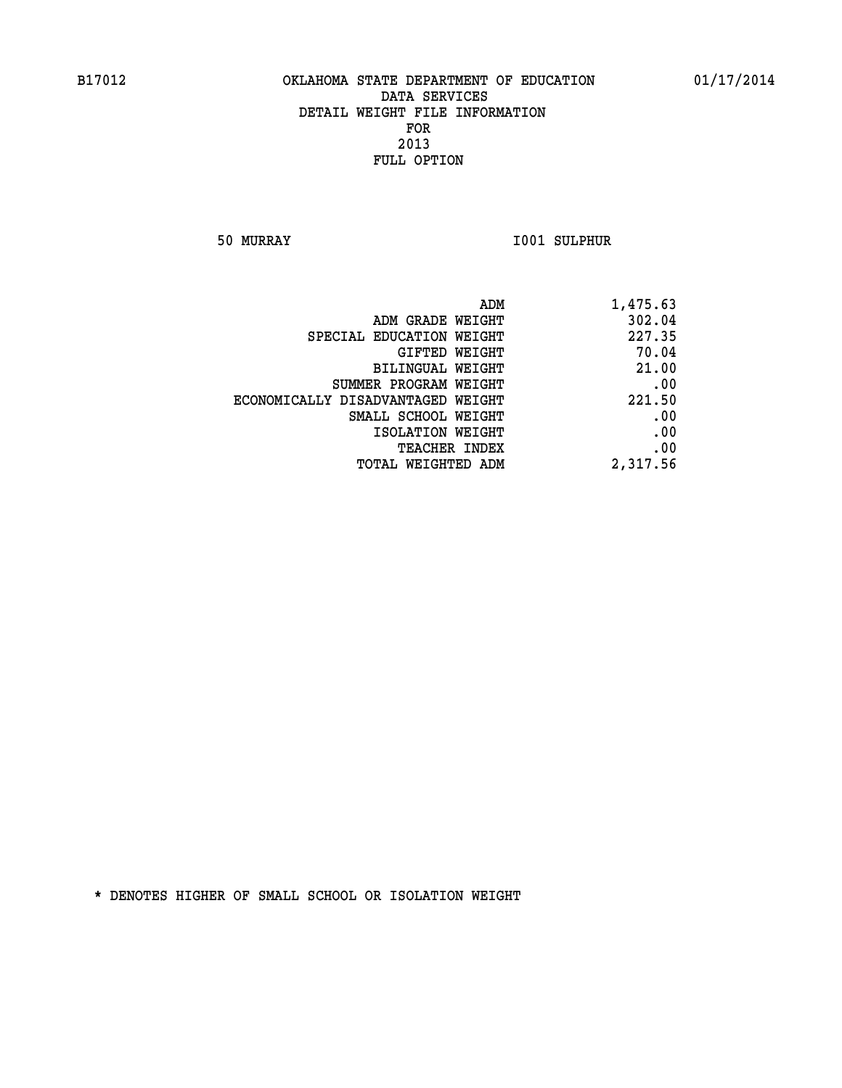**50 MURRAY I001 SULPHUR** 

| 1,475.63 | ADM                               |
|----------|-----------------------------------|
| 302.04   | ADM GRADE WEIGHT                  |
| 227.35   | SPECIAL EDUCATION WEIGHT          |
| 70.04    | GIFTED WEIGHT                     |
| 21.00    | BILINGUAL WEIGHT                  |
| .00      | SUMMER PROGRAM WEIGHT             |
| 221.50   | ECONOMICALLY DISADVANTAGED WEIGHT |
| .00      | SMALL SCHOOL WEIGHT               |
| .00      | ISOLATION WEIGHT                  |
| .00      | <b>TEACHER INDEX</b>              |
| 2,317.56 | <b>TOTAL WEIGHTED ADM</b>         |
|          |                                   |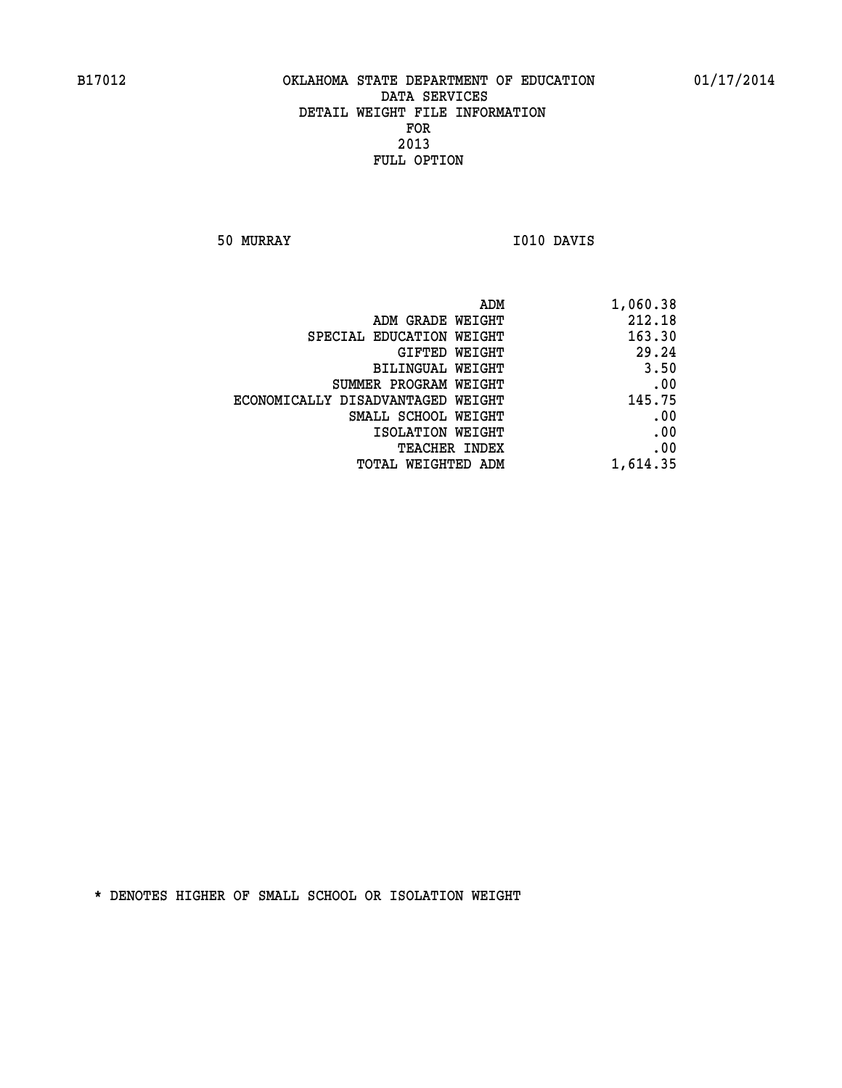**50 MURRAY I010 DAVIS** 

|                                   | ADM<br>1,060.38 |
|-----------------------------------|-----------------|
| ADM GRADE WEIGHT                  | 212.18          |
| SPECIAL EDUCATION WEIGHT          | 163.30          |
| GIFTED WEIGHT                     | 29.24           |
| <b>BILINGUAL WEIGHT</b>           | 3.50            |
| SUMMER PROGRAM WEIGHT             | .00             |
| ECONOMICALLY DISADVANTAGED WEIGHT | 145.75          |
| SMALL SCHOOL WEIGHT               | .00             |
| ISOLATION WEIGHT                  | .00             |
| TEACHER INDEX                     | .00             |
| TOTAL WEIGHTED ADM                | 1,614.35        |
|                                   |                 |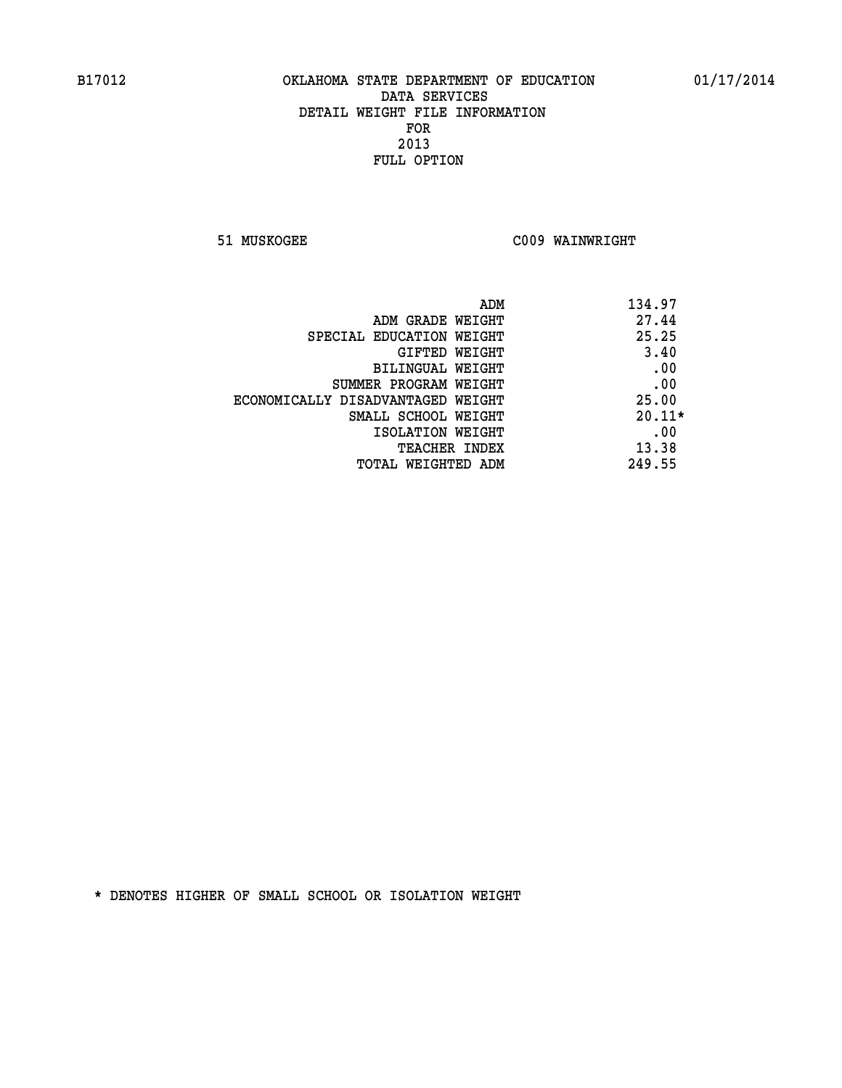**51 MUSKOGEE C009 WAINWRIGHT** 

| 134.97<br>ADM                              |
|--------------------------------------------|
| 27.44<br>ADM GRADE WEIGHT                  |
| 25.25<br>SPECIAL EDUCATION WEIGHT          |
| 3.40<br>GIFTED WEIGHT                      |
| .00<br>BILINGUAL WEIGHT                    |
| .00<br>SUMMER PROGRAM WEIGHT               |
| 25.00<br>ECONOMICALLY DISADVANTAGED WEIGHT |
| $20.11*$<br>SMALL SCHOOL WEIGHT            |
| .00<br>ISOLATION WEIGHT                    |
| 13.38<br><b>TEACHER INDEX</b>              |
| 249.55<br>TOTAL WEIGHTED ADM               |
|                                            |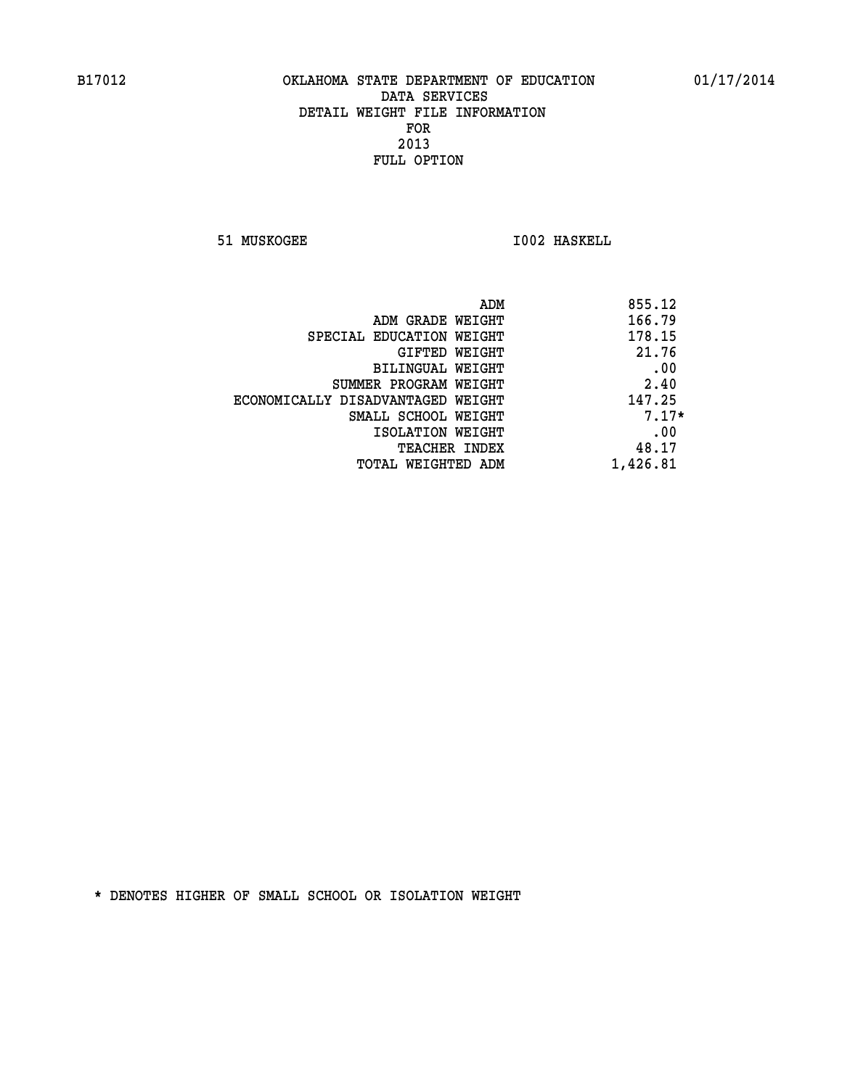**51 MUSKOGEE 1002 HASKELL** 

| ADM                               | 855.12   |
|-----------------------------------|----------|
| ADM GRADE WEIGHT                  | 166.79   |
| SPECIAL EDUCATION WEIGHT          | 178.15   |
| GIFTED WEIGHT                     | 21.76    |
| BILINGUAL WEIGHT                  | .00      |
| SUMMER PROGRAM WEIGHT             | 2.40     |
| ECONOMICALLY DISADVANTAGED WEIGHT | 147.25   |
| SMALL SCHOOL WEIGHT               | $7.17*$  |
| ISOLATION WEIGHT                  | .00      |
| TEACHER INDEX                     | 48.17    |
| TOTAL WEIGHTED ADM                | 1,426.81 |
|                                   |          |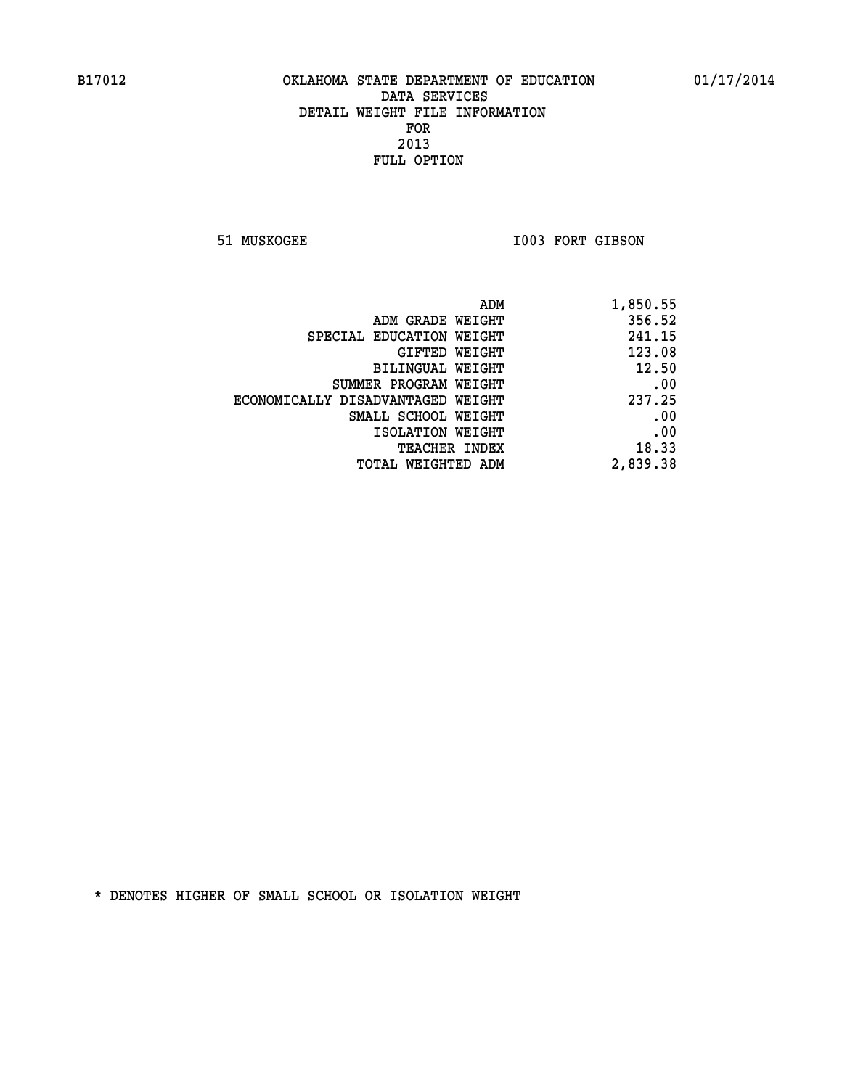51 MUSKOGEE 1003 FORT GIBSON

| 1,850.55 |
|----------|
| 356.52   |
| 241.15   |
| 123.08   |
| 12.50    |
| .00      |
| 237.25   |
| .00      |
| .00      |
| 18.33    |
| 2,839.38 |
|          |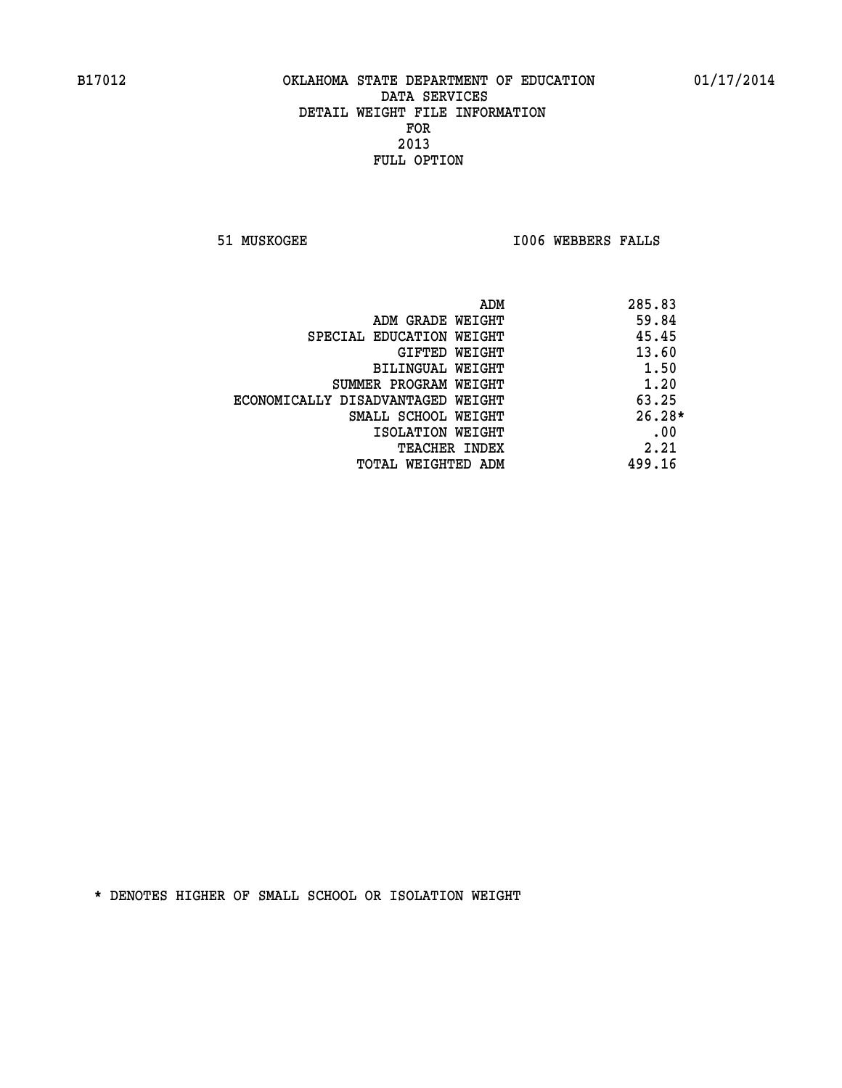**51 MUSKOGEE I006 WEBBERS FALLS** 

|                                   | 285.83<br>ADM |
|-----------------------------------|---------------|
| ADM GRADE WEIGHT                  | 59.84         |
| SPECIAL EDUCATION WEIGHT          | 45.45         |
| GIFTED WEIGHT                     | 13.60         |
| BILINGUAL WEIGHT                  | 1.50          |
| SUMMER PROGRAM WEIGHT             | 1.20          |
| ECONOMICALLY DISADVANTAGED WEIGHT | 63.25         |
| SMALL SCHOOL WEIGHT               | $26.28*$      |
| ISOLATION WEIGHT                  | .00           |
| <b>TEACHER INDEX</b>              | 2.21          |
| TOTAL WEIGHTED ADM                | 499.16        |
|                                   |               |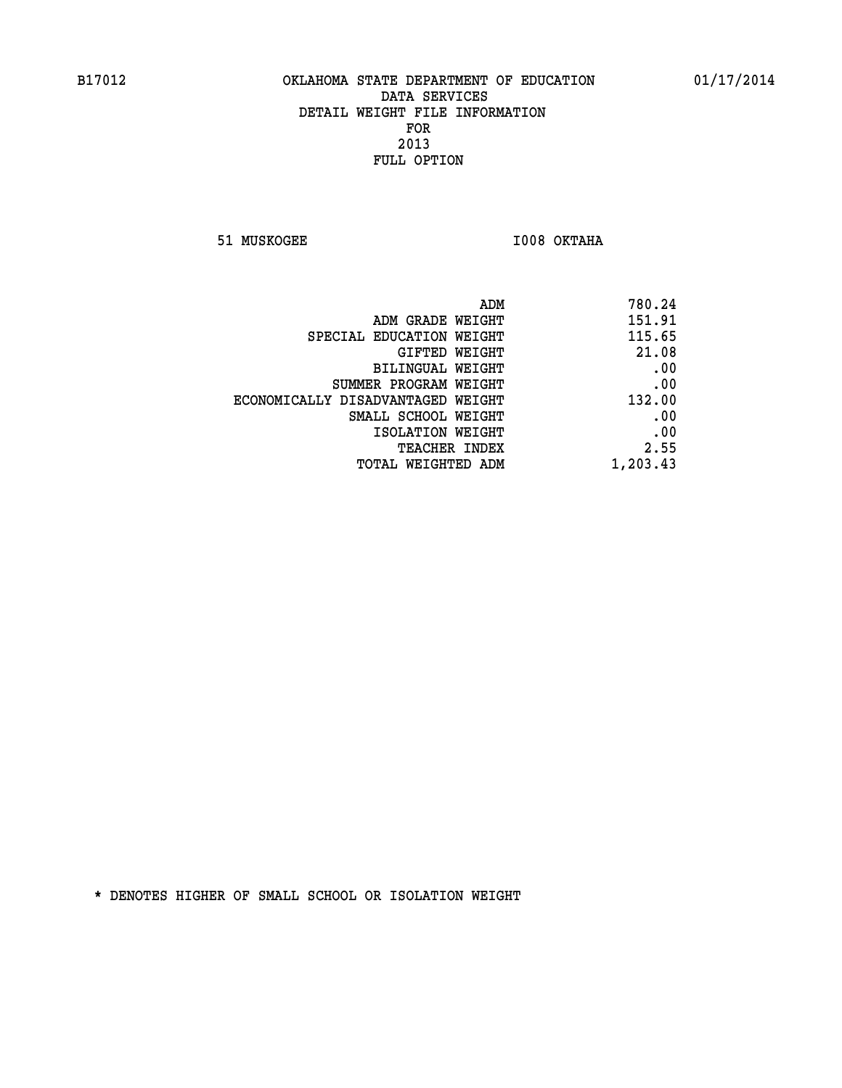**51 MUSKOGEE I008 OKTAHA** 

|                                   | ADM<br>780.24 |
|-----------------------------------|---------------|
| ADM GRADE WEIGHT                  | 151.91        |
| SPECIAL EDUCATION WEIGHT          | 115.65        |
| <b>GIFTED WEIGHT</b>              | 21.08         |
| <b>BILINGUAL WEIGHT</b>           | .00           |
| SUMMER PROGRAM WEIGHT             | .00           |
| ECONOMICALLY DISADVANTAGED WEIGHT | 132.00        |
| SMALL SCHOOL WEIGHT               | .00           |
| ISOLATION WEIGHT                  | .00           |
| TEACHER INDEX                     | 2.55          |
| TOTAL WEIGHTED ADM                | 1,203.43      |
|                                   |               |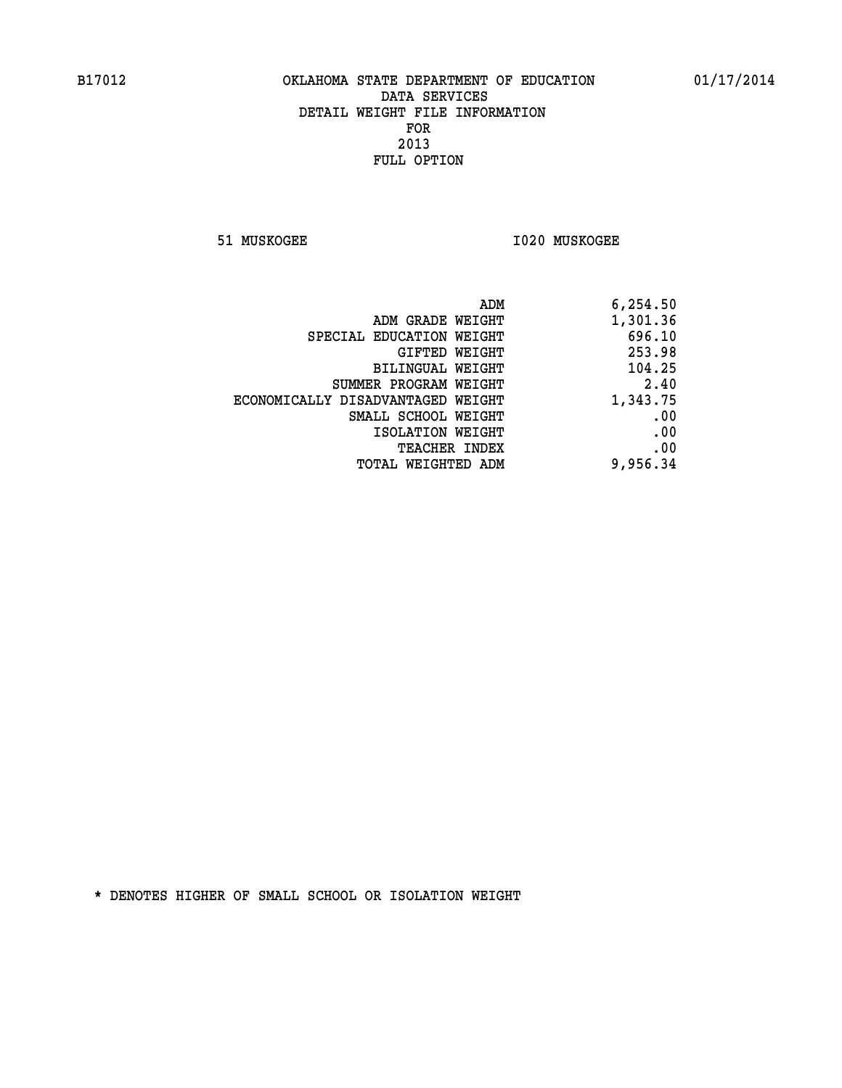**51 MUSKOGEE I020 MUSKOGEE** 

| ADM                               | 6,254.50 |
|-----------------------------------|----------|
| ADM GRADE WEIGHT                  | 1,301.36 |
| SPECIAL EDUCATION WEIGHT          | 696.10   |
| GIFTED WEIGHT                     | 253.98   |
| <b>BILINGUAL WEIGHT</b>           | 104.25   |
| SUMMER PROGRAM WEIGHT             | 2.40     |
| ECONOMICALLY DISADVANTAGED WEIGHT | 1,343.75 |
| SMALL SCHOOL WEIGHT               | .00      |
| ISOLATION WEIGHT                  | .00      |
| TEACHER INDEX                     | .00      |
| TOTAL WEIGHTED ADM                | 9,956.34 |
|                                   |          |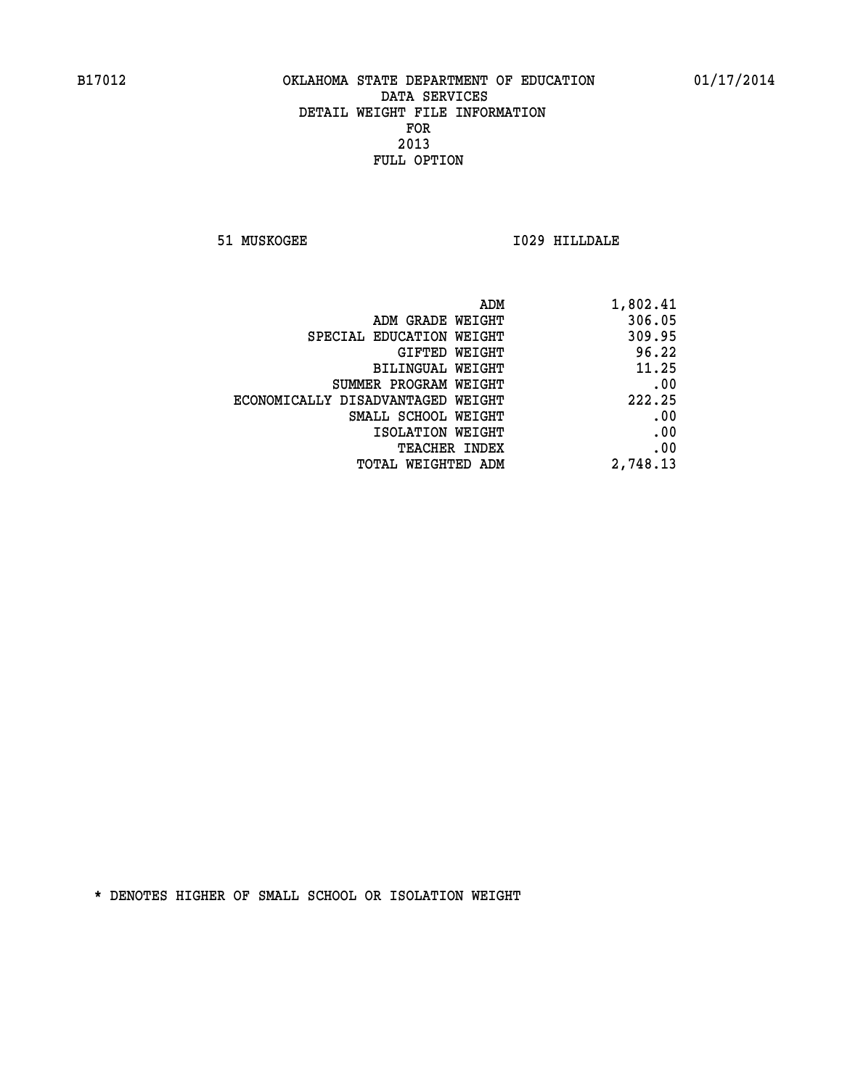**51 MUSKOGEE I029 HILLDALE** 

| ADM                               | 1,802.41 |
|-----------------------------------|----------|
| ADM GRADE WEIGHT                  | 306.05   |
| SPECIAL EDUCATION WEIGHT          | 309.95   |
| GIFTED WEIGHT                     | 96.22    |
| BILINGUAL WEIGHT                  | 11.25    |
| SUMMER PROGRAM WEIGHT             | .00      |
| ECONOMICALLY DISADVANTAGED WEIGHT | 222.25   |
| SMALL SCHOOL WEIGHT               | .00      |
| ISOLATION WEIGHT                  | .00      |
| TEACHER INDEX                     | .00      |
| TOTAL WEIGHTED ADM                | 2,748.13 |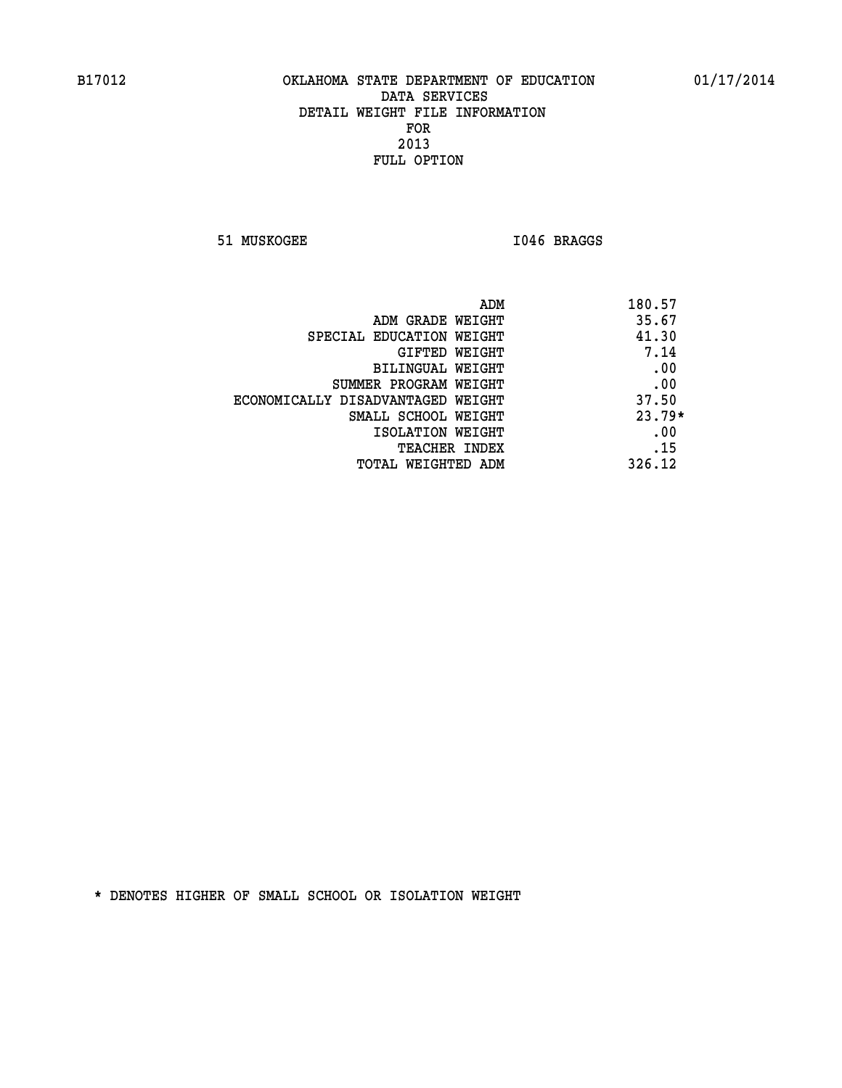51 MUSKOGEE 1046 BRAGGS

| ADM                               | 180.57   |
|-----------------------------------|----------|
| ADM GRADE WEIGHT                  | 35.67    |
| SPECIAL EDUCATION WEIGHT          | 41.30    |
| GIFTED WEIGHT                     | 7.14     |
| BILINGUAL WEIGHT                  | .00      |
| SUMMER PROGRAM WEIGHT             | .00      |
| ECONOMICALLY DISADVANTAGED WEIGHT | 37.50    |
| SMALL SCHOOL WEIGHT               | $23.79*$ |
| ISOLATION WEIGHT                  | .00      |
| <b>TEACHER INDEX</b>              | .15      |
| TOTAL WEIGHTED ADM                | 326.12   |
|                                   |          |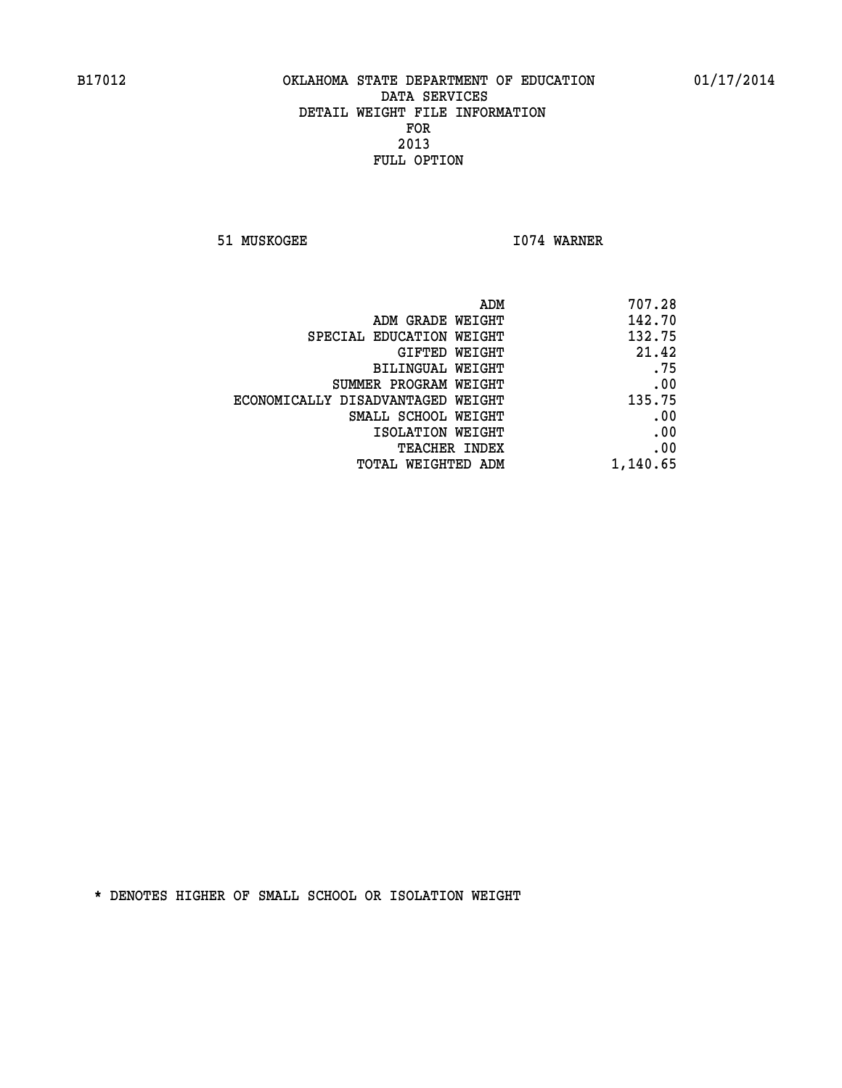**51 MUSKOGEE 1074 WARNER** 

| 707.28   |
|----------|
| 142.70   |
| 132.75   |
| 21.42    |
| .75      |
| .00      |
| 135.75   |
| .00      |
| .00      |
| .00      |
| 1,140.65 |
|          |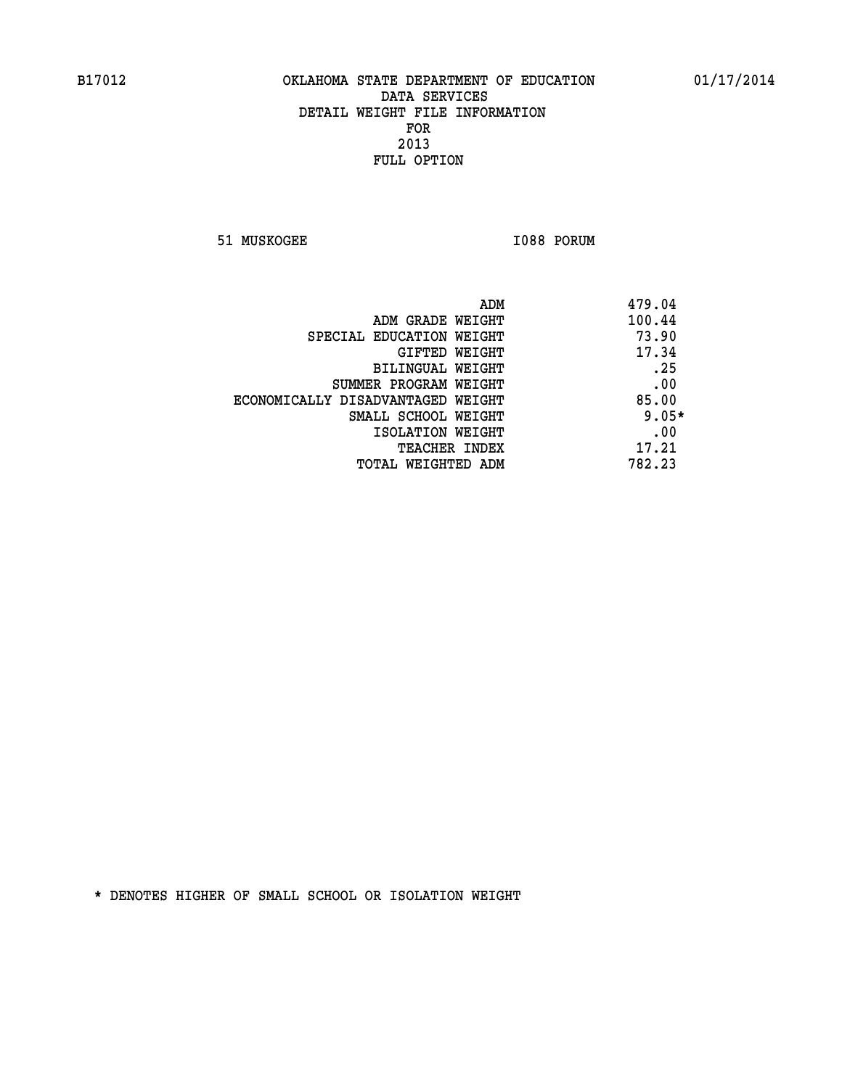**51 MUSKOGEE 1088 PORUM** 

| ADM                               | 479.04  |
|-----------------------------------|---------|
| ADM GRADE WEIGHT                  | 100.44  |
| SPECIAL EDUCATION WEIGHT          | 73.90   |
| GIFTED WEIGHT                     | 17.34   |
| BILINGUAL WEIGHT                  | .25     |
| SUMMER PROGRAM WEIGHT             | .00     |
| ECONOMICALLY DISADVANTAGED WEIGHT | 85.00   |
| SMALL SCHOOL WEIGHT               | $9.05*$ |
| ISOLATION WEIGHT                  | .00     |
| <b>TEACHER INDEX</b>              | 17.21   |
| TOTAL WEIGHTED ADM                | 782.23  |
|                                   |         |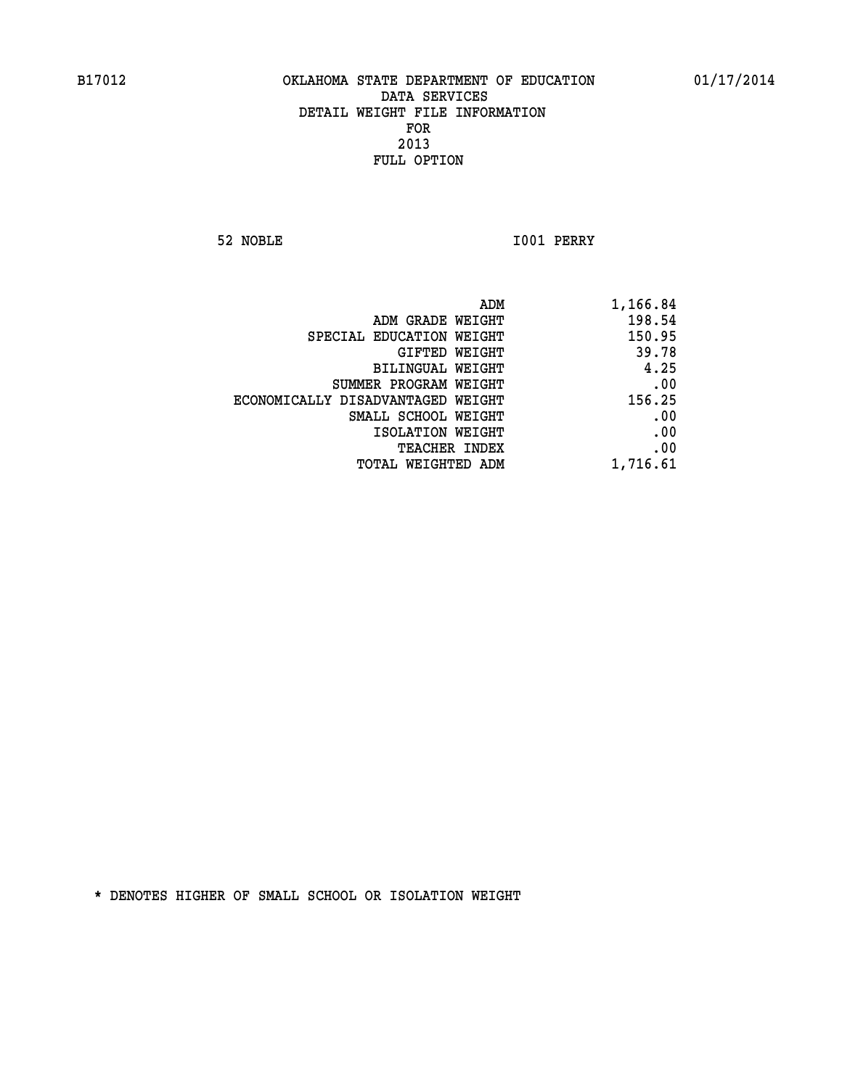**52 NOBLE I001 PERRY** 

|                                   | ADM<br>1,166.84 |
|-----------------------------------|-----------------|
| ADM GRADE WEIGHT                  | 198.54          |
| SPECIAL EDUCATION WEIGHT          | 150.95          |
| GIFTED WEIGHT                     | 39.78           |
| BILINGUAL WEIGHT                  | 4.25            |
| SUMMER PROGRAM WEIGHT             | .00             |
| ECONOMICALLY DISADVANTAGED WEIGHT | 156.25          |
| SMALL SCHOOL WEIGHT               | .00             |
| ISOLATION WEIGHT                  | .00             |
| TEACHER INDEX                     | .00             |
| TOTAL WEIGHTED ADM                | 1,716.61        |
|                                   |                 |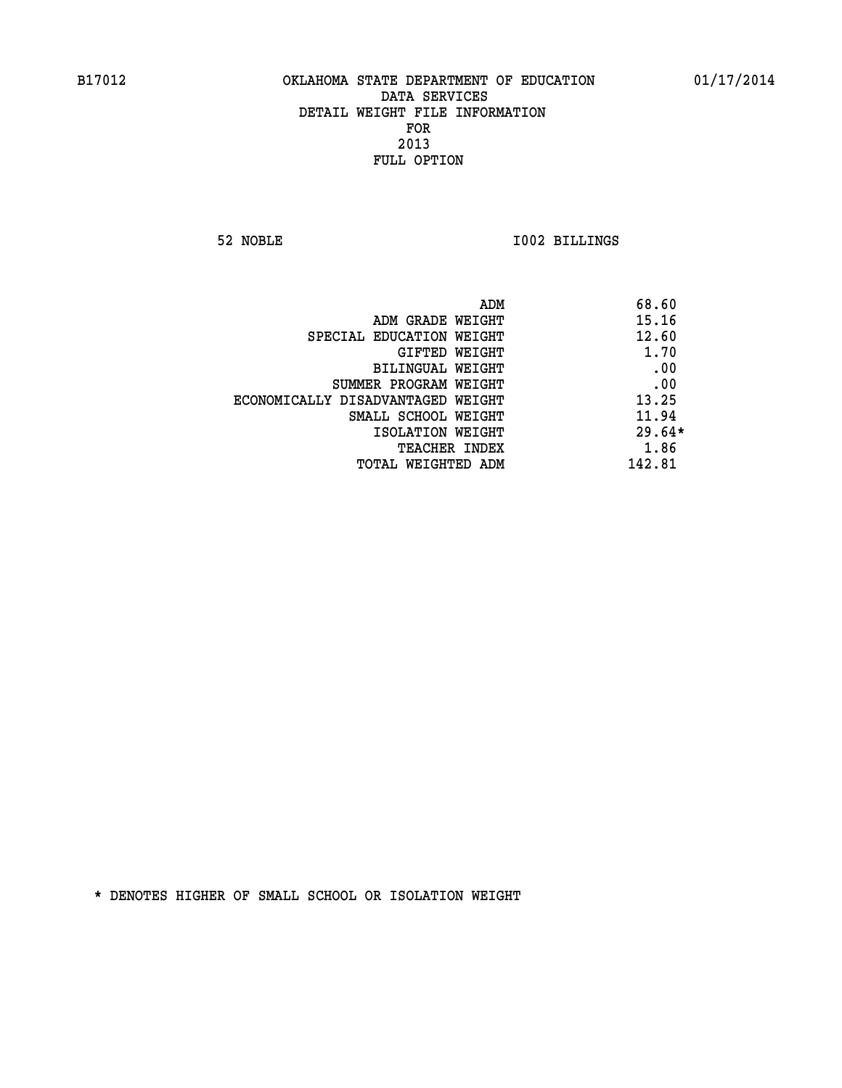**52 NOBLE I002 BILLINGS** 

|                                   | ADM | 68.60    |
|-----------------------------------|-----|----------|
| ADM GRADE WEIGHT                  |     | 15.16    |
| SPECIAL EDUCATION WEIGHT          |     | 12.60    |
| GIFTED WEIGHT                     |     | 1.70     |
| BILINGUAL WEIGHT                  |     | .00      |
| SUMMER PROGRAM WEIGHT             |     | .00      |
| ECONOMICALLY DISADVANTAGED WEIGHT |     | 13.25    |
| SMALL SCHOOL WEIGHT               |     | 11.94    |
| ISOLATION WEIGHT                  |     | $29.64*$ |
| <b>TEACHER INDEX</b>              |     | 1.86     |
| TOTAL WEIGHTED ADM                |     | 142.81   |
|                                   |     |          |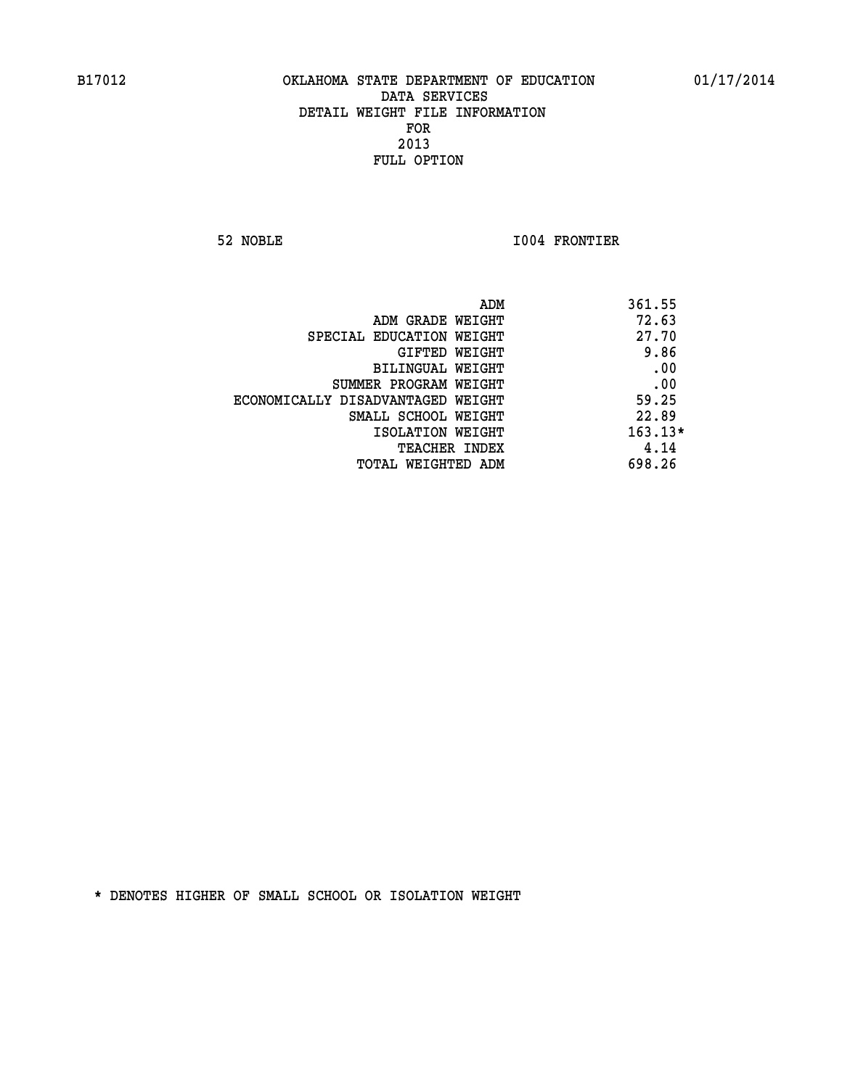**52 NOBLE I004 FRONTIER** 

|                                   | ADM<br>361.55 |
|-----------------------------------|---------------|
| ADM GRADE WEIGHT                  | 72.63         |
| SPECIAL EDUCATION WEIGHT          | 27.70         |
| GIFTED WEIGHT                     | 9.86          |
| BILINGUAL WEIGHT                  | .00           |
| SUMMER PROGRAM WEIGHT             | .00           |
| ECONOMICALLY DISADVANTAGED WEIGHT | 59.25         |
| SMALL SCHOOL WEIGHT               | 22.89         |
| ISOLATION WEIGHT                  | $163.13*$     |
| TEACHER INDEX                     | 4.14          |
| TOTAL WEIGHTED ADM                | 698.26        |
|                                   |               |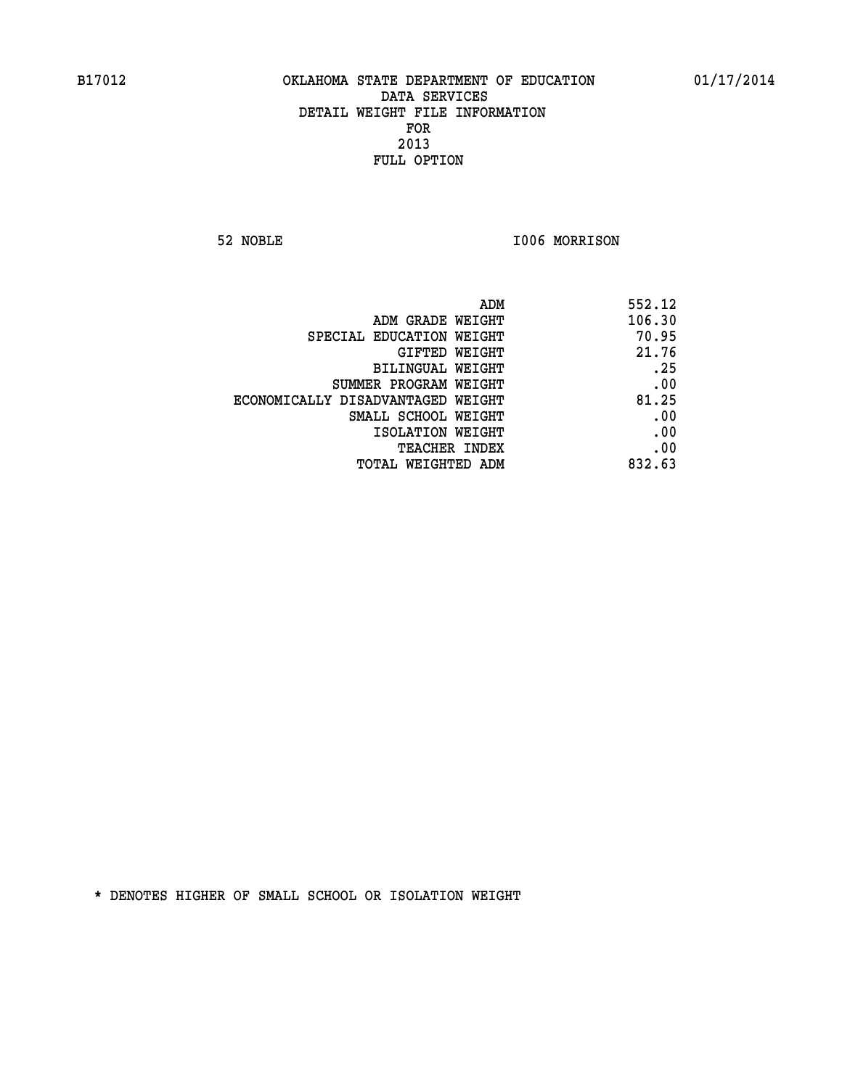**52 NOBLE I006 MORRISON** 

| 552.12 |
|--------|
| 106.30 |
| 70.95  |
| 21.76  |
| .25    |
| .00    |
| 81.25  |
| .00    |
| .00    |
| .00    |
| 832.63 |
|        |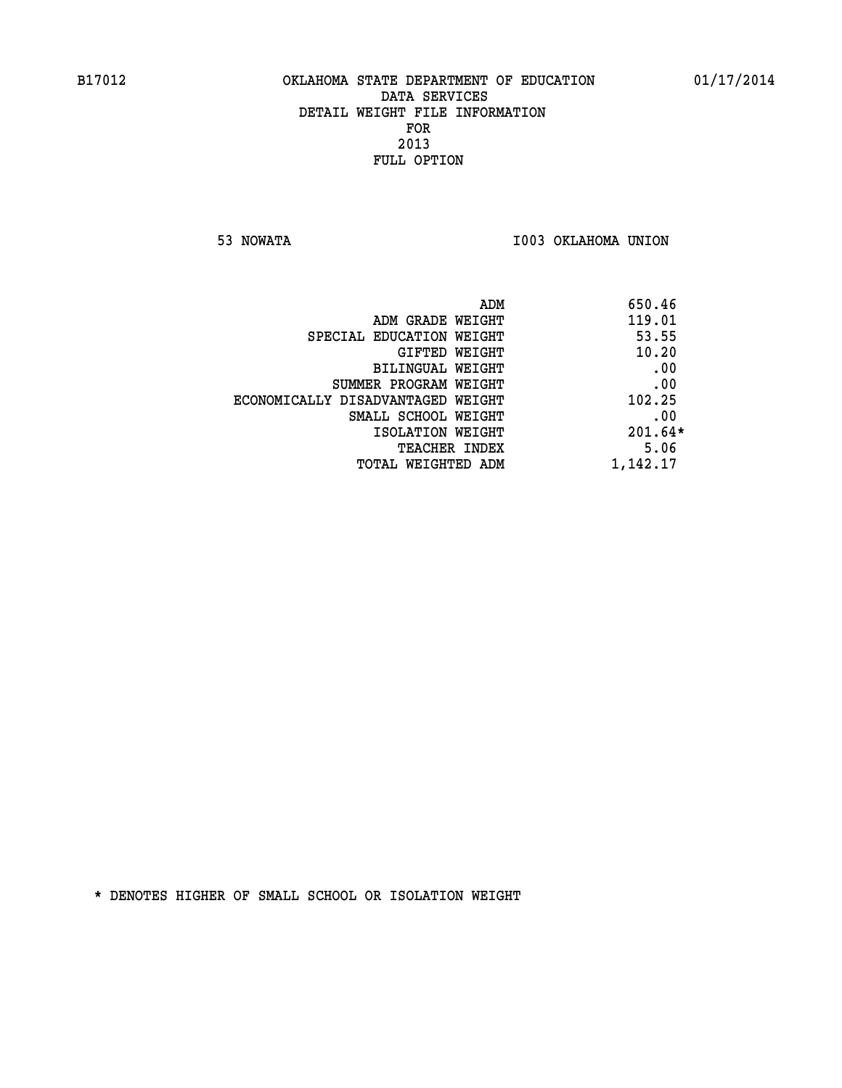**53 NOWATA I003 OKLAHOMA UNION** 

| 650.46    | ADM                               |
|-----------|-----------------------------------|
| 119.01    | ADM GRADE WEIGHT                  |
| 53.55     | SPECIAL EDUCATION WEIGHT          |
| 10.20     | GIFTED WEIGHT                     |
| .00       | BILINGUAL WEIGHT                  |
| .00       | SUMMER PROGRAM WEIGHT             |
| 102.25    | ECONOMICALLY DISADVANTAGED WEIGHT |
| .00       | SMALL SCHOOL WEIGHT               |
| $201.64*$ | ISOLATION WEIGHT                  |
| 5.06      | <b>TEACHER INDEX</b>              |
| 1,142.17  | TOTAL WEIGHTED ADM                |
|           |                                   |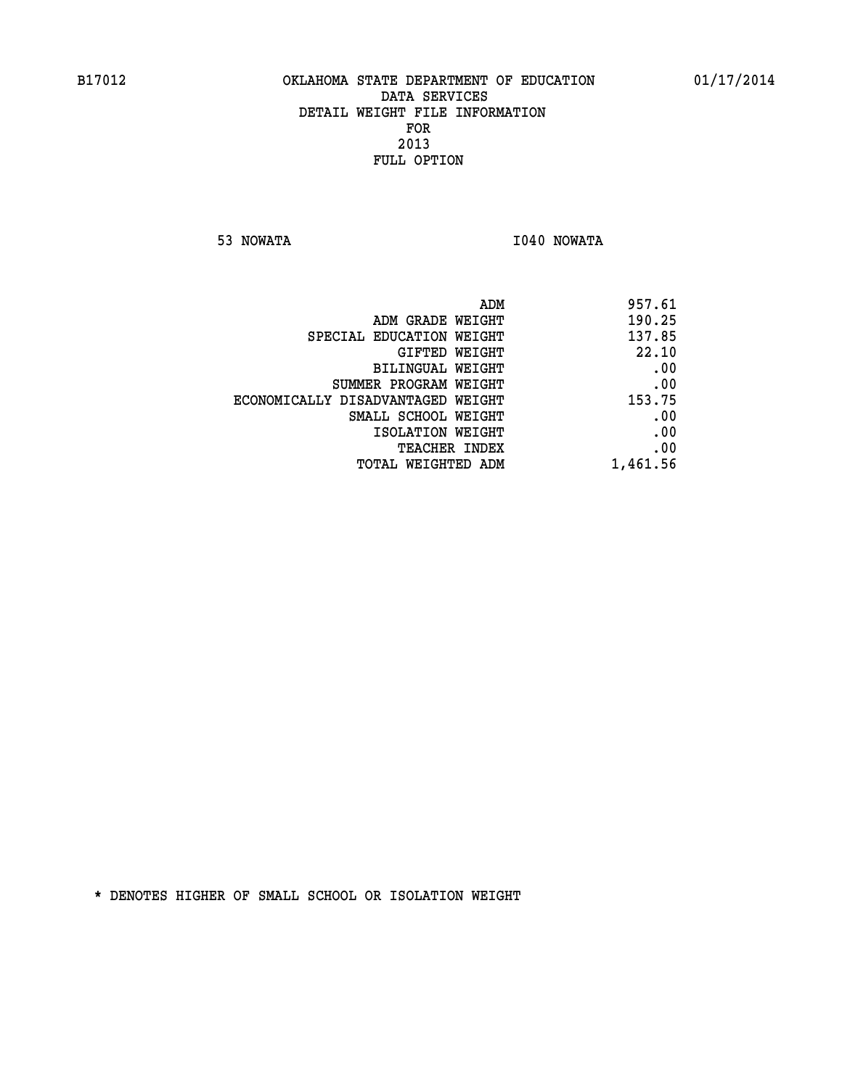**53 NOWATA I040 NOWATA** 

| 957.61   |
|----------|
| 190.25   |
| 137.85   |
| 22.10    |
| .00      |
| .00      |
| 153.75   |
| .00      |
| .00      |
| .00      |
| 1,461.56 |
|          |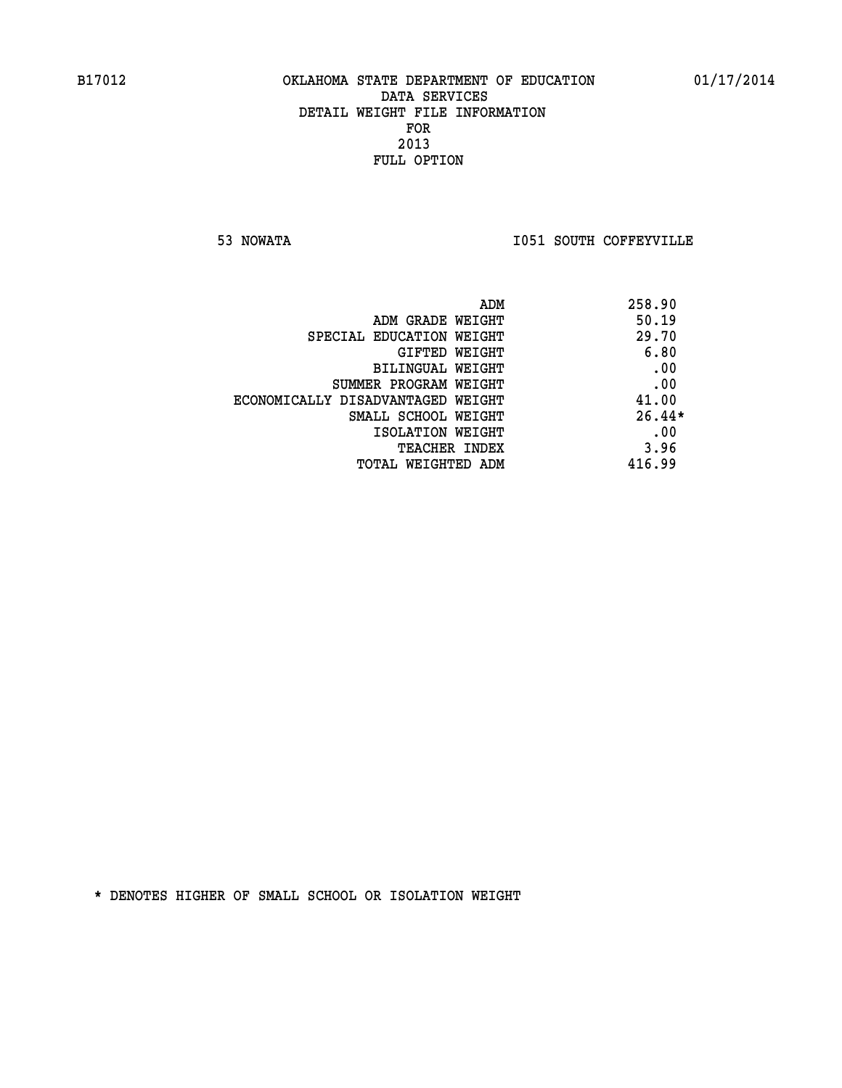**53 NOWATA I051 SOUTH COFFEYVILLE** 

|                                   | 258.90<br>ADM |  |
|-----------------------------------|---------------|--|
| ADM GRADE WEIGHT                  | 50.19         |  |
| SPECIAL EDUCATION WEIGHT          | 29.70         |  |
| GIFTED WEIGHT                     | 6.80          |  |
| BILINGUAL WEIGHT                  | .00           |  |
| SUMMER PROGRAM WEIGHT             | .00           |  |
| ECONOMICALLY DISADVANTAGED WEIGHT | 41.00         |  |
| SMALL SCHOOL WEIGHT               | $26.44*$      |  |
| ISOLATION WEIGHT                  | .00           |  |
| TEACHER INDEX                     | 3.96          |  |
| TOTAL WEIGHTED ADM                | 416.99        |  |
|                                   |               |  |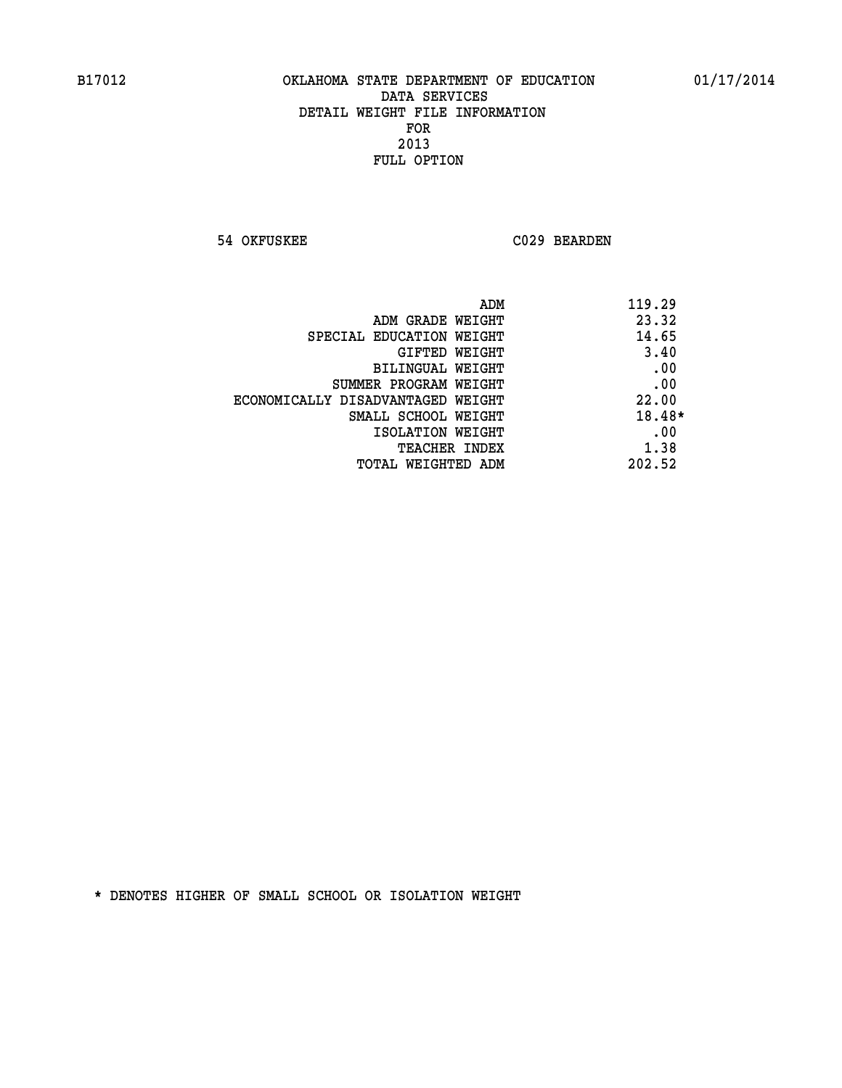**54 OKFUSKEE C029 BEARDEN** 

| ADM<br>119.29                              |  |
|--------------------------------------------|--|
| 23.32<br>ADM GRADE WEIGHT                  |  |
| 14.65<br>SPECIAL EDUCATION WEIGHT          |  |
| 3.40<br>GIFTED WEIGHT                      |  |
| .00<br>BILINGUAL WEIGHT                    |  |
| .00<br>SUMMER PROGRAM WEIGHT               |  |
| 22.00<br>ECONOMICALLY DISADVANTAGED WEIGHT |  |
| 18.48*<br>SMALL SCHOOL WEIGHT              |  |
| .00<br>ISOLATION WEIGHT                    |  |
| 1.38<br><b>TEACHER INDEX</b>               |  |
| 202.52<br>TOTAL WEIGHTED ADM               |  |
|                                            |  |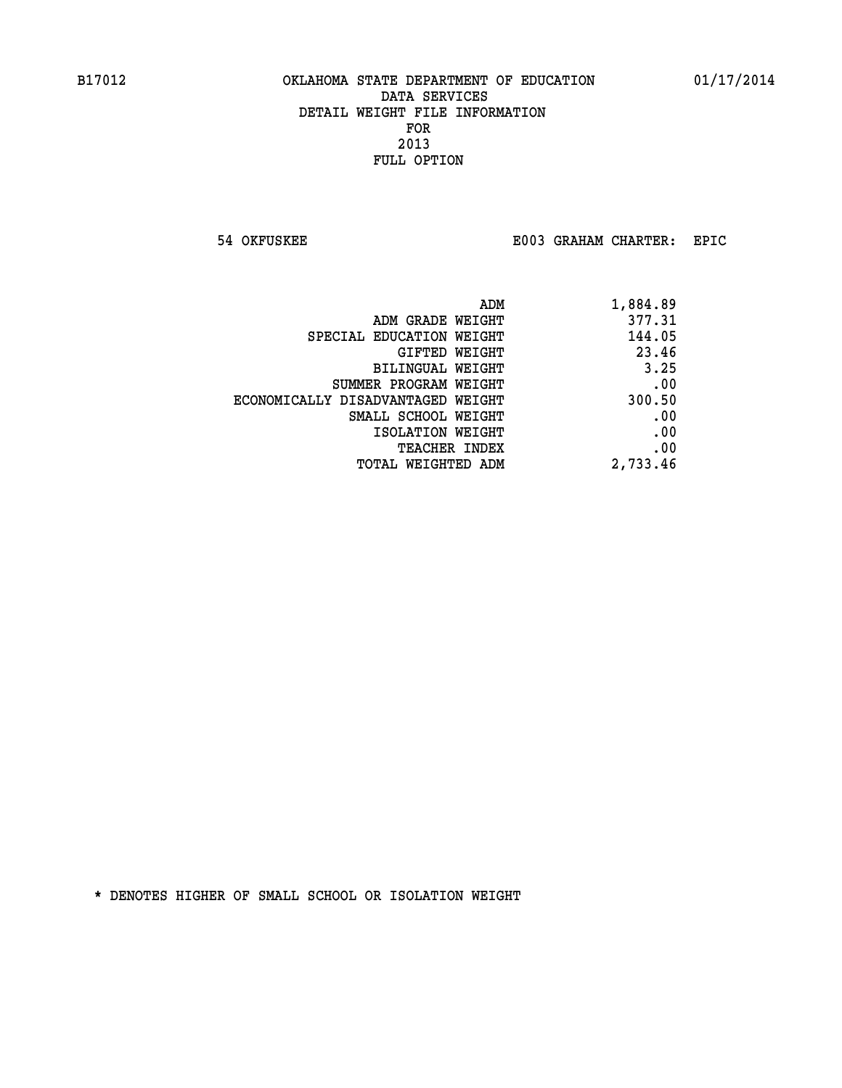**54 OKFUSKEE E003 GRAHAM CHARTER: EPIC** 

| 1,884.89 |
|----------|
| 377.31   |
| 144.05   |
| 23.46    |
| 3.25     |
| .00      |
| 300.50   |
| .00      |
| .00      |
| .00      |
| 2,733.46 |
|          |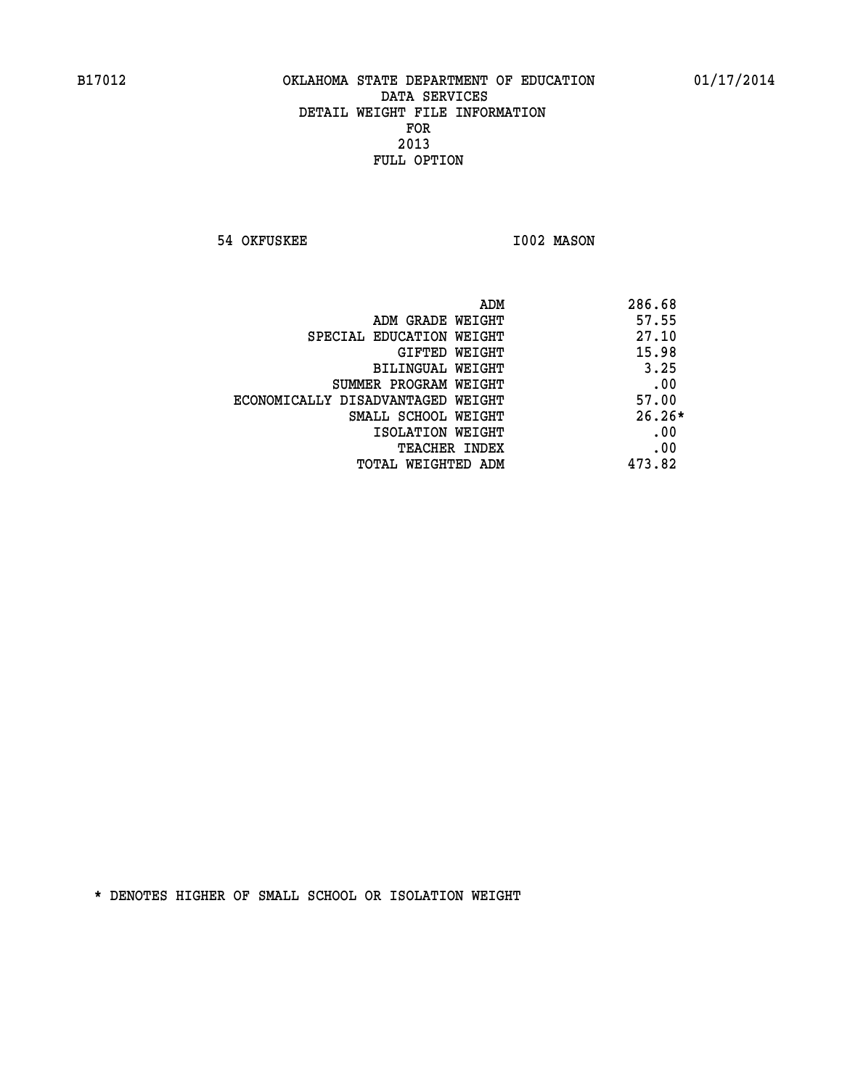**54 OKFUSKEE 1002 MASON** 

| ADM                               | 286.68   |
|-----------------------------------|----------|
| ADM GRADE WEIGHT                  | 57.55    |
| SPECIAL EDUCATION WEIGHT          | 27.10    |
| GIFTED WEIGHT                     | 15.98    |
| BILINGUAL WEIGHT                  | 3.25     |
| SUMMER PROGRAM WEIGHT             | .00      |
| ECONOMICALLY DISADVANTAGED WEIGHT | 57.00    |
| SMALL SCHOOL WEIGHT               | $26.26*$ |
| ISOLATION WEIGHT                  | .00      |
| <b>TEACHER INDEX</b>              | .00      |
| TOTAL WEIGHTED ADM                | 473.82   |
|                                   |          |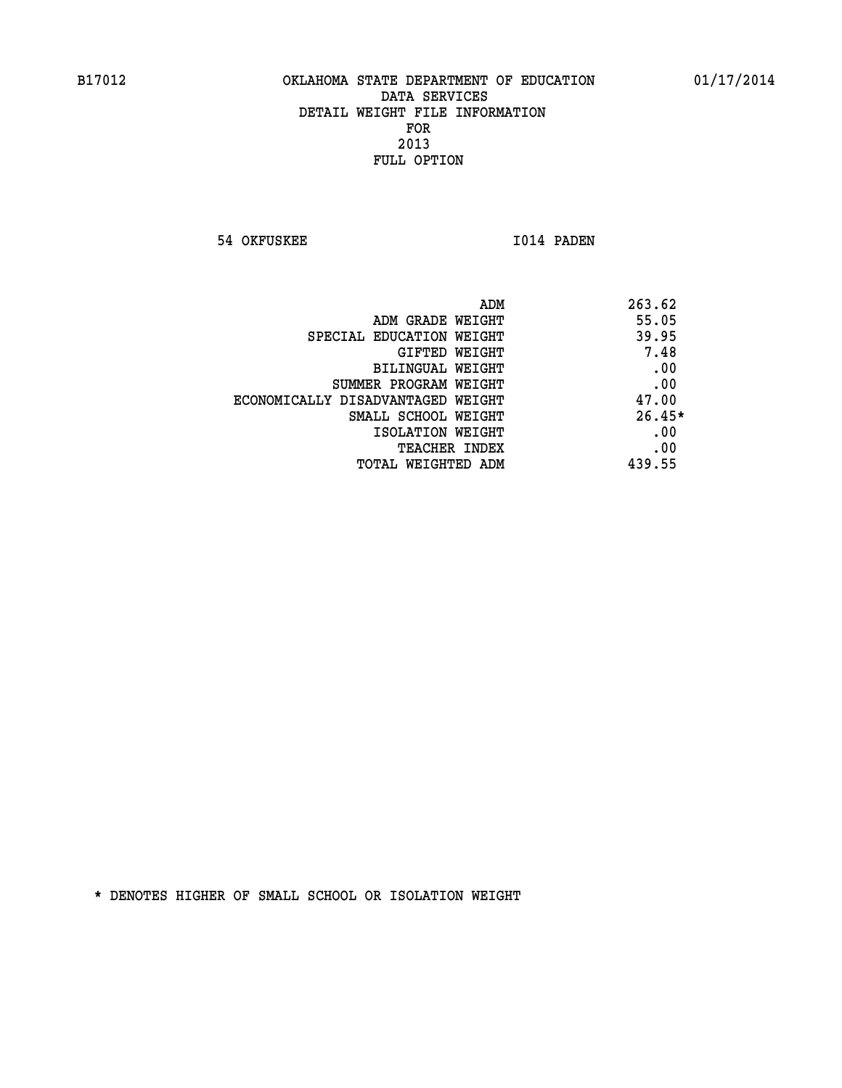**54 OKFUSKEE 1014 PADEN** 

| ADM                               | 263.62   |
|-----------------------------------|----------|
| ADM GRADE WEIGHT                  | 55.05    |
| SPECIAL EDUCATION WEIGHT          | 39.95    |
| <b>GIFTED WEIGHT</b>              | 7.48     |
| BILINGUAL WEIGHT                  | .00      |
| SUMMER PROGRAM WEIGHT             | .00      |
| ECONOMICALLY DISADVANTAGED WEIGHT | 47.00    |
| SMALL SCHOOL WEIGHT               | $26.45*$ |
| ISOLATION WEIGHT                  | .00      |
| <b>TEACHER INDEX</b>              | .00      |
| TOTAL WEIGHTED ADM                | 439.55   |
|                                   |          |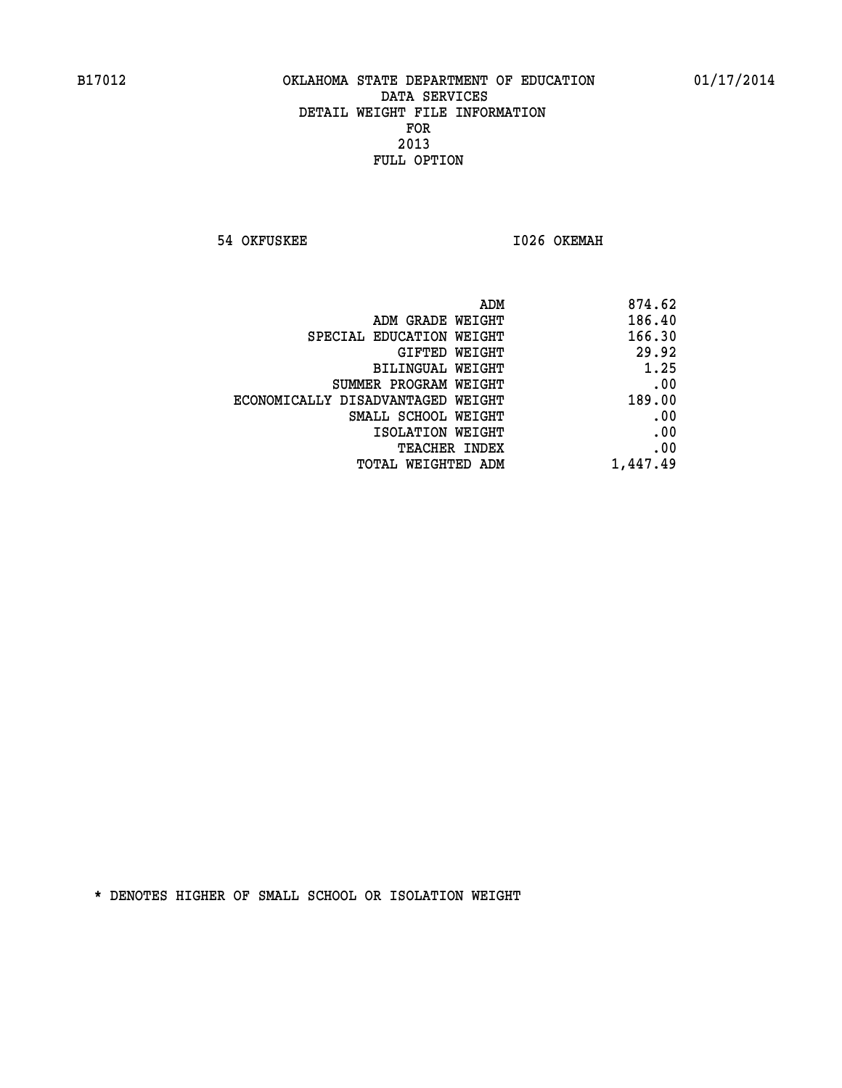**54 OKFUSKEE 1026 OKEMAH** 

| 874.62   | ADM                               |
|----------|-----------------------------------|
| 186.40   | ADM GRADE WEIGHT                  |
| 166.30   | SPECIAL EDUCATION WEIGHT          |
| 29.92    | GIFTED WEIGHT                     |
| 1.25     | BILINGUAL WEIGHT                  |
| .00      | SUMMER PROGRAM WEIGHT             |
| 189.00   | ECONOMICALLY DISADVANTAGED WEIGHT |
| .00      | SMALL SCHOOL WEIGHT               |
| .00      | ISOLATION WEIGHT                  |
| .00      | <b>TEACHER INDEX</b>              |
| 1,447.49 | TOTAL WEIGHTED ADM                |
|          |                                   |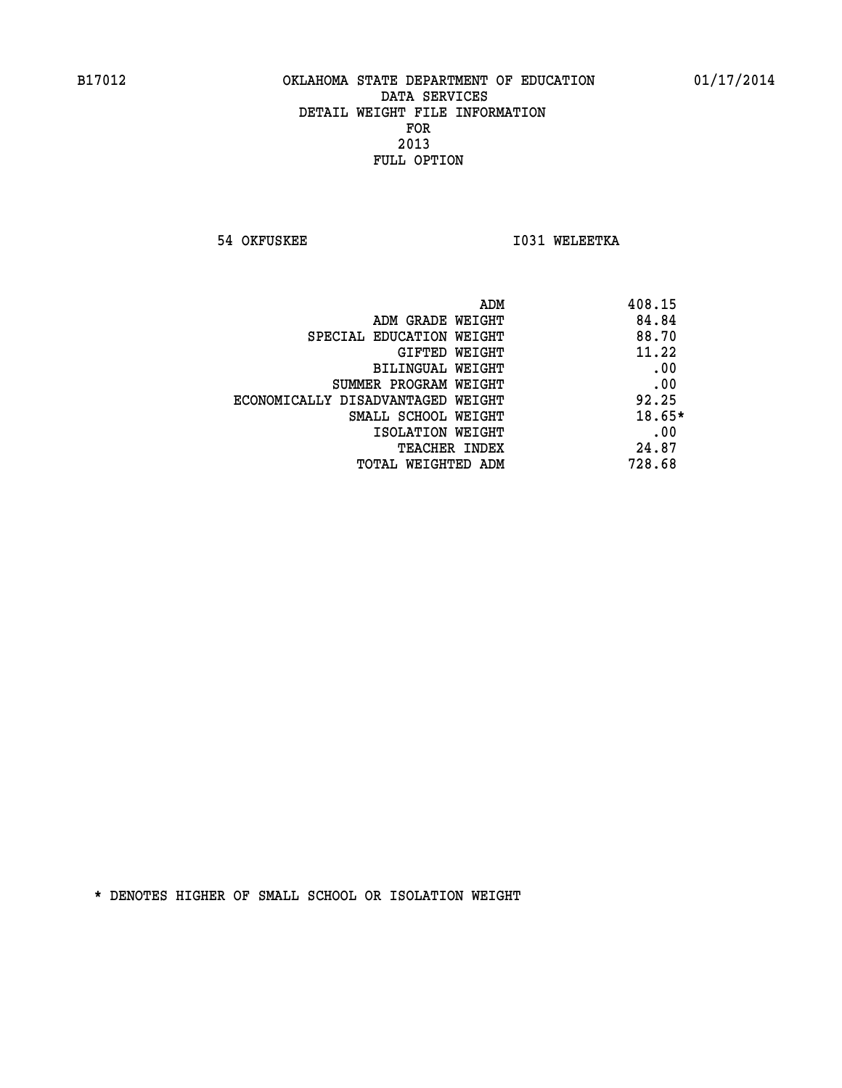**54 OKFUSKEE 1031 WELEETKA** 

| ADM                               | 408.15 |
|-----------------------------------|--------|
| ADM GRADE WEIGHT                  | 84.84  |
| SPECIAL EDUCATION WEIGHT          | 88.70  |
| GIFTED WEIGHT                     | 11.22  |
| BILINGUAL WEIGHT                  | .00    |
| SUMMER PROGRAM WEIGHT             | .00    |
| ECONOMICALLY DISADVANTAGED WEIGHT | 92.25  |
| SMALL SCHOOL WEIGHT               | 18.65* |
| ISOLATION WEIGHT                  | .00    |
| <b>TEACHER INDEX</b>              | 24.87  |
| TOTAL WEIGHTED ADM                | 728.68 |
|                                   |        |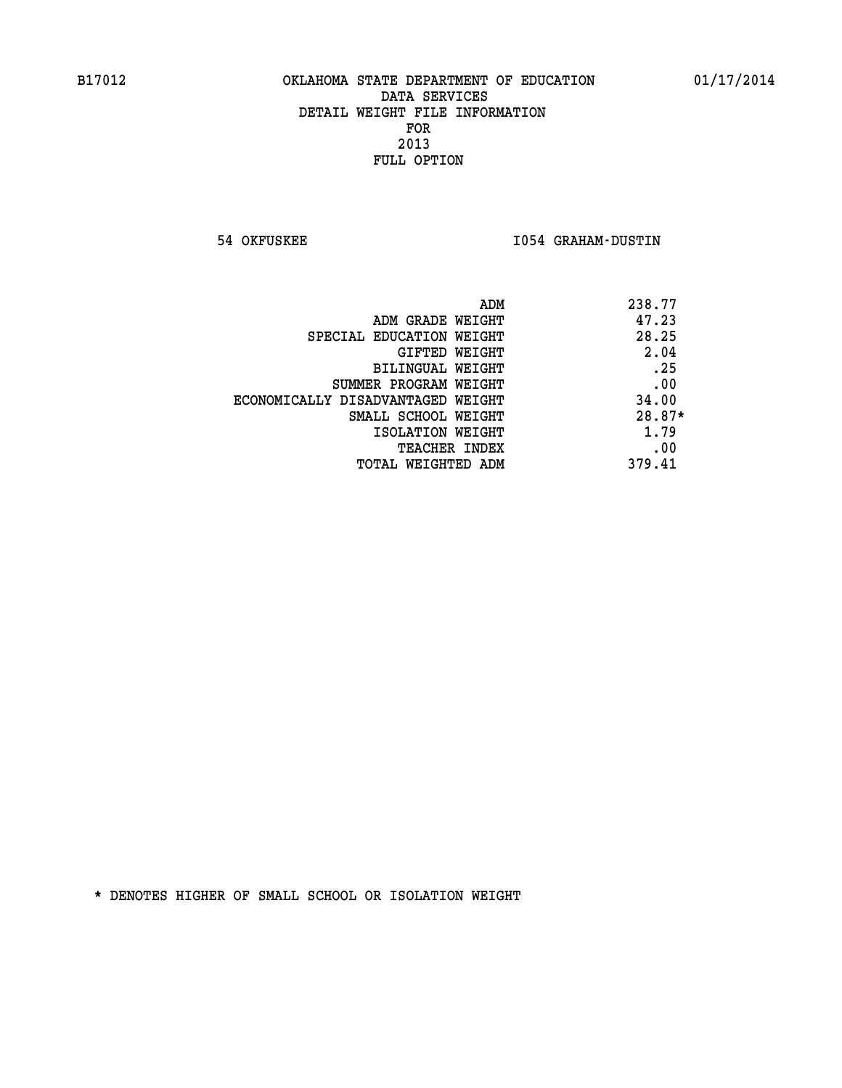**54 OKFUSKEE I054 GRAHAM-DUSTIN** 

| ADM                               | 238.77   |
|-----------------------------------|----------|
| ADM GRADE WEIGHT                  | 47.23    |
| SPECIAL EDUCATION WEIGHT          | 28.25    |
| GIFTED WEIGHT                     | 2.04     |
| BILINGUAL WEIGHT                  | .25      |
| SUMMER PROGRAM WEIGHT             | .00      |
| ECONOMICALLY DISADVANTAGED WEIGHT | 34.00    |
| SMALL SCHOOL WEIGHT               | $28.87*$ |
| ISOLATION WEIGHT                  | 1.79     |
| <b>TEACHER INDEX</b>              | .00      |
| TOTAL WEIGHTED ADM                | 379.41   |
|                                   |          |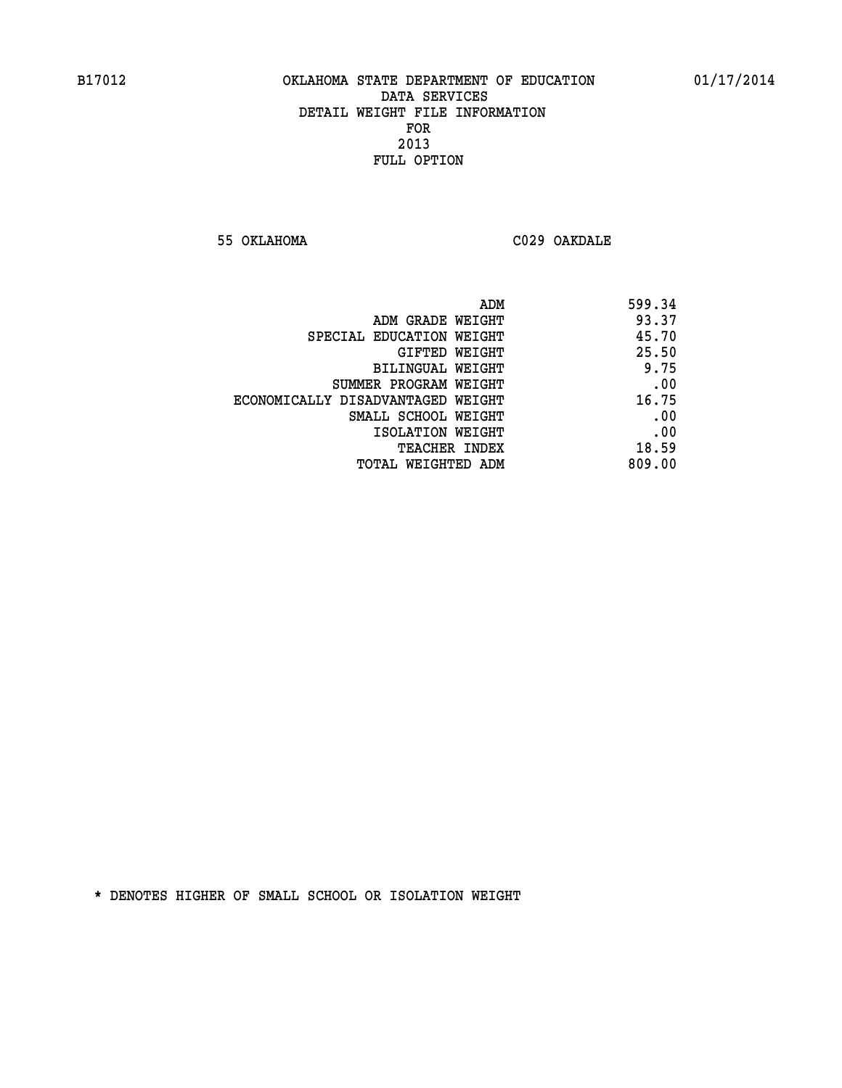**55 OKLAHOMA C029 OAKDALE** 

| 599.34 |
|--------|
| 93.37  |
| 45.70  |
| 25.50  |
| 9.75   |
| .00    |
| 16.75  |
| .00    |
| .00    |
| 18.59  |
| 809.00 |
|        |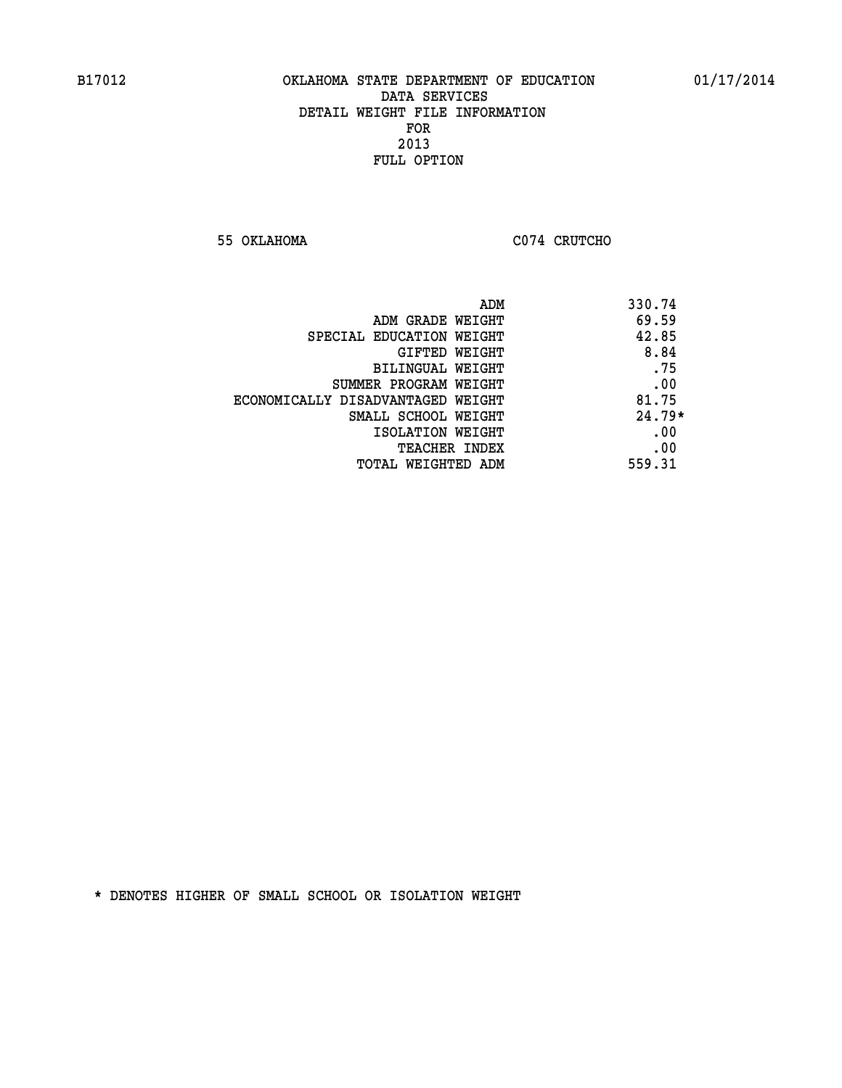**55 OKLAHOMA C074 CRUTCHO** 

| ADM<br>330.74                              |  |
|--------------------------------------------|--|
| 69.59<br>ADM GRADE WEIGHT                  |  |
| 42.85<br>SPECIAL EDUCATION WEIGHT          |  |
| 8.84<br><b>GIFTED WEIGHT</b>               |  |
| .75<br>BILINGUAL WEIGHT                    |  |
| .00<br>SUMMER PROGRAM WEIGHT               |  |
| 81.75<br>ECONOMICALLY DISADVANTAGED WEIGHT |  |
| $24.79*$<br>SMALL SCHOOL WEIGHT            |  |
| .00<br>ISOLATION WEIGHT                    |  |
| .00<br><b>TEACHER INDEX</b>                |  |
| 559.31<br>TOTAL WEIGHTED ADM               |  |
|                                            |  |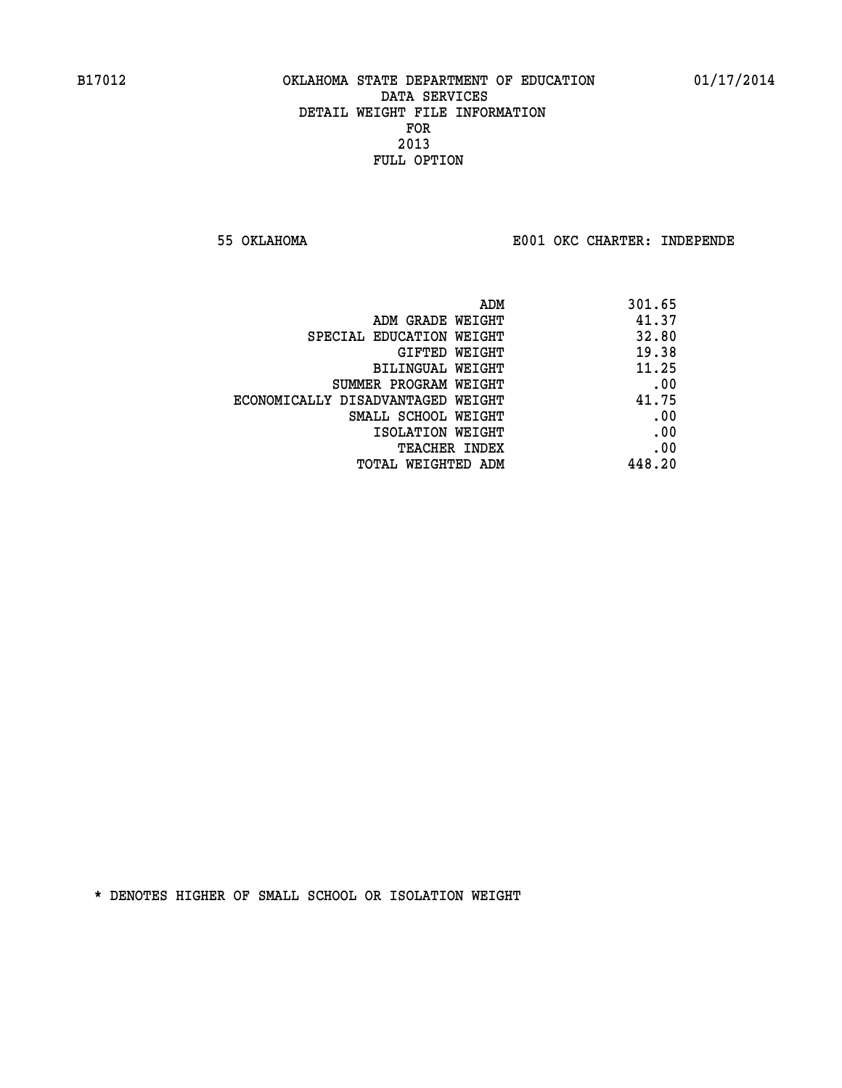**55 OKLAHOMA E001 OKC CHARTER: INDEPENDE**

| ADM                               | 301.65 |
|-----------------------------------|--------|
| ADM GRADE WEIGHT                  | 41.37  |
| SPECIAL EDUCATION WEIGHT          | 32.80  |
| GIFTED WEIGHT                     | 19.38  |
| BILINGUAL WEIGHT                  | 11.25  |
| SUMMER PROGRAM WEIGHT             | .00    |
| ECONOMICALLY DISADVANTAGED WEIGHT | 41.75  |
| SMALL SCHOOL WEIGHT               | .00    |
| ISOLATION WEIGHT                  | .00    |
| <b>TEACHER INDEX</b>              | .00    |
| TOTAL WEIGHTED ADM                | 448.20 |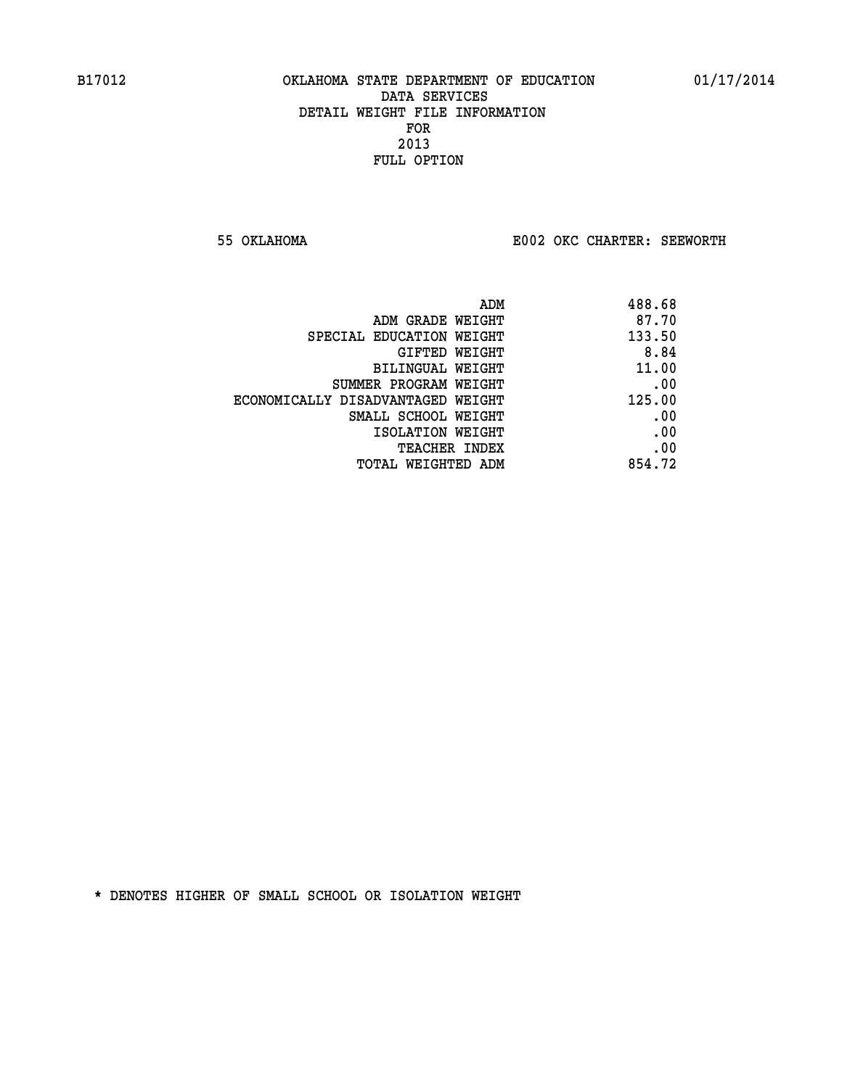**55 OKLAHOMA E002 OKC CHARTER: SEEWORTH** 

| 488.68 |
|--------|
| 87.70  |
| 133.50 |
| 8.84   |
| 11.00  |
| .00    |
| 125.00 |
| .00    |
| .00    |
| .00    |
| 854.72 |
|        |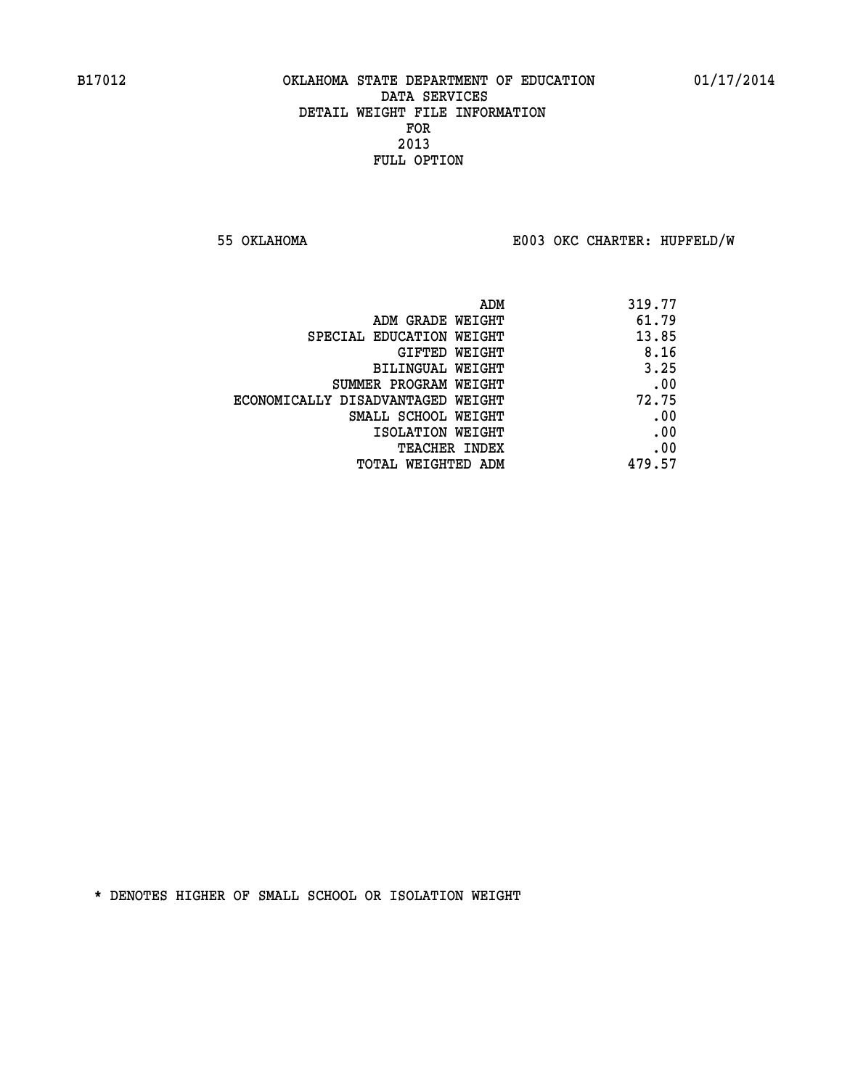**55 OKLAHOMA E003 OKC CHARTER: HUPFELD/W**

| ADM                               | 319.77 |
|-----------------------------------|--------|
| ADM GRADE WEIGHT                  | 61.79  |
| SPECIAL EDUCATION WEIGHT          | 13.85  |
| GIFTED WEIGHT                     | 8.16   |
| BILINGUAL WEIGHT                  | 3.25   |
| SUMMER PROGRAM WEIGHT             | .00    |
| ECONOMICALLY DISADVANTAGED WEIGHT | 72.75  |
| SMALL SCHOOL WEIGHT               | .00    |
| ISOLATION WEIGHT                  | .00    |
| <b>TEACHER INDEX</b>              | .00    |
| TOTAL WEIGHTED ADM                | 479.57 |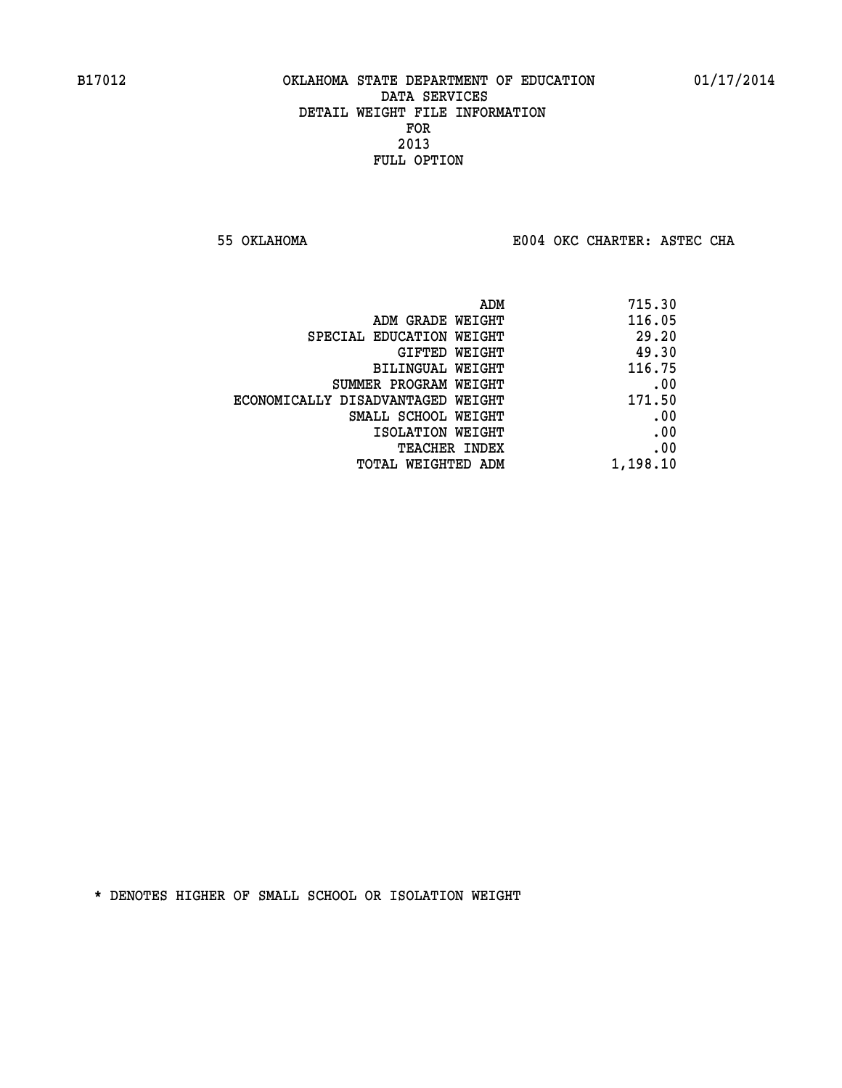**55 OKLAHOMA E004 OKC CHARTER: ASTEC CHA**

| 715.30   |
|----------|
| 116.05   |
| 29.20    |
| 49.30    |
| 116.75   |
| .00      |
| 171.50   |
| .00      |
| .00      |
| .00      |
| 1,198.10 |
|          |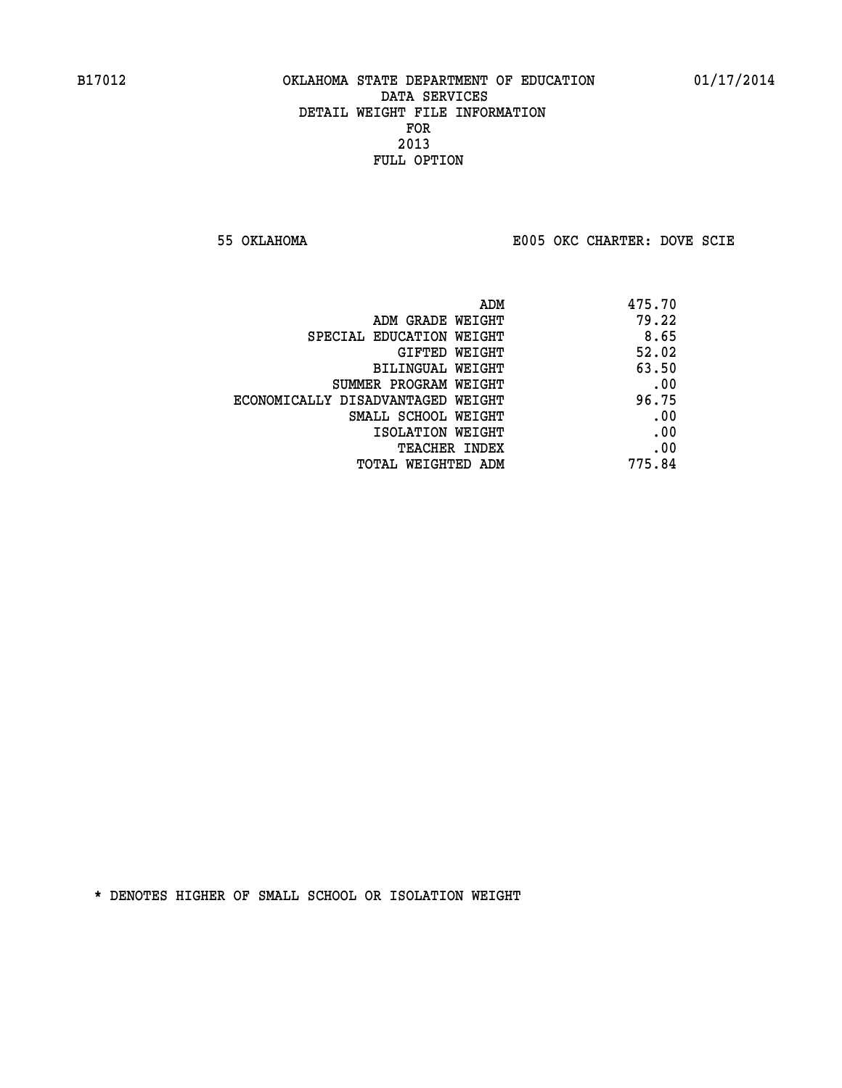**55 OKLAHOMA E005 OKC CHARTER: DOVE SCIE**

| ADM                               | 475.70 |
|-----------------------------------|--------|
| ADM GRADE WEIGHT                  | 79.22  |
| SPECIAL EDUCATION WEIGHT          | 8.65   |
| GIFTED WEIGHT                     | 52.02  |
| BILINGUAL WEIGHT                  | 63.50  |
| SUMMER PROGRAM WEIGHT             | .00    |
| ECONOMICALLY DISADVANTAGED WEIGHT | 96.75  |
| SMALL SCHOOL WEIGHT               | .00    |
| ISOLATION WEIGHT                  | .00    |
| <b>TEACHER INDEX</b>              | .00    |
| TOTAL WEIGHTED ADM                | 775.84 |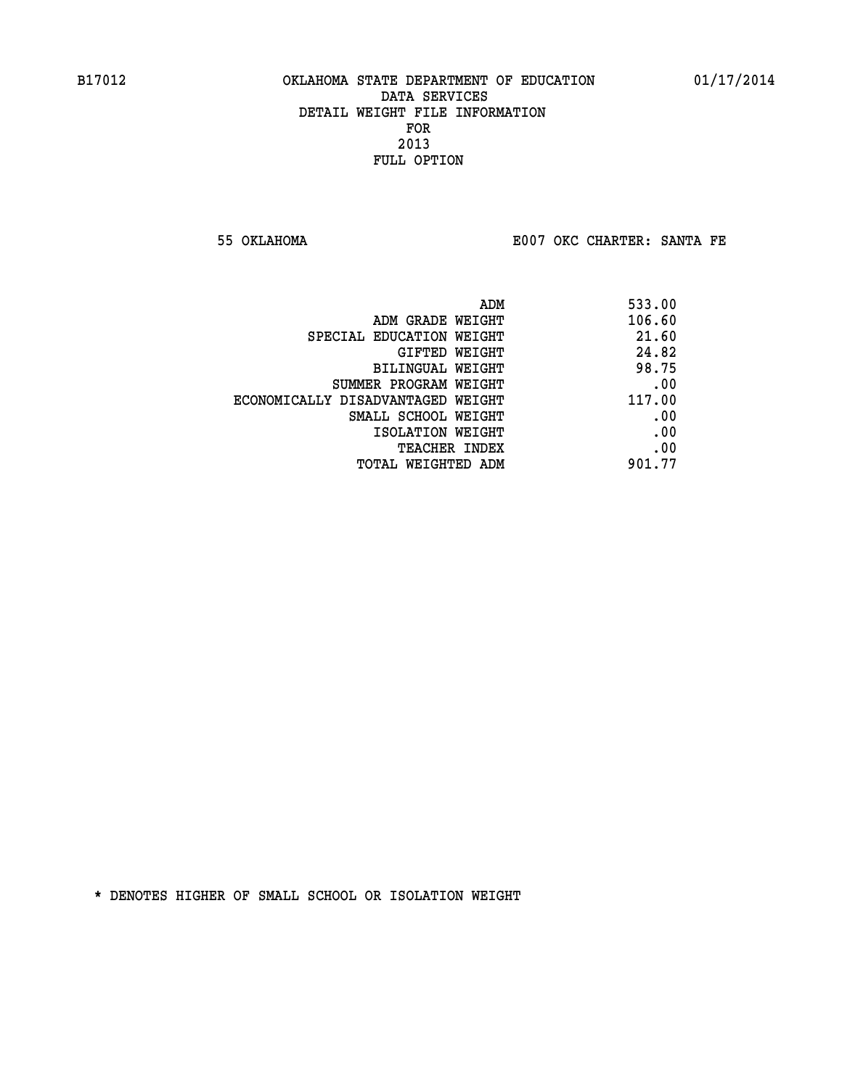**55 OKLAHOMA E007 OKC CHARTER: SANTA FE** 

| ADM                               | 533.00 |
|-----------------------------------|--------|
| ADM GRADE WEIGHT                  | 106.60 |
| SPECIAL EDUCATION WEIGHT          | 21.60  |
| GIFTED WEIGHT                     | 24.82  |
| BILINGUAL WEIGHT                  | 98.75  |
| SUMMER PROGRAM WEIGHT             | .00    |
| ECONOMICALLY DISADVANTAGED WEIGHT | 117.00 |
| SMALL SCHOOL WEIGHT               | .00    |
| ISOLATION WEIGHT                  | .00    |
| <b>TEACHER INDEX</b>              | .00    |
| TOTAL WEIGHTED ADM                | 901.77 |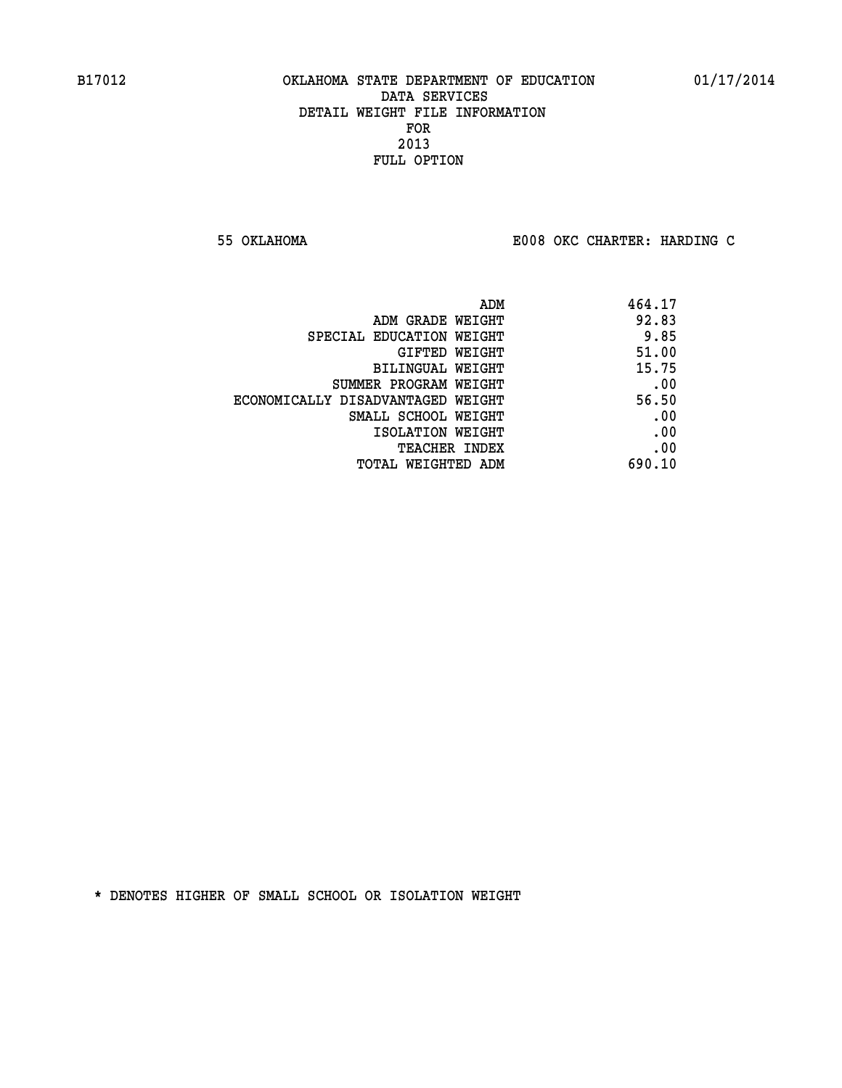**55 OKLAHOMA E008 OKC CHARTER: HARDING C**

|                                   | 464.17<br>ADM |       |
|-----------------------------------|---------------|-------|
| ADM GRADE WEIGHT                  | 92.83         |       |
| SPECIAL EDUCATION WEIGHT          |               | 9.85  |
| GIFTED WEIGHT                     | 51.00         |       |
| BILINGUAL WEIGHT                  | 15.75         |       |
| SUMMER PROGRAM WEIGHT             |               | .00   |
| ECONOMICALLY DISADVANTAGED WEIGHT |               | 56.50 |
| SMALL SCHOOL WEIGHT               |               | .00   |
| ISOLATION WEIGHT                  |               | .00   |
| <b>TEACHER INDEX</b>              |               | .00   |
| TOTAL WEIGHTED ADM                | 690.10        |       |
|                                   |               |       |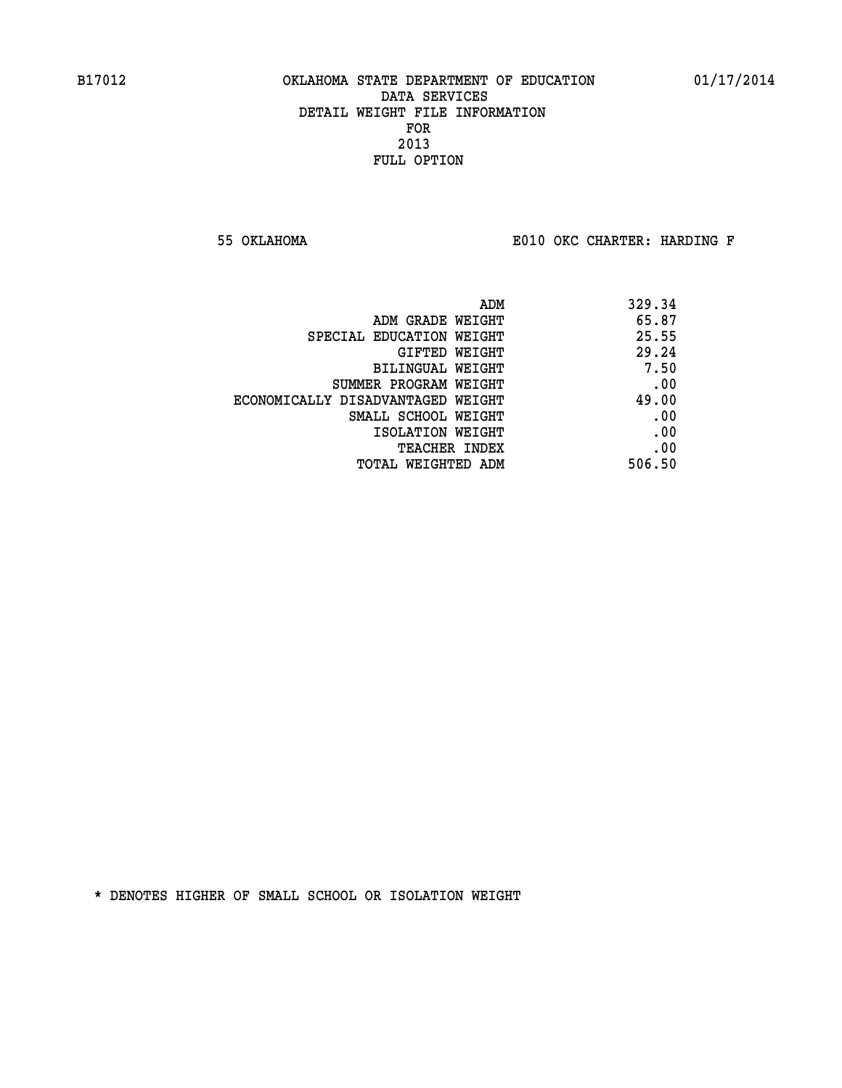**55 OKLAHOMA E010 OKC CHARTER: HARDING F**

| ADM                               | 329.34 |
|-----------------------------------|--------|
| ADM GRADE WEIGHT                  | 65.87  |
| SPECIAL EDUCATION WEIGHT          | 25.55  |
| GIFTED WEIGHT                     | 29.24  |
| BILINGUAL WEIGHT                  | 7.50   |
| SUMMER PROGRAM WEIGHT             | .00    |
| ECONOMICALLY DISADVANTAGED WEIGHT | 49.00  |
| SMALL SCHOOL WEIGHT               | .00    |
| ISOLATION WEIGHT                  | .00    |
| TEACHER INDEX                     | .00    |
| TOTAL WEIGHTED ADM                | 506.50 |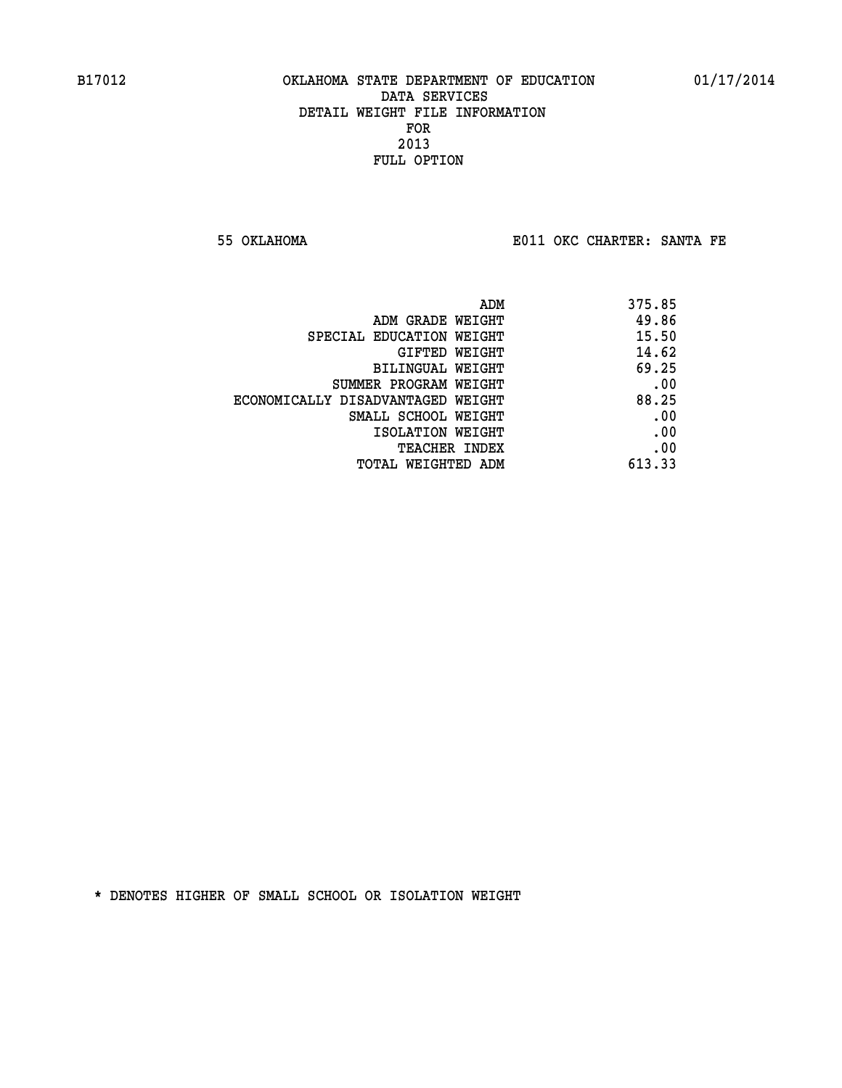**55 OKLAHOMA E011 OKC CHARTER: SANTA FE** 

| ADM                               | 375.85 |
|-----------------------------------|--------|
| ADM GRADE WEIGHT                  | 49.86  |
| SPECIAL EDUCATION WEIGHT          | 15.50  |
| GIFTED WEIGHT                     | 14.62  |
| BILINGUAL WEIGHT                  | 69.25  |
| SUMMER PROGRAM WEIGHT             | .00    |
| ECONOMICALLY DISADVANTAGED WEIGHT | 88.25  |
| SMALL SCHOOL WEIGHT               | .00    |
| ISOLATION WEIGHT                  | .00    |
| <b>TEACHER INDEX</b>              | .00    |
| TOTAL WEIGHTED ADM                | 613.33 |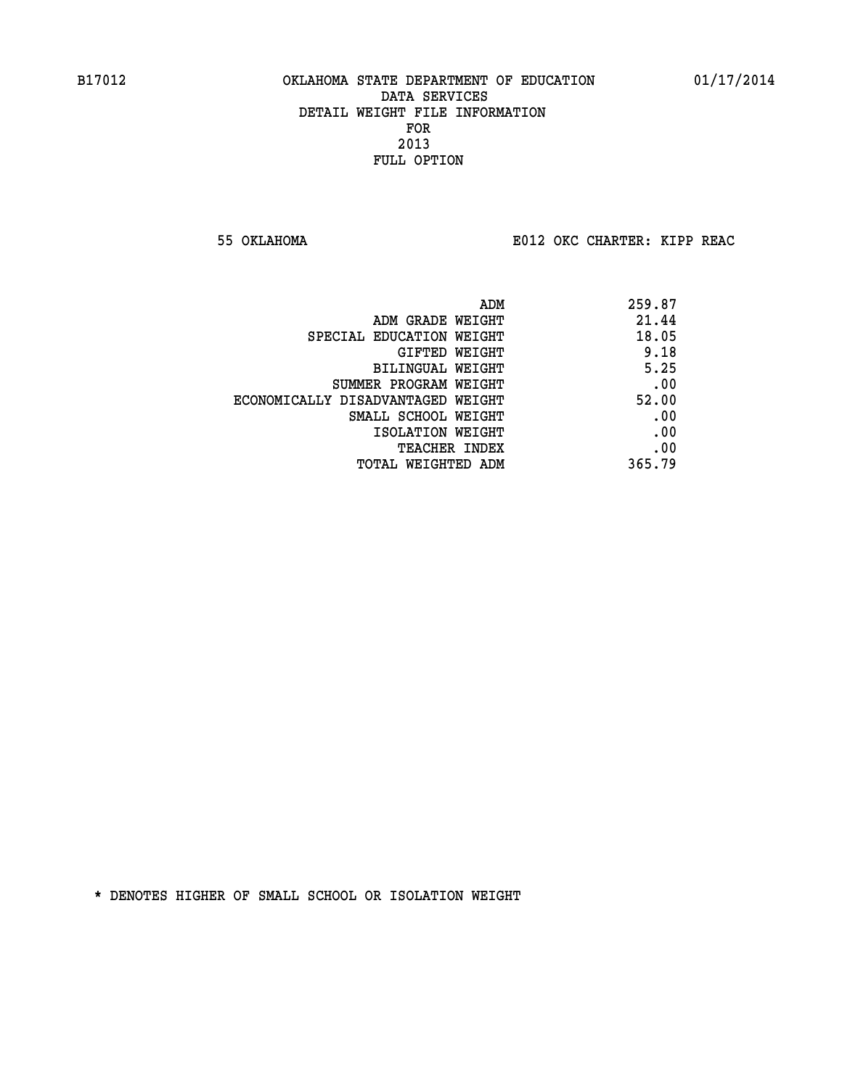**55 OKLAHOMA E012 OKC CHARTER: KIPP REAC**

| 259.87 |
|--------|
| 21.44  |
| 18.05  |
| 9.18   |
| 5.25   |
| .00    |
| 52.00  |
| .00    |
| .00    |
| .00    |
| 365.79 |
|        |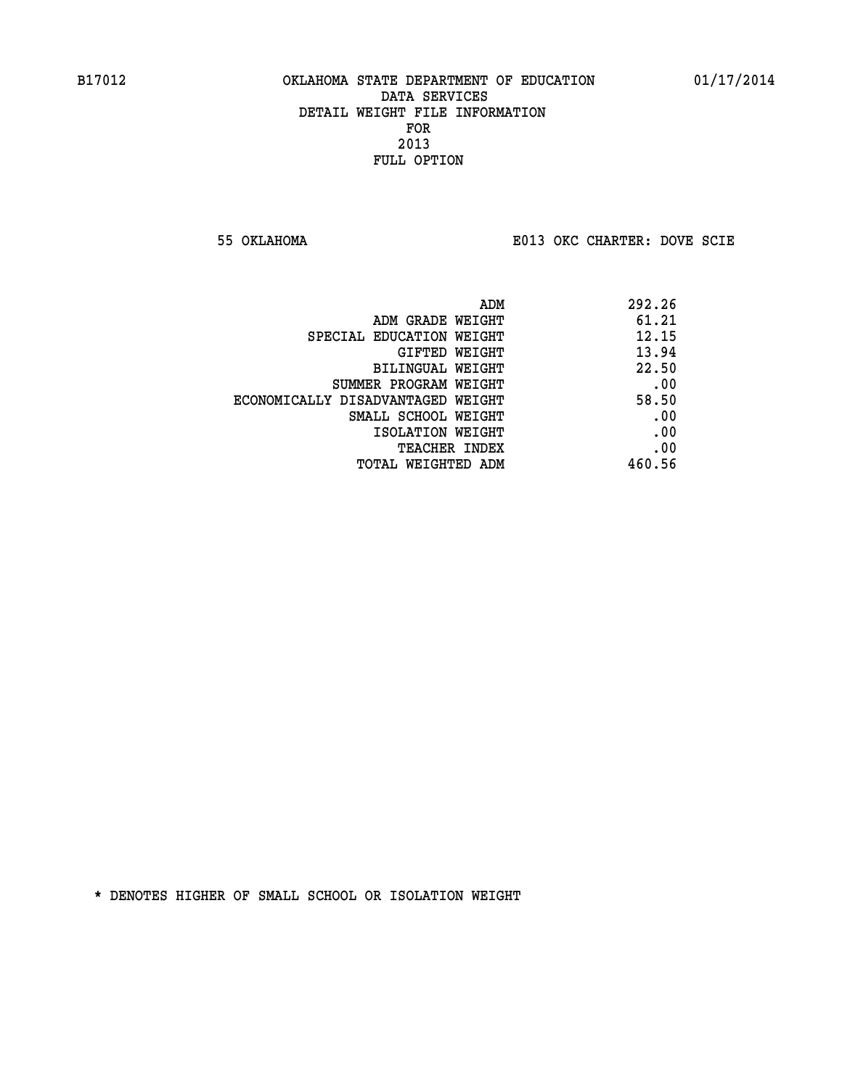**55 OKLAHOMA E013 OKC CHARTER: DOVE SCIE**

| ADM                               | 292.26 |
|-----------------------------------|--------|
| ADM GRADE WEIGHT                  | 61.21  |
| SPECIAL EDUCATION WEIGHT          | 12.15  |
| GIFTED WEIGHT                     | 13.94  |
| BILINGUAL WEIGHT                  | 22.50  |
| SUMMER PROGRAM WEIGHT             | .00    |
| ECONOMICALLY DISADVANTAGED WEIGHT | 58.50  |
| SMALL SCHOOL WEIGHT               | .00    |
| ISOLATION WEIGHT                  | .00    |
| <b>TEACHER INDEX</b>              | .00    |
| TOTAL WEIGHTED ADM                | 460.56 |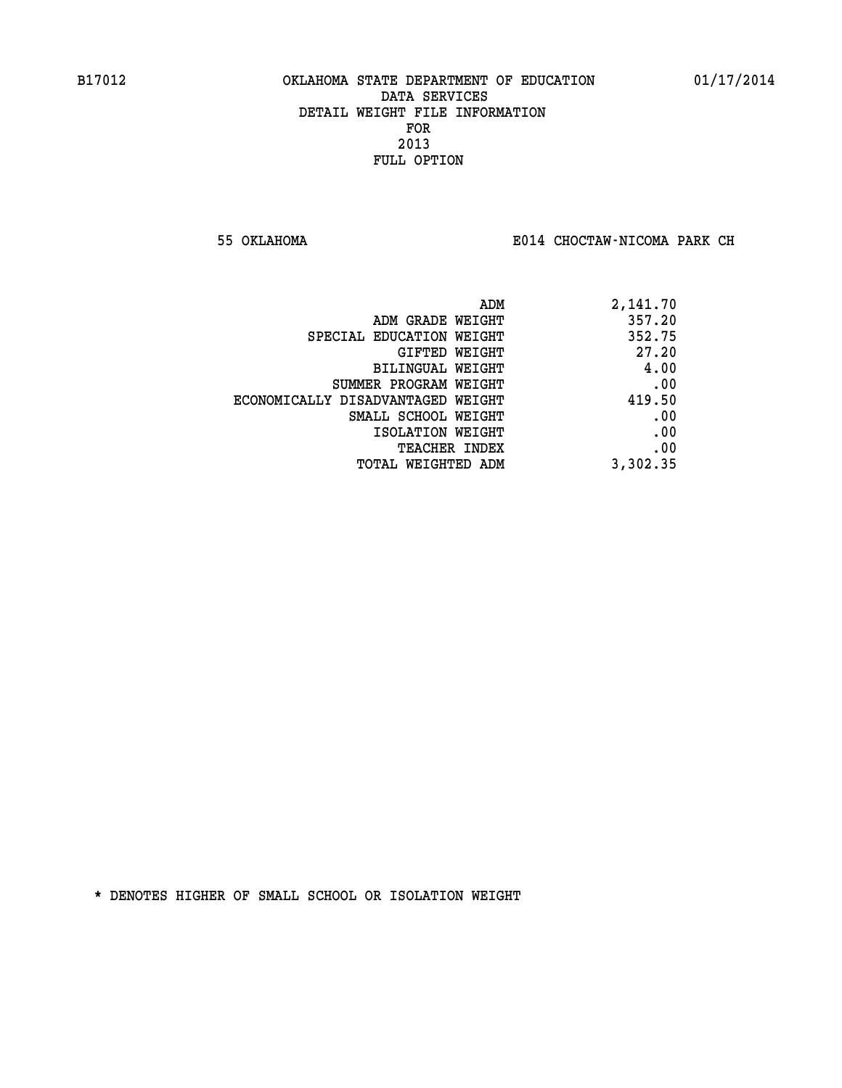**55 OKLAHOMA E014 CHOCTAW-NICOMA PARK CH**

| ADM                               | 2,141.70 |
|-----------------------------------|----------|
| ADM GRADE WEIGHT                  | 357.20   |
| SPECIAL EDUCATION WEIGHT          | 352.75   |
| GIFTED WEIGHT                     | 27.20    |
| BILINGUAL WEIGHT                  | 4.00     |
| SUMMER PROGRAM WEIGHT             | .00      |
| ECONOMICALLY DISADVANTAGED WEIGHT | 419.50   |
| SMALL SCHOOL WEIGHT               | .00      |
| ISOLATION WEIGHT                  | .00      |
| TEACHER INDEX                     | .00      |
| TOTAL WEIGHTED ADM                | 3,302.35 |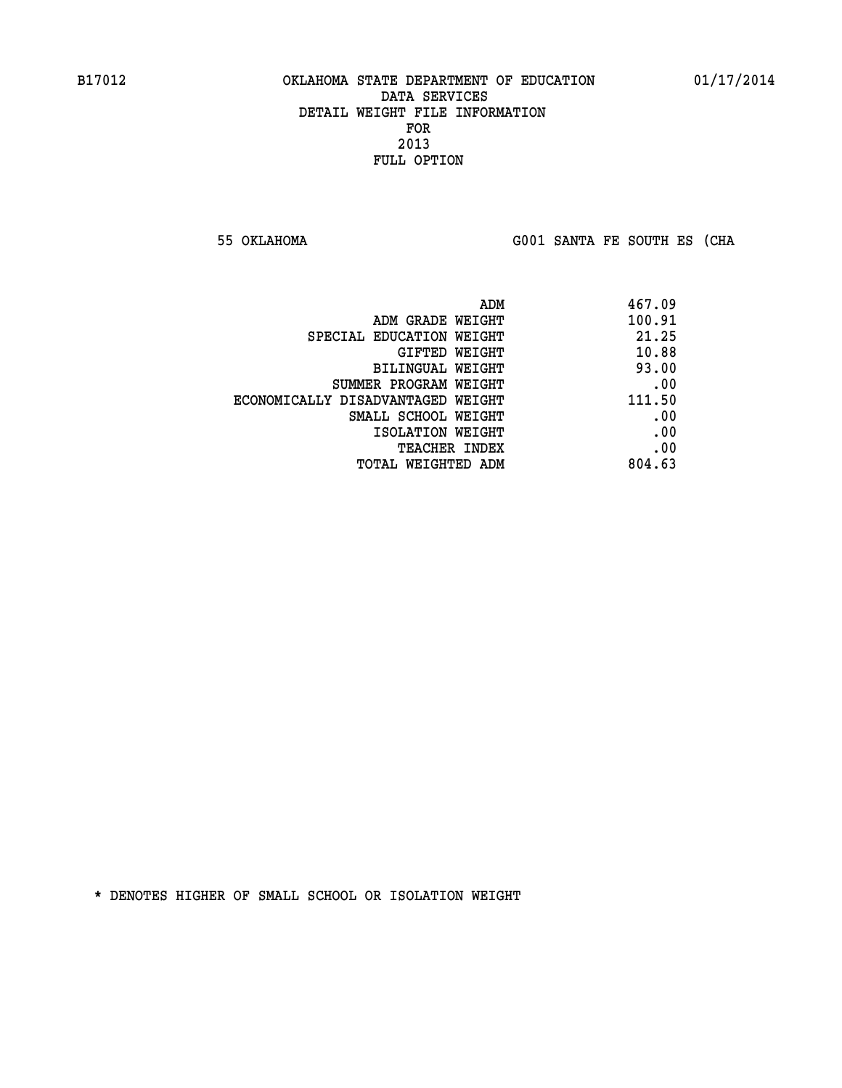**55 OKLAHOMA G001 SANTA FE SOUTH ES (CHA**

| 467.09 |
|--------|
| 100.91 |
| 21.25  |
| 10.88  |
| 93.00  |
| .00    |
| 111.50 |
| .00    |
| .00    |
| .00    |
| 804.63 |
|        |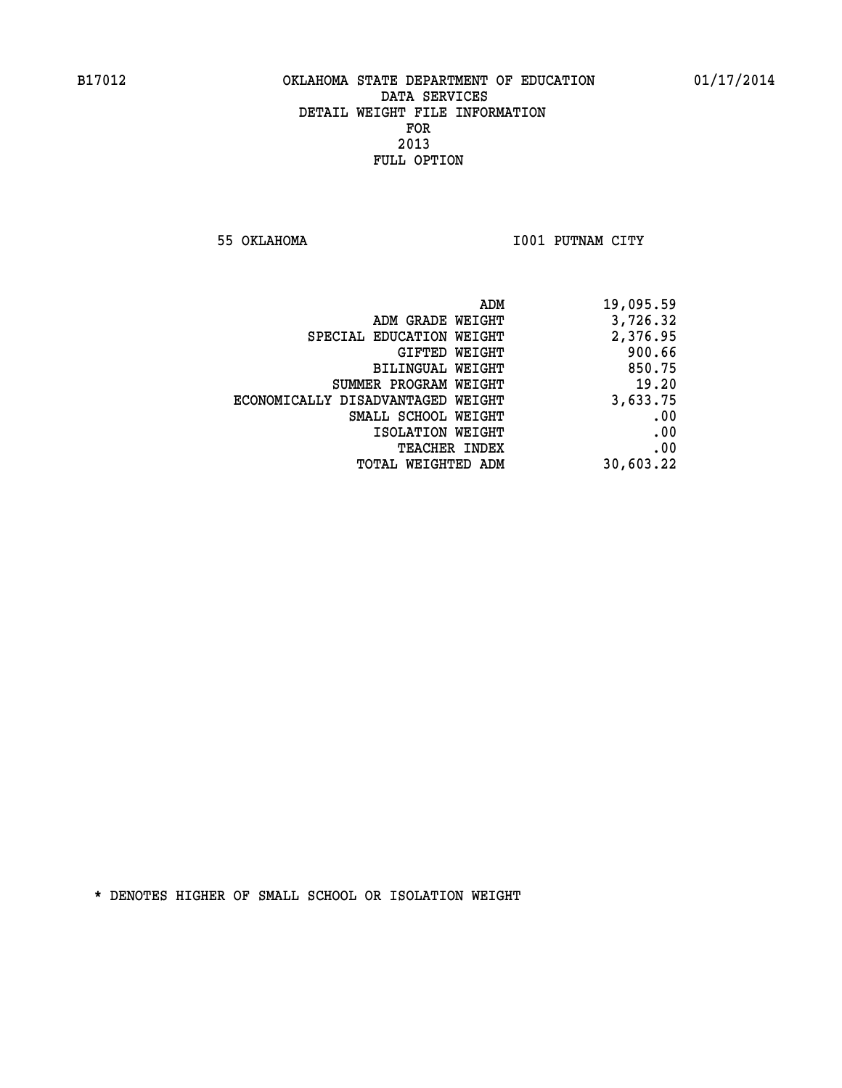**55 OKLAHOMA I001 PUTNAM CITY** 

| 19,095.59 |
|-----------|
| 3,726.32  |
| 2,376.95  |
| 900.66    |
| 850.75    |
| 19.20     |
| 3,633.75  |
| .00       |
| .00       |
| .00       |
| 30,603.22 |
|           |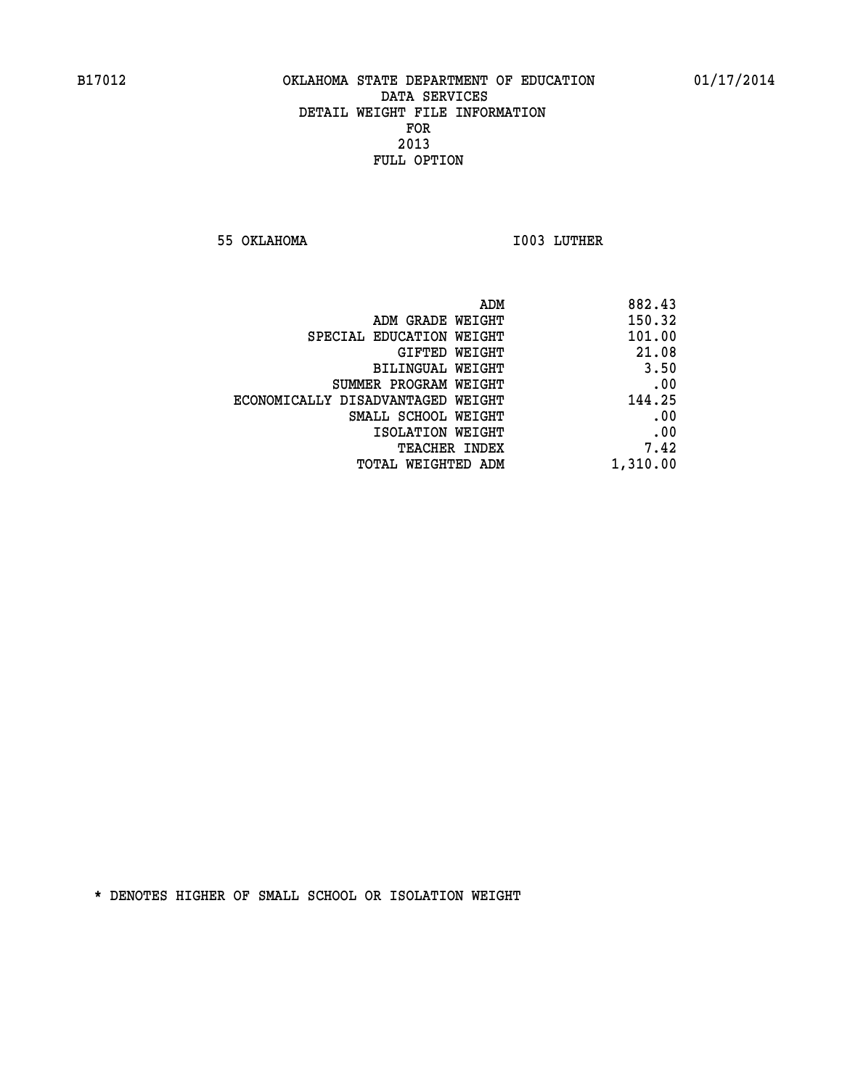**55 OKLAHOMA I003 LUTHER** 

| 882.43   | ADM                               |
|----------|-----------------------------------|
| 150.32   | ADM GRADE WEIGHT                  |
| 101.00   | SPECIAL EDUCATION WEIGHT          |
| 21.08    | GIFTED WEIGHT                     |
| 3.50     | BILINGUAL WEIGHT                  |
| .00      | SUMMER PROGRAM WEIGHT             |
| 144.25   | ECONOMICALLY DISADVANTAGED WEIGHT |
| .00      | SMALL SCHOOL WEIGHT               |
| .00      | ISOLATION WEIGHT                  |
| 7.42     | <b>TEACHER INDEX</b>              |
| 1,310.00 | TOTAL WEIGHTED ADM                |
|          |                                   |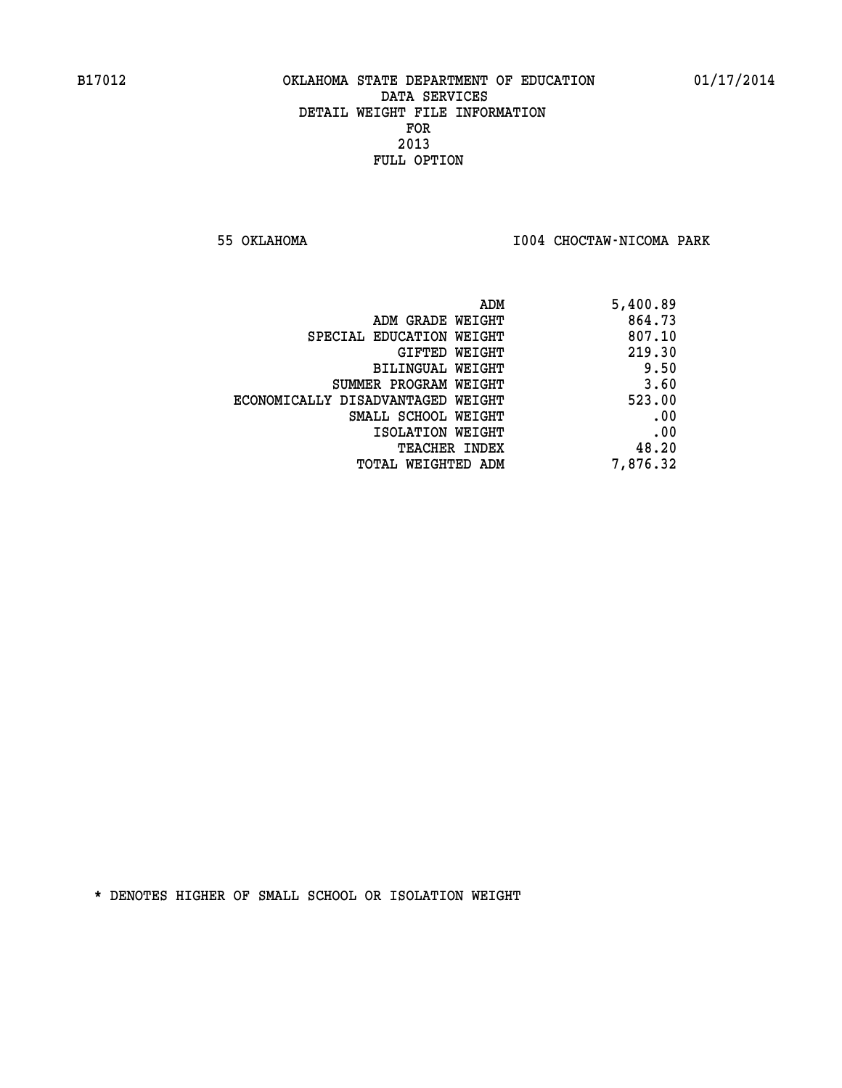**55 OKLAHOMA I004 CHOCTAW-NICOMA PARK** 

| 5,400.89 |
|----------|
| 864.73   |
| 807.10   |
| 219.30   |
| 9.50     |
| 3.60     |
| 523.00   |
| .00      |
| .00      |
| 48.20    |
| 7,876.32 |
|          |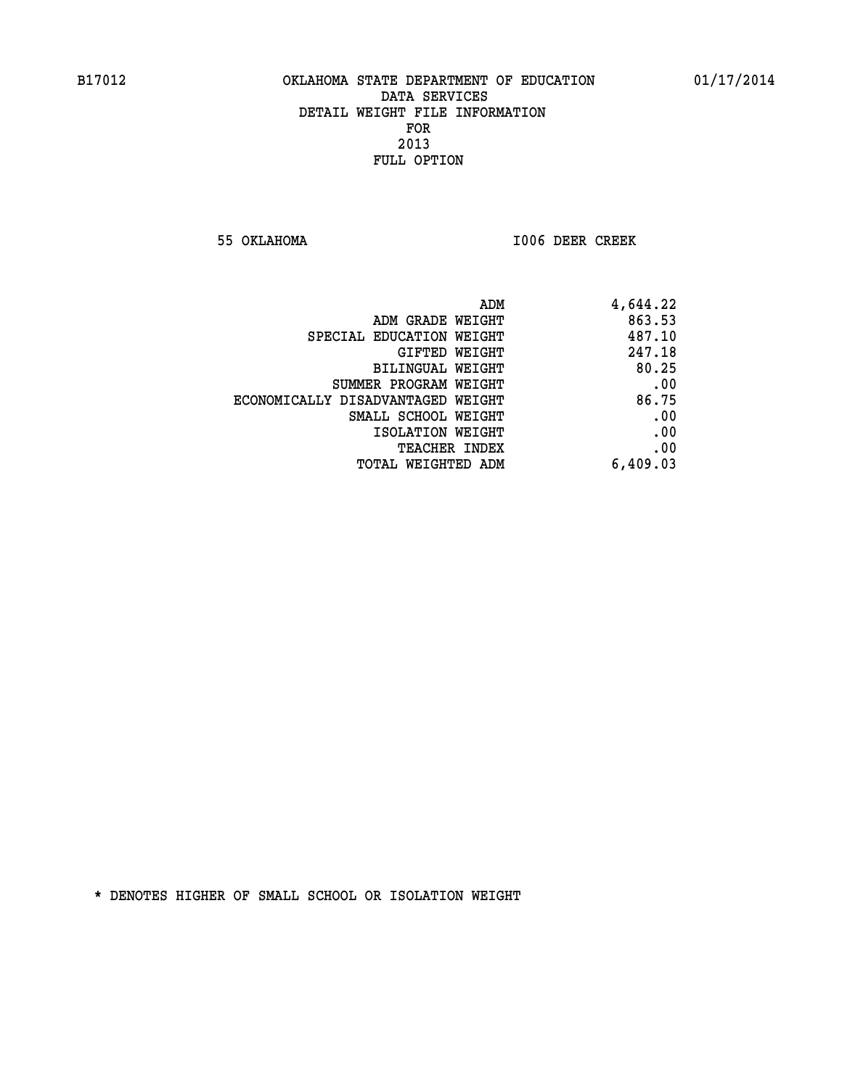**55 OKLAHOMA I006 DEER CREEK** 

| ADM                               | 4,644.22 |
|-----------------------------------|----------|
| ADM GRADE WEIGHT                  | 863.53   |
| SPECIAL EDUCATION WEIGHT          | 487.10   |
| GIFTED WEIGHT                     | 247.18   |
| BILINGUAL WEIGHT                  | 80.25    |
| SUMMER PROGRAM WEIGHT             | .00      |
| ECONOMICALLY DISADVANTAGED WEIGHT | 86.75    |
| SMALL SCHOOL WEIGHT               | .00      |
| ISOLATION WEIGHT                  | .00      |
| <b>TEACHER INDEX</b>              | .00      |
| <b>TOTAL WEIGHTED ADM</b>         | 6,409.03 |
|                                   |          |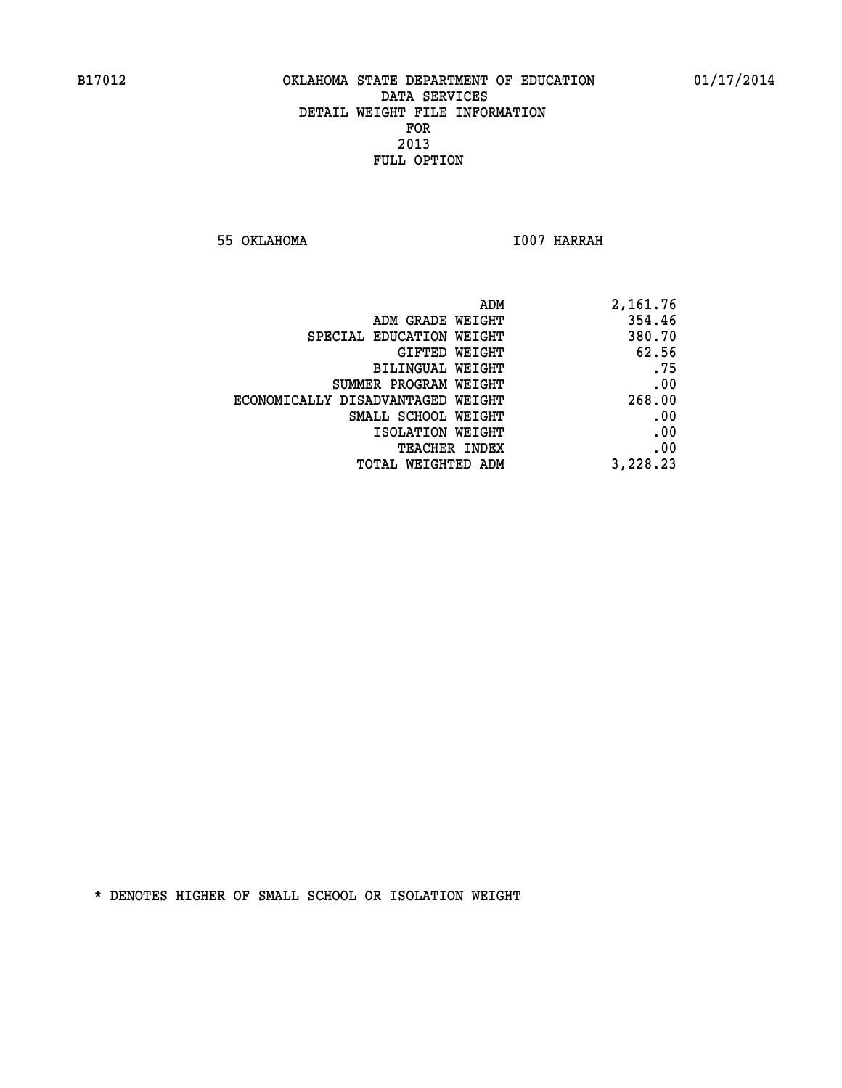**55 OKLAHOMA I007 HARRAH** 

| 2,161.76 | ADM                               |  |
|----------|-----------------------------------|--|
| 354.46   | ADM GRADE WEIGHT                  |  |
| 380.70   | SPECIAL EDUCATION WEIGHT          |  |
| 62.56    | GIFTED WEIGHT                     |  |
| .75      | BILINGUAL WEIGHT                  |  |
| .00      | SUMMER PROGRAM WEIGHT             |  |
| 268.00   | ECONOMICALLY DISADVANTAGED WEIGHT |  |
| .00      | SMALL SCHOOL WEIGHT               |  |
| .00      | ISOLATION WEIGHT                  |  |
| .00      | <b>TEACHER INDEX</b>              |  |
| 3,228.23 | <b>TOTAL WEIGHTED ADM</b>         |  |
|          |                                   |  |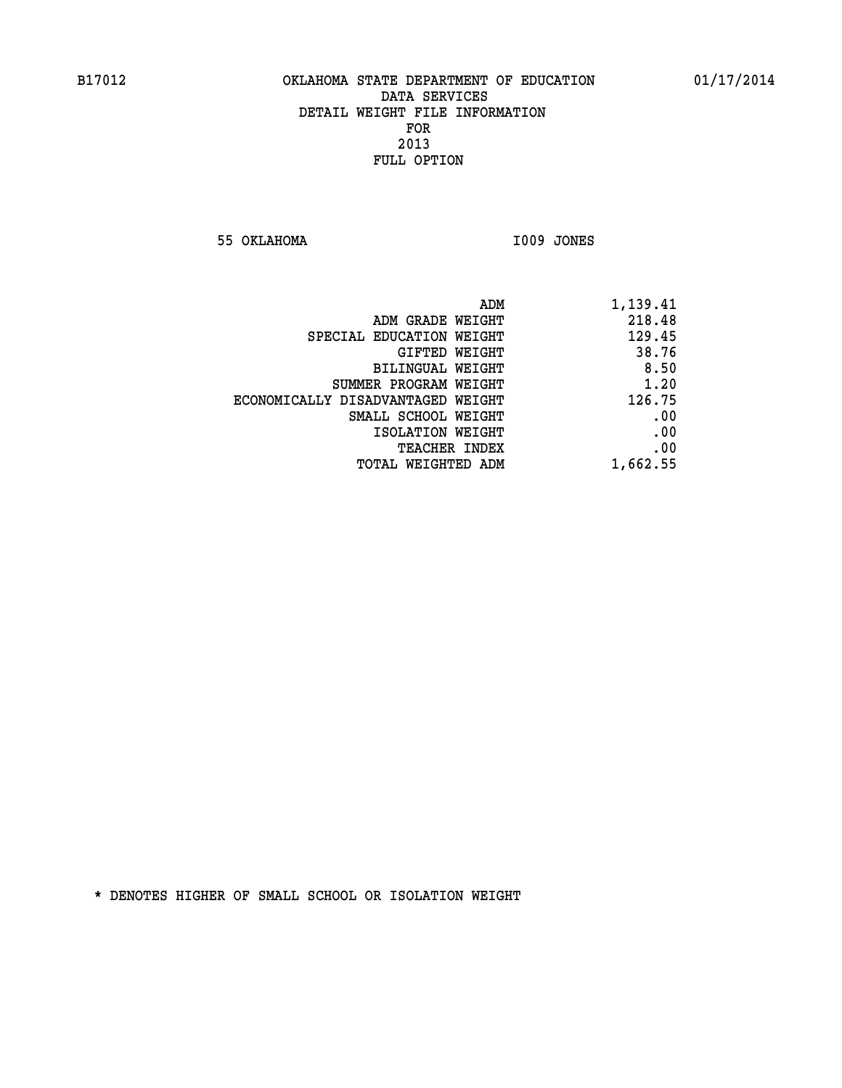**55 OKLAHOMA I009 JONES** 

| 218.48<br>ADM GRADE WEIGHT<br>129.45<br>SPECIAL EDUCATION WEIGHT<br>38.76<br>GIFTED WEIGHT<br>8.50<br><b>BILINGUAL WEIGHT</b><br>1.20<br>SUMMER PROGRAM WEIGHT<br>126.75<br>ECONOMICALLY DISADVANTAGED WEIGHT<br>.00<br>SMALL SCHOOL WEIGHT<br>.00<br>ISOLATION WEIGHT<br>.00<br>TEACHER INDEX<br>1,662.55<br>TOTAL WEIGHTED ADM | ADM<br>1,139.41 |
|----------------------------------------------------------------------------------------------------------------------------------------------------------------------------------------------------------------------------------------------------------------------------------------------------------------------------------|-----------------|
|                                                                                                                                                                                                                                                                                                                                  |                 |
|                                                                                                                                                                                                                                                                                                                                  |                 |
|                                                                                                                                                                                                                                                                                                                                  |                 |
|                                                                                                                                                                                                                                                                                                                                  |                 |
|                                                                                                                                                                                                                                                                                                                                  |                 |
|                                                                                                                                                                                                                                                                                                                                  |                 |
|                                                                                                                                                                                                                                                                                                                                  |                 |
|                                                                                                                                                                                                                                                                                                                                  |                 |
|                                                                                                                                                                                                                                                                                                                                  |                 |
|                                                                                                                                                                                                                                                                                                                                  |                 |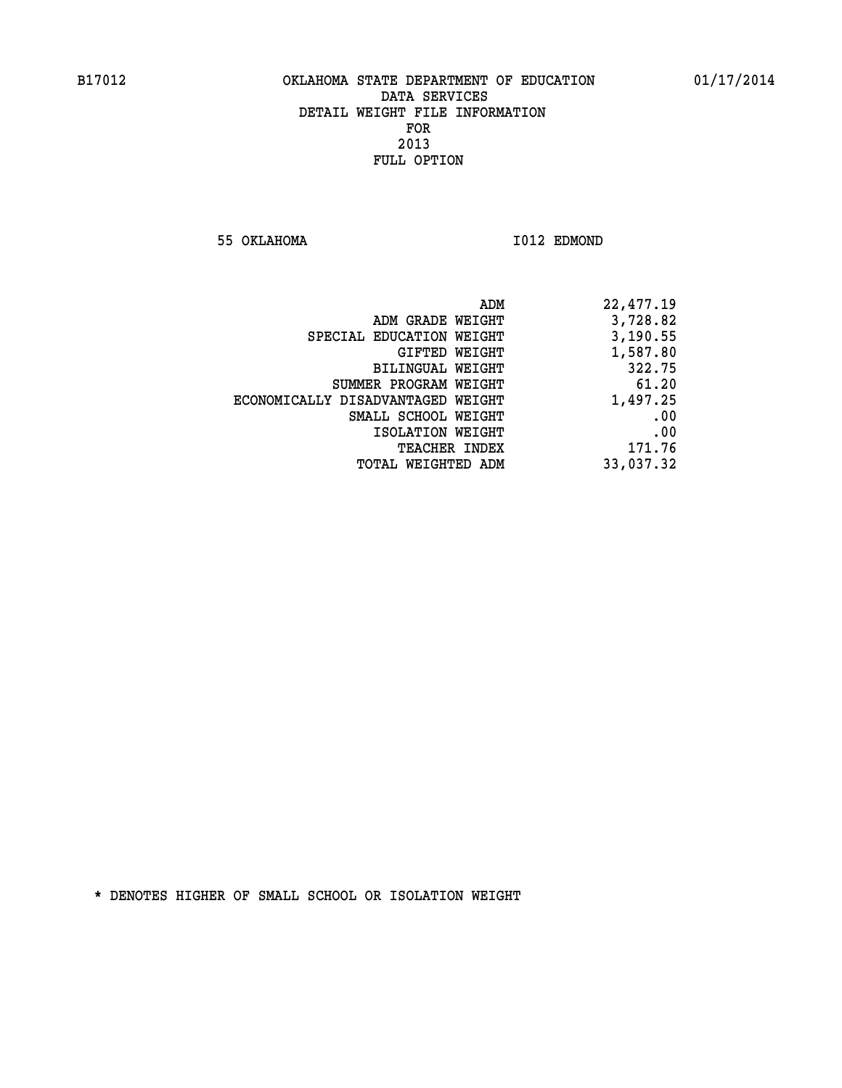**55 OKLAHOMA I012 EDMOND** 

| 22,477.19 |
|-----------|
| 3,728.82  |
| 3,190.55  |
| 1,587.80  |
| 322.75    |
| 61.20     |
| 1,497.25  |
| .00       |
| .00       |
| 171.76    |
| 33,037.32 |
|           |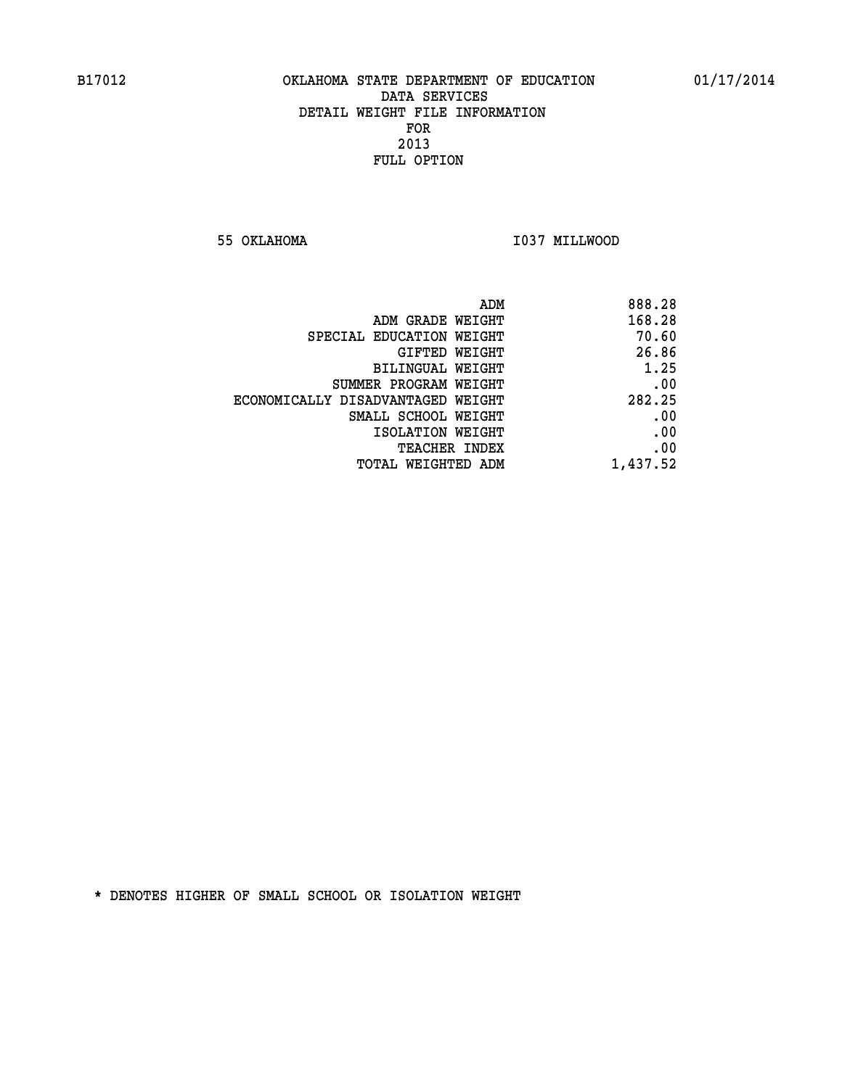**55 OKLAHOMA I037 MILLWOOD** 

|                                   | ADM<br>888.28 |
|-----------------------------------|---------------|
| ADM GRADE WEIGHT                  | 168.28        |
| SPECIAL EDUCATION WEIGHT          | 70.60         |
| <b>GIFTED WEIGHT</b>              | 26.86         |
| <b>BILINGUAL WEIGHT</b>           | 1.25          |
| SUMMER PROGRAM WEIGHT             | .00           |
| ECONOMICALLY DISADVANTAGED WEIGHT | 282.25        |
| SMALL SCHOOL WEIGHT               | .00           |
| ISOLATION WEIGHT                  | .00           |
| TEACHER INDEX                     | .00           |
| TOTAL WEIGHTED ADM                | 1,437.52      |
|                                   |               |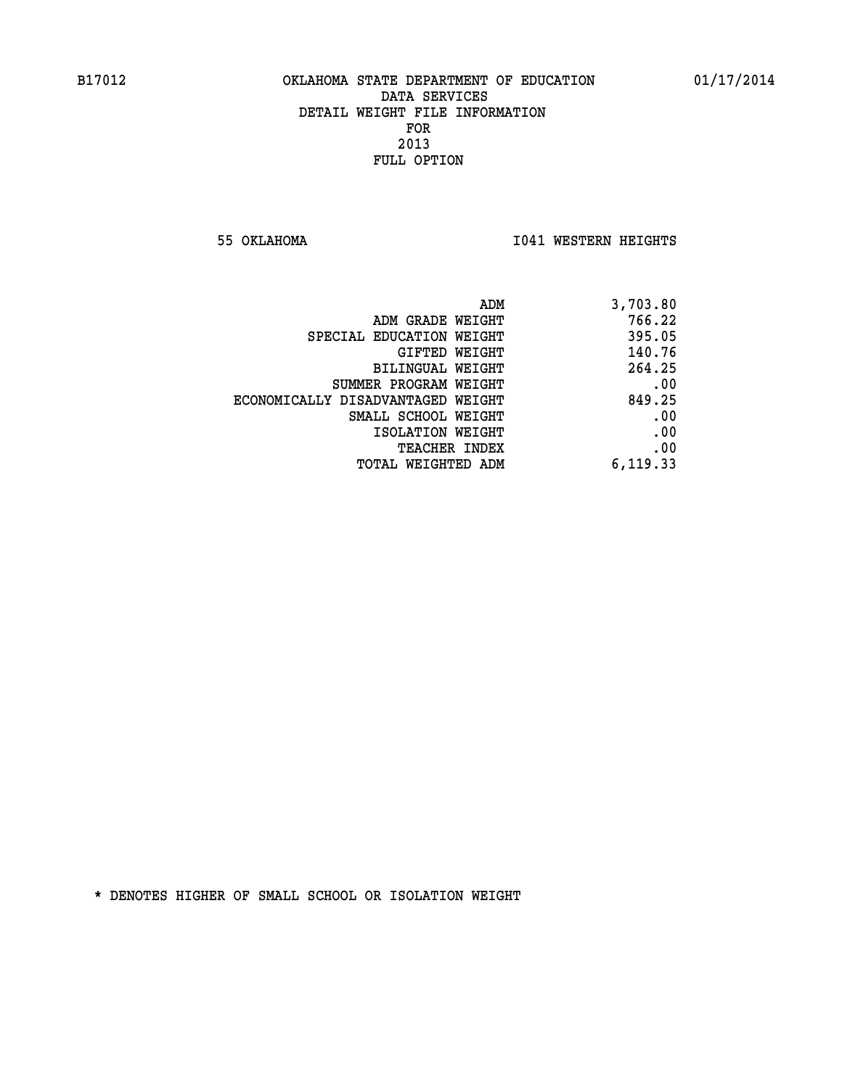**55 OKLAHOMA I041 WESTERN HEIGHTS** 

|                                   | 3,703.80<br>ADM |        |
|-----------------------------------|-----------------|--------|
| ADM GRADE WEIGHT                  |                 | 766.22 |
| SPECIAL EDUCATION WEIGHT          |                 | 395.05 |
| GIFTED WEIGHT                     |                 | 140.76 |
| BILINGUAL WEIGHT                  |                 | 264.25 |
| SUMMER PROGRAM WEIGHT             |                 | .00    |
| ECONOMICALLY DISADVANTAGED WEIGHT |                 | 849.25 |
| SMALL SCHOOL WEIGHT               |                 | .00    |
| ISOLATION WEIGHT                  |                 | .00    |
| <b>TEACHER INDEX</b>              |                 | .00    |
| TOTAL WEIGHTED ADM                | 6, 119.33       |        |
|                                   |                 |        |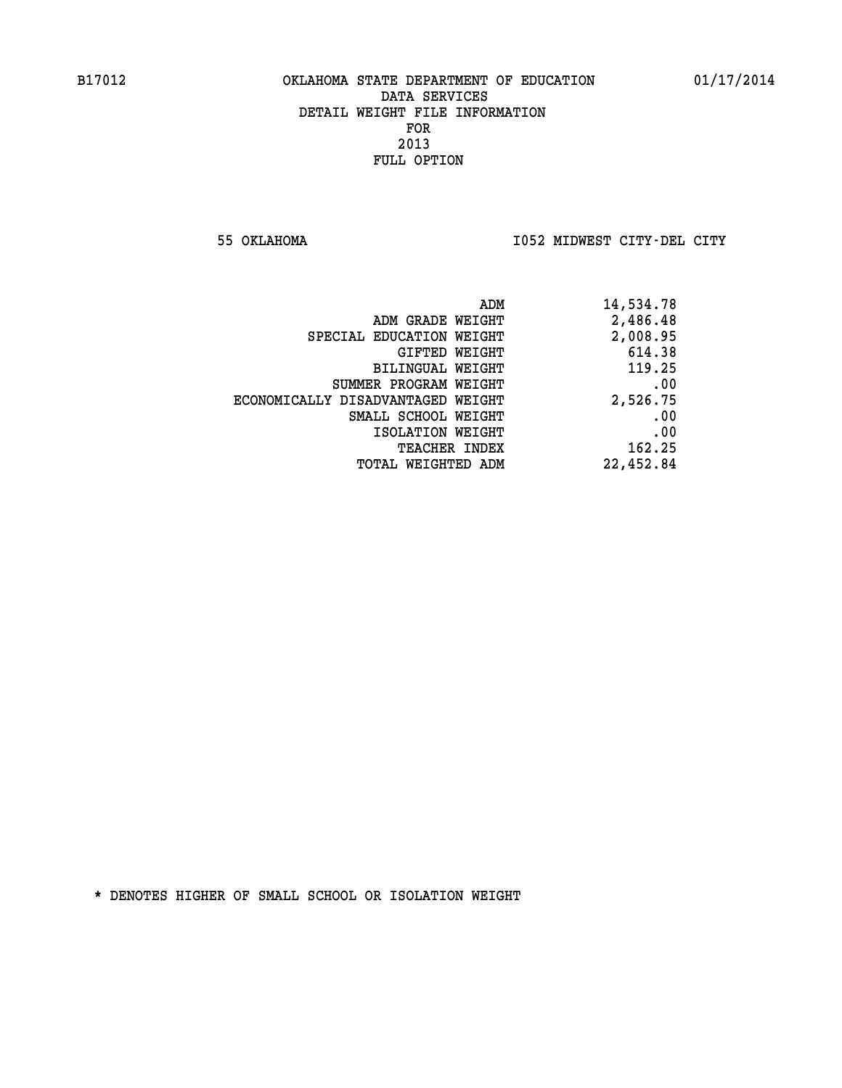**55 OKLAHOMA I052 MIDWEST CITY-DEL CITY** 

| ADM                               | 14,534.78 |
|-----------------------------------|-----------|
| ADM GRADE WEIGHT                  | 2,486.48  |
| SPECIAL EDUCATION WEIGHT          | 2,008.95  |
| GIFTED WEIGHT                     | 614.38    |
| BILINGUAL WEIGHT                  | 119.25    |
| SUMMER PROGRAM WEIGHT             | .00       |
| ECONOMICALLY DISADVANTAGED WEIGHT | 2,526.75  |
| SMALL SCHOOL WEIGHT               | .00       |
| ISOLATION WEIGHT                  | .00       |
| TEACHER INDEX                     | 162.25    |
| TOTAL WEIGHTED ADM                | 22,452.84 |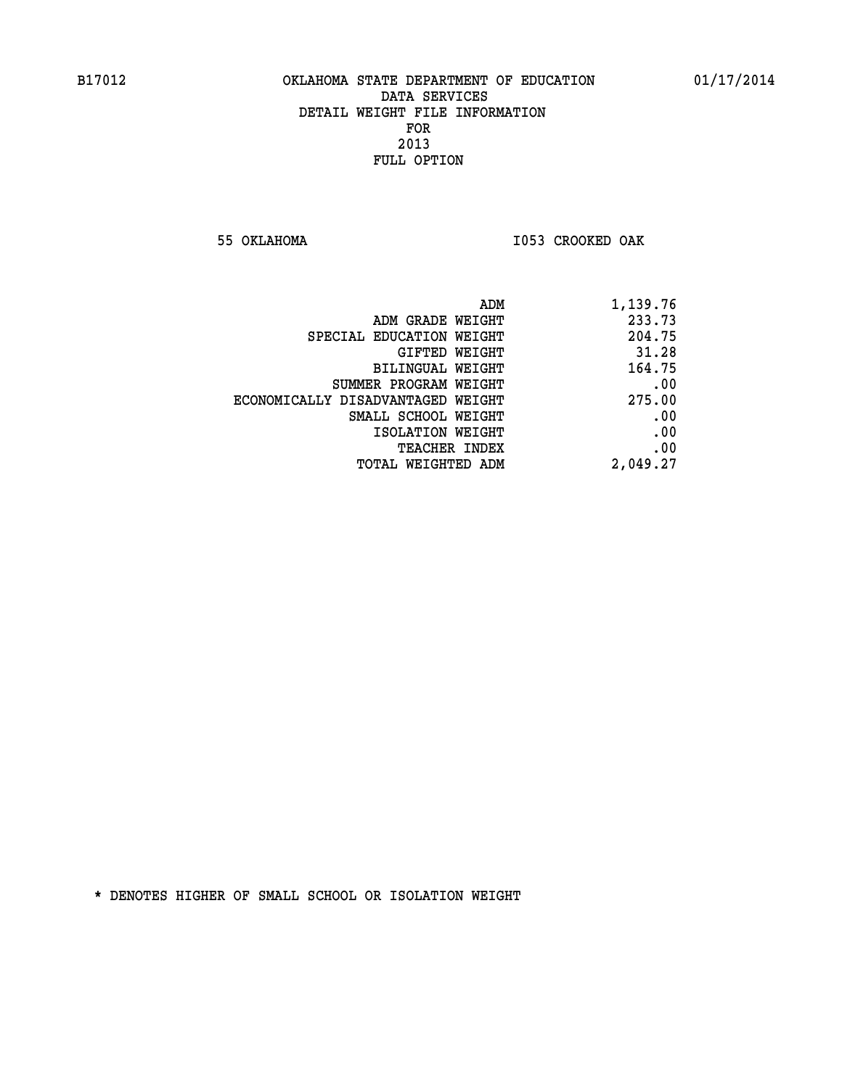**55 OKLAHOMA I053 CROOKED OAK** 

| ADM                               | 1,139.76 |
|-----------------------------------|----------|
| ADM GRADE WEIGHT                  | 233.73   |
| SPECIAL EDUCATION WEIGHT          | 204.75   |
| GIFTED WEIGHT                     | 31.28    |
| BILINGUAL WEIGHT                  | 164.75   |
| SUMMER PROGRAM WEIGHT             | .00      |
| ECONOMICALLY DISADVANTAGED WEIGHT | 275.00   |
| SMALL SCHOOL WEIGHT               | .00      |
| ISOLATION WEIGHT                  | .00      |
| <b>TEACHER INDEX</b>              | .00      |
| TOTAL WEIGHTED ADM                | 2,049.27 |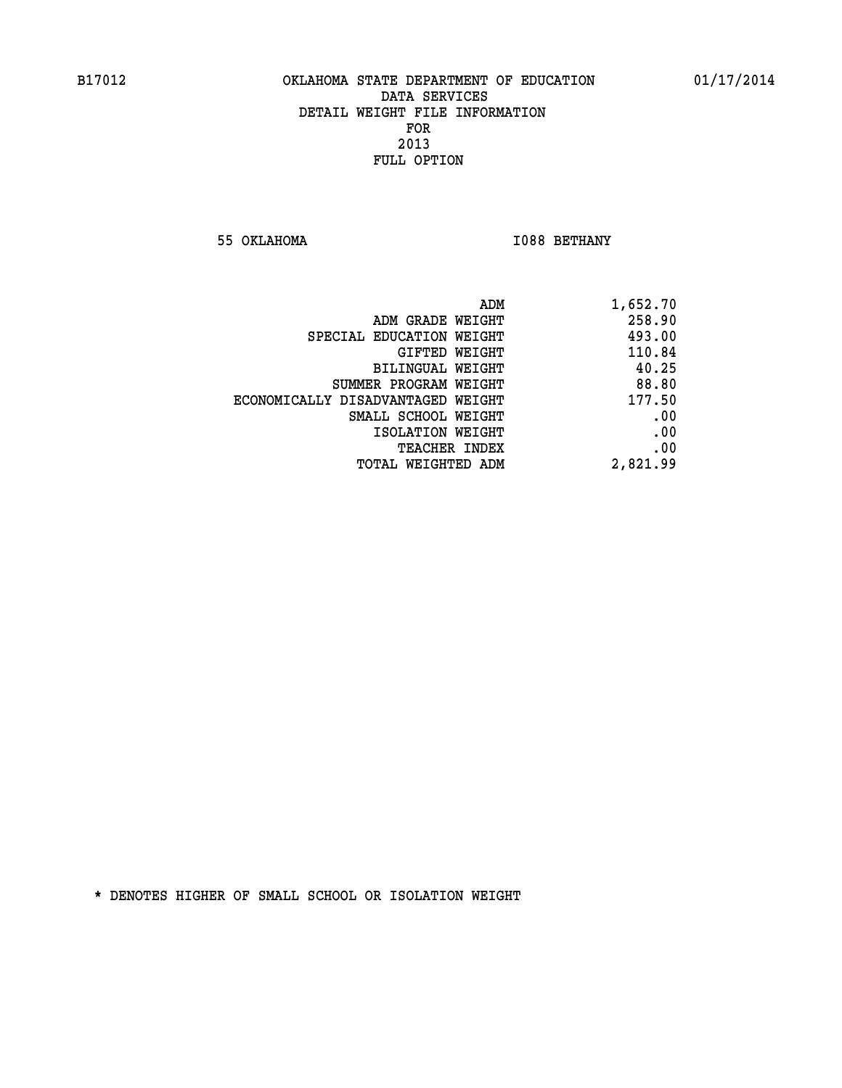**55 OKLAHOMA I088 BETHANY** 

| 1,652.70 |
|----------|
| 258.90   |
| 493.00   |
| 110.84   |
| 40.25    |
| 88.80    |
| 177.50   |
| .00      |
| .00      |
| .00      |
| 2,821.99 |
|          |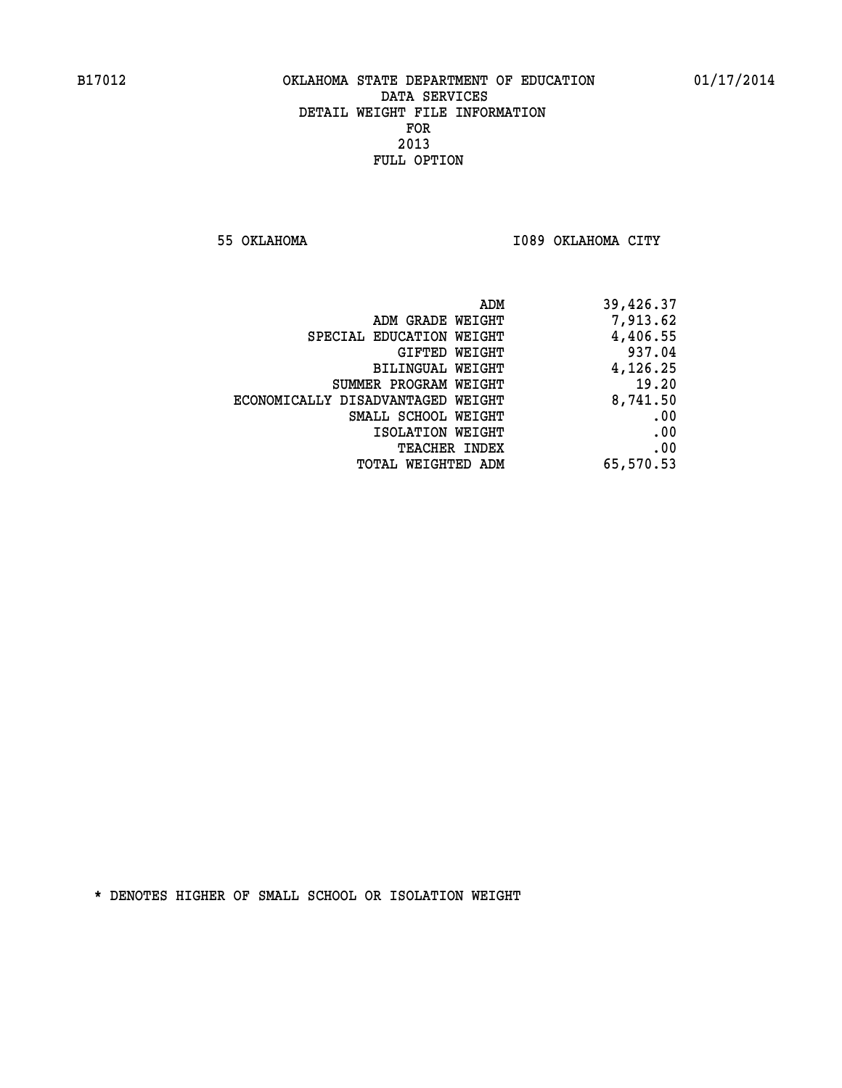**55 OKLAHOMA I089 OKLAHOMA CITY** 

| ADM                               | 39,426.37 |
|-----------------------------------|-----------|
| ADM GRADE WEIGHT                  | 7,913.62  |
| SPECIAL EDUCATION WEIGHT          | 4,406.55  |
| GIFTED WEIGHT                     | 937.04    |
| BILINGUAL WEIGHT                  | 4,126.25  |
| SUMMER PROGRAM WEIGHT             | 19.20     |
| ECONOMICALLY DISADVANTAGED WEIGHT | 8,741.50  |
| SMALL SCHOOL WEIGHT               | .00       |
| ISOLATION WEIGHT                  | .00       |
| <b>TEACHER INDEX</b>              | .00       |
| TOTAL WEIGHTED ADM                | 65,570.53 |
|                                   |           |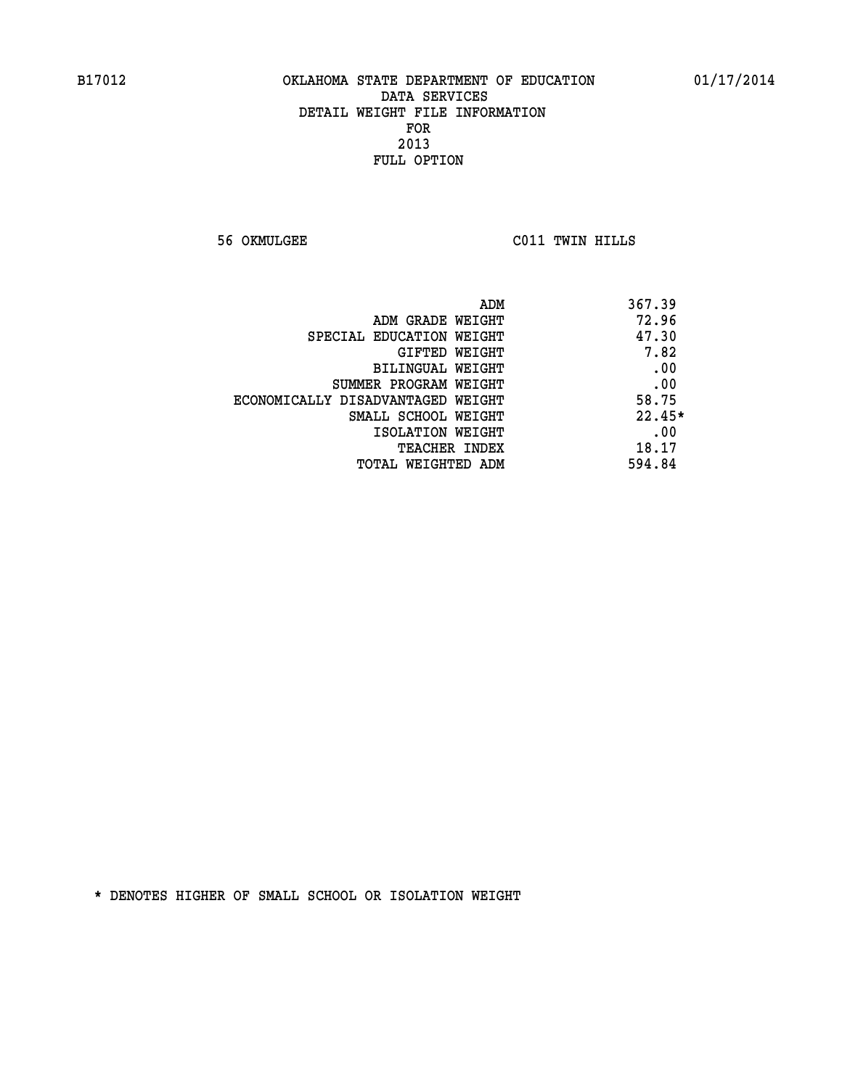**56 OKMULGEE C011 TWIN HILLS** 

| ADM                               | 367.39   |
|-----------------------------------|----------|
| ADM GRADE WEIGHT                  | 72.96    |
| SPECIAL EDUCATION WEIGHT          | 47.30    |
| <b>GIFTED WEIGHT</b>              | 7.82     |
| BILINGUAL WEIGHT                  | .00      |
| SUMMER PROGRAM WEIGHT             | .00      |
| ECONOMICALLY DISADVANTAGED WEIGHT | 58.75    |
| SMALL SCHOOL WEIGHT               | $22.45*$ |
| ISOLATION WEIGHT                  | .00      |
| <b>TEACHER INDEX</b>              | 18.17    |
| TOTAL WEIGHTED ADM                | 594.84   |
|                                   |          |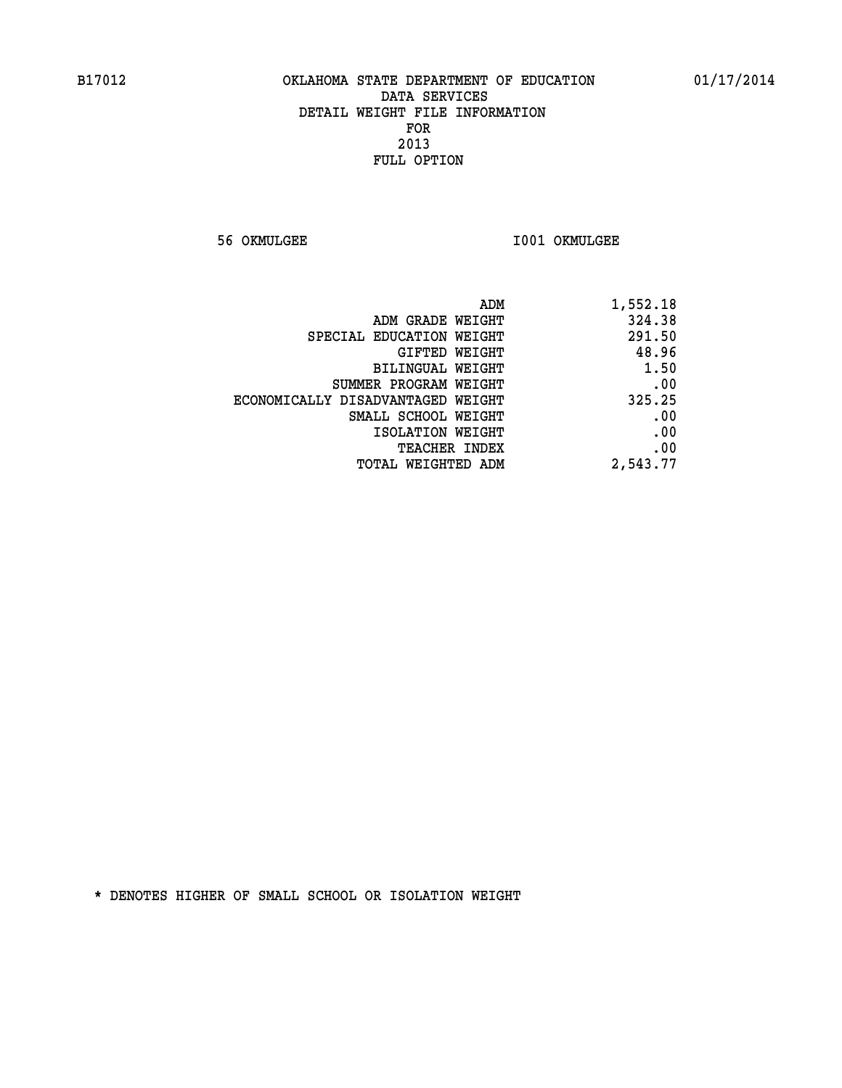**56 OKMULGEE I001 OKMULGEE** 

| 1,552.18 | ADM                               |  |
|----------|-----------------------------------|--|
| 324.38   | ADM GRADE WEIGHT                  |  |
| 291.50   | SPECIAL EDUCATION WEIGHT          |  |
| 48.96    | GIFTED WEIGHT                     |  |
| 1.50     | BILINGUAL WEIGHT                  |  |
| .00      | SUMMER PROGRAM WEIGHT             |  |
| 325.25   | ECONOMICALLY DISADVANTAGED WEIGHT |  |
| .00      | SMALL SCHOOL WEIGHT               |  |
| .00      | ISOLATION WEIGHT                  |  |
| .00      | <b>TEACHER INDEX</b>              |  |
| 2,543.77 | <b>TOTAL WEIGHTED ADM</b>         |  |
|          |                                   |  |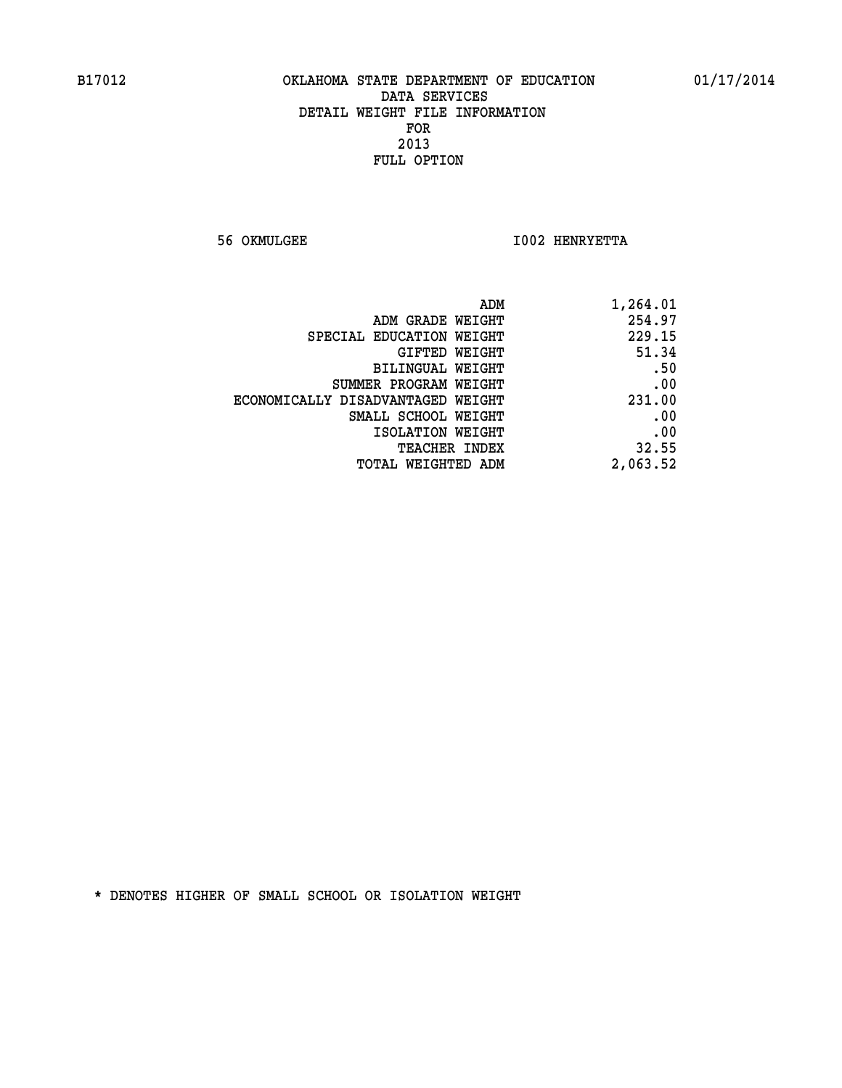**56 OKMULGEE I002 HENRYETTA** 

| ADM<br>1,264.01                |                                   |
|--------------------------------|-----------------------------------|
| 254.97<br>ADM GRADE WEIGHT     |                                   |
| 229.15                         | SPECIAL EDUCATION WEIGHT          |
| 51.34<br>GIFTED WEIGHT         |                                   |
| .50<br><b>BILINGUAL WEIGHT</b> |                                   |
| .00                            | SUMMER PROGRAM WEIGHT             |
| 231.00                         | ECONOMICALLY DISADVANTAGED WEIGHT |
| .00                            | SMALL SCHOOL WEIGHT               |
| .00<br>ISOLATION WEIGHT        |                                   |
| 32.55<br>TEACHER INDEX         |                                   |
| 2,063.52                       | TOTAL WEIGHTED ADM                |
|                                |                                   |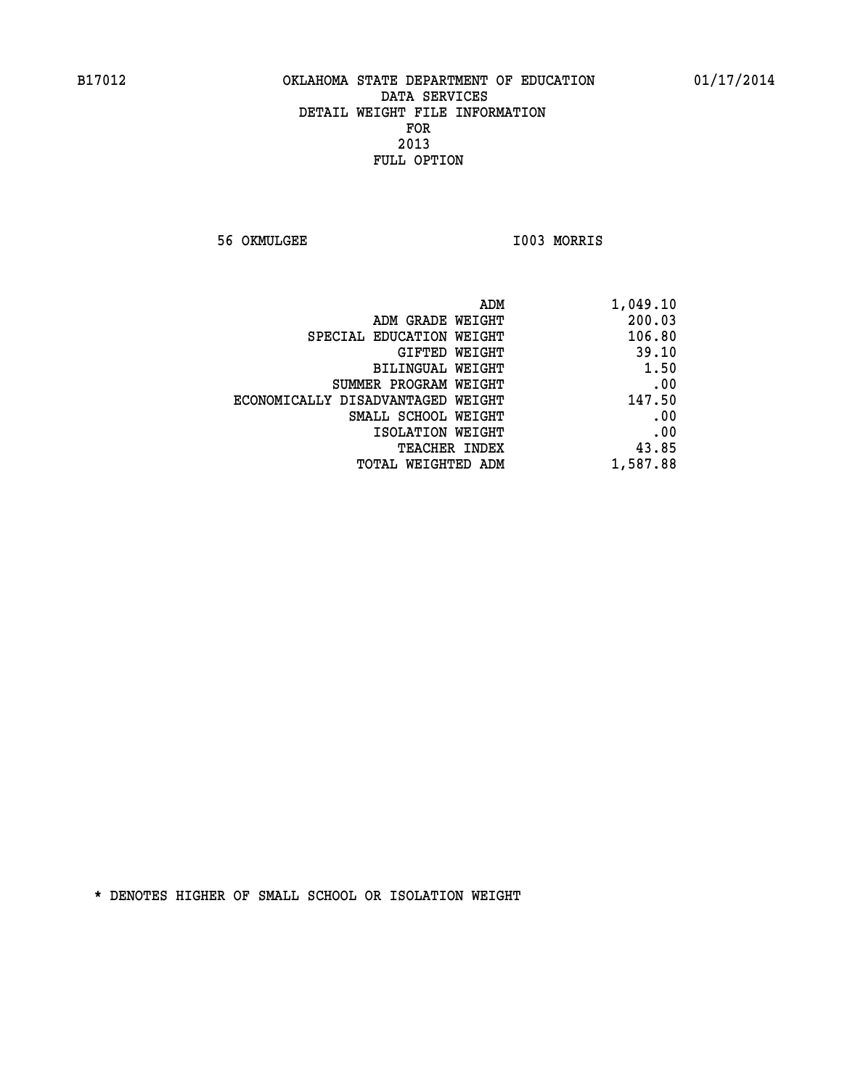**56 OKMULGEE I003 MORRIS** 

| 1,049.10 |
|----------|
| 200.03   |
| 106.80   |
| 39.10    |
| 1.50     |
| .00      |
| 147.50   |
| .00      |
| .00      |
| 43.85    |
| 1,587.88 |
|          |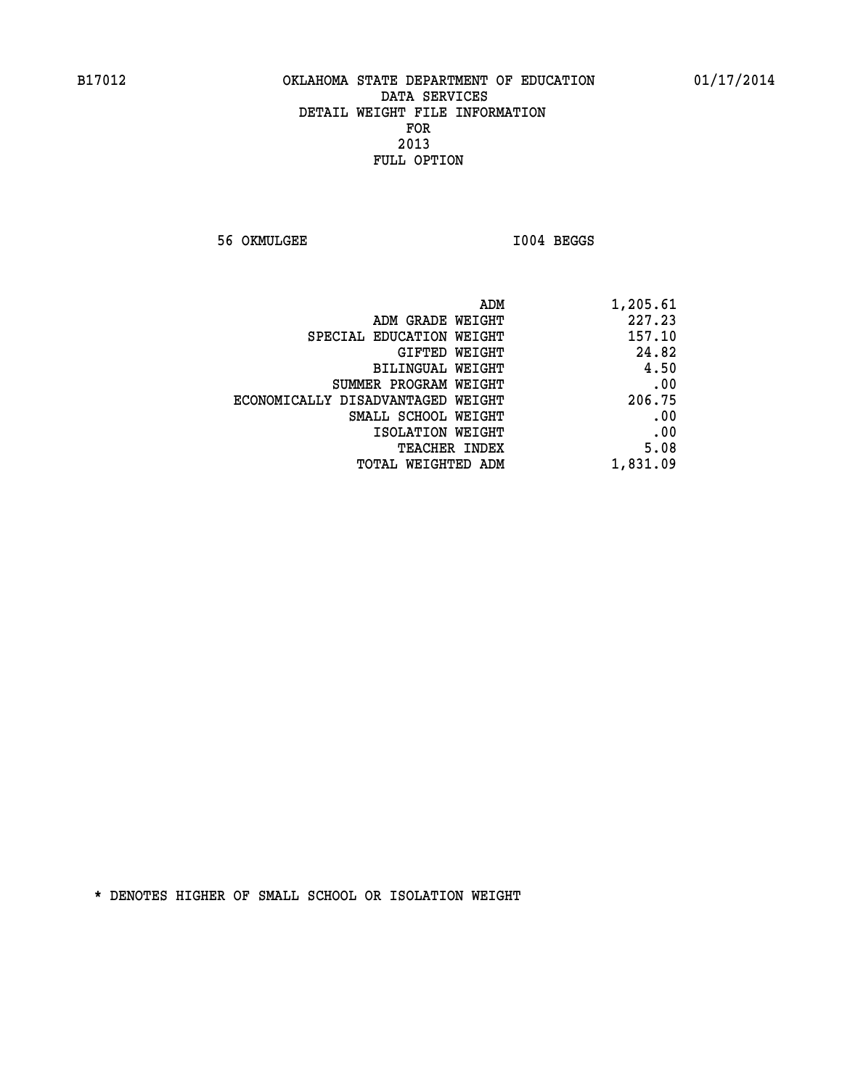**56 OKMULGEE I004 BEGGS** 

| ADM<br>1,205.61 |                                   |
|-----------------|-----------------------------------|
| 227.23          | ADM GRADE WEIGHT                  |
| 157.10          | SPECIAL EDUCATION WEIGHT          |
| 24.82           | GIFTED WEIGHT                     |
| 4.50            | BILINGUAL WEIGHT                  |
| .00             | SUMMER PROGRAM WEIGHT             |
| 206.75          | ECONOMICALLY DISADVANTAGED WEIGHT |
| .00             | SMALL SCHOOL WEIGHT               |
| .00             | ISOLATION WEIGHT                  |
| 5.08            | <b>TEACHER INDEX</b>              |
| 1,831.09        | <b>TOTAL WEIGHTED ADM</b>         |
|                 |                                   |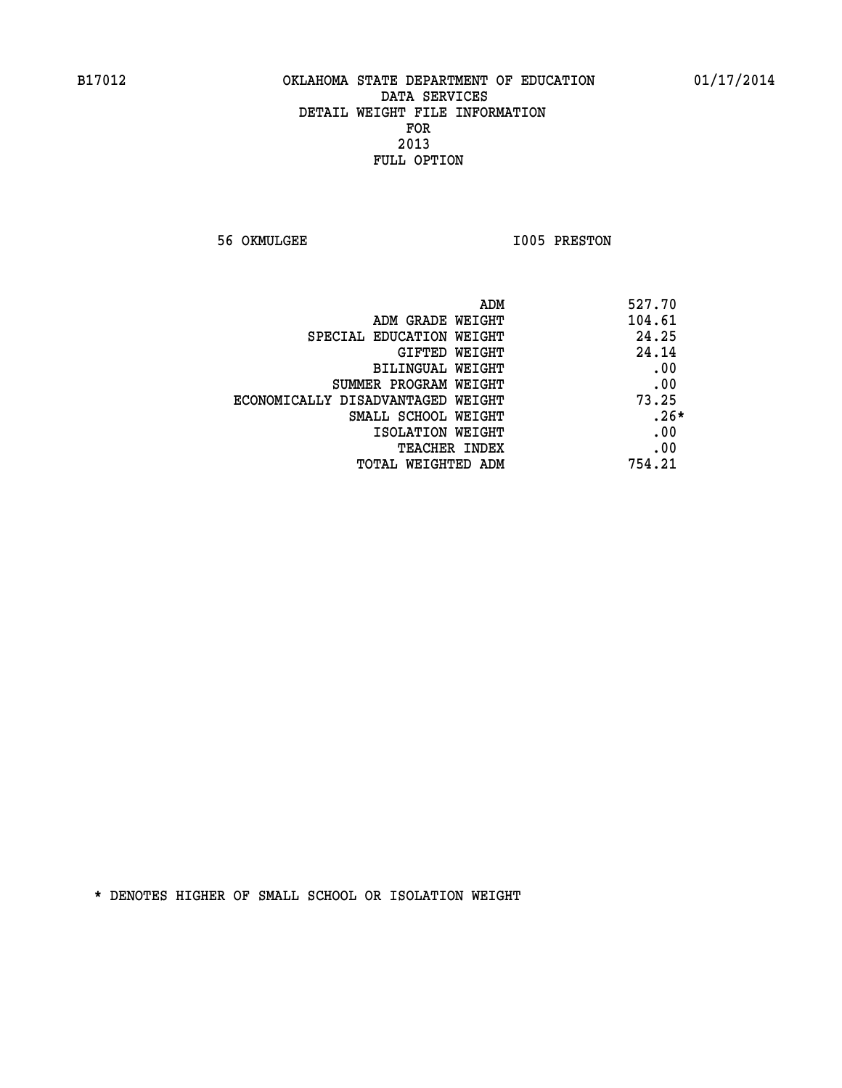**56 OKMULGEE 1005 PRESTON** 

| 527.70 | ADM                               |
|--------|-----------------------------------|
| 104.61 | ADM GRADE WEIGHT                  |
| 24.25  | SPECIAL EDUCATION WEIGHT          |
| 24.14  | <b>GIFTED WEIGHT</b>              |
| .00    | BILINGUAL WEIGHT                  |
| .00    | SUMMER PROGRAM WEIGHT             |
| 73.25  | ECONOMICALLY DISADVANTAGED WEIGHT |
| $.26*$ | SMALL SCHOOL WEIGHT               |
| .00    | ISOLATION WEIGHT                  |
| .00    | <b>TEACHER INDEX</b>              |
| 754.21 | TOTAL WEIGHTED ADM                |
|        |                                   |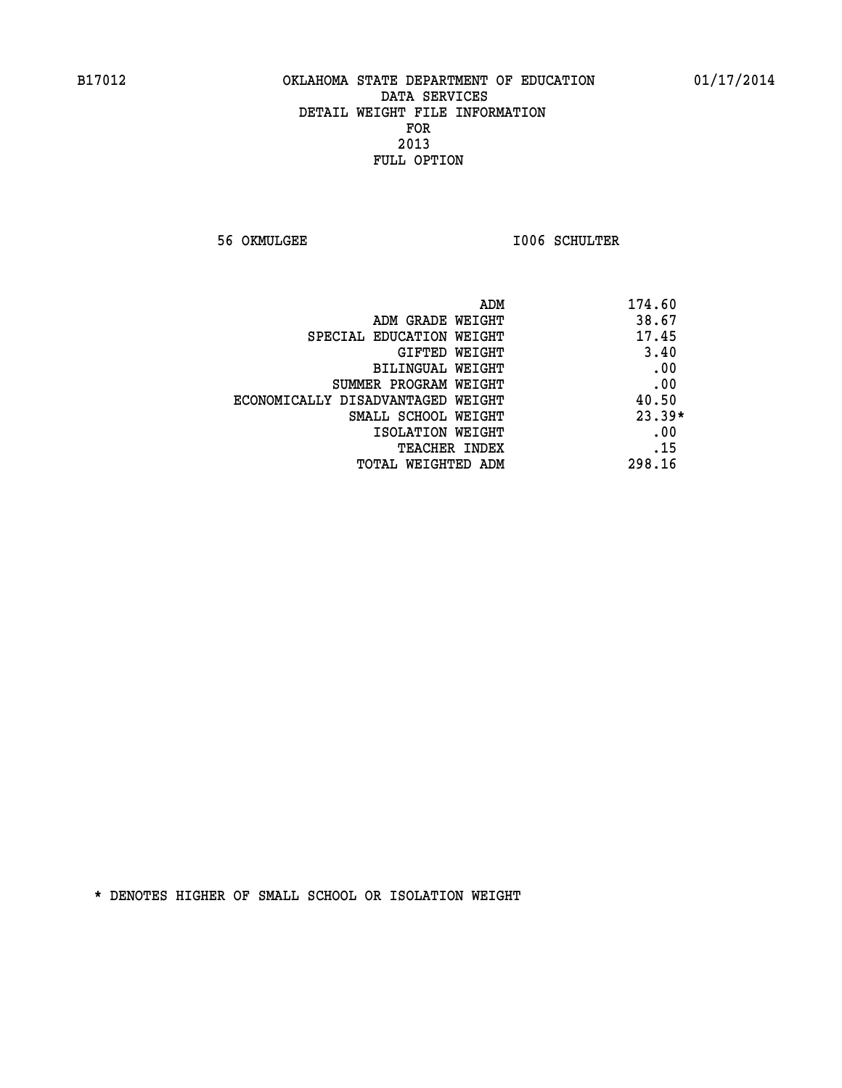**56 OKMULGEE I006 SCHULTER** 

| ADM                               | 174.60   |
|-----------------------------------|----------|
| ADM GRADE WEIGHT                  | 38.67    |
| SPECIAL EDUCATION WEIGHT          | 17.45    |
| GIFTED WEIGHT                     | 3.40     |
| BILINGUAL WEIGHT                  | .00      |
| SUMMER PROGRAM WEIGHT             | .00      |
| ECONOMICALLY DISADVANTAGED WEIGHT | 40.50    |
| SMALL SCHOOL WEIGHT               | $23.39*$ |
| ISOLATION WEIGHT                  | .00      |
| <b>TEACHER INDEX</b>              | .15      |
| TOTAL WEIGHTED ADM                | 298.16   |
|                                   |          |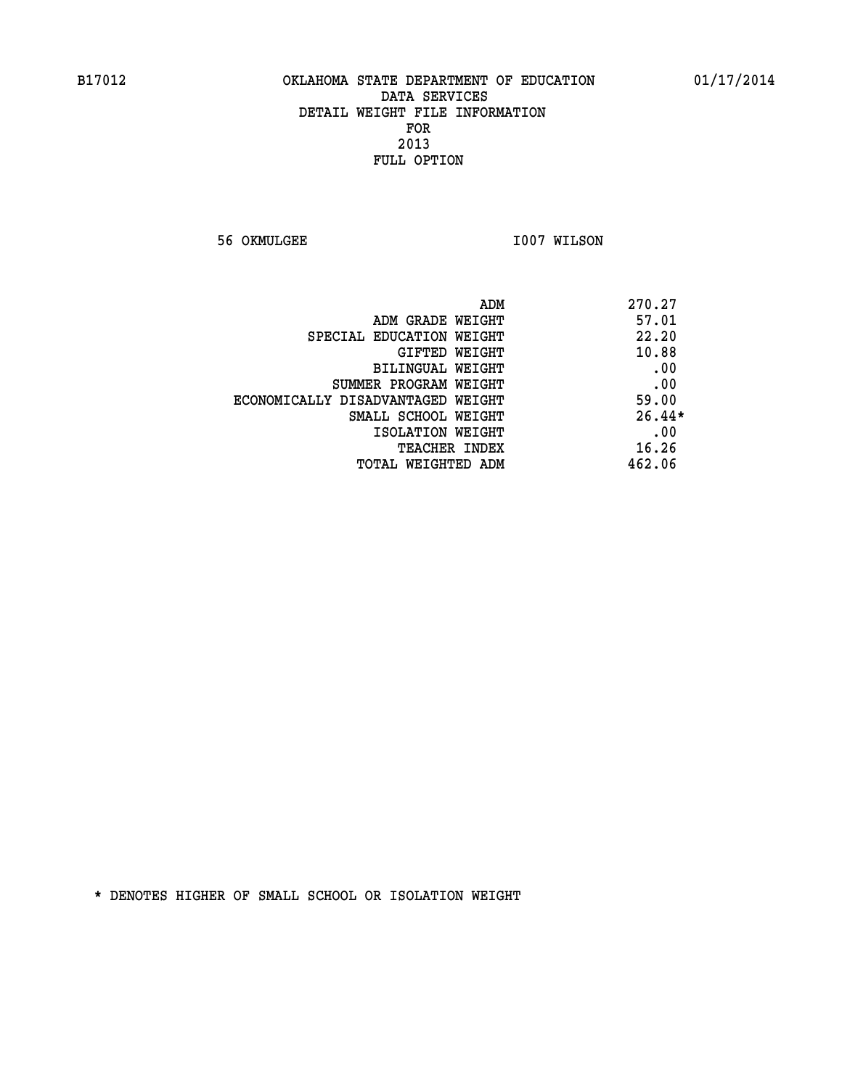**56 OKMULGEE 1007 WILSON** 

| ADM                               | 270.27   |
|-----------------------------------|----------|
| ADM GRADE WEIGHT                  | 57.01    |
| SPECIAL EDUCATION WEIGHT          | 22.20    |
| GIFTED WEIGHT                     | 10.88    |
| BILINGUAL WEIGHT                  | .00      |
| SUMMER PROGRAM WEIGHT             | .00      |
| ECONOMICALLY DISADVANTAGED WEIGHT | 59.00    |
| SMALL SCHOOL WEIGHT               | $26.44*$ |
| ISOLATION WEIGHT                  | .00      |
| <b>TEACHER INDEX</b>              | 16.26    |
| TOTAL WEIGHTED ADM                | 462.06   |
|                                   |          |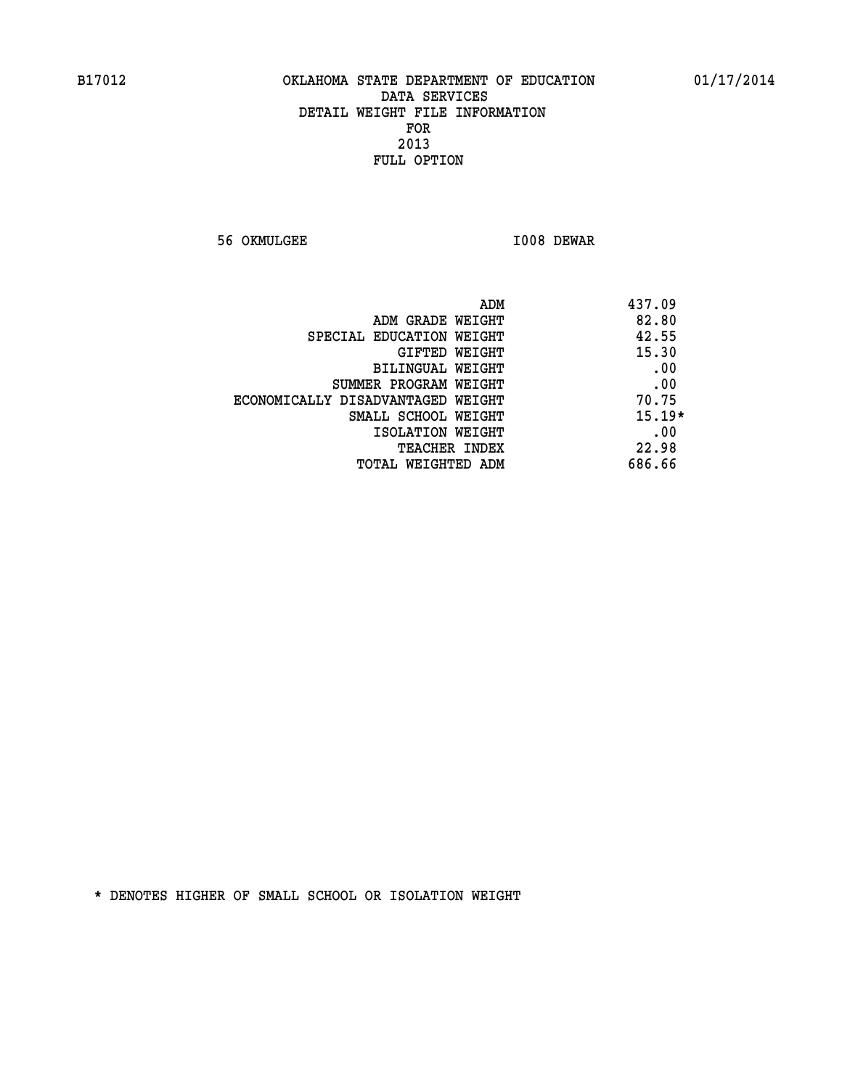**56 OKMULGEE I008 DEWAR** 

|                                   | 437.09<br>ADM |
|-----------------------------------|---------------|
| ADM GRADE WEIGHT                  | 82.80         |
| SPECIAL EDUCATION WEIGHT          | 42.55         |
| GIFTED WEIGHT                     | 15.30         |
| BILINGUAL WEIGHT                  | .00           |
| SUMMER PROGRAM WEIGHT             | .00           |
| ECONOMICALLY DISADVANTAGED WEIGHT | 70.75         |
| SMALL SCHOOL WEIGHT               | $15.19*$      |
| ISOLATION WEIGHT                  | .00           |
| <b>TEACHER INDEX</b>              | 22.98         |
| TOTAL WEIGHTED ADM                | 686.66        |
|                                   |               |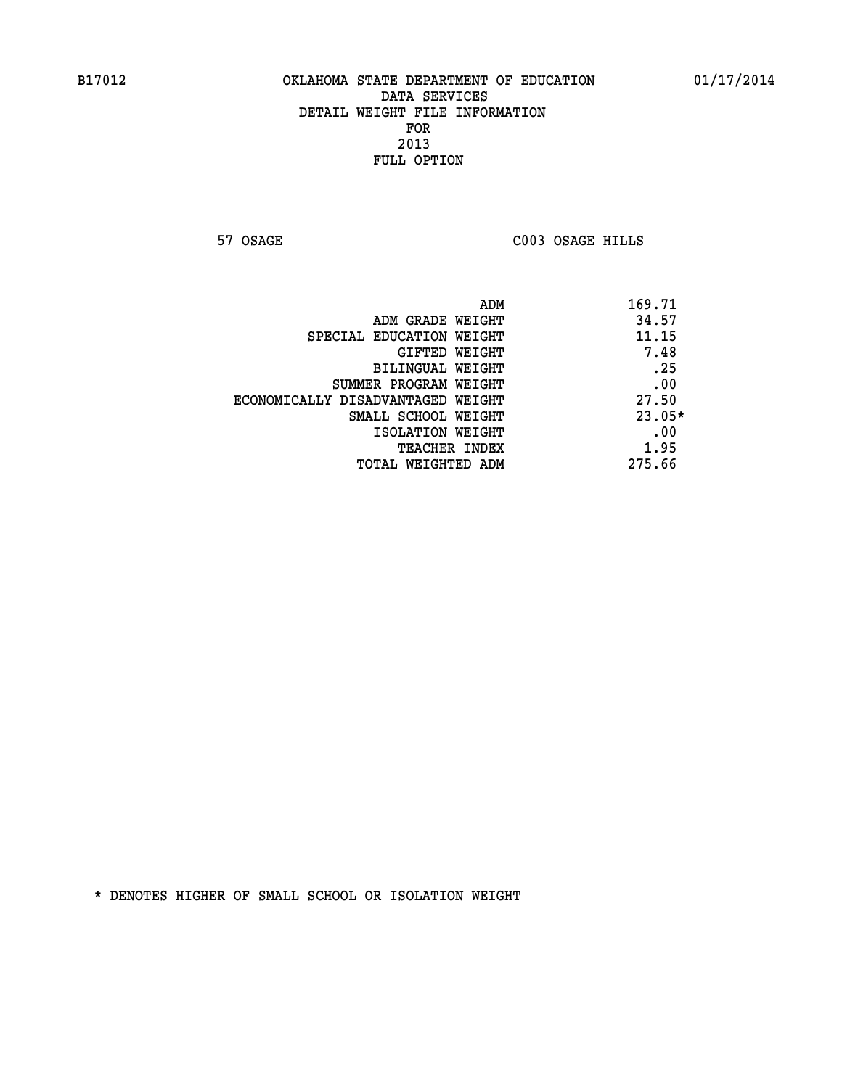**57 OSAGE C003 OSAGE HILLS** 

|                                   | 169.71<br>ADM |
|-----------------------------------|---------------|
| ADM GRADE WEIGHT                  | 34.57         |
| SPECIAL EDUCATION WEIGHT          | 11.15         |
| GIFTED WEIGHT                     | 7.48          |
| BILINGUAL WEIGHT                  | .25           |
| SUMMER PROGRAM WEIGHT             | .00           |
| ECONOMICALLY DISADVANTAGED WEIGHT | 27.50         |
| SMALL SCHOOL WEIGHT               | $23.05*$      |
| ISOLATION WEIGHT                  | .00           |
| TEACHER INDEX                     | 1.95          |
| TOTAL WEIGHTED ADM                | 275.66        |
|                                   |               |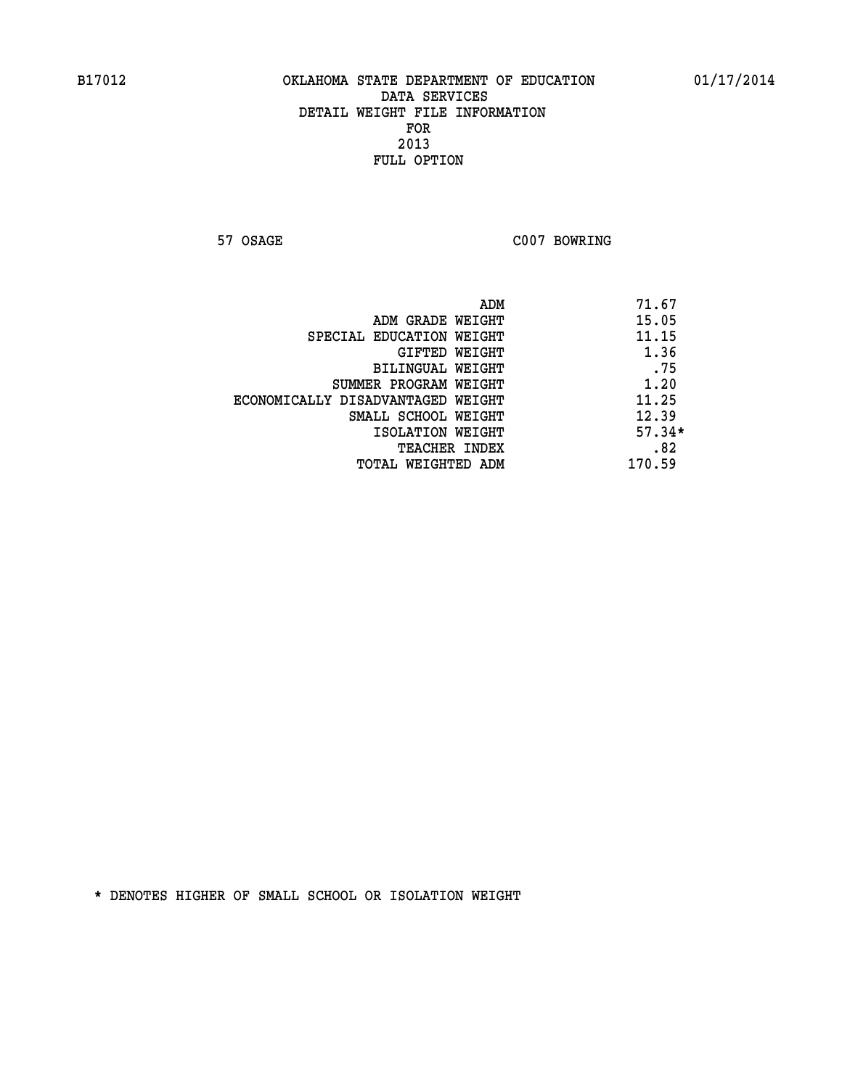**57 OSAGE C007 BOWRING** 

|                                   | ADM | 71.67    |
|-----------------------------------|-----|----------|
| ADM GRADE WEIGHT                  |     | 15.05    |
| SPECIAL EDUCATION WEIGHT          |     | 11.15    |
| GIFTED WEIGHT                     |     | 1.36     |
| BILINGUAL WEIGHT                  |     | .75      |
| SUMMER PROGRAM WEIGHT             |     | 1.20     |
| ECONOMICALLY DISADVANTAGED WEIGHT |     | 11.25    |
| SMALL SCHOOL WEIGHT               |     | 12.39    |
| ISOLATION WEIGHT                  |     | $57.34*$ |
| TEACHER INDEX                     |     | .82      |
| TOTAL WEIGHTED ADM                |     | 170.59   |
|                                   |     |          |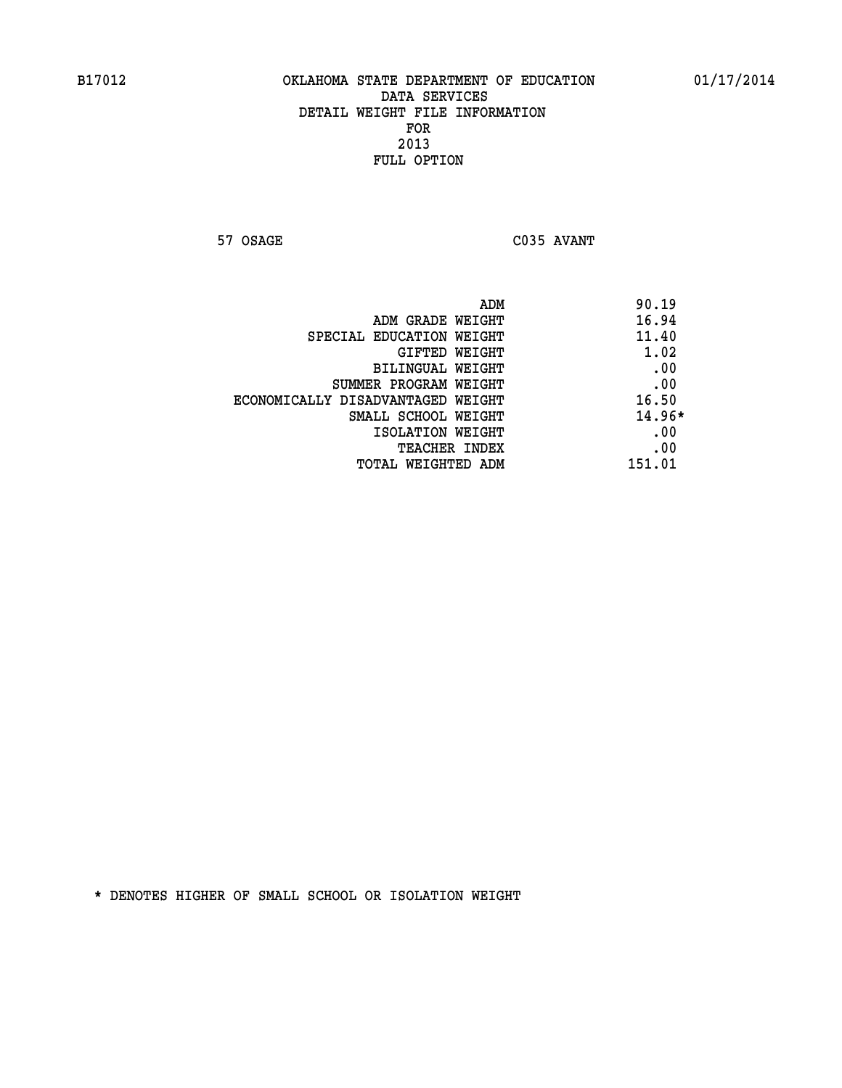**57 OSAGE C035 AVANT** 

| ADM                               | 90.19    |
|-----------------------------------|----------|
| ADM GRADE WEIGHT                  | 16.94    |
| SPECIAL EDUCATION WEIGHT          | 11.40    |
| GIFTED WEIGHT                     | 1.02     |
| <b>BILINGUAL WEIGHT</b>           | .00      |
| SUMMER PROGRAM WEIGHT             | .00      |
| ECONOMICALLY DISADVANTAGED WEIGHT | 16.50    |
| SMALL SCHOOL WEIGHT               | $14.96*$ |
| ISOLATION WEIGHT                  | .00      |
| <b>TEACHER INDEX</b>              | .00      |
| TOTAL WEIGHTED ADM                | 151.01   |
|                                   |          |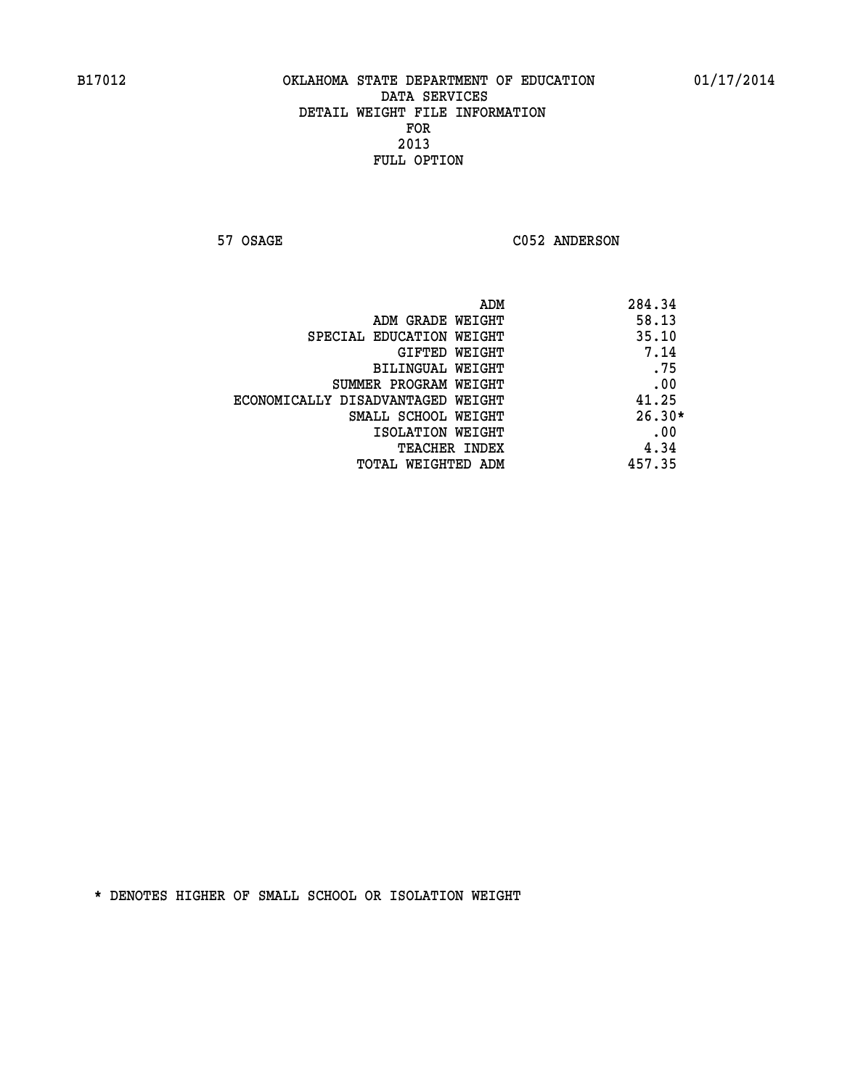57 OSAGE C052 ANDERSON

| ADM<br>284.34                              |  |
|--------------------------------------------|--|
| 58.13<br>ADM GRADE WEIGHT                  |  |
| 35.10<br>SPECIAL EDUCATION WEIGHT          |  |
| 7.14<br>GIFTED WEIGHT                      |  |
| .75<br><b>BILINGUAL WEIGHT</b>             |  |
| .00<br>SUMMER PROGRAM WEIGHT               |  |
| 41.25<br>ECONOMICALLY DISADVANTAGED WEIGHT |  |
| $26.30*$<br>SMALL SCHOOL WEIGHT            |  |
| .00<br>ISOLATION WEIGHT                    |  |
| 4.34<br><b>TEACHER INDEX</b>               |  |
| 457.35<br>TOTAL WEIGHTED ADM               |  |
|                                            |  |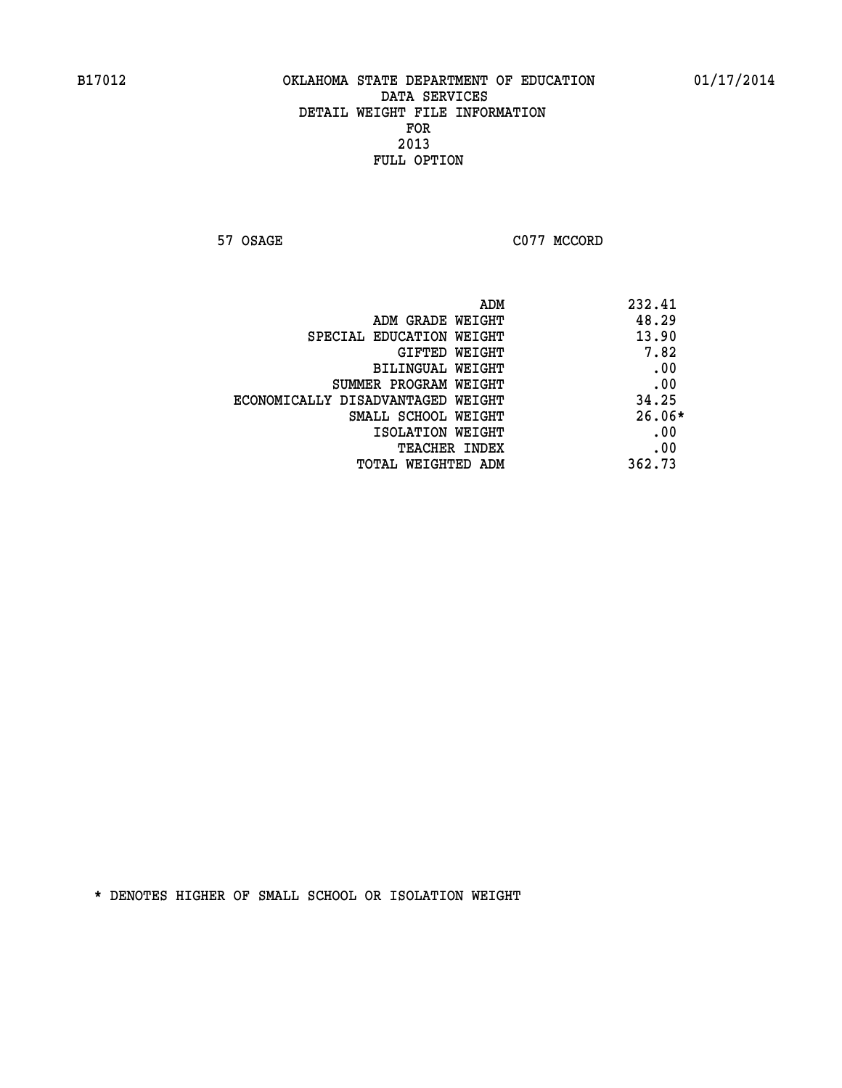**57 OSAGE C077 MCCORD** 

|                                   | ADM | 232.41   |
|-----------------------------------|-----|----------|
| ADM GRADE WEIGHT                  |     | 48.29    |
| SPECIAL EDUCATION WEIGHT          |     | 13.90    |
| GIFTED WEIGHT                     |     | 7.82     |
| BILINGUAL WEIGHT                  |     | .00      |
| SUMMER PROGRAM WEIGHT             |     | .00      |
| ECONOMICALLY DISADVANTAGED WEIGHT |     | 34.25    |
| SMALL SCHOOL WEIGHT               |     | $26.06*$ |
| ISOLATION WEIGHT                  |     | .00      |
| TEACHER INDEX                     |     | .00      |
| TOTAL WEIGHTED ADM                |     | 362.73   |
|                                   |     |          |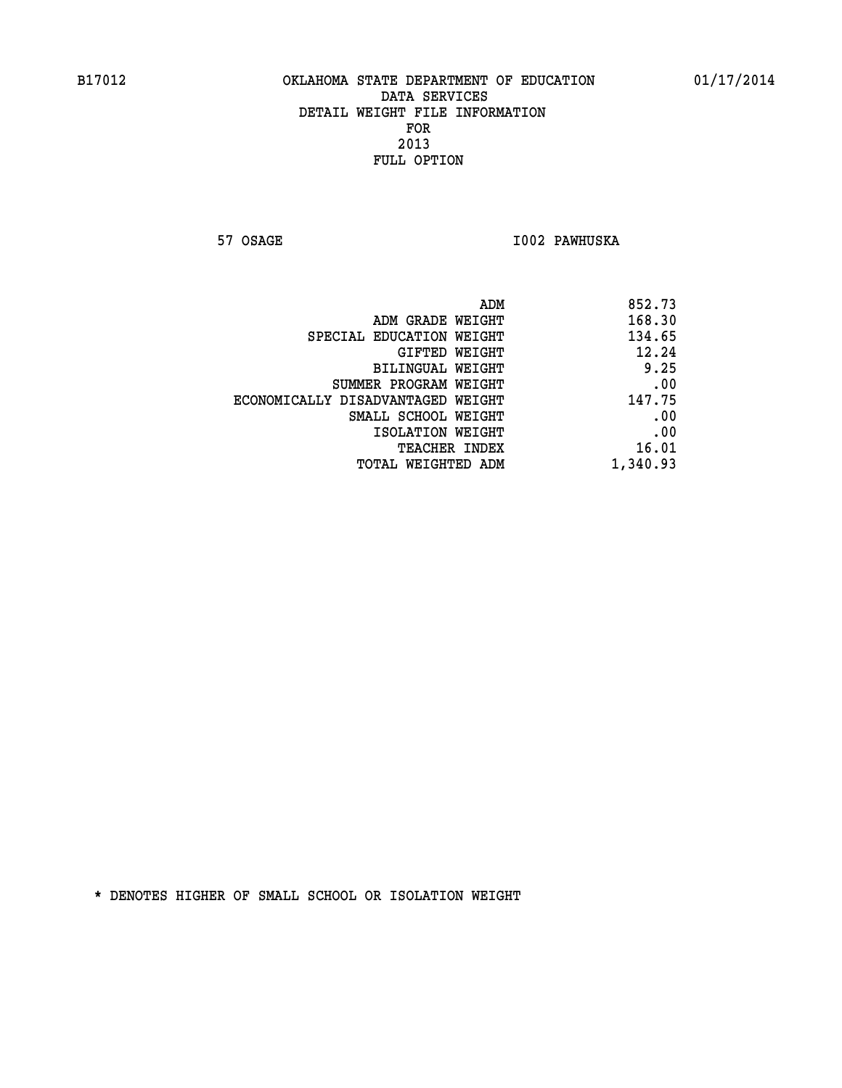**57 OSAGE I002 PAWHUSKA** 

| 852.73   |
|----------|
| 168.30   |
| 134.65   |
| 12.24    |
| 9.25     |
| .00      |
| 147.75   |
| .00      |
| .00      |
| 16.01    |
| 1,340.93 |
|          |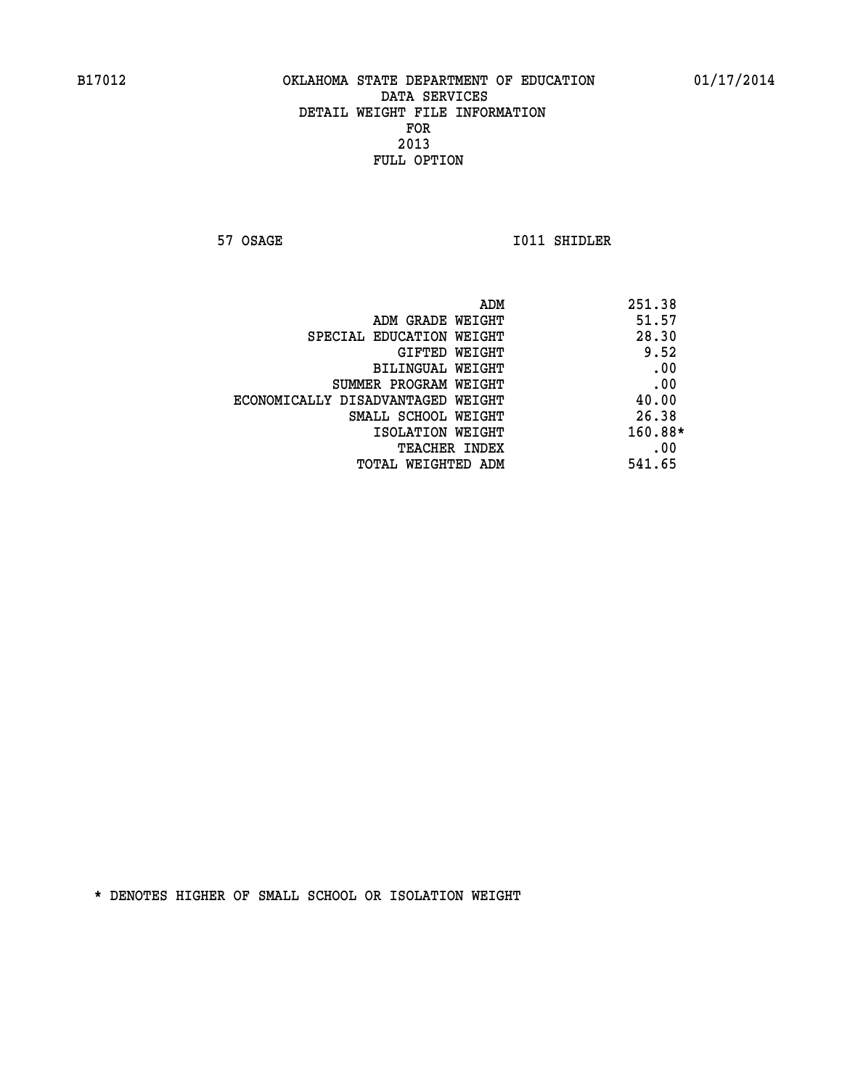**57 OSAGE 1011 SHIDLER** 

|                                   | ADM | 251.38    |
|-----------------------------------|-----|-----------|
| ADM GRADE WEIGHT                  |     | 51.57     |
| SPECIAL EDUCATION WEIGHT          |     | 28.30     |
| <b>GIFTED WEIGHT</b>              |     | 9.52      |
| BILINGUAL WEIGHT                  |     | .00       |
| SUMMER PROGRAM WEIGHT             |     | .00       |
| ECONOMICALLY DISADVANTAGED WEIGHT |     | 40.00     |
| SMALL SCHOOL WEIGHT               |     | 26.38     |
| ISOLATION WEIGHT                  |     | $160.88*$ |
| TEACHER INDEX                     |     | .00       |
| TOTAL WEIGHTED ADM                |     | 541.65    |
|                                   |     |           |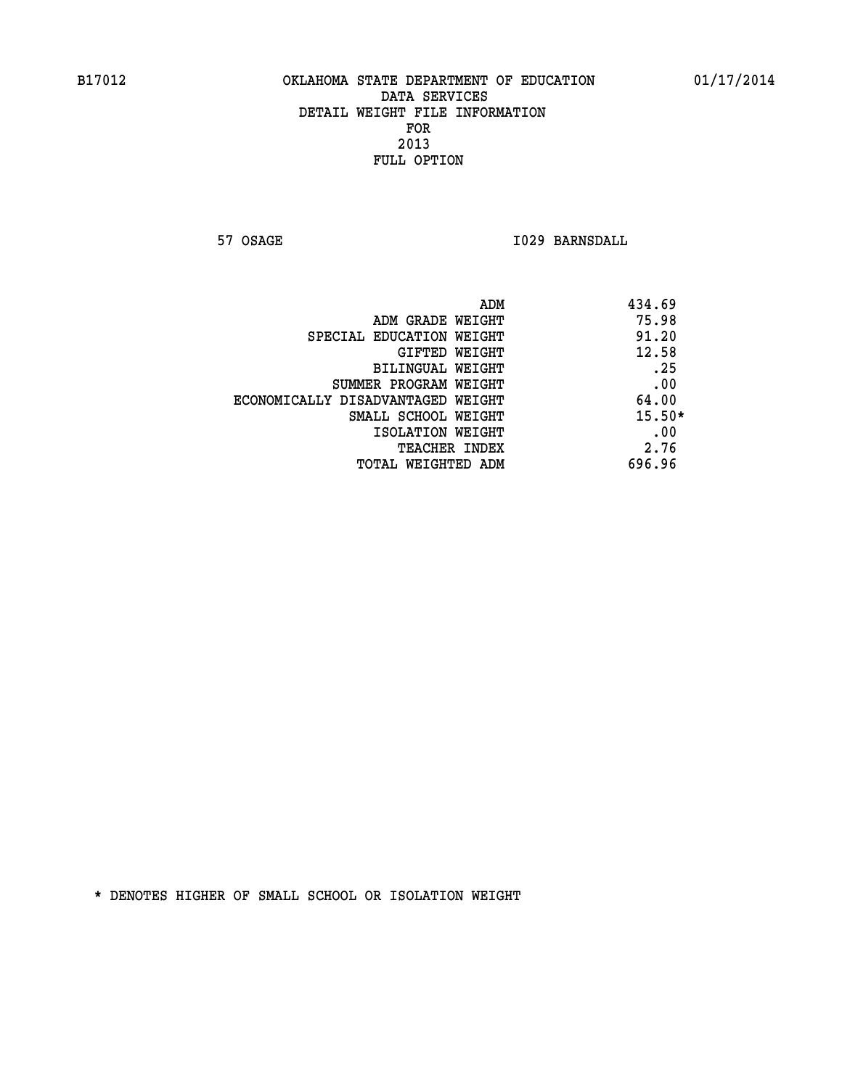**57 OSAGE 1029 BARNSDALL** 

| ADM                               | 434.69   |
|-----------------------------------|----------|
| ADM GRADE WEIGHT                  | 75.98    |
| SPECIAL EDUCATION WEIGHT          | 91.20    |
| GIFTED WEIGHT                     | 12.58    |
| BILINGUAL WEIGHT                  | .25      |
| SUMMER PROGRAM WEIGHT             | .00      |
| ECONOMICALLY DISADVANTAGED WEIGHT | 64.00    |
| SMALL SCHOOL WEIGHT               | $15.50*$ |
| ISOLATION WEIGHT                  | .00      |
| <b>TEACHER INDEX</b>              | 2.76     |
| TOTAL WEIGHTED ADM                | 696.96   |
|                                   |          |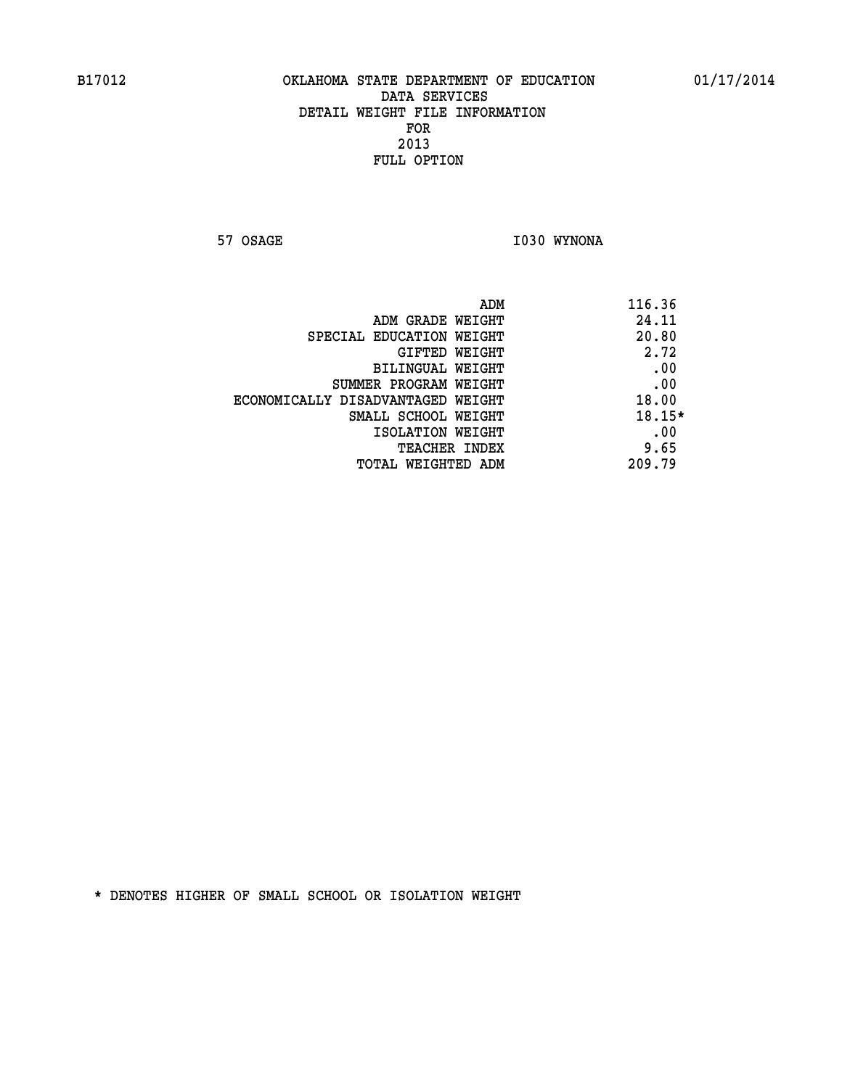**57 OSAGE 1030 WYNONA** 

| ADM                               | 116.36 |
|-----------------------------------|--------|
| ADM GRADE WEIGHT                  | 24.11  |
| SPECIAL EDUCATION WEIGHT          | 20.80  |
| GIFTED WEIGHT                     | 2.72   |
| BILINGUAL WEIGHT                  | .00    |
| SUMMER PROGRAM WEIGHT             | .00    |
| ECONOMICALLY DISADVANTAGED WEIGHT | 18.00  |
| SMALL SCHOOL WEIGHT               | 18.15* |
| ISOLATION WEIGHT                  | .00    |
| <b>TEACHER INDEX</b>              | 9.65   |
| TOTAL WEIGHTED ADM                | 209.79 |
|                                   |        |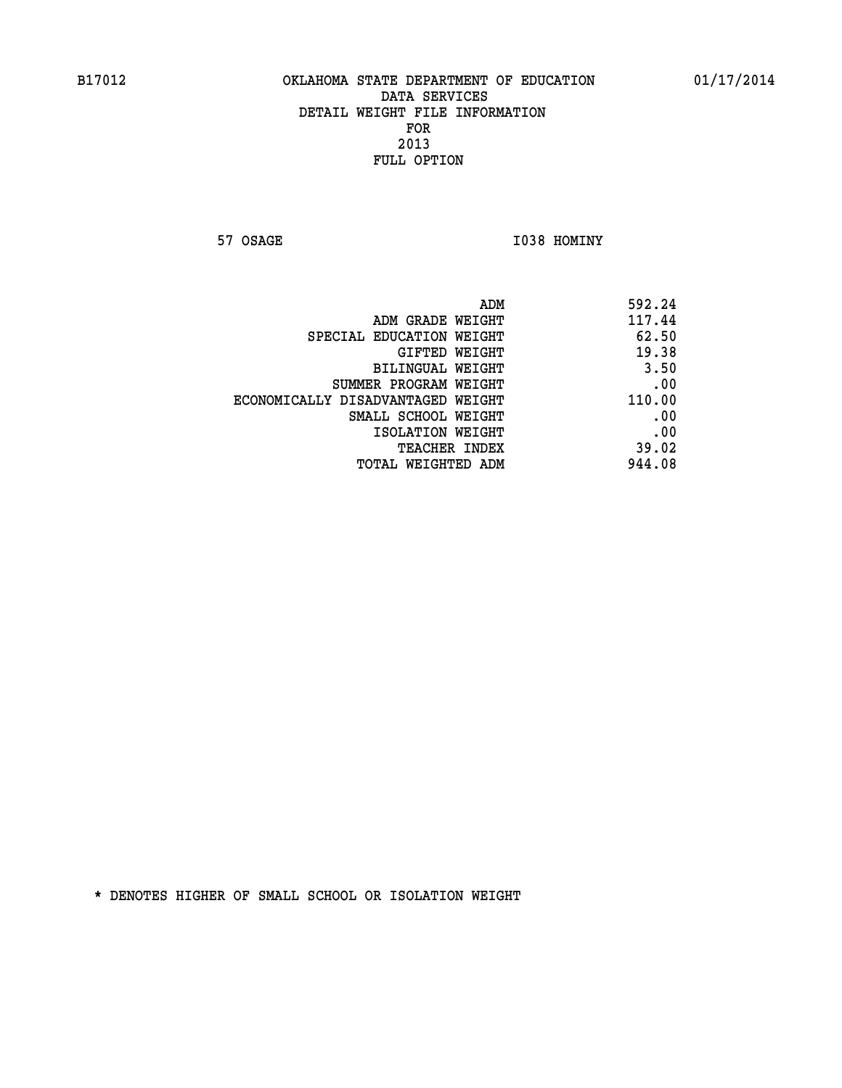**57 OSAGE 1038 HOMINY** 

| ADM<br>592.24                               |
|---------------------------------------------|
| 117.44<br>ADM GRADE WEIGHT                  |
| 62.50<br>SPECIAL EDUCATION WEIGHT           |
| 19.38<br><b>GIFTED WEIGHT</b>               |
| 3.50<br><b>BILINGUAL WEIGHT</b>             |
| .00<br>SUMMER PROGRAM WEIGHT                |
| 110.00<br>ECONOMICALLY DISADVANTAGED WEIGHT |
| .00<br>SMALL SCHOOL WEIGHT                  |
| .00<br>ISOLATION WEIGHT                     |
| 39.02<br>TEACHER INDEX                      |
| 944.08<br>TOTAL WEIGHTED ADM                |
|                                             |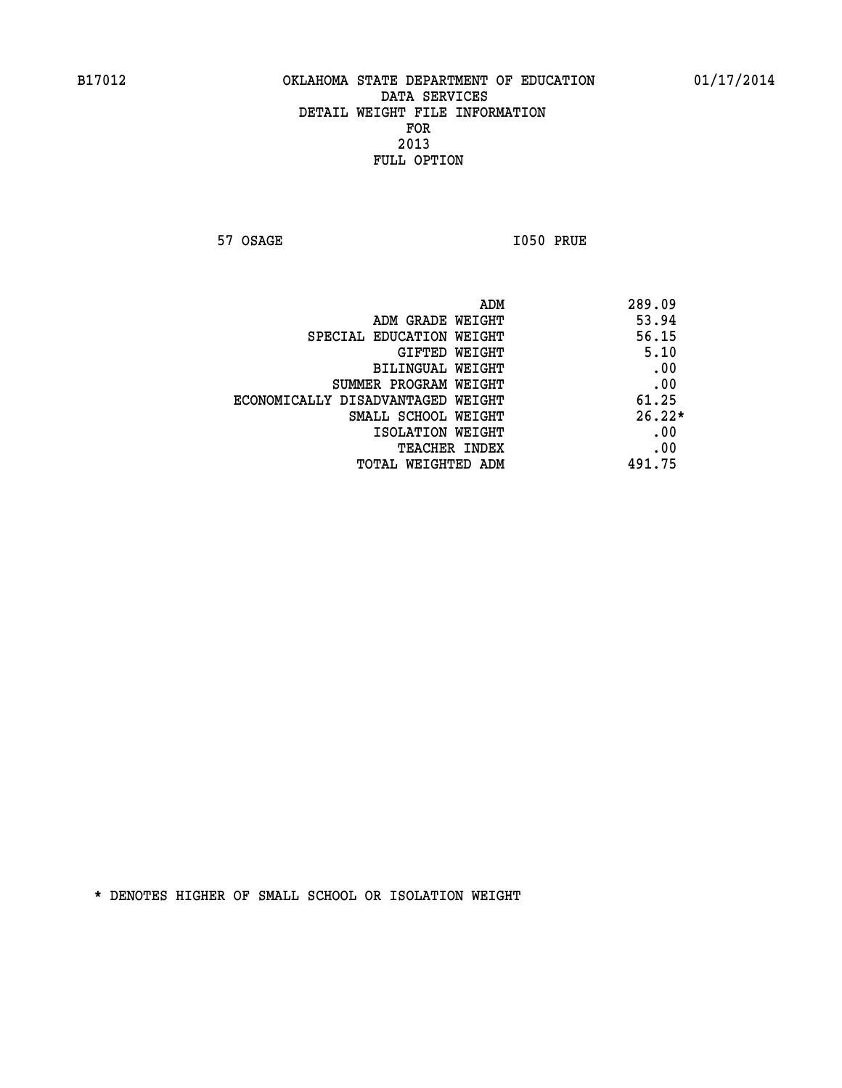**57 OSAGE 1050 PRUE** 

|                                   | 289.09<br>ADM |
|-----------------------------------|---------------|
| ADM GRADE WEIGHT                  | 53.94         |
| SPECIAL EDUCATION WEIGHT          | 56.15         |
| GIFTED WEIGHT                     | 5.10          |
| BILINGUAL WEIGHT                  | .00           |
| SUMMER PROGRAM WEIGHT             | .00           |
| ECONOMICALLY DISADVANTAGED WEIGHT | 61.25         |
| SMALL SCHOOL WEIGHT               | $26.22*$      |
| ISOLATION WEIGHT                  | .00           |
| <b>TEACHER INDEX</b>              | .00           |
| TOTAL WEIGHTED ADM                | 491.75        |
|                                   |               |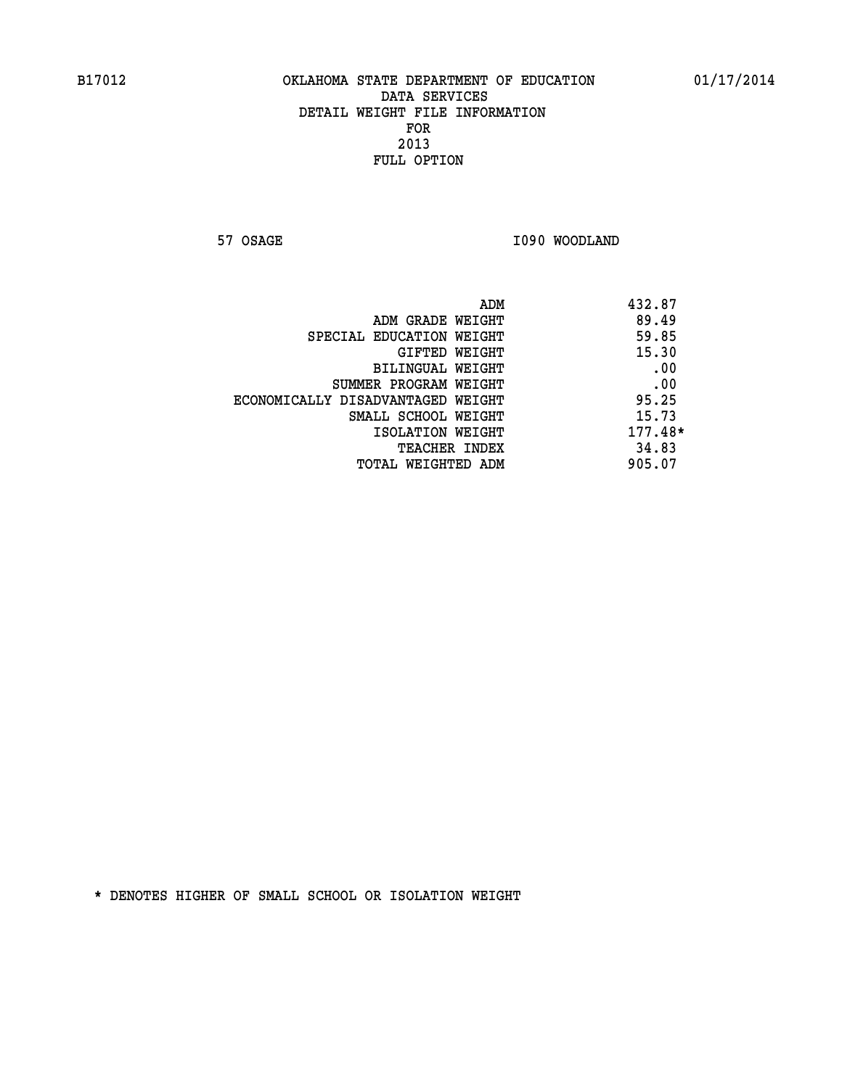**57 OSAGE 1090 WOODLAND** 

| ADM                               | 432.87    |
|-----------------------------------|-----------|
| ADM GRADE WEIGHT                  | 89.49     |
| SPECIAL EDUCATION WEIGHT          | 59.85     |
| GIFTED WEIGHT                     | 15.30     |
| BILINGUAL WEIGHT                  | .00       |
| SUMMER PROGRAM WEIGHT             | .00       |
| ECONOMICALLY DISADVANTAGED WEIGHT | 95.25     |
| SMALL SCHOOL WEIGHT               | 15.73     |
| ISOLATION WEIGHT                  | $177.48*$ |
| <b>TEACHER INDEX</b>              | 34.83     |
| TOTAL WEIGHTED ADM                | 905.07    |
|                                   |           |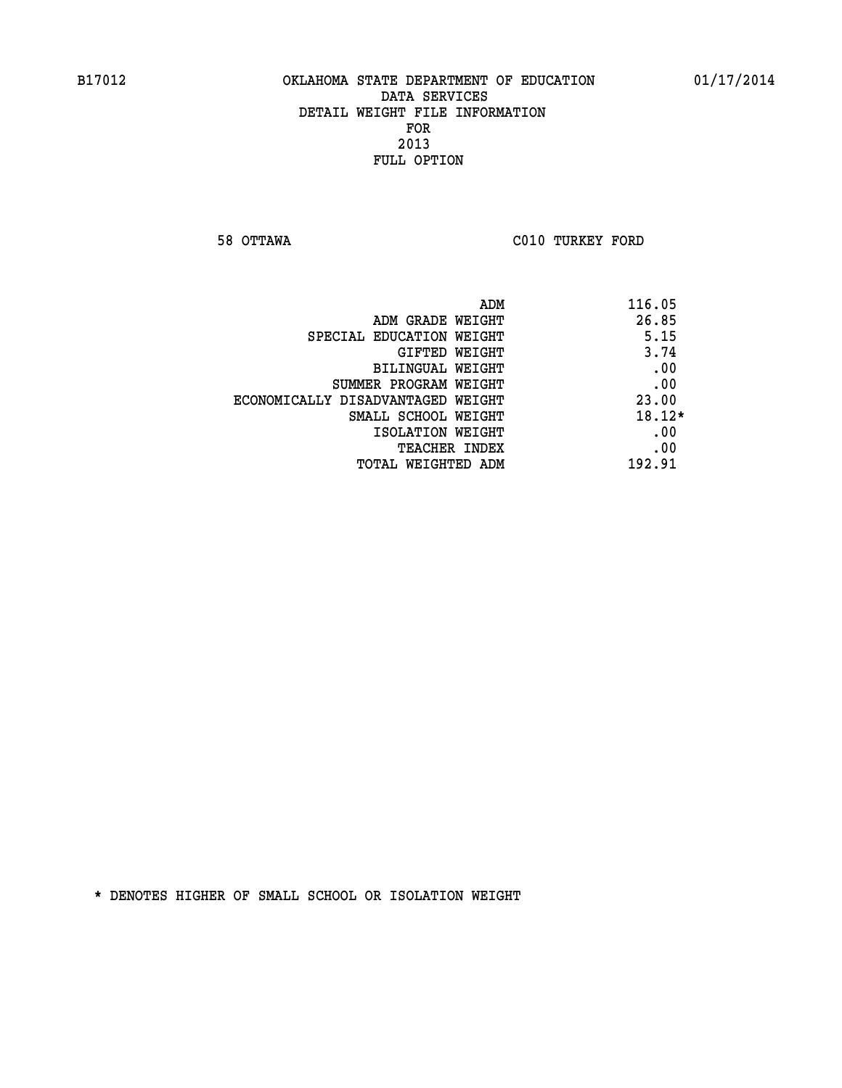**58 OTTAWA C010 TURKEY FORD** 

| ADM<br>116.05                              |  |
|--------------------------------------------|--|
| 26.85<br>ADM GRADE WEIGHT                  |  |
| 5.15<br>SPECIAL EDUCATION WEIGHT           |  |
| 3.74<br><b>GIFTED WEIGHT</b>               |  |
| .00<br>BILINGUAL WEIGHT                    |  |
| .00<br>SUMMER PROGRAM WEIGHT               |  |
| 23.00<br>ECONOMICALLY DISADVANTAGED WEIGHT |  |
| $18.12*$<br>SMALL SCHOOL WEIGHT            |  |
| .00<br>ISOLATION WEIGHT                    |  |
| .00<br><b>TEACHER INDEX</b>                |  |
| 192.91<br>TOTAL WEIGHTED ADM               |  |
|                                            |  |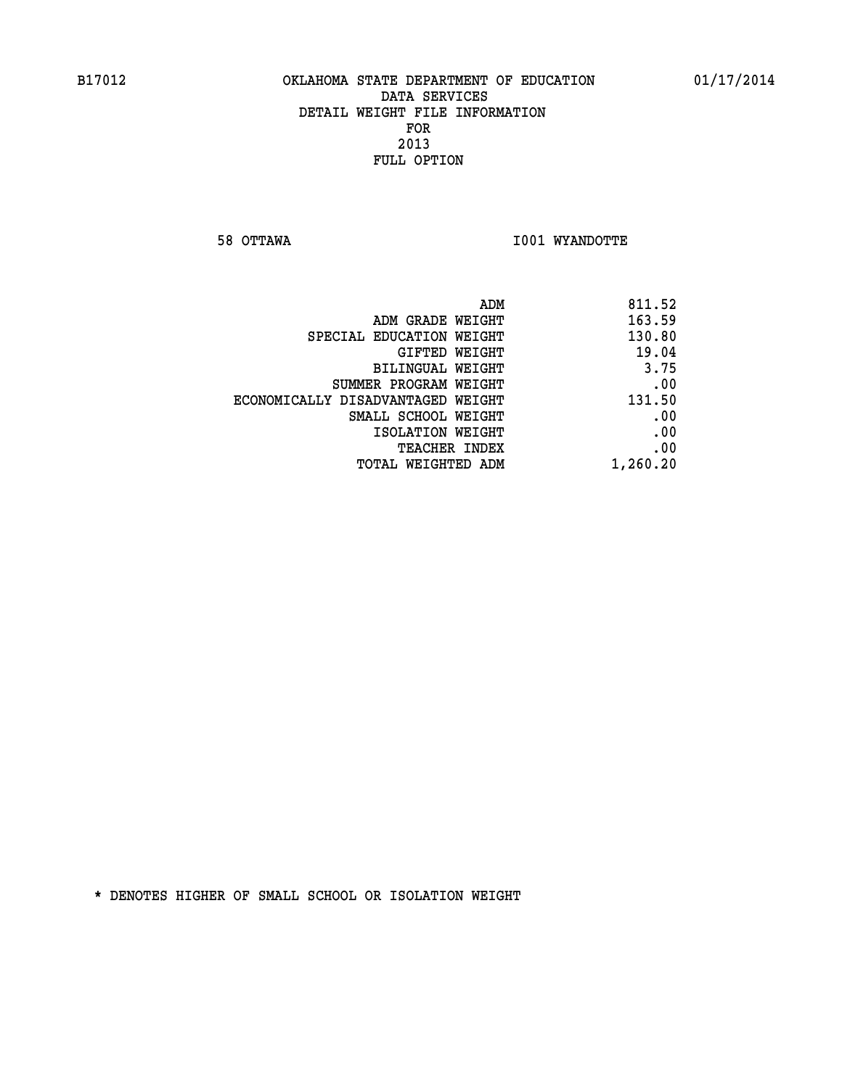**58 OTTAWA I001 WYANDOTTE** 

| 811.52   |
|----------|
| 163.59   |
| 130.80   |
| 19.04    |
| 3.75     |
| .00      |
| 131.50   |
| .00      |
| .00      |
| .00      |
| 1,260.20 |
|          |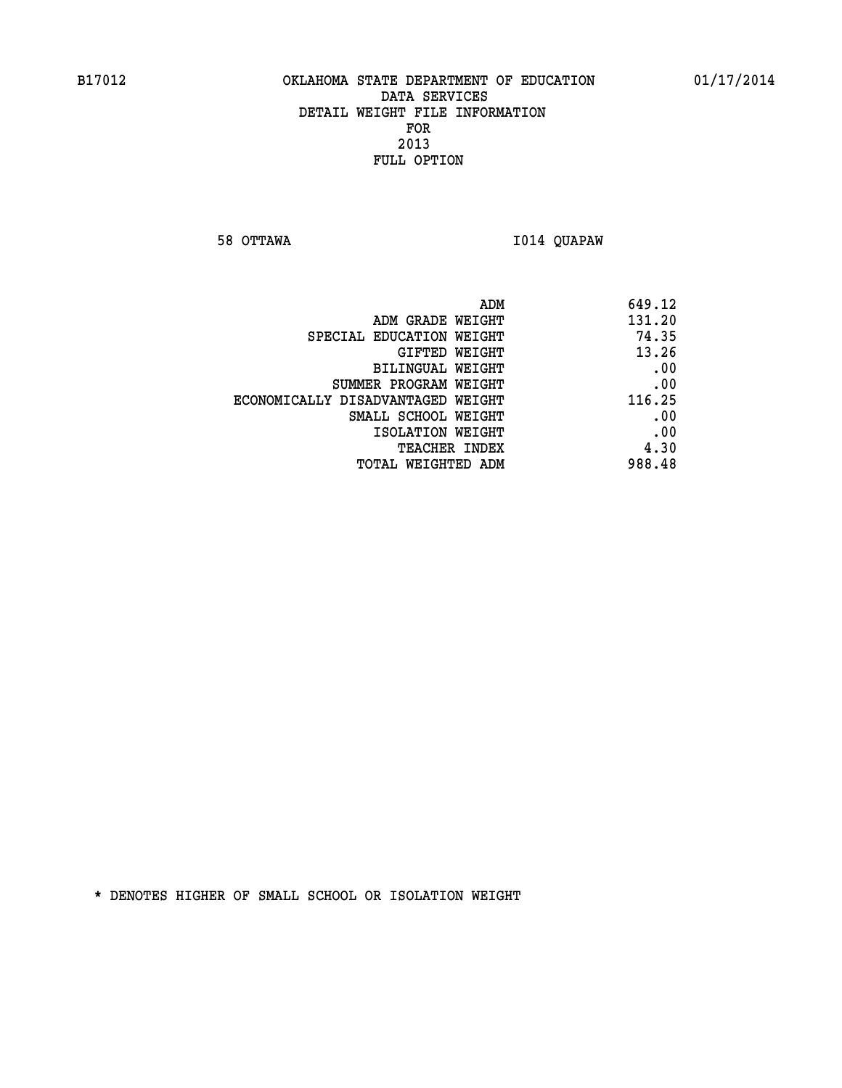**58 OTTAWA I014 QUAPAW** 

|                                   | ADM<br>649.12 |
|-----------------------------------|---------------|
| ADM GRADE WEIGHT                  | 131.20        |
| SPECIAL EDUCATION WEIGHT          | 74.35         |
| GIFTED WEIGHT                     | 13.26         |
| <b>BILINGUAL WEIGHT</b>           | .00           |
| SUMMER PROGRAM WEIGHT             | .00           |
| ECONOMICALLY DISADVANTAGED WEIGHT | 116.25        |
| SMALL SCHOOL WEIGHT               | .00           |
| ISOLATION WEIGHT                  | .00           |
| TEACHER INDEX                     | 4.30          |
| TOTAL WEIGHTED ADM                | 988.48        |
|                                   |               |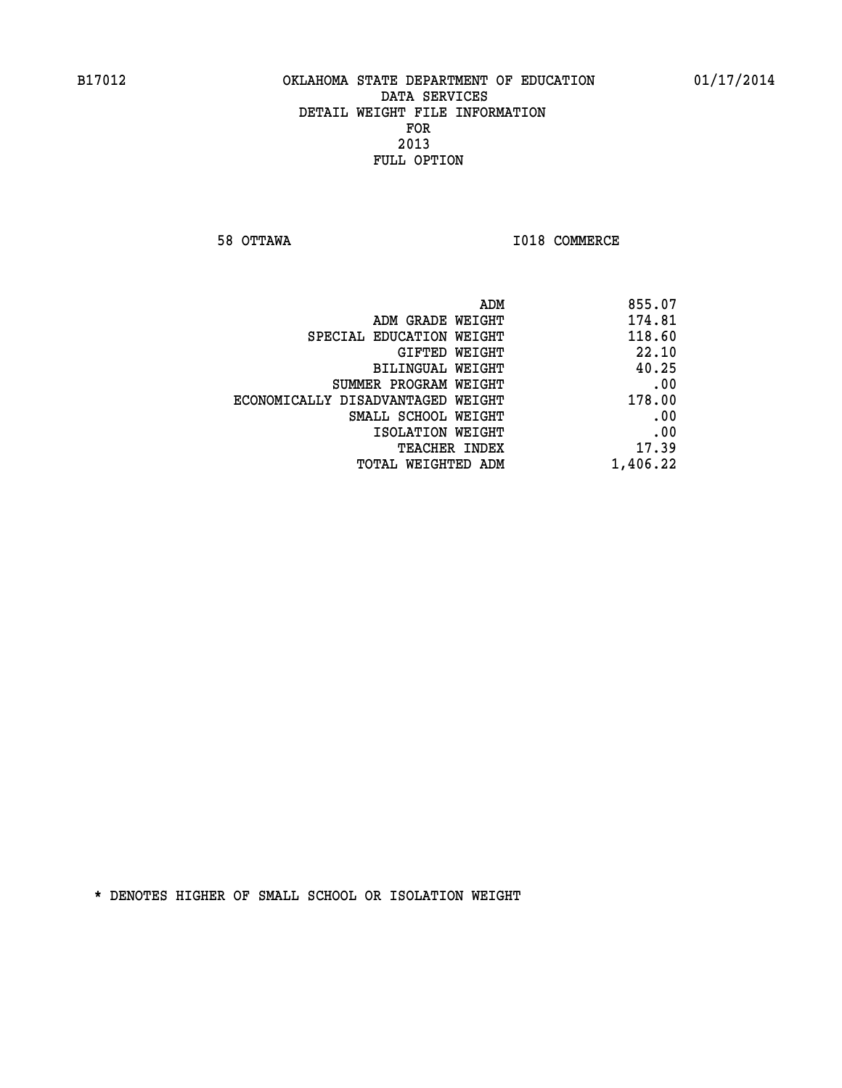**58 OTTAWA I018 COMMERCE** 

| 855.07   |
|----------|
| 174.81   |
| 118.60   |
| 22.10    |
| 40.25    |
| .00      |
| 178.00   |
| .00      |
| .00      |
| 17.39    |
| 1,406.22 |
|          |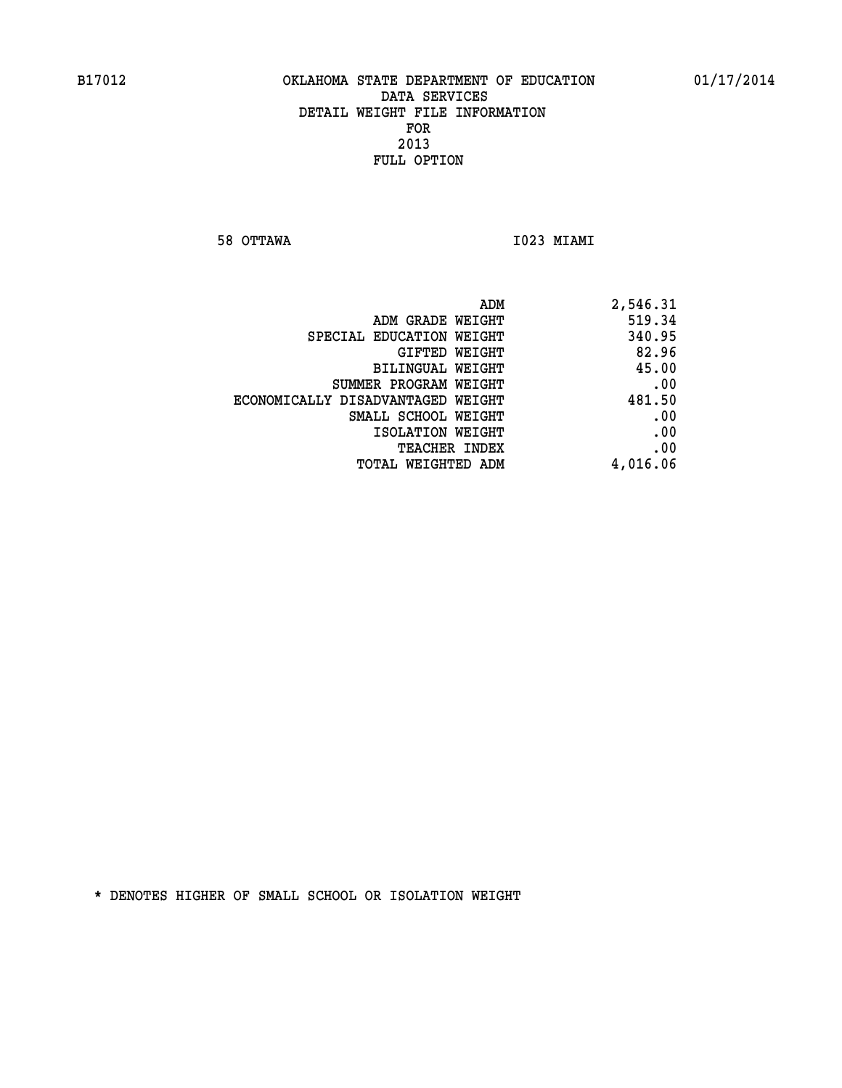**58 OTTAWA I023 MIAMI** 

| ADM                               | 2,546.31 |
|-----------------------------------|----------|
| ADM GRADE WEIGHT                  | 519.34   |
| SPECIAL EDUCATION WEIGHT          | 340.95   |
| GIFTED WEIGHT                     | 82.96    |
| BILINGUAL WEIGHT                  | 45.00    |
| SUMMER PROGRAM WEIGHT             | .00      |
| ECONOMICALLY DISADVANTAGED WEIGHT | 481.50   |
| SMALL SCHOOL WEIGHT               | .00      |
| ISOLATION WEIGHT                  | .00      |
| <b>TEACHER INDEX</b>              | .00      |
| <b>TOTAL WEIGHTED ADM</b>         | 4,016.06 |
|                                   |          |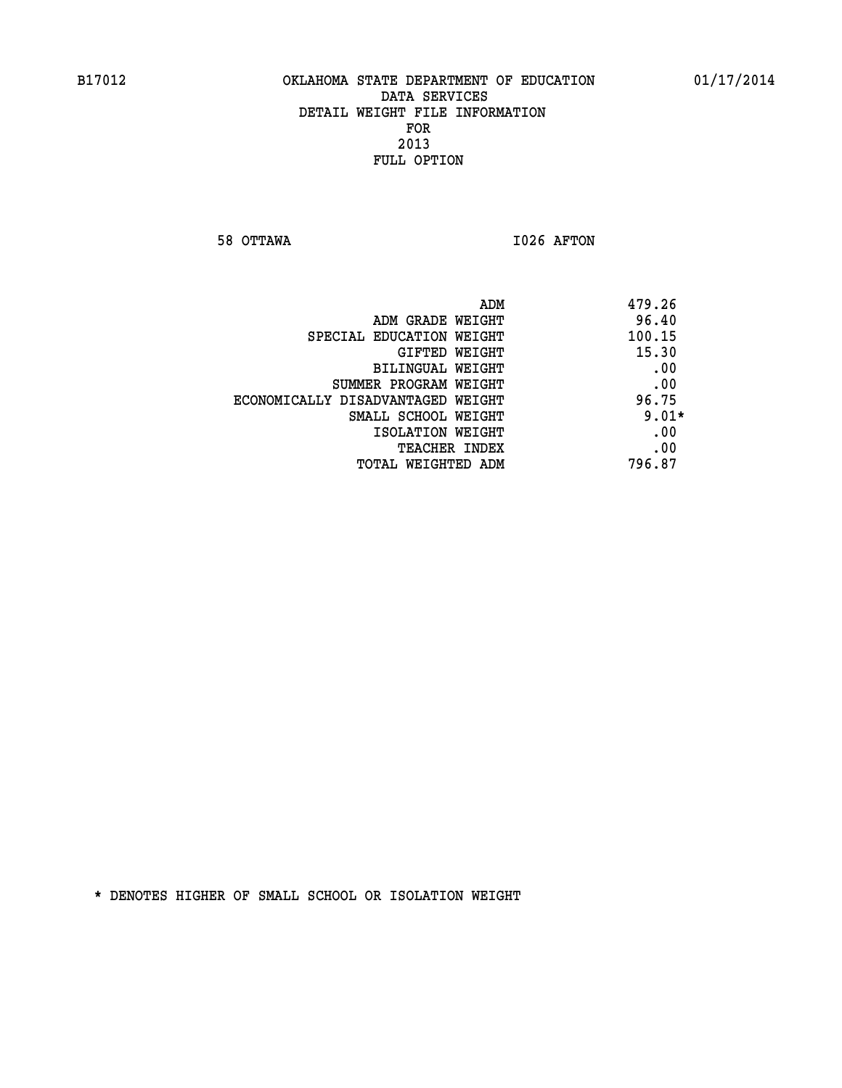**58 OTTAWA I026 AFTON** 

| 479.26<br>ADM                              |
|--------------------------------------------|
| 96.40<br>ADM GRADE WEIGHT                  |
| 100.15<br>SPECIAL EDUCATION WEIGHT         |
| 15.30<br>GIFTED WEIGHT                     |
| .00<br>BILINGUAL WEIGHT                    |
| .00<br>SUMMER PROGRAM WEIGHT               |
| 96.75<br>ECONOMICALLY DISADVANTAGED WEIGHT |
| $9.01*$<br>SMALL SCHOOL WEIGHT             |
| .00<br>ISOLATION WEIGHT                    |
| .00<br><b>TEACHER INDEX</b>                |
| 796.87<br>TOTAL WEIGHTED ADM               |
|                                            |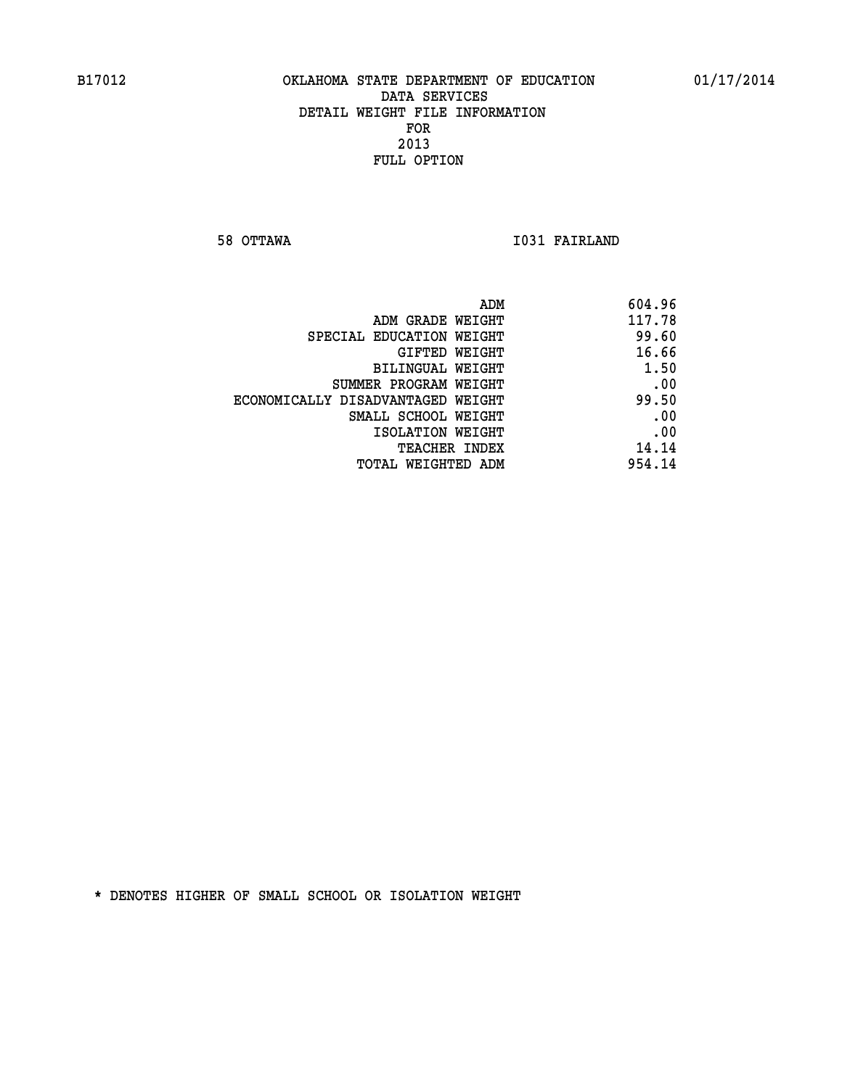**58 OTTAWA I031 FAIRLAND** 

| 604.96 |
|--------|
| 117.78 |
| 99.60  |
| 16.66  |
| 1.50   |
| .00    |
| 99.50  |
| .00    |
| .00    |
| 14.14  |
| 954.14 |
|        |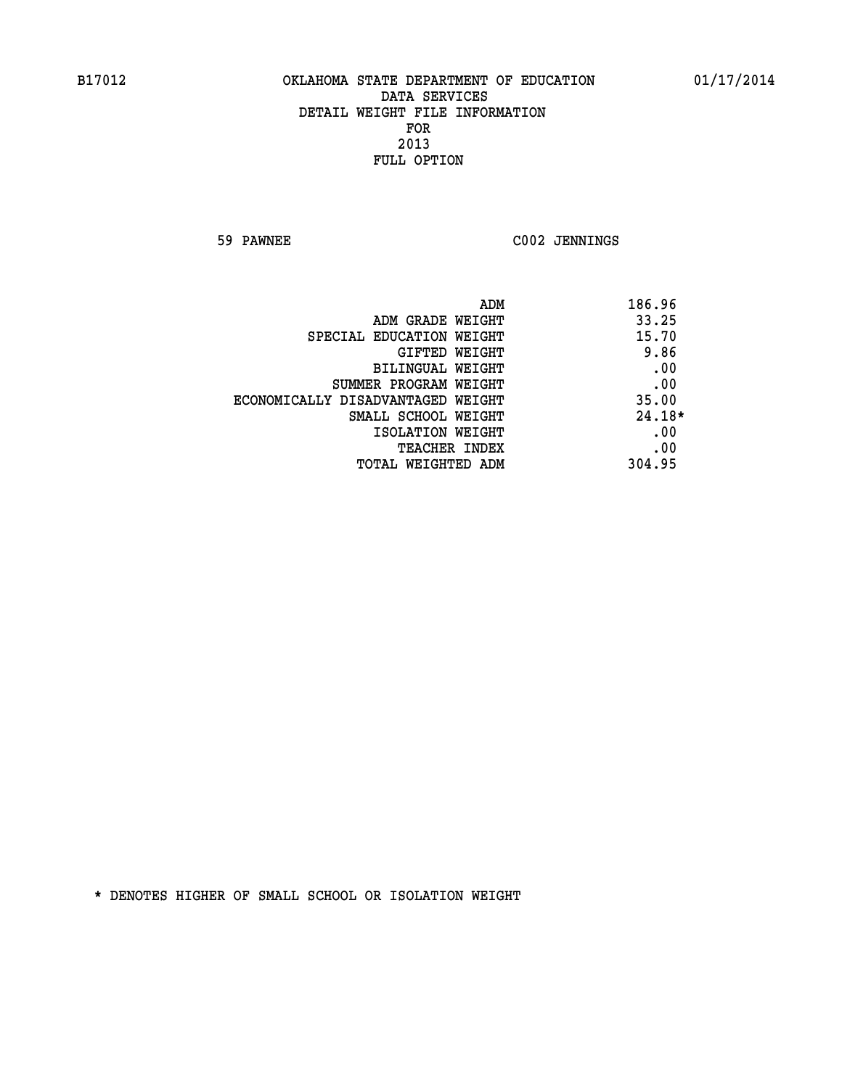**59 PAWNEE C002 JENNINGS** 

| ADM<br>186.96                              |  |
|--------------------------------------------|--|
| 33.25<br>ADM GRADE WEIGHT                  |  |
| 15.70<br>SPECIAL EDUCATION WEIGHT          |  |
| 9.86<br><b>GIFTED WEIGHT</b>               |  |
| .00<br>BILINGUAL WEIGHT                    |  |
| .00<br>SUMMER PROGRAM WEIGHT               |  |
| 35.00<br>ECONOMICALLY DISADVANTAGED WEIGHT |  |
| $24.18*$<br>SMALL SCHOOL WEIGHT            |  |
| .00<br>ISOLATION WEIGHT                    |  |
| .00<br><b>TEACHER INDEX</b>                |  |
| 304.95<br>TOTAL WEIGHTED ADM               |  |
|                                            |  |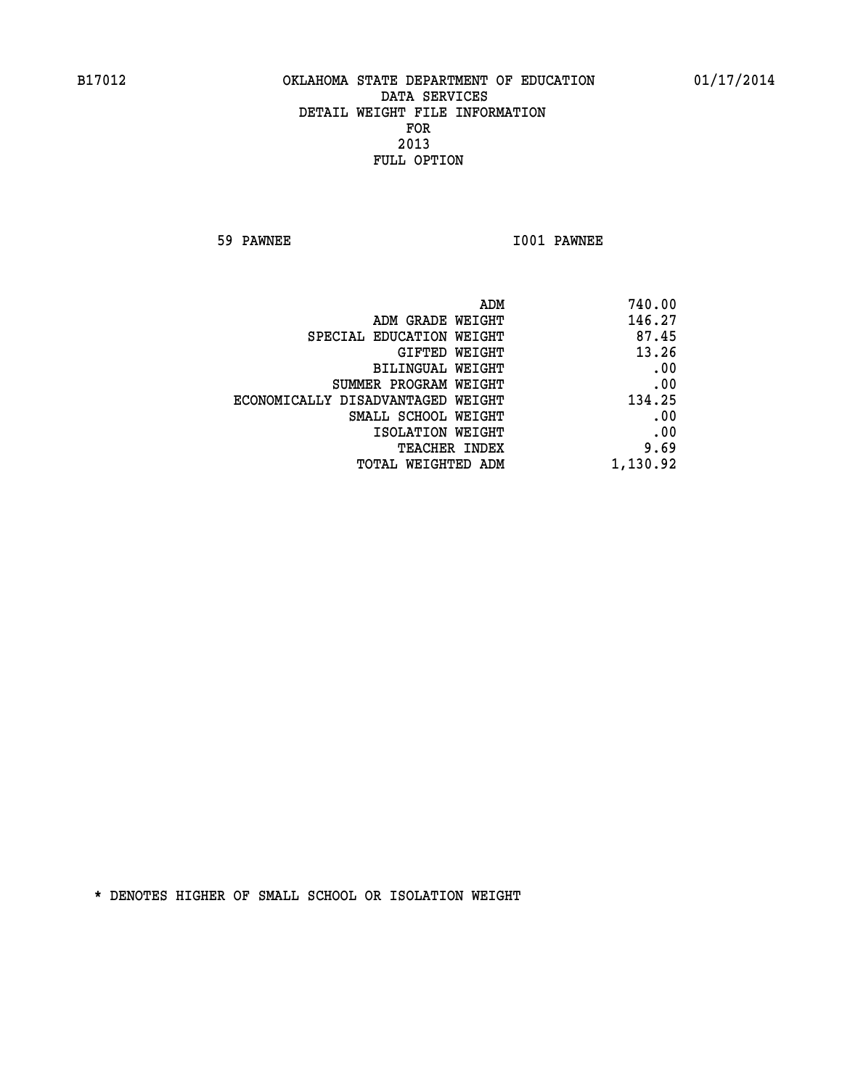**59 PAWNEE I001 PAWNEE** 

| 740.00   |
|----------|
| 146.27   |
| 87.45    |
| 13.26    |
| .00      |
| .00      |
| 134.25   |
| .00      |
| .00      |
| 9.69     |
| 1,130.92 |
|          |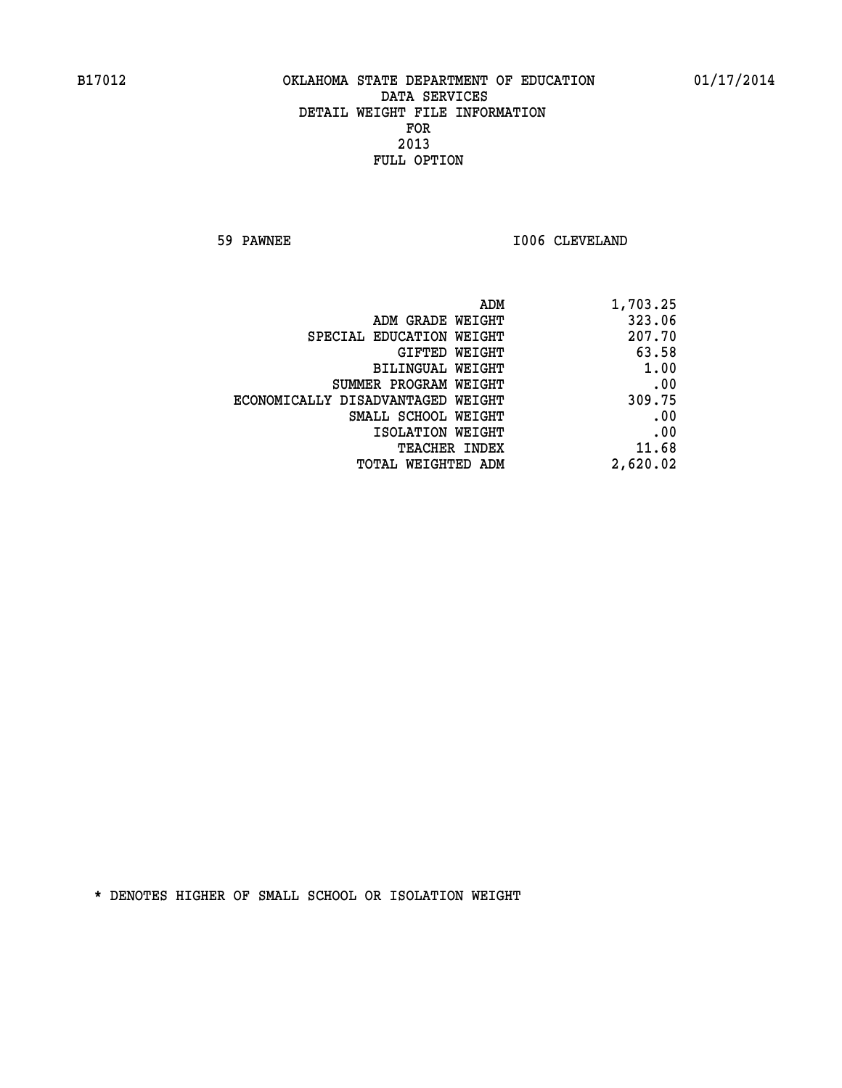**59 PAWNEE 1006 CLEVELAND** 

| 1,703.25 |
|----------|
| 323.06   |
| 207.70   |
| 63.58    |
| 1.00     |
| .00      |
| 309.75   |
| .00      |
| .00      |
| 11.68    |
| 2,620.02 |
|          |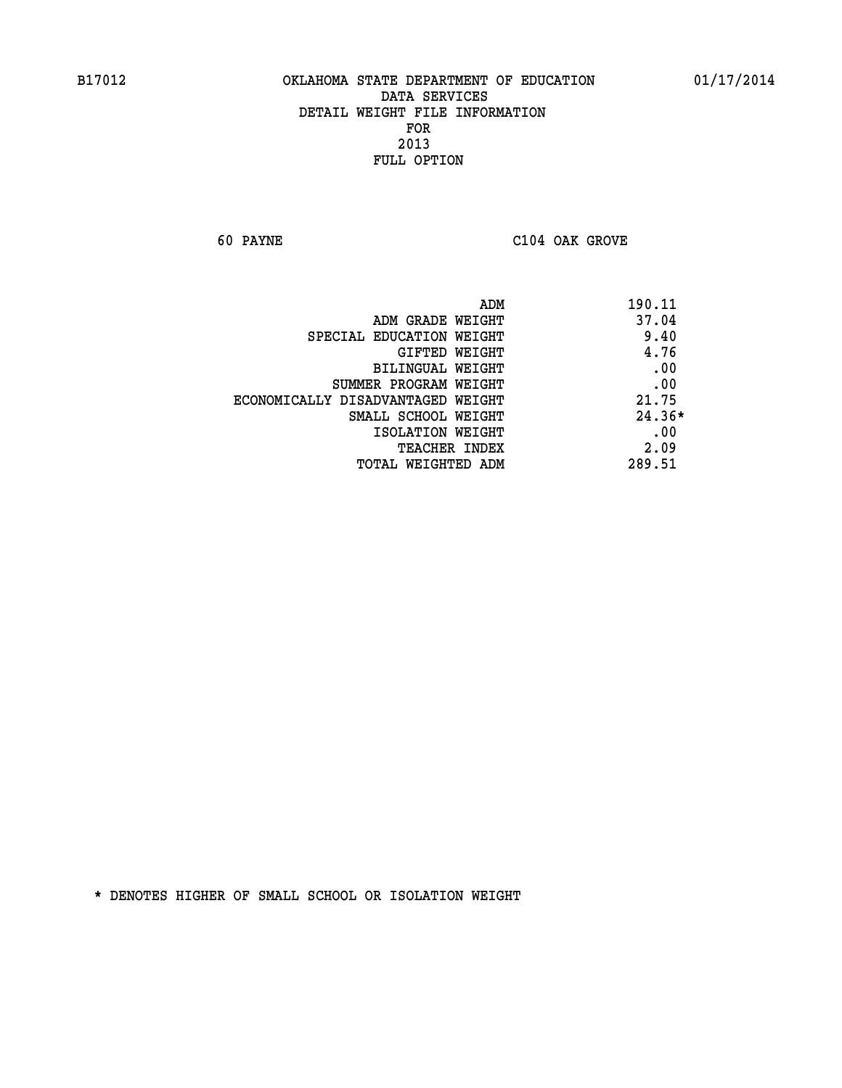**60 PAYNE C104 OAK GROVE** 

| ADM                               | 190.11   |
|-----------------------------------|----------|
| ADM GRADE WEIGHT                  | 37.04    |
| SPECIAL EDUCATION WEIGHT          | 9.40     |
| GIFTED WEIGHT                     | 4.76     |
| BILINGUAL WEIGHT                  | .00      |
| SUMMER PROGRAM WEIGHT             | .00      |
| ECONOMICALLY DISADVANTAGED WEIGHT | 21.75    |
| SMALL SCHOOL WEIGHT               | $24.36*$ |
| ISOLATION WEIGHT                  | .00      |
| <b>TEACHER INDEX</b>              | 2.09     |
| TOTAL WEIGHTED ADM                | 289.51   |
|                                   |          |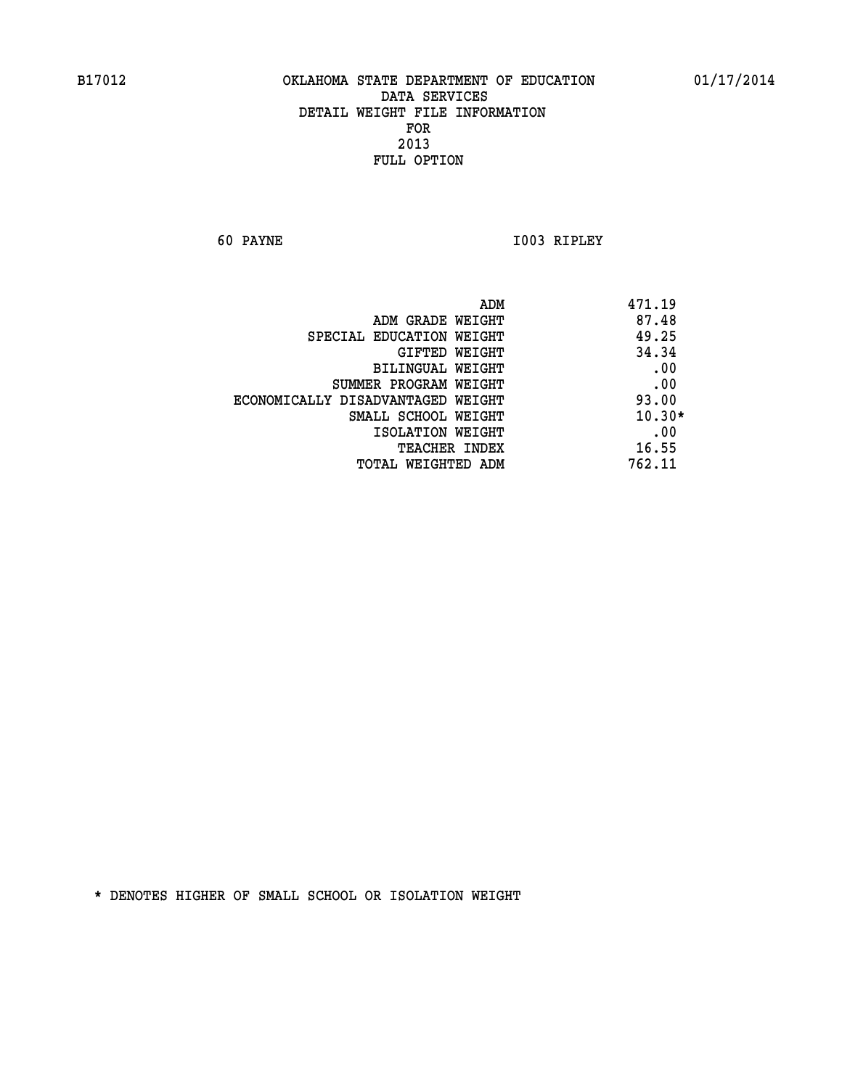**60 PAYNE I003 RIPLEY** 

|                                   | ADM | 471.19   |
|-----------------------------------|-----|----------|
| ADM GRADE WEIGHT                  |     | 87.48    |
| SPECIAL EDUCATION WEIGHT          |     | 49.25    |
| <b>GIFTED WEIGHT</b>              |     | 34.34    |
| BILINGUAL WEIGHT                  |     | .00      |
| SUMMER PROGRAM WEIGHT             |     | .00      |
| ECONOMICALLY DISADVANTAGED WEIGHT |     | 93.00    |
| SMALL SCHOOL WEIGHT               |     | $10.30*$ |
| ISOLATION WEIGHT                  |     | .00      |
| TEACHER INDEX                     |     | 16.55    |
| TOTAL WEIGHTED ADM                |     | 762.11   |
|                                   |     |          |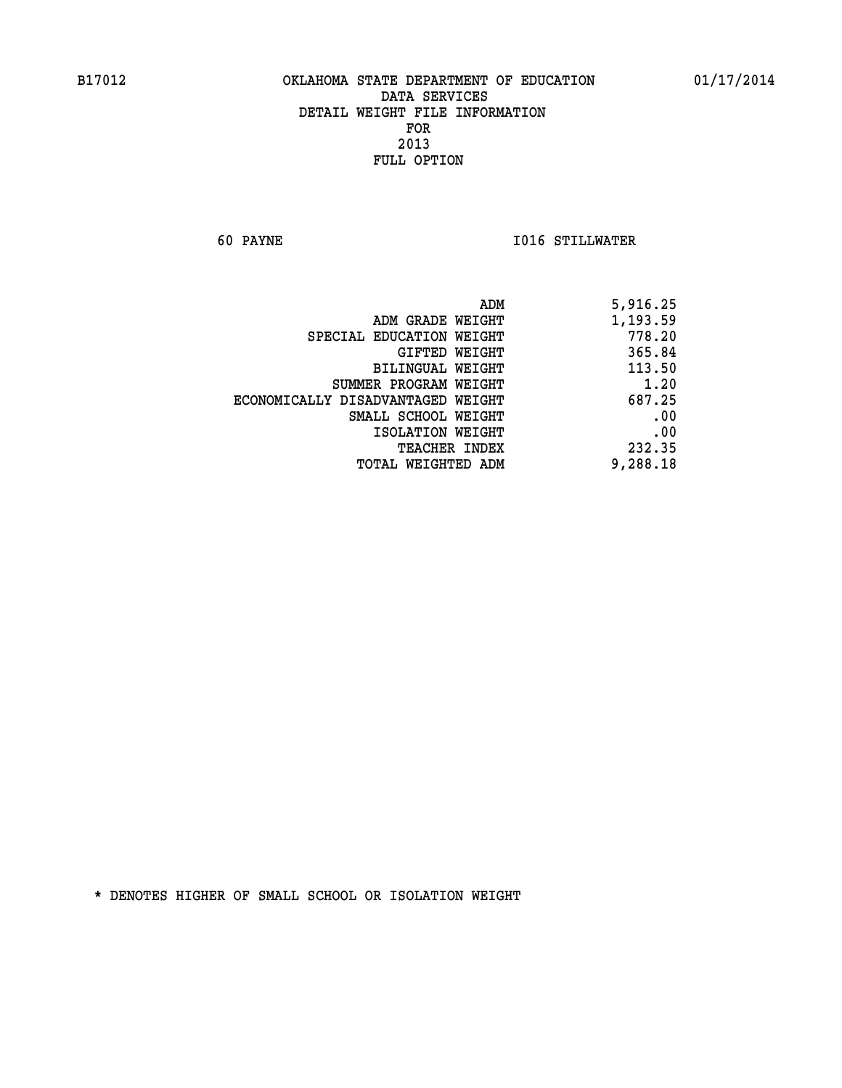**60 PAYNE I016 STILLWATER** 

| 5,916.25 |
|----------|
| 1,193.59 |
| 778.20   |
| 365.84   |
| 113.50   |
| 1.20     |
| 687.25   |
| .00      |
| .00      |
| 232.35   |
| 9,288.18 |
|          |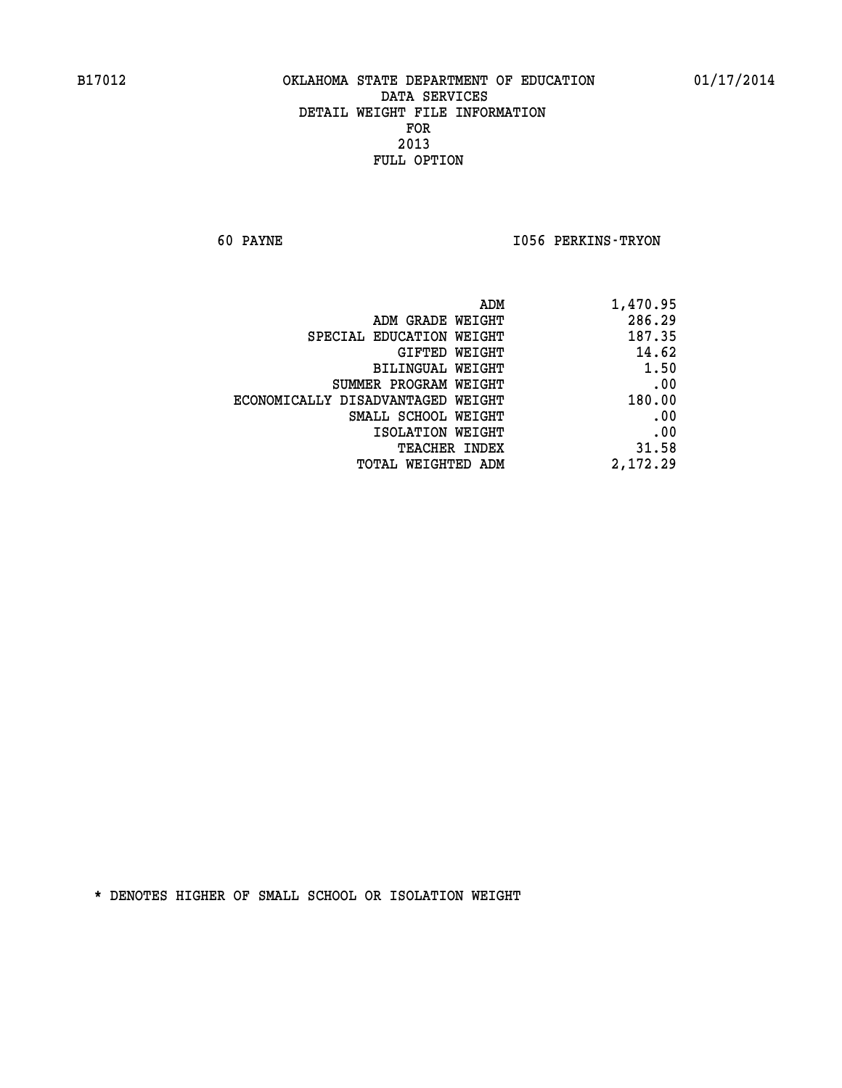**60 PAYNE I056 PERKINS-TRYON** 

| ADM                               | 1,470.95 |
|-----------------------------------|----------|
| ADM GRADE WEIGHT                  | 286.29   |
| SPECIAL EDUCATION WEIGHT          | 187.35   |
| GIFTED WEIGHT                     | 14.62    |
| BILINGUAL WEIGHT                  | 1.50     |
| SUMMER PROGRAM WEIGHT             | .00      |
| ECONOMICALLY DISADVANTAGED WEIGHT | 180.00   |
| SMALL SCHOOL WEIGHT               | .00      |
| ISOLATION WEIGHT                  | .00      |
| <b>TEACHER INDEX</b>              | 31.58    |
| <b>TOTAL WEIGHTED ADM</b>         | 2,172.29 |
|                                   |          |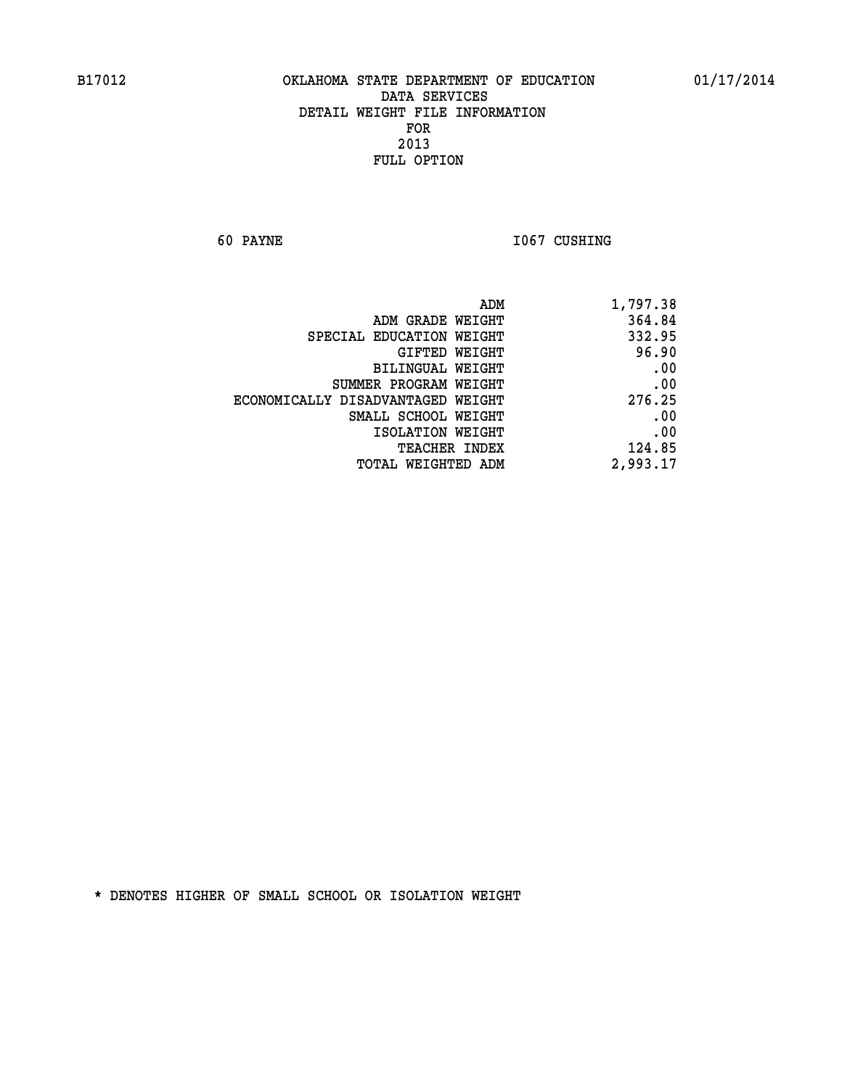**60 PAYNE 1067 CUSHING** 

| 1,797.38 |
|----------|
| 364.84   |
| 332.95   |
| 96.90    |
| .00      |
| .00      |
| 276.25   |
| .00      |
| .00      |
| 124.85   |
| 2,993.17 |
|          |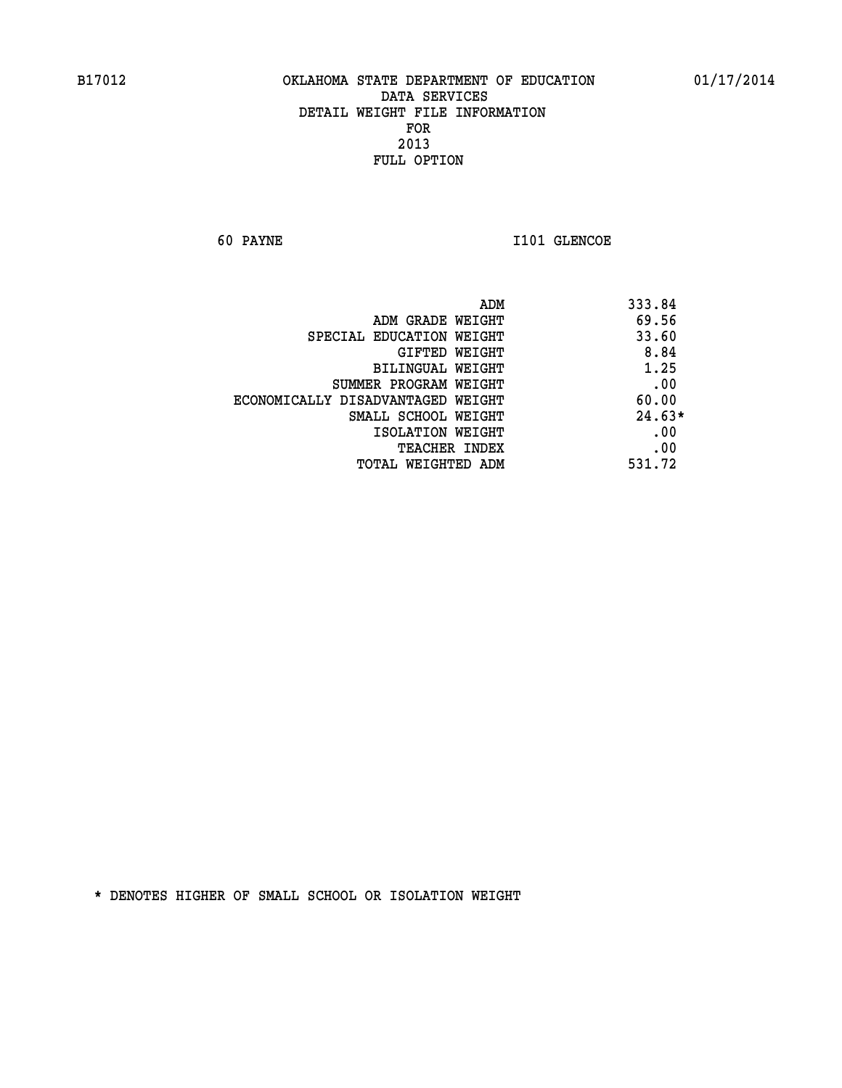**60 PAYNE 1101 GLENCOE** 

| ADM                               | 333.84   |
|-----------------------------------|----------|
| ADM GRADE WEIGHT                  | 69.56    |
| SPECIAL EDUCATION WEIGHT          | 33.60    |
| GIFTED WEIGHT                     | 8.84     |
| BILINGUAL WEIGHT                  | 1.25     |
| SUMMER PROGRAM WEIGHT             | .00      |
| ECONOMICALLY DISADVANTAGED WEIGHT | 60.00    |
| SMALL SCHOOL WEIGHT               | $24.63*$ |
| ISOLATION WEIGHT                  | .00      |
| <b>TEACHER INDEX</b>              | .00      |
| TOTAL WEIGHTED ADM                | 531.72   |
|                                   |          |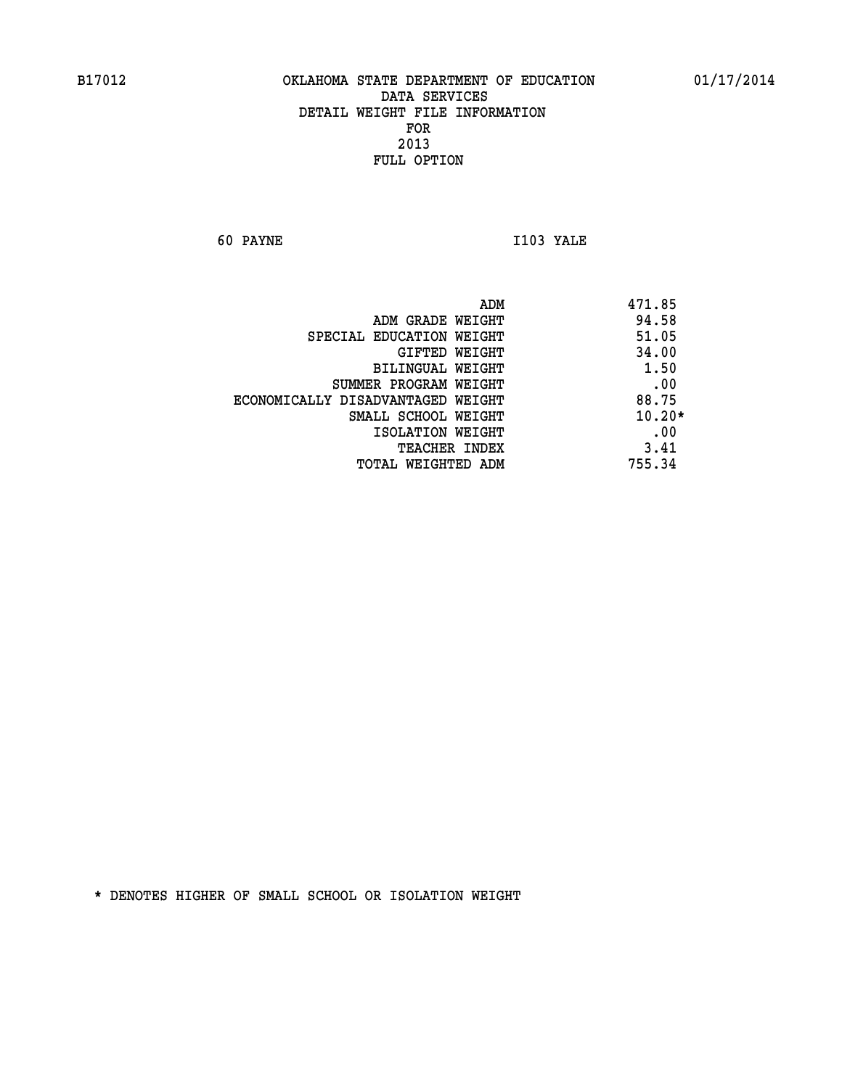**60 PAYNE I103 YALE** 

|                                   | ADM | 471.85   |
|-----------------------------------|-----|----------|
| ADM GRADE WEIGHT                  |     | 94.58    |
| SPECIAL EDUCATION WEIGHT          |     | 51.05    |
| GIFTED WEIGHT                     |     | 34.00    |
| BILINGUAL WEIGHT                  |     | 1.50     |
| SUMMER PROGRAM WEIGHT             |     | .00      |
| ECONOMICALLY DISADVANTAGED WEIGHT |     | 88.75    |
| SMALL SCHOOL WEIGHT               |     | $10.20*$ |
| ISOLATION WEIGHT                  |     | .00      |
| <b>TEACHER INDEX</b>              |     | 3.41     |
| TOTAL WEIGHTED ADM                |     | 755.34   |
|                                   |     |          |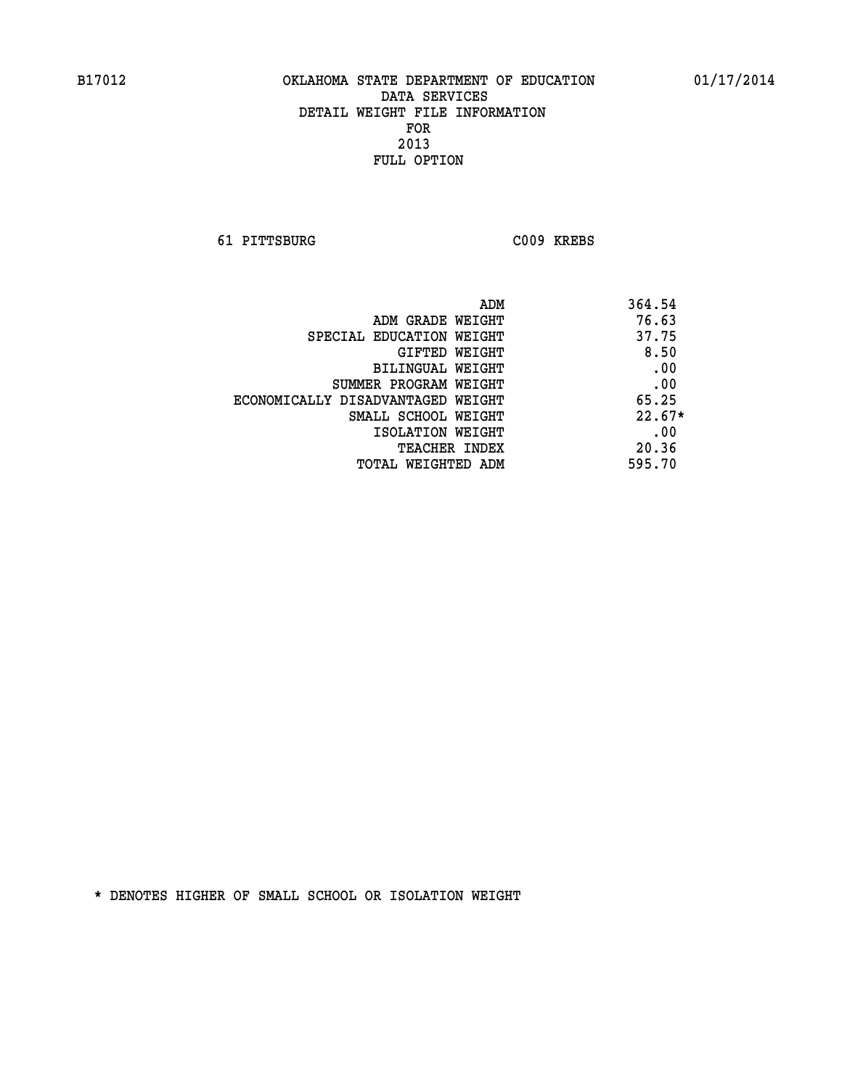**61 PITTSBURG C009 KREBS** 

|                                   | ADM | 364.54   |
|-----------------------------------|-----|----------|
| ADM GRADE WEIGHT                  |     | 76.63    |
| SPECIAL EDUCATION WEIGHT          |     | 37.75    |
| GIFTED WEIGHT                     |     | 8.50     |
| BILINGUAL WEIGHT                  |     | .00      |
| SUMMER PROGRAM WEIGHT             |     | .00      |
| ECONOMICALLY DISADVANTAGED WEIGHT |     | 65.25    |
| SMALL SCHOOL WEIGHT               |     | $22.67*$ |
| ISOLATION WEIGHT                  |     | .00      |
| <b>TEACHER INDEX</b>              |     | 20.36    |
| TOTAL WEIGHTED ADM                |     | 595.70   |
|                                   |     |          |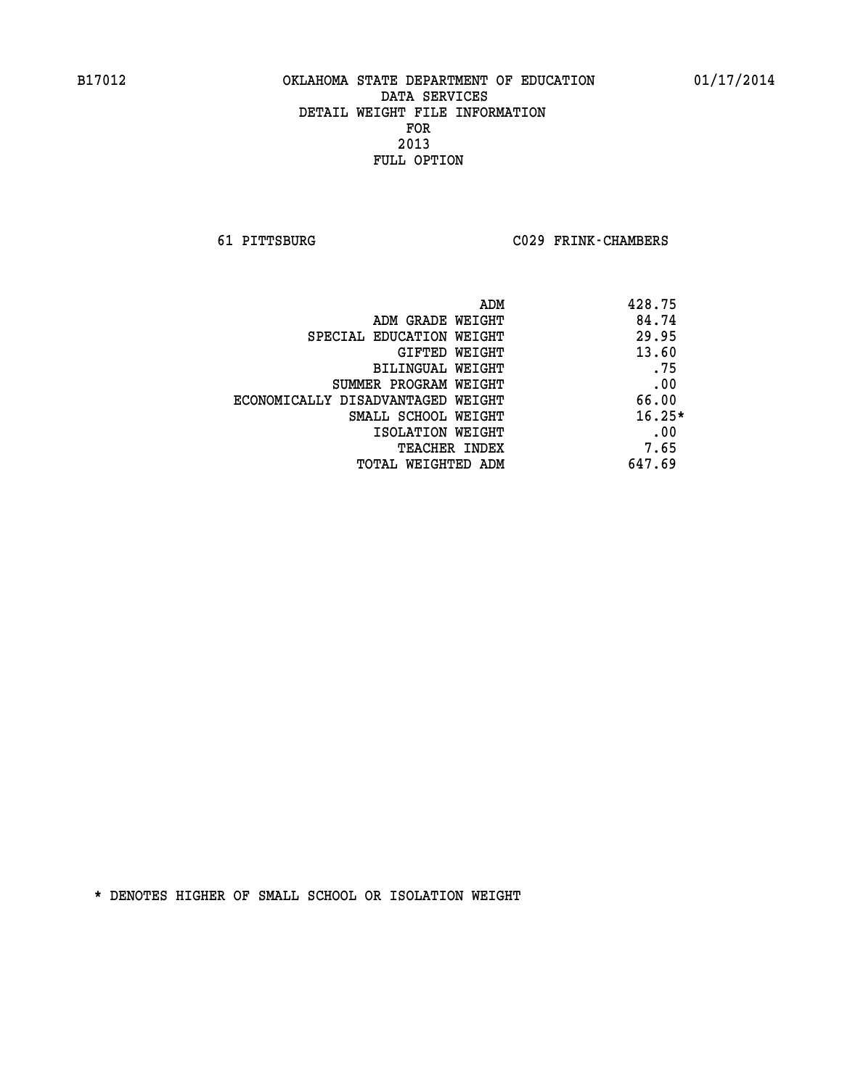**61 PITTSBURG C029 FRINK-CHAMBERS** 

|                                   | 428.75<br>ADM |     |
|-----------------------------------|---------------|-----|
| ADM GRADE WEIGHT                  | 84.74         |     |
| SPECIAL EDUCATION WEIGHT          | 29.95         |     |
| GIFTED WEIGHT                     | 13.60         |     |
| BILINGUAL WEIGHT                  |               | .75 |
| SUMMER PROGRAM WEIGHT             |               | .00 |
| ECONOMICALLY DISADVANTAGED WEIGHT | 66.00         |     |
| SMALL SCHOOL WEIGHT               | $16.25*$      |     |
| ISOLATION WEIGHT                  |               | .00 |
| <b>TEACHER INDEX</b>              | 7.65          |     |
| TOTAL WEIGHTED ADM                | 647.69        |     |
|                                   |               |     |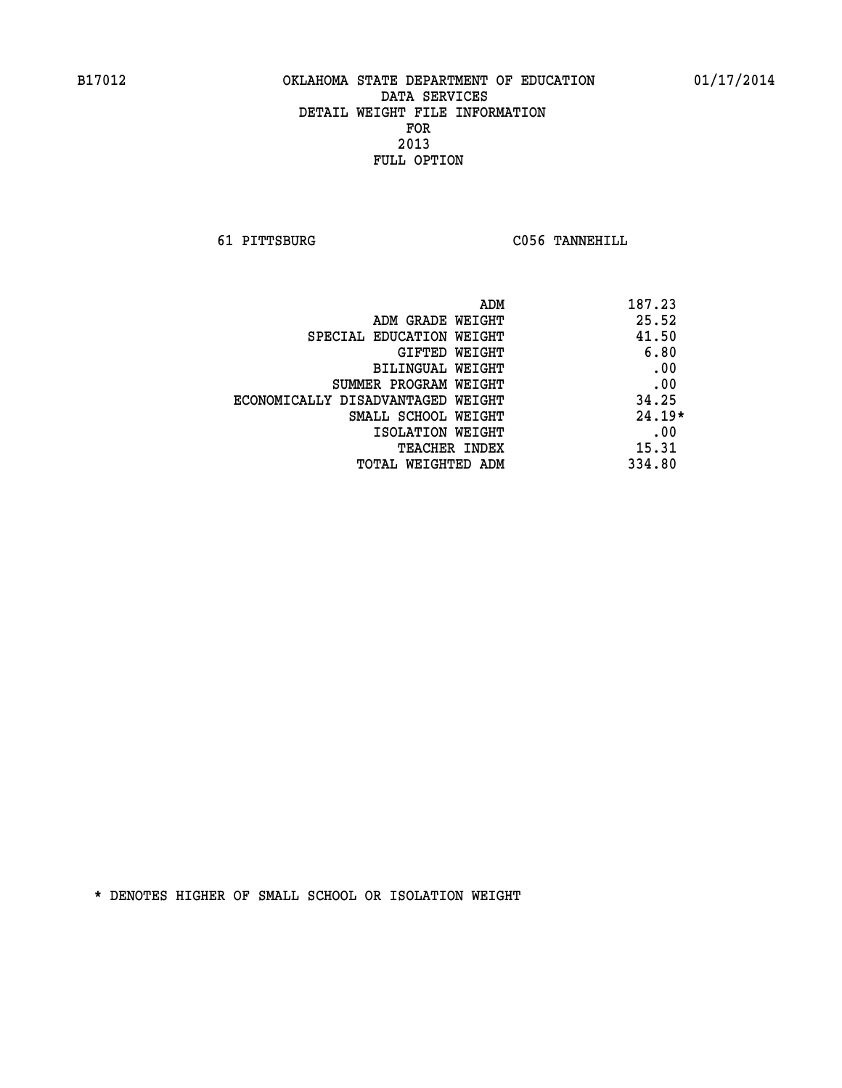**61 PITTSBURG C056 TANNEHILL** 

| ADM                               | 187.23   |
|-----------------------------------|----------|
| ADM GRADE WEIGHT                  | 25.52    |
| SPECIAL EDUCATION WEIGHT          | 41.50    |
| GIFTED WEIGHT                     | 6.80     |
| BILINGUAL WEIGHT                  | .00      |
| SUMMER PROGRAM WEIGHT             | .00      |
| ECONOMICALLY DISADVANTAGED WEIGHT | 34.25    |
| SMALL SCHOOL WEIGHT               | $24.19*$ |
| ISOLATION WEIGHT                  | .00      |
| <b>TEACHER INDEX</b>              | 15.31    |
| TOTAL WEIGHTED ADM                | 334.80   |
|                                   |          |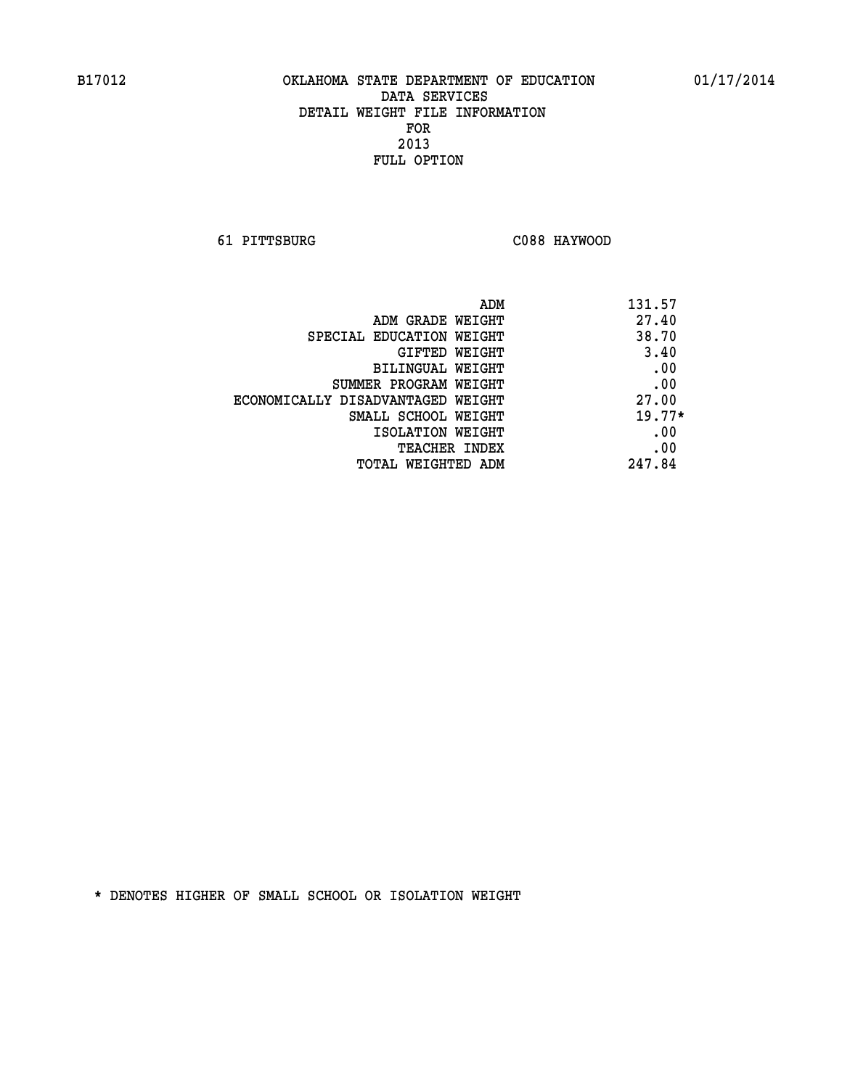**61 PITTSBURG C088 HAYWOOD** 

| ADM                               | 131.57   |
|-----------------------------------|----------|
| ADM GRADE WEIGHT                  | 27.40    |
| SPECIAL EDUCATION WEIGHT          | 38.70    |
| GIFTED WEIGHT                     | 3.40     |
| BILINGUAL WEIGHT                  | .00      |
| SUMMER PROGRAM WEIGHT             | .00      |
| ECONOMICALLY DISADVANTAGED WEIGHT | 27.00    |
| SMALL SCHOOL WEIGHT               | $19.77*$ |
| ISOLATION WEIGHT                  | .00      |
| <b>TEACHER INDEX</b>              | .00      |
| TOTAL WEIGHTED ADM                | 247.84   |
|                                   |          |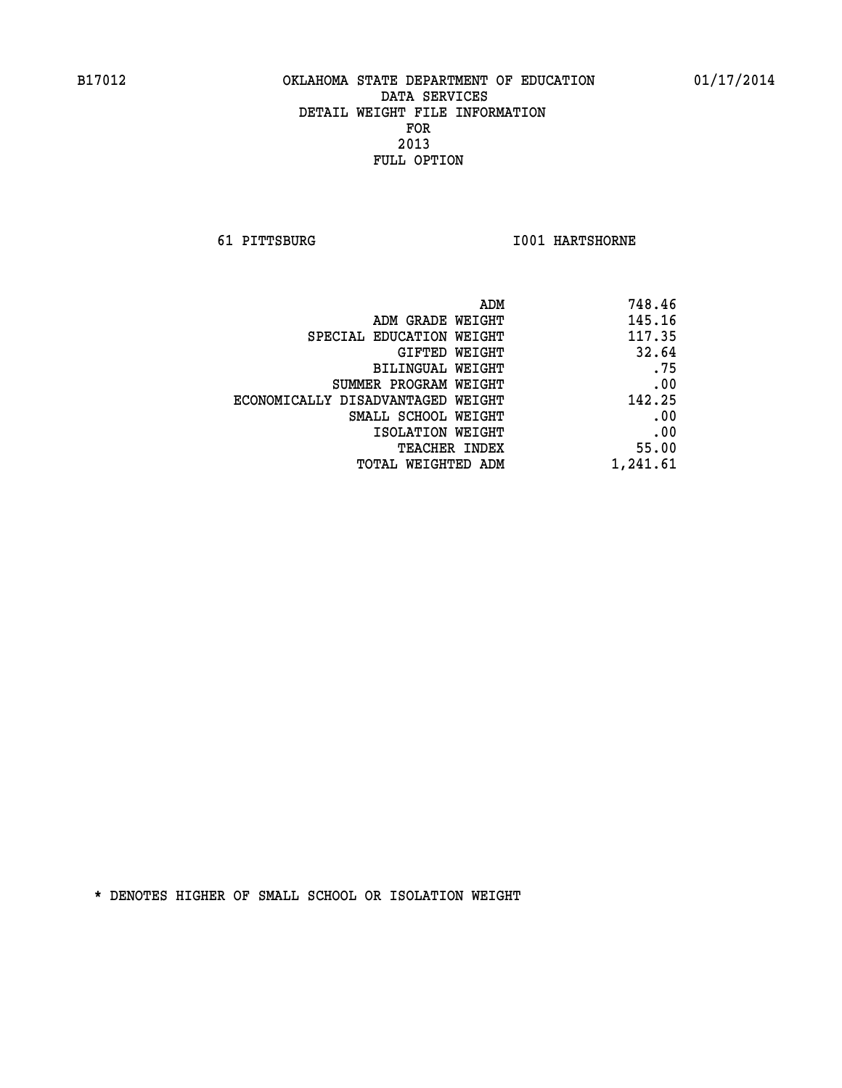**61 PITTSBURG I001 HARTSHORNE** 

| 748.46   |
|----------|
| 145.16   |
| 117.35   |
| 32.64    |
| .75      |
| .00      |
| 142.25   |
| .00      |
| .00      |
| 55.00    |
| 1,241.61 |
|          |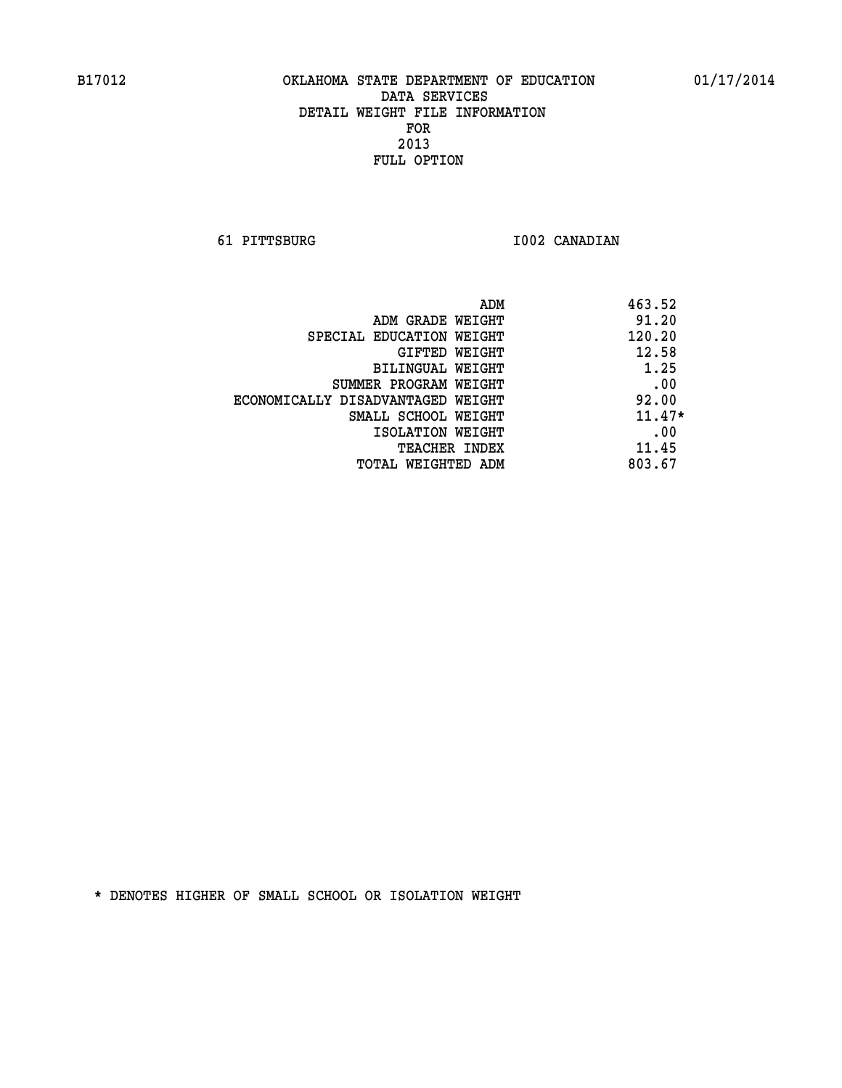**61 PITTSBURG I002 CANADIAN** 

| ADM                               | 463.52   |
|-----------------------------------|----------|
| ADM GRADE WEIGHT                  | 91.20    |
| SPECIAL EDUCATION WEIGHT          | 120.20   |
| GIFTED WEIGHT                     | 12.58    |
| BILINGUAL WEIGHT                  | 1.25     |
| SUMMER PROGRAM WEIGHT             | .00      |
| ECONOMICALLY DISADVANTAGED WEIGHT | 92.00    |
| SMALL SCHOOL WEIGHT               | $11.47*$ |
| ISOLATION WEIGHT                  | .00      |
| <b>TEACHER INDEX</b>              | 11.45    |
| TOTAL WEIGHTED ADM                | 803.67   |
|                                   |          |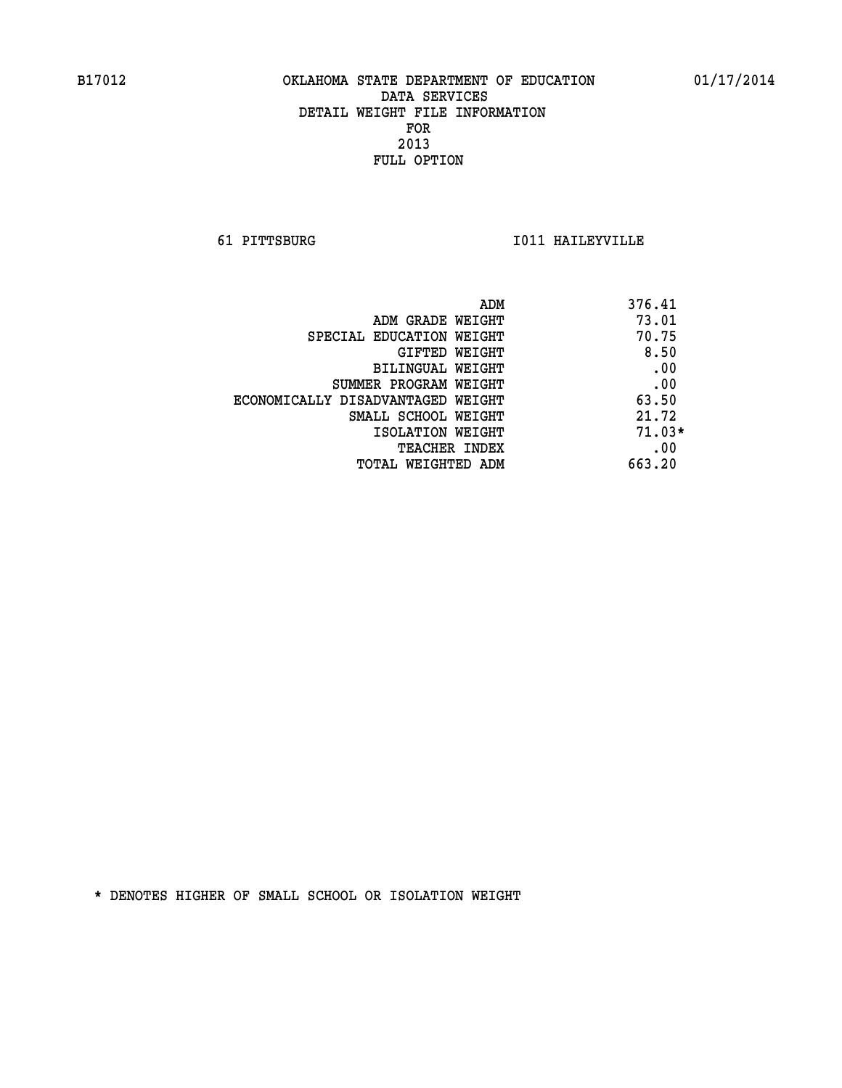**61 PITTSBURG I011 HAILEYVILLE** 

| 376.41<br>ADM                              |  |
|--------------------------------------------|--|
| 73.01<br>ADM GRADE WEIGHT                  |  |
| 70.75<br>SPECIAL EDUCATION WEIGHT          |  |
| 8.50<br>GIFTED WEIGHT                      |  |
| .00<br>BILINGUAL WEIGHT                    |  |
| .00<br>SUMMER PROGRAM WEIGHT               |  |
| 63.50<br>ECONOMICALLY DISADVANTAGED WEIGHT |  |
| 21.72<br>SMALL SCHOOL WEIGHT               |  |
| $71.03*$<br>ISOLATION WEIGHT               |  |
| .00<br><b>TEACHER INDEX</b>                |  |
| 663.20<br>TOTAL WEIGHTED ADM               |  |
|                                            |  |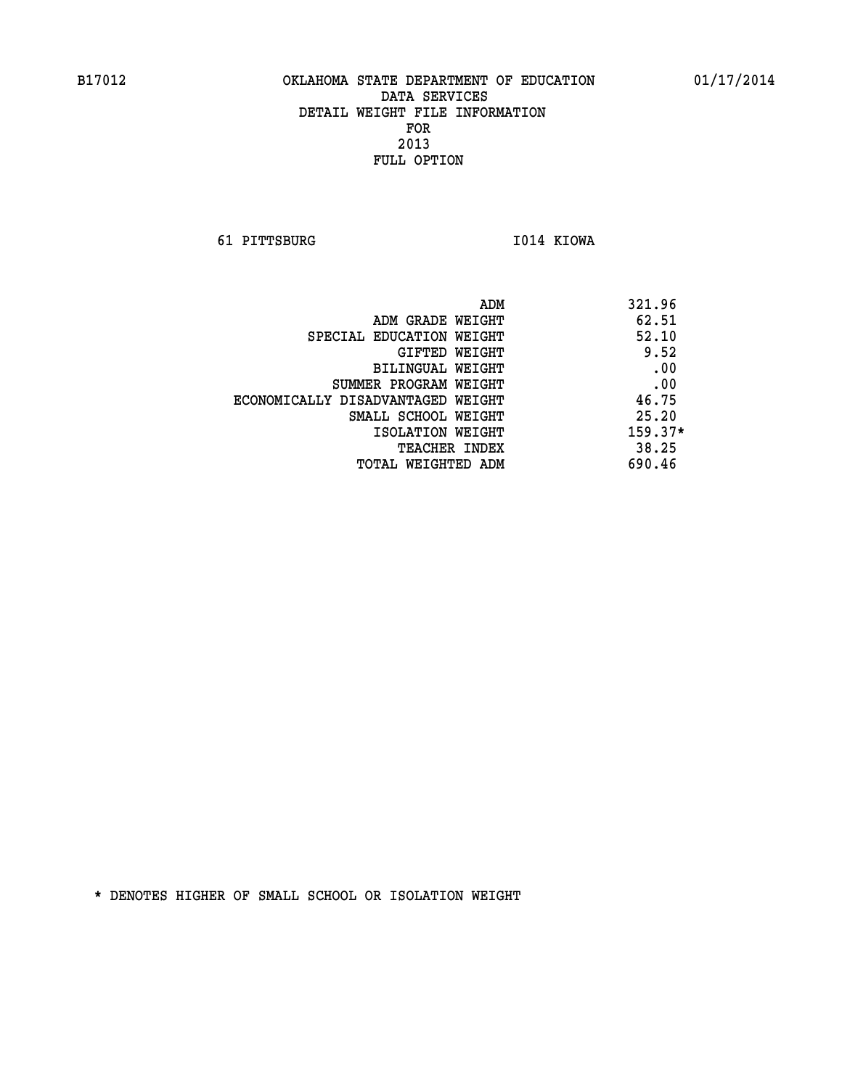**61 PITTSBURG I014 KIOWA** 

|                                   | 321.96<br>ADM |       |
|-----------------------------------|---------------|-------|
| ADM GRADE WEIGHT                  | 62.51         |       |
| SPECIAL EDUCATION WEIGHT          |               | 52.10 |
| GIFTED WEIGHT                     |               | 9.52  |
| BILINGUAL WEIGHT                  |               | .00   |
| SUMMER PROGRAM WEIGHT             |               | .00   |
| ECONOMICALLY DISADVANTAGED WEIGHT | 46.75         |       |
| SMALL SCHOOL WEIGHT               | 25.20         |       |
| ISOLATION WEIGHT                  | $159.37*$     |       |
| <b>TEACHER INDEX</b>              | 38.25         |       |
| TOTAL WEIGHTED ADM                | 690.46        |       |
|                                   |               |       |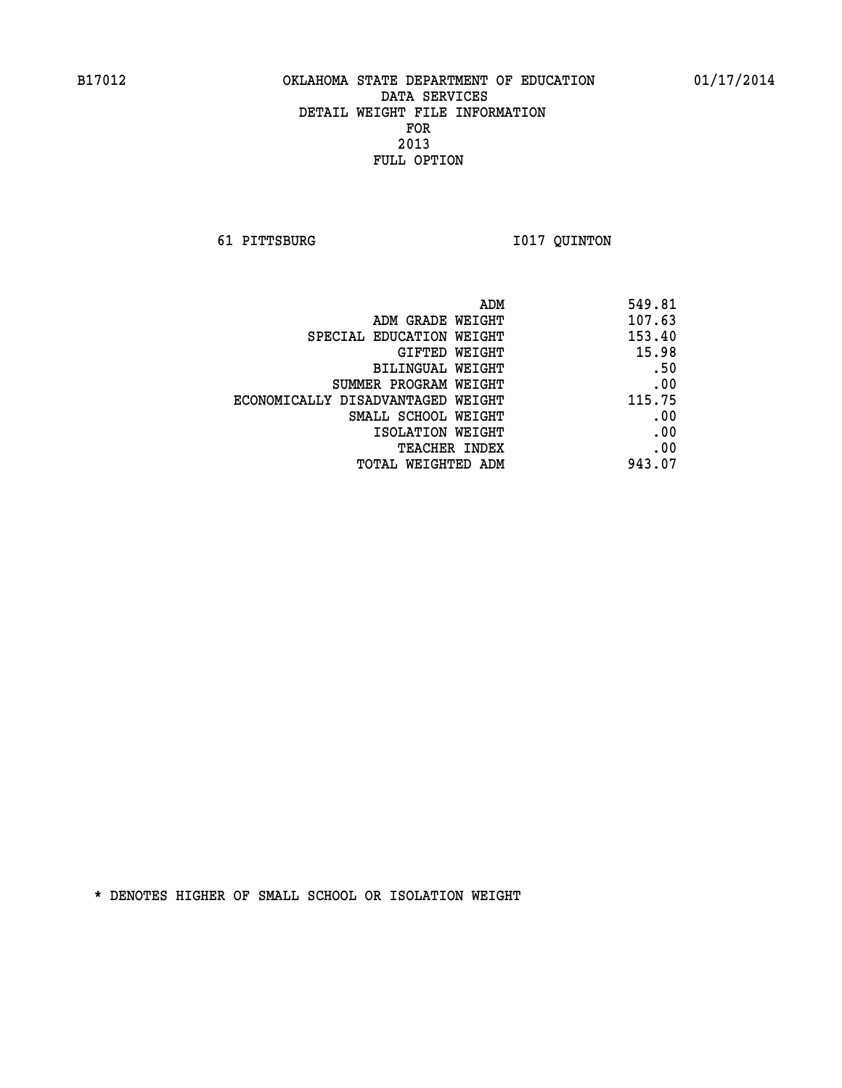**61 PITTSBURG I017 QUINTON** 

| ADM                               | 549.81 |
|-----------------------------------|--------|
| ADM GRADE WEIGHT                  | 107.63 |
| SPECIAL EDUCATION WEIGHT          | 153.40 |
| GIFTED WEIGHT                     | 15.98  |
| <b>BILINGUAL WEIGHT</b>           | .50    |
| SUMMER PROGRAM WEIGHT             | .00    |
| ECONOMICALLY DISADVANTAGED WEIGHT | 115.75 |
| SMALL SCHOOL WEIGHT               | .00    |
| ISOLATION WEIGHT                  | .00    |
| TEACHER INDEX                     | .00    |
| TOTAL WEIGHTED ADM                | 943.07 |
|                                   |        |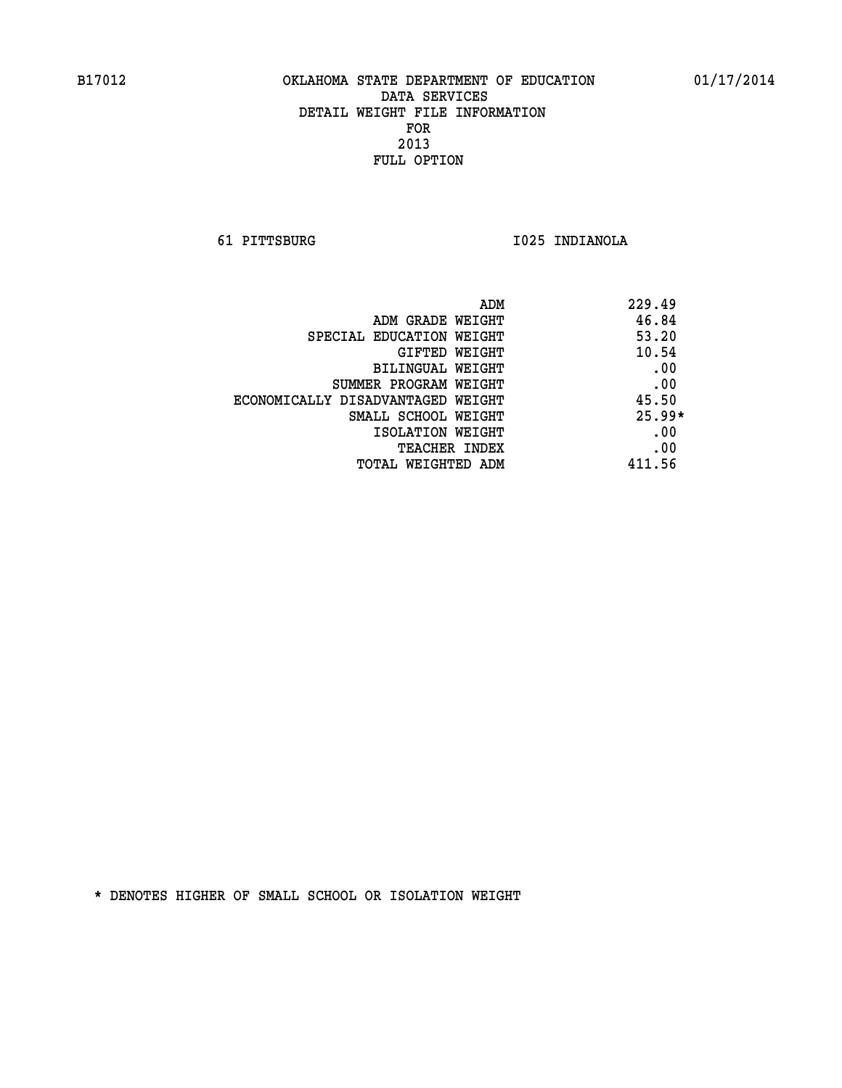**61 PITTSBURG I025 INDIANOLA** 

| ADM                               | 229.49   |
|-----------------------------------|----------|
| ADM GRADE WEIGHT                  | 46.84    |
| SPECIAL EDUCATION WEIGHT          | 53.20    |
| GIFTED WEIGHT                     | 10.54    |
| BILINGUAL WEIGHT                  | .00      |
| SUMMER PROGRAM WEIGHT             | .00      |
| ECONOMICALLY DISADVANTAGED WEIGHT | 45.50    |
| SMALL SCHOOL WEIGHT               | $25.99*$ |
| ISOLATION WEIGHT                  | .00      |
| <b>TEACHER INDEX</b>              | .00      |
| TOTAL WEIGHTED ADM                | 411.56   |
|                                   |          |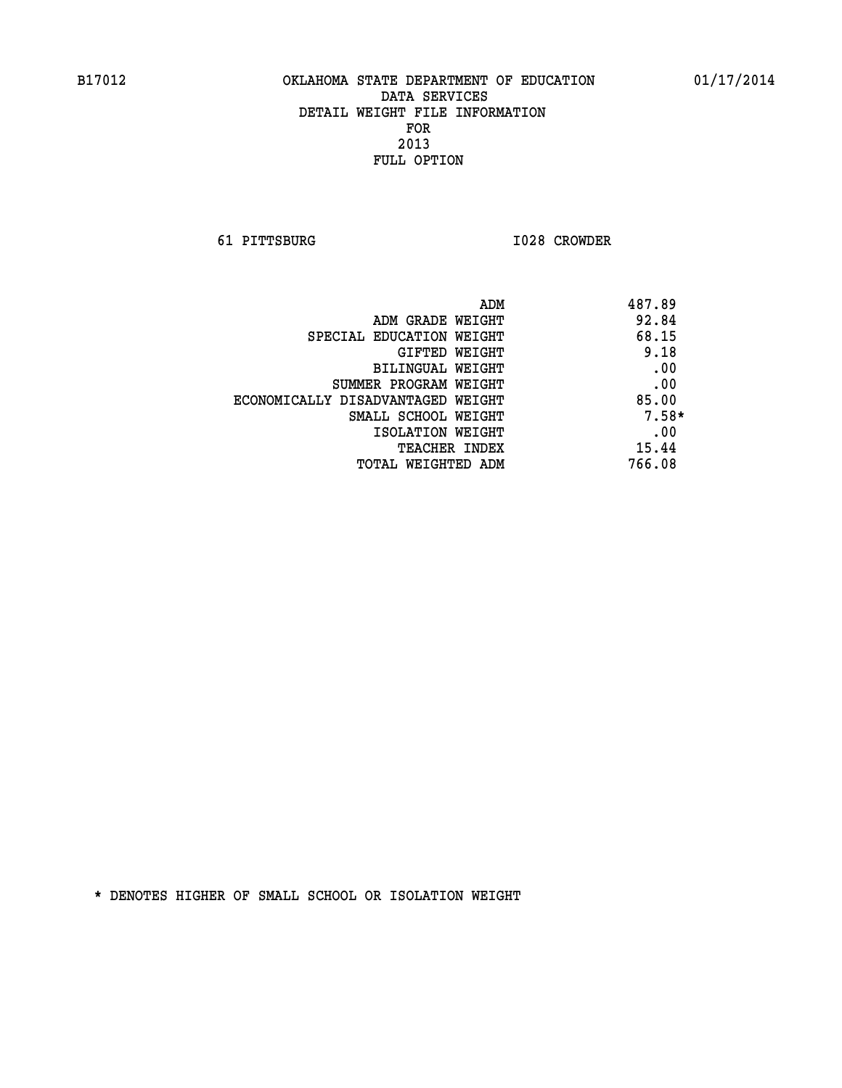**61 PITTSBURG I028 CROWDER** 

| ADM                               | 487.89  |
|-----------------------------------|---------|
| ADM GRADE WEIGHT                  | 92.84   |
| SPECIAL EDUCATION WEIGHT          | 68.15   |
| GIFTED WEIGHT                     | 9.18    |
| BILINGUAL WEIGHT                  | .00     |
| SUMMER PROGRAM WEIGHT             | .00     |
| ECONOMICALLY DISADVANTAGED WEIGHT | 85.00   |
| SMALL SCHOOL WEIGHT               | $7.58*$ |
| ISOLATION WEIGHT                  | .00     |
| <b>TEACHER INDEX</b>              | 15.44   |
| TOTAL WEIGHTED ADM                | 766.08  |
|                                   |         |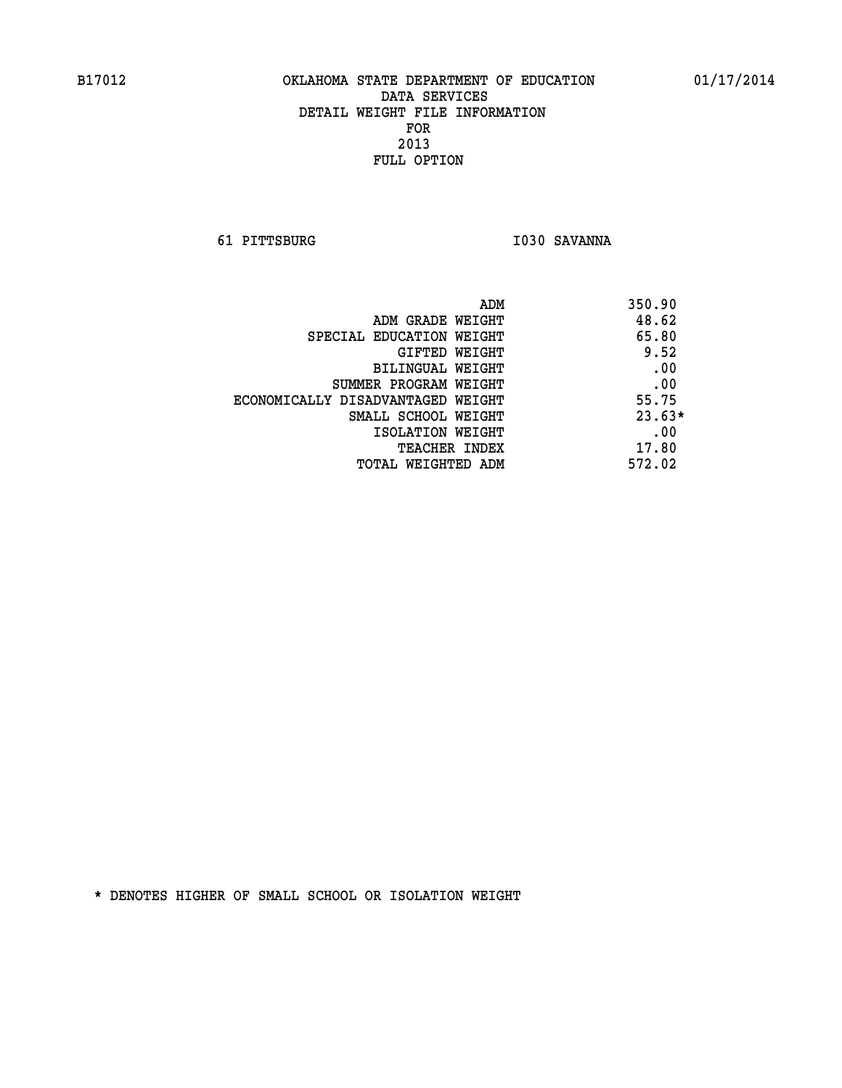**61 PITTSBURG I030 SAVANNA** 

| ADM                               | 350.90   |
|-----------------------------------|----------|
| ADM GRADE WEIGHT                  | 48.62    |
| SPECIAL EDUCATION WEIGHT          | 65.80    |
| GIFTED WEIGHT                     | 9.52     |
| BILINGUAL WEIGHT                  | .00      |
| SUMMER PROGRAM WEIGHT             | .00      |
| ECONOMICALLY DISADVANTAGED WEIGHT | 55.75    |
| SMALL SCHOOL WEIGHT               | $23.63*$ |
| ISOLATION WEIGHT                  | .00      |
| <b>TEACHER INDEX</b>              | 17.80    |
| TOTAL WEIGHTED ADM                | 572.02   |
|                                   |          |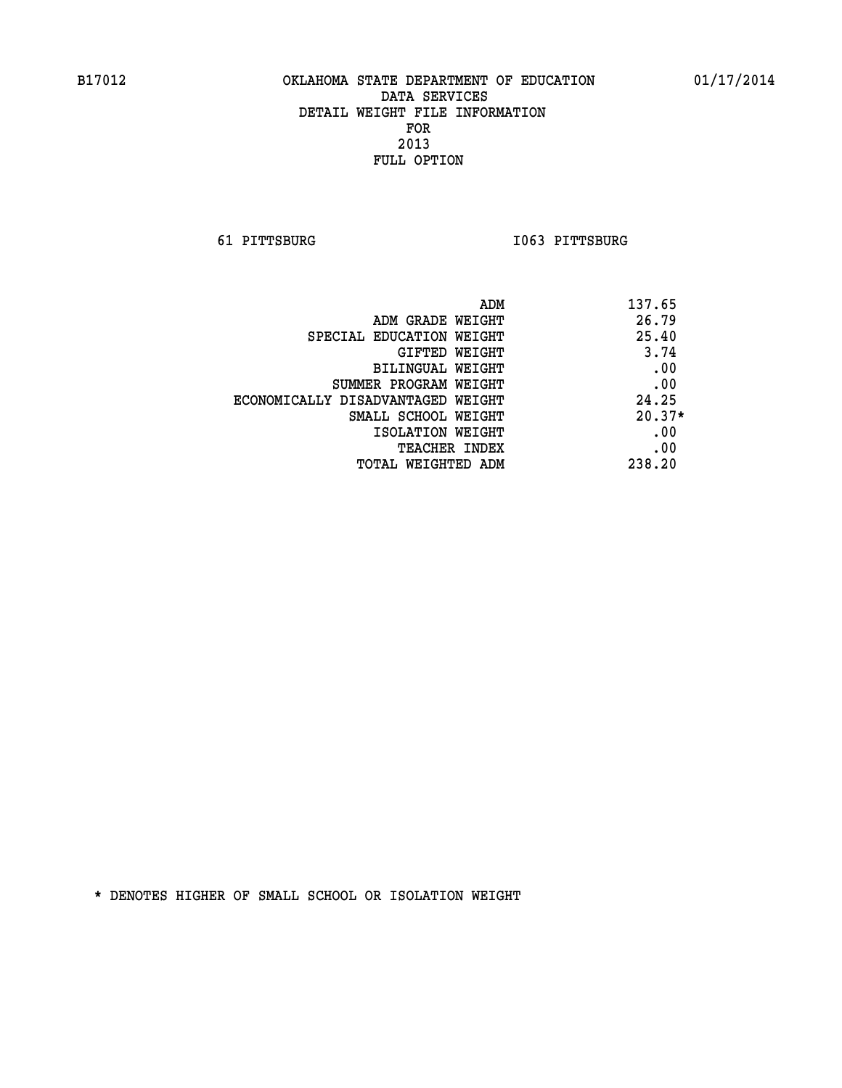**61 PITTSBURG I063 PITTSBURG** 

| ADM                               | 137.65   |
|-----------------------------------|----------|
| ADM GRADE WEIGHT                  | 26.79    |
| SPECIAL EDUCATION WEIGHT          | 25.40    |
| GIFTED WEIGHT                     | 3.74     |
| BILINGUAL WEIGHT                  | .00      |
| SUMMER PROGRAM WEIGHT             | .00      |
| ECONOMICALLY DISADVANTAGED WEIGHT | 24.25    |
| SMALL SCHOOL WEIGHT               | $20.37*$ |
| ISOLATION WEIGHT                  | .00      |
| <b>TEACHER INDEX</b>              | .00      |
| TOTAL WEIGHTED ADM                | 238.20   |
|                                   |          |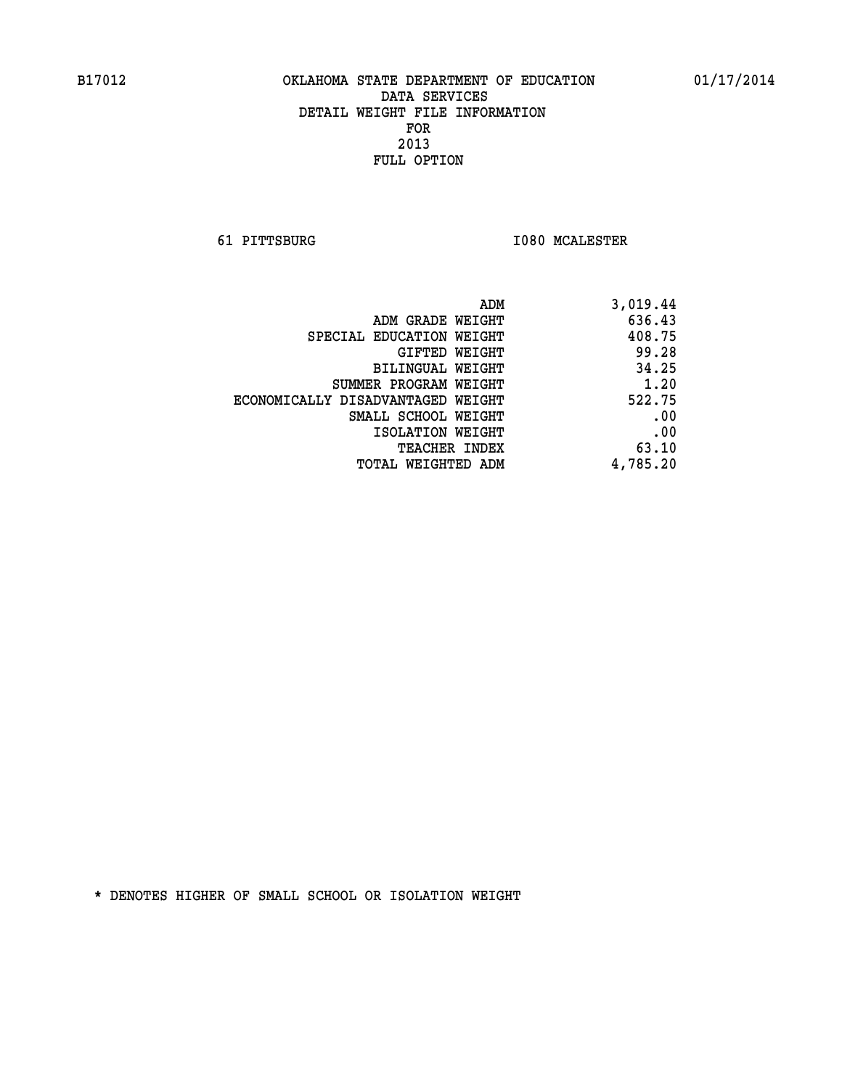**61 PITTSBURG I080 MCALESTER** 

| ADM                               | 3,019.44 |
|-----------------------------------|----------|
| ADM GRADE WEIGHT                  | 636.43   |
| SPECIAL EDUCATION WEIGHT          | 408.75   |
| GIFTED WEIGHT                     | 99.28    |
| BILINGUAL WEIGHT                  | 34.25    |
| SUMMER PROGRAM WEIGHT             | 1.20     |
| ECONOMICALLY DISADVANTAGED WEIGHT | 522.75   |
| SMALL SCHOOL WEIGHT               | .00      |
| ISOLATION WEIGHT                  | .00      |
| TEACHER INDEX                     | 63.10    |
| TOTAL WEIGHTED ADM                | 4,785.20 |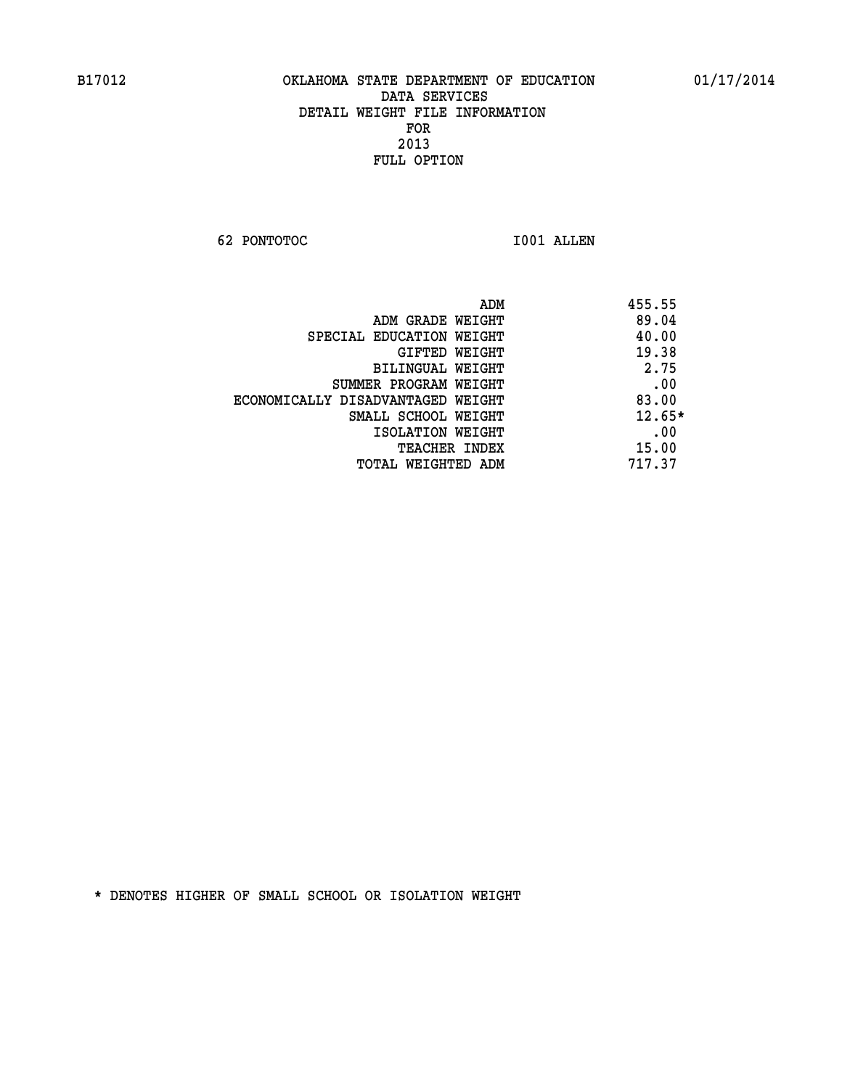**62 PONTOTOC I001 ALLEN** 

|                                   | 455.55<br>ADM |  |
|-----------------------------------|---------------|--|
| ADM GRADE WEIGHT                  | 89.04         |  |
| SPECIAL EDUCATION WEIGHT          | 40.00         |  |
| GIFTED WEIGHT                     | 19.38         |  |
| BILINGUAL WEIGHT                  | 2.75          |  |
| SUMMER PROGRAM WEIGHT             | .00           |  |
| ECONOMICALLY DISADVANTAGED WEIGHT | 83.00         |  |
| SMALL SCHOOL WEIGHT               | $12.65*$      |  |
| ISOLATION WEIGHT                  | .00           |  |
| <b>TEACHER INDEX</b>              | 15.00         |  |
| TOTAL WEIGHTED ADM                | 717.37        |  |
|                                   |               |  |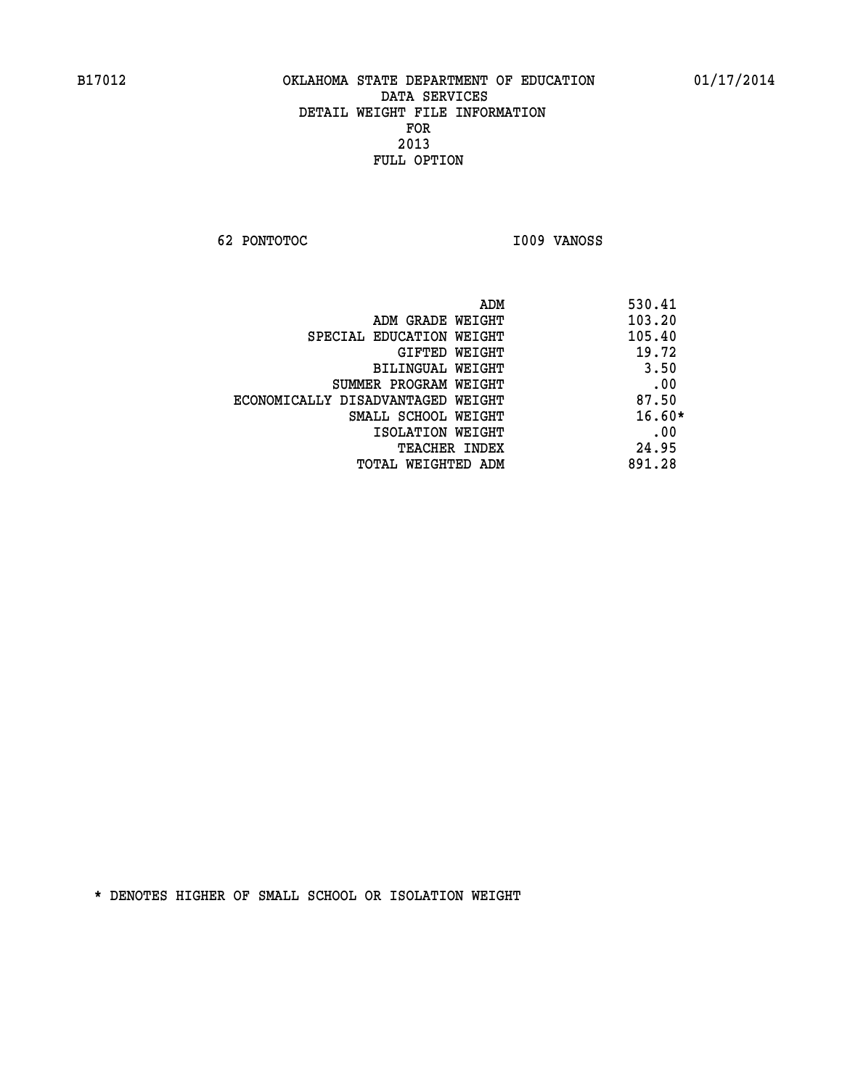**62 PONTOTOC I009 VANOSS** 

| ADM                               | 530.41   |
|-----------------------------------|----------|
| ADM GRADE WEIGHT                  | 103.20   |
| SPECIAL EDUCATION WEIGHT          | 105.40   |
| GIFTED WEIGHT                     | 19.72    |
| BILINGUAL WEIGHT                  | 3.50     |
| SUMMER PROGRAM WEIGHT             | .00      |
| ECONOMICALLY DISADVANTAGED WEIGHT | 87.50    |
| SMALL SCHOOL WEIGHT               | $16.60*$ |
| ISOLATION WEIGHT                  | .00      |
| <b>TEACHER INDEX</b>              | 24.95    |
| TOTAL WEIGHTED ADM                | 891.28   |
|                                   |          |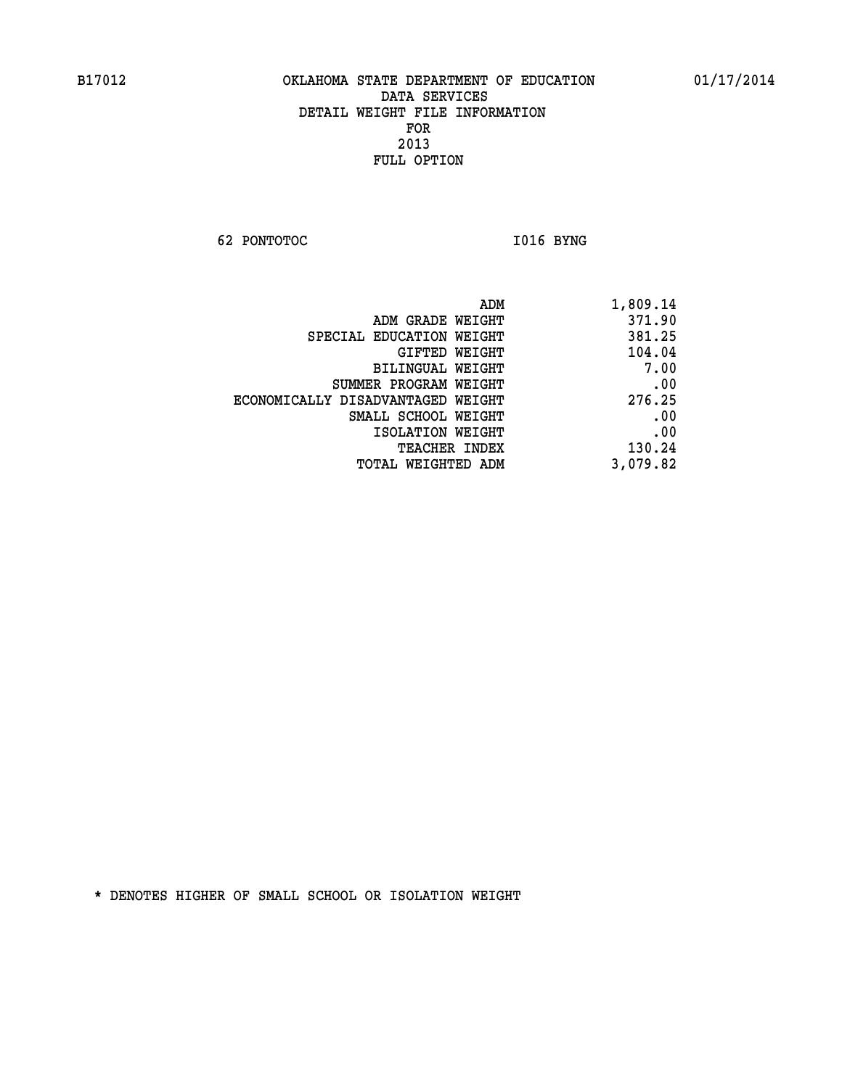**62 PONTOTOC** 1016 BYNG

| 1,809.14 |
|----------|
| 371.90   |
| 381.25   |
| 104.04   |
| 7.00     |
| .00      |
| 276.25   |
| .00      |
| .00      |
| 130.24   |
| 3,079.82 |
|          |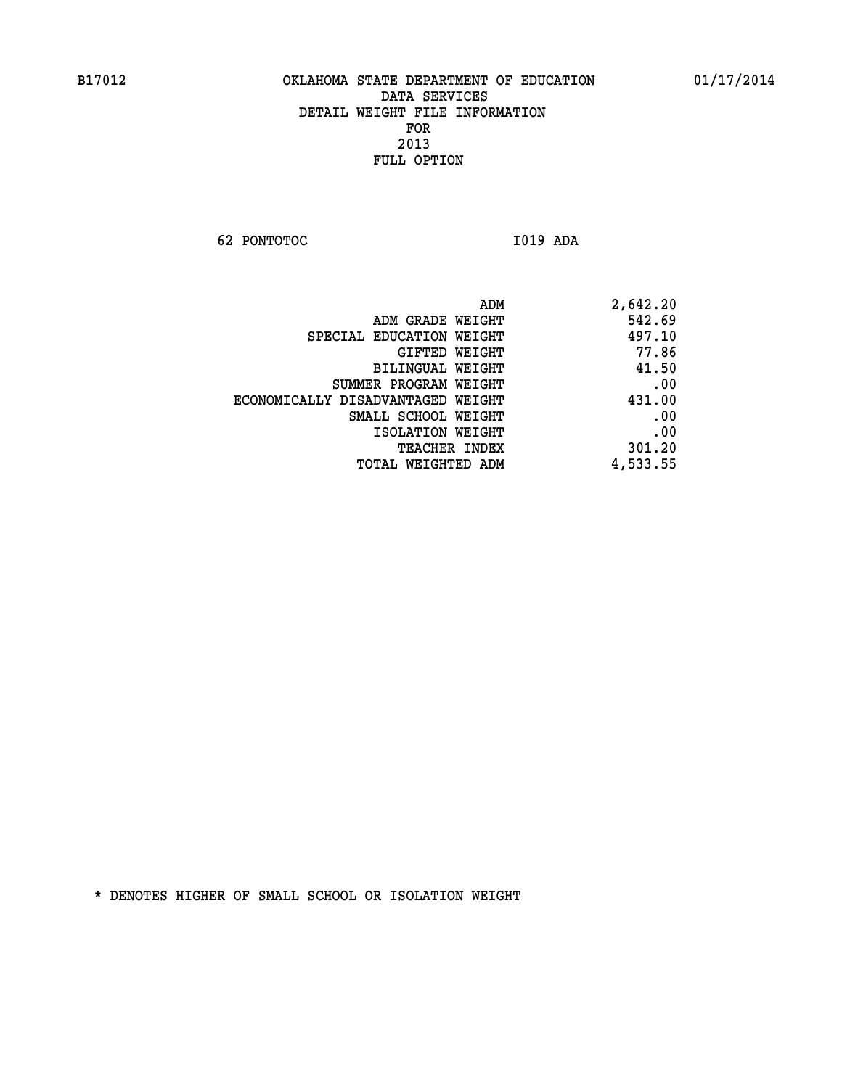**62 PONTOTOC I019 ADA** 

| 2,642.20 |
|----------|
| 542.69   |
| 497.10   |
| 77.86    |
| 41.50    |
| .00      |
| 431.00   |
| .00      |
| .00      |
| 301.20   |
| 4,533.55 |
|          |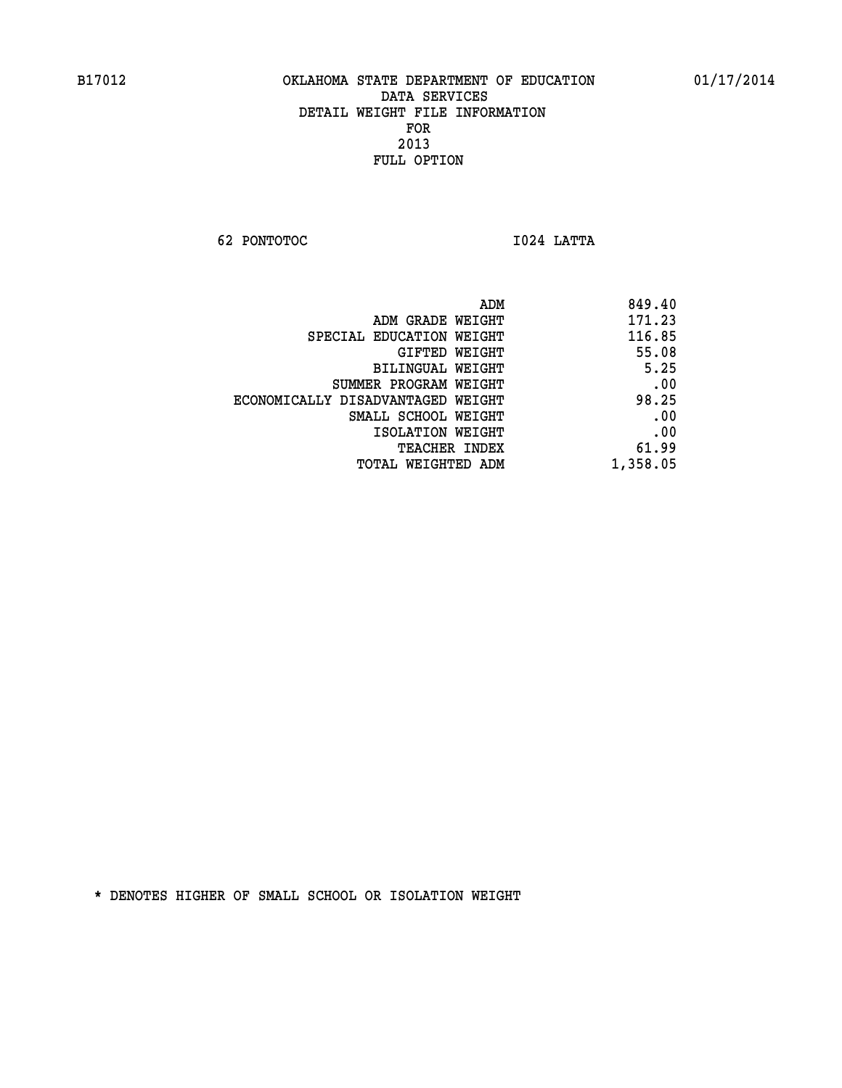**62 PONTOTOC I024 LATTA** 

|                                   | 849.40<br>ADM |
|-----------------------------------|---------------|
| ADM GRADE WEIGHT                  | 171.23        |
| SPECIAL EDUCATION WEIGHT          | 116.85        |
| GIFTED WEIGHT                     | 55.08         |
| BILINGUAL WEIGHT                  | 5.25          |
| SUMMER PROGRAM WEIGHT             | .00           |
| ECONOMICALLY DISADVANTAGED WEIGHT | 98.25         |
| SMALL SCHOOL WEIGHT               | .00           |
| ISOLATION WEIGHT                  | .00           |
| TEACHER INDEX                     | 61.99         |
| TOTAL WEIGHTED ADM                | 1,358.05      |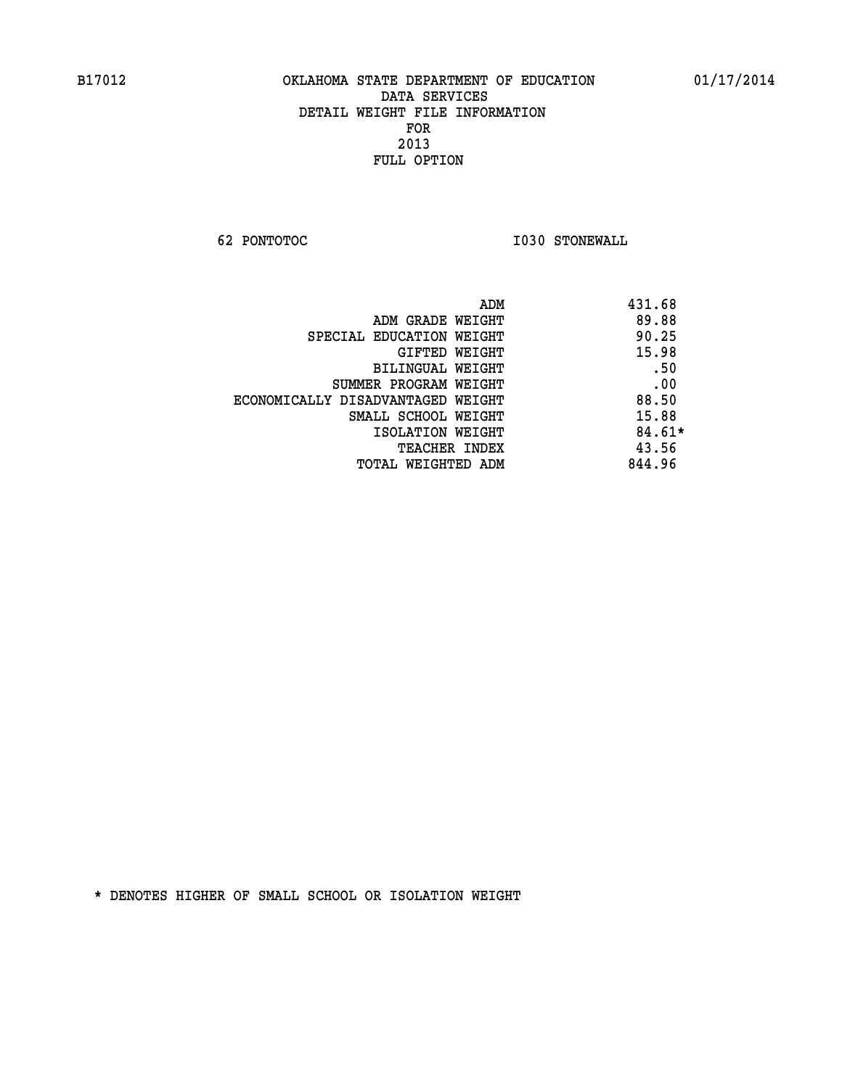**62 PONTOTOC I030 STONEWALL** 

| ADM                               | 431.68   |
|-----------------------------------|----------|
| ADM GRADE WEIGHT                  | 89.88    |
| SPECIAL EDUCATION WEIGHT          | 90.25    |
| GIFTED WEIGHT                     | 15.98    |
| <b>BILINGUAL WEIGHT</b>           | .50      |
| SUMMER PROGRAM WEIGHT             | .00      |
| ECONOMICALLY DISADVANTAGED WEIGHT | 88.50    |
| SMALL SCHOOL WEIGHT               | 15.88    |
| ISOLATION WEIGHT                  | $84.61*$ |
| <b>TEACHER INDEX</b>              | 43.56    |
| TOTAL WEIGHTED ADM                | 844.96   |
|                                   |          |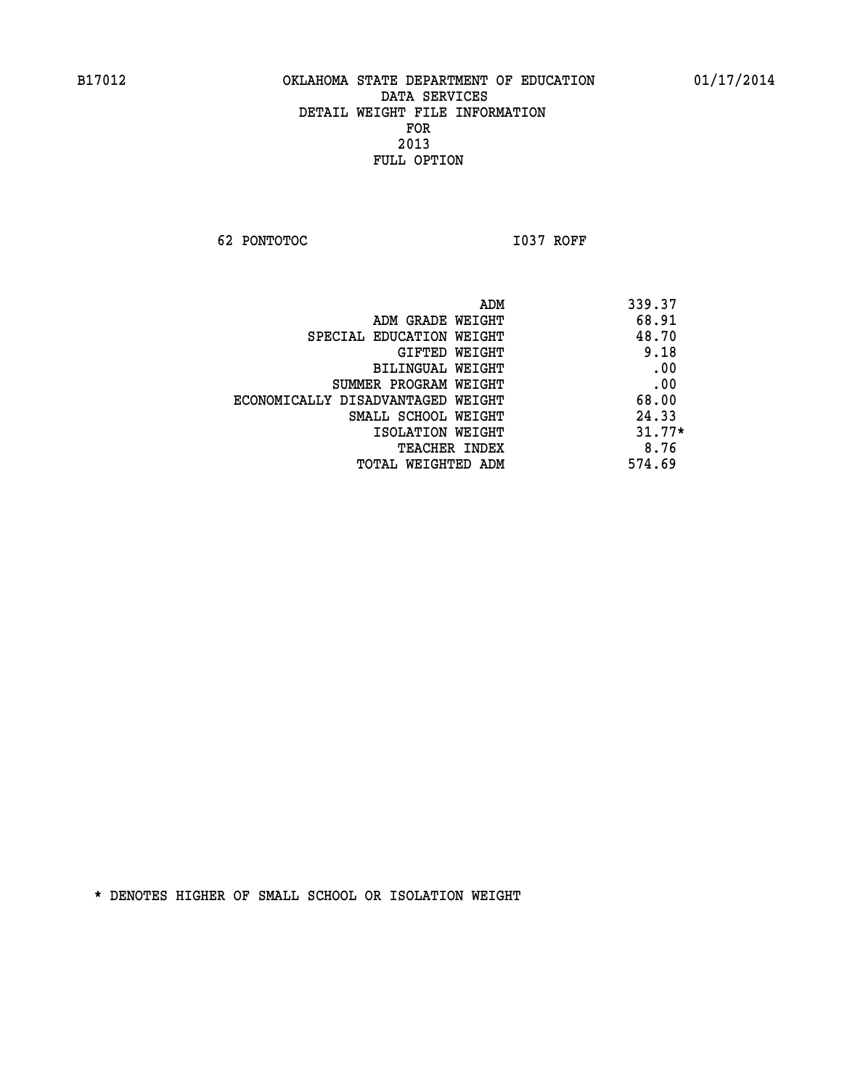**62 PONTOTOC I037 ROFF** 

| ADM                               | 339.37   |
|-----------------------------------|----------|
| ADM GRADE WEIGHT                  | 68.91    |
| SPECIAL EDUCATION WEIGHT          | 48.70    |
| GIFTED WEIGHT                     | 9.18     |
| BILINGUAL WEIGHT                  | .00      |
| SUMMER PROGRAM WEIGHT             | .00      |
| ECONOMICALLY DISADVANTAGED WEIGHT | 68.00    |
| SMALL SCHOOL WEIGHT               | 24.33    |
| ISOLATION WEIGHT                  | $31.77*$ |
| <b>TEACHER INDEX</b>              | 8.76     |
| TOTAL WEIGHTED ADM                | 574.69   |
|                                   |          |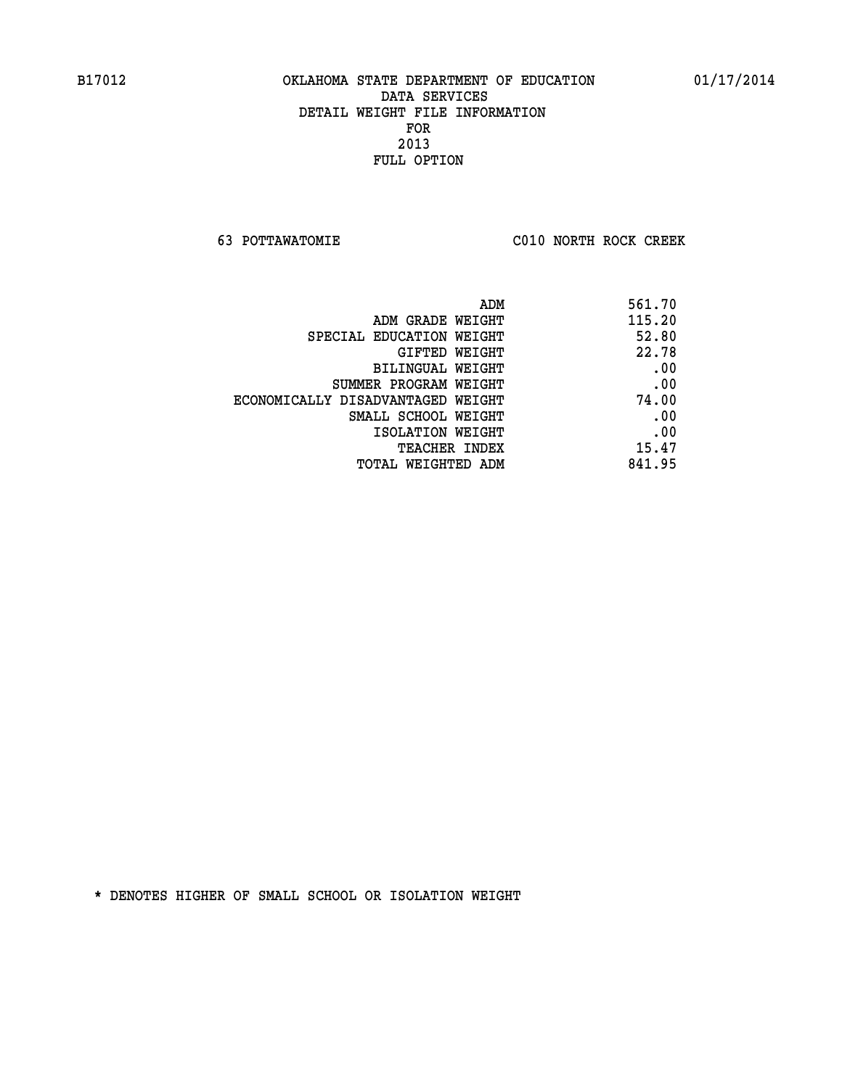**63 POTTAWATOMIE C010 NORTH ROCK CREEK** 

| ADM                               | 561.70 |
|-----------------------------------|--------|
| ADM GRADE WEIGHT                  | 115.20 |
| SPECIAL EDUCATION WEIGHT          | 52.80  |
| GIFTED WEIGHT                     | 22.78  |
| <b>BILINGUAL WEIGHT</b>           | .00    |
| SUMMER PROGRAM WEIGHT             | .00    |
| ECONOMICALLY DISADVANTAGED WEIGHT | 74.00  |
| SMALL SCHOOL WEIGHT               | .00    |
| ISOLATION WEIGHT                  | .00    |
| TEACHER INDEX                     | 15.47  |
| TOTAL WEIGHTED ADM                | 841.95 |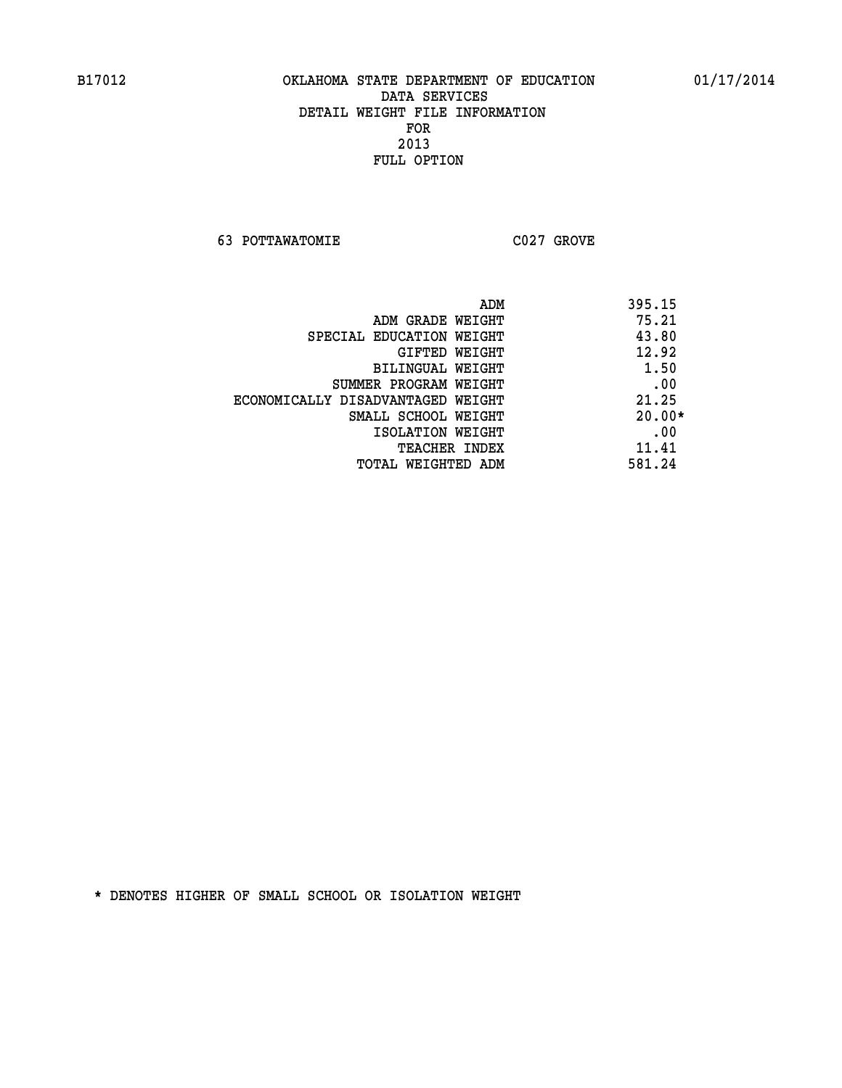**63 POTTAWATOMIE C027 GROVE** 

 **ADM 395.15 ADM GRADE WEIGHT 75.21 SPECIAL EDUCATION WEIGHT 43.80 GIFTED WEIGHT 42.92 BILINGUAL WEIGHT 1.50 SUMMER PROGRAM WEIGHT .00 ECONOMICALLY DISADVANTAGED WEIGHT 21.25 SMALL SCHOOL WEIGHT 20.00\* EXECUTED ISOLATION WEIGHT AND RESOLATION WEIGHT TEACHER INDEX** 11.41  **TOTAL WEIGHTED ADM 581.24**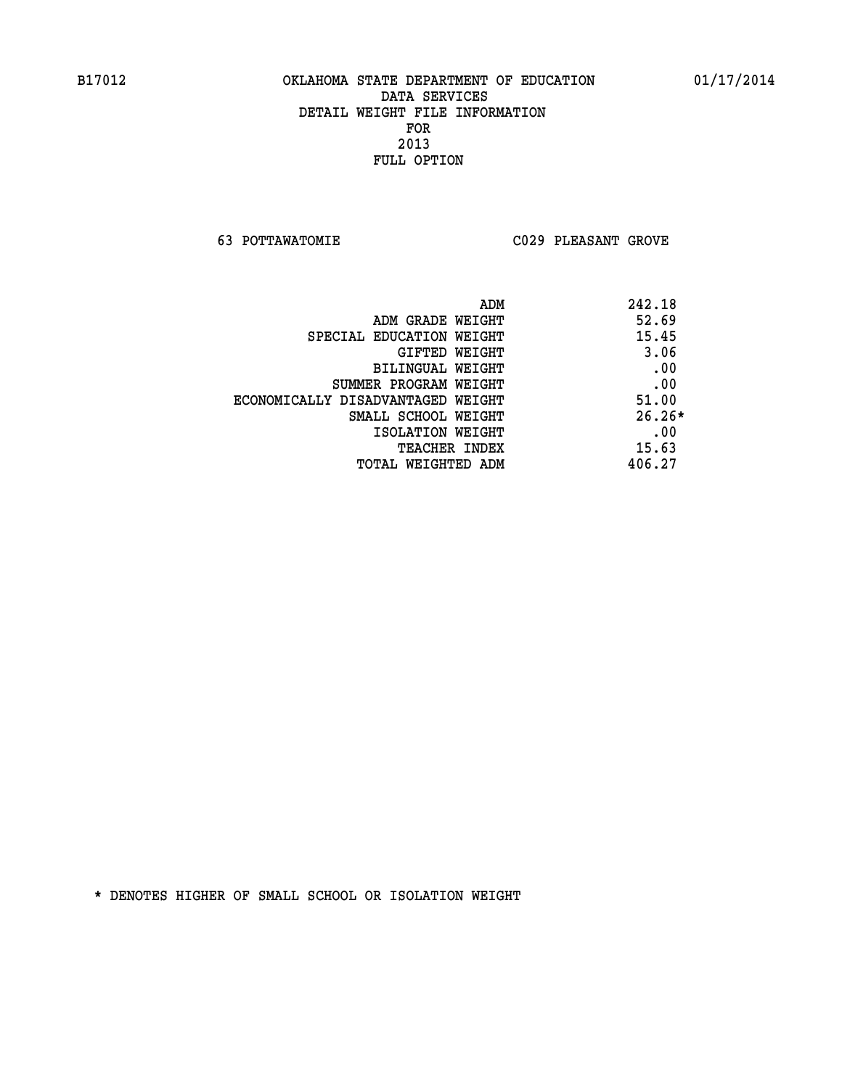**63 POTTAWATOMIE C029 PLEASANT GROVE** 

| ADM                               | 242.18   |
|-----------------------------------|----------|
| ADM GRADE WEIGHT                  | 52.69    |
| SPECIAL EDUCATION WEIGHT          | 15.45    |
| GIFTED WEIGHT                     | 3.06     |
| BILINGUAL WEIGHT                  | .00      |
| SUMMER PROGRAM WEIGHT             | .00      |
| ECONOMICALLY DISADVANTAGED WEIGHT | 51.00    |
| SMALL SCHOOL WEIGHT               | $26.26*$ |
| ISOLATION WEIGHT                  | .00      |
| <b>TEACHER INDEX</b>              | 15.63    |
| TOTAL WEIGHTED ADM                | 406.27   |
|                                   |          |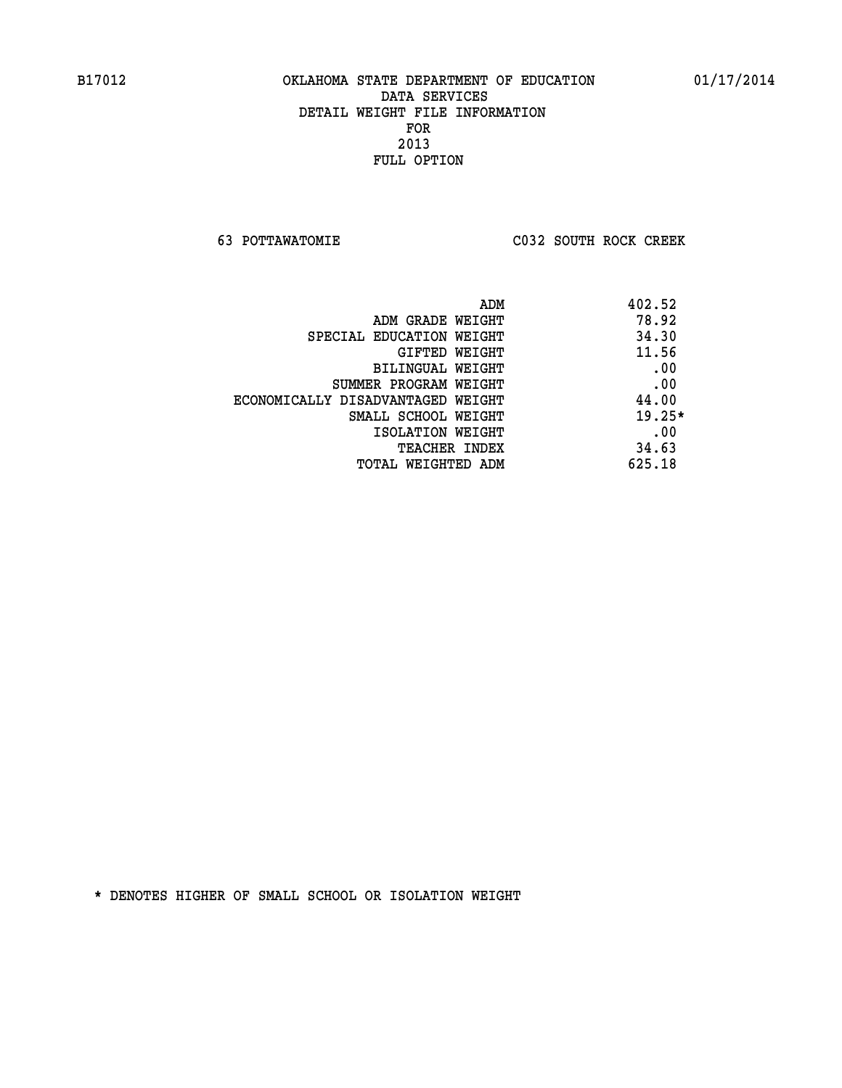**63 POTTAWATOMIE C032 SOUTH ROCK CREEK** 

| ADM                               | 402.52   |
|-----------------------------------|----------|
| ADM GRADE WEIGHT                  | 78.92    |
| SPECIAL EDUCATION WEIGHT          | 34.30    |
| GIFTED WEIGHT                     | 11.56    |
| BILINGUAL WEIGHT                  | .00      |
| SUMMER PROGRAM WEIGHT             | .00      |
| ECONOMICALLY DISADVANTAGED WEIGHT | 44.00    |
| SMALL SCHOOL WEIGHT               | $19.25*$ |
| ISOLATION WEIGHT                  | .00      |
| <b>TEACHER INDEX</b>              | 34.63    |
| TOTAL WEIGHTED ADM                | 625.18   |
|                                   |          |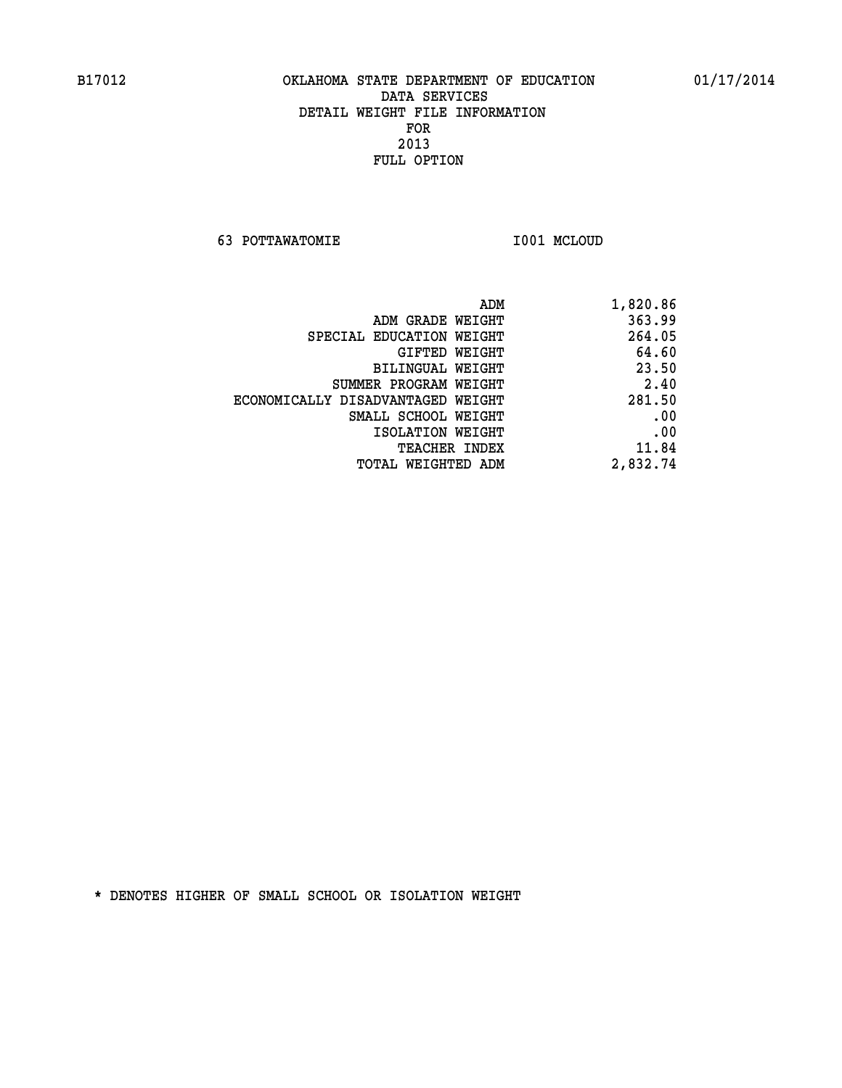**63 POTTAWATOMIE I001 MCLOUD** 

| 1,820.86 |
|----------|
| 363.99   |
| 264.05   |
| 64.60    |
| 23.50    |
| 2.40     |
| 281.50   |
| .00      |
| .00      |
| 11.84    |
| 2,832.74 |
|          |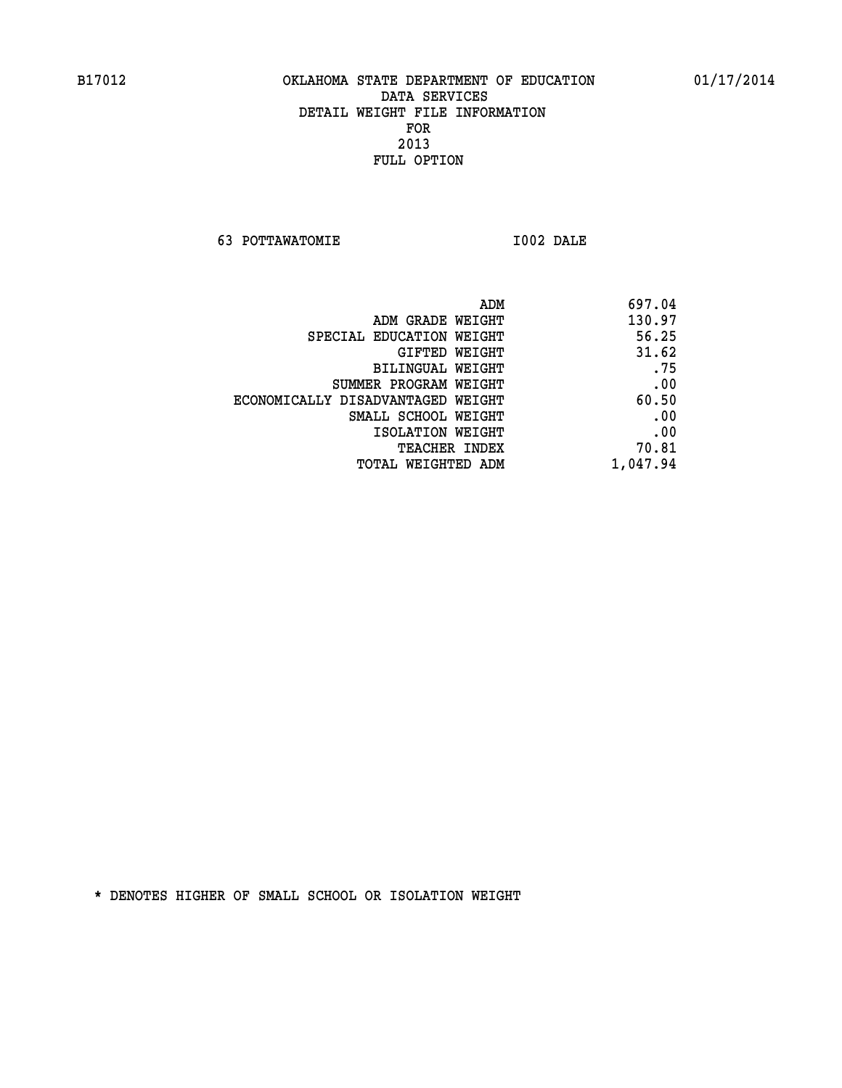**63 POTTAWATOMIE I002 DALE** 

|                                   | 697.04<br>ADM |
|-----------------------------------|---------------|
| ADM GRADE WEIGHT                  | 130.97        |
| SPECIAL EDUCATION WEIGHT          | 56.25         |
| GIFTED WEIGHT                     | 31.62         |
| BILINGUAL WEIGHT                  | .75           |
| SUMMER PROGRAM WEIGHT             | .00           |
| ECONOMICALLY DISADVANTAGED WEIGHT | 60.50         |
| SMALL SCHOOL WEIGHT               | .00           |
| ISOLATION WEIGHT                  | .00           |
| <b>TEACHER INDEX</b>              | 70.81         |
| TOTAL WEIGHTED ADM                | 1,047.94      |
|                                   |               |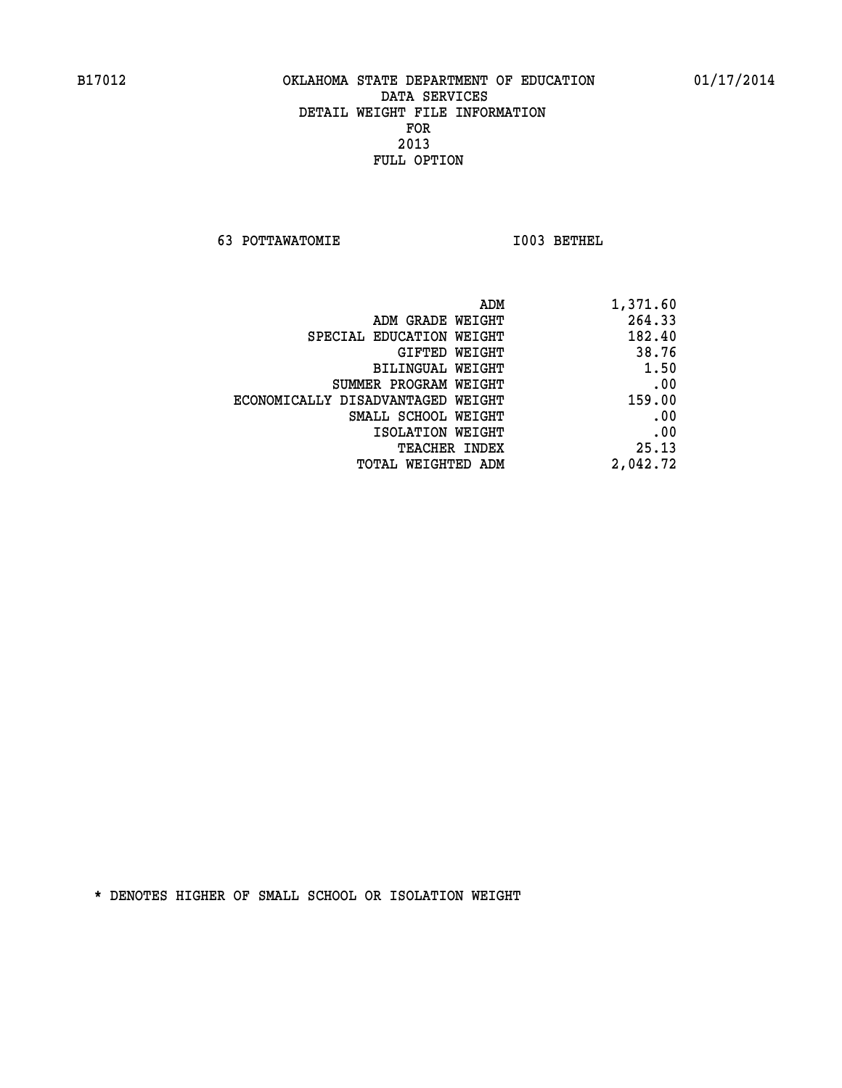**63 POTTAWATOMIE I003 BETHEL** 

| ADM                               | 1,371.60 |
|-----------------------------------|----------|
| ADM GRADE WEIGHT                  | 264.33   |
| SPECIAL EDUCATION WEIGHT          | 182.40   |
| GIFTED WEIGHT                     | 38.76    |
| BILINGUAL WEIGHT                  | 1.50     |
| SUMMER PROGRAM WEIGHT             | .00      |
| ECONOMICALLY DISADVANTAGED WEIGHT | 159.00   |
| SMALL SCHOOL WEIGHT               | .00      |
| ISOLATION WEIGHT                  | .00      |
| <b>TEACHER INDEX</b>              | 25.13    |
| TOTAL WEIGHTED ADM                | 2,042.72 |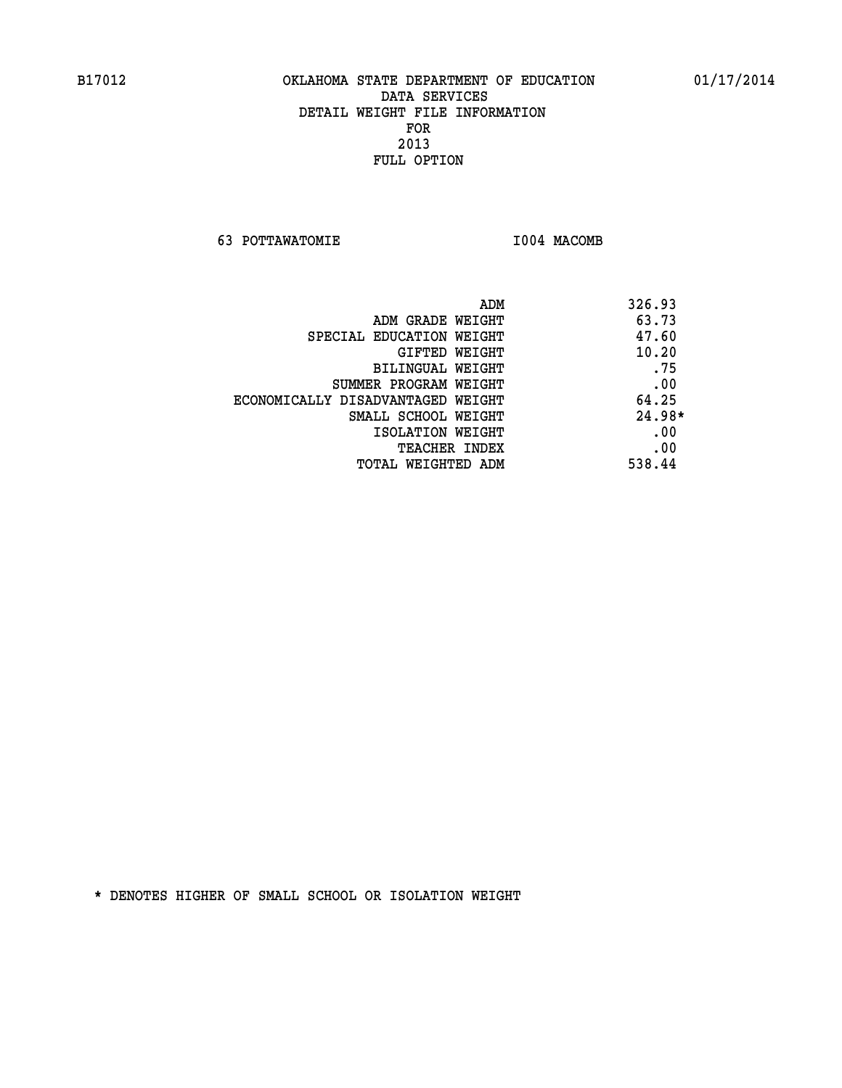**63 POTTAWATOMIE I004 MACOMB** 

|                                   | 326.93<br>ADM |
|-----------------------------------|---------------|
| ADM GRADE WEIGHT                  | 63.73         |
| SPECIAL EDUCATION WEIGHT          | 47.60         |
| GIFTED WEIGHT                     | 10.20         |
| BILINGUAL WEIGHT                  | .75           |
| SUMMER PROGRAM WEIGHT             | .00           |
| ECONOMICALLY DISADVANTAGED WEIGHT | 64.25         |
| SMALL SCHOOL WEIGHT               | $24.98*$      |
| ISOLATION WEIGHT                  | .00           |
| TEACHER INDEX                     | .00           |
| TOTAL WEIGHTED ADM                | 538.44        |
|                                   |               |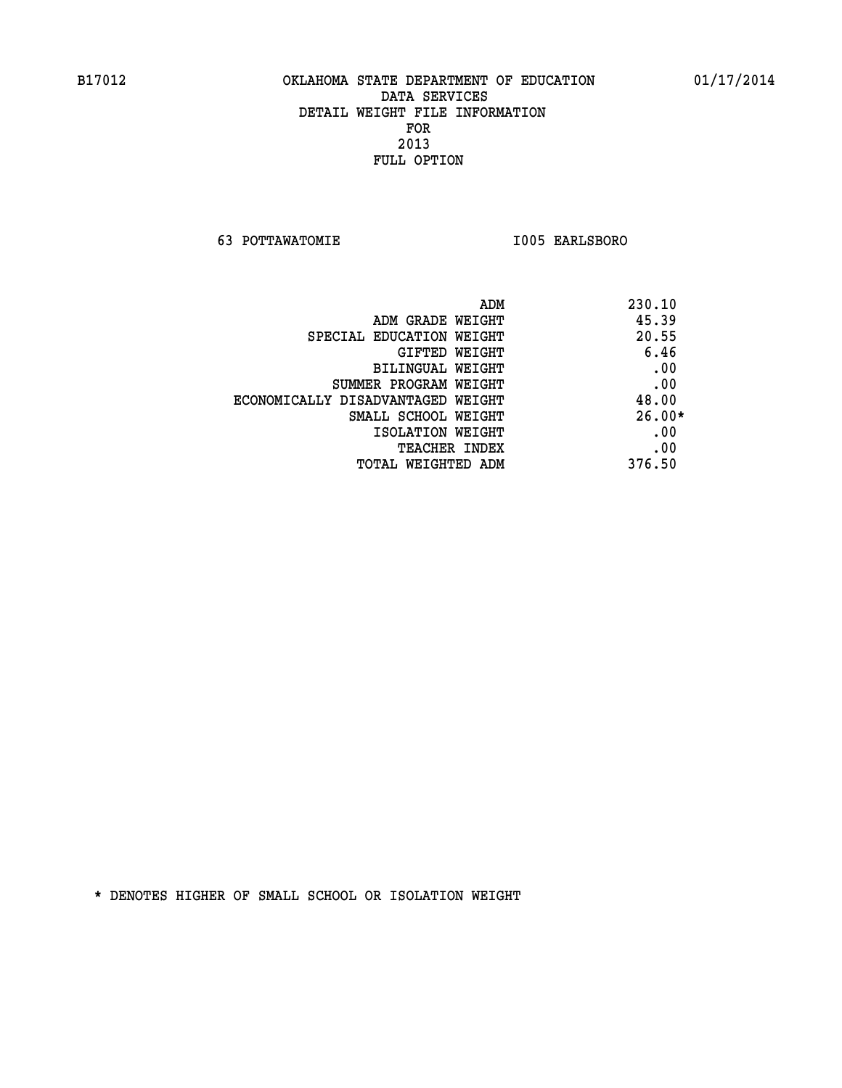**63 POTTAWATOMIE I005 EARLSBORO** 

| ADM                               | 230.10   |
|-----------------------------------|----------|
| ADM GRADE WEIGHT                  | 45.39    |
| SPECIAL EDUCATION WEIGHT          | 20.55    |
| GIFTED WEIGHT                     | 6.46     |
| BILINGUAL WEIGHT                  | .00      |
| SUMMER PROGRAM WEIGHT             | .00      |
| ECONOMICALLY DISADVANTAGED WEIGHT | 48.00    |
| SMALL SCHOOL WEIGHT               | $26.00*$ |
| ISOLATION WEIGHT                  | .00      |
| <b>TEACHER INDEX</b>              | .00      |
| TOTAL WEIGHTED ADM                | 376.50   |
|                                   |          |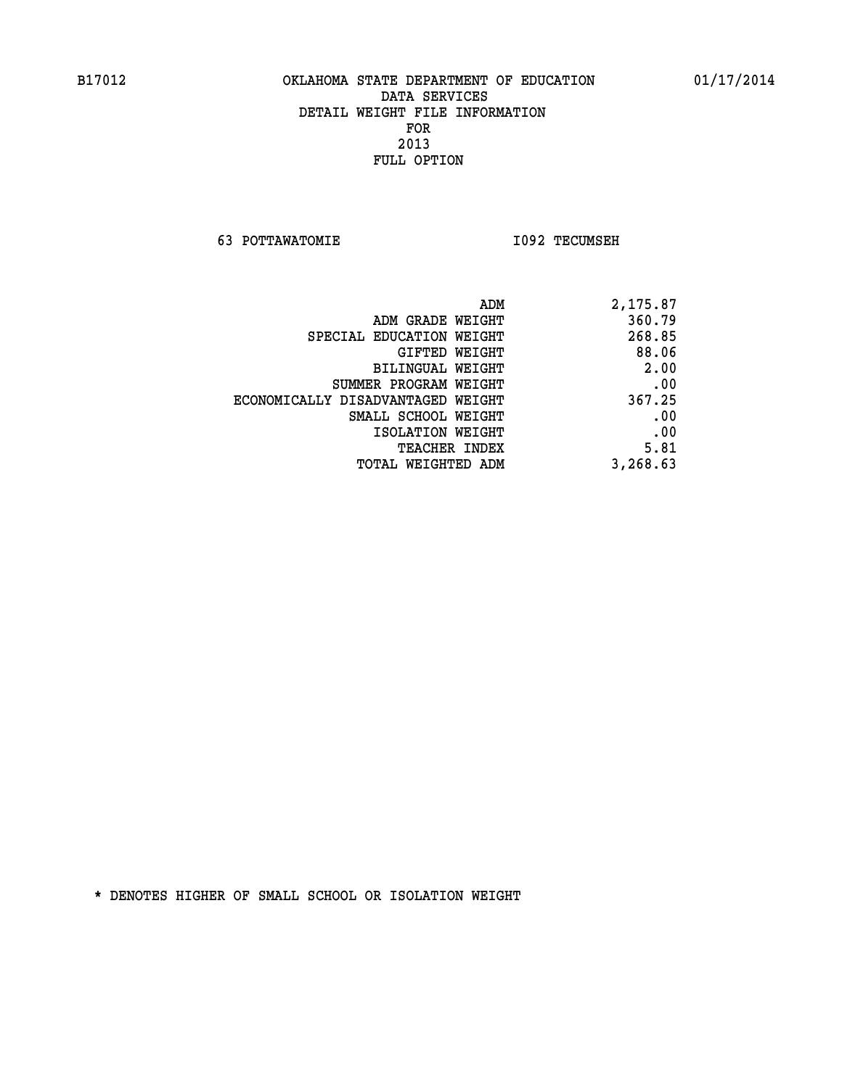**63 POTTAWATOMIE I092 TECUMSEH** 

| 2,175.87 |
|----------|
| 360.79   |
| 268.85   |
| 88.06    |
| 2.00     |
| .00      |
| 367.25   |
| .00      |
| .00      |
| 5.81     |
| 3,268.63 |
|          |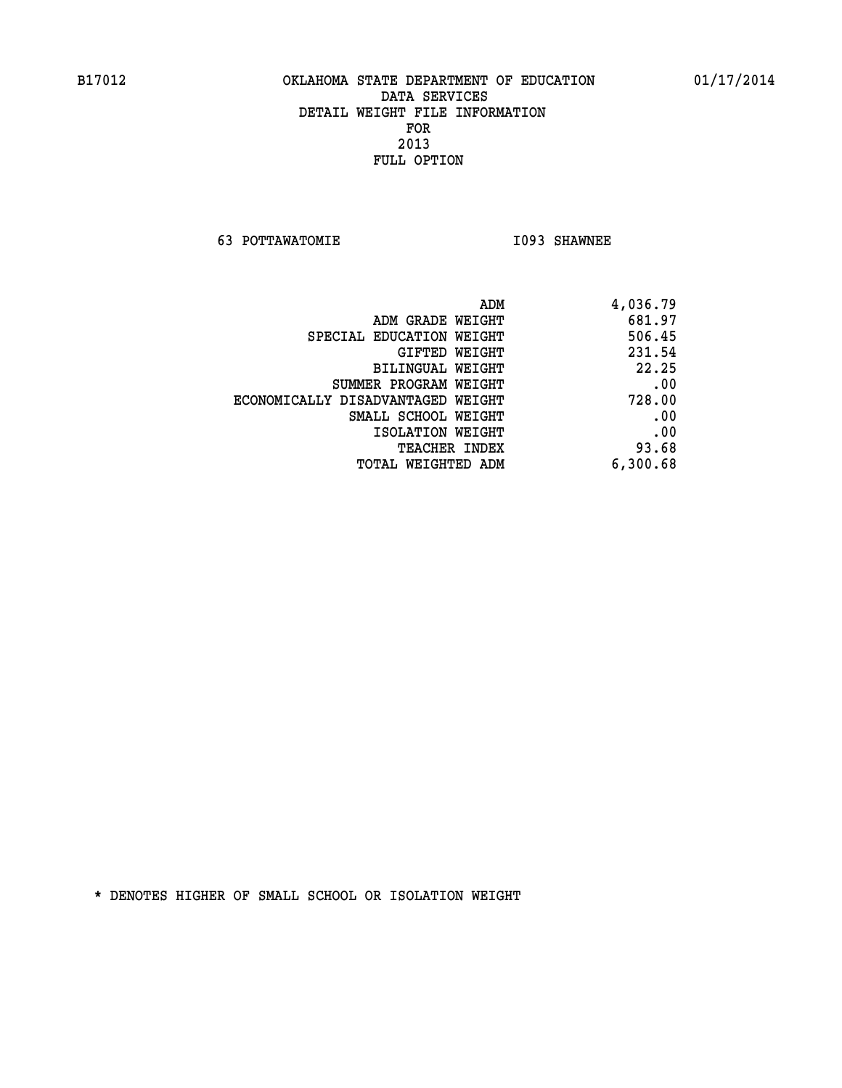**63 POTTAWATOMIE I093 SHAWNEE** 

| 4,036.79 |
|----------|
| 681.97   |
| 506.45   |
| 231.54   |
| 22.25    |
| .00      |
| 728.00   |
| .00      |
| .00      |
| 93.68    |
| 6,300.68 |
|          |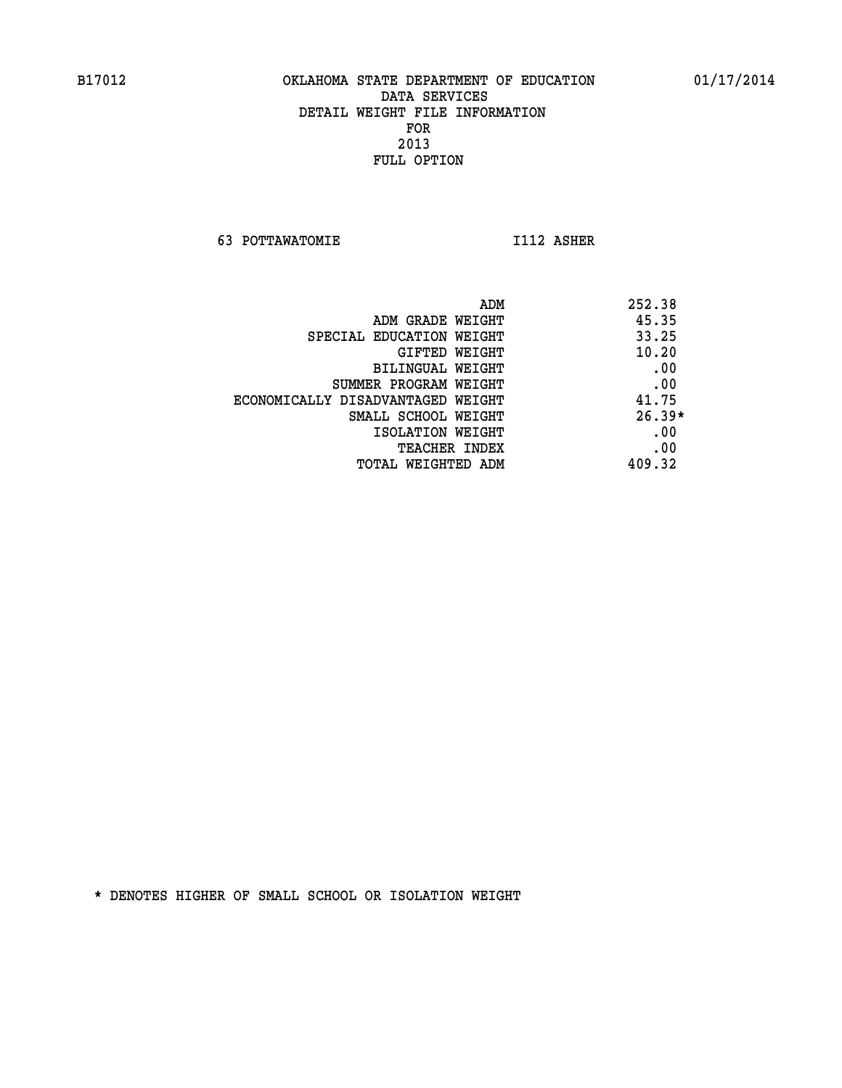**63 POTTAWATOMIE I112 ASHER** 

| ADM                               | 252.38   |
|-----------------------------------|----------|
| ADM GRADE WEIGHT                  | 45.35    |
| SPECIAL EDUCATION WEIGHT          | 33.25    |
| GIFTED WEIGHT                     | 10.20    |
| BILINGUAL WEIGHT                  | .00      |
| SUMMER PROGRAM WEIGHT             | .00      |
| ECONOMICALLY DISADVANTAGED WEIGHT | 41.75    |
| SMALL SCHOOL WEIGHT               | $26.39*$ |
| ISOLATION WEIGHT                  | .00      |
| <b>TEACHER INDEX</b>              | .00      |
| TOTAL WEIGHTED ADM                | 409.32   |
|                                   |          |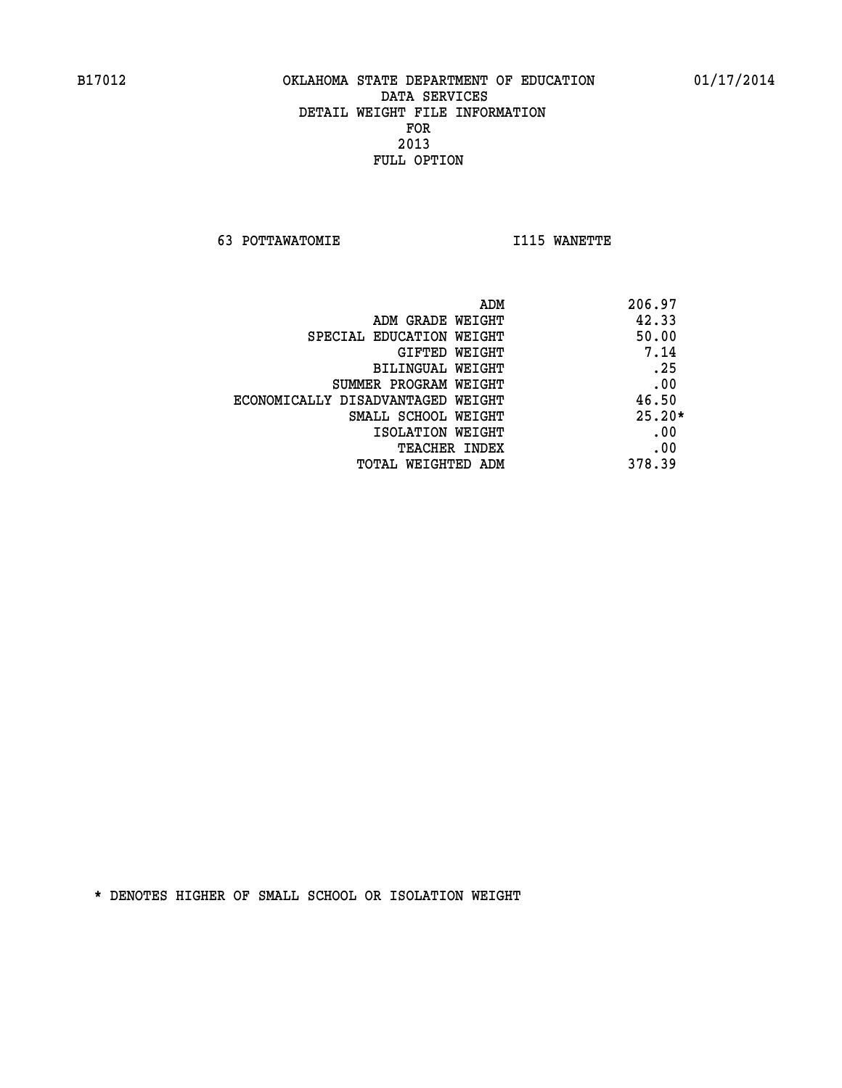**63 POTTAWATOMIE I115 WANETTE** 

|                                   | ADM<br>206.97 |
|-----------------------------------|---------------|
| ADM GRADE WEIGHT                  | 42.33         |
| SPECIAL EDUCATION WEIGHT          | 50.00         |
| GIFTED WEIGHT                     | 7.14          |
| BILINGUAL WEIGHT                  | .25           |
| SUMMER PROGRAM WEIGHT             | .00           |
| ECONOMICALLY DISADVANTAGED WEIGHT | 46.50         |
| SMALL SCHOOL WEIGHT               | $25.20*$      |
| ISOLATION WEIGHT                  | .00           |
| <b>TEACHER INDEX</b>              | .00           |
| TOTAL WEIGHTED ADM                | 378.39        |
|                                   |               |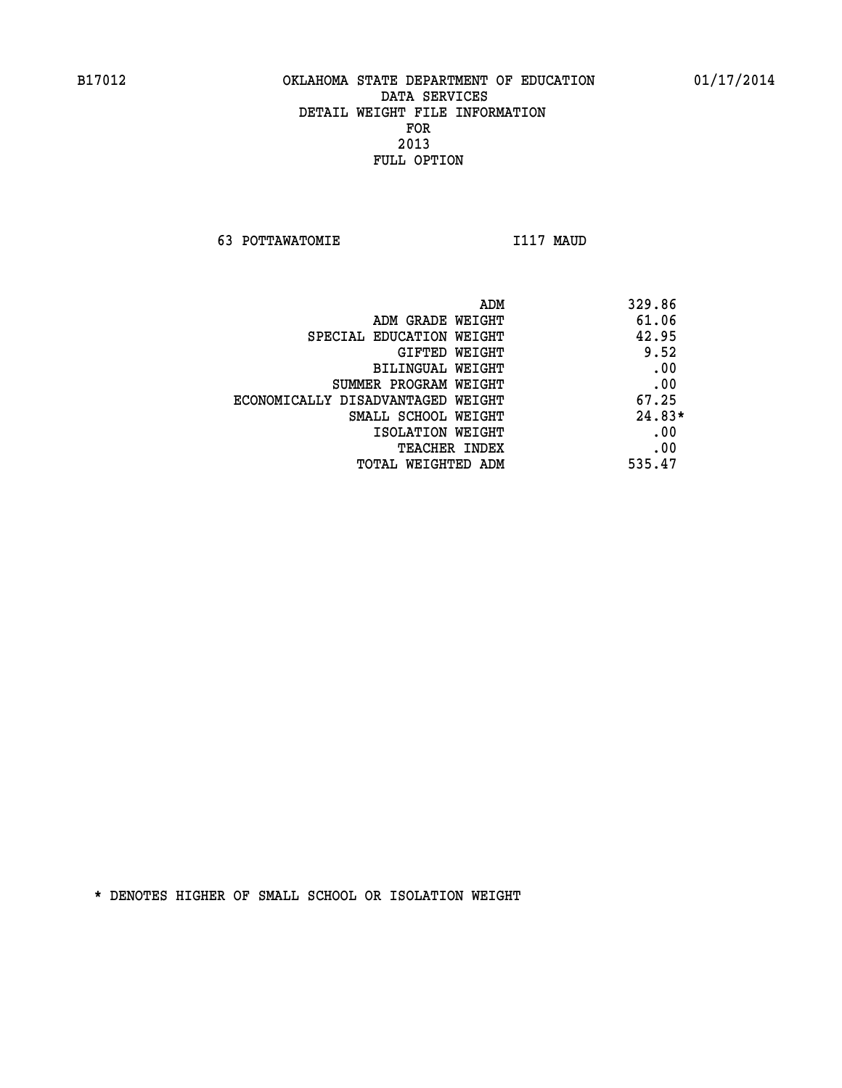**63 POTTAWATOMIE I117 MAUD** 

| ADM                               | 329.86   |
|-----------------------------------|----------|
| ADM GRADE WEIGHT                  | 61.06    |
| SPECIAL EDUCATION WEIGHT          | 42.95    |
| GIFTED WEIGHT                     | 9.52     |
| BILINGUAL WEIGHT                  | .00      |
| SUMMER PROGRAM WEIGHT             | .00      |
| ECONOMICALLY DISADVANTAGED WEIGHT | 67.25    |
| SMALL SCHOOL WEIGHT               | $24.83*$ |
| ISOLATION WEIGHT                  | .00      |
| <b>TEACHER INDEX</b>              | .00      |
| TOTAL WEIGHTED ADM                | 535.47   |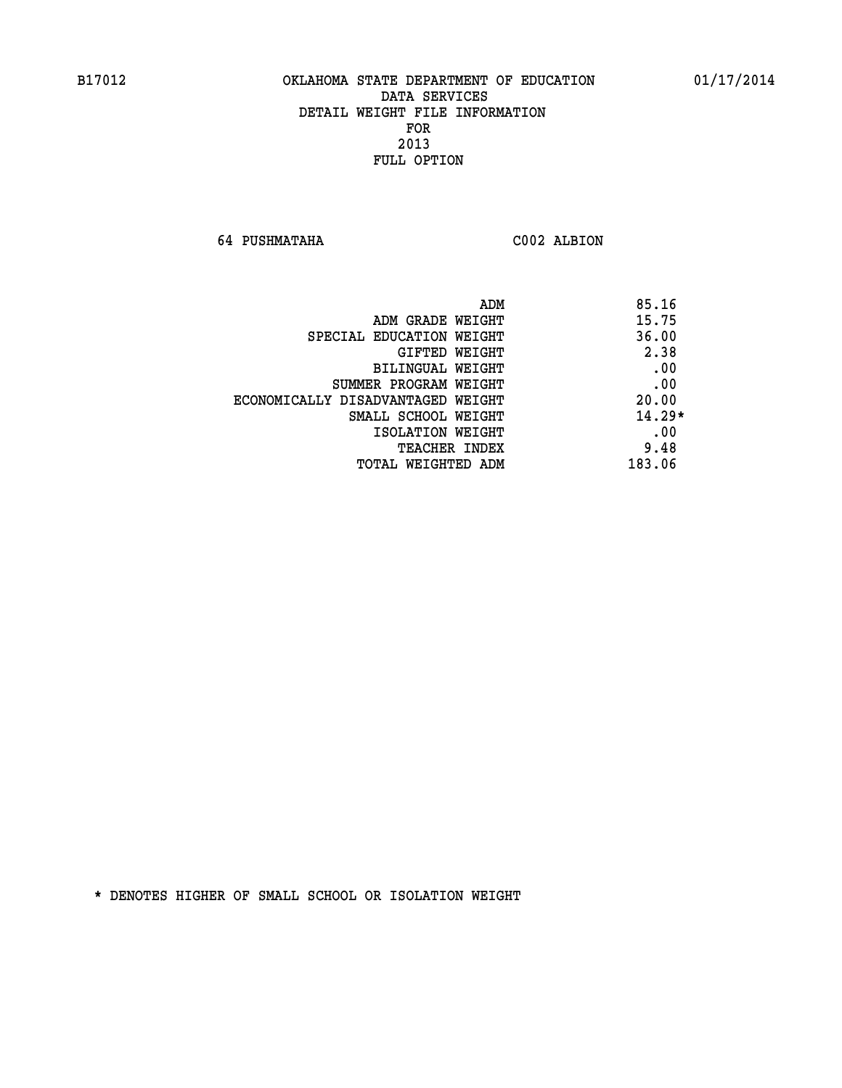**64 PUSHMATAHA C002 ALBION** 

|                                   | ADM<br>85.16 |
|-----------------------------------|--------------|
| ADM GRADE WEIGHT                  | 15.75        |
| SPECIAL EDUCATION WEIGHT          | 36.00        |
| <b>GIFTED WEIGHT</b>              | 2.38         |
| BILINGUAL WEIGHT                  | .00          |
| SUMMER PROGRAM WEIGHT             | .00          |
| ECONOMICALLY DISADVANTAGED WEIGHT | 20.00        |
| SMALL SCHOOL WEIGHT               | $14.29*$     |
| ISOLATION WEIGHT                  | .00          |
| TEACHER INDEX                     | 9.48         |
| TOTAL WEIGHTED ADM                | 183.06       |
|                                   |              |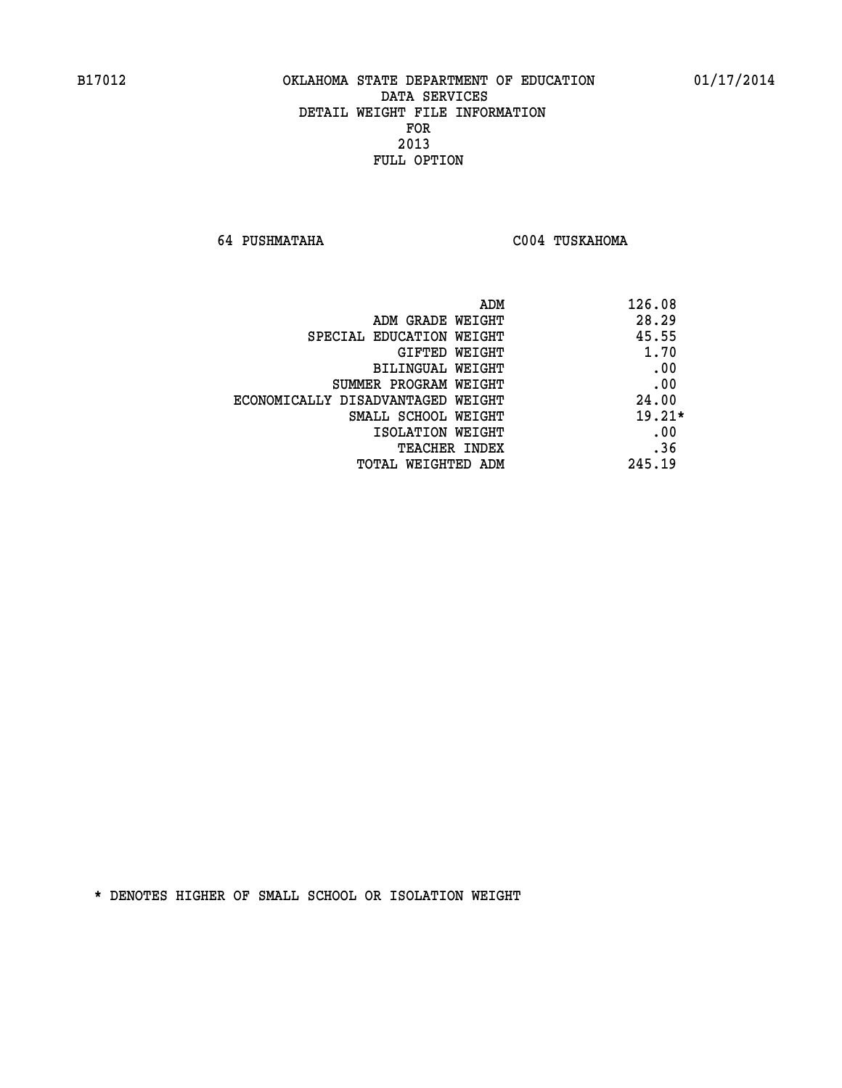**64 PUSHMATAHA C004 TUSKAHOMA** 

| 126.08<br>ADM                              |
|--------------------------------------------|
| 28.29<br>ADM GRADE WEIGHT                  |
| 45.55<br>SPECIAL EDUCATION WEIGHT          |
| 1.70<br>GIFTED WEIGHT                      |
| .00<br>BILINGUAL WEIGHT                    |
| .00<br>SUMMER PROGRAM WEIGHT               |
| 24.00<br>ECONOMICALLY DISADVANTAGED WEIGHT |
| $19.21*$<br>SMALL SCHOOL WEIGHT            |
| .00<br>ISOLATION WEIGHT                    |
| .36<br><b>TEACHER INDEX</b>                |
| 245.19<br>TOTAL WEIGHTED ADM               |
|                                            |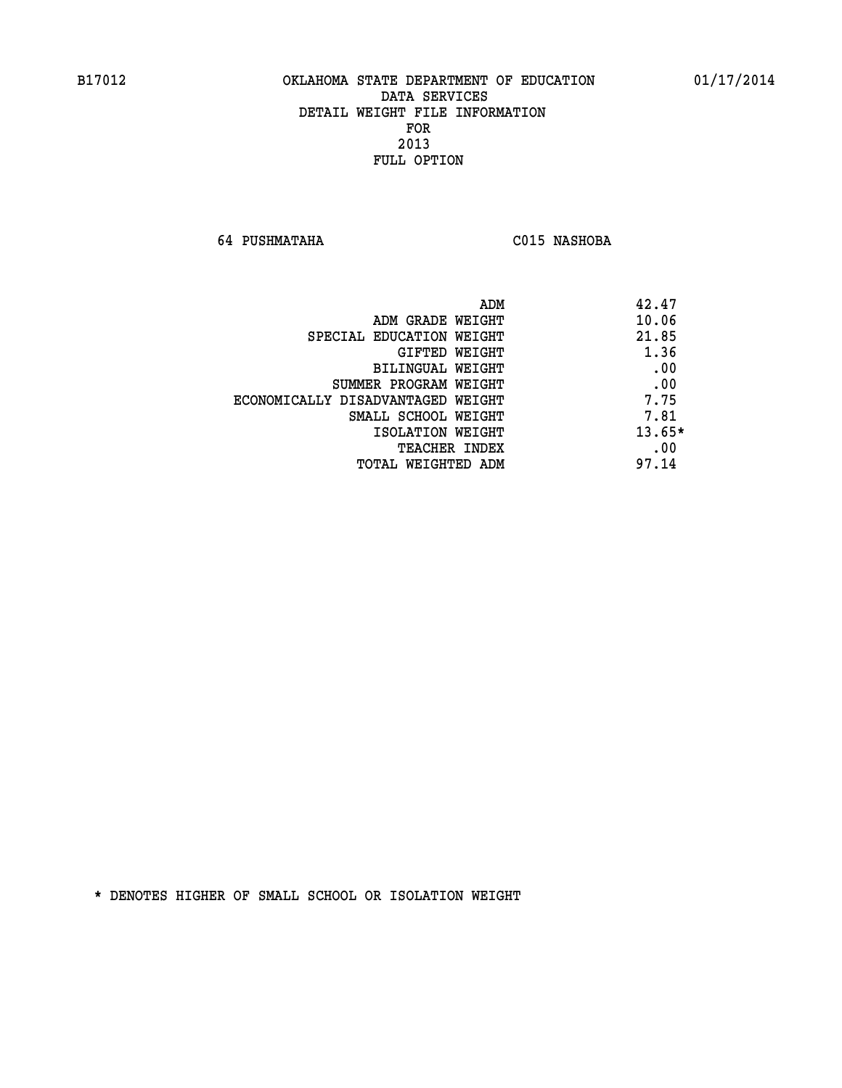**64 PUSHMATAHA C015 NASHOBA** 

| ADM                               | 42.47    |
|-----------------------------------|----------|
| ADM GRADE WEIGHT                  | 10.06    |
| SPECIAL EDUCATION WEIGHT          | 21.85    |
| <b>GIFTED WEIGHT</b>              | 1.36     |
| BILINGUAL WEIGHT                  | .00      |
| SUMMER PROGRAM WEIGHT             | .00      |
| ECONOMICALLY DISADVANTAGED WEIGHT | 7.75     |
| SMALL SCHOOL WEIGHT               | 7.81     |
| ISOLATION WEIGHT                  | $13.65*$ |
| TEACHER INDEX                     | .00      |
| TOTAL WEIGHTED ADM                | 97.14    |
|                                   |          |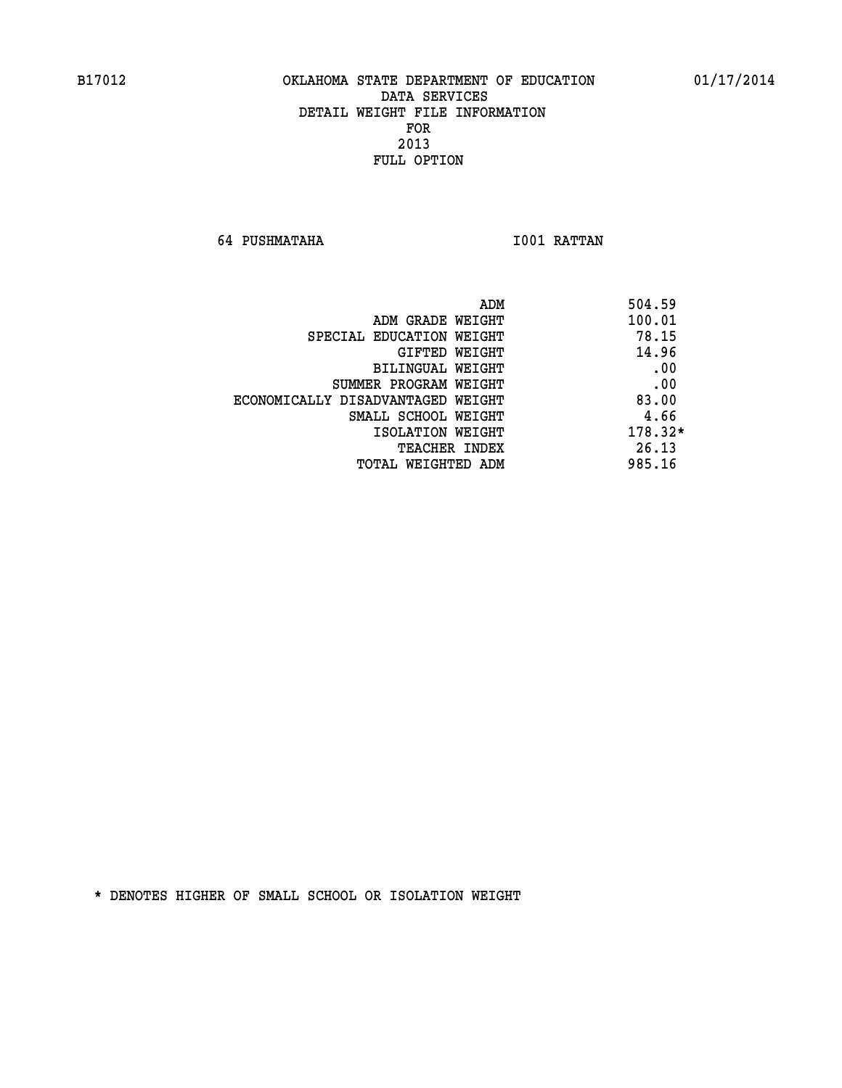**64 PUSHMATAHA I001 RATTAN** 

| 504.59<br>ADM          |                                   |
|------------------------|-----------------------------------|
| 100.01                 | ADM GRADE WEIGHT                  |
| 78.15                  | SPECIAL EDUCATION WEIGHT          |
| 14.96<br>GIFTED WEIGHT |                                   |
| .00                    | BILINGUAL WEIGHT                  |
| .00                    | SUMMER PROGRAM WEIGHT             |
| 83.00                  | ECONOMICALLY DISADVANTAGED WEIGHT |
| 4.66                   | SMALL SCHOOL WEIGHT               |
| 178.32*                | ISOLATION WEIGHT                  |
| 26.13<br>TEACHER INDEX |                                   |
| 985.16                 | TOTAL WEIGHTED ADM                |
|                        |                                   |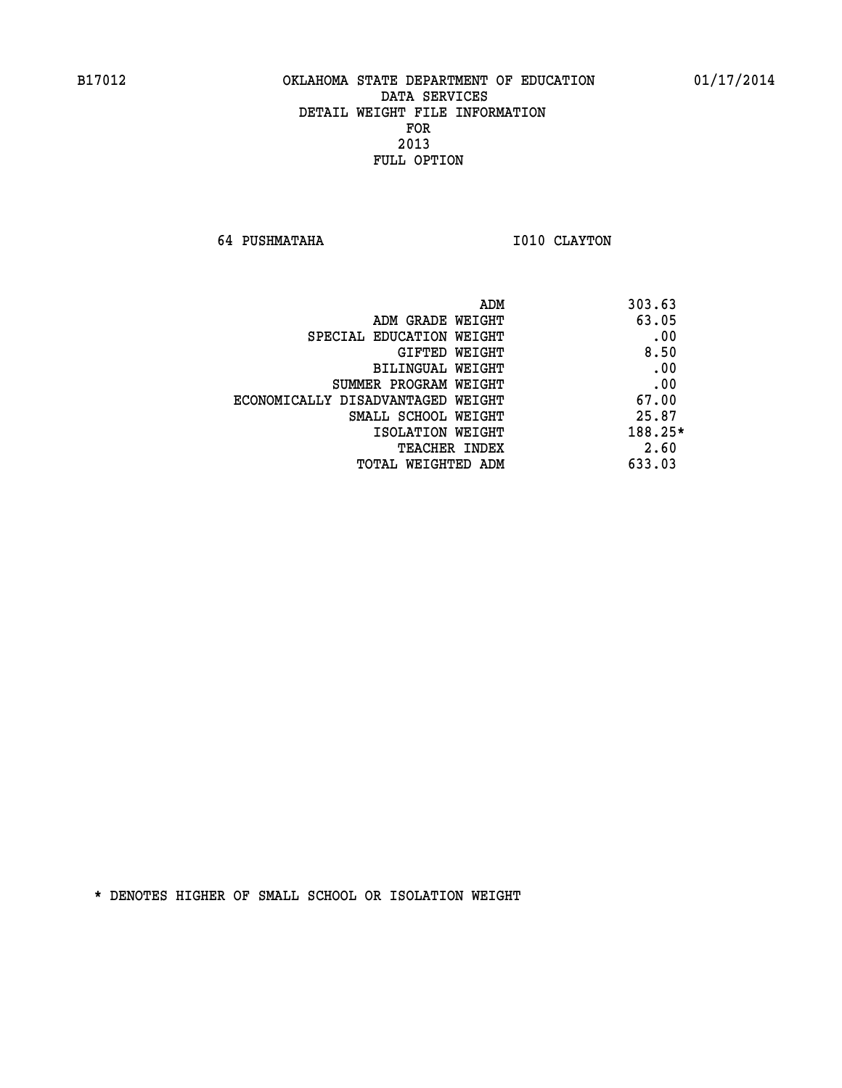**64 PUSHMATAHA 1010 CLAYTON** 

|                                   | ADM<br>303.63 |     |
|-----------------------------------|---------------|-----|
| ADM GRADE WEIGHT                  | 63.05         |     |
| SPECIAL EDUCATION WEIGHT          |               | .00 |
| GIFTED WEIGHT                     | 8.50          |     |
| BILINGUAL WEIGHT                  |               | .00 |
| SUMMER PROGRAM WEIGHT             |               | .00 |
| ECONOMICALLY DISADVANTAGED WEIGHT | 67.00         |     |
| SMALL SCHOOL WEIGHT               | 25.87         |     |
| ISOLATION WEIGHT                  | 188.25*       |     |
| <b>TEACHER INDEX</b>              | 2.60          |     |
| TOTAL WEIGHTED ADM                | 633.03        |     |
|                                   |               |     |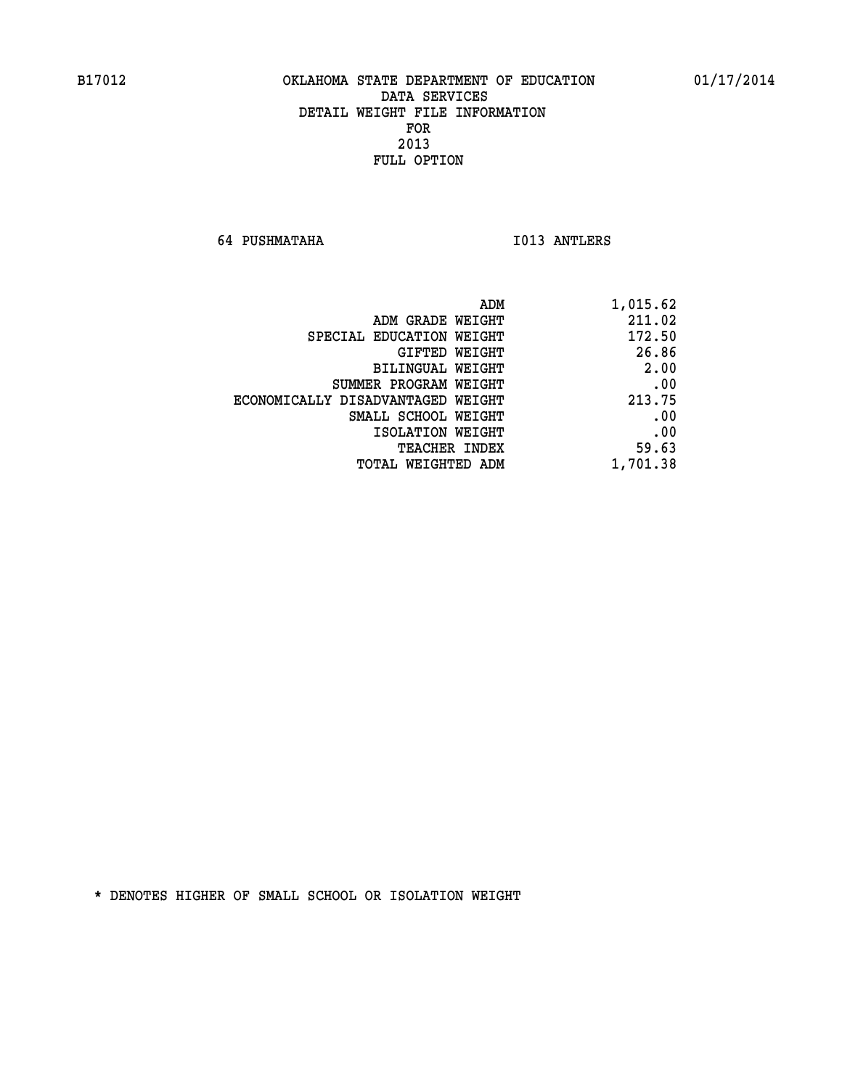**64 PUSHMATAHA I013 ANTLERS** 

| 1,015.62 |
|----------|
| 211.02   |
| 172.50   |
| 26.86    |
| 2.00     |
| .00      |
| 213.75   |
| .00      |
| .00      |
| 59.63    |
| 1,701.38 |
|          |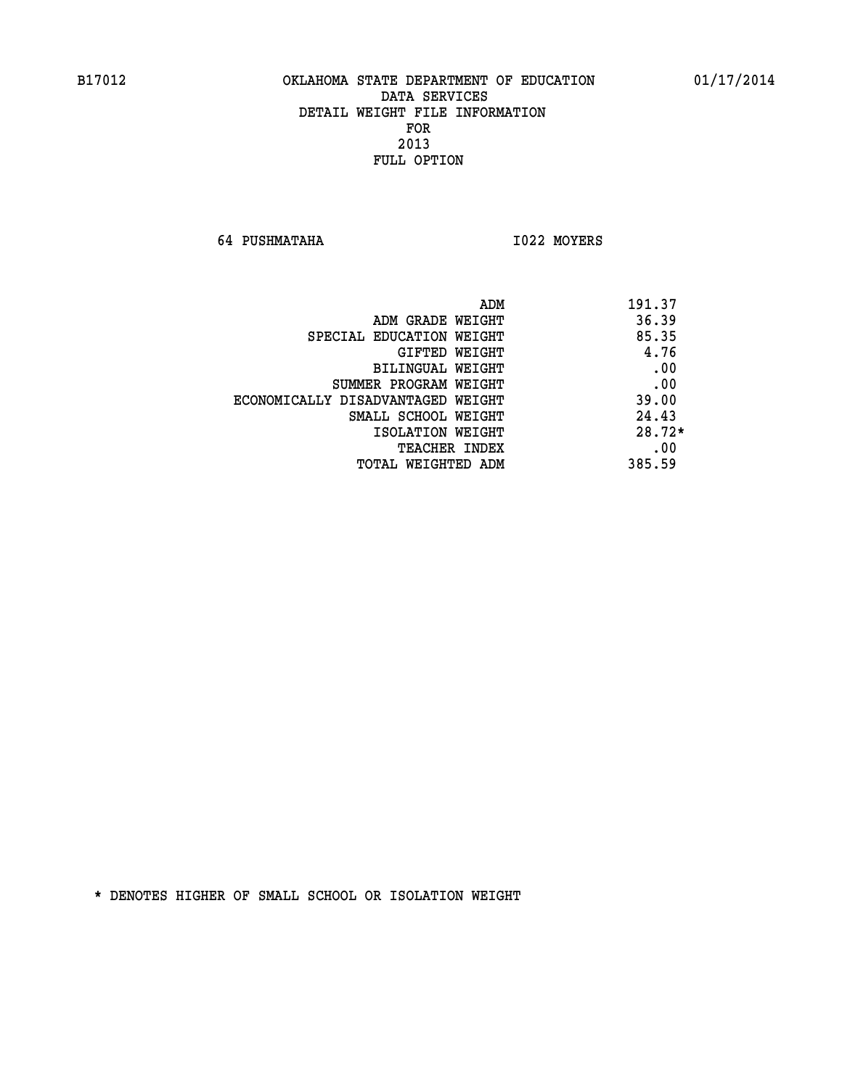**64 PUSHMATAHA I022 MOYERS** 

|                                   | 191.37<br>ADM |  |
|-----------------------------------|---------------|--|
| ADM GRADE WEIGHT                  | 36.39         |  |
| SPECIAL EDUCATION WEIGHT          | 85.35         |  |
| GIFTED WEIGHT                     | 4.76          |  |
| BILINGUAL WEIGHT                  | .00           |  |
| SUMMER PROGRAM WEIGHT             | .00           |  |
| ECONOMICALLY DISADVANTAGED WEIGHT | 39.00         |  |
| SMALL SCHOOL WEIGHT               | 24.43         |  |
| ISOLATION WEIGHT                  | $28.72*$      |  |
| <b>TEACHER INDEX</b>              | .00           |  |
| TOTAL WEIGHTED ADM                | 385.59        |  |
|                                   |               |  |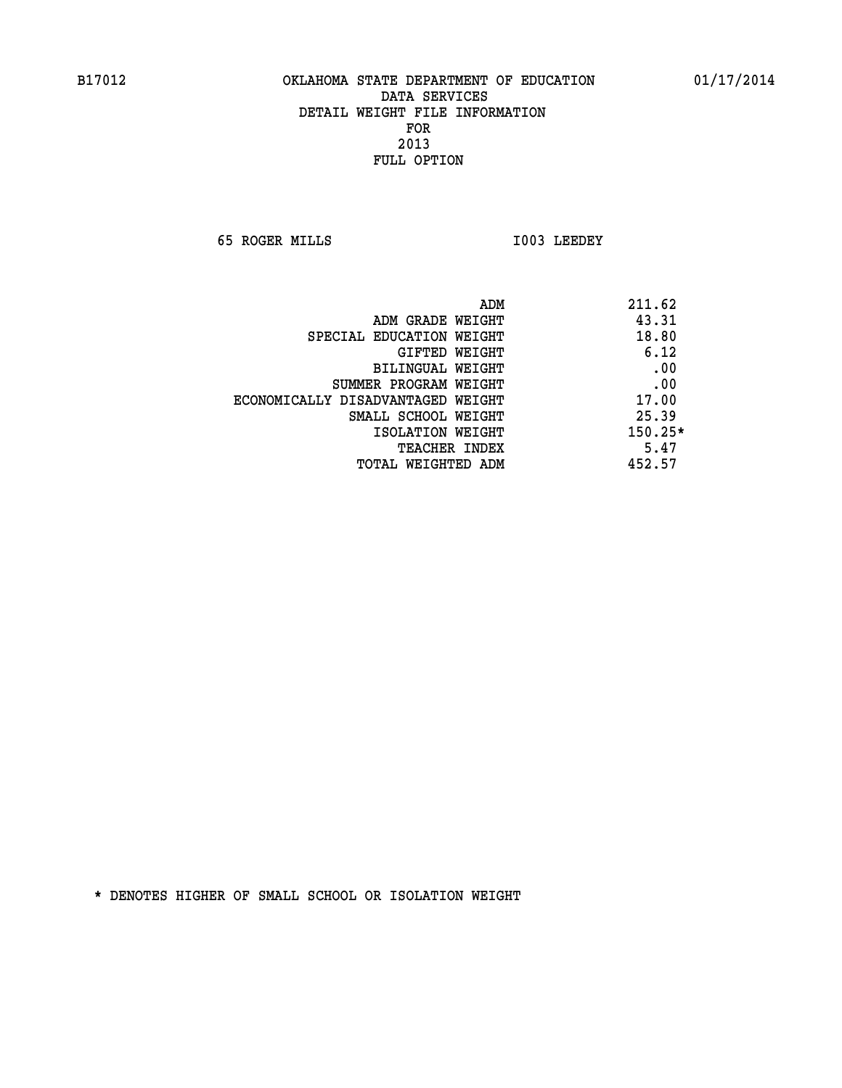**65 ROGER MILLS I003 LEEDEY** 

|                                   | ADM<br>211.62 |
|-----------------------------------|---------------|
| ADM GRADE WEIGHT                  | 43.31         |
| SPECIAL EDUCATION WEIGHT          | 18.80         |
| GIFTED WEIGHT                     | 6.12          |
| BILINGUAL WEIGHT                  | .00           |
| SUMMER PROGRAM WEIGHT             | .00           |
| ECONOMICALLY DISADVANTAGED WEIGHT | 17.00         |
| SMALL SCHOOL WEIGHT               | 25.39         |
| ISOLATION WEIGHT                  | $150.25*$     |
| <b>TEACHER INDEX</b>              | 5.47          |
| TOTAL WEIGHTED ADM                | 452.57        |
|                                   |               |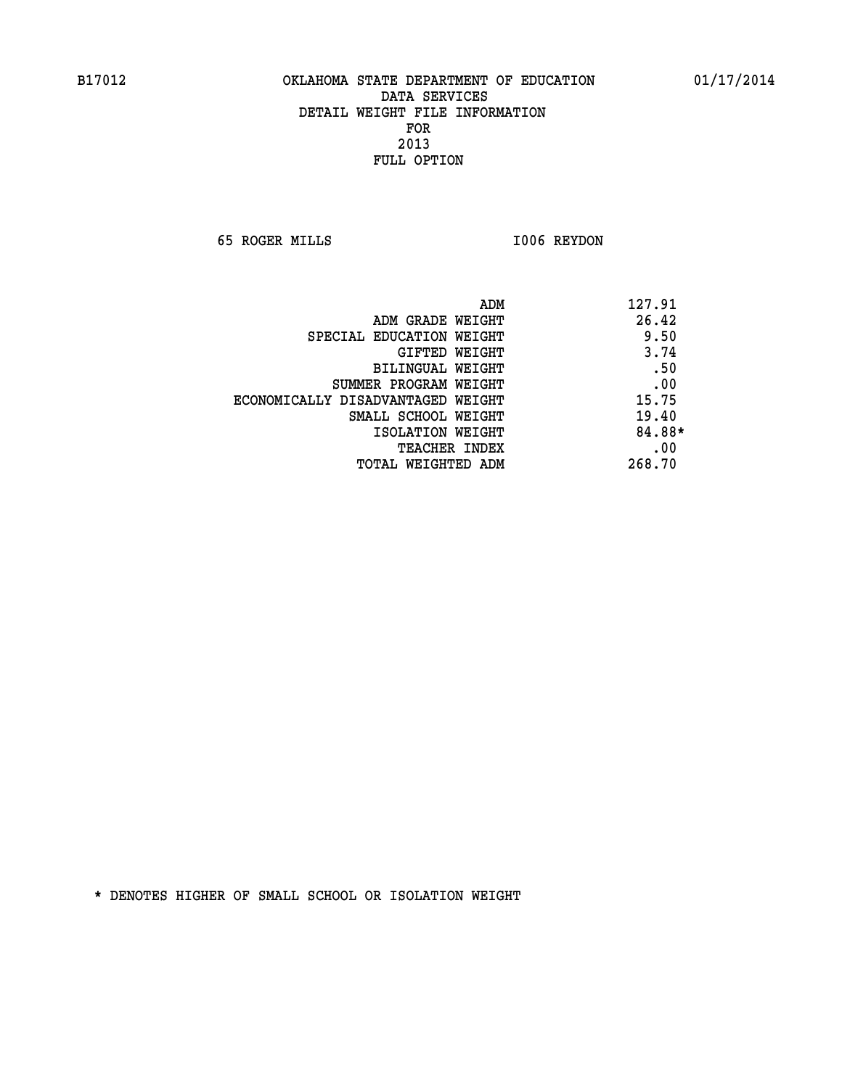**65 ROGER MILLS I006 REYDON** 

| ADM                               | 127.91 |
|-----------------------------------|--------|
| ADM GRADE WEIGHT                  | 26.42  |
| SPECIAL EDUCATION WEIGHT          | 9.50   |
| GIFTED WEIGHT                     | 3.74   |
| BILINGUAL WEIGHT                  | .50    |
| SUMMER PROGRAM WEIGHT             | .00    |
| ECONOMICALLY DISADVANTAGED WEIGHT | 15.75  |
| SMALL SCHOOL WEIGHT               | 19.40  |
| ISOLATION WEIGHT                  | 84.88* |
| <b>TEACHER INDEX</b>              | .00    |
| TOTAL WEIGHTED ADM                | 268.70 |
|                                   |        |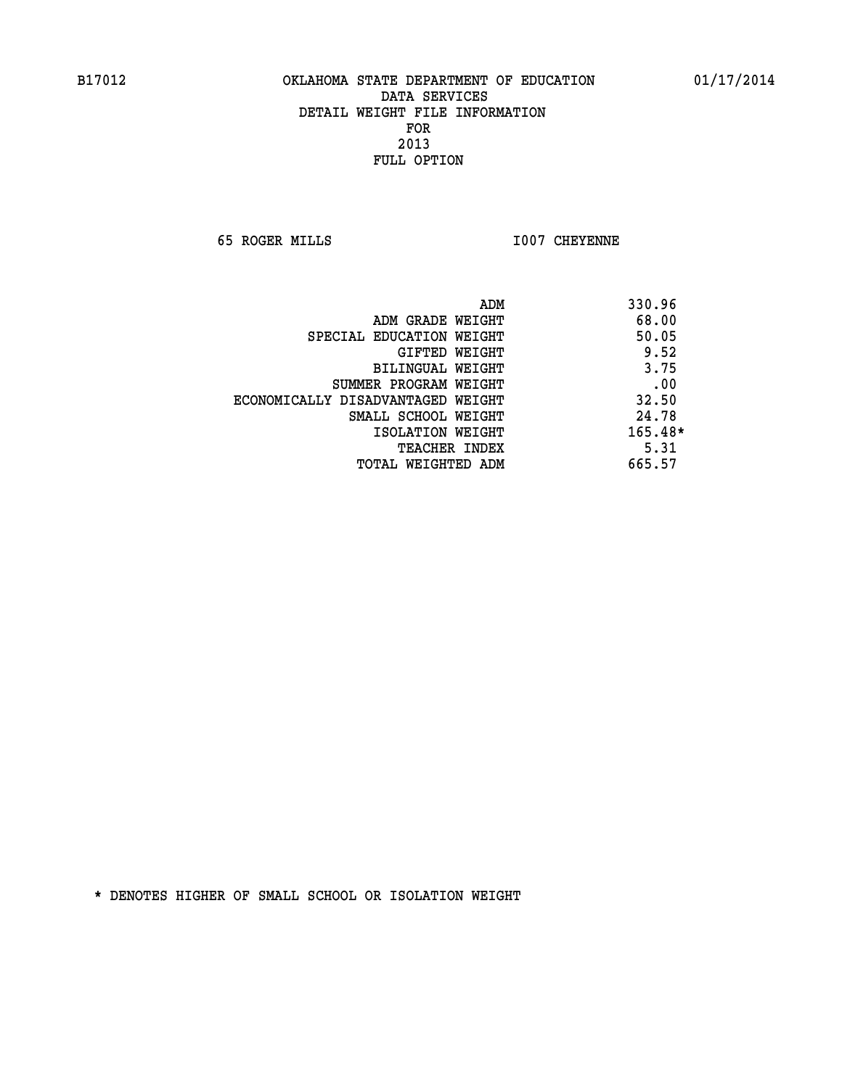**65 ROGER MILLS I007 CHEYENNE** 

|                                   | ADM<br>330.96 |
|-----------------------------------|---------------|
| ADM GRADE WEIGHT                  | 68.00         |
| SPECIAL EDUCATION WEIGHT          | 50.05         |
| GIFTED WEIGHT                     | 9.52          |
| BILINGUAL WEIGHT                  | 3.75          |
| SUMMER PROGRAM WEIGHT             | .00           |
| ECONOMICALLY DISADVANTAGED WEIGHT | 32.50         |
| SMALL SCHOOL WEIGHT               | 24.78         |
| ISOLATION WEIGHT                  | $165.48*$     |
| <b>TEACHER INDEX</b>              | 5.31          |
| TOTAL WEIGHTED ADM                | 665.57        |
|                                   |               |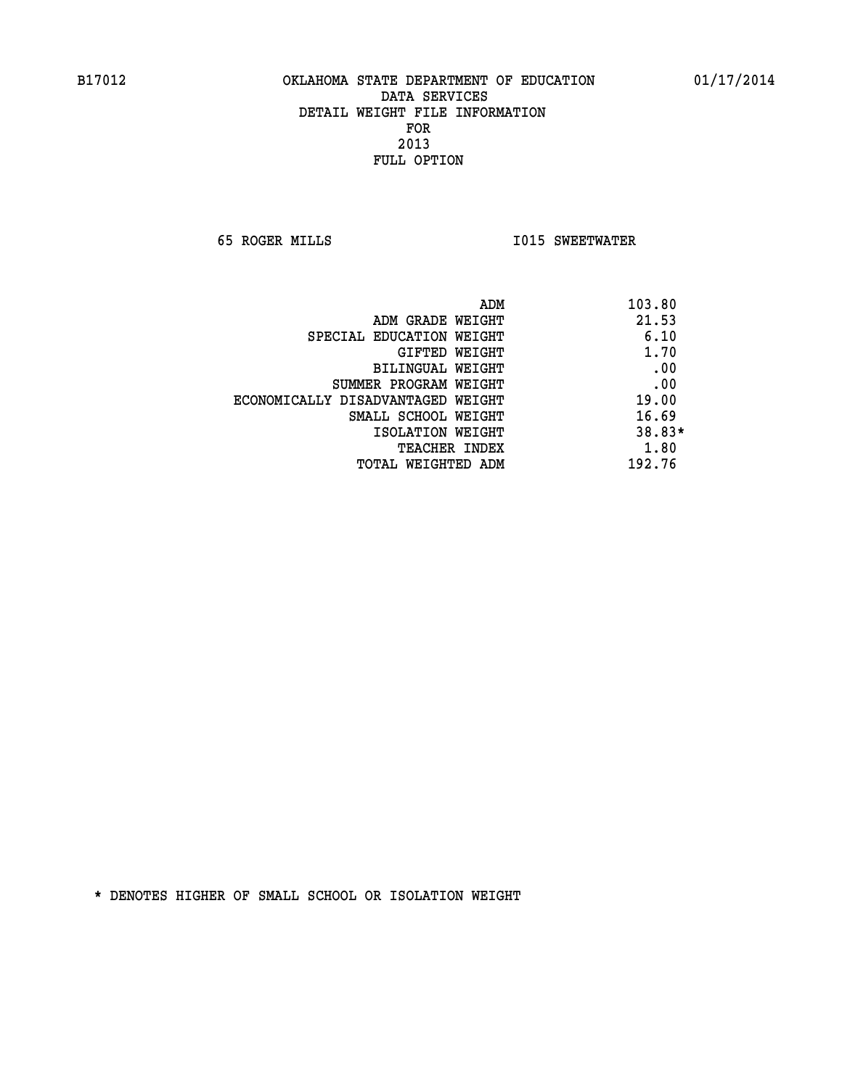**65 ROGER MILLS I015 SWEETWATER** 

| ADM                               | 103.80 |
|-----------------------------------|--------|
| ADM GRADE WEIGHT                  | 21.53  |
| SPECIAL EDUCATION WEIGHT          | 6.10   |
| GIFTED WEIGHT                     | 1.70   |
| BILINGUAL WEIGHT                  | .00    |
| SUMMER PROGRAM WEIGHT             | .00    |
| ECONOMICALLY DISADVANTAGED WEIGHT | 19.00  |
| SMALL SCHOOL WEIGHT               | 16.69  |
| ISOLATION WEIGHT                  | 38.83* |
| <b>TEACHER INDEX</b>              | 1.80   |
| TOTAL WEIGHTED ADM                | 192.76 |
|                                   |        |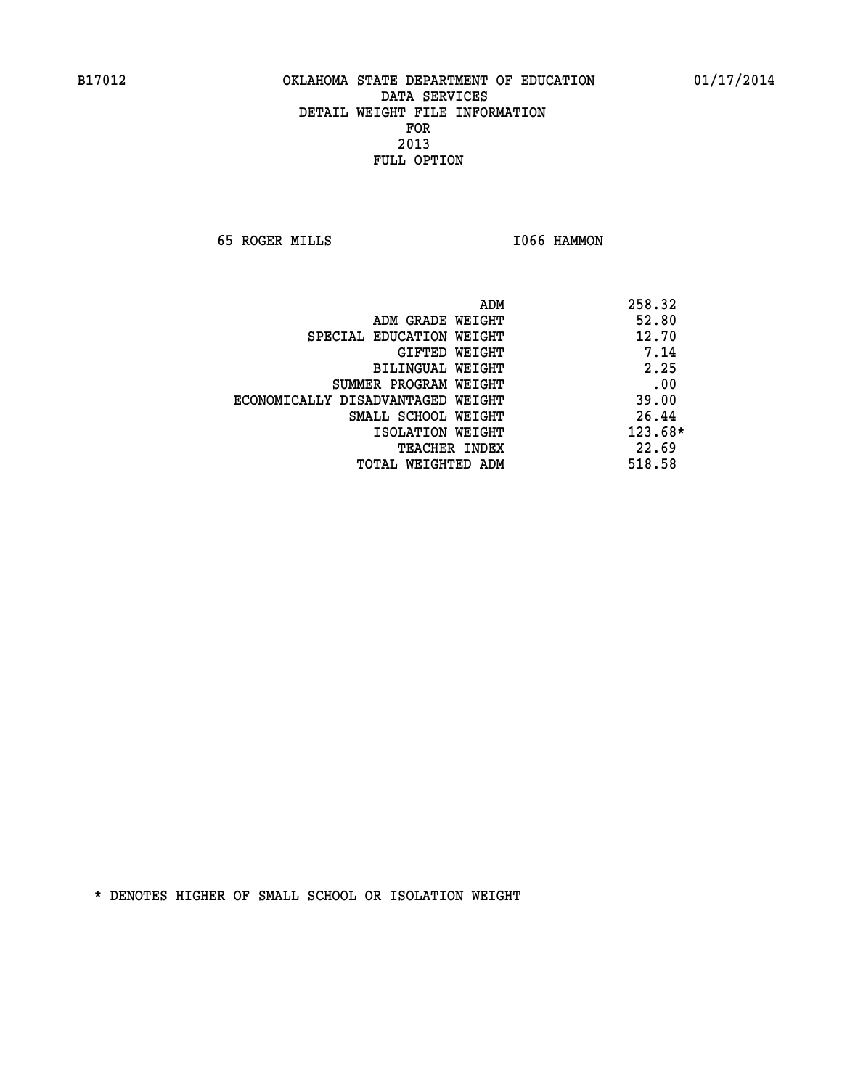**65 ROGER MILLS I066 HAMMON** 

|                                   | 258.32<br>ADM |
|-----------------------------------|---------------|
| ADM GRADE WEIGHT                  | 52.80         |
| SPECIAL EDUCATION WEIGHT          | 12.70         |
| GIFTED WEIGHT                     | 7.14          |
| <b>BILINGUAL WEIGHT</b>           | 2.25          |
| SUMMER PROGRAM WEIGHT             | .00           |
| ECONOMICALLY DISADVANTAGED WEIGHT | 39.00         |
| SMALL SCHOOL WEIGHT               | 26.44         |
| ISOLATION WEIGHT                  | 123.68*       |
| <b>TEACHER INDEX</b>              | 22.69         |
| TOTAL WEIGHTED ADM                | 518.58        |
|                                   |               |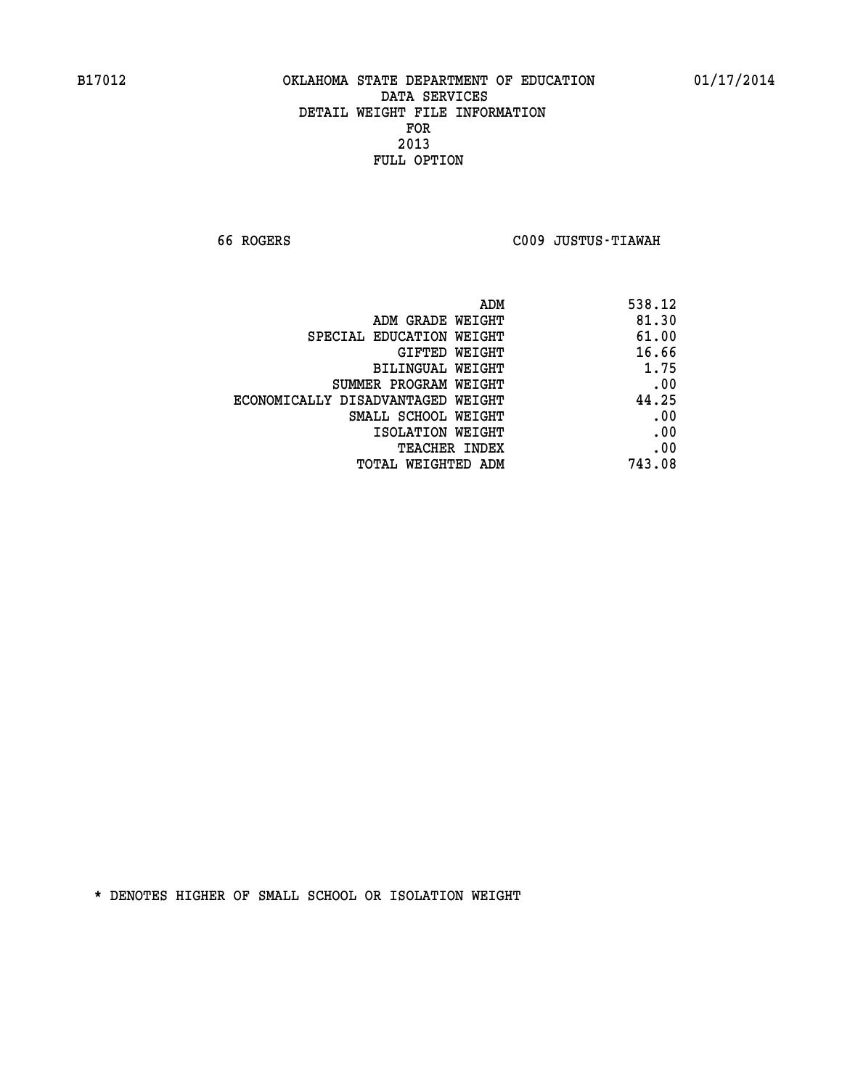**66 ROGERS C009 JUSTUS-TIAWAH** 

| 538.12 |
|--------|
| 81.30  |
| 61.00  |
| 16.66  |
| 1.75   |
| .00    |
| 44.25  |
| .00    |
| .00    |
| .00    |
| 743.08 |
|        |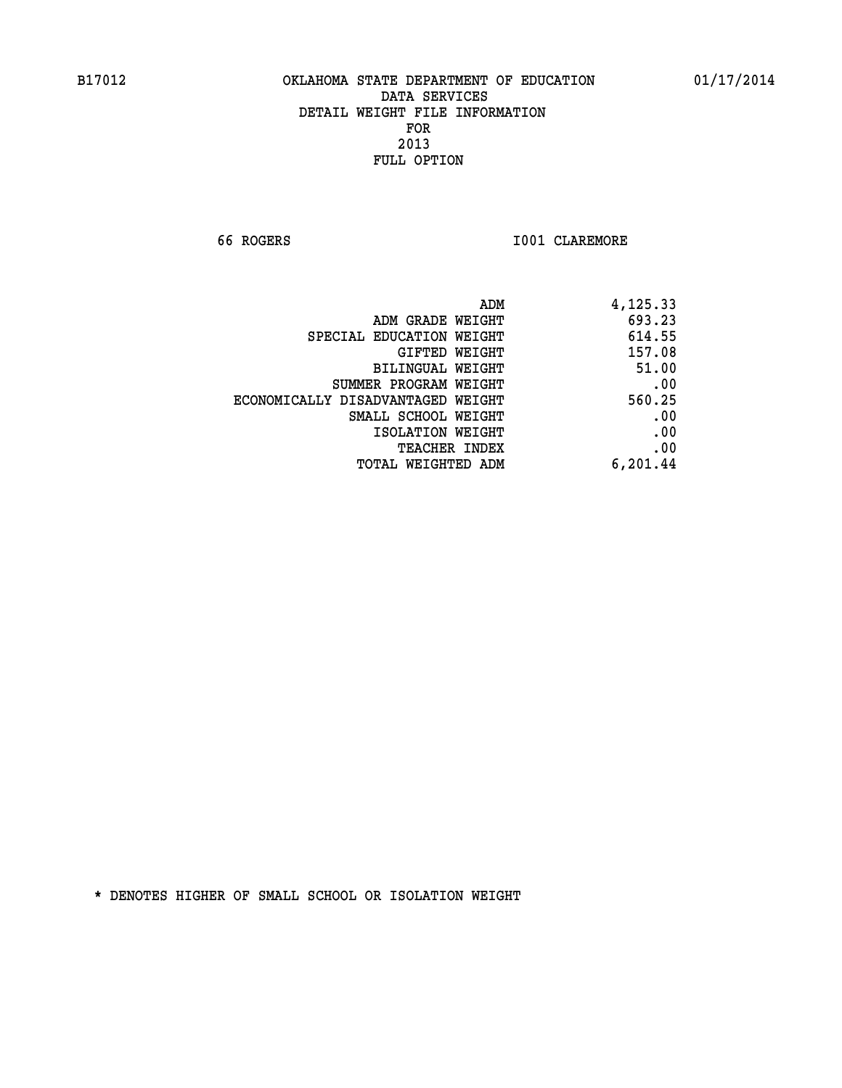**66 ROGERS I001 CLAREMORE** 

| ADM                               | 4,125.33 |
|-----------------------------------|----------|
| ADM GRADE WEIGHT                  | 693.23   |
| SPECIAL EDUCATION WEIGHT          | 614.55   |
| GIFTED WEIGHT                     | 157.08   |
| BILINGUAL WEIGHT                  | 51.00    |
| SUMMER PROGRAM WEIGHT             | .00      |
| ECONOMICALLY DISADVANTAGED WEIGHT | 560.25   |
| SMALL SCHOOL WEIGHT               | .00      |
| ISOLATION WEIGHT                  | .00      |
| <b>TEACHER INDEX</b>              | .00      |
| TOTAL WEIGHTED ADM                | 6,201.44 |
|                                   |          |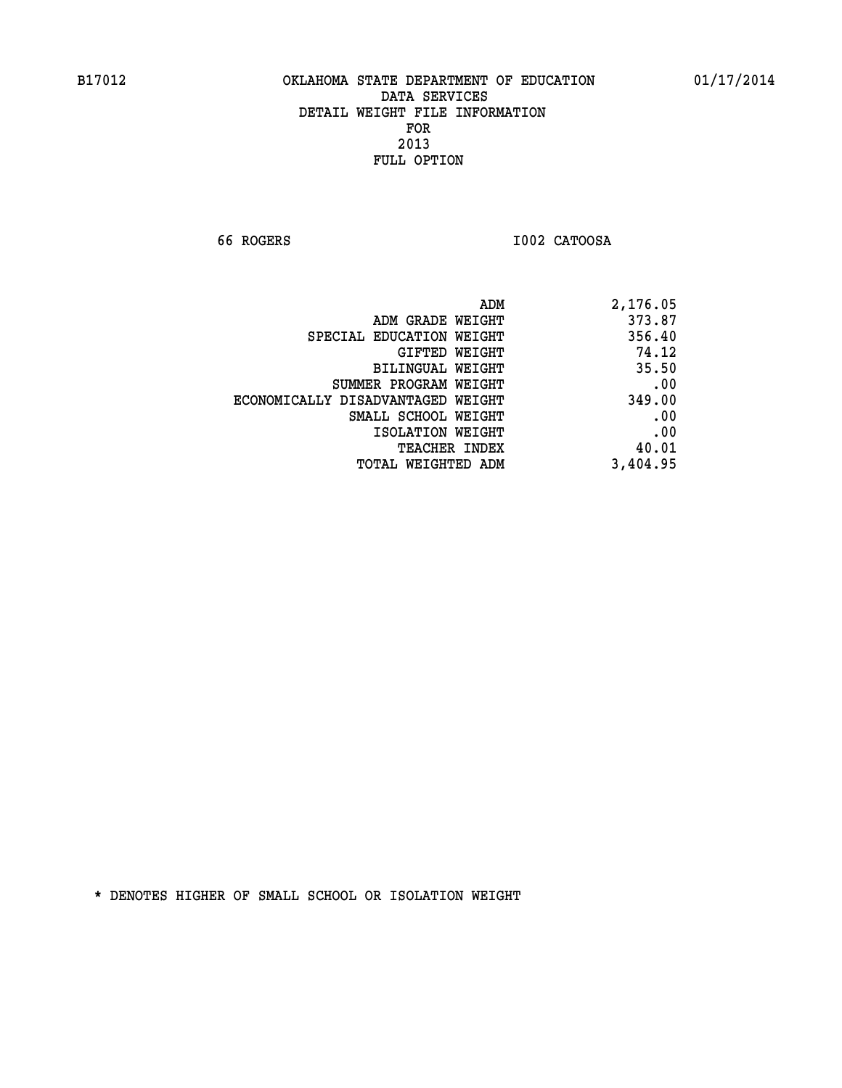**66 ROGERS I002 CATOOSA** 

| 2,176.05 |
|----------|
| 373.87   |
| 356.40   |
| 74.12    |
| 35.50    |
| .00      |
| 349.00   |
| .00      |
| .00      |
| 40.01    |
| 3,404.95 |
|          |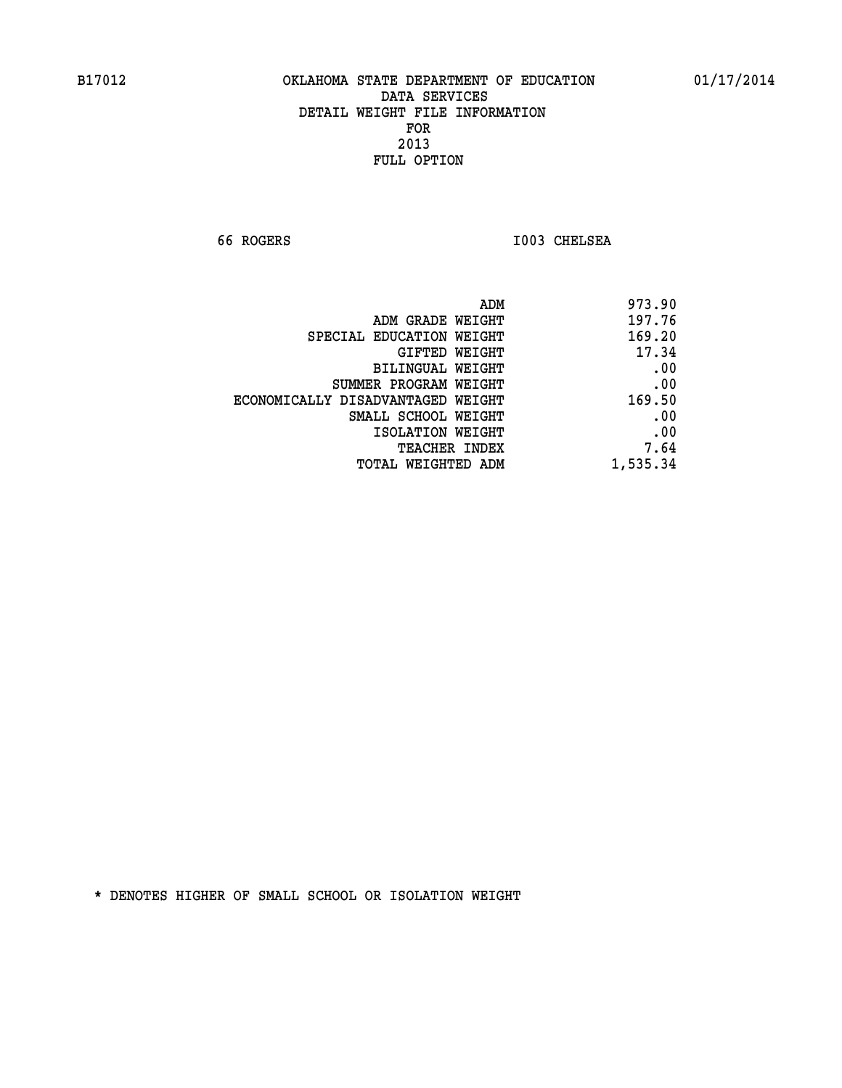**66 ROGERS I003 CHELSEA** 

| 973.90   |
|----------|
| 197.76   |
| 169.20   |
| 17.34    |
| .00      |
| .00      |
| 169.50   |
| .00      |
| .00      |
| 7.64     |
| 1,535.34 |
|          |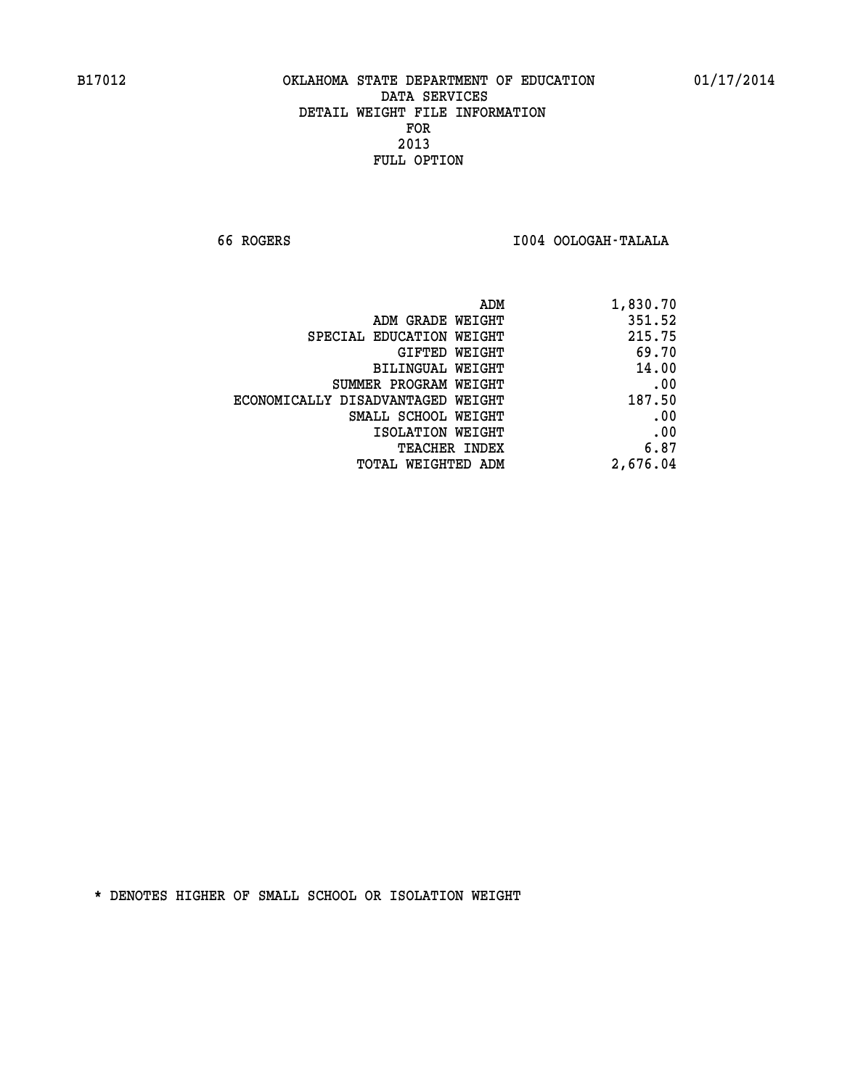**66 ROGERS I004 OOLOGAH-TALALA** 

| 1,830.70 |
|----------|
| 351.52   |
| 215.75   |
| 69.70    |
| 14.00    |
| .00      |
| 187.50   |
| .00      |
| .00      |
| 6.87     |
| 2,676.04 |
|          |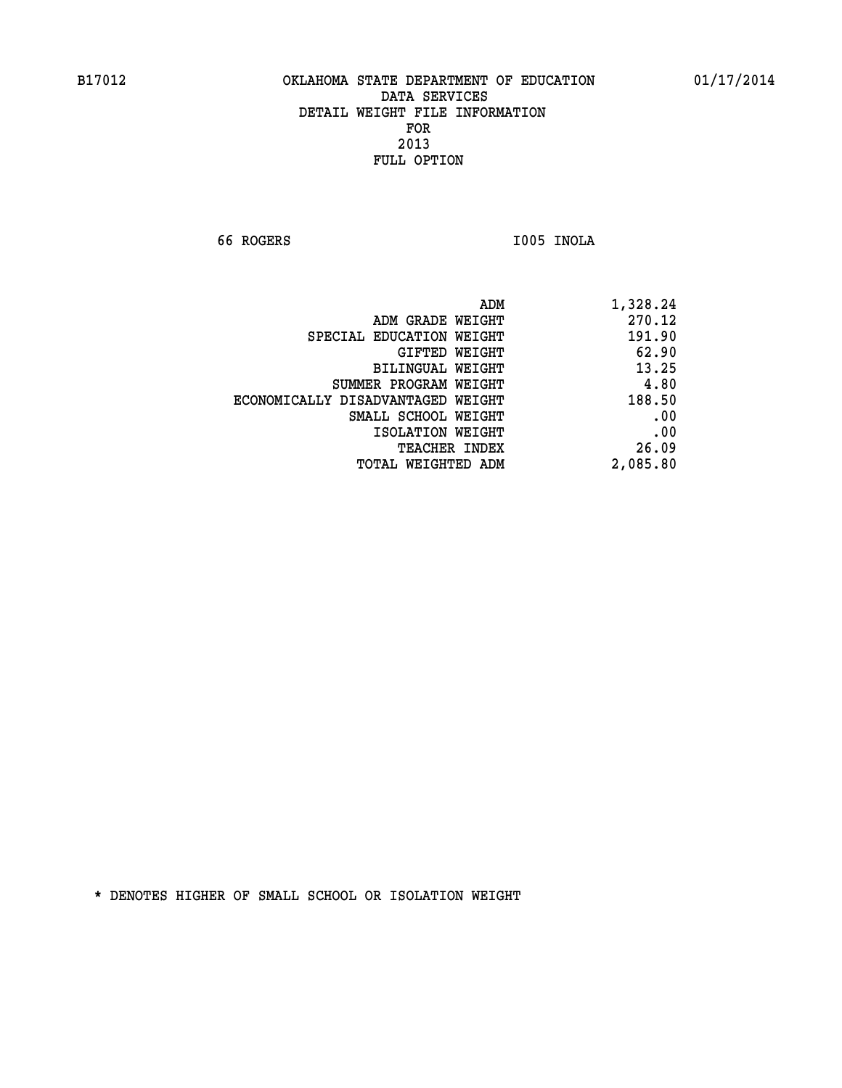**66 ROGERS I005 INOLA** 

| 270.12<br>ADM GRADE WEIGHT<br>191.90<br>SPECIAL EDUCATION WEIGHT<br>62.90<br>GIFTED WEIGHT<br>13.25<br>BILINGUAL WEIGHT<br>4.80<br>SUMMER PROGRAM WEIGHT<br>188.50<br>ECONOMICALLY DISADVANTAGED WEIGHT<br>.00<br>SMALL SCHOOL WEIGHT<br>.00<br>ISOLATION WEIGHT<br>26.09<br><b>TEACHER INDEX</b> | ADM                | 1,328.24 |
|---------------------------------------------------------------------------------------------------------------------------------------------------------------------------------------------------------------------------------------------------------------------------------------------------|--------------------|----------|
|                                                                                                                                                                                                                                                                                                   |                    |          |
|                                                                                                                                                                                                                                                                                                   |                    |          |
|                                                                                                                                                                                                                                                                                                   |                    |          |
|                                                                                                                                                                                                                                                                                                   |                    |          |
|                                                                                                                                                                                                                                                                                                   |                    |          |
|                                                                                                                                                                                                                                                                                                   |                    |          |
|                                                                                                                                                                                                                                                                                                   |                    |          |
|                                                                                                                                                                                                                                                                                                   |                    |          |
|                                                                                                                                                                                                                                                                                                   |                    |          |
|                                                                                                                                                                                                                                                                                                   | TOTAL WEIGHTED ADM | 2,085.80 |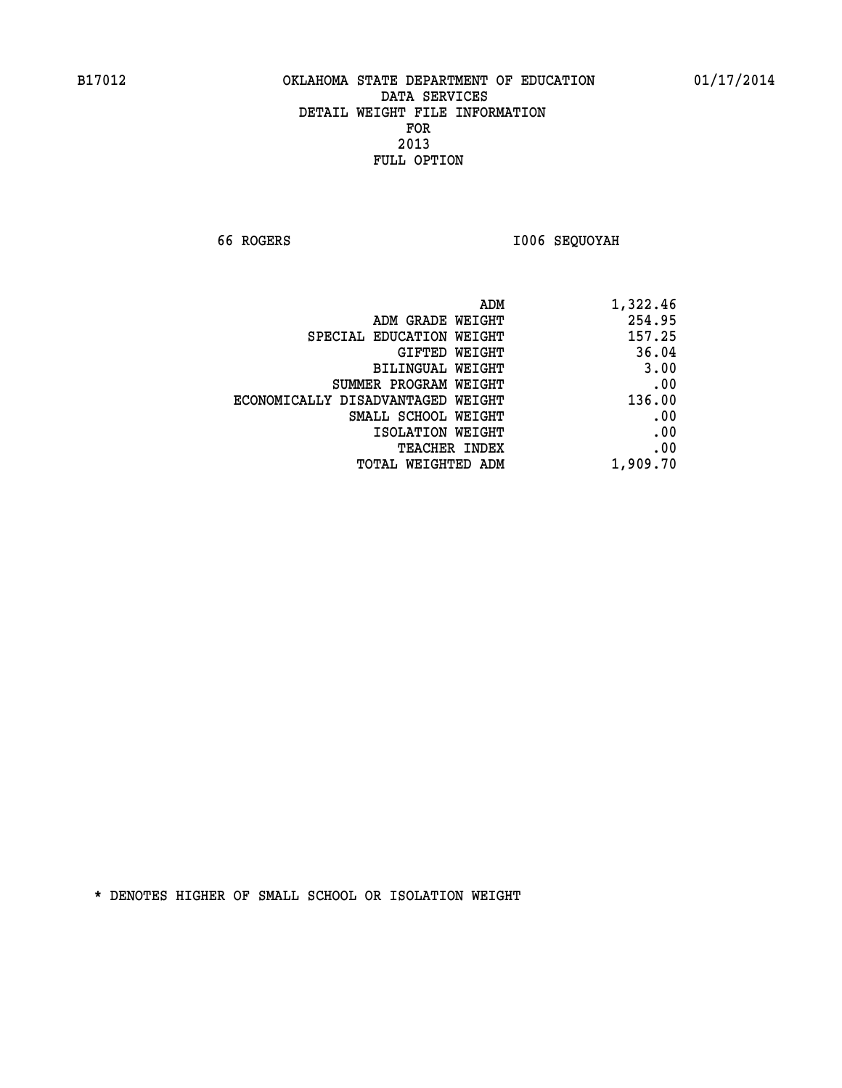**66 ROGERS I006 SEQUOYAH** 

| 1,322.46 |
|----------|
| 254.95   |
| 157.25   |
| 36.04    |
| 3.00     |
| .00      |
| 136.00   |
| .00      |
| .00      |
| .00      |
| 1,909.70 |
|          |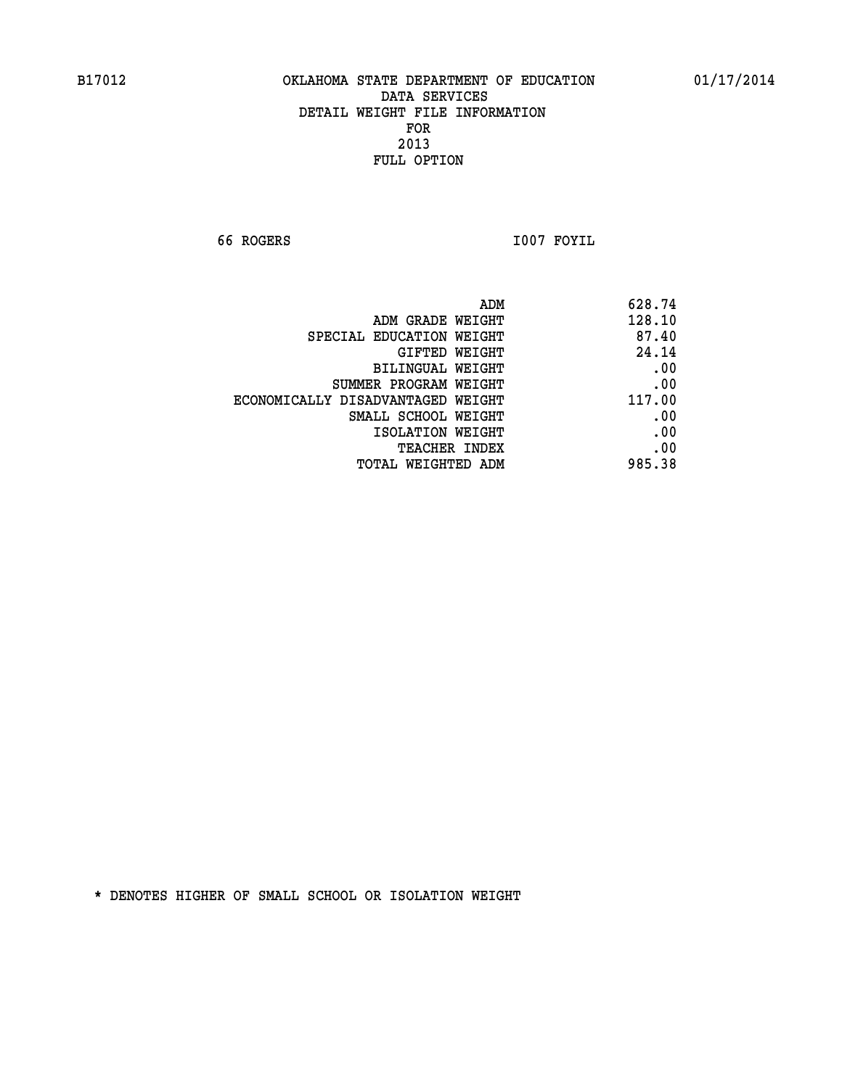**66 ROGERS I007 FOYIL** 

| 628.74 | ADM                               |
|--------|-----------------------------------|
| 128.10 | ADM GRADE WEIGHT                  |
| 87.40  | SPECIAL EDUCATION WEIGHT          |
| 24.14  | GIFTED WEIGHT                     |
| .00    | BILINGUAL WEIGHT                  |
| .00    | SUMMER PROGRAM WEIGHT             |
| 117.00 | ECONOMICALLY DISADVANTAGED WEIGHT |
| .00    | SMALL SCHOOL WEIGHT               |
| .00    | ISOLATION WEIGHT                  |
| .00    | <b>TEACHER INDEX</b>              |
| 985.38 | <b>TOTAL WEIGHTED ADM</b>         |
|        |                                   |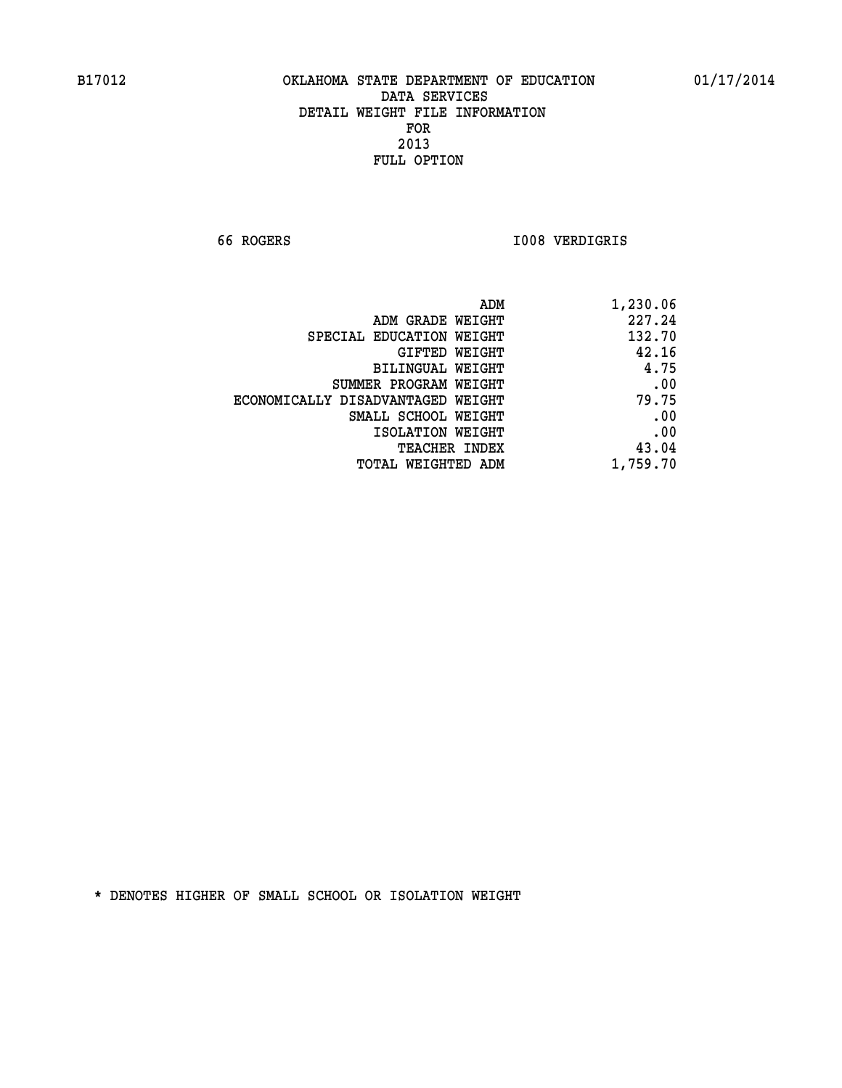**66 ROGERS I008 VERDIGRIS** 

| 1,230.06 |
|----------|
| 227.24   |
| 132.70   |
| 42.16    |
| 4.75     |
| .00      |
| 79.75    |
| .00      |
| .00      |
| 43.04    |
| 1,759.70 |
|          |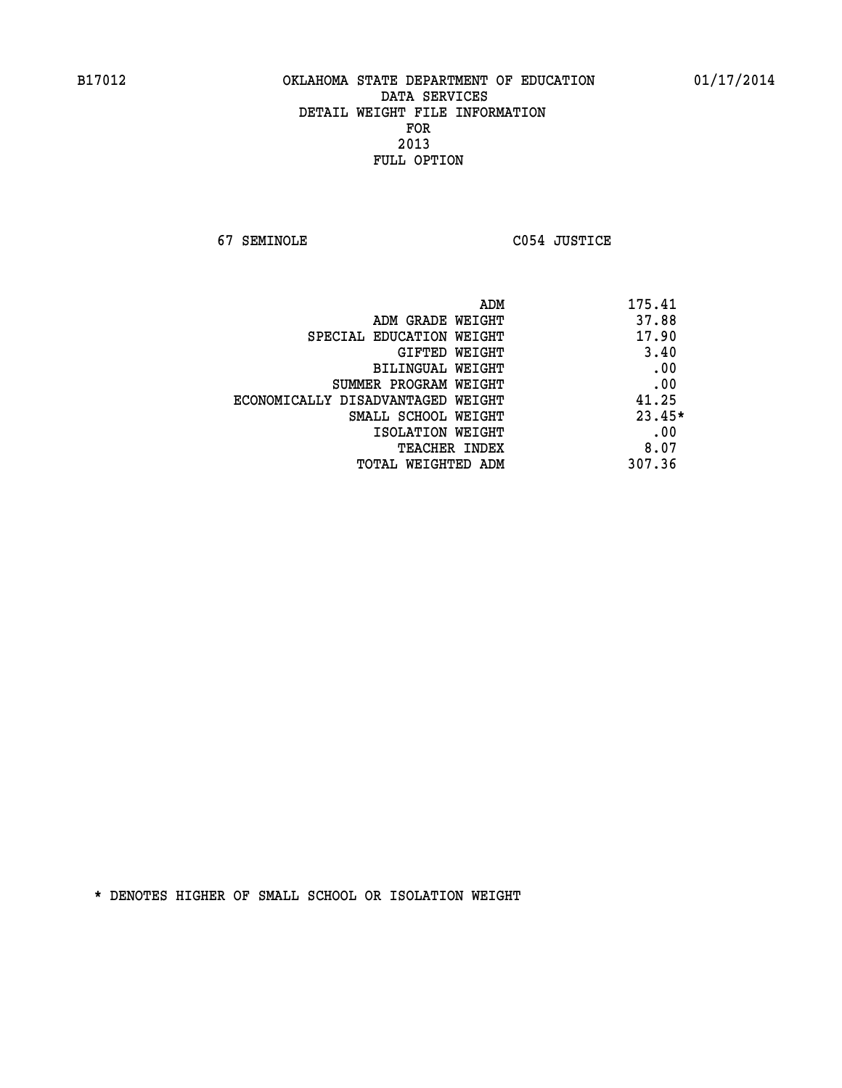**67 SEMINOLE C054 JUSTICE** 

| ADM<br>175.41 |                                   |
|---------------|-----------------------------------|
| 37.88         | ADM GRADE WEIGHT                  |
| 17.90         | SPECIAL EDUCATION WEIGHT          |
| 3.40          | <b>GIFTED WEIGHT</b>              |
| .00           | BILINGUAL WEIGHT                  |
| .00           | SUMMER PROGRAM WEIGHT             |
| 41.25         | ECONOMICALLY DISADVANTAGED WEIGHT |
| $23.45*$      | SMALL SCHOOL WEIGHT               |
| .00           | ISOLATION WEIGHT                  |
| 8.07          | <b>TEACHER INDEX</b>              |
| 307.36        | TOTAL WEIGHTED ADM                |
|               |                                   |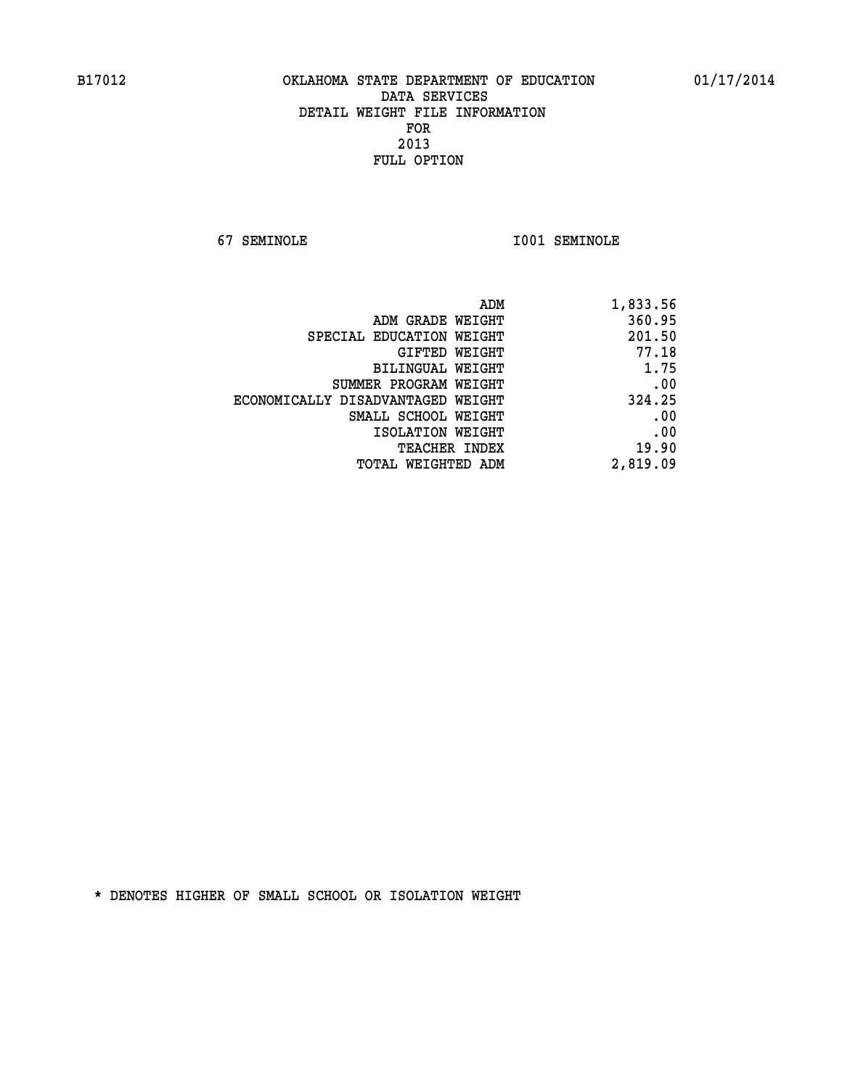**67 SEMINOLE I001 SEMINOLE** 

| 1,833.56 |
|----------|
| 360.95   |
| 201.50   |
| 77.18    |
| 1.75     |
| .00      |
| 324.25   |
| .00      |
| .00      |
| 19.90    |
| 2,819.09 |
|          |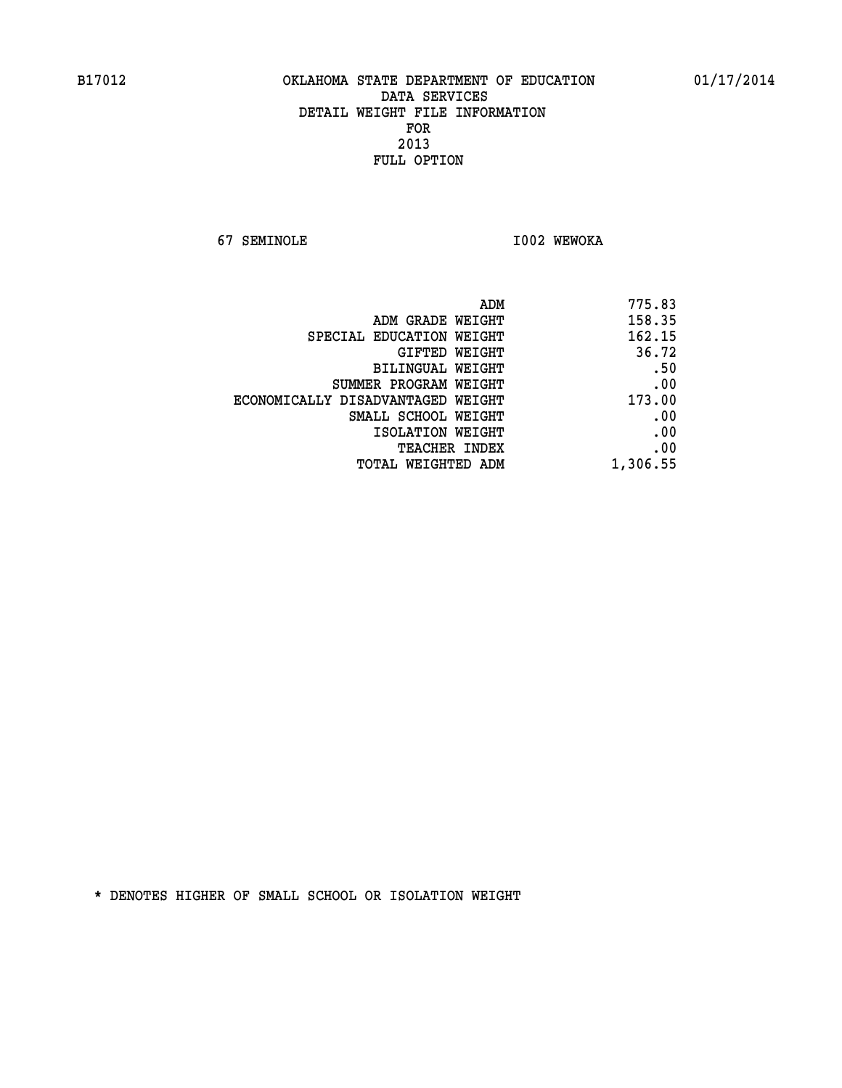**67 SEMINOLE I002 WEWOKA** 

|                                   | 775.83<br>ADM |
|-----------------------------------|---------------|
| ADM GRADE WEIGHT                  | 158.35        |
| SPECIAL EDUCATION WEIGHT          | 162.15        |
| GIFTED WEIGHT                     | 36.72         |
| <b>BILINGUAL WEIGHT</b>           | .50           |
| SUMMER PROGRAM WEIGHT             | .00           |
| ECONOMICALLY DISADVANTAGED WEIGHT | 173.00        |
| SMALL SCHOOL WEIGHT               | .00           |
| ISOLATION WEIGHT                  | .00           |
| TEACHER INDEX                     | .00           |
| TOTAL WEIGHTED ADM                | 1,306.55      |
|                                   |               |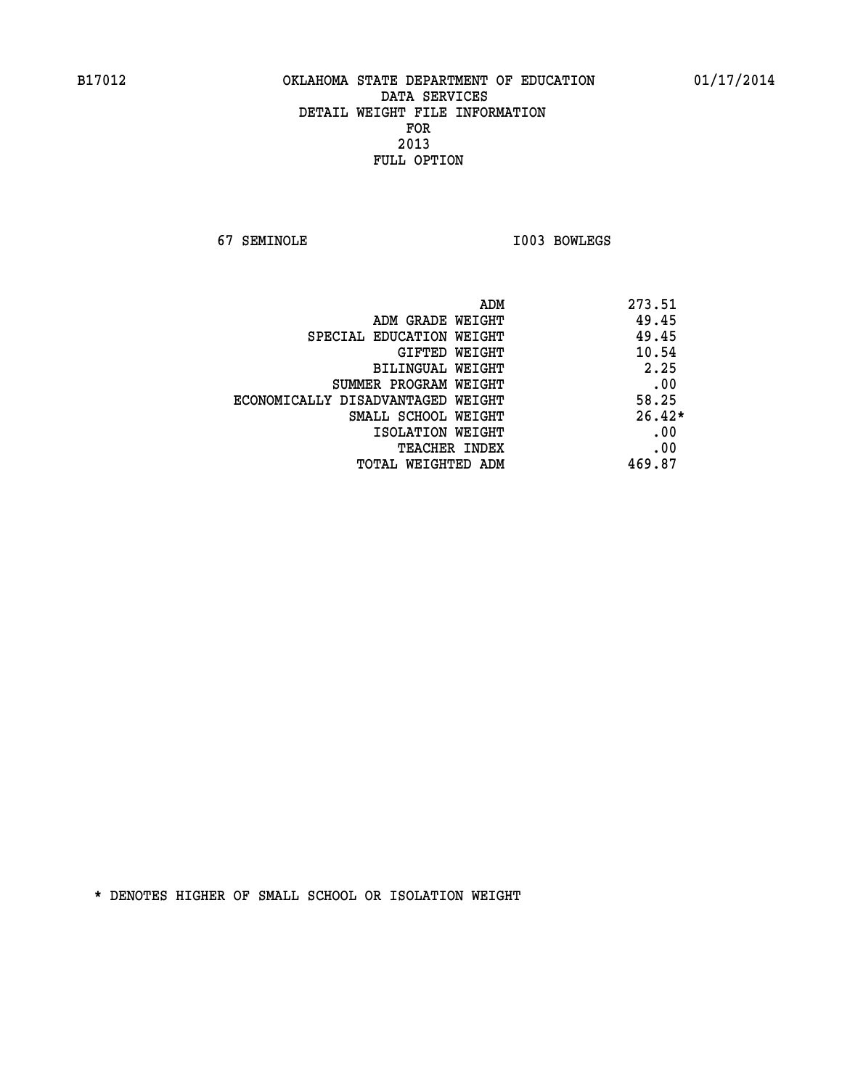**67 SEMINOLE I003 BOWLEGS** 

| ADM                               | 273.51   |
|-----------------------------------|----------|
| ADM GRADE WEIGHT                  | 49.45    |
| SPECIAL EDUCATION WEIGHT          | 49.45    |
| GIFTED WEIGHT                     | 10.54    |
| BILINGUAL WEIGHT                  | 2.25     |
| SUMMER PROGRAM WEIGHT             | .00      |
| ECONOMICALLY DISADVANTAGED WEIGHT | 58.25    |
| SMALL SCHOOL WEIGHT               | $26.42*$ |
| ISOLATION WEIGHT                  | .00      |
| <b>TEACHER INDEX</b>              | .00      |
| TOTAL WEIGHTED ADM                | 469.87   |
|                                   |          |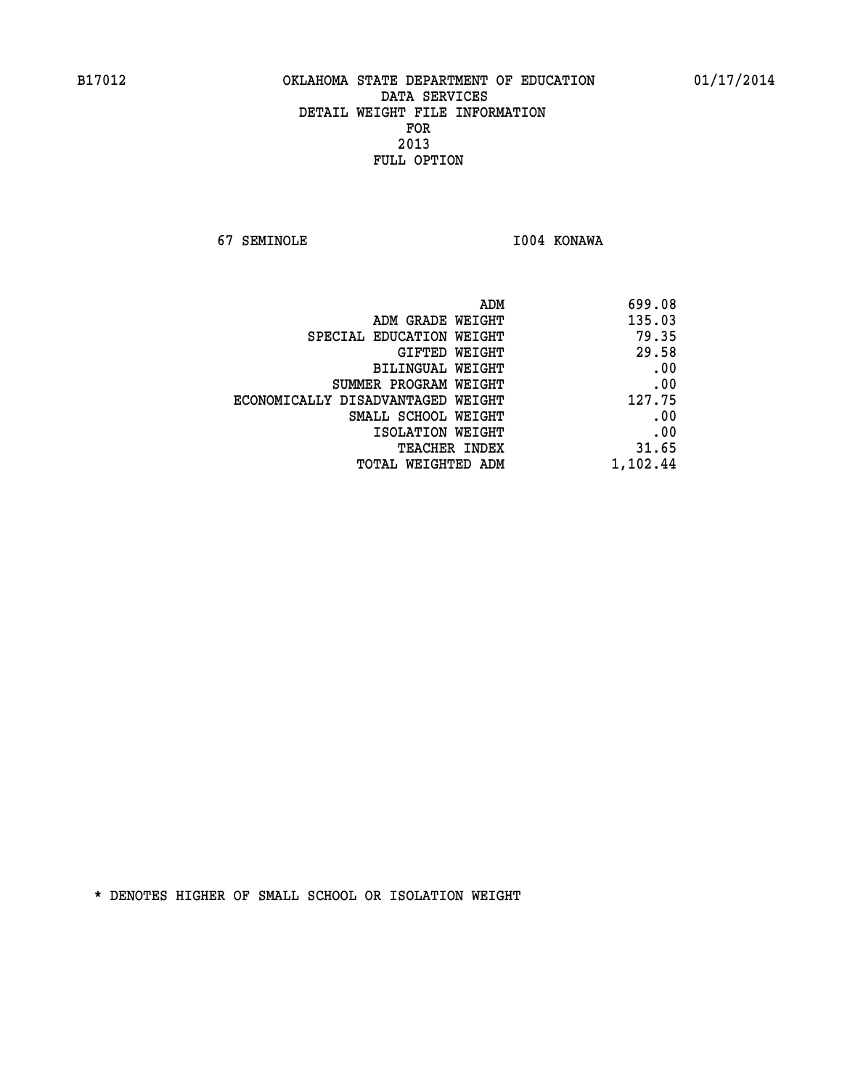**67 SEMINOLE I004 KONAWA** 

| 699.08   |
|----------|
| 135.03   |
| 79.35    |
| 29.58    |
| .00      |
| .00      |
| 127.75   |
| .00      |
| .00      |
| 31.65    |
| 1,102.44 |
|          |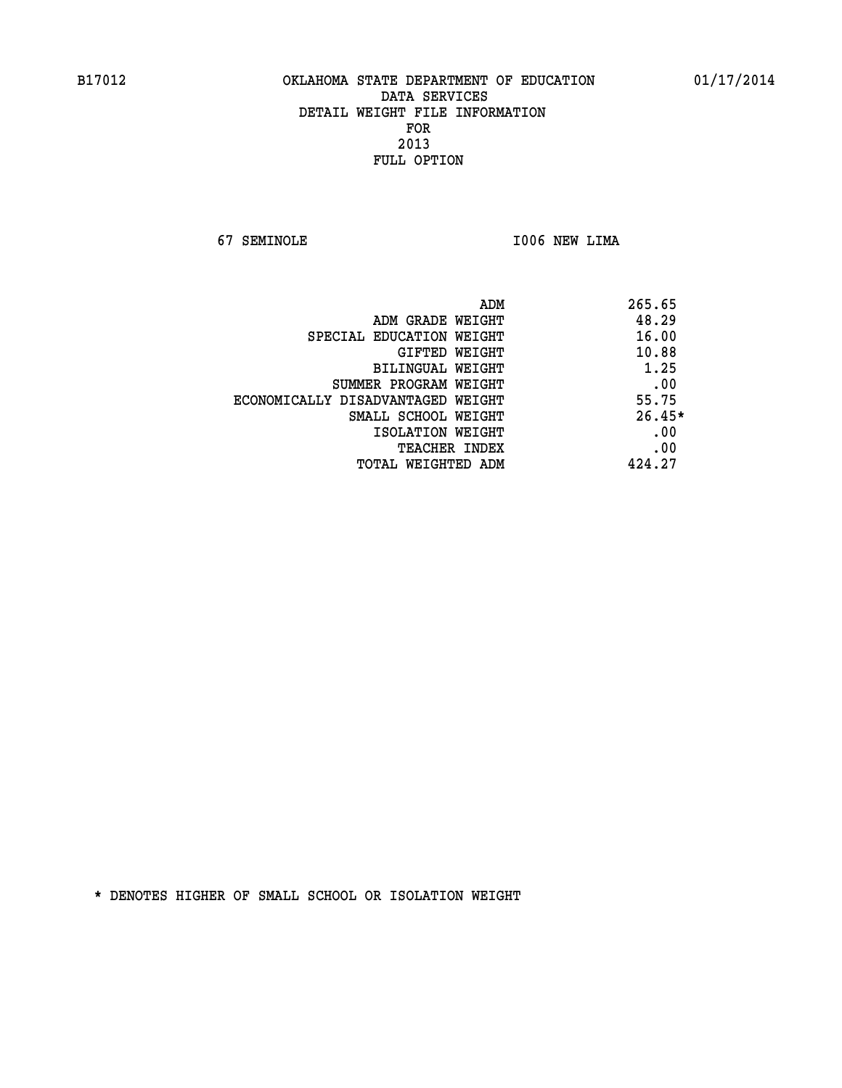**67 SEMINOLE I006 NEW LIMA** 

| ADM                               | 265.65   |
|-----------------------------------|----------|
| ADM GRADE WEIGHT                  | 48.29    |
| SPECIAL EDUCATION WEIGHT          | 16.00    |
| GIFTED WEIGHT                     | 10.88    |
| BILINGUAL WEIGHT                  | 1.25     |
| SUMMER PROGRAM WEIGHT             | .00      |
| ECONOMICALLY DISADVANTAGED WEIGHT | 55.75    |
| SMALL SCHOOL WEIGHT               | $26.45*$ |
| ISOLATION WEIGHT                  | .00      |
| <b>TEACHER INDEX</b>              | .00      |
| TOTAL WEIGHTED ADM                | 424.27   |
|                                   |          |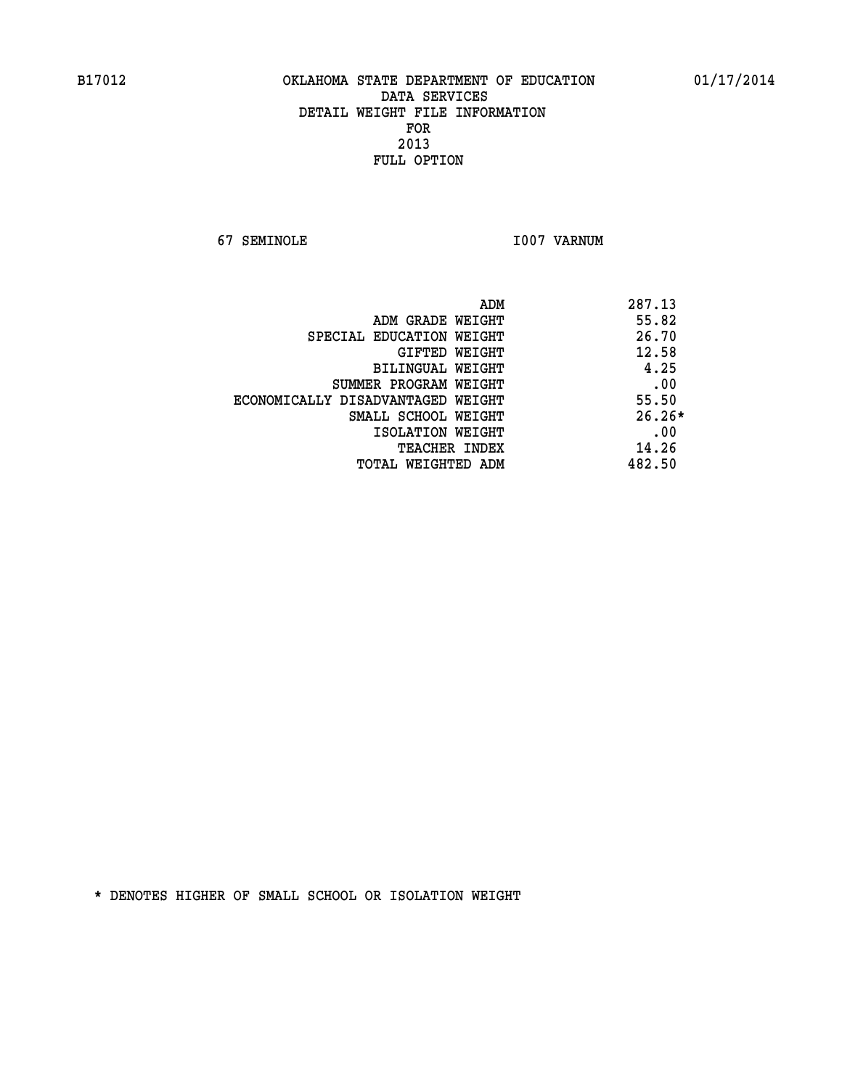**67 SEMINOLE I007 VARNUM** 

| ADM                               | 287.13   |
|-----------------------------------|----------|
| ADM GRADE WEIGHT                  | 55.82    |
| SPECIAL EDUCATION WEIGHT          | 26.70    |
| GIFTED WEIGHT                     | 12.58    |
| BILINGUAL WEIGHT                  | 4.25     |
| SUMMER PROGRAM WEIGHT             | .00      |
| ECONOMICALLY DISADVANTAGED WEIGHT | 55.50    |
| SMALL SCHOOL WEIGHT               | $26.26*$ |
| ISOLATION WEIGHT                  | .00      |
| <b>TEACHER INDEX</b>              | 14.26    |
| TOTAL WEIGHTED ADM                | 482.50   |
|                                   |          |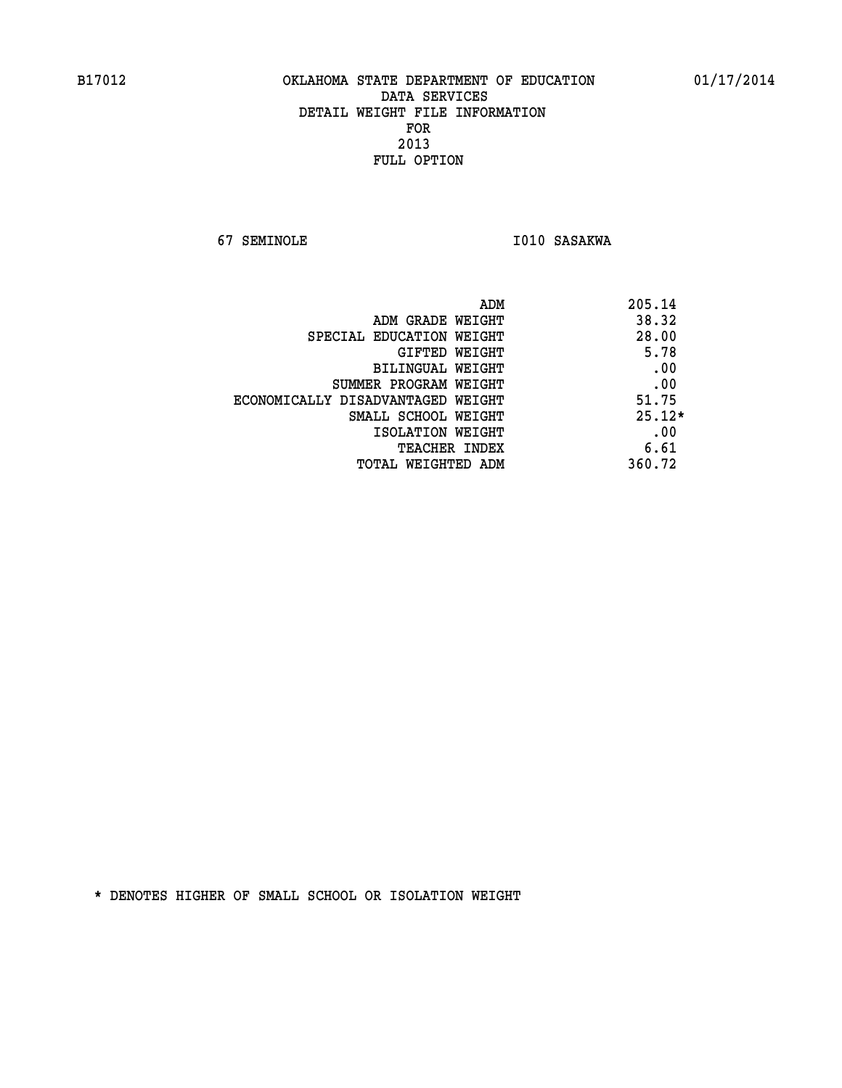**67 SEMINOLE 1010 SASAKWA** 

| ADM<br>205.14                              |  |
|--------------------------------------------|--|
| 38.32<br>ADM GRADE WEIGHT                  |  |
| 28.00<br>SPECIAL EDUCATION WEIGHT          |  |
| 5.78<br>GIFTED WEIGHT                      |  |
| .00<br>BILINGUAL WEIGHT                    |  |
| .00<br>SUMMER PROGRAM WEIGHT               |  |
| 51.75<br>ECONOMICALLY DISADVANTAGED WEIGHT |  |
| $25.12*$<br>SMALL SCHOOL WEIGHT            |  |
| .00<br>ISOLATION WEIGHT                    |  |
| 6.61<br><b>TEACHER INDEX</b>               |  |
| 360.72<br>TOTAL WEIGHTED ADM               |  |
|                                            |  |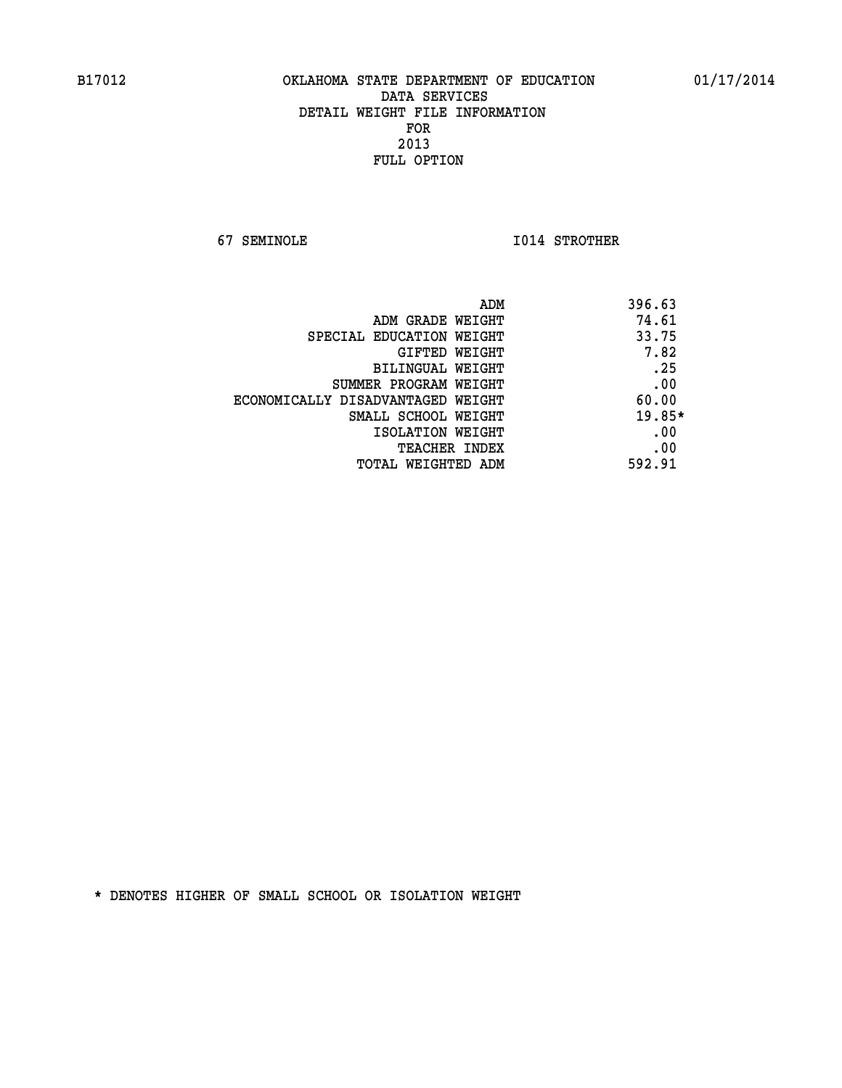**67 SEMINOLE I014 STROTHER** 

| ADM                               | 396.63   |
|-----------------------------------|----------|
| ADM GRADE WEIGHT                  | 74.61    |
| SPECIAL EDUCATION WEIGHT          | 33.75    |
| GIFTED WEIGHT                     | 7.82     |
| BILINGUAL WEIGHT                  | .25      |
| SUMMER PROGRAM WEIGHT             | .00      |
| ECONOMICALLY DISADVANTAGED WEIGHT | 60.00    |
| SMALL SCHOOL WEIGHT               | $19.85*$ |
| ISOLATION WEIGHT                  | .00      |
| <b>TEACHER INDEX</b>              | .00      |
| TOTAL WEIGHTED ADM                | 592.91   |
|                                   |          |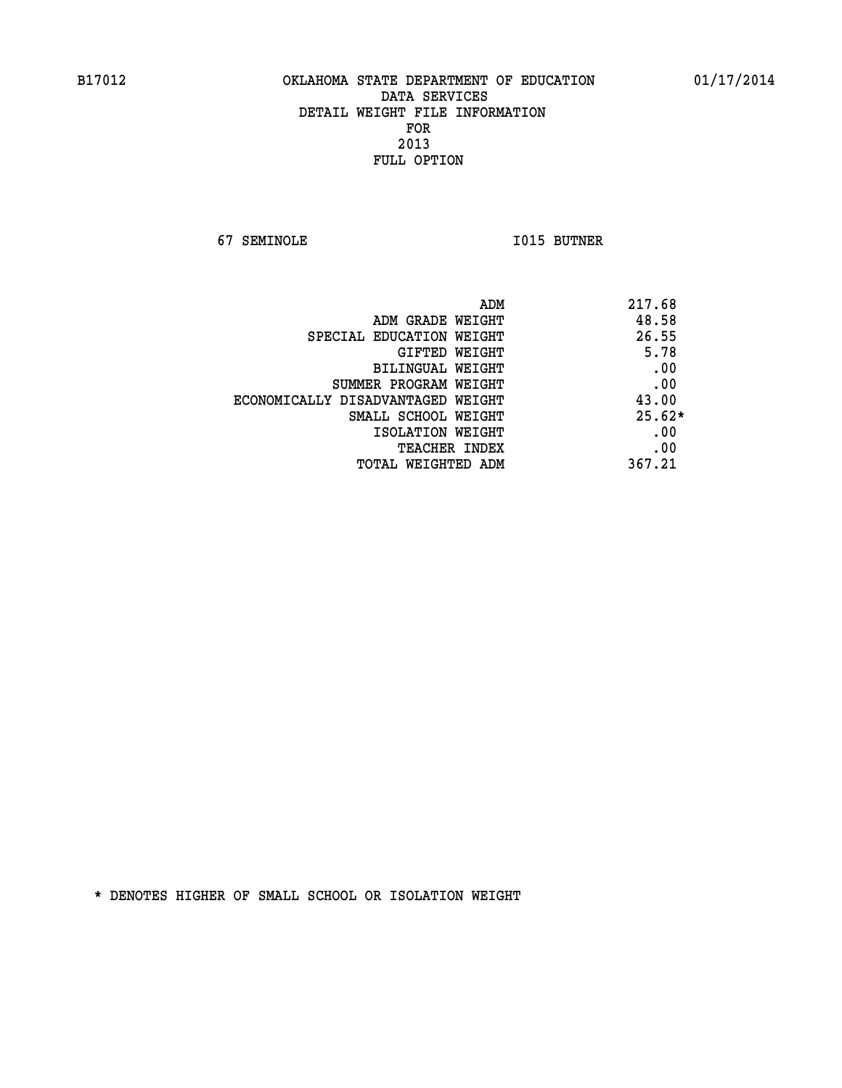**67 SEMINOLE I015 BUTNER** 

|                                   | 217.68<br>ADM |
|-----------------------------------|---------------|
| ADM GRADE WEIGHT                  | 48.58         |
| SPECIAL EDUCATION WEIGHT          | 26.55         |
| GIFTED WEIGHT                     | 5.78          |
| BILINGUAL WEIGHT                  | .00           |
| SUMMER PROGRAM WEIGHT             | .00           |
| ECONOMICALLY DISADVANTAGED WEIGHT | 43.00         |
| SMALL SCHOOL WEIGHT               | $25.62*$      |
| ISOLATION WEIGHT                  | .00           |
| <b>TEACHER INDEX</b>              | .00           |
| TOTAL WEIGHTED ADM                | 367.21        |
|                                   |               |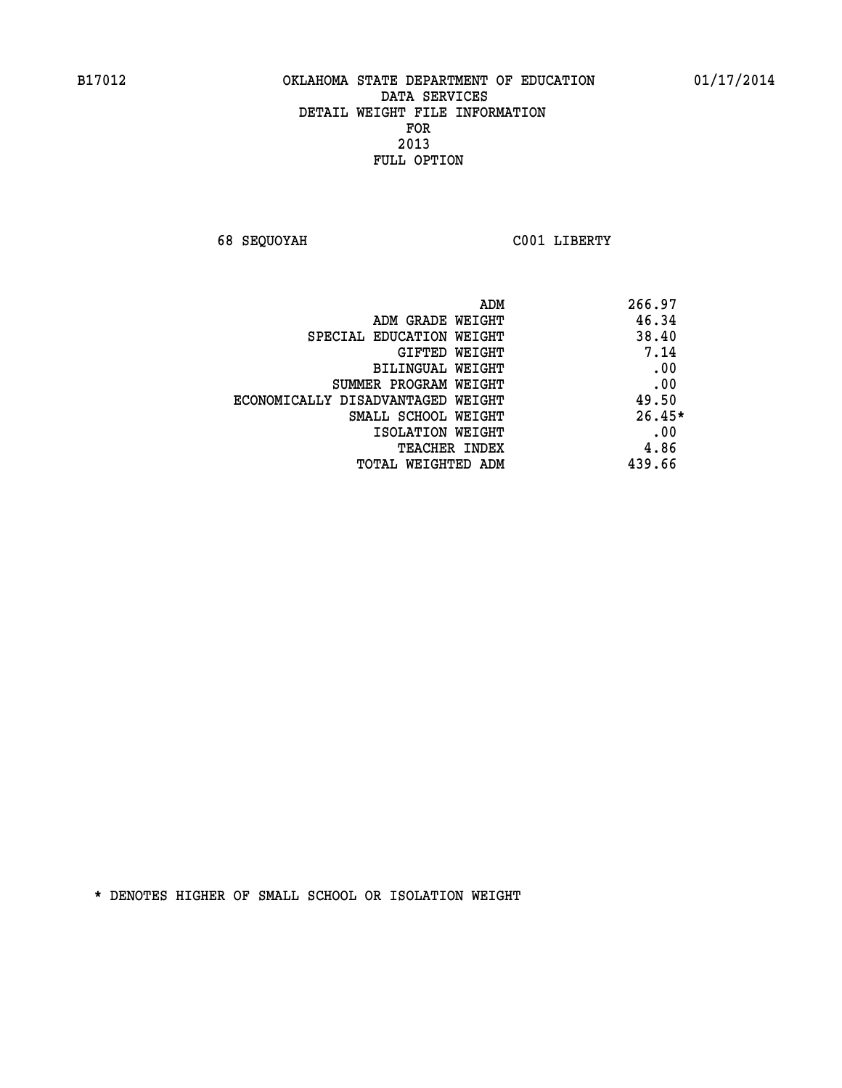**68 SEQUOYAH C001 LIBERTY** 

| 266.97   | ADM                               |
|----------|-----------------------------------|
| 46.34    | ADM GRADE WEIGHT                  |
| 38.40    | SPECIAL EDUCATION WEIGHT          |
| 7.14     | <b>GIFTED WEIGHT</b>              |
| .00      | BILINGUAL WEIGHT                  |
| .00      | SUMMER PROGRAM WEIGHT             |
| 49.50    | ECONOMICALLY DISADVANTAGED WEIGHT |
| $26.45*$ | SMALL SCHOOL WEIGHT               |
| .00      | ISOLATION WEIGHT                  |
| 4.86     | <b>TEACHER INDEX</b>              |
| 439.66   | TOTAL WEIGHTED ADM                |
|          |                                   |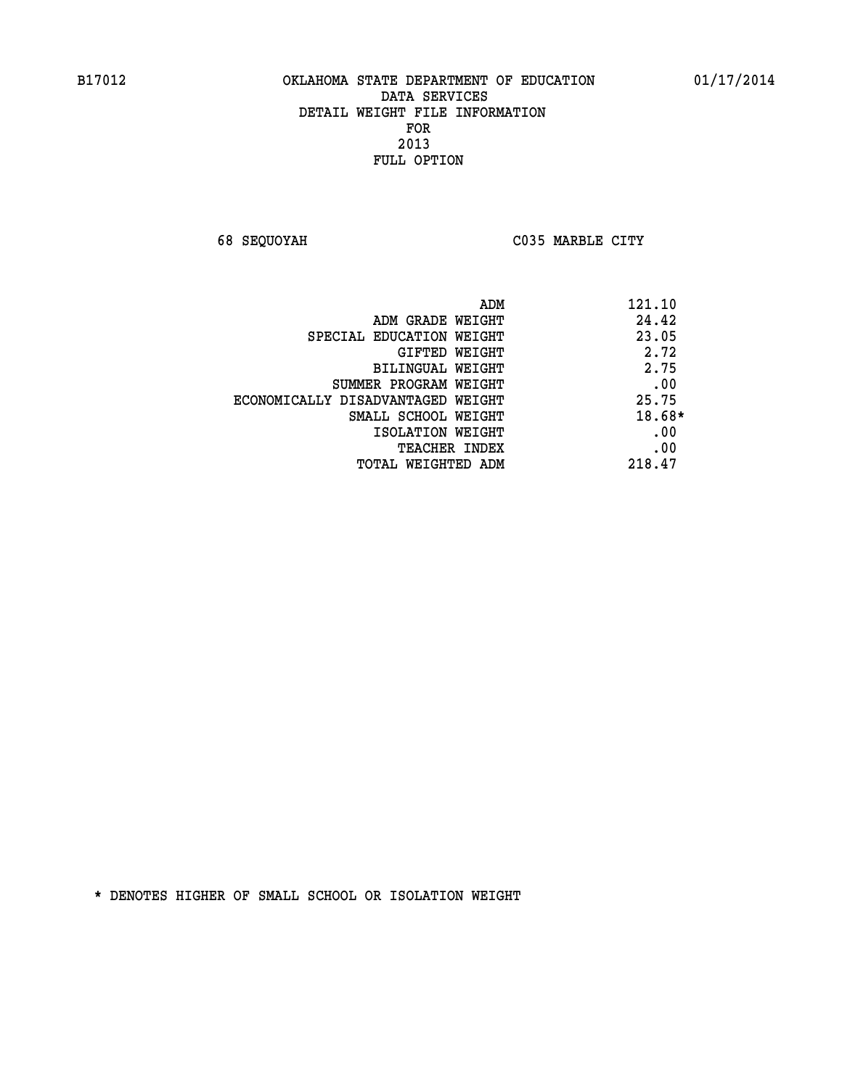**68 SEQUOYAH C035 MARBLE CITY** 

| ADM                               | 121.10 |
|-----------------------------------|--------|
| ADM GRADE WEIGHT                  | 24.42  |
| SPECIAL EDUCATION WEIGHT          | 23.05  |
| GIFTED WEIGHT                     | 2.72   |
| BILINGUAL WEIGHT                  | 2.75   |
| SUMMER PROGRAM WEIGHT             | .00    |
| ECONOMICALLY DISADVANTAGED WEIGHT | 25.75  |
| SMALL SCHOOL WEIGHT               | 18.68* |
| ISOLATION WEIGHT                  | .00    |
| <b>TEACHER INDEX</b>              | .00    |
| TOTAL WEIGHTED ADM                | 218.47 |
|                                   |        |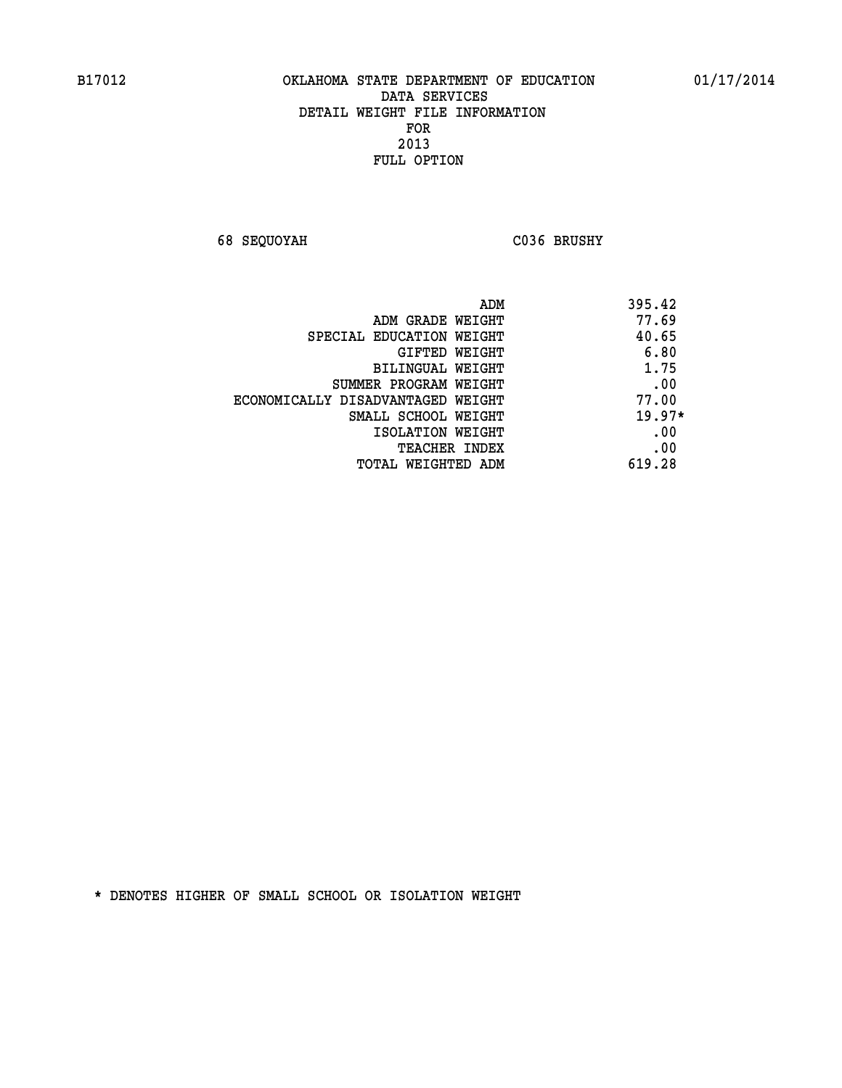**68 SEQUOYAH C036 BRUSHY** 

| ADM                               | 395.42   |
|-----------------------------------|----------|
| ADM GRADE WEIGHT                  | 77.69    |
| SPECIAL EDUCATION WEIGHT          | 40.65    |
| <b>GIFTED WEIGHT</b>              | 6.80     |
| BILINGUAL WEIGHT                  | 1.75     |
| SUMMER PROGRAM WEIGHT             | .00      |
| ECONOMICALLY DISADVANTAGED WEIGHT | 77.00    |
| SMALL SCHOOL WEIGHT               | $19.97*$ |
| ISOLATION WEIGHT                  | .00      |
| <b>TEACHER INDEX</b>              | .00      |
| <b>TOTAL WEIGHTED ADM</b>         | 619.28   |
|                                   |          |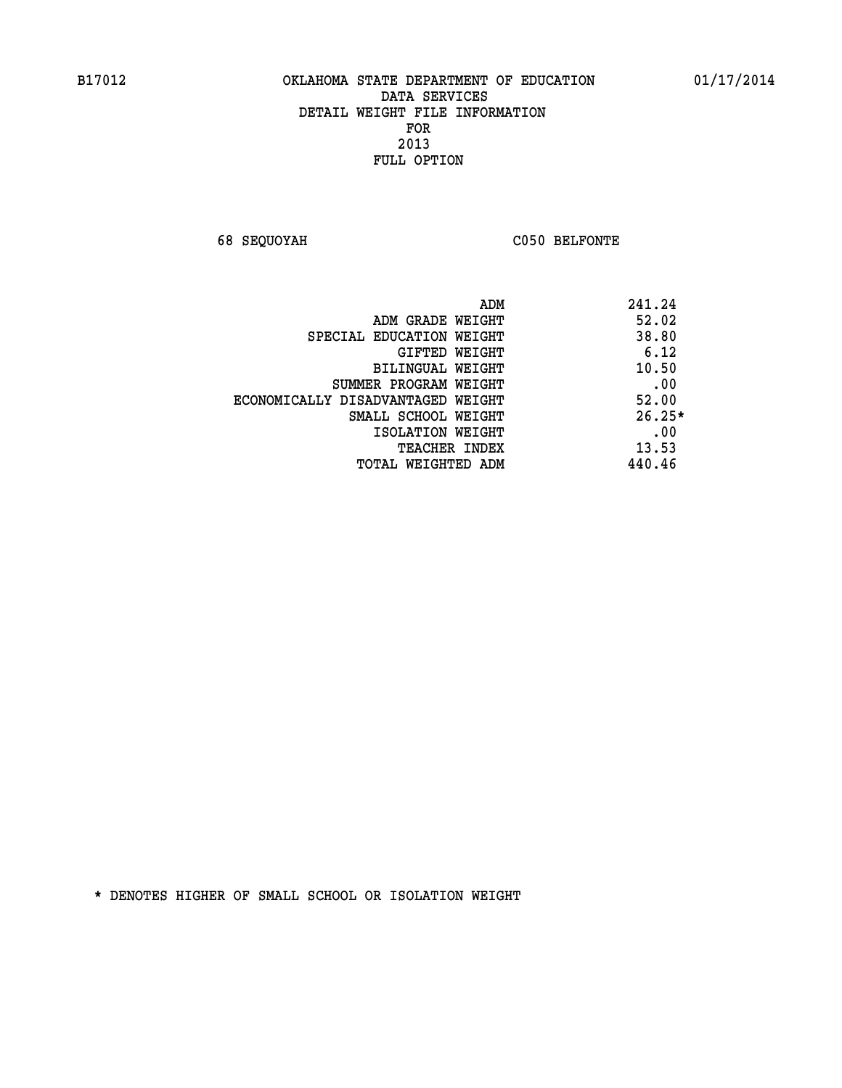**68 SEQUOYAH C050 BELFONTE** 

|                                   | 241.24<br>ADM |
|-----------------------------------|---------------|
| ADM GRADE WEIGHT                  | 52.02         |
| SPECIAL EDUCATION WEIGHT          | 38.80         |
| GIFTED WEIGHT                     | 6.12          |
| BILINGUAL WEIGHT                  | 10.50         |
| SUMMER PROGRAM WEIGHT             | .00           |
| ECONOMICALLY DISADVANTAGED WEIGHT | 52.00         |
| SMALL SCHOOL WEIGHT               | $26.25*$      |
| ISOLATION WEIGHT                  | .00           |
| <b>TEACHER INDEX</b>              | 13.53         |
| TOTAL WEIGHTED ADM                | 440.46        |
|                                   |               |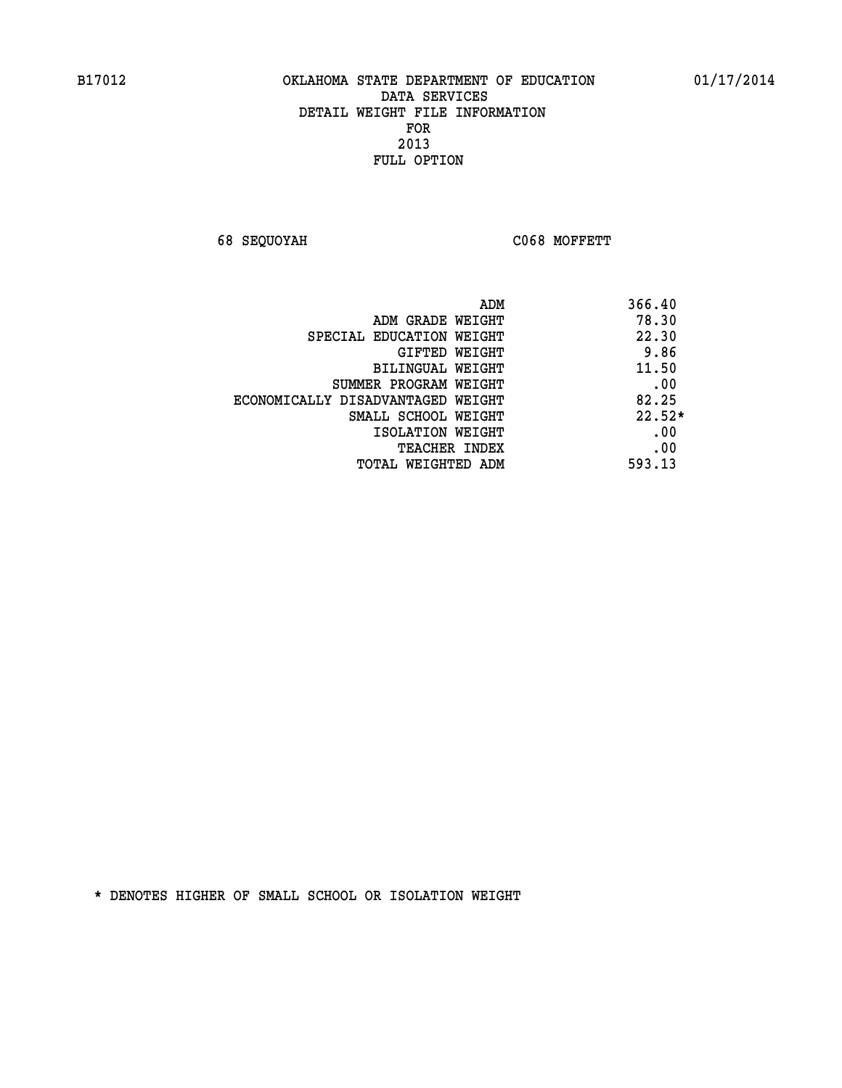**68 SEQUOYAH C068 MOFFETT** 

|                                   | 366.40<br>ADM |
|-----------------------------------|---------------|
| ADM GRADE WEIGHT                  | 78.30         |
| SPECIAL EDUCATION WEIGHT          | 22.30         |
| GIFTED WEIGHT                     | 9.86          |
| BILINGUAL WEIGHT                  | 11.50         |
| SUMMER PROGRAM WEIGHT             | .00           |
| ECONOMICALLY DISADVANTAGED WEIGHT | 82.25         |
| SMALL SCHOOL WEIGHT               | $22.52*$      |
| ISOLATION WEIGHT                  | .00           |
| <b>TEACHER INDEX</b>              | .00           |
| TOTAL WEIGHTED ADM                | 593.13        |
|                                   |               |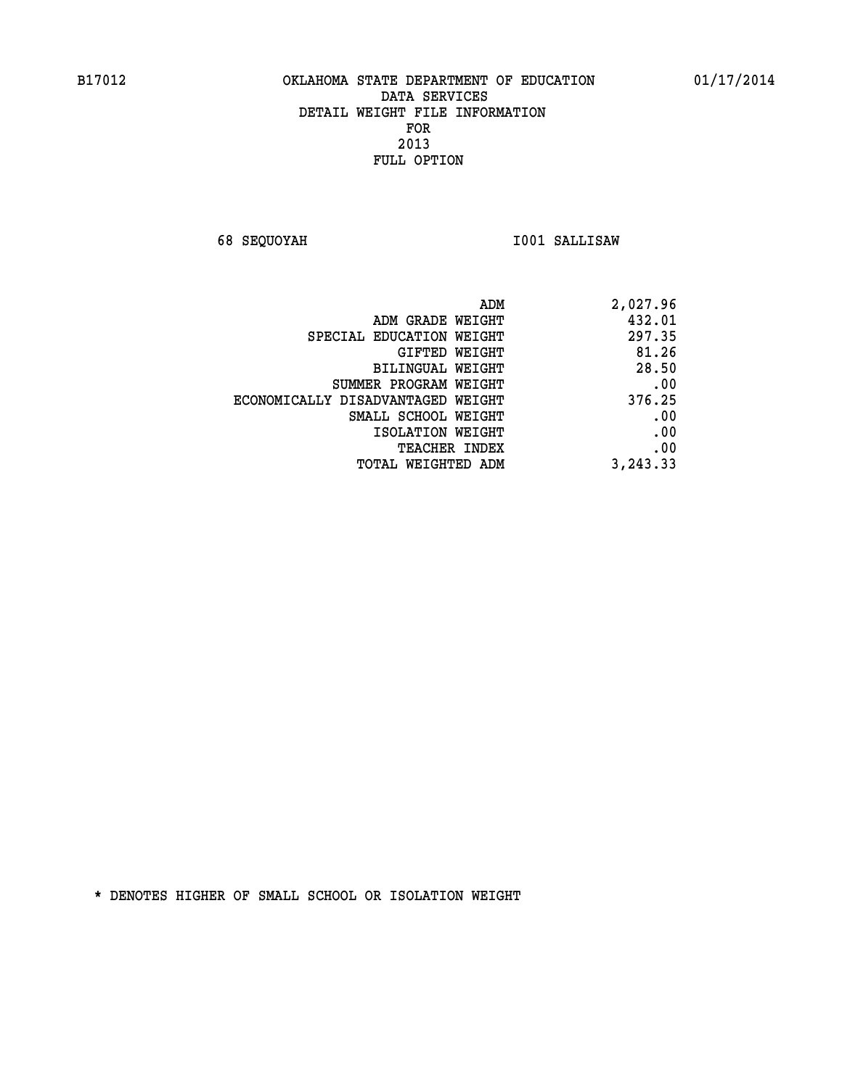**68 SEQUOYAH I001 SALLISAW** 

| ADM                               | 2,027.96 |
|-----------------------------------|----------|
| ADM GRADE WEIGHT                  | 432.01   |
| SPECIAL EDUCATION WEIGHT          | 297.35   |
| GIFTED WEIGHT                     | 81.26    |
| BILINGUAL WEIGHT                  | 28.50    |
| SUMMER PROGRAM WEIGHT             | .00      |
| ECONOMICALLY DISADVANTAGED WEIGHT | 376.25   |
| SMALL SCHOOL WEIGHT               | .00      |
| ISOLATION WEIGHT                  | .00      |
| <b>TEACHER INDEX</b>              | .00      |
| TOTAL WEIGHTED ADM                | 3,243.33 |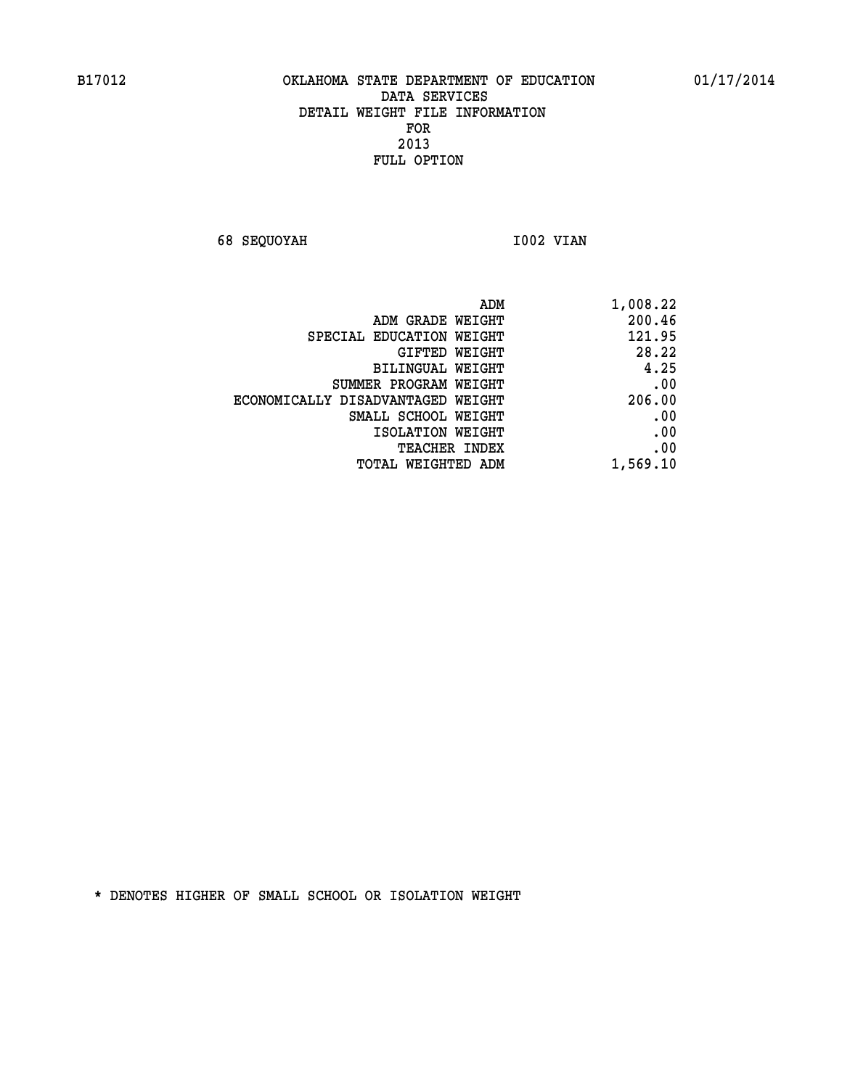**68 SEQUOYAH 1002 VIAN** 

| ADM                               | 1,008.22 |
|-----------------------------------|----------|
| ADM GRADE WEIGHT                  | 200.46   |
| SPECIAL EDUCATION WEIGHT          | 121.95   |
| <b>GIFTED WEIGHT</b>              | 28.22    |
| BILINGUAL WEIGHT                  | 4.25     |
| SUMMER PROGRAM WEIGHT             | .00      |
| ECONOMICALLY DISADVANTAGED WEIGHT | 206.00   |
| SMALL SCHOOL WEIGHT               | .00      |
| ISOLATION WEIGHT                  | .00      |
| <b>TEACHER INDEX</b>              | .00      |
| <b>TOTAL WEIGHTED ADM</b>         | 1,569.10 |
|                                   |          |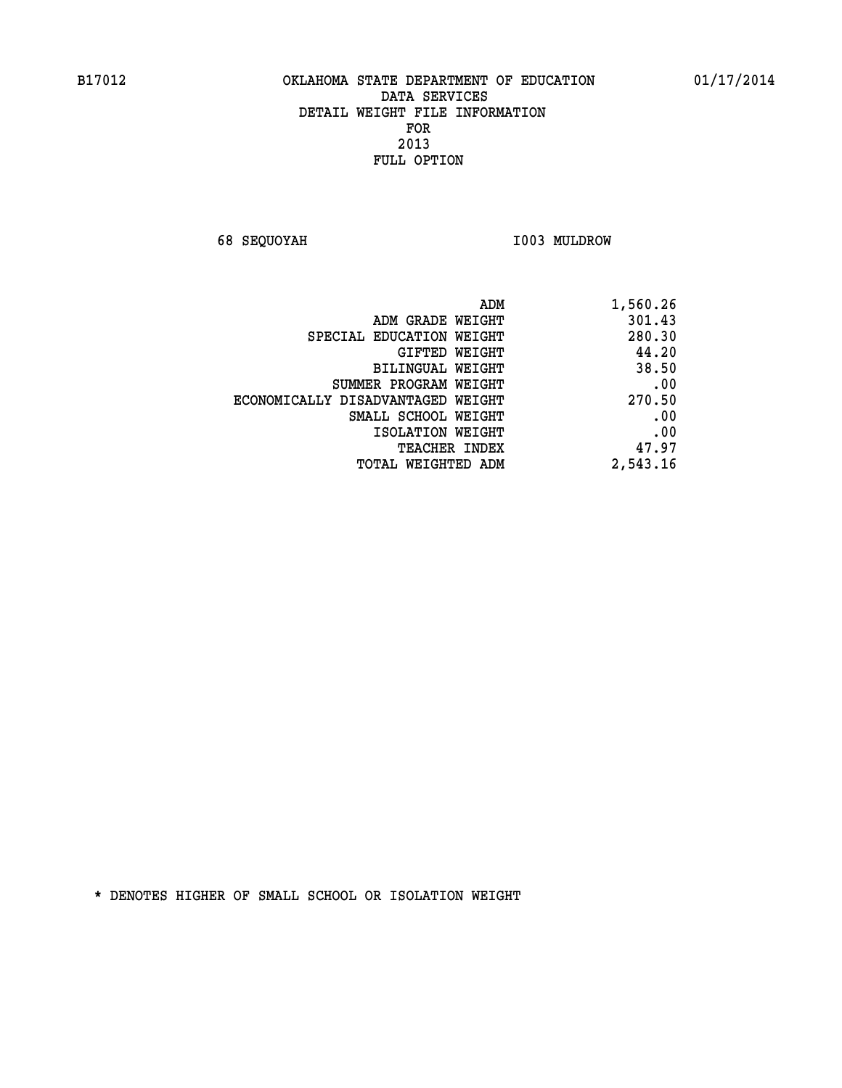**68 SEQUOYAH I003 MULDROW** 

| 1,560.26 |
|----------|
| 301.43   |
| 280.30   |
| 44.20    |
| 38.50    |
| .00      |
| 270.50   |
| .00      |
| .00      |
| 47.97    |
| 2,543.16 |
|          |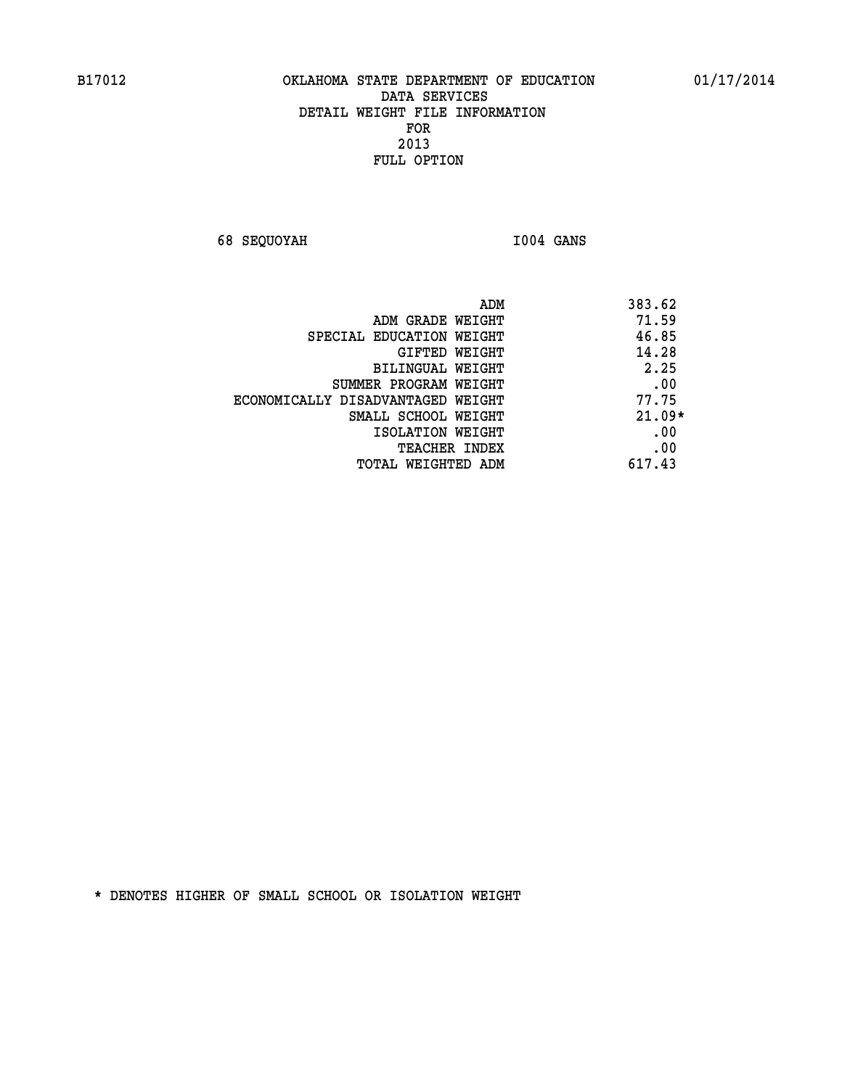**68 SEQUOYAH I004 GANS** 

|                                   | ADM | 383.62   |
|-----------------------------------|-----|----------|
| ADM GRADE WEIGHT                  |     | 71.59    |
| SPECIAL EDUCATION WEIGHT          |     | 46.85    |
| GIFTED WEIGHT                     |     | 14.28    |
| BILINGUAL WEIGHT                  |     | 2.25     |
| SUMMER PROGRAM WEIGHT             |     | .00      |
| ECONOMICALLY DISADVANTAGED WEIGHT |     | 77.75    |
| SMALL SCHOOL WEIGHT               |     | $21.09*$ |
| ISOLATION WEIGHT                  |     | .00      |
| <b>TEACHER INDEX</b>              |     | .00      |
| TOTAL WEIGHTED ADM                |     | 617.43   |
|                                   |     |          |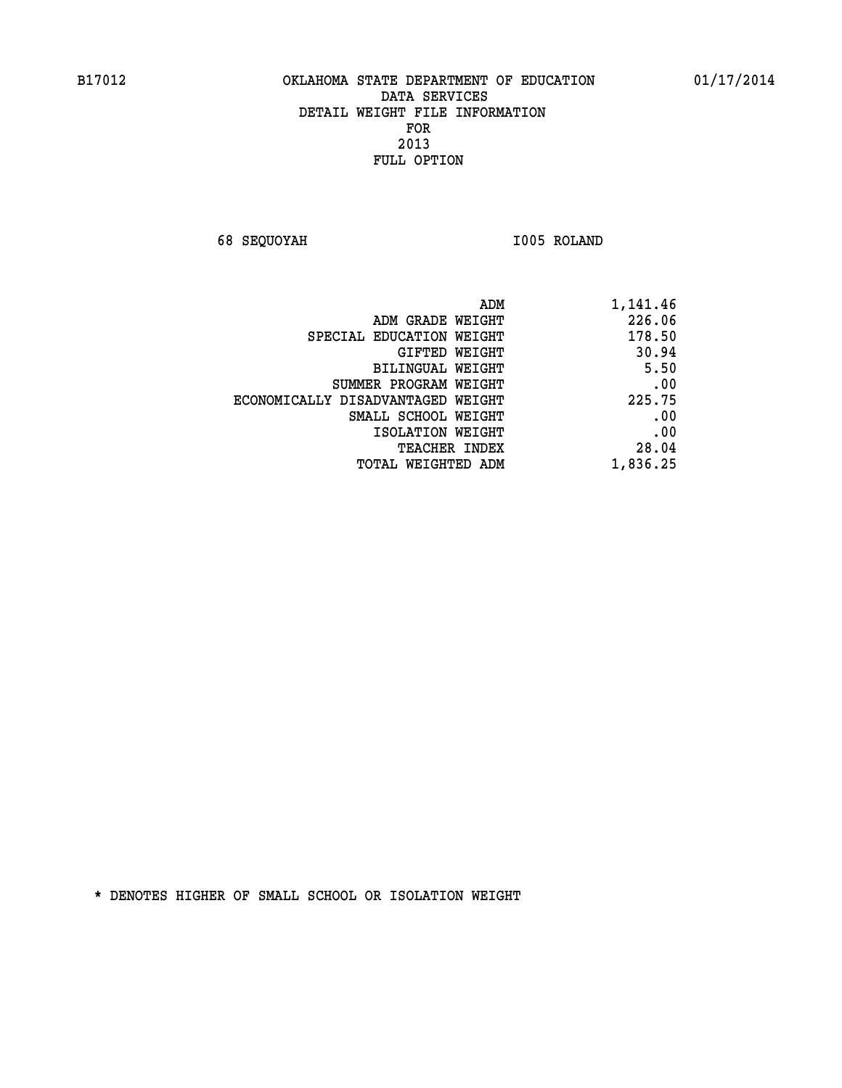**68 SEQUOYAH I005 ROLAND** 

| 1,141.46 |
|----------|
| 226.06   |
| 178.50   |
| 30.94    |
| 5.50     |
| .00      |
| 225.75   |
| .00      |
| .00      |
| 28.04    |
| 1,836.25 |
|          |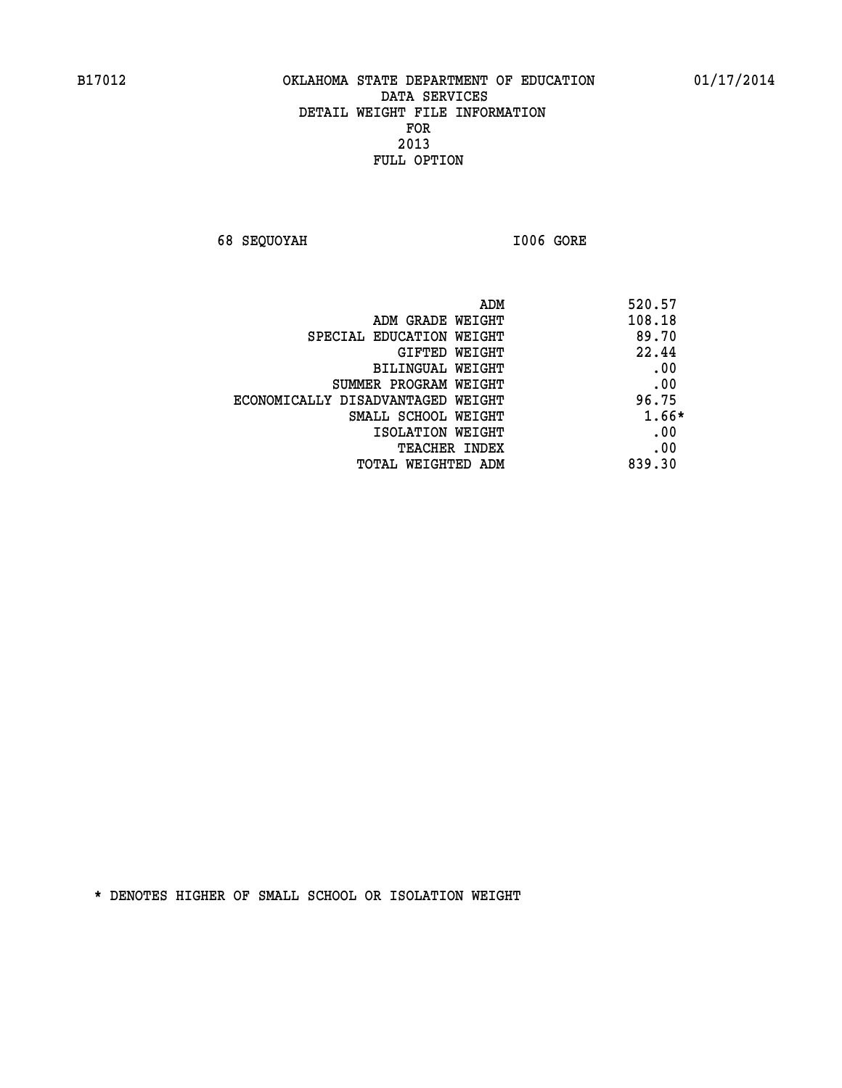**68 SEQUOYAH I006 GORE** 

|                                   | 520.57<br>ADM |
|-----------------------------------|---------------|
| ADM GRADE WEIGHT                  | 108.18        |
| SPECIAL EDUCATION WEIGHT          | 89.70         |
| GIFTED WEIGHT                     | 22.44         |
| BILINGUAL WEIGHT                  | .00           |
| SUMMER PROGRAM WEIGHT             | .00           |
| ECONOMICALLY DISADVANTAGED WEIGHT | 96.75         |
| SMALL SCHOOL WEIGHT               | 1.66*         |
| ISOLATION WEIGHT                  | .00           |
| TEACHER INDEX                     | .00           |
| TOTAL WEIGHTED ADM                | 839.30        |
|                                   |               |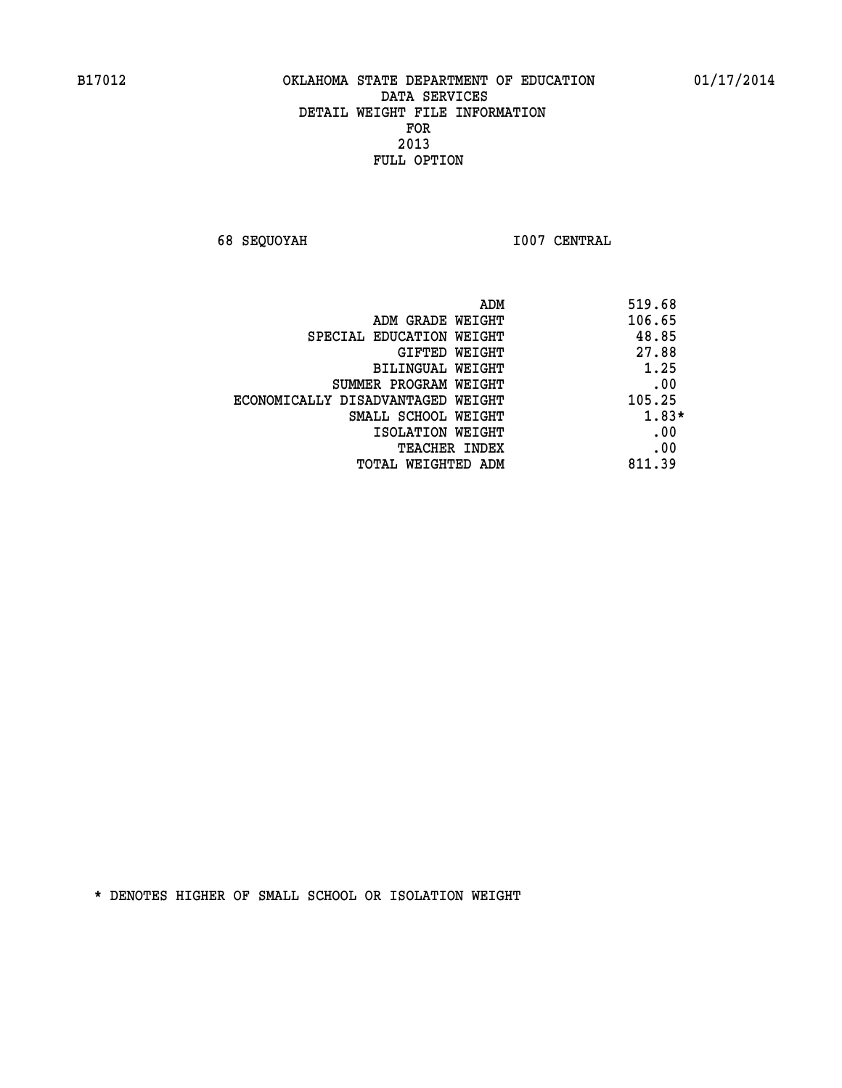**68 SEQUOYAH I007 CENTRAL** 

| ADM                               | 519.68 |
|-----------------------------------|--------|
| ADM GRADE WEIGHT                  | 106.65 |
| SPECIAL EDUCATION WEIGHT          | 48.85  |
| GIFTED WEIGHT                     | 27.88  |
| BILINGUAL WEIGHT                  | 1.25   |
| SUMMER PROGRAM WEIGHT             | .00    |
| ECONOMICALLY DISADVANTAGED WEIGHT | 105.25 |
| SMALL SCHOOL WEIGHT               | 1.83*  |
| ISOLATION WEIGHT                  | .00    |
| <b>TEACHER INDEX</b>              | .00    |
| TOTAL WEIGHTED ADM                | 811.39 |
|                                   |        |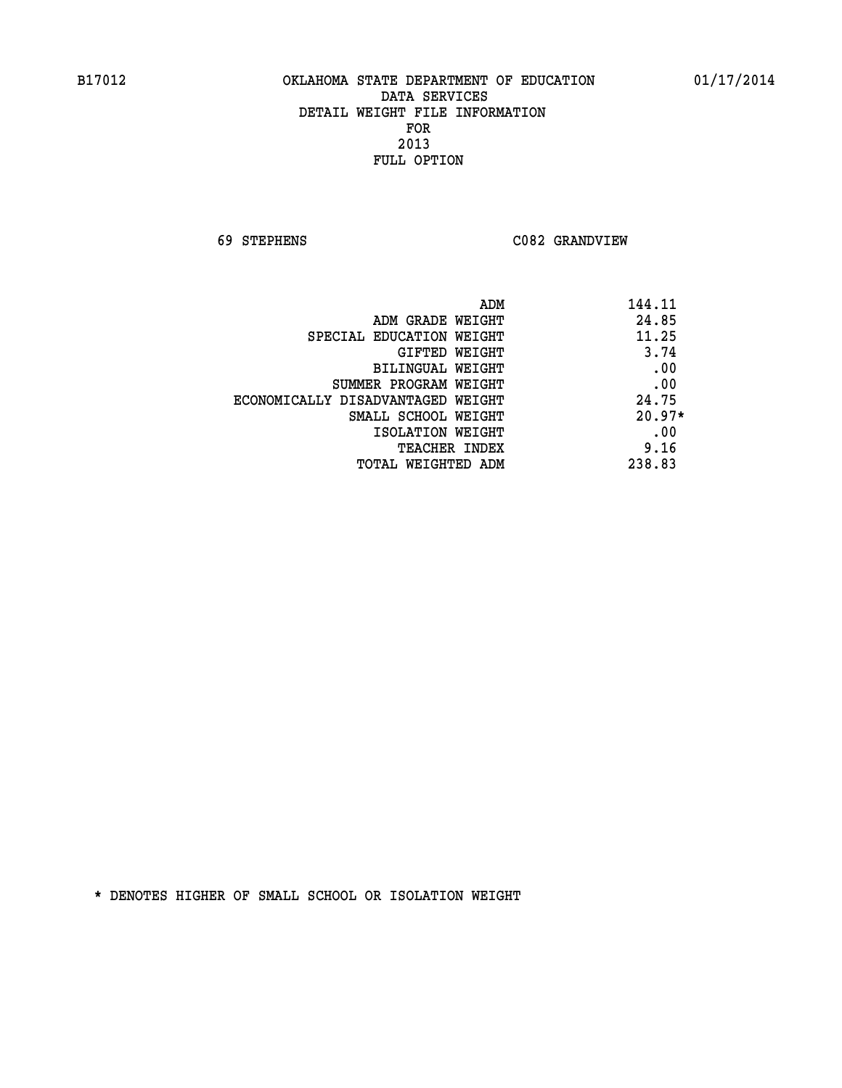**69 STEPHENS C082 GRANDVIEW** 

| ADM                               | 144.11   |
|-----------------------------------|----------|
| ADM GRADE WEIGHT                  | 24.85    |
| SPECIAL EDUCATION WEIGHT          | 11.25    |
| GIFTED WEIGHT                     | 3.74     |
| BILINGUAL WEIGHT                  | .00      |
| SUMMER PROGRAM WEIGHT             | .00      |
| ECONOMICALLY DISADVANTAGED WEIGHT | 24.75    |
| SMALL SCHOOL WEIGHT               | $20.97*$ |
| ISOLATION WEIGHT                  | .00      |
| <b>TEACHER INDEX</b>              | 9.16     |
| TOTAL WEIGHTED ADM                | 238.83   |
|                                   |          |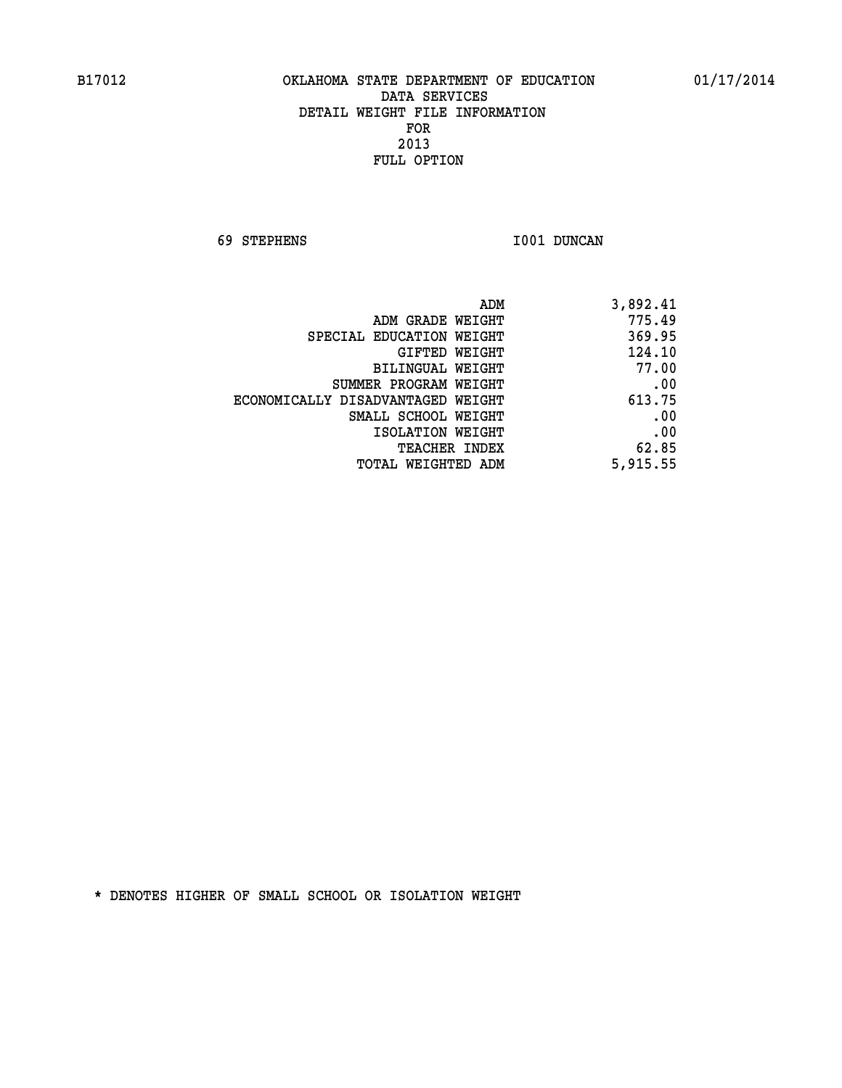**69 STEPHENS I001 DUNCAN** 

| 3,892.41 |
|----------|
| 775.49   |
| 369.95   |
| 124.10   |
| 77.00    |
| .00      |
| 613.75   |
| .00      |
| .00      |
| 62.85    |
| 5,915.55 |
|          |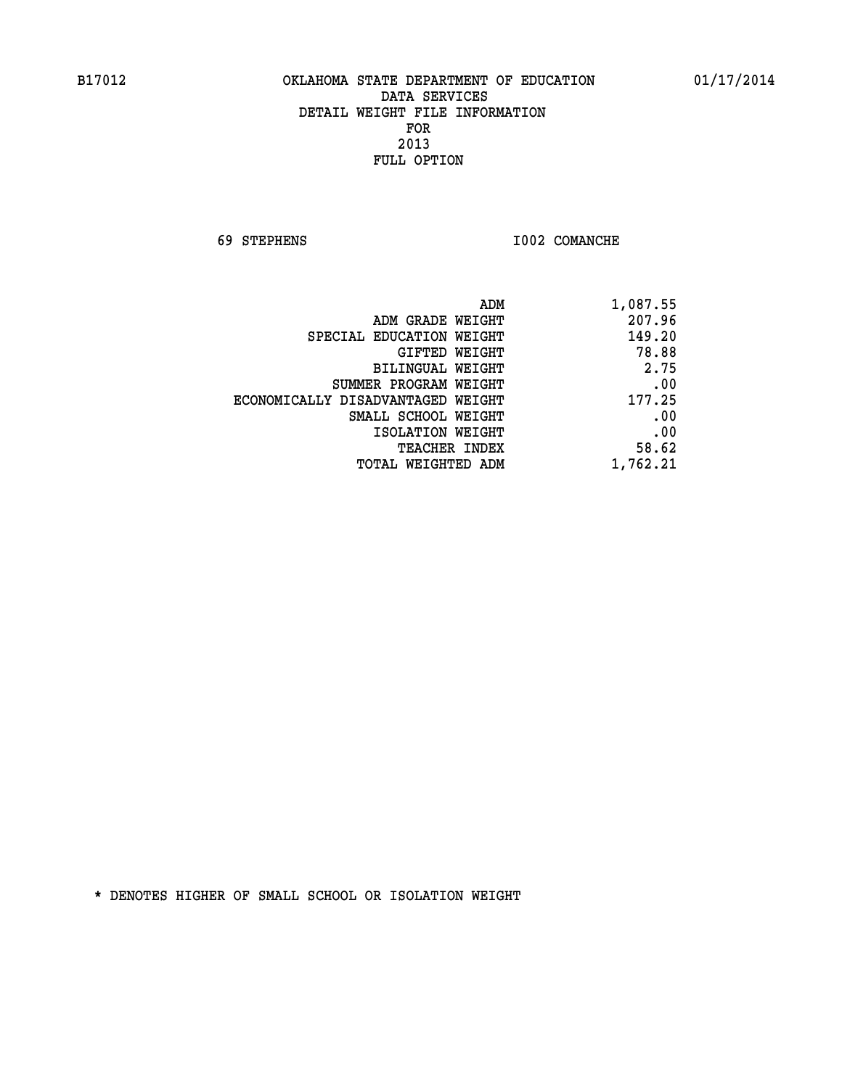**69 STEPHENS I002 COMANCHE** 

| 1,087.55 |
|----------|
| 207.96   |
| 149.20   |
| 78.88    |
| 2.75     |
| .00      |
| 177.25   |
| .00      |
| .00      |
| 58.62    |
| 1,762.21 |
|          |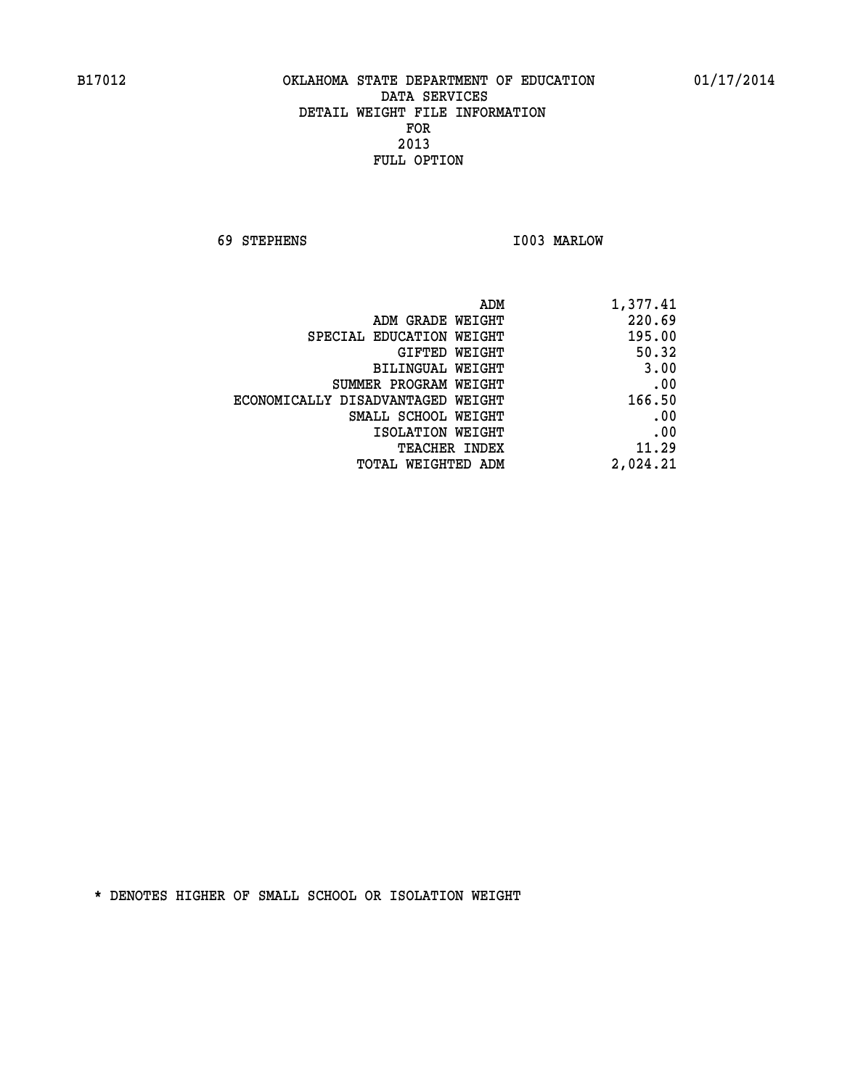**69 STEPHENS I003 MARLOW** 

| 1,377.41 |
|----------|
| 220.69   |
| 195.00   |
| 50.32    |
| 3.00     |
| .00      |
| 166.50   |
| .00      |
| .00      |
| 11.29    |
| 2,024.21 |
|          |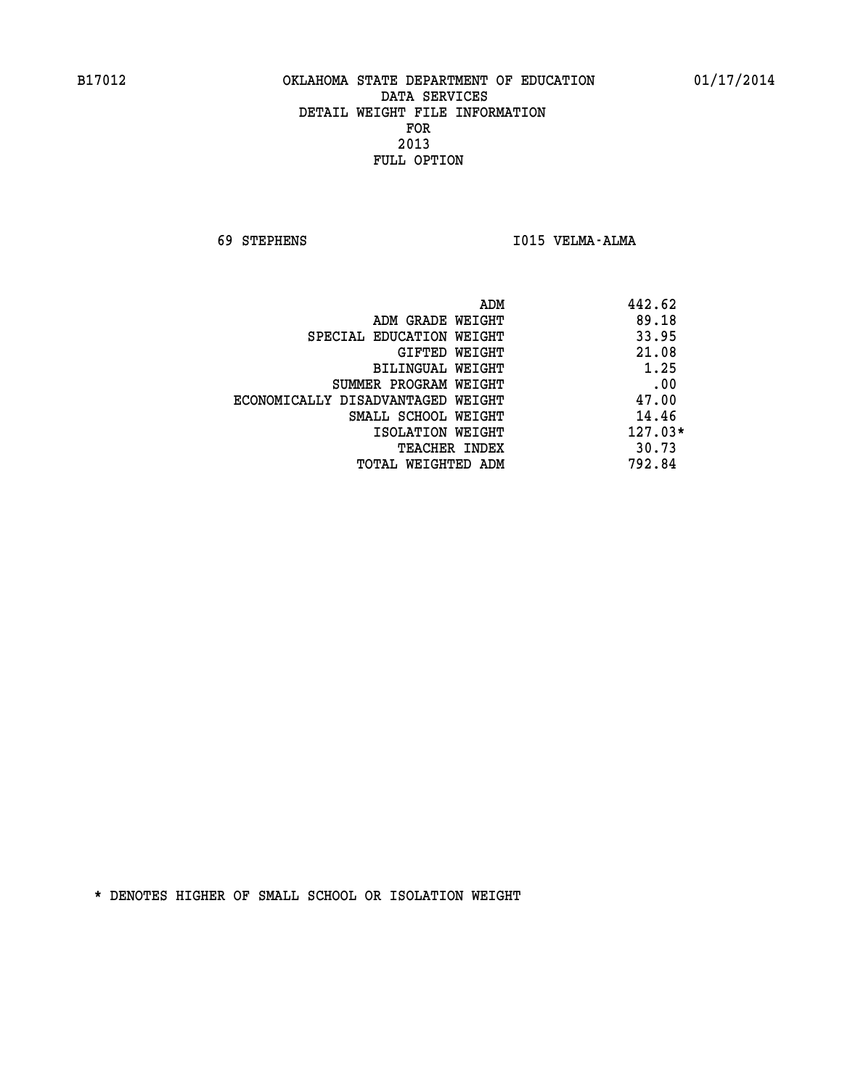**69 STEPHENS I015 VELMA-ALMA** 

|                                   | ADM | 442.62    |
|-----------------------------------|-----|-----------|
| ADM GRADE WEIGHT                  |     | 89.18     |
| SPECIAL EDUCATION WEIGHT          |     | 33.95     |
| GIFTED WEIGHT                     |     | 21.08     |
| BILINGUAL WEIGHT                  |     | 1.25      |
| SUMMER PROGRAM WEIGHT             |     | .00       |
| ECONOMICALLY DISADVANTAGED WEIGHT |     | 47.00     |
| SMALL SCHOOL WEIGHT               |     | 14.46     |
| ISOLATION WEIGHT                  |     | $127.03*$ |
| TEACHER INDEX                     |     | 30.73     |
| TOTAL WEIGHTED ADM                |     | 792.84    |
|                                   |     |           |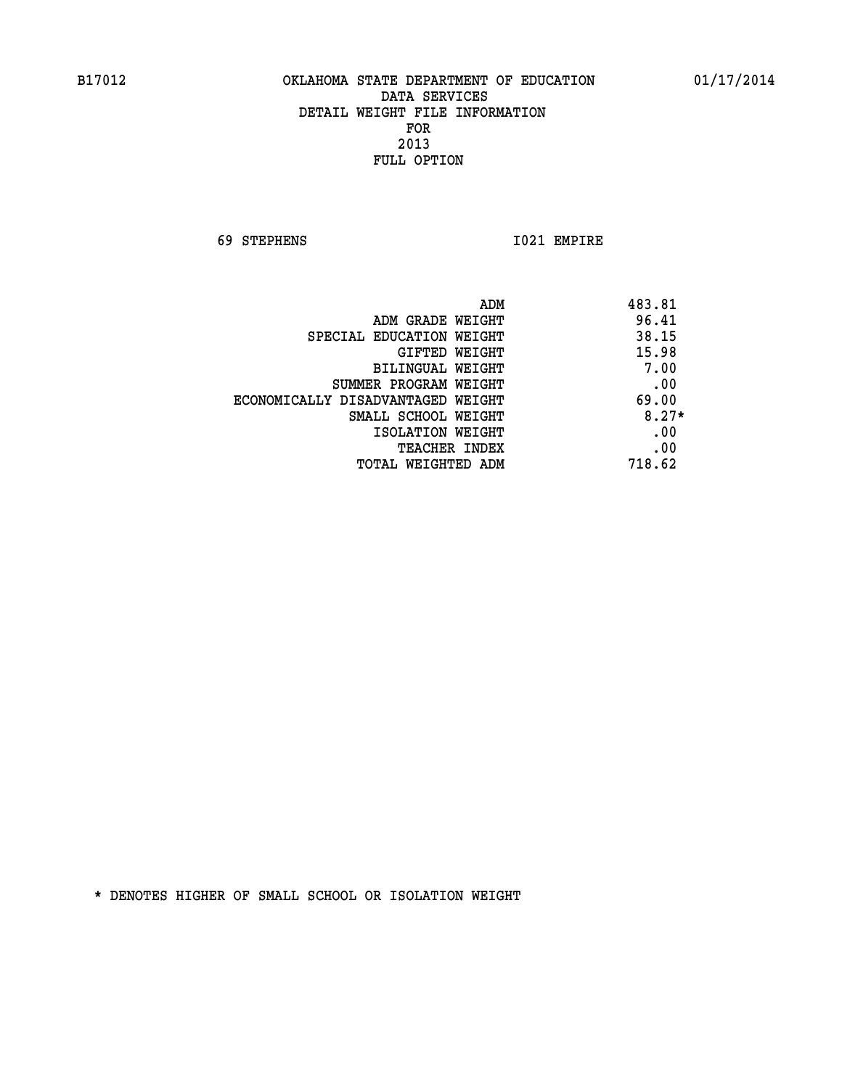**69 STEPHENS I021 EMPIRE** 

| ADM                               | 483.81  |
|-----------------------------------|---------|
| ADM GRADE WEIGHT                  | 96.41   |
| SPECIAL EDUCATION WEIGHT          | 38.15   |
| <b>GIFTED WEIGHT</b>              | 15.98   |
| BILINGUAL WEIGHT                  | 7.00    |
| SUMMER PROGRAM WEIGHT             | .00     |
| ECONOMICALLY DISADVANTAGED WEIGHT | 69.00   |
| SMALL SCHOOL WEIGHT               | $8.27*$ |
| ISOLATION WEIGHT                  | .00     |
| <b>TEACHER INDEX</b>              | .00     |
| TOTAL WEIGHTED ADM                | 718.62  |
|                                   |         |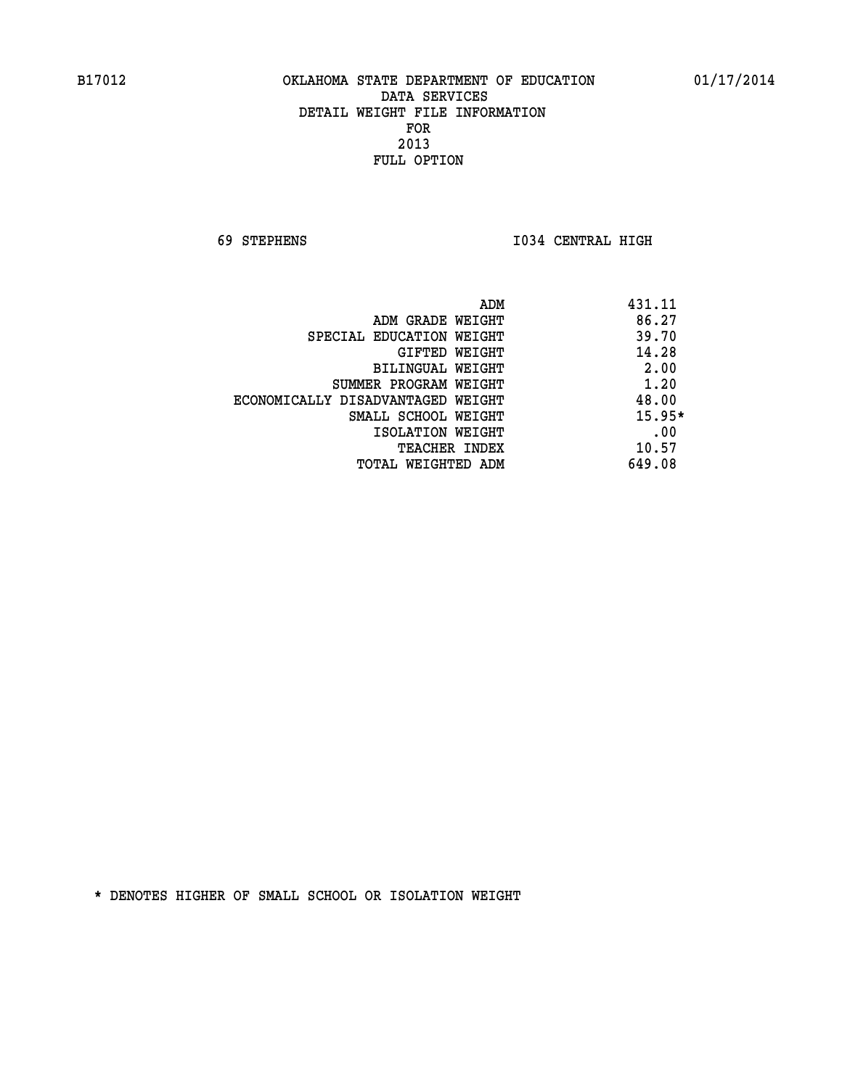**69 STEPHENS I034 CENTRAL HIGH** 

| ADM                               | 431.11   |
|-----------------------------------|----------|
| ADM GRADE WEIGHT                  | 86.27    |
| SPECIAL EDUCATION WEIGHT          | 39.70    |
| GIFTED WEIGHT                     | 14.28    |
| BILINGUAL WEIGHT                  | 2.00     |
| SUMMER PROGRAM WEIGHT             | 1.20     |
| ECONOMICALLY DISADVANTAGED WEIGHT | 48.00    |
| SMALL SCHOOL WEIGHT               | $15.95*$ |
| ISOLATION WEIGHT                  | .00      |
| <b>TEACHER INDEX</b>              | 10.57    |
| TOTAL WEIGHTED ADM                | 649.08   |
|                                   |          |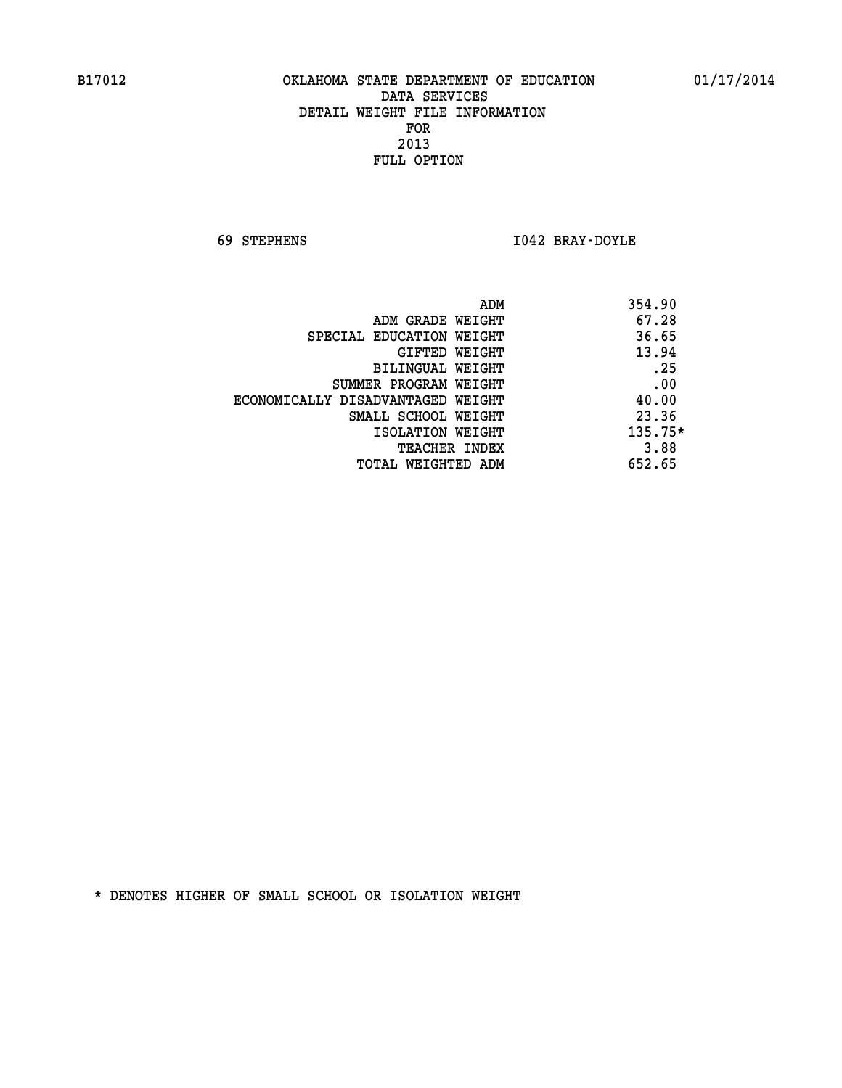**69 STEPHENS I042 BRAY-DOYLE** 

| ADM                               | 354.90    |
|-----------------------------------|-----------|
| ADM GRADE WEIGHT                  | 67.28     |
| SPECIAL EDUCATION WEIGHT          | 36.65     |
| GIFTED WEIGHT                     | 13.94     |
| BILINGUAL WEIGHT                  | .25       |
| SUMMER PROGRAM WEIGHT             | .00       |
| ECONOMICALLY DISADVANTAGED WEIGHT | 40.00     |
| SMALL SCHOOL WEIGHT               | 23.36     |
| ISOLATION WEIGHT                  | $135.75*$ |
| TEACHER INDEX                     | 3.88      |
| TOTAL WEIGHTED ADM                | 652.65    |
|                                   |           |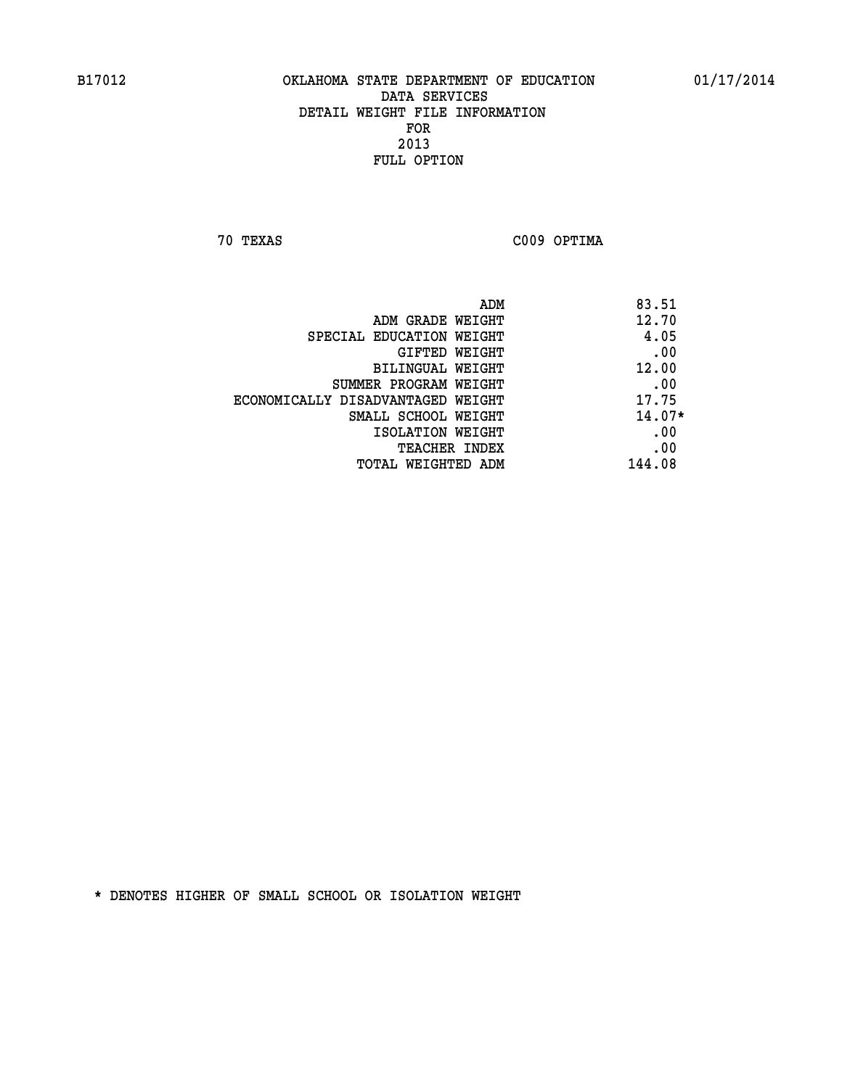**70 TEXAS C009 OPTIMA** 

| ADM                               | 83.51    |
|-----------------------------------|----------|
| ADM GRADE WEIGHT                  | 12.70    |
| SPECIAL EDUCATION WEIGHT          | 4.05     |
| GIFTED WEIGHT                     | .00      |
| BILINGUAL WEIGHT                  | 12.00    |
| SUMMER PROGRAM WEIGHT             | .00      |
| ECONOMICALLY DISADVANTAGED WEIGHT | 17.75    |
| SMALL SCHOOL WEIGHT               | $14.07*$ |
| ISOLATION WEIGHT                  | .00      |
| <b>TEACHER INDEX</b>              | .00      |
| TOTAL WEIGHTED ADM                | 144.08   |
|                                   |          |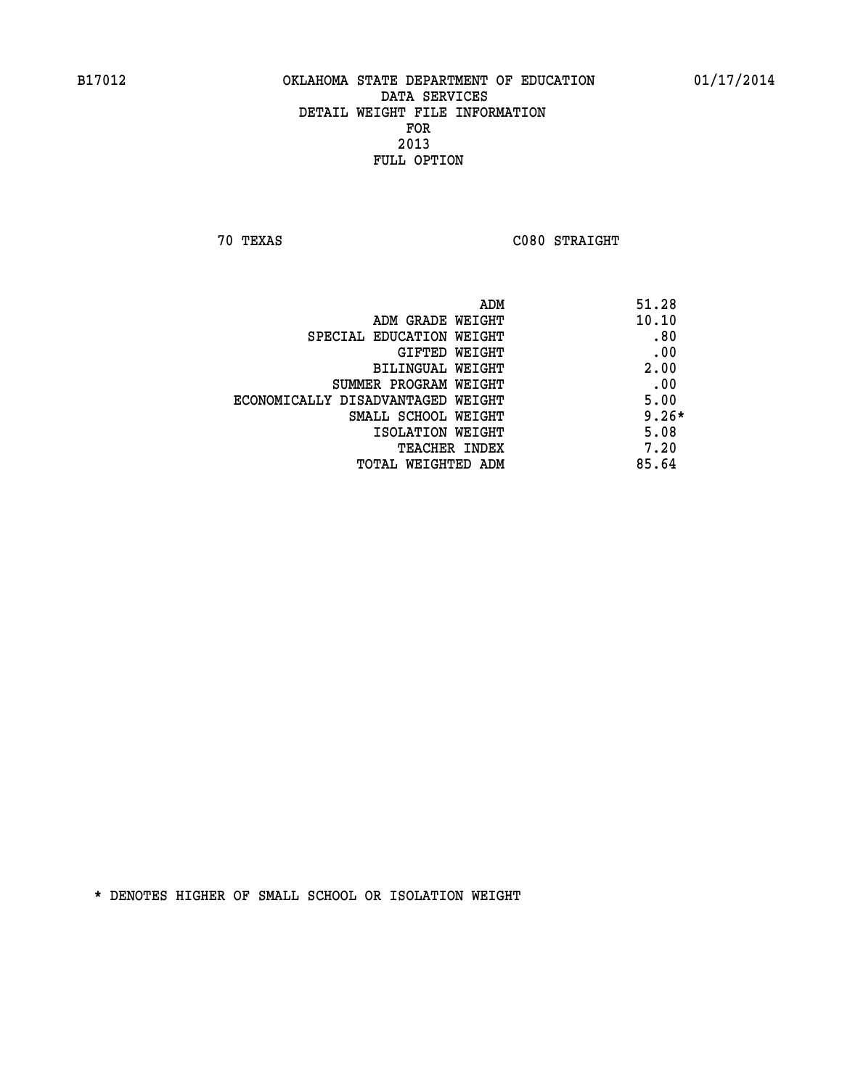**70 TEXAS C080 STRAIGHT** 

| ADM                               | 51.28   |
|-----------------------------------|---------|
| ADM GRADE WEIGHT                  | 10.10   |
| SPECIAL EDUCATION WEIGHT          | .80     |
| GIFTED WEIGHT                     | .00     |
| BILINGUAL WEIGHT                  | 2.00    |
| SUMMER PROGRAM WEIGHT             | .00     |
| ECONOMICALLY DISADVANTAGED WEIGHT | 5.00    |
| SMALL SCHOOL WEIGHT               | $9.26*$ |
| ISOLATION WEIGHT                  | 5.08    |
| <b>TEACHER INDEX</b>              | 7.20    |
| TOTAL WEIGHTED ADM                | 85.64   |
|                                   |         |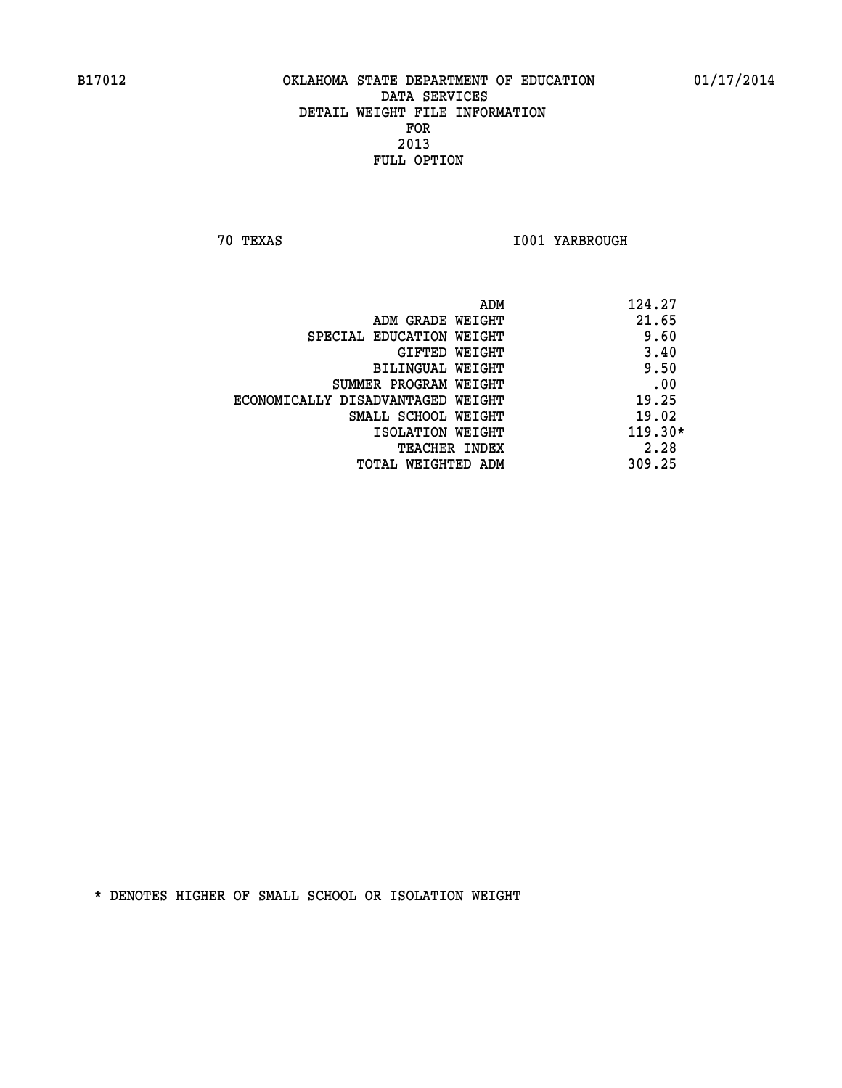**70 TEXAS I001 YARBROUGH** 

|                                   | ADM | 124.27    |
|-----------------------------------|-----|-----------|
| ADM GRADE WEIGHT                  |     | 21.65     |
| SPECIAL EDUCATION WEIGHT          |     | 9.60      |
| GIFTED WEIGHT                     |     | 3.40      |
| BILINGUAL WEIGHT                  |     | 9.50      |
| SUMMER PROGRAM WEIGHT             |     | .00       |
| ECONOMICALLY DISADVANTAGED WEIGHT |     | 19.25     |
| SMALL SCHOOL WEIGHT               |     | 19.02     |
| ISOLATION WEIGHT                  |     | $119.30*$ |
| TEACHER INDEX                     |     | 2.28      |
| TOTAL WEIGHTED ADM                |     | 309.25    |
|                                   |     |           |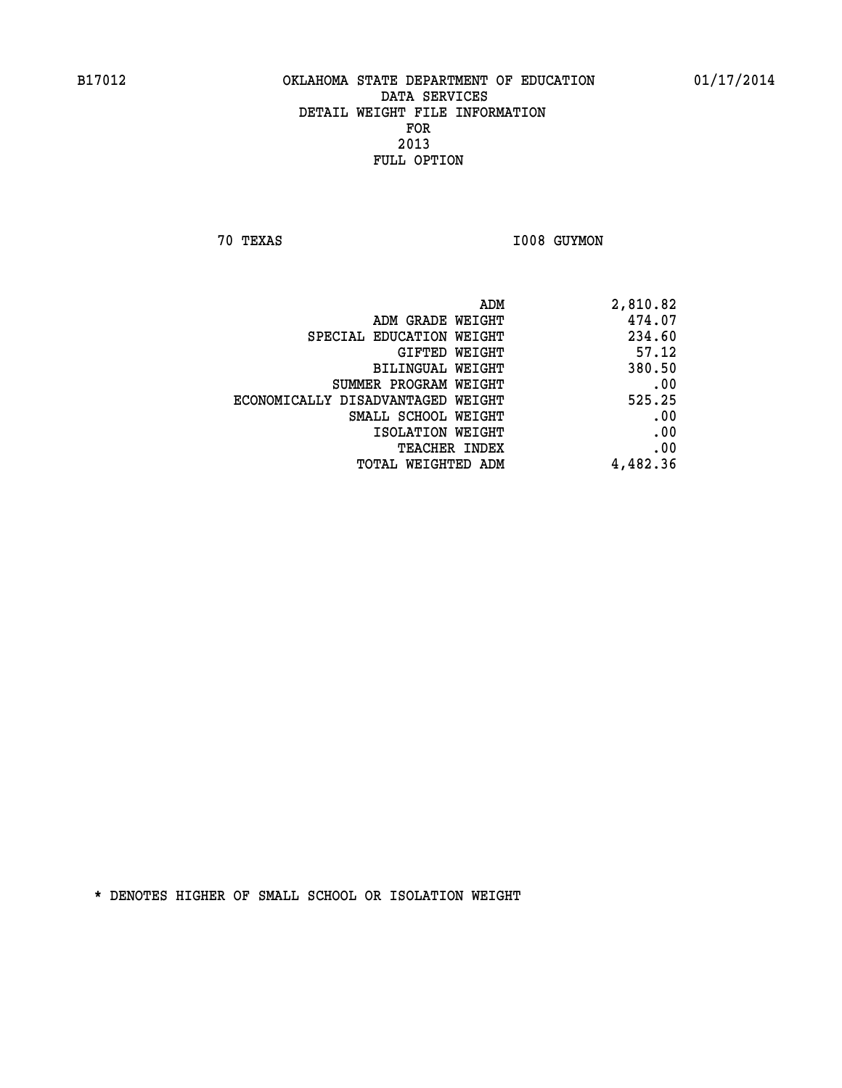**70 TEXAS 1008 GUYMON** 

| ADM                               | 2,810.82 |
|-----------------------------------|----------|
| ADM GRADE WEIGHT                  | 474.07   |
| SPECIAL EDUCATION WEIGHT          | 234.60   |
| GIFTED WEIGHT                     | 57.12    |
| BILINGUAL WEIGHT                  | 380.50   |
| SUMMER PROGRAM WEIGHT             | .00      |
| ECONOMICALLY DISADVANTAGED WEIGHT | 525.25   |
| SMALL SCHOOL WEIGHT               | .00      |
| ISOLATION WEIGHT                  | .00      |
| <b>TEACHER INDEX</b>              | .00      |
| TOTAL WEIGHTED ADM                | 4,482.36 |
|                                   |          |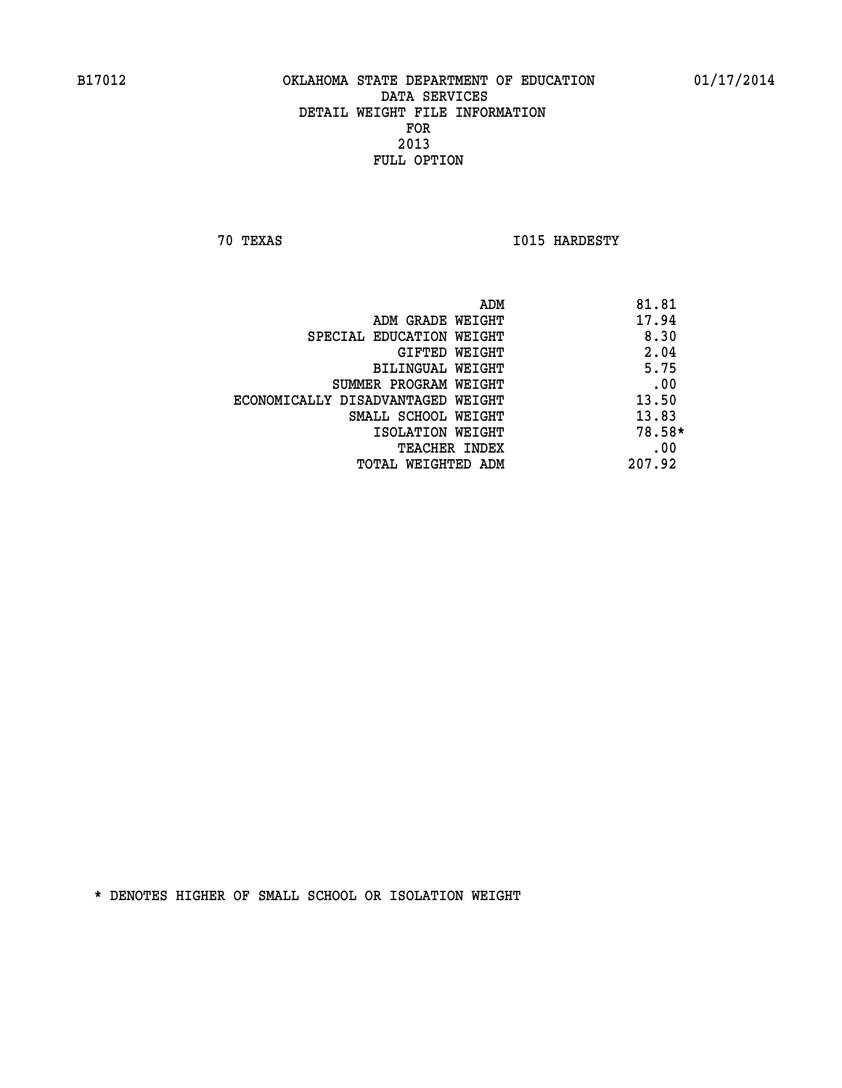**70 TEXAS I015 HARDESTY** 

|                                   | ADM    | 81.81  |
|-----------------------------------|--------|--------|
| ADM GRADE WEIGHT                  |        | 17.94  |
| SPECIAL EDUCATION WEIGHT          |        | 8.30   |
| GIFTED WEIGHT                     |        | 2.04   |
| <b>BILINGUAL WEIGHT</b>           |        | 5.75   |
| SUMMER PROGRAM WEIGHT             |        | .00    |
| ECONOMICALLY DISADVANTAGED WEIGHT |        | 13.50  |
| SMALL SCHOOL WEIGHT               |        | 13.83  |
| ISOLATION WEIGHT                  |        | 78.58* |
| <b>TEACHER INDEX</b>              |        | .00    |
| TOTAL WEIGHTED ADM                | 207.92 |        |
|                                   |        |        |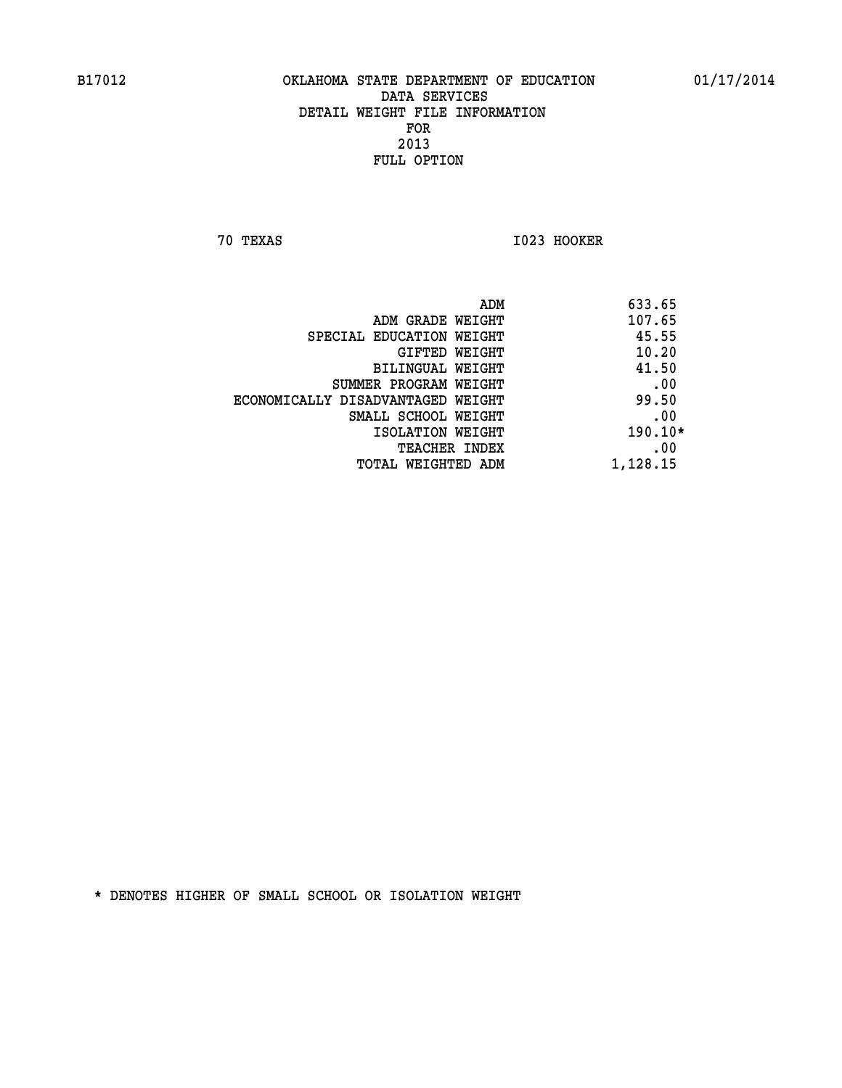**70 TEXAS I023 HOOKER** 

|                                   | ADM | 633.65   |
|-----------------------------------|-----|----------|
| ADM GRADE WEIGHT                  |     | 107.65   |
| SPECIAL EDUCATION WEIGHT          |     | 45.55    |
| GIFTED WEIGHT                     |     | 10.20    |
| BILINGUAL WEIGHT                  |     | 41.50    |
| SUMMER PROGRAM WEIGHT             |     | .00      |
| ECONOMICALLY DISADVANTAGED WEIGHT |     | 99.50    |
| SMALL SCHOOL WEIGHT               |     | .00      |
| ISOLATION WEIGHT                  |     | 190.10*  |
| TEACHER INDEX                     |     | .00      |
| TOTAL WEIGHTED ADM                |     | 1,128.15 |
|                                   |     |          |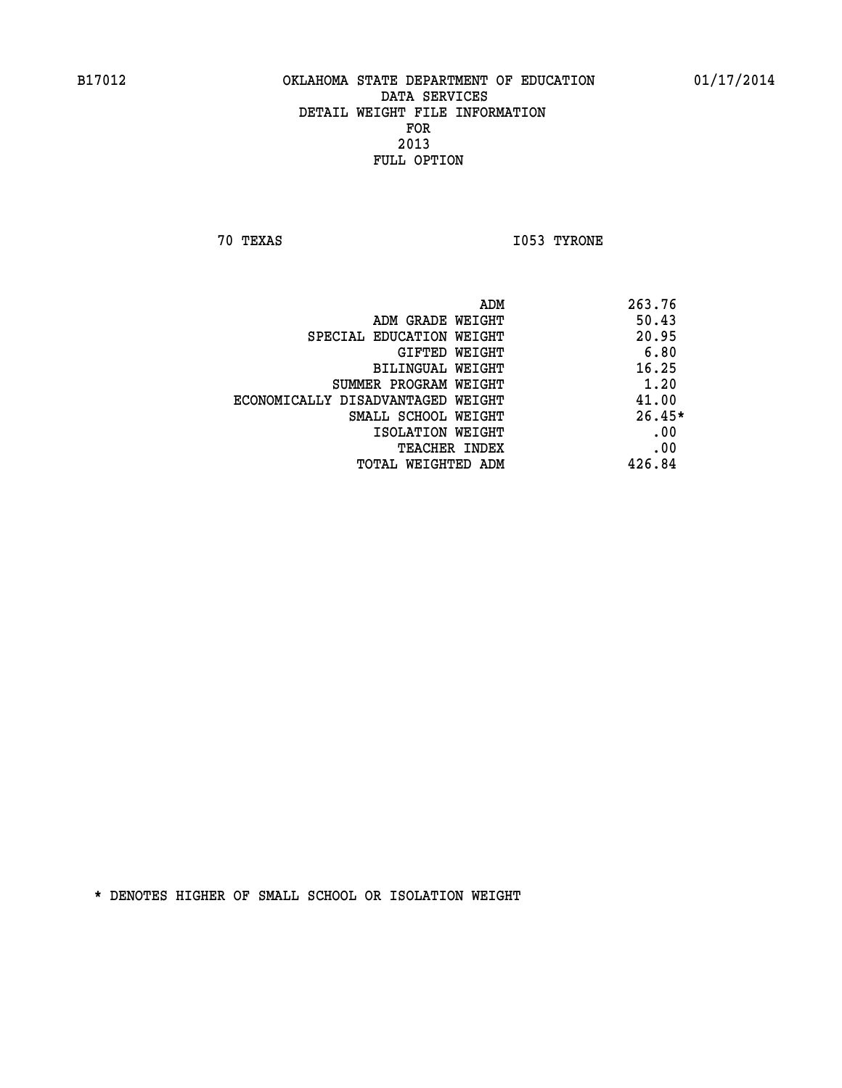**70 TEXAS I053 TYRONE** 

|                                   | ADM | 263.76   |
|-----------------------------------|-----|----------|
| ADM GRADE WEIGHT                  |     | 50.43    |
| SPECIAL EDUCATION WEIGHT          |     | 20.95    |
| GIFTED WEIGHT                     |     | 6.80     |
| BILINGUAL WEIGHT                  |     | 16.25    |
| SUMMER PROGRAM WEIGHT             |     | 1.20     |
| ECONOMICALLY DISADVANTAGED WEIGHT |     | 41.00    |
| SMALL SCHOOL WEIGHT               |     | $26.45*$ |
| ISOLATION WEIGHT                  |     | .00      |
| <b>TEACHER INDEX</b>              |     | .00      |
| TOTAL WEIGHTED ADM                |     | 426.84   |
|                                   |     |          |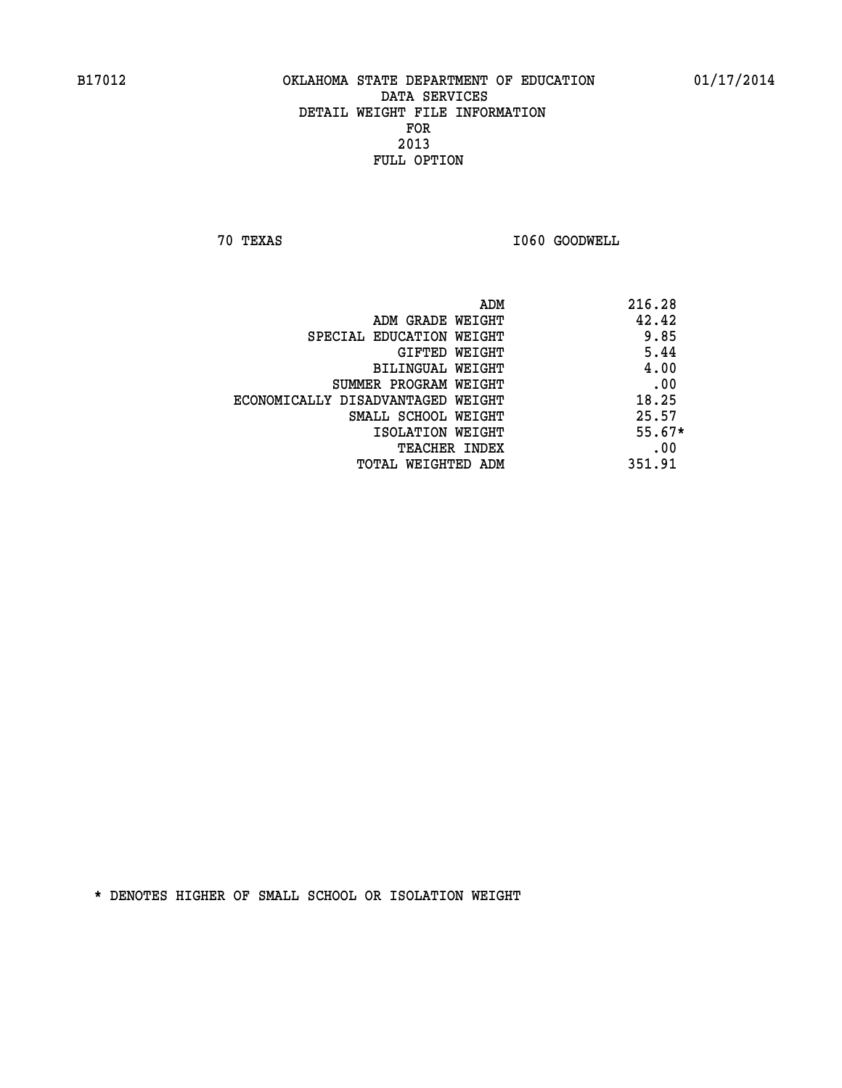**70 TEXAS I060 GOODWELL** 

|                                   | 216.28<br>ADM |
|-----------------------------------|---------------|
| ADM GRADE WEIGHT                  | 42.42         |
| SPECIAL EDUCATION WEIGHT          | 9.85          |
| GIFTED WEIGHT                     | 5.44          |
| BILINGUAL WEIGHT                  | 4.00          |
| SUMMER PROGRAM WEIGHT             | .00           |
| ECONOMICALLY DISADVANTAGED WEIGHT | 18.25         |
| SMALL SCHOOL WEIGHT               | 25.57         |
| ISOLATION WEIGHT                  | $55.67*$      |
| TEACHER INDEX                     | .00           |
| TOTAL WEIGHTED ADM                | 351.91        |
|                                   |               |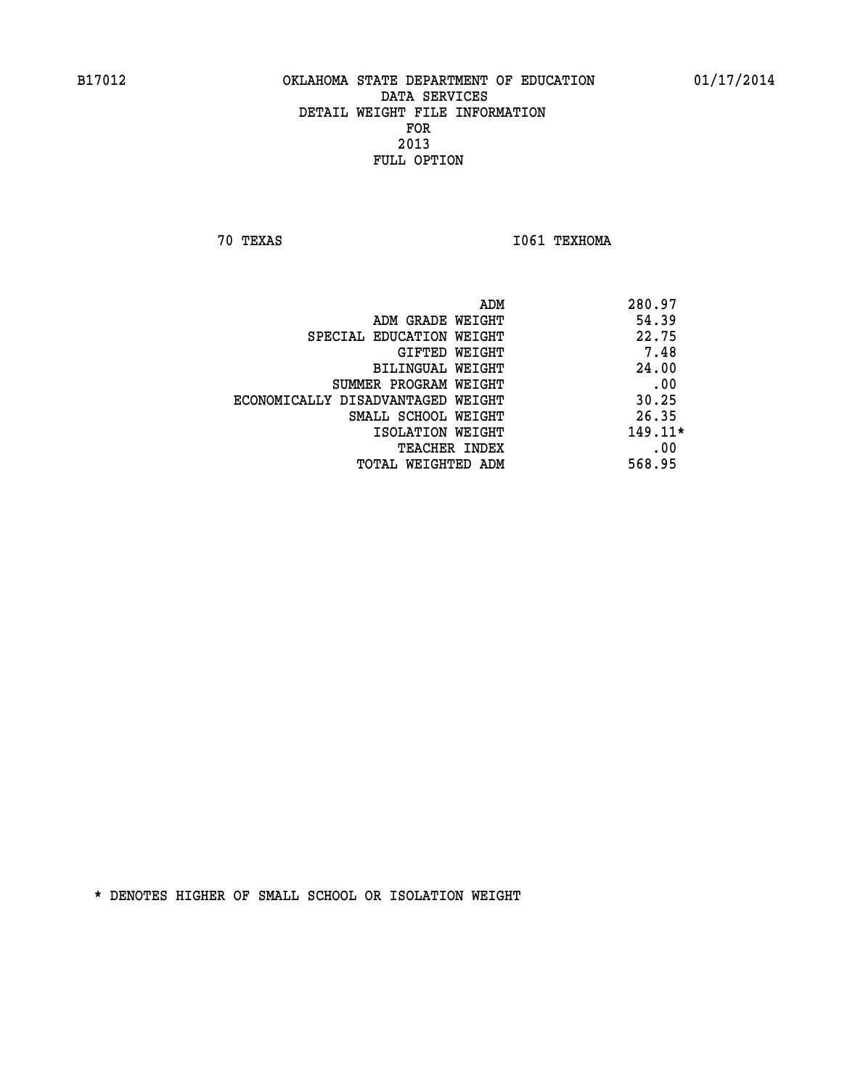**70 TEXAS I061 TEXHOMA** 

|                                   | ADM | 280.97    |
|-----------------------------------|-----|-----------|
| ADM GRADE WEIGHT                  |     | 54.39     |
| SPECIAL EDUCATION WEIGHT          |     | 22.75     |
| GIFTED WEIGHT                     |     | 7.48      |
| BILINGUAL WEIGHT                  |     | 24.00     |
| SUMMER PROGRAM WEIGHT             |     | .00       |
| ECONOMICALLY DISADVANTAGED WEIGHT |     | 30.25     |
| SMALL SCHOOL WEIGHT               |     | 26.35     |
| ISOLATION WEIGHT                  |     | $149.11*$ |
| TEACHER INDEX                     |     | .00       |
| TOTAL WEIGHTED ADM                |     | 568.95    |
|                                   |     |           |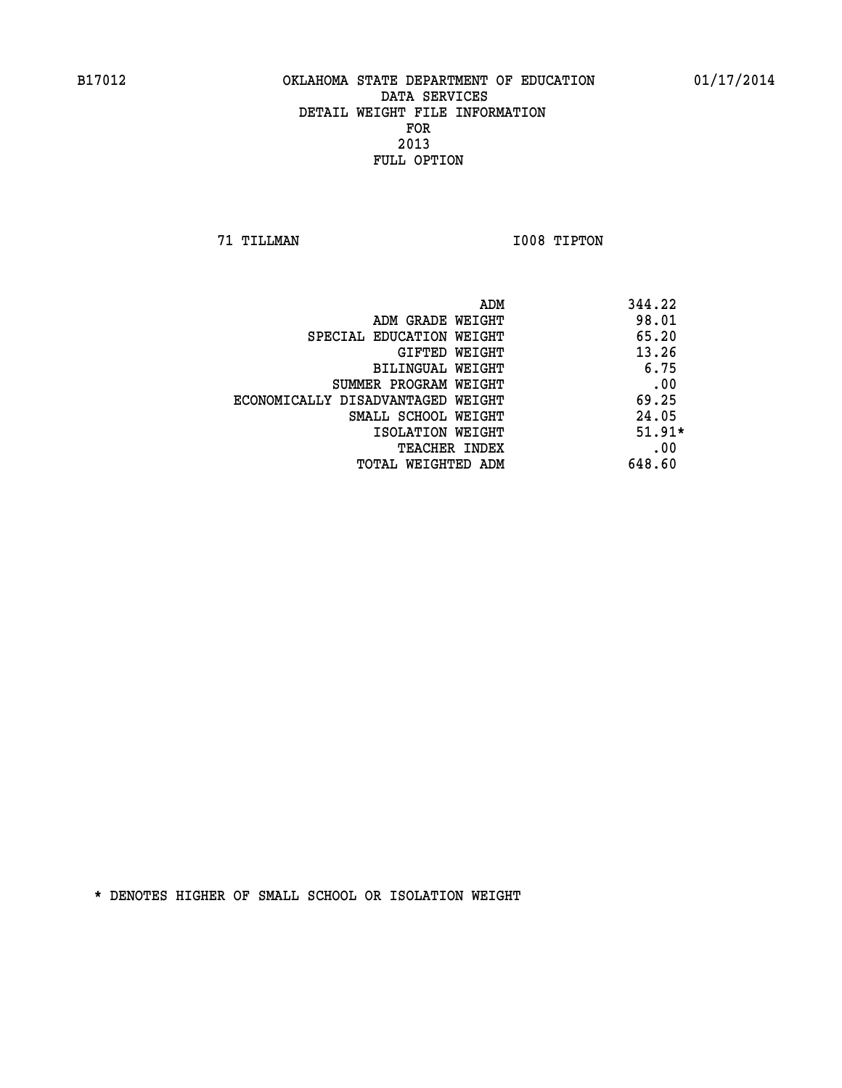**71 TILLMAN I008 TIPTON** 

|                                   | ADM | 344.22   |
|-----------------------------------|-----|----------|
| ADM GRADE WEIGHT                  |     | 98.01    |
| SPECIAL EDUCATION WEIGHT          |     | 65.20    |
| GIFTED WEIGHT                     |     | 13.26    |
| BILINGUAL WEIGHT                  |     | 6.75     |
| SUMMER PROGRAM WEIGHT             |     | .00      |
| ECONOMICALLY DISADVANTAGED WEIGHT |     | 69.25    |
| SMALL SCHOOL WEIGHT               |     | 24.05    |
| ISOLATION WEIGHT                  |     | $51.91*$ |
| <b>TEACHER INDEX</b>              |     | .00      |
| TOTAL WEIGHTED ADM                |     | 648.60   |
|                                   |     |          |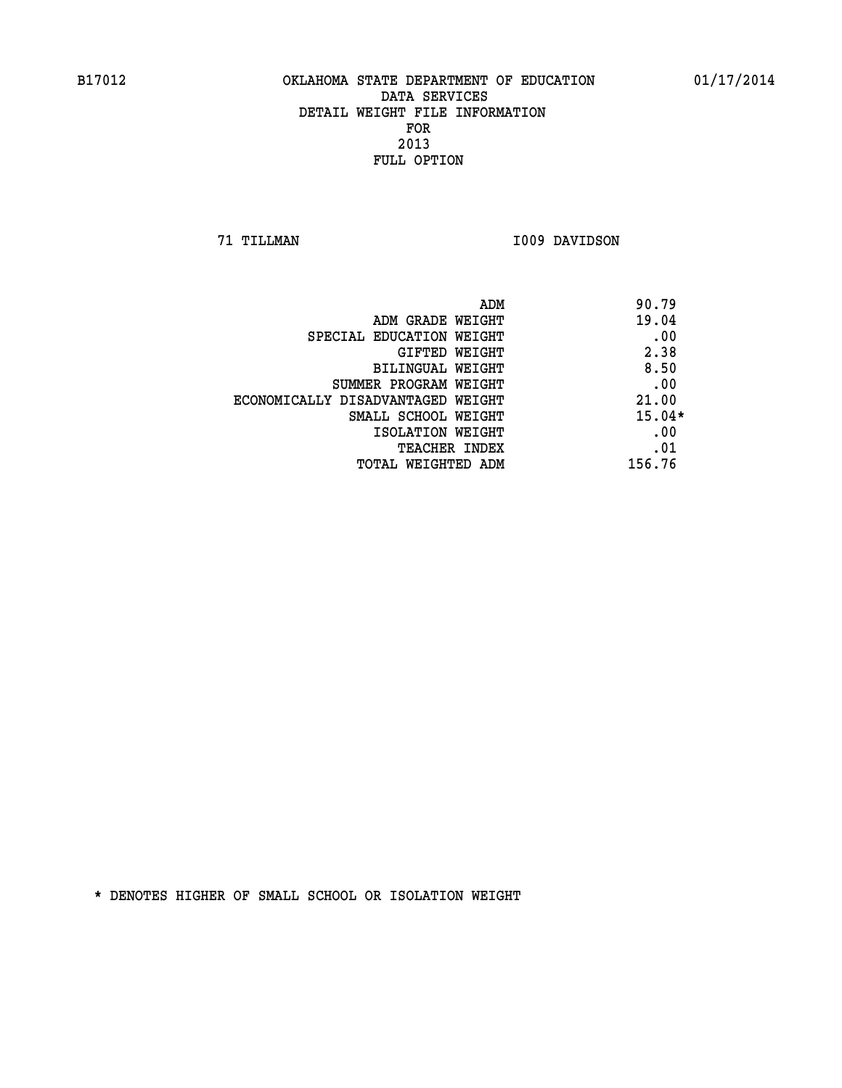**71 TILLMAN I009 DAVIDSON** 

| ADM                               | 90.79    |
|-----------------------------------|----------|
| ADM GRADE WEIGHT                  | 19.04    |
| SPECIAL EDUCATION WEIGHT          | .00      |
| <b>GIFTED WEIGHT</b>              | 2.38     |
| BILINGUAL WEIGHT                  | 8.50     |
| SUMMER PROGRAM WEIGHT             | .00      |
| ECONOMICALLY DISADVANTAGED WEIGHT | 21.00    |
| SMALL SCHOOL WEIGHT               | $15.04*$ |
| ISOLATION WEIGHT                  | .00      |
| <b>TEACHER INDEX</b>              | .01      |
| TOTAL WEIGHTED ADM                | 156.76   |
|                                   |          |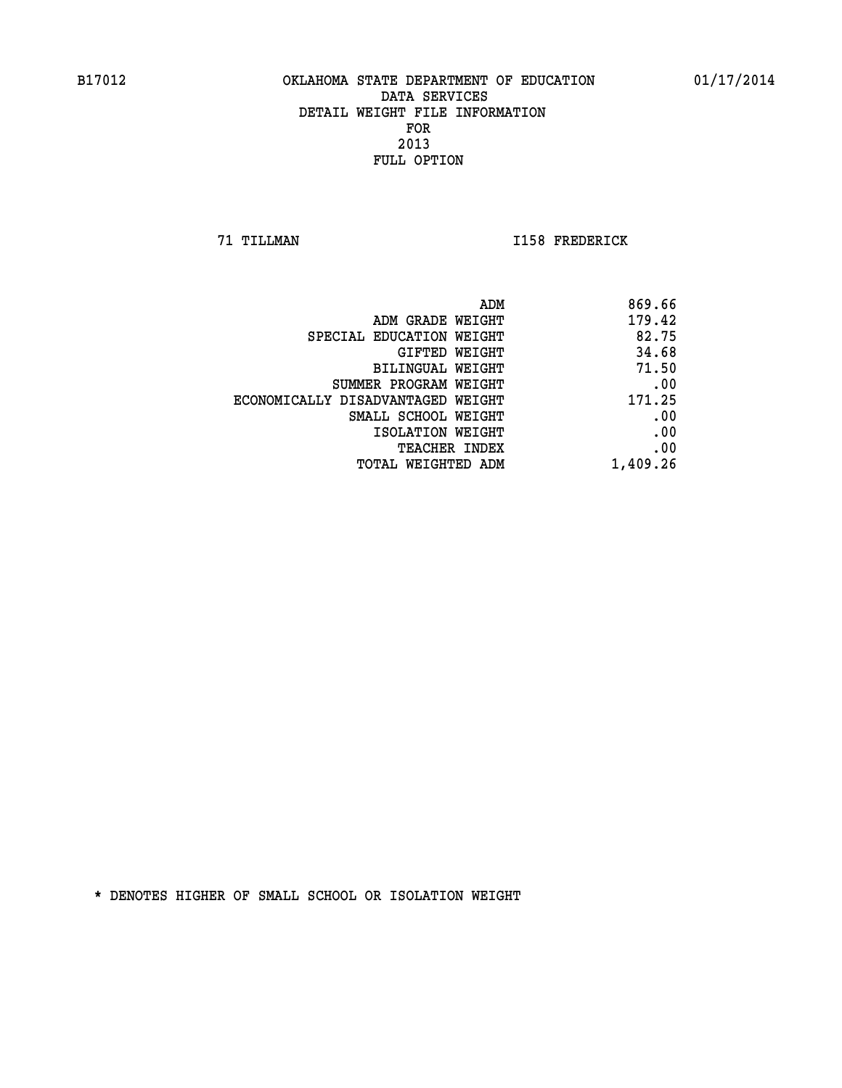**71 TILLMAN I158 FREDERICK** 

| 869.66   |
|----------|
| 179.42   |
| 82.75    |
| 34.68    |
| 71.50    |
| .00      |
| 171.25   |
| .00      |
| .00      |
| .00      |
| 1,409.26 |
|          |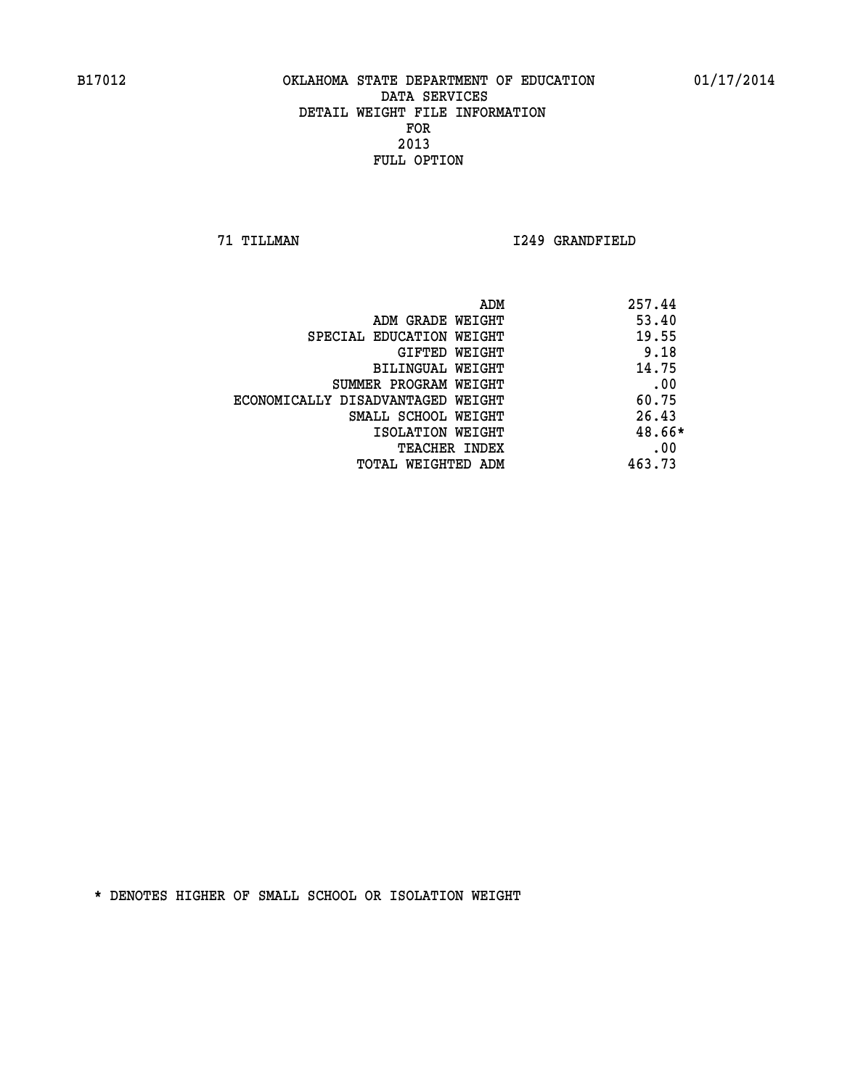**71 TILLMAN I249 GRANDFIELD** 

|                                   | ADM | 257.44 |
|-----------------------------------|-----|--------|
| ADM GRADE WEIGHT                  |     | 53.40  |
| SPECIAL EDUCATION WEIGHT          |     | 19.55  |
| GIFTED WEIGHT                     |     | 9.18   |
| BILINGUAL WEIGHT                  |     | 14.75  |
| SUMMER PROGRAM WEIGHT             |     | .00    |
| ECONOMICALLY DISADVANTAGED WEIGHT |     | 60.75  |
| SMALL SCHOOL WEIGHT               |     | 26.43  |
| ISOLATION WEIGHT                  |     | 48.66* |
| <b>TEACHER INDEX</b>              |     | .00    |
| TOTAL WEIGHTED ADM                |     | 463.73 |
|                                   |     |        |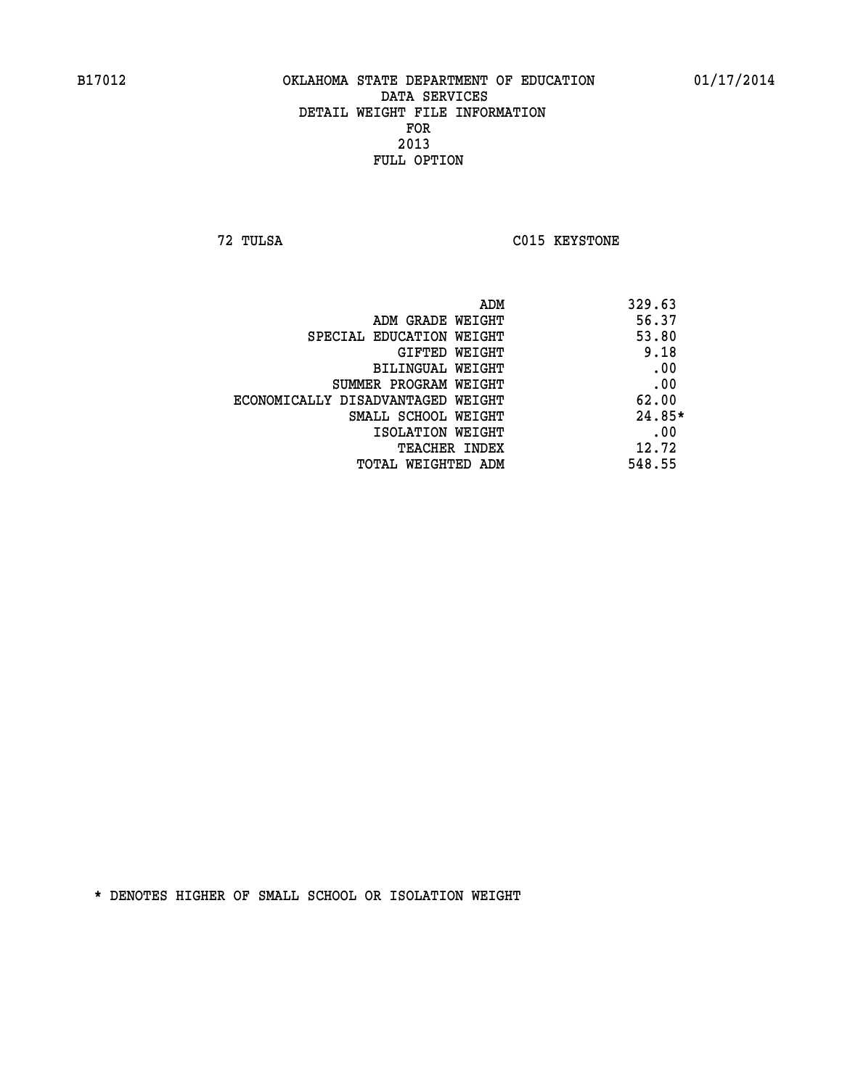**72 TULSA C015 KEYSTONE** 

| ADM                               | 329.63   |
|-----------------------------------|----------|
| ADM GRADE WEIGHT                  | 56.37    |
| SPECIAL EDUCATION WEIGHT          | 53.80    |
| GIFTED WEIGHT                     | 9.18     |
| BILINGUAL WEIGHT                  | .00      |
| SUMMER PROGRAM WEIGHT             | .00      |
| ECONOMICALLY DISADVANTAGED WEIGHT | 62.00    |
| SMALL SCHOOL WEIGHT               | $24.85*$ |
| ISOLATION WEIGHT                  | .00      |
| <b>TEACHER INDEX</b>              | 12.72    |
| TOTAL WEIGHTED ADM                | 548.55   |
|                                   |          |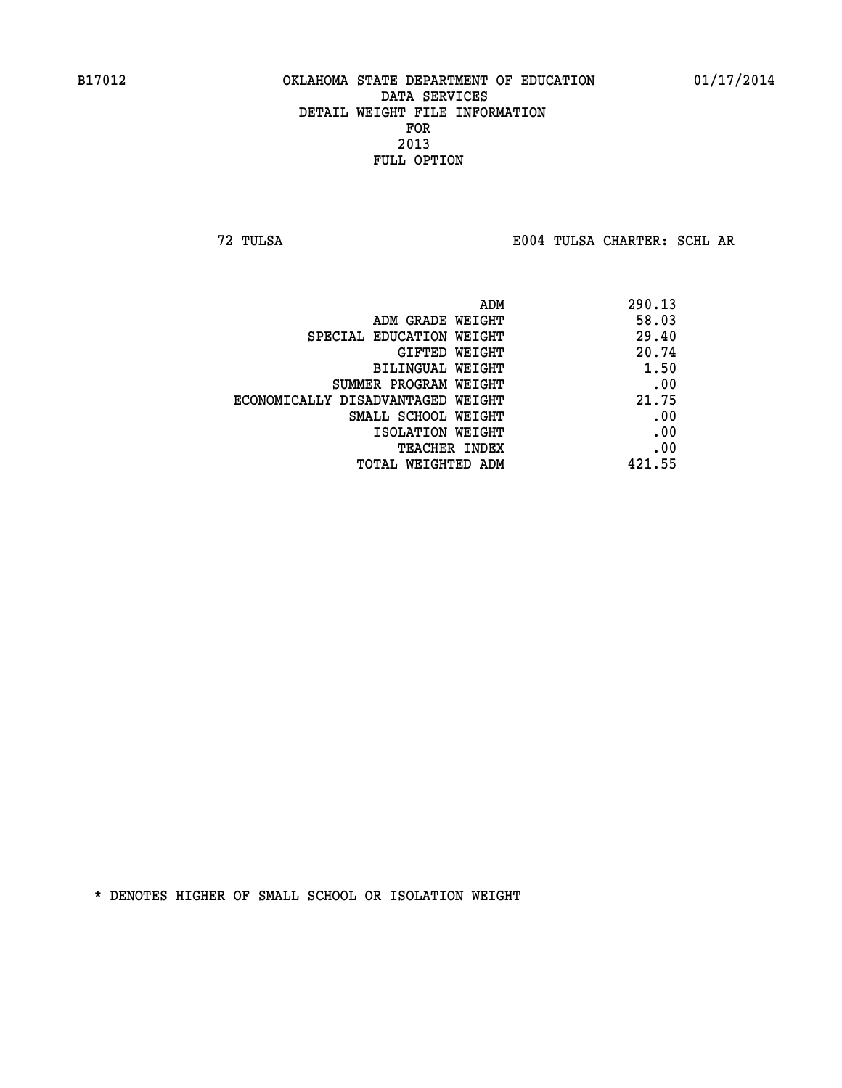**72 TULSA E004 TULSA CHARTER: SCHL AR**

| ADM                               | 290.13 |
|-----------------------------------|--------|
| ADM GRADE WEIGHT                  | 58.03  |
| SPECIAL EDUCATION WEIGHT          | 29.40  |
| GIFTED WEIGHT                     | 20.74  |
| BILINGUAL WEIGHT                  | 1.50   |
| SUMMER PROGRAM WEIGHT             | .00    |
| ECONOMICALLY DISADVANTAGED WEIGHT | 21.75  |
| SMALL SCHOOL WEIGHT               | .00    |
| ISOLATION WEIGHT                  | .00    |
| <b>TEACHER INDEX</b>              | .00    |
| TOTAL WEIGHTED ADM                | 421.55 |
|                                   |        |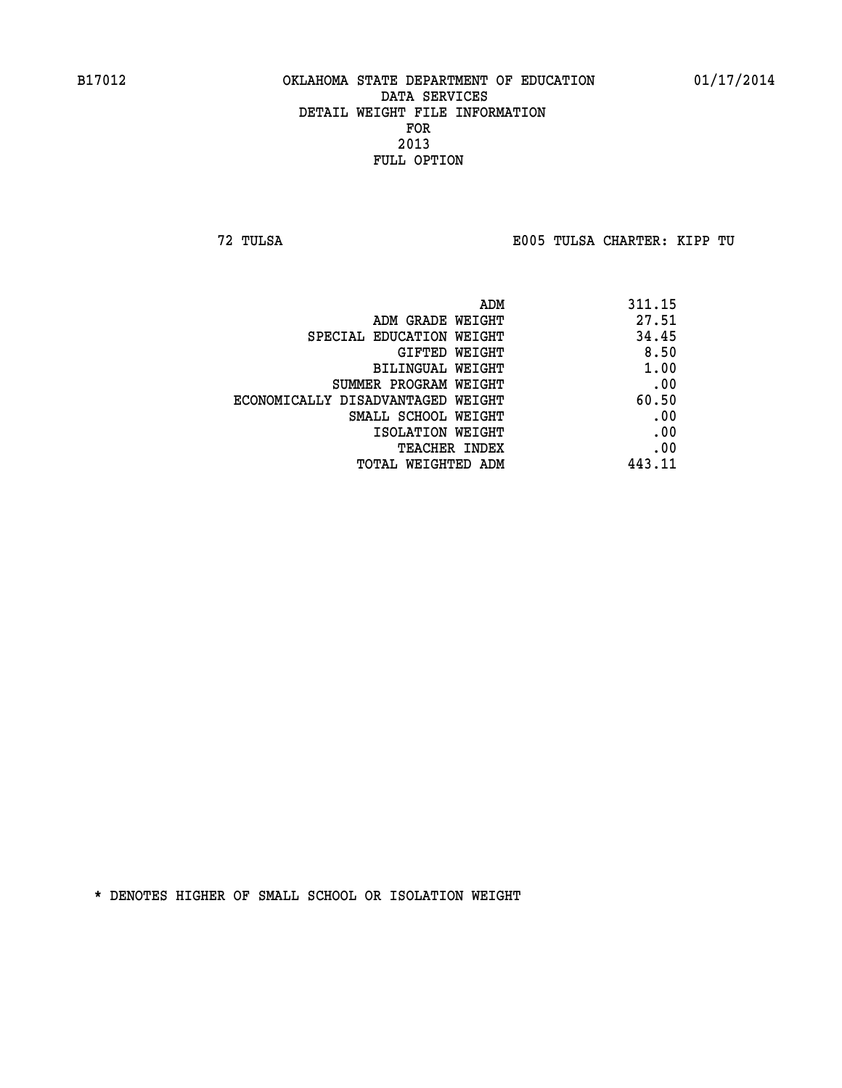**72 TULSA E005 TULSA CHARTER: KIPP TU**

| ADM                               | 311.15 |
|-----------------------------------|--------|
| ADM GRADE WEIGHT                  | 27.51  |
| SPECIAL EDUCATION WEIGHT          | 34.45  |
| <b>GIFTED WEIGHT</b>              | 8.50   |
| BILINGUAL WEIGHT                  | 1.00   |
| SUMMER PROGRAM WEIGHT             | .00    |
| ECONOMICALLY DISADVANTAGED WEIGHT | 60.50  |
| SMALL SCHOOL WEIGHT               | .00    |
| ISOLATION WEIGHT                  | .00    |
| <b>TEACHER INDEX</b>              | .00    |
| TOTAL WEIGHTED ADM                | 443.11 |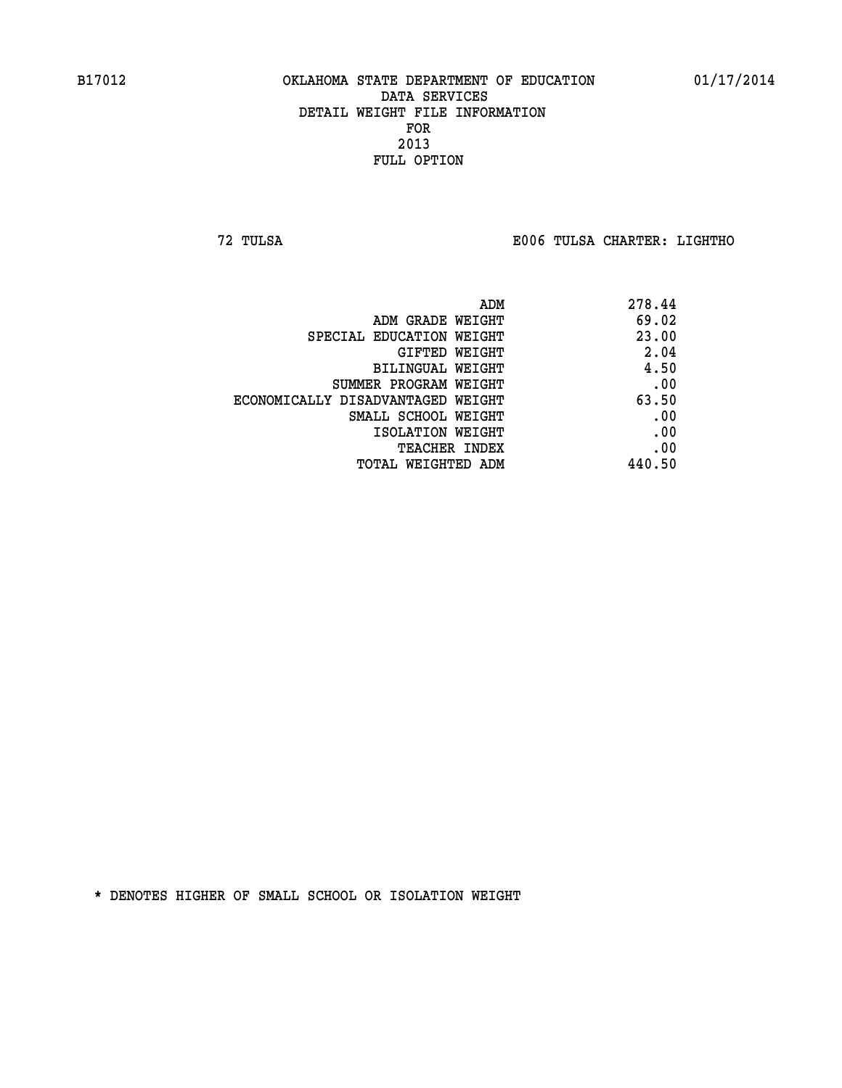**72 TULSA E006 TULSA CHARTER: LIGHTHO**

|                                   | 278.44<br>ADM |
|-----------------------------------|---------------|
| ADM GRADE WEIGHT                  | 69.02         |
| SPECIAL EDUCATION WEIGHT          | 23.00         |
| GIFTED WEIGHT                     | 2.04          |
| BILINGUAL WEIGHT                  | 4.50          |
| SUMMER PROGRAM WEIGHT             | .00           |
| ECONOMICALLY DISADVANTAGED WEIGHT | 63.50         |
| SMALL SCHOOL WEIGHT               | .00           |
| ISOLATION WEIGHT                  | .00           |
| TEACHER INDEX                     | .00           |
| TOTAL WEIGHTED ADM                | 440.50        |
|                                   |               |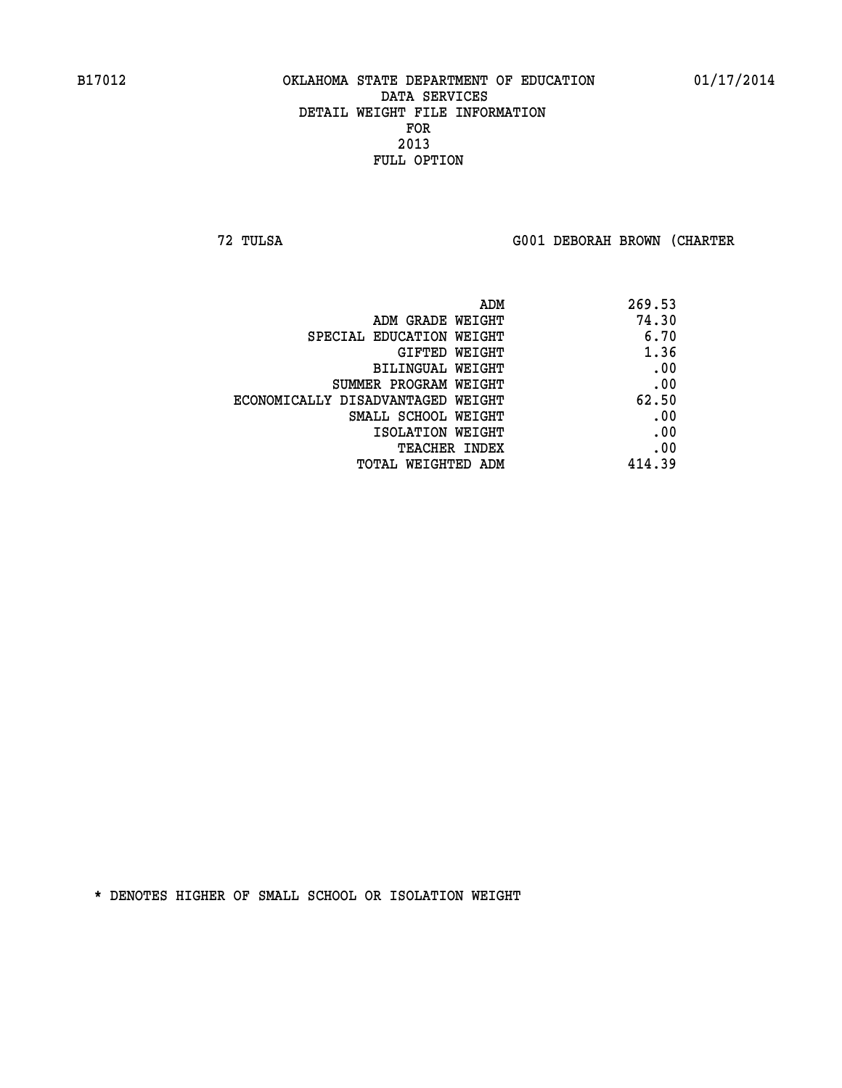**72 TULSA G001 DEBORAH BROWN (CHARTER**

| 269.53 |
|--------|
| 74.30  |
| 6.70   |
| 1.36   |
| .00    |
| .00    |
| 62.50  |
| .00    |
| .00    |
| .00    |
| 414.39 |
|        |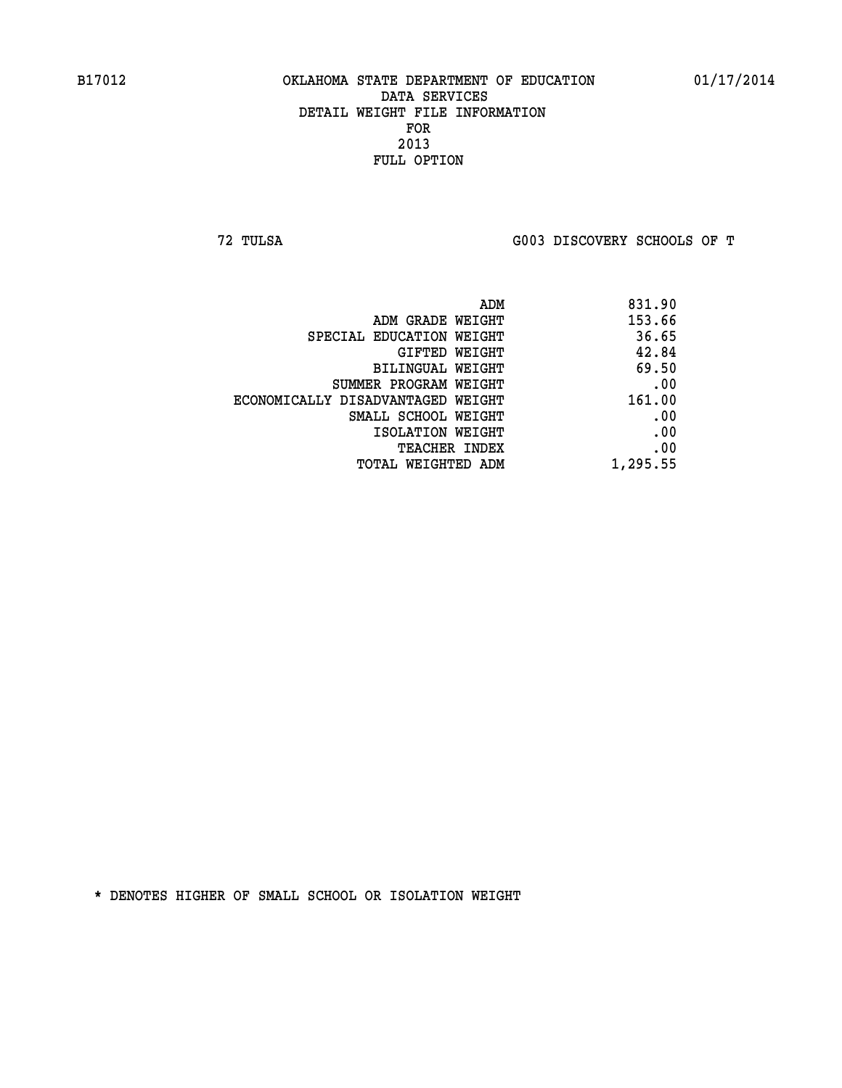**72 TULSA G003 DISCOVERY SCHOOLS OF T**

| ADM                               | 831.90   |
|-----------------------------------|----------|
| ADM GRADE WEIGHT                  | 153.66   |
| SPECIAL EDUCATION WEIGHT          | 36.65    |
| GIFTED WEIGHT                     | 42.84    |
| BILINGUAL WEIGHT                  | 69.50    |
| SUMMER PROGRAM WEIGHT             | .00      |
| ECONOMICALLY DISADVANTAGED WEIGHT | 161.00   |
| SMALL SCHOOL WEIGHT               | .00      |
| ISOLATION WEIGHT                  | .00      |
| TEACHER INDEX                     | .00      |
| TOTAL WEIGHTED ADM                | 1,295.55 |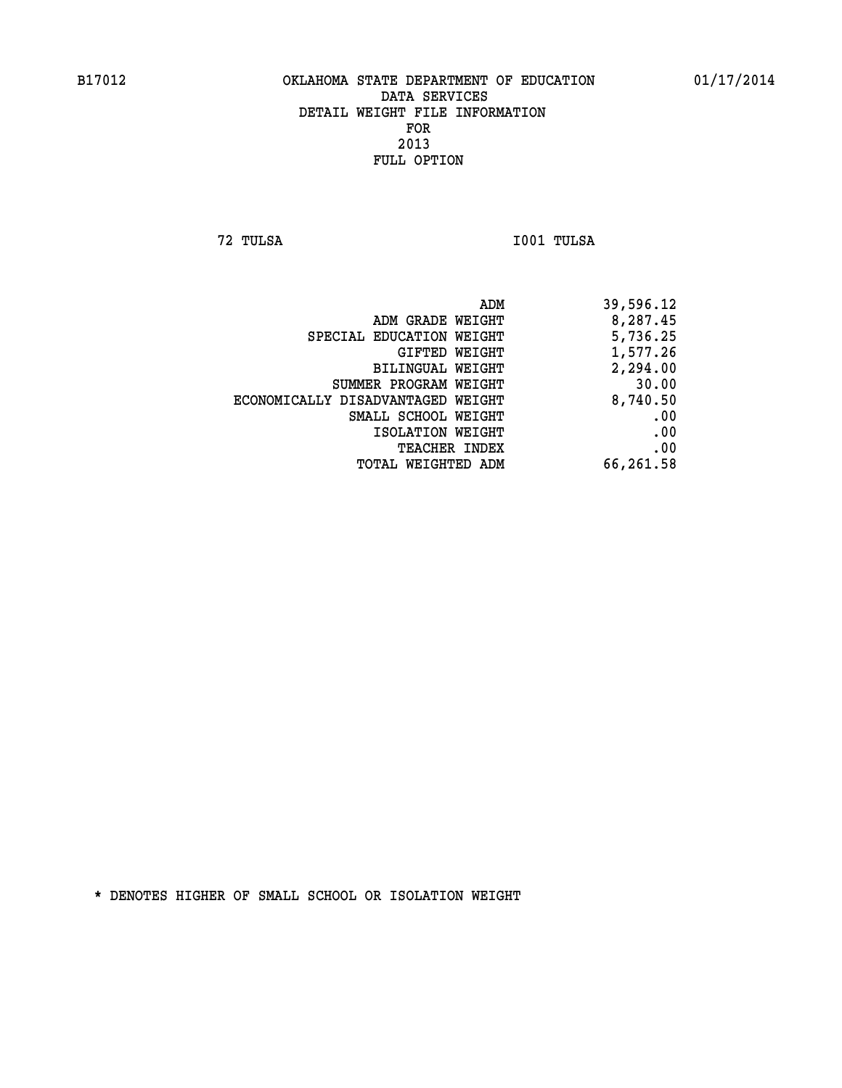**72 TULSA I001 TULSA** 

|                                   | ADM<br>39,596.12 |
|-----------------------------------|------------------|
| ADM GRADE WEIGHT                  | 8,287.45         |
| SPECIAL EDUCATION WEIGHT          | 5,736.25         |
| GIFTED WEIGHT                     | 1,577.26         |
| BILINGUAL WEIGHT                  | 2,294.00         |
| SUMMER PROGRAM WEIGHT             | 30.00            |
| ECONOMICALLY DISADVANTAGED WEIGHT | 8,740.50         |
| SMALL SCHOOL WEIGHT               | .00              |
| ISOLATION WEIGHT                  | .00              |
| <b>TEACHER INDEX</b>              | .00              |
| TOTAL WEIGHTED ADM                | 66,261.58        |
|                                   |                  |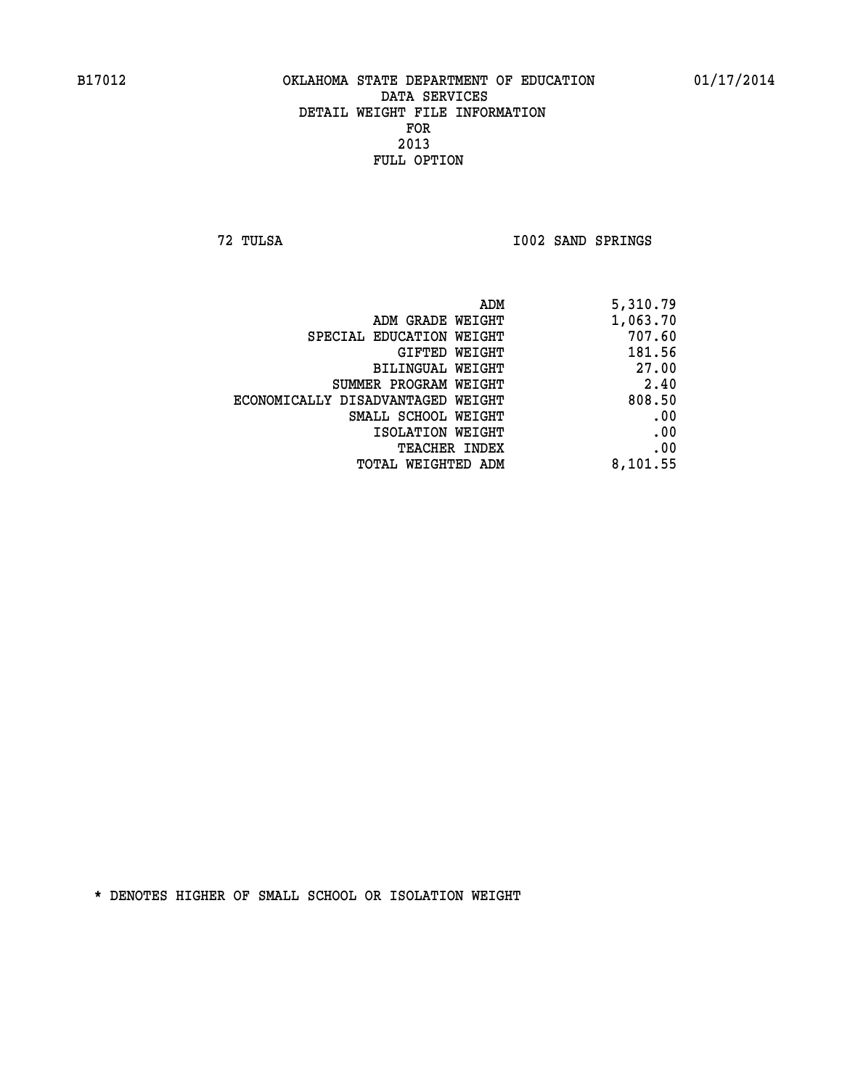**72 TULSA I002 SAND SPRINGS** 

| ADM                               | 5,310.79 |
|-----------------------------------|----------|
| ADM GRADE WEIGHT                  | 1,063.70 |
| SPECIAL EDUCATION WEIGHT          | 707.60   |
| GIFTED WEIGHT                     | 181.56   |
| BILINGUAL WEIGHT                  | 27.00    |
| SUMMER PROGRAM WEIGHT             | 2.40     |
| ECONOMICALLY DISADVANTAGED WEIGHT | 808.50   |
| SMALL SCHOOL WEIGHT               | .00      |
| ISOLATION WEIGHT                  | .00      |
| <b>TEACHER INDEX</b>              | .00      |
| <b>TOTAL WEIGHTED ADM</b>         | 8,101.55 |
|                                   |          |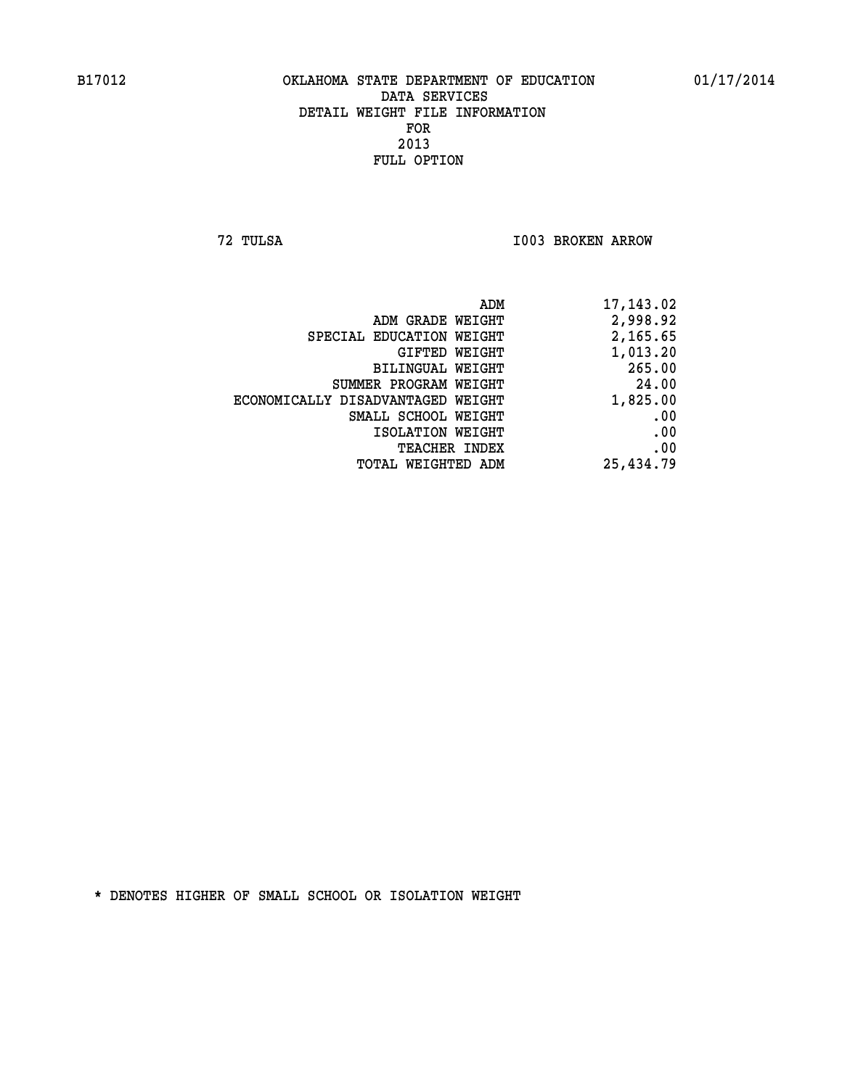**72 TULSA I003 BROKEN ARROW** 

| 17,143.02 |
|-----------|
| 2,998.92  |
| 2,165.65  |
| 1,013.20  |
| 265.00    |
| 24.00     |
| 1,825.00  |
| .00       |
| .00       |
| .00       |
| 25,434.79 |
|           |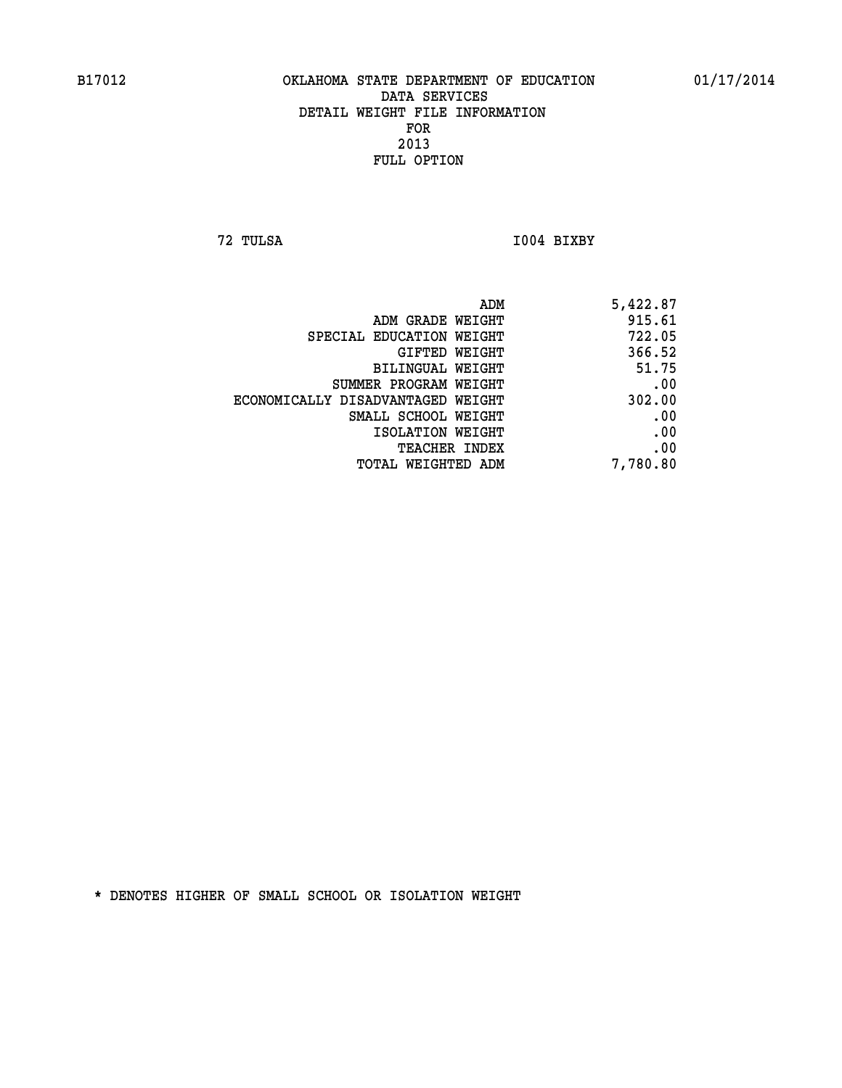**72 TULSA I004 BIXBY** 

| ADM                               | 5,422.87 |
|-----------------------------------|----------|
| ADM GRADE WEIGHT                  | 915.61   |
| SPECIAL EDUCATION WEIGHT          | 722.05   |
| GIFTED WEIGHT                     | 366.52   |
| BILINGUAL WEIGHT                  | 51.75    |
| SUMMER PROGRAM WEIGHT             | .00      |
| ECONOMICALLY DISADVANTAGED WEIGHT | 302.00   |
| SMALL SCHOOL WEIGHT               | .00      |
| ISOLATION WEIGHT                  | .00      |
| TEACHER INDEX                     | .00      |
| TOTAL WEIGHTED ADM                | 7,780.80 |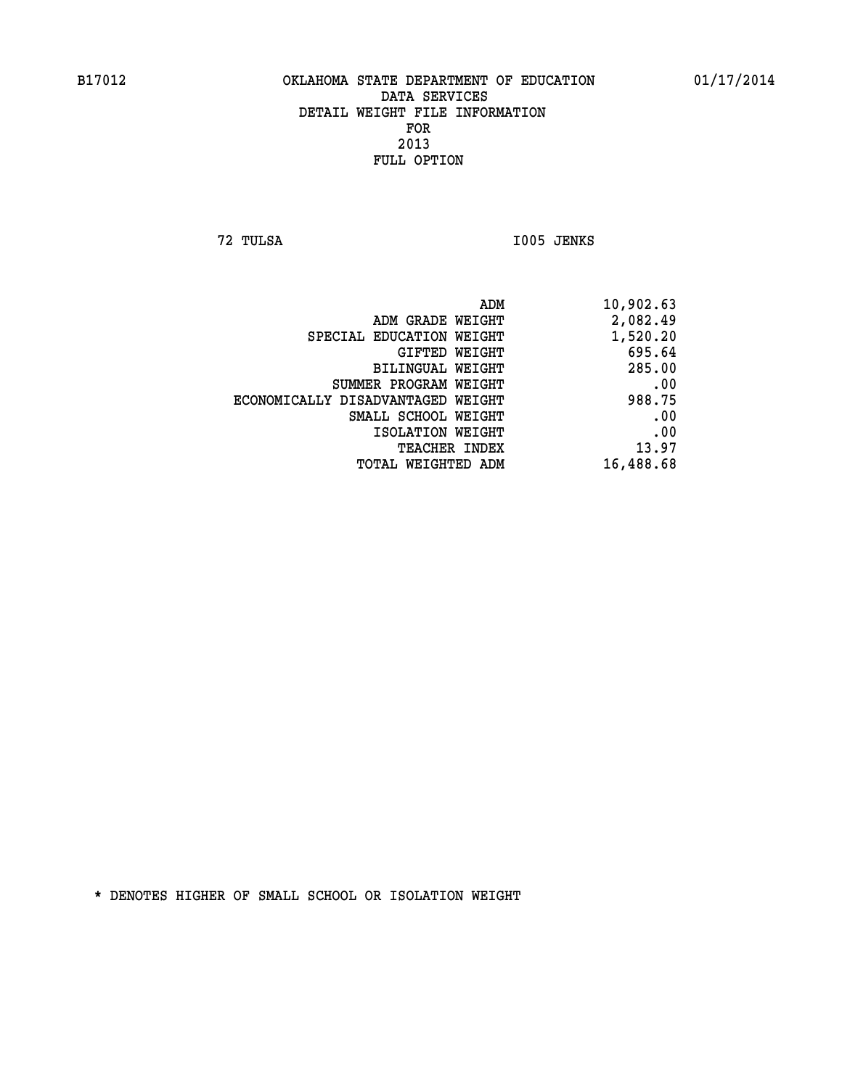**72 TULSA I005 JENKS** 

| 10,902.63 |
|-----------|
| 2,082.49  |
| 1,520.20  |
| 695.64    |
| 285.00    |
| .00       |
| 988.75    |
| .00       |
| .00       |
| 13.97     |
| 16,488.68 |
|           |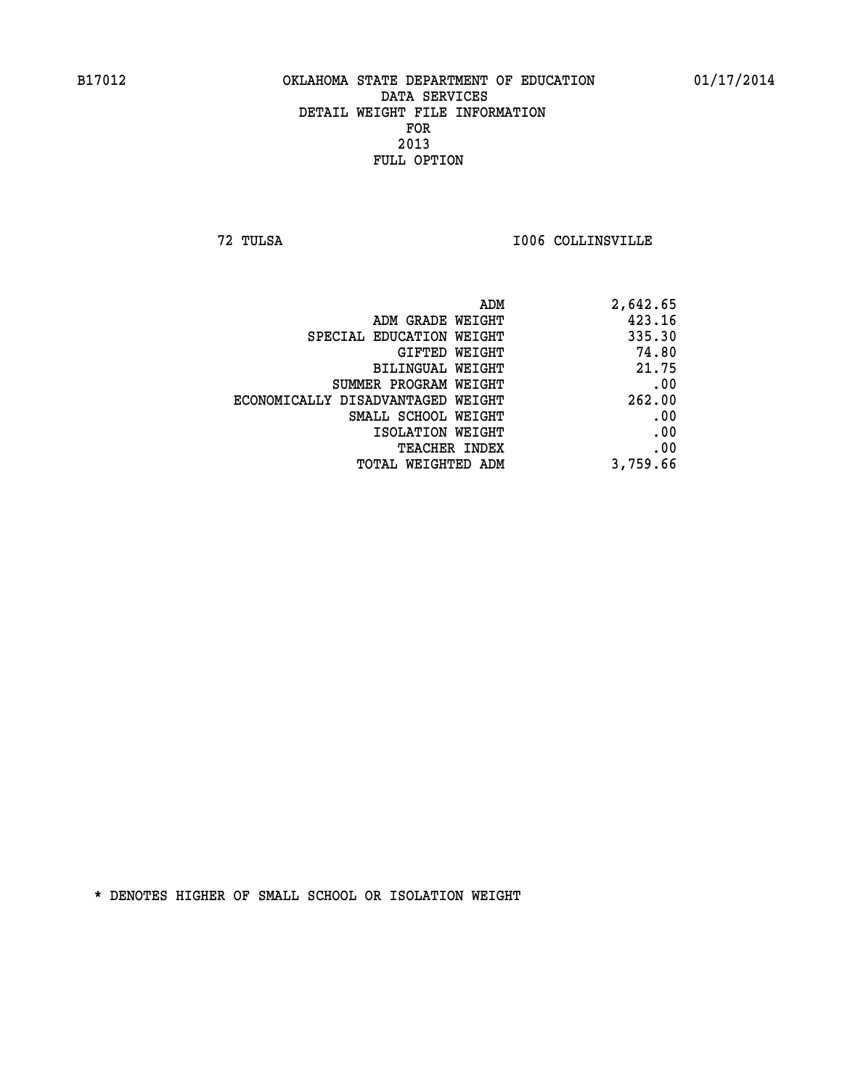**72 TULSA I006 COLLINSVILLE** 

| 2,642.65 |
|----------|
| 423.16   |
| 335.30   |
| 74.80    |
| 21.75    |
| .00      |
| 262.00   |
| .00      |
| .00      |
| .00      |
| 3,759.66 |
|          |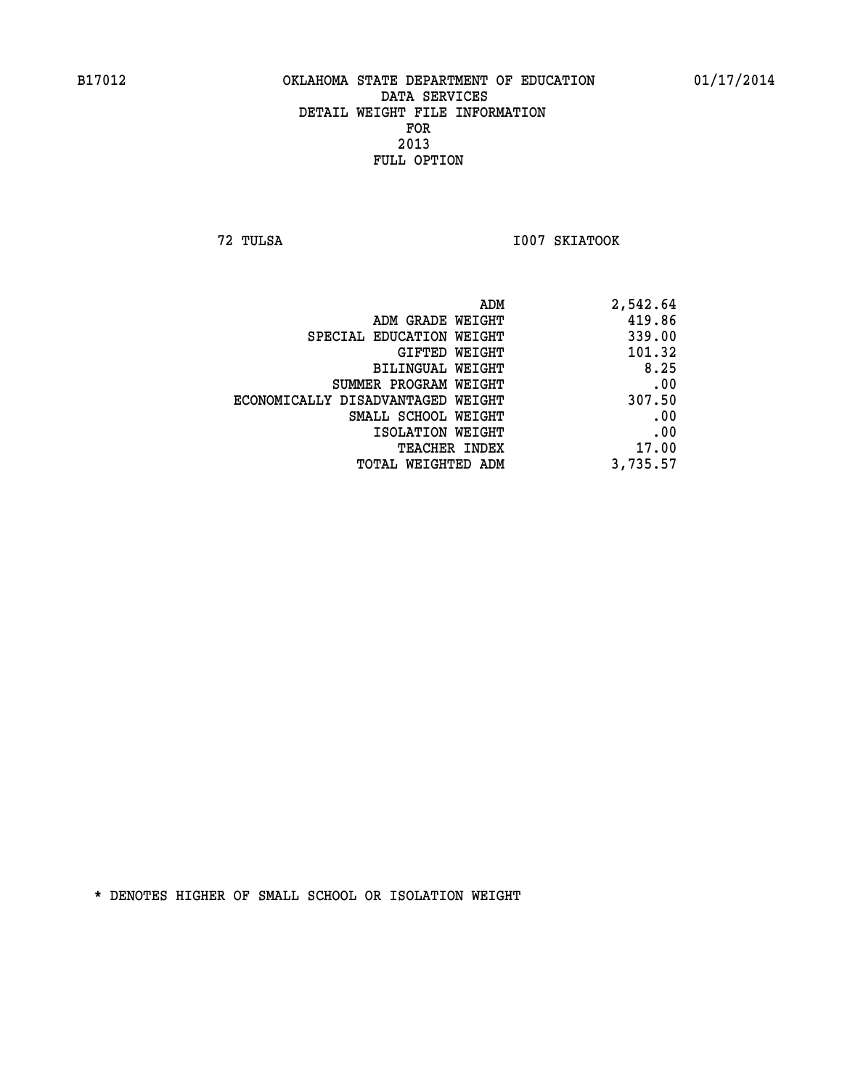**72 TULSA I007 SKIATOOK** 

| 2,542.64 |
|----------|
| 419.86   |
| 339.00   |
| 101.32   |
| 8.25     |
| .00      |
| 307.50   |
| .00      |
| .00      |
| 17.00    |
| 3,735.57 |
|          |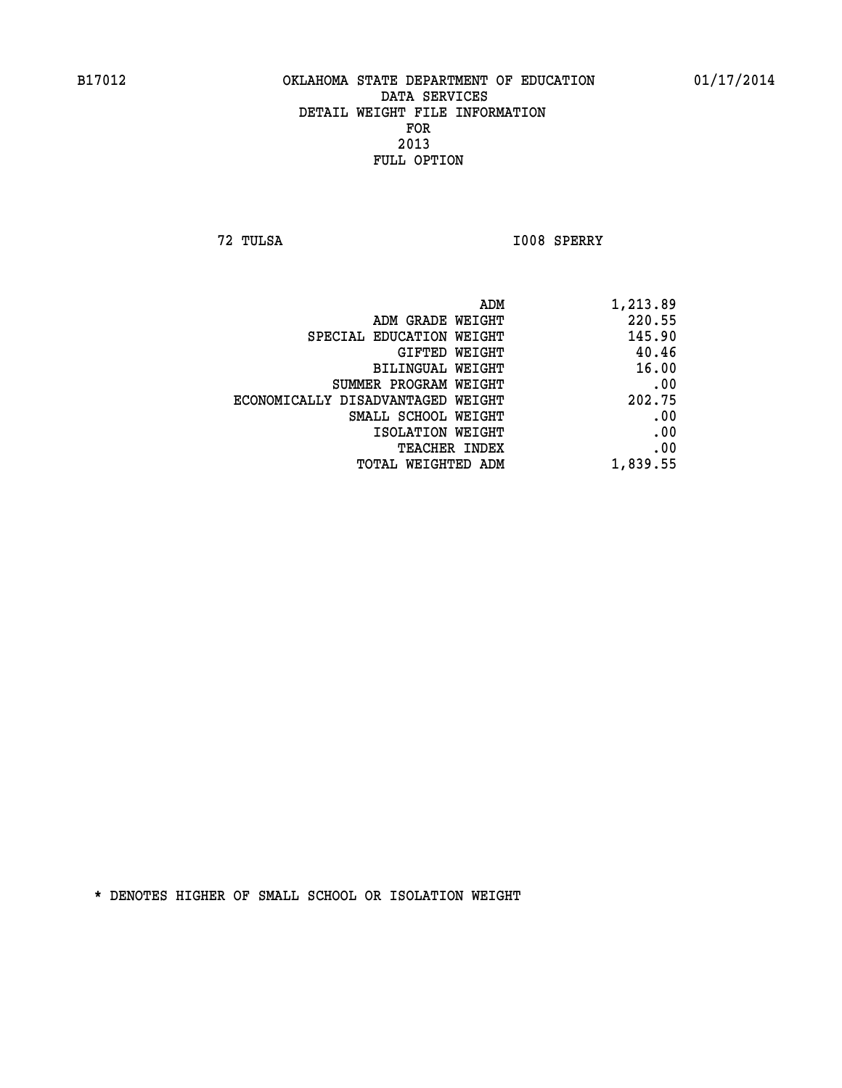**72 TULSA I008 SPERRY** 

| ADM                               | 1,213.89 |
|-----------------------------------|----------|
| ADM GRADE WEIGHT                  | 220.55   |
| SPECIAL EDUCATION WEIGHT          | 145.90   |
| GIFTED WEIGHT                     | 40.46    |
| BILINGUAL WEIGHT                  | 16.00    |
| SUMMER PROGRAM WEIGHT             | .00      |
| ECONOMICALLY DISADVANTAGED WEIGHT | 202.75   |
| SMALL SCHOOL WEIGHT               | .00      |
| ISOLATION WEIGHT                  | .00      |
| <b>TEACHER INDEX</b>              | .00      |
| TOTAL WEIGHTED ADM                | 1,839.55 |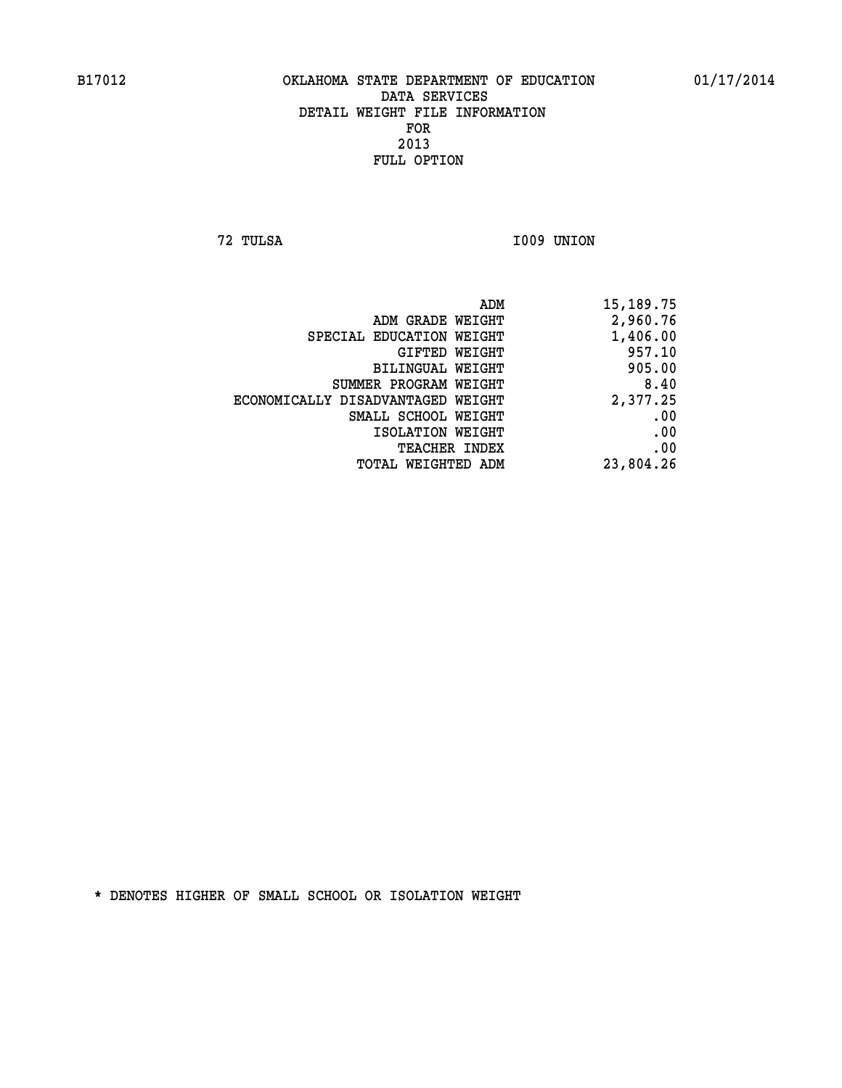**72 TULSA I009 UNION** 

|                                   | ADM<br>15,189.75 |  |
|-----------------------------------|------------------|--|
| ADM GRADE WEIGHT                  | 2,960.76         |  |
| SPECIAL EDUCATION WEIGHT          | 1,406.00         |  |
| GIFTED WEIGHT                     | 957.10           |  |
| BILINGUAL WEIGHT                  | 905.00           |  |
| SUMMER PROGRAM WEIGHT             | 8.40             |  |
| ECONOMICALLY DISADVANTAGED WEIGHT | 2,377.25         |  |
| SMALL SCHOOL WEIGHT               | .00              |  |
| ISOLATION WEIGHT                  | .00              |  |
| TEACHER INDEX                     | .00              |  |
| TOTAL WEIGHTED ADM                | 23,804.26        |  |
|                                   |                  |  |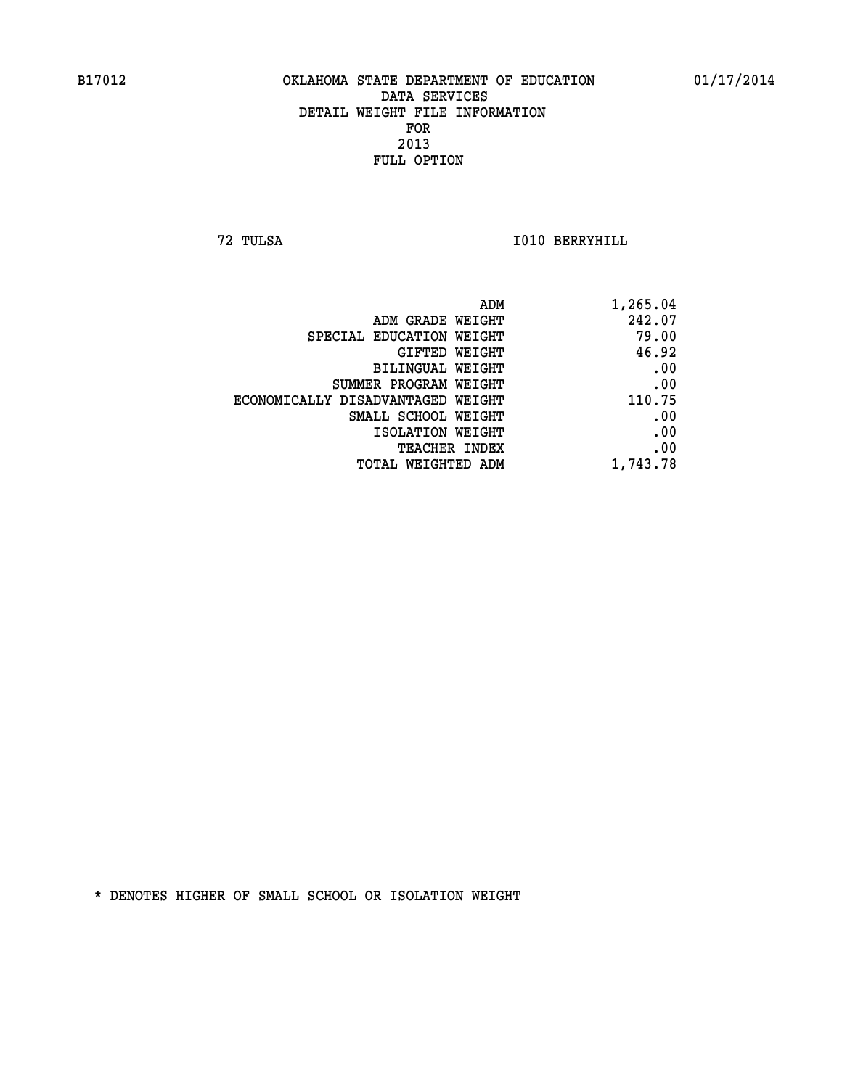**72 TULSA I010 BERRYHILL** 

| 1,265.04 |
|----------|
| 242.07   |
| 79.00    |
| 46.92    |
| .00      |
| .00      |
| 110.75   |
| .00      |
| .00      |
| .00      |
| 1,743.78 |
|          |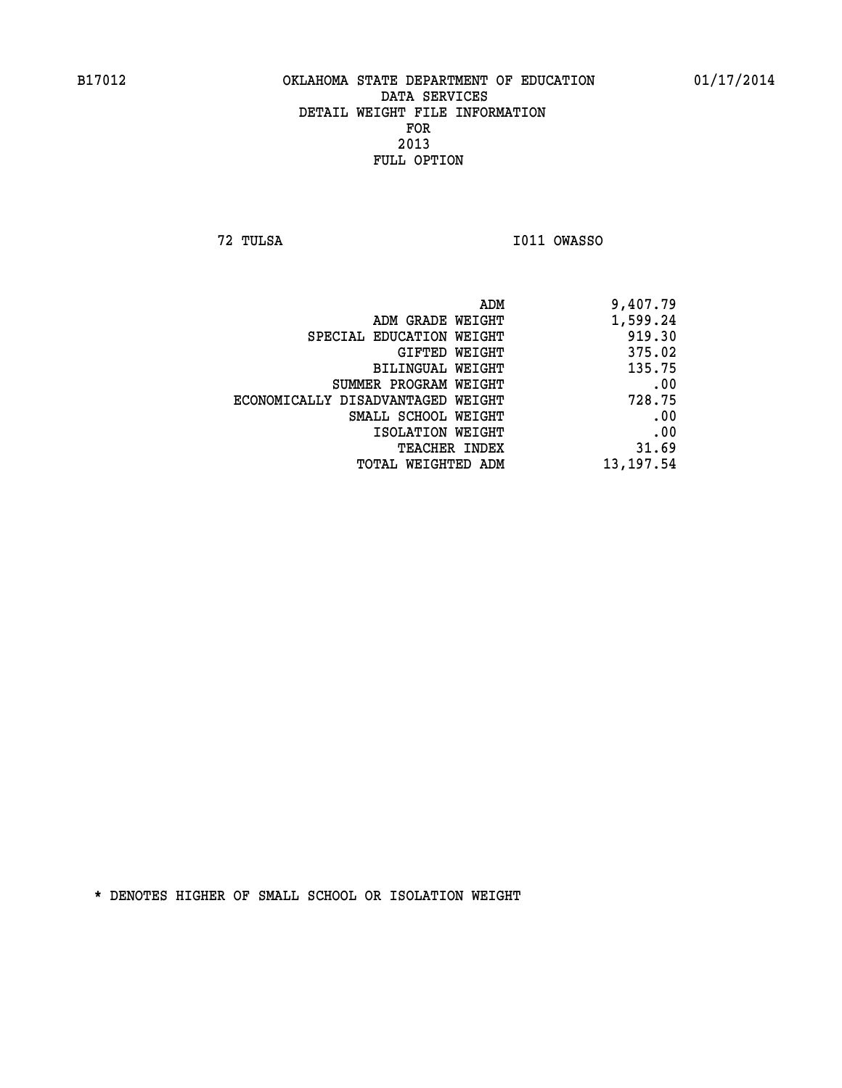**72 TULSA I011 OWASSO** 

| 9,407.79   |
|------------|
| 1,599.24   |
| 919.30     |
| 375.02     |
| 135.75     |
| .00        |
| 728.75     |
| .00        |
| .00        |
| 31.69      |
| 13, 197.54 |
|            |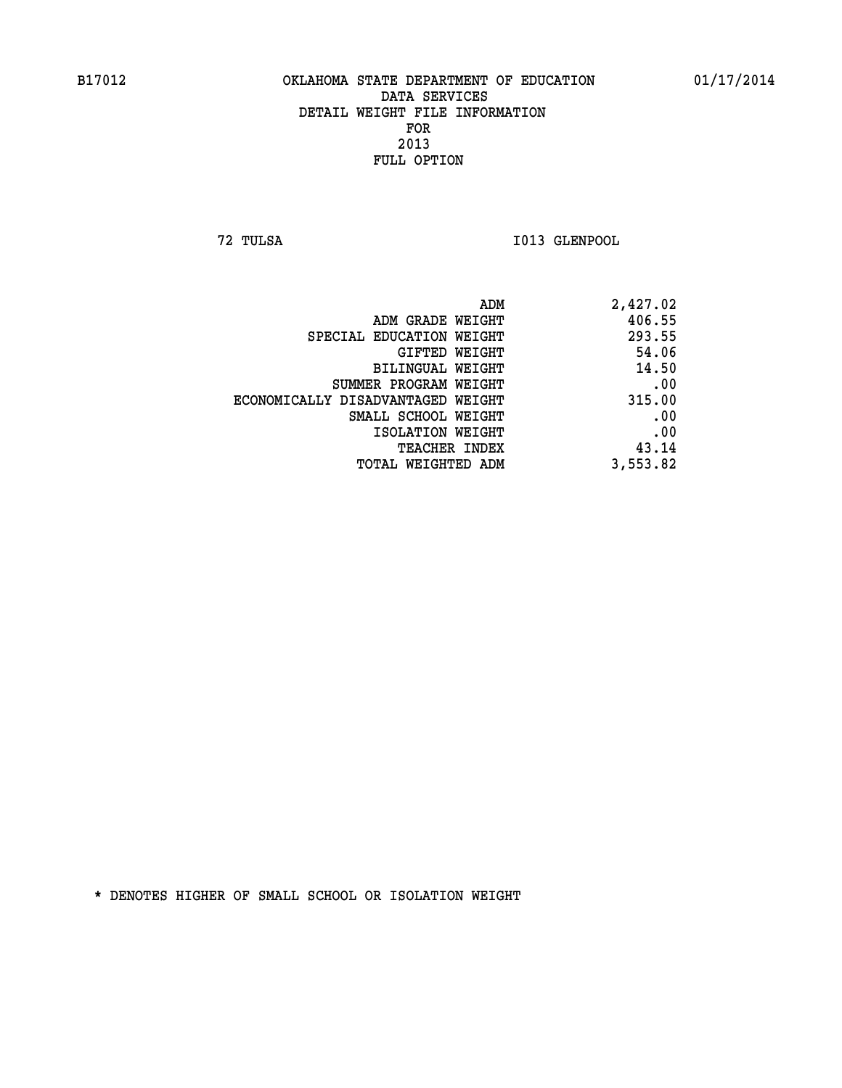**72 TULSA I013 GLENPOOL** 

| 2,427.02 |
|----------|
| 406.55   |
| 293.55   |
| 54.06    |
| 14.50    |
| .00      |
| 315.00   |
| .00      |
| .00      |
| 43.14    |
| 3,553.82 |
|          |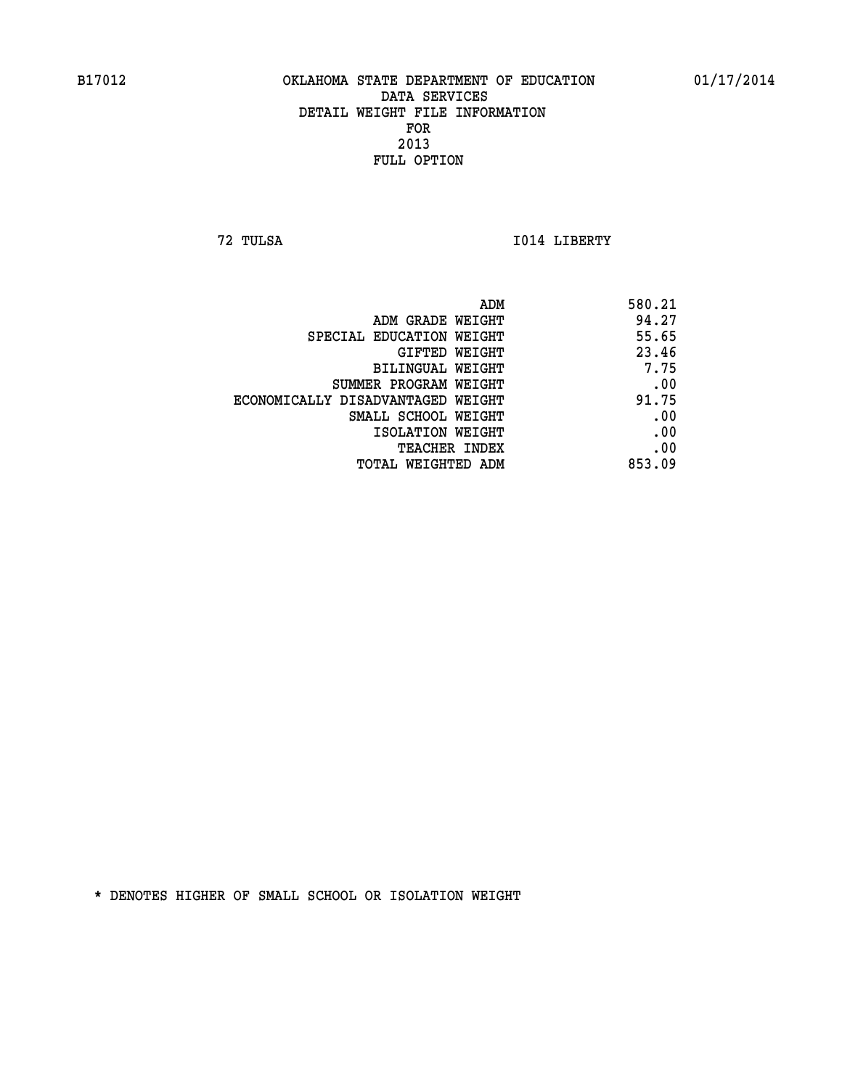**72 TULSA I014 LIBERTY** 

|                                   | ADM<br>580.21 |
|-----------------------------------|---------------|
| ADM GRADE WEIGHT                  | 94.27         |
| SPECIAL EDUCATION WEIGHT          | 55.65         |
| GIFTED WEIGHT                     | 23.46         |
| BILINGUAL WEIGHT                  | 7.75          |
| SUMMER PROGRAM WEIGHT             | .00           |
| ECONOMICALLY DISADVANTAGED WEIGHT | 91.75         |
| SMALL SCHOOL WEIGHT               | .00           |
| ISOLATION WEIGHT                  | .00           |
| TEACHER INDEX                     | .00           |
| TOTAL WEIGHTED ADM                | 853.09        |
|                                   |               |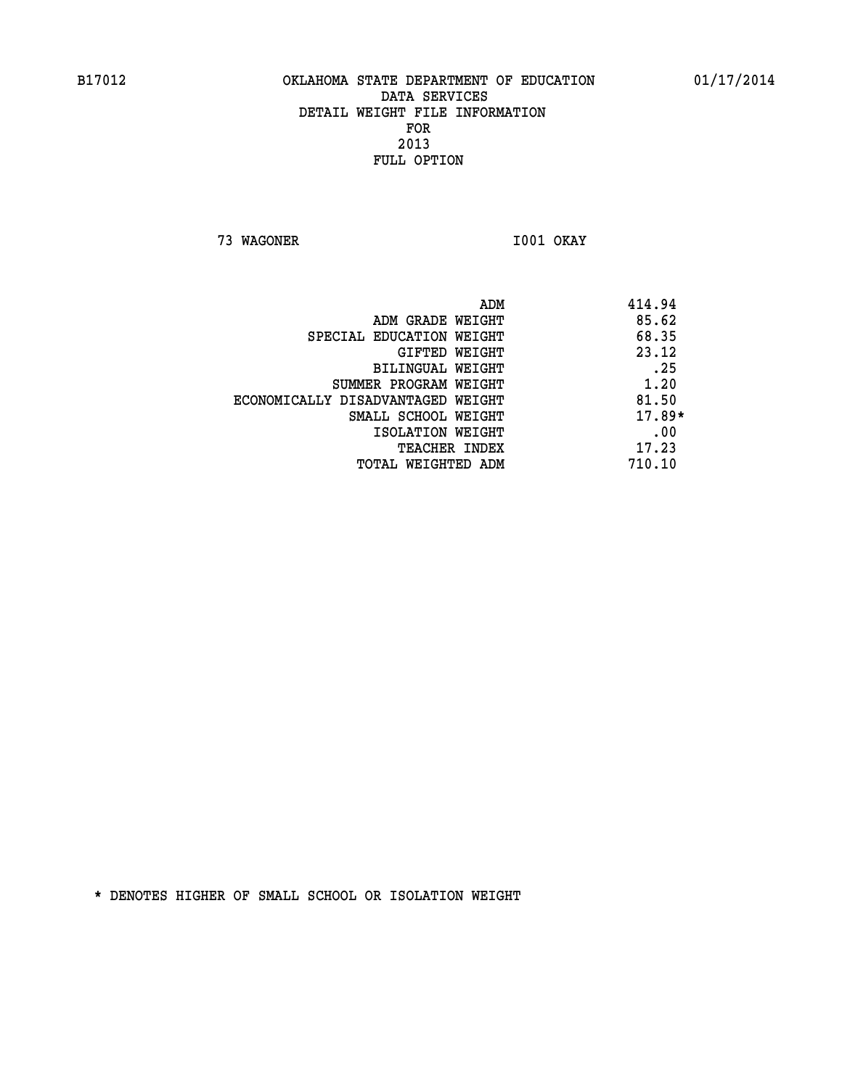**73 WAGONER I001 OKAY** 

|                                   | 414.94<br>ADM |
|-----------------------------------|---------------|
| ADM GRADE WEIGHT                  | 85.62         |
| SPECIAL EDUCATION WEIGHT          | 68.35         |
| GIFTED WEIGHT                     | 23.12         |
| BILINGUAL WEIGHT                  | .25           |
| SUMMER PROGRAM WEIGHT             | 1.20          |
| ECONOMICALLY DISADVANTAGED WEIGHT | 81.50         |
| SMALL SCHOOL WEIGHT               | $17.89*$      |
| ISOLATION WEIGHT                  | .00           |
| <b>TEACHER INDEX</b>              | 17.23         |
| TOTAL WEIGHTED ADM                | 710.10        |
|                                   |               |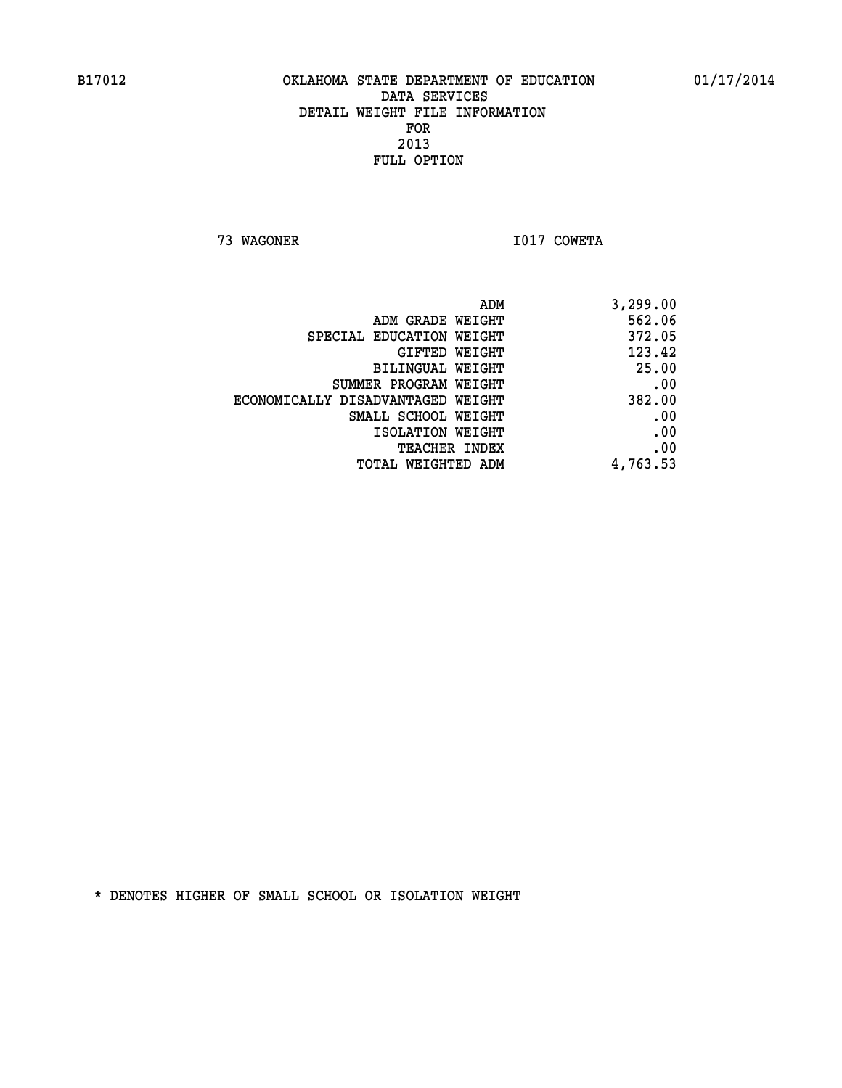**73 WAGONER I017 COWETA** 

| ADM GRADE WEIGHT                  | 562.06   |
|-----------------------------------|----------|
| SPECIAL EDUCATION WEIGHT          | 372.05   |
| GIFTED WEIGHT                     | 123.42   |
| BILINGUAL WEIGHT                  | 25.00    |
| SUMMER PROGRAM WEIGHT             | .00      |
| ECONOMICALLY DISADVANTAGED WEIGHT | 382.00   |
| SMALL SCHOOL WEIGHT               | .00      |
| ISOLATION WEIGHT                  | .00      |
| <b>TEACHER INDEX</b>              | .00      |
| TOTAL WEIGHTED ADM                | 4,763.53 |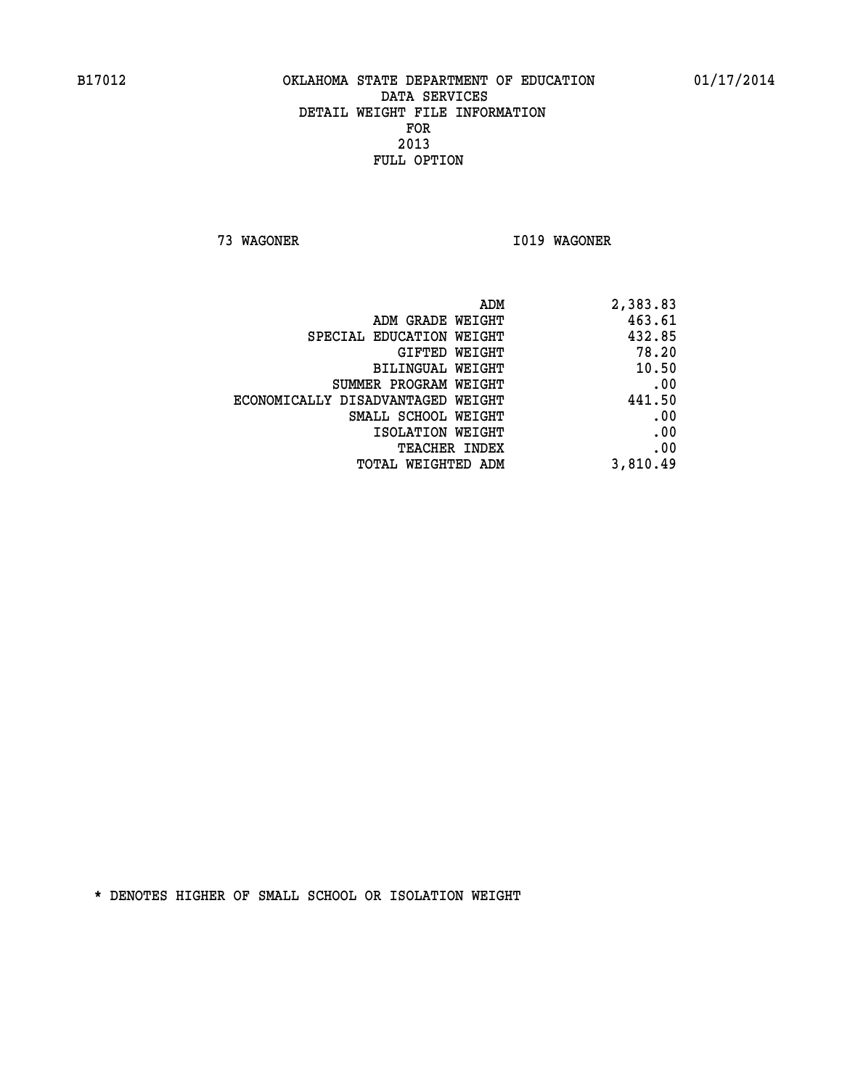**73 WAGONER I019 WAGONER** 

| 2,383.83 |
|----------|
| 463.61   |
| 432.85   |
| 78.20    |
| 10.50    |
| .00      |
| 441.50   |
| .00      |
| .00      |
| .00      |
| 3,810.49 |
|          |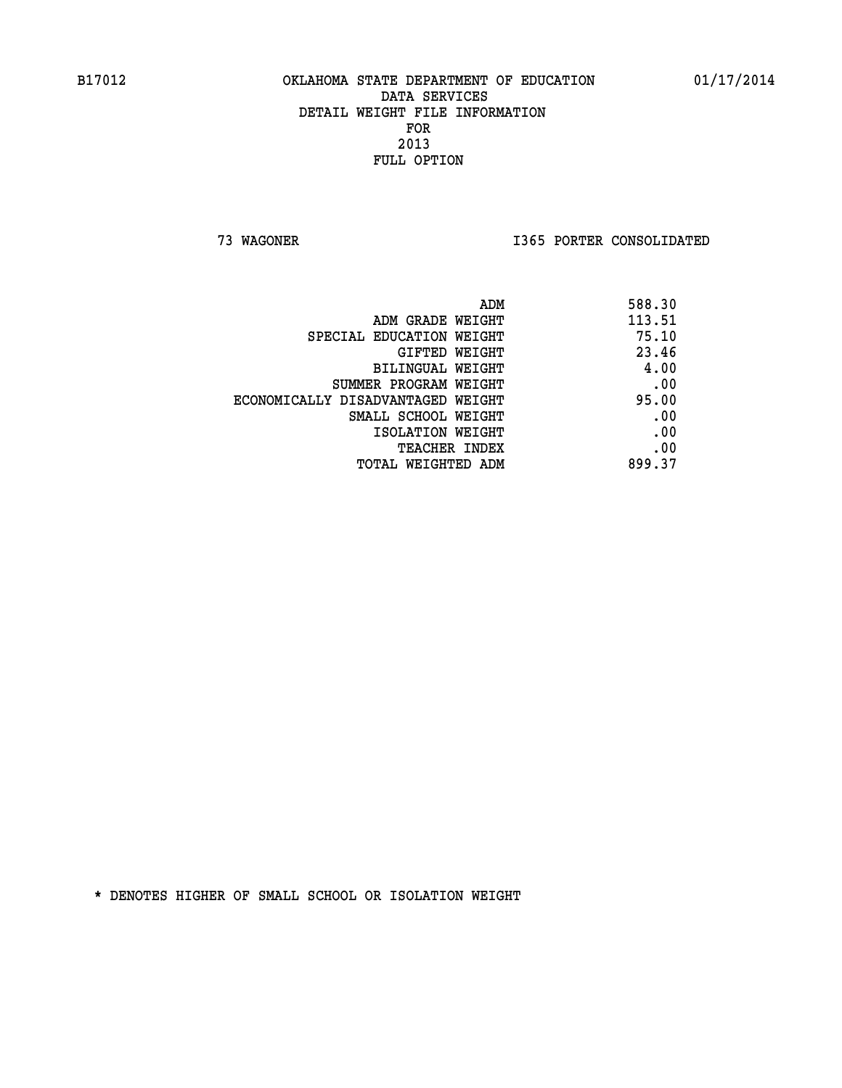**73 WAGONER I365 PORTER CONSOLIDATED** 

| 588.30 |
|--------|
| 113.51 |
| 75.10  |
| 23.46  |
| 4.00   |
| .00    |
| 95.00  |
| .00    |
| .00    |
| .00    |
| 899.37 |
|        |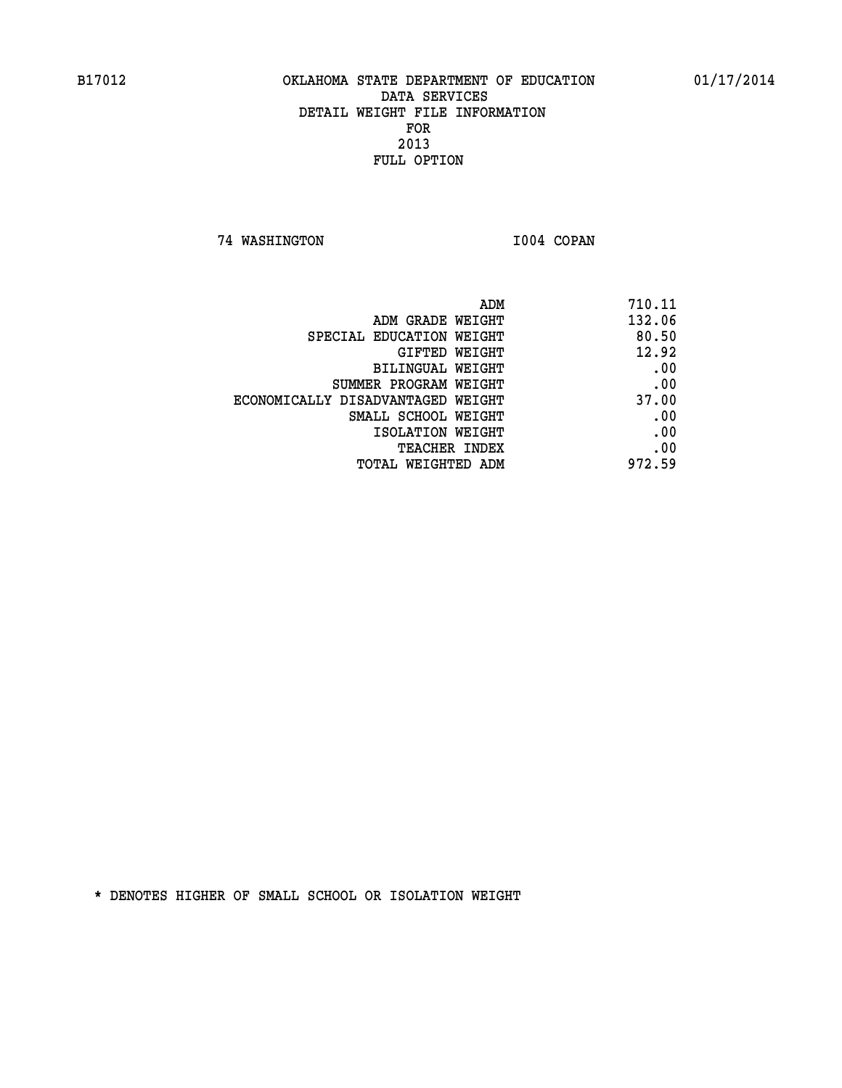**74 WASHINGTON I004 COPAN** 

| 710.11 |
|--------|
| 132.06 |
| 80.50  |
| 12.92  |
| .00    |
| .00    |
| 37.00  |
| .00    |
| .00    |
| .00    |
| 972.59 |
|        |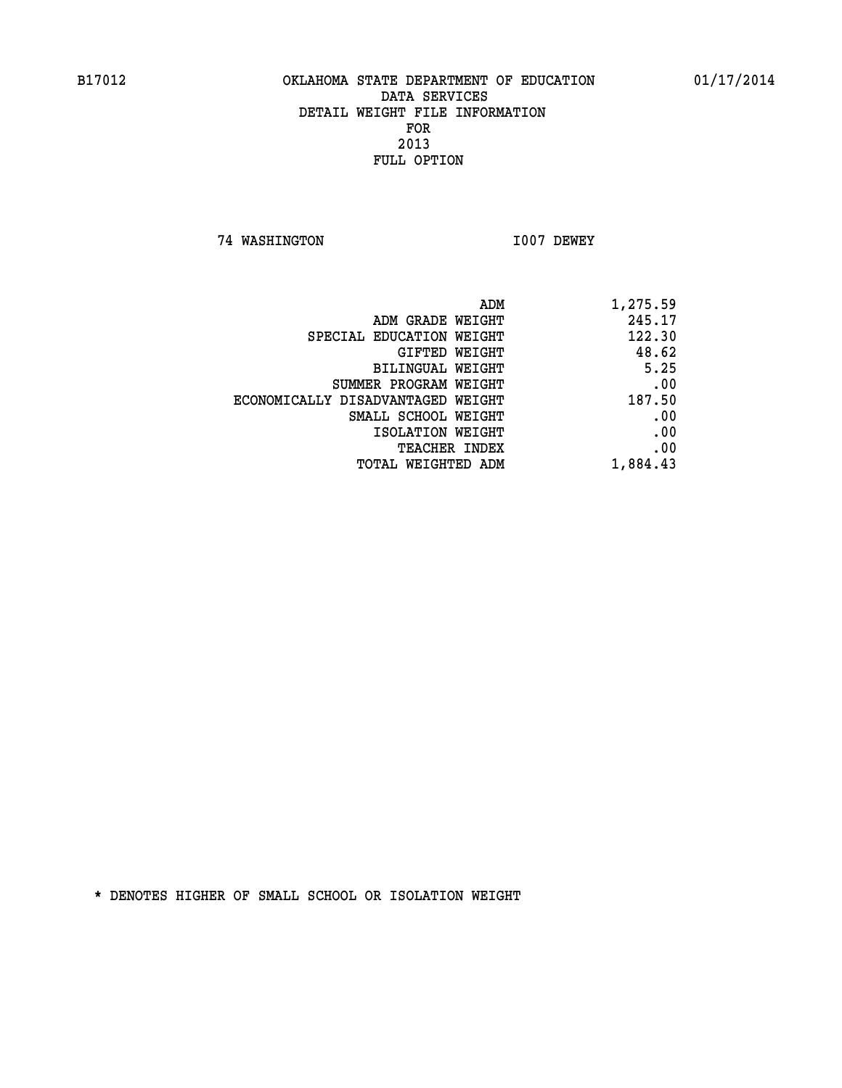**74 WASHINGTON I007 DEWEY** 

| ADM                               | 1,275.59 |
|-----------------------------------|----------|
| ADM GRADE WEIGHT                  | 245.17   |
| SPECIAL EDUCATION WEIGHT          | 122.30   |
| GIFTED WEIGHT                     | 48.62    |
| BILINGUAL WEIGHT                  | 5.25     |
| SUMMER PROGRAM WEIGHT             | .00      |
| ECONOMICALLY DISADVANTAGED WEIGHT | 187.50   |
| SMALL SCHOOL WEIGHT               | .00      |
| ISOLATION WEIGHT                  | .00      |
| TEACHER INDEX                     | .00      |
| TOTAL WEIGHTED ADM                | 1,884.43 |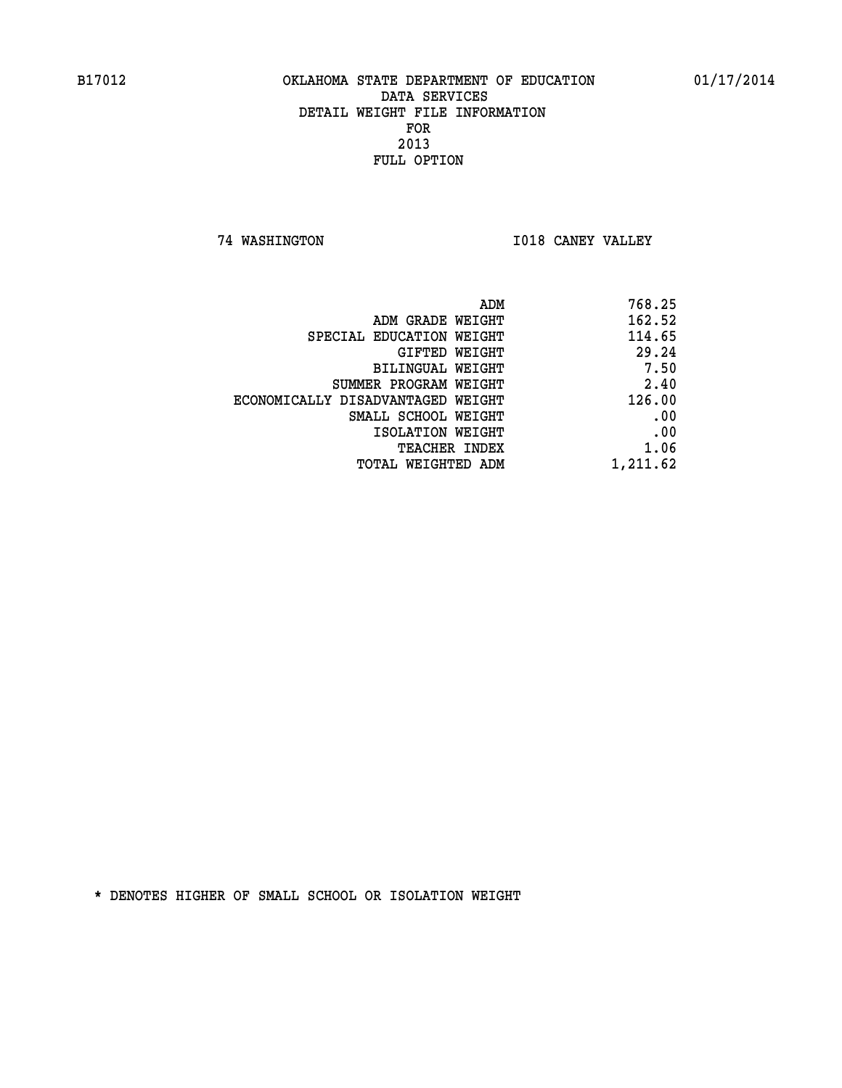**74 WASHINGTON I018 CANEY VALLEY** 

| 768.25   |
|----------|
| 162.52   |
| 114.65   |
| 29.24    |
| 7.50     |
| 2.40     |
| 126.00   |
| .00      |
| .00      |
| 1.06     |
| 1,211.62 |
|          |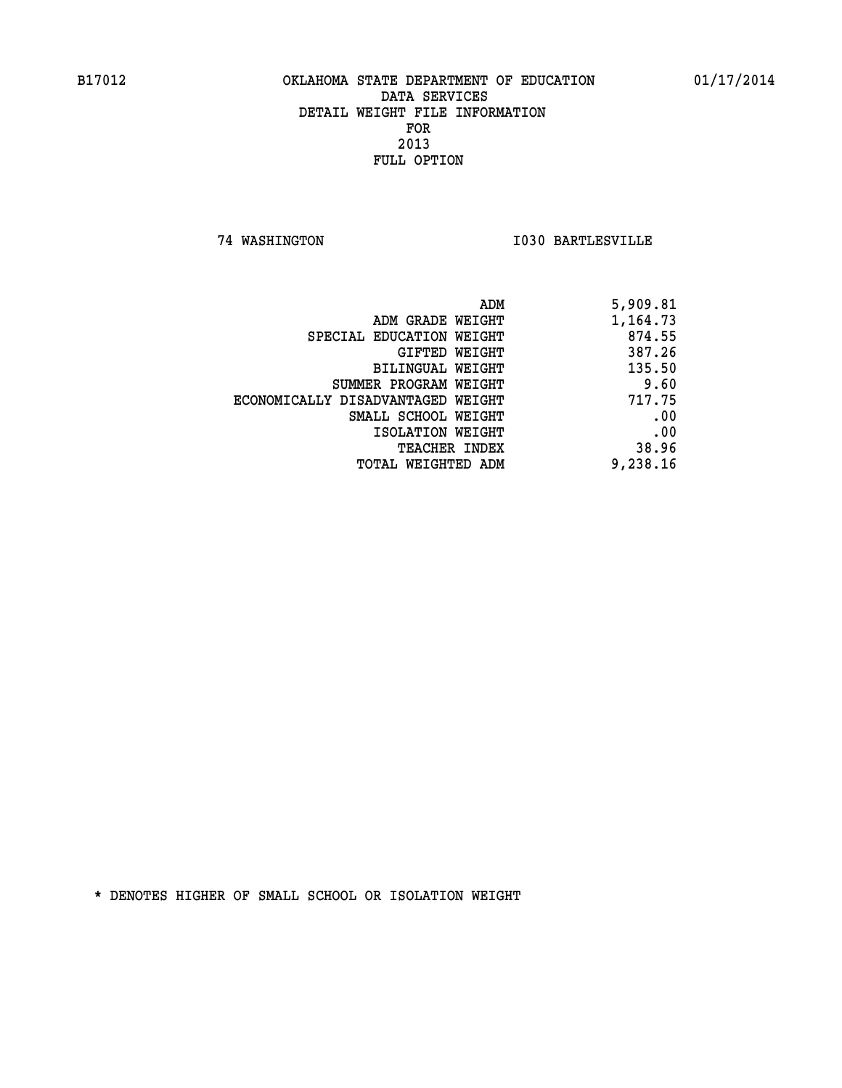**74 WASHINGTON I030 BARTLESVILLE** 

| 5,909.81 |
|----------|
| 1,164.73 |
| 874.55   |
| 387.26   |
| 135.50   |
| 9.60     |
| 717.75   |
| .00      |
| .00      |
| 38.96    |
| 9,238.16 |
|          |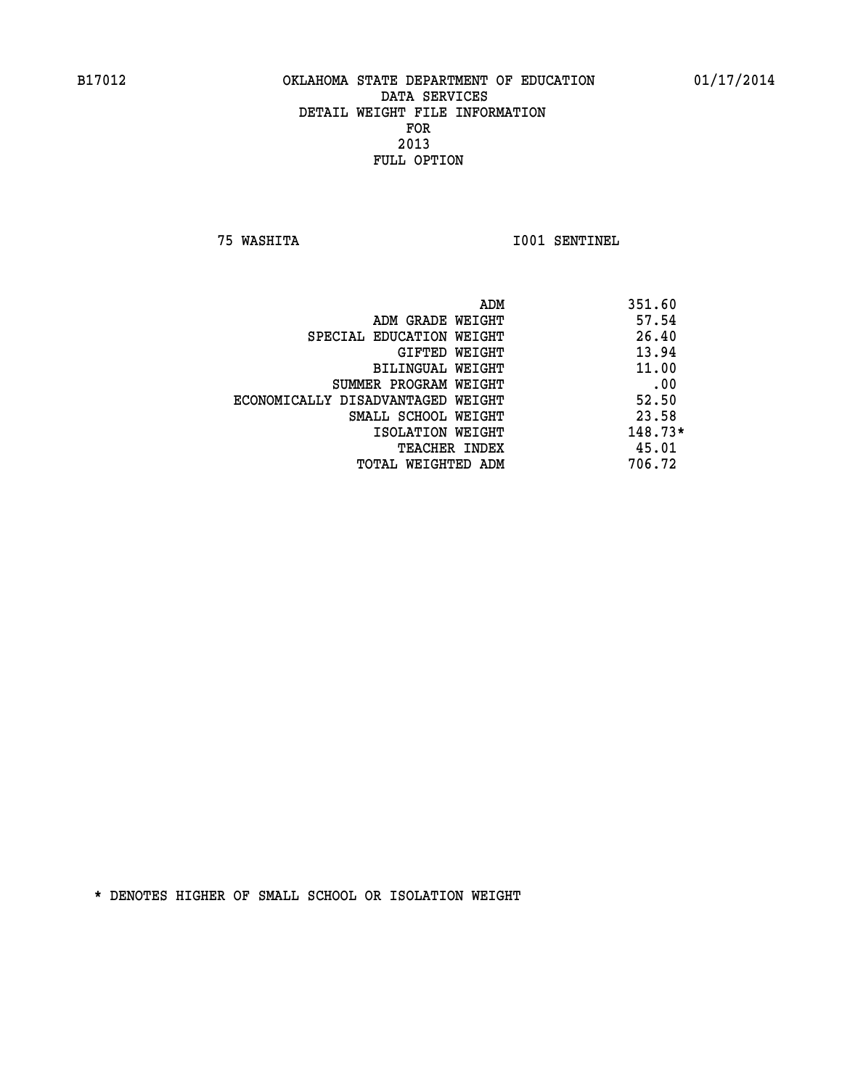**75 WASHITA I001 SENTINEL** 

|                                   | ADM<br>351.60 |           |
|-----------------------------------|---------------|-----------|
| ADM GRADE WEIGHT                  |               | 57.54     |
| SPECIAL EDUCATION WEIGHT          |               | 26.40     |
| GIFTED WEIGHT                     |               | 13.94     |
| BILINGUAL WEIGHT                  |               | 11.00     |
| SUMMER PROGRAM WEIGHT             |               | .00       |
| ECONOMICALLY DISADVANTAGED WEIGHT |               | 52.50     |
| SMALL SCHOOL WEIGHT               |               | 23.58     |
| ISOLATION WEIGHT                  |               | $148.73*$ |
| <b>TEACHER INDEX</b>              |               | 45.01     |
| TOTAL WEIGHTED ADM                | 706.72        |           |
|                                   |               |           |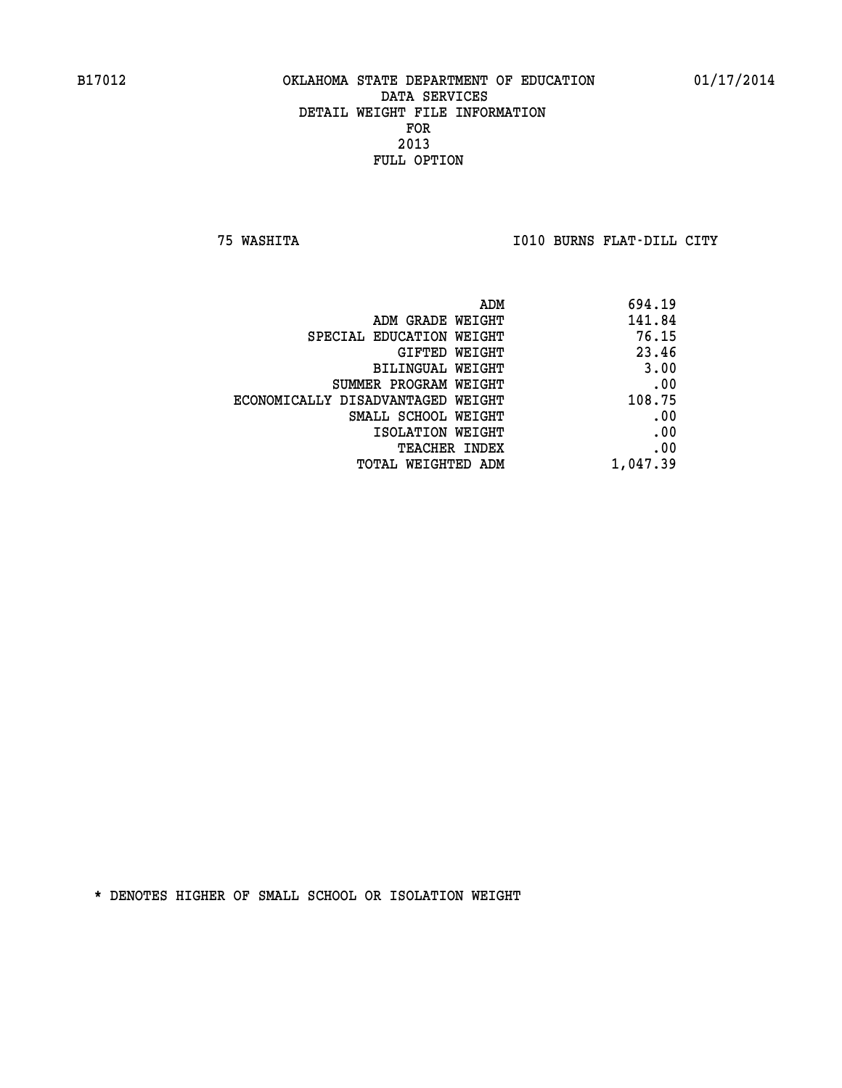**75 WASHITA I010 BURNS FLAT-DILL CITY** 

| 694.19   |
|----------|
| 141.84   |
| 76.15    |
| 23.46    |
| 3.00     |
| .00      |
| 108.75   |
| .00      |
| .00      |
| .00      |
| 1,047.39 |
|          |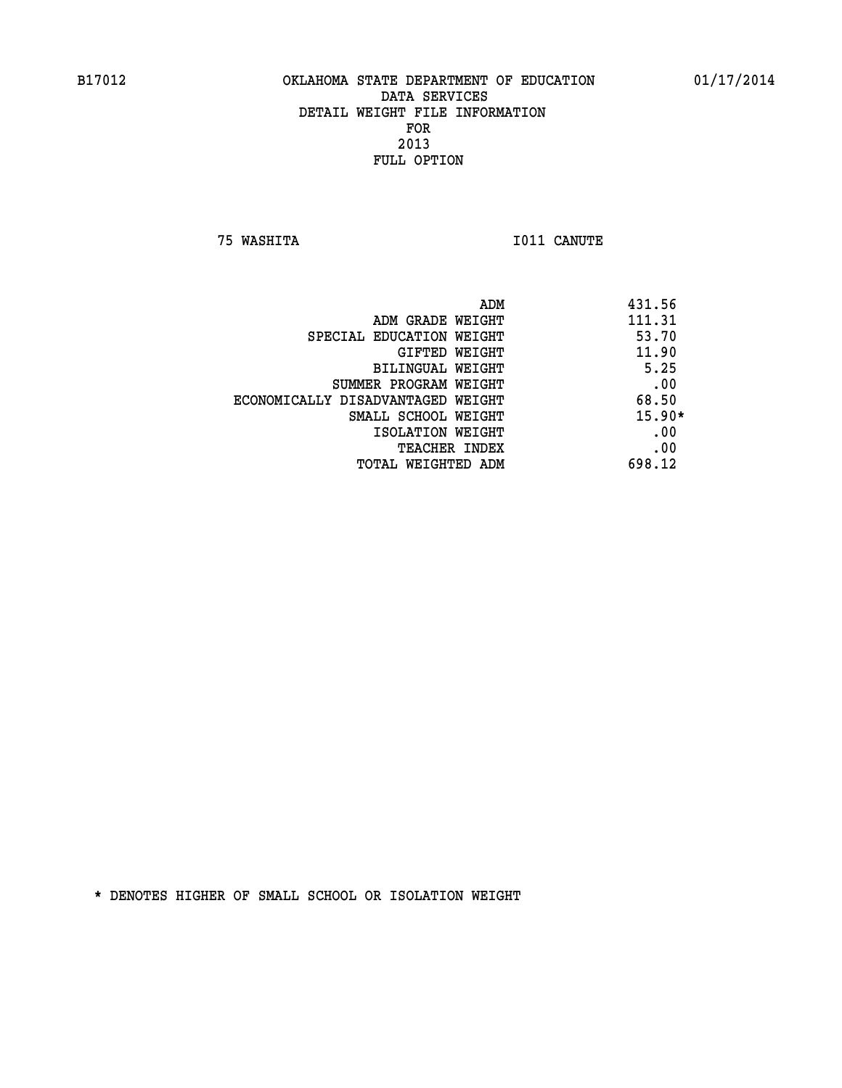**75 WASHITA I011 CANUTE** 

| ADM                               | 431.56   |
|-----------------------------------|----------|
| ADM GRADE WEIGHT                  | 111.31   |
| SPECIAL EDUCATION WEIGHT          | 53.70    |
| <b>GIFTED WEIGHT</b>              | 11.90    |
| BILINGUAL WEIGHT                  | 5.25     |
| SUMMER PROGRAM WEIGHT             | .00      |
| ECONOMICALLY DISADVANTAGED WEIGHT | 68.50    |
| SMALL SCHOOL WEIGHT               | $15.90*$ |
| ISOLATION WEIGHT                  | .00      |
| <b>TEACHER INDEX</b>              | .00      |
| TOTAL WEIGHTED ADM                | 698.12   |
|                                   |          |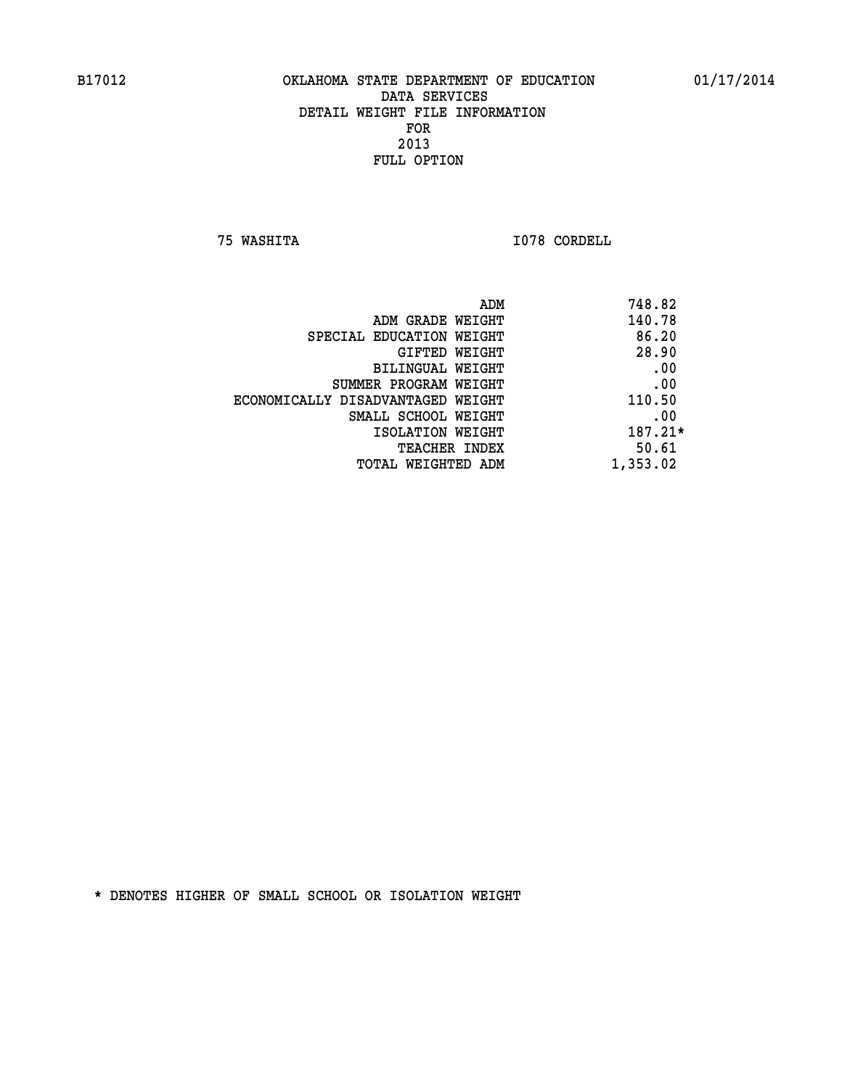**75 WASHITA I078 CORDELL** 

| 748.82   | ADM                               |
|----------|-----------------------------------|
| 140.78   | ADM GRADE WEIGHT                  |
| 86.20    | SPECIAL EDUCATION WEIGHT          |
| 28.90    | GIFTED WEIGHT                     |
| .00      | BILINGUAL WEIGHT                  |
| .00      | SUMMER PROGRAM WEIGHT             |
| 110.50   | ECONOMICALLY DISADVANTAGED WEIGHT |
| .00      | SMALL SCHOOL WEIGHT               |
| 187.21*  | ISOLATION WEIGHT                  |
| 50.61    | <b>TEACHER INDEX</b>              |
| 1,353.02 | TOTAL WEIGHTED ADM                |
|          |                                   |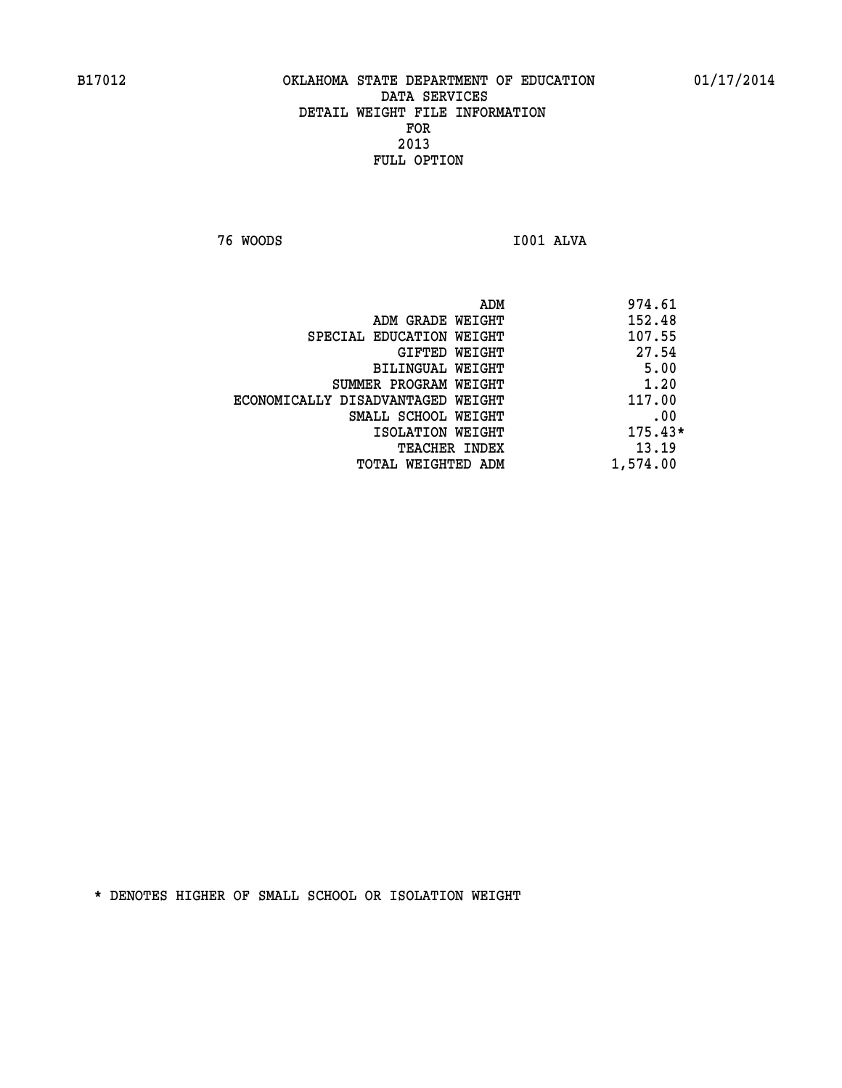**76 WOODS I001 ALVA** 

| 974.61<br>ADM |                                   |
|---------------|-----------------------------------|
| 152.48        | ADM GRADE WEIGHT                  |
| 107.55        | SPECIAL EDUCATION WEIGHT          |
| 27.54         | GIFTED WEIGHT                     |
| 5.00          | BILINGUAL WEIGHT                  |
| 1.20          | SUMMER PROGRAM WEIGHT             |
| 117.00        | ECONOMICALLY DISADVANTAGED WEIGHT |
| .00           | SMALL SCHOOL WEIGHT               |
| $175.43*$     | ISOLATION WEIGHT                  |
| 13.19         | <b>TEACHER INDEX</b>              |
| 1,574.00      | TOTAL WEIGHTED ADM                |
|               |                                   |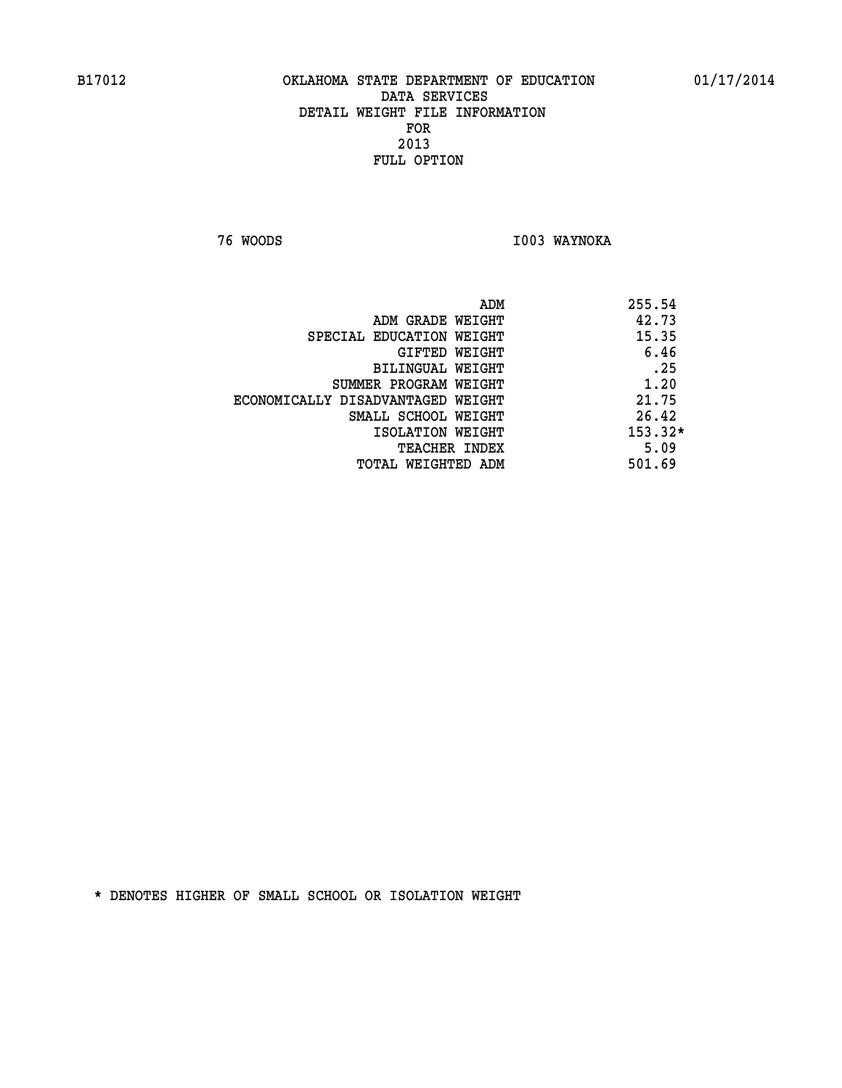**76 WOODS I003 WAYNOKA** 

|                                   | ADM | 255.54    |
|-----------------------------------|-----|-----------|
| ADM GRADE WEIGHT                  |     | 42.73     |
| SPECIAL EDUCATION WEIGHT          |     | 15.35     |
| GIFTED WEIGHT                     |     | 6.46      |
| BILINGUAL WEIGHT                  |     | .25       |
| SUMMER PROGRAM WEIGHT             |     | 1.20      |
| ECONOMICALLY DISADVANTAGED WEIGHT |     | 21.75     |
| SMALL SCHOOL WEIGHT               |     | 26.42     |
| ISOLATION WEIGHT                  |     | $153.32*$ |
| TEACHER INDEX                     |     | 5.09      |
| TOTAL WEIGHTED ADM                |     | 501.69    |
|                                   |     |           |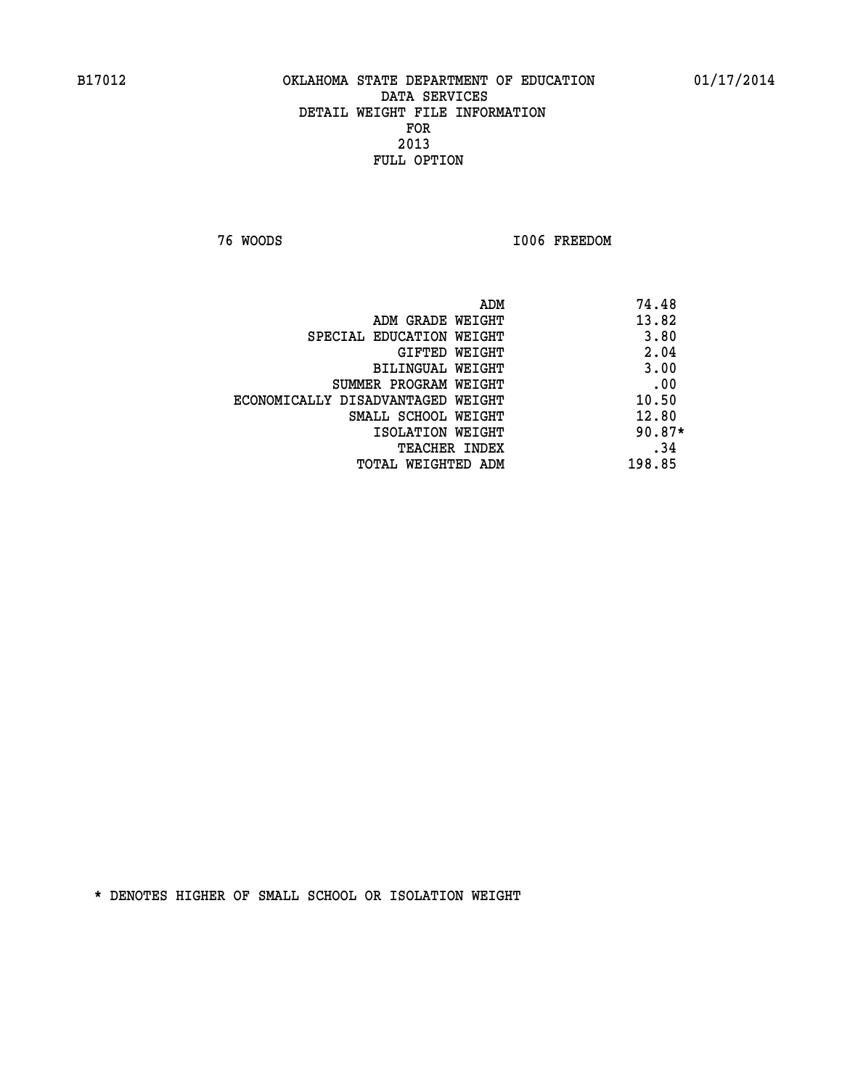**76 WOODS I006 FREEDOM** 

|                                   | ADM<br>74.48 |
|-----------------------------------|--------------|
| ADM GRADE WEIGHT                  | 13.82        |
| SPECIAL EDUCATION WEIGHT          | 3.80         |
| GIFTED WEIGHT                     | 2.04         |
| BILINGUAL WEIGHT                  | 3.00         |
| SUMMER PROGRAM WEIGHT             | .00          |
| ECONOMICALLY DISADVANTAGED WEIGHT | 10.50        |
| SMALL SCHOOL WEIGHT               | 12.80        |
| ISOLATION WEIGHT                  | $90.87*$     |
| TEACHER INDEX                     | .34          |
| TOTAL WEIGHTED ADM                | 198.85       |
|                                   |              |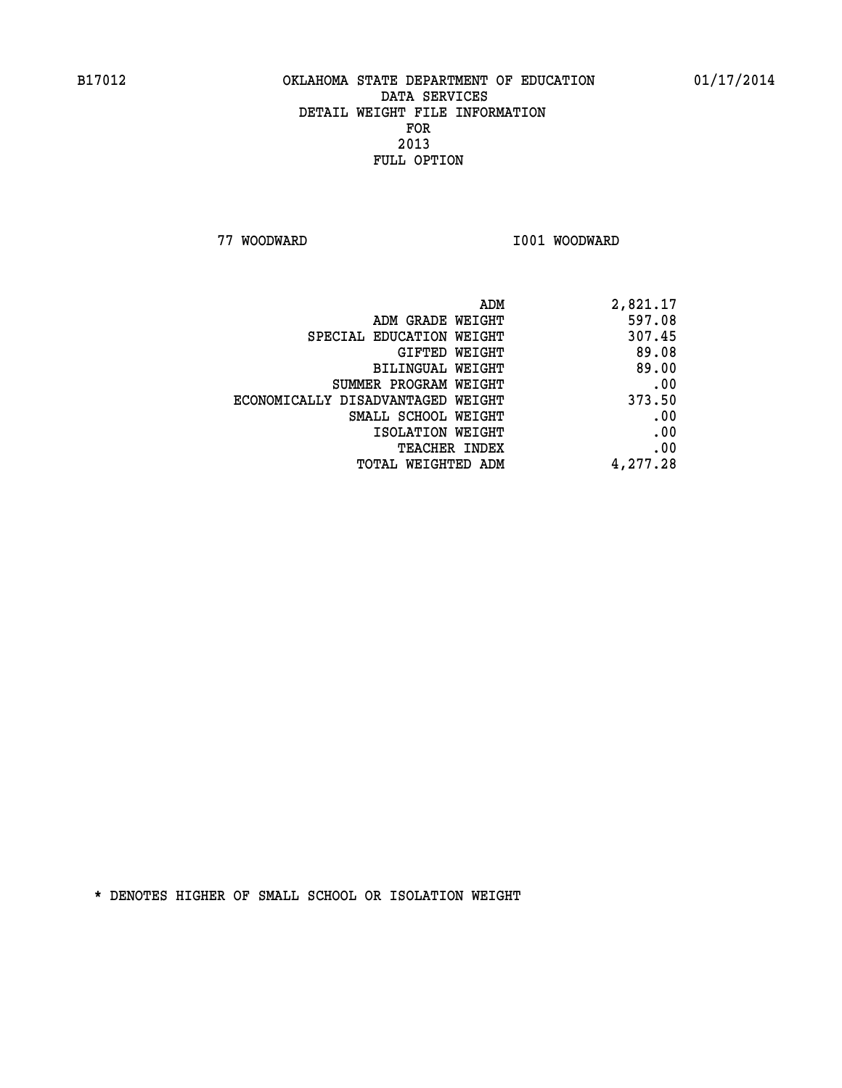**77 WOODWARD 1001 WOODWARD** 

| 2,821.17 |
|----------|
| 597.08   |
| 307.45   |
| 89.08    |
| 89.00    |
| .00      |
| 373.50   |
| .00      |
| .00      |
| .00      |
| 4,277.28 |
|          |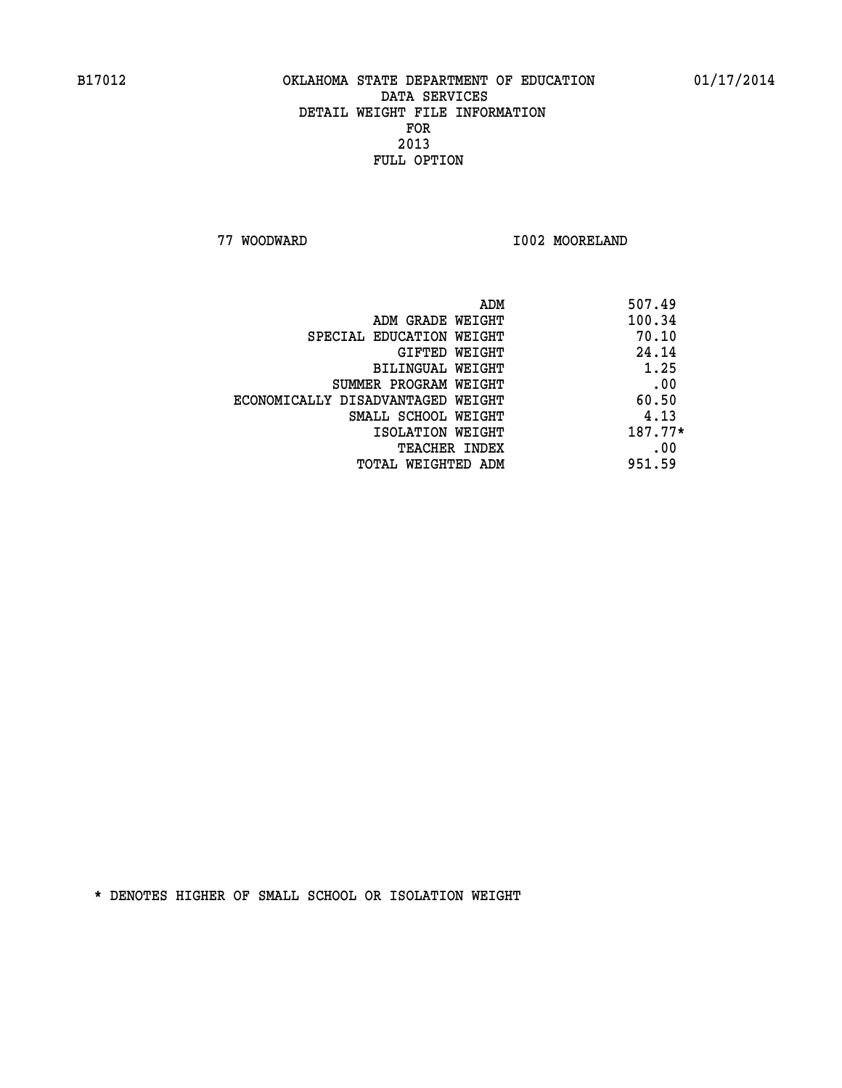**77 WOODWARD I002 MOORELAND** 

| 507.49<br>ADM                              |  |
|--------------------------------------------|--|
| 100.34<br>ADM GRADE WEIGHT                 |  |
| 70.10<br>SPECIAL EDUCATION WEIGHT          |  |
| 24.14<br>GIFTED WEIGHT                     |  |
| 1.25<br>BILINGUAL WEIGHT                   |  |
| .00<br>SUMMER PROGRAM WEIGHT               |  |
| 60.50<br>ECONOMICALLY DISADVANTAGED WEIGHT |  |
| 4.13<br>SMALL SCHOOL WEIGHT                |  |
| 187.77*<br>ISOLATION WEIGHT                |  |
| .00<br><b>TEACHER INDEX</b>                |  |
| 951.59<br>TOTAL WEIGHTED ADM               |  |
|                                            |  |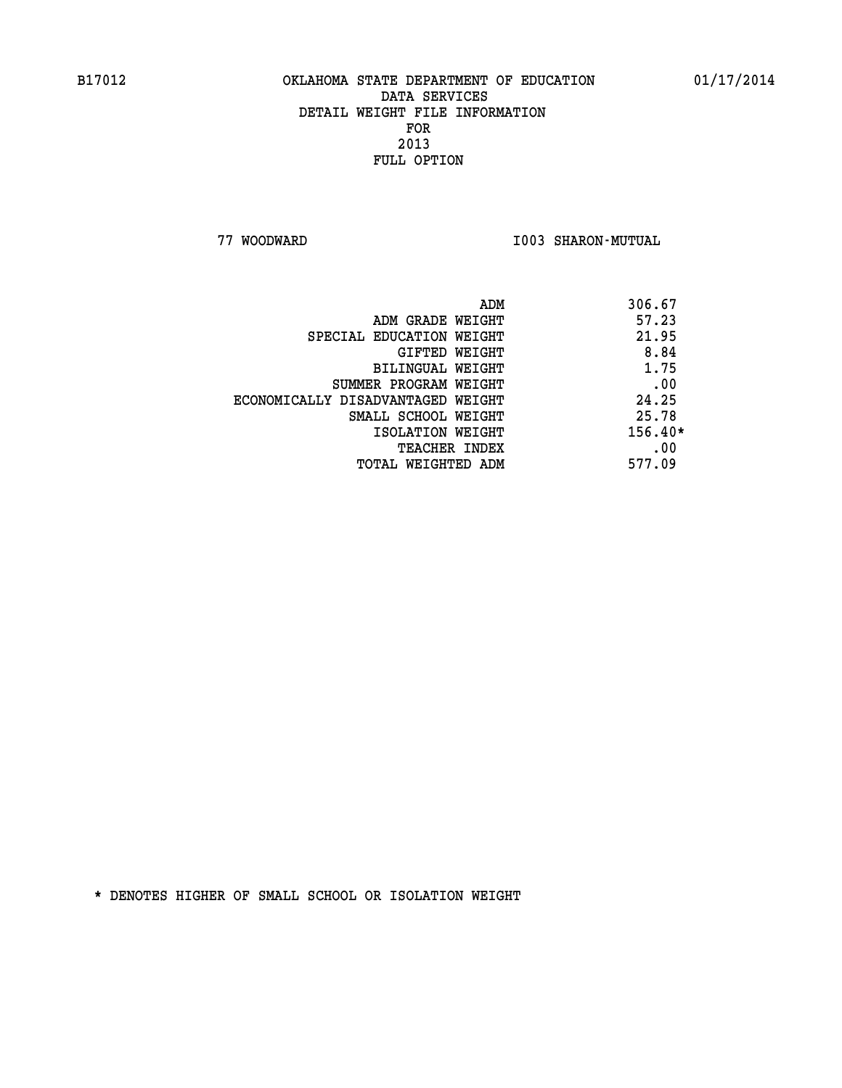**77 WOODWARD I003 SHARON-MUTUAL** 

|                                   | 306.67<br>ADM |
|-----------------------------------|---------------|
| ADM GRADE WEIGHT                  | 57.23         |
| SPECIAL EDUCATION WEIGHT          | 21.95         |
| GIFTED WEIGHT                     | 8.84          |
| BILINGUAL WEIGHT                  | 1.75          |
| SUMMER PROGRAM WEIGHT             | .00           |
| ECONOMICALLY DISADVANTAGED WEIGHT | 24.25         |
| SMALL SCHOOL WEIGHT               | 25.78         |
| ISOLATION WEIGHT                  | $156.40*$     |
| <b>TEACHER INDEX</b>              | .00           |
| TOTAL WEIGHTED ADM                | 577.09        |
|                                   |               |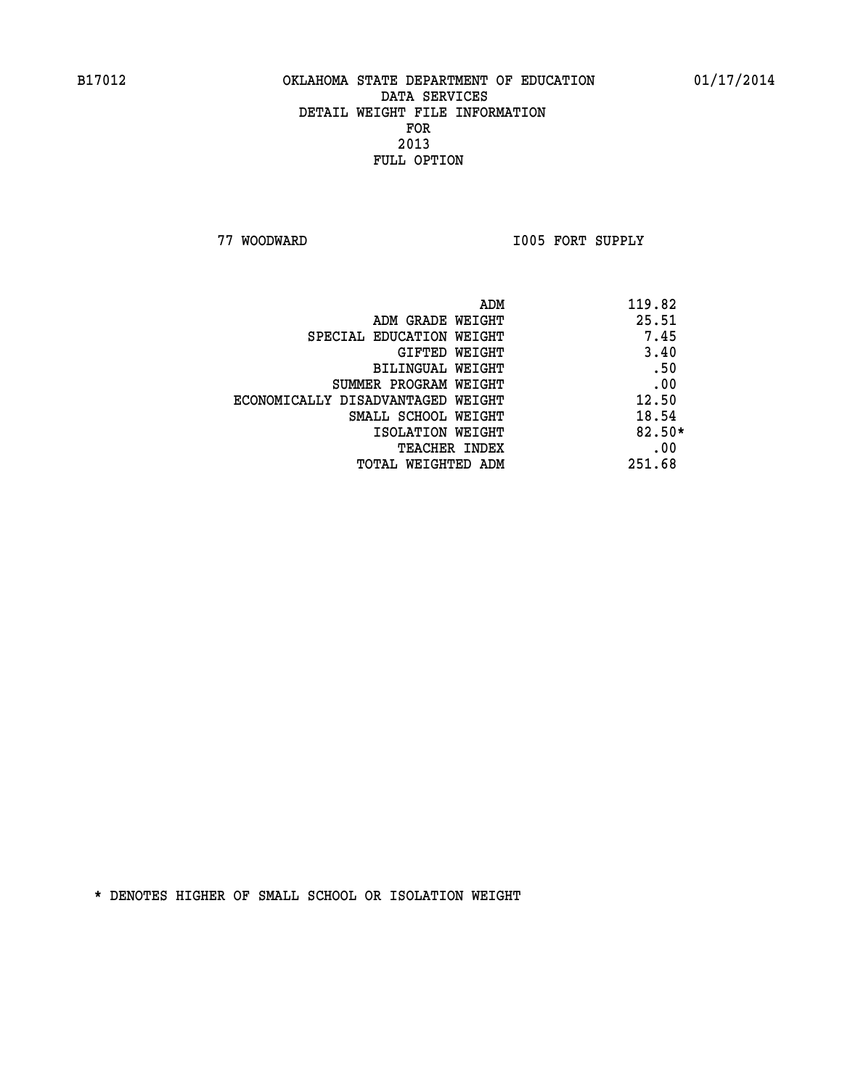**77 WOODWARD I005 FORT SUPPLY** 

| ADM                               | 119.82   |
|-----------------------------------|----------|
| ADM GRADE WEIGHT                  | 25.51    |
| SPECIAL EDUCATION WEIGHT          | 7.45     |
| GIFTED WEIGHT                     | 3.40     |
| BILINGUAL WEIGHT                  | .50      |
| SUMMER PROGRAM WEIGHT             | .00      |
| ECONOMICALLY DISADVANTAGED WEIGHT | 12.50    |
| SMALL SCHOOL WEIGHT               | 18.54    |
| ISOLATION WEIGHT                  | $82.50*$ |
| <b>TEACHER INDEX</b>              | .00      |
| TOTAL WEIGHTED ADM                | 251.68   |
|                                   |          |